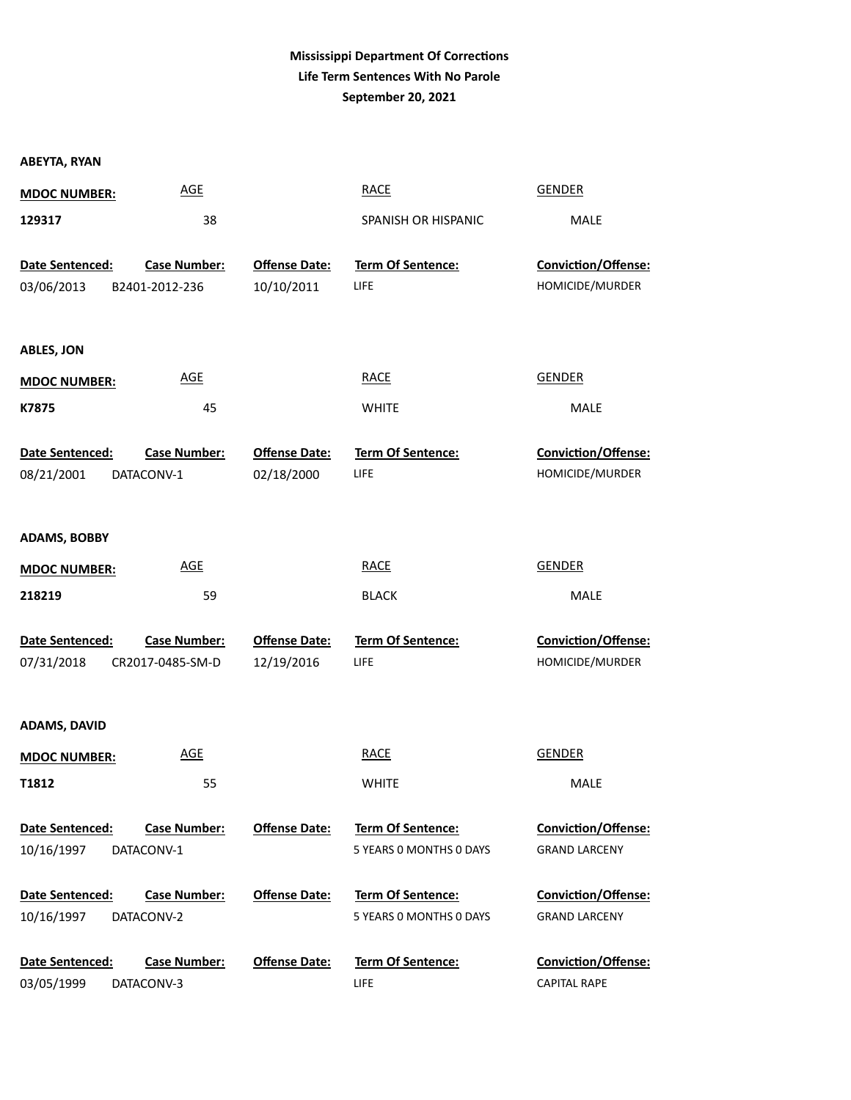# **Mississippi Department Of Corrections Life Term Sentences With No Parole September 20, 2021**

| <b>ABEYTA, RYAN</b> |                     |                      |                          |                            |
|---------------------|---------------------|----------------------|--------------------------|----------------------------|
| <b>MDOC NUMBER:</b> | <b>AGE</b>          |                      | <b>RACE</b>              | <b>GENDER</b>              |
| 129317              | 38                  |                      | SPANISH OR HISPANIC      | MALE                       |
|                     |                     |                      |                          |                            |
| Date Sentenced:     | <b>Case Number:</b> | <b>Offense Date:</b> | Term Of Sentence:        | Conviction/Offense:        |
| 03/06/2013          | B2401-2012-236      | 10/10/2011           | LIFE                     | HOMICIDE/MURDER            |
|                     |                     |                      |                          |                            |
| <b>ABLES, JON</b>   |                     |                      |                          |                            |
| <b>MDOC NUMBER:</b> | <b>AGE</b>          |                      | <b>RACE</b>              | <b>GENDER</b>              |
| K7875               | 45                  |                      | <b>WHITE</b>             | MALE                       |
|                     |                     |                      |                          |                            |
| Date Sentenced:     | <b>Case Number:</b> | <b>Offense Date:</b> | <b>Term Of Sentence:</b> | <b>Conviction/Offense:</b> |
| 08/21/2001          | DATACONV-1          | 02/18/2000           | LIFE                     | HOMICIDE/MURDER            |
|                     |                     |                      |                          |                            |
| <b>ADAMS, BOBBY</b> |                     |                      |                          |                            |
| <b>MDOC NUMBER:</b> | <b>AGE</b>          |                      | <b>RACE</b>              | <b>GENDER</b>              |
| 218219              | 59                  |                      | <b>BLACK</b>             | MALE                       |
|                     |                     |                      |                          |                            |
| Date Sentenced:     | <b>Case Number:</b> | <b>Offense Date:</b> | Term Of Sentence:        | Conviction/Offense:        |
| 07/31/2018          | CR2017-0485-SM-D    | 12/19/2016           | LIFE                     | HOMICIDE/MURDER            |
|                     |                     |                      |                          |                            |
| <b>ADAMS, DAVID</b> |                     |                      |                          |                            |
| <b>MDOC NUMBER:</b> | <b>AGE</b>          |                      | <b>RACE</b>              | <b>GENDER</b>              |
| T1812               | 55                  |                      | WHITE                    | MALE                       |
|                     |                     |                      |                          |                            |
| Date Sentenced:     | <b>Case Number:</b> | <b>Offense Date:</b> | <b>Term Of Sentence:</b> | <b>Conviction/Offense:</b> |
| 10/16/1997          | DATACONV-1          |                      | 5 YEARS 0 MONTHS 0 DAYS  | <b>GRAND LARCENY</b>       |
| Date Sentenced:     | <b>Case Number:</b> | <b>Offense Date:</b> | <b>Term Of Sentence:</b> | <b>Conviction/Offense:</b> |
| 10/16/1997          | DATACONV-2          |                      | 5 YEARS 0 MONTHS 0 DAYS  | <b>GRAND LARCENY</b>       |
|                     |                     |                      |                          |                            |
| Date Sentenced:     | <b>Case Number:</b> | <b>Offense Date:</b> | <b>Term Of Sentence:</b> | <b>Conviction/Offense:</b> |
| 03/05/1999          | DATACONV-3          |                      | LIFE                     | <b>CAPITAL RAPE</b>        |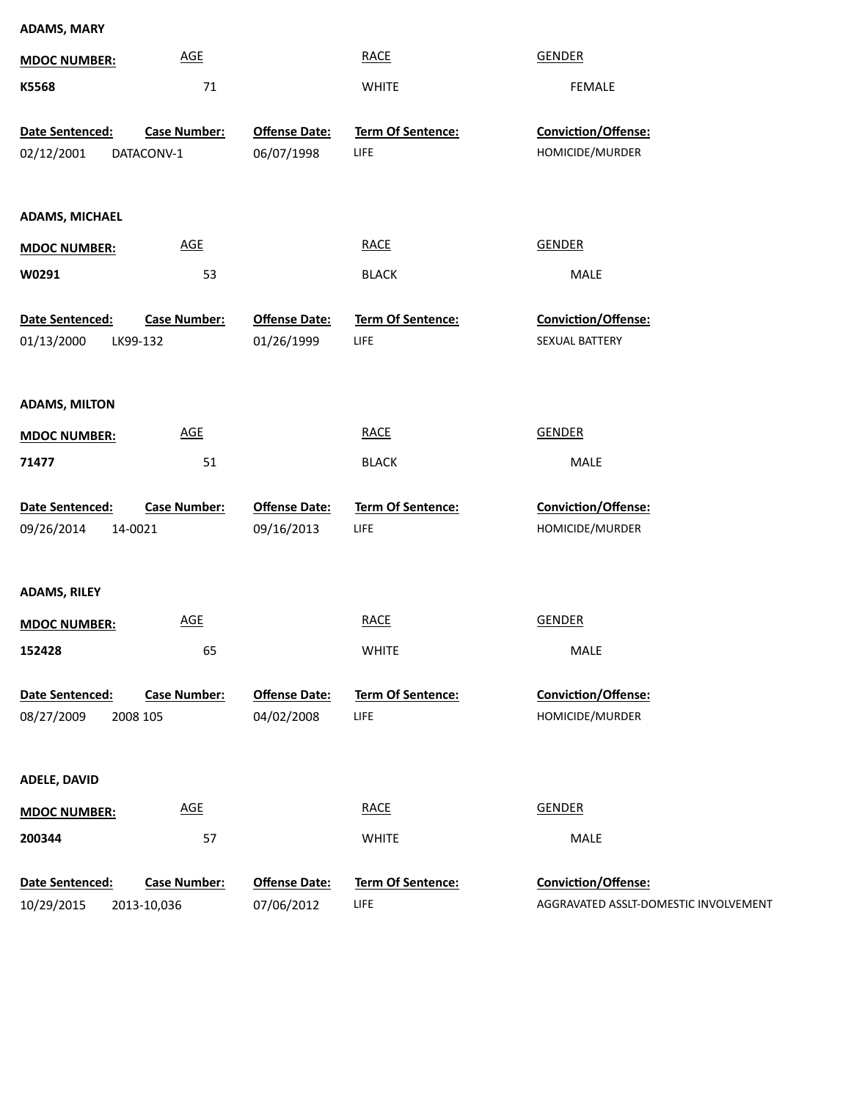| <b>ADAMS, MARY</b>            |                                   |                                    |                                  |                                        |
|-------------------------------|-----------------------------------|------------------------------------|----------------------------------|----------------------------------------|
| <b>MDOC NUMBER:</b>           | <b>AGE</b>                        |                                    | <b>RACE</b>                      | <b>GENDER</b>                          |
| K5568                         | 71                                |                                    | <b>WHITE</b>                     | <b>FEMALE</b>                          |
| Date Sentenced:<br>02/12/2001 | <b>Case Number:</b><br>DATACONV-1 | <b>Offense Date:</b><br>06/07/1998 | Term Of Sentence:<br>LIFE        | Conviction/Offense:<br>HOMICIDE/MURDER |
| <b>ADAMS, MICHAEL</b>         |                                   |                                    |                                  |                                        |
| <b>MDOC NUMBER:</b>           | <b>AGE</b>                        |                                    | <b>RACE</b>                      | <b>GENDER</b>                          |
| W0291                         | 53                                |                                    | <b>BLACK</b>                     | MALE                                   |
| Date Sentenced:<br>01/13/2000 | <b>Case Number:</b><br>LK99-132   | <b>Offense Date:</b><br>01/26/1999 | <b>Term Of Sentence:</b><br>LIFE | Conviction/Offense:<br>SEXUAL BATTERY  |
| <b>ADAMS, MILTON</b>          |                                   |                                    |                                  |                                        |
| <b>MDOC NUMBER:</b>           | <b>AGE</b>                        |                                    | <b>RACE</b>                      | <b>GENDER</b>                          |
| 71477                         | 51                                |                                    | <b>BLACK</b>                     | MALE                                   |
| Date Sentenced:<br>09/26/2014 | <b>Case Number:</b><br>14-0021    | <b>Offense Date:</b><br>09/16/2013 | Term Of Sentence:<br>LIFE        | Conviction/Offense:<br>HOMICIDE/MURDER |
| <b>ADAMS, RILEY</b>           |                                   |                                    |                                  |                                        |
| <b>MDOC NUMBER:</b>           | <b>AGE</b>                        |                                    | <b>RACE</b>                      | <b>GENDER</b>                          |
| 152428                        | 65                                |                                    | <b>WHITE</b>                     | MALE                                   |
| Date Sentenced:<br>08/27/2009 | <b>Case Number:</b><br>2008 105   | <b>Offense Date:</b><br>04/02/2008 | <b>Term Of Sentence:</b><br>LIFE | Conviction/Offense:<br>HOMICIDE/MURDER |
| <b>ADELE, DAVID</b>           |                                   |                                    |                                  |                                        |
| <b>MDOC NUMBER:</b>           | <b>AGE</b>                        |                                    | <b>RACE</b>                      | <b>GENDER</b>                          |
| 200344                        | 57                                |                                    | <b>WHITE</b>                     | MALE                                   |
| Date Sentenced:               | <b>Case Number:</b>               | <b>Offense Date:</b>               | Term Of Sentence:                | Conviction/Offense:                    |
| 10/29/2015                    | 2013-10,036                       | 07/06/2012                         | <b>LIFE</b>                      | AGGRAVATED ASSLT-DOMESTIC INVOLVEMENT  |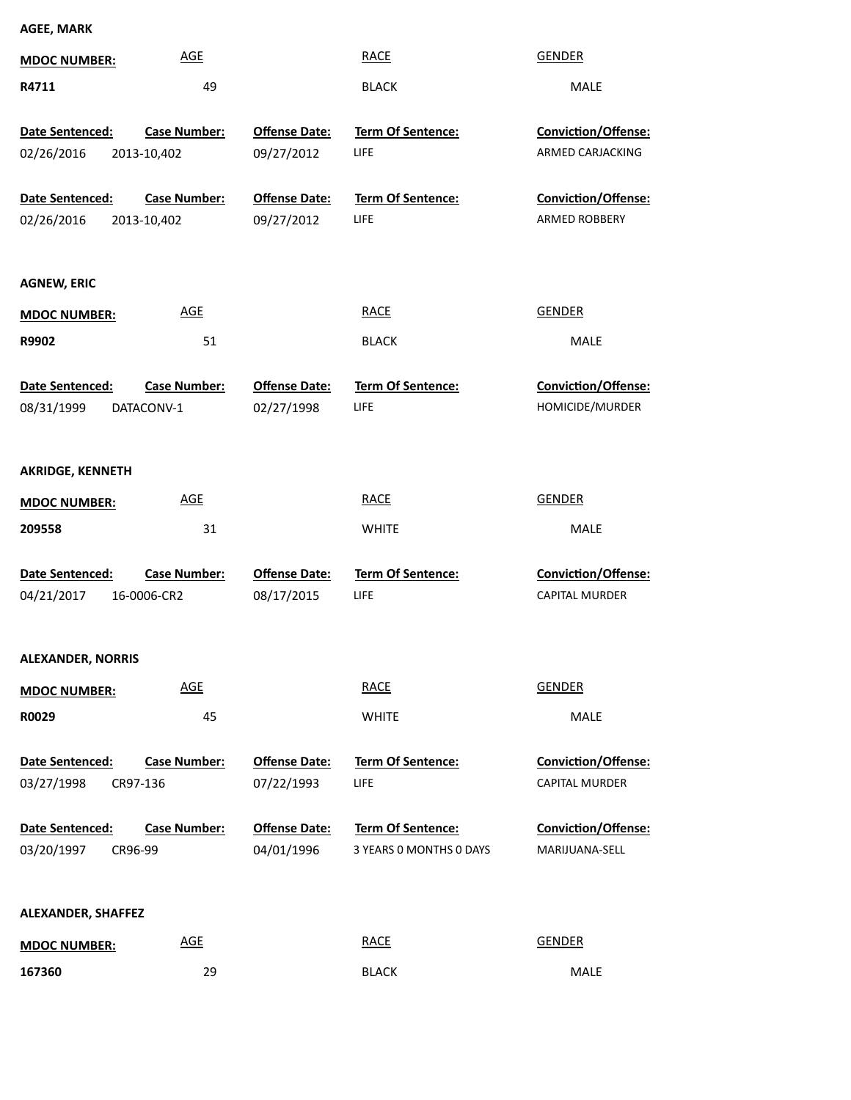| <b>AGEE, MARK</b>                         |                                    |                                    |                                              |                                              |
|-------------------------------------------|------------------------------------|------------------------------------|----------------------------------------------|----------------------------------------------|
| <b>MDOC NUMBER:</b>                       | <b>AGE</b>                         |                                    | <b>RACE</b>                                  | <b>GENDER</b>                                |
| R4711                                     | 49                                 |                                    | <b>BLACK</b>                                 | MALE                                         |
| Date Sentenced:                           | <b>Case Number:</b>                | <b>Offense Date:</b>               | Term Of Sentence:                            | <b>Conviction/Offense:</b>                   |
| 02/26/2016                                | 2013-10,402                        | 09/27/2012                         | <b>LIFE</b>                                  | ARMED CARJACKING                             |
| Date Sentenced:<br>02/26/2016             | <b>Case Number:</b><br>2013-10,402 | <b>Offense Date:</b><br>09/27/2012 | Term Of Sentence:<br><b>LIFE</b>             | <b>Conviction/Offense:</b><br>ARMED ROBBERY  |
| <b>AGNEW, ERIC</b>                        |                                    |                                    |                                              |                                              |
| <b>MDOC NUMBER:</b>                       | <b>AGE</b>                         |                                    | <b>RACE</b>                                  | <b>GENDER</b>                                |
| R9902                                     | 51                                 |                                    | <b>BLACK</b>                                 | MALE                                         |
| Date Sentenced:<br>08/31/1999             | <b>Case Number:</b><br>DATACONV-1  | <b>Offense Date:</b><br>02/27/1998 | Term Of Sentence:<br><b>LIFE</b>             | Conviction/Offense:<br>HOMICIDE/MURDER       |
| <b>AKRIDGE, KENNETH</b>                   |                                    |                                    |                                              |                                              |
| <b>MDOC NUMBER:</b>                       | <b>AGE</b>                         |                                    | <b>RACE</b>                                  | <b>GENDER</b>                                |
| 209558                                    | 31                                 |                                    | <b>WHITE</b>                                 | MALE                                         |
| Date Sentenced:<br>04/21/2017             | <b>Case Number:</b><br>16-0006-CR2 | <b>Offense Date:</b><br>08/17/2015 | Term Of Sentence:<br><b>LIFE</b>             | Conviction/Offense:<br>CAPITAL MURDER        |
| <b>ALEXANDER, NORRIS</b>                  |                                    |                                    |                                              |                                              |
| <b>MDOC NUMBER:</b>                       | <b>AGE</b>                         |                                    | <b>RACE</b>                                  | <b>GENDER</b>                                |
| R0029                                     | 45                                 |                                    | <b>WHITE</b>                                 | MALE                                         |
| Date Sentenced:<br>03/27/1998<br>CR97-136 | <b>Case Number:</b>                | <b>Offense Date:</b><br>07/22/1993 | Term Of Sentence:<br>LIFE                    | Conviction/Offense:<br><b>CAPITAL MURDER</b> |
| Date Sentenced:<br>03/20/1997<br>CR96-99  | <b>Case Number:</b>                | <b>Offense Date:</b><br>04/01/1996 | Term Of Sentence:<br>3 YEARS O MONTHS O DAYS | Conviction/Offense:<br>MARIJUANA-SELL        |
| ALEXANDER, SHAFFEZ<br><b>MDOC NUMBER:</b> | <b>AGE</b>                         |                                    | <b>RACE</b>                                  | <b>GENDER</b>                                |

29 BLACK MALE

**167360**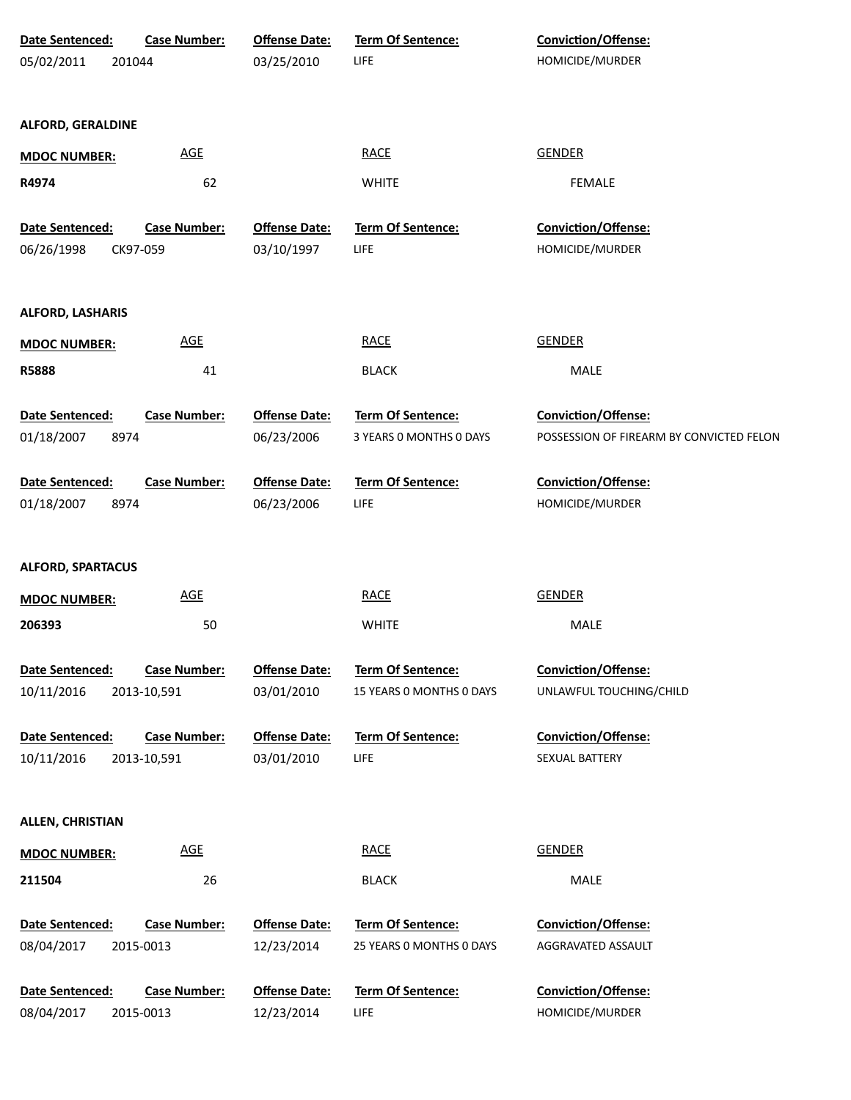| Date Sentenced:          | <b>Case Number:</b> | <b>Offense Date:</b> | Term Of Sentence:        | Conviction/Offense:                      |
|--------------------------|---------------------|----------------------|--------------------------|------------------------------------------|
| 05/02/2011               | 201044              | 03/25/2010           | <b>LIFE</b>              | HOMICIDE/MURDER                          |
|                          |                     |                      |                          |                                          |
| <b>ALFORD, GERALDINE</b> |                     |                      |                          |                                          |
|                          |                     |                      |                          |                                          |
| <b>MDOC NUMBER:</b>      | <b>AGE</b>          |                      | <b>RACE</b>              | <b>GENDER</b>                            |
| R4974                    | 62                  |                      | <b>WHITE</b>             | <b>FEMALE</b>                            |
| Date Sentenced:          | <b>Case Number:</b> | <b>Offense Date:</b> | Term Of Sentence:        | Conviction/Offense:                      |
| 06/26/1998               | CK97-059            | 03/10/1997           | <b>LIFE</b>              | HOMICIDE/MURDER                          |
|                          |                     |                      |                          |                                          |
|                          |                     |                      |                          |                                          |
| <b>ALFORD, LASHARIS</b>  |                     |                      |                          |                                          |
| <b>MDOC NUMBER:</b>      | AGE                 |                      | <b>RACE</b>              | <b>GENDER</b>                            |
| R5888                    | 41                  |                      | <b>BLACK</b>             | MALE                                     |
|                          |                     |                      |                          |                                          |
| Date Sentenced:          | <b>Case Number:</b> | <b>Offense Date:</b> | Term Of Sentence:        | Conviction/Offense:                      |
| 01/18/2007<br>8974       |                     | 06/23/2006           | 3 YEARS O MONTHS O DAYS  | POSSESSION OF FIREARM BY CONVICTED FELON |
| Date Sentenced:          | <b>Case Number:</b> | <b>Offense Date:</b> | Term Of Sentence:        | Conviction/Offense:                      |
| 01/18/2007<br>8974       |                     | 06/23/2006           | <b>LIFE</b>              | HOMICIDE/MURDER                          |
|                          |                     |                      |                          |                                          |
|                          |                     |                      |                          |                                          |
| <b>ALFORD, SPARTACUS</b> |                     |                      |                          |                                          |
| <b>MDOC NUMBER:</b>      | <b>AGE</b>          |                      | <b>RACE</b>              | <b>GENDER</b>                            |
| 206393                   | 50                  |                      | <b>WHITE</b>             | MALE                                     |
|                          |                     |                      |                          |                                          |
| Date Sentenced:          | <b>Case Number:</b> | <b>Offense Date:</b> | <b>Term Of Sentence:</b> | Conviction/Offense:                      |
| 10/11/2016               | 2013-10,591         | 03/01/2010           | 15 YEARS 0 MONTHS 0 DAYS | UNLAWFUL TOUCHING/CHILD                  |
| Date Sentenced:          | <b>Case Number:</b> | <b>Offense Date:</b> | <b>Term Of Sentence:</b> | Conviction/Offense:                      |
| 10/11/2016               | 2013-10,591         | 03/01/2010           | <b>LIFE</b>              | SEXUAL BATTERY                           |
|                          |                     |                      |                          |                                          |
| <b>ALLEN, CHRISTIAN</b>  |                     |                      |                          |                                          |
|                          |                     |                      |                          |                                          |
| <b>MDOC NUMBER:</b>      | AGE                 |                      | <b>RACE</b>              | <b>GENDER</b>                            |
| 211504                   | 26                  |                      | <b>BLACK</b>             | MALE                                     |
| Date Sentenced:          | <b>Case Number:</b> | <b>Offense Date:</b> | Term Of Sentence:        | Conviction/Offense:                      |
| 08/04/2017               | 2015-0013           | 12/23/2014           | 25 YEARS 0 MONTHS 0 DAYS | AGGRAVATED ASSAULT                       |
|                          |                     |                      |                          |                                          |
| Date Sentenced:          | <b>Case Number:</b> | <b>Offense Date:</b> | Term Of Sentence:        | Conviction/Offense:                      |
| 08/04/2017               | 2015-0013           | 12/23/2014           | <b>LIFE</b>              | HOMICIDE/MURDER                          |
|                          |                     |                      |                          |                                          |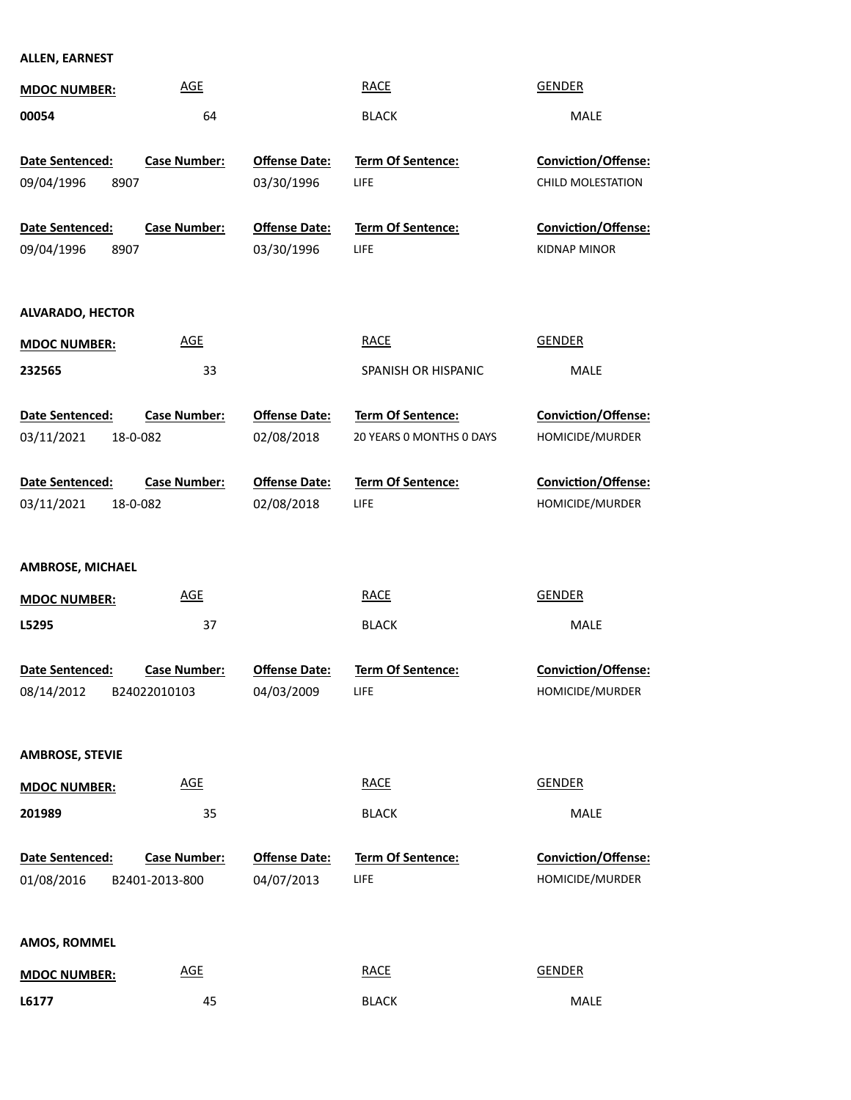### **ALLEN, EARNEST**

| <b>MDOC NUMBER:</b>                       | <b>AGE</b>                          |                                    | <b>RACE</b>                      | <b>GENDER</b>                                   |
|-------------------------------------------|-------------------------------------|------------------------------------|----------------------------------|-------------------------------------------------|
| 00054                                     | 64                                  |                                    | <b>BLACK</b>                     | <b>MALE</b>                                     |
| Date Sentenced:<br>09/04/1996<br>8907     | <b>Case Number:</b>                 | <b>Offense Date:</b><br>03/30/1996 | <b>Term Of Sentence:</b><br>LIFE | <b>Conviction/Offense:</b><br>CHILD MOLESTATION |
| Date Sentenced:                           | <b>Case Number:</b>                 | <b>Offense Date:</b>               | Term Of Sentence:                | Conviction/Offense:                             |
| 09/04/1996<br>8907                        |                                     | 03/30/1996                         | LIFE                             | <b>KIDNAP MINOR</b>                             |
| <b>ALVARADO, HECTOR</b>                   | <b>AGE</b>                          |                                    | <b>RACE</b>                      | <b>GENDER</b>                                   |
| <b>MDOC NUMBER:</b>                       |                                     |                                    |                                  |                                                 |
| 232565                                    | 33                                  |                                    | SPANISH OR HISPANIC              | MALE                                            |
| Date Sentenced:                           | <b>Case Number:</b>                 | <b>Offense Date:</b>               | Term Of Sentence:                | Conviction/Offense:                             |
| 03/11/2021<br>18-0-082                    |                                     | 02/08/2018                         | 20 YEARS 0 MONTHS 0 DAYS         | HOMICIDE/MURDER                                 |
| Date Sentenced:<br>03/11/2021<br>18-0-082 | <b>Case Number:</b>                 | <b>Offense Date:</b><br>02/08/2018 | Term Of Sentence:<br><b>LIFE</b> | Conviction/Offense:<br>HOMICIDE/MURDER          |
| <b>AMBROSE, MICHAEL</b>                   |                                     |                                    |                                  |                                                 |
| <b>MDOC NUMBER:</b>                       | <b>AGE</b>                          |                                    | <b>RACE</b>                      | <b>GENDER</b>                                   |
| L5295                                     | 37                                  |                                    | <b>BLACK</b>                     | MALE                                            |
| Date Sentenced:<br>08/14/2012             | <b>Case Number:</b><br>B24022010103 | <b>Offense Date:</b><br>04/03/2009 | <b>Term Of Sentence:</b><br>LIFE | <b>Conviction/Offense:</b><br>HOMICIDE/MURDER   |
| <b>AMBROSE, STEVIE</b>                    |                                     |                                    |                                  |                                                 |
| <b>MDOC NUMBER:</b>                       | <b>AGE</b>                          |                                    | <b>RACE</b>                      | <b>GENDER</b>                                   |
| 201989                                    | 35                                  |                                    | <b>BLACK</b>                     | <b>MALE</b>                                     |
| Date Sentenced:<br>01/08/2016             | Case Number:<br>B2401-2013-800      | <b>Offense Date:</b><br>04/07/2013 | Term Of Sentence:<br><b>LIFE</b> | Conviction/Offense:<br>HOMICIDE/MURDER          |
| AMOS, ROMMEL                              |                                     |                                    |                                  |                                                 |
| <b>MDOC NUMBER:</b>                       | <b>AGE</b>                          |                                    | <b>RACE</b>                      | <b>GENDER</b>                                   |
| L6177                                     | 45                                  |                                    | <b>BLACK</b>                     | MALE                                            |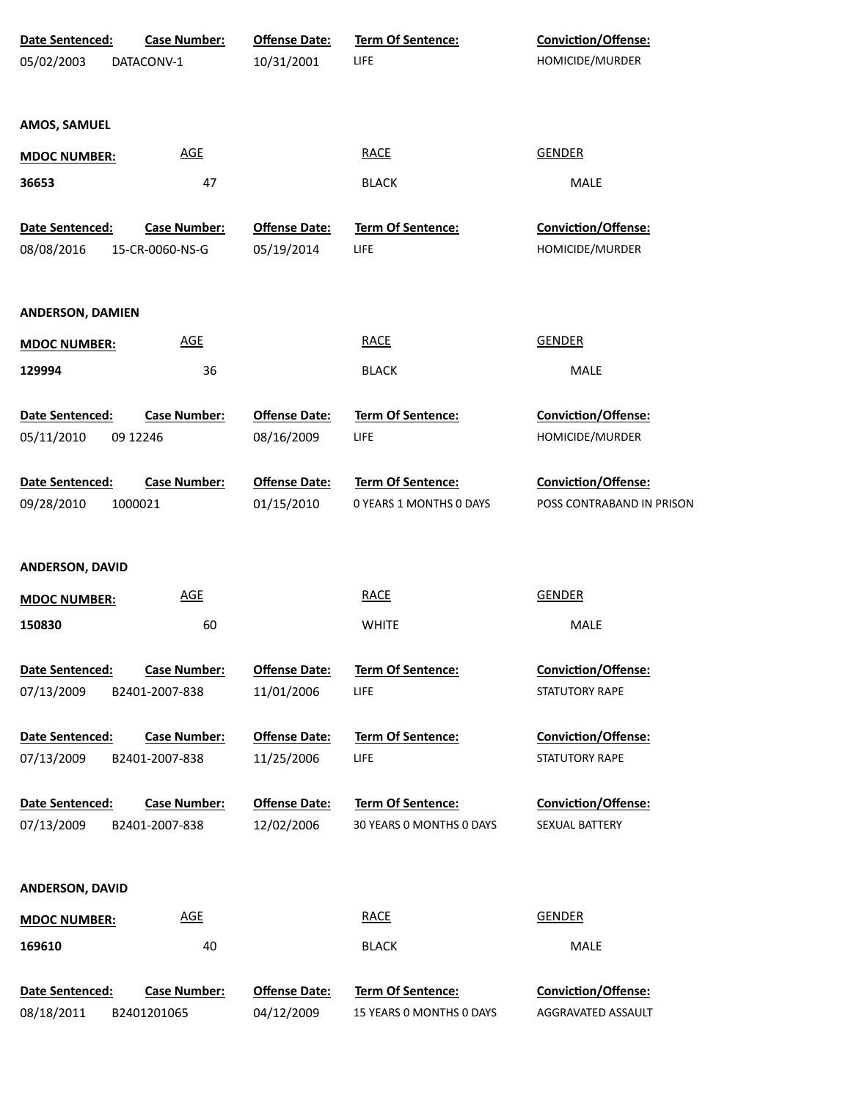| Date Sentenced:         | <b>Case Number:</b> | <b>Offense Date:</b> | Term Of Sentence:        | Conviction/Offense:        |
|-------------------------|---------------------|----------------------|--------------------------|----------------------------|
| 05/02/2003              | DATACONV-1          | 10/31/2001           | LIFE                     | HOMICIDE/MURDER            |
| AMOS, SAMUEL            |                     |                      |                          |                            |
| <b>MDOC NUMBER:</b>     | <b>AGE</b>          |                      | <b>RACE</b>              | <b>GENDER</b>              |
| 36653                   | 47                  |                      | <b>BLACK</b>             | MALE                       |
| Date Sentenced:         | Case Number:        | <b>Offense Date:</b> | Term Of Sentence:        | Conviction/Offense:        |
| 08/08/2016              | 15-CR-0060-NS-G     | 05/19/2014           | LIFE                     | HOMICIDE/MURDER            |
| <b>ANDERSON, DAMIEN</b> |                     |                      |                          |                            |
| <b>MDOC NUMBER:</b>     | <b>AGE</b>          |                      | <b>RACE</b>              | <b>GENDER</b>              |
| 129994                  | 36                  |                      | <b>BLACK</b>             | MALE                       |
| Date Sentenced:         | <b>Case Number:</b> | <b>Offense Date:</b> | Term Of Sentence:        | Conviction/Offense:        |
| 05/11/2010              | 09 12 246           | 08/16/2009           | LIFE                     | HOMICIDE/MURDER            |
| Date Sentenced:         | <b>Case Number:</b> | <b>Offense Date:</b> | Term Of Sentence:        | Conviction/Offense:        |
| 09/28/2010              | 1000021             | 01/15/2010           | 0 YEARS 1 MONTHS 0 DAYS  | POSS CONTRABAND IN PRISON  |
| ANDERSON, DAVID         |                     |                      |                          |                            |
| <b>MDOC NUMBER:</b>     | <b>AGE</b>          |                      | <b>RACE</b>              | <b>GENDER</b>              |
| 150830                  | 60                  |                      | <b>WHITE</b>             | MALE                       |
| Date Sentenced:         | <b>Case Number:</b> | <b>Offense Date:</b> | <b>Term Of Sentence:</b> | Conviction/Offense:        |
| 07/13/2009              | B2401-2007-838      | 11/01/2006           | LIFE                     | STATUTORY RAPE             |
| Date Sentenced:         | <b>Case Number:</b> | <b>Offense Date:</b> | <b>Term Of Sentence:</b> | <b>Conviction/Offense:</b> |
| 07/13/2009              | B2401-2007-838      | 11/25/2006           | LIFE                     | STATUTORY RAPE             |
| Date Sentenced:         | <b>Case Number:</b> | <b>Offense Date:</b> | <b>Term Of Sentence:</b> | <b>Conviction/Offense:</b> |
| 07/13/2009              | B2401-2007-838      | 12/02/2006           | 30 YEARS 0 MONTHS 0 DAYS | SEXUAL BATTERY             |
| ANDERSON, DAVID         |                     |                      |                          |                            |
| <b>MDOC NUMBER:</b>     | <u>AGE</u>          |                      | <b>RACE</b>              | <b>GENDER</b>              |
| 169610                  | 40                  |                      | <b>BLACK</b>             | MALE                       |
| Date Sentenced:         | <b>Case Number:</b> | <b>Offense Date:</b> | Term Of Sentence:        | Conviction/Offense:        |
| 08/18/2011              | B2401201065         | 04/12/2009           | 15 YEARS O MONTHS O DAYS | AGGRAVATED ASSAULT         |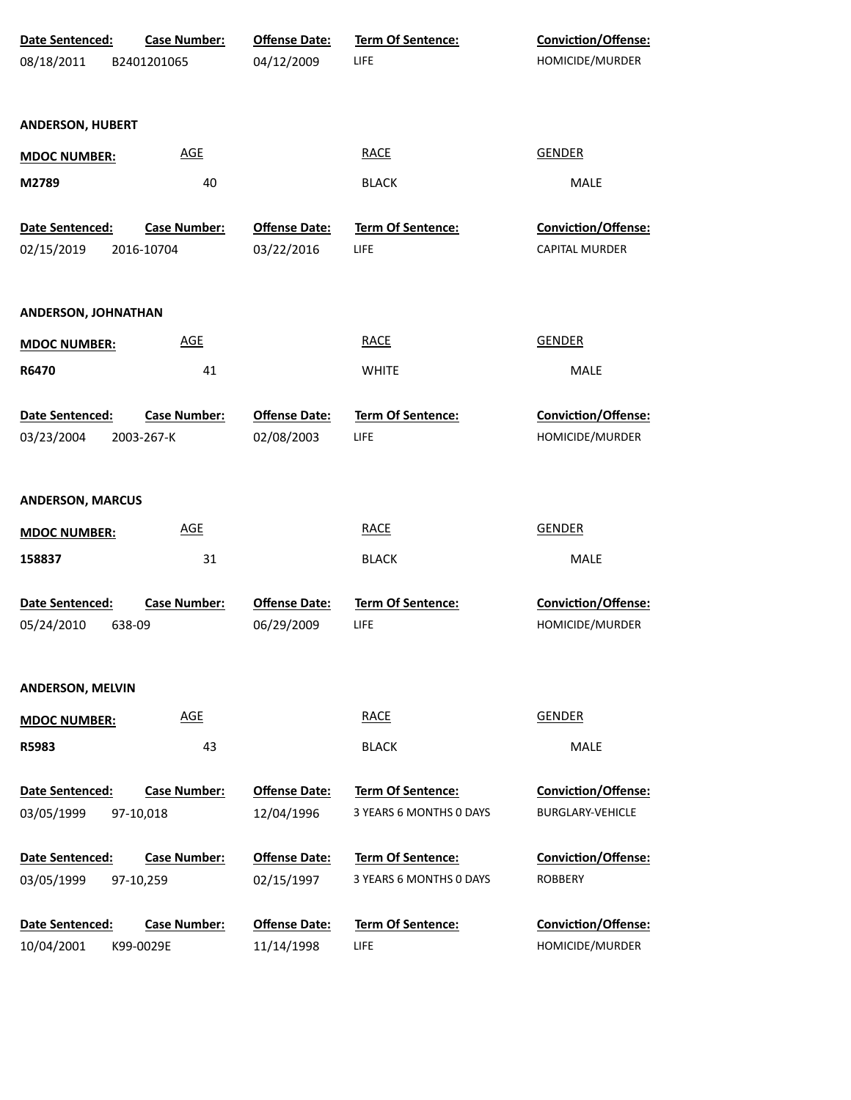| Date Sentenced:         | <b>Case Number:</b> | <b>Offense Date:</b> | Term Of Sentence:        | Conviction/Offense:        |
|-------------------------|---------------------|----------------------|--------------------------|----------------------------|
| 08/18/2011              | B2401201065         | 04/12/2009           | LIFE                     | HOMICIDE/MURDER            |
|                         |                     |                      |                          |                            |
| <b>ANDERSON, HUBERT</b> |                     |                      |                          |                            |
| <b>MDOC NUMBER:</b>     | <b>AGE</b>          |                      | <b>RACE</b>              | <b>GENDER</b>              |
| M2789                   | 40                  |                      | <b>BLACK</b>             | MALE                       |
| Date Sentenced:         | <b>Case Number:</b> | <b>Offense Date:</b> | Term Of Sentence:        | Conviction/Offense:        |
| 02/15/2019              | 2016-10704          | 03/22/2016           | <b>LIFE</b>              | <b>CAPITAL MURDER</b>      |
|                         |                     |                      |                          |                            |
| ANDERSON, JOHNATHAN     |                     |                      |                          |                            |
| <b>MDOC NUMBER:</b>     | <b>AGE</b>          |                      | <b>RACE</b>              | <b>GENDER</b>              |
| R6470                   | 41                  |                      | <b>WHITE</b>             | MALE                       |
|                         |                     |                      |                          |                            |
| Date Sentenced:         | <b>Case Number:</b> | <b>Offense Date:</b> | Term Of Sentence:        | Conviction/Offense:        |
| 03/23/2004              | 2003-267-K          | 02/08/2003           | LIFE                     | HOMICIDE/MURDER            |
|                         |                     |                      |                          |                            |
| <b>ANDERSON, MARCUS</b> |                     |                      |                          |                            |
| <b>MDOC NUMBER:</b>     | <b>AGE</b>          |                      | <b>RACE</b>              | <b>GENDER</b>              |
| 158837                  | 31                  |                      | <b>BLACK</b>             | MALE                       |
| Date Sentenced:         | <b>Case Number:</b> | <b>Offense Date:</b> | Term Of Sentence:        | Conviction/Offense:        |
| 05/24/2010<br>638-09    |                     | 06/29/2009           | LIFE                     | HOMICIDE/MURDER            |
|                         |                     |                      |                          |                            |
| <b>ANDERSON, MELVIN</b> |                     |                      |                          |                            |
| <b>MDOC NUMBER:</b>     | <b>AGE</b>          |                      | <b>RACE</b>              | <b>GENDER</b>              |
| R5983                   | 43                  |                      | <b>BLACK</b>             | MALE                       |
| <b>Date Sentenced:</b>  | <b>Case Number:</b> | <b>Offense Date:</b> | <b>Term Of Sentence:</b> | <b>Conviction/Offense:</b> |
| 03/05/1999              | 97-10,018           | 12/04/1996           | 3 YEARS 6 MONTHS 0 DAYS  | <b>BURGLARY-VEHICLE</b>    |
|                         |                     |                      |                          |                            |
| Date Sentenced:         | <b>Case Number:</b> | <b>Offense Date:</b> | <b>Term Of Sentence:</b> | <b>Conviction/Offense:</b> |
| 03/05/1999              | 97-10,259           | 02/15/1997           | 3 YEARS 6 MONTHS 0 DAYS  | <b>ROBBERY</b>             |
| Date Sentenced:         | <b>Case Number:</b> | <b>Offense Date:</b> | <b>Term Of Sentence:</b> | <b>Conviction/Offense:</b> |
| 10/04/2001              | K99-0029E           | 11/14/1998           | <b>LIFE</b>              | HOMICIDE/MURDER            |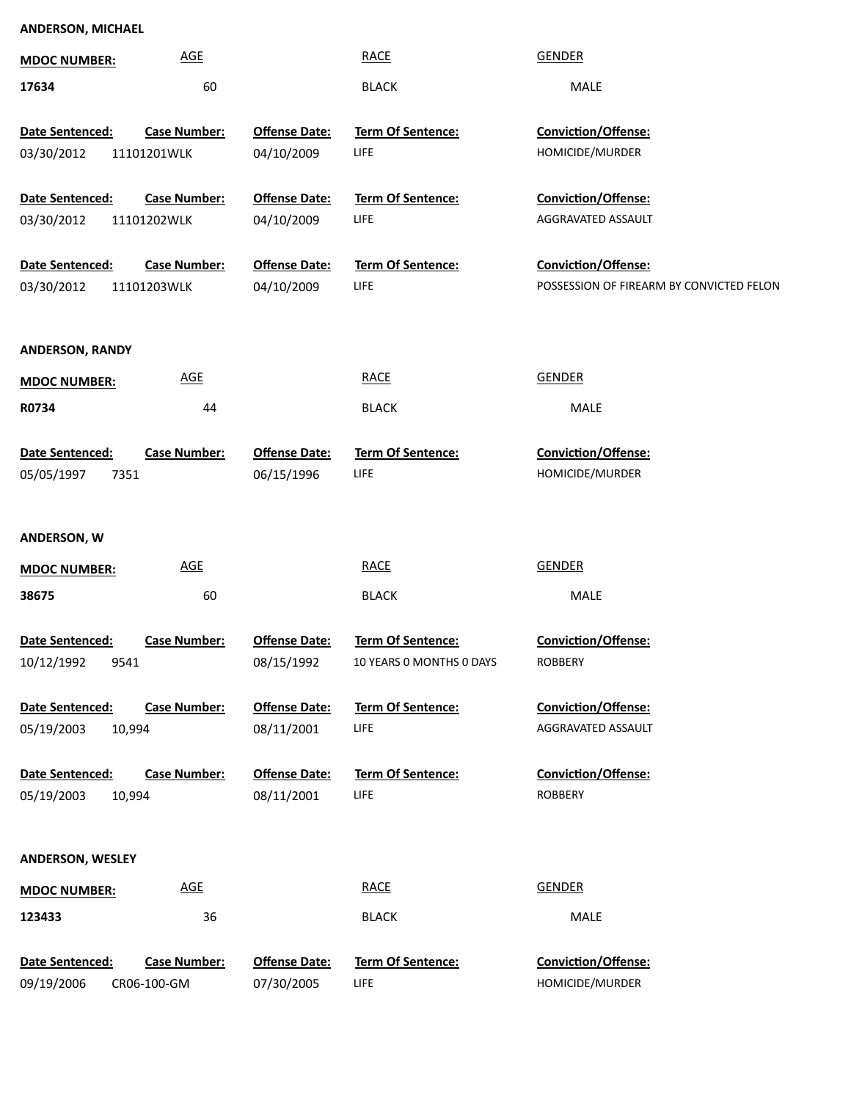#### **ANDERSON, MICHAEL**

| <b>MDOC NUMBER:</b>                   | <b>AGE</b>                         |                                    | <b>RACE</b>                                   | <b>GENDER</b>                                                          |
|---------------------------------------|------------------------------------|------------------------------------|-----------------------------------------------|------------------------------------------------------------------------|
| 17634                                 | 60                                 |                                    | <b>BLACK</b>                                  | MALE                                                                   |
| Date Sentenced:<br>03/30/2012         | <b>Case Number:</b><br>11101201WLK | <b>Offense Date:</b><br>04/10/2009 | Term Of Sentence:<br>LIFE                     | Conviction/Offense:<br>HOMICIDE/MURDER                                 |
| Date Sentenced:                       | <b>Case Number:</b>                | <b>Offense Date:</b>               | Term Of Sentence:                             | Conviction/Offense:                                                    |
| 03/30/2012                            | 11101202WLK                        | 04/10/2009                         | LIFE                                          | AGGRAVATED ASSAULT                                                     |
| Date Sentenced:<br>03/30/2012         | <b>Case Number:</b><br>11101203WLK | <b>Offense Date:</b><br>04/10/2009 | Term Of Sentence:<br>LIFE                     | <b>Conviction/Offense:</b><br>POSSESSION OF FIREARM BY CONVICTED FELON |
| <b>ANDERSON, RANDY</b>                |                                    |                                    |                                               |                                                                        |
| <b>MDOC NUMBER:</b>                   | <b>AGE</b>                         |                                    | <b>RACE</b>                                   | <b>GENDER</b>                                                          |
| R0734                                 | 44                                 |                                    | <b>BLACK</b>                                  | MALE                                                                   |
| Date Sentenced:<br>05/05/1997<br>7351 | <b>Case Number:</b>                | <b>Offense Date:</b><br>06/15/1996 | <b>Term Of Sentence:</b><br>LIFE              | Conviction/Offense:<br>HOMICIDE/MURDER                                 |
| <b>ANDERSON, W</b>                    |                                    |                                    |                                               |                                                                        |
| <b>MDOC NUMBER:</b>                   | <b>AGE</b>                         |                                    | <b>RACE</b>                                   | <b>GENDER</b>                                                          |
| 38675                                 | 60                                 |                                    | <b>BLACK</b>                                  | MALE                                                                   |
| Date Sentenced:<br>10/12/1992<br>9541 | <b>Case Number:</b>                | <b>Offense Date:</b><br>08/15/1992 | Term Of Sentence:<br>10 YEARS O MONTHS O DAYS | Conviction/Offense:<br>ROBBERY                                         |
| Date Sentenced:                       | <b>Case Number:</b>                | <b>Offense Date:</b>               | <b>Term Of Sentence:</b>                      | Conviction/Offense:                                                    |
| 05/19/2003                            | 10,994                             | 08/11/2001                         | LIFE                                          | AGGRAVATED ASSAULT                                                     |
| Date Sentenced:<br>05/19/2003         | <b>Case Number:</b><br>10,994      | <b>Offense Date:</b><br>08/11/2001 | <b>Term Of Sentence:</b><br>LIFE              | <b>Conviction/Offense:</b><br><b>ROBBERY</b>                           |
| ANDERSON, WESLEY                      |                                    |                                    |                                               |                                                                        |
| <b>MDOC NUMBER:</b>                   | <b>AGE</b>                         |                                    | <b>RACE</b>                                   | <b>GENDER</b>                                                          |
| 123433                                | 36                                 |                                    | <b>BLACK</b>                                  | MALE                                                                   |
| Date Sentenced:<br>09/19/2006         | <b>Case Number:</b><br>CR06-100-GM | <b>Offense Date:</b><br>07/30/2005 | Term Of Sentence:<br>LIFE                     | <b>Conviction/Offense:</b><br>HOMICIDE/MURDER                          |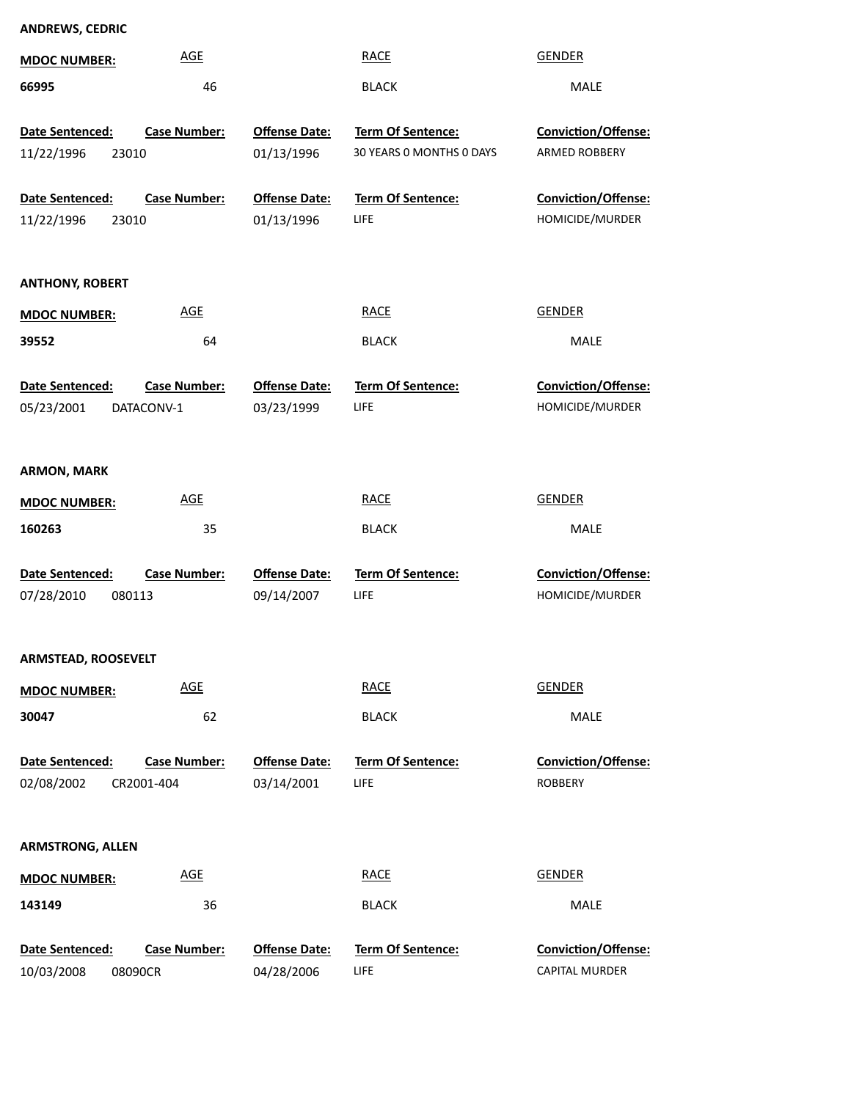| <b>MDOC NUMBER:</b>                         | <b>AGE</b>          |                                    | <b>RACE</b>                                   | <b>GENDER</b>                                |
|---------------------------------------------|---------------------|------------------------------------|-----------------------------------------------|----------------------------------------------|
| 66995                                       | 46                  |                                    | <b>BLACK</b>                                  | <b>MALE</b>                                  |
| Date Sentenced:<br>11/22/1996<br>23010      | <b>Case Number:</b> | <b>Offense Date:</b><br>01/13/1996 | Term Of Sentence:<br>30 YEARS 0 MONTHS 0 DAYS | Conviction/Offense:<br>ARMED ROBBERY         |
| Date Sentenced:<br>11/22/1996<br>23010      | <b>Case Number:</b> | <b>Offense Date:</b><br>01/13/1996 | Term Of Sentence:<br>LIFE                     | Conviction/Offense:<br>HOMICIDE/MURDER       |
| <b>ANTHONY, ROBERT</b>                      |                     |                                    |                                               |                                              |
| <b>MDOC NUMBER:</b>                         | <b>AGE</b>          |                                    | <b>RACE</b>                                   | <b>GENDER</b>                                |
| 39552                                       | 64                  |                                    | <b>BLACK</b>                                  | <b>MALE</b>                                  |
| Date Sentenced:<br>05/23/2001<br>DATACONV-1 | <b>Case Number:</b> | <b>Offense Date:</b><br>03/23/1999 | Term Of Sentence:<br><b>LIFE</b>              | Conviction/Offense:<br>HOMICIDE/MURDER       |
| <b>ARMON, MARK</b>                          |                     |                                    |                                               |                                              |
| <b>MDOC NUMBER:</b>                         | <b>AGE</b>          |                                    | <b>RACE</b>                                   | <b>GENDER</b>                                |
| 160263                                      | 35                  |                                    | <b>BLACK</b>                                  | <b>MALE</b>                                  |
| Date Sentenced:<br>07/28/2010<br>080113     | <b>Case Number:</b> | <b>Offense Date:</b><br>09/14/2007 | Term Of Sentence:<br><b>LIFE</b>              | Conviction/Offense:<br>HOMICIDE/MURDER       |
| <b>ARMSTEAD, ROOSEVELT</b>                  |                     |                                    |                                               |                                              |
| <b>MDOC NUMBER:</b>                         | <b>AGE</b>          |                                    | <b>RACE</b>                                   | <b>GENDER</b>                                |
| 30047                                       | 62                  |                                    | <b>BLACK</b>                                  | MALE                                         |
| Date Sentenced:<br>02/08/2002<br>CR2001-404 | <b>Case Number:</b> | <b>Offense Date:</b><br>03/14/2001 | Term Of Sentence:<br>LIFE                     | <b>Conviction/Offense:</b><br><b>ROBBERY</b> |
| <b>ARMSTRONG, ALLEN</b>                     |                     |                                    |                                               |                                              |
| <b>MDOC NUMBER:</b>                         | <b>AGE</b>          |                                    | <b>RACE</b>                                   | <b>GENDER</b>                                |
| 143149                                      | 36                  |                                    | <b>BLACK</b>                                  | MALE                                         |
| Date Sentenced:<br>10/03/2008<br>08090CR    | <b>Case Number:</b> | <b>Offense Date:</b><br>04/28/2006 | Term Of Sentence:<br>LIFE                     | Conviction/Offense:<br><b>CAPITAL MURDER</b> |

**ANDREWS, CEDRIC**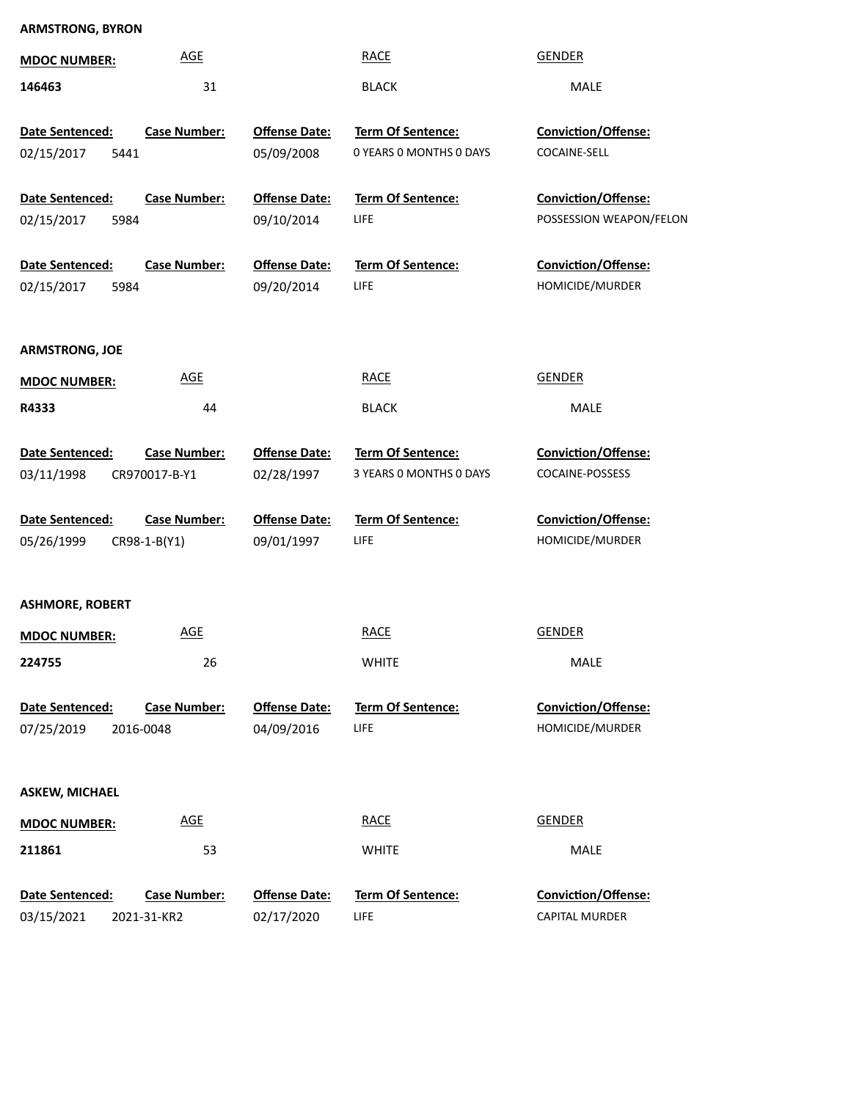## **ARMSTRONG, BYRON**

| <b>MDOC NUMBER:</b>                   | <b>AGE</b>                           |                                    | <b>RACE</b>                                  | <b>GENDER</b>                                  |
|---------------------------------------|--------------------------------------|------------------------------------|----------------------------------------------|------------------------------------------------|
| 146463                                | 31                                   |                                    | <b>BLACK</b>                                 | <b>MALE</b>                                    |
| Date Sentenced:<br>02/15/2017<br>5441 | <b>Case Number:</b>                  | <b>Offense Date:</b><br>05/09/2008 | Term Of Sentence:<br>0 YEARS O MONTHS O DAYS | Conviction/Offense:<br>COCAINE-SELL            |
| Date Sentenced:<br>02/15/2017<br>5984 | <b>Case Number:</b>                  | <b>Offense Date:</b><br>09/10/2014 | Term Of Sentence:<br><b>LIFE</b>             | Conviction/Offense:<br>POSSESSION WEAPON/FELON |
| Date Sentenced:<br>02/15/2017<br>5984 | <b>Case Number:</b>                  | <b>Offense Date:</b><br>09/20/2014 | <b>Term Of Sentence:</b><br>LIFE             | Conviction/Offense:<br>HOMICIDE/MURDER         |
| <b>ARMSTRONG, JOE</b>                 |                                      |                                    |                                              |                                                |
| <b>MDOC NUMBER:</b>                   | <b>AGE</b>                           |                                    | <b>RACE</b>                                  | <b>GENDER</b>                                  |
| R4333                                 | 44                                   |                                    | <b>BLACK</b>                                 | <b>MALE</b>                                    |
| Date Sentenced:<br>03/11/1998         | <b>Case Number:</b><br>CR970017-B-Y1 | <b>Offense Date:</b><br>02/28/1997 | Term Of Sentence:<br>3 YEARS O MONTHS O DAYS | <b>Conviction/Offense:</b><br>COCAINE-POSSESS  |
| Date Sentenced:                       | <b>Case Number:</b>                  | <b>Offense Date:</b>               | Term Of Sentence:                            | <b>Conviction/Offense:</b>                     |
| 05/26/1999                            | CR98-1-B(Y1)                         | 09/01/1997                         | <b>LIFE</b>                                  | HOMICIDE/MURDER                                |
| <b>ASHMORE, ROBERT</b>                |                                      |                                    |                                              |                                                |
| <b>MDOC NUMBER:</b>                   | <u>AGE</u>                           |                                    | <b>RACE</b>                                  | <b>GENDER</b>                                  |
| 224755                                | 26                                   |                                    | <b>WHITE</b>                                 | MALE                                           |
| Date Sentenced:<br>07/25/2019         | <b>Case Number:</b><br>2016-0048     | <b>Offense Date:</b><br>04/09/2016 | Term Of Sentence:<br><b>LIFE</b>             | Conviction/Offense:<br>HOMICIDE/MURDER         |
| <b>ASKEW, MICHAEL</b>                 |                                      |                                    |                                              |                                                |
| <b>MDOC NUMBER:</b>                   | <b>AGE</b>                           |                                    | <b>RACE</b>                                  | <b>GENDER</b>                                  |
| 211861                                | 53                                   |                                    | <b>WHITE</b>                                 | MALE                                           |
| Date Sentenced:<br>03/15/2021         | <b>Case Number:</b><br>2021-31-KR2   | <b>Offense Date:</b><br>02/17/2020 | <b>Term Of Sentence:</b><br><b>LIFE</b>      | Conviction/Offense:<br><b>CAPITAL MURDER</b>   |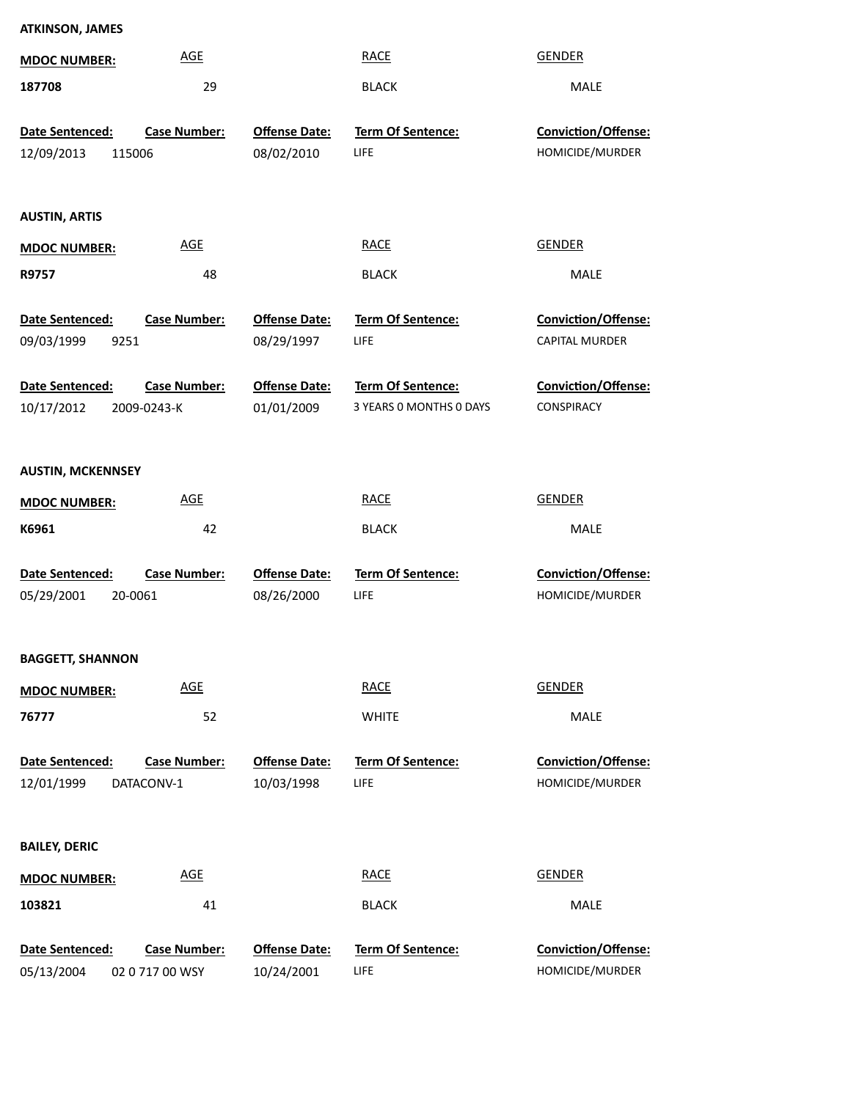| <b>AGE</b><br><b>RACE</b><br><b>GENDER</b><br><b>MDOC NUMBER:</b><br>29<br>187708<br><b>BLACK</b><br>MALE<br>Date Sentenced:<br>Case Number:<br><b>Offense Date:</b><br>Term Of Sentence:<br>Conviction/Offense:<br>HOMICIDE/MURDER<br>08/02/2010<br>LIFE<br>12/09/2013<br>115006<br><b>AUSTIN, ARTIS</b><br><b>AGE</b><br><b>RACE</b><br><b>GENDER</b><br><b>MDOC NUMBER:</b><br>R9757<br>48<br><b>BLACK</b><br>MALE<br>Date Sentenced:<br><b>Offense Date:</b><br>Term Of Sentence:<br>Conviction/Offense:<br><b>Case Number:</b><br>08/29/1997<br>LIFE<br>CAPITAL MURDER<br>09/03/1999<br>9251<br>Date Sentenced:<br><b>Case Number:</b><br><b>Offense Date:</b><br>Term Of Sentence:<br>Conviction/Offense:<br>10/17/2012<br>01/01/2009<br>3 YEARS 0 MONTHS 0 DAYS<br>CONSPIRACY<br>2009-0243-K<br><b>AUSTIN, MCKENNSEY</b><br><b>AGE</b><br><b>RACE</b><br><b>GENDER</b><br><b>MDOC NUMBER:</b><br>K6961<br>42<br>MALE<br><b>BLACK</b><br>Case Number:<br>Term Of Sentence:<br>Conviction/Offense:<br>Date Sentenced:<br><b>Offense Date:</b><br>LIFE<br>05/29/2001<br>20-0061<br>08/26/2000<br>HOMICIDE/MURDER<br><b>BAGGETT, SHANNON</b><br><b>AGE</b><br><b>GENDER</b><br><b>RACE</b><br><b>MDOC NUMBER:</b><br>MALE<br>76777<br>52<br><b>WHITE</b><br><b>Case Number:</b><br><b>Offense Date:</b><br>Term Of Sentence:<br>Conviction/Offense:<br>Date Sentenced:<br>HOMICIDE/MURDER<br>10/03/1998<br>LIFE<br>12/01/1999<br>DATACONV-1<br><b>BAILEY, DERIC</b><br><b>AGE</b><br><b>RACE</b><br><b>GENDER</b><br><b>MDOC NUMBER:</b><br>103821<br>41<br><b>BLACK</b><br>MALE<br>Date Sentenced:<br><b>Case Number:</b><br><b>Offense Date:</b><br>Term Of Sentence:<br>Conviction/Offense:<br>05/13/2004<br>10/24/2001<br>LIFE<br>HOMICIDE/MURDER<br>02 0 717 00 WSY | <b>ATKINSON, JAMES</b> |  |  |
|-----------------------------------------------------------------------------------------------------------------------------------------------------------------------------------------------------------------------------------------------------------------------------------------------------------------------------------------------------------------------------------------------------------------------------------------------------------------------------------------------------------------------------------------------------------------------------------------------------------------------------------------------------------------------------------------------------------------------------------------------------------------------------------------------------------------------------------------------------------------------------------------------------------------------------------------------------------------------------------------------------------------------------------------------------------------------------------------------------------------------------------------------------------------------------------------------------------------------------------------------------------------------------------------------------------------------------------------------------------------------------------------------------------------------------------------------------------------------------------------------------------------------------------------------------------------------------------------------------------------------------------------------------------------------------------------------------------------------------------------------------------------------------|------------------------|--|--|
|                                                                                                                                                                                                                                                                                                                                                                                                                                                                                                                                                                                                                                                                                                                                                                                                                                                                                                                                                                                                                                                                                                                                                                                                                                                                                                                                                                                                                                                                                                                                                                                                                                                                                                                                                                             |                        |  |  |
|                                                                                                                                                                                                                                                                                                                                                                                                                                                                                                                                                                                                                                                                                                                                                                                                                                                                                                                                                                                                                                                                                                                                                                                                                                                                                                                                                                                                                                                                                                                                                                                                                                                                                                                                                                             |                        |  |  |
|                                                                                                                                                                                                                                                                                                                                                                                                                                                                                                                                                                                                                                                                                                                                                                                                                                                                                                                                                                                                                                                                                                                                                                                                                                                                                                                                                                                                                                                                                                                                                                                                                                                                                                                                                                             |                        |  |  |
|                                                                                                                                                                                                                                                                                                                                                                                                                                                                                                                                                                                                                                                                                                                                                                                                                                                                                                                                                                                                                                                                                                                                                                                                                                                                                                                                                                                                                                                                                                                                                                                                                                                                                                                                                                             |                        |  |  |
|                                                                                                                                                                                                                                                                                                                                                                                                                                                                                                                                                                                                                                                                                                                                                                                                                                                                                                                                                                                                                                                                                                                                                                                                                                                                                                                                                                                                                                                                                                                                                                                                                                                                                                                                                                             |                        |  |  |
|                                                                                                                                                                                                                                                                                                                                                                                                                                                                                                                                                                                                                                                                                                                                                                                                                                                                                                                                                                                                                                                                                                                                                                                                                                                                                                                                                                                                                                                                                                                                                                                                                                                                                                                                                                             |                        |  |  |
|                                                                                                                                                                                                                                                                                                                                                                                                                                                                                                                                                                                                                                                                                                                                                                                                                                                                                                                                                                                                                                                                                                                                                                                                                                                                                                                                                                                                                                                                                                                                                                                                                                                                                                                                                                             |                        |  |  |
|                                                                                                                                                                                                                                                                                                                                                                                                                                                                                                                                                                                                                                                                                                                                                                                                                                                                                                                                                                                                                                                                                                                                                                                                                                                                                                                                                                                                                                                                                                                                                                                                                                                                                                                                                                             |                        |  |  |
|                                                                                                                                                                                                                                                                                                                                                                                                                                                                                                                                                                                                                                                                                                                                                                                                                                                                                                                                                                                                                                                                                                                                                                                                                                                                                                                                                                                                                                                                                                                                                                                                                                                                                                                                                                             |                        |  |  |
|                                                                                                                                                                                                                                                                                                                                                                                                                                                                                                                                                                                                                                                                                                                                                                                                                                                                                                                                                                                                                                                                                                                                                                                                                                                                                                                                                                                                                                                                                                                                                                                                                                                                                                                                                                             |                        |  |  |
|                                                                                                                                                                                                                                                                                                                                                                                                                                                                                                                                                                                                                                                                                                                                                                                                                                                                                                                                                                                                                                                                                                                                                                                                                                                                                                                                                                                                                                                                                                                                                                                                                                                                                                                                                                             |                        |  |  |
|                                                                                                                                                                                                                                                                                                                                                                                                                                                                                                                                                                                                                                                                                                                                                                                                                                                                                                                                                                                                                                                                                                                                                                                                                                                                                                                                                                                                                                                                                                                                                                                                                                                                                                                                                                             |                        |  |  |
|                                                                                                                                                                                                                                                                                                                                                                                                                                                                                                                                                                                                                                                                                                                                                                                                                                                                                                                                                                                                                                                                                                                                                                                                                                                                                                                                                                                                                                                                                                                                                                                                                                                                                                                                                                             |                        |  |  |
|                                                                                                                                                                                                                                                                                                                                                                                                                                                                                                                                                                                                                                                                                                                                                                                                                                                                                                                                                                                                                                                                                                                                                                                                                                                                                                                                                                                                                                                                                                                                                                                                                                                                                                                                                                             |                        |  |  |
|                                                                                                                                                                                                                                                                                                                                                                                                                                                                                                                                                                                                                                                                                                                                                                                                                                                                                                                                                                                                                                                                                                                                                                                                                                                                                                                                                                                                                                                                                                                                                                                                                                                                                                                                                                             |                        |  |  |
|                                                                                                                                                                                                                                                                                                                                                                                                                                                                                                                                                                                                                                                                                                                                                                                                                                                                                                                                                                                                                                                                                                                                                                                                                                                                                                                                                                                                                                                                                                                                                                                                                                                                                                                                                                             |                        |  |  |
|                                                                                                                                                                                                                                                                                                                                                                                                                                                                                                                                                                                                                                                                                                                                                                                                                                                                                                                                                                                                                                                                                                                                                                                                                                                                                                                                                                                                                                                                                                                                                                                                                                                                                                                                                                             |                        |  |  |
|                                                                                                                                                                                                                                                                                                                                                                                                                                                                                                                                                                                                                                                                                                                                                                                                                                                                                                                                                                                                                                                                                                                                                                                                                                                                                                                                                                                                                                                                                                                                                                                                                                                                                                                                                                             |                        |  |  |
|                                                                                                                                                                                                                                                                                                                                                                                                                                                                                                                                                                                                                                                                                                                                                                                                                                                                                                                                                                                                                                                                                                                                                                                                                                                                                                                                                                                                                                                                                                                                                                                                                                                                                                                                                                             |                        |  |  |
|                                                                                                                                                                                                                                                                                                                                                                                                                                                                                                                                                                                                                                                                                                                                                                                                                                                                                                                                                                                                                                                                                                                                                                                                                                                                                                                                                                                                                                                                                                                                                                                                                                                                                                                                                                             |                        |  |  |
|                                                                                                                                                                                                                                                                                                                                                                                                                                                                                                                                                                                                                                                                                                                                                                                                                                                                                                                                                                                                                                                                                                                                                                                                                                                                                                                                                                                                                                                                                                                                                                                                                                                                                                                                                                             |                        |  |  |
|                                                                                                                                                                                                                                                                                                                                                                                                                                                                                                                                                                                                                                                                                                                                                                                                                                                                                                                                                                                                                                                                                                                                                                                                                                                                                                                                                                                                                                                                                                                                                                                                                                                                                                                                                                             |                        |  |  |
|                                                                                                                                                                                                                                                                                                                                                                                                                                                                                                                                                                                                                                                                                                                                                                                                                                                                                                                                                                                                                                                                                                                                                                                                                                                                                                                                                                                                                                                                                                                                                                                                                                                                                                                                                                             |                        |  |  |
|                                                                                                                                                                                                                                                                                                                                                                                                                                                                                                                                                                                                                                                                                                                                                                                                                                                                                                                                                                                                                                                                                                                                                                                                                                                                                                                                                                                                                                                                                                                                                                                                                                                                                                                                                                             |                        |  |  |
|                                                                                                                                                                                                                                                                                                                                                                                                                                                                                                                                                                                                                                                                                                                                                                                                                                                                                                                                                                                                                                                                                                                                                                                                                                                                                                                                                                                                                                                                                                                                                                                                                                                                                                                                                                             |                        |  |  |
|                                                                                                                                                                                                                                                                                                                                                                                                                                                                                                                                                                                                                                                                                                                                                                                                                                                                                                                                                                                                                                                                                                                                                                                                                                                                                                                                                                                                                                                                                                                                                                                                                                                                                                                                                                             |                        |  |  |
|                                                                                                                                                                                                                                                                                                                                                                                                                                                                                                                                                                                                                                                                                                                                                                                                                                                                                                                                                                                                                                                                                                                                                                                                                                                                                                                                                                                                                                                                                                                                                                                                                                                                                                                                                                             |                        |  |  |
|                                                                                                                                                                                                                                                                                                                                                                                                                                                                                                                                                                                                                                                                                                                                                                                                                                                                                                                                                                                                                                                                                                                                                                                                                                                                                                                                                                                                                                                                                                                                                                                                                                                                                                                                                                             |                        |  |  |
|                                                                                                                                                                                                                                                                                                                                                                                                                                                                                                                                                                                                                                                                                                                                                                                                                                                                                                                                                                                                                                                                                                                                                                                                                                                                                                                                                                                                                                                                                                                                                                                                                                                                                                                                                                             |                        |  |  |
|                                                                                                                                                                                                                                                                                                                                                                                                                                                                                                                                                                                                                                                                                                                                                                                                                                                                                                                                                                                                                                                                                                                                                                                                                                                                                                                                                                                                                                                                                                                                                                                                                                                                                                                                                                             |                        |  |  |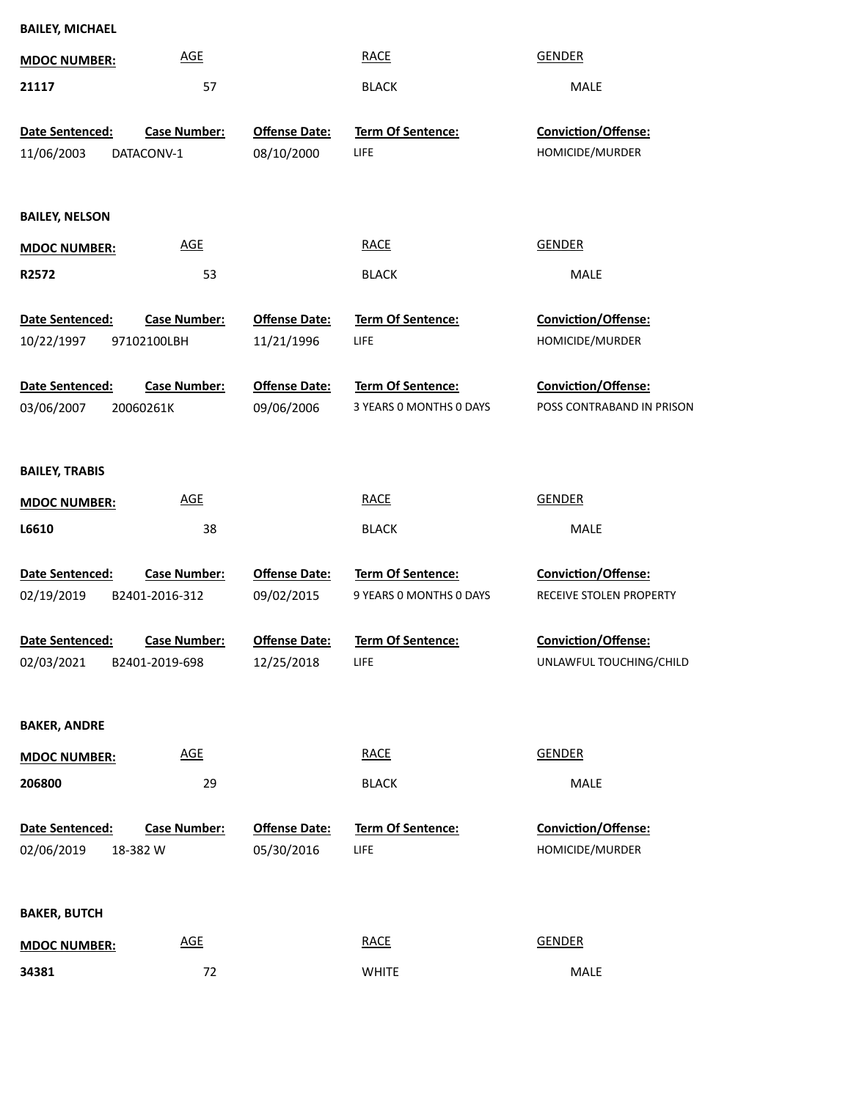| <b>BAILEY, MICHAEL</b> |                            |                      |                                              |                            |  |
|------------------------|----------------------------|----------------------|----------------------------------------------|----------------------------|--|
| <b>MDOC NUMBER:</b>    | <b>AGE</b>                 |                      | <b>RACE</b>                                  | <b>GENDER</b>              |  |
| 21117                  | 57                         |                      | <b>BLACK</b>                                 | MALE                       |  |
| Date Sentenced:        | <b>Case Number:</b>        | <b>Offense Date:</b> | Term Of Sentence:                            | Conviction/Offense:        |  |
| 11/06/2003             | DATACONV-1                 | 08/10/2000           | LIFE                                         | HOMICIDE/MURDER            |  |
|                        |                            |                      |                                              |                            |  |
| <b>BAILEY, NELSON</b>  |                            |                      |                                              |                            |  |
| <b>MDOC NUMBER:</b>    | <b>AGE</b>                 |                      | <b>RACE</b>                                  | <b>GENDER</b>              |  |
| R2572                  | 53                         |                      | <b>BLACK</b>                                 | MALE                       |  |
| Date Sentenced:        | <b>Case Number:</b>        | <b>Offense Date:</b> | <b>Term Of Sentence:</b>                     | Conviction/Offense:        |  |
| 10/22/1997             | 97102100LBH                | 11/21/1996           | <b>LIFE</b>                                  | HOMICIDE/MURDER            |  |
|                        |                            |                      |                                              |                            |  |
| Date Sentenced:        | <b>Case Number:</b>        | <b>Offense Date:</b> | Term Of Sentence:                            | Conviction/Offense:        |  |
| 03/06/2007             | 20060261K                  | 09/06/2006           | 3 YEARS 0 MONTHS 0 DAYS                      | POSS CONTRABAND IN PRISON  |  |
|                        |                            |                      |                                              |                            |  |
| <b>BAILEY, TRABIS</b>  |                            |                      |                                              |                            |  |
| <b>MDOC NUMBER:</b>    | <b>AGE</b>                 |                      | <b>RACE</b>                                  | <b>GENDER</b>              |  |
| L6610                  | 38                         |                      | <b>BLACK</b>                                 | MALE                       |  |
|                        |                            |                      |                                              |                            |  |
| Date Sentenced:        | <b>Case Number:</b>        | <b>Offense Date:</b> | Term Of Sentence:<br>9 YEARS 0 MONTHS 0 DAYS | <b>Conviction/Offense:</b> |  |
| 02/19/2019             | B2401-2016-312             | 09/02/2015           |                                              | RECEIVE STOLEN PROPERTY    |  |
| <b>Date Sentenced:</b> | <b>Case Number:</b>        | <b>Offense Date:</b> | <b>Term Of Sentence:</b>                     | <b>Conviction/Offense:</b> |  |
| 02/03/2021             | B2401-2019-698             | 12/25/2018           | <b>LIFE</b>                                  | UNLAWFUL TOUCHING/CHILD    |  |
|                        |                            |                      |                                              |                            |  |
| <b>BAKER, ANDRE</b>    |                            |                      |                                              |                            |  |
| <b>MDOC NUMBER:</b>    | $\underline{\mathsf{AGE}}$ |                      | <b>RACE</b>                                  | <b>GENDER</b>              |  |
| 206800                 | 29                         |                      | <b>BLACK</b>                                 | MALE                       |  |
| Date Sentenced:        | <b>Case Number:</b>        | <b>Offense Date:</b> | Term Of Sentence:                            | Conviction/Offense:        |  |
| 02/06/2019             | 18-382 W                   | 05/30/2016           | LIFE                                         | HOMICIDE/MURDER            |  |
|                        |                            |                      |                                              |                            |  |
| <b>BAKER, BUTCH</b>    |                            |                      |                                              |                            |  |
|                        |                            |                      |                                              |                            |  |
| <b>MDOC NUMBER:</b>    | $\underline{\mathsf{AGE}}$ |                      | <b>RACE</b>                                  | <b>GENDER</b>              |  |

72 WHITE WHITE MALE

**34381**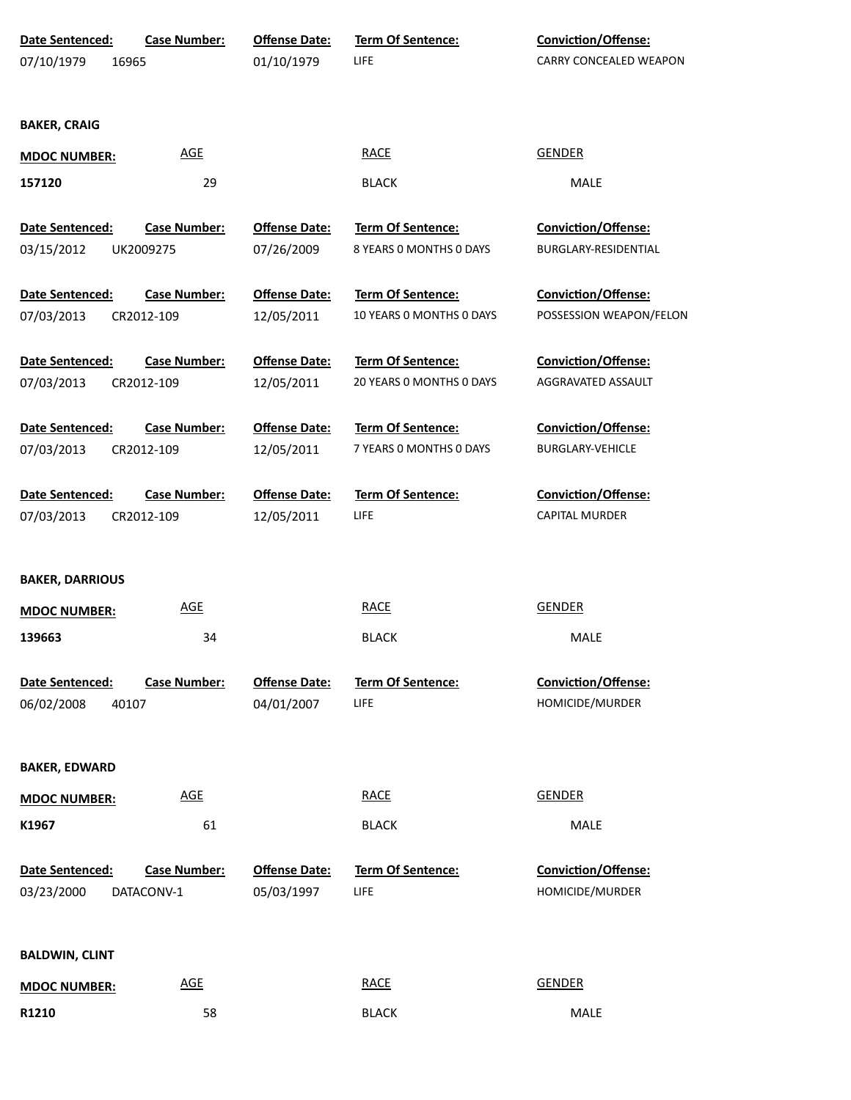| Date Sentenced:        | <b>Case Number:</b> | <b>Offense Date:</b> | Term Of Sentence:        | Conviction/Offense:        |
|------------------------|---------------------|----------------------|--------------------------|----------------------------|
| 07/10/1979             | 16965               | 01/10/1979           | <b>LIFE</b>              | CARRY CONCEALED WEAPON     |
|                        |                     |                      |                          |                            |
|                        |                     |                      |                          |                            |
| <b>BAKER, CRAIG</b>    |                     |                      |                          |                            |
| <b>MDOC NUMBER:</b>    | <b>AGE</b>          |                      | <b>RACE</b>              | <b>GENDER</b>              |
| 157120                 | 29                  |                      | <b>BLACK</b>             | MALE                       |
|                        |                     |                      |                          |                            |
| Date Sentenced:        | <b>Case Number:</b> | <b>Offense Date:</b> | <b>Term Of Sentence:</b> | <b>Conviction/Offense:</b> |
| 03/15/2012             | UK2009275           | 07/26/2009           | 8 YEARS O MONTHS O DAYS  | BURGLARY-RESIDENTIAL       |
| Date Sentenced:        | <b>Case Number:</b> | <b>Offense Date:</b> | <b>Term Of Sentence:</b> | <b>Conviction/Offense:</b> |
| 07/03/2013             | CR2012-109          | 12/05/2011           | 10 YEARS 0 MONTHS 0 DAYS | POSSESSION WEAPON/FELON    |
|                        |                     |                      |                          |                            |
| Date Sentenced:        | <b>Case Number:</b> | <b>Offense Date:</b> | <b>Term Of Sentence:</b> | <b>Conviction/Offense:</b> |
| 07/03/2013             | CR2012-109          | 12/05/2011           | 20 YEARS 0 MONTHS 0 DAYS | AGGRAVATED ASSAULT         |
|                        |                     |                      |                          |                            |
| Date Sentenced:        | <b>Case Number:</b> | <b>Offense Date:</b> | Term Of Sentence:        | <b>Conviction/Offense:</b> |
| 07/03/2013             | CR2012-109          | 12/05/2011           | 7 YEARS O MONTHS O DAYS  | <b>BURGLARY-VEHICLE</b>    |
|                        |                     |                      |                          |                            |
| Date Sentenced:        | <b>Case Number:</b> | <b>Offense Date:</b> | Term Of Sentence:        | <b>Conviction/Offense:</b> |
| 07/03/2013             | CR2012-109          | 12/05/2011           | LIFE                     | <b>CAPITAL MURDER</b>      |
|                        |                     |                      |                          |                            |
| <b>BAKER, DARRIOUS</b> |                     |                      |                          |                            |
| <b>MDOC NUMBER:</b>    | <b>AGE</b>          |                      | <b>RACE</b>              | <b>GENDER</b>              |
| 139663                 | 34                  |                      | <b>BLACK</b>             | MALE                       |
|                        |                     |                      |                          |                            |
| <b>Date Sentenced:</b> | <b>Case Number:</b> | <b>Offense Date:</b> | <b>Term Of Sentence:</b> | Conviction/Offense:        |
| 06/02/2008             | 40107               | 04/01/2007           | <b>LIFE</b>              | HOMICIDE/MURDER            |
|                        |                     |                      |                          |                            |
|                        |                     |                      |                          |                            |
| <b>BAKER, EDWARD</b>   |                     |                      |                          |                            |
| <b>MDOC NUMBER:</b>    | <b>AGE</b>          |                      | <b>RACE</b>              | <b>GENDER</b>              |
| K1967                  | 61                  |                      | <b>BLACK</b>             | MALE                       |
|                        |                     |                      |                          |                            |
| Date Sentenced:        | <b>Case Number:</b> | <b>Offense Date:</b> | <b>Term Of Sentence:</b> | <b>Conviction/Offense:</b> |
| 03/23/2000             | DATACONV-1          | 05/03/1997           | LIFE                     | HOMICIDE/MURDER            |
|                        |                     |                      |                          |                            |
| <b>BALDWIN, CLINT</b>  |                     |                      |                          |                            |
|                        | <b>AGE</b>          |                      | <b>RACE</b>              | <b>GENDER</b>              |
| <b>MDOC NUMBER:</b>    |                     |                      |                          |                            |
| R1210                  | 58                  |                      | <b>BLACK</b>             | MALE                       |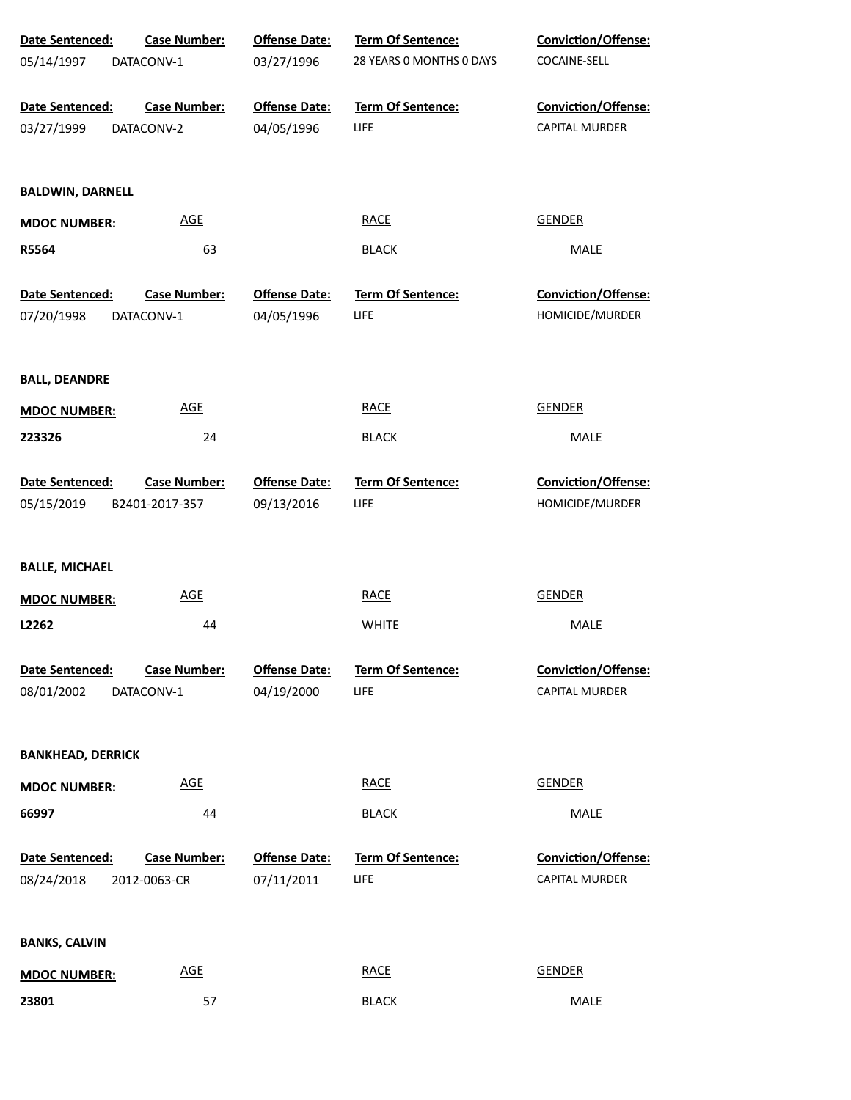| Date Sentenced:          | <b>Case Number:</b> | <b>Offense Date:</b> | Term Of Sentence:        | Conviction/Offense:        |
|--------------------------|---------------------|----------------------|--------------------------|----------------------------|
| 05/14/1997               | DATACONV-1          | 03/27/1996           | 28 YEARS 0 MONTHS 0 DAYS | COCAINE-SELL               |
| Date Sentenced:          | <b>Case Number:</b> | <b>Offense Date:</b> | <b>Term Of Sentence:</b> | Conviction/Offense:        |
| 03/27/1999               | DATACONV-2          | 04/05/1996           | LIFE                     | CAPITAL MURDER             |
| <b>BALDWIN, DARNELL</b>  |                     |                      |                          |                            |
| <b>MDOC NUMBER:</b>      | <b>AGE</b>          |                      | <b>RACE</b>              | <b>GENDER</b>              |
| R5564                    | 63                  |                      | <b>BLACK</b>             | MALE                       |
| Date Sentenced:          | <b>Case Number:</b> | <b>Offense Date:</b> | Term Of Sentence:        | <b>Conviction/Offense:</b> |
| 07/20/1998               | DATACONV-1          | 04/05/1996           | LIFE                     | HOMICIDE/MURDER            |
| <b>BALL, DEANDRE</b>     |                     |                      |                          |                            |
| <b>MDOC NUMBER:</b>      | AGE                 |                      | <b>RACE</b>              | <b>GENDER</b>              |
| 223326                   | 24                  |                      | <b>BLACK</b>             | MALE                       |
| Date Sentenced:          | <b>Case Number:</b> | <b>Offense Date:</b> | Term Of Sentence:        | Conviction/Offense:        |
| 05/15/2019               | B2401-2017-357      | 09/13/2016           | LIFE                     | HOMICIDE/MURDER            |
| <b>BALLE, MICHAEL</b>    |                     |                      |                          |                            |
| <b>MDOC NUMBER:</b>      | <b>AGE</b>          |                      | <b>RACE</b>              | <b>GENDER</b>              |
| L2262                    | 44                  |                      | <b>WHITE</b>             | MALE                       |
| Date Sentenced:          | <b>Case Number:</b> | <b>Offense Date:</b> | <b>Term Of Sentence:</b> | Conviction/Offense:        |
| 08/01/2002               | DATACONV-1          | 04/19/2000           | LIFE                     | <b>CAPITAL MURDER</b>      |
| <b>BANKHEAD, DERRICK</b> |                     |                      |                          |                            |
| <b>MDOC NUMBER:</b>      | AGE                 |                      | <b>RACE</b>              | <b>GENDER</b>              |
| 66997                    | 44                  |                      | <b>BLACK</b>             | MALE                       |
| Date Sentenced:          | <b>Case Number:</b> | <b>Offense Date:</b> | Term Of Sentence:        | Conviction/Offense:        |
| 08/24/2018               | 2012-0063-CR        | 07/11/2011           | LIFE                     | <b>CAPITAL MURDER</b>      |
| <b>BANKS, CALVIN</b>     |                     |                      |                          |                            |
| <b>MDOC NUMBER:</b>      | <b>AGE</b>          |                      | <b>RACE</b>              | <b>GENDER</b>              |
| 23801                    | 57                  |                      | <b>BLACK</b>             | MALE                       |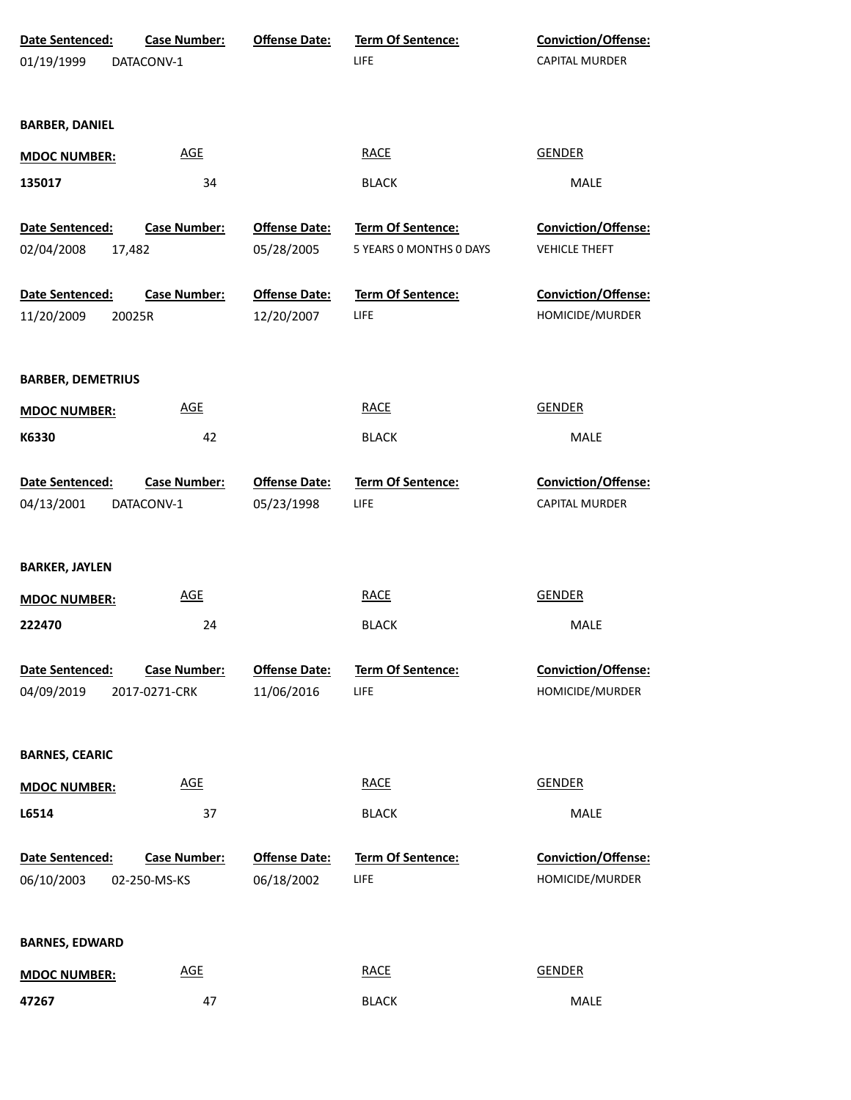| Date Sentenced:<br>01/19/1999 | <b>Case Number:</b><br>DATACONV-1   | <b>Offense Date:</b>               | Term Of Sentence:<br>LIFE | Conviction/Offense:<br>CAPITAL MURDER         |  |
|-------------------------------|-------------------------------------|------------------------------------|---------------------------|-----------------------------------------------|--|
|                               |                                     |                                    |                           |                                               |  |
| <b>BARBER, DANIEL</b>         |                                     |                                    |                           |                                               |  |
| <b>MDOC NUMBER:</b>           | <b>AGE</b>                          |                                    | <b>RACE</b>               | <b>GENDER</b>                                 |  |
| 135017                        | 34                                  |                                    | <b>BLACK</b>              | <b>MALE</b>                                   |  |
| Date Sentenced:               | <b>Case Number:</b>                 | <b>Offense Date:</b>               | Term Of Sentence:         | Conviction/Offense:                           |  |
| 02/04/2008<br>17,482          |                                     | 05/28/2005                         | 5 YEARS 0 MONTHS 0 DAYS   | <b>VEHICLE THEFT</b>                          |  |
| Date Sentenced:<br>11/20/2009 | <b>Case Number:</b><br>20025R       | <b>Offense Date:</b><br>12/20/2007 | Term Of Sentence:<br>LIFE | Conviction/Offense:<br>HOMICIDE/MURDER        |  |
| <b>BARBER, DEMETRIUS</b>      |                                     |                                    |                           |                                               |  |
| <b>MDOC NUMBER:</b>           | <b>AGE</b>                          |                                    | <b>RACE</b>               | <b>GENDER</b>                                 |  |
| K6330                         | 42                                  |                                    | <b>BLACK</b>              | <b>MALE</b>                                   |  |
| Date Sentenced:<br>04/13/2001 | <b>Case Number:</b><br>DATACONV-1   | <b>Offense Date:</b><br>05/23/1998 | Term Of Sentence:<br>LIFE | Conviction/Offense:<br>CAPITAL MURDER         |  |
| <b>BARKER, JAYLEN</b>         |                                     |                                    |                           |                                               |  |
| <b>MDOC NUMBER:</b>           | <b>AGE</b>                          |                                    | <b>RACE</b>               | <b>GENDER</b>                                 |  |
| 222470                        | 24                                  |                                    | <b>BLACK</b>              | <b>MALE</b>                                   |  |
| Date Sentenced:               | <b>Case Number:</b>                 | <b>Offense Date:</b>               | <b>Term Of Sentence:</b>  | <b>Conviction/Offense:</b>                    |  |
| 04/09/2019                    | 2017-0271-CRK                       | 11/06/2016                         | LIFE                      | HOMICIDE/MURDER                               |  |
| <b>BARNES, CEARIC</b>         |                                     |                                    |                           |                                               |  |
| <b>MDOC NUMBER:</b>           | <b>AGE</b>                          |                                    | <b>RACE</b>               | <b>GENDER</b>                                 |  |
| L6514                         | 37                                  |                                    | <b>BLACK</b>              | MALE                                          |  |
| Date Sentenced:<br>06/10/2003 | <b>Case Number:</b><br>02-250-MS-KS | <b>Offense Date:</b><br>06/18/2002 | Term Of Sentence:<br>LIFE | <b>Conviction/Offense:</b><br>HOMICIDE/MURDER |  |
| <b>BARNES, EDWARD</b>         |                                     |                                    |                           |                                               |  |
| <b>MDOC NUMBER:</b>           | <b>AGE</b>                          |                                    | <b>RACE</b>               | <b>GENDER</b>                                 |  |
| 47267                         | 47                                  |                                    | <b>BLACK</b>              | MALE                                          |  |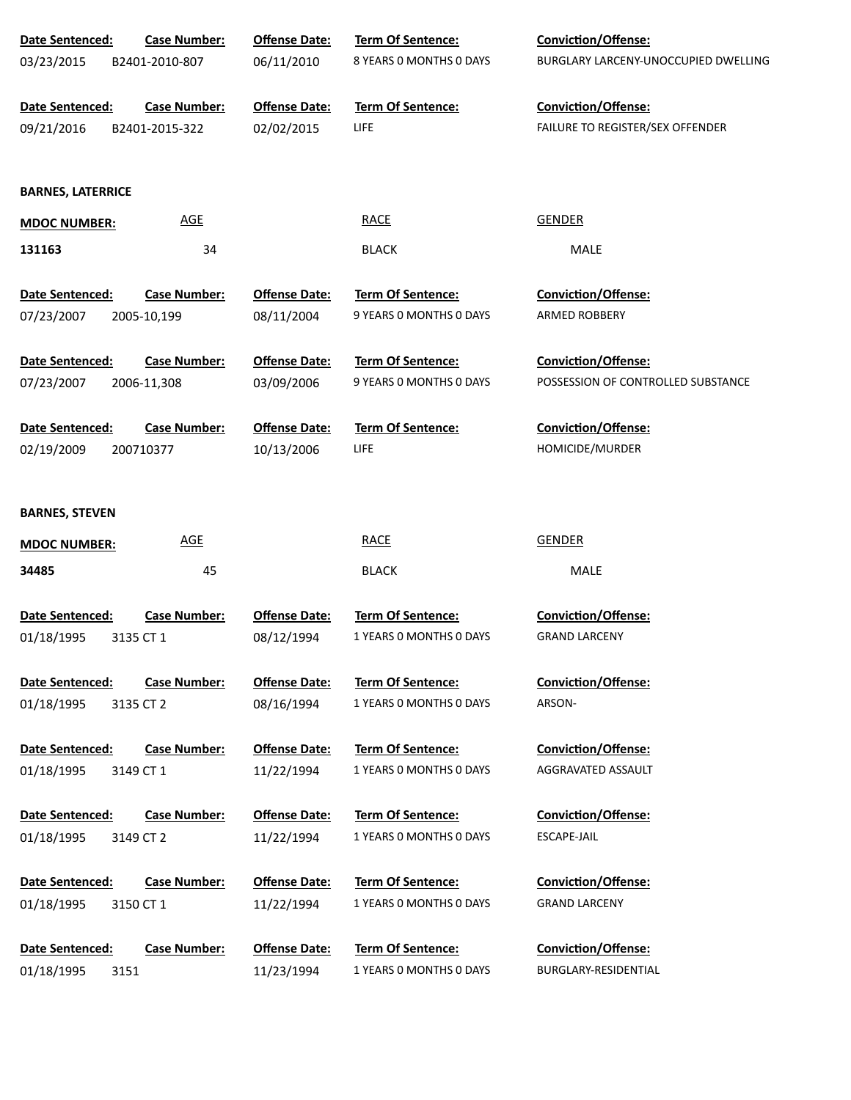| Date Sentenced:          | <b>Case Number:</b> | <b>Offense Date:</b> | Term Of Sentence:                            | Conviction/Offense:                                |
|--------------------------|---------------------|----------------------|----------------------------------------------|----------------------------------------------------|
| 03/23/2015               | B2401-2010-807      | 06/11/2010           | 8 YEARS O MONTHS O DAYS                      | BURGLARY LARCENY-UNOCCUPIED DWELLING               |
|                          |                     |                      |                                              |                                                    |
| Date Sentenced:          | <b>Case Number:</b> | <b>Offense Date:</b> | Term Of Sentence:                            | Conviction/Offense:                                |
| 09/21/2016               | B2401-2015-322      | 02/02/2015           | LIFE                                         | FAILURE TO REGISTER/SEX OFFENDER                   |
|                          |                     |                      |                                              |                                                    |
| <b>BARNES, LATERRICE</b> |                     |                      |                                              |                                                    |
| <b>MDOC NUMBER:</b>      | <b>AGE</b>          |                      | <b>RACE</b>                                  | <b>GENDER</b>                                      |
|                          |                     |                      |                                              |                                                    |
| 131163                   | 34                  |                      | <b>BLACK</b>                                 | <b>MALE</b>                                        |
| Date Sentenced:          | <b>Case Number:</b> | <b>Offense Date:</b> | Term Of Sentence:                            | Conviction/Offense:                                |
| 07/23/2007               | 2005-10,199         | 08/11/2004           | 9 YEARS O MONTHS O DAYS                      | ARMED ROBBERY                                      |
|                          |                     |                      |                                              |                                                    |
| Date Sentenced:          | <b>Case Number:</b> | <b>Offense Date:</b> | Term Of Sentence:                            | <b>Conviction/Offense:</b>                         |
| 07/23/2007               | 2006-11,308         | 03/09/2006           | 9 YEARS O MONTHS O DAYS                      | POSSESSION OF CONTROLLED SUBSTANCE                 |
|                          |                     |                      |                                              |                                                    |
| Date Sentenced:          | <b>Case Number:</b> | <b>Offense Date:</b> | Term Of Sentence:                            | Conviction/Offense:                                |
| 02/19/2009               | 200710377           | 10/13/2006           | LIFE                                         | HOMICIDE/MURDER                                    |
|                          |                     |                      |                                              |                                                    |
| <b>BARNES, STEVEN</b>    |                     |                      |                                              |                                                    |
| <b>MDOC NUMBER:</b>      | <b>AGE</b>          |                      | <b>RACE</b>                                  | <b>GENDER</b>                                      |
| 34485                    | 45                  |                      | <b>BLACK</b>                                 | <b>MALE</b>                                        |
|                          |                     |                      |                                              |                                                    |
| Date Sentenced:          | <b>Case Number:</b> | <b>Offense Date:</b> | Term Of Sentence:                            | Conviction/Offense:                                |
| 01/18/1995               | 3135 CT 1           | 08/12/1994           | 1 YEARS 0 MONTHS 0 DAYS                      | <b>GRAND LARCENY</b>                               |
|                          |                     |                      |                                              |                                                    |
| Date Sentenced:          | <b>Case Number:</b> | <b>Offense Date:</b> | Term Of Sentence:                            | <b>Conviction/Offense:</b>                         |
| 01/18/1995               | 3135 CT 2           | 08/16/1994           | 1 YEARS 0 MONTHS 0 DAYS                      | ARSON-                                             |
| Date Sentenced:          | <b>Case Number:</b> | <b>Offense Date:</b> | Term Of Sentence:                            | <b>Conviction/Offense:</b>                         |
| 01/18/1995               | 3149 CT 1           | 11/22/1994           | 1 YEARS 0 MONTHS 0 DAYS                      | AGGRAVATED ASSAULT                                 |
|                          |                     |                      |                                              |                                                    |
| Date Sentenced:          | <b>Case Number:</b> | <b>Offense Date:</b> | Term Of Sentence:                            | <b>Conviction/Offense:</b>                         |
| 01/18/1995               | 3149 CT 2           | 11/22/1994           | 1 YEARS 0 MONTHS 0 DAYS                      | ESCAPE-JAIL                                        |
|                          |                     |                      |                                              |                                                    |
| Date Sentenced:          | <b>Case Number:</b> | <b>Offense Date:</b> | Term Of Sentence:                            | <b>Conviction/Offense:</b>                         |
| 01/18/1995               | 3150 CT 1           | 11/22/1994           | 1 YEARS 0 MONTHS 0 DAYS                      | <b>GRAND LARCENY</b>                               |
|                          |                     |                      |                                              |                                                    |
| Date Sentenced:          | <b>Case Number:</b> | <b>Offense Date:</b> | Term Of Sentence:<br>1 YEARS 0 MONTHS 0 DAYS | <b>Conviction/Offense:</b><br>BURGLARY-RESIDENTIAL |
| 01/18/1995<br>3151       |                     | 11/23/1994           |                                              |                                                    |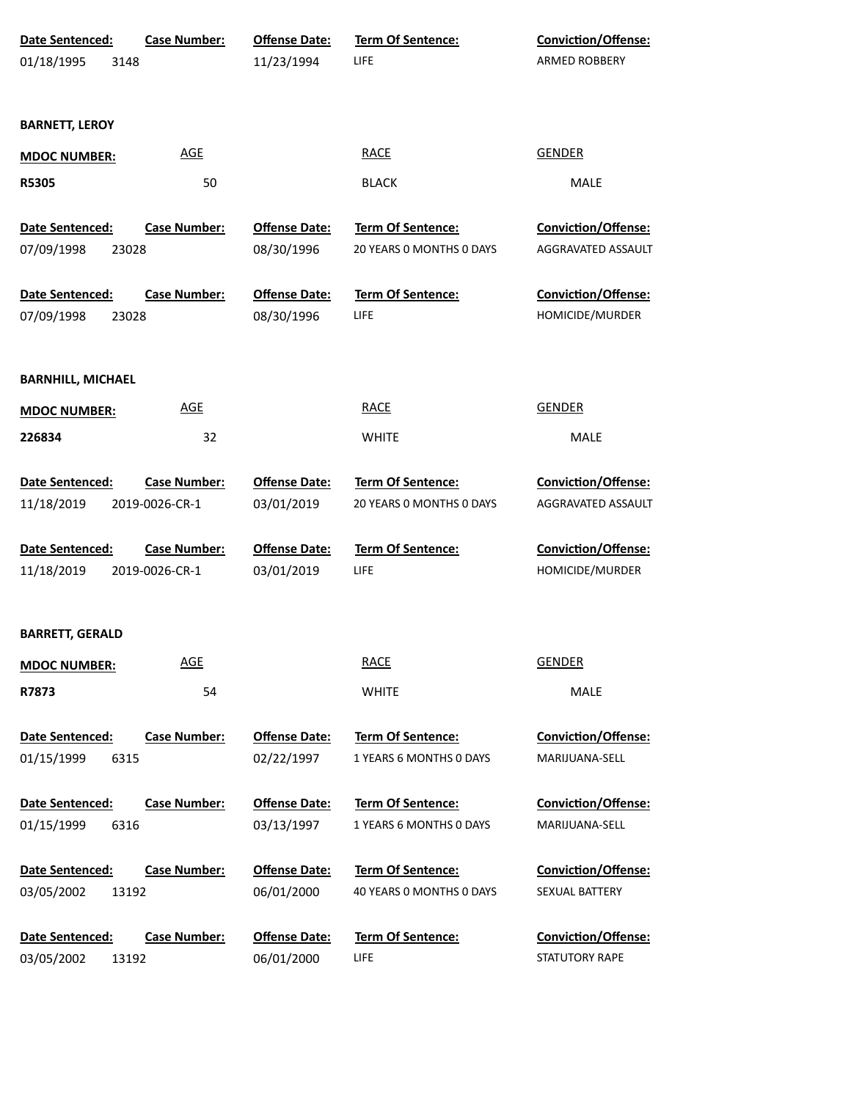| <b>Date Sentenced:</b><br>01/18/1995<br>3148  | <b>Case Number:</b>                   | <b>Offense Date:</b><br>11/23/1994 | Term Of Sentence:<br>LIFE                            | <b>Conviction/Offense:</b><br>ARMED ROBBERY      |
|-----------------------------------------------|---------------------------------------|------------------------------------|------------------------------------------------------|--------------------------------------------------|
| <b>BARNETT, LEROY</b>                         |                                       |                                    |                                                      |                                                  |
| <b>MDOC NUMBER:</b>                           | <b>AGE</b>                            |                                    | <b>RACE</b>                                          | <b>GENDER</b>                                    |
| R5305                                         | 50                                    |                                    | <b>BLACK</b>                                         | MALE                                             |
| <b>Date Sentenced:</b><br>07/09/1998<br>23028 | <b>Case Number:</b>                   | <b>Offense Date:</b><br>08/30/1996 | Term Of Sentence:<br>20 YEARS O MONTHS O DAYS        | <b>Conviction/Offense:</b><br>AGGRAVATED ASSAULT |
| Date Sentenced:                               | <b>Case Number:</b>                   | <b>Offense Date:</b>               | Term Of Sentence:                                    | Conviction/Offense:                              |
| 07/09/1998<br>23028                           |                                       | 08/30/1996                         | LIFE                                                 | HOMICIDE/MURDER                                  |
| <b>BARNHILL, MICHAEL</b>                      |                                       |                                    |                                                      |                                                  |
| <b>MDOC NUMBER:</b>                           | <b>AGE</b>                            |                                    | <b>RACE</b>                                          | <b>GENDER</b>                                    |
| 226834                                        | 32                                    |                                    | <b>WHITE</b>                                         | MALE                                             |
| Date Sentenced:<br>11/18/2019                 | <b>Case Number:</b><br>2019-0026-CR-1 | <b>Offense Date:</b><br>03/01/2019 | <b>Term Of Sentence:</b><br>20 YEARS 0 MONTHS 0 DAYS | <b>Conviction/Offense:</b><br>AGGRAVATED ASSAULT |
| Date Sentenced:<br>11/18/2019                 | <b>Case Number:</b><br>2019-0026-CR-1 | <b>Offense Date:</b><br>03/01/2019 | <b>Term Of Sentence:</b><br>LIFE                     | <b>Conviction/Offense:</b><br>HOMICIDE/MURDER    |
| <b>BARRETT, GERALD</b>                        |                                       |                                    |                                                      |                                                  |
| <b>MDOC NUMBER:</b>                           | <b>AGE</b>                            |                                    | <b>RACE</b>                                          | <b>GENDER</b>                                    |
| R7873                                         | 54                                    |                                    | <b>WHITE</b>                                         | MALE                                             |
| Date Sentenced:                               | <b>Case Number:</b>                   | <b>Offense Date:</b>               | Term Of Sentence:                                    | <b>Conviction/Offense:</b>                       |
| 01/15/1999<br>6315                            |                                       | 02/22/1997                         | 1 YEARS 6 MONTHS 0 DAYS                              | MARIJUANA-SELL                                   |
| Date Sentenced:<br>01/15/1999<br>6316         | <b>Case Number:</b>                   | <b>Offense Date:</b><br>03/13/1997 | Term Of Sentence:<br>1 YEARS 6 MONTHS 0 DAYS         | Conviction/Offense:<br>MARIJUANA-SELL            |
| Date Sentenced:<br>03/05/2002<br>13192        | <b>Case Number:</b>                   | <b>Offense Date:</b><br>06/01/2000 | Term Of Sentence:<br>40 YEARS 0 MONTHS 0 DAYS        | Conviction/Offense:<br>SEXUAL BATTERY            |
| Date Sentenced:<br>03/05/2002<br>13192        | <b>Case Number:</b>                   | <b>Offense Date:</b><br>06/01/2000 | Term Of Sentence:<br>LIFE                            | Conviction/Offense:<br>STATUTORY RAPE            |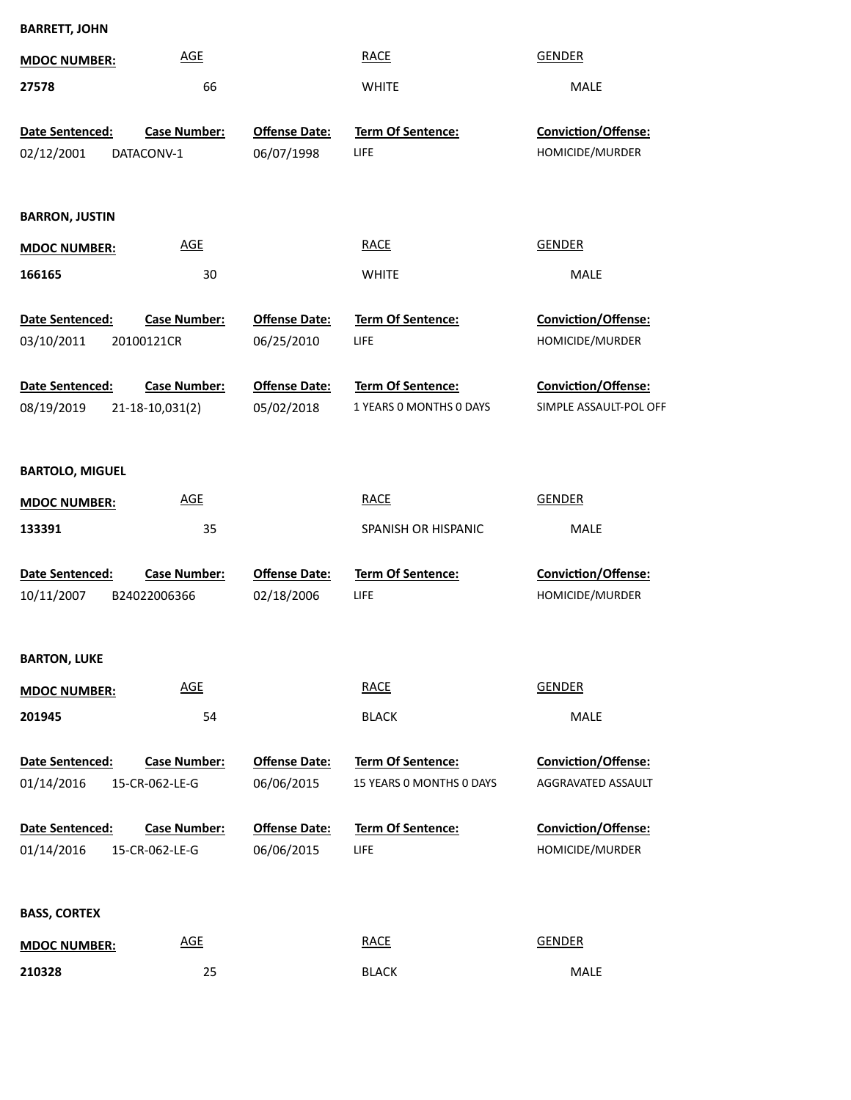| <b>BARRETT, JOHN</b>   |                     |                      |                          |                            |  |
|------------------------|---------------------|----------------------|--------------------------|----------------------------|--|
| <b>MDOC NUMBER:</b>    | <b>AGE</b>          |                      | <b>RACE</b>              | <b>GENDER</b>              |  |
| 27578                  | 66                  |                      | <b>WHITE</b>             | MALE                       |  |
| Date Sentenced:        | <b>Case Number:</b> | <b>Offense Date:</b> | Term Of Sentence:        | Conviction/Offense:        |  |
| 02/12/2001             | DATACONV-1          | 06/07/1998           | LIFE                     | HOMICIDE/MURDER            |  |
| <b>BARRON, JUSTIN</b>  |                     |                      |                          |                            |  |
| <b>MDOC NUMBER:</b>    | <b>AGE</b>          |                      | <b>RACE</b>              | <b>GENDER</b>              |  |
| 166165                 | 30                  |                      | <b>WHITE</b>             | MALE                       |  |
| Date Sentenced:        | <b>Case Number:</b> | <b>Offense Date:</b> | <b>Term Of Sentence:</b> | <b>Conviction/Offense:</b> |  |
| 03/10/2011             | 20100121CR          | 06/25/2010           | LIFE                     | HOMICIDE/MURDER            |  |
| Date Sentenced:        | <b>Case Number:</b> | <b>Offense Date:</b> | Term Of Sentence:        | <b>Conviction/Offense:</b> |  |
| 08/19/2019             | 21-18-10,031(2)     | 05/02/2018           | 1 YEARS O MONTHS O DAYS  | SIMPLE ASSAULT-POL OFF     |  |
| <b>BARTOLO, MIGUEL</b> |                     |                      |                          |                            |  |
| <b>MDOC NUMBER:</b>    | <b>AGE</b>          |                      | <b>RACE</b>              | <b>GENDER</b>              |  |
| 133391                 | 35                  |                      | SPANISH OR HISPANIC      | MALE                       |  |
| Date Sentenced:        | <b>Case Number:</b> | <b>Offense Date:</b> | Term Of Sentence:        | Conviction/Offense:        |  |
| 10/11/2007             | B24022006366        | 02/18/2006           | LIFE                     | HOMICIDE/MURDER            |  |
| <b>BARTON, LUKE</b>    |                     |                      |                          |                            |  |
| <b>MDOC NUMBER:</b>    | <b>AGE</b>          |                      | <b>RACE</b>              | <b>GENDER</b>              |  |
| 201945                 | 54                  |                      | <b>BLACK</b>             | MALE                       |  |
| Date Sentenced:        | <b>Case Number:</b> | <b>Offense Date:</b> | <b>Term Of Sentence:</b> | <b>Conviction/Offense:</b> |  |
| 01/14/2016             | 15-CR-062-LE-G      | 06/06/2015           | 15 YEARS 0 MONTHS 0 DAYS | AGGRAVATED ASSAULT         |  |
| Date Sentenced:        | <b>Case Number:</b> | <b>Offense Date:</b> | <b>Term Of Sentence:</b> | <b>Conviction/Offense:</b> |  |
| 01/14/2016             | 15-CR-062-LE-G      | 06/06/2015           | LIFE                     | HOMICIDE/MURDER            |  |
| <b>BASS, CORTEX</b>    |                     |                      |                          |                            |  |
| <b>MDOC NUMBER:</b>    | <b>AGE</b>          |                      | <b>RACE</b>              | <b>GENDER</b>              |  |
| 210328                 | 25                  |                      | <b>BLACK</b>             | MALE                       |  |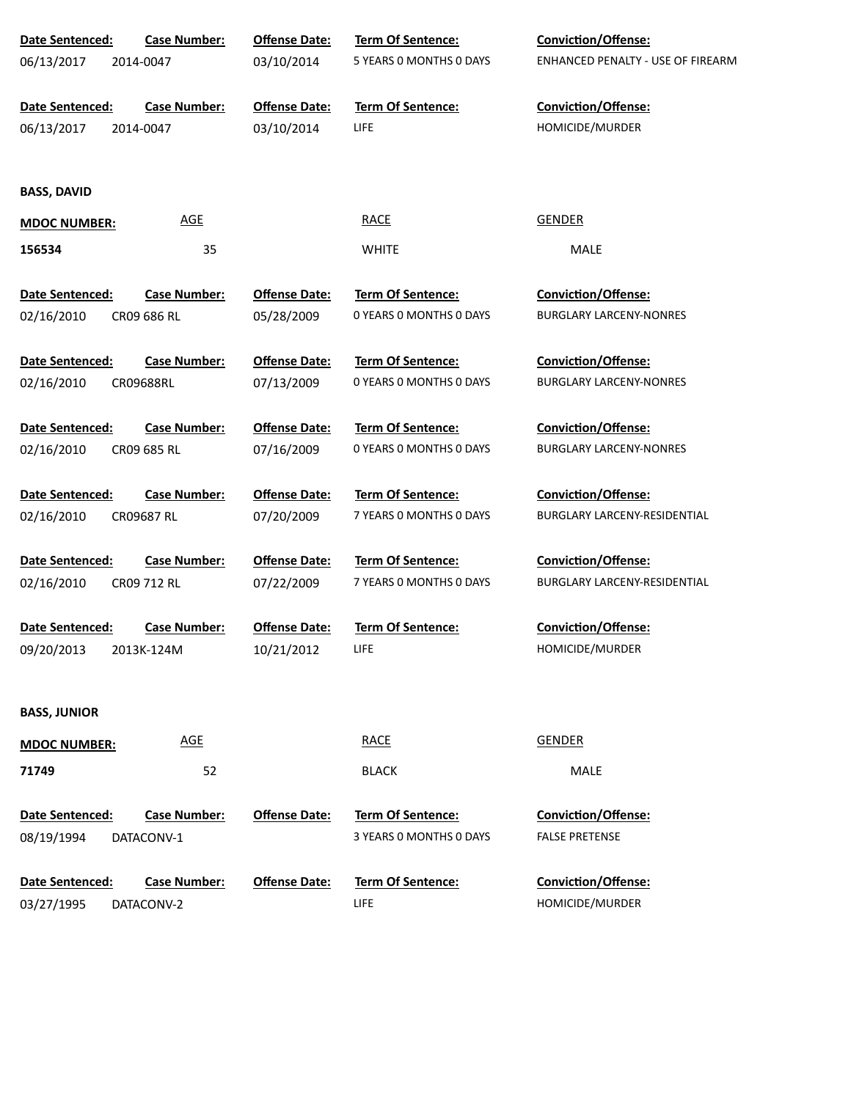| Date Sentenced:        | <b>Case Number:</b> | <b>Offense Date:</b> | Term Of Sentence:        | <b>Conviction/Offense:</b>               |
|------------------------|---------------------|----------------------|--------------------------|------------------------------------------|
| 06/13/2017             | 2014-0047           | 03/10/2014           | 5 YEARS 0 MONTHS 0 DAYS  | <b>ENHANCED PENALTY - USE OF FIREARM</b> |
|                        |                     |                      |                          |                                          |
| Date Sentenced:        | <b>Case Number:</b> | <b>Offense Date:</b> | <b>Term Of Sentence:</b> | Conviction/Offense:                      |
| 06/13/2017             | 2014-0047           | 03/10/2014           | LIFE                     | HOMICIDE/MURDER                          |
|                        |                     |                      |                          |                                          |
| <b>BASS, DAVID</b>     |                     |                      |                          |                                          |
| <b>MDOC NUMBER:</b>    | <b>AGE</b>          |                      | <b>RACE</b>              | <b>GENDER</b>                            |
| 156534                 | 35                  |                      | <b>WHITE</b>             | MALE                                     |
|                        |                     |                      |                          |                                          |
| Date Sentenced:        | <b>Case Number:</b> | <b>Offense Date:</b> | Term Of Sentence:        | Conviction/Offense:                      |
| 02/16/2010             | CR09 686 RL         | 05/28/2009           | 0 YEARS 0 MONTHS 0 DAYS  | <b>BURGLARY LARCENY-NONRES</b>           |
|                        |                     |                      |                          |                                          |
| <b>Date Sentenced:</b> | <b>Case Number:</b> | <b>Offense Date:</b> | Term Of Sentence:        | <b>Conviction/Offense:</b>               |
| 02/16/2010             | CR09688RL           | 07/13/2009           | 0 YEARS 0 MONTHS 0 DAYS  | <b>BURGLARY LARCENY-NONRES</b>           |
|                        |                     |                      |                          |                                          |
| Date Sentenced:        | <b>Case Number:</b> | <b>Offense Date:</b> | <b>Term Of Sentence:</b> | Conviction/Offense:                      |
| 02/16/2010             | CR09 685 RL         | 07/16/2009           | 0 YEARS 0 MONTHS 0 DAYS  | <b>BURGLARY LARCENY-NONRES</b>           |
| Date Sentenced:        | <b>Case Number:</b> | <b>Offense Date:</b> | Term Of Sentence:        | Conviction/Offense:                      |
| 02/16/2010             | CR09687 RL          | 07/20/2009           | 7 YEARS 0 MONTHS 0 DAYS  | BURGLARY LARCENY-RESIDENTIAL             |
|                        |                     |                      |                          |                                          |
| Date Sentenced:        | <b>Case Number:</b> | <b>Offense Date:</b> | Term Of Sentence:        | <b>Conviction/Offense:</b>               |
| 02/16/2010             | CR09 712 RL         | 07/22/2009           | 7 YEARS 0 MONTHS 0 DAYS  | BURGLARY LARCENY-RESIDENTIAL             |
|                        |                     |                      |                          |                                          |
| Date Sentenced:        | <b>Case Number:</b> | <b>Offense Date:</b> | Term Of Sentence:        | Conviction/Offense:                      |
| 09/20/2013             | 2013K-124M          | 10/21/2012           | LIFE                     | HOMICIDE/MURDER                          |
|                        |                     |                      |                          |                                          |
| <b>BASS, JUNIOR</b>    |                     |                      |                          |                                          |
|                        | <b>AGE</b>          |                      | <b>RACE</b>              | <b>GENDER</b>                            |
| <b>MDOC NUMBER:</b>    |                     |                      |                          |                                          |
| 71749                  | 52                  |                      | <b>BLACK</b>             | MALE                                     |
|                        |                     |                      |                          |                                          |
| Date Sentenced:        | <b>Case Number:</b> | <b>Offense Date:</b> | <b>Term Of Sentence:</b> | Conviction/Offense:                      |
| 08/19/1994             | DATACONV-1          |                      | 3 YEARS 0 MONTHS 0 DAYS  | <b>FALSE PRETENSE</b>                    |
| Date Sentenced:        | <b>Case Number:</b> | <b>Offense Date:</b> | <b>Term Of Sentence:</b> | Conviction/Offense:                      |
| 03/27/1995             | DATACONV-2          |                      | LIFE                     | HOMICIDE/MURDER                          |
|                        |                     |                      |                          |                                          |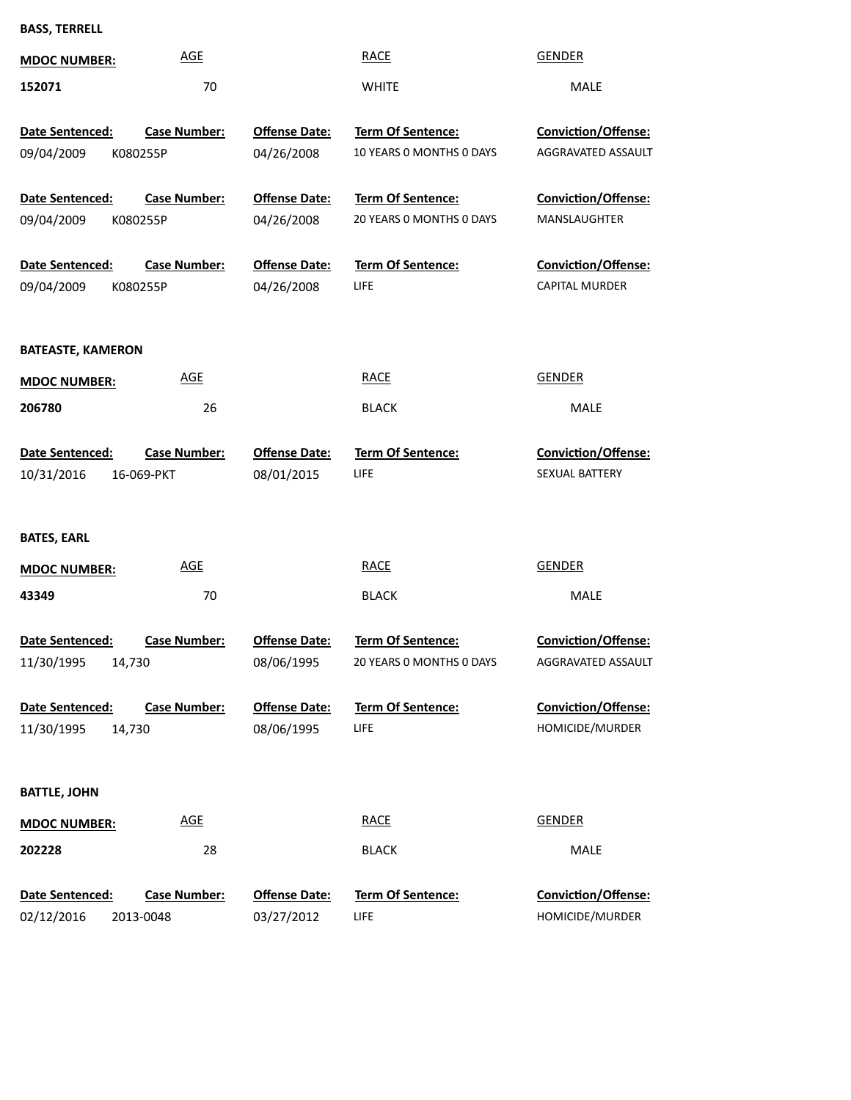**BASS, TERRELL**

| <b>MDOC NUMBER:</b>                              | <b>AGE</b>                        |                                    | <b>RACE</b>                                          | <b>GENDER</b>                                       |
|--------------------------------------------------|-----------------------------------|------------------------------------|------------------------------------------------------|-----------------------------------------------------|
| 152071                                           | 70                                |                                    | <b>WHITE</b>                                         | MALE                                                |
| <b>Date Sentenced:</b><br>09/04/2009<br>K080255P | <b>Case Number:</b>               | <b>Offense Date:</b><br>04/26/2008 | <b>Term Of Sentence:</b><br>10 YEARS O MONTHS O DAYS | <b>Conviction/Offense:</b><br>AGGRAVATED ASSAULT    |
| <b>Date Sentenced:</b><br>09/04/2009<br>K080255P | <b>Case Number:</b>               | <b>Offense Date:</b><br>04/26/2008 | <b>Term Of Sentence:</b><br>20 YEARS O MONTHS O DAYS | <b>Conviction/Offense:</b><br>MANSLAUGHTER          |
| Date Sentenced:<br>09/04/2009<br>K080255P        | <b>Case Number:</b>               | <b>Offense Date:</b><br>04/26/2008 | <b>Term Of Sentence:</b><br><b>LIFE</b>              | <b>Conviction/Offense:</b><br><b>CAPITAL MURDER</b> |
| <b>BATEASTE, KAMERON</b>                         |                                   |                                    |                                                      |                                                     |
| <b>MDOC NUMBER:</b>                              | <b>AGE</b>                        |                                    | <b>RACE</b>                                          | <b>GENDER</b>                                       |
| 206780                                           | 26                                |                                    | <b>BLACK</b>                                         | MALE                                                |
| <b>Date Sentenced:</b><br>10/31/2016             | <b>Case Number:</b><br>16-069-PKT | <b>Offense Date:</b><br>08/01/2015 | <b>Term Of Sentence:</b><br><b>LIFE</b>              | <b>Conviction/Offense:</b><br>SEXUAL BATTERY        |
| <b>BATES, EARL</b>                               |                                   |                                    |                                                      |                                                     |
| <b>MDOC NUMBER:</b>                              | <b>AGE</b>                        |                                    | <b>RACE</b>                                          | <b>GENDER</b>                                       |
| 43349                                            | 70                                |                                    | <b>BLACK</b>                                         | MALE                                                |
| Date Sentenced:<br>11/30/1995<br>14,730          | <b>Case Number:</b>               | <b>Offense Date:</b><br>08/06/1995 | Term Of Sentence:<br>20 YEARS 0 MONTHS 0 DAYS        | <b>Conviction/Offense:</b><br>AGGRAVATED ASSAULT    |
| <b>Date Sentenced:</b><br>11/30/1995<br>14,730   | <b>Case Number:</b>               | <b>Offense Date:</b><br>08/06/1995 | <b>Term Of Sentence:</b><br><b>LIFE</b>              | Conviction/Offense:<br>HOMICIDE/MURDER              |
| <b>BATTLE, JOHN</b>                              |                                   |                                    |                                                      |                                                     |
| <b>MDOC NUMBER:</b>                              | <b>AGE</b>                        |                                    | <b>RACE</b>                                          | <b>GENDER</b>                                       |
| 202228                                           | 28                                |                                    | <b>BLACK</b>                                         | MALE                                                |
| Date Sentenced:<br>02/12/2016                    | <b>Case Number:</b><br>2013-0048  | <b>Offense Date:</b><br>03/27/2012 | Term Of Sentence:<br><b>LIFE</b>                     | Conviction/Offense:<br>HOMICIDE/MURDER              |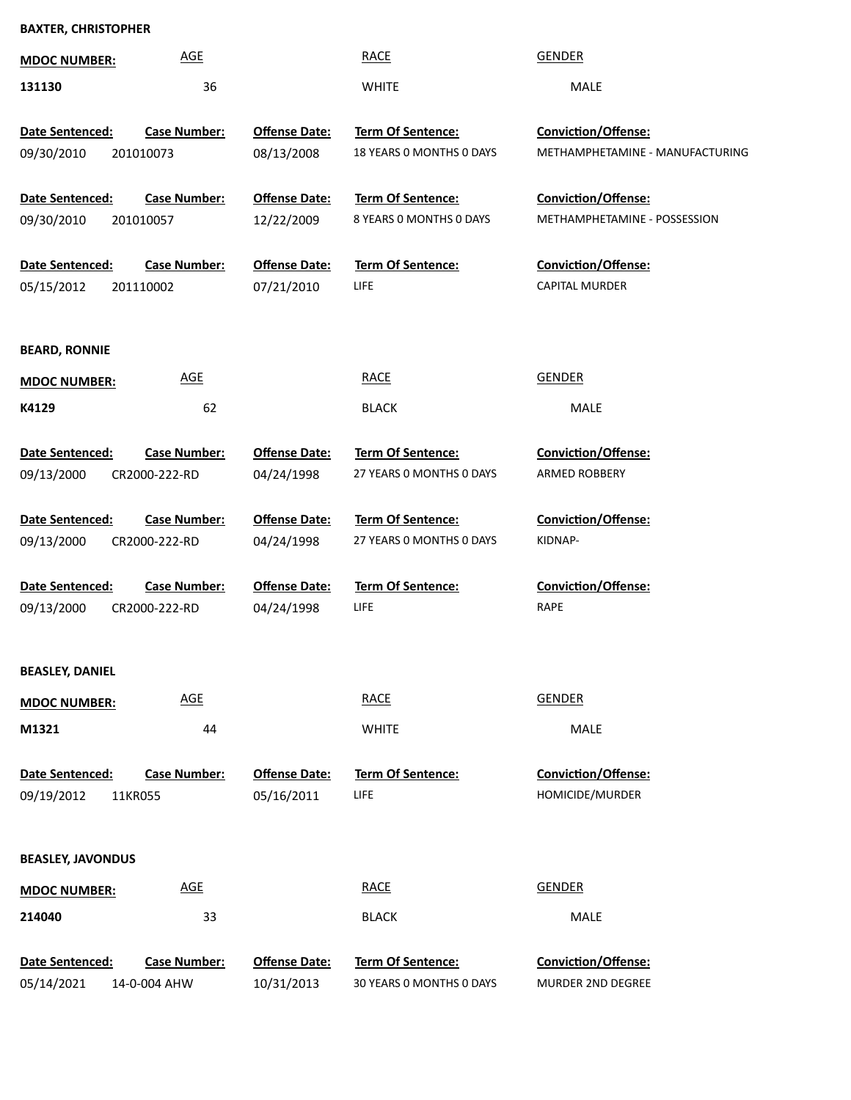## **BAXTER, CHRISTOPHER**

| <b>MDOC NUMBER:</b>      | <b>AGE</b>          |                      | <b>RACE</b>              | <b>GENDER</b>                   |
|--------------------------|---------------------|----------------------|--------------------------|---------------------------------|
| 131130                   | 36                  |                      | <b>WHITE</b>             | MALE                            |
|                          |                     |                      |                          |                                 |
| Date Sentenced:          | <b>Case Number:</b> | <b>Offense Date:</b> | Term Of Sentence:        | Conviction/Offense:             |
| 09/30/2010               | 201010073           | 08/13/2008           | 18 YEARS O MONTHS O DAYS | METHAMPHETAMINE - MANUFACTURING |
|                          |                     |                      |                          |                                 |
| Date Sentenced:          | <b>Case Number:</b> | <b>Offense Date:</b> | Term Of Sentence:        | Conviction/Offense:             |
| 09/30/2010               | 201010057           | 12/22/2009           | 8 YEARS 0 MONTHS 0 DAYS  | METHAMPHETAMINE - POSSESSION    |
| Date Sentenced:          | <b>Case Number:</b> | <b>Offense Date:</b> | Term Of Sentence:        | Conviction/Offense:             |
| 05/15/2012               | 201110002           | 07/21/2010           | <b>LIFE</b>              | CAPITAL MURDER                  |
|                          |                     |                      |                          |                                 |
|                          |                     |                      |                          |                                 |
| <b>BEARD, RONNIE</b>     |                     |                      |                          |                                 |
| <b>MDOC NUMBER:</b>      | <b>AGE</b>          |                      | <b>RACE</b>              | <b>GENDER</b>                   |
| K4129                    | 62                  |                      | <b>BLACK</b>             | <b>MALE</b>                     |
| Date Sentenced:          | <b>Case Number:</b> | <b>Offense Date:</b> | Term Of Sentence:        | <b>Conviction/Offense:</b>      |
| 09/13/2000               | CR2000-222-RD       | 04/24/1998           | 27 YEARS O MONTHS O DAYS | ARMED ROBBERY                   |
|                          |                     |                      |                          |                                 |
| Date Sentenced:          | <b>Case Number:</b> | <b>Offense Date:</b> | Term Of Sentence:        | <b>Conviction/Offense:</b>      |
| 09/13/2000               | CR2000-222-RD       | 04/24/1998           | 27 YEARS O MONTHS O DAYS | KIDNAP-                         |
|                          |                     |                      |                          |                                 |
| <b>Date Sentenced:</b>   | <b>Case Number:</b> | <b>Offense Date:</b> | <b>Term Of Sentence:</b> | <b>Conviction/Offense:</b>      |
| 09/13/2000               | CR2000-222-RD       | 04/24/1998           | <b>LIFE</b>              | <b>RAPE</b>                     |
|                          |                     |                      |                          |                                 |
| <b>BEASLEY, DANIEL</b>   |                     |                      |                          |                                 |
| <b>MDOC NUMBER:</b>      | <b>AGE</b>          |                      | <b>RACE</b>              | <b>GENDER</b>                   |
| M1321                    | 44                  |                      | <b>WHITE</b>             | MALE                            |
|                          |                     |                      |                          |                                 |
| Date Sentenced:          | <b>Case Number:</b> | <b>Offense Date:</b> | Term Of Sentence:        | Conviction/Offense:             |
| 09/19/2012               | 11KR055             | 05/16/2011           | <b>LIFE</b>              | HOMICIDE/MURDER                 |
|                          |                     |                      |                          |                                 |
| <b>BEASLEY, JAVONDUS</b> |                     |                      |                          |                                 |
| <b>MDOC NUMBER:</b>      | <b>AGE</b>          |                      | <b>RACE</b>              | <b>GENDER</b>                   |
| 214040                   | 33                  |                      | <b>BLACK</b>             | MALE                            |
|                          |                     |                      |                          |                                 |
| Date Sentenced:          | <b>Case Number:</b> | <b>Offense Date:</b> | <b>Term Of Sentence:</b> | Conviction/Offense:             |
| 05/14/2021               | 14-0-004 AHW        | 10/31/2013           | 30 YEARS 0 MONTHS 0 DAYS | MURDER 2ND DEGREE               |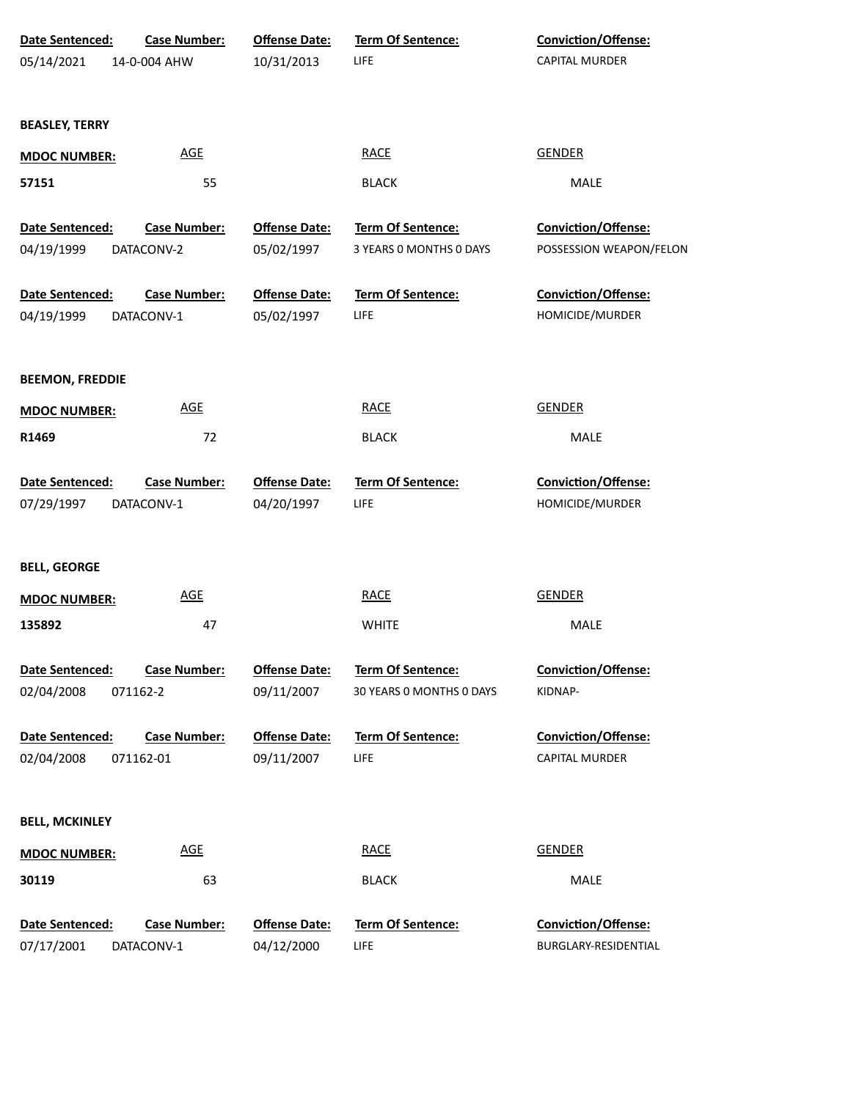| Date Sentenced:        | Case Number:        | <b>Offense Date:</b> | Term Of Sentence:        | Conviction/Offense:        |
|------------------------|---------------------|----------------------|--------------------------|----------------------------|
| 05/14/2021             | 14-0-004 AHW        | 10/31/2013           | LIFE                     | CAPITAL MURDER             |
|                        |                     |                      |                          |                            |
| <b>BEASLEY, TERRY</b>  |                     |                      |                          |                            |
| <b>MDOC NUMBER:</b>    | <b>AGE</b>          |                      | <b>RACE</b>              | <b>GENDER</b>              |
| 57151                  | 55                  |                      | <b>BLACK</b>             | MALE                       |
| Date Sentenced:        | <b>Case Number:</b> | <b>Offense Date:</b> | <b>Term Of Sentence:</b> | Conviction/Offense:        |
| 04/19/1999             | DATACONV-2          | 05/02/1997           | 3 YEARS 0 MONTHS 0 DAYS  | POSSESSION WEAPON/FELON    |
| Date Sentenced:        | <b>Case Number:</b> | <b>Offense Date:</b> | Term Of Sentence:        | Conviction/Offense:        |
| 04/19/1999             | DATACONV-1          | 05/02/1997           | <b>LIFE</b>              | HOMICIDE/MURDER            |
|                        |                     |                      |                          |                            |
| <b>BEEMON, FREDDIE</b> |                     |                      |                          |                            |
| <b>MDOC NUMBER:</b>    | <u>AGE</u>          |                      | <b>RACE</b>              | <b>GENDER</b>              |
| R1469                  | 72                  |                      | <b>BLACK</b>             | MALE                       |
| Date Sentenced:        | <b>Case Number:</b> | <b>Offense Date:</b> | Term Of Sentence:        | Conviction/Offense:        |
| 07/29/1997             | DATACONV-1          | 04/20/1997           | LIFE                     | HOMICIDE/MURDER            |
|                        |                     |                      |                          |                            |
| <b>BELL, GEORGE</b>    |                     |                      |                          |                            |
| <b>MDOC NUMBER:</b>    | <b>AGE</b>          |                      | <b>RACE</b>              | <b>GENDER</b>              |
| 135892                 | 47                  |                      | <b>WHITE</b>             | MALE                       |
| Date Sentenced:        | <b>Case Number:</b> | <b>Offense Date:</b> | <b>Term Of Sentence:</b> | <b>Conviction/Offense:</b> |
| 02/04/2008             | 071162-2            | 09/11/2007           | 30 YEARS 0 MONTHS 0 DAYS | KIDNAP-                    |
| Date Sentenced:        | <b>Case Number:</b> | <b>Offense Date:</b> | Term Of Sentence:        | <b>Conviction/Offense:</b> |
| 02/04/2008             | 071162-01           | 09/11/2007           | <b>LIFE</b>              | <b>CAPITAL MURDER</b>      |
|                        |                     |                      |                          |                            |
| <b>BELL, MCKINLEY</b>  |                     |                      |                          |                            |
| <b>MDOC NUMBER:</b>    | <b>AGE</b>          |                      | <b>RACE</b>              | <b>GENDER</b>              |
| 30119                  | 63                  |                      | <b>BLACK</b>             | MALE                       |
| Date Sentenced:        | Case Number:        | <b>Offense Date:</b> | Term Of Sentence:        | <b>Conviction/Offense:</b> |
| 07/17/2001             | DATACONV-1          | 04/12/2000           | LIFE                     | BURGLARY-RESIDENTIAL       |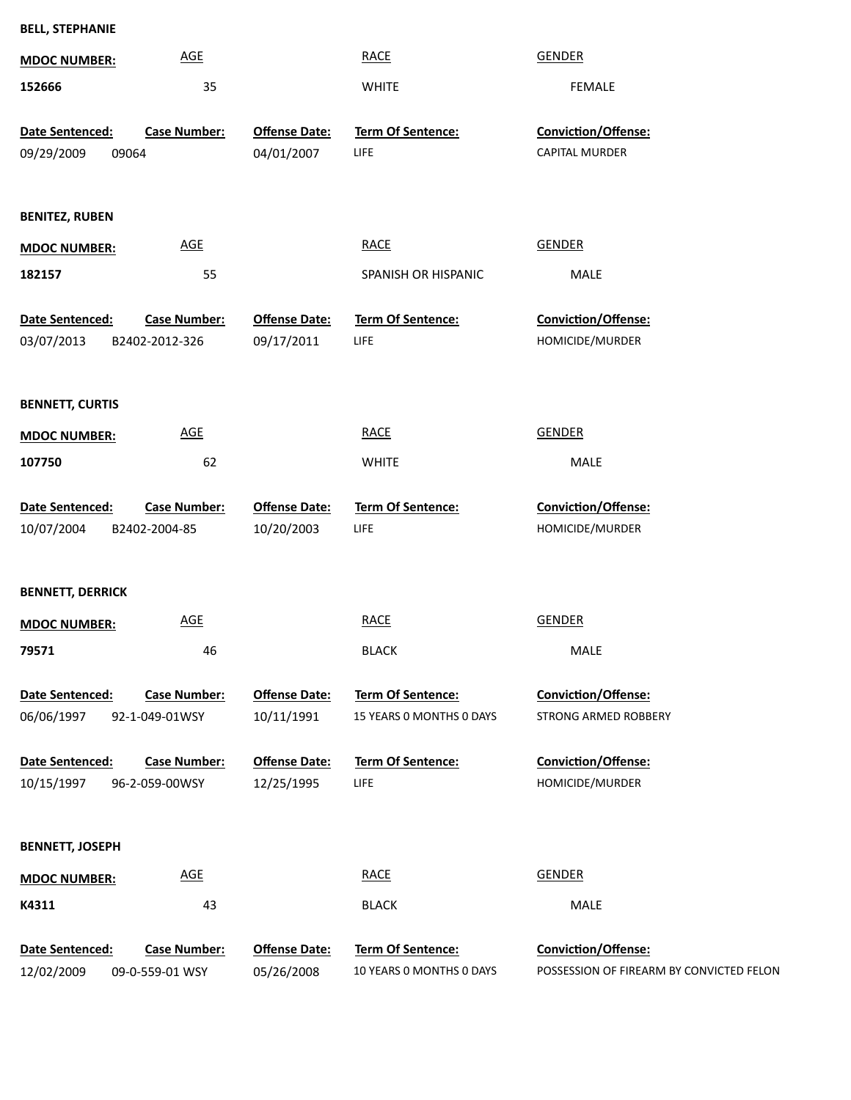| <b>BELL, STEPHANIE</b>  |                     |                      |                          |                            |
|-------------------------|---------------------|----------------------|--------------------------|----------------------------|
| <b>MDOC NUMBER:</b>     | <b>AGE</b>          |                      | <b>RACE</b>              | <b>GENDER</b>              |
| 152666                  | 35                  |                      | <b>WHITE</b>             | <b>FEMALE</b>              |
| Date Sentenced:         | <b>Case Number:</b> | <b>Offense Date:</b> | Term Of Sentence:        | Conviction/Offense:        |
| 09/29/2009              | 09064               | 04/01/2007           | <b>LIFE</b>              | <b>CAPITAL MURDER</b>      |
|                         |                     |                      |                          |                            |
| <b>BENITEZ, RUBEN</b>   |                     |                      |                          |                            |
| <b>MDOC NUMBER:</b>     | <b>AGE</b>          |                      | <b>RACE</b>              | <b>GENDER</b>              |
| 182157                  | 55                  |                      | SPANISH OR HISPANIC      | MALE                       |
| Date Sentenced:         | <b>Case Number:</b> | <b>Offense Date:</b> | <b>Term Of Sentence:</b> | <b>Conviction/Offense:</b> |
| 03/07/2013              | B2402-2012-326      | 09/17/2011           | <b>LIFE</b>              | HOMICIDE/MURDER            |
|                         |                     |                      |                          |                            |
| <b>BENNETT, CURTIS</b>  |                     |                      |                          |                            |
| <b>MDOC NUMBER:</b>     | <b>AGE</b>          |                      | <b>RACE</b>              | <b>GENDER</b>              |
| 107750                  | 62                  |                      | <b>WHITE</b>             | MALE                       |
| Date Sentenced:         | <b>Case Number:</b> | <b>Offense Date:</b> | Term Of Sentence:        | Conviction/Offense:        |
| 10/07/2004              | B2402-2004-85       | 10/20/2003           | LIFE                     | HOMICIDE/MURDER            |
|                         |                     |                      |                          |                            |
| <b>BENNETT, DERRICK</b> |                     |                      |                          |                            |
| <b>MDOC NUMBER:</b>     | <b>AGE</b>          |                      | <b>RACE</b>              | <b>GENDER</b>              |
| 79571                   | 46                  |                      | <b>BLACK</b>             | MALE                       |
| Date Sentenced:         | <b>Case Number:</b> | <b>Offense Date:</b> | Term Of Sentence:        | <b>Conviction/Offense:</b> |
| 06/06/1997              | 92-1-049-01WSY      | 10/11/1991           | 15 YEARS 0 MONTHS 0 DAYS | STRONG ARMED ROBBERY       |
| Date Sentenced:         | <b>Case Number:</b> | <b>Offense Date:</b> | <b>Term Of Sentence:</b> | <b>Conviction/Offense:</b> |
| 10/15/1997              | 96-2-059-00WSY      | 12/25/1995           | LIFE                     | HOMICIDE/MURDER            |
|                         |                     |                      |                          |                            |
| <b>BENNETT, JOSEPH</b>  |                     |                      |                          |                            |
| <b>MDOC NUMBER:</b>     | AGE                 |                      | <b>RACE</b>              | <b>GENDER</b>              |
| K4311                   | 43                  |                      | <b>BLACK</b>             | MALE                       |
| Date Sentenced:         | <b>Case Number:</b> | <b>Offense Date:</b> | <b>Term Of Sentence:</b> | <b>Conviction/Offense:</b> |

POSSESSION OF FIREARM BY CONVICTED FELON 12/02/2009 09-0-559-01 WSY 05/26/2008 10 YEARS 0 MONTHS 0 DAYS POSSESSION (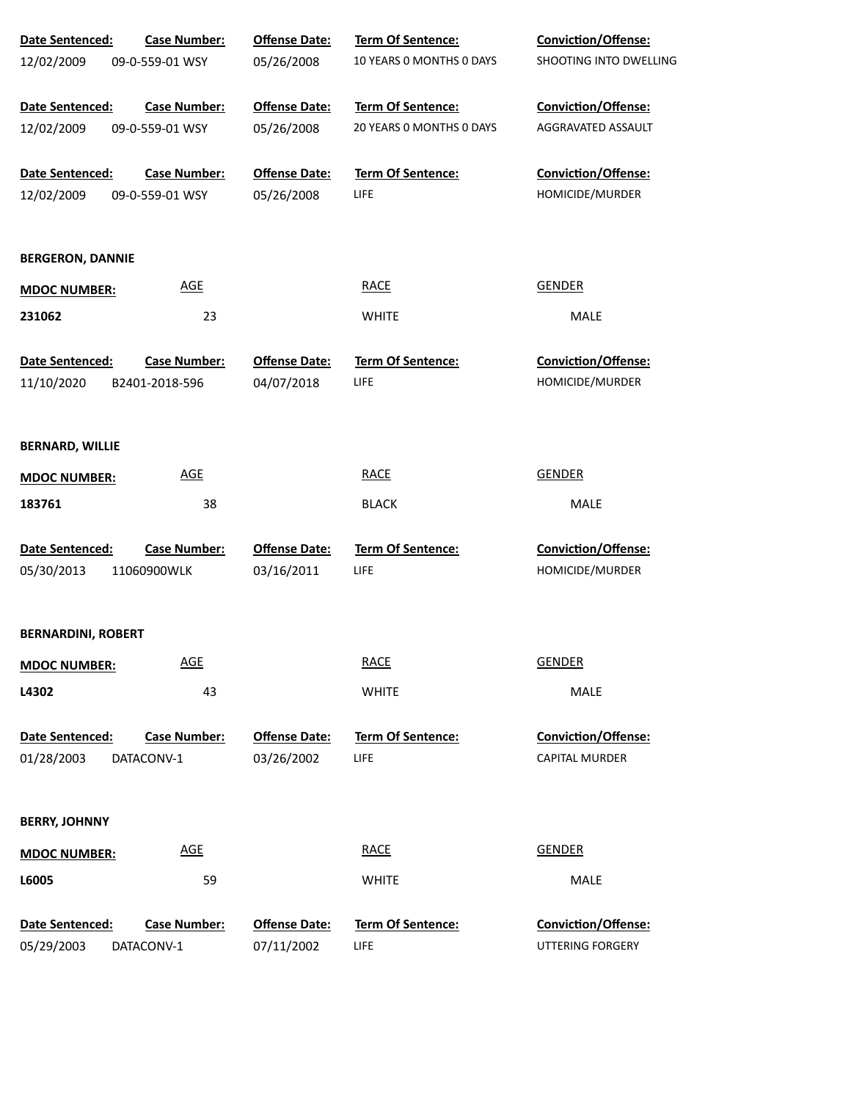| Date Sentenced:           | <b>Case Number:</b> | <b>Offense Date:</b> | Term Of Sentence:        | <b>Conviction/Offense:</b> |
|---------------------------|---------------------|----------------------|--------------------------|----------------------------|
| 12/02/2009                | 09-0-559-01 WSY     | 05/26/2008           | 10 YEARS 0 MONTHS 0 DAYS | SHOOTING INTO DWELLING     |
|                           |                     |                      |                          |                            |
| Date Sentenced:           | <b>Case Number:</b> | <b>Offense Date:</b> | Term Of Sentence:        | Conviction/Offense:        |
| 12/02/2009                | 09-0-559-01 WSY     | 05/26/2008           | 20 YEARS 0 MONTHS 0 DAYS | AGGRAVATED ASSAULT         |
| Date Sentenced:           | <b>Case Number:</b> | <b>Offense Date:</b> | Term Of Sentence:        | Conviction/Offense:        |
| 12/02/2009                | 09-0-559-01 WSY     | 05/26/2008           | LIFE                     | HOMICIDE/MURDER            |
|                           |                     |                      |                          |                            |
| <b>BERGERON, DANNIE</b>   |                     |                      |                          |                            |
| <b>MDOC NUMBER:</b>       | <b>AGE</b>          |                      | <b>RACE</b>              | <b>GENDER</b>              |
| 231062                    | 23                  |                      | <b>WHITE</b>             | MALE                       |
|                           |                     |                      |                          |                            |
| Date Sentenced:           | <b>Case Number:</b> | <b>Offense Date:</b> | <b>Term Of Sentence:</b> | <b>Conviction/Offense:</b> |
| 11/10/2020                | B2401-2018-596      | 04/07/2018           | LIFE                     | HOMICIDE/MURDER            |
|                           |                     |                      |                          |                            |
| <b>BERNARD, WILLIE</b>    |                     |                      |                          |                            |
| <b>MDOC NUMBER:</b>       | <u>AGE</u>          |                      | <b>RACE</b>              | <b>GENDER</b>              |
|                           |                     |                      |                          |                            |
| 183761                    | 38                  |                      | <b>BLACK</b>             | MALE                       |
| Date Sentenced:           | <b>Case Number:</b> | <b>Offense Date:</b> | Term Of Sentence:        | Conviction/Offense:        |
| 05/30/2013                | 11060900WLK         | 03/16/2011           | LIFE                     | HOMICIDE/MURDER            |
|                           |                     |                      |                          |                            |
| <b>BERNARDINI, ROBERT</b> |                     |                      |                          |                            |
| <b>MDOC NUMBER:</b>       | <b>AGE</b>          |                      | <b>RACE</b>              | <b>GENDER</b>              |
| L4302                     | 43                  |                      | <b>WHITE</b>             | MALE                       |
|                           |                     |                      |                          |                            |
| Date Sentenced:           | <b>Case Number:</b> | <b>Offense Date:</b> | <b>Term Of Sentence:</b> | Conviction/Offense:        |
| 01/28/2003                | DATACONV-1          | 03/26/2002           | LIFE                     | <b>CAPITAL MURDER</b>      |
|                           |                     |                      |                          |                            |
| <b>BERRY, JOHNNY</b>      |                     |                      |                          |                            |
| <b>MDOC NUMBER:</b>       | <b>AGE</b>          |                      | <b>RACE</b>              | <b>GENDER</b>              |
| L6005                     | 59                  |                      | <b>WHITE</b>             | MALE                       |
|                           |                     |                      |                          |                            |
| Date Sentenced:           | <b>Case Number:</b> | <b>Offense Date:</b> | <b>Term Of Sentence:</b> | Conviction/Offense:        |
| 05/29/2003                | DATACONV-1          | 07/11/2002           | LIFE                     | UTTERING FORGERY           |
|                           |                     |                      |                          |                            |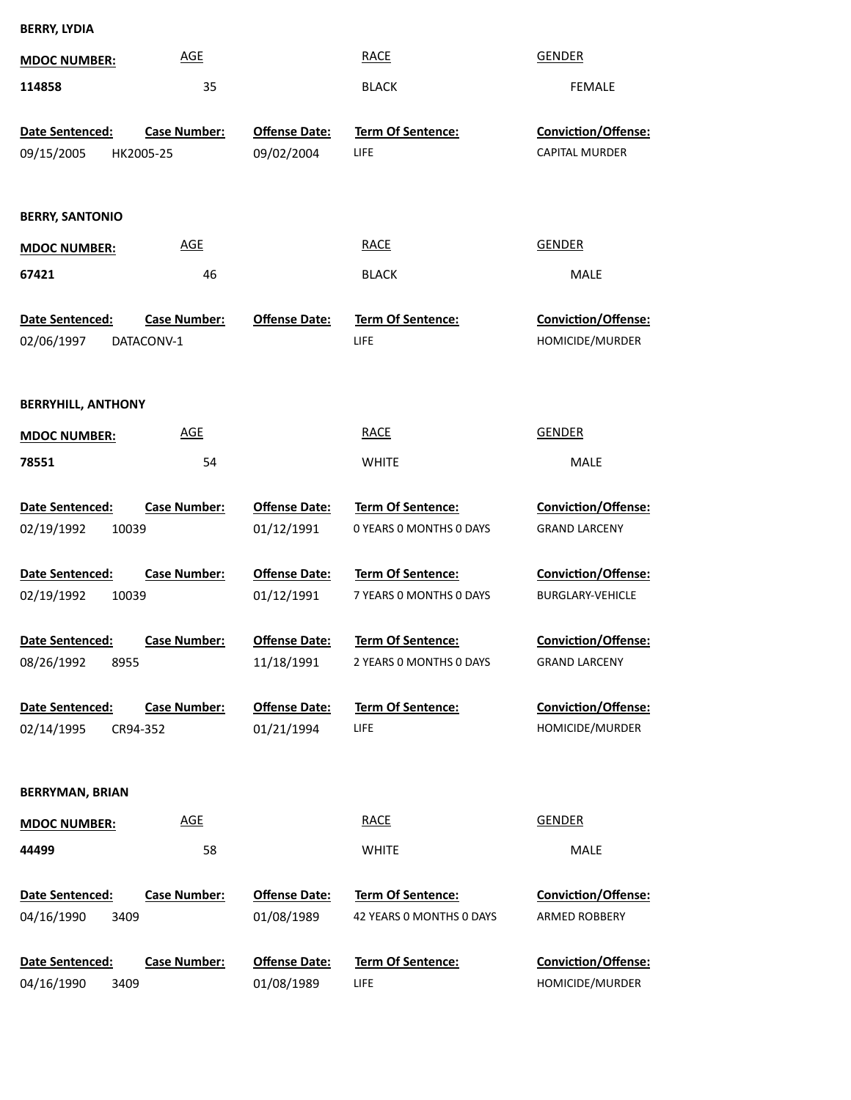| <b>BERRY, LYDIA</b>                                |                                   |                                    |                                               |                                                    |  |
|----------------------------------------------------|-----------------------------------|------------------------------------|-----------------------------------------------|----------------------------------------------------|--|
| <b>MDOC NUMBER:</b>                                | <b>AGE</b>                        |                                    | <b>RACE</b>                                   | <b>GENDER</b>                                      |  |
| 114858                                             | 35                                |                                    | <b>BLACK</b>                                  | <b>FEMALE</b>                                      |  |
| Date Sentenced:                                    | <b>Case Number:</b>               | <b>Offense Date:</b>               | <b>Term Of Sentence:</b>                      | <b>Conviction/Offense:</b>                         |  |
| 09/15/2005                                         | HK2005-25                         | 09/02/2004                         | LIFE                                          | <b>CAPITAL MURDER</b>                              |  |
| <b>BERRY, SANTONIO</b>                             |                                   |                                    |                                               |                                                    |  |
| <b>MDOC NUMBER:</b>                                | <b>AGE</b>                        |                                    | <b>RACE</b>                                   | <b>GENDER</b>                                      |  |
| 67421                                              | 46                                |                                    | <b>BLACK</b>                                  | <b>MALE</b>                                        |  |
| Date Sentenced:<br>02/06/1997                      | <b>Case Number:</b><br>DATACONV-1 | <b>Offense Date:</b>               | Term Of Sentence:<br>LIFE                     | Conviction/Offense:<br>HOMICIDE/MURDER             |  |
| <b>BERRYHILL, ANTHONY</b>                          |                                   |                                    |                                               |                                                    |  |
| <b>MDOC NUMBER:</b>                                | <b>AGE</b>                        |                                    | <b>RACE</b>                                   | <b>GENDER</b>                                      |  |
| 78551                                              | 54                                |                                    | <b>WHITE</b>                                  | <b>MALE</b>                                        |  |
| Date Sentenced:<br>02/19/1992<br>10039             | <b>Case Number:</b>               | <b>Offense Date:</b><br>01/12/1991 | Term Of Sentence:<br>0 YEARS 0 MONTHS 0 DAYS  | Conviction/Offense:<br><b>GRAND LARCENY</b>        |  |
| Date Sentenced:<br>02/19/1992<br>10039             | <b>Case Number:</b>               | <b>Offense Date:</b><br>01/12/1991 | Term Of Sentence:<br>7 YEARS O MONTHS O DAYS  | Conviction/Offense:<br><b>BURGLARY-VEHICLE</b>     |  |
| Date Sentenced: Case Number:<br>08/26/1992<br>8955 |                                   | <b>Offense Date:</b><br>11/18/1991 | Term Of Sentence:<br>2 YEARS 0 MONTHS 0 DAYS  | <b>Conviction/Offense:</b><br><b>GRAND LARCENY</b> |  |
| Date Sentenced:<br>02/14/1995                      | <b>Case Number:</b><br>CR94-352   | <b>Offense Date:</b><br>01/21/1994 | <b>Term Of Sentence:</b><br><b>LIFE</b>       | Conviction/Offense:<br>HOMICIDE/MURDER             |  |
| <b>BERRYMAN, BRIAN</b>                             |                                   |                                    |                                               |                                                    |  |
| <b>MDOC NUMBER:</b>                                | <b>AGE</b>                        |                                    | <b>RACE</b>                                   | <b>GENDER</b>                                      |  |
| 44499                                              | 58                                |                                    | <b>WHITE</b>                                  | <b>MALE</b>                                        |  |
| Date Sentenced:<br>04/16/1990<br>3409              | <b>Case Number:</b>               | <b>Offense Date:</b><br>01/08/1989 | Term Of Sentence:<br>42 YEARS 0 MONTHS 0 DAYS | Conviction/Offense:<br>ARMED ROBBERY               |  |
| Date Sentenced:                                    | <b>Case Number:</b>               | <b>Offense Date:</b>               | <b>Term Of Sentence:</b>                      | Conviction/Offense:                                |  |

LIFE

01/08/1989

3409

04/16/1990

HOMICIDE/MURDER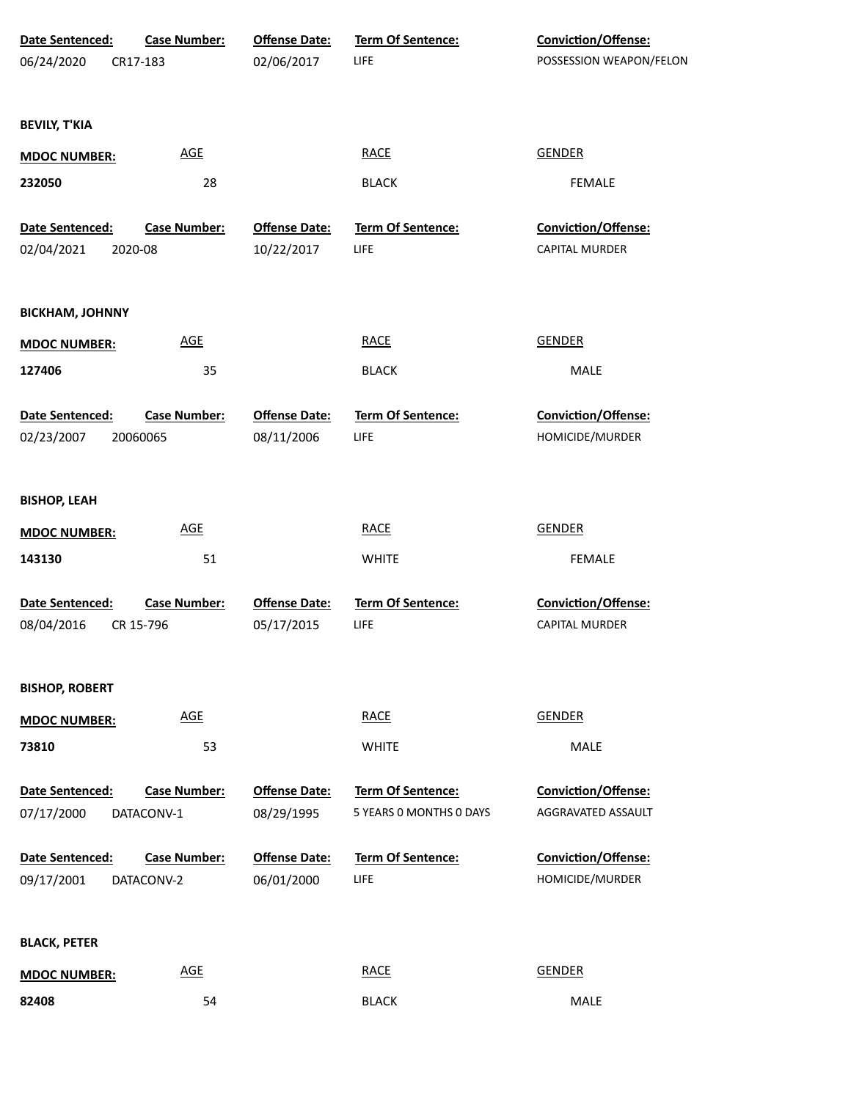| Date Sentenced:               | <b>Case Number:</b>              | <b>Offense Date:</b>               | Term Of Sentence:         | Conviction/Offense:                          |  |
|-------------------------------|----------------------------------|------------------------------------|---------------------------|----------------------------------------------|--|
| 06/24/2020                    | CR17-183                         | 02/06/2017                         | LIFE                      | POSSESSION WEAPON/FELON                      |  |
| <b>BEVILY, T'KIA</b>          |                                  |                                    |                           |                                              |  |
| <b>MDOC NUMBER:</b>           | <b>AGE</b>                       |                                    | <b>RACE</b>               | <b>GENDER</b>                                |  |
| 232050                        | 28                               |                                    | <b>BLACK</b>              | <b>FEMALE</b>                                |  |
| Date Sentenced:               | <b>Case Number:</b>              | <b>Offense Date:</b>               | Term Of Sentence:         | Conviction/Offense:                          |  |
| 02/04/2021                    | 2020-08                          | 10/22/2017                         | LIFE                      | <b>CAPITAL MURDER</b>                        |  |
| <b>BICKHAM, JOHNNY</b>        |                                  |                                    |                           |                                              |  |
| <b>MDOC NUMBER:</b>           | <b>AGE</b>                       |                                    | <b>RACE</b>               | <b>GENDER</b>                                |  |
| 127406                        | 35                               |                                    | <b>BLACK</b>              | MALE                                         |  |
| Date Sentenced:               | <b>Case Number:</b>              | <b>Offense Date:</b>               | Term Of Sentence:         | Conviction/Offense:                          |  |
| 02/23/2007                    | 20060065                         | 08/11/2006                         | LIFE                      | HOMICIDE/MURDER                              |  |
| <b>BISHOP, LEAH</b>           |                                  |                                    |                           |                                              |  |
| <b>MDOC NUMBER:</b>           | <b>AGE</b>                       |                                    | <b>RACE</b>               | <b>GENDER</b>                                |  |
| 143130                        | 51                               |                                    | <b>WHITE</b>              | FEMALE                                       |  |
| Date Sentenced:<br>08/04/2016 | <b>Case Number:</b><br>CR 15-796 | <b>Offense Date:</b><br>05/17/2015 | Term Of Sentence:<br>LIFE | Conviction/Offense:<br><b>CAPITAL MURDER</b> |  |
| <b>BISHOP, ROBERT</b>         |                                  |                                    |                           |                                              |  |
| <b>MDOC NUMBER:</b>           | <b>AGE</b>                       |                                    | <b>RACE</b>               | <b>GENDER</b>                                |  |
| 73810                         | 53                               |                                    | <b>WHITE</b>              | MALE                                         |  |
| Date Sentenced:               | <b>Case Number:</b>              | <b>Offense Date:</b>               | Term Of Sentence:         | Conviction/Offense:                          |  |
| 07/17/2000                    | DATACONV-1                       | 08/29/1995                         | 5 YEARS 0 MONTHS 0 DAYS   | AGGRAVATED ASSAULT                           |  |
| Date Sentenced:               | <b>Case Number:</b>              | <b>Offense Date:</b>               | <b>Term Of Sentence:</b>  | Conviction/Offense:                          |  |
| 09/17/2001                    | DATACONV-2                       | 06/01/2000                         | LIFE                      | HOMICIDE/MURDER                              |  |
| <b>BLACK, PETER</b>           |                                  |                                    |                           |                                              |  |
| <b>MDOC NUMBER:</b>           | <b>AGE</b>                       |                                    | <b>RACE</b>               | <b>GENDER</b>                                |  |
| 82408                         | 54                               |                                    | <b>BLACK</b>              | MALE                                         |  |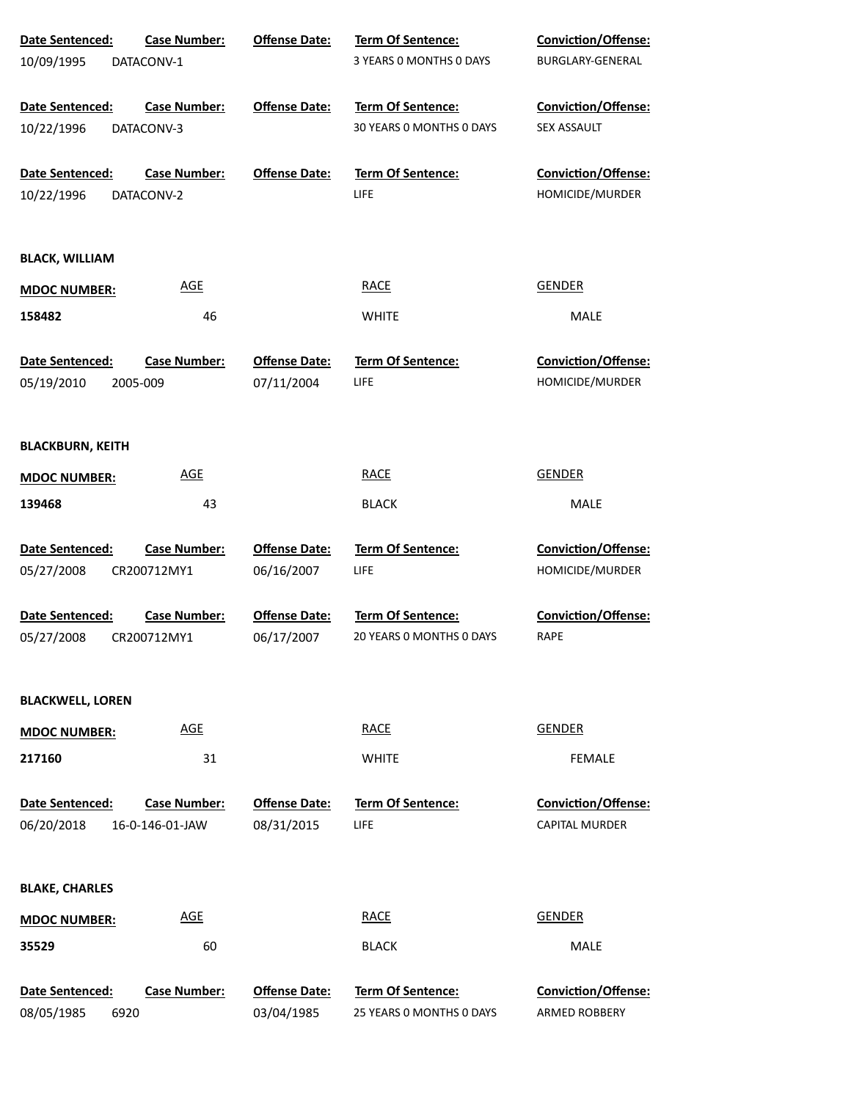| Date Sentenced:         | <b>Case Number:</b> | <b>Offense Date:</b> | Term Of Sentence:        | Conviction/Offense:        |
|-------------------------|---------------------|----------------------|--------------------------|----------------------------|
| 10/09/1995              | DATACONV-1          |                      | 3 YEARS O MONTHS O DAYS  | BURGLARY-GENERAL           |
| Date Sentenced:         | <b>Case Number:</b> | <b>Offense Date:</b> | Term Of Sentence:        | <b>Conviction/Offense:</b> |
| 10/22/1996              | DATACONV-3          |                      | 30 YEARS 0 MONTHS 0 DAYS | SEX ASSAULT                |
| Date Sentenced:         | <b>Case Number:</b> | <b>Offense Date:</b> | <b>Term Of Sentence:</b> | Conviction/Offense:        |
| 10/22/1996              | DATACONV-2          |                      | LIFE                     | HOMICIDE/MURDER            |
| <b>BLACK, WILLIAM</b>   |                     |                      |                          |                            |
| <b>MDOC NUMBER:</b>     | <b>AGE</b>          |                      | <b>RACE</b>              | <b>GENDER</b>              |
| 158482                  | 46                  |                      | <b>WHITE</b>             | MALE                       |
| Date Sentenced:         | <b>Case Number:</b> | <b>Offense Date:</b> | <b>Term Of Sentence:</b> | Conviction/Offense:        |
| 05/19/2010              | 2005-009            | 07/11/2004           | LIFE                     | HOMICIDE/MURDER            |
| <b>BLACKBURN, KEITH</b> |                     |                      |                          |                            |
| <b>MDOC NUMBER:</b>     | <b>AGE</b>          |                      | <b>RACE</b>              | <b>GENDER</b>              |
| 139468                  | 43                  |                      | <b>BLACK</b>             | MALE                       |
| Date Sentenced:         | <b>Case Number:</b> | <b>Offense Date:</b> | Term Of Sentence:        | Conviction/Offense:        |
| 05/27/2008              | CR200712MY1         | 06/16/2007           | <b>LIFE</b>              | HOMICIDE/MURDER            |
| Date Sentenced:         | <b>Case Number:</b> | <b>Offense Date:</b> | Term Of Sentence:        | Conviction/Offense:        |
| 05/27/2008              | CR200712MY1         | 06/17/2007           | 20 YEARS O MONTHS O DAYS | RAPE                       |
| <b>BLACKWELL, LOREN</b> |                     |                      |                          |                            |
| <b>MDOC NUMBER:</b>     | <b>AGE</b>          |                      | <b>RACE</b>              | <b>GENDER</b>              |
| 217160                  | 31                  |                      | <b>WHITE</b>             | <b>FEMALE</b>              |
| Date Sentenced:         | <b>Case Number:</b> | <b>Offense Date:</b> | Term Of Sentence:        | <b>Conviction/Offense:</b> |
| 06/20/2018              | 16-0-146-01-JAW     | 08/31/2015           | LIFE                     | <b>CAPITAL MURDER</b>      |
| <b>BLAKE, CHARLES</b>   |                     |                      |                          |                            |
| <b>MDOC NUMBER:</b>     | <b>AGE</b>          |                      | <b>RACE</b>              | <b>GENDER</b>              |
| 35529                   | 60                  |                      | <b>BLACK</b>             | MALE                       |
| Date Sentenced:         | <b>Case Number:</b> | <b>Offense Date:</b> | Term Of Sentence:        | Conviction/Offense:        |
| 08/05/1985<br>6920      |                     | 03/04/1985           | 25 YEARS O MONTHS O DAYS | ARMED ROBBERY              |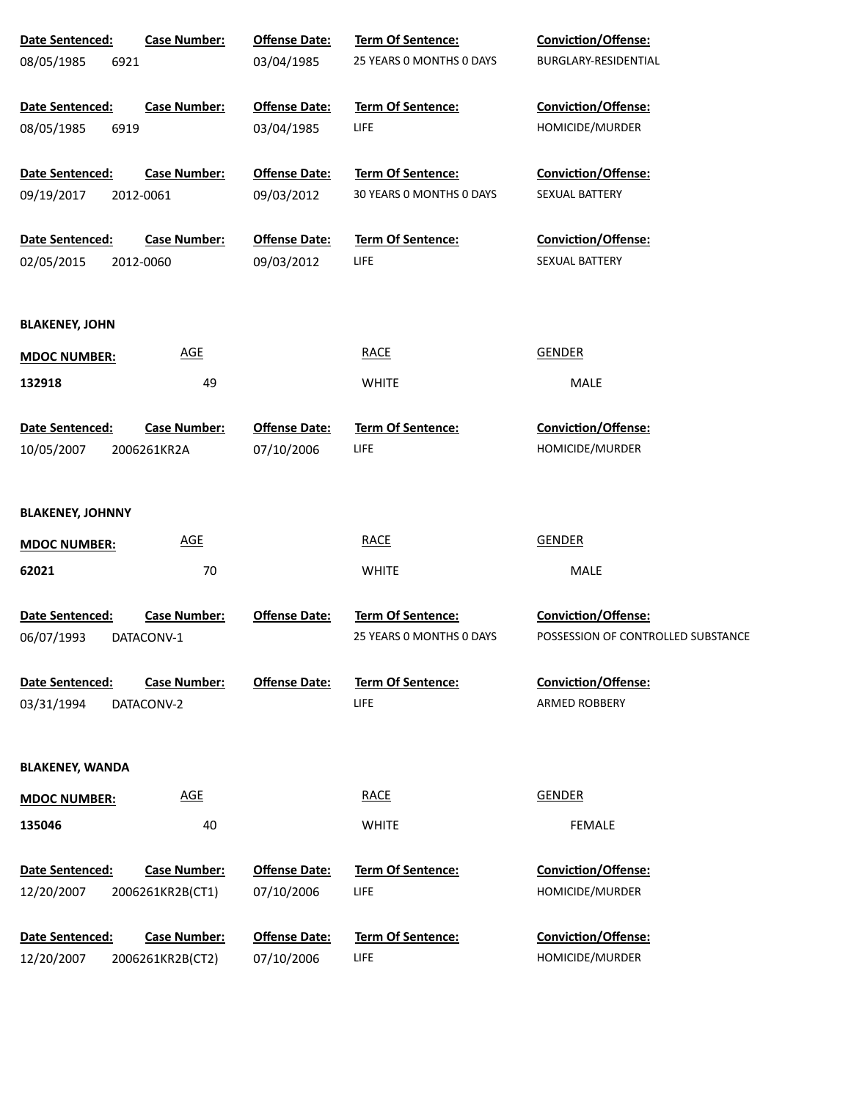| Date Sentenced:<br>08/05/1985<br>6921 | <b>Case Number:</b> | <b>Offense Date:</b><br>03/04/1985 | Term Of Sentence:<br>25 YEARS 0 MONTHS 0 DAYS | Conviction/Offense:<br>BURGLARY-RESIDENTIAL |
|---------------------------------------|---------------------|------------------------------------|-----------------------------------------------|---------------------------------------------|
|                                       |                     |                                    |                                               |                                             |
| Date Sentenced:                       | <b>Case Number:</b> | <b>Offense Date:</b>               | <b>Term Of Sentence:</b>                      | Conviction/Offense:                         |
| 08/05/1985<br>6919                    |                     | 03/04/1985                         | LIFE                                          | HOMICIDE/MURDER                             |
| Date Sentenced:                       | <b>Case Number:</b> | <b>Offense Date:</b>               | Term Of Sentence:                             | Conviction/Offense:                         |
| 09/19/2017                            | 2012-0061           | 09/03/2012                         | 30 YEARS 0 MONTHS 0 DAYS                      | SEXUAL BATTERY                              |
| Date Sentenced:                       | <b>Case Number:</b> | <b>Offense Date:</b>               | Term Of Sentence:                             | Conviction/Offense:                         |
| 02/05/2015                            | 2012-0060           | 09/03/2012                         | LIFE                                          | SEXUAL BATTERY                              |
|                                       |                     |                                    |                                               |                                             |
| <b>BLAKENEY, JOHN</b>                 |                     |                                    |                                               |                                             |
| <b>MDOC NUMBER:</b>                   | <b>AGE</b>          |                                    | <b>RACE</b>                                   | <b>GENDER</b>                               |
| 132918                                | 49                  |                                    | <b>WHITE</b>                                  | MALE                                        |
| Date Sentenced:                       | <b>Case Number:</b> | <b>Offense Date:</b>               | <b>Term Of Sentence:</b>                      | <b>Conviction/Offense:</b>                  |
| 10/05/2007                            | 2006261KR2A         | 07/10/2006                         | LIFE                                          | HOMICIDE/MURDER                             |
|                                       |                     |                                    |                                               |                                             |
| <b>BLAKENEY, JOHNNY</b>               |                     |                                    |                                               |                                             |
| <b>MDOC NUMBER:</b>                   | <b>AGE</b>          |                                    | <b>RACE</b>                                   | <b>GENDER</b>                               |
| 62021                                 | 70                  |                                    | <b>WHITE</b>                                  | MALE                                        |
| Date Sentenced:                       | <b>Case Number:</b> | <b>Offense Date:</b>               | Term Of Sentence:                             | Conviction/Offense:                         |
| 06/07/1993                            | DATACONV-1          |                                    | 25 YEARS 0 MONTHS 0 DAYS                      | POSSESSION OF CONTROLLED SUBSTANCE          |
| <b>Date Sentenced:</b>                | <b>Case Number:</b> | <b>Offense Date:</b>               | <b>Term Of Sentence:</b>                      | <b>Conviction/Offense:</b>                  |
| 03/31/1994                            | DATACONV-2          |                                    | LIFE                                          | ARMED ROBBERY                               |
|                                       |                     |                                    |                                               |                                             |
| <b>BLAKENEY, WANDA</b>                |                     |                                    |                                               |                                             |
| <b>MDOC NUMBER:</b>                   | <b>AGE</b>          |                                    | <b>RACE</b>                                   | <b>GENDER</b>                               |
| 135046                                | 40                  |                                    | <b>WHITE</b>                                  | <b>FEMALE</b>                               |
| Date Sentenced:                       | <b>Case Number:</b> | <b>Offense Date:</b>               | Term Of Sentence:                             | <b>Conviction/Offense:</b>                  |
| 12/20/2007                            | 2006261KR2B(CT1)    | 07/10/2006                         | LIFE                                          | HOMICIDE/MURDER                             |
| Date Sentenced:                       | <b>Case Number:</b> | <b>Offense Date:</b>               | Term Of Sentence:                             | <b>Conviction/Offense:</b>                  |
| 12/20/2007                            | 2006261KR2B(CT2)    | 07/10/2006                         | LIFE                                          | HOMICIDE/MURDER                             |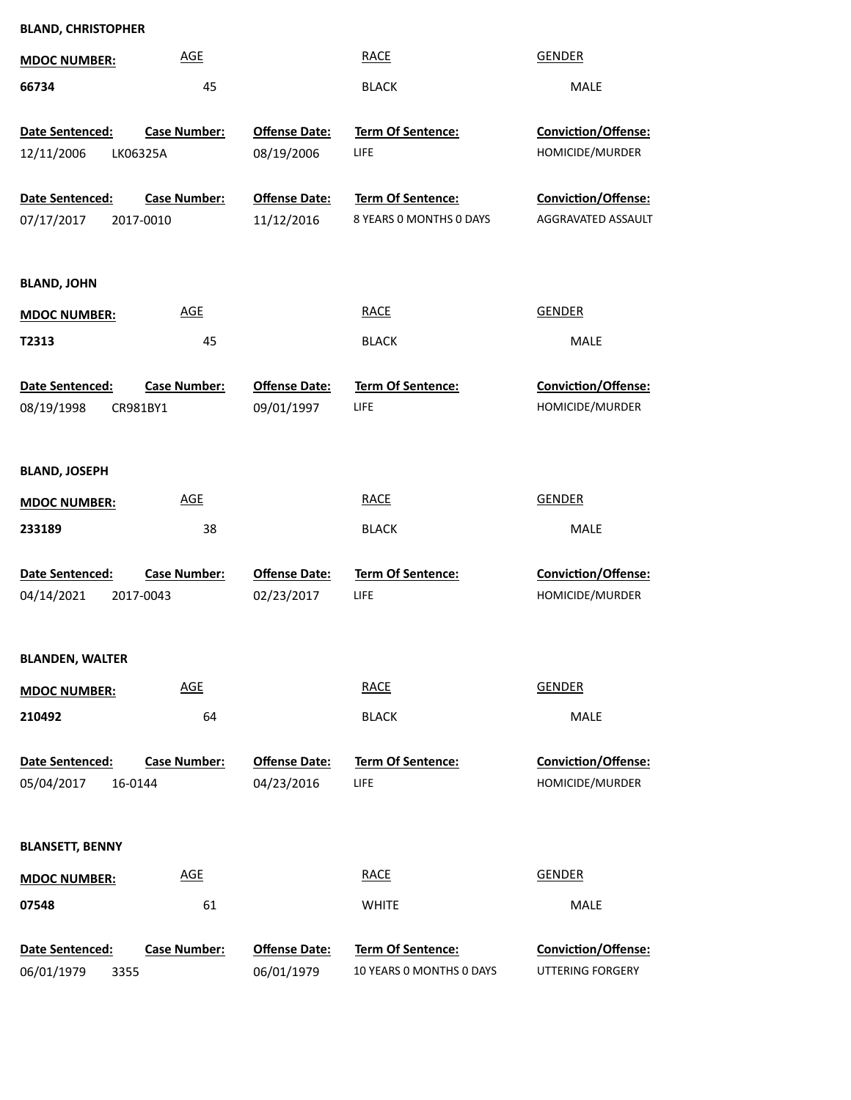|                                                 | <b>BLAND, CHRISTOPHER</b>        |                                    |                                               |                                                  |  |  |  |  |
|-------------------------------------------------|----------------------------------|------------------------------------|-----------------------------------------------|--------------------------------------------------|--|--|--|--|
| <b>MDOC NUMBER:</b>                             | <b>AGE</b>                       |                                    | <b>RACE</b>                                   | <b>GENDER</b>                                    |  |  |  |  |
| 66734                                           | 45                               |                                    | <b>BLACK</b>                                  | <b>MALE</b>                                      |  |  |  |  |
| Date Sentenced:                                 | <b>Case Number:</b>              | <b>Offense Date:</b>               | <b>Term Of Sentence:</b>                      | <b>Conviction/Offense:</b>                       |  |  |  |  |
| 12/11/2006                                      | LK06325A                         | 08/19/2006                         | <b>LIFE</b>                                   | HOMICIDE/MURDER                                  |  |  |  |  |
| <b>Date Sentenced:</b><br>07/17/2017            | <b>Case Number:</b><br>2017-0010 | <b>Offense Date:</b><br>11/12/2016 | Term Of Sentence:<br>8 YEARS 0 MONTHS 0 DAYS  | <b>Conviction/Offense:</b><br>AGGRAVATED ASSAULT |  |  |  |  |
| <b>BLAND, JOHN</b>                              |                                  |                                    |                                               |                                                  |  |  |  |  |
| <b>MDOC NUMBER:</b>                             | <b>AGE</b>                       |                                    | <b>RACE</b>                                   | <b>GENDER</b>                                    |  |  |  |  |
| T2313                                           | 45                               |                                    | <b>BLACK</b>                                  | <b>MALE</b>                                      |  |  |  |  |
| Date Sentenced:<br>08/19/1998<br>CR981BY1       | <b>Case Number:</b>              | <b>Offense Date:</b><br>09/01/1997 | Term Of Sentence:<br>LIFE                     | Conviction/Offense:<br>HOMICIDE/MURDER           |  |  |  |  |
| <b>BLAND, JOSEPH</b>                            |                                  |                                    |                                               |                                                  |  |  |  |  |
| <b>MDOC NUMBER:</b>                             | <b>AGE</b>                       |                                    | <b>RACE</b>                                   | <b>GENDER</b>                                    |  |  |  |  |
| 233189                                          | 38                               |                                    | <b>BLACK</b>                                  | <b>MALE</b>                                      |  |  |  |  |
| Date Sentenced:                                 | <b>Case Number:</b>              | <b>Offense Date:</b>               | <b>Term Of Sentence:</b>                      | Conviction/Offense:                              |  |  |  |  |
| 04/14/2021                                      | 2017-0043                        | 02/23/2017                         | LIFE                                          | HOMICIDE/MURDER                                  |  |  |  |  |
|                                                 |                                  |                                    |                                               |                                                  |  |  |  |  |
| <b>BLANDEN, WALTER</b>                          |                                  |                                    |                                               |                                                  |  |  |  |  |
| <b>MDOC NUMBER:</b>                             | <b>AGE</b>                       |                                    | <b>RACE</b>                                   | <b>GENDER</b>                                    |  |  |  |  |
| 210492                                          | 64                               |                                    | <b>BLACK</b>                                  | MALE                                             |  |  |  |  |
| <b>Date Sentenced:</b><br>05/04/2017<br>16-0144 | <b>Case Number:</b>              | <b>Offense Date:</b><br>04/23/2016 | <b>Term Of Sentence:</b><br>LIFE              | Conviction/Offense:<br>HOMICIDE/MURDER           |  |  |  |  |
| <b>BLANSETT, BENNY</b>                          |                                  |                                    |                                               |                                                  |  |  |  |  |
| <b>MDOC NUMBER:</b>                             | <b>AGE</b>                       |                                    | <b>RACE</b>                                   | <b>GENDER</b>                                    |  |  |  |  |
| 07548                                           | 61                               |                                    | <b>WHITE</b>                                  | MALE                                             |  |  |  |  |
| Date Sentenced:<br>06/01/1979<br>3355           | <b>Case Number:</b>              | <b>Offense Date:</b><br>06/01/1979 | Term Of Sentence:<br>10 YEARS O MONTHS O DAYS | Conviction/Offense:<br>UTTERING FORGERY          |  |  |  |  |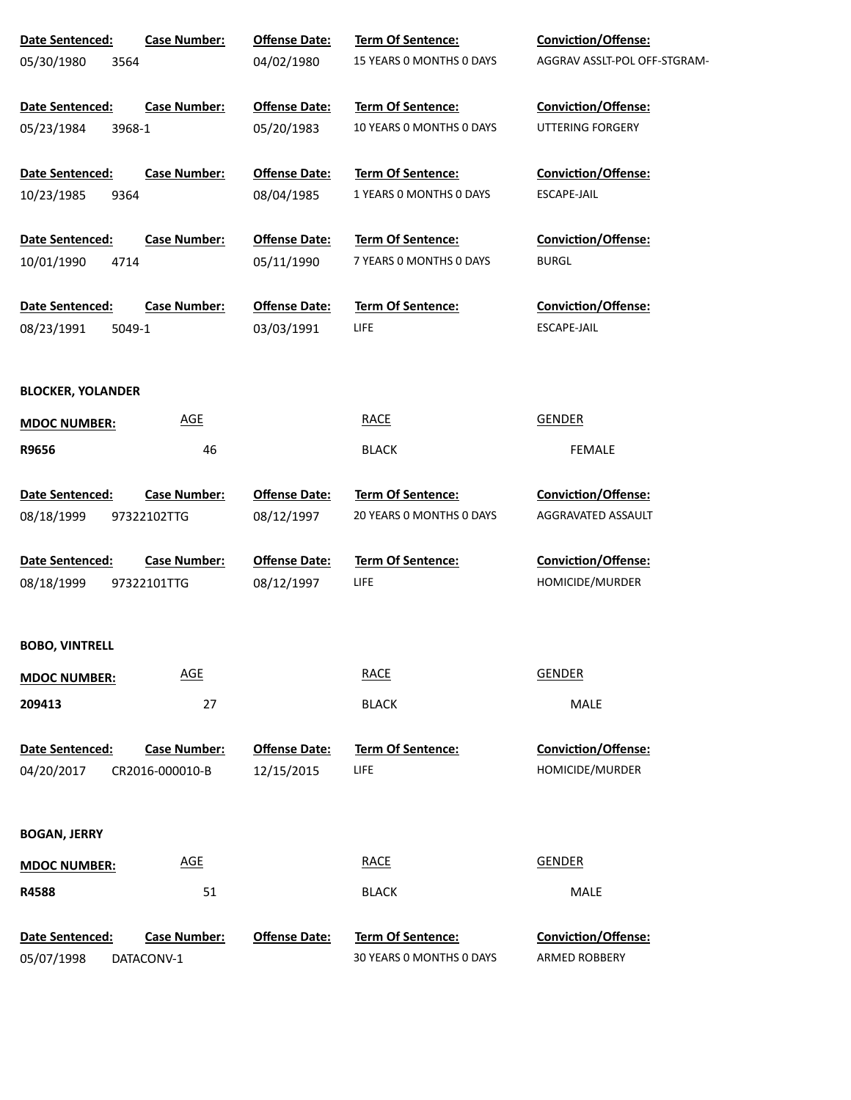| Date Sentenced:                                | <b>Case Number:</b>                    | <b>Offense Date:</b>               | Term Of Sentence:                             | <b>Conviction/Offense:</b>                    |
|------------------------------------------------|----------------------------------------|------------------------------------|-----------------------------------------------|-----------------------------------------------|
| 05/30/1980<br>3564                             |                                        | 04/02/1980                         | 15 YEARS O MONTHS O DAYS                      | AGGRAV ASSLT-POL OFF-STGRAM-                  |
| <b>Date Sentenced:</b>                         | <b>Case Number:</b>                    | <b>Offense Date:</b>               | Term Of Sentence:                             | <b>Conviction/Offense:</b>                    |
| 05/23/1984<br>3968-1                           |                                        | 05/20/1983                         | 10 YEARS O MONTHS O DAYS                      | <b>UTTERING FORGERY</b>                       |
| <b>Date Sentenced:</b>                         | <b>Case Number:</b>                    | <b>Offense Date:</b>               | Term Of Sentence:                             | <b>Conviction/Offense:</b>                    |
| 9364<br>10/23/1985                             |                                        | 08/04/1985                         | 1 YEARS 0 MONTHS 0 DAYS                       | ESCAPE-JAIL                                   |
| Date Sentenced:                                | <b>Case Number:</b>                    | <b>Offense Date:</b>               | Term Of Sentence:                             | <b>Conviction/Offense:</b>                    |
| 10/01/1990<br>4714                             |                                        | 05/11/1990                         | 7 YEARS 0 MONTHS 0 DAYS                       | <b>BURGL</b>                                  |
| <b>Date Sentenced:</b><br>5049-1<br>08/23/1991 | <b>Case Number:</b>                    | <b>Offense Date:</b><br>03/03/1991 | <b>Term Of Sentence:</b><br>LIFE              | <b>Conviction/Offense:</b><br>ESCAPE-JAIL     |
| <b>BLOCKER, YOLANDER</b>                       |                                        |                                    |                                               |                                               |
| <b>MDOC NUMBER:</b>                            | <b>AGE</b>                             |                                    | <b>RACE</b>                                   | <b>GENDER</b>                                 |
| R9656                                          | 46                                     |                                    | <b>BLACK</b>                                  | <b>FEMALE</b>                                 |
| Date Sentenced:                                | <b>Case Number:</b>                    | <b>Offense Date:</b>               | Term Of Sentence:                             | <b>Conviction/Offense:</b>                    |
| 08/18/1999                                     | 97322102TTG                            | 08/12/1997                         | 20 YEARS O MONTHS O DAYS                      | AGGRAVATED ASSAULT                            |
| Date Sentenced:                                | <b>Case Number:</b>                    | <b>Offense Date:</b>               | <b>Term Of Sentence:</b>                      | <b>Conviction/Offense:</b>                    |
| 08/18/1999                                     | 97322101TTG                            | 08/12/1997                         | LIFE                                          | HOMICIDE/MURDER                               |
| <b>BOBO, VINTRELL</b>                          |                                        |                                    |                                               |                                               |
| <b>MDOC NUMBER:</b>                            | <b>AGE</b>                             |                                    | <b>RACE</b>                                   | <b>GENDER</b>                                 |
| 209413                                         | 27                                     |                                    | <b>BLACK</b>                                  | MALE                                          |
| <b>Date Sentenced:</b><br>04/20/2017           | <b>Case Number:</b><br>CR2016-000010-B | <b>Offense Date:</b><br>12/15/2015 | <b>Term Of Sentence:</b><br>LIFE              | <b>Conviction/Offense:</b><br>HOMICIDE/MURDER |
| <b>BOGAN, JERRY</b>                            |                                        |                                    |                                               |                                               |
| <b>MDOC NUMBER:</b>                            | <b>AGE</b>                             |                                    | <b>RACE</b>                                   | <b>GENDER</b>                                 |
| R4588                                          | 51                                     |                                    | <b>BLACK</b>                                  | MALE                                          |
| Date Sentenced:<br>05/07/1998                  | <b>Case Number:</b><br>DATACONV-1      | <b>Offense Date:</b>               | Term Of Sentence:<br>30 YEARS 0 MONTHS 0 DAYS | Conviction/Offense:<br>ARMED ROBBERY          |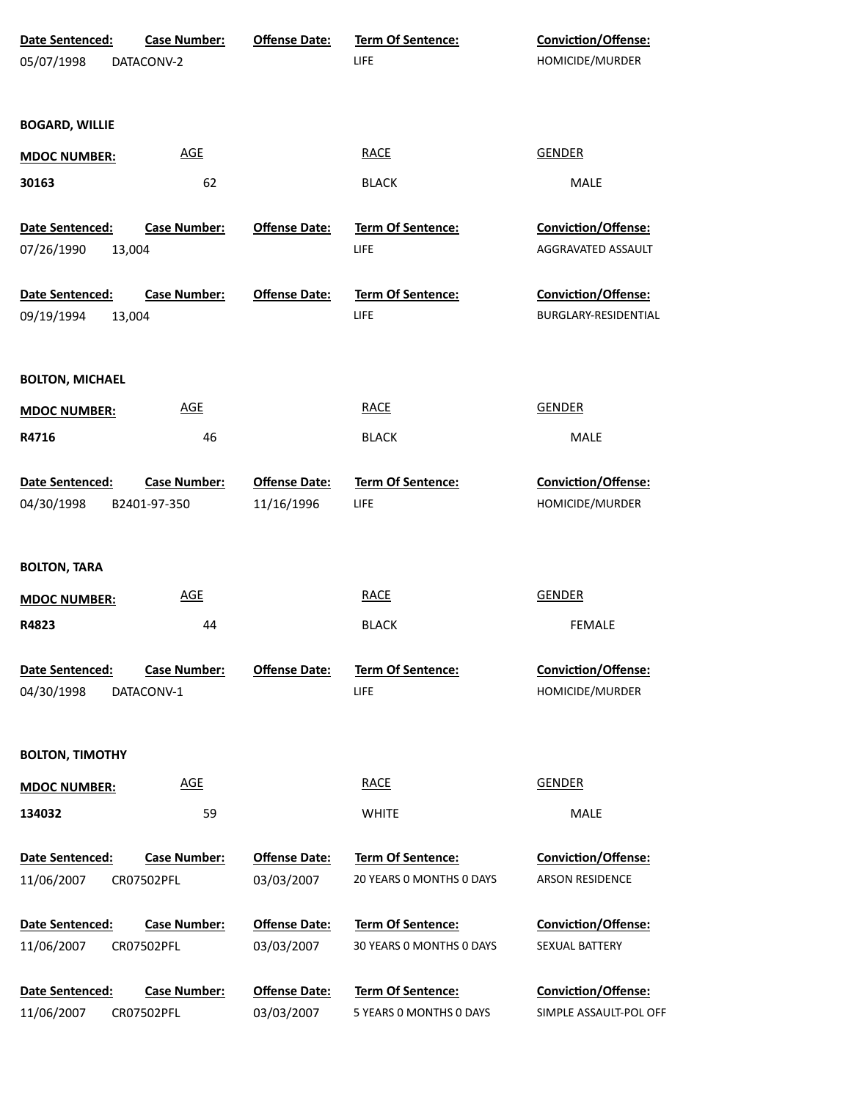| Date Sentenced:<br>05/07/1998 | <b>Case Number:</b><br>DATACONV-2 | <b>Offense Date:</b>               | <b>Term Of Sentence:</b><br>LIFE             | <b>Conviction/Offense:</b><br>HOMICIDE/MURDER |
|-------------------------------|-----------------------------------|------------------------------------|----------------------------------------------|-----------------------------------------------|
| <b>BOGARD, WILLIE</b>         |                                   |                                    |                                              |                                               |
| <b>MDOC NUMBER:</b>           | <b>AGE</b>                        |                                    | <b>RACE</b>                                  | <b>GENDER</b>                                 |
| 30163                         | 62                                |                                    | <b>BLACK</b>                                 | MALE                                          |
| Date Sentenced:               | <b>Case Number:</b>               | <b>Offense Date:</b>               | <b>Term Of Sentence:</b>                     | Conviction/Offense:                           |
| 07/26/1990<br>13,004          |                                   |                                    | LIFE                                         | AGGRAVATED ASSAULT                            |
| Date Sentenced:               | <b>Case Number:</b>               | <b>Offense Date:</b>               | <b>Term Of Sentence:</b>                     | Conviction/Offense:                           |
| 09/19/1994<br>13,004          |                                   |                                    | LIFE                                         | BURGLARY-RESIDENTIAL                          |
| <b>BOLTON, MICHAEL</b>        |                                   |                                    |                                              |                                               |
| <b>MDOC NUMBER:</b>           | <b>AGE</b>                        |                                    | <b>RACE</b>                                  | <b>GENDER</b>                                 |
| R4716                         | 46                                |                                    | <b>BLACK</b>                                 | MALE                                          |
| Date Sentenced:               | <b>Case Number:</b>               | <b>Offense Date:</b>               | Term Of Sentence:                            | <b>Conviction/Offense:</b>                    |
| 04/30/1998                    | B2401-97-350                      | 11/16/1996                         | LIFE                                         | HOMICIDE/MURDER                               |
| <b>BOLTON, TARA</b>           |                                   |                                    |                                              |                                               |
| <b>MDOC NUMBER:</b>           | <b>AGE</b>                        |                                    | <b>RACE</b>                                  | <b>GENDER</b>                                 |
| R4823                         | 44                                |                                    | <b>BLACK</b>                                 | <b>FEMALE</b>                                 |
| Date Sentenced:<br>04/30/1998 | <b>Case Number:</b><br>DATACONV-1 | <b>Offense Date:</b>               | <b>Term Of Sentence:</b><br>LIFE             | Conviction/Offense:<br>HOMICIDE/MURDER        |
| <b>BOLTON, TIMOTHY</b>        |                                   |                                    |                                              |                                               |
| <b>MDOC NUMBER:</b>           | <b>AGE</b>                        |                                    | <b>RACE</b>                                  | <b>GENDER</b>                                 |
| 134032                        | 59                                |                                    | <b>WHITE</b>                                 | MALE                                          |
| Date Sentenced:               | <b>Case Number:</b>               | <b>Offense Date:</b>               | Term Of Sentence:                            | <b>Conviction/Offense:</b>                    |
| 11/06/2007                    | CR07502PFL                        | 03/03/2007                         | 20 YEARS 0 MONTHS 0 DAYS                     | <b>ARSON RESIDENCE</b>                        |
| Date Sentenced:               | <b>Case Number:</b>               | <b>Offense Date:</b>               | <b>Term Of Sentence:</b>                     | <b>Conviction/Offense:</b>                    |
| 11/06/2007                    | CR07502PFL                        | 03/03/2007                         | 30 YEARS 0 MONTHS 0 DAYS                     | SEXUAL BATTERY                                |
| Date Sentenced:<br>11/06/2007 | <b>Case Number:</b><br>CR07502PFL | <b>Offense Date:</b><br>03/03/2007 | Term Of Sentence:<br>5 YEARS 0 MONTHS 0 DAYS | Conviction/Offense:<br>SIMPLE ASSAULT-POL OFF |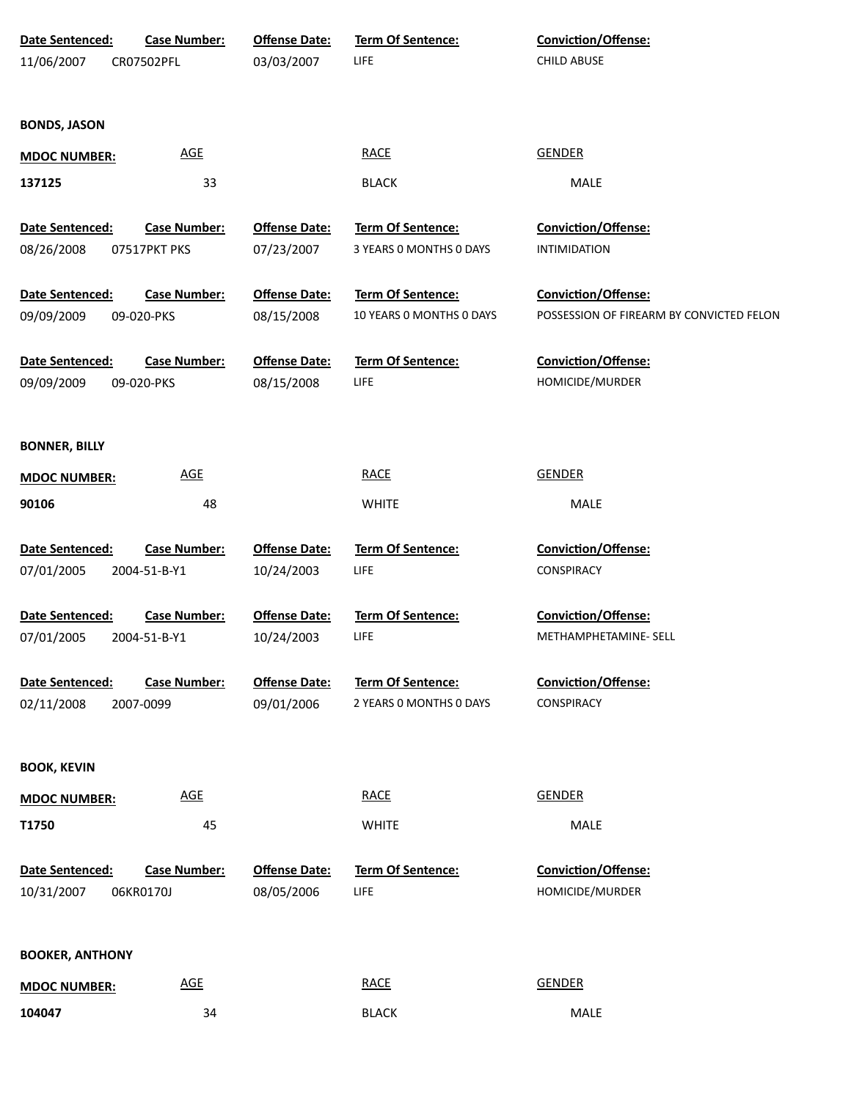| Date Sentenced:        | <b>Case Number:</b> | <b>Offense Date:</b> | Term Of Sentence:        | Conviction/Offense:                      |
|------------------------|---------------------|----------------------|--------------------------|------------------------------------------|
| 11/06/2007             | CR07502PFL          | 03/03/2007           | LIFE                     | <b>CHILD ABUSE</b>                       |
|                        |                     |                      |                          |                                          |
|                        |                     |                      |                          |                                          |
| <b>BONDS, JASON</b>    |                     |                      |                          |                                          |
| <b>MDOC NUMBER:</b>    | <b>AGE</b>          |                      | <b>RACE</b>              | <b>GENDER</b>                            |
| 137125                 | 33                  |                      | <b>BLACK</b>             | MALE                                     |
| Date Sentenced:        | <b>Case Number:</b> | <b>Offense Date:</b> | Term Of Sentence:        | Conviction/Offense:                      |
| 08/26/2008             | 07517PKT PKS        | 07/23/2007           | 3 YEARS 0 MONTHS 0 DAYS  | <b>INTIMIDATION</b>                      |
|                        |                     |                      |                          |                                          |
| Date Sentenced:        | <b>Case Number:</b> | <b>Offense Date:</b> | Term Of Sentence:        | Conviction/Offense:                      |
| 09/09/2009             | 09-020-PKS          | 08/15/2008           | 10 YEARS 0 MONTHS 0 DAYS | POSSESSION OF FIREARM BY CONVICTED FELON |
|                        |                     |                      |                          |                                          |
| Date Sentenced:        | <b>Case Number:</b> | <b>Offense Date:</b> | Term Of Sentence:        | Conviction/Offense:                      |
| 09/09/2009             | 09-020-PKS          | 08/15/2008           | <b>LIFE</b>              | HOMICIDE/MURDER                          |
|                        |                     |                      |                          |                                          |
| <b>BONNER, BILLY</b>   |                     |                      |                          |                                          |
|                        | <b>AGE</b>          |                      | <b>RACE</b>              | <b>GENDER</b>                            |
| <b>MDOC NUMBER:</b>    |                     |                      |                          |                                          |
| 90106                  | 48                  |                      | <b>WHITE</b>             | MALE                                     |
| Date Sentenced:        | <b>Case Number:</b> | <b>Offense Date:</b> | Term Of Sentence:        | Conviction/Offense:                      |
| 07/01/2005             | 2004-51-B-Y1        | 10/24/2003           | LIFE                     | <b>CONSPIRACY</b>                        |
|                        |                     |                      |                          |                                          |
| Date Sentenced:        | <b>Case Number:</b> | <b>Offense Date:</b> | Term Of Sentence:        | Conviction/Offense:                      |
| 07/01/2005             | 2004-51-B-Y1        | 10/24/2003           | LIFE                     | METHAMPHETAMINE- SELL                    |
|                        |                     |                      |                          |                                          |
| Date Sentenced:        | <b>Case Number:</b> | <b>Offense Date:</b> | Term Of Sentence:        | <b>Conviction/Offense:</b>               |
| 02/11/2008             | 2007-0099           | 09/01/2006           | 2 YEARS 0 MONTHS 0 DAYS  | CONSPIRACY                               |
|                        |                     |                      |                          |                                          |
| <b>BOOK, KEVIN</b>     |                     |                      |                          |                                          |
| <b>MDOC NUMBER:</b>    | <b>AGE</b>          |                      | <b>RACE</b>              | <b>GENDER</b>                            |
| T1750                  | 45                  |                      | <b>WHITE</b>             | MALE                                     |
|                        |                     |                      |                          |                                          |
| Date Sentenced:        | <b>Case Number:</b> | <b>Offense Date:</b> | Term Of Sentence:        | <b>Conviction/Offense:</b>               |
| 10/31/2007             | 06KR0170J           | 08/05/2006           | LIFE                     | HOMICIDE/MURDER                          |
|                        |                     |                      |                          |                                          |
| <b>BOOKER, ANTHONY</b> |                     |                      |                          |                                          |
|                        | <b>AGE</b>          |                      | <b>RACE</b>              | <b>GENDER</b>                            |
| <b>MDOC NUMBER:</b>    |                     |                      |                          |                                          |
| 104047                 | 34                  |                      | <b>BLACK</b>             | MALE                                     |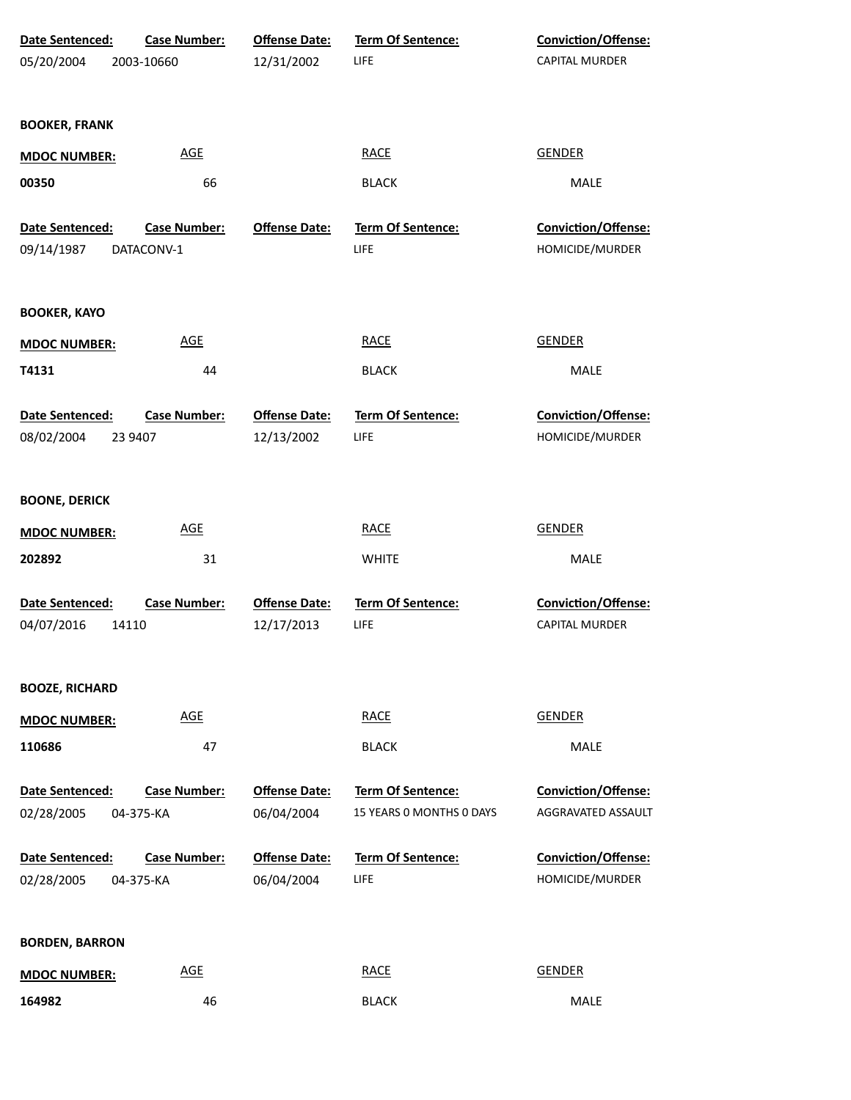| Date Sentenced:<br>05/20/2004            | <b>Case Number:</b><br>2003-10660 | <b>Offense Date:</b><br>12/31/2002 | <b>Term Of Sentence:</b><br><b>LIFE</b> | <b>Conviction/Offense:</b><br>CAPITAL MURDER |
|------------------------------------------|-----------------------------------|------------------------------------|-----------------------------------------|----------------------------------------------|
| <b>BOOKER, FRANK</b>                     |                                   |                                    |                                         |                                              |
| <b>MDOC NUMBER:</b>                      | <b>AGE</b>                        |                                    | <b>RACE</b>                             | <b>GENDER</b>                                |
| 00350                                    | 66                                |                                    | <b>BLACK</b>                            | MALE                                         |
| <b>Date Sentenced:</b>                   | <b>Case Number:</b>               | <b>Offense Date:</b>               | Term Of Sentence:                       | Conviction/Offense:                          |
| 09/14/1987                               | DATACONV-1                        |                                    | <b>LIFE</b>                             | HOMICIDE/MURDER                              |
| <b>BOOKER, KAYO</b>                      |                                   |                                    |                                         |                                              |
| <b>MDOC NUMBER:</b>                      | <b>AGE</b>                        |                                    | <b>RACE</b>                             | <b>GENDER</b>                                |
| T4131                                    | 44                                |                                    | <b>BLACK</b>                            | MALE                                         |
| Date Sentenced:<br>08/02/2004<br>23 9407 | <b>Case Number:</b>               | <b>Offense Date:</b><br>12/13/2002 | Term Of Sentence:<br><b>LIFE</b>        | Conviction/Offense:<br>HOMICIDE/MURDER       |
| <b>BOONE, DERICK</b>                     |                                   |                                    |                                         |                                              |
| <b>MDOC NUMBER:</b>                      | <b>AGE</b>                        |                                    | <b>RACE</b>                             | <b>GENDER</b>                                |
| 202892                                   | 31                                |                                    | <b>WHITE</b>                            | MALE                                         |
| Date Sentenced:<br>04/07/2016<br>14110   | <b>Case Number:</b>               | <b>Offense Date:</b><br>12/17/2013 | Term Of Sentence:<br>LIFE               | Conviction/Offense:<br><b>CAPITAL MURDER</b> |
| <b>BOOZE, RICHARD</b>                    |                                   |                                    |                                         |                                              |
| <b>MDOC NUMBER:</b>                      | <b>AGE</b>                        |                                    | <b>RACE</b>                             | <b>GENDER</b>                                |
| 110686                                   | 47                                |                                    | <b>BLACK</b>                            | <b>MALE</b>                                  |
| Date Sentenced:                          | <b>Case Number:</b>               | <b>Offense Date:</b>               | Term Of Sentence:                       | Conviction/Offense:                          |
| 02/28/2005                               | 04-375-KA                         | 06/04/2004                         | 15 YEARS 0 MONTHS 0 DAYS                | AGGRAVATED ASSAULT                           |
| Date Sentenced:                          | <b>Case Number:</b>               | <b>Offense Date:</b>               | Term Of Sentence:                       | Conviction/Offense:                          |
| 02/28/2005                               | 04-375-KA                         | 06/04/2004                         | <b>LIFE</b>                             | HOMICIDE/MURDER                              |
| <b>BORDEN, BARRON</b>                    |                                   |                                    |                                         |                                              |
| <b>MDOC NUMBER:</b>                      | <b>AGE</b>                        |                                    | <b>RACE</b>                             | <b>GENDER</b>                                |
| 164982                                   | 46                                |                                    | <b>BLACK</b>                            | MALE                                         |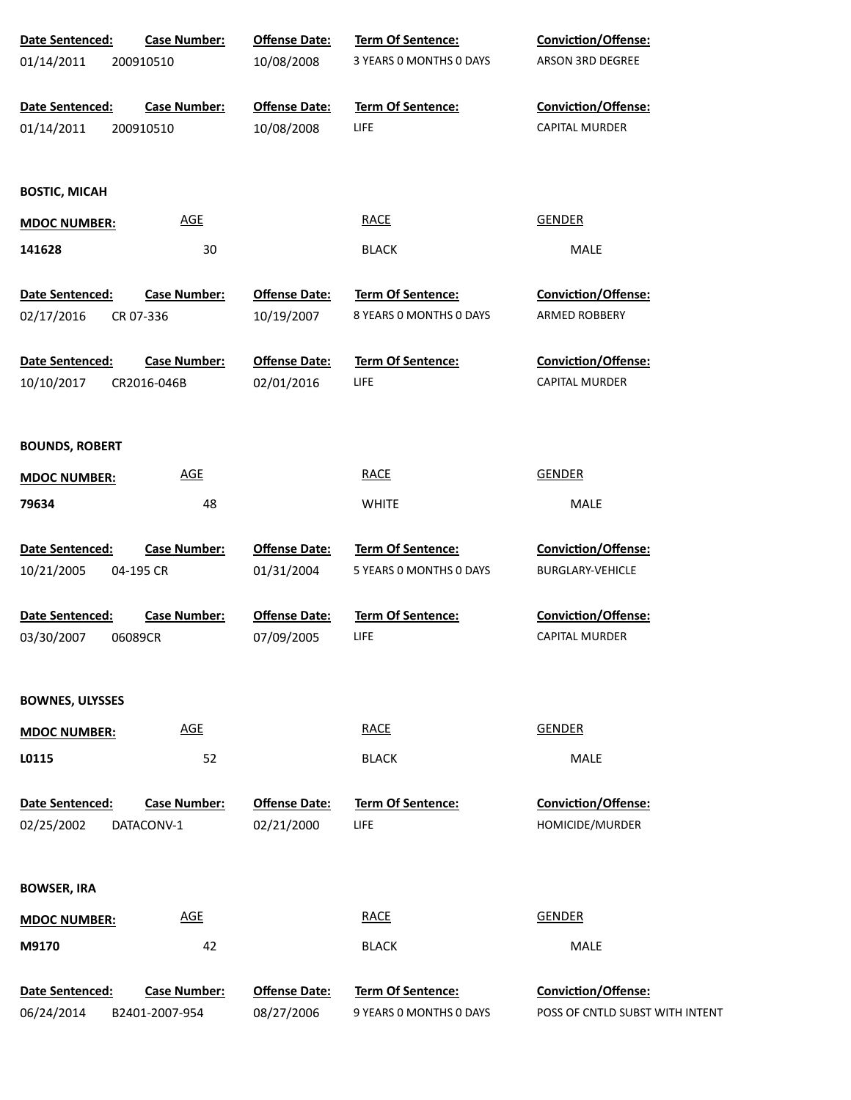| Date Sentenced:        | <b>Case Number:</b> | <b>Offense Date:</b> | Term Of Sentence:        | Conviction/Offense:             |
|------------------------|---------------------|----------------------|--------------------------|---------------------------------|
| 01/14/2011             | 200910510           | 10/08/2008           | 3 YEARS 0 MONTHS 0 DAYS  | ARSON 3RD DEGREE                |
| Date Sentenced:        | <b>Case Number:</b> | <b>Offense Date:</b> | Term Of Sentence:        | <b>Conviction/Offense:</b>      |
| 01/14/2011             | 200910510           | 10/08/2008           | LIFE                     | <b>CAPITAL MURDER</b>           |
| <b>BOSTIC, MICAH</b>   |                     |                      |                          |                                 |
| <b>MDOC NUMBER:</b>    | <b>AGE</b>          |                      | <b>RACE</b>              | <b>GENDER</b>                   |
| 141628                 | 30                  |                      | <b>BLACK</b>             | MALE                            |
| Date Sentenced:        | <b>Case Number:</b> | <b>Offense Date:</b> | Term Of Sentence:        | <b>Conviction/Offense:</b>      |
| 02/17/2016             | CR 07-336           | 10/19/2007           | 8 YEARS 0 MONTHS 0 DAYS  | ARMED ROBBERY                   |
| <b>Date Sentenced:</b> | <b>Case Number:</b> | <b>Offense Date:</b> | <b>Term Of Sentence:</b> | <b>Conviction/Offense:</b>      |
| 10/10/2017             | CR2016-046B         | 02/01/2016           | LIFE                     | CAPITAL MURDER                  |
| <b>BOUNDS, ROBERT</b>  |                     |                      |                          |                                 |
| <b>MDOC NUMBER:</b>    | <b>AGE</b>          |                      | <b>RACE</b>              | <b>GENDER</b>                   |
| 79634                  | 48                  |                      | <b>WHITE</b>             | MALE                            |
| Date Sentenced:        | <b>Case Number:</b> | <b>Offense Date:</b> | Term Of Sentence:        | Conviction/Offense:             |
| 10/21/2005             | 04-195 CR           | 01/31/2004           | 5 YEARS 0 MONTHS 0 DAYS  | <b>BURGLARY-VEHICLE</b>         |
| Date Sentenced:        | <b>Case Number:</b> | <b>Offense Date:</b> | Term Of Sentence:        | Conviction/Offense:             |
| 03/30/2007             | 06089CR             | 07/09/2005           | LIFE                     | <b>CAPITAL MURDER</b>           |
| <b>BOWNES, ULYSSES</b> |                     |                      |                          |                                 |
| <b>MDOC NUMBER:</b>    | <b>AGE</b>          |                      | <b>RACE</b>              | <b>GENDER</b>                   |
| L0115                  | 52                  |                      | <b>BLACK</b>             | MALE                            |
| Date Sentenced:        | <b>Case Number:</b> | <b>Offense Date:</b> | <b>Term Of Sentence:</b> | Conviction/Offense:             |
| 02/25/2002             | DATACONV-1          | 02/21/2000           | LIFE                     | HOMICIDE/MURDER                 |
| <b>BOWSER, IRA</b>     |                     |                      |                          |                                 |
| <b>MDOC NUMBER:</b>    | <b>AGE</b>          |                      | <b>RACE</b>              | <b>GENDER</b>                   |
| M9170                  | 42                  |                      | <b>BLACK</b>             | MALE                            |
| Date Sentenced:        | <b>Case Number:</b> | <b>Offense Date:</b> | Term Of Sentence:        | Conviction/Offense:             |
| 06/24/2014             | B2401-2007-954      | 08/27/2006           | 9 YEARS 0 MONTHS 0 DAYS  | POSS OF CNTLD SUBST WITH INTENT |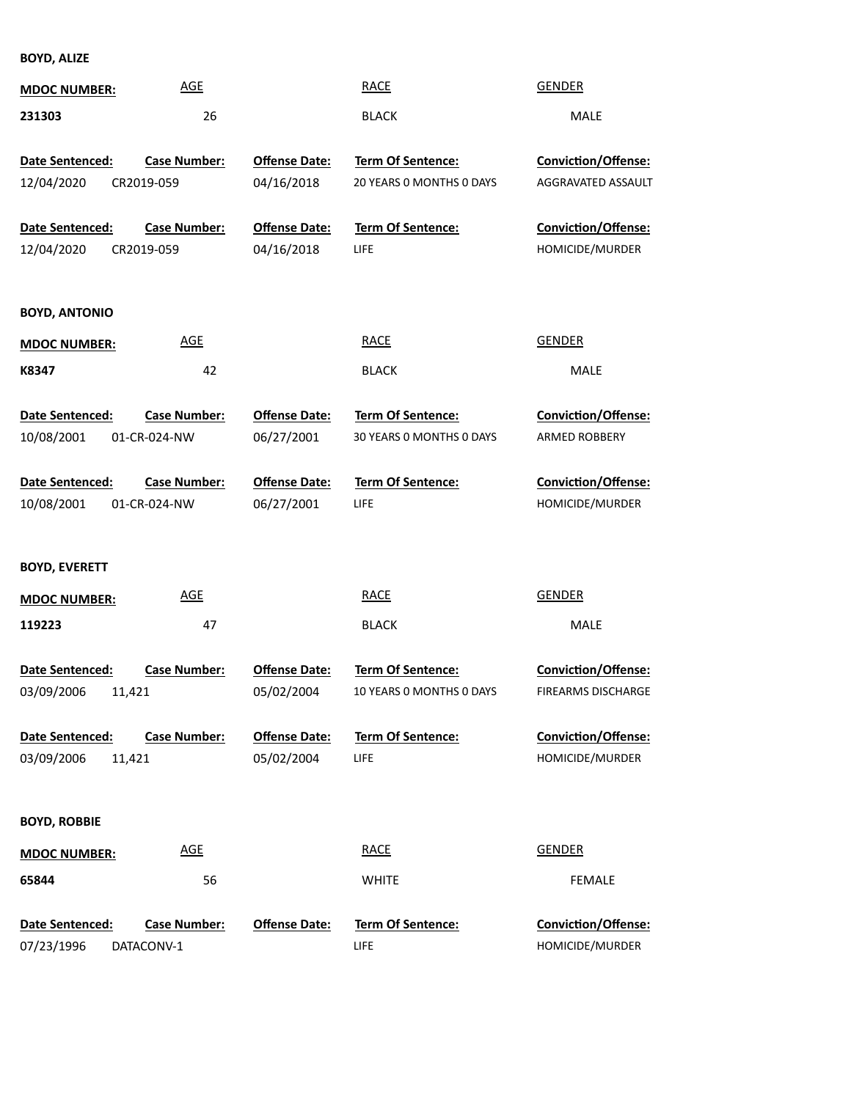**BOYD, ALIZE**

| <b>MDOC NUMBER:</b>                            | <b>AGE</b>                          |                                    | <b>RACE</b>                                          | <b>GENDER</b>                                    |
|------------------------------------------------|-------------------------------------|------------------------------------|------------------------------------------------------|--------------------------------------------------|
| 231303                                         | 26                                  |                                    | <b>BLACK</b>                                         | <b>MALE</b>                                      |
| Date Sentenced:<br>12/04/2020                  | <b>Case Number:</b><br>CR2019-059   | <b>Offense Date:</b><br>04/16/2018 | Term Of Sentence:<br>20 YEARS 0 MONTHS 0 DAYS        | <b>Conviction/Offense:</b><br>AGGRAVATED ASSAULT |
| Date Sentenced:<br>12/04/2020                  | <b>Case Number:</b><br>CR2019-059   | <b>Offense Date:</b><br>04/16/2018 | <b>Term Of Sentence:</b><br>LIFE                     | <b>Conviction/Offense:</b><br>HOMICIDE/MURDER    |
| <b>BOYD, ANTONIO</b>                           |                                     |                                    |                                                      |                                                  |
| <b>MDOC NUMBER:</b>                            | <b>AGE</b>                          |                                    | <b>RACE</b>                                          | <b>GENDER</b>                                    |
| K8347                                          | 42                                  |                                    | <b>BLACK</b>                                         | MALE                                             |
| Date Sentenced:<br>10/08/2001                  | <b>Case Number:</b><br>01-CR-024-NW | <b>Offense Date:</b><br>06/27/2001 | Term Of Sentence:<br>30 YEARS O MONTHS O DAYS        | Conviction/Offense:<br><b>ARMED ROBBERY</b>      |
| Date Sentenced:<br>10/08/2001                  | <b>Case Number:</b><br>01-CR-024-NW | <b>Offense Date:</b><br>06/27/2001 | <b>Term Of Sentence:</b><br>LIFE                     | Conviction/Offense:<br>HOMICIDE/MURDER           |
| <b>BOYD, EVERETT</b>                           |                                     |                                    |                                                      |                                                  |
| <b>MDOC NUMBER:</b>                            | <b>AGE</b>                          |                                    | <b>RACE</b>                                          | <b>GENDER</b>                                    |
| 119223                                         | 47                                  |                                    | <b>BLACK</b>                                         | MALE                                             |
| <b>Date Sentenced:</b><br>03/09/2006<br>11,421 | <b>Case Number:</b>                 | <b>Offense Date:</b><br>05/02/2004 | <b>Term Of Sentence:</b><br>10 YEARS 0 MONTHS 0 DAYS | <b>Conviction/Offense:</b><br>FIREARMS DISCHARGE |
| Date Sentenced:<br>03/09/2006<br>11,421        | <b>Case Number:</b>                 | <b>Offense Date:</b><br>05/02/2004 | <b>Term Of Sentence:</b><br>LIFE                     | Conviction/Offense:<br>HOMICIDE/MURDER           |
| <b>BOYD, ROBBIE</b>                            |                                     |                                    |                                                      |                                                  |
| <b>MDOC NUMBER:</b>                            | <b>AGE</b>                          |                                    | <b>RACE</b>                                          | <b>GENDER</b>                                    |
| 65844                                          | 56                                  |                                    | <b>WHITE</b>                                         | <b>FEMALE</b>                                    |
| Date Sentenced:<br>07/23/1996                  | <b>Case Number:</b><br>DATACONV-1   | <b>Offense Date:</b>               | <b>Term Of Sentence:</b><br>LIFE                     | Conviction/Offense:<br>HOMICIDE/MURDER           |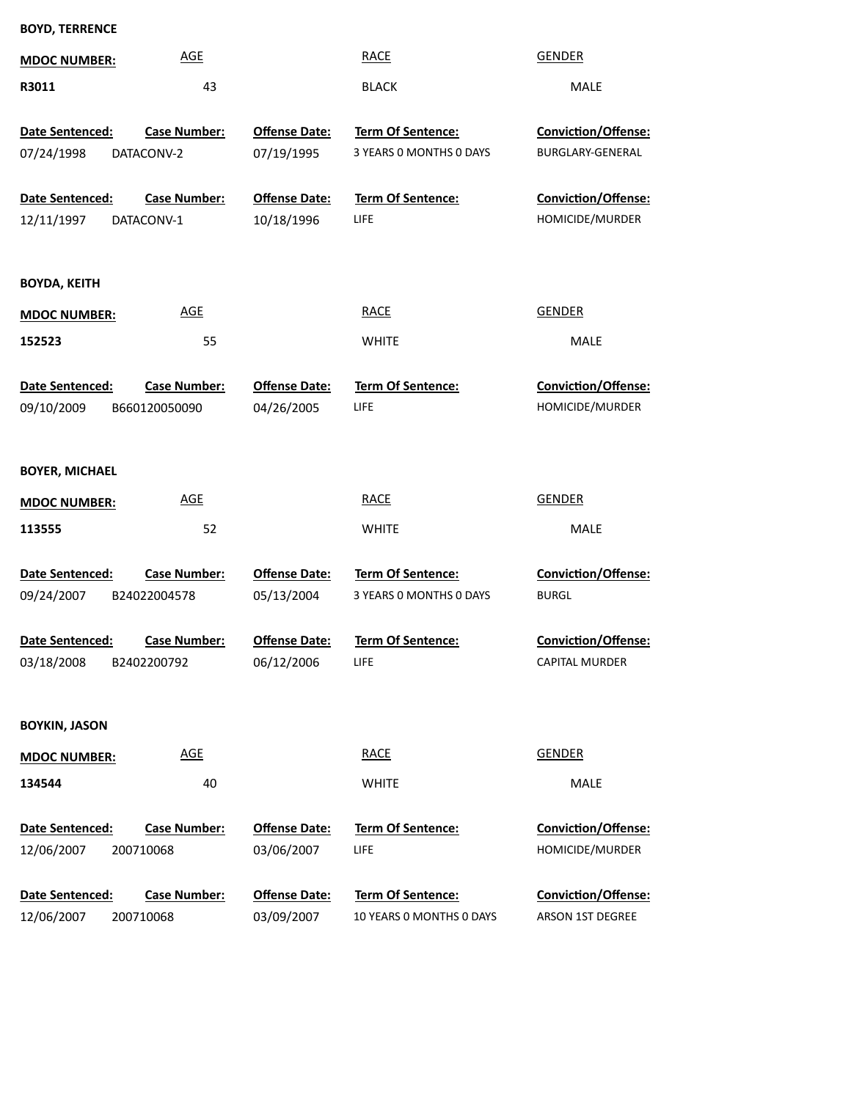| <b>BOYD, TERRENCE</b>  |                     |                      |                          |                            |
|------------------------|---------------------|----------------------|--------------------------|----------------------------|
| <b>MDOC NUMBER:</b>    | <b>AGE</b>          |                      | <b>RACE</b>              | <b>GENDER</b>              |
| R3011                  | 43                  |                      | <b>BLACK</b>             | MALE                       |
| Date Sentenced:        | <b>Case Number:</b> | <b>Offense Date:</b> | Term Of Sentence:        | Conviction/Offense:        |
| 07/24/1998             | DATACONV-2          | 07/19/1995           | 3 YEARS O MONTHS O DAYS  | BURGLARY-GENERAL           |
|                        |                     |                      |                          |                            |
| Date Sentenced:        | <b>Case Number:</b> | <b>Offense Date:</b> | <b>Term Of Sentence:</b> | Conviction/Offense:        |
| 12/11/1997             | DATACONV-1          | 10/18/1996           | LIFE                     | HOMICIDE/MURDER            |
|                        |                     |                      |                          |                            |
| <b>BOYDA, KEITH</b>    |                     |                      |                          |                            |
| <b>MDOC NUMBER:</b>    | <b>AGE</b>          |                      | <b>RACE</b>              | <b>GENDER</b>              |
| 152523                 | 55                  |                      | <b>WHITE</b>             | <b>MALE</b>                |
|                        |                     |                      |                          |                            |
| <b>Date Sentenced:</b> | <b>Case Number:</b> | <b>Offense Date:</b> | Term Of Sentence:        | Conviction/Offense:        |
| 09/10/2009             | B660120050090       | 04/26/2005           | LIFE                     | HOMICIDE/MURDER            |
|                        |                     |                      |                          |                            |
| <b>BOYER, MICHAEL</b>  |                     |                      |                          |                            |
| <b>MDOC NUMBER:</b>    | <b>AGE</b>          |                      | <b>RACE</b>              | <b>GENDER</b>              |
| 113555                 | 52                  |                      | <b>WHITE</b>             | <b>MALE</b>                |
|                        |                     |                      |                          |                            |
| Date Sentenced:        | <b>Case Number:</b> | <b>Offense Date:</b> | Term Of Sentence:        | Conviction/Offense:        |
| 09/24/2007             | B24022004578        | 05/13/2004           | 3 YEARS 0 MONTHS 0 DAYS  | <b>BURGL</b>               |
| Date Sentenced:        | <b>Case Number:</b> | <b>Offense Date:</b> | <b>Term Of Sentence:</b> | <b>Conviction/Offense:</b> |
| 03/18/2008             | B2402200792         | 06/12/2006           | LIFE                     | <b>CAPITAL MURDER</b>      |
|                        |                     |                      |                          |                            |
|                        |                     |                      |                          |                            |
| <b>BOYKIN, JASON</b>   |                     |                      |                          |                            |
| <b>MDOC NUMBER:</b>    | <b>AGE</b>          |                      | <b>RACE</b>              | <b>GENDER</b>              |
| 134544                 | 40                  |                      | <b>WHITE</b>             | MALE                       |
|                        |                     |                      |                          |                            |
| Date Sentenced:        | <b>Case Number:</b> | <b>Offense Date:</b> | Term Of Sentence:        | Conviction/Offense:        |
| 12/06/2007             | 200710068           | 03/06/2007           | <b>LIFE</b>              | HOMICIDE/MURDER            |
| Date Sentenced:        | <b>Case Number:</b> | <b>Offense Date:</b> | Term Of Sentence:        | Conviction/Offense:        |
| 12/06/2007             | 200710068           | 03/09/2007           | 10 YEARS O MONTHS O DAYS | ARSON 1ST DEGREE           |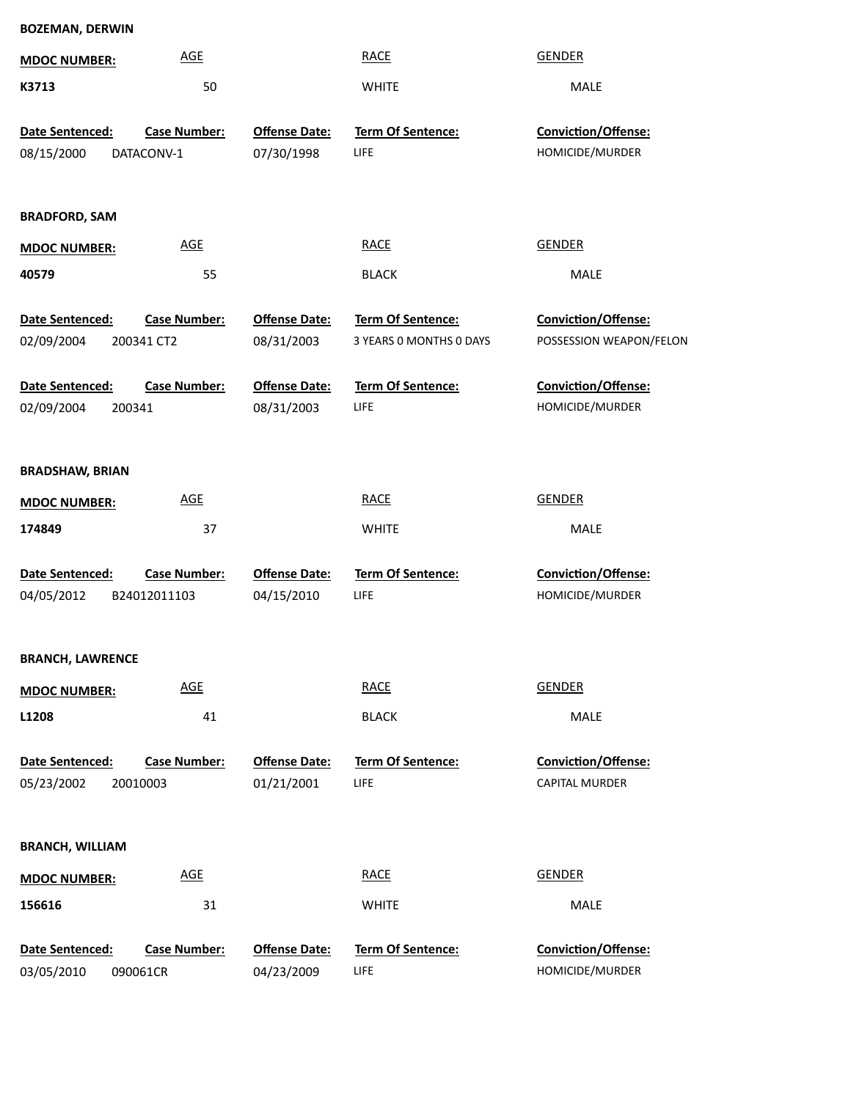| <b>BOZEMAN, DERWIN</b>  |                     |                      |                         |                         |
|-------------------------|---------------------|----------------------|-------------------------|-------------------------|
| <b>MDOC NUMBER:</b>     | <b>AGE</b>          |                      | <b>RACE</b>             | <b>GENDER</b>           |
| K3713                   | 50                  |                      | <b>WHITE</b>            | MALE                    |
| Date Sentenced:         | <b>Case Number:</b> | <b>Offense Date:</b> | Term Of Sentence:       | Conviction/Offense:     |
|                         |                     |                      |                         |                         |
| 08/15/2000              | DATACONV-1          | 07/30/1998           | LIFE                    | HOMICIDE/MURDER         |
| <b>BRADFORD, SAM</b>    |                     |                      |                         |                         |
| <b>MDOC NUMBER:</b>     | <b>AGE</b>          |                      | <b>RACE</b>             | <b>GENDER</b>           |
| 40579                   | 55                  |                      | <b>BLACK</b>            | MALE                    |
| Date Sentenced:         | <b>Case Number:</b> | <b>Offense Date:</b> | Term Of Sentence:       | Conviction/Offense:     |
| 02/09/2004              | 200341 CT2          | 08/31/2003           | 3 YEARS 0 MONTHS 0 DAYS | POSSESSION WEAPON/FELON |
| Date Sentenced:         | <b>Case Number:</b> | <b>Offense Date:</b> | Term Of Sentence:       | Conviction/Offense:     |
| 02/09/2004              | 200341              | 08/31/2003           | LIFE                    | HOMICIDE/MURDER         |
|                         |                     |                      |                         |                         |
| <b>BRADSHAW, BRIAN</b>  |                     |                      |                         |                         |
| <b>MDOC NUMBER:</b>     | AGE                 |                      | <b>RACE</b>             | <b>GENDER</b>           |
| 174849                  | 37                  |                      | <b>WHITE</b>            | MALE                    |
| Date Sentenced:         | <b>Case Number:</b> | <b>Offense Date:</b> | Term Of Sentence:       | Conviction/Offense:     |
| 04/05/2012              | B24012011103        | 04/15/2010           | <b>LIFE</b>             | HOMICIDE/MURDER         |
|                         |                     |                      |                         |                         |
| <b>BRANCH, LAWRENCE</b> |                     |                      |                         |                         |
| <b>MDOC NUMBER:</b>     | <b>AGE</b>          |                      | <b>RACE</b>             | <b>GENDER</b>           |
| L1208                   | 41                  |                      | <b>BLACK</b>            | MALE                    |
| Date Sentenced:         | <b>Case Number:</b> | <b>Offense Date:</b> | Term Of Sentence:       | Conviction/Offense:     |
| 05/23/2002              | 20010003            | 01/21/2001           | LIFE                    | <b>CAPITAL MURDER</b>   |
|                         |                     |                      |                         |                         |
| <b>BRANCH, WILLIAM</b>  |                     |                      |                         |                         |
| <b>MDOC NUMBER:</b>     | <b>AGE</b>          |                      | <b>RACE</b>             | <b>GENDER</b>           |
| 156616                  | 31                  |                      | <b>WHITE</b>            | MALE                    |
| Date Sentenced:         | <b>Case Number:</b> | <b>Offense Date:</b> | Term Of Sentence:       | Conviction/Offense:     |
| 03/05/2010              | 090061CR            | 04/23/2009           | LIFE                    | HOMICIDE/MURDER         |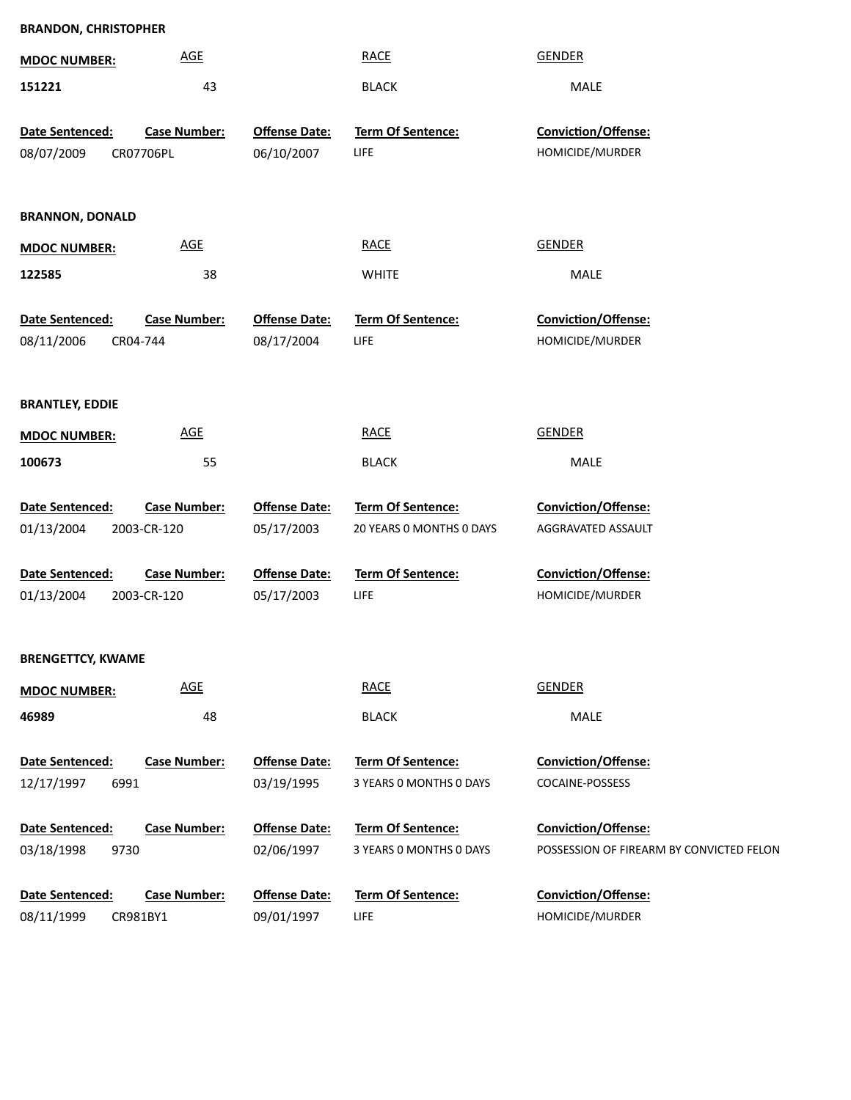| <b>BRANDON, CHRISTOPHER</b>   |                                 |                                    |                           |                                          |
|-------------------------------|---------------------------------|------------------------------------|---------------------------|------------------------------------------|
| <b>MDOC NUMBER:</b>           | <b>AGE</b>                      |                                    | <b>RACE</b>               | <b>GENDER</b>                            |
| 151221                        | 43                              |                                    | <b>BLACK</b>              | MALE                                     |
| Date Sentenced:               | <b>Case Number:</b>             | <b>Offense Date:</b>               | Term Of Sentence:         | Conviction/Offense:                      |
| 08/07/2009                    | CR07706PL                       | 06/10/2007                         | LIFE                      | HOMICIDE/MURDER                          |
|                               |                                 |                                    |                           |                                          |
| <b>BRANNON, DONALD</b>        |                                 |                                    |                           |                                          |
| <b>MDOC NUMBER:</b>           | <b>AGE</b>                      |                                    | <b>RACE</b>               | <b>GENDER</b>                            |
| 122585                        | 38                              |                                    | <b>WHITE</b>              | MALE                                     |
| Date Sentenced:               | <b>Case Number:</b>             | <b>Offense Date:</b>               | Term Of Sentence:         | <b>Conviction/Offense:</b>               |
| 08/11/2006                    | CR04-744                        | 08/17/2004                         | LIFE                      | HOMICIDE/MURDER                          |
|                               |                                 |                                    |                           |                                          |
| <b>BRANTLEY, EDDIE</b>        |                                 |                                    |                           |                                          |
|                               | <b>AGE</b>                      |                                    | <b>RACE</b>               | <b>GENDER</b>                            |
| <b>MDOC NUMBER:</b>           |                                 |                                    |                           |                                          |
| 100673                        | 55                              |                                    | <b>BLACK</b>              | <b>MALE</b>                              |
| Date Sentenced:               | <b>Case Number:</b>             | <b>Offense Date:</b>               | Term Of Sentence:         | Conviction/Offense:                      |
| 01/13/2004                    | 2003-CR-120                     | 05/17/2003                         | 20 YEARS 0 MONTHS 0 DAYS  | AGGRAVATED ASSAULT                       |
| Date Sentenced:               | <b>Case Number:</b>             | <b>Offense Date:</b>               | Term Of Sentence:         | Conviction/Offense:                      |
| 01/13/2004                    | 2003-CR-120                     | 05/17/2003                         | LIFE                      | HOMICIDE/MURDER                          |
|                               |                                 |                                    |                           |                                          |
| <b>BRENGETTCY, KWAME</b>      |                                 |                                    |                           |                                          |
| <b>MDOC NUMBER:</b>           | <b>AGE</b>                      |                                    | <b>RACE</b>               | <b>GENDER</b>                            |
| 46989                         | 48                              |                                    | <b>BLACK</b>              | MALE                                     |
|                               |                                 |                                    |                           |                                          |
| Date Sentenced:               | <b>Case Number:</b>             | <b>Offense Date:</b>               | Term Of Sentence:         | Conviction/Offense:                      |
| 6991<br>12/17/1997            |                                 | 03/19/1995                         | 3 YEARS O MONTHS O DAYS   | COCAINE-POSSESS                          |
| Date Sentenced:               | <b>Case Number:</b>             | <b>Offense Date:</b>               | Term Of Sentence:         | Conviction/Offense:                      |
| 9730<br>03/18/1998            |                                 | 02/06/1997                         | 3 YEARS O MONTHS O DAYS   | POSSESSION OF FIREARM BY CONVICTED FELON |
|                               |                                 |                                    |                           |                                          |
| Date Sentenced:<br>08/11/1999 | <b>Case Number:</b><br>CR981BY1 | <b>Offense Date:</b><br>09/01/1997 | Term Of Sentence:<br>LIFE | Conviction/Offense:<br>HOMICIDE/MURDER   |
|                               |                                 |                                    |                           |                                          |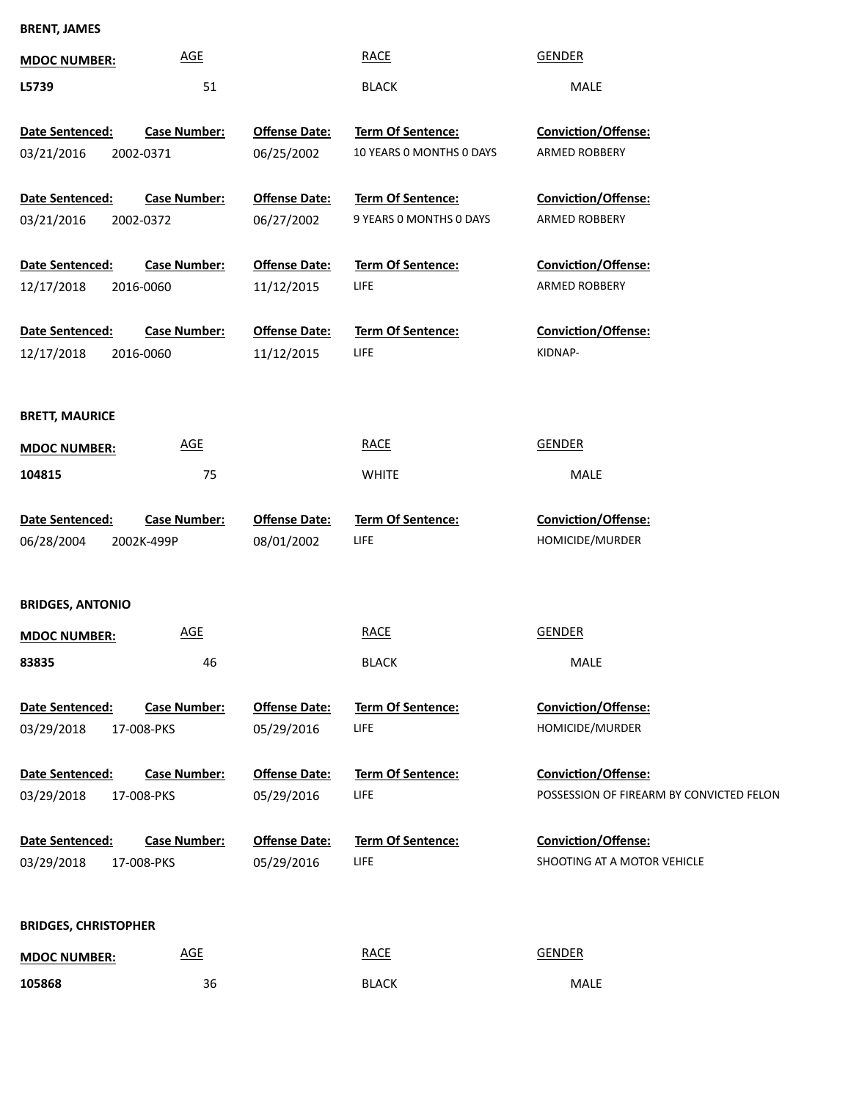## **BRENT, JAMES**

| <b>MDOC NUMBER:</b>           | <b>AGE</b>                        |                                    | <b>RACE</b>                                         | <b>GENDER</b>                                                          |
|-------------------------------|-----------------------------------|------------------------------------|-----------------------------------------------------|------------------------------------------------------------------------|
| L5739                         | 51                                |                                    | <b>BLACK</b>                                        | MALE                                                                   |
| Date Sentenced:<br>03/21/2016 | <b>Case Number:</b><br>2002-0371  | <b>Offense Date:</b><br>06/25/2002 | Term Of Sentence:<br>10 YEARS 0 MONTHS 0 DAYS       | Conviction/Offense:<br>ARMED ROBBERY                                   |
| Date Sentenced:<br>03/21/2016 | <b>Case Number:</b><br>2002-0372  | <b>Offense Date:</b><br>06/27/2002 | <b>Term Of Sentence:</b><br>9 YEARS 0 MONTHS 0 DAYS | Conviction/Offense:<br>ARMED ROBBERY                                   |
| Date Sentenced:<br>12/17/2018 | <b>Case Number:</b><br>2016-0060  | <b>Offense Date:</b><br>11/12/2015 | Term Of Sentence:<br>LIFE                           | Conviction/Offense:<br>ARMED ROBBERY                                   |
| Date Sentenced:<br>12/17/2018 | <b>Case Number:</b><br>2016-0060  | <b>Offense Date:</b><br>11/12/2015 | Term Of Sentence:<br><b>LIFE</b>                    | Conviction/Offense:<br>KIDNAP-                                         |
| <b>BRETT, MAURICE</b>         |                                   |                                    |                                                     |                                                                        |
| <b>MDOC NUMBER:</b>           | <b>AGE</b>                        |                                    | <b>RACE</b>                                         | <b>GENDER</b>                                                          |
| 104815                        | 75                                |                                    | <b>WHITE</b>                                        | MALE                                                                   |
| Date Sentenced:<br>06/28/2004 | <b>Case Number:</b><br>2002K-499P | <b>Offense Date:</b><br>08/01/2002 | Term Of Sentence:<br>LIFE                           | Conviction/Offense:<br>HOMICIDE/MURDER                                 |
| <b>BRIDGES, ANTONIO</b>       |                                   |                                    |                                                     |                                                                        |
| <b>MDOC NUMBER:</b>           | <b>AGE</b>                        |                                    | <b>RACE</b>                                         | <b>GENDER</b>                                                          |
| 83835                         | 46                                |                                    | <b>BLACK</b>                                        | MALE                                                                   |
| Date Sentenced:<br>03/29/2018 | <b>Case Number:</b><br>17-008-PKS | <b>Offense Date:</b><br>05/29/2016 | <b>Term Of Sentence:</b><br><b>LIFE</b>             | Conviction/Offense:<br>HOMICIDE/MURDER                                 |
| Date Sentenced:<br>03/29/2018 | <b>Case Number:</b><br>17-008-PKS | <b>Offense Date:</b><br>05/29/2016 | <b>Term Of Sentence:</b><br><b>LIFE</b>             | <b>Conviction/Offense:</b><br>POSSESSION OF FIREARM BY CONVICTED FELON |
| Date Sentenced:<br>03/29/2018 | <b>Case Number:</b><br>17-008-PKS | <b>Offense Date:</b><br>05/29/2016 | <b>Term Of Sentence:</b><br><b>LIFE</b>             | <b>Conviction/Offense:</b><br>SHOOTING AT A MOTOR VEHICLE              |
| <b>BRIDGES, CHRISTOPHER</b>   |                                   |                                    |                                                     |                                                                        |
| <b>MDOC NUMBER:</b>           | <b>AGE</b>                        |                                    | <b>RACE</b>                                         | <b>GENDER</b>                                                          |
| 105868                        | 36                                |                                    | <b>BLACK</b>                                        | MALE                                                                   |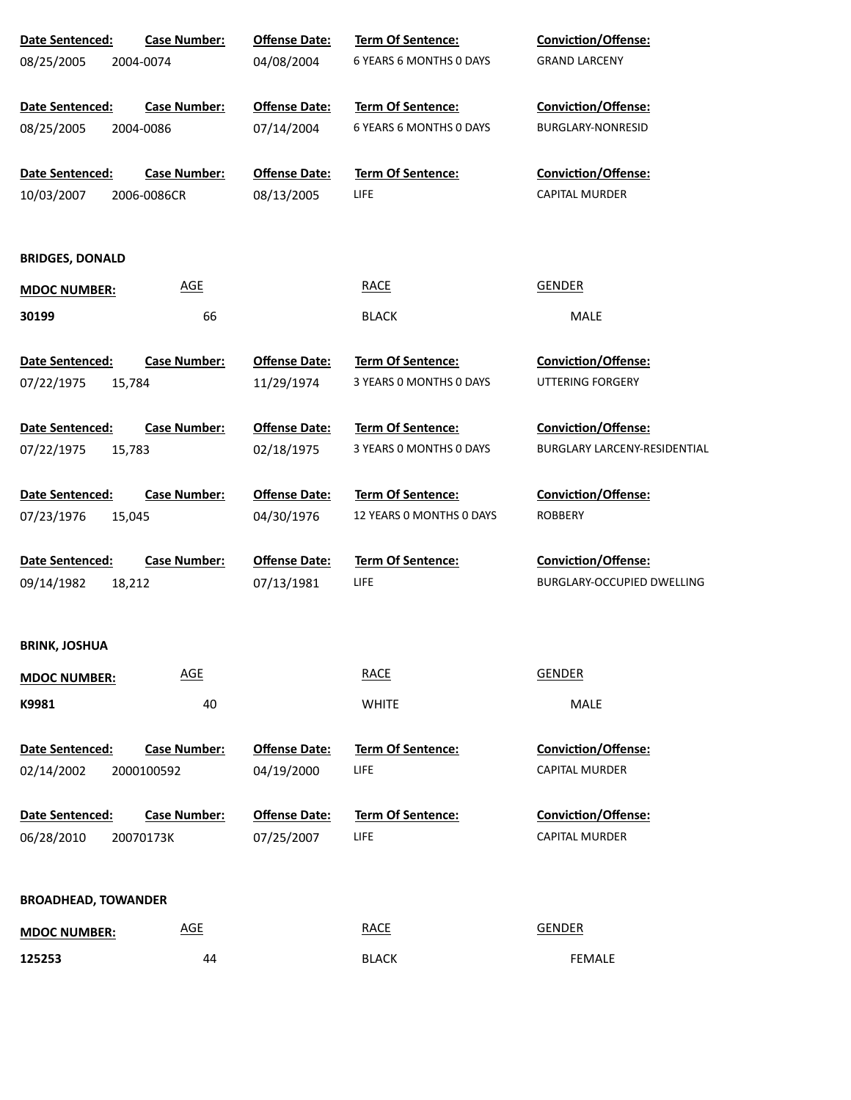| Date Sentenced:            | Case Number:        | <b>Offense Date:</b> | Term Of Sentence:        | Conviction/Offense:          |
|----------------------------|---------------------|----------------------|--------------------------|------------------------------|
| 08/25/2005                 | 2004-0074           | 04/08/2004           | 6 YEARS 6 MONTHS 0 DAYS  | <b>GRAND LARCENY</b>         |
|                            |                     |                      |                          |                              |
| Date Sentenced:            | <b>Case Number:</b> | <b>Offense Date:</b> | Term Of Sentence:        | <b>Conviction/Offense:</b>   |
| 08/25/2005                 | 2004-0086           | 07/14/2004           | 6 YEARS 6 MONTHS 0 DAYS  | BURGLARY-NONRESID            |
|                            |                     |                      |                          |                              |
| Date Sentenced:            | <b>Case Number:</b> | <b>Offense Date:</b> | <b>Term Of Sentence:</b> | Conviction/Offense:          |
| 10/03/2007                 | 2006-0086CR         | 08/13/2005           | <b>LIFE</b>              | <b>CAPITAL MURDER</b>        |
|                            |                     |                      |                          |                              |
|                            |                     |                      |                          |                              |
| <b>BRIDGES, DONALD</b>     |                     |                      |                          |                              |
| <b>MDOC NUMBER:</b>        | <b>AGE</b>          |                      | <b>RACE</b>              | <b>GENDER</b>                |
| 30199                      | 66                  |                      | <b>BLACK</b>             | MALE                         |
|                            |                     |                      |                          |                              |
| Date Sentenced:            | <b>Case Number:</b> | <b>Offense Date:</b> | Term Of Sentence:        | Conviction/Offense:          |
| 07/22/1975                 | 15,784              | 11/29/1974           | 3 YEARS 0 MONTHS 0 DAYS  | <b>UTTERING FORGERY</b>      |
|                            |                     |                      |                          |                              |
| Date Sentenced:            | Case Number:        | <b>Offense Date:</b> | Term Of Sentence:        | Conviction/Offense:          |
| 07/22/1975                 | 15,783              | 02/18/1975           | 3 YEARS 0 MONTHS 0 DAYS  | BURGLARY LARCENY-RESIDENTIAL |
|                            |                     |                      |                          |                              |
| Date Sentenced:            | Case Number:        | <b>Offense Date:</b> | Term Of Sentence:        | Conviction/Offense:          |
| 07/23/1976                 | 15,045              | 04/30/1976           | 12 YEARS O MONTHS O DAYS | ROBBERY                      |
|                            |                     |                      |                          |                              |
| Date Sentenced:            | <b>Case Number:</b> | <b>Offense Date:</b> | Term Of Sentence:        | Conviction/Offense:          |
| 09/14/1982                 | 18,212              | 07/13/1981           | LIFE                     | BURGLARY-OCCUPIED DWELLING   |
|                            |                     |                      |                          |                              |
|                            |                     |                      |                          |                              |
| <b>BRINK, JOSHUA</b>       |                     |                      |                          |                              |
| <b>MDOC NUMBER:</b>        | <b>AGE</b>          |                      | <b>RACE</b>              | <b>GENDER</b>                |
| K9981                      | 40                  |                      | <b>WHITE</b>             | MALE                         |
|                            |                     |                      |                          |                              |
| Date Sentenced:            | <b>Case Number:</b> | <b>Offense Date:</b> | <b>Term Of Sentence:</b> | Conviction/Offense:          |
| 02/14/2002                 | 2000100592          | 04/19/2000           | LIFE                     | <b>CAPITAL MURDER</b>        |
|                            |                     |                      |                          |                              |
| Date Sentenced:            | <b>Case Number:</b> | <b>Offense Date:</b> | <b>Term Of Sentence:</b> | Conviction/Offense:          |
| 06/28/2010                 | 20070173K           | 07/25/2007           | LIFE                     | <b>CAPITAL MURDER</b>        |
|                            |                     |                      |                          |                              |
|                            |                     |                      |                          |                              |
| <b>BROADHEAD, TOWANDER</b> |                     |                      |                          |                              |
| <b>MDOC NUMBER:</b>        | <u>AGE</u>          |                      | <b>RACE</b>              | <b>GENDER</b>                |
| 125253                     | 44                  |                      | <b>BLACK</b>             | FEMALE                       |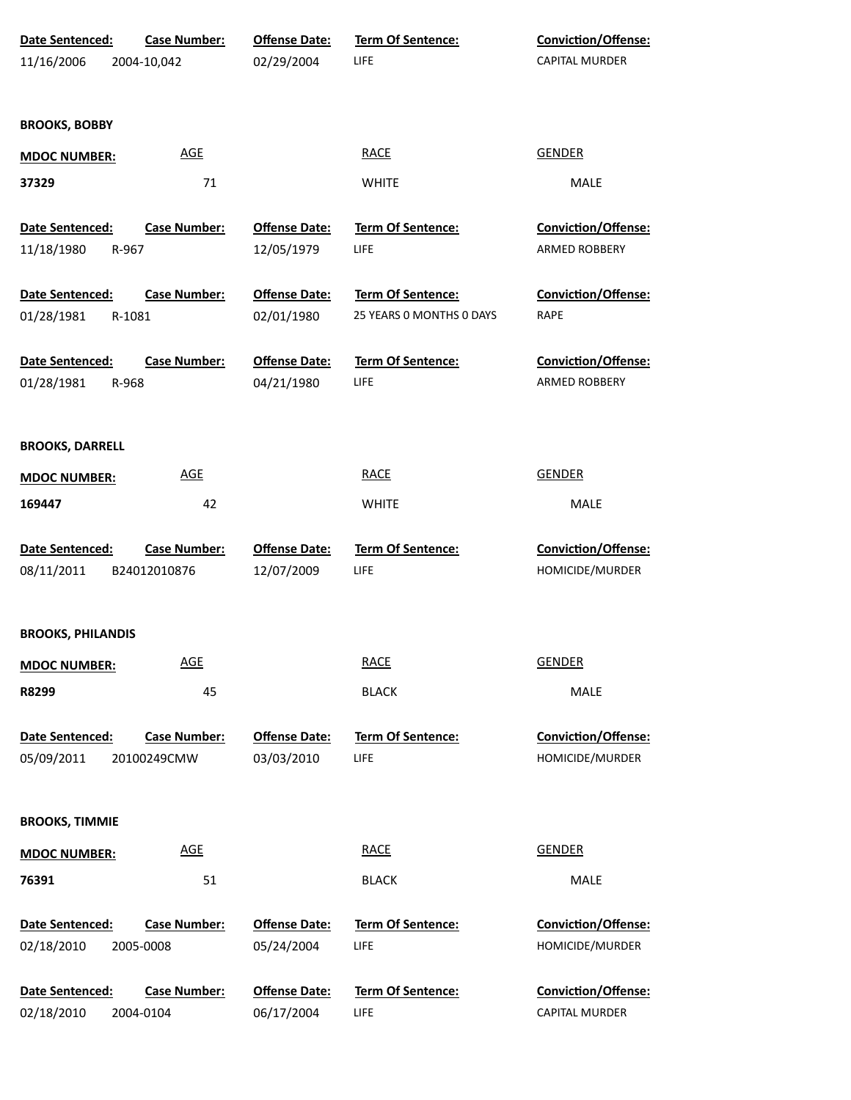| Date Sentenced:<br>11/16/2006                 | <b>Case Number:</b><br>2004-10,042  | <b>Offense Date:</b><br>02/29/2004 | <b>Term Of Sentence:</b><br><b>LIFE</b>       | <b>Conviction/Offense:</b><br>CAPITAL MURDER |
|-----------------------------------------------|-------------------------------------|------------------------------------|-----------------------------------------------|----------------------------------------------|
| <b>BROOKS, BOBBY</b>                          |                                     |                                    |                                               |                                              |
| <b>MDOC NUMBER:</b>                           | <b>AGE</b>                          |                                    | <b>RACE</b>                                   | <b>GENDER</b>                                |
| 37329                                         | $71\,$                              |                                    | <b>WHITE</b>                                  | MALE                                         |
| <b>Date Sentenced:</b><br>11/18/1980<br>R-967 | <b>Case Number:</b>                 | <b>Offense Date:</b><br>12/05/1979 | Term Of Sentence:<br>LIFE                     | <b>Conviction/Offense:</b><br>ARMED ROBBERY  |
| Date Sentenced:<br>01/28/1981<br>R-1081       | <b>Case Number:</b>                 | <b>Offense Date:</b><br>02/01/1980 | Term Of Sentence:<br>25 YEARS 0 MONTHS 0 DAYS | <b>Conviction/Offense:</b><br><b>RAPE</b>    |
| Date Sentenced:<br>01/28/1981<br>R-968        | <b>Case Number:</b>                 | <b>Offense Date:</b><br>04/21/1980 | Term Of Sentence:<br>LIFE                     | Conviction/Offense:<br>ARMED ROBBERY         |
| <b>BROOKS, DARRELL</b>                        |                                     |                                    |                                               |                                              |
| <b>MDOC NUMBER:</b>                           | <b>AGE</b>                          |                                    | <b>RACE</b>                                   | <b>GENDER</b>                                |
| 169447                                        | 42                                  |                                    | <b>WHITE</b>                                  | MALE                                         |
| Date Sentenced:<br>08/11/2011                 | <b>Case Number:</b><br>B24012010876 | <b>Offense Date:</b><br>12/07/2009 | Term Of Sentence:<br>LIFE                     | Conviction/Offense:<br>HOMICIDE/MURDER       |
| <b>BROOKS, PHILANDIS</b>                      |                                     |                                    |                                               |                                              |
| <b>MDOC NUMBER:</b>                           | <b>AGE</b>                          |                                    | <b>RACE</b>                                   | <b>GENDER</b>                                |
| R8299                                         | 45                                  |                                    | <b>BLACK</b>                                  | <b>MALE</b>                                  |
| <b>Date Sentenced:</b><br>05/09/2011          | <b>Case Number:</b><br>20100249CMW  | <b>Offense Date:</b><br>03/03/2010 | Term Of Sentence:<br>LIFE                     | Conviction/Offense:<br>HOMICIDE/MURDER       |
| <b>BROOKS, TIMMIE</b>                         |                                     |                                    |                                               |                                              |
| <b>MDOC NUMBER:</b>                           | <b>AGE</b>                          |                                    | <b>RACE</b>                                   | <b>GENDER</b>                                |
| 76391                                         | 51                                  |                                    | <b>BLACK</b>                                  | <b>MALE</b>                                  |
| Date Sentenced:<br>02/18/2010                 | <b>Case Number:</b><br>2005-0008    | <b>Offense Date:</b><br>05/24/2004 | Term Of Sentence:<br>LIFE                     | Conviction/Offense:<br>HOMICIDE/MURDER       |
| Date Sentenced:<br>02/18/2010                 | <b>Case Number:</b><br>2004-0104    | <b>Offense Date:</b><br>06/17/2004 | Term Of Sentence:<br><b>LIFE</b>              | Conviction/Offense:<br>CAPITAL MURDER        |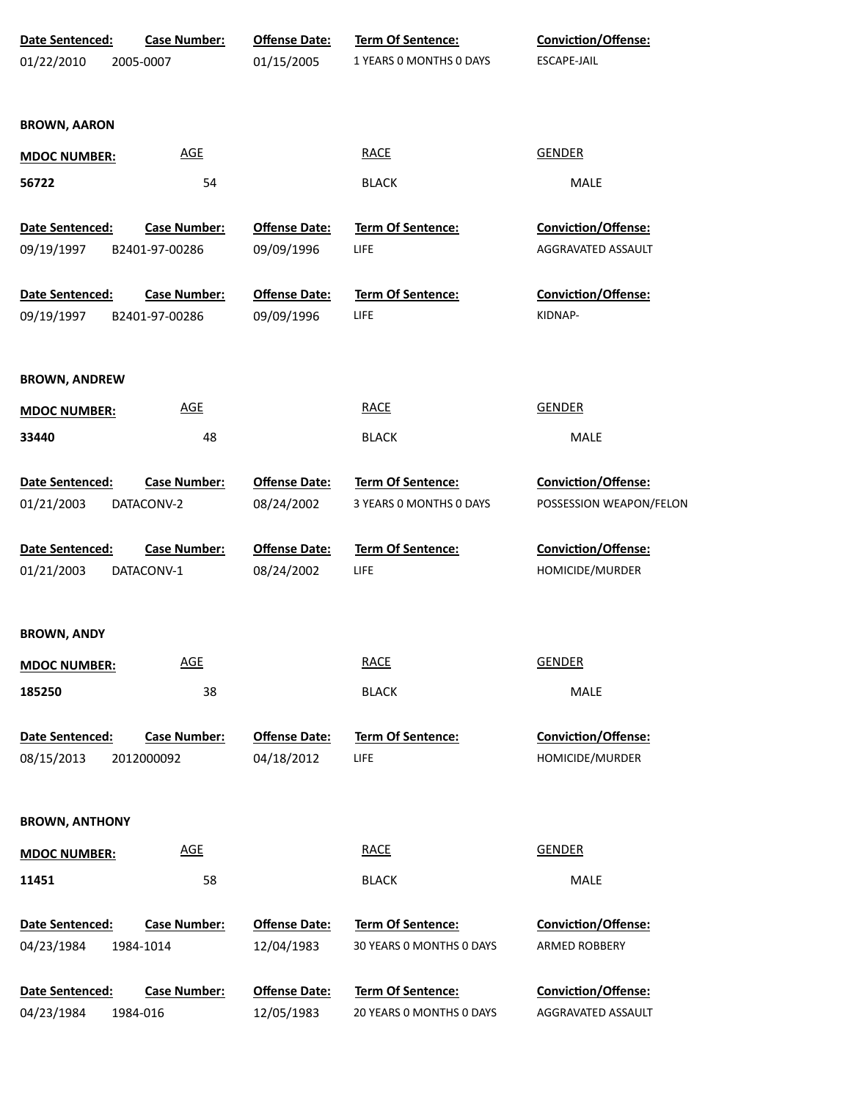| Date Sentenced:       | <b>Case Number:</b> | <b>Offense Date:</b> | Term Of Sentence:        | <b>Conviction/Offense:</b> |
|-----------------------|---------------------|----------------------|--------------------------|----------------------------|
| 01/22/2010            | 2005-0007           | 01/15/2005           | 1 YEARS O MONTHS O DAYS  | <b>ESCAPE-JAIL</b>         |
| <b>BROWN, AARON</b>   |                     |                      |                          |                            |
| <b>MDOC NUMBER:</b>   | <b>AGE</b>          |                      | <b>RACE</b>              | <b>GENDER</b>              |
| 56722                 | 54                  |                      | <b>BLACK</b>             | MALE                       |
| Date Sentenced:       | <b>Case Number:</b> | <b>Offense Date:</b> | Term Of Sentence:        | <b>Conviction/Offense:</b> |
| 09/19/1997            | B2401-97-00286      | 09/09/1996           | LIFE                     | AGGRAVATED ASSAULT         |
| Date Sentenced:       | <b>Case Number:</b> | <b>Offense Date:</b> | Term Of Sentence:        | <b>Conviction/Offense:</b> |
| 09/19/1997            | B2401-97-00286      | 09/09/1996           | LIFE                     | KIDNAP-                    |
| <b>BROWN, ANDREW</b>  |                     |                      |                          |                            |
| <b>MDOC NUMBER:</b>   | <b>AGE</b>          |                      | <b>RACE</b>              | <b>GENDER</b>              |
| 33440                 | 48                  |                      | <b>BLACK</b>             | MALE                       |
| Date Sentenced:       | <b>Case Number:</b> | <b>Offense Date:</b> | Term Of Sentence:        | Conviction/Offense:        |
| 01/21/2003            | DATACONV-2          | 08/24/2002           | 3 YEARS 0 MONTHS 0 DAYS  | POSSESSION WEAPON/FELON    |
| Date Sentenced:       | <b>Case Number:</b> | <b>Offense Date:</b> | Term Of Sentence:        | Conviction/Offense:        |
| 01/21/2003            | DATACONV-1          | 08/24/2002           | <b>LIFE</b>              | HOMICIDE/MURDER            |
| <b>BROWN, ANDY</b>    |                     |                      |                          |                            |
| <b>MDOC NUMBER:</b>   | <b>AGE</b>          |                      | <b>RACE</b>              | <b>GENDER</b>              |
| 185250                | 38                  |                      | <b>BLACK</b>             | <b>MALE</b>                |
| Date Sentenced:       | <b>Case Number:</b> | <b>Offense Date:</b> | <b>Term Of Sentence:</b> | <b>Conviction/Offense:</b> |
| 08/15/2013            | 2012000092          | 04/18/2012           | <b>LIFE</b>              | HOMICIDE/MURDER            |
| <b>BROWN, ANTHONY</b> |                     |                      |                          |                            |
| <b>MDOC NUMBER:</b>   | <b>AGE</b>          |                      | <b>RACE</b>              | <b>GENDER</b>              |
| 11451                 | 58                  |                      | <b>BLACK</b>             | MALE                       |
| Date Sentenced:       | <b>Case Number:</b> | <b>Offense Date:</b> | Term Of Sentence:        | <b>Conviction/Offense:</b> |
| 04/23/1984            | 1984-1014           | 12/04/1983           | 30 YEARS O MONTHS O DAYS | ARMED ROBBERY              |
| Date Sentenced:       | <b>Case Number:</b> | <b>Offense Date:</b> | Term Of Sentence:        | Conviction/Offense:        |
| 04/23/1984            | 1984-016            | 12/05/1983           | 20 YEARS 0 MONTHS 0 DAYS | AGGRAVATED ASSAULT         |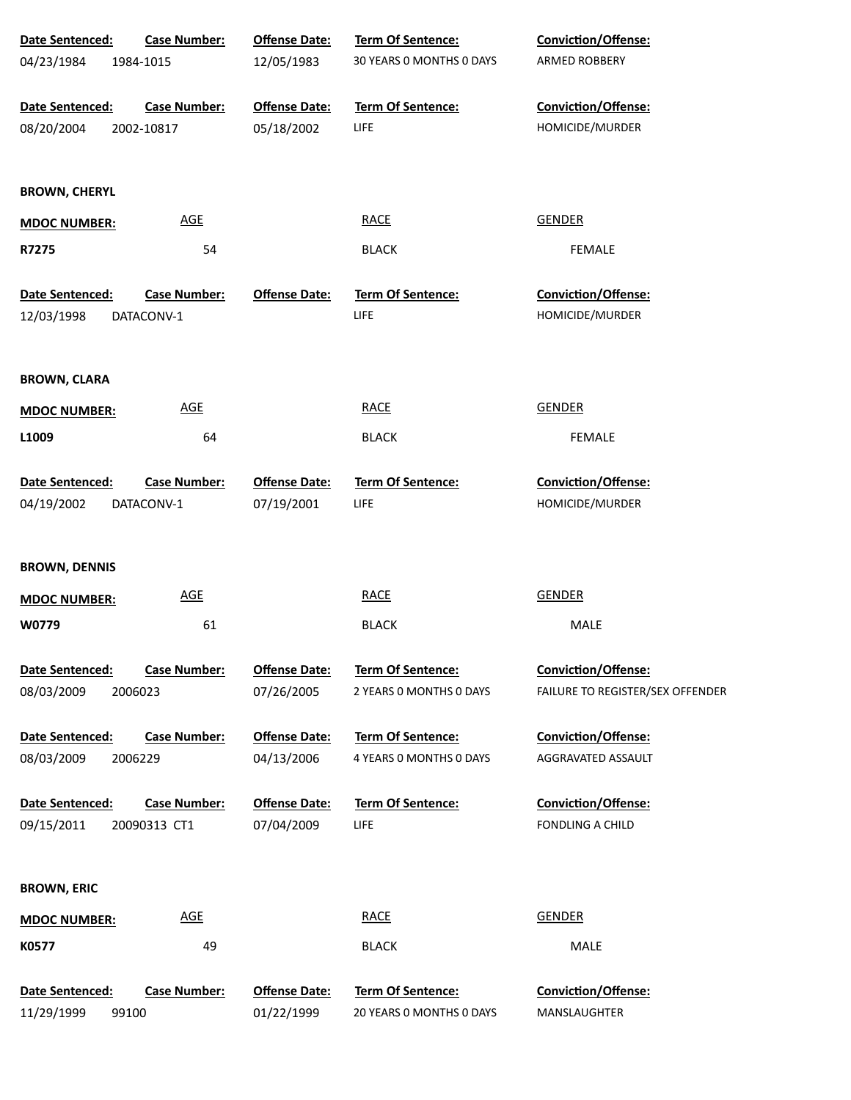| Date Sentenced:               | <b>Case Number:</b>          | <b>Offense Date:</b>               | Term Of Sentence:                             | Conviction/Offense:                 |
|-------------------------------|------------------------------|------------------------------------|-----------------------------------------------|-------------------------------------|
| 04/23/1984                    | 1984-1015                    | 12/05/1983                         | 30 YEARS 0 MONTHS 0 DAYS                      | ARMED ROBBERY                       |
| Date Sentenced:               | <b>Case Number:</b>          | <b>Offense Date:</b>               | Term Of Sentence:                             | Conviction/Offense:                 |
| 08/20/2004                    | 2002-10817                   | 05/18/2002                         | LIFE                                          | HOMICIDE/MURDER                     |
| <b>BROWN, CHERYL</b>          |                              |                                    |                                               |                                     |
| <b>MDOC NUMBER:</b>           | <b>AGE</b>                   |                                    | <b>RACE</b>                                   | <b>GENDER</b>                       |
| R7275                         | 54                           |                                    | <b>BLACK</b>                                  | <b>FEMALE</b>                       |
| Date Sentenced:               | <b>Case Number:</b>          | <b>Offense Date:</b>               | <b>Term Of Sentence:</b>                      | Conviction/Offense:                 |
| 12/03/1998                    | DATACONV-1                   |                                    | LIFE                                          | HOMICIDE/MURDER                     |
| <b>BROWN, CLARA</b>           |                              |                                    |                                               |                                     |
| <b>MDOC NUMBER:</b>           | <b>AGE</b>                   |                                    | <b>RACE</b>                                   | <b>GENDER</b>                       |
| L1009                         | 64                           |                                    | <b>BLACK</b>                                  | <b>FEMALE</b>                       |
| Date Sentenced:               | <b>Case Number:</b>          | <b>Offense Date:</b>               | <b>Term Of Sentence:</b>                      | Conviction/Offense:                 |
| 04/19/2002                    | DATACONV-1                   | 07/19/2001                         | LIFE                                          | HOMICIDE/MURDER                     |
| <b>BROWN, DENNIS</b>          |                              |                                    |                                               |                                     |
| <b>MDOC NUMBER:</b>           | <b>AGE</b>                   |                                    | <b>RACE</b>                                   | <b>GENDER</b>                       |
| W0779                         | 61                           |                                    | <b>BLACK</b>                                  | MALE                                |
| Date Sentenced:               | <b>Case Number:</b>          | <b>Offense Date:</b>               | <b>Term Of Sentence:</b>                      | <b>Conviction/Offense:</b>          |
| 08/03/2009                    | 2006023                      | 07/26/2005                         | 2 YEARS O MONTHS O DAYS                       | FAILURE TO REGISTER/SEX OFFENDER    |
| Date Sentenced:               | <b>Case Number:</b>          | <b>Offense Date:</b>               | <b>Term Of Sentence:</b>                      | <b>Conviction/Offense:</b>          |
| 08/03/2009                    | 2006229                      | 04/13/2006                         | 4 YEARS 0 MONTHS 0 DAYS                       | AGGRAVATED ASSAULT                  |
| Date Sentenced:               | <b>Case Number:</b>          | <b>Offense Date:</b>               | <b>Term Of Sentence:</b>                      | <b>Conviction/Offense:</b>          |
| 09/15/2011                    | 20090313 CT1                 | 07/04/2009                         | LIFE                                          | FONDLING A CHILD                    |
| <b>BROWN, ERIC</b>            |                              |                                    |                                               |                                     |
| <b>MDOC NUMBER:</b>           | <u>AGE</u>                   |                                    | <b>RACE</b>                                   | <b>GENDER</b>                       |
| K0577                         | 49                           |                                    | <b>BLACK</b>                                  | MALE                                |
| Date Sentenced:<br>11/29/1999 | <b>Case Number:</b><br>99100 | <b>Offense Date:</b><br>01/22/1999 | Term Of Sentence:<br>20 YEARS O MONTHS O DAYS | Conviction/Offense:<br>MANSLAUGHTER |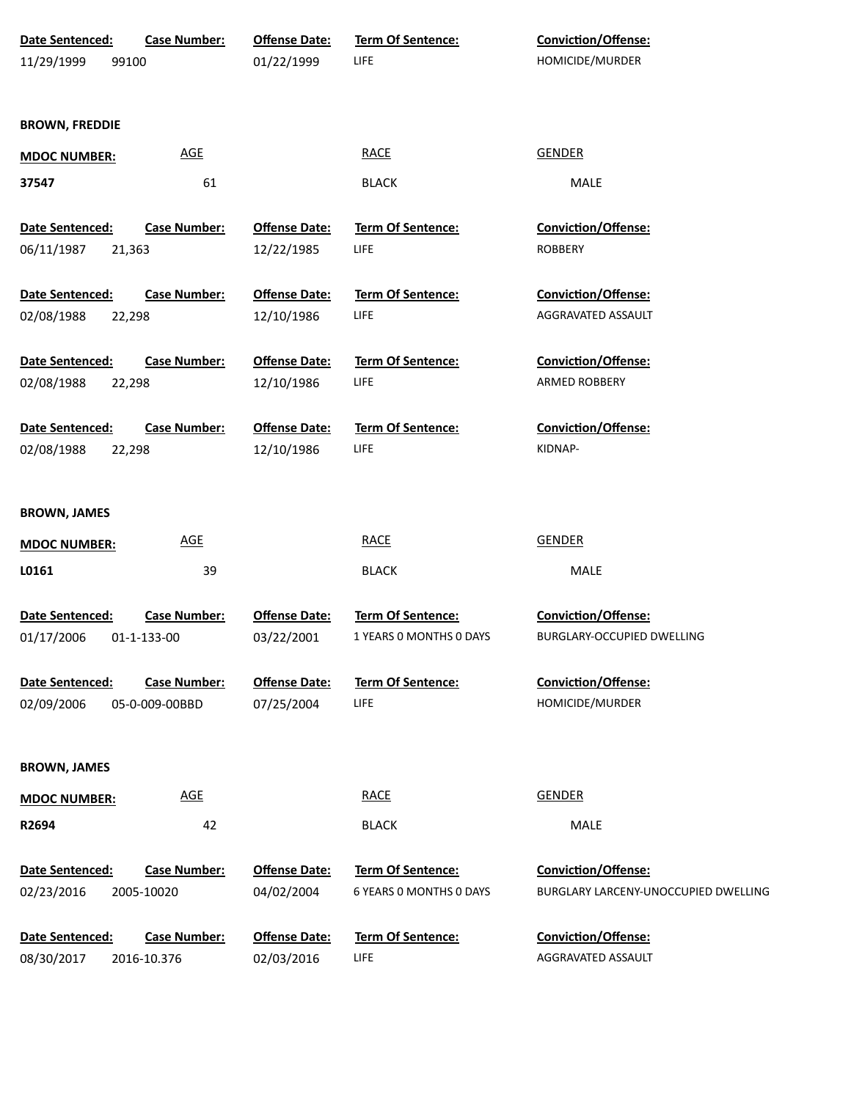| Date Sentenced:        | <b>Case Number:</b> | <b>Offense Date:</b> | Term Of Sentence:        | Conviction/Offense:                  |
|------------------------|---------------------|----------------------|--------------------------|--------------------------------------|
| 11/29/1999<br>99100    |                     | 01/22/1999           | LIFE                     | HOMICIDE/MURDER                      |
|                        |                     |                      |                          |                                      |
| <b>BROWN, FREDDIE</b>  |                     |                      |                          |                                      |
|                        |                     |                      |                          |                                      |
| <b>MDOC NUMBER:</b>    | <b>AGE</b>          |                      | <b>RACE</b>              | <b>GENDER</b>                        |
| 37547                  | 61                  |                      | <b>BLACK</b>             | MALE                                 |
| Date Sentenced:        | <b>Case Number:</b> | <b>Offense Date:</b> | <b>Term Of Sentence:</b> | <b>Conviction/Offense:</b>           |
| 06/11/1987             | 21,363              | 12/22/1985           | <b>LIFE</b>              | <b>ROBBERY</b>                       |
|                        |                     |                      |                          |                                      |
| Date Sentenced:        | <b>Case Number:</b> | <b>Offense Date:</b> | <b>Term Of Sentence:</b> | <b>Conviction/Offense:</b>           |
| 02/08/1988             | 22,298              | 12/10/1986           | <b>LIFE</b>              | AGGRAVATED ASSAULT                   |
|                        |                     |                      |                          |                                      |
| Date Sentenced:        | <b>Case Number:</b> | <b>Offense Date:</b> | <b>Term Of Sentence:</b> | <b>Conviction/Offense:</b>           |
| 02/08/1988             | 22,298              | 12/10/1986           | <b>LIFE</b>              | ARMED ROBBERY                        |
|                        |                     |                      |                          |                                      |
| Date Sentenced:        | <b>Case Number:</b> | <b>Offense Date:</b> | <b>Term Of Sentence:</b> | <b>Conviction/Offense:</b>           |
| 02/08/1988             | 22,298              | 12/10/1986           | <b>LIFE</b>              | KIDNAP-                              |
|                        |                     |                      |                          |                                      |
| <b>BROWN, JAMES</b>    |                     |                      |                          |                                      |
| <b>MDOC NUMBER:</b>    | <b>AGE</b>          |                      | <b>RACE</b>              | <b>GENDER</b>                        |
| L0161                  | 39                  |                      | <b>BLACK</b>             | <b>MALE</b>                          |
|                        |                     |                      |                          |                                      |
| <b>Date Sentenced:</b> | <b>Case Number:</b> | <b>Offense Date:</b> | <b>Term Of Sentence:</b> | <b>Conviction/Offense:</b>           |
| 01/17/2006             | 01-1-133-00         | 03/22/2001           | 1 YEARS O MONTHS O DAYS  | BURGLARY-OCCUPIED DWELLING           |
|                        |                     |                      |                          |                                      |
| Date Sentenced:        | <b>Case Number:</b> | <b>Offense Date:</b> | Term Of Sentence:        | Conviction/Offense:                  |
| 02/09/2006             | 05-0-009-00BBD      | 07/25/2004           | <b>LIFE</b>              | HOMICIDE/MURDER                      |
|                        |                     |                      |                          |                                      |
| <b>BROWN, JAMES</b>    |                     |                      |                          |                                      |
| <b>MDOC NUMBER:</b>    | <b>AGE</b>          |                      | <b>RACE</b>              | <b>GENDER</b>                        |
| R2694                  | 42                  |                      | <b>BLACK</b>             | <b>MALE</b>                          |
|                        |                     |                      |                          |                                      |
| Date Sentenced:        | <b>Case Number:</b> | <b>Offense Date:</b> | Term Of Sentence:        | Conviction/Offense:                  |
| 02/23/2016             | 2005-10020          | 04/02/2004           | 6 YEARS 0 MONTHS 0 DAYS  | BURGLARY LARCENY-UNOCCUPIED DWELLING |
|                        |                     |                      |                          |                                      |
| Date Sentenced:        | <b>Case Number:</b> | <b>Offense Date:</b> | Term Of Sentence:        | Conviction/Offense:                  |
| 08/30/2017             | 2016-10.376         | 02/03/2016           | LIFE                     | AGGRAVATED ASSAULT                   |
|                        |                     |                      |                          |                                      |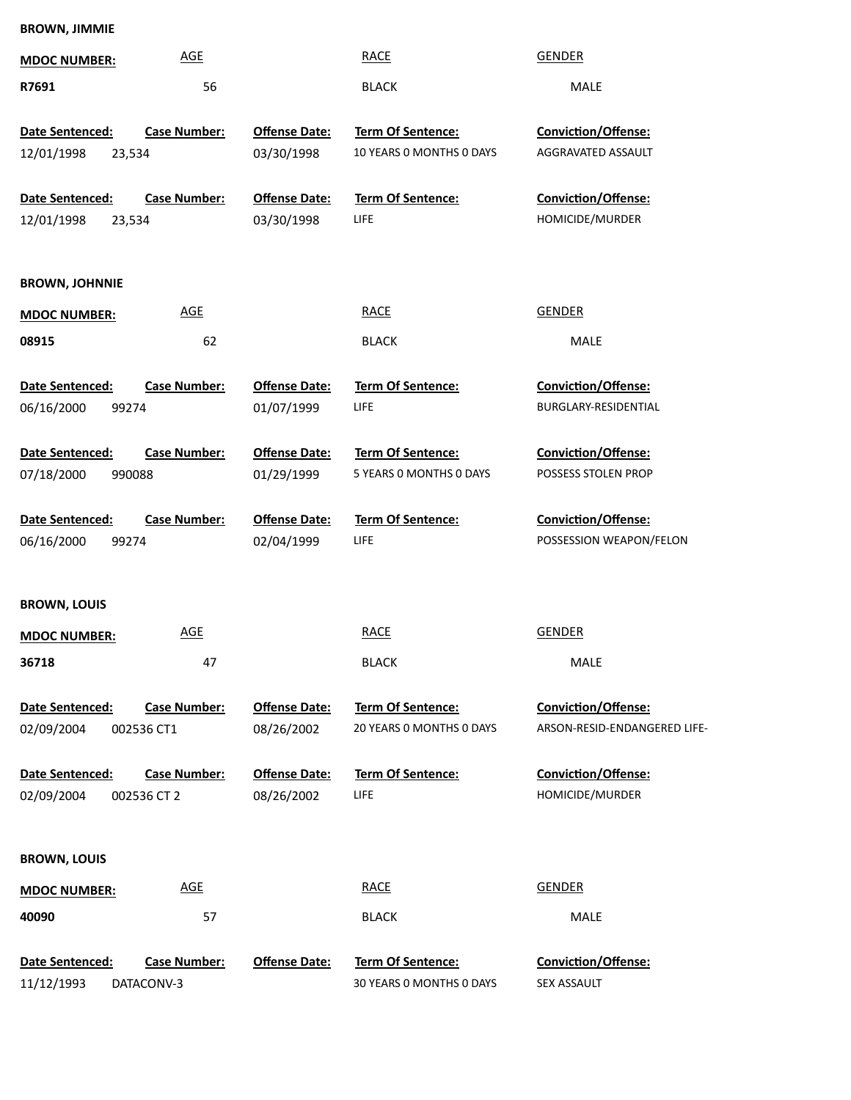| <b>MDOC NUMBER:</b>                     | <b>AGE</b>                         |                                    | <b>RACE</b>                                          | <b>GENDER</b>                                              |
|-----------------------------------------|------------------------------------|------------------------------------|------------------------------------------------------|------------------------------------------------------------|
| R7691                                   | 56                                 |                                    | <b>BLACK</b>                                         | MALE                                                       |
| Date Sentenced:<br>23,534<br>12/01/1998 | <b>Case Number:</b>                | <b>Offense Date:</b><br>03/30/1998 | Term Of Sentence:<br>10 YEARS 0 MONTHS 0 DAYS        | <b>Conviction/Offense:</b><br>AGGRAVATED ASSAULT           |
| Date Sentenced:<br>23,534<br>12/01/1998 | <b>Case Number:</b>                | <b>Offense Date:</b><br>03/30/1998 | Term Of Sentence:<br>LIFE                            | <b>Conviction/Offense:</b><br>HOMICIDE/MURDER              |
| <b>BROWN, JOHNNIE</b>                   |                                    |                                    |                                                      |                                                            |
| <b>MDOC NUMBER:</b>                     | <b>AGE</b>                         |                                    | <b>RACE</b>                                          | <b>GENDER</b>                                              |
| 08915                                   | 62                                 |                                    | <b>BLACK</b>                                         | MALE                                                       |
| Date Sentenced:<br>06/16/2000<br>99274  | <b>Case Number:</b>                | <b>Offense Date:</b><br>01/07/1999 | Term Of Sentence:<br>LIFE                            | Conviction/Offense:<br>BURGLARY-RESIDENTIAL                |
| Date Sentenced:<br>07/18/2000<br>990088 | <b>Case Number:</b>                | <b>Offense Date:</b><br>01/29/1999 | Term Of Sentence:<br>5 YEARS O MONTHS O DAYS         | Conviction/Offense:<br>POSSESS STOLEN PROP                 |
| Date Sentenced:<br>06/16/2000<br>99274  | <b>Case Number:</b>                | <b>Offense Date:</b><br>02/04/1999 | Term Of Sentence:<br>LIFE                            | Conviction/Offense:<br>POSSESSION WEAPON/FELON             |
| <b>BROWN, LOUIS</b>                     |                                    |                                    |                                                      |                                                            |
| <b>MDOC NUMBER:</b>                     | <b>AGE</b>                         |                                    | <b>RACE</b>                                          | <b>GENDER</b>                                              |
| 36718                                   | 47                                 |                                    | <b>BLACK</b>                                         | MALE                                                       |
| Date Sentenced:<br>02/09/2004           | <b>Case Number:</b><br>002536 CT1  | <b>Offense Date:</b><br>08/26/2002 | <b>Term Of Sentence:</b><br>20 YEARS 0 MONTHS 0 DAYS | <b>Conviction/Offense:</b><br>ARSON-RESID-ENDANGERED LIFE- |
| Date Sentenced:<br>02/09/2004           | <b>Case Number:</b><br>002536 CT 2 | <b>Offense Date:</b><br>08/26/2002 | <b>Term Of Sentence:</b><br>LIFE                     | <b>Conviction/Offense:</b><br>HOMICIDE/MURDER              |
| <b>BROWN, LOUIS</b>                     |                                    |                                    |                                                      |                                                            |
| <b>MDOC NUMBER:</b>                     | <b>AGE</b>                         |                                    | <b>RACE</b>                                          | <b>GENDER</b>                                              |
| 40090                                   | 57                                 |                                    | <b>BLACK</b>                                         | MALE                                                       |
| Date Sentenced:<br>11/12/1993           | <b>Case Number:</b><br>DATACONV-3  | <b>Offense Date:</b>               | Term Of Sentence:<br>30 YEARS 0 MONTHS 0 DAYS        | Conviction/Offense:<br>SEX ASSAULT                         |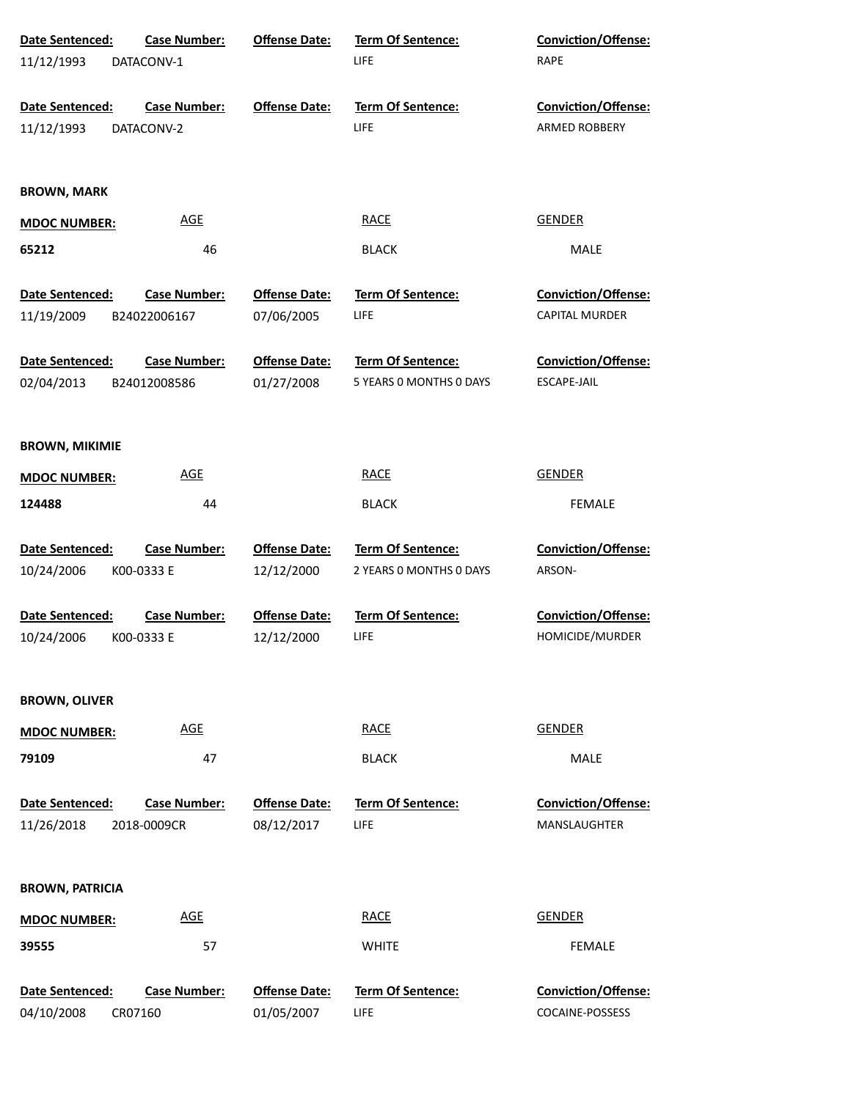| Date Sentenced:               | <b>Case Number:</b>                | <b>Offense Date:</b>               | Term Of Sentence:                | Conviction/Offense:                               |  |
|-------------------------------|------------------------------------|------------------------------------|----------------------------------|---------------------------------------------------|--|
| 11/12/1993                    | DATACONV-1                         |                                    | LIFE                             | <b>RAPE</b>                                       |  |
|                               |                                    |                                    |                                  |                                                   |  |
| Date Sentenced:               | <b>Case Number:</b>                | <b>Offense Date:</b>               | Term Of Sentence:                | Conviction/Offense:                               |  |
| 11/12/1993                    | DATACONV-2                         |                                    | LIFE                             | <b>ARMED ROBBERY</b>                              |  |
|                               |                                    |                                    |                                  |                                                   |  |
|                               |                                    |                                    |                                  |                                                   |  |
| <b>BROWN, MARK</b>            |                                    |                                    |                                  |                                                   |  |
| <b>MDOC NUMBER:</b>           | <b>AGE</b>                         |                                    | <b>RACE</b>                      | <b>GENDER</b>                                     |  |
| 65212                         | 46                                 |                                    | <b>BLACK</b>                     | <b>MALE</b>                                       |  |
|                               |                                    |                                    |                                  |                                                   |  |
| Date Sentenced:               | <b>Case Number:</b>                | <b>Offense Date:</b>               | Term Of Sentence:                | Conviction/Offense:                               |  |
| 11/19/2009                    | B24022006167                       | 07/06/2005                         | LIFE                             | CAPITAL MURDER                                    |  |
|                               |                                    |                                    |                                  |                                                   |  |
| Date Sentenced:               | <b>Case Number:</b>                | <b>Offense Date:</b>               | Term Of Sentence:                | Conviction/Offense:                               |  |
| 02/04/2013                    | B24012008586                       | 01/27/2008                         | 5 YEARS O MONTHS O DAYS          | ESCAPE-JAIL                                       |  |
|                               |                                    |                                    |                                  |                                                   |  |
| <b>BROWN, MIKIMIE</b>         |                                    |                                    |                                  |                                                   |  |
|                               | <b>AGE</b>                         |                                    | <b>RACE</b>                      | <b>GENDER</b>                                     |  |
| <b>MDOC NUMBER:</b>           |                                    |                                    |                                  |                                                   |  |
| 124488                        | 44                                 |                                    | <b>BLACK</b>                     | <b>FEMALE</b>                                     |  |
|                               |                                    |                                    |                                  |                                                   |  |
|                               |                                    |                                    |                                  |                                                   |  |
| Date Sentenced:               | <b>Case Number:</b>                | <b>Offense Date:</b>               | Term Of Sentence:                | <b>Conviction/Offense:</b>                        |  |
| 10/24/2006                    | K00-0333 E                         | 12/12/2000                         | 2 YEARS 0 MONTHS 0 DAYS          | ARSON-                                            |  |
|                               |                                    |                                    |                                  |                                                   |  |
| Date Sentenced:               | <b>Case Number:</b>                | <b>Offense Date:</b>               | Term Of Sentence:                | Conviction/Offense:                               |  |
| 10/24/2006                    | K00-0333 E                         | 12/12/2000                         | <b>LIFE</b>                      | HOMICIDE/MURDER                                   |  |
|                               |                                    |                                    |                                  |                                                   |  |
| <b>BROWN, OLIVER</b>          |                                    |                                    |                                  |                                                   |  |
|                               | <u>AGE</u>                         |                                    | <b>RACE</b>                      | <b>GENDER</b>                                     |  |
| <b>MDOC NUMBER:</b>           |                                    |                                    |                                  |                                                   |  |
| 79109                         | 47                                 |                                    | <b>BLACK</b>                     | <b>MALE</b>                                       |  |
|                               |                                    |                                    |                                  |                                                   |  |
| Date Sentenced:<br>11/26/2018 | <b>Case Number:</b><br>2018-0009CR | <b>Offense Date:</b><br>08/12/2017 | <b>Term Of Sentence:</b><br>LIFE | <b>Conviction/Offense:</b><br><b>MANSLAUGHTER</b> |  |
|                               |                                    |                                    |                                  |                                                   |  |
|                               |                                    |                                    |                                  |                                                   |  |
| <b>BROWN, PATRICIA</b>        |                                    |                                    |                                  |                                                   |  |
| <b>MDOC NUMBER:</b>           | <b>AGE</b>                         |                                    | <b>RACE</b>                      | <b>GENDER</b>                                     |  |
| 39555                         | 57                                 |                                    | <b>WHITE</b>                     | <b>FEMALE</b>                                     |  |
|                               |                                    |                                    |                                  |                                                   |  |
| Date Sentenced:               | <b>Case Number:</b>                | <b>Offense Date:</b>               | <b>Term Of Sentence:</b>         | <b>Conviction/Offense:</b>                        |  |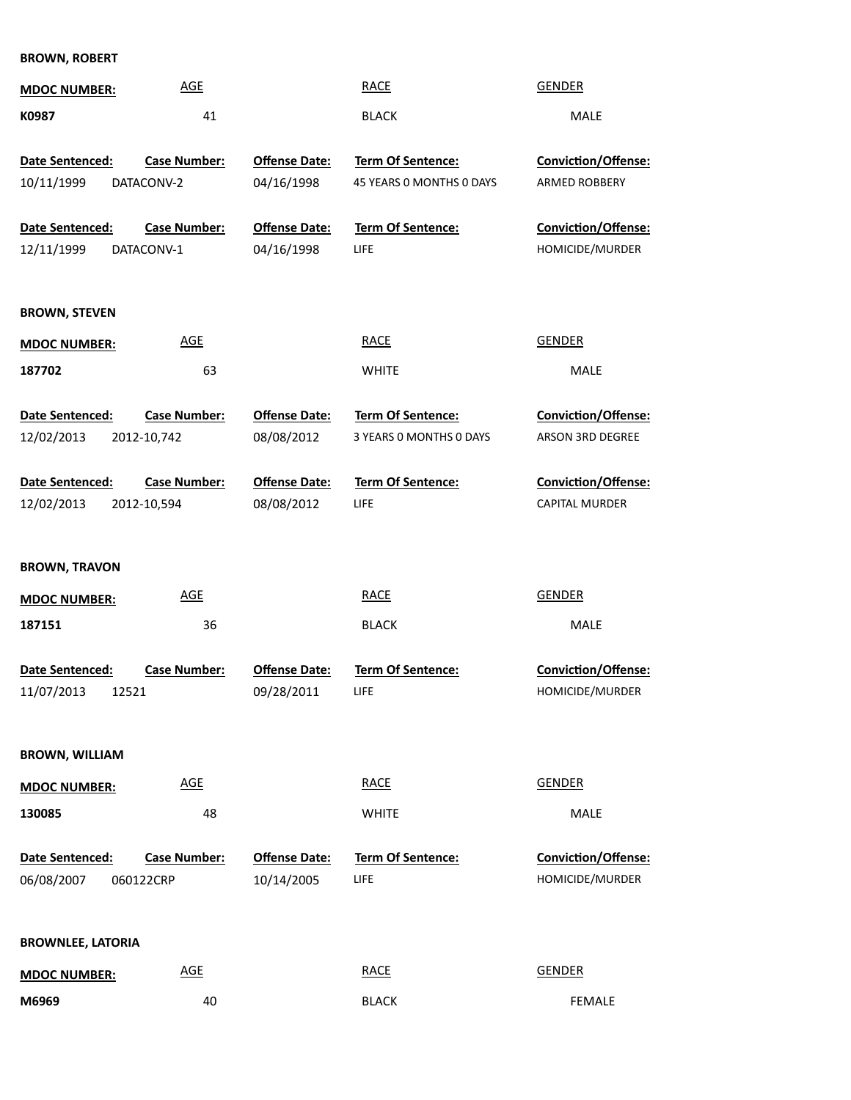**BROWN, ROBERT**

| <b>MDOC NUMBER:</b>      | <b>AGE</b>          |                      | <b>RACE</b>                                   | <b>GENDER</b>                                      |
|--------------------------|---------------------|----------------------|-----------------------------------------------|----------------------------------------------------|
| K0987                    | 41                  |                      | <b>BLACK</b>                                  | MALE                                               |
|                          |                     |                      |                                               |                                                    |
| Date Sentenced:          | <b>Case Number:</b> | <b>Offense Date:</b> | Term Of Sentence:<br>45 YEARS O MONTHS O DAYS | <b>Conviction/Offense:</b><br><b>ARMED ROBBERY</b> |
| 10/11/1999               | DATACONV-2          | 04/16/1998           |                                               |                                                    |
| Date Sentenced:          | <b>Case Number:</b> | <b>Offense Date:</b> | <b>Term Of Sentence:</b>                      | <b>Conviction/Offense:</b>                         |
| 12/11/1999               | DATACONV-1          | 04/16/1998           | LIFE                                          | HOMICIDE/MURDER                                    |
|                          |                     |                      |                                               |                                                    |
| <b>BROWN, STEVEN</b>     |                     |                      |                                               |                                                    |
| <b>MDOC NUMBER:</b>      | <b>AGE</b>          |                      | <b>RACE</b>                                   | <b>GENDER</b>                                      |
| 187702                   | 63                  |                      | <b>WHITE</b>                                  | MALE                                               |
|                          |                     |                      |                                               |                                                    |
| Date Sentenced:          | <b>Case Number:</b> | <b>Offense Date:</b> | Term Of Sentence:                             | Conviction/Offense:                                |
| 12/02/2013               | 2012-10,742         | 08/08/2012           | 3 YEARS 0 MONTHS 0 DAYS                       | ARSON 3RD DEGREE                                   |
| Date Sentenced:          | <b>Case Number:</b> | <b>Offense Date:</b> | Term Of Sentence:                             | Conviction/Offense:                                |
| 12/02/2013               | 2012-10,594         | 08/08/2012           | LIFE                                          | CAPITAL MURDER                                     |
|                          |                     |                      |                                               |                                                    |
| <b>BROWN, TRAVON</b>     |                     |                      |                                               |                                                    |
| <b>MDOC NUMBER:</b>      | <b>AGE</b>          |                      | <b>RACE</b>                                   | <b>GENDER</b>                                      |
| 187151                   | 36                  |                      | <b>BLACK</b>                                  | MALE                                               |
|                          |                     |                      |                                               |                                                    |
| Date Sentenced:          | <b>Case Number:</b> | <b>Offense Date:</b> | <b>Term Of Sentence:</b>                      | <b>Conviction/Offense:</b>                         |
| 11/07/2013<br>12521      |                     | 09/28/2011           | LIFE                                          | HOMICIDE/MURDER                                    |
|                          |                     |                      |                                               |                                                    |
| <b>BROWN, WILLIAM</b>    |                     |                      |                                               |                                                    |
| <b>MDOC NUMBER:</b>      | <b>AGE</b>          |                      | <b>RACE</b>                                   | <b>GENDER</b>                                      |
| 130085                   | 48                  |                      | <b>WHITE</b>                                  | <b>MALE</b>                                        |
|                          |                     |                      |                                               |                                                    |
| <b>Date Sentenced:</b>   | <b>Case Number:</b> | <b>Offense Date:</b> | <b>Term Of Sentence:</b>                      | Conviction/Offense:                                |
| 06/08/2007               | 060122CRP           | 10/14/2005           | LIFE                                          | HOMICIDE/MURDER                                    |
|                          |                     |                      |                                               |                                                    |
| <b>BROWNLEE, LATORIA</b> |                     |                      |                                               |                                                    |
| <b>MDOC NUMBER:</b>      | <b>AGE</b>          |                      | <b>RACE</b>                                   | <b>GENDER</b>                                      |
| M6969                    | 40                  |                      | <b>BLACK</b>                                  | FEMALE                                             |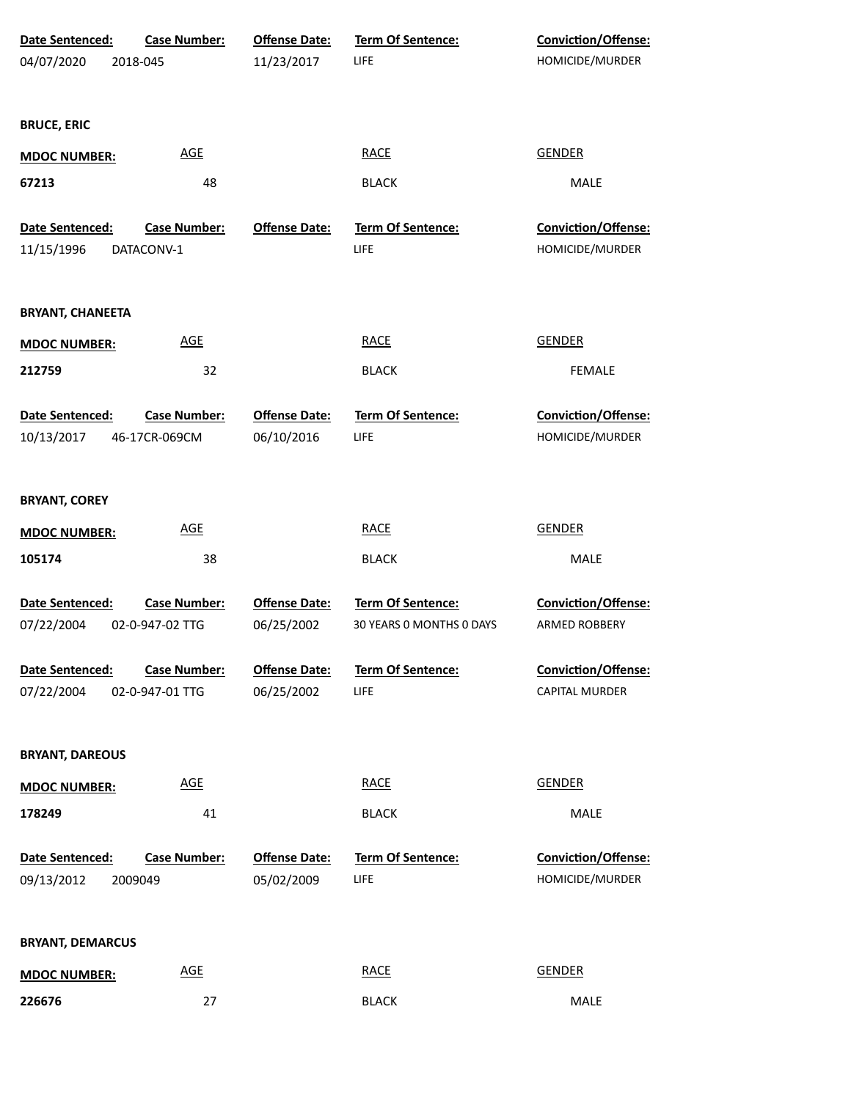| Date Sentenced:         | <b>Case Number:</b> | <b>Offense Date:</b> | Term Of Sentence:        | <b>Conviction/Offense:</b> |  |
|-------------------------|---------------------|----------------------|--------------------------|----------------------------|--|
| 04/07/2020              | 2018-045            | 11/23/2017           | LIFE                     | HOMICIDE/MURDER            |  |
|                         |                     |                      |                          |                            |  |
| <b>BRUCE, ERIC</b>      |                     |                      |                          |                            |  |
| <b>MDOC NUMBER:</b>     | <b>AGE</b>          |                      | <b>RACE</b>              | <b>GENDER</b>              |  |
| 67213                   | 48                  |                      | <b>BLACK</b>             | <b>MALE</b>                |  |
|                         |                     |                      |                          |                            |  |
| Date Sentenced:         | <b>Case Number:</b> | <b>Offense Date:</b> | Term Of Sentence:        | Conviction/Offense:        |  |
| 11/15/1996              | DATACONV-1          |                      | LIFE                     | HOMICIDE/MURDER            |  |
|                         |                     |                      |                          |                            |  |
| <b>BRYANT, CHANEETA</b> |                     |                      |                          |                            |  |
| <b>MDOC NUMBER:</b>     | <b>AGE</b>          |                      | <b>RACE</b>              | <b>GENDER</b>              |  |
| 212759                  | 32                  |                      | <b>BLACK</b>             | <b>FEMALE</b>              |  |
|                         |                     |                      |                          |                            |  |
| Date Sentenced:         | <b>Case Number:</b> | <b>Offense Date:</b> | Term Of Sentence:        | Conviction/Offense:        |  |
| 10/13/2017              | 46-17CR-069CM       | 06/10/2016           | LIFE                     | HOMICIDE/MURDER            |  |
|                         |                     |                      |                          |                            |  |
| <b>BRYANT, COREY</b>    |                     |                      |                          |                            |  |
| <b>MDOC NUMBER:</b>     | <b>AGE</b>          |                      | <b>RACE</b>              | <b>GENDER</b>              |  |
| 105174                  | 38                  |                      | <b>BLACK</b>             | MALE                       |  |
|                         |                     |                      |                          |                            |  |
| Date Sentenced:         | <b>Case Number:</b> | <b>Offense Date:</b> | Term Of Sentence:        | Conviction/Offense:        |  |
| 07/22/2004              | 02-0-947-02 TTG     | 06/25/2002           | 30 YEARS 0 MONTHS 0 DAYS | ARMED ROBBERY              |  |
| Date Sentenced:         | <b>Case Number:</b> | <b>Offense Date:</b> | Term Of Sentence:        | Conviction/Offense:        |  |
| 07/22/2004              | 02-0-947-01 TTG     | 06/25/2002           | LIFE                     | CAPITAL MURDER             |  |
|                         |                     |                      |                          |                            |  |
|                         |                     |                      |                          |                            |  |
| <b>BRYANT, DAREOUS</b>  |                     |                      |                          |                            |  |
| <b>MDOC NUMBER:</b>     | <b>AGE</b>          |                      | <b>RACE</b>              | <b>GENDER</b>              |  |
| 178249                  | 41                  |                      | <b>BLACK</b>             | MALE                       |  |
|                         |                     |                      |                          |                            |  |
| Date Sentenced:         | <b>Case Number:</b> | <b>Offense Date:</b> | Term Of Sentence:        | <b>Conviction/Offense:</b> |  |
| 09/13/2012              | 2009049             | 05/02/2009           | LIFE                     | HOMICIDE/MURDER            |  |
|                         |                     |                      |                          |                            |  |
| <b>BRYANT, DEMARCUS</b> |                     |                      |                          |                            |  |
| <b>MDOC NUMBER:</b>     | <b>AGE</b>          |                      | <b>RACE</b>              | <b>GENDER</b>              |  |
| 226676                  | 27                  |                      | <b>BLACK</b>             | MALE                       |  |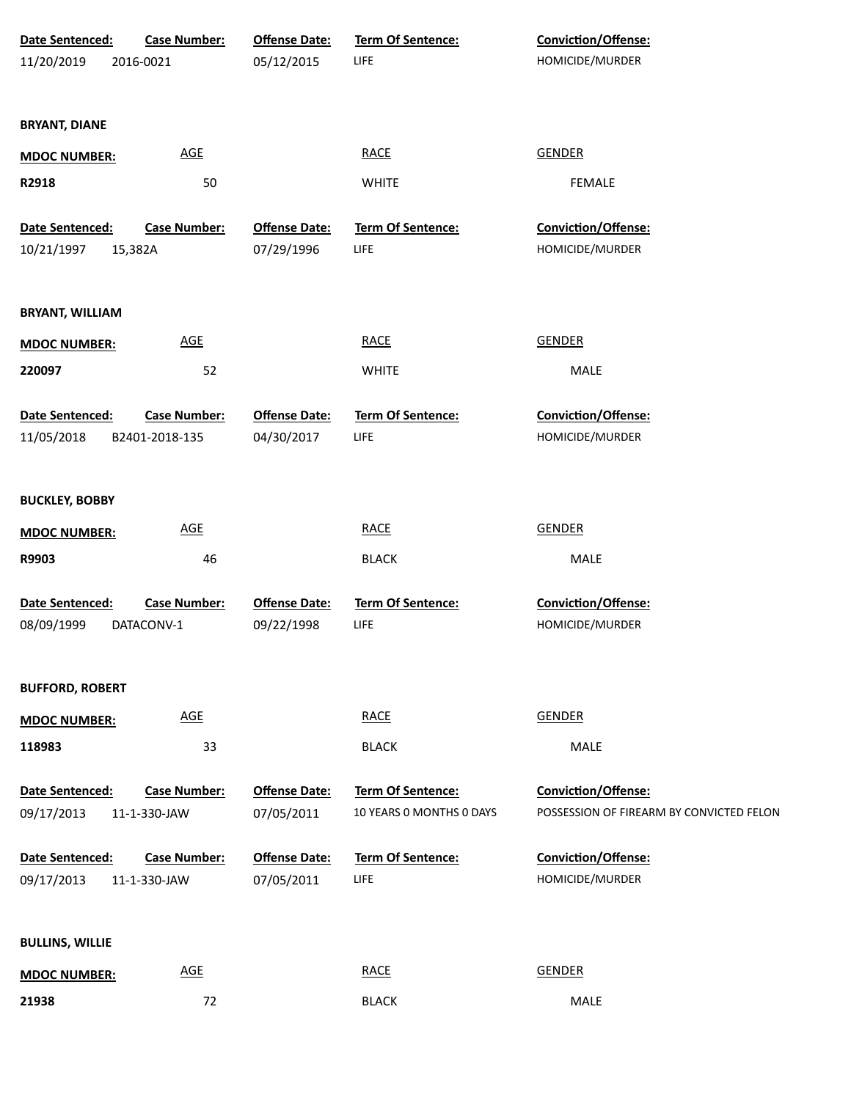| Date Sentenced:        | <b>Case Number:</b> | <b>Offense Date:</b> | <b>Term Of Sentence:</b> | Conviction/Offense:                      |
|------------------------|---------------------|----------------------|--------------------------|------------------------------------------|
| 11/20/2019             | 2016-0021           | 05/12/2015           | <b>LIFE</b>              | HOMICIDE/MURDER                          |
|                        |                     |                      |                          |                                          |
| <b>BRYANT, DIANE</b>   |                     |                      |                          |                                          |
| <b>MDOC NUMBER:</b>    | <b>AGE</b>          |                      | <b>RACE</b>              | <b>GENDER</b>                            |
| R2918                  | 50                  |                      | <b>WHITE</b>             | <b>FEMALE</b>                            |
|                        |                     |                      |                          |                                          |
| Date Sentenced:        | <b>Case Number:</b> | <b>Offense Date:</b> | <b>Term Of Sentence:</b> | Conviction/Offense:                      |
| 10/21/1997             | 15,382A             | 07/29/1996           | <b>LIFE</b>              | HOMICIDE/MURDER                          |
|                        |                     |                      |                          |                                          |
| <b>BRYANT, WILLIAM</b> |                     |                      |                          |                                          |
| <b>MDOC NUMBER:</b>    | <b>AGE</b>          |                      | <b>RACE</b>              | <b>GENDER</b>                            |
| 220097                 | 52                  |                      | <b>WHITE</b>             | <b>MALE</b>                              |
|                        |                     |                      |                          |                                          |
| Date Sentenced:        | <b>Case Number:</b> | <b>Offense Date:</b> | <b>Term Of Sentence:</b> | Conviction/Offense:                      |
| 11/05/2018             | B2401-2018-135      | 04/30/2017           | <b>LIFE</b>              | HOMICIDE/MURDER                          |
|                        |                     |                      |                          |                                          |
| <b>BUCKLEY, BOBBY</b>  |                     |                      |                          |                                          |
| <b>MDOC NUMBER:</b>    | <b>AGE</b>          |                      | <b>RACE</b>              | <b>GENDER</b>                            |
| R9903                  | 46                  |                      | <b>BLACK</b>             | MALE                                     |
|                        |                     |                      |                          |                                          |
| Date Sentenced:        | <b>Case Number:</b> | <b>Offense Date:</b> | Term Of Sentence:        | Conviction/Offense:                      |
| 08/09/1999             | DATACONV-1          | 09/22/1998           | <b>LIFE</b>              | HOMICIDE/MURDER                          |
|                        |                     |                      |                          |                                          |
| <b>BUFFORD, ROBERT</b> |                     |                      |                          |                                          |
| <b>MDOC NUMBER:</b>    | <b>AGE</b>          |                      | <b>RACE</b>              | <b>GENDER</b>                            |
| 118983                 | 33                  |                      | <b>BLACK</b>             | MALE                                     |
|                        |                     |                      |                          |                                          |
| Date Sentenced:        | <b>Case Number:</b> | <b>Offense Date:</b> | <b>Term Of Sentence:</b> | <b>Conviction/Offense:</b>               |
| 09/17/2013             | 11-1-330-JAW        | 07/05/2011           | 10 YEARS 0 MONTHS 0 DAYS | POSSESSION OF FIREARM BY CONVICTED FELON |
| Date Sentenced:        | <b>Case Number:</b> | <b>Offense Date:</b> | <b>Term Of Sentence:</b> | Conviction/Offense:                      |
| 09/17/2013             | 11-1-330-JAW        | 07/05/2011           | <b>LIFE</b>              | HOMICIDE/MURDER                          |
|                        |                     |                      |                          |                                          |
|                        |                     |                      |                          |                                          |
| <b>BULLINS, WILLIE</b> |                     |                      |                          |                                          |
| <b>MDOC NUMBER:</b>    | <b>AGE</b>          |                      | <b>RACE</b>              | <b>GENDER</b>                            |
| 21938                  | 72                  |                      | <b>BLACK</b>             | MALE                                     |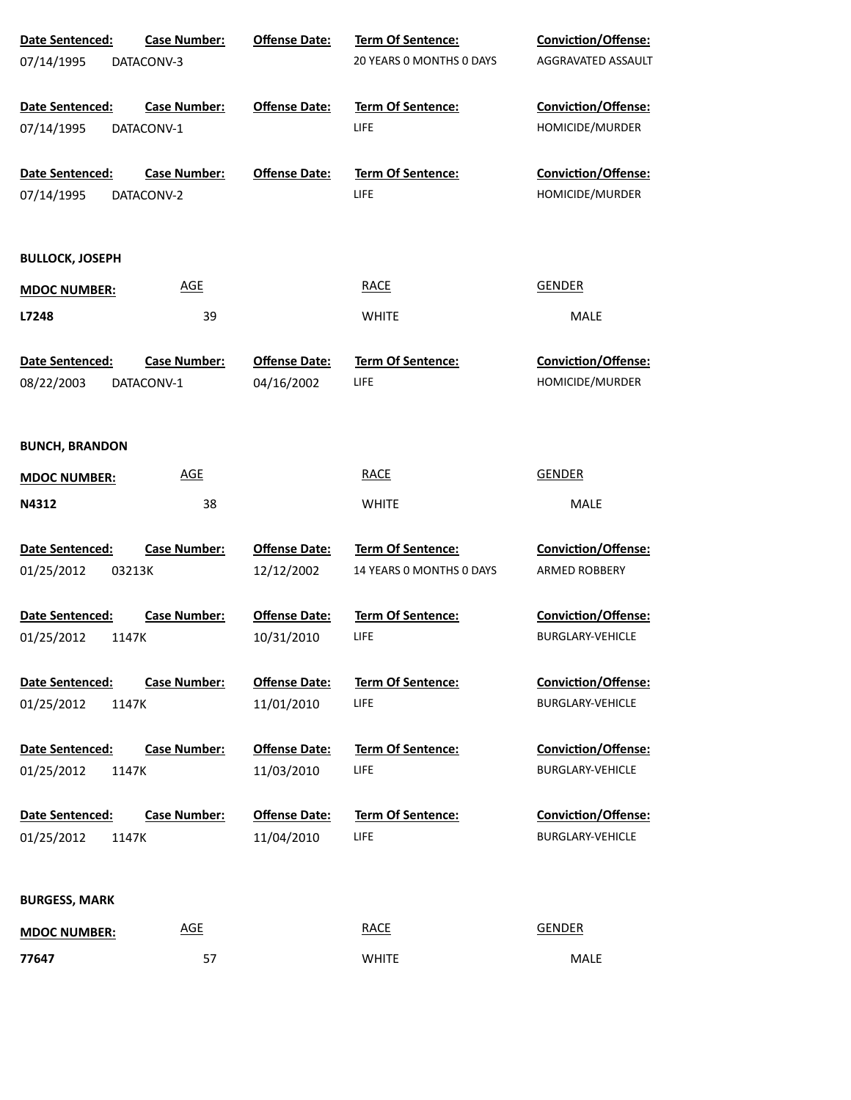| Date Sentenced:        | <b>Case Number:</b> | <b>Offense Date:</b> | Term Of Sentence:        | Conviction/Offense:        |
|------------------------|---------------------|----------------------|--------------------------|----------------------------|
| 07/14/1995             | DATACONV-3          |                      | 20 YEARS O MONTHS O DAYS | AGGRAVATED ASSAULT         |
|                        |                     |                      |                          |                            |
| Date Sentenced:        | <b>Case Number:</b> | <b>Offense Date:</b> | Term Of Sentence:        | <b>Conviction/Offense:</b> |
| 07/14/1995             | DATACONV-1          |                      | LIFE                     | HOMICIDE/MURDER            |
|                        |                     |                      |                          |                            |
| Date Sentenced:        | <b>Case Number:</b> | <b>Offense Date:</b> | Term Of Sentence:        | Conviction/Offense:        |
| 07/14/1995             | DATACONV-2          |                      | LIFE                     | HOMICIDE/MURDER            |
|                        |                     |                      |                          |                            |
|                        |                     |                      |                          |                            |
| <b>BULLOCK, JOSEPH</b> |                     |                      |                          |                            |
| <b>MDOC NUMBER:</b>    | <b>AGE</b>          |                      | <b>RACE</b>              | <b>GENDER</b>              |
| L7248                  | 39                  |                      | <b>WHITE</b>             | <b>MALE</b>                |
|                        |                     |                      |                          |                            |
| Date Sentenced:        | <b>Case Number:</b> | <b>Offense Date:</b> | Term Of Sentence:        | Conviction/Offense:        |
| 08/22/2003             | DATACONV-1          | 04/16/2002           | LIFE                     | HOMICIDE/MURDER            |
|                        |                     |                      |                          |                            |
|                        |                     |                      |                          |                            |
| <b>BUNCH, BRANDON</b>  |                     |                      |                          |                            |
|                        | <b>AGE</b>          |                      | <b>RACE</b>              | <b>GENDER</b>              |
| <b>MDOC NUMBER:</b>    |                     |                      |                          |                            |
| N4312                  | 38                  |                      | <b>WHITE</b>             | MALE                       |
|                        |                     |                      |                          |                            |
| Date Sentenced:        | <b>Case Number:</b> | <b>Offense Date:</b> | Term Of Sentence:        | <b>Conviction/Offense:</b> |
| 01/25/2012<br>03213K   |                     | 12/12/2002           | 14 YEARS O MONTHS O DAYS | <b>ARMED ROBBERY</b>       |
|                        |                     |                      |                          |                            |
| Date Sentenced:        | <b>Case Number:</b> | <b>Offense Date:</b> | Term Of Sentence:        | <b>Conviction/Offense:</b> |
| 01/25/2012<br>1147K    |                     | 10/31/2010           | LIFE                     | <b>BURGLARY-VEHICLE</b>    |
|                        |                     |                      |                          |                            |
| <b>Date Sentenced:</b> | <b>Case Number:</b> | <b>Offense Date:</b> | <b>Term Of Sentence:</b> | <b>Conviction/Offense:</b> |
| 01/25/2012<br>1147K    |                     | 11/01/2010           | LIFE                     | <b>BURGLARY-VEHICLE</b>    |
| Date Sentenced:        | <b>Case Number:</b> | <b>Offense Date:</b> | <b>Term Of Sentence:</b> | <b>Conviction/Offense:</b> |
| 01/25/2012<br>1147K    |                     | 11/03/2010           | LIFE                     | <b>BURGLARY-VEHICLE</b>    |
|                        |                     |                      |                          |                            |
| Date Sentenced:        | <b>Case Number:</b> | <b>Offense Date:</b> | <b>Term Of Sentence:</b> | <b>Conviction/Offense:</b> |
| 01/25/2012<br>1147K    |                     | 11/04/2010           | <b>LIFE</b>              | <b>BURGLARY-VEHICLE</b>    |
|                        |                     |                      |                          |                            |
|                        |                     |                      |                          |                            |
| <b>BURGESS, MARK</b>   |                     |                      |                          |                            |
|                        | <b>AGE</b>          |                      | <b>RACE</b>              | <b>GENDER</b>              |
| <b>MDOC NUMBER:</b>    |                     |                      |                          |                            |
| 77647                  | 57                  |                      | <b>WHITE</b>             | MALE                       |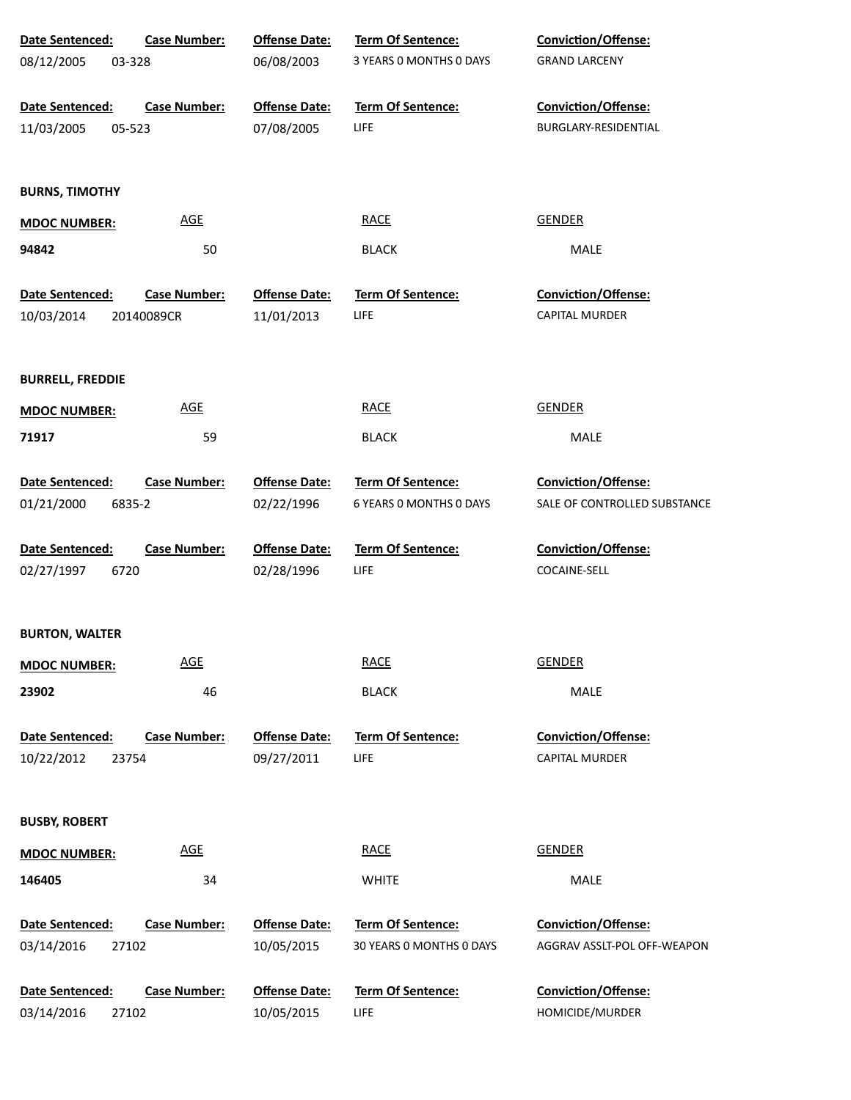| Date Sentenced:         | <b>Case Number:</b> | <b>Offense Date:</b> | <b>Term Of Sentence:</b> | Conviction/Offense:          |
|-------------------------|---------------------|----------------------|--------------------------|------------------------------|
| 08/12/2005<br>03-328    |                     | 06/08/2003           | 3 YEARS 0 MONTHS 0 DAYS  | <b>GRAND LARCENY</b>         |
| Date Sentenced:         | <b>Case Number:</b> | <b>Offense Date:</b> | <b>Term Of Sentence:</b> | Conviction/Offense:          |
| 11/03/2005<br>05-523    |                     | 07/08/2005           | <b>LIFE</b>              | BURGLARY-RESIDENTIAL         |
| <b>BURNS, TIMOTHY</b>   |                     |                      |                          |                              |
| <b>MDOC NUMBER:</b>     | <b>AGE</b>          |                      | <b>RACE</b>              | <b>GENDER</b>                |
| 94842                   | 50                  |                      | <b>BLACK</b>             | MALE                         |
| Date Sentenced:         | <b>Case Number:</b> | <b>Offense Date:</b> | Term Of Sentence:        | Conviction/Offense:          |
| 10/03/2014              | 20140089CR          | 11/01/2013           | <b>LIFE</b>              | CAPITAL MURDER               |
| <b>BURRELL, FREDDIE</b> |                     |                      |                          |                              |
| <b>MDOC NUMBER:</b>     | <b>AGE</b>          |                      | <b>RACE</b>              | GENDER                       |
| 71917                   | 59                  |                      | <b>BLACK</b>             | MALE                         |
| Date Sentenced:         | <b>Case Number:</b> | <b>Offense Date:</b> | Term Of Sentence:        | Conviction/Offense:          |
| 01/21/2000<br>6835-2    |                     | 02/22/1996           | 6 YEARS O MONTHS O DAYS  | SALE OF CONTROLLED SUBSTANCE |
| Date Sentenced:         | <b>Case Number:</b> | <b>Offense Date:</b> | Term Of Sentence:        | Conviction/Offense:          |
| 02/27/1997<br>6720      |                     | 02/28/1996           | <b>LIFE</b>              | COCAINE-SELL                 |
| <b>BURTON, WALTER</b>   |                     |                      |                          |                              |
| <b>MDOC NUMBER:</b>     | <b>AGE</b>          |                      | <b>RACE</b>              | GENDER                       |
| 23902                   | 46                  |                      | <b>BLACK</b>             | MALE                         |
| Date Sentenced:         | <b>Case Number:</b> | <b>Offense Date:</b> | <b>Term Of Sentence:</b> | Conviction/Offense:          |
| 10/22/2012<br>23754     |                     | 09/27/2011           | LIFE                     | <b>CAPITAL MURDER</b>        |
| <b>BUSBY, ROBERT</b>    |                     |                      |                          |                              |
| <b>MDOC NUMBER:</b>     | <b>AGE</b>          |                      | <b>RACE</b>              | <b>GENDER</b>                |
| 146405                  | 34                  |                      | <b>WHITE</b>             | MALE                         |
| Date Sentenced:         | <b>Case Number:</b> | <b>Offense Date:</b> | Term Of Sentence:        | <b>Conviction/Offense:</b>   |
| 03/14/2016<br>27102     |                     | 10/05/2015           | 30 YEARS 0 MONTHS 0 DAYS | AGGRAV ASSLT-POL OFF-WEAPON  |
| Date Sentenced:         | <b>Case Number:</b> | <b>Offense Date:</b> | Term Of Sentence:        | Conviction/Offense:          |
| 03/14/2016<br>27102     |                     | 10/05/2015           | LIFE                     | HOMICIDE/MURDER              |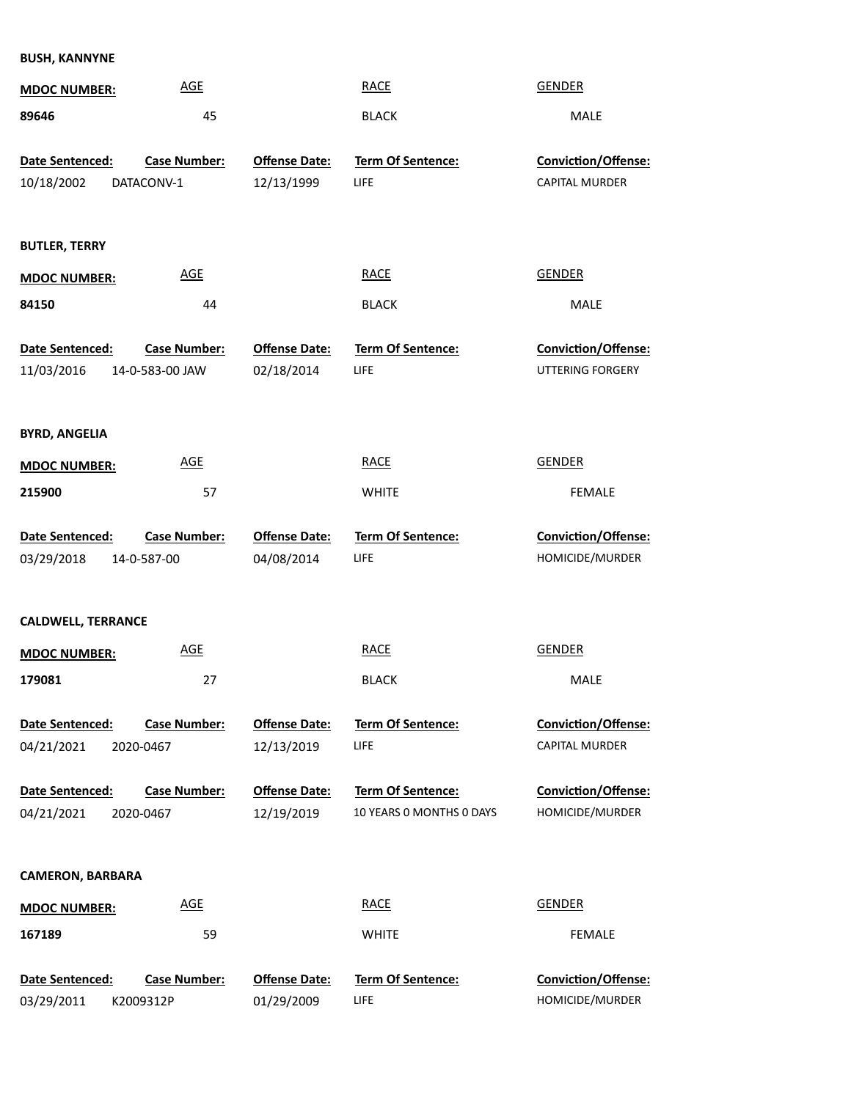**BUSH, KANNYNE**

| <b>MDOC NUMBER:</b>                  | <b>AGE</b>                             |                                    | <b>RACE</b>                                   | <b>GENDER</b>                                 |  |
|--------------------------------------|----------------------------------------|------------------------------------|-----------------------------------------------|-----------------------------------------------|--|
| 89646                                | 45                                     |                                    | <b>BLACK</b>                                  | <b>MALE</b>                                   |  |
| <b>Date Sentenced:</b><br>10/18/2002 | <b>Case Number:</b><br>DATACONV-1      | <b>Offense Date:</b><br>12/13/1999 | Term Of Sentence:<br>LIFE                     | Conviction/Offense:<br>CAPITAL MURDER         |  |
| <b>BUTLER, TERRY</b>                 |                                        |                                    |                                               |                                               |  |
| <b>MDOC NUMBER:</b>                  | <b>AGE</b>                             |                                    | <b>RACE</b>                                   | <b>GENDER</b>                                 |  |
| 84150                                | 44                                     |                                    | <b>BLACK</b>                                  | <b>MALE</b>                                   |  |
| Date Sentenced:<br>11/03/2016        | <b>Case Number:</b><br>14-0-583-00 JAW | <b>Offense Date:</b><br>02/18/2014 | Term Of Sentence:<br>LIFE                     | Conviction/Offense:<br>UTTERING FORGERY       |  |
| <b>BYRD, ANGELIA</b>                 |                                        |                                    |                                               |                                               |  |
| <b>MDOC NUMBER:</b>                  | <b>AGE</b>                             |                                    | <b>RACE</b>                                   | <b>GENDER</b>                                 |  |
| 215900                               | 57                                     |                                    | <b>WHITE</b>                                  | <b>FEMALE</b>                                 |  |
| Date Sentenced:                      | <b>Case Number:</b>                    | <b>Offense Date:</b>               | <b>Term Of Sentence:</b>                      | Conviction/Offense:                           |  |
| 03/29/2018                           | 14-0-587-00                            | 04/08/2014                         | LIFE                                          | HOMICIDE/MURDER                               |  |
| <b>CALDWELL, TERRANCE</b>            |                                        |                                    |                                               |                                               |  |
| <b>MDOC NUMBER:</b>                  | <b>AGE</b>                             |                                    | <b>RACE</b>                                   | <b>GENDER</b>                                 |  |
| 179081                               | 27                                     |                                    | <b>BLACK</b>                                  | <b>MALE</b>                                   |  |
| Date Sentenced:                      | <b>Case Number:</b>                    | <b>Offense Date:</b>               | <b>Term Of Sentence:</b>                      | <b>Conviction/Offense:</b>                    |  |
| 04/21/2021                           | 2020-0467                              | 12/13/2019                         | LIFE                                          | CAPITAL MURDER                                |  |
| Date Sentenced:<br>04/21/2021        | <b>Case Number:</b><br>2020-0467       | <b>Offense Date:</b><br>12/19/2019 | Term Of Sentence:<br>10 YEARS O MONTHS O DAYS | <b>Conviction/Offense:</b><br>HOMICIDE/MURDER |  |
| <b>CAMERON, BARBARA</b>              |                                        |                                    |                                               |                                               |  |
| <b>MDOC NUMBER:</b>                  | <b>AGE</b>                             |                                    | <b>RACE</b>                                   | <b>GENDER</b>                                 |  |
| 167189                               | 59                                     |                                    | <b>WHITE</b>                                  | <b>FEMALE</b>                                 |  |
| Date Sentenced:                      |                                        |                                    |                                               |                                               |  |
| 03/29/2011                           | <b>Case Number:</b><br>K2009312P       | <b>Offense Date:</b><br>01/29/2009 | <b>Term Of Sentence:</b>                      | Conviction/Offense:<br>HOMICIDE/MURDER        |  |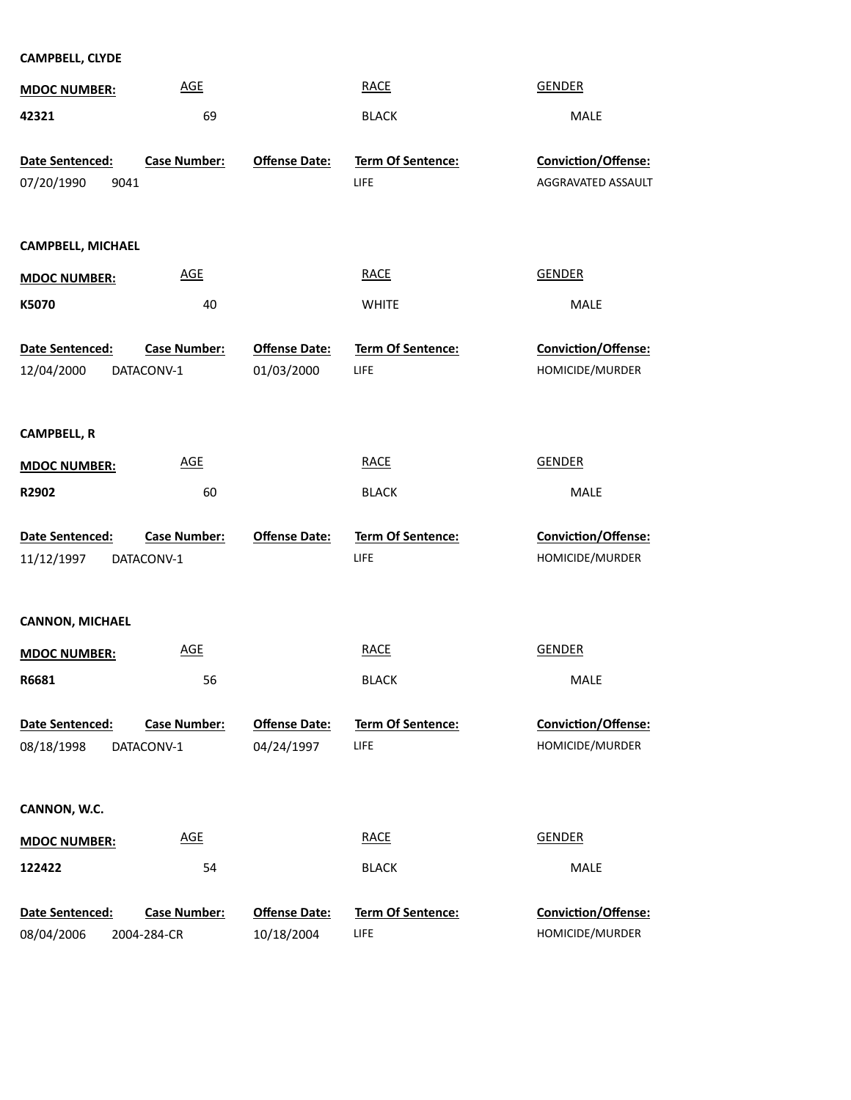## **CAMPBELL, CLYDE**

| <b>MDOC NUMBER:</b>                   | <b>AGE</b>                         |                                    | <b>RACE</b>                      | <b>GENDER</b>                             |
|---------------------------------------|------------------------------------|------------------------------------|----------------------------------|-------------------------------------------|
| 42321                                 | 69                                 |                                    | <b>BLACK</b>                     | <b>MALE</b>                               |
| Date Sentenced:<br>07/20/1990<br>9041 | <b>Case Number:</b>                | <b>Offense Date:</b>               | <b>Term Of Sentence:</b><br>LIFE | Conviction/Offense:<br>AGGRAVATED ASSAULT |
| CAMPBELL, MICHAEL                     |                                    |                                    |                                  |                                           |
| <b>MDOC NUMBER:</b>                   | <b>AGE</b>                         |                                    | <b>RACE</b>                      | <b>GENDER</b>                             |
| K5070                                 | 40                                 |                                    | <b>WHITE</b>                     | MALE                                      |
| Date Sentenced:<br>12/04/2000         | <b>Case Number:</b><br>DATACONV-1  | <b>Offense Date:</b><br>01/03/2000 | Term Of Sentence:<br>LIFE        | Conviction/Offense:<br>HOMICIDE/MURDER    |
| <b>CAMPBELL, R</b>                    |                                    |                                    |                                  |                                           |
| <b>MDOC NUMBER:</b>                   | <b>AGE</b>                         |                                    | <b>RACE</b>                      | <b>GENDER</b>                             |
| R2902                                 | 60                                 |                                    | <b>BLACK</b>                     | MALE                                      |
| Date Sentenced:<br>11/12/1997         | <b>Case Number:</b><br>DATACONV-1  | <b>Offense Date:</b>               | Term Of Sentence:<br>LIFE        | Conviction/Offense:<br>HOMICIDE/MURDER    |
| <b>CANNON, MICHAEL</b>                |                                    |                                    |                                  |                                           |
| <b>MDOC NUMBER:</b>                   | <b>AGE</b>                         |                                    | <b>RACE</b>                      | <b>GENDER</b>                             |
| R6681                                 | 56                                 |                                    | <b>BLACK</b>                     | MALE                                      |
| Date Sentenced:                       | <b>Case Number:</b>                | <b>Offense Date:</b>               | <b>Term Of Sentence:</b>         | Conviction/Offense:                       |
| 08/18/1998                            | DATACONV-1                         | 04/24/1997                         | LIFE                             | HOMICIDE/MURDER                           |
| CANNON, W.C.                          |                                    |                                    |                                  |                                           |
| <b>MDOC NUMBER:</b>                   | <b>AGE</b>                         |                                    | <b>RACE</b>                      | <b>GENDER</b>                             |
| 122422                                | 54                                 |                                    | <b>BLACK</b>                     | MALE                                      |
| Date Sentenced:<br>08/04/2006         | <b>Case Number:</b><br>2004-284-CR | <b>Offense Date:</b><br>10/18/2004 | Term Of Sentence:<br>LIFE        | Conviction/Offense:<br>HOMICIDE/MURDER    |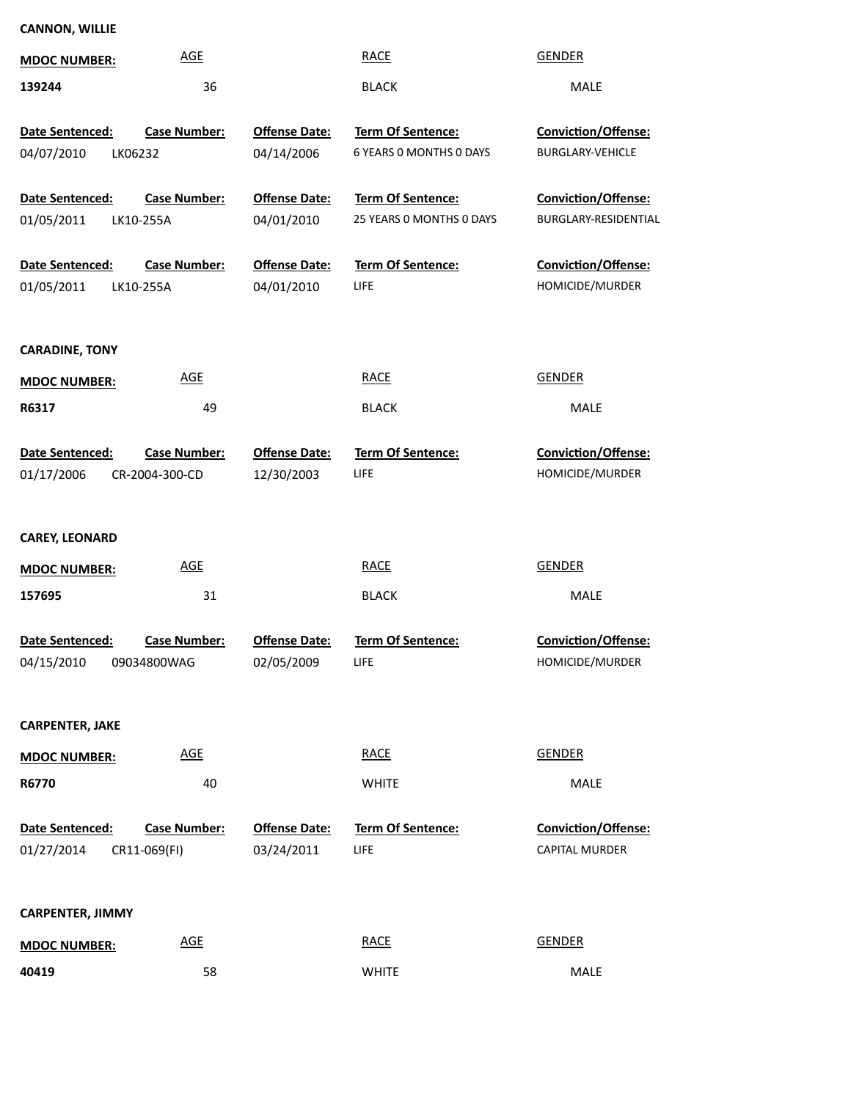## **CANNON, WILLIE**

| <b>MDOC NUMBER:</b>                      | <b>AGE</b>                            |                                    | <b>RACE</b>                                         | <b>GENDER</b>                                  |
|------------------------------------------|---------------------------------------|------------------------------------|-----------------------------------------------------|------------------------------------------------|
| 139244                                   | 36                                    |                                    | <b>BLACK</b>                                        | <b>MALE</b>                                    |
| Date Sentenced:<br>04/07/2010<br>LK06232 | <b>Case Number:</b>                   | <b>Offense Date:</b><br>04/14/2006 | <b>Term Of Sentence:</b><br>6 YEARS O MONTHS O DAYS | Conviction/Offense:<br><b>BURGLARY-VEHICLE</b> |
| Date Sentenced:<br>01/05/2011            | <b>Case Number:</b><br>LK10-255A      | <b>Offense Date:</b><br>04/01/2010 | Term Of Sentence:<br>25 YEARS 0 MONTHS 0 DAYS       | Conviction/Offense:<br>BURGLARY-RESIDENTIAL    |
| Date Sentenced:<br>01/05/2011            | <b>Case Number:</b><br>LK10-255A      | <b>Offense Date:</b><br>04/01/2010 | Term Of Sentence:<br>LIFE                           | Conviction/Offense:<br>HOMICIDE/MURDER         |
| <b>CARADINE, TONY</b>                    |                                       |                                    |                                                     |                                                |
| <b>MDOC NUMBER:</b>                      | <b>AGE</b>                            |                                    | <b>RACE</b>                                         | <b>GENDER</b>                                  |
| R6317                                    | 49                                    |                                    | <b>BLACK</b>                                        | MALE                                           |
| Date Sentenced:<br>01/17/2006            | <b>Case Number:</b><br>CR-2004-300-CD | <b>Offense Date:</b><br>12/30/2003 | Term Of Sentence:<br>LIFE                           | Conviction/Offense:<br>HOMICIDE/MURDER         |
| <b>CAREY, LEONARD</b>                    |                                       |                                    |                                                     |                                                |
| <b>MDOC NUMBER:</b>                      | <b>AGE</b>                            |                                    | <b>RACE</b>                                         | <b>GENDER</b>                                  |
| 157695                                   | 31                                    |                                    | <b>BLACK</b>                                        | MALE                                           |
| Date Sentenced:<br>04/15/2010            | <b>Case Number:</b><br>09034800WAG    | <b>Offense Date:</b><br>02/05/2009 | <b>Term Of Sentence:</b><br><b>LIFE</b>             | <b>Conviction/Offense:</b><br>HOMICIDE/MURDER  |
| <b>CARPENTER, JAKE</b>                   |                                       |                                    |                                                     |                                                |
| <b>MDOC NUMBER:</b>                      | <b>AGE</b>                            |                                    | <b>RACE</b>                                         | <b>GENDER</b>                                  |
| R6770                                    | 40                                    |                                    | <b>WHITE</b>                                        | MALE                                           |
| Date Sentenced:<br>01/27/2014            | <b>Case Number:</b><br>CR11-069(FI)   | <b>Offense Date:</b><br>03/24/2011 | Term Of Sentence:<br>LIFE                           | Conviction/Offense:<br>CAPITAL MURDER          |
| <b>CARPENTER, JIMMY</b>                  |                                       |                                    |                                                     |                                                |
| <b>MDOC NUMBER:</b>                      | <b>AGE</b>                            |                                    | <b>RACE</b>                                         | <b>GENDER</b>                                  |
| 40419                                    | 58                                    |                                    | <b>WHITE</b>                                        | MALE                                           |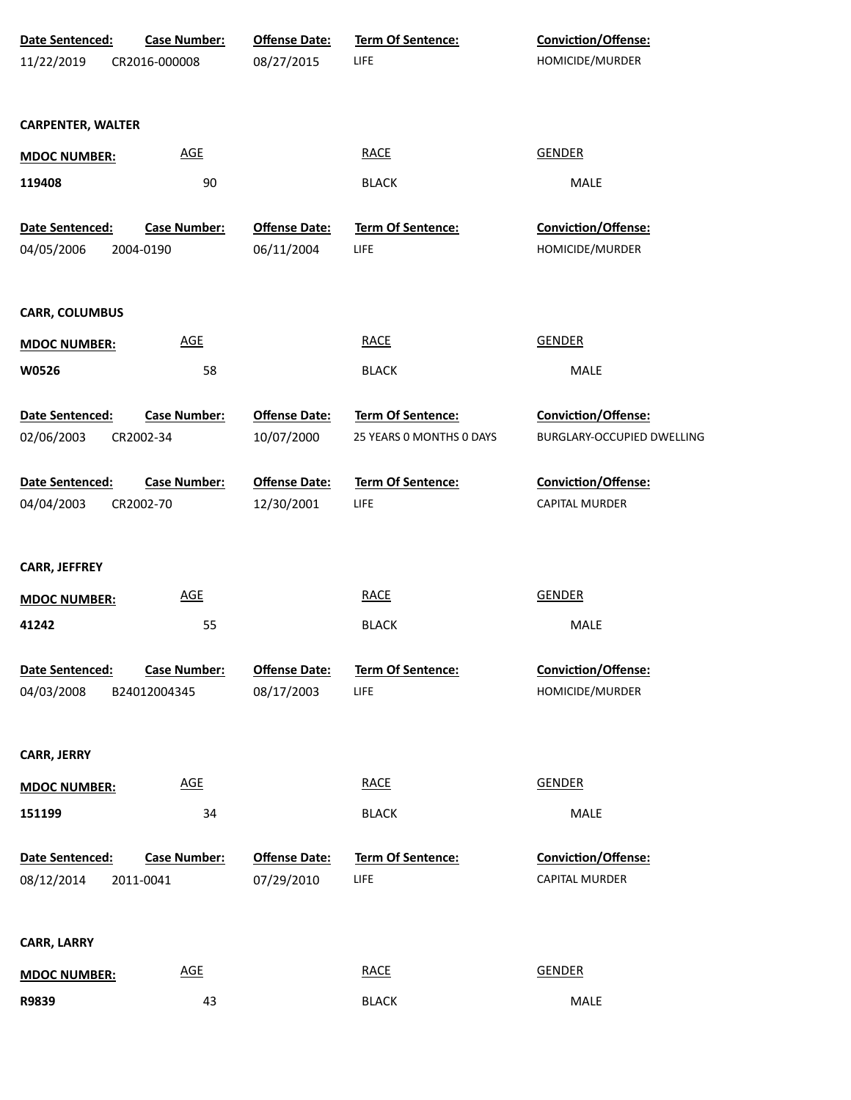| <b>Date Sentenced:</b>   | <b>Case Number:</b> | <b>Offense Date:</b> | Term Of Sentence:        | Conviction/Offense:        |
|--------------------------|---------------------|----------------------|--------------------------|----------------------------|
| 11/22/2019               | CR2016-000008       | 08/27/2015           | LIFE                     | HOMICIDE/MURDER            |
|                          |                     |                      |                          |                            |
|                          |                     |                      |                          |                            |
| <b>CARPENTER, WALTER</b> |                     |                      |                          |                            |
| <b>MDOC NUMBER:</b>      | <b>AGE</b>          |                      | <b>RACE</b>              | <b>GENDER</b>              |
| 119408                   | 90                  |                      | <b>BLACK</b>             | MALE                       |
|                          |                     |                      |                          |                            |
| Date Sentenced:          | <b>Case Number:</b> | <b>Offense Date:</b> | Term Of Sentence:        | Conviction/Offense:        |
| 04/05/2006               | 2004-0190           | 06/11/2004           | <b>LIFE</b>              | HOMICIDE/MURDER            |
| <b>CARR, COLUMBUS</b>    |                     |                      |                          |                            |
| <b>MDOC NUMBER:</b>      | <b>AGE</b>          |                      | <b>RACE</b>              | <b>GENDER</b>              |
| W0526                    | 58                  |                      | <b>BLACK</b>             | MALE                       |
|                          |                     |                      |                          |                            |
| Date Sentenced:          | <b>Case Number:</b> | <b>Offense Date:</b> | Term Of Sentence:        | Conviction/Offense:        |
| 02/06/2003               | CR2002-34           | 10/07/2000           | 25 YEARS 0 MONTHS 0 DAYS | BURGLARY-OCCUPIED DWELLING |
|                          |                     |                      |                          |                            |
| Date Sentenced:          | <b>Case Number:</b> | <b>Offense Date:</b> | Term Of Sentence:        | Conviction/Offense:        |
| 04/04/2003               | CR2002-70           | 12/30/2001           | <b>LIFE</b>              | CAPITAL MURDER             |
|                          |                     |                      |                          |                            |
| <b>CARR, JEFFREY</b>     |                     |                      |                          |                            |
|                          |                     |                      |                          |                            |
| <b>MDOC NUMBER:</b>      | <b>AGE</b>          |                      | <b>RACE</b>              | <b>GENDER</b>              |
| 41242                    | 55                  |                      | <b>BLACK</b>             | MALE                       |
|                          |                     |                      |                          |                            |
| Date Sentenced:          | <b>Case Number:</b> | <b>Offense Date:</b> | Term Of Sentence:        | Conviction/Offense:        |
| 04/03/2008               | B24012004345        | 08/17/2003           | <b>LIFE</b>              | HOMICIDE/MURDER            |
|                          |                     |                      |                          |                            |
| <b>CARR, JERRY</b>       |                     |                      |                          |                            |
| <b>MDOC NUMBER:</b>      | <b>AGE</b>          |                      | <b>RACE</b>              | <b>GENDER</b>              |
| 151199                   | 34                  |                      | <b>BLACK</b>             | MALE                       |
|                          |                     |                      |                          |                            |
| Date Sentenced:          | <b>Case Number:</b> | <b>Offense Date:</b> | Term Of Sentence:        | Conviction/Offense:        |
| 08/12/2014               | 2011-0041           | 07/29/2010           | <b>LIFE</b>              | <b>CAPITAL MURDER</b>      |
|                          |                     |                      |                          |                            |
|                          |                     |                      |                          |                            |
| <b>CARR, LARRY</b>       |                     |                      |                          |                            |
| <b>MDOC NUMBER:</b>      | <b>AGE</b>          |                      | <b>RACE</b>              | <b>GENDER</b>              |
| R9839                    | 43                  |                      | <b>BLACK</b>             | MALE                       |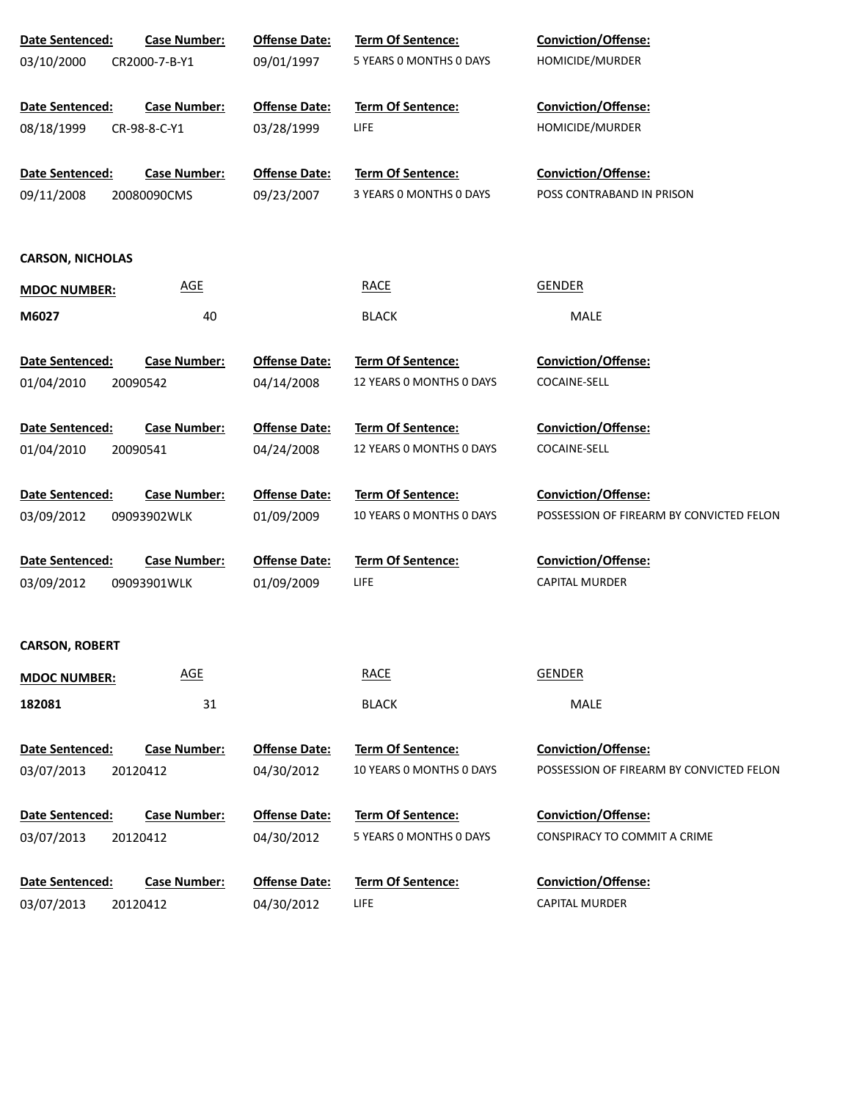| Date Sentenced:         | <b>Case Number:</b> | <b>Offense Date:</b> | <b>Term Of Sentence:</b> | <b>Conviction/Offense:</b>               |
|-------------------------|---------------------|----------------------|--------------------------|------------------------------------------|
| 03/10/2000              | CR2000-7-B-Y1       | 09/01/1997           | 5 YEARS O MONTHS O DAYS  | HOMICIDE/MURDER                          |
|                         |                     |                      |                          |                                          |
| Date Sentenced:         | <b>Case Number:</b> | <b>Offense Date:</b> | <b>Term Of Sentence:</b> | <b>Conviction/Offense:</b>               |
| 08/18/1999              | CR-98-8-C-Y1        | 03/28/1999           | <b>LIFE</b>              | HOMICIDE/MURDER                          |
| Date Sentenced:         | <b>Case Number:</b> | <b>Offense Date:</b> | <b>Term Of Sentence:</b> | <b>Conviction/Offense:</b>               |
| 09/11/2008              | 20080090CMS         | 09/23/2007           | 3 YEARS O MONTHS O DAYS  | POSS CONTRABAND IN PRISON                |
|                         |                     |                      |                          |                                          |
|                         |                     |                      |                          |                                          |
| <b>CARSON, NICHOLAS</b> |                     |                      |                          |                                          |
| <b>MDOC NUMBER:</b>     | <b>AGE</b>          |                      | <b>RACE</b>              | <b>GENDER</b>                            |
| M6027                   | 40                  |                      | <b>BLACK</b>             | <b>MALE</b>                              |
| Date Sentenced:         | Case Number:        | <b>Offense Date:</b> | Term Of Sentence:        | <b>Conviction/Offense:</b>               |
| 01/04/2010              | 20090542            | 04/14/2008           | 12 YEARS O MONTHS O DAYS | COCAINE-SELL                             |
|                         |                     |                      |                          |                                          |
| Date Sentenced:         | <b>Case Number:</b> | <b>Offense Date:</b> | <b>Term Of Sentence:</b> | <b>Conviction/Offense:</b>               |
| 01/04/2010              | 20090541            | 04/24/2008           | 12 YEARS O MONTHS O DAYS | COCAINE-SELL                             |
|                         |                     |                      |                          |                                          |
| Date Sentenced:         | <b>Case Number:</b> | <b>Offense Date:</b> | Term Of Sentence:        | <b>Conviction/Offense:</b>               |
| 03/09/2012              | 09093902WLK         | 01/09/2009           | 10 YEARS O MONTHS O DAYS | POSSESSION OF FIREARM BY CONVICTED FELON |
| Date Sentenced:         | <b>Case Number:</b> | <b>Offense Date:</b> | <b>Term Of Sentence:</b> | <b>Conviction/Offense:</b>               |
| 03/09/2012              | 09093901WLK         | 01/09/2009           | <b>LIFE</b>              | CAPITAL MURDER                           |
|                         |                     |                      |                          |                                          |
|                         |                     |                      |                          |                                          |
| <b>CARSON, ROBERT</b>   |                     |                      |                          |                                          |
| <b>MDOC NUMBER:</b>     | <b>AGE</b>          |                      | <b>RACE</b>              | <b>GENDER</b>                            |
| 182081                  | 31                  |                      | <b>BLACK</b>             | MALE                                     |
| Date Sentenced:         | <b>Case Number:</b> | <b>Offense Date:</b> | <b>Term Of Sentence:</b> | <b>Conviction/Offense:</b>               |
| 03/07/2013              |                     | 04/30/2012           | 10 YEARS 0 MONTHS 0 DAYS | POSSESSION OF FIREARM BY CONVICTED FELON |
|                         | 20120412            |                      |                          |                                          |
| Date Sentenced:         | <b>Case Number:</b> | <b>Offense Date:</b> | <b>Term Of Sentence:</b> | <b>Conviction/Offense:</b>               |
| 03/07/2013              | 20120412            | 04/30/2012           | 5 YEARS 0 MONTHS 0 DAYS  | CONSPIRACY TO COMMIT A CRIME             |
|                         |                     |                      |                          |                                          |
| Date Sentenced:         | <b>Case Number:</b> | <b>Offense Date:</b> | <b>Term Of Sentence:</b> | <b>Conviction/Offense:</b>               |
| 03/07/2013              | 20120412            | 04/30/2012           | LIFE                     | CAPITAL MURDER                           |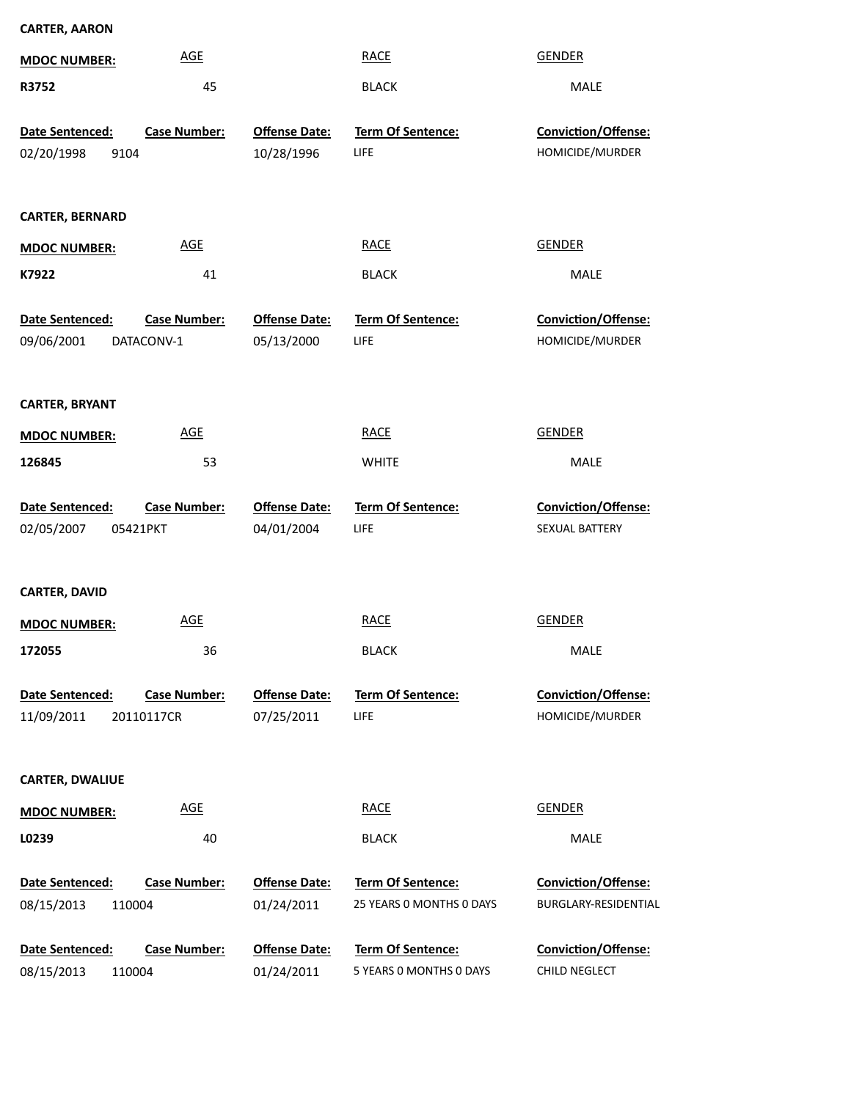| <b>CARTER, AARON</b>                      |                     |                                    |                                                     |                                       |
|-------------------------------------------|---------------------|------------------------------------|-----------------------------------------------------|---------------------------------------|
| <b>MDOC NUMBER:</b>                       | <b>AGE</b>          |                                    | <b>RACE</b>                                         | <b>GENDER</b>                         |
| R3752                                     | 45                  |                                    | <b>BLACK</b>                                        | MALE                                  |
| Date Sentenced:                           | <b>Case Number:</b> | <b>Offense Date:</b>               | Term Of Sentence:                                   | Conviction/Offense:                   |
| 02/20/1998<br>9104                        |                     | 10/28/1996                         | <b>LIFE</b>                                         | HOMICIDE/MURDER                       |
|                                           |                     |                                    |                                                     |                                       |
| <b>CARTER, BERNARD</b>                    |                     |                                    |                                                     |                                       |
| <b>MDOC NUMBER:</b>                       | <b>AGE</b>          |                                    | <b>RACE</b>                                         | <b>GENDER</b>                         |
| K7922                                     | 41                  |                                    | <b>BLACK</b>                                        | MALE                                  |
| Date Sentenced:                           | <b>Case Number:</b> | <b>Offense Date:</b>               | Term Of Sentence:                                   | Conviction/Offense:                   |
| 09/06/2001                                | DATACONV-1          | 05/13/2000                         | LIFE                                                | HOMICIDE/MURDER                       |
|                                           |                     |                                    |                                                     |                                       |
| <b>CARTER, BRYANT</b>                     |                     |                                    |                                                     |                                       |
| <b>MDOC NUMBER:</b>                       | <b>AGE</b>          |                                    | <b>RACE</b>                                         | <b>GENDER</b>                         |
| 126845                                    | 53                  |                                    | <b>WHITE</b>                                        | MALE                                  |
|                                           |                     |                                    | Term Of Sentence:                                   |                                       |
| Date Sentenced:<br>02/05/2007<br>05421PKT | <b>Case Number:</b> | <b>Offense Date:</b><br>04/01/2004 | LIFE                                                | Conviction/Offense:<br>SEXUAL BATTERY |
|                                           |                     |                                    |                                                     |                                       |
| <b>CARTER, DAVID</b>                      |                     |                                    |                                                     |                                       |
| <b>MDOC NUMBER:</b>                       | <b>AGE</b>          |                                    | <b>RACE</b>                                         | <b>GENDER</b>                         |
|                                           |                     |                                    | <b>BLACK</b>                                        |                                       |
| 172055                                    | 36                  |                                    |                                                     | MALE                                  |
|                                           |                     |                                    |                                                     |                                       |
| Date Sentenced:                           | <b>Case Number:</b> | <b>Offense Date:</b>               | <b>Term Of Sentence:</b>                            | Conviction/Offense:                   |
| 11/09/2011                                | 20110117CR          | 07/25/2011                         | LIFE                                                | HOMICIDE/MURDER                       |
| <b>CARTER, DWALIUE</b>                    |                     |                                    |                                                     |                                       |
| <b>MDOC NUMBER:</b>                       | <b>AGE</b>          |                                    | <b>RACE</b>                                         | <b>GENDER</b>                         |
| L0239                                     | 40                  |                                    | <b>BLACK</b>                                        | MALE                                  |
|                                           |                     |                                    |                                                     |                                       |
| Date Sentenced:                           | <b>Case Number:</b> | <b>Offense Date:</b>               | <b>Term Of Sentence:</b>                            | <b>Conviction/Offense:</b>            |
| 08/15/2013<br>110004                      |                     | 01/24/2011                         | 25 YEARS 0 MONTHS 0 DAYS                            | BURGLARY-RESIDENTIAL                  |
| Date Sentenced:<br>08/15/2013<br>110004   | <b>Case Number:</b> | <b>Offense Date:</b><br>01/24/2011 | <b>Term Of Sentence:</b><br>5 YEARS 0 MONTHS 0 DAYS | Conviction/Offense:<br>CHILD NEGLECT  |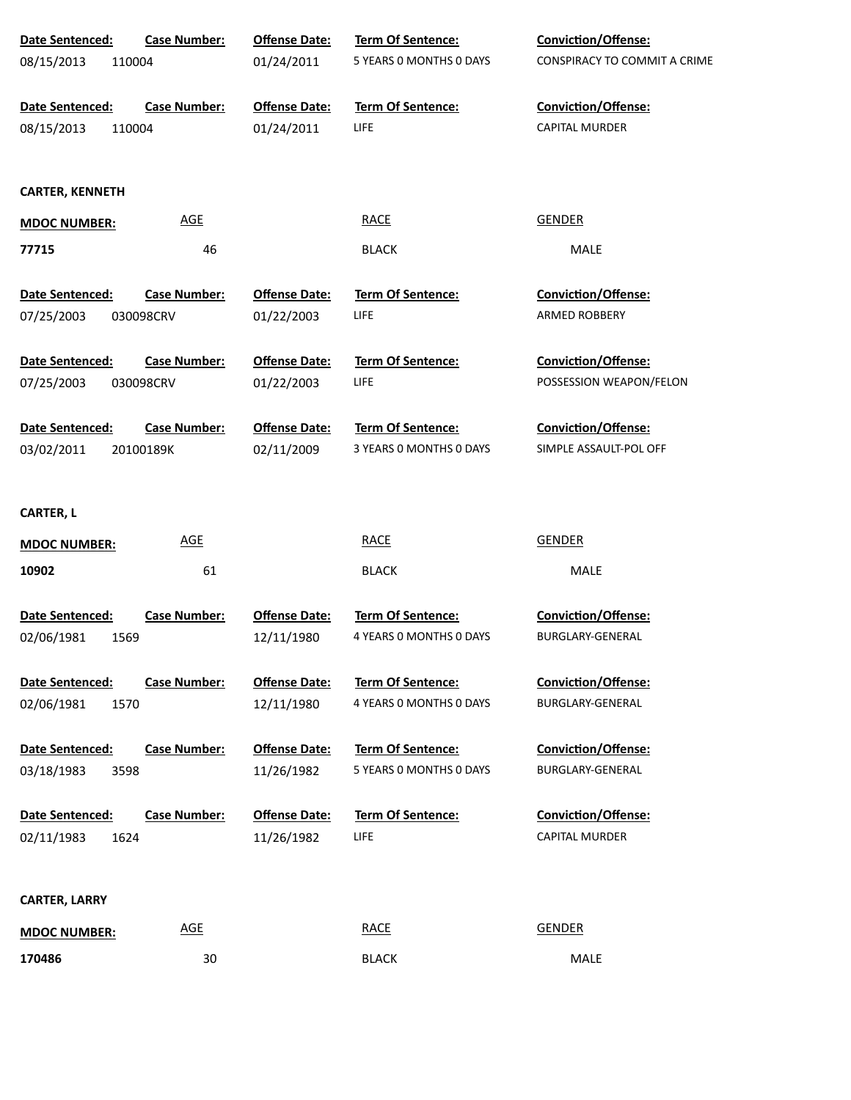| Date Sentenced:        | <b>Case Number:</b>        | <b>Offense Date:</b> | Term Of Sentence:        | <b>Conviction/Offense:</b>   |
|------------------------|----------------------------|----------------------|--------------------------|------------------------------|
| 08/15/2013             | 110004                     | 01/24/2011           | 5 YEARS 0 MONTHS 0 DAYS  | CONSPIRACY TO COMMIT A CRIME |
| Date Sentenced:        | <b>Case Number:</b>        | <b>Offense Date:</b> | Term Of Sentence:        | <b>Conviction/Offense:</b>   |
| 08/15/2013             | 110004                     | 01/24/2011           | <b>LIFE</b>              | <b>CAPITAL MURDER</b>        |
| <b>CARTER, KENNETH</b> |                            |                      |                          |                              |
| <b>MDOC NUMBER:</b>    | <b>AGE</b>                 |                      | <b>RACE</b>              | <b>GENDER</b>                |
| 77715                  | 46                         |                      | <b>BLACK</b>             | MALE                         |
| Date Sentenced:        | <b>Case Number:</b>        | <b>Offense Date:</b> | Term Of Sentence:        | <b>Conviction/Offense:</b>   |
| 07/25/2003             | 030098CRV                  | 01/22/2003           | <b>LIFE</b>              | ARMED ROBBERY                |
| Date Sentenced:        | <b>Case Number:</b>        | <b>Offense Date:</b> | <b>Term Of Sentence:</b> | <b>Conviction/Offense:</b>   |
| 07/25/2003             | 030098CRV                  | 01/22/2003           | <b>LIFE</b>              | POSSESSION WEAPON/FELON      |
| Date Sentenced:        | <b>Case Number:</b>        | <b>Offense Date:</b> | <b>Term Of Sentence:</b> | Conviction/Offense:          |
| 03/02/2011             | 20100189K                  | 02/11/2009           | 3 YEARS 0 MONTHS 0 DAYS  | SIMPLE ASSAULT-POL OFF       |
| <b>CARTER, L</b>       |                            |                      |                          |                              |
| <b>MDOC NUMBER:</b>    | <b>AGE</b>                 |                      | <b>RACE</b>              | <b>GENDER</b>                |
| 10902                  | 61                         |                      | <b>BLACK</b>             | <b>MALE</b>                  |
| Date Sentenced:        | <b>Case Number:</b>        | <b>Offense Date:</b> | <b>Term Of Sentence:</b> | <b>Conviction/Offense:</b>   |
| 02/06/1981<br>1569     |                            | 12/11/1980           | 4 YEARS O MONTHS O DAYS  | BURGLARY-GENERAL             |
| Date Sentenced:        | <b>Case Number:</b>        | <b>Offense Date:</b> | <b>Term Of Sentence:</b> | <b>Conviction/Offense:</b>   |
| 1570<br>02/06/1981     |                            | 12/11/1980           | 4 YEARS O MONTHS O DAYS  | BURGLARY-GENERAL             |
| <b>Date Sentenced:</b> | <b>Case Number:</b>        | <b>Offense Date:</b> | <b>Term Of Sentence:</b> | <b>Conviction/Offense:</b>   |
| 3598<br>03/18/1983     |                            | 11/26/1982           | 5 YEARS 0 MONTHS 0 DAYS  | BURGLARY-GENERAL             |
| Date Sentenced:        | <b>Case Number:</b>        | <b>Offense Date:</b> | <b>Term Of Sentence:</b> | <b>Conviction/Offense:</b>   |
| 1624<br>02/11/1983     |                            | 11/26/1982           | <b>LIFE</b>              | <b>CAPITAL MURDER</b>        |
| <b>CARTER, LARRY</b>   |                            |                      |                          |                              |
| <b>MDOC NUMBER:</b>    | $\underline{\mathsf{AGE}}$ |                      | <b>RACE</b>              | <b>GENDER</b>                |
| 170486                 | 30                         |                      | <b>BLACK</b>             | MALE                         |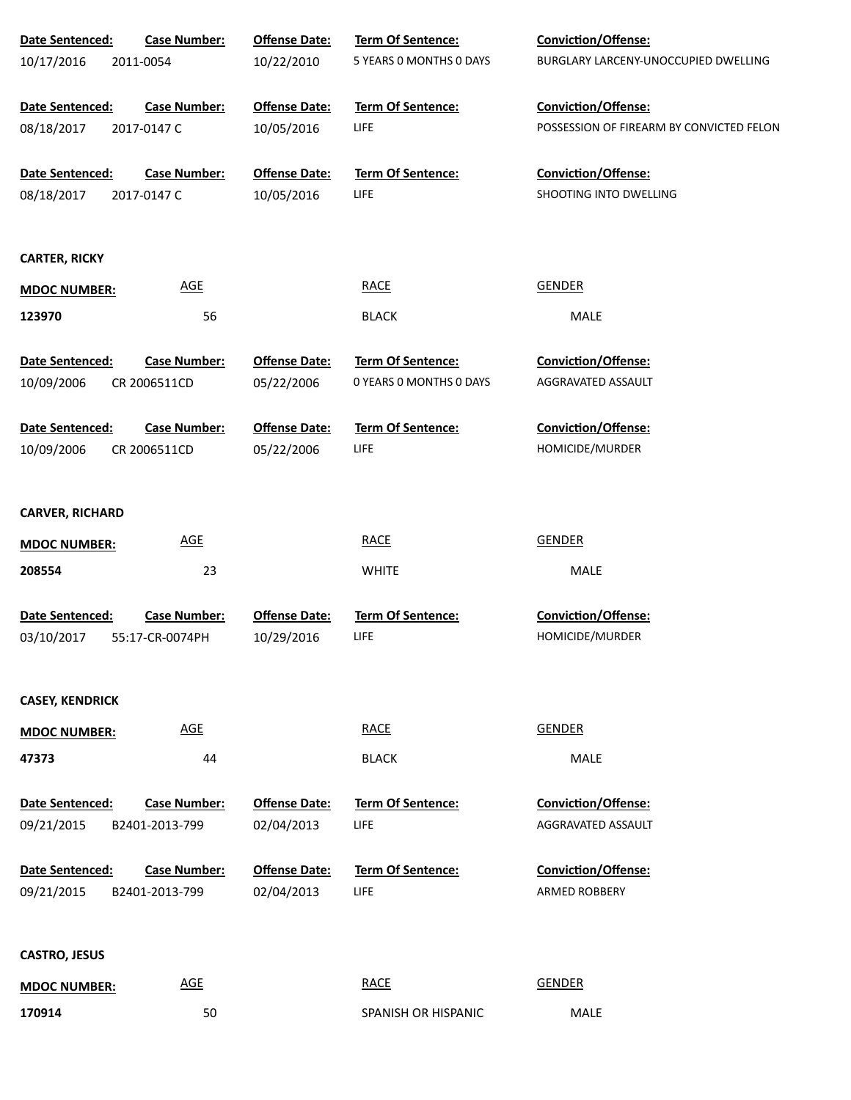| Date Sentenced:               | <b>Case Number:</b>                   | <b>Offense Date:</b>               | Term Of Sentence:                       | Conviction/Offense:                                |
|-------------------------------|---------------------------------------|------------------------------------|-----------------------------------------|----------------------------------------------------|
| 10/17/2016                    | 2011-0054                             | 10/22/2010                         | 5 YEARS O MONTHS O DAYS                 | BURGLARY LARCENY-UNOCCUPIED DWELLING               |
|                               |                                       |                                    |                                         |                                                    |
| Date Sentenced:               | <b>Case Number:</b>                   | <b>Offense Date:</b>               | Term Of Sentence:                       | Conviction/Offense:                                |
| 08/18/2017                    | 2017-0147 C                           | 10/05/2016                         | <b>LIFE</b>                             | POSSESSION OF FIREARM BY CONVICTED FELON           |
| Date Sentenced:               | <b>Case Number:</b>                   | <b>Offense Date:</b>               | Term Of Sentence:                       | Conviction/Offense:                                |
| 08/18/2017                    | 2017-0147 C                           | 10/05/2016                         | <b>LIFE</b>                             | SHOOTING INTO DWELLING                             |
|                               |                                       |                                    |                                         |                                                    |
|                               |                                       |                                    |                                         |                                                    |
| <b>CARTER, RICKY</b>          |                                       |                                    |                                         |                                                    |
| <b>MDOC NUMBER:</b>           | <b>AGE</b>                            |                                    | <b>RACE</b>                             | <b>GENDER</b>                                      |
| 123970                        | 56                                    |                                    | <b>BLACK</b>                            | MALE                                               |
| Date Sentenced:               | <b>Case Number:</b>                   | <b>Offense Date:</b>               | Term Of Sentence:                       | Conviction/Offense:                                |
| 10/09/2006                    | CR 2006511CD                          | 05/22/2006                         | 0 YEARS O MONTHS O DAYS                 | AGGRAVATED ASSAULT                                 |
|                               |                                       |                                    |                                         |                                                    |
| Date Sentenced:               | <b>Case Number:</b>                   | <b>Offense Date:</b>               | Term Of Sentence:                       | Conviction/Offense:                                |
| 10/09/2006                    | CR 2006511CD                          | 05/22/2006                         | <b>LIFE</b>                             | HOMICIDE/MURDER                                    |
|                               |                                       |                                    |                                         |                                                    |
| <b>CARVER, RICHARD</b>        |                                       |                                    |                                         |                                                    |
| <b>MDOC NUMBER:</b>           | <b>AGE</b>                            |                                    | <b>RACE</b>                             | <b>GENDER</b>                                      |
| 208554                        | 23                                    |                                    | <b>WHITE</b>                            | MALE                                               |
|                               |                                       |                                    |                                         |                                                    |
| Date Sentenced:               | <b>Case Number:</b>                   | <b>Offense Date:</b>               | Term Of Sentence:                       | Conviction/Offense:                                |
| 03/10/2017                    | 55:17-CR-0074PH                       | 10/29/2016                         | LIFE                                    | HOMICIDE/MURDER                                    |
|                               |                                       |                                    |                                         |                                                    |
| <b>CASEY, KENDRICK</b>        |                                       |                                    |                                         |                                                    |
| <b>MDOC NUMBER:</b>           | <b>AGE</b>                            |                                    | <b>RACE</b>                             | <b>GENDER</b>                                      |
| 47373                         | 44                                    |                                    | <b>BLACK</b>                            | MALE                                               |
|                               |                                       |                                    |                                         |                                                    |
| Date Sentenced:               | <b>Case Number:</b>                   | <b>Offense Date:</b>               | <b>Term Of Sentence:</b>                | <b>Conviction/Offense:</b>                         |
| 09/21/2015                    | B2401-2013-799                        | 02/04/2013                         | <b>LIFE</b>                             | AGGRAVATED ASSAULT                                 |
|                               |                                       |                                    |                                         |                                                    |
| Date Sentenced:<br>09/21/2015 | <b>Case Number:</b><br>B2401-2013-799 | <b>Offense Date:</b><br>02/04/2013 | <b>Term Of Sentence:</b><br><b>LIFE</b> | <b>Conviction/Offense:</b><br><b>ARMED ROBBERY</b> |
|                               |                                       |                                    |                                         |                                                    |
|                               |                                       |                                    |                                         |                                                    |
| <b>CASTRO, JESUS</b>          |                                       |                                    |                                         |                                                    |
| <b>MDOC NUMBER:</b>           | <b>AGE</b>                            |                                    | <b>RACE</b>                             | <b>GENDER</b>                                      |
| 170914                        | 50                                    |                                    | SPANISH OR HISPANIC                     | MALE                                               |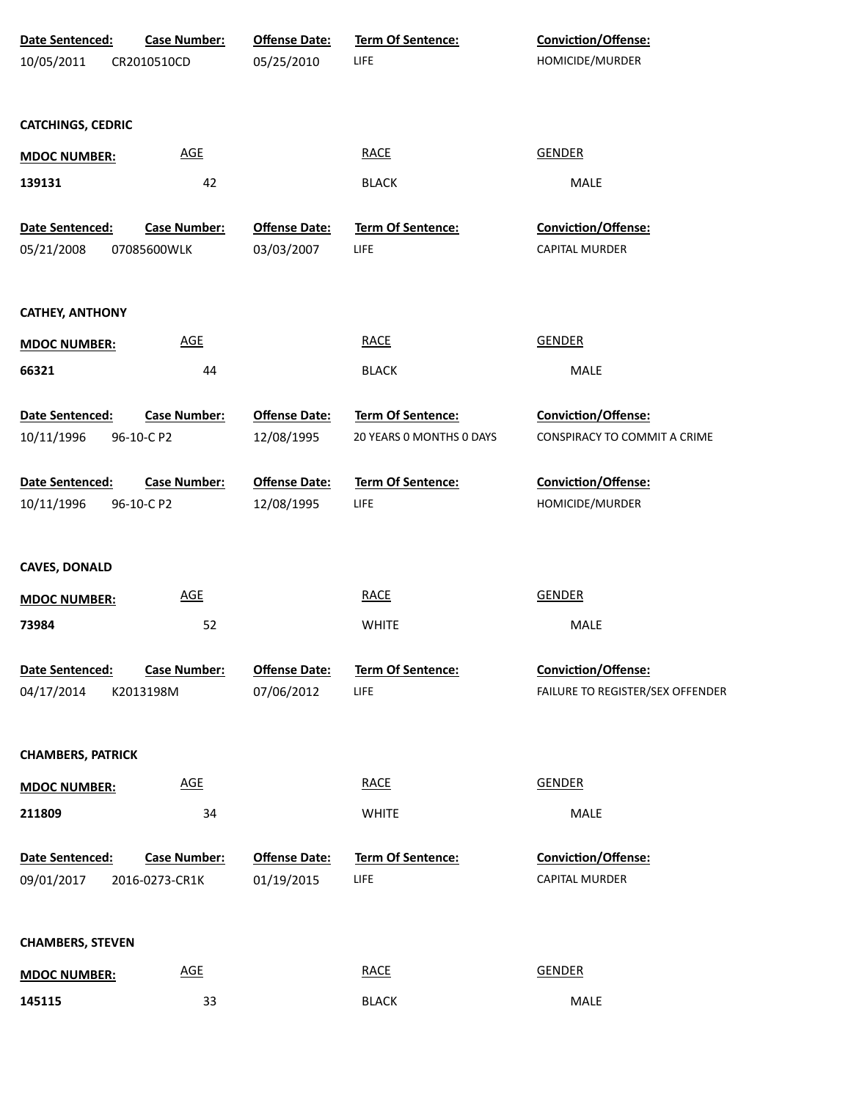| Date Sentenced:          | <b>Case Number:</b> | <b>Offense Date:</b> | Term Of Sentence:        | Conviction/Offense:              |
|--------------------------|---------------------|----------------------|--------------------------|----------------------------------|
| 10/05/2011               | CR2010510CD         | 05/25/2010           | <b>LIFE</b>              | HOMICIDE/MURDER                  |
|                          |                     |                      |                          |                                  |
|                          |                     |                      |                          |                                  |
| <b>CATCHINGS, CEDRIC</b> |                     |                      |                          |                                  |
| <b>MDOC NUMBER:</b>      | <b>AGE</b>          |                      | <b>RACE</b>              | <b>GENDER</b>                    |
| 139131                   | 42                  |                      | <b>BLACK</b>             | MALE                             |
|                          |                     |                      |                          |                                  |
| Date Sentenced:          | <b>Case Number:</b> | <b>Offense Date:</b> | Term Of Sentence:        | Conviction/Offense:              |
| 05/21/2008               | 07085600WLK         | 03/03/2007           | <b>LIFE</b>              | CAPITAL MURDER                   |
|                          |                     |                      |                          |                                  |
| <b>CATHEY, ANTHONY</b>   |                     |                      |                          |                                  |
| <b>MDOC NUMBER:</b>      | <b>AGE</b>          |                      | <b>RACE</b>              | <b>GENDER</b>                    |
|                          |                     |                      |                          |                                  |
| 66321                    | 44                  |                      | <b>BLACK</b>             | MALE                             |
| Date Sentenced:          | <b>Case Number:</b> | <b>Offense Date:</b> | Term Of Sentence:        | Conviction/Offense:              |
| 10/11/1996               | 96-10-C P2          | 12/08/1995           | 20 YEARS 0 MONTHS 0 DAYS | CONSPIRACY TO COMMIT A CRIME     |
|                          |                     |                      |                          |                                  |
| Date Sentenced:          | <b>Case Number:</b> | <b>Offense Date:</b> | Term Of Sentence:        | Conviction/Offense:              |
| 10/11/1996               | 96-10-C P2          | 12/08/1995           | LIFE                     | HOMICIDE/MURDER                  |
|                          |                     |                      |                          |                                  |
|                          |                     |                      |                          |                                  |
| <b>CAVES, DONALD</b>     |                     |                      |                          |                                  |
| <b>MDOC NUMBER:</b>      | <b>AGE</b>          |                      | <b>RACE</b>              | <b>GENDER</b>                    |
| 73984                    | 52                  |                      | <b>WHITE</b>             | MALE                             |
|                          |                     |                      |                          |                                  |
| Date Sentenced:          | <b>Case Number:</b> | <b>Offense Date:</b> | Term Of Sentence:        | <b>Conviction/Offense:</b>       |
| 04/17/2014               | K2013198M           | 07/06/2012           | <b>LIFE</b>              | FAILURE TO REGISTER/SEX OFFENDER |
|                          |                     |                      |                          |                                  |
| <b>CHAMBERS, PATRICK</b> |                     |                      |                          |                                  |
|                          |                     |                      |                          |                                  |
| <b>MDOC NUMBER:</b>      | <b>AGE</b>          |                      | <b>RACE</b>              | <b>GENDER</b>                    |
| 211809                   | 34                  |                      | <b>WHITE</b>             | MALE                             |
|                          |                     |                      |                          |                                  |
| Date Sentenced:          | Case Number:        | <b>Offense Date:</b> | Term Of Sentence:        | Conviction/Offense:              |
| 09/01/2017               | 2016-0273-CR1K      | 01/19/2015           | LIFE                     | CAPITAL MURDER                   |
|                          |                     |                      |                          |                                  |
| <b>CHAMBERS, STEVEN</b>  |                     |                      |                          |                                  |
|                          | <b>AGE</b>          |                      | <b>RACE</b>              | <b>GENDER</b>                    |
| <b>MDOC NUMBER:</b>      |                     |                      |                          |                                  |
| 145115                   | 33                  |                      | <b>BLACK</b>             | MALE                             |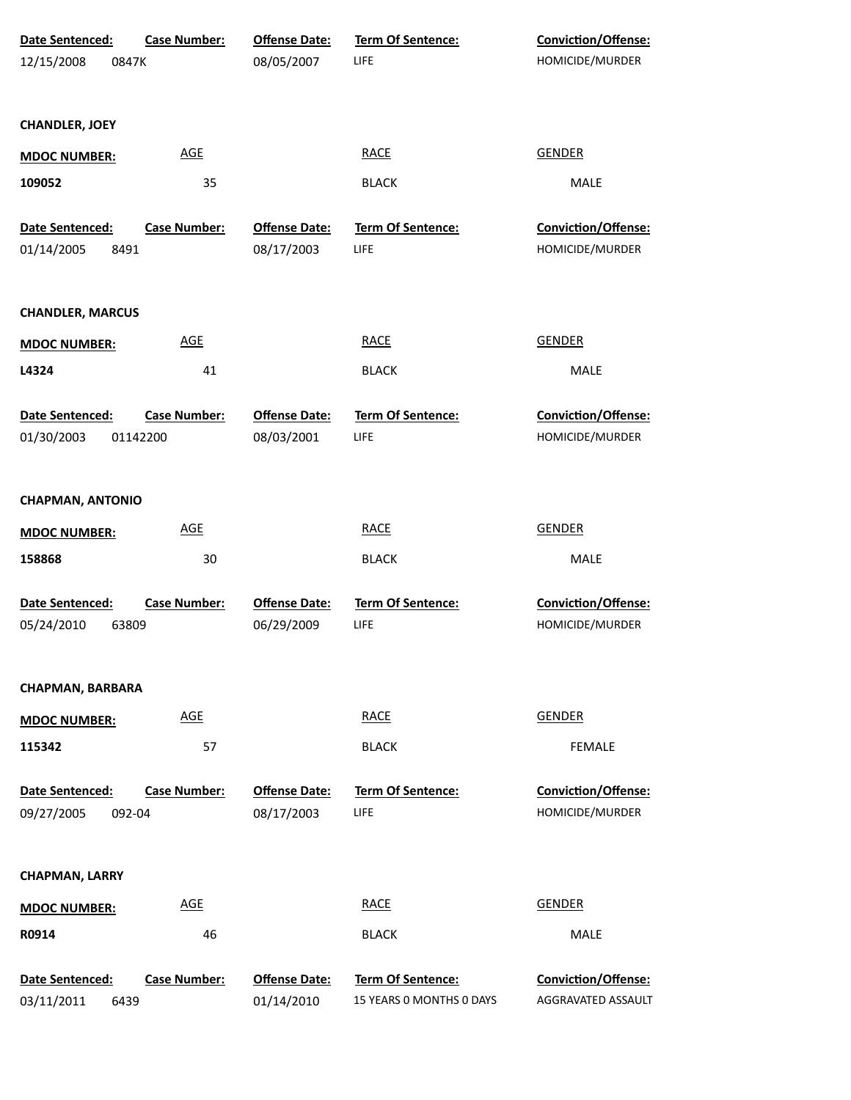| Date Sentenced:         | <b>Case Number:</b> | <b>Offense Date:</b> | <b>Term Of Sentence:</b> | Conviction/Offense: |  |
|-------------------------|---------------------|----------------------|--------------------------|---------------------|--|
| 12/15/2008<br>0847K     |                     | 08/05/2007           | LIFE                     | HOMICIDE/MURDER     |  |
|                         |                     |                      |                          |                     |  |
| <b>CHANDLER, JOEY</b>   |                     |                      |                          |                     |  |
| <b>MDOC NUMBER:</b>     | <b>AGE</b>          |                      | <b>RACE</b>              | <b>GENDER</b>       |  |
| 109052                  | 35                  |                      | <b>BLACK</b>             | MALE                |  |
| Date Sentenced:         | <b>Case Number:</b> | <b>Offense Date:</b> | Term Of Sentence:        | Conviction/Offense: |  |
| 01/14/2005<br>8491      |                     | 08/17/2003           | LIFE                     | HOMICIDE/MURDER     |  |
| <b>CHANDLER, MARCUS</b> |                     |                      |                          |                     |  |
| <b>MDOC NUMBER:</b>     | <b>AGE</b>          |                      | <b>RACE</b>              | <b>GENDER</b>       |  |
| L4324                   | 41                  |                      | <b>BLACK</b>             | MALE                |  |
| Date Sentenced:         | <b>Case Number:</b> | <b>Offense Date:</b> | <b>Term Of Sentence:</b> | Conviction/Offense: |  |
| 01/30/2003              | 01142200            | 08/03/2001           | LIFE                     | HOMICIDE/MURDER     |  |
| <b>CHAPMAN, ANTONIO</b> |                     |                      |                          |                     |  |
| <b>MDOC NUMBER:</b>     | <b>AGE</b>          |                      | <b>RACE</b>              | <b>GENDER</b>       |  |
| 158868                  | 30                  |                      | <b>BLACK</b>             | MALE                |  |
| Date Sentenced:         | <b>Case Number:</b> | <b>Offense Date:</b> | <b>Term Of Sentence:</b> | Conviction/Offense: |  |
| 05/24/2010<br>63809     |                     | 06/29/2009           | LIFE                     | HOMICIDE/MURDER     |  |
| <b>CHAPMAN, BARBARA</b> |                     |                      |                          |                     |  |
| <b>MDOC NUMBER:</b>     | <b>AGE</b>          |                      | <b>RACE</b>              | <b>GENDER</b>       |  |
| 115342                  | 57                  |                      | <b>BLACK</b>             | <b>FEMALE</b>       |  |
| <b>Date Sentenced:</b>  | <b>Case Number:</b> | <b>Offense Date:</b> | Term Of Sentence:        | Conviction/Offense: |  |
| 09/27/2005<br>092-04    |                     | 08/17/2003           | LIFE                     | HOMICIDE/MURDER     |  |
| <b>CHAPMAN, LARRY</b>   |                     |                      |                          |                     |  |
| <b>MDOC NUMBER:</b>     | <b>AGE</b>          |                      | <b>RACE</b>              | <b>GENDER</b>       |  |
| R0914                   | 46                  |                      | <b>BLACK</b>             | MALE                |  |
| Date Sentenced:         | <b>Case Number:</b> | <b>Offense Date:</b> | Term Of Sentence:        | Conviction/Offense: |  |
| 03/11/2011<br>6439      |                     | 01/14/2010           | 15 YEARS 0 MONTHS 0 DAYS | AGGRAVATED ASSAULT  |  |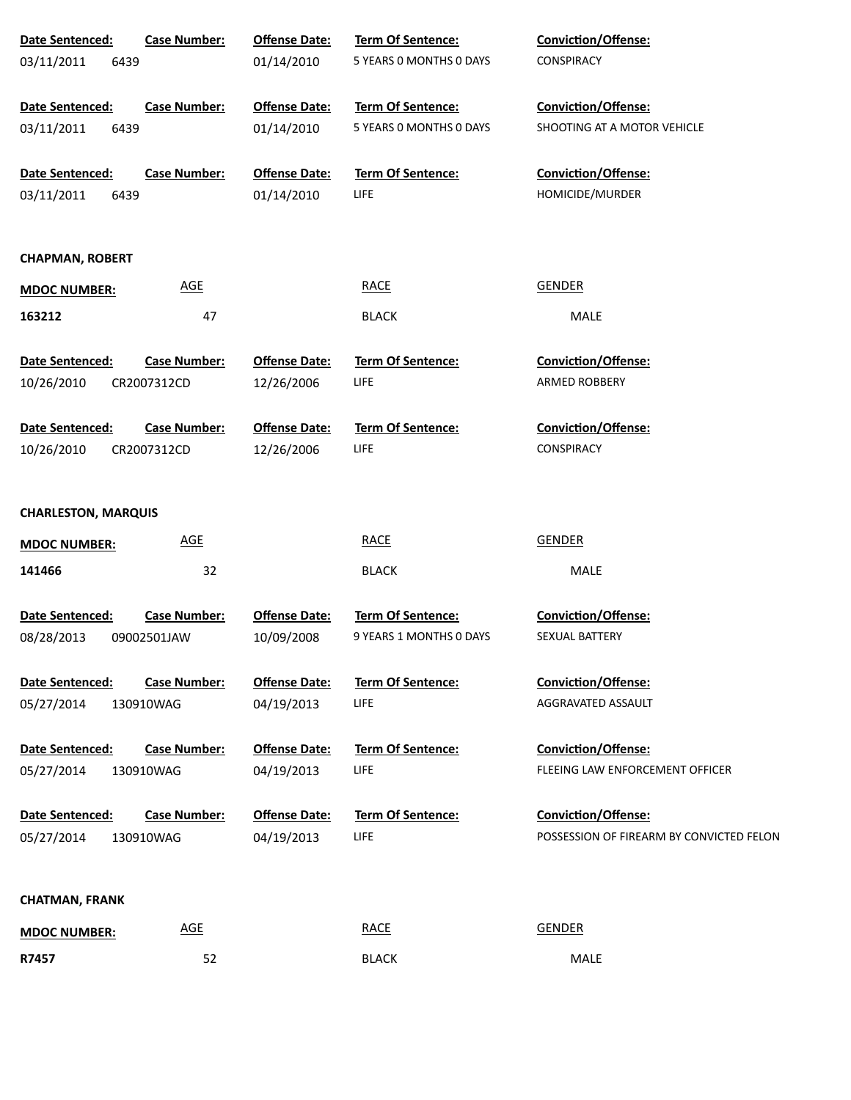| Date Sentenced:            | <b>Case Number:</b> | <b>Offense Date:</b> | Term Of Sentence:        | Conviction/Offense:                      |
|----------------------------|---------------------|----------------------|--------------------------|------------------------------------------|
| 03/11/2011<br>6439         |                     | 01/14/2010           | 5 YEARS 0 MONTHS 0 DAYS  | CONSPIRACY                               |
|                            |                     |                      |                          |                                          |
| Date Sentenced:            | <b>Case Number:</b> | <b>Offense Date:</b> | Term Of Sentence:        | <b>Conviction/Offense:</b>               |
| 03/11/2011<br>6439         |                     | 01/14/2010           | 5 YEARS O MONTHS O DAYS  | SHOOTING AT A MOTOR VEHICLE              |
| Date Sentenced:            | <b>Case Number:</b> | <b>Offense Date:</b> | Term Of Sentence:        | Conviction/Offense:                      |
| 03/11/2011<br>6439         |                     | 01/14/2010           | LIFE                     | HOMICIDE/MURDER                          |
|                            |                     |                      |                          |                                          |
| <b>CHAPMAN, ROBERT</b>     |                     |                      |                          |                                          |
| <b>MDOC NUMBER:</b>        | <b>AGE</b>          |                      | <b>RACE</b>              | <b>GENDER</b>                            |
| 163212                     | 47                  |                      | <b>BLACK</b>             | MALE                                     |
|                            |                     |                      |                          |                                          |
| Date Sentenced:            | <b>Case Number:</b> | <b>Offense Date:</b> | <b>Term Of Sentence:</b> | <b>Conviction/Offense:</b>               |
| 10/26/2010                 | CR2007312CD         | 12/26/2006           | LIFE                     | ARMED ROBBERY                            |
|                            |                     |                      |                          |                                          |
| Date Sentenced:            | <b>Case Number:</b> | <b>Offense Date:</b> | <b>Term Of Sentence:</b> | <b>Conviction/Offense:</b>               |
| 10/26/2010                 | CR2007312CD         | 12/26/2006           | LIFE                     | CONSPIRACY                               |
|                            |                     |                      |                          |                                          |
| <b>CHARLESTON, MARQUIS</b> |                     |                      |                          |                                          |
| <b>MDOC NUMBER:</b>        | <b>AGE</b>          |                      | <b>RACE</b>              | <b>GENDER</b>                            |
| 141466                     | 32                  |                      | <b>BLACK</b>             | MALE                                     |
|                            |                     |                      |                          |                                          |
| Date Sentenced:            | <b>Case Number:</b> | <b>Offense Date:</b> | Term Of Sentence:        | Conviction/Offense:                      |
| 08/28/2013                 | 09002501JAW         | 10/09/2008           | 9 YEARS 1 MONTHS 0 DAYS  | SEXUAL BATTERY                           |
| <b>Date Sentenced:</b>     | <b>Case Number:</b> | <b>Offense Date:</b> | <b>Term Of Sentence:</b> | <b>Conviction/Offense:</b>               |
| 05/27/2014                 | 130910WAG           | 04/19/2013           | LIFE                     | AGGRAVATED ASSAULT                       |
|                            |                     |                      |                          |                                          |
| Date Sentenced:            | <b>Case Number:</b> | <b>Offense Date:</b> | <b>Term Of Sentence:</b> | <b>Conviction/Offense:</b>               |
| 05/27/2014                 | 130910WAG           | 04/19/2013           | LIFE                     | FLEEING LAW ENFORCEMENT OFFICER          |
|                            |                     |                      |                          |                                          |
| Date Sentenced:            | <b>Case Number:</b> | <b>Offense Date:</b> | <b>Term Of Sentence:</b> | <b>Conviction/Offense:</b>               |
| 05/27/2014                 | 130910WAG           | 04/19/2013           | LIFE                     | POSSESSION OF FIREARM BY CONVICTED FELON |
|                            |                     |                      |                          |                                          |
| <b>CHATMAN, FRANK</b>      |                     |                      |                          |                                          |
| <b>MDOC NUMBER:</b>        | <b>AGE</b>          |                      | <b>RACE</b>              | <b>GENDER</b>                            |
| R7457                      | 52                  |                      | <b>BLACK</b>             | MALE                                     |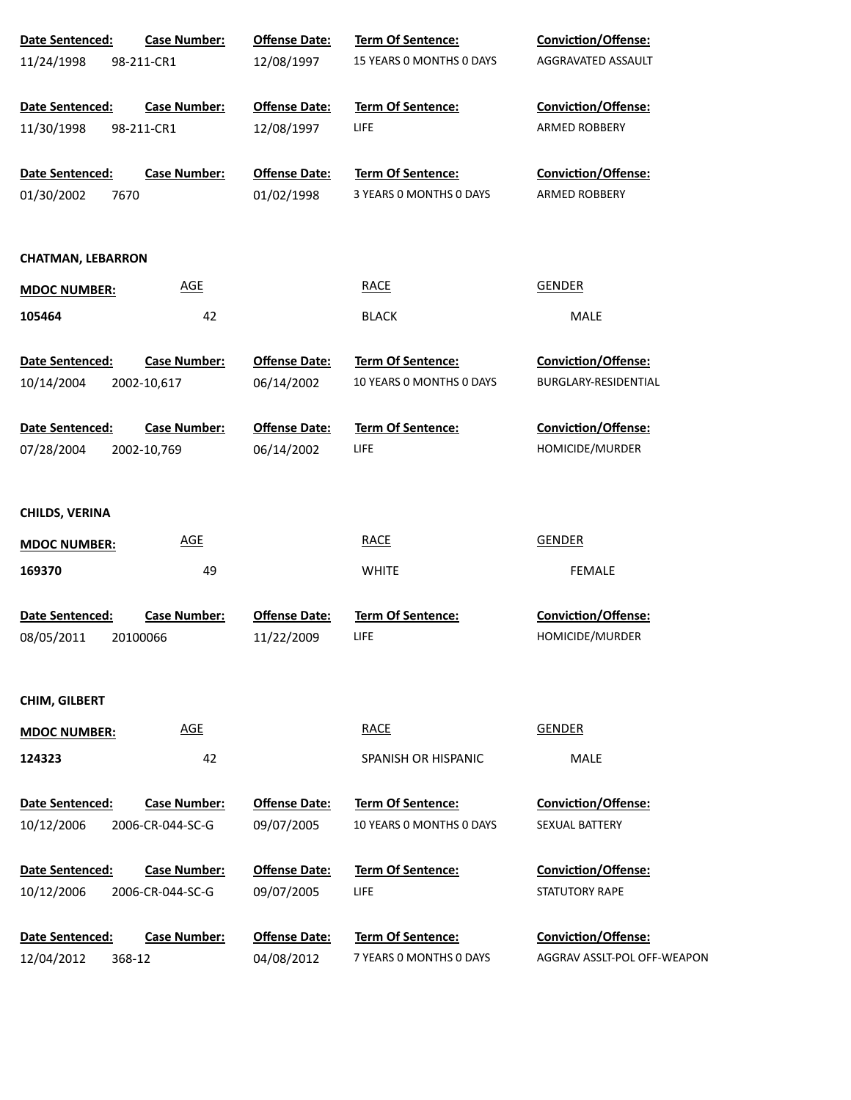| Date Sentenced:          | <b>Case Number:</b> | <b>Offense Date:</b> | Term Of Sentence:        | <b>Conviction/Offense:</b>                  |
|--------------------------|---------------------|----------------------|--------------------------|---------------------------------------------|
| 11/24/1998               | 98-211-CR1          | 12/08/1997           | 15 YEARS O MONTHS O DAYS | AGGRAVATED ASSAULT                          |
|                          |                     |                      |                          |                                             |
| Date Sentenced:          | <b>Case Number:</b> | <b>Offense Date:</b> | Term Of Sentence:        | <b>Conviction/Offense:</b>                  |
| 11/30/1998               | 98-211-CR1          | 12/08/1997           | <b>LIFE</b>              | ARMED ROBBERY                               |
|                          |                     |                      |                          |                                             |
| Date Sentenced:          | <b>Case Number:</b> | <b>Offense Date:</b> | Term Of Sentence:        | <b>Conviction/Offense:</b>                  |
| 01/30/2002               | 7670                | 01/02/1998           | 3 YEARS 0 MONTHS 0 DAYS  | ARMED ROBBERY                               |
|                          |                     |                      |                          |                                             |
| <b>CHATMAN, LEBARRON</b> |                     |                      |                          |                                             |
| <b>MDOC NUMBER:</b>      | AGE                 |                      | <b>RACE</b>              | <b>GENDER</b>                               |
| 105464                   | 42                  |                      | <b>BLACK</b>             | MALE                                        |
|                          |                     |                      |                          |                                             |
| Date Sentenced:          | <b>Case Number:</b> | <b>Offense Date:</b> | <b>Term Of Sentence:</b> | Conviction/Offense:<br>BURGLARY-RESIDENTIAL |
| 10/14/2004               | 2002-10,617         | 06/14/2002           | 10 YEARS 0 MONTHS 0 DAYS |                                             |
| Date Sentenced:          | <b>Case Number:</b> | <b>Offense Date:</b> | Term Of Sentence:        | Conviction/Offense:                         |
| 07/28/2004               | 2002-10,769         | 06/14/2002           | LIFE                     | HOMICIDE/MURDER                             |
|                          |                     |                      |                          |                                             |
| <b>CHILDS, VERINA</b>    |                     |                      |                          |                                             |
| <b>MDOC NUMBER:</b>      | <b>AGE</b>          |                      | <b>RACE</b>              | <b>GENDER</b>                               |
| 169370                   | 49                  |                      | <b>WHITE</b>             | <b>FEMALE</b>                               |
|                          |                     |                      |                          |                                             |
| Date Sentenced:          | <b>Case Number:</b> | <b>Offense Date:</b> | <b>Term Of Sentence:</b> | <b>Conviction/Offense:</b>                  |
| 08/05/2011               | 20100066            | 11/22/2009           | LIFE                     | HOMICIDE/MURDER                             |
|                          |                     |                      |                          |                                             |
| CHIM, GILBERT            |                     |                      |                          |                                             |
| <b>MDOC NUMBER:</b>      | <b>AGE</b>          |                      | <b>RACE</b>              | <b>GENDER</b>                               |
| 124323                   | 42                  |                      | SPANISH OR HISPANIC      | <b>MALE</b>                                 |
|                          |                     |                      |                          |                                             |
| Date Sentenced:          | <b>Case Number:</b> | <b>Offense Date:</b> | Term Of Sentence:        | <b>Conviction/Offense:</b>                  |
| 10/12/2006               | 2006-CR-044-SC-G    | 09/07/2005           | 10 YEARS O MONTHS O DAYS | SEXUAL BATTERY                              |
| Date Sentenced:          | <b>Case Number:</b> | <b>Offense Date:</b> | Term Of Sentence:        | Conviction/Offense:                         |
| 10/12/2006               | 2006-CR-044-SC-G    | 09/07/2005           | LIFE                     | STATUTORY RAPE                              |
|                          |                     |                      |                          |                                             |
| Date Sentenced:          | <b>Case Number:</b> | <b>Offense Date:</b> | Term Of Sentence:        | Conviction/Offense:                         |
| 12/04/2012               | 368-12              | 04/08/2012           | 7 YEARS O MONTHS O DAYS  | AGGRAV ASSLT-POL OFF-WEAPON                 |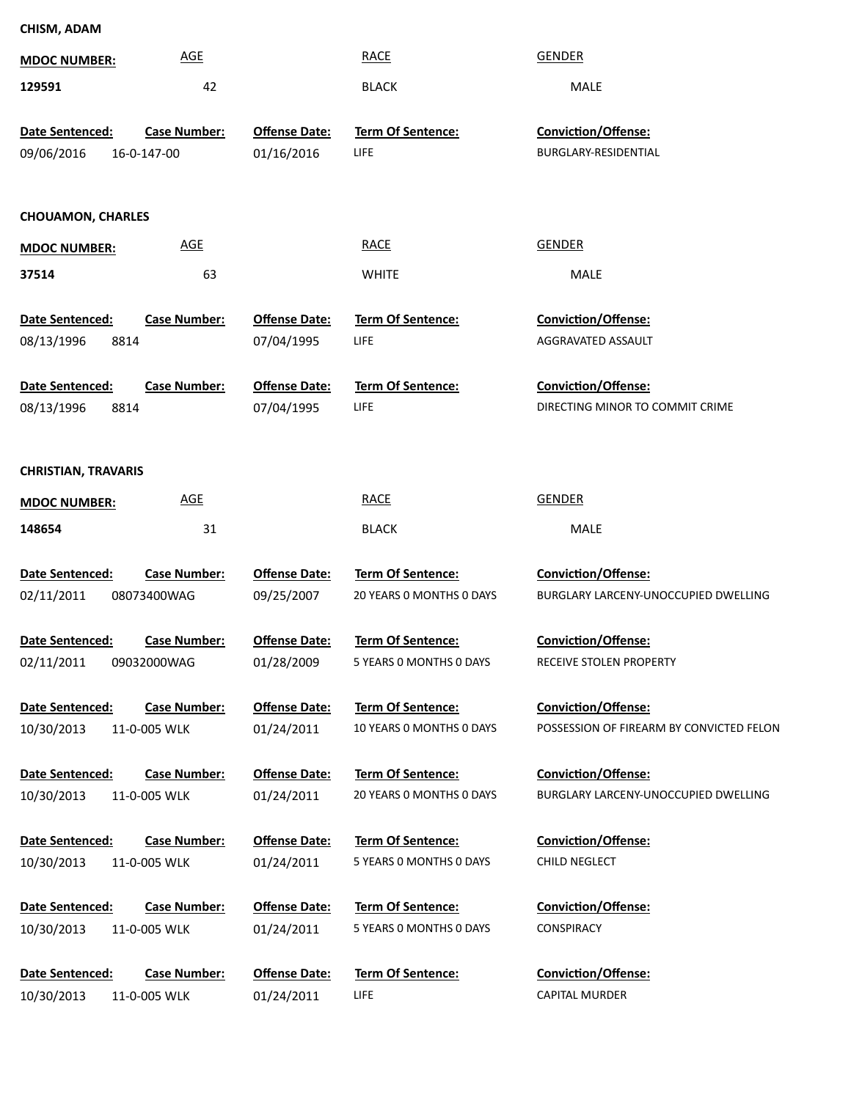| <b>MDOC NUMBER:</b>           | <b>AGE</b>                         |                                    | <b>RACE</b>                                   | <b>GENDER</b>                                                      |
|-------------------------------|------------------------------------|------------------------------------|-----------------------------------------------|--------------------------------------------------------------------|
| 129591                        | 42                                 |                                    | <b>BLACK</b>                                  | MALE                                                               |
| Date Sentenced:<br>09/06/2016 | <b>Case Number:</b><br>16-0-147-00 | <b>Offense Date:</b><br>01/16/2016 | Term Of Sentence:<br>LIFE                     | Conviction/Offense:<br>BURGLARY-RESIDENTIAL                        |
| <b>CHOUAMON, CHARLES</b>      |                                    |                                    |                                               |                                                                    |
| <b>MDOC NUMBER:</b>           | <b>AGE</b>                         |                                    | <b>RACE</b>                                   | <b>GENDER</b>                                                      |
| 37514                         | 63                                 |                                    | <b>WHITE</b>                                  | MALE                                                               |
| Date Sentenced:               | <b>Case Number:</b>                | <b>Offense Date:</b>               | Term Of Sentence:                             | <b>Conviction/Offense:</b>                                         |
| 08/13/1996                    | 8814                               | 07/04/1995                         | LIFE                                          | AGGRAVATED ASSAULT                                                 |
| Date Sentenced:<br>08/13/1996 | <b>Case Number:</b><br>8814        | <b>Offense Date:</b><br>07/04/1995 | <b>Term Of Sentence:</b><br><b>LIFE</b>       | <b>Conviction/Offense:</b><br>DIRECTING MINOR TO COMMIT CRIME      |
| <b>CHRISTIAN, TRAVARIS</b>    |                                    |                                    |                                               |                                                                    |
| <b>MDOC NUMBER:</b>           | <b>AGE</b>                         |                                    | <b>RACE</b>                                   | <b>GENDER</b>                                                      |
| 148654                        | 31                                 |                                    | <b>BLACK</b>                                  | MALE                                                               |
| Date Sentenced:<br>02/11/2011 | <b>Case Number:</b><br>08073400WAG | <b>Offense Date:</b><br>09/25/2007 | Term Of Sentence:<br>20 YEARS O MONTHS O DAYS | <b>Conviction/Offense:</b><br>BURGLARY LARCENY-UNOCCUPIED DWELLING |
| Date Sentenced:               | <b>Case Number:</b>                | <b>Offense Date:</b>               | <b>Term Of Sentence:</b>                      | <b>Conviction/Offense:</b>                                         |
| 02/11/2011                    | 09032000WAG                        | 01/28/2009                         | 5 YEARS 0 MONTHS 0 DAYS                       | RECEIVE STOLEN PROPERTY                                            |
| Date Sentenced:               | <b>Case Number:</b>                | <b>Offense Date:</b>               | Term Of Sentence:                             | <b>Conviction/Offense:</b>                                         |
| 10/30/2013                    | 11-0-005 WLK                       | 01/24/2011                         | 10 YEARS 0 MONTHS 0 DAYS                      | POSSESSION OF FIREARM BY CONVICTED FELON                           |
| Date Sentenced:               | <b>Case Number:</b>                | <b>Offense Date:</b>               | Term Of Sentence:                             | <b>Conviction/Offense:</b>                                         |
| 10/30/2013                    | 11-0-005 WLK                       | 01/24/2011                         | 20 YEARS O MONTHS O DAYS                      | BURGLARY LARCENY-UNOCCUPIED DWELLING                               |
| Date Sentenced:               | <b>Case Number:</b>                | <b>Offense Date:</b>               | Term Of Sentence:                             | <b>Conviction/Offense:</b>                                         |
| 10/30/2013                    | 11-0-005 WLK                       | 01/24/2011                         | 5 YEARS 0 MONTHS 0 DAYS                       | CHILD NEGLECT                                                      |
| Date Sentenced:               | <b>Case Number:</b>                | <b>Offense Date:</b>               | Term Of Sentence:                             | <b>Conviction/Offense:</b>                                         |
| 10/30/2013                    | 11-0-005 WLK                       | 01/24/2011                         | 5 YEARS 0 MONTHS 0 DAYS                       | <b>CONSPIRACY</b>                                                  |
| Date Sentenced:               | <b>Case Number:</b>                | <b>Offense Date:</b>               | Term Of Sentence:                             | <b>Conviction/Offense:</b>                                         |
| 10/30/2013                    | 11-0-005 WLK                       | 01/24/2011                         | LIFE                                          | <b>CAPITAL MURDER</b>                                              |

**CHISM, ADAM**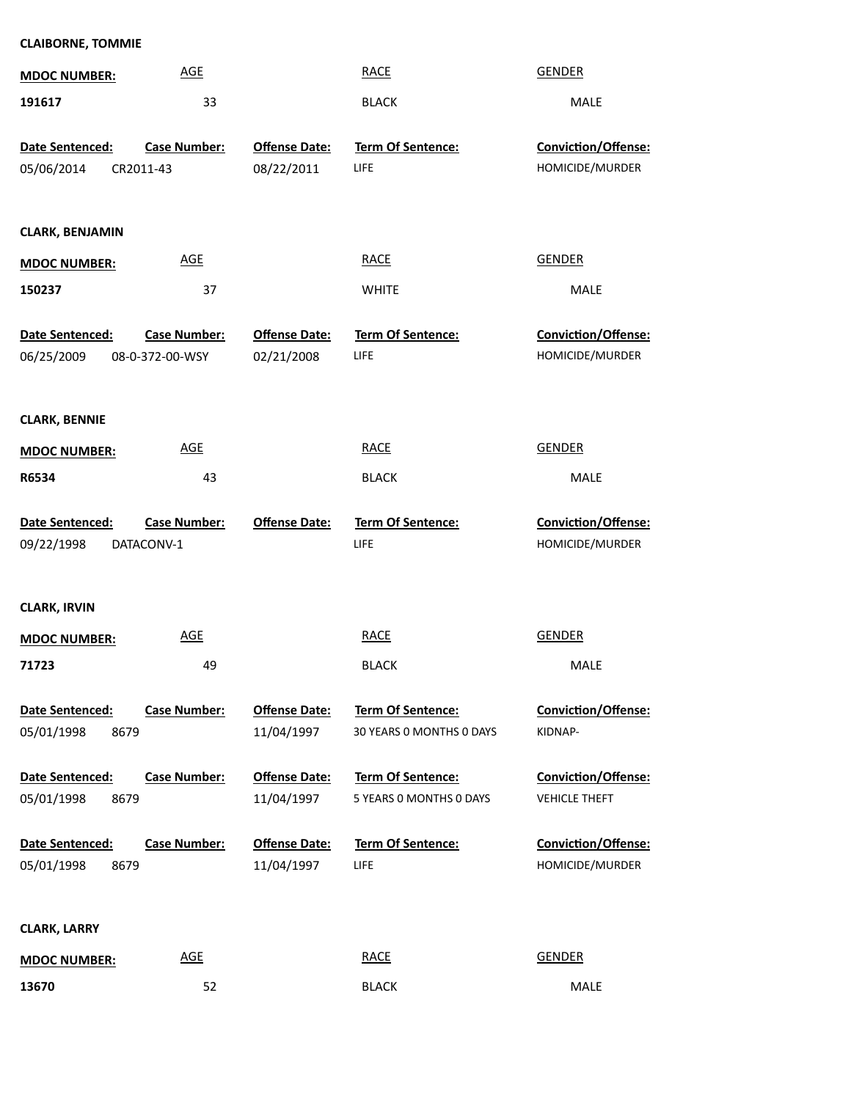| <b>CLAIBORNE, TOMMIE</b>              |                     |                      |                                              |                                             |
|---------------------------------------|---------------------|----------------------|----------------------------------------------|---------------------------------------------|
| <b>MDOC NUMBER:</b>                   | <b>AGE</b>          |                      | <b>RACE</b>                                  | <b>GENDER</b>                               |
| 191617                                | 33                  |                      | <b>BLACK</b>                                 | MALE                                        |
| Date Sentenced:                       | <b>Case Number:</b> | <b>Offense Date:</b> | Term Of Sentence:                            | Conviction/Offense:                         |
| 05/06/2014                            | CR2011-43           | 08/22/2011           | LIFE                                         | HOMICIDE/MURDER                             |
|                                       |                     |                      |                                              |                                             |
| <b>CLARK, BENJAMIN</b>                |                     |                      |                                              |                                             |
| <b>MDOC NUMBER:</b>                   | <b>AGE</b>          |                      | <b>RACE</b>                                  | <b>GENDER</b>                               |
| 150237                                | 37                  |                      | <b>WHITE</b>                                 | MALE                                        |
| Date Sentenced:                       | <b>Case Number:</b> | <b>Offense Date:</b> | Term Of Sentence:                            | Conviction/Offense:                         |
| 06/25/2009                            | 08-0-372-00-WSY     | 02/21/2008           | LIFE                                         | HOMICIDE/MURDER                             |
| <b>CLARK, BENNIE</b>                  |                     |                      |                                              |                                             |
| <b>MDOC NUMBER:</b>                   | <b>AGE</b>          |                      | <b>RACE</b>                                  | <b>GENDER</b>                               |
|                                       |                     |                      |                                              |                                             |
| R6534                                 | 43                  |                      | <b>BLACK</b>                                 | MALE                                        |
| Date Sentenced:                       | <b>Case Number:</b> | <b>Offense Date:</b> | Term Of Sentence:                            | Conviction/Offense:                         |
| 09/22/1998                            | DATACONV-1          |                      | LIFE                                         | HOMICIDE/MURDER                             |
|                                       |                     |                      |                                              |                                             |
|                                       |                     |                      |                                              |                                             |
| <b>CLARK, IRVIN</b>                   |                     |                      |                                              |                                             |
| <b>MDOC NUMBER:</b>                   | <b>AGE</b>          |                      | <b>RACE</b>                                  | <b>GENDER</b>                               |
| 71723                                 | 49                  |                      | <b>BLACK</b>                                 | MALE                                        |
| Date Sentenced:                       | <b>Case Number:</b> | <b>Offense Date:</b> | Term Of Sentence:                            | <b>Conviction/Offense:</b>                  |
| 05/01/1998<br>8679                    |                     | 11/04/1997           | 30 YEARS 0 MONTHS 0 DAYS                     | KIDNAP-                                     |
|                                       | <b>Case Number:</b> | <b>Offense Date:</b> |                                              |                                             |
| Date Sentenced:<br>05/01/1998<br>8679 |                     | 11/04/1997           | Term Of Sentence:<br>5 YEARS O MONTHS O DAYS | Conviction/Offense:<br><b>VEHICLE THEFT</b> |
|                                       |                     |                      |                                              |                                             |
| Date Sentenced:                       | <b>Case Number:</b> | <b>Offense Date:</b> | <b>Term Of Sentence:</b>                     | Conviction/Offense:                         |
| 05/01/1998<br>8679                    |                     | 11/04/1997           | LIFE                                         | HOMICIDE/MURDER                             |
|                                       |                     |                      |                                              |                                             |
| <b>CLARK, LARRY</b>                   |                     |                      |                                              |                                             |
| <b>MDOC NUMBER:</b><br>13670          | <b>AGE</b><br>52    |                      | <b>RACE</b><br><b>BLACK</b>                  | <b>GENDER</b><br>MALE                       |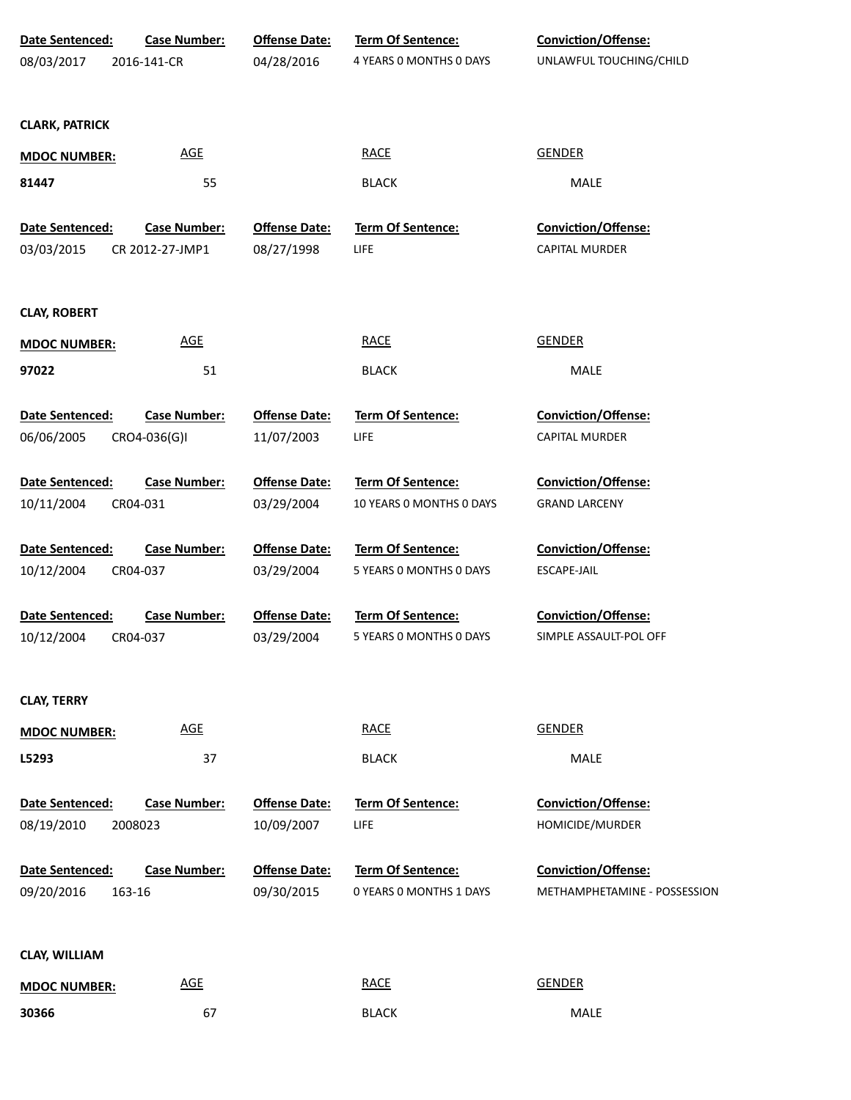| <b>Date Sentenced:</b>        | <b>Case Number:</b>             | <b>Offense Date:</b>               | Term Of Sentence:                                   | <b>Conviction/Offense:</b>                           |
|-------------------------------|---------------------------------|------------------------------------|-----------------------------------------------------|------------------------------------------------------|
| 08/03/2017                    | 2016-141-CR                     | 04/28/2016                         | 4 YEARS O MONTHS O DAYS                             | UNLAWFUL TOUCHING/CHILD                              |
|                               |                                 |                                    |                                                     |                                                      |
| <b>CLARK, PATRICK</b>         |                                 |                                    |                                                     |                                                      |
| <b>MDOC NUMBER:</b>           | <b>AGE</b>                      |                                    | <b>RACE</b>                                         | <b>GENDER</b>                                        |
| 81447                         | 55                              |                                    | <b>BLACK</b>                                        | MALE                                                 |
|                               |                                 |                                    |                                                     |                                                      |
| Date Sentenced:               | <b>Case Number:</b>             | <b>Offense Date:</b>               | Term Of Sentence:                                   | Conviction/Offense:                                  |
| 03/03/2015                    | CR 2012-27-JMP1                 | 08/27/1998                         | LIFE                                                | CAPITAL MURDER                                       |
|                               |                                 |                                    |                                                     |                                                      |
| <b>CLAY, ROBERT</b>           |                                 |                                    |                                                     |                                                      |
| <b>MDOC NUMBER:</b>           | <b>AGE</b>                      |                                    | <b>RACE</b>                                         | <b>GENDER</b>                                        |
| 97022                         | 51                              |                                    | <b>BLACK</b>                                        | MALE                                                 |
|                               |                                 |                                    |                                                     |                                                      |
| Date Sentenced:               | <b>Case Number:</b>             | <b>Offense Date:</b>               | Term Of Sentence:                                   | Conviction/Offense:                                  |
| 06/06/2005                    | CRO4-036(G)I                    | 11/07/2003                         | LIFE                                                | CAPITAL MURDER                                       |
| Date Sentenced:               | <b>Case Number:</b>             | <b>Offense Date:</b>               | <b>Term Of Sentence:</b>                            | <b>Conviction/Offense:</b>                           |
| 10/11/2004                    | CR04-031                        | 03/29/2004                         | 10 YEARS 0 MONTHS 0 DAYS                            | <b>GRAND LARCENY</b>                                 |
|                               |                                 |                                    |                                                     |                                                      |
| Date Sentenced:               | <b>Case Number:</b>             | <b>Offense Date:</b>               | Term Of Sentence:                                   | Conviction/Offense:                                  |
| 10/12/2004                    | CR04-037                        | 03/29/2004                         | 5 YEARS 0 MONTHS 0 DAYS                             | <b>ESCAPE-JAIL</b>                                   |
|                               |                                 |                                    |                                                     |                                                      |
| Date Sentenced:<br>10/12/2004 | <b>Case Number:</b><br>CR04-037 | <b>Offense Date:</b><br>03/29/2004 | <b>Term Of Sentence:</b><br>5 YEARS 0 MONTHS 0 DAYS | <b>Conviction/Offense:</b><br>SIMPLE ASSAULT-POL OFF |
|                               |                                 |                                    |                                                     |                                                      |
|                               |                                 |                                    |                                                     |                                                      |
| <b>CLAY, TERRY</b>            |                                 |                                    |                                                     |                                                      |
| <b>MDOC NUMBER:</b>           | <b>AGE</b>                      |                                    | <b>RACE</b>                                         | <b>GENDER</b>                                        |
| L5293                         | 37                              |                                    | <b>BLACK</b>                                        | MALE                                                 |
|                               |                                 |                                    |                                                     |                                                      |
| <b>Date Sentenced:</b>        | <b>Case Number:</b>             | <b>Offense Date:</b>               | <b>Term Of Sentence:</b>                            | <b>Conviction/Offense:</b>                           |
| 08/19/2010                    | 2008023                         | 10/09/2007                         | LIFE                                                | HOMICIDE/MURDER                                      |
| Date Sentenced:               | <b>Case Number:</b>             | <b>Offense Date:</b>               | Term Of Sentence:                                   | <b>Conviction/Offense:</b>                           |
| 09/20/2016                    | 163-16                          | 09/30/2015                         | 0 YEARS 0 MONTHS 1 DAYS                             | METHAMPHETAMINE - POSSESSION                         |
|                               |                                 |                                    |                                                     |                                                      |
| <b>CLAY, WILLIAM</b>          |                                 |                                    |                                                     |                                                      |
|                               | <b>AGE</b>                      |                                    | <b>RACE</b>                                         | <b>GENDER</b>                                        |
| <b>MDOC NUMBER:</b>           |                                 |                                    |                                                     |                                                      |
| 30366                         | 67                              |                                    | <b>BLACK</b>                                        | MALE                                                 |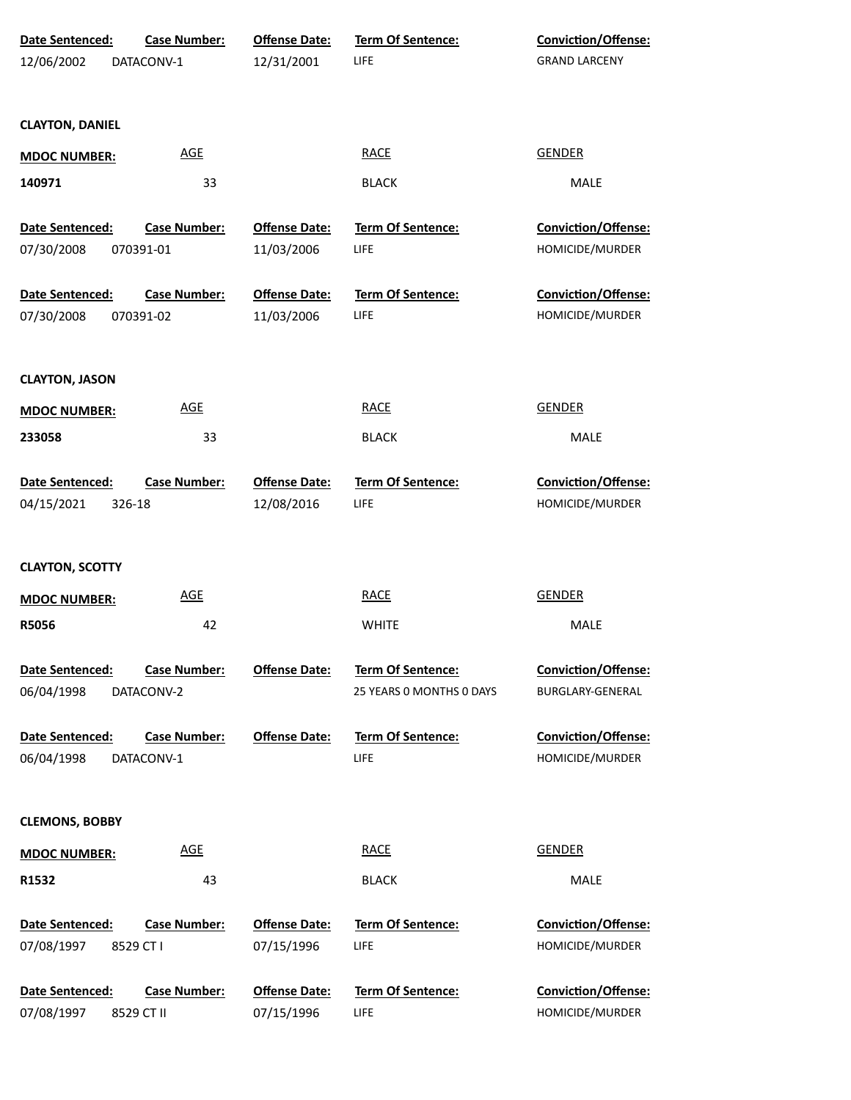| Date Sentenced:<br>12/06/2002 | <b>Case Number:</b><br>DATACONV-1 | <b>Offense Date:</b><br>12/31/2001 | <b>Term Of Sentence:</b><br>LIFE              | <b>Conviction/Offense:</b><br><b>GRAND LARCENY</b> |
|-------------------------------|-----------------------------------|------------------------------------|-----------------------------------------------|----------------------------------------------------|
| <b>CLAYTON, DANIEL</b>        |                                   |                                    |                                               |                                                    |
| <b>MDOC NUMBER:</b>           | AGE                               |                                    | <b>RACE</b>                                   | <b>GENDER</b>                                      |
| 140971                        | 33                                |                                    | <b>BLACK</b>                                  | MALE                                               |
| Date Sentenced:               | <b>Case Number:</b>               | <b>Offense Date:</b>               | Term Of Sentence:                             | Conviction/Offense:                                |
| 07/30/2008                    | 070391-01                         | 11/03/2006                         | <b>LIFE</b>                                   | HOMICIDE/MURDER                                    |
| Date Sentenced:<br>07/30/2008 | <b>Case Number:</b><br>070391-02  | <b>Offense Date:</b><br>11/03/2006 | Term Of Sentence:<br><b>LIFE</b>              | Conviction/Offense:<br>HOMICIDE/MURDER             |
|                               |                                   |                                    |                                               |                                                    |
| <b>CLAYTON, JASON</b>         |                                   |                                    |                                               |                                                    |
| <b>MDOC NUMBER:</b>           | <b>AGE</b>                        |                                    | <b>RACE</b>                                   | <b>GENDER</b>                                      |
| 233058                        | 33                                |                                    | <b>BLACK</b>                                  | MALE                                               |
| Date Sentenced:               | <b>Case Number:</b>               | <b>Offense Date:</b>               | <b>Term Of Sentence:</b>                      | <b>Conviction/Offense:</b>                         |
| 04/15/2021<br>326-18          |                                   | 12/08/2016                         | LIFE                                          | HOMICIDE/MURDER                                    |
| <b>CLAYTON, SCOTTY</b>        |                                   |                                    |                                               |                                                    |
| <b>MDOC NUMBER:</b>           | <b>AGE</b>                        |                                    | <b>RACE</b>                                   | GENDER                                             |
| R5056                         | 42                                |                                    | <b>WHITE</b>                                  | MALE                                               |
| Date Sentenced:<br>06/04/1998 | <b>Case Number:</b><br>DATACONV-2 | <b>Offense Date:</b>               | Term Of Sentence:<br>25 YEARS 0 MONTHS 0 DAYS | Conviction/Offense:<br>BURGLARY-GENERAL            |
| Date Sentenced:<br>06/04/1998 | <b>Case Number:</b><br>DATACONV-1 | <b>Offense Date:</b>               | <b>Term Of Sentence:</b><br>LIFE              | Conviction/Offense:<br>HOMICIDE/MURDER             |
| <b>CLEMONS, BOBBY</b>         |                                   |                                    |                                               |                                                    |
| <b>MDOC NUMBER:</b>           | <b>AGE</b>                        |                                    | <b>RACE</b>                                   | <b>GENDER</b>                                      |
| R1532                         | 43                                |                                    | <b>BLACK</b>                                  | MALE                                               |
| Date Sentenced:<br>07/08/1997 | <b>Case Number:</b><br>8529 CT I  | <b>Offense Date:</b><br>07/15/1996 | <b>Term Of Sentence:</b><br>LIFE              | Conviction/Offense:<br>HOMICIDE/MURDER             |
| Date Sentenced:<br>07/08/1997 | <b>Case Number:</b><br>8529 CT II | <b>Offense Date:</b><br>07/15/1996 | Term Of Sentence:<br>LIFE                     | Conviction/Offense:<br>HOMICIDE/MURDER             |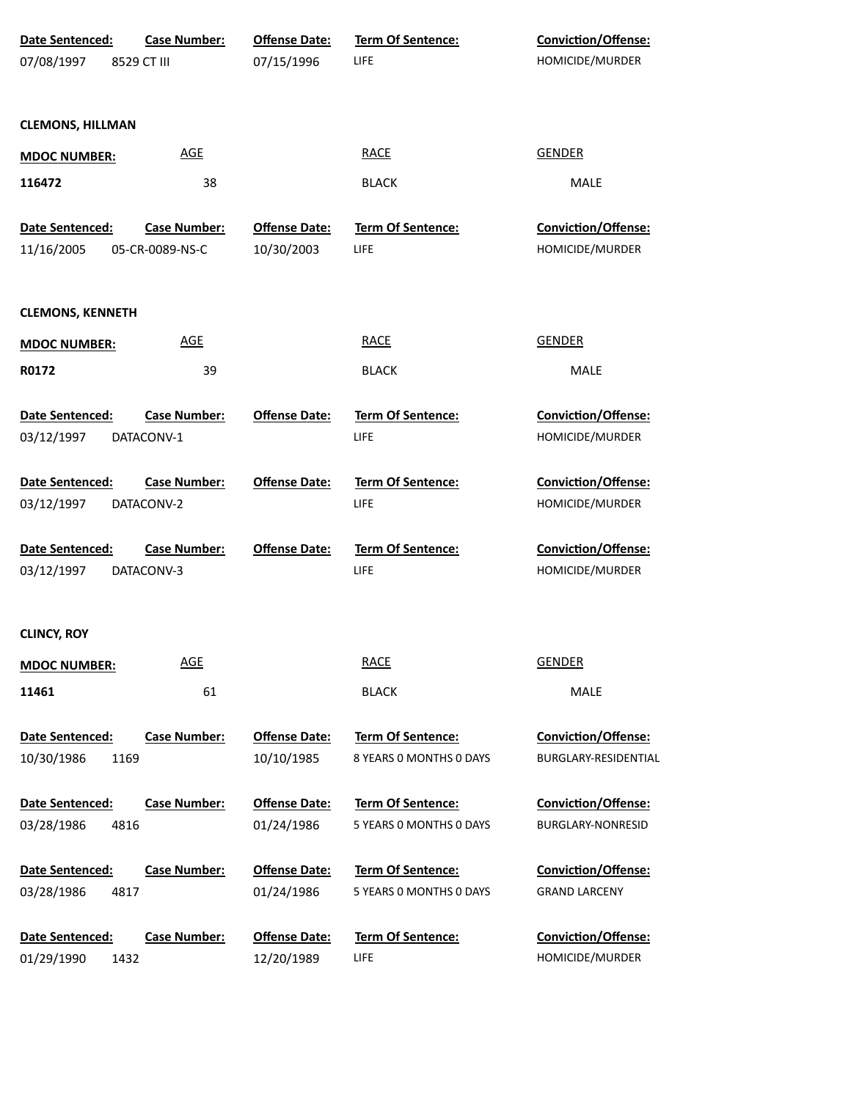| <b>Date Sentenced:</b>  | <b>Case Number:</b> | <b>Offense Date:</b> | Term Of Sentence:        | Conviction/Offense:        |
|-------------------------|---------------------|----------------------|--------------------------|----------------------------|
| 07/08/1997              | 8529 CT III         | 07/15/1996           | <b>LIFE</b>              | HOMICIDE/MURDER            |
|                         |                     |                      |                          |                            |
| <b>CLEMONS, HILLMAN</b> |                     |                      |                          |                            |
| <b>MDOC NUMBER:</b>     | <b>AGE</b>          |                      | <b>RACE</b>              | <b>GENDER</b>              |
| 116472                  | 38                  |                      | <b>BLACK</b>             | MALE                       |
| Date Sentenced:         | <b>Case Number:</b> | <b>Offense Date:</b> | Term Of Sentence:        | Conviction/Offense:        |
| 11/16/2005              | 05-CR-0089-NS-C     | 10/30/2003           | <b>LIFE</b>              | HOMICIDE/MURDER            |
| <b>CLEMONS, KENNETH</b> |                     |                      |                          |                            |
| <b>MDOC NUMBER:</b>     | <b>AGE</b>          |                      | <b>RACE</b>              | <b>GENDER</b>              |
| R0172                   | 39                  |                      | <b>BLACK</b>             | MALE                       |
| Date Sentenced:         | <b>Case Number:</b> | <b>Offense Date:</b> | Term Of Sentence:        | <b>Conviction/Offense:</b> |
| 03/12/1997              | DATACONV-1          |                      | LIFE                     | HOMICIDE/MURDER            |
| Date Sentenced:         | <b>Case Number:</b> | <b>Offense Date:</b> | Term Of Sentence:        | <b>Conviction/Offense:</b> |
| 03/12/1997              | DATACONV-2          |                      | LIFE                     | HOMICIDE/MURDER            |
| Date Sentenced:         | <b>Case Number:</b> | <b>Offense Date:</b> | Term Of Sentence:        | <b>Conviction/Offense:</b> |
| 03/12/1997              | DATACONV-3          |                      | <b>LIFE</b>              | HOMICIDE/MURDER            |
| <b>CLINCY, ROY</b>      |                     |                      |                          |                            |
| <b>MDOC NUMBER:</b>     | <b>AGE</b>          |                      | <b>RACE</b>              | <b>GENDER</b>              |
| 11461                   | 61                  |                      | <b>BLACK</b>             | MALE                       |
| Date Sentenced:         | <b>Case Number:</b> | <b>Offense Date:</b> | Term Of Sentence:        | Conviction/Offense:        |
| 10/30/1986              | 1169                | 10/10/1985           | 8 YEARS 0 MONTHS 0 DAYS  | BURGLARY-RESIDENTIAL       |
| Date Sentenced:         | <b>Case Number:</b> | <b>Offense Date:</b> | <b>Term Of Sentence:</b> | Conviction/Offense:        |
| 03/28/1986              | 4816                | 01/24/1986           | 5 YEARS 0 MONTHS 0 DAYS  | BURGLARY-NONRESID          |
| Date Sentenced:         | <b>Case Number:</b> | <b>Offense Date:</b> | Term Of Sentence:        | Conviction/Offense:        |
| 03/28/1986              | 4817                | 01/24/1986           | 5 YEARS 0 MONTHS 0 DAYS  | <b>GRAND LARCENY</b>       |
| Date Sentenced:         | <b>Case Number:</b> | <b>Offense Date:</b> | Term Of Sentence:        | Conviction/Offense:        |
| 01/29/1990              | 1432                | 12/20/1989           | <b>LIFE</b>              | HOMICIDE/MURDER            |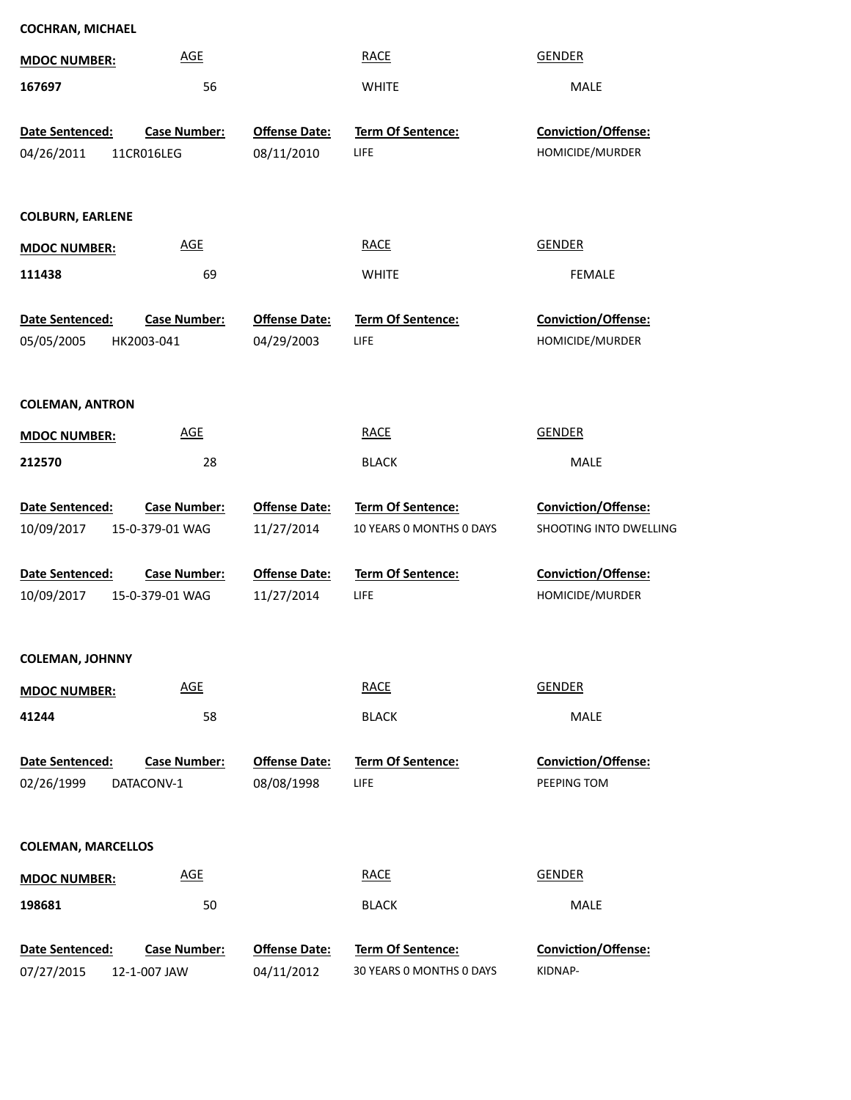| <b>COCHRAN, MICHAEL</b>   |                            |                      |                          |                        |
|---------------------------|----------------------------|----------------------|--------------------------|------------------------|
| <b>MDOC NUMBER:</b>       | <b>AGE</b>                 |                      | <b>RACE</b>              | <b>GENDER</b>          |
| 167697                    | 56                         |                      | <b>WHITE</b>             | MALE                   |
| Date Sentenced:           | <b>Case Number:</b>        | <b>Offense Date:</b> | Term Of Sentence:        | Conviction/Offense:    |
| 04/26/2011                | 11CR016LEG                 | 08/11/2010           | LIFE                     | HOMICIDE/MURDER        |
|                           |                            |                      |                          |                        |
| <b>COLBURN, EARLENE</b>   |                            |                      |                          |                        |
|                           | <b>AGE</b>                 |                      | <b>RACE</b>              | <b>GENDER</b>          |
| <b>MDOC NUMBER:</b>       |                            |                      |                          |                        |
| 111438                    | 69                         |                      | <b>WHITE</b>             | <b>FEMALE</b>          |
| Date Sentenced:           | <b>Case Number:</b>        | <b>Offense Date:</b> | Term Of Sentence:        | Conviction/Offense:    |
| 05/05/2005                | HK2003-041                 | 04/29/2003           | LIFE                     | HOMICIDE/MURDER        |
|                           |                            |                      |                          |                        |
| <b>COLEMAN, ANTRON</b>    |                            |                      |                          |                        |
| <b>MDOC NUMBER:</b>       | <b>AGE</b>                 |                      | <b>RACE</b>              | <b>GENDER</b>          |
| 212570                    | 28                         |                      | <b>BLACK</b>             | MALE                   |
|                           |                            |                      |                          |                        |
| Date Sentenced:           | <b>Case Number:</b>        | <b>Offense Date:</b> | <b>Term Of Sentence:</b> | Conviction/Offense:    |
| 10/09/2017                | 15-0-379-01 WAG            | 11/27/2014           | 10 YEARS O MONTHS O DAYS | SHOOTING INTO DWELLING |
| <b>Date Sentenced:</b>    | <b>Case Number:</b>        | <b>Offense Date:</b> | Term Of Sentence:        | Conviction/Offense:    |
| 10/09/2017                | 15-0-379-01 WAG            | 11/27/2014           | LIFE                     | HOMICIDE/MURDER        |
|                           |                            |                      |                          |                        |
| <b>COLEMAN, JOHNNY</b>    |                            |                      |                          |                        |
| <b>MDOC NUMBER:</b>       | $\underline{\mathsf{AGE}}$ |                      | <b>RACE</b>              | <b>GENDER</b>          |
| 41244                     | 58                         |                      | <b>BLACK</b>             | MALE                   |
|                           |                            |                      |                          |                        |
| Date Sentenced:           | <b>Case Number:</b>        | <b>Offense Date:</b> | <b>Term Of Sentence:</b> | Conviction/Offense:    |
| 02/26/1999                | DATACONV-1                 | 08/08/1998           | LIFE                     | PEEPING TOM            |
|                           |                            |                      |                          |                        |
| <b>COLEMAN, MARCELLOS</b> |                            |                      |                          |                        |
| <b>MDOC NUMBER:</b>       | <b>AGE</b>                 |                      | <b>RACE</b>              | <b>GENDER</b>          |
| 198681                    | 50                         |                      | <b>BLACK</b>             | MALE                   |
|                           |                            |                      |                          |                        |
| Date Sentenced:           | <b>Case Number:</b>        | <b>Offense Date:</b> | Term Of Sentence:        | Conviction/Offense:    |
| 07/27/2015                | 12-1-007 JAW               | 04/11/2012           | 30 YEARS O MONTHS O DAYS | KIDNAP-                |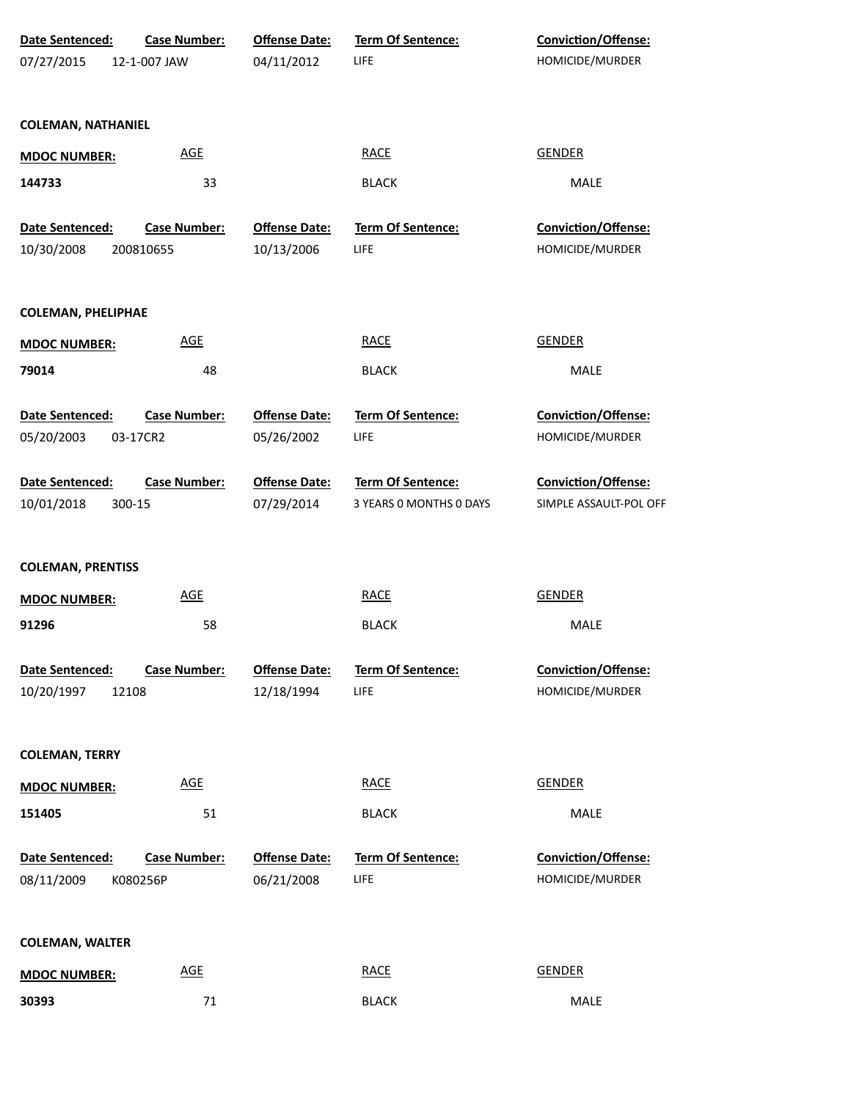| Date Sentenced:                        | <b>Case Number:</b> | <b>Offense Date:</b>               | <b>Term Of Sentence:</b>  | Conviction/Offense:                    |
|----------------------------------------|---------------------|------------------------------------|---------------------------|----------------------------------------|
| 07/27/2015                             | 12-1-007 JAW        | 04/11/2012                         | LIFE                      | HOMICIDE/MURDER                        |
|                                        |                     |                                    |                           |                                        |
| <b>COLEMAN, NATHANIEL</b>              |                     |                                    |                           |                                        |
| <b>MDOC NUMBER:</b>                    | <b>AGE</b>          |                                    | <b>RACE</b>               | <b>GENDER</b>                          |
| 144733                                 | 33                  |                                    | <b>BLACK</b>              | MALE                                   |
| Date Sentenced:                        | <b>Case Number:</b> | <b>Offense Date:</b>               | Term Of Sentence:         | Conviction/Offense:                    |
| 10/30/2008                             | 200810655           | 10/13/2006                         | LIFE                      | HOMICIDE/MURDER                        |
|                                        |                     |                                    |                           |                                        |
| <b>COLEMAN, PHELIPHAE</b>              |                     |                                    |                           |                                        |
| <b>MDOC NUMBER:</b>                    | <b>AGE</b>          |                                    | <b>RACE</b>               | <b>GENDER</b>                          |
| 79014                                  | 48                  |                                    | <b>BLACK</b>              | MALE                                   |
| Date Sentenced:                        | <b>Case Number:</b> | <b>Offense Date:</b>               | Term Of Sentence:         | Conviction/Offense:                    |
| 05/20/2003                             | 03-17CR2            | 05/26/2002                         | LIFE                      | HOMICIDE/MURDER                        |
|                                        |                     |                                    |                           |                                        |
| Date Sentenced:                        | <b>Case Number:</b> | <b>Offense Date:</b>               | <b>Term Of Sentence:</b>  | Conviction/Offense:                    |
| 10/01/2018<br>300-15                   |                     | 07/29/2014                         | 3 YEARS 0 MONTHS 0 DAYS   | SIMPLE ASSAULT-POL OFF                 |
|                                        |                     |                                    |                           |                                        |
| <b>COLEMAN, PRENTISS</b>               |                     |                                    |                           |                                        |
| <b>MDOC NUMBER:</b>                    | <b>AGE</b>          |                                    | <b>RACE</b>               | <b>GENDER</b>                          |
| 91296                                  | 58                  |                                    | <b>BLACK</b>              | <b>MALE</b>                            |
|                                        |                     |                                    |                           |                                        |
| Date Sentenced:<br>10/20/1997<br>12108 | <b>Case Number:</b> | <b>Offense Date:</b><br>12/18/1994 | Term Of Sentence:<br>LIFE | Conviction/Offense:<br>HOMICIDE/MURDER |
|                                        |                     |                                    |                           |                                        |
| <b>COLEMAN, TERRY</b>                  |                     |                                    |                           |                                        |
| <b>MDOC NUMBER:</b>                    | <b>AGE</b>          |                                    | <b>RACE</b>               | <b>GENDER</b>                          |
| 151405                                 | 51                  |                                    | <b>BLACK</b>              | MALE                                   |
|                                        |                     |                                    |                           |                                        |
| Date Sentenced:                        | <b>Case Number:</b> | <b>Offense Date:</b>               | Term Of Sentence:         | <b>Conviction/Offense:</b>             |
| 08/11/2009                             | K080256P            | 06/21/2008                         | LIFE                      | HOMICIDE/MURDER                        |
|                                        |                     |                                    |                           |                                        |
| <b>COLEMAN, WALTER</b>                 |                     |                                    |                           |                                        |
| <b>MDOC NUMBER:</b>                    | <b>AGE</b>          |                                    | <b>RACE</b>               | <b>GENDER</b>                          |
| 30393                                  | 71                  |                                    | <b>BLACK</b>              | MALE                                   |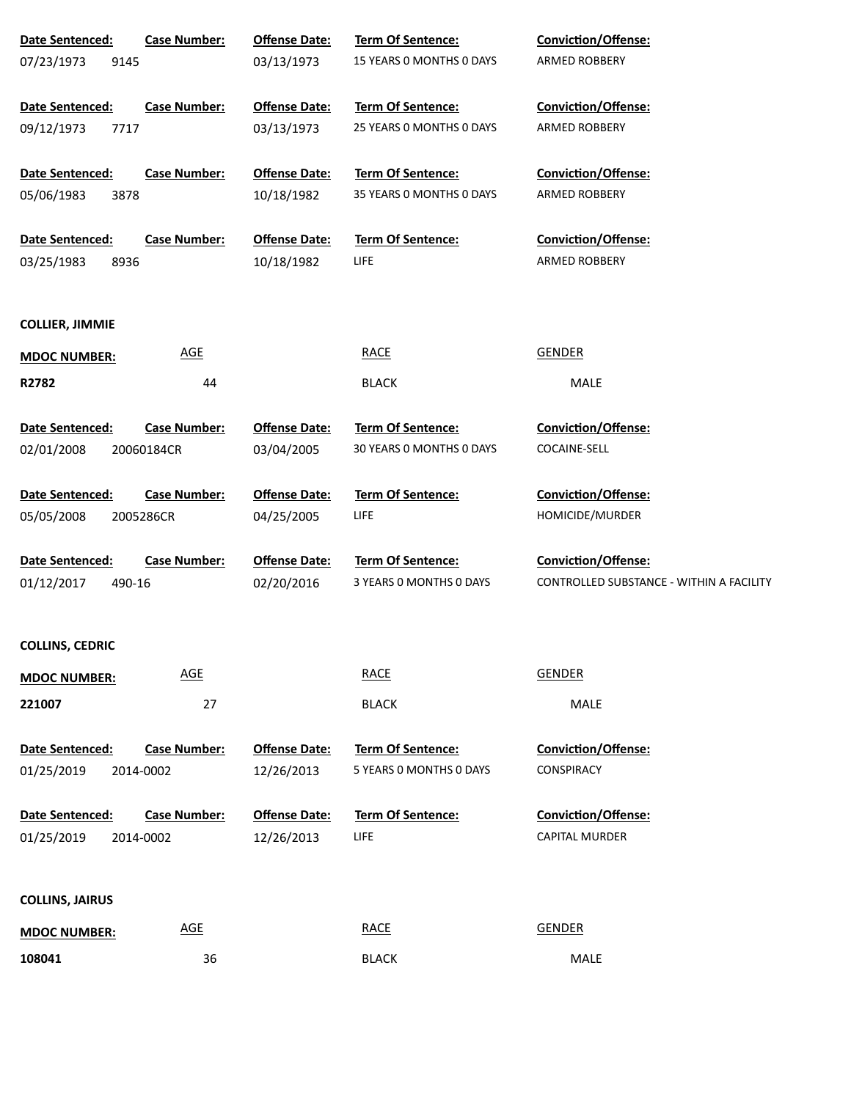| Date Sentenced:        | <b>Case Number:</b> | <b>Offense Date:</b> | <b>Term Of Sentence:</b> | <b>Conviction/Offense:</b>               |
|------------------------|---------------------|----------------------|--------------------------|------------------------------------------|
| 07/23/1973<br>9145     |                     | 03/13/1973           | 15 YEARS O MONTHS O DAYS | ARMED ROBBERY                            |
|                        |                     |                      |                          |                                          |
| Date Sentenced:        | <b>Case Number:</b> | <b>Offense Date:</b> | Term Of Sentence:        | <b>Conviction/Offense:</b>               |
| 09/12/1973<br>7717     |                     | 03/13/1973           | 25 YEARS 0 MONTHS 0 DAYS | ARMED ROBBERY                            |
|                        |                     |                      |                          |                                          |
| Date Sentenced:        | <b>Case Number:</b> | <b>Offense Date:</b> | Term Of Sentence:        | <b>Conviction/Offense:</b>               |
| 05/06/1983<br>3878     |                     | 10/18/1982           | 35 YEARS O MONTHS O DAYS | <b>ARMED ROBBERY</b>                     |
|                        |                     |                      |                          |                                          |
| Date Sentenced:        | <b>Case Number:</b> | <b>Offense Date:</b> | Term Of Sentence:        | <b>Conviction/Offense:</b>               |
| 03/25/1983<br>8936     |                     | 10/18/1982           | <b>LIFE</b>              | ARMED ROBBERY                            |
|                        |                     |                      |                          |                                          |
|                        |                     |                      |                          |                                          |
| <b>COLLIER, JIMMIE</b> |                     |                      |                          |                                          |
| <b>MDOC NUMBER:</b>    | <b>AGE</b>          |                      | <b>RACE</b>              | <b>GENDER</b>                            |
| R2782                  | 44                  |                      | <b>BLACK</b>             | MALE                                     |
|                        |                     |                      |                          |                                          |
| <b>Date Sentenced:</b> | <b>Case Number:</b> | <b>Offense Date:</b> | <b>Term Of Sentence:</b> | <b>Conviction/Offense:</b>               |
| 02/01/2008             | 20060184CR          | 03/04/2005           | 30 YEARS 0 MONTHS 0 DAYS | COCAINE-SELL                             |
|                        |                     |                      |                          |                                          |
| Date Sentenced:        | <b>Case Number:</b> | <b>Offense Date:</b> | Term Of Sentence:        | <b>Conviction/Offense:</b>               |
| 05/05/2008             | 2005286CR           | 04/25/2005           | <b>LIFE</b>              | HOMICIDE/MURDER                          |
|                        |                     |                      |                          |                                          |
| Date Sentenced:        | <b>Case Number:</b> | <b>Offense Date:</b> | Term Of Sentence:        | <b>Conviction/Offense:</b>               |
| 01/12/2017<br>490-16   |                     | 02/20/2016           | 3 YEARS O MONTHS O DAYS  | CONTROLLED SUBSTANCE - WITHIN A FACILITY |
|                        |                     |                      |                          |                                          |
|                        |                     |                      |                          |                                          |
| <b>COLLINS, CEDRIC</b> |                     |                      |                          |                                          |
| <b>MDOC NUMBER:</b>    | <b>AGE</b>          |                      | <b>RACE</b>              | <b>GENDER</b>                            |
| 221007                 | 27                  |                      | <b>BLACK</b>             | MALE                                     |
|                        |                     |                      |                          |                                          |
| <b>Date Sentenced:</b> | <b>Case Number:</b> | <b>Offense Date:</b> | Term Of Sentence:        | <b>Conviction/Offense:</b>               |
| 01/25/2019             | 2014-0002           | 12/26/2013           | 5 YEARS O MONTHS O DAYS  | CONSPIRACY                               |
|                        |                     |                      |                          |                                          |
| Date Sentenced:        | <b>Case Number:</b> | <b>Offense Date:</b> | Term Of Sentence:        | <b>Conviction/Offense:</b>               |
| 01/25/2019             | 2014-0002           | 12/26/2013           | LIFE                     | CAPITAL MURDER                           |
|                        |                     |                      |                          |                                          |
|                        |                     |                      |                          |                                          |
| <b>COLLINS, JAIRUS</b> |                     |                      |                          |                                          |
| <b>MDOC NUMBER:</b>    | <b>AGE</b>          |                      | <b>RACE</b>              | <b>GENDER</b>                            |
| 108041                 | 36                  |                      | <b>BLACK</b>             | MALE                                     |
|                        |                     |                      |                          |                                          |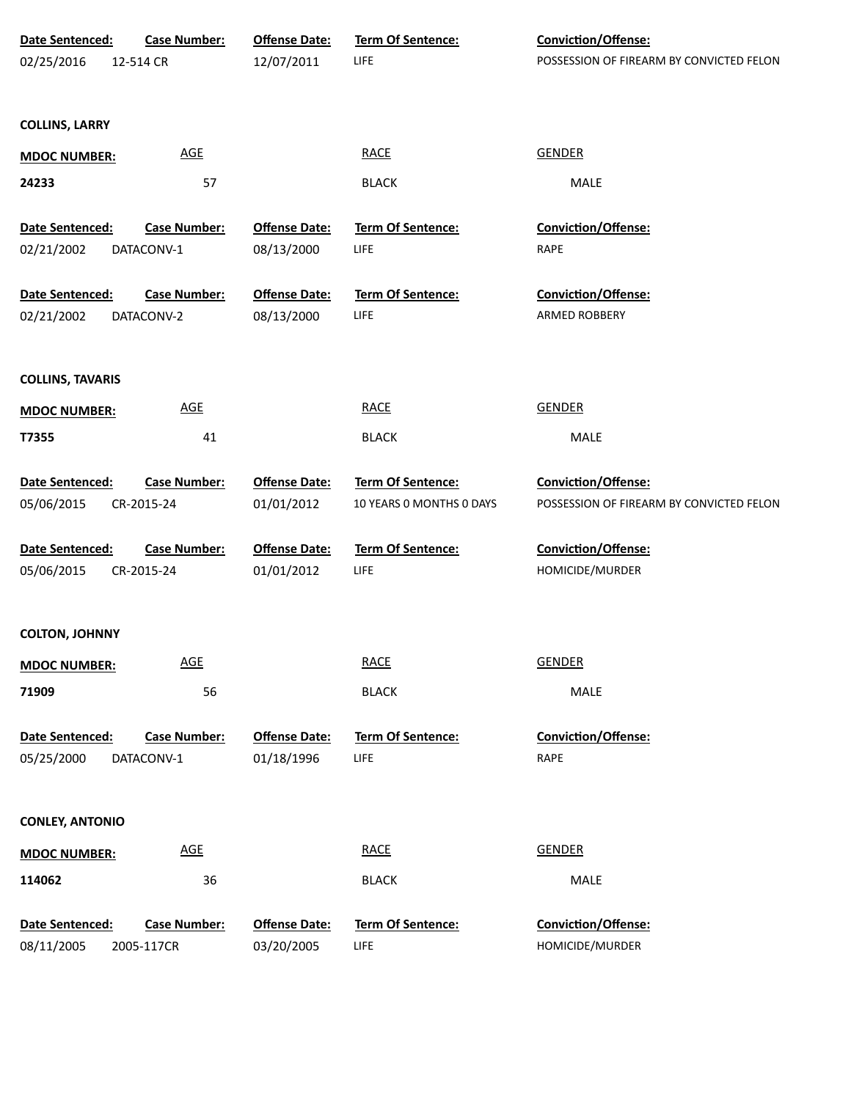| Date Sentenced:               | <b>Case Number:</b>               | <b>Offense Date:</b>               | Term Of Sentence:         | Conviction/Offense:                      |
|-------------------------------|-----------------------------------|------------------------------------|---------------------------|------------------------------------------|
| 02/25/2016                    | 12-514 CR                         | 12/07/2011                         | LIFE                      | POSSESSION OF FIREARM BY CONVICTED FELON |
|                               |                                   |                                    |                           |                                          |
| <b>COLLINS, LARRY</b>         |                                   |                                    |                           |                                          |
| <b>MDOC NUMBER:</b>           | $\underline{\mathsf{AGE}}$        |                                    | <b>RACE</b>               | <b>GENDER</b>                            |
| 24233                         | 57                                |                                    | <b>BLACK</b>              | MALE                                     |
| Date Sentenced:               | <b>Case Number:</b>               | <b>Offense Date:</b>               | Term Of Sentence:         | Conviction/Offense:                      |
| 02/21/2002                    | DATACONV-1                        | 08/13/2000                         | LIFE                      | RAPE                                     |
|                               |                                   |                                    |                           |                                          |
| Date Sentenced:               | <b>Case Number:</b>               | <b>Offense Date:</b>               | Term Of Sentence:         | Conviction/Offense:                      |
| 02/21/2002                    | DATACONV-2                        | 08/13/2000                         | LIFE                      | ARMED ROBBERY                            |
|                               |                                   |                                    |                           |                                          |
| <b>COLLINS, TAVARIS</b>       |                                   |                                    |                           |                                          |
| <b>MDOC NUMBER:</b>           | <b>AGE</b>                        |                                    | <b>RACE</b>               | <b>GENDER</b>                            |
| T7355                         | 41                                |                                    | <b>BLACK</b>              | MALE                                     |
| Date Sentenced:               | <b>Case Number:</b>               | <b>Offense Date:</b>               | Term Of Sentence:         | <b>Conviction/Offense:</b>               |
| 05/06/2015                    | CR-2015-24                        | 01/01/2012                         | 10 YEARS 0 MONTHS 0 DAYS  | POSSESSION OF FIREARM BY CONVICTED FELON |
|                               |                                   |                                    |                           |                                          |
| Date Sentenced:<br>05/06/2015 | <b>Case Number:</b><br>CR-2015-24 | <b>Offense Date:</b><br>01/01/2012 | Term Of Sentence:<br>LIFE | Conviction/Offense:<br>HOMICIDE/MURDER   |
|                               |                                   |                                    |                           |                                          |
| <b>COLTON, JOHNNY</b>         |                                   |                                    |                           |                                          |
| <b>MDOC NUMBER:</b>           | $\underline{\mathsf{AGE}}$        |                                    | <b>RACE</b>               | <b>GENDER</b>                            |
| 71909                         | 56                                |                                    | <b>BLACK</b>              | MALE                                     |
|                               |                                   |                                    |                           |                                          |
| Date Sentenced:               | <b>Case Number:</b>               | <b>Offense Date:</b>               | Term Of Sentence:         | <b>Conviction/Offense:</b>               |
| 05/25/2000                    | DATACONV-1                        | 01/18/1996                         | LIFE                      | RAPE                                     |
|                               |                                   |                                    |                           |                                          |
| <b>CONLEY, ANTONIO</b>        |                                   |                                    |                           |                                          |
| <b>MDOC NUMBER:</b>           | $\underline{\mathsf{AGE}}$        |                                    | <b>RACE</b>               | <b>GENDER</b>                            |
| 114062                        | 36                                |                                    | <b>BLACK</b>              | MALE                                     |
|                               |                                   |                                    |                           |                                          |
| Date Sentenced:<br>08/11/2005 | <b>Case Number:</b><br>2005-117CR | <b>Offense Date:</b><br>03/20/2005 | Term Of Sentence:<br>LIFE | Conviction/Offense:<br>HOMICIDE/MURDER   |
|                               |                                   |                                    |                           |                                          |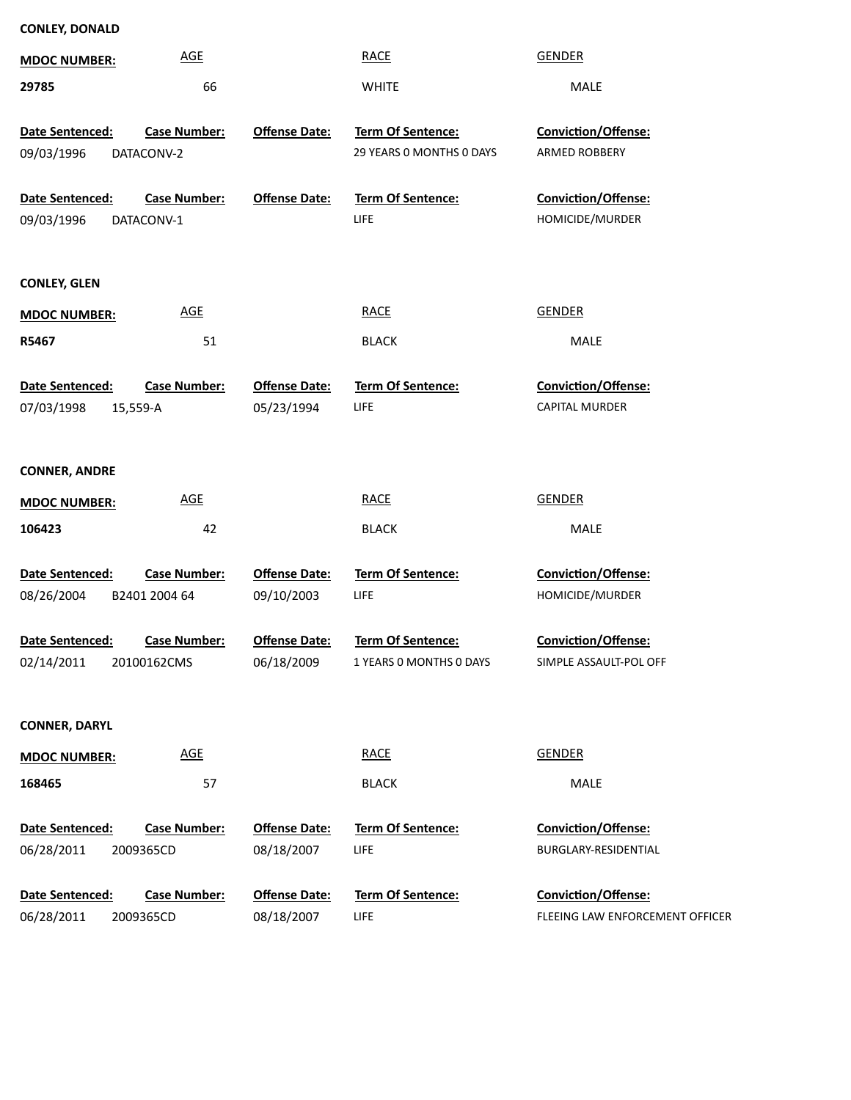| <b>MDOC NUMBER:</b>                       | <b>AGE</b>                           |                                    | <b>RACE</b>                                   | <b>GENDER</b>                                 |
|-------------------------------------------|--------------------------------------|------------------------------------|-----------------------------------------------|-----------------------------------------------|
| 29785                                     | 66                                   |                                    | <b>WHITE</b>                                  | MALE                                          |
| Date Sentenced:<br>09/03/1996             | <b>Case Number:</b><br>DATACONV-2    | <b>Offense Date:</b>               | Term Of Sentence:<br>29 YEARS 0 MONTHS 0 DAYS | Conviction/Offense:<br>ARMED ROBBERY          |
| Date Sentenced:<br>09/03/1996             | <b>Case Number:</b><br>DATACONV-1    | <b>Offense Date:</b>               | <b>Term Of Sentence:</b><br><b>LIFE</b>       | Conviction/Offense:<br>HOMICIDE/MURDER        |
| <b>CONLEY, GLEN</b>                       |                                      |                                    |                                               |                                               |
| <b>MDOC NUMBER:</b>                       | <b>AGE</b>                           |                                    | <b>RACE</b>                                   | <b>GENDER</b>                                 |
| R5467                                     | 51                                   |                                    | <b>BLACK</b>                                  | <b>MALE</b>                                   |
| Date Sentenced:<br>07/03/1998<br>15,559-A | <b>Case Number:</b>                  | <b>Offense Date:</b><br>05/23/1994 | Term Of Sentence:<br><b>LIFE</b>              | Conviction/Offense:<br><b>CAPITAL MURDER</b>  |
| <b>CONNER, ANDRE</b>                      |                                      |                                    |                                               |                                               |
| <b>MDOC NUMBER:</b>                       | <b>AGE</b>                           |                                    | <b>RACE</b>                                   | <b>GENDER</b>                                 |
| 106423                                    | 42                                   |                                    | <b>BLACK</b>                                  | <b>MALE</b>                                   |
| Date Sentenced:<br>08/26/2004             | <b>Case Number:</b><br>B2401 2004 64 | <b>Offense Date:</b><br>09/10/2003 | Term Of Sentence:<br><b>LIFE</b>              | Conviction/Offense:<br>HOMICIDE/MURDER        |
| Date Sentenced:<br>02/14/2011             | <b>Case Number:</b><br>20100162CMS   | <b>Offense Date:</b><br>06/18/2009 | Term Of Sentence:<br>1 YEARS 0 MONTHS 0 DAYS  | Conviction/Offense:<br>SIMPLE ASSAULT-POL OFF |
| <b>CONNER, DARYL</b>                      |                                      |                                    |                                               |                                               |
| <b>MDOC NUMBER:</b>                       | <b>AGE</b>                           |                                    | <b>RACE</b>                                   | <b>GENDER</b>                                 |
| 168465                                    | 57                                   |                                    | <b>BLACK</b>                                  | MALE                                          |
| <b>Date Sentenced:</b><br>06/28/2011      | <b>Case Number:</b><br>2009365CD     | <b>Offense Date:</b><br>08/18/2007 | <b>Term Of Sentence:</b><br><b>LIFE</b>       | Conviction/Offense:<br>BURGLARY-RESIDENTIAL   |
| Date Sentenced:                           | <b>Case Number:</b>                  | <b>Offense Date:</b>               | Term Of Sentence:                             | Conviction/Offense:                           |
| 06/28/2011                                | 2009365CD                            | 08/18/2007                         | LIFE                                          | FLEEING LAW ENFORCEMENT OFFICER               |

**CONLEY, DONALD**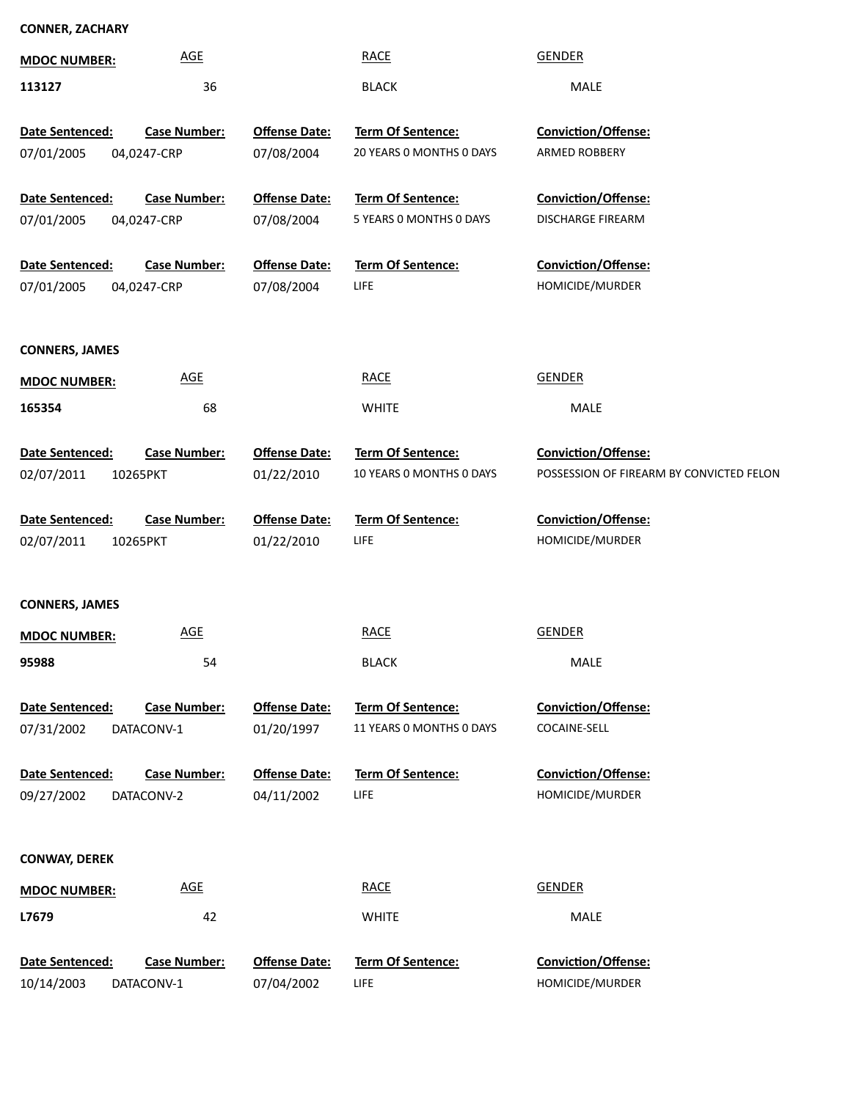## **CONNER, ZACHARY**

| <b>MDOC NUMBER:</b>           | <b>AGE</b>                         |                                    | <b>RACE</b>                                   | <b>GENDER</b>                                                          |
|-------------------------------|------------------------------------|------------------------------------|-----------------------------------------------|------------------------------------------------------------------------|
| 113127                        | 36                                 |                                    | <b>BLACK</b>                                  | MALE                                                                   |
| Date Sentenced:<br>07/01/2005 | <b>Case Number:</b><br>04,0247-CRP | <b>Offense Date:</b><br>07/08/2004 | Term Of Sentence:<br>20 YEARS O MONTHS O DAYS | Conviction/Offense:<br>ARMED ROBBERY                                   |
| Date Sentenced:<br>07/01/2005 | <b>Case Number:</b><br>04,0247-CRP | <b>Offense Date:</b><br>07/08/2004 | Term Of Sentence:<br>5 YEARS 0 MONTHS 0 DAYS  | Conviction/Offense:<br>DISCHARGE FIREARM                               |
| Date Sentenced:<br>07/01/2005 | <b>Case Number:</b><br>04,0247-CRP | <b>Offense Date:</b><br>07/08/2004 | Term Of Sentence:<br>LIFE                     | Conviction/Offense:<br>HOMICIDE/MURDER                                 |
| <b>CONNERS, JAMES</b>         |                                    |                                    |                                               |                                                                        |
| <b>MDOC NUMBER:</b>           | <b>AGE</b>                         |                                    | <b>RACE</b>                                   | <b>GENDER</b>                                                          |
| 165354                        | 68                                 |                                    | <b>WHITE</b>                                  | MALE                                                                   |
| Date Sentenced:<br>02/07/2011 | <b>Case Number:</b><br>10265PKT    | <b>Offense Date:</b><br>01/22/2010 | Term Of Sentence:<br>10 YEARS O MONTHS O DAYS | <b>Conviction/Offense:</b><br>POSSESSION OF FIREARM BY CONVICTED FELON |
| Date Sentenced:<br>02/07/2011 | <b>Case Number:</b><br>10265PKT    | <b>Offense Date:</b><br>01/22/2010 | <b>Term Of Sentence:</b><br>LIFE              | <b>Conviction/Offense:</b><br>HOMICIDE/MURDER                          |
| <b>CONNERS, JAMES</b>         |                                    |                                    |                                               |                                                                        |
| <b>MDOC NUMBER:</b>           | <b>AGE</b>                         |                                    | <b>RACE</b>                                   | <b>GENDER</b>                                                          |
| 95988                         | 54                                 |                                    | <b>BLACK</b>                                  | MALE                                                                   |
| Date Sentenced:<br>07/31/2002 | <b>Case Number:</b><br>DATACONV-1  | <b>Offense Date:</b><br>01/20/1997 | Term Of Sentence:<br>11 YEARS O MONTHS O DAYS | Conviction/Offense:<br>COCAINE-SELL                                    |
| Date Sentenced:<br>09/27/2002 | <b>Case Number:</b><br>DATACONV-2  | <b>Offense Date:</b><br>04/11/2002 | <b>Term Of Sentence:</b><br><b>LIFE</b>       | <b>Conviction/Offense:</b><br>HOMICIDE/MURDER                          |
| <b>CONWAY, DEREK</b>          |                                    |                                    |                                               |                                                                        |
| <b>MDOC NUMBER:</b>           | <b>AGE</b>                         |                                    | <b>RACE</b>                                   | <b>GENDER</b>                                                          |
| L7679                         | 42                                 |                                    | <b>WHITE</b>                                  | MALE                                                                   |
| Date Sentenced:<br>10/14/2003 | <b>Case Number:</b><br>DATACONV-1  | <b>Offense Date:</b><br>07/04/2002 | <b>Term Of Sentence:</b><br><b>LIFE</b>       | Conviction/Offense:<br>HOMICIDE/MURDER                                 |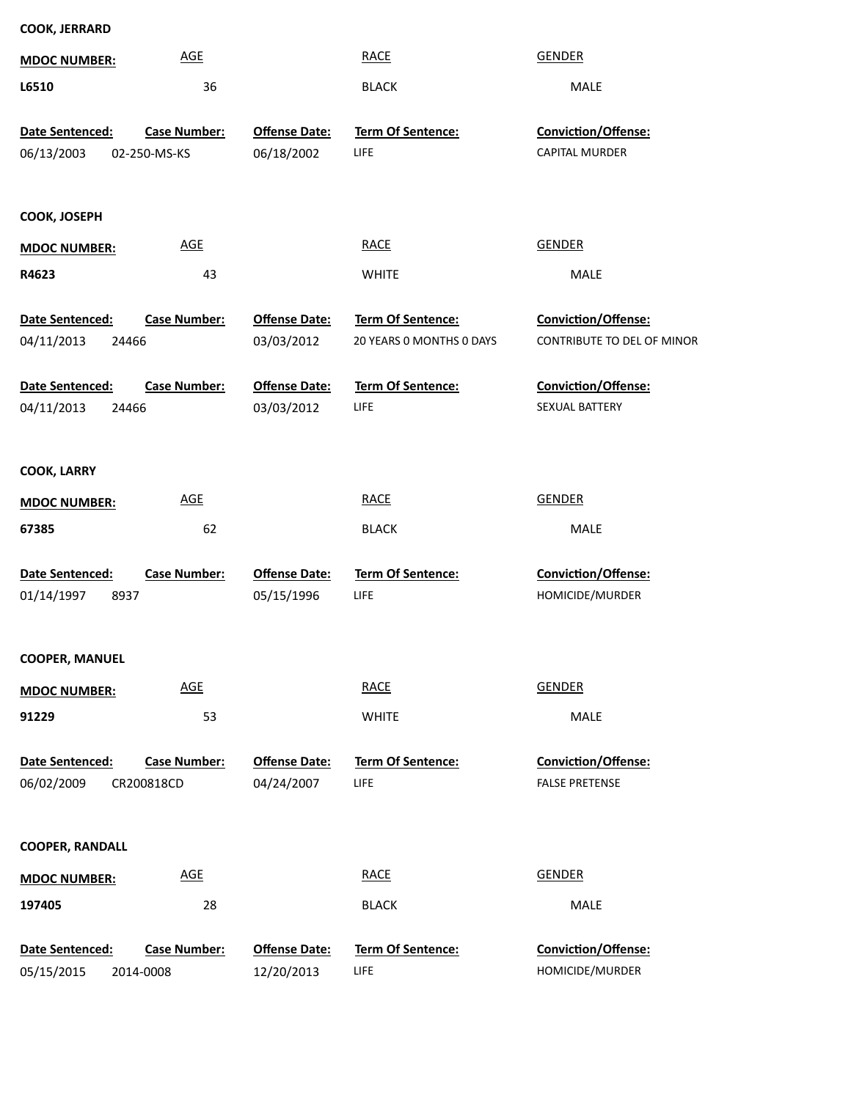| <b>AGE</b><br><b>MDOC NUMBER:</b>             |                      | <b>RACE</b>              | <b>GENDER</b>                     |  |
|-----------------------------------------------|----------------------|--------------------------|-----------------------------------|--|
| L6510                                         | 36                   | <b>BLACK</b>             | <b>MALE</b>                       |  |
| <b>Case Number:</b><br>Date Sentenced:        | <b>Offense Date:</b> | Term Of Sentence:        | Conviction/Offense:               |  |
|                                               |                      |                          |                                   |  |
| 06/13/2003<br>02-250-MS-KS                    | 06/18/2002           | LIFE                     | CAPITAL MURDER                    |  |
| COOK, JOSEPH                                  |                      |                          |                                   |  |
| <b>AGE</b><br><b>MDOC NUMBER:</b>             |                      | <b>RACE</b>              | <b>GENDER</b>                     |  |
| R4623                                         | 43                   | <b>WHITE</b>             | MALE                              |  |
| Date Sentenced:<br><b>Case Number:</b>        | <b>Offense Date:</b> | Term Of Sentence:        | Conviction/Offense:               |  |
| 04/11/2013<br>24466                           | 03/03/2012           | 20 YEARS O MONTHS O DAYS | <b>CONTRIBUTE TO DEL OF MINOR</b> |  |
| Date Sentenced:<br><b>Case Number:</b>        | <b>Offense Date:</b> | Term Of Sentence:        | Conviction/Offense:               |  |
| 04/11/2013<br>24466                           | 03/03/2012           | <b>LIFE</b>              | SEXUAL BATTERY                    |  |
| <b>COOK, LARRY</b>                            |                      |                          |                                   |  |
| <u>AGE</u><br><b>MDOC NUMBER:</b>             |                      | <b>RACE</b>              | <b>GENDER</b>                     |  |
| 67385                                         | 62                   | <b>BLACK</b>             | MALE                              |  |
| <b>Case Number:</b><br>Date Sentenced:        | <b>Offense Date:</b> | Term Of Sentence:        | Conviction/Offense:               |  |
| 01/14/1997<br>8937                            | 05/15/1996           | LIFE                     | HOMICIDE/MURDER                   |  |
|                                               |                      |                          |                                   |  |
| <b>COOPER, MANUEL</b>                         |                      |                          |                                   |  |
| <b>AGE</b><br><b>MDOC NUMBER:</b>             |                      | <b>RACE</b>              | <b>GENDER</b>                     |  |
| 91229                                         | 53                   | <b>WHITE</b>             | MALE                              |  |
| <b>Case Number:</b><br><b>Date Sentenced:</b> | <b>Offense Date:</b> | Term Of Sentence:        | Conviction/Offense:               |  |
| 06/02/2009<br>CR200818CD                      | 04/24/2007           | LIFE                     | <b>FALSE PRETENSE</b>             |  |
| <b>COOPER, RANDALL</b>                        |                      |                          |                                   |  |
| <b>AGE</b><br><b>MDOC NUMBER:</b>             |                      | <b>RACE</b>              | <b>GENDER</b>                     |  |
| 197405                                        | 28                   | <b>BLACK</b>             | MALE                              |  |
| <b>Case Number:</b><br>Date Sentenced:        | <b>Offense Date:</b> | Term Of Sentence:        | <b>Conviction/Offense:</b>        |  |
| 05/15/2015<br>2014-0008                       | 12/20/2013           | LIFE                     | HOMICIDE/MURDER                   |  |

**COOK, JERRARD**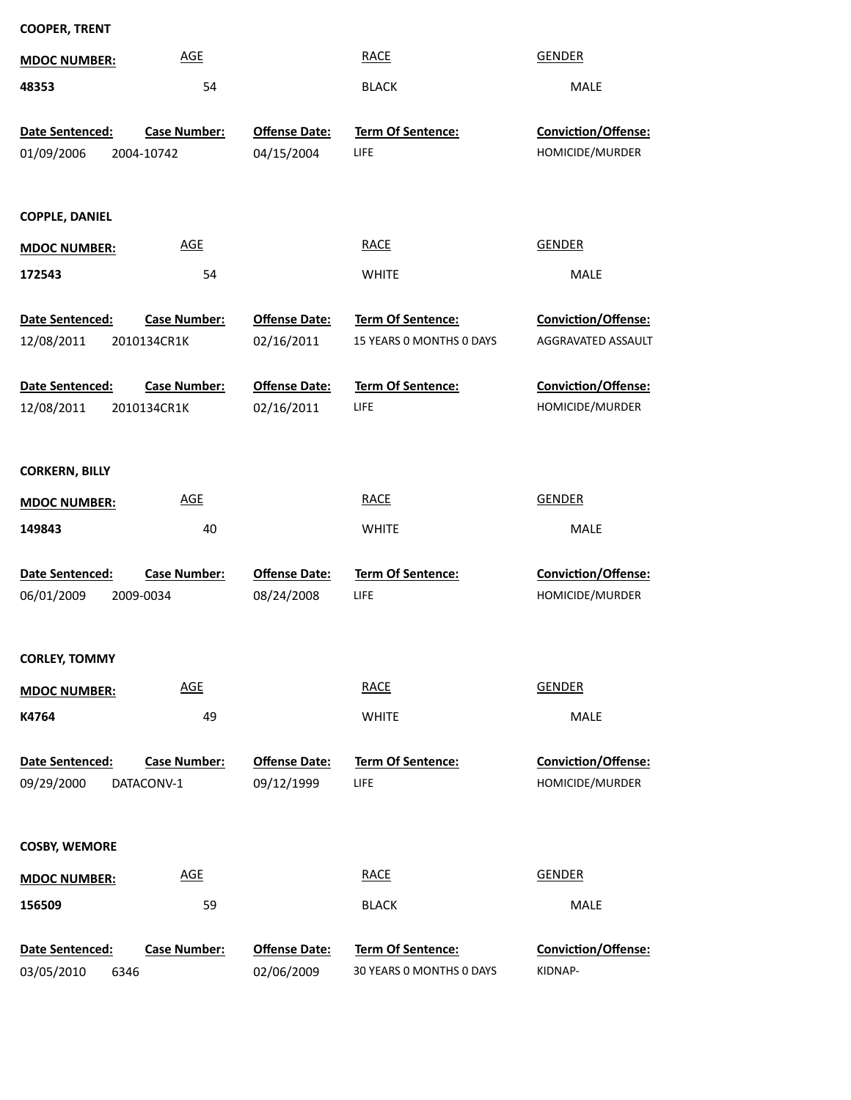| <b>COOPER, TRENT</b>  |                     |                      |                          |                     |
|-----------------------|---------------------|----------------------|--------------------------|---------------------|
| <b>MDOC NUMBER:</b>   | <b>AGE</b>          |                      | <b>RACE</b>              | <b>GENDER</b>       |
| 48353                 | 54                  |                      | <b>BLACK</b>             | MALE                |
| Date Sentenced:       | <b>Case Number:</b> | <b>Offense Date:</b> | Term Of Sentence:        | Conviction/Offense: |
| 01/09/2006            | 2004-10742          | 04/15/2004           | LIFE                     | HOMICIDE/MURDER     |
|                       |                     |                      |                          |                     |
| <b>COPPLE, DANIEL</b> |                     |                      |                          |                     |
| <b>MDOC NUMBER:</b>   | <b>AGE</b>          |                      | <b>RACE</b>              | <b>GENDER</b>       |
| 172543                | 54                  |                      | <b>WHITE</b>             | MALE                |
| Date Sentenced:       | <b>Case Number:</b> | <b>Offense Date:</b> | Term Of Sentence:        | Conviction/Offense: |
| 12/08/2011            | 2010134CR1K         | 02/16/2011           | 15 YEARS 0 MONTHS 0 DAYS | AGGRAVATED ASSAULT  |
| Date Sentenced:       | <b>Case Number:</b> | <b>Offense Date:</b> | Term Of Sentence:        | Conviction/Offense: |
| 12/08/2011            | 2010134CR1K         | 02/16/2011           | LIFE                     | HOMICIDE/MURDER     |
|                       |                     |                      |                          |                     |
| <b>CORKERN, BILLY</b> |                     |                      |                          |                     |
| <b>MDOC NUMBER:</b>   | <b>AGE</b>          |                      | <b>RACE</b>              | <b>GENDER</b>       |
| 149843                | 40                  |                      | <b>WHITE</b>             | MALE                |
| Date Sentenced:       | <b>Case Number:</b> | <b>Offense Date:</b> | <b>Term Of Sentence:</b> | Conviction/Offense: |
| 06/01/2009            | 2009-0034           | 08/24/2008           | LIFE                     | HOMICIDE/MURDER     |
|                       |                     |                      |                          |                     |
| <b>CORLEY, TOMMY</b>  |                     |                      |                          |                     |
| <b>MDOC NUMBER:</b>   | <b>AGE</b>          |                      | <b>RACE</b>              | <b>GENDER</b>       |
| K4764                 | 49                  |                      | <b>WHITE</b>             | MALE                |
| Date Sentenced:       | <b>Case Number:</b> | <b>Offense Date:</b> | Term Of Sentence:        | Conviction/Offense: |
| 09/29/2000            | DATACONV-1          | 09/12/1999           | LIFE                     | HOMICIDE/MURDER     |
|                       |                     |                      |                          |                     |
| <b>COSBY, WEMORE</b>  |                     |                      |                          |                     |
| <b>MDOC NUMBER:</b>   | <b>AGE</b>          |                      | <b>RACE</b>              | <b>GENDER</b>       |
| 156509                | 59                  |                      | <b>BLACK</b>             | MALE                |
| Date Sentenced:       | <b>Case Number:</b> | <b>Offense Date:</b> | Term Of Sentence:        | Conviction/Offense: |
|                       |                     |                      |                          |                     |

6346 03/05/2010

30 YEARS 0 MONTHS 0 DAYS 02/06/2009

KIDNAP-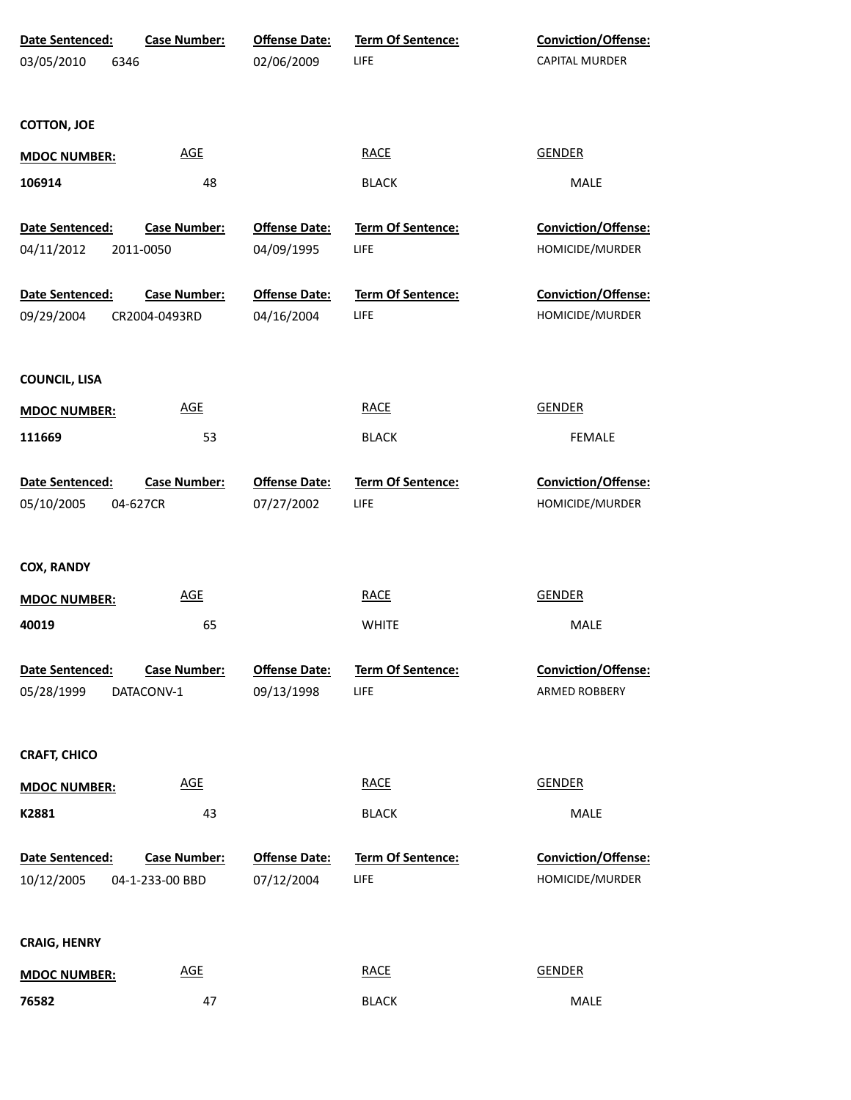| Date Sentenced:               | <b>Case Number:</b>                    | <b>Offense Date:</b>               | Term Of Sentence:         | <b>Conviction/Offense:</b>                    |
|-------------------------------|----------------------------------------|------------------------------------|---------------------------|-----------------------------------------------|
| 03/05/2010<br>6346            |                                        | 02/06/2009                         | LIFE                      | CAPITAL MURDER                                |
| <b>COTTON, JOE</b>            |                                        |                                    |                           |                                               |
| <b>MDOC NUMBER:</b>           | <b>AGE</b>                             |                                    | <b>RACE</b>               | <b>GENDER</b>                                 |
| 106914                        | 48                                     |                                    | <b>BLACK</b>              | MALE                                          |
| Date Sentenced:               | <b>Case Number:</b>                    | <b>Offense Date:</b>               | <b>Term Of Sentence:</b>  | Conviction/Offense:                           |
| 04/11/2012                    | 2011-0050                              | 04/09/1995                         | LIFE                      | HOMICIDE/MURDER                               |
| Date Sentenced:<br>09/29/2004 | <b>Case Number:</b><br>CR2004-0493RD   | <b>Offense Date:</b><br>04/16/2004 | Term Of Sentence:<br>LIFE | Conviction/Offense:<br>HOMICIDE/MURDER        |
| <b>COUNCIL, LISA</b>          |                                        |                                    |                           |                                               |
| <b>MDOC NUMBER:</b>           | <b>AGE</b>                             |                                    | <b>RACE</b>               | <b>GENDER</b>                                 |
| 111669                        | 53                                     |                                    | <b>BLACK</b>              | <b>FEMALE</b>                                 |
| Date Sentenced:<br>05/10/2005 | <b>Case Number:</b><br>04-627CR        | <b>Offense Date:</b><br>07/27/2002 | Term Of Sentence:<br>LIFE | Conviction/Offense:<br>HOMICIDE/MURDER        |
| <b>COX, RANDY</b>             |                                        |                                    |                           |                                               |
| <b>MDOC NUMBER:</b>           | <b>AGE</b>                             |                                    | <b>RACE</b>               | <b>GENDER</b>                                 |
| 40019                         | 65                                     |                                    | <b>WHITE</b>              | MALE                                          |
| Date Sentenced:               | <b>Case Number:</b>                    | <b>Offense Date:</b>               | Term Of Sentence:         | <b>Conviction/Offense:</b>                    |
| 05/28/1999                    | DATACONV-1                             | 09/13/1998                         | LIFE                      | ARMED ROBBERY                                 |
| <b>CRAFT, CHICO</b>           |                                        |                                    |                           |                                               |
| <b>MDOC NUMBER:</b>           | <b>AGE</b>                             |                                    | <b>RACE</b>               | <b>GENDER</b>                                 |
| K2881                         | 43                                     |                                    | <b>BLACK</b>              | MALE                                          |
| Date Sentenced:<br>10/12/2005 | <b>Case Number:</b><br>04-1-233-00 BBD | <b>Offense Date:</b><br>07/12/2004 | Term Of Sentence:<br>LIFE | <b>Conviction/Offense:</b><br>HOMICIDE/MURDER |
| <b>CRAIG, HENRY</b>           |                                        |                                    |                           |                                               |
| <b>MDOC NUMBER:</b>           | <b>AGE</b>                             |                                    | <b>RACE</b>               | <b>GENDER</b>                                 |
| 76582                         | 47                                     |                                    | <b>BLACK</b>              | MALE                                          |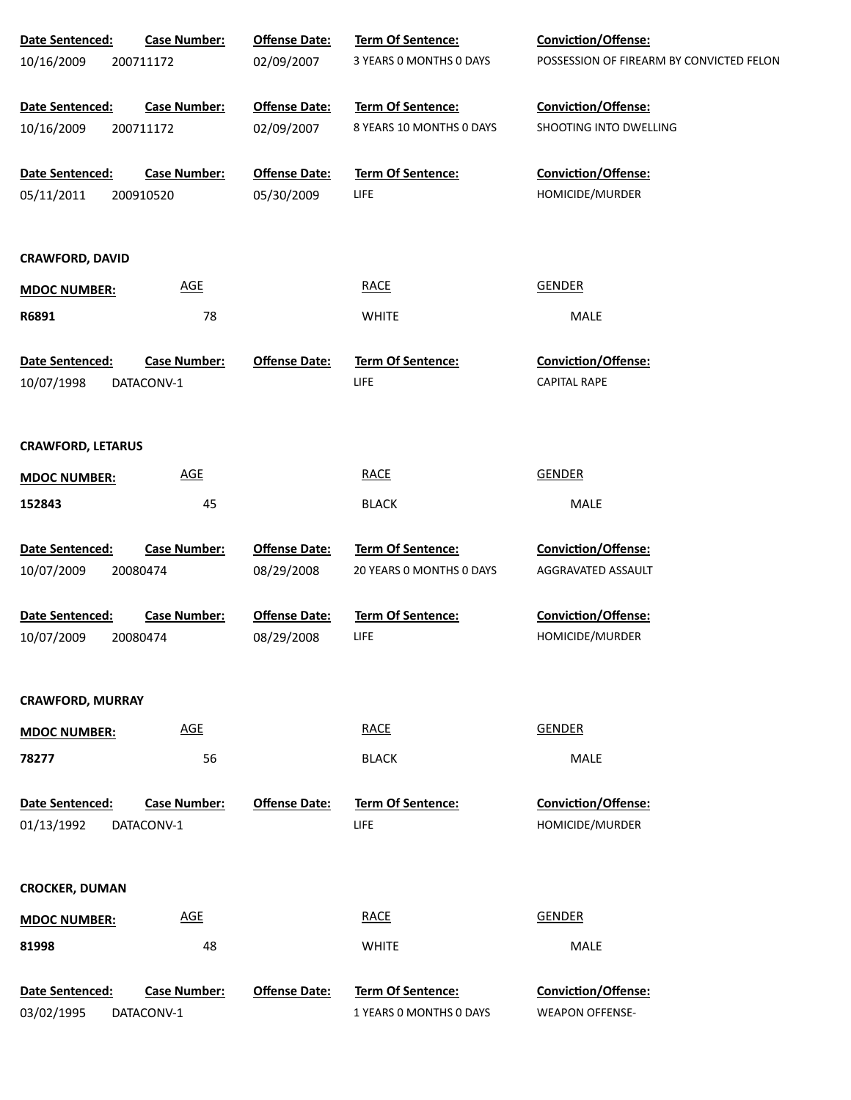| Date Sentenced:          | <b>Case Number:</b>        | <b>Offense Date:</b> | <b>Term Of Sentence:</b> | Conviction/Offense:                      |
|--------------------------|----------------------------|----------------------|--------------------------|------------------------------------------|
| 10/16/2009               | 200711172                  | 02/09/2007           | 3 YEARS 0 MONTHS 0 DAYS  | POSSESSION OF FIREARM BY CONVICTED FELON |
| Date Sentenced:          | <b>Case Number:</b>        | <b>Offense Date:</b> | Term Of Sentence:        | Conviction/Offense:                      |
| 10/16/2009               | 200711172                  | 02/09/2007           | 8 YEARS 10 MONTHS 0 DAYS | SHOOTING INTO DWELLING                   |
| Date Sentenced:          | <b>Case Number:</b>        | <b>Offense Date:</b> | Term Of Sentence:        | Conviction/Offense:                      |
| 05/11/2011               | 200910520                  | 05/30/2009           | <b>LIFE</b>              | HOMICIDE/MURDER                          |
| <b>CRAWFORD, DAVID</b>   |                            |                      |                          |                                          |
| <b>MDOC NUMBER:</b>      | <b>AGE</b>                 |                      | <b>RACE</b>              | <b>GENDER</b>                            |
| R6891                    | 78                         |                      | <b>WHITE</b>             | MALE                                     |
| Date Sentenced:          | <b>Case Number:</b>        | <b>Offense Date:</b> | <b>Term Of Sentence:</b> | <b>Conviction/Offense:</b>               |
| 10/07/1998               | DATACONV-1                 |                      | LIFE                     | <b>CAPITAL RAPE</b>                      |
| <b>CRAWFORD, LETARUS</b> |                            |                      |                          |                                          |
| <b>MDOC NUMBER:</b>      | $\underline{\mathsf{AGE}}$ |                      | <b>RACE</b>              | <b>GENDER</b>                            |
| 152843                   | 45                         |                      | <b>BLACK</b>             | <b>MALE</b>                              |
| Date Sentenced:          | <b>Case Number:</b>        | <b>Offense Date:</b> | Term Of Sentence:        | Conviction/Offense:                      |
| 10/07/2009               | 20080474                   | 08/29/2008           | 20 YEARS 0 MONTHS 0 DAYS | AGGRAVATED ASSAULT                       |
| Date Sentenced:          | <b>Case Number:</b>        | <b>Offense Date:</b> | Term Of Sentence:        | Conviction/Offense:                      |
| 10/07/2009               | 20080474                   | 08/29/2008           | LIFE                     | HOMICIDE/MURDER                          |
| <b>CRAWFORD, MURRAY</b>  |                            |                      |                          |                                          |
| <b>MDOC NUMBER:</b>      | <b>AGE</b>                 |                      | <b>RACE</b>              | <b>GENDER</b>                            |
| 78277                    | 56                         |                      | <b>BLACK</b>             | <b>MALE</b>                              |
| <b>Date Sentenced:</b>   | <b>Case Number:</b>        | <b>Offense Date:</b> | <b>Term Of Sentence:</b> | Conviction/Offense:                      |
| 01/13/1992               | DATACONV-1                 |                      | LIFE                     | HOMICIDE/MURDER                          |
| <b>CROCKER, DUMAN</b>    |                            |                      |                          |                                          |
| <b>MDOC NUMBER:</b>      | <b>AGE</b>                 |                      | <b>RACE</b>              | <b>GENDER</b>                            |
| 81998                    | 48                         |                      | <b>WHITE</b>             | MALE                                     |
| Date Sentenced:          | <b>Case Number:</b>        | <b>Offense Date:</b> | Term Of Sentence:        | Conviction/Offense:                      |
| 03/02/1995               | DATACONV-1                 |                      | 1 YEARS O MONTHS O DAYS  | <b>WEAPON OFFENSE-</b>                   |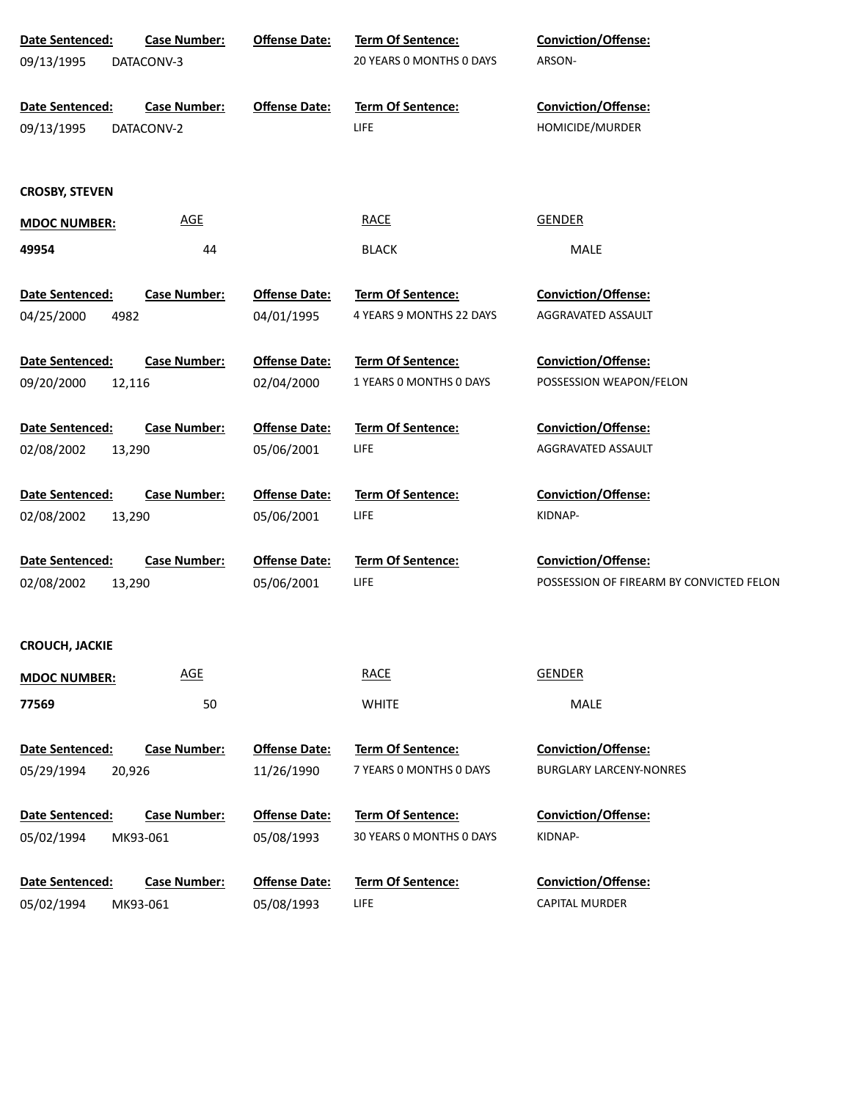| Date Sentenced:<br><b>Case Number:</b><br>09/13/1995<br>DATACONV-3 | <b>Offense Date:</b>       | Term Of Sentence:<br>20 YEARS 0 MONTHS 0 DAYS | <b>Conviction/Offense:</b><br>ARSON-          |
|--------------------------------------------------------------------|----------------------------|-----------------------------------------------|-----------------------------------------------|
| Date Sentenced:<br><b>Case Number:</b><br>09/13/1995<br>DATACONV-2 | <b>Offense Date:</b>       | Term Of Sentence:<br>LIFE                     | <b>Conviction/Offense:</b><br>HOMICIDE/MURDER |
| <b>CROSBY, STEVEN</b>                                              |                            |                                               |                                               |
| <b>MDOC NUMBER:</b>                                                | $\underline{\mathsf{AGE}}$ | <b>RACE</b>                                   | <b>GENDER</b>                                 |
| 49954                                                              | 44                         | <b>BLACK</b>                                  | MALE                                          |
| Date Sentenced:<br><b>Case Number:</b>                             | <b>Offense Date:</b>       | Term Of Sentence:                             | <b>Conviction/Offense:</b>                    |
| 04/25/2000<br>4982                                                 | 04/01/1995                 | 4 YEARS 9 MONTHS 22 DAYS                      | AGGRAVATED ASSAULT                            |
| Date Sentenced:<br><b>Case Number:</b>                             | <b>Offense Date:</b>       | Term Of Sentence:                             | Conviction/Offense:                           |
| 09/20/2000<br>12,116                                               | 02/04/2000                 | 1 YEARS 0 MONTHS 0 DAYS                       | POSSESSION WEAPON/FELON                       |
| Date Sentenced:<br><b>Case Number:</b>                             | <b>Offense Date:</b>       | Term Of Sentence:                             | <b>Conviction/Offense:</b>                    |
| 02/08/2002<br>13,290                                               | 05/06/2001                 | LIFE                                          | AGGRAVATED ASSAULT                            |
|                                                                    |                            |                                               |                                               |
| Date Sentenced:<br><b>Case Number:</b>                             | <b>Offense Date:</b>       | Term Of Sentence:                             | <b>Conviction/Offense:</b>                    |
| 02/08/2002<br>13,290                                               | 05/06/2001                 | LIFE                                          | KIDNAP-                                       |
| Date Sentenced:<br><b>Case Number:</b>                             | <b>Offense Date:</b>       | Term Of Sentence:                             | <b>Conviction/Offense:</b>                    |
| 02/08/2002<br>13,290                                               | 05/06/2001                 | LIFE                                          | POSSESSION OF FIREARM BY CONVICTED FELON      |
|                                                                    |                            |                                               |                                               |
| <b>CROUCH, JACKIE</b>                                              |                            |                                               |                                               |
|                                                                    | <b>AGE</b>                 | <b>RACE</b>                                   | <b>GENDER</b>                                 |
| <b>MDOC NUMBER:</b>                                                |                            |                                               |                                               |
| 77569                                                              | 50                         | <b>WHITE</b>                                  | MALE                                          |
| Date Sentenced:<br><b>Case Number:</b>                             | <b>Offense Date:</b>       | Term Of Sentence:                             | <b>Conviction/Offense:</b>                    |
| 05/29/1994<br>20,926                                               | 11/26/1990                 | 7 YEARS 0 MONTHS 0 DAYS                       | <b>BURGLARY LARCENY-NONRES</b>                |
|                                                                    |                            |                                               |                                               |
| Date Sentenced:<br><b>Case Number:</b>                             | <b>Offense Date:</b>       | <b>Term Of Sentence:</b>                      | <b>Conviction/Offense:</b>                    |
| 05/02/1994<br>MK93-061                                             | 05/08/1993                 | 30 YEARS 0 MONTHS 0 DAYS                      | KIDNAP-                                       |
| Date Sentenced:<br><b>Case Number:</b>                             | <b>Offense Date:</b>       | <b>Term Of Sentence:</b>                      | <b>Conviction/Offense:</b>                    |
| 05/02/1994<br>MK93-061                                             | 05/08/1993                 | LIFE                                          | <b>CAPITAL MURDER</b>                         |
|                                                                    |                            |                                               |                                               |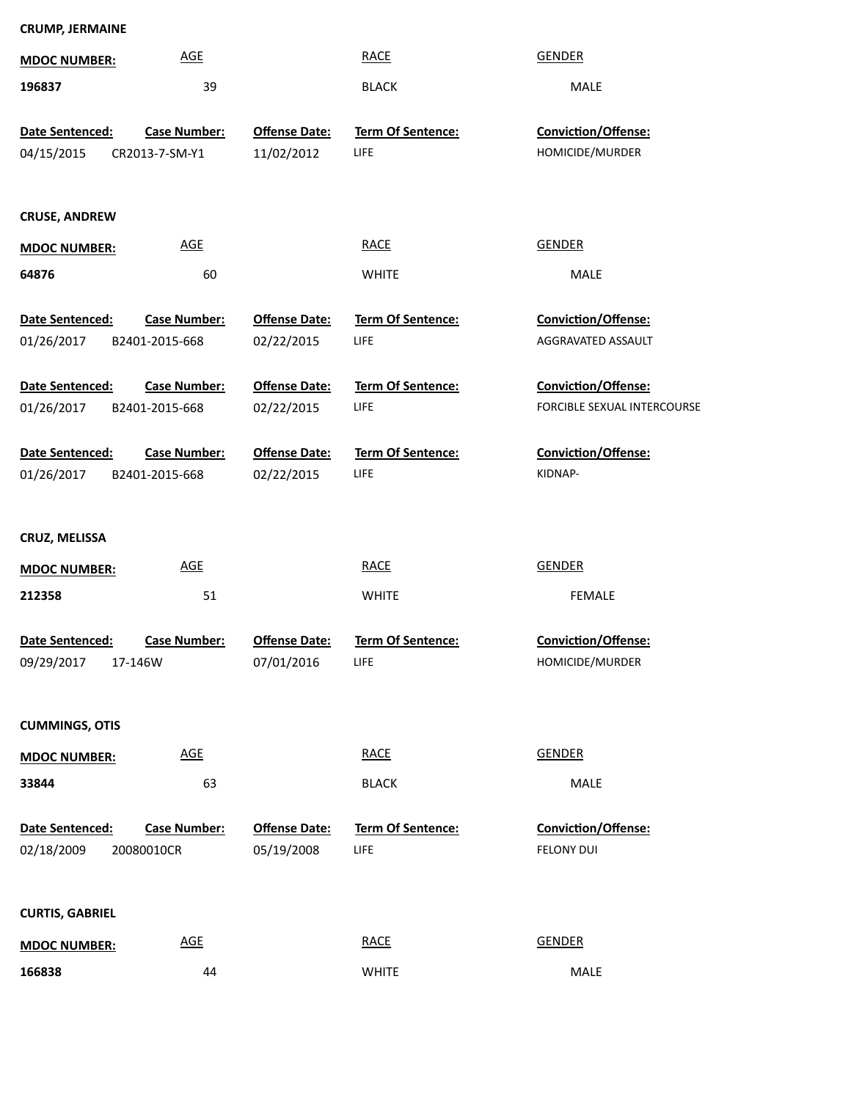| <b>CRUMP, JERMAINE</b>               |                     |                      |                          |                             |
|--------------------------------------|---------------------|----------------------|--------------------------|-----------------------------|
| <b>MDOC NUMBER:</b>                  | <b>AGE</b>          |                      | <b>RACE</b>              | <b>GENDER</b>               |
| 196837                               | 39                  |                      | <b>BLACK</b>             | MALE                        |
|                                      |                     |                      |                          |                             |
| Date Sentenced:                      | <b>Case Number:</b> | <b>Offense Date:</b> | Term Of Sentence:        | Conviction/Offense:         |
| 04/15/2015                           | CR2013-7-SM-Y1      | 11/02/2012           | LIFE                     | HOMICIDE/MURDER             |
| <b>CRUSE, ANDREW</b>                 |                     |                      |                          |                             |
| <b>MDOC NUMBER:</b>                  | <b>AGE</b>          |                      | <b>RACE</b>              | <b>GENDER</b>               |
| 64876                                | 60                  |                      | <b>WHITE</b>             | MALE                        |
| Date Sentenced:                      | <b>Case Number:</b> | <b>Offense Date:</b> | Term Of Sentence:        | Conviction/Offense:         |
| 01/26/2017                           | B2401-2015-668      | 02/22/2015           | <b>LIFE</b>              | AGGRAVATED ASSAULT          |
| Date Sentenced:                      | <b>Case Number:</b> | <b>Offense Date:</b> | <b>Term Of Sentence:</b> | Conviction/Offense:         |
| 01/26/2017                           | B2401-2015-668      | 02/22/2015           | LIFE                     | FORCIBLE SEXUAL INTERCOURSE |
|                                      |                     |                      |                          |                             |
| Date Sentenced:                      | <b>Case Number:</b> | <b>Offense Date:</b> | Term Of Sentence:        | Conviction/Offense:         |
| 01/26/2017                           | B2401-2015-668      | 02/22/2015           | <b>LIFE</b>              | KIDNAP-                     |
| CRUZ, MELISSA<br><b>MDOC NUMBER:</b> | <b>AGE</b>          |                      | <b>RACE</b>              | <b>GENDER</b>               |
| 212358                               | 51                  |                      | <b>WHITE</b>             | <b>FEMALE</b>               |
|                                      |                     |                      |                          |                             |
| Date Sentenced:                      | <b>Case Number:</b> | <b>Offense Date:</b> | Term Of Sentence:        | Conviction/Offense:         |
| 09/29/2017<br>17-146W                |                     | 07/01/2016           | LIFE                     | HOMICIDE/MURDER             |
|                                      |                     |                      |                          |                             |
| <b>CUMMINGS, OTIS</b>                |                     |                      |                          |                             |
| <b>MDOC NUMBER:</b>                  | <b>AGE</b>          |                      | <b>RACE</b>              | <b>GENDER</b>               |
| 33844                                | 63                  |                      | <b>BLACK</b>             | MALE                        |
|                                      |                     |                      |                          |                             |
| Date Sentenced:                      | <b>Case Number:</b> | <b>Offense Date:</b> | Term Of Sentence:        | Conviction/Offense:         |
| 02/18/2009                           | 20080010CR          | 05/19/2008           | LIFE                     | <b>FELONY DUI</b>           |
|                                      |                     |                      |                          |                             |
| <b>CURTIS, GABRIEL</b>               |                     |                      |                          |                             |
| <b>MDOC NUMBER:</b>                  | <b>AGE</b>          |                      | <b>RACE</b>              | <b>GENDER</b>               |
| 166838                               | 44                  |                      | <b>WHITE</b>             | MALE                        |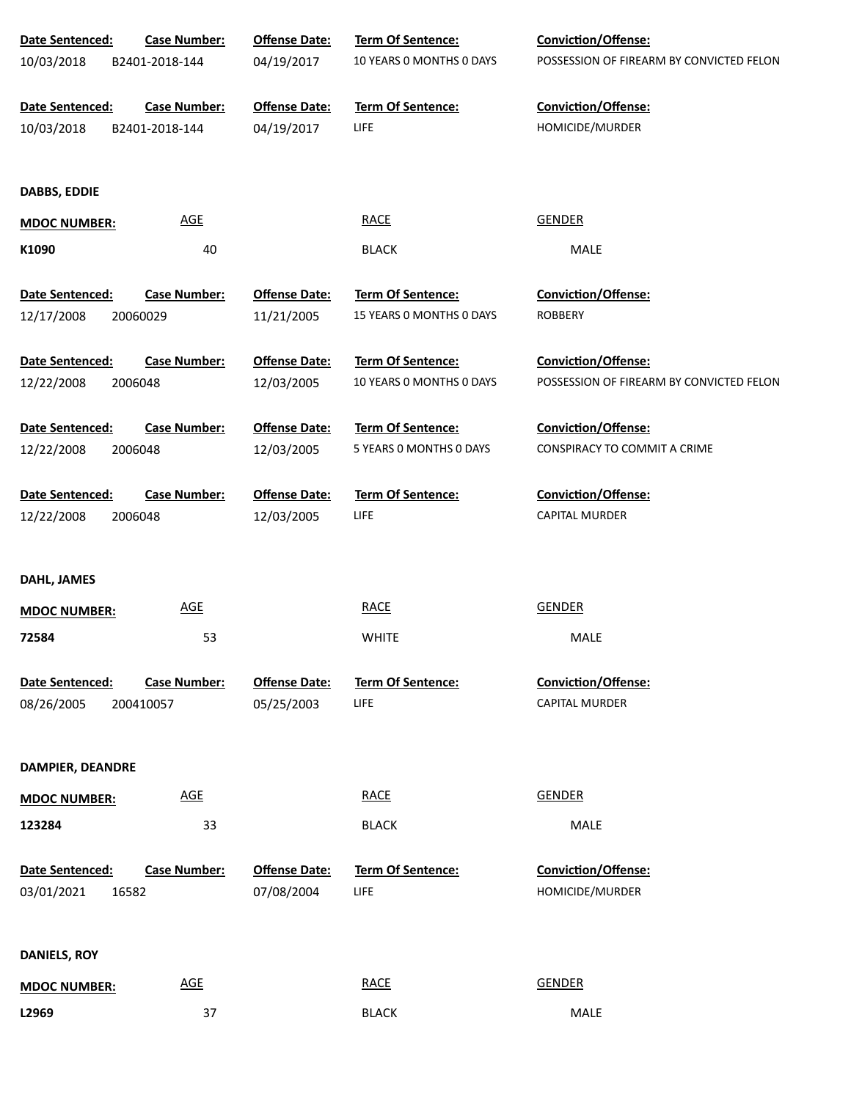| Date Sentenced:               | <b>Case Number:</b>          | <b>Offense Date:</b>               | Term Of Sentence:                | Conviction/Offense:                      |
|-------------------------------|------------------------------|------------------------------------|----------------------------------|------------------------------------------|
| 10/03/2018                    | B2401-2018-144               | 04/19/2017                         | 10 YEARS 0 MONTHS 0 DAYS         | POSSESSION OF FIREARM BY CONVICTED FELON |
| Date Sentenced:               | <b>Case Number:</b>          | <b>Offense Date:</b>               | Term Of Sentence:                | Conviction/Offense:                      |
| 10/03/2018                    | B2401-2018-144               | 04/19/2017                         | LIFE                             | HOMICIDE/MURDER                          |
| <b>DABBS, EDDIE</b>           |                              |                                    |                                  |                                          |
| <b>MDOC NUMBER:</b>           | <b>AGE</b>                   |                                    | <b>RACE</b>                      | <b>GENDER</b>                            |
| K1090                         | 40                           |                                    | <b>BLACK</b>                     | MALE                                     |
| Date Sentenced:               | <b>Case Number:</b>          | <b>Offense Date:</b>               | Term Of Sentence:                | Conviction/Offense:                      |
| 12/17/2008                    | 20060029                     | 11/21/2005                         | 15 YEARS 0 MONTHS 0 DAYS         | <b>ROBBERY</b>                           |
| Date Sentenced:               | <b>Case Number:</b>          | <b>Offense Date:</b>               | <b>Term Of Sentence:</b>         | Conviction/Offense:                      |
| 12/22/2008                    | 2006048                      | 12/03/2005                         | 10 YEARS 0 MONTHS 0 DAYS         | POSSESSION OF FIREARM BY CONVICTED FELON |
| Date Sentenced:               | <b>Case Number:</b>          | <b>Offense Date:</b>               | Term Of Sentence:                | Conviction/Offense:                      |
| 12/22/2008                    | 2006048                      | 12/03/2005                         | 5 YEARS 0 MONTHS 0 DAYS          | CONSPIRACY TO COMMIT A CRIME             |
| Date Sentenced:               | <b>Case Number:</b>          | <b>Offense Date:</b>               | <b>Term Of Sentence:</b>         | Conviction/Offense:                      |
| 12/22/2008                    | 2006048                      | 12/03/2005                         | LIFE                             | CAPITAL MURDER                           |
|                               |                              |                                    |                                  |                                          |
| DAHL, JAMES                   |                              |                                    |                                  |                                          |
| <b>MDOC NUMBER:</b>           | <b>AGE</b>                   |                                    | <b>RACE</b>                      | GENDER                                   |
| 72584                         | 53                           |                                    | <b>WHITE</b>                     | MALE                                     |
| Date Sentenced:               | <b>Case Number:</b>          | <b>Offense Date:</b>               | <b>Term Of Sentence:</b>         | Conviction/Offense:                      |
| 08/26/2005                    | 200410057                    | 05/25/2003                         | LIFE                             | <b>CAPITAL MURDER</b>                    |
|                               |                              |                                    |                                  |                                          |
| DAMPIER, DEANDRE              |                              |                                    |                                  |                                          |
| <b>MDOC NUMBER:</b>           | <b>AGE</b>                   |                                    | <b>RACE</b>                      | <b>GENDER</b>                            |
| 123284                        | 33                           |                                    | <b>BLACK</b>                     | MALE                                     |
| Date Sentenced:<br>03/01/2021 | <b>Case Number:</b><br>16582 | <b>Offense Date:</b><br>07/08/2004 | <b>Term Of Sentence:</b><br>LIFE | Conviction/Offense:<br>HOMICIDE/MURDER   |
|                               |                              |                                    |                                  |                                          |
| <b>DANIELS, ROY</b>           |                              |                                    |                                  |                                          |
| <b>MDOC NUMBER:</b>           | $\underline{\mathsf{AGE}}$   |                                    | <b>RACE</b>                      | <b>GENDER</b>                            |
| L2969                         | 37                           |                                    | <b>BLACK</b>                     | MALE                                     |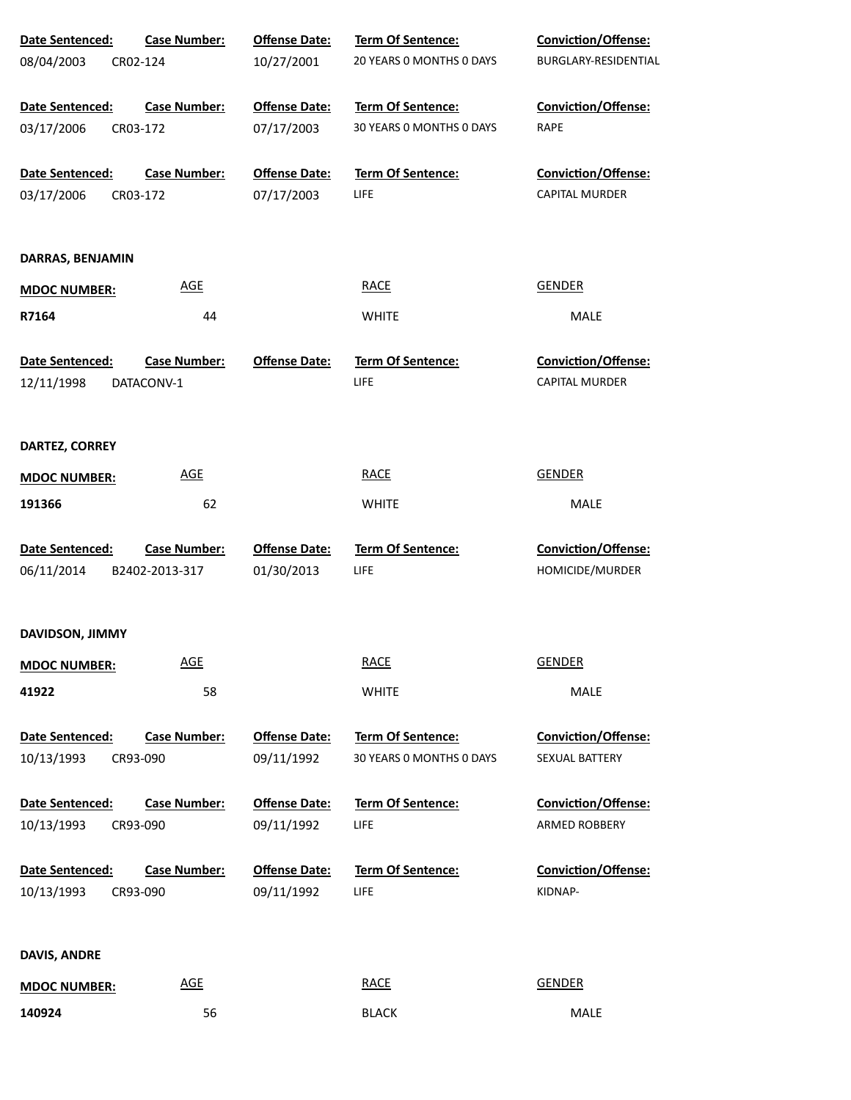| Date Sentenced:                           | <b>Case Number:</b> | <b>Offense Date:</b>               | Term Of Sentence:                | <b>Conviction/Offense:</b>     |
|-------------------------------------------|---------------------|------------------------------------|----------------------------------|--------------------------------|
| 08/04/2003<br>CR02-124                    |                     | 10/27/2001                         | 20 YEARS 0 MONTHS 0 DAYS         | BURGLARY-RESIDENTIAL           |
|                                           |                     |                                    |                                  |                                |
| Date Sentenced:                           | <b>Case Number:</b> | <b>Offense Date:</b>               | Term Of Sentence:                | <b>Conviction/Offense:</b>     |
| 03/17/2006<br>CR03-172                    |                     | 07/17/2003                         | 30 YEARS 0 MONTHS 0 DAYS         | RAPE                           |
|                                           |                     |                                    |                                  |                                |
| Date Sentenced:                           | <b>Case Number:</b> | <b>Offense Date:</b>               | <b>Term Of Sentence:</b>         | Conviction/Offense:            |
| 03/17/2006<br>CR03-172                    |                     | 07/17/2003                         | <b>LIFE</b>                      | <b>CAPITAL MURDER</b>          |
|                                           |                     |                                    |                                  |                                |
| DARRAS, BENJAMIN                          |                     |                                    |                                  |                                |
|                                           | <b>AGE</b>          |                                    | <b>RACE</b>                      | <b>GENDER</b>                  |
| <b>MDOC NUMBER:</b>                       |                     |                                    |                                  |                                |
| R7164                                     | 44                  |                                    | <b>WHITE</b>                     | MALE                           |
| Date Sentenced:                           | <b>Case Number:</b> | <b>Offense Date:</b>               | <b>Term Of Sentence:</b>         | Conviction/Offense:            |
| 12/11/1998                                | DATACONV-1          |                                    | <b>LIFE</b>                      | CAPITAL MURDER                 |
|                                           |                     |                                    |                                  |                                |
|                                           |                     |                                    |                                  |                                |
| DARTEZ, CORREY                            |                     |                                    |                                  |                                |
| <b>MDOC NUMBER:</b>                       | <b>AGE</b>          |                                    | <b>RACE</b>                      | <b>GENDER</b>                  |
| 191366                                    | 62                  |                                    | <b>WHITE</b>                     | MALE                           |
|                                           |                     |                                    |                                  |                                |
| Date Sentenced:                           | <b>Case Number:</b> | <b>Offense Date:</b>               | Term Of Sentence:                | Conviction/Offense:            |
| 06/11/2014                                | B2402-2013-317      | 01/30/2013                         | LIFE                             | HOMICIDE/MURDER                |
|                                           |                     |                                    |                                  |                                |
|                                           |                     |                                    |                                  |                                |
| DAVIDSON, JIMMY                           |                     |                                    |                                  |                                |
| <b>MDOC NUMBER:</b>                       | <b>AGE</b>          |                                    | <b>RACE</b>                      | <b>GENDER</b>                  |
| 41922                                     | 58                  |                                    | <b>WHITE</b>                     | <b>MALE</b>                    |
|                                           |                     |                                    |                                  |                                |
| Date Sentenced:                           | <b>Case Number:</b> | <b>Offense Date:</b>               | Term Of Sentence:                | <b>Conviction/Offense:</b>     |
| 10/13/1993<br>CR93-090                    |                     | 09/11/1992                         | 30 YEARS 0 MONTHS 0 DAYS         | SEXUAL BATTERY                 |
|                                           |                     |                                    |                                  |                                |
| Date Sentenced:                           | <b>Case Number:</b> | <b>Offense Date:</b>               | <b>Term Of Sentence:</b>         | <b>Conviction/Offense:</b>     |
| 10/13/1993<br>CR93-090                    |                     | 09/11/1992                         | LIFE                             | ARMED ROBBERY                  |
|                                           |                     |                                    |                                  |                                |
| Date Sentenced:<br>10/13/1993<br>CR93-090 | <b>Case Number:</b> | <b>Offense Date:</b><br>09/11/1992 | <b>Term Of Sentence:</b><br>LIFE | Conviction/Offense:<br>KIDNAP- |
|                                           |                     |                                    |                                  |                                |
|                                           |                     |                                    |                                  |                                |
| DAVIS, ANDRE                              |                     |                                    |                                  |                                |
| <b>MDOC NUMBER:</b>                       | <b>AGE</b>          |                                    | <b>RACE</b>                      | <b>GENDER</b>                  |
| 140924                                    | 56                  |                                    | <b>BLACK</b>                     | MALE                           |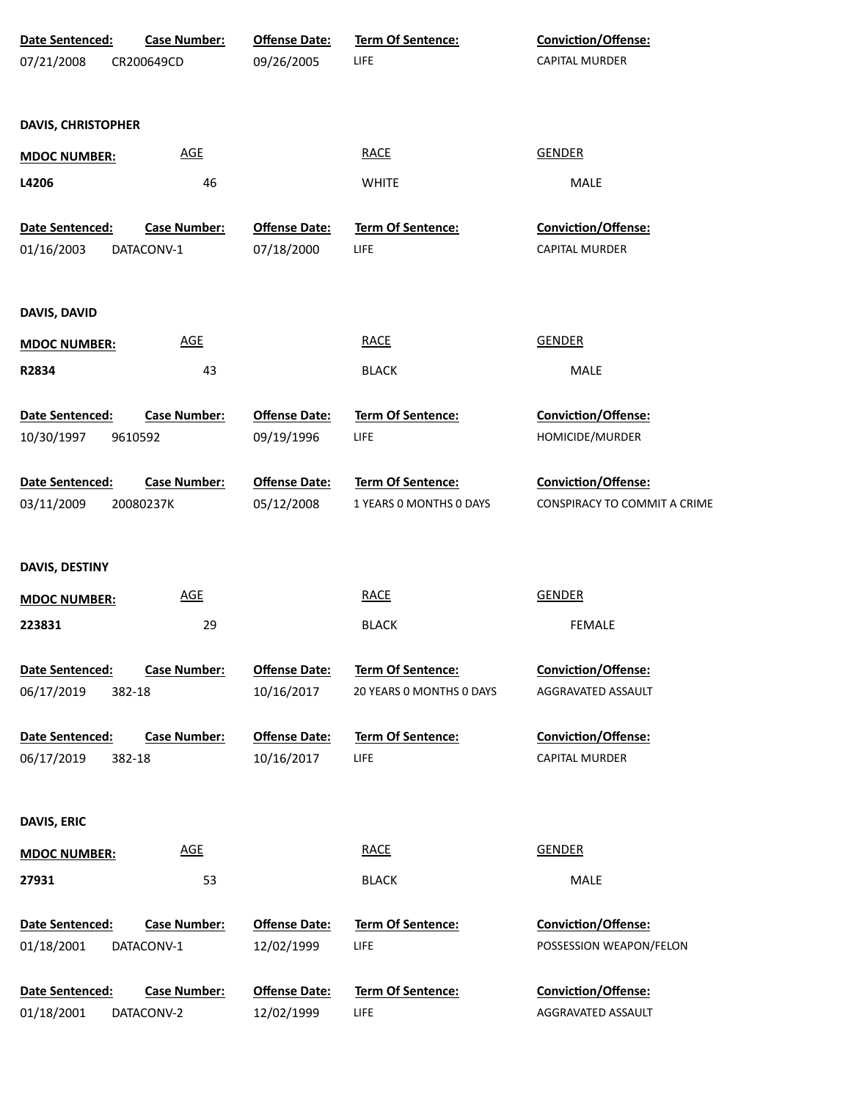| Date Sentenced:           | Case Number:        | <b>Offense Date:</b> | Term Of Sentence:        | Conviction/Offense:          |
|---------------------------|---------------------|----------------------|--------------------------|------------------------------|
| 07/21/2008                | CR200649CD          | 09/26/2005           | <b>LIFE</b>              | <b>CAPITAL MURDER</b>        |
|                           |                     |                      |                          |                              |
| <b>DAVIS, CHRISTOPHER</b> |                     |                      |                          |                              |
|                           | <b>AGE</b>          |                      | <b>RACE</b>              | <b>GENDER</b>                |
| <b>MDOC NUMBER:</b>       |                     |                      |                          |                              |
| L4206                     | 46                  |                      | <b>WHITE</b>             | MALE                         |
| Date Sentenced:           | <b>Case Number:</b> | <b>Offense Date:</b> | Term Of Sentence:        | Conviction/Offense:          |
| 01/16/2003                | DATACONV-1          | 07/18/2000           | <b>LIFE</b>              | CAPITAL MURDER               |
|                           |                     |                      |                          |                              |
|                           |                     |                      |                          |                              |
| DAVIS, DAVID              |                     |                      |                          |                              |
| <b>MDOC NUMBER:</b>       | <b>AGE</b>          |                      | <b>RACE</b>              | <b>GENDER</b>                |
| R2834                     | 43                  |                      | <b>BLACK</b>             | MALE                         |
|                           |                     |                      |                          |                              |
| Date Sentenced:           | <b>Case Number:</b> | <b>Offense Date:</b> | Term Of Sentence:        | Conviction/Offense:          |
| 10/30/1997                | 9610592             | 09/19/1996           | <b>LIFE</b>              | HOMICIDE/MURDER              |
| Date Sentenced:           | <b>Case Number:</b> | <b>Offense Date:</b> | Term Of Sentence:        | <b>Conviction/Offense:</b>   |
| 03/11/2009                | 20080237K           | 05/12/2008           | 1 YEARS O MONTHS O DAYS  | CONSPIRACY TO COMMIT A CRIME |
|                           |                     |                      |                          |                              |
|                           |                     |                      |                          |                              |
| DAVIS, DESTINY            |                     |                      |                          |                              |
| <b>MDOC NUMBER:</b>       | <b>AGE</b>          |                      | <b>RACE</b>              | <b>GENDER</b>                |
| 223831                    | 29                  |                      | <b>BLACK</b>             | <b>FEMALE</b>                |
| Date Sentenced:           | <b>Case Number:</b> | <b>Offense Date:</b> | <b>Term Of Sentence:</b> | <b>Conviction/Offense:</b>   |
| 06/17/2019                | 382-18              | 10/16/2017           | 20 YEARS 0 MONTHS 0 DAYS | AGGRAVATED ASSAULT           |
|                           |                     |                      |                          |                              |
| Date Sentenced:           | <b>Case Number:</b> | <b>Offense Date:</b> | <b>Term Of Sentence:</b> | Conviction/Offense:          |
| 06/17/2019                | 382-18              | 10/16/2017           | <b>LIFE</b>              | CAPITAL MURDER               |
|                           |                     |                      |                          |                              |
| <b>DAVIS, ERIC</b>        |                     |                      |                          |                              |
| <b>MDOC NUMBER:</b>       | <b>AGE</b>          |                      | <b>RACE</b>              | <b>GENDER</b>                |
|                           |                     |                      |                          |                              |
| 27931                     | 53                  |                      | <b>BLACK</b>             | MALE                         |
| Date Sentenced:           | Case Number:        | <b>Offense Date:</b> | Term Of Sentence:        | Conviction/Offense:          |
| 01/18/2001                | DATACONV-1          | 12/02/1999           | <b>LIFE</b>              | POSSESSION WEAPON/FELON      |
|                           |                     |                      |                          |                              |
| Date Sentenced:           | <b>Case Number:</b> | <b>Offense Date:</b> | Term Of Sentence:        | Conviction/Offense:          |
| 01/18/2001                | DATACONV-2          | 12/02/1999           | <b>LIFE</b>              | AGGRAVATED ASSAULT           |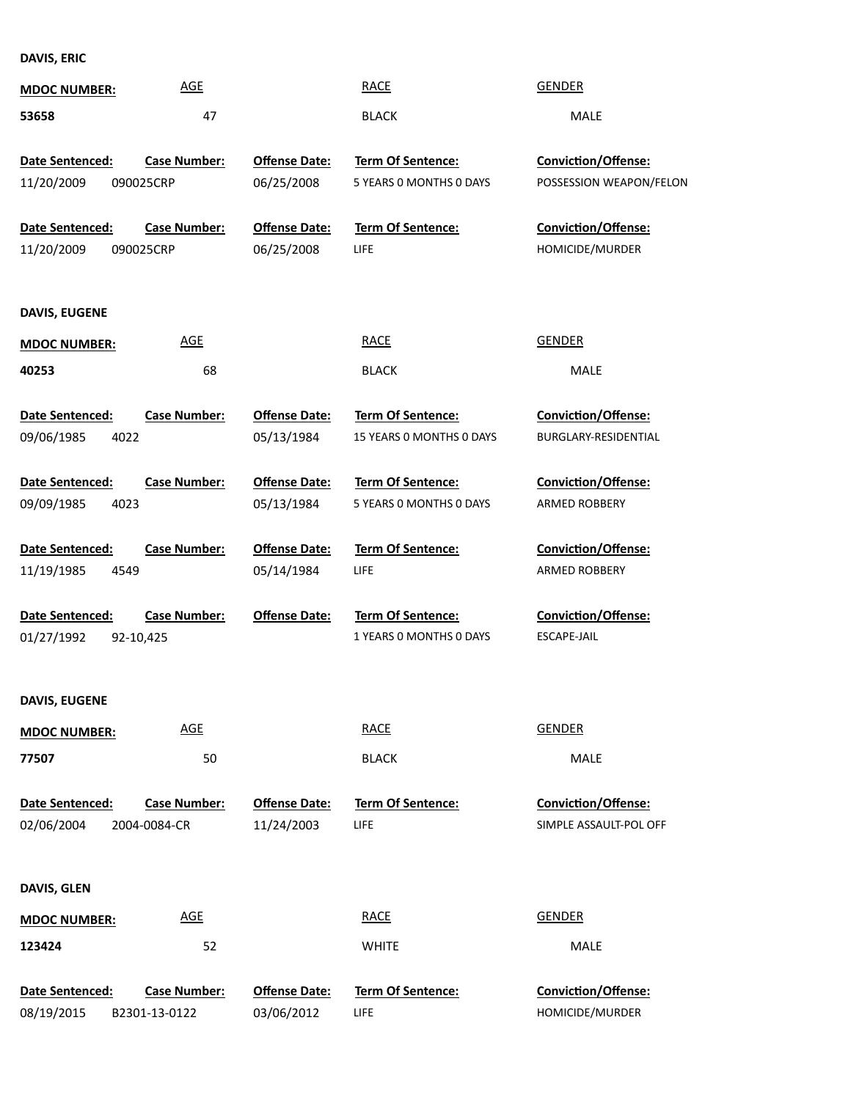**DAVIS, ERIC**

| <b>MDOC NUMBER:</b>    | <b>AGE</b>          |                      | <b>RACE</b>              | <b>GENDER</b>              |
|------------------------|---------------------|----------------------|--------------------------|----------------------------|
| 53658                  | 47                  |                      | <b>BLACK</b>             | <b>MALE</b>                |
|                        |                     |                      |                          |                            |
| Date Sentenced:        | <b>Case Number:</b> | <b>Offense Date:</b> | Term Of Sentence:        | <b>Conviction/Offense:</b> |
| 11/20/2009             | 090025CRP           | 06/25/2008           | 5 YEARS 0 MONTHS 0 DAYS  | POSSESSION WEAPON/FELON    |
| <b>Date Sentenced:</b> | <b>Case Number:</b> | <b>Offense Date:</b> | Term Of Sentence:        | <b>Conviction/Offense:</b> |
| 11/20/2009             | 090025CRP           | 06/25/2008           | LIFE                     | HOMICIDE/MURDER            |
| DAVIS, EUGENE          |                     |                      |                          |                            |
|                        | <b>AGE</b>          |                      | <b>RACE</b>              | <b>GENDER</b>              |
| <b>MDOC NUMBER:</b>    |                     |                      |                          |                            |
| 40253                  | 68                  |                      | <b>BLACK</b>             | <b>MALE</b>                |
| Date Sentenced:        | <b>Case Number:</b> | <b>Offense Date:</b> | <b>Term Of Sentence:</b> | Conviction/Offense:        |
| 09/06/1985<br>4022     |                     | 05/13/1984           | 15 YEARS 0 MONTHS 0 DAYS | BURGLARY-RESIDENTIAL       |
| Date Sentenced:        | <b>Case Number:</b> | <b>Offense Date:</b> | Term Of Sentence:        | Conviction/Offense:        |
| 09/09/1985<br>4023     |                     | 05/13/1984           | 5 YEARS 0 MONTHS 0 DAYS  | ARMED ROBBERY              |
|                        |                     |                      |                          |                            |
| Date Sentenced:        | <b>Case Number:</b> | <b>Offense Date:</b> | Term Of Sentence:        | Conviction/Offense:        |
| 11/19/1985<br>4549     |                     | 05/14/1984           | LIFE                     | ARMED ROBBERY              |
| Date Sentenced:        | <b>Case Number:</b> | <b>Offense Date:</b> | Term Of Sentence:        | Conviction/Offense:        |
| 01/27/1992             | 92-10,425           |                      | 1 YEARS 0 MONTHS 0 DAYS  | ESCAPE-JAIL                |
|                        |                     |                      |                          |                            |
| <b>DAVIS, EUGENE</b>   |                     |                      |                          |                            |
| <b>MDOC NUMBER:</b>    | <b>AGE</b>          |                      | <b>RACE</b>              | <b>GENDER</b>              |
| 77507                  | 50                  |                      | <b>BLACK</b>             | MALE                       |
|                        |                     |                      |                          |                            |
| Date Sentenced:        | <b>Case Number:</b> | <b>Offense Date:</b> | <b>Term Of Sentence:</b> | <b>Conviction/Offense:</b> |
| 02/06/2004             | 2004-0084-CR        | 11/24/2003           | <b>LIFE</b>              | SIMPLE ASSAULT-POL OFF     |
| DAVIS, GLEN            |                     |                      |                          |                            |
| <b>MDOC NUMBER:</b>    | <b>AGE</b>          |                      | <b>RACE</b>              | <b>GENDER</b>              |
| 123424                 | 52                  |                      | <b>WHITE</b>             | MALE                       |
|                        |                     |                      |                          |                            |
| Date Sentenced:        | <b>Case Number:</b> | <b>Offense Date:</b> | Term Of Sentence:        | Conviction/Offense:        |
| 08/19/2015             | B2301-13-0122       | 03/06/2012           | LIFE                     | HOMICIDE/MURDER            |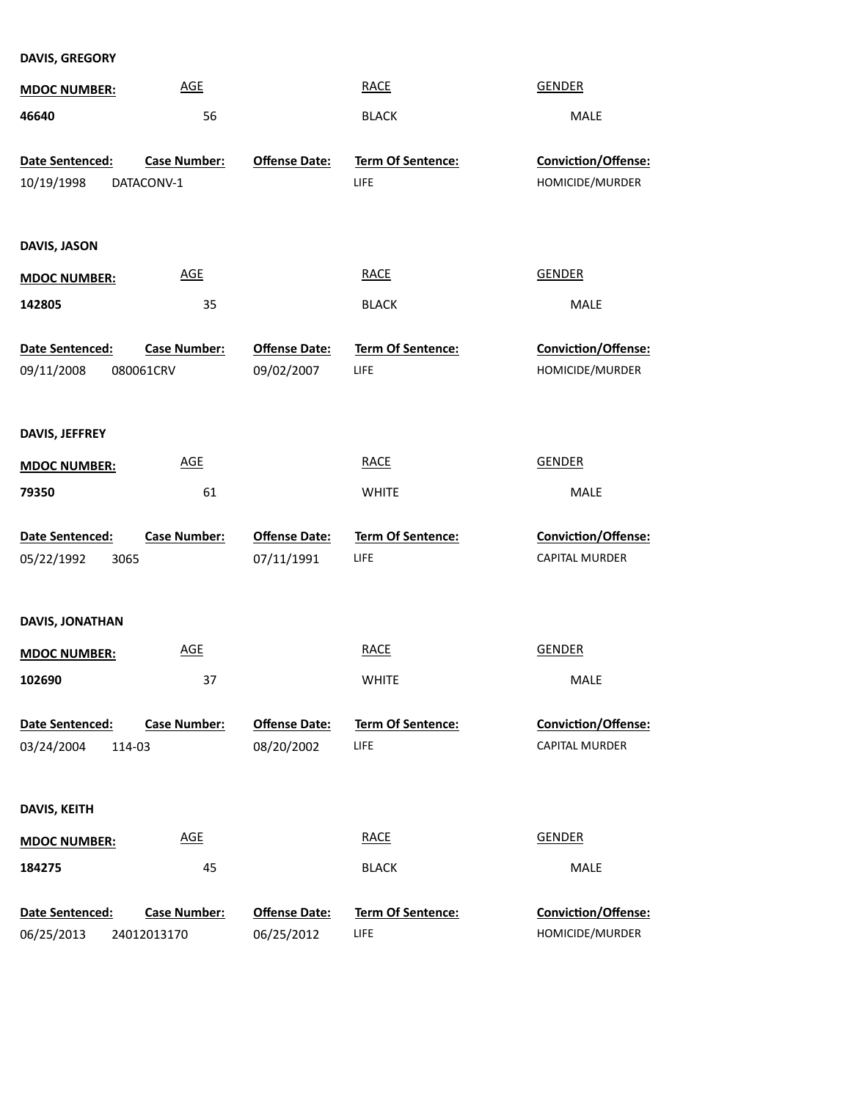**DAVIS, GREGORY**

| <b>MDOC NUMBER:</b>                   | <b>AGE</b>                         |                                    | <b>RACE</b>                      | <b>GENDER</b>                                |
|---------------------------------------|------------------------------------|------------------------------------|----------------------------------|----------------------------------------------|
| 46640                                 | 56                                 |                                    | <b>BLACK</b>                     | MALE                                         |
| Date Sentenced:<br>10/19/1998         | <b>Case Number:</b><br>DATACONV-1  | <b>Offense Date:</b>               | Term Of Sentence:<br>LIFE        | Conviction/Offense:<br>HOMICIDE/MURDER       |
| DAVIS, JASON                          |                                    |                                    |                                  |                                              |
| <b>MDOC NUMBER:</b>                   | <b>AGE</b>                         |                                    | <b>RACE</b>                      | <b>GENDER</b>                                |
| 142805                                | 35                                 |                                    | <b>BLACK</b>                     | MALE                                         |
| Date Sentenced:<br>09/11/2008         | <b>Case Number:</b><br>080061CRV   | <b>Offense Date:</b><br>09/02/2007 | Term Of Sentence:<br>LIFE        | Conviction/Offense:<br>HOMICIDE/MURDER       |
| DAVIS, JEFFREY                        |                                    |                                    |                                  |                                              |
| <b>MDOC NUMBER:</b>                   | <b>AGE</b>                         |                                    | <b>RACE</b>                      | <b>GENDER</b>                                |
| 79350                                 | 61                                 |                                    | <b>WHITE</b>                     | MALE                                         |
| Date Sentenced:<br>3065<br>05/22/1992 | <b>Case Number:</b>                | <b>Offense Date:</b><br>07/11/1991 | Term Of Sentence:<br>LIFE        | Conviction/Offense:<br>CAPITAL MURDER        |
| DAVIS, JONATHAN                       |                                    |                                    |                                  |                                              |
| <b>MDOC NUMBER:</b>                   | <b>AGE</b>                         |                                    | <b>RACE</b>                      | <b>GENDER</b>                                |
| 102690                                | 37                                 |                                    | <b>WHITE</b>                     | <b>MALE</b>                                  |
| Date Sentenced:<br>03/24/2004         | <b>Case Number:</b><br>114-03      | <b>Offense Date:</b><br>08/20/2002 | <b>Term Of Sentence:</b><br>LIFE | <b>Conviction/Offense:</b><br>CAPITAL MURDER |
| DAVIS, KEITH                          |                                    |                                    |                                  |                                              |
| <b>MDOC NUMBER:</b>                   | <b>AGE</b>                         |                                    | <b>RACE</b>                      | <b>GENDER</b>                                |
| 184275                                | 45                                 |                                    | <b>BLACK</b>                     | MALE                                         |
| Date Sentenced:<br>06/25/2013         | <b>Case Number:</b><br>24012013170 | <b>Offense Date:</b><br>06/25/2012 | <b>Term Of Sentence:</b><br>LIFE | Conviction/Offense:<br>HOMICIDE/MURDER       |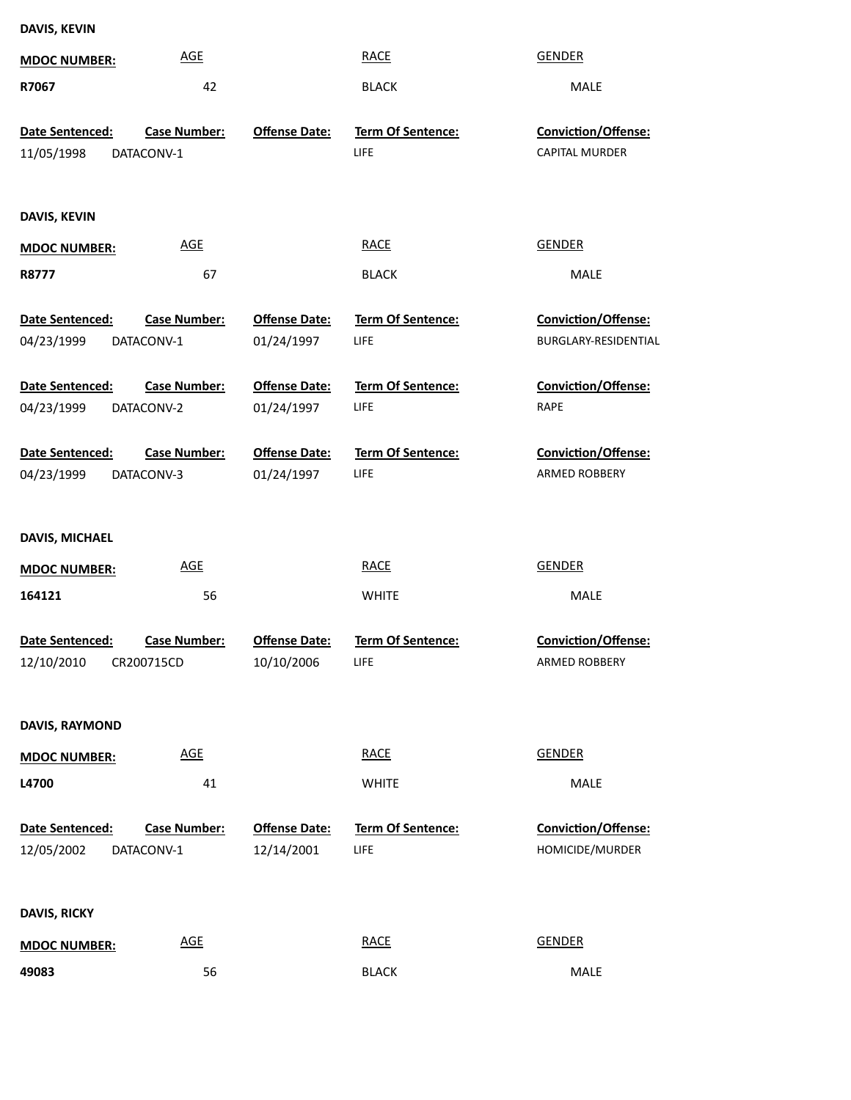| DAVIS, KEVIN |  |
|--------------|--|
|--------------|--|

| <b>MDOC NUMBER:</b>                  | <b>AGE</b>                        |                                    | <b>RACE</b>                             | <b>GENDER</b>                                |
|--------------------------------------|-----------------------------------|------------------------------------|-----------------------------------------|----------------------------------------------|
| R7067                                | 42                                |                                    | <b>BLACK</b>                            | MALE                                         |
| <b>Date Sentenced:</b><br>11/05/1998 | <b>Case Number:</b><br>DATACONV-1 | <b>Offense Date:</b>               | Term Of Sentence:<br>LIFE               | Conviction/Offense:<br><b>CAPITAL MURDER</b> |
| DAVIS, KEVIN                         |                                   |                                    |                                         |                                              |
| <b>MDOC NUMBER:</b>                  | <b>AGE</b>                        |                                    | <b>RACE</b>                             | <b>GENDER</b>                                |
| R8777                                | 67                                |                                    | <b>BLACK</b>                            | MALE                                         |
| Date Sentenced:<br>04/23/1999        | <b>Case Number:</b><br>DATACONV-1 | <b>Offense Date:</b><br>01/24/1997 | <b>Term Of Sentence:</b><br>LIFE        | Conviction/Offense:<br>BURGLARY-RESIDENTIAL  |
| Date Sentenced:<br>04/23/1999        | <b>Case Number:</b><br>DATACONV-2 | <b>Offense Date:</b><br>01/24/1997 | <b>Term Of Sentence:</b><br><b>LIFE</b> | Conviction/Offense:<br><b>RAPE</b>           |
| Date Sentenced:<br>04/23/1999        | <b>Case Number:</b><br>DATACONV-3 | <b>Offense Date:</b><br>01/24/1997 | <b>Term Of Sentence:</b><br>LIFE        | Conviction/Offense:<br>ARMED ROBBERY         |
| DAVIS, MICHAEL                       |                                   |                                    |                                         |                                              |
| <b>MDOC NUMBER:</b>                  | <b>AGE</b>                        |                                    | <b>RACE</b>                             | <b>GENDER</b>                                |
| 164121                               | 56                                |                                    | <b>WHITE</b>                            | MALE                                         |
| Date Sentenced:                      | <b>Case Number:</b>               | <b>Offense Date:</b><br>10/10/2006 | Term Of Sentence:<br>LIFE               | Conviction/Offense:<br>ARMED ROBBERY         |
| DAVIS, RAYMOND                       |                                   |                                    |                                         |                                              |
| <b>MDOC NUMBER:</b>                  | <b>AGE</b>                        |                                    | <b>RACE</b>                             | <b>GENDER</b>                                |
| L4700                                | 41                                |                                    | <b>WHITE</b>                            | MALE                                         |
| Date Sentenced:<br>12/05/2002        | <b>Case Number:</b><br>DATACONV-1 | <b>Offense Date:</b><br>12/14/2001 | Term Of Sentence:<br><b>LIFE</b>        | Conviction/Offense:<br>HOMICIDE/MURDER       |
| <b>DAVIS, RICKY</b>                  |                                   |                                    |                                         |                                              |
| <b>MDOC NUMBER:</b>                  | <b>AGE</b>                        |                                    | <b>RACE</b>                             | <b>GENDER</b>                                |
| 49083                                | 56                                |                                    | <b>BLACK</b>                            | MALE                                         |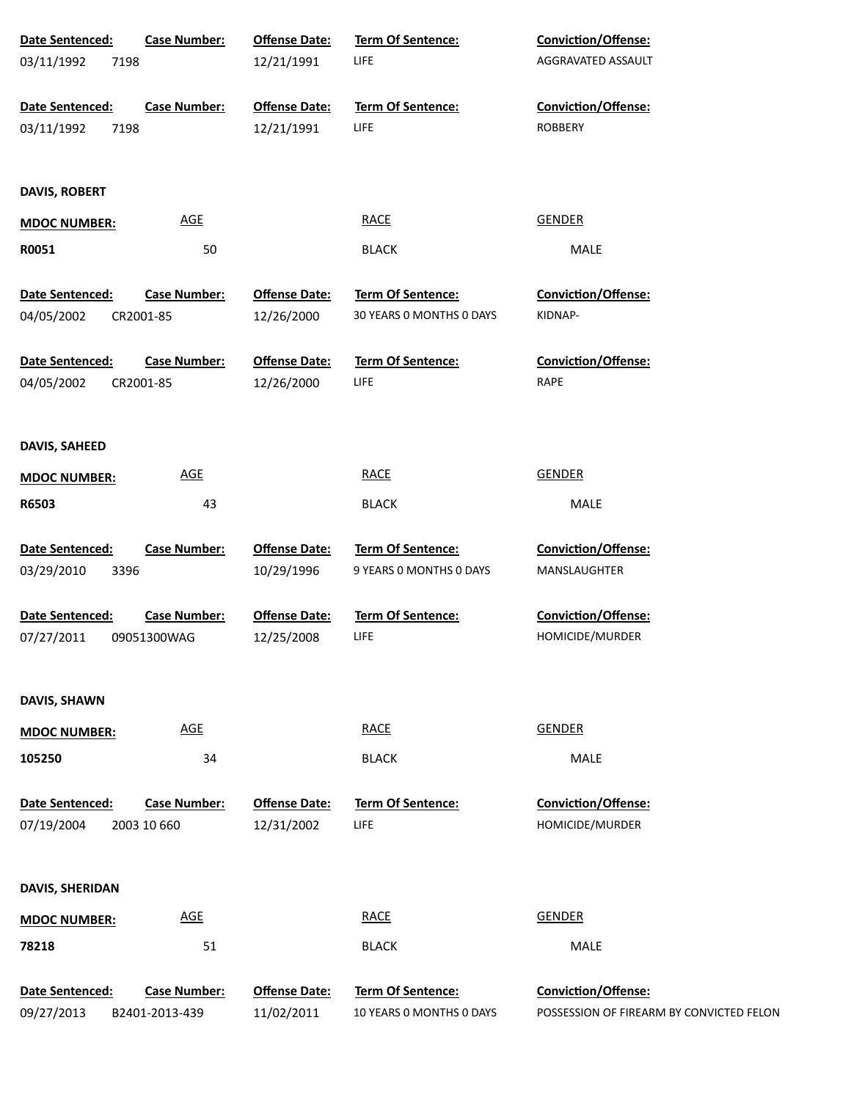| Date Sentenced:<br>03/11/1992<br>7198 | <b>Case Number:</b>                   | <b>Offense Date:</b><br>12/21/1991 | Term Of Sentence:<br>LIFE                            | Conviction/Offense:<br>AGGRAVATED ASSAULT                              |
|---------------------------------------|---------------------------------------|------------------------------------|------------------------------------------------------|------------------------------------------------------------------------|
| Date Sentenced:<br>03/11/1992<br>7198 | <b>Case Number:</b>                   | <b>Offense Date:</b><br>12/21/1991 | Term Of Sentence:<br>LIFE                            | Conviction/Offense:<br><b>ROBBERY</b>                                  |
| DAVIS, ROBERT                         |                                       |                                    |                                                      |                                                                        |
| <b>MDOC NUMBER:</b>                   | <u>AGE</u>                            |                                    | <b>RACE</b>                                          | <b>GENDER</b>                                                          |
| R0051                                 | 50                                    |                                    | <b>BLACK</b>                                         | MALE                                                                   |
| Date Sentenced:<br>04/05/2002         | <b>Case Number:</b><br>CR2001-85      | <b>Offense Date:</b><br>12/26/2000 | Term Of Sentence:<br>30 YEARS 0 MONTHS 0 DAYS        | Conviction/Offense:<br>KIDNAP-                                         |
| Date Sentenced:<br>04/05/2002         | <b>Case Number:</b><br>CR2001-85      | <b>Offense Date:</b><br>12/26/2000 | Term Of Sentence:<br>LIFE                            | <b>Conviction/Offense:</b><br>RAPE                                     |
| DAVIS, SAHEED                         |                                       |                                    |                                                      |                                                                        |
| <b>MDOC NUMBER:</b>                   | <b>AGE</b>                            |                                    | <b>RACE</b>                                          | <b>GENDER</b>                                                          |
| R6503                                 | 43                                    |                                    | <b>BLACK</b>                                         | MALE                                                                   |
| Date Sentenced:<br>03/29/2010<br>3396 | <b>Case Number:</b>                   | <b>Offense Date:</b><br>10/29/1996 | <b>Term Of Sentence:</b><br>9 YEARS 0 MONTHS 0 DAYS  | <b>Conviction/Offense:</b><br>MANSLAUGHTER                             |
| Date Sentenced:<br>07/27/2011         | <b>Case Number:</b><br>09051300WAG    | <b>Offense Date:</b><br>12/25/2008 | Term Of Sentence:<br>LIFE                            | <b>Conviction/Offense:</b><br>HOMICIDE/MURDER                          |
| DAVIS, SHAWN                          |                                       |                                    |                                                      |                                                                        |
| <b>MDOC NUMBER:</b>                   | <b>AGE</b>                            |                                    | <b>RACE</b>                                          | <b>GENDER</b>                                                          |
| 105250                                | 34                                    |                                    | <b>BLACK</b>                                         | MALE                                                                   |
| Date Sentenced:<br>07/19/2004         | <b>Case Number:</b><br>2003 10 660    | <b>Offense Date:</b><br>12/31/2002 | <b>Term Of Sentence:</b><br>LIFE                     | Conviction/Offense:<br>HOMICIDE/MURDER                                 |
| DAVIS, SHERIDAN                       |                                       |                                    |                                                      |                                                                        |
| <b>MDOC NUMBER:</b>                   | <b>AGE</b>                            |                                    | <b>RACE</b>                                          | <b>GENDER</b>                                                          |
| 78218                                 | 51                                    |                                    | <b>BLACK</b>                                         | <b>MALE</b>                                                            |
| Date Sentenced:<br>09/27/2013         | <b>Case Number:</b><br>B2401-2013-439 | <b>Offense Date:</b><br>11/02/2011 | <b>Term Of Sentence:</b><br>10 YEARS 0 MONTHS 0 DAYS | <b>Conviction/Offense:</b><br>POSSESSION OF FIREARM BY CONVICTED FELON |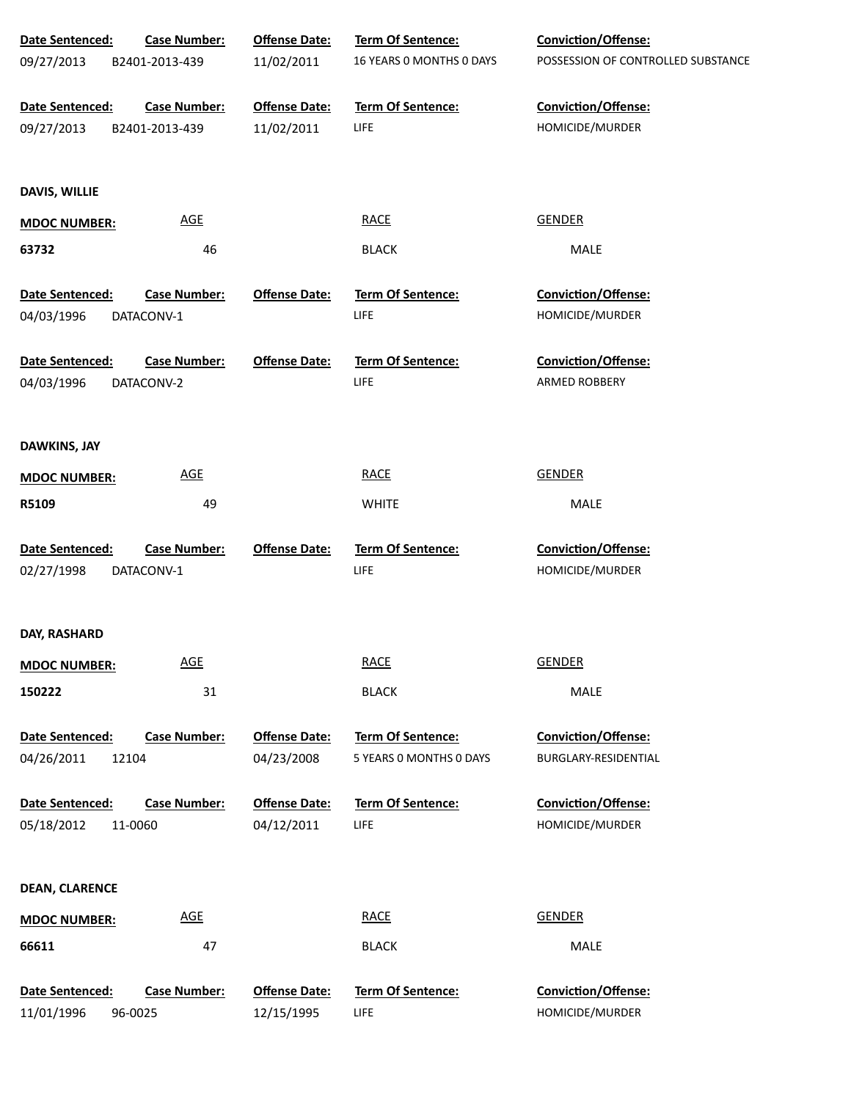| Date Sentenced:       | <b>Case Number:</b> | <b>Offense Date:</b> | Term Of Sentence:        | Conviction/Offense:                |
|-----------------------|---------------------|----------------------|--------------------------|------------------------------------|
| 09/27/2013            | B2401-2013-439      | 11/02/2011           | 16 YEARS 0 MONTHS 0 DAYS | POSSESSION OF CONTROLLED SUBSTANCE |
| Date Sentenced:       | <b>Case Number:</b> | <b>Offense Date:</b> | Term Of Sentence:        | Conviction/Offense:                |
| 09/27/2013            | B2401-2013-439      | 11/02/2011           | LIFE                     | HOMICIDE/MURDER                    |
|                       |                     |                      |                          |                                    |
| DAVIS, WILLIE         |                     |                      |                          |                                    |
| <b>MDOC NUMBER:</b>   | <b>AGE</b>          |                      | <b>RACE</b>              | <b>GENDER</b>                      |
| 63732                 | 46                  |                      | <b>BLACK</b>             | MALE                               |
| Date Sentenced:       | <b>Case Number:</b> | <b>Offense Date:</b> | <b>Term Of Sentence:</b> | <b>Conviction/Offense:</b>         |
| 04/03/1996            | DATACONV-1          |                      | LIFE                     | HOMICIDE/MURDER                    |
| Date Sentenced:       | <b>Case Number:</b> | <b>Offense Date:</b> | <b>Term Of Sentence:</b> | <b>Conviction/Offense:</b>         |
| 04/03/1996            | DATACONV-2          |                      | LIFE                     | ARMED ROBBERY                      |
|                       |                     |                      |                          |                                    |
| DAWKINS, JAY          |                     |                      |                          |                                    |
| <b>MDOC NUMBER:</b>   | <b>AGE</b>          |                      | <b>RACE</b>              | <b>GENDER</b>                      |
| R5109                 | 49                  |                      | <b>WHITE</b>             | MALE                               |
| Date Sentenced:       | <b>Case Number:</b> | <b>Offense Date:</b> | Term Of Sentence:        | Conviction/Offense:                |
| 02/27/1998            | DATACONV-1          |                      | LIFE                     | HOMICIDE/MURDER                    |
|                       |                     |                      |                          |                                    |
| DAY, RASHARD          |                     |                      |                          |                                    |
| <b>MDOC NUMBER:</b>   | <b>AGE</b>          |                      | <b>RACE</b>              | <b>GENDER</b>                      |
| 150222                | 31                  |                      | <b>BLACK</b>             | MALE                               |
| Date Sentenced:       | <b>Case Number:</b> | <b>Offense Date:</b> | <b>Term Of Sentence:</b> | Conviction/Offense:                |
| 04/26/2011            | 12104               | 04/23/2008           | 5 YEARS 0 MONTHS 0 DAYS  | BURGLARY-RESIDENTIAL               |
| Date Sentenced:       | <b>Case Number:</b> | <b>Offense Date:</b> | Term Of Sentence:        | <b>Conviction/Offense:</b>         |
| 05/18/2012            | 11-0060             | 04/12/2011           | LIFE                     | HOMICIDE/MURDER                    |
|                       |                     |                      |                          |                                    |
| <b>DEAN, CLARENCE</b> |                     |                      |                          |                                    |
| <b>MDOC NUMBER:</b>   | <b>AGE</b>          |                      | <b>RACE</b>              | <b>GENDER</b>                      |
| 66611                 | 47                  |                      | <b>BLACK</b>             | MALE                               |
| Date Sentenced:       | <b>Case Number:</b> | <b>Offense Date:</b> | Term Of Sentence:        | Conviction/Offense:                |
| 11/01/1996            | 96-0025             | 12/15/1995           | LIFE                     | HOMICIDE/MURDER                    |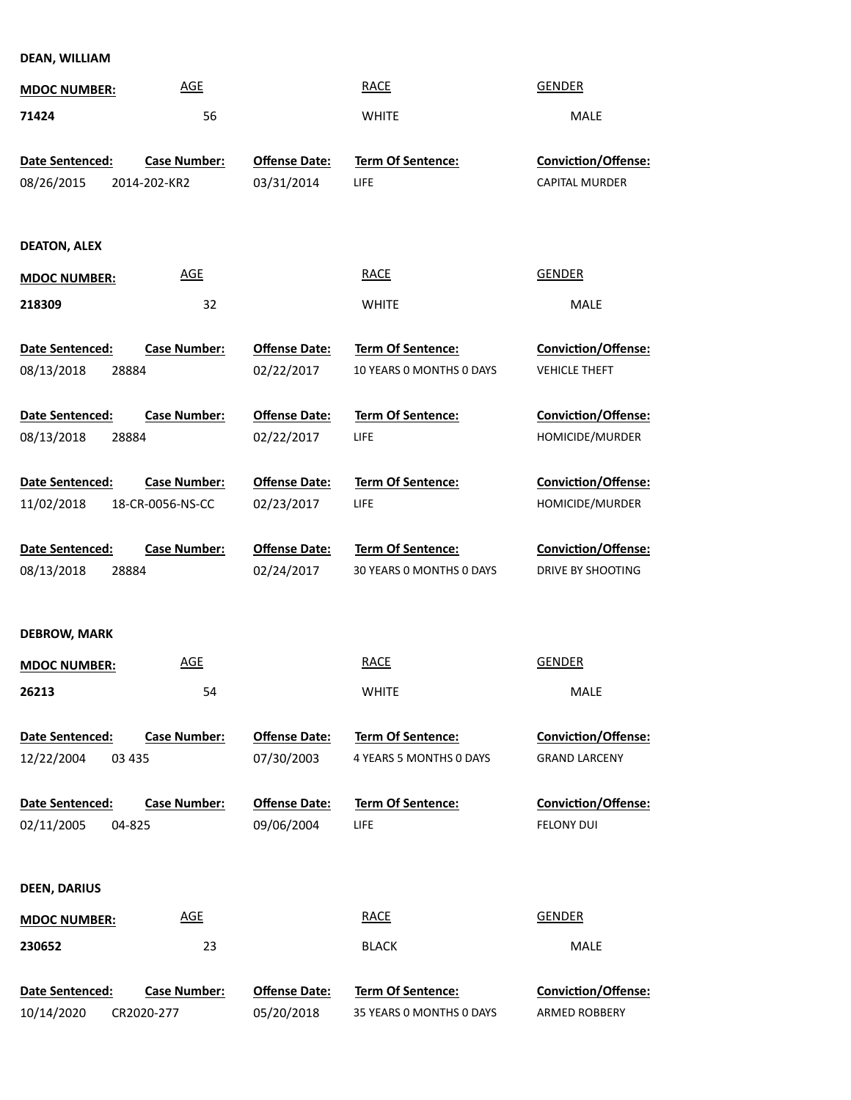**DEAN, WILLIAM**

| <b>MDOC NUMBER:</b>           | <b>AGE</b>                        |                                    | <b>RACE</b>                                          | <b>GENDER</b>                               |
|-------------------------------|-----------------------------------|------------------------------------|------------------------------------------------------|---------------------------------------------|
| 71424                         | 56                                |                                    | <b>WHITE</b>                                         | MALE                                        |
|                               |                                   |                                    |                                                      |                                             |
| Date Sentenced:               | <b>Case Number:</b>               | <b>Offense Date:</b>               | Term Of Sentence:                                    | Conviction/Offense:                         |
| 08/26/2015                    | 2014-202-KR2                      | 03/31/2014                         | <b>LIFE</b>                                          | CAPITAL MURDER                              |
|                               |                                   |                                    |                                                      |                                             |
| <b>DEATON, ALEX</b>           |                                   |                                    |                                                      |                                             |
| <b>MDOC NUMBER:</b>           | <b>AGE</b>                        |                                    | <b>RACE</b>                                          | <b>GENDER</b>                               |
| 218309                        | 32                                |                                    | <b>WHITE</b>                                         | MALE                                        |
|                               |                                   |                                    |                                                      |                                             |
| <b>Date Sentenced:</b>        | <b>Case Number:</b>               | <b>Offense Date:</b>               | Term Of Sentence:                                    | <b>Conviction/Offense:</b>                  |
| 08/13/2018<br>28884           |                                   | 02/22/2017                         | 10 YEARS 0 MONTHS 0 DAYS                             | <b>VEHICLE THEFT</b>                        |
|                               |                                   |                                    |                                                      |                                             |
| Date Sentenced:               | <b>Case Number:</b>               | <b>Offense Date:</b>               | Term Of Sentence:                                    | Conviction/Offense:                         |
| 08/13/2018<br>28884           |                                   | 02/22/2017                         | <b>LIFE</b>                                          | HOMICIDE/MURDER                             |
|                               |                                   |                                    |                                                      |                                             |
| Date Sentenced:               | <b>Case Number:</b>               | <b>Offense Date:</b>               | <b>Term Of Sentence:</b>                             | Conviction/Offense:                         |
| 11/02/2018                    | 18-CR-0056-NS-CC                  | 02/23/2017                         | <b>LIFE</b>                                          | HOMICIDE/MURDER                             |
| Date Sentenced:               | <b>Case Number:</b>               | <b>Offense Date:</b>               | <b>Term Of Sentence:</b>                             | Conviction/Offense:                         |
| 08/13/2018<br>28884           |                                   | 02/24/2017                         | 30 YEARS 0 MONTHS 0 DAYS                             | DRIVE BY SHOOTING                           |
|                               |                                   |                                    |                                                      |                                             |
|                               |                                   |                                    |                                                      |                                             |
| <b>DEBROW, MARK</b>           |                                   |                                    |                                                      |                                             |
| <b>MDOC NUMBER:</b>           | <b>AGE</b>                        |                                    | <b>RACE</b>                                          | <b>GENDER</b>                               |
| 26213                         | 54                                |                                    | <b>WHITE</b>                                         | MALE                                        |
|                               |                                   |                                    |                                                      |                                             |
| <b>Date Sentenced:</b>        | <b>Case Number:</b>               | <b>Offense Date:</b>               | <b>Term Of Sentence:</b>                             | <b>Conviction/Offense:</b>                  |
| 12/22/2004<br>03 4 35         |                                   | 07/30/2003                         | 4 YEARS 5 MONTHS 0 DAYS                              | <b>GRAND LARCENY</b>                        |
| <b>Date Sentenced:</b>        | <b>Case Number:</b>               | <b>Offense Date:</b>               | <b>Term Of Sentence:</b>                             | <b>Conviction/Offense:</b>                  |
| 02/11/2005<br>04-825          |                                   | 09/06/2004                         | <b>LIFE</b>                                          | <b>FELONY DUI</b>                           |
|                               |                                   |                                    |                                                      |                                             |
|                               |                                   |                                    |                                                      |                                             |
| <b>DEEN, DARIUS</b>           |                                   |                                    |                                                      |                                             |
| <b>MDOC NUMBER:</b>           | <b>AGE</b>                        |                                    | <b>RACE</b>                                          | <b>GENDER</b>                               |
| 230652                        | 23                                |                                    | <b>BLACK</b>                                         | MALE                                        |
|                               |                                   |                                    |                                                      |                                             |
| Date Sentenced:<br>10/14/2020 | <b>Case Number:</b><br>CR2020-277 | <b>Offense Date:</b><br>05/20/2018 | <b>Term Of Sentence:</b><br>35 YEARS O MONTHS O DAYS | <b>Conviction/Offense:</b><br>ARMED ROBBERY |
|                               |                                   |                                    |                                                      |                                             |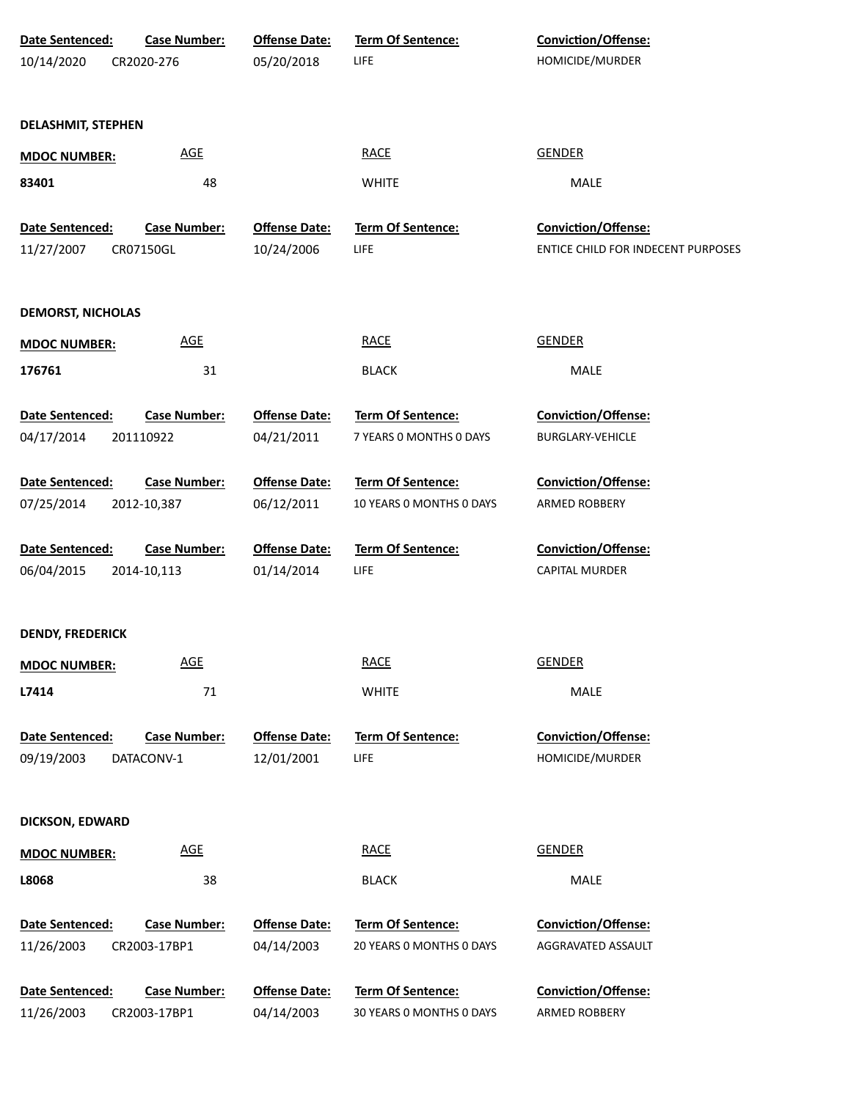| Date Sentenced:           | <b>Case Number:</b> | <b>Offense Date:</b> | <b>Term Of Sentence:</b> | <b>Conviction/Offense:</b>         |  |
|---------------------------|---------------------|----------------------|--------------------------|------------------------------------|--|
| 10/14/2020                | CR2020-276          | 05/20/2018           | LIFE                     | HOMICIDE/MURDER                    |  |
|                           |                     |                      |                          |                                    |  |
| <b>DELASHMIT, STEPHEN</b> |                     |                      |                          |                                    |  |
|                           | AGE                 |                      | <b>RACE</b>              | <b>GENDER</b>                      |  |
| <b>MDOC NUMBER:</b>       |                     |                      |                          |                                    |  |
| 83401                     | 48                  |                      | <b>WHITE</b>             | MALE                               |  |
| Date Sentenced:           | <b>Case Number:</b> | <b>Offense Date:</b> | Term Of Sentence:        | Conviction/Offense:                |  |
| 11/27/2007                | CR07150GL           | 10/24/2006           | <b>LIFE</b>              | ENTICE CHILD FOR INDECENT PURPOSES |  |
|                           |                     |                      |                          |                                    |  |
| <b>DEMORST, NICHOLAS</b>  |                     |                      |                          |                                    |  |
|                           | <b>AGE</b>          |                      | <b>RACE</b>              | <b>GENDER</b>                      |  |
| <b>MDOC NUMBER:</b>       |                     |                      |                          |                                    |  |
| 176761                    | 31                  |                      | <b>BLACK</b>             | MALE                               |  |
| Date Sentenced:           | <b>Case Number:</b> | <b>Offense Date:</b> | Term Of Sentence:        | <b>Conviction/Offense:</b>         |  |
| 04/17/2014                | 201110922           | 04/21/2011           | 7 YEARS 0 MONTHS 0 DAYS  | <b>BURGLARY-VEHICLE</b>            |  |
|                           |                     |                      |                          |                                    |  |
| Date Sentenced:           | <b>Case Number:</b> | <b>Offense Date:</b> | <b>Term Of Sentence:</b> | <b>Conviction/Offense:</b>         |  |
| 07/25/2014                | 2012-10,387         | 06/12/2011           | 10 YEARS O MONTHS O DAYS | ARMED ROBBERY                      |  |
| Date Sentenced:           | <b>Case Number:</b> | <b>Offense Date:</b> | Term Of Sentence:        | <b>Conviction/Offense:</b>         |  |
| 06/04/2015                | 2014-10,113         | 01/14/2014           | LIFE                     | <b>CAPITAL MURDER</b>              |  |
|                           |                     |                      |                          |                                    |  |
| <b>DENDY, FREDERICK</b>   |                     |                      |                          |                                    |  |
|                           | <b>AGE</b>          |                      | <b>RACE</b>              | <b>GENDER</b>                      |  |
| <b>MDOC NUMBER:</b>       |                     |                      |                          |                                    |  |
| L7414                     | $71\,$              |                      | <b>WHITE</b>             | MALE                               |  |
| <b>Date Sentenced:</b>    | <b>Case Number:</b> | <b>Offense Date:</b> | Term Of Sentence:        | Conviction/Offense:                |  |
| 09/19/2003                | DATACONV-1          | 12/01/2001           | LIFE                     | HOMICIDE/MURDER                    |  |
|                           |                     |                      |                          |                                    |  |
| <b>DICKSON, EDWARD</b>    |                     |                      |                          |                                    |  |
|                           |                     |                      |                          |                                    |  |
| <b>MDOC NUMBER:</b>       | <b>AGE</b>          |                      | <b>RACE</b>              | <b>GENDER</b>                      |  |
| L8068                     | 38                  |                      | <b>BLACK</b>             | MALE                               |  |
|                           |                     |                      |                          |                                    |  |
| Date Sentenced:           | <b>Case Number:</b> | <b>Offense Date:</b> | <b>Term Of Sentence:</b> | <b>Conviction/Offense:</b>         |  |
| 11/26/2003                | CR2003-17BP1        | 04/14/2003           | 20 YEARS 0 MONTHS 0 DAYS | AGGRAVATED ASSAULT                 |  |
| Date Sentenced:           | <b>Case Number:</b> | <b>Offense Date:</b> | <b>Term Of Sentence:</b> | <b>Conviction/Offense:</b>         |  |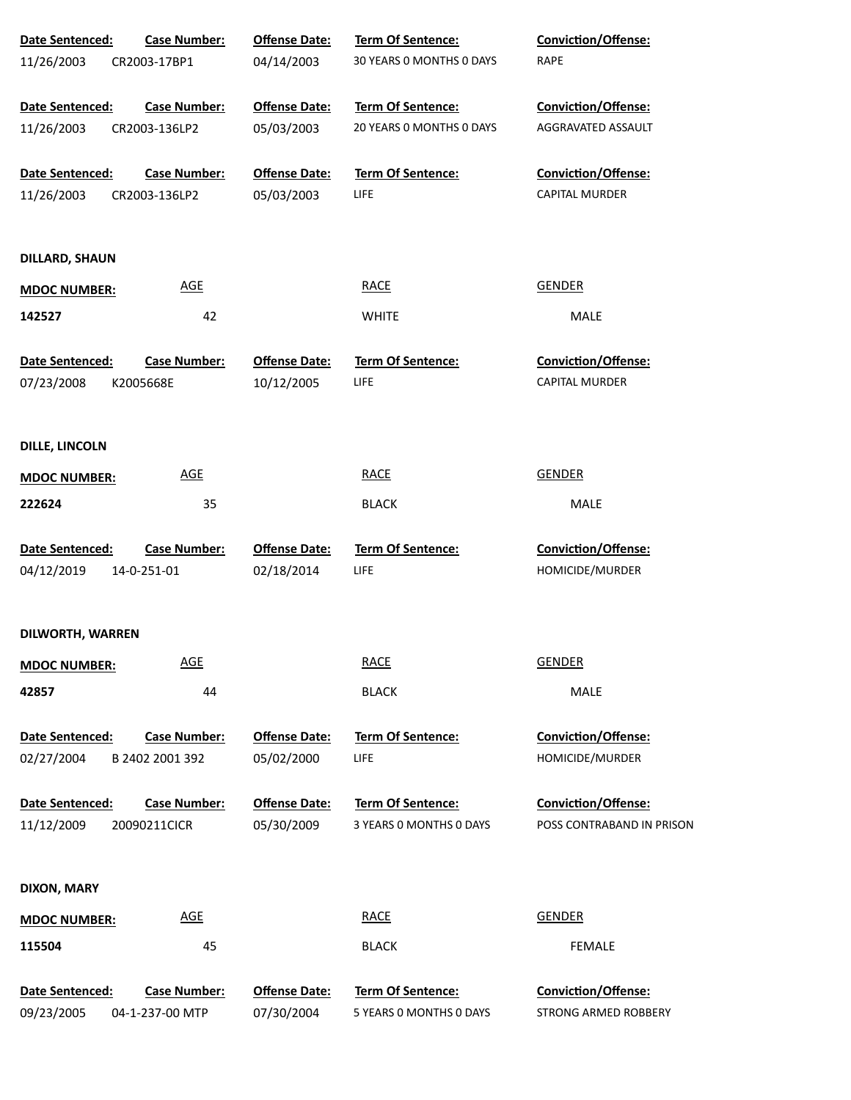| Date Sentenced:                      | <b>Case Number:</b>                    | <b>Offense Date:</b>               | Term Of Sentence:                       | Conviction/Offense:                                 |  |
|--------------------------------------|----------------------------------------|------------------------------------|-----------------------------------------|-----------------------------------------------------|--|
| 11/26/2003                           | CR2003-17BP1                           | 04/14/2003                         | 30 YEARS 0 MONTHS 0 DAYS                | <b>RAPE</b>                                         |  |
| Date Sentenced:                      | <b>Case Number:</b>                    | <b>Offense Date:</b>               | Term Of Sentence:                       | <b>Conviction/Offense:</b>                          |  |
| 11/26/2003                           | CR2003-136LP2                          | 05/03/2003                         | 20 YEARS 0 MONTHS 0 DAYS                | AGGRAVATED ASSAULT                                  |  |
| Date Sentenced:                      | <b>Case Number:</b>                    | <b>Offense Date:</b>               | <b>Term Of Sentence:</b>                | Conviction/Offense:                                 |  |
| 11/26/2003                           | CR2003-136LP2                          | 05/03/2003                         | LIFE                                    | <b>CAPITAL MURDER</b>                               |  |
| <b>DILLARD, SHAUN</b>                |                                        |                                    |                                         |                                                     |  |
| <b>MDOC NUMBER:</b>                  | <b>AGE</b>                             |                                    | <b>RACE</b>                             | <b>GENDER</b>                                       |  |
| 142527                               | 42                                     |                                    | <b>WHITE</b>                            | MALE                                                |  |
| <b>Date Sentenced:</b><br>07/23/2008 | <b>Case Number:</b><br>K2005668E       | <b>Offense Date:</b><br>10/12/2005 | <b>Term Of Sentence:</b><br>LIFE        | <b>Conviction/Offense:</b><br><b>CAPITAL MURDER</b> |  |
| <b>DILLE, LINCOLN</b>                |                                        |                                    |                                         |                                                     |  |
| <b>MDOC NUMBER:</b>                  | <b>AGE</b>                             |                                    | <b>RACE</b>                             | <b>GENDER</b>                                       |  |
| 222624                               | 35                                     |                                    | <b>BLACK</b>                            | MALE                                                |  |
| Date Sentenced:<br>04/12/2019        | <b>Case Number:</b><br>14-0-251-01     | <b>Offense Date:</b><br>02/18/2014 | Term Of Sentence:<br><b>LIFE</b>        | <b>Conviction/Offense:</b><br>HOMICIDE/MURDER       |  |
| DILWORTH, WARREN                     |                                        |                                    |                                         |                                                     |  |
| <b>MDOC NUMBER:</b>                  | <b>AGE</b>                             |                                    | <b>RACE</b>                             | <b>GENDER</b>                                       |  |
| 42857                                | 44                                     |                                    | <b>BLACK</b>                            | MALE                                                |  |
| Date Sentenced:<br>02/27/2004        | <b>Case Number:</b><br>B 2402 2001 392 | <b>Offense Date:</b><br>05/02/2000 | <b>Term Of Sentence:</b><br><b>LIFE</b> | <b>Conviction/Offense:</b><br>HOMICIDE/MURDER       |  |
| Date Sentenced:                      | <b>Case Number:</b>                    | <b>Offense Date:</b>               | <b>Term Of Sentence:</b>                | <b>Conviction/Offense:</b>                          |  |
| 11/12/2009                           | 20090211CICR                           | 05/30/2009                         | 3 YEARS 0 MONTHS 0 DAYS                 | POSS CONTRABAND IN PRISON                           |  |
| <b>DIXON, MARY</b>                   |                                        |                                    |                                         |                                                     |  |
| <b>MDOC NUMBER:</b>                  | <b>AGE</b>                             |                                    | <b>RACE</b>                             | <b>GENDER</b>                                       |  |
| 115504                               | 45                                     |                                    | <b>BLACK</b>                            | <b>FEMALE</b>                                       |  |
| Date Sentenced:                      | <b>Case Number:</b>                    | <b>Offense Date:</b>               | Term Of Sentence:                       | Conviction/Offense:                                 |  |
| 09/23/2005                           | 04-1-237-00 MTP                        | 07/30/2004                         | 5 YEARS 0 MONTHS 0 DAYS                 | STRONG ARMED ROBBERY                                |  |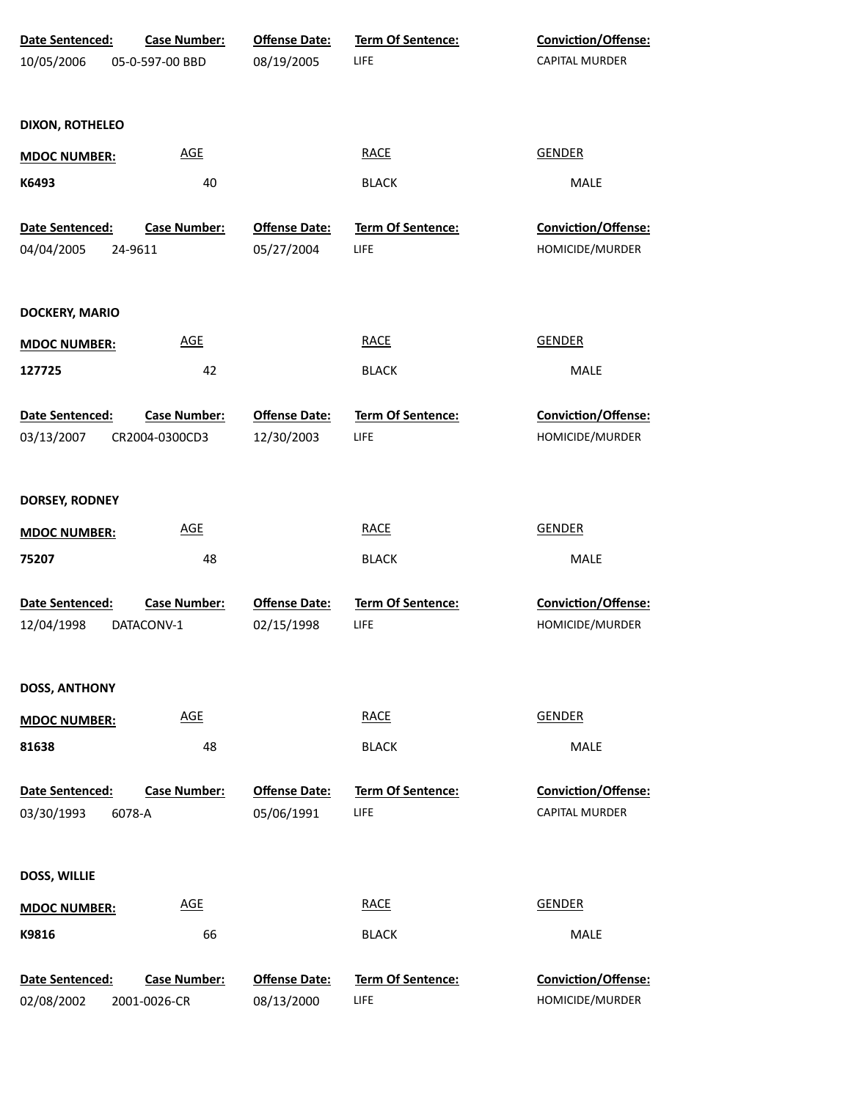| Date Sentenced:        | <b>Case Number:</b> | <b>Offense Date:</b> | <b>Term Of Sentence:</b> | Conviction/Offense:        |
|------------------------|---------------------|----------------------|--------------------------|----------------------------|
| 10/05/2006             | 05-0-597-00 BBD     | 08/19/2005           | LIFE                     | <b>CAPITAL MURDER</b>      |
|                        |                     |                      |                          |                            |
| <b>DIXON, ROTHELEO</b> |                     |                      |                          |                            |
| <b>MDOC NUMBER:</b>    | <b>AGE</b>          |                      | <b>RACE</b>              | <b>GENDER</b>              |
| K6493                  | 40                  |                      | <b>BLACK</b>             | MALE                       |
| Date Sentenced:        | <b>Case Number:</b> | <b>Offense Date:</b> | Term Of Sentence:        | Conviction/Offense:        |
| 04/04/2005             | 24-9611             | 05/27/2004           | LIFE                     | HOMICIDE/MURDER            |
| <b>DOCKERY, MARIO</b>  |                     |                      |                          |                            |
| <b>MDOC NUMBER:</b>    | <b>AGE</b>          |                      | <b>RACE</b>              | <b>GENDER</b>              |
| 127725                 | 42                  |                      | <b>BLACK</b>             | MALE                       |
| <b>Date Sentenced:</b> | <b>Case Number:</b> | <b>Offense Date:</b> | Term Of Sentence:        | Conviction/Offense:        |
| 03/13/2007             | CR2004-0300CD3      | 12/30/2003           | LIFE                     | HOMICIDE/MURDER            |
| DORSEY, RODNEY         |                     |                      |                          |                            |
| <b>MDOC NUMBER:</b>    | <b>AGE</b>          |                      | <b>RACE</b>              | <b>GENDER</b>              |
| 75207                  | 48                  |                      | <b>BLACK</b>             | MALE                       |
| Date Sentenced:        | <b>Case Number:</b> | <b>Offense Date:</b> | Term Of Sentence:        | Conviction/Offense:        |
| 12/04/1998             | DATACONV-1          | 02/15/1998           | LIFE                     | HOMICIDE/MURDER            |
| <b>DOSS, ANTHONY</b>   |                     |                      |                          |                            |
| <b>MDOC NUMBER:</b>    | <b>AGE</b>          |                      | <b>RACE</b>              | <b>GENDER</b>              |
| 81638                  | 48                  |                      | <b>BLACK</b>             | <b>MALE</b>                |
| <b>Date Sentenced:</b> | <b>Case Number:</b> | <b>Offense Date:</b> | Term Of Sentence:        | <b>Conviction/Offense:</b> |
| 03/30/1993             | 6078-A              | 05/06/1991           | LIFE                     | <b>CAPITAL MURDER</b>      |
| <b>DOSS, WILLIE</b>    |                     |                      |                          |                            |
| <b>MDOC NUMBER:</b>    | <b>AGE</b>          |                      | <b>RACE</b>              | <b>GENDER</b>              |
| K9816                  | 66                  |                      | <b>BLACK</b>             | <b>MALE</b>                |
| Date Sentenced:        | <b>Case Number:</b> | <b>Offense Date:</b> | Term Of Sentence:        | <b>Conviction/Offense:</b> |
| 02/08/2002             | 2001-0026-CR        | 08/13/2000           | LIFE                     | HOMICIDE/MURDER            |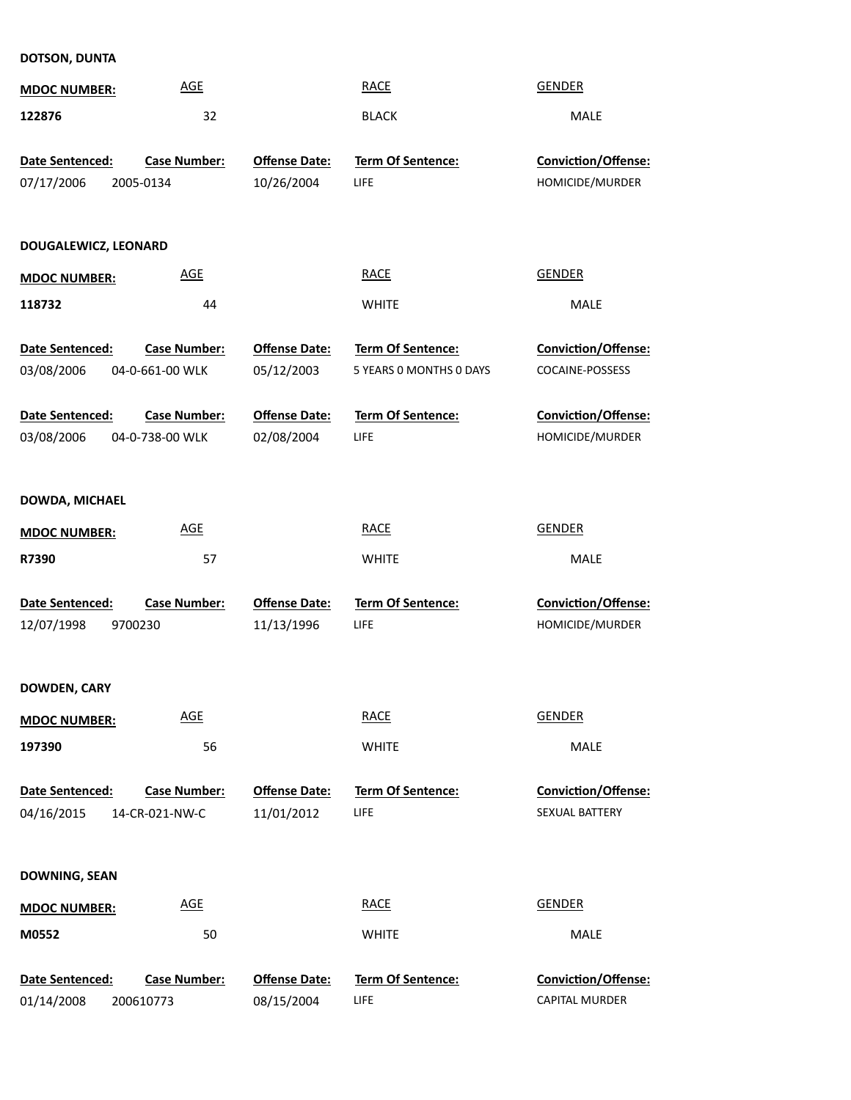## **DOTSON, DUNTA**

| <b>MDOC NUMBER:</b>                  | <b>AGE</b>                             |                                    | <b>RACE</b>                             | <b>GENDER</b>                          |  |
|--------------------------------------|----------------------------------------|------------------------------------|-----------------------------------------|----------------------------------------|--|
| 122876                               | 32                                     |                                    | <b>BLACK</b>                            | <b>MALE</b>                            |  |
| Date Sentenced:<br>07/17/2006        | <b>Case Number:</b><br>2005-0134       | <b>Offense Date:</b><br>10/26/2004 | <b>Term Of Sentence:</b><br><b>LIFE</b> | Conviction/Offense:<br>HOMICIDE/MURDER |  |
| DOUGALEWICZ, LEONARD                 |                                        |                                    |                                         |                                        |  |
| <b>MDOC NUMBER:</b>                  | <b>AGE</b>                             |                                    | <b>RACE</b>                             | <b>GENDER</b>                          |  |
| 118732                               | 44                                     |                                    | <b>WHITE</b>                            | <b>MALE</b>                            |  |
| <b>Date Sentenced:</b>               | <b>Case Number:</b>                    | <b>Offense Date:</b>               | Term Of Sentence:                       | Conviction/Offense:                    |  |
| 03/08/2006                           | 04-0-661-00 WLK                        | 05/12/2003                         | 5 YEARS 0 MONTHS 0 DAYS                 | COCAINE-POSSESS                        |  |
| <b>Date Sentenced:</b><br>03/08/2006 | <b>Case Number:</b><br>04-0-738-00 WLK | <b>Offense Date:</b><br>02/08/2004 | Term Of Sentence:<br>LIFE               | Conviction/Offense:<br>HOMICIDE/MURDER |  |
| DOWDA, MICHAEL                       |                                        |                                    |                                         |                                        |  |
| <b>MDOC NUMBER:</b>                  | <b>AGE</b>                             |                                    | <b>RACE</b>                             | <b>GENDER</b>                          |  |
| R7390                                | 57                                     |                                    | <b>WHITE</b>                            | <b>MALE</b>                            |  |
| Date Sentenced:<br>12/07/1998        | <b>Case Number:</b><br>9700230         | <b>Offense Date:</b><br>11/13/1996 | <b>Term Of Sentence:</b><br>LIFE        | Conviction/Offense:<br>HOMICIDE/MURDER |  |
| <b>DOWDEN, CARY</b>                  |                                        |                                    |                                         |                                        |  |
| <b>MDOC NUMBER:</b>                  | <b>AGE</b>                             |                                    | <b>RACE</b>                             | <b>GENDER</b>                          |  |
| 197390                               | 56                                     |                                    | <b>WHITE</b>                            | MALE                                   |  |
| Date Sentenced:<br>04/16/2015        | <b>Case Number:</b><br>14-CR-021-NW-C  | <b>Offense Date:</b><br>11/01/2012 | <b>Term Of Sentence:</b><br>LIFE        | Conviction/Offense:<br>SEXUAL BATTERY  |  |
| <b>DOWNING, SEAN</b>                 |                                        |                                    |                                         |                                        |  |
| <b>MDOC NUMBER:</b>                  | <b>AGE</b>                             |                                    | <b>RACE</b>                             | <b>GENDER</b>                          |  |
| M0552                                | 50                                     |                                    | <b>WHITE</b>                            | MALE                                   |  |
| Date Sentenced:<br>01/14/2008        | <b>Case Number:</b><br>200610773       | <b>Offense Date:</b><br>08/15/2004 | Term Of Sentence:<br>LIFE               | Conviction/Offense:<br>CAPITAL MURDER  |  |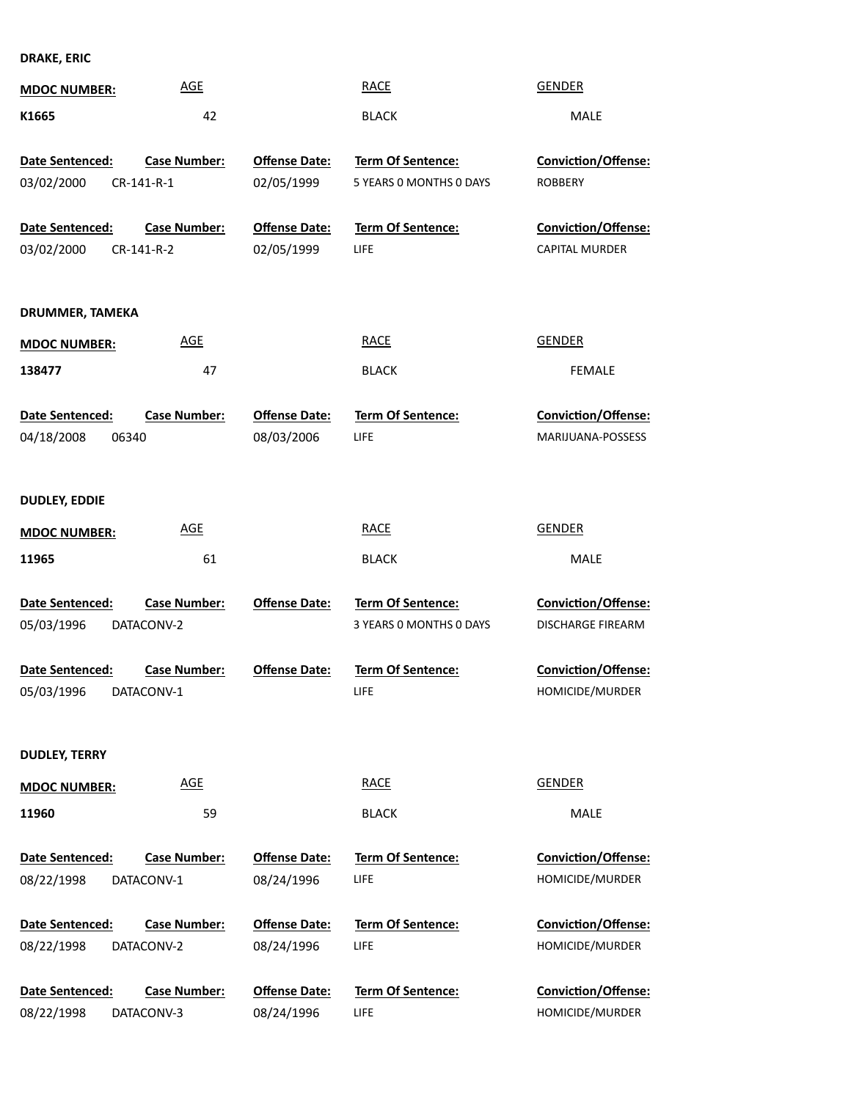**DRAKE, ERIC**

| <b>MDOC NUMBER:</b>                                            | <b>AGE</b>                                                             |                                              | <b>RACE</b>                                                               | <b>GENDER</b>                                                                             |
|----------------------------------------------------------------|------------------------------------------------------------------------|----------------------------------------------|---------------------------------------------------------------------------|-------------------------------------------------------------------------------------------|
| K1665                                                          | 42                                                                     |                                              | <b>BLACK</b>                                                              | <b>MALE</b>                                                                               |
| Date Sentenced:<br>03/02/2000                                  | <b>Case Number:</b><br>CR-141-R-1                                      | <b>Offense Date:</b><br>02/05/1999           | Term Of Sentence:<br>5 YEARS 0 MONTHS 0 DAYS                              | Conviction/Offense:<br><b>ROBBERY</b>                                                     |
| Date Sentenced:                                                | <b>Case Number:</b>                                                    | <b>Offense Date:</b>                         | Term Of Sentence:                                                         | Conviction/Offense:                                                                       |
| 03/02/2000                                                     | CR-141-R-2                                                             | 02/05/1999                                   | LIFE                                                                      | CAPITAL MURDER                                                                            |
| DRUMMER, TAMEKA                                                |                                                                        |                                              |                                                                           |                                                                                           |
| <b>MDOC NUMBER:</b>                                            | <b>AGE</b>                                                             |                                              | <b>RACE</b>                                                               | <b>GENDER</b>                                                                             |
| 138477                                                         | 47                                                                     |                                              | <b>BLACK</b>                                                              | FEMALE                                                                                    |
| Date Sentenced:                                                | <b>Case Number:</b>                                                    | <b>Offense Date:</b>                         | Term Of Sentence:                                                         | Conviction/Offense:                                                                       |
| 04/18/2008<br>06340                                            |                                                                        | 08/03/2006                                   | <b>LIFE</b>                                                               | MARIJUANA-POSSESS                                                                         |
| <b>DUDLEY, EDDIE</b>                                           |                                                                        |                                              |                                                                           |                                                                                           |
| <b>MDOC NUMBER:</b>                                            | <b>AGE</b>                                                             |                                              | <b>RACE</b>                                                               | <b>GENDER</b>                                                                             |
| 11965                                                          | 61                                                                     |                                              | <b>BLACK</b>                                                              | <b>MALE</b>                                                                               |
| Date Sentenced:<br>05/03/1996<br>Date Sentenced:<br>05/03/1996 | <b>Case Number:</b><br>DATACONV-2<br><b>Case Number:</b><br>DATACONV-1 | <b>Offense Date:</b><br><b>Offense Date:</b> | Term Of Sentence:<br>3 YEARS 0 MONTHS 0 DAYS<br>Term Of Sentence:<br>LIFE | Conviction/Offense:<br><b>DISCHARGE FIREARM</b><br>Conviction/Offense:<br>HOMICIDE/MURDER |
| <b>DUDLEY, TERRY</b>                                           |                                                                        |                                              |                                                                           |                                                                                           |
| <b>MDOC NUMBER:</b>                                            | <b>AGE</b>                                                             |                                              | <b>RACE</b>                                                               | GENDER                                                                                    |
| 11960                                                          | 59                                                                     |                                              | <b>BLACK</b>                                                              | MALE                                                                                      |
| Date Sentenced:                                                | <b>Case Number:</b>                                                    | <b>Offense Date:</b>                         | Term Of Sentence:                                                         | <b>Conviction/Offense:</b>                                                                |
| 08/22/1998                                                     | DATACONV-1                                                             | 08/24/1996                                   | <b>LIFE</b>                                                               | HOMICIDE/MURDER                                                                           |
| Date Sentenced:<br>08/22/1998                                  | <b>Case Number:</b><br>DATACONV-2                                      | <b>Offense Date:</b><br>08/24/1996           | <b>Term Of Sentence:</b><br><b>LIFE</b>                                   | <b>Conviction/Offense:</b><br>HOMICIDE/MURDER                                             |
| Date Sentenced:<br>08/22/1998                                  | <b>Case Number:</b><br>DATACONV-3                                      | <b>Offense Date:</b><br>08/24/1996           | Term Of Sentence:<br>LIFE                                                 | <b>Conviction/Offense:</b><br>HOMICIDE/MURDER                                             |
|                                                                |                                                                        |                                              |                                                                           |                                                                                           |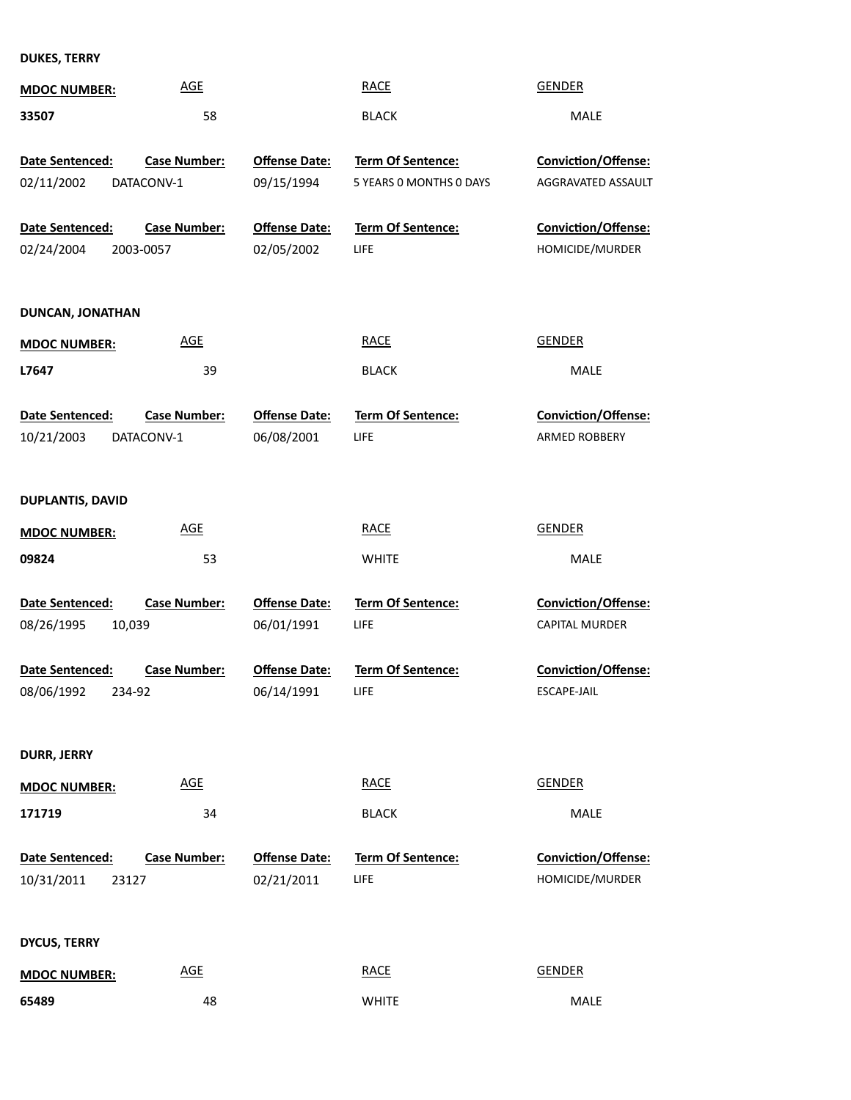**DUKES, TERRY**

| <b>MDOC NUMBER:</b>     | <b>AGE</b>          |                      | <b>RACE</b>              | <b>GENDER</b>              |
|-------------------------|---------------------|----------------------|--------------------------|----------------------------|
| 33507                   | 58                  |                      | <b>BLACK</b>             | <b>MALE</b>                |
|                         |                     |                      |                          |                            |
| Date Sentenced:         | <b>Case Number:</b> | <b>Offense Date:</b> | Term Of Sentence:        | <b>Conviction/Offense:</b> |
| 02/11/2002              | DATACONV-1          | 09/15/1994           | 5 YEARS 0 MONTHS 0 DAYS  | AGGRAVATED ASSAULT         |
| Date Sentenced:         | <b>Case Number:</b> | <b>Offense Date:</b> | <b>Term Of Sentence:</b> | Conviction/Offense:        |
| 02/24/2004              | 2003-0057           | 02/05/2002           | LIFE                     | HOMICIDE/MURDER            |
| <b>DUNCAN, JONATHAN</b> |                     |                      |                          |                            |
| <b>MDOC NUMBER:</b>     | <b>AGE</b>          |                      | <b>RACE</b>              | <b>GENDER</b>              |
| L7647                   | 39                  |                      | <b>BLACK</b>             | <b>MALE</b>                |
| Date Sentenced:         | <b>Case Number:</b> | <b>Offense Date:</b> | Term Of Sentence:        | Conviction/Offense:        |
| 10/21/2003              | DATACONV-1          | 06/08/2001           | LIFE                     | ARMED ROBBERY              |
|                         |                     |                      |                          |                            |
| <b>DUPLANTIS, DAVID</b> |                     |                      |                          |                            |
| <b>MDOC NUMBER:</b>     | <b>AGE</b>          |                      | <b>RACE</b>              | <b>GENDER</b>              |
| 09824                   | 53                  |                      | <b>WHITE</b>             | <b>MALE</b>                |
| Date Sentenced:         | <b>Case Number:</b> | <b>Offense Date:</b> | Term Of Sentence:        | Conviction/Offense:        |
| 08/26/1995<br>10,039    |                     | 06/01/1991           | LIFE                     | CAPITAL MURDER             |
| Date Sentenced:         | <b>Case Number:</b> | <b>Offense Date:</b> | Term Of Sentence:        | Conviction/Offense:        |
| 08/06/1992<br>234-92    |                     | 06/14/1991           | <b>LIFE</b>              | <b>ESCAPE-JAIL</b>         |
|                         |                     |                      |                          |                            |
| <b>DURR, JERRY</b>      |                     |                      |                          |                            |
| <b>MDOC NUMBER:</b>     | <b>AGE</b>          |                      | <b>RACE</b>              | <b>GENDER</b>              |
| 171719                  | 34                  |                      | <b>BLACK</b>             | MALE                       |
|                         |                     |                      |                          |                            |
| Date Sentenced:         | <b>Case Number:</b> | <b>Offense Date:</b> | <b>Term Of Sentence:</b> | <b>Conviction/Offense:</b> |
| 10/31/2011<br>23127     |                     | 02/21/2011           | LIFE                     | HOMICIDE/MURDER            |
|                         |                     |                      |                          |                            |
| <b>DYCUS, TERRY</b>     |                     |                      |                          |                            |
| <b>MDOC NUMBER:</b>     | <b>AGE</b>          |                      | <b>RACE</b>              | <b>GENDER</b>              |
| 65489                   | 48                  |                      | <b>WHITE</b>             | MALE                       |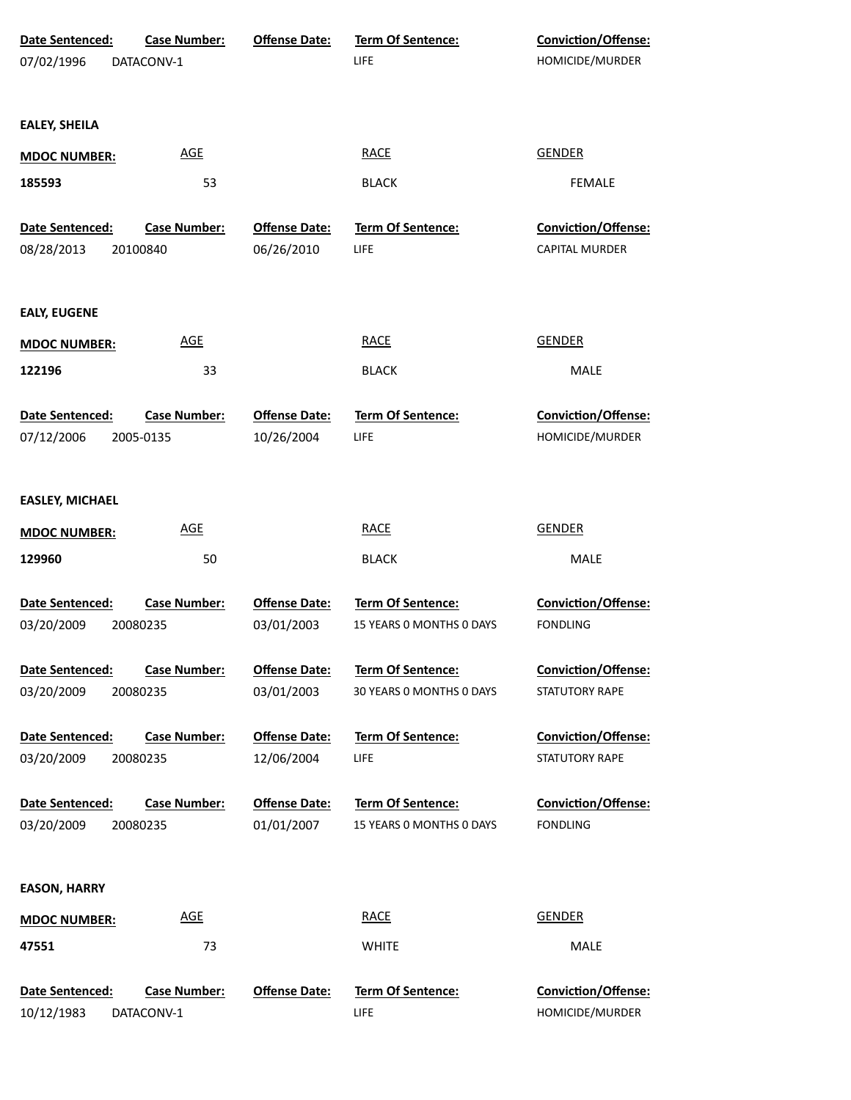| Date Sentenced:        | <b>Case Number:</b> | <b>Offense Date:</b> | Term Of Sentence:        | Conviction/Offense:        |
|------------------------|---------------------|----------------------|--------------------------|----------------------------|
| 07/02/1996             | DATACONV-1          |                      | LIFE                     | HOMICIDE/MURDER            |
|                        |                     |                      |                          |                            |
|                        |                     |                      |                          |                            |
| <b>EALEY, SHEILA</b>   |                     |                      |                          |                            |
| <b>MDOC NUMBER:</b>    | <b>AGE</b>          |                      | <b>RACE</b>              | <b>GENDER</b>              |
| 185593                 | 53                  |                      | <b>BLACK</b>             | <b>FEMALE</b>              |
|                        |                     |                      |                          |                            |
| Date Sentenced:        | <b>Case Number:</b> | <b>Offense Date:</b> | Term Of Sentence:        | Conviction/Offense:        |
| 08/28/2013             | 20100840            | 06/26/2010           | <b>LIFE</b>              | <b>CAPITAL MURDER</b>      |
|                        |                     |                      |                          |                            |
|                        |                     |                      |                          |                            |
| <b>EALY, EUGENE</b>    |                     |                      |                          |                            |
| <b>MDOC NUMBER:</b>    | <b>AGE</b>          |                      | <b>RACE</b>              | <b>GENDER</b>              |
| 122196                 | 33                  |                      | <b>BLACK</b>             | <b>MALE</b>                |
|                        |                     |                      |                          |                            |
| Date Sentenced:        | <b>Case Number:</b> | <b>Offense Date:</b> | <b>Term Of Sentence:</b> | Conviction/Offense:        |
| 07/12/2006             | 2005-0135           | 10/26/2004           | <b>LIFE</b>              | HOMICIDE/MURDER            |
|                        |                     |                      |                          |                            |
|                        |                     |                      |                          |                            |
| <b>EASLEY, MICHAEL</b> |                     |                      |                          |                            |
| <b>MDOC NUMBER:</b>    | <b>AGE</b>          |                      | <b>RACE</b>              | <b>GENDER</b>              |
| 129960                 | 50                  |                      | <b>BLACK</b>             | MALE                       |
|                        |                     |                      |                          |                            |
| Date Sentenced:        | <b>Case Number:</b> | <b>Offense Date:</b> | <b>Term Of Sentence:</b> | <b>Conviction/Offense:</b> |
| 03/20/2009             | 20080235            | 03/01/2003           | 15 YEARS O MONTHS O DAYS | <b>FONDLING</b>            |
|                        |                     |                      |                          |                            |
| Date Sentenced:        | <b>Case Number:</b> | <b>Offense Date:</b> | Term Of Sentence:        | <b>Conviction/Offense:</b> |
| 03/20/2009             | 20080235            | 03/01/2003           | 30 YEARS O MONTHS O DAYS | STATUTORY RAPE             |
| Date Sentenced:        | <b>Case Number:</b> | <b>Offense Date:</b> | <b>Term Of Sentence:</b> | <b>Conviction/Offense:</b> |
| 03/20/2009             | 20080235            | 12/06/2004           | <b>LIFE</b>              | STATUTORY RAPE             |
|                        |                     |                      |                          |                            |
| Date Sentenced:        | <b>Case Number:</b> | <b>Offense Date:</b> | Term Of Sentence:        | <b>Conviction/Offense:</b> |
| 03/20/2009             | 20080235            | 01/01/2007           | 15 YEARS O MONTHS O DAYS | <b>FONDLING</b>            |
|                        |                     |                      |                          |                            |
|                        |                     |                      |                          |                            |
| <b>EASON, HARRY</b>    |                     |                      |                          |                            |
| <b>MDOC NUMBER:</b>    | <b>AGE</b>          |                      | <b>RACE</b>              | <b>GENDER</b>              |
| 47551                  | 73                  |                      | <b>WHITE</b>             | MALE                       |
|                        |                     |                      |                          |                            |
| Date Sentenced:        | <b>Case Number:</b> | <b>Offense Date:</b> | Term Of Sentence:        | <b>Conviction/Offense:</b> |
| 10/12/1983             | DATACONV-1          |                      | LIFE                     | HOMICIDE/MURDER            |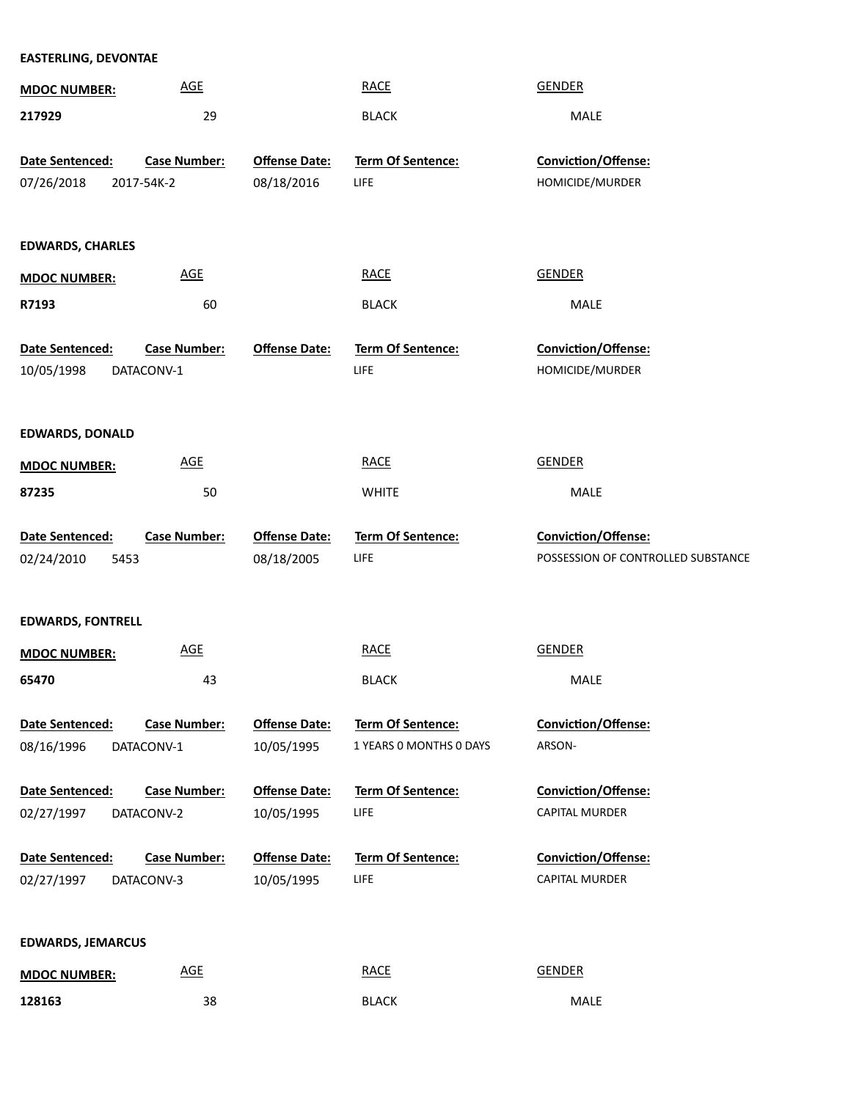| <b>EASTERLING, DEVONTAE</b>           |                                   |                                    |                                                     |                                                           |
|---------------------------------------|-----------------------------------|------------------------------------|-----------------------------------------------------|-----------------------------------------------------------|
| <b>MDOC NUMBER:</b>                   | <b>AGE</b>                        |                                    | <b>RACE</b>                                         | <b>GENDER</b>                                             |
| 217929                                | 29                                |                                    | <b>BLACK</b>                                        | MALE                                                      |
| Date Sentenced:                       | <b>Case Number:</b>               | <b>Offense Date:</b>               | Term Of Sentence:                                   | Conviction/Offense:                                       |
| 07/26/2018                            | 2017-54K-2                        | 08/18/2016                         | <b>LIFE</b>                                         | HOMICIDE/MURDER                                           |
| <b>EDWARDS, CHARLES</b>               |                                   |                                    |                                                     |                                                           |
| <b>MDOC NUMBER:</b>                   | $\underline{\mathsf{AGE}}$        |                                    | <b>RACE</b>                                         | <b>GENDER</b>                                             |
| R7193                                 | 60                                |                                    | <b>BLACK</b>                                        | MALE                                                      |
| Date Sentenced:                       | <b>Case Number:</b>               | <b>Offense Date:</b>               | Term Of Sentence:                                   | Conviction/Offense:                                       |
| 10/05/1998                            | DATACONV-1                        |                                    | <b>LIFE</b>                                         | HOMICIDE/MURDER                                           |
| <b>EDWARDS, DONALD</b>                |                                   |                                    |                                                     |                                                           |
| <b>MDOC NUMBER:</b>                   | <b>AGE</b>                        |                                    | <b>RACE</b>                                         | <b>GENDER</b>                                             |
| 87235                                 | 50                                |                                    | <b>WHITE</b>                                        | MALE                                                      |
| Date Sentenced:<br>02/24/2010<br>5453 | <b>Case Number:</b>               | <b>Offense Date:</b><br>08/18/2005 | Term Of Sentence:<br><b>LIFE</b>                    | Conviction/Offense:<br>POSSESSION OF CONTROLLED SUBSTANCE |
| <b>EDWARDS, FONTRELL</b>              |                                   |                                    |                                                     |                                                           |
| <b>MDOC NUMBER:</b>                   | <b>AGE</b>                        |                                    | <b>RACE</b>                                         | <b>GENDER</b>                                             |
| 65470                                 | 43                                |                                    | <b>BLACK</b>                                        | MALE                                                      |
| Date Sentenced:<br>08/16/1996         | <b>Case Number:</b><br>DATACONV-1 | <b>Offense Date:</b><br>10/05/1995 | <b>Term Of Sentence:</b><br>1 YEARS O MONTHS O DAYS | Conviction/Offense:<br>ARSON-                             |
| Date Sentenced:                       | <b>Case Number:</b>               | <b>Offense Date:</b>               | Term Of Sentence:                                   | Conviction/Offense:                                       |
| 02/27/1997                            | DATACONV-2                        | 10/05/1995                         | <b>LIFE</b>                                         | CAPITAL MURDER                                            |
| Date Sentenced:                       | <b>Case Number:</b>               | <b>Offense Date:</b>               | Term Of Sentence:                                   | Conviction/Offense:                                       |
| 02/27/1997                            | DATACONV-3                        | 10/05/1995                         | <b>LIFE</b>                                         | CAPITAL MURDER                                            |
| <b>EDWARDS, JEMARCUS</b>              |                                   |                                    |                                                     |                                                           |
| <b>MDOC NUMBER:</b>                   | <b>AGE</b>                        |                                    | <b>RACE</b>                                         | <b>GENDER</b>                                             |

38 BLACK MALE

**128163**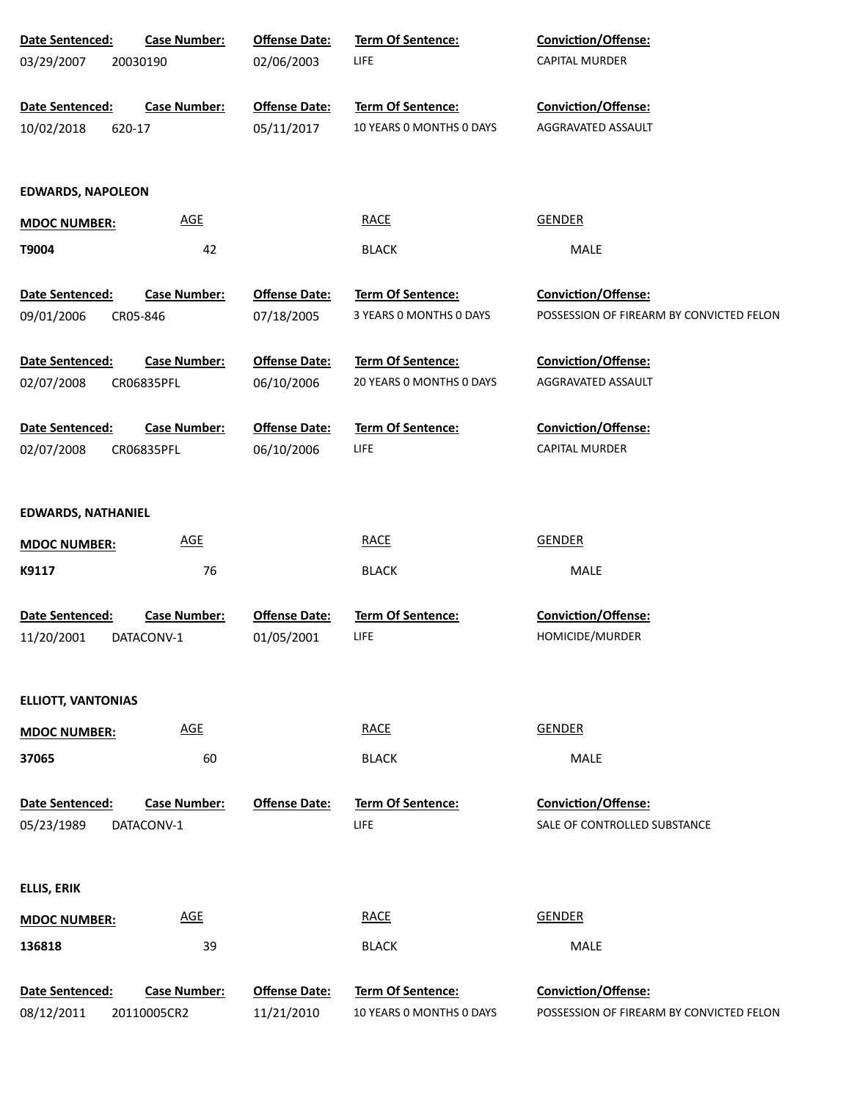| Date Sentenced:           | <b>Case Number:</b> | <b>Offense Date:</b> | Term Of Sentence:        | Conviction/Offense:                      |
|---------------------------|---------------------|----------------------|--------------------------|------------------------------------------|
| 03/29/2007                | 20030190            | 02/06/2003           | LIFE                     | CAPITAL MURDER                           |
|                           |                     |                      |                          |                                          |
| Date Sentenced:           | <b>Case Number:</b> | <b>Offense Date:</b> | <b>Term Of Sentence:</b> | <b>Conviction/Offense:</b>               |
| 10/02/2018                | 620-17              | 05/11/2017           | 10 YEARS O MONTHS O DAYS | AGGRAVATED ASSAULT                       |
|                           |                     |                      |                          |                                          |
| <b>EDWARDS, NAPOLEON</b>  |                     |                      |                          |                                          |
| <b>MDOC NUMBER:</b>       | <b>AGE</b>          |                      | <b>RACE</b>              | <b>GENDER</b>                            |
| T9004                     | 42                  |                      | <b>BLACK</b>             | MALE                                     |
| Date Sentenced:           | <b>Case Number:</b> | <b>Offense Date:</b> | Term Of Sentence:        | <b>Conviction/Offense:</b>               |
| 09/01/2006                | CR05-846            | 07/18/2005           | 3 YEARS 0 MONTHS 0 DAYS  | POSSESSION OF FIREARM BY CONVICTED FELON |
|                           |                     |                      |                          |                                          |
| Date Sentenced:           | <b>Case Number:</b> | <b>Offense Date:</b> | <b>Term Of Sentence:</b> | <b>Conviction/Offense:</b>               |
| 02/07/2008                | CR06835PFL          | 06/10/2006           | 20 YEARS O MONTHS O DAYS | AGGRAVATED ASSAULT                       |
|                           |                     |                      |                          |                                          |
| Date Sentenced:           | <b>Case Number:</b> | <b>Offense Date:</b> | <b>Term Of Sentence:</b> | <b>Conviction/Offense:</b>               |
| 02/07/2008                | CR06835PFL          | 06/10/2006           | LIFE                     | <b>CAPITAL MURDER</b>                    |
|                           |                     |                      |                          |                                          |
| <b>EDWARDS, NATHANIEL</b> |                     |                      |                          |                                          |
| <b>MDOC NUMBER:</b>       | <b>AGE</b>          |                      | <b>RACE</b>              | <b>GENDER</b>                            |
| K9117                     | 76                  |                      | <b>BLACK</b>             | MALE                                     |
|                           |                     |                      |                          |                                          |
| Date Sentenced:           | <b>Case Number:</b> | <b>Offense Date:</b> | Term Of Sentence:        | Conviction/Offense:                      |
| 11/20/2001                | DATACONV-1          | 01/05/2001           | LIFE                     | HOMICIDE/MURDER                          |
|                           |                     |                      |                          |                                          |
| <b>ELLIOTT, VANTONIAS</b> |                     |                      |                          |                                          |
| <b>MDOC NUMBER:</b>       | <b>AGE</b>          |                      | <b>RACE</b>              | <b>GENDER</b>                            |
| 37065                     | 60                  |                      | <b>BLACK</b>             | <b>MALE</b>                              |
|                           |                     |                      |                          |                                          |
| Date Sentenced:           | <b>Case Number:</b> | <b>Offense Date:</b> | <b>Term Of Sentence:</b> | Conviction/Offense:                      |
| 05/23/1989                | DATACONV-1          |                      | LIFE                     | SALE OF CONTROLLED SUBSTANCE             |
|                           |                     |                      |                          |                                          |
| <b>ELLIS, ERIK</b>        |                     |                      |                          |                                          |
| <b>MDOC NUMBER:</b>       | <b>AGE</b>          |                      | <b>RACE</b>              | <b>GENDER</b>                            |
| 136818                    | 39                  |                      | <b>BLACK</b>             | <b>MALE</b>                              |
|                           |                     |                      |                          |                                          |
| Date Sentenced:           | <b>Case Number:</b> | <b>Offense Date:</b> | Term Of Sentence:        | Conviction/Offense:                      |
| 08/12/2011                | 20110005CR2         | 11/21/2010           | 10 YEARS O MONTHS O DAYS | POSSESSION OF FIREARM BY CONVICTED FELON |
|                           |                     |                      |                          |                                          |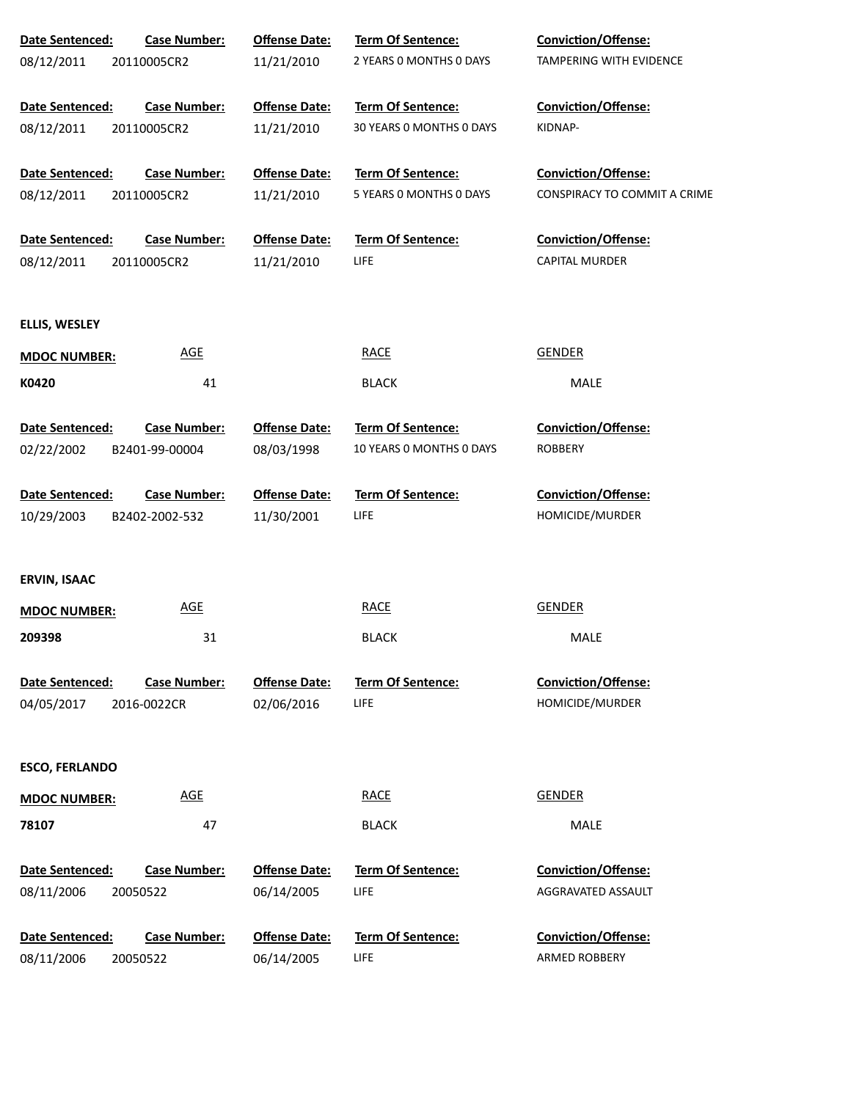| Date Sentenced:               | <b>Case Number:</b>             | <b>Offense Date:</b>               | Term Of Sentence:         | <b>Conviction/Offense:</b>           |
|-------------------------------|---------------------------------|------------------------------------|---------------------------|--------------------------------------|
| 08/12/2011                    | 20110005CR2                     | 11/21/2010                         | 2 YEARS O MONTHS O DAYS   | TAMPERING WITH EVIDENCE              |
| Date Sentenced:               | <b>Case Number:</b>             | <b>Offense Date:</b>               | Term Of Sentence:         | Conviction/Offense:                  |
| 08/12/2011                    | 20110005CR2                     | 11/21/2010                         | 30 YEARS 0 MONTHS 0 DAYS  | KIDNAP-                              |
| Date Sentenced:               | <b>Case Number:</b>             | <b>Offense Date:</b>               | Term Of Sentence:         | Conviction/Offense:                  |
| 08/12/2011                    | 20110005CR2                     | 11/21/2010                         | 5 YEARS 0 MONTHS 0 DAYS   | CONSPIRACY TO COMMIT A CRIME         |
| Date Sentenced:               | <b>Case Number:</b>             | <b>Offense Date:</b>               | Term Of Sentence:         | Conviction/Offense:                  |
| 08/12/2011                    | 20110005CR2                     | 11/21/2010                         | <b>LIFE</b>               | <b>CAPITAL MURDER</b>                |
| ELLIS, WESLEY                 |                                 |                                    |                           |                                      |
| <b>MDOC NUMBER:</b>           | <u>AGE</u>                      |                                    | <b>RACE</b>               | <b>GENDER</b>                        |
| K0420                         | 41                              |                                    | <b>BLACK</b>              | MALE                                 |
| Date Sentenced:               | Case Number:                    | <b>Offense Date:</b>               | <b>Term Of Sentence:</b>  | Conviction/Offense:                  |
| 02/22/2002                    | B2401-99-00004                  | 08/03/1998                         | 10 YEARS O MONTHS O DAYS  | <b>ROBBERY</b>                       |
| Date Sentenced:               | Case Number:                    | <b>Offense Date:</b>               | Term Of Sentence:         | Conviction/Offense:                  |
| 10/29/2003                    | B2402-2002-532                  | 11/30/2001                         | <b>LIFE</b>               | HOMICIDE/MURDER                      |
| <b>ERVIN, ISAAC</b>           |                                 |                                    |                           |                                      |
| <b>MDOC NUMBER:</b>           | <b>AGE</b>                      |                                    | <b>RACE</b>               | <b>GENDER</b>                        |
| 209398                        | 31                              |                                    | <b>BLACK</b>              | MALE                                 |
| <b>Date Sentenced:</b>        | <b>Case Number:</b>             | <b>Offense Date:</b>               | Term Of Sentence:         | <b>Conviction/Offense:</b>           |
| 04/05/2017                    | 2016-0022CR                     | 02/06/2016                         | <b>LIFE</b>               | HOMICIDE/MURDER                      |
| <b>ESCO, FERLANDO</b>         |                                 |                                    |                           |                                      |
| <b>MDOC NUMBER:</b>           | <b>AGE</b>                      |                                    | <b>RACE</b>               | <b>GENDER</b>                        |
| 78107                         | 47                              |                                    | <b>BLACK</b>              | <b>MALE</b>                          |
| Date Sentenced:               | <b>Case Number:</b>             | <b>Offense Date:</b>               | Term Of Sentence:         | Conviction/Offense:                  |
| 08/11/2006                    | 20050522                        | 06/14/2005                         | LIFE                      | AGGRAVATED ASSAULT                   |
| Date Sentenced:<br>08/11/2006 | <b>Case Number:</b><br>20050522 | <b>Offense Date:</b><br>06/14/2005 | Term Of Sentence:<br>LIFE | Conviction/Offense:<br>ARMED ROBBERY |
|                               |                                 |                                    |                           |                                      |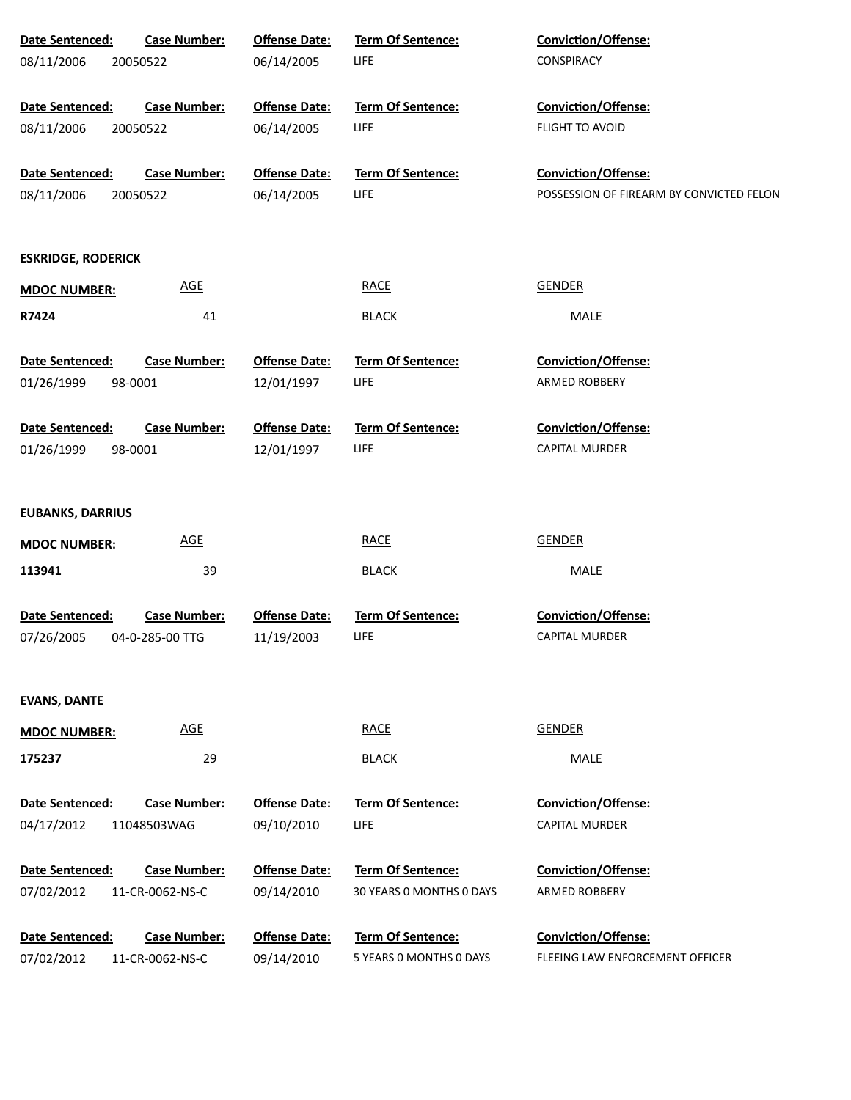| Date Sentenced:           | <b>Case Number:</b> | <b>Offense Date:</b> | Term Of Sentence:        | Conviction/Offense:                      |
|---------------------------|---------------------|----------------------|--------------------------|------------------------------------------|
| 08/11/2006                | 20050522            | 06/14/2005           | LIFE                     | CONSPIRACY                               |
|                           |                     |                      |                          |                                          |
| Date Sentenced:           | <b>Case Number:</b> | <b>Offense Date:</b> | Term Of Sentence:        | <b>Conviction/Offense:</b>               |
| 08/11/2006                | 20050522            | 06/14/2005           | LIFE                     | FLIGHT TO AVOID                          |
|                           |                     |                      |                          |                                          |
| Date Sentenced:           | <b>Case Number:</b> | <b>Offense Date:</b> | Term Of Sentence:        | Conviction/Offense:                      |
| 08/11/2006                | 20050522            | 06/14/2005           | LIFE                     | POSSESSION OF FIREARM BY CONVICTED FELON |
|                           |                     |                      |                          |                                          |
|                           |                     |                      |                          |                                          |
| <b>ESKRIDGE, RODERICK</b> |                     |                      |                          |                                          |
| <b>MDOC NUMBER:</b>       | <b>AGE</b>          |                      | <b>RACE</b>              | <b>GENDER</b>                            |
| R7424                     | 41                  |                      | <b>BLACK</b>             | <b>MALE</b>                              |
|                           |                     |                      |                          |                                          |
| Date Sentenced:           | <b>Case Number:</b> | <b>Offense Date:</b> | <b>Term Of Sentence:</b> | Conviction/Offense:                      |
| 01/26/1999                | 98-0001             | 12/01/1997           | LIFE                     | ARMED ROBBERY                            |
|                           |                     |                      |                          |                                          |
| Date Sentenced:           | <b>Case Number:</b> | <b>Offense Date:</b> | <b>Term Of Sentence:</b> | <b>Conviction/Offense:</b>               |
| 01/26/1999                | 98-0001             | 12/01/1997           | LIFE                     | <b>CAPITAL MURDER</b>                    |
|                           |                     |                      |                          |                                          |
|                           |                     |                      |                          |                                          |
| <b>EUBANKS, DARRIUS</b>   |                     |                      |                          |                                          |
| <b>MDOC NUMBER:</b>       | <b>AGE</b>          |                      | <b>RACE</b>              | <b>GENDER</b>                            |
| 113941                    | 39                  |                      | <b>BLACK</b>             | MALE                                     |
|                           |                     |                      |                          |                                          |
| Date Sentenced:           | <b>Case Number:</b> | <b>Offense Date:</b> | Term Of Sentence:        | Conviction/Offense:                      |
| 07/26/2005                | 04-0-285-00 TTG     | 11/19/2003           | LIFE                     | <b>CAPITAL MURDER</b>                    |
|                           |                     |                      |                          |                                          |
|                           |                     |                      |                          |                                          |
| <b>EVANS, DANTE</b>       |                     |                      |                          |                                          |
| <b>MDOC NUMBER:</b>       | <b>AGE</b>          |                      | <b>RACE</b>              | <b>GENDER</b>                            |
| 175237                    | 29                  |                      | <b>BLACK</b>             | <b>MALE</b>                              |
|                           |                     |                      |                          |                                          |
| Date Sentenced:           | <b>Case Number:</b> | <b>Offense Date:</b> | <b>Term Of Sentence:</b> | <b>Conviction/Offense:</b>               |
| 04/17/2012                | 11048503WAG         | 09/10/2010           | LIFE                     | <b>CAPITAL MURDER</b>                    |
|                           |                     |                      |                          |                                          |
| Date Sentenced:           | <b>Case Number:</b> | <b>Offense Date:</b> | Term Of Sentence:        | <b>Conviction/Offense:</b>               |
| 07/02/2012                | 11-CR-0062-NS-C     | 09/14/2010           | 30 YEARS 0 MONTHS 0 DAYS | <b>ARMED ROBBERY</b>                     |
|                           |                     |                      |                          |                                          |
| Date Sentenced:           | <b>Case Number:</b> | <b>Offense Date:</b> | Term Of Sentence:        | <b>Conviction/Offense:</b>               |
| 07/02/2012                | 11-CR-0062-NS-C     | 09/14/2010           | 5 YEARS O MONTHS O DAYS  | FLEEING LAW ENFORCEMENT OFFICER          |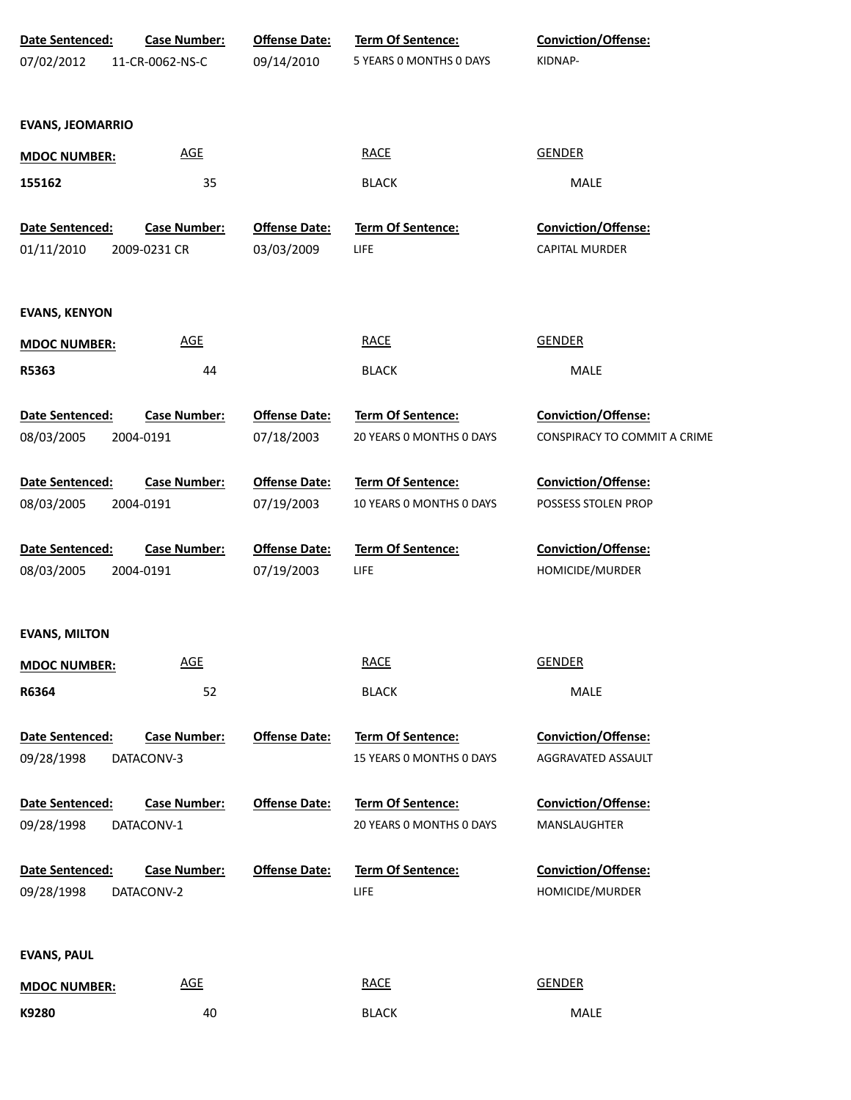| <b>Date Sentenced:</b><br>07/02/2012 | <b>Case Number:</b><br>11-CR-0062-NS-C | <b>Offense Date:</b><br>09/14/2010 | <b>Term Of Sentence:</b><br>5 YEARS 0 MONTHS 0 DAYS | Conviction/Offense:<br>KIDNAP-            |
|--------------------------------------|----------------------------------------|------------------------------------|-----------------------------------------------------|-------------------------------------------|
| <b>EVANS, JEOMARRIO</b>              |                                        |                                    |                                                     |                                           |
| <b>MDOC NUMBER:</b>                  | <b>AGE</b>                             |                                    | <b>RACE</b>                                         | <b>GENDER</b>                             |
| 155162                               | 35                                     |                                    | <b>BLACK</b>                                        | MALE                                      |
| Date Sentenced:                      | <b>Case Number:</b>                    | <b>Offense Date:</b>               | Term Of Sentence:                                   | Conviction/Offense:                       |
| 01/11/2010                           | 2009-0231 CR                           | 03/03/2009                         | LIFE                                                | <b>CAPITAL MURDER</b>                     |
| <b>EVANS, KENYON</b>                 |                                        |                                    |                                                     |                                           |
| <b>MDOC NUMBER:</b>                  | <b>AGE</b>                             |                                    | <b>RACE</b>                                         | <b>GENDER</b>                             |
| R5363                                | 44                                     |                                    | <b>BLACK</b>                                        | MALE                                      |
| Date Sentenced:                      | <b>Case Number:</b>                    | <b>Offense Date:</b>               | Term Of Sentence:                                   | Conviction/Offense:                       |
| 08/03/2005                           | 2004-0191                              | 07/18/2003                         | 20 YEARS 0 MONTHS 0 DAYS                            | CONSPIRACY TO COMMIT A CRIME              |
| Date Sentenced:                      | <b>Case Number:</b>                    | <b>Offense Date:</b>               | <b>Term Of Sentence:</b>                            | Conviction/Offense:                       |
| 08/03/2005                           | 2004-0191                              | 07/19/2003                         | 10 YEARS 0 MONTHS 0 DAYS                            | POSSESS STOLEN PROP                       |
| Date Sentenced:                      | <b>Case Number:</b>                    | <b>Offense Date:</b>               | <b>Term Of Sentence:</b>                            | Conviction/Offense:                       |
| 08/03/2005                           | 2004-0191                              | 07/19/2003                         | LIFE                                                | HOMICIDE/MURDER                           |
| <b>EVANS, MILTON</b>                 |                                        |                                    |                                                     |                                           |
| <b>MDOC NUMBER:</b>                  | <b>AGE</b>                             |                                    | <b>RACE</b>                                         | <b>GENDER</b>                             |
| R6364                                | 52                                     |                                    | <b>BLACK</b>                                        | MALE                                      |
| Date Sentenced:<br>09/28/1998        | <b>Case Number:</b><br>DATACONV-3      | <b>Offense Date:</b>               | Term Of Sentence:<br>15 YEARS 0 MONTHS 0 DAYS       | Conviction/Offense:<br>AGGRAVATED ASSAULT |
| <b>Date Sentenced:</b>               | <b>Case Number:</b>                    | <b>Offense Date:</b>               | <b>Term Of Sentence:</b>                            | Conviction/Offense:                       |
| 09/28/1998                           | DATACONV-1                             |                                    | 20 YEARS O MONTHS O DAYS                            | MANSLAUGHTER                              |
| Date Sentenced:                      | <b>Case Number:</b>                    | <b>Offense Date:</b>               | Term Of Sentence:                                   | Conviction/Offense:                       |
| 09/28/1998                           | DATACONV-2                             |                                    | LIFE                                                | HOMICIDE/MURDER                           |
| <b>EVANS, PAUL</b>                   |                                        |                                    |                                                     |                                           |
| <b>MDOC NUMBER:</b>                  | <b>AGE</b>                             |                                    | <b>RACE</b>                                         | <b>GENDER</b>                             |
| K9280                                | 40                                     |                                    | <b>BLACK</b>                                        | MALE                                      |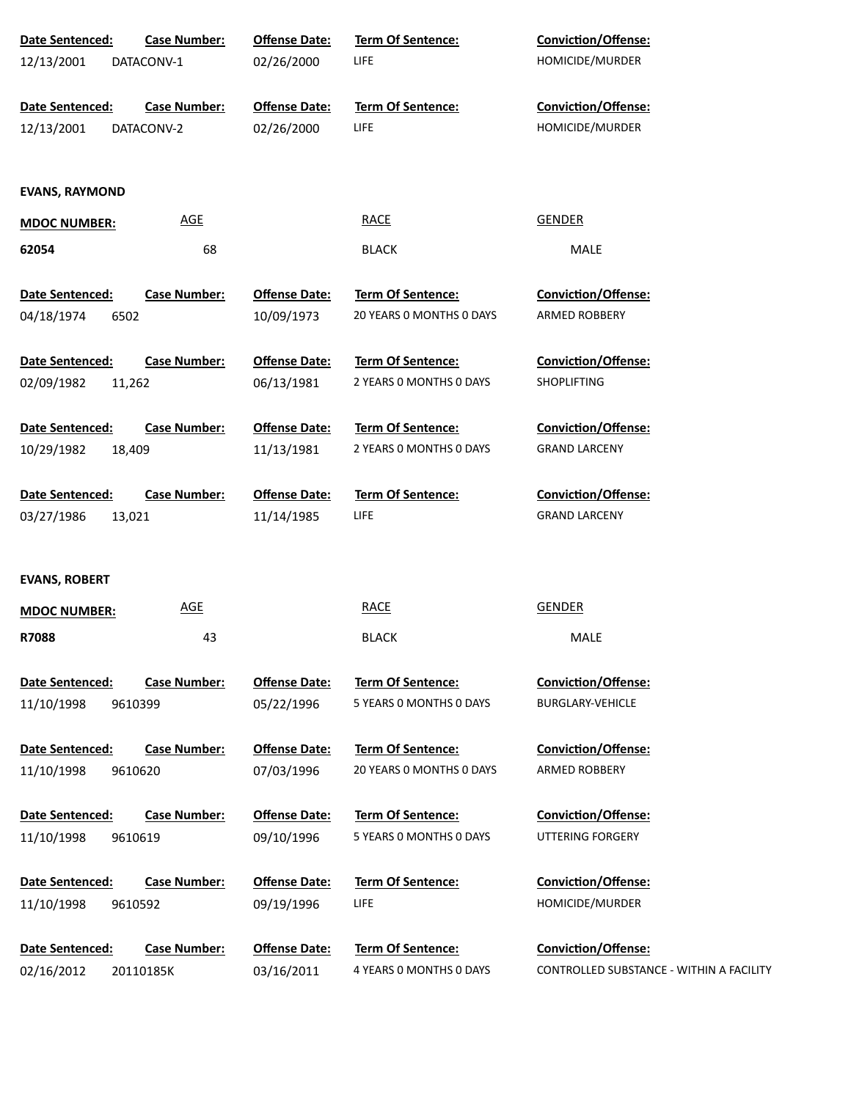| Date Sentenced:        | <b>Case Number:</b> | <b>Offense Date:</b> | Term Of Sentence:                            | Conviction/Offense:                      |
|------------------------|---------------------|----------------------|----------------------------------------------|------------------------------------------|
| 12/13/2001             | DATACONV-1          | 02/26/2000           | LIFE                                         | HOMICIDE/MURDER                          |
|                        |                     |                      |                                              |                                          |
| Date Sentenced:        | <b>Case Number:</b> | <b>Offense Date:</b> | Term Of Sentence:                            | <b>Conviction/Offense:</b>               |
| 12/13/2001             | DATACONV-2          | 02/26/2000           | LIFE                                         | HOMICIDE/MURDER                          |
|                        |                     |                      |                                              |                                          |
| <b>EVANS, RAYMOND</b>  |                     |                      |                                              |                                          |
|                        |                     |                      |                                              |                                          |
| <b>MDOC NUMBER:</b>    | <b>AGE</b>          |                      | <b>RACE</b>                                  | <b>GENDER</b>                            |
| 62054                  | 68                  |                      | <b>BLACK</b>                                 | MALE                                     |
|                        |                     |                      |                                              |                                          |
| Date Sentenced:        | <b>Case Number:</b> | <b>Offense Date:</b> | Term Of Sentence:                            | Conviction/Offense:                      |
| 04/18/1974             | 6502                | 10/09/1973           | 20 YEARS O MONTHS O DAYS                     | ARMED ROBBERY                            |
|                        |                     |                      |                                              | Conviction/Offense:                      |
| Date Sentenced:        | <b>Case Number:</b> | <b>Offense Date:</b> | Term Of Sentence:<br>2 YEARS 0 MONTHS 0 DAYS |                                          |
| 02/09/1982             | 11,262              | 06/13/1981           |                                              | <b>SHOPLIFTING</b>                       |
| Date Sentenced:        | <b>Case Number:</b> | <b>Offense Date:</b> | <b>Term Of Sentence:</b>                     | Conviction/Offense:                      |
| 10/29/1982             | 18,409              | 11/13/1981           | 2 YEARS 0 MONTHS 0 DAYS                      | <b>GRAND LARCENY</b>                     |
|                        |                     |                      |                                              |                                          |
| Date Sentenced:        | <b>Case Number:</b> | <b>Offense Date:</b> | Term Of Sentence:                            | Conviction/Offense:                      |
| 03/27/1986             | 13,021              | 11/14/1985           | LIFE                                         | <b>GRAND LARCENY</b>                     |
|                        |                     |                      |                                              |                                          |
|                        |                     |                      |                                              |                                          |
| <b>EVANS, ROBERT</b>   |                     |                      |                                              |                                          |
| <b>MDOC NUMBER:</b>    | <b>AGE</b>          |                      | <b>RACE</b>                                  | <b>GENDER</b>                            |
| R7088                  | 43                  |                      | <b>BLACK</b>                                 | MALE                                     |
|                        |                     |                      |                                              |                                          |
| Date Sentenced:        | <b>Case Number:</b> | <b>Offense Date:</b> | <b>Term Of Sentence:</b>                     | <b>Conviction/Offense:</b>               |
| 11/10/1998             | 9610399             | 05/22/1996           | 5 YEARS 0 MONTHS 0 DAYS                      | <b>BURGLARY-VEHICLE</b>                  |
|                        |                     |                      |                                              |                                          |
| <b>Date Sentenced:</b> | <b>Case Number:</b> | <b>Offense Date:</b> | <b>Term Of Sentence:</b>                     | <b>Conviction/Offense:</b>               |
| 11/10/1998             | 9610620             | 07/03/1996           | 20 YEARS O MONTHS O DAYS                     | ARMED ROBBERY                            |
|                        |                     |                      |                                              |                                          |
| Date Sentenced:        | <b>Case Number:</b> | <b>Offense Date:</b> | <b>Term Of Sentence:</b>                     | <b>Conviction/Offense:</b>               |
| 11/10/1998             | 9610619             | 09/10/1996           | 5 YEARS 0 MONTHS 0 DAYS                      | UTTERING FORGERY                         |
| Date Sentenced:        | <b>Case Number:</b> | <b>Offense Date:</b> | <b>Term Of Sentence:</b>                     | <b>Conviction/Offense:</b>               |
| 11/10/1998             | 9610592             | 09/19/1996           | <b>LIFE</b>                                  | HOMICIDE/MURDER                          |
|                        |                     |                      |                                              |                                          |
| Date Sentenced:        | <b>Case Number:</b> | <b>Offense Date:</b> | Term Of Sentence:                            | Conviction/Offense:                      |
| 02/16/2012             | 20110185K           | 03/16/2011           | 4 YEARS 0 MONTHS 0 DAYS                      | CONTROLLED SUBSTANCE - WITHIN A FACILITY |
|                        |                     |                      |                                              |                                          |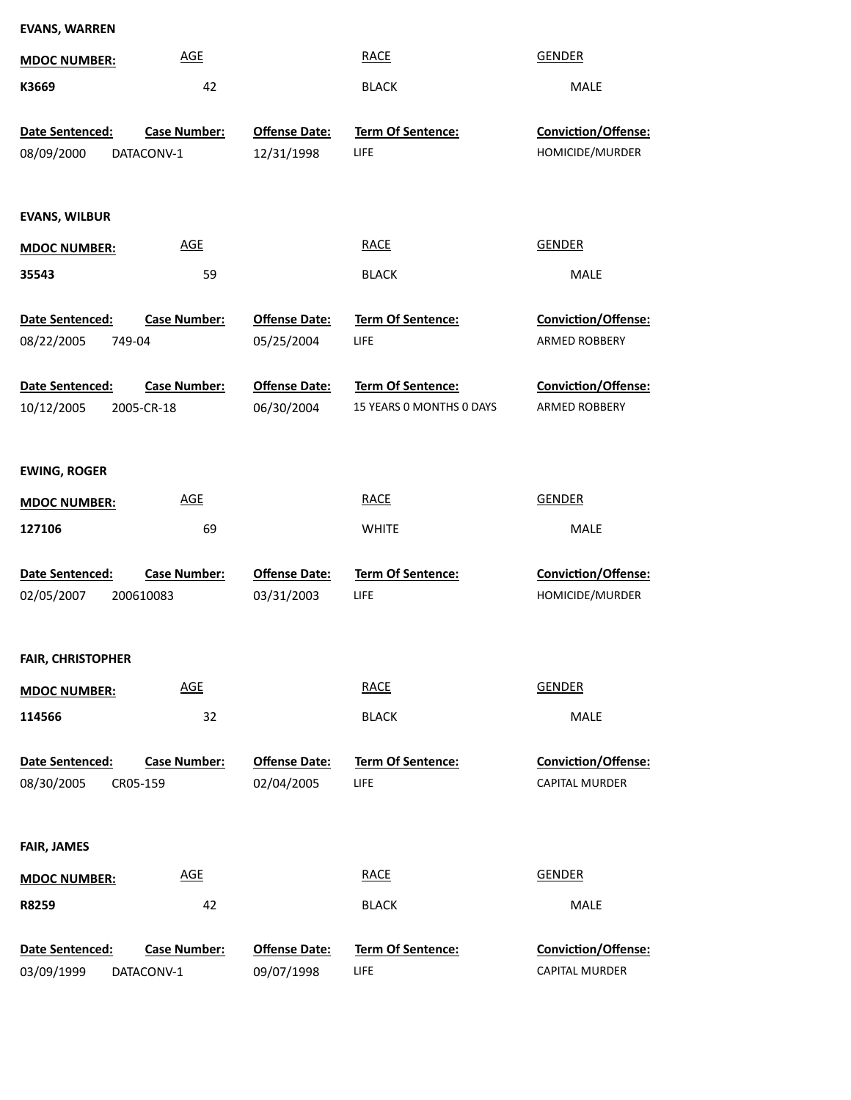| <b>EVANS, WARREN</b>     |                                   |                                    |                                               |                                      |
|--------------------------|-----------------------------------|------------------------------------|-----------------------------------------------|--------------------------------------|
| <b>MDOC NUMBER:</b>      | <b>AGE</b>                        |                                    | <b>RACE</b>                                   | <b>GENDER</b>                        |
| K3669                    | 42                                |                                    | <b>BLACK</b>                                  | MALE                                 |
|                          |                                   |                                    |                                               |                                      |
| Date Sentenced:          | <b>Case Number:</b>               | <b>Offense Date:</b>               | Term Of Sentence:                             | Conviction/Offense:                  |
| 08/09/2000               | DATACONV-1                        | 12/31/1998                         | <b>LIFE</b>                                   | HOMICIDE/MURDER                      |
|                          |                                   |                                    |                                               |                                      |
| <b>EVANS, WILBUR</b>     |                                   |                                    |                                               |                                      |
| <b>MDOC NUMBER:</b>      | <b>AGE</b>                        |                                    | <b>RACE</b>                                   | <b>GENDER</b>                        |
| 35543                    | 59                                |                                    | <b>BLACK</b>                                  | MALE                                 |
|                          |                                   |                                    |                                               |                                      |
| Date Sentenced:          | <b>Case Number:</b>               | <b>Offense Date:</b>               | <b>Term Of Sentence:</b>                      | Conviction/Offense:                  |
| 08/22/2005<br>749-04     |                                   | 05/25/2004                         | LIFE                                          | <b>ARMED ROBBERY</b>                 |
|                          |                                   |                                    |                                               |                                      |
| Date Sentenced:          | <b>Case Number:</b><br>2005-CR-18 | <b>Offense Date:</b><br>06/30/2004 | Term Of Sentence:<br>15 YEARS 0 MONTHS 0 DAYS | Conviction/Offense:<br>ARMED ROBBERY |
| 10/12/2005               |                                   |                                    |                                               |                                      |
|                          |                                   |                                    |                                               |                                      |
| <b>EWING, ROGER</b>      |                                   |                                    |                                               |                                      |
| <b>MDOC NUMBER:</b>      | <b>AGE</b>                        |                                    | <b>RACE</b>                                   | <b>GENDER</b>                        |
| 127106                   | 69                                |                                    | <b>WHITE</b>                                  | MALE                                 |
|                          |                                   |                                    |                                               |                                      |
| Date Sentenced:          | <b>Case Number:</b>               | <b>Offense Date:</b>               | Term Of Sentence:                             | Conviction/Offense:                  |
| 02/05/2007               | 200610083                         | 03/31/2003                         | LIFE                                          | HOMICIDE/MURDER                      |
|                          |                                   |                                    |                                               |                                      |
| <b>FAIR, CHRISTOPHER</b> |                                   |                                    |                                               |                                      |
| <b>MDOC NUMBER:</b>      | <b>AGE</b>                        |                                    | <b>RACE</b>                                   | <b>GENDER</b>                        |
| 114566                   | 32                                |                                    | <b>BLACK</b>                                  | MALE                                 |
|                          |                                   |                                    |                                               |                                      |
| Date Sentenced:          | <b>Case Number:</b>               | <b>Offense Date:</b>               | Term Of Sentence:                             | Conviction/Offense:                  |
| 08/30/2005<br>CR05-159   |                                   | 02/04/2005                         | LIFE                                          | <b>CAPITAL MURDER</b>                |
|                          |                                   |                                    |                                               |                                      |
| <b>FAIR, JAMES</b>       |                                   |                                    |                                               |                                      |
| <b>MDOC NUMBER:</b>      | <b>AGE</b>                        |                                    | <b>RACE</b>                                   | <b>GENDER</b>                        |
| R8259                    | 42                                |                                    | <b>BLACK</b>                                  | MALE                                 |
|                          |                                   |                                    |                                               |                                      |
| Date Sentenced:          | <b>Case Number:</b>               | <b>Offense Date:</b>               | <b>Term Of Sentence:</b>                      | Conviction/Offense:                  |
| 03/09/1999               | DATACONV-1                        | 09/07/1998                         | LIFE                                          | CAPITAL MURDER                       |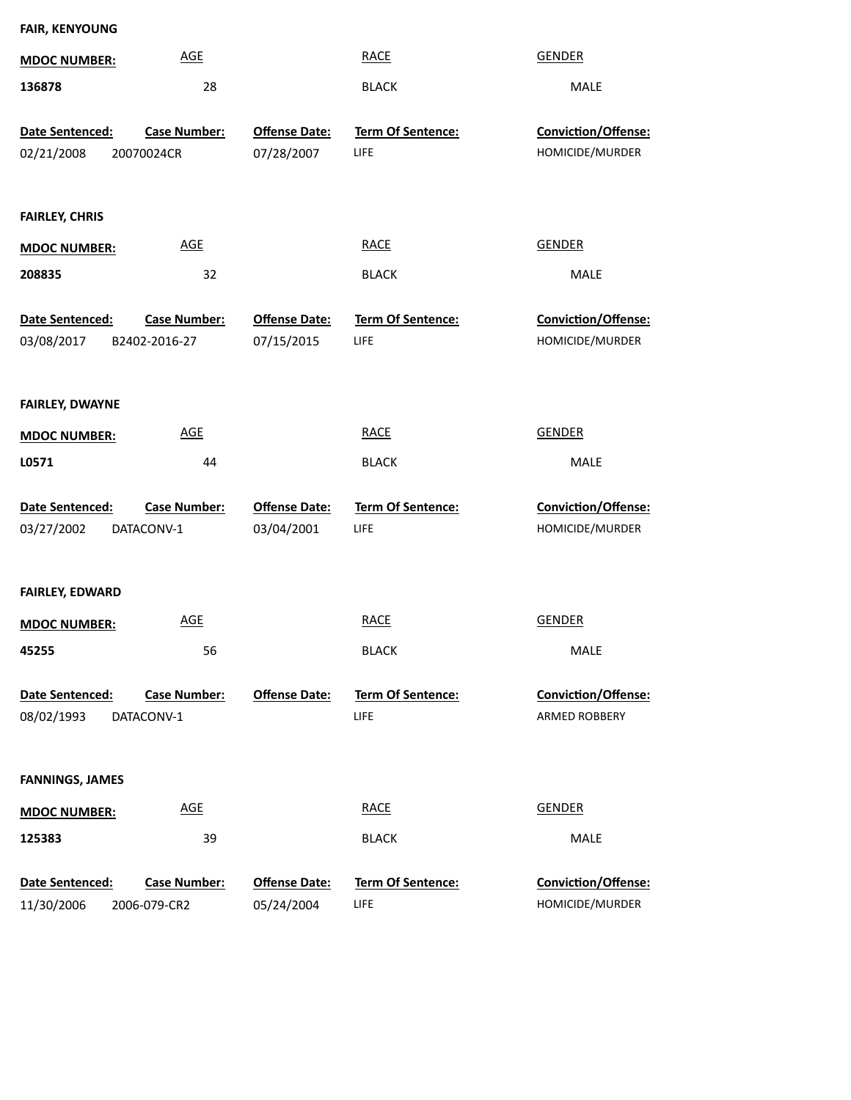| <b>FAIR, KENYOUNG</b>         |                                      |                                    |                                  |                                        |  |  |  |
|-------------------------------|--------------------------------------|------------------------------------|----------------------------------|----------------------------------------|--|--|--|
| <b>MDOC NUMBER:</b>           | <b>AGE</b>                           |                                    | <b>RACE</b>                      | <b>GENDER</b>                          |  |  |  |
| 136878                        | 28                                   |                                    | <b>BLACK</b>                     | MALE                                   |  |  |  |
| Date Sentenced:<br>02/21/2008 | <b>Case Number:</b><br>20070024CR    | <b>Offense Date:</b><br>07/28/2007 | Term Of Sentence:<br><b>LIFE</b> | Conviction/Offense:<br>HOMICIDE/MURDER |  |  |  |
| <b>FAIRLEY, CHRIS</b>         |                                      |                                    |                                  |                                        |  |  |  |
| <b>MDOC NUMBER:</b>           | <b>AGE</b>                           |                                    | <b>RACE</b>                      | <b>GENDER</b>                          |  |  |  |
| 208835                        | 32                                   |                                    | <b>BLACK</b>                     | MALE                                   |  |  |  |
| Date Sentenced:<br>03/08/2017 | <b>Case Number:</b><br>B2402-2016-27 | <b>Offense Date:</b><br>07/15/2015 | <b>Term Of Sentence:</b><br>LIFE | Conviction/Offense:<br>HOMICIDE/MURDER |  |  |  |
| <b>FAIRLEY, DWAYNE</b>        |                                      |                                    |                                  |                                        |  |  |  |
| <b>MDOC NUMBER:</b>           | <b>AGE</b>                           |                                    | <b>RACE</b>                      | <b>GENDER</b>                          |  |  |  |
| L0571                         | 44                                   |                                    | <b>BLACK</b>                     | MALE                                   |  |  |  |
| Date Sentenced:<br>03/27/2002 | <b>Case Number:</b><br>DATACONV-1    | <b>Offense Date:</b><br>03/04/2001 | Term Of Sentence:<br>LIFE        | Conviction/Offense:<br>HOMICIDE/MURDER |  |  |  |
| <b>FAIRLEY, EDWARD</b>        |                                      |                                    |                                  |                                        |  |  |  |
| <b>MDOC NUMBER:</b>           | <b>AGE</b>                           |                                    | <b>RACE</b>                      | <b>GENDER</b>                          |  |  |  |
| 45255                         | 56                                   |                                    | <b>BLACK</b>                     | MALE                                   |  |  |  |
| Date Sentenced:<br>08/02/1993 | Case Number:<br>DATACONV-1           | <b>Offense Date:</b>               | <b>Term Of Sentence:</b><br>LIFE | Conviction/Offense:<br>ARMED ROBBERY   |  |  |  |
| <b>FANNINGS, JAMES</b>        |                                      |                                    |                                  |                                        |  |  |  |
| <b>MDOC NUMBER:</b>           | <b>AGE</b>                           |                                    | <b>RACE</b>                      | <b>GENDER</b>                          |  |  |  |
| 125383                        | 39                                   |                                    | <b>BLACK</b>                     | MALE                                   |  |  |  |
| Date Sentenced:<br>11/30/2006 | Case Number:<br>2006-079-CR2         | <b>Offense Date:</b><br>05/24/2004 | Term Of Sentence:<br>LIFE        | Conviction/Offense:<br>HOMICIDE/MURDER |  |  |  |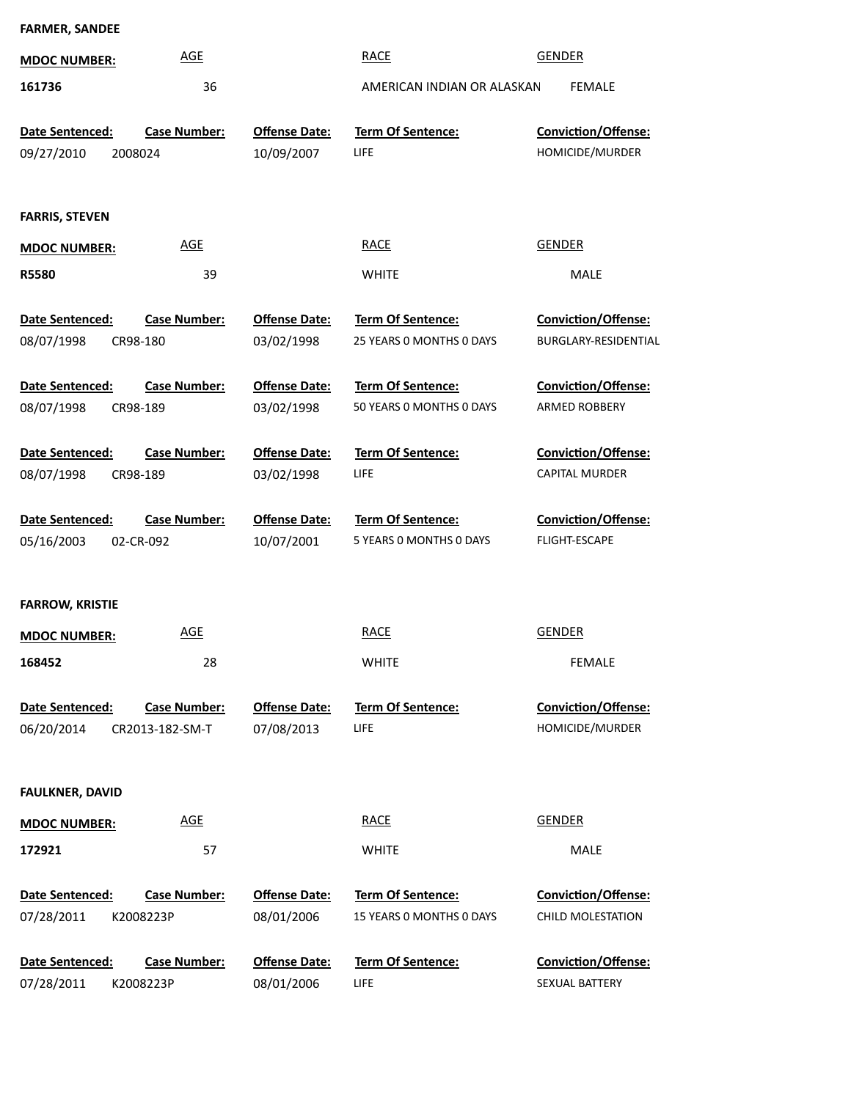| <b>FARMER, SANDEE</b>  |                     |                      |                            |                            |
|------------------------|---------------------|----------------------|----------------------------|----------------------------|
| <b>MDOC NUMBER:</b>    | <b>AGE</b>          |                      | <b>RACE</b>                | <b>GENDER</b>              |
| 161736                 | 36                  |                      | AMERICAN INDIAN OR ALASKAN | <b>FEMALE</b>              |
| Date Sentenced:        | <b>Case Number:</b> | <b>Offense Date:</b> | Term Of Sentence:          | Conviction/Offense:        |
| 09/27/2010<br>2008024  |                     | 10/09/2007           | LIFE                       | HOMICIDE/MURDER            |
|                        |                     |                      |                            |                            |
| <b>FARRIS, STEVEN</b>  |                     |                      |                            |                            |
| <b>MDOC NUMBER:</b>    | <b>AGE</b>          |                      | <b>RACE</b>                | <b>GENDER</b>              |
|                        |                     |                      |                            |                            |
| <b>R5580</b>           | 39                  |                      | <b>WHITE</b>               | MALE                       |
| Date Sentenced:        | <b>Case Number:</b> | <b>Offense Date:</b> | Term Of Sentence:          | Conviction/Offense:        |
| 08/07/1998<br>CR98-180 |                     | 03/02/1998           | 25 YEARS 0 MONTHS 0 DAYS   | BURGLARY-RESIDENTIAL       |
| Date Sentenced:        | <b>Case Number:</b> | <b>Offense Date:</b> | Term Of Sentence:          | Conviction/Offense:        |
| 08/07/1998<br>CR98-189 |                     | 03/02/1998           | 50 YEARS 0 MONTHS 0 DAYS   | ARMED ROBBERY              |
|                        |                     |                      |                            |                            |
| Date Sentenced:        | <b>Case Number:</b> | <b>Offense Date:</b> | Term Of Sentence:          | Conviction/Offense:        |
| 08/07/1998<br>CR98-189 |                     | 03/02/1998           | <b>LIFE</b>                | <b>CAPITAL MURDER</b>      |
| Date Sentenced:        | <b>Case Number:</b> | <b>Offense Date:</b> | Term Of Sentence:          | Conviction/Offense:        |
| 05/16/2003             | 02-CR-092           | 10/07/2001           | 5 YEARS 0 MONTHS 0 DAYS    | <b>FLIGHT-ESCAPE</b>       |
|                        |                     |                      |                            |                            |
| <b>FARROW, KRISTIE</b> |                     |                      |                            |                            |
| <b>MDOC NUMBER:</b>    | <b>AGE</b>          |                      | <b>RACE</b>                | <b>GENDER</b>              |
| 168452                 | 28                  |                      | <b>WHITE</b>               | <b>FEMALE</b>              |
|                        |                     |                      |                            |                            |
| Date Sentenced:        | <b>Case Number:</b> | <b>Offense Date:</b> | Term Of Sentence:          | <b>Conviction/Offense:</b> |
| 06/20/2014             | CR2013-182-SM-T     | 07/08/2013           | LIFE                       | HOMICIDE/MURDER            |
|                        |                     |                      |                            |                            |
| <b>FAULKNER, DAVID</b> |                     |                      |                            |                            |
| <b>MDOC NUMBER:</b>    | <b>AGE</b>          |                      | <b>RACE</b>                | <b>GENDER</b>              |
| 172921                 | 57                  |                      | <b>WHITE</b>               | MALE                       |
| Date Sentenced:        | <b>Case Number:</b> | <b>Offense Date:</b> | Term Of Sentence:          | Conviction/Offense:        |
| 07/28/2011             | K2008223P           | 08/01/2006           | 15 YEARS 0 MONTHS 0 DAYS   | CHILD MOLESTATION          |
|                        |                     |                      |                            |                            |
| Date Sentenced:        | <b>Case Number:</b> | <b>Offense Date:</b> | Term Of Sentence:          | Conviction/Offense:        |
| 07/28/2011             | K2008223P           | 08/01/2006           | LIFE                       | SEXUAL BATTERY             |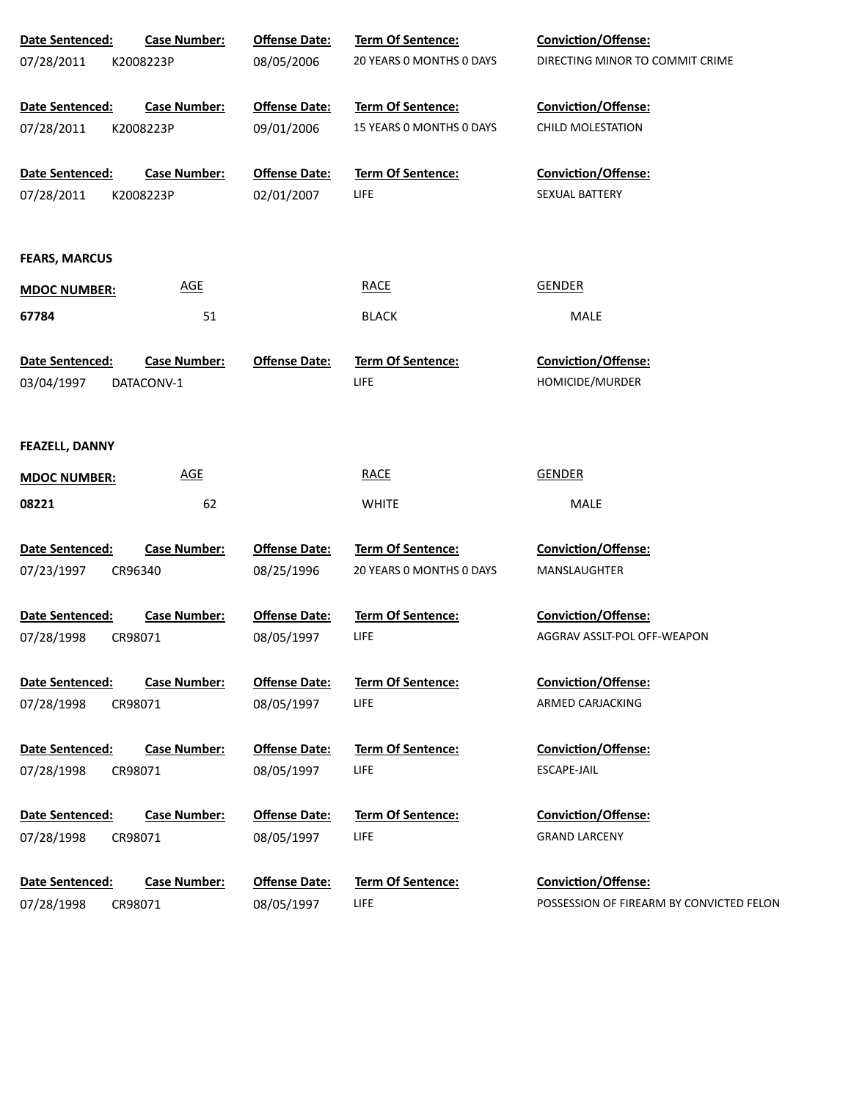| Date Sentenced:       | <b>Case Number:</b> | <b>Offense Date:</b> | Term Of Sentence:        | Conviction/Offense:                      |
|-----------------------|---------------------|----------------------|--------------------------|------------------------------------------|
| 07/28/2011            | K2008223P           | 08/05/2006           | 20 YEARS O MONTHS O DAYS | DIRECTING MINOR TO COMMIT CRIME          |
|                       |                     |                      |                          |                                          |
| Date Sentenced:       | <b>Case Number:</b> | <b>Offense Date:</b> | Term Of Sentence:        | Conviction/Offense:                      |
| 07/28/2011            | K2008223P           | 09/01/2006           | 15 YEARS O MONTHS O DAYS | CHILD MOLESTATION                        |
| Date Sentenced:       | <b>Case Number:</b> | <b>Offense Date:</b> | <b>Term Of Sentence:</b> | Conviction/Offense:                      |
| 07/28/2011            | K2008223P           | 02/01/2007           | <b>LIFE</b>              | SEXUAL BATTERY                           |
|                       |                     |                      |                          |                                          |
|                       |                     |                      |                          |                                          |
| <b>FEARS, MARCUS</b>  |                     |                      |                          |                                          |
| <b>MDOC NUMBER:</b>   | <b>AGE</b>          |                      | <b>RACE</b>              | <b>GENDER</b>                            |
| 67784                 | 51                  |                      | <b>BLACK</b>             | MALE                                     |
| Date Sentenced:       | <b>Case Number:</b> | <b>Offense Date:</b> | <b>Term Of Sentence:</b> | Conviction/Offense:                      |
| 03/04/1997            | DATACONV-1          |                      | LIFE                     | HOMICIDE/MURDER                          |
|                       |                     |                      |                          |                                          |
| <b>FEAZELL, DANNY</b> |                     |                      |                          |                                          |
|                       |                     |                      |                          |                                          |
| <b>MDOC NUMBER:</b>   | <b>AGE</b>          |                      | <b>RACE</b>              | <b>GENDER</b>                            |
| 08221                 | 62                  |                      | <b>WHITE</b>             | MALE                                     |
| Date Sentenced:       | <b>Case Number:</b> | <b>Offense Date:</b> | Term Of Sentence:        | Conviction/Offense:                      |
| 07/23/1997            | CR96340             | 08/25/1996           | 20 YEARS 0 MONTHS 0 DAYS | MANSLAUGHTER                             |
|                       |                     |                      |                          |                                          |
| Date Sentenced:       | <b>Case Number:</b> | <b>Offense Date:</b> | Term Of Sentence:        | Conviction/Offense:                      |
| 07/28/1998            | CR98071             | 08/05/1997           | <b>LIFE</b>              | AGGRAV ASSLT-POL OFF-WEAPON              |
| Date Sentenced:       | <b>Case Number:</b> | <b>Offense Date:</b> | Term Of Sentence:        | Conviction/Offense:                      |
| 07/28/1998            | CR98071             | 08/05/1997           | <b>LIFE</b>              | ARMED CARJACKING                         |
|                       |                     |                      |                          |                                          |
| Date Sentenced:       | <b>Case Number:</b> | <b>Offense Date:</b> | Term Of Sentence:        | Conviction/Offense:                      |
| 07/28/1998            | CR98071             | 08/05/1997           | <b>LIFE</b>              | <b>ESCAPE-JAIL</b>                       |
|                       |                     |                      |                          |                                          |
| Date Sentenced:       | <b>Case Number:</b> | <b>Offense Date:</b> | Term Of Sentence:        | Conviction/Offense:                      |
| 07/28/1998            | CR98071             | 08/05/1997           | <b>LIFE</b>              | <b>GRAND LARCENY</b>                     |
| Date Sentenced:       | <b>Case Number:</b> | <b>Offense Date:</b> | Term Of Sentence:        | Conviction/Offense:                      |
| 07/28/1998            | CR98071             | 08/05/1997           | LIFE                     | POSSESSION OF FIREARM BY CONVICTED FELON |
|                       |                     |                      |                          |                                          |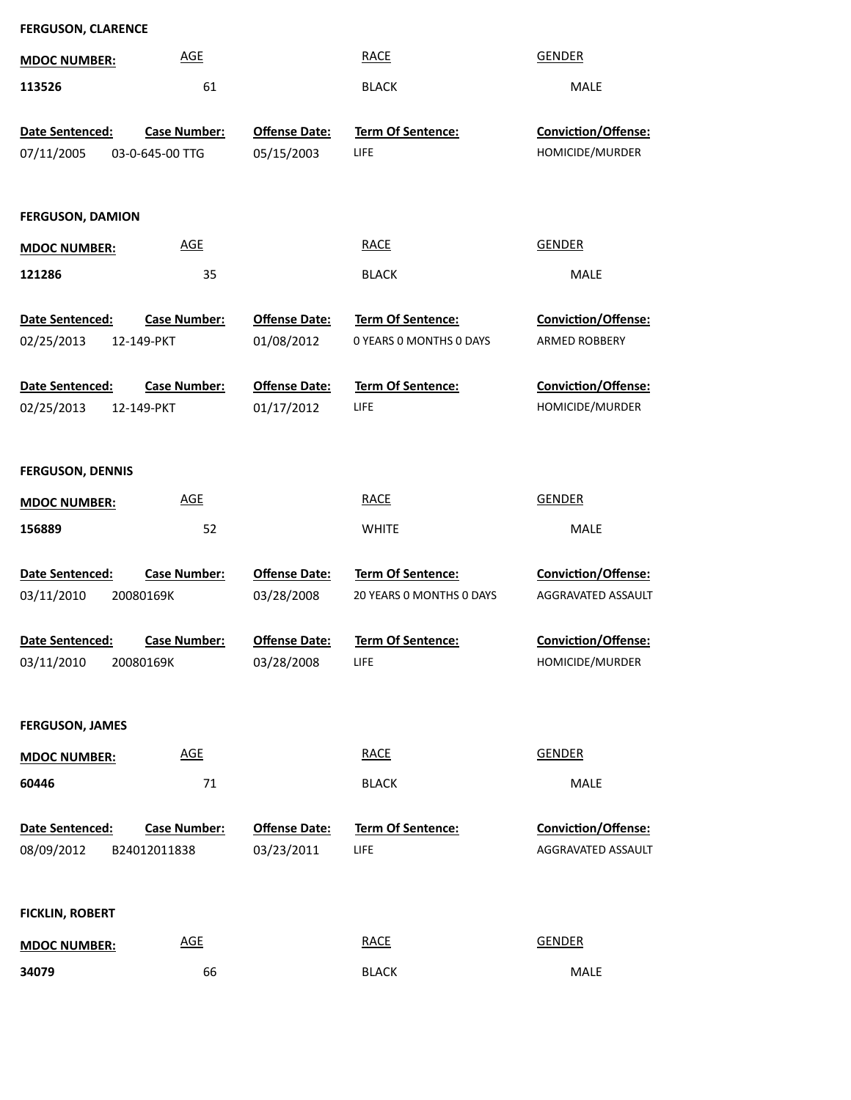| <b>FERGUSON, CLARENCE</b>     |                                   |                                    |                                              |                                           |  |  |  |
|-------------------------------|-----------------------------------|------------------------------------|----------------------------------------------|-------------------------------------------|--|--|--|
| <b>MDOC NUMBER:</b>           | <b>AGE</b>                        |                                    | <b>RACE</b>                                  | <b>GENDER</b>                             |  |  |  |
| 113526                        | 61                                |                                    | <b>BLACK</b>                                 | MALE                                      |  |  |  |
| Date Sentenced:               | <b>Case Number:</b>               | <b>Offense Date:</b>               | Term Of Sentence:                            | Conviction/Offense:                       |  |  |  |
| 07/11/2005                    | 03-0-645-00 TTG                   | 05/15/2003                         | LIFE                                         | HOMICIDE/MURDER                           |  |  |  |
|                               |                                   |                                    |                                              |                                           |  |  |  |
| <b>FERGUSON, DAMION</b>       |                                   |                                    |                                              |                                           |  |  |  |
| <b>MDOC NUMBER:</b>           | <b>AGE</b>                        |                                    | <b>RACE</b>                                  | <b>GENDER</b>                             |  |  |  |
| 121286                        | 35                                |                                    | <b>BLACK</b>                                 | MALE                                      |  |  |  |
| Date Sentenced:<br>02/25/2013 | <b>Case Number:</b><br>12-149-PKT | <b>Offense Date:</b><br>01/08/2012 | Term Of Sentence:<br>0 YEARS 0 MONTHS 0 DAYS | Conviction/Offense:<br>ARMED ROBBERY      |  |  |  |
| Date Sentenced:<br>02/25/2013 | <b>Case Number:</b><br>12-149-PKT | <b>Offense Date:</b><br>01/17/2012 | Term Of Sentence:<br>LIFE                    | Conviction/Offense:<br>HOMICIDE/MURDER    |  |  |  |
| <b>FERGUSON, DENNIS</b>       |                                   |                                    |                                              |                                           |  |  |  |
| <b>MDOC NUMBER:</b>           | <b>AGE</b>                        |                                    | <b>RACE</b>                                  | <b>GENDER</b>                             |  |  |  |
| 156889                        | 52                                |                                    | <b>WHITE</b>                                 | MALE                                      |  |  |  |
| Date Sentenced:               | <b>Case Number:</b>               | <b>Offense Date:</b>               | Term Of Sentence:                            | Conviction/Offense:                       |  |  |  |
| 03/11/2010                    | 20080169K                         | 03/28/2008                         | 20 YEARS O MONTHS O DAYS                     | AGGRAVATED ASSAULT                        |  |  |  |
| Date Sentenced:               | <b>Case Number:</b>               | Offense Date:                      | Term Of Sentence:                            | Conviction/Offense:                       |  |  |  |
| 03/11/2010                    | 20080169K                         | 03/28/2008                         | LIFE                                         | HOMICIDE/MURDER                           |  |  |  |
|                               |                                   |                                    |                                              |                                           |  |  |  |
| <b>FERGUSON, JAMES</b>        |                                   |                                    |                                              |                                           |  |  |  |
| <b>MDOC NUMBER:</b>           | <b>AGE</b>                        |                                    | <b>RACE</b>                                  | <b>GENDER</b>                             |  |  |  |
| 60446                         | 71                                |                                    | <b>BLACK</b>                                 | MALE                                      |  |  |  |
| Date Sentenced:<br>08/09/2012 | Case Number:<br>B24012011838      | <b>Offense Date:</b><br>03/23/2011 | Term Of Sentence:<br>LIFE                    | Conviction/Offense:<br>AGGRAVATED ASSAULT |  |  |  |
| <b>FICKLIN, ROBERT</b>        |                                   |                                    |                                              |                                           |  |  |  |
| <b>MDOC NUMBER:</b>           | <b>AGE</b>                        |                                    | <b>RACE</b>                                  | <b>GENDER</b>                             |  |  |  |
| 34079                         | 66                                |                                    | <b>BLACK</b>                                 | MALE                                      |  |  |  |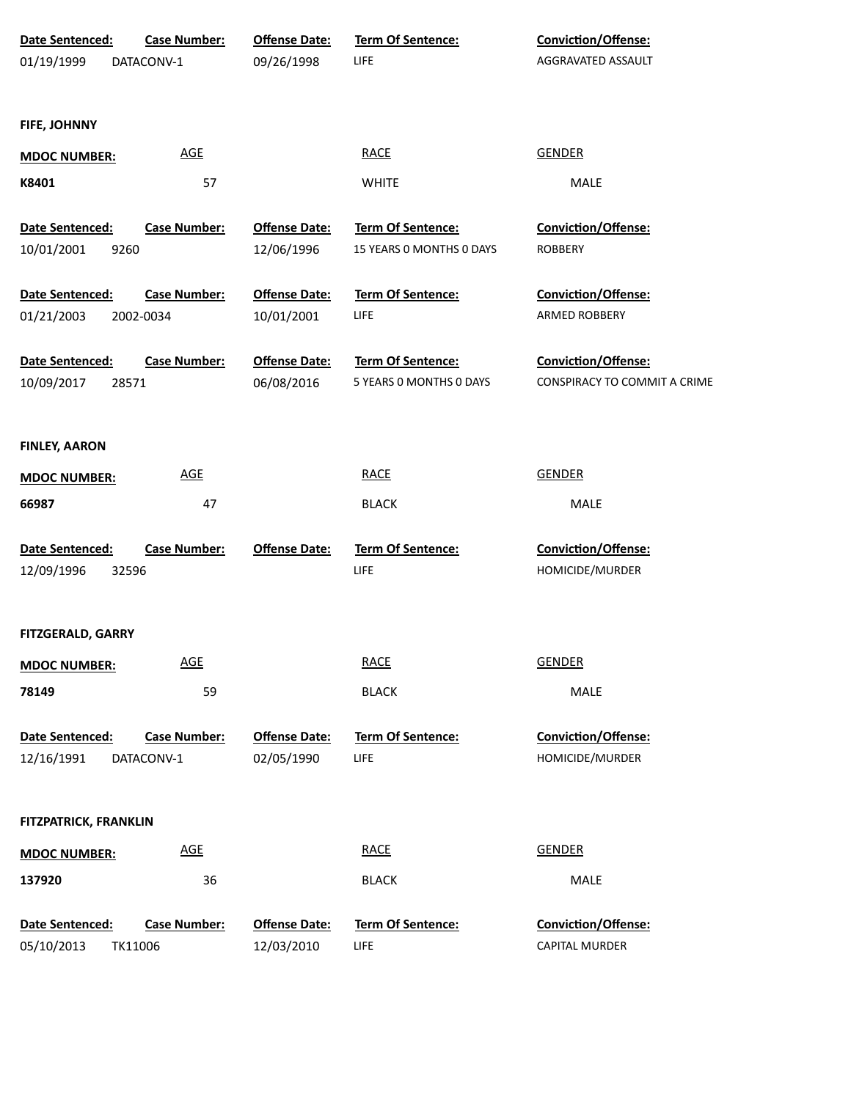| Date Sentenced:              | <b>Case Number:</b>        | <b>Offense Date:</b> | <b>Term Of Sentence:</b> | Conviction/Offense:          |
|------------------------------|----------------------------|----------------------|--------------------------|------------------------------|
| 01/19/1999                   | DATACONV-1                 | 09/26/1998           | <b>LIFE</b>              | AGGRAVATED ASSAULT           |
| FIFE, JOHNNY                 |                            |                      |                          |                              |
| <b>MDOC NUMBER:</b>          | $\underline{\mathsf{AGE}}$ |                      | <b>RACE</b>              | <b>GENDER</b>                |
| K8401                        | 57                         |                      | <b>WHITE</b>             | MALE                         |
| Date Sentenced:              | <b>Case Number:</b>        | <b>Offense Date:</b> | Term Of Sentence:        | Conviction/Offense:          |
| 10/01/2001                   | 9260                       | 12/06/1996           | 15 YEARS 0 MONTHS 0 DAYS | <b>ROBBERY</b>               |
| Date Sentenced:              | <b>Case Number:</b>        | <b>Offense Date:</b> | Term Of Sentence:        | Conviction/Offense:          |
| 01/21/2003                   | 2002-0034                  | 10/01/2001           | <b>LIFE</b>              | ARMED ROBBERY                |
| Date Sentenced:              | <b>Case Number:</b>        | <b>Offense Date:</b> | Term Of Sentence:        | Conviction/Offense:          |
| 10/09/2017                   | 28571                      | 06/08/2016           | 5 YEARS 0 MONTHS 0 DAYS  | CONSPIRACY TO COMMIT A CRIME |
| <b>FINLEY, AARON</b>         |                            |                      |                          |                              |
|                              | <b>AGE</b>                 |                      | <b>RACE</b>              | <b>GENDER</b>                |
| <b>MDOC NUMBER:</b>          |                            |                      |                          |                              |
| 66987                        | 47                         |                      | <b>BLACK</b>             | MALE                         |
| Date Sentenced:              | <b>Case Number:</b>        | <b>Offense Date:</b> | <b>Term Of Sentence:</b> | Conviction/Offense:          |
| 12/09/1996                   | 32596                      |                      | <b>LIFE</b>              | HOMICIDE/MURDER              |
| <b>FITZGERALD, GARRY</b>     |                            |                      |                          |                              |
| <b>MDOC NUMBER:</b>          | <b>AGE</b>                 |                      | <b>RACE</b>              | <b>GENDER</b>                |
| 78149                        | 59                         |                      | <b>BLACK</b>             | MALE                         |
| Date Sentenced:              | <b>Case Number:</b>        | <b>Offense Date:</b> | Term Of Sentence:        | Conviction/Offense:          |
| 12/16/1991                   | DATACONV-1                 | 02/05/1990           | <b>LIFE</b>              | HOMICIDE/MURDER              |
|                              |                            |                      |                          |                              |
| <b>FITZPATRICK, FRANKLIN</b> |                            |                      |                          |                              |
| <b>MDOC NUMBER:</b>          | <b>AGE</b>                 |                      | <b>RACE</b>              | <b>GENDER</b>                |
| 137920                       | 36                         |                      | <b>BLACK</b>             | MALE                         |
| Date Sentenced:              | <b>Case Number:</b>        | <b>Offense Date:</b> | Term Of Sentence:        | Conviction/Offense:          |
| 05/10/2013                   | TK11006                    | 12/03/2010           | <b>LIFE</b>              | CAPITAL MURDER               |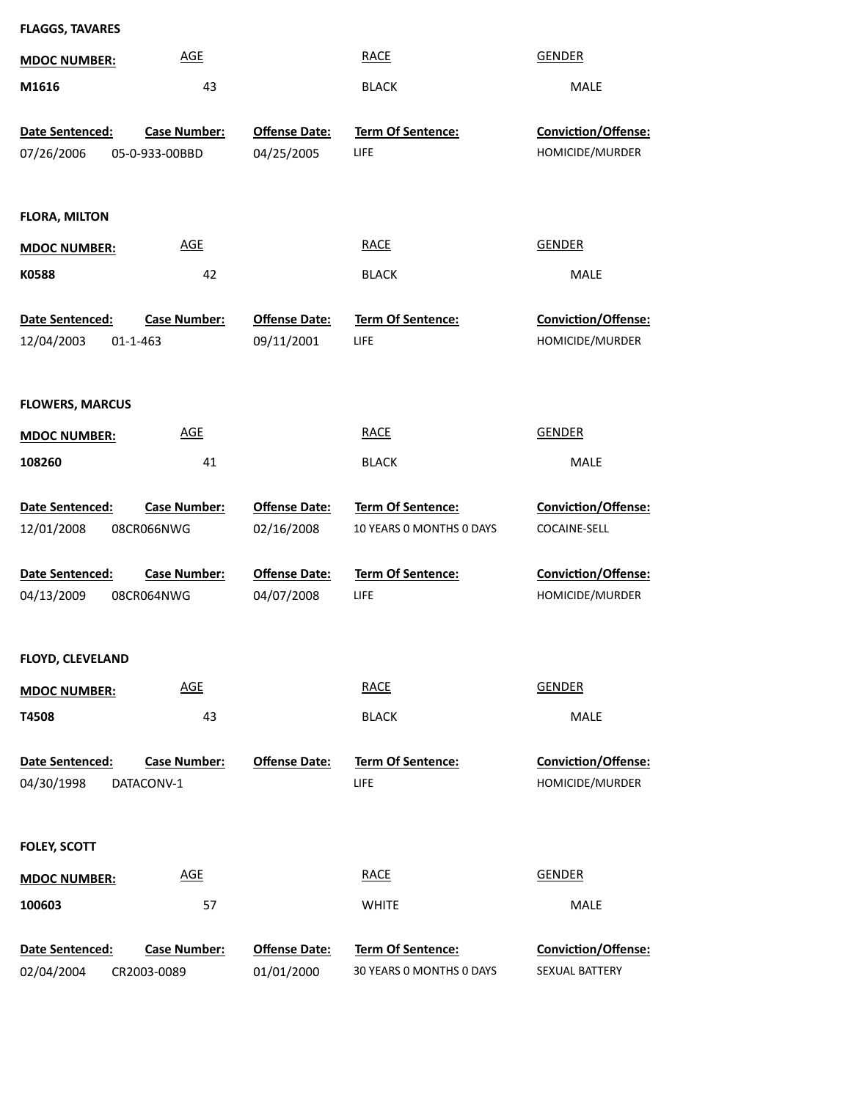| <b>FLAGGS, TAVARES</b>                    |                                    |                                    |                                                      |                                              |
|-------------------------------------------|------------------------------------|------------------------------------|------------------------------------------------------|----------------------------------------------|
| <b>MDOC NUMBER:</b>                       | <b>AGE</b>                         |                                    | <b>RACE</b>                                          | <b>GENDER</b>                                |
| M1616                                     | 43                                 |                                    | <b>BLACK</b>                                         | MALE                                         |
| Date Sentenced:                           | <b>Case Number:</b>                | <b>Offense Date:</b>               | Term Of Sentence:                                    | Conviction/Offense:                          |
| 07/26/2006                                | 05-0-933-00BBD                     | 04/25/2005                         | LIFE                                                 | HOMICIDE/MURDER                              |
|                                           |                                    |                                    |                                                      |                                              |
| <b>FLORA, MILTON</b>                      |                                    |                                    |                                                      |                                              |
| <b>MDOC NUMBER:</b>                       | <b>AGE</b>                         |                                    | <b>RACE</b>                                          | <b>GENDER</b>                                |
| K0588                                     | 42                                 |                                    | <b>BLACK</b>                                         | MALE                                         |
| Date Sentenced:<br>12/04/2003<br>01-1-463 | <b>Case Number:</b>                | <b>Offense Date:</b><br>09/11/2001 | Term Of Sentence:<br>LIFE                            | Conviction/Offense:<br>HOMICIDE/MURDER       |
| <b>FLOWERS, MARCUS</b>                    |                                    |                                    |                                                      |                                              |
| <b>MDOC NUMBER:</b>                       | <b>AGE</b>                         |                                    | <b>RACE</b>                                          | <b>GENDER</b>                                |
| 108260                                    | 41                                 |                                    | <b>BLACK</b>                                         | MALE                                         |
|                                           |                                    |                                    |                                                      |                                              |
| Date Sentenced:<br>12/01/2008             | <b>Case Number:</b><br>08CR066NWG  | <b>Offense Date:</b><br>02/16/2008 | <b>Term Of Sentence:</b><br>10 YEARS 0 MONTHS 0 DAYS | Conviction/Offense:<br>COCAINE-SELL          |
|                                           |                                    |                                    |                                                      |                                              |
| Date Sentenced:                           | <b>Case Number:</b>                | <b>Offense Date:</b>               | <b>Term Of Sentence:</b>                             | Conviction/Offense:                          |
| 04/13/2009                                | 08CR064NWG                         | 04/07/2008                         | LIFE                                                 | HOMICIDE/MURDER                              |
|                                           |                                    |                                    |                                                      |                                              |
| <b>FLOYD, CLEVELAND</b>                   |                                    |                                    |                                                      |                                              |
| <b>MDOC NUMBER:</b>                       | <b>AGE</b>                         |                                    | <b>RACE</b>                                          | <b>GENDER</b>                                |
| T4508                                     | 43                                 |                                    | <b>BLACK</b>                                         | MALE                                         |
| Date Sentenced:<br>04/30/1998             | <b>Case Number:</b><br>DATACONV-1  | <b>Offense Date:</b>               | Term Of Sentence:<br>LIFE                            | Conviction/Offense:<br>HOMICIDE/MURDER       |
| <b>FOLEY, SCOTT</b>                       |                                    |                                    |                                                      |                                              |
| <b>MDOC NUMBER:</b>                       | <b>AGE</b>                         |                                    | <b>RACE</b>                                          | <b>GENDER</b>                                |
| 100603                                    | 57                                 |                                    | <b>WHITE</b>                                         | MALE                                         |
| Date Sentenced:<br>02/04/2004             | <b>Case Number:</b><br>CR2003-0089 | <b>Offense Date:</b><br>01/01/2000 | <b>Term Of Sentence:</b><br>30 YEARS 0 MONTHS 0 DAYS | <b>Conviction/Offense:</b><br>SEXUAL BATTERY |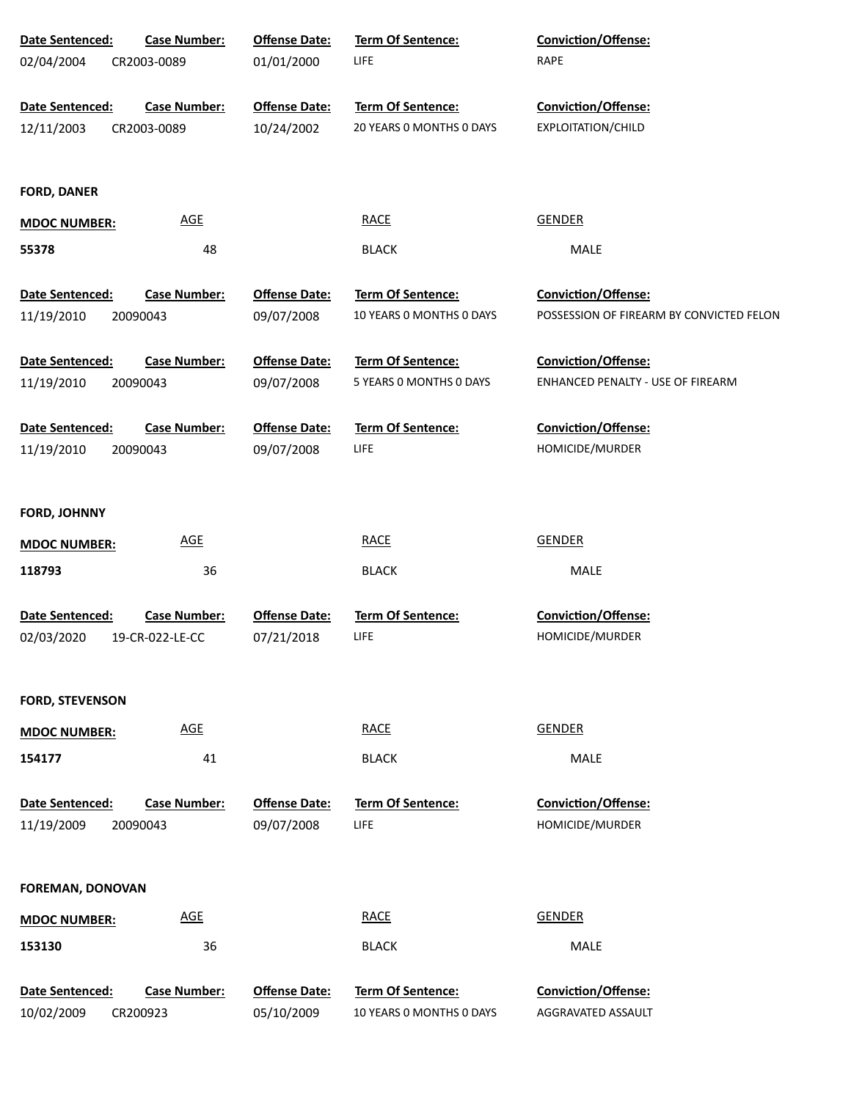| Date Sentenced:         | <b>Case Number:</b> | <b>Offense Date:</b> | Term Of Sentence:        | Conviction/Offense:                      |
|-------------------------|---------------------|----------------------|--------------------------|------------------------------------------|
| 02/04/2004              | CR2003-0089         | 01/01/2000           | LIFE                     | RAPE                                     |
|                         |                     |                      |                          |                                          |
| Date Sentenced:         | <b>Case Number:</b> | <b>Offense Date:</b> | <b>Term Of Sentence:</b> | Conviction/Offense:                      |
| 12/11/2003              | CR2003-0089         | 10/24/2002           | 20 YEARS 0 MONTHS 0 DAYS | EXPLOITATION/CHILD                       |
|                         |                     |                      |                          |                                          |
| <b>FORD, DANER</b>      |                     |                      |                          |                                          |
| <b>MDOC NUMBER:</b>     | AGE                 |                      | <b>RACE</b>              | <b>GENDER</b>                            |
| 55378                   | 48                  |                      | <b>BLACK</b>             | MALE                                     |
|                         |                     |                      |                          |                                          |
| Date Sentenced:         | <b>Case Number:</b> | <b>Offense Date:</b> | Term Of Sentence:        | <b>Conviction/Offense:</b>               |
| 11/19/2010              | 20090043            | 09/07/2008           | 10 YEARS 0 MONTHS 0 DAYS | POSSESSION OF FIREARM BY CONVICTED FELON |
| Date Sentenced:         | <b>Case Number:</b> | <b>Offense Date:</b> | Term Of Sentence:        | <b>Conviction/Offense:</b>               |
| 11/19/2010              | 20090043            | 09/07/2008           | 5 YEARS 0 MONTHS 0 DAYS  | ENHANCED PENALTY - USE OF FIREARM        |
|                         |                     |                      |                          |                                          |
| Date Sentenced:         | <b>Case Number:</b> | <b>Offense Date:</b> | Term Of Sentence:        | <b>Conviction/Offense:</b>               |
| 11/19/2010              | 20090043            | 09/07/2008           | <b>LIFE</b>              | HOMICIDE/MURDER                          |
|                         |                     |                      |                          |                                          |
| <b>FORD, JOHNNY</b>     |                     |                      |                          |                                          |
| <b>MDOC NUMBER:</b>     | <b>AGE</b>          |                      | <b>RACE</b>              | <b>GENDER</b>                            |
|                         |                     |                      |                          |                                          |
| 118793                  | 36                  |                      | <b>BLACK</b>             | MALE                                     |
| Date Sentenced:         | <b>Case Number:</b> | <b>Offense Date:</b> | Term Of Sentence:        | Conviction/Offense:                      |
| 02/03/2020              | 19-CR-022-LE-CC     | 07/21/2018           | <b>LIFE</b>              | HOMICIDE/MURDER                          |
|                         |                     |                      |                          |                                          |
| <b>FORD, STEVENSON</b>  |                     |                      |                          |                                          |
|                         | AGE                 |                      | <b>RACE</b>              | <b>GENDER</b>                            |
| <b>MDOC NUMBER:</b>     |                     |                      |                          |                                          |
| 154177                  | 41                  |                      | <b>BLACK</b>             | MALE                                     |
| Date Sentenced:         | <b>Case Number:</b> | <b>Offense Date:</b> | <b>Term Of Sentence:</b> | <b>Conviction/Offense:</b>               |
| 11/19/2009              | 20090043            | 09/07/2008           | <b>LIFE</b>              | HOMICIDE/MURDER                          |
|                         |                     |                      |                          |                                          |
| <b>FOREMAN, DONOVAN</b> |                     |                      |                          |                                          |
|                         |                     |                      |                          |                                          |
| <b>MDOC NUMBER:</b>     | <b>AGE</b>          |                      | <b>RACE</b>              | <b>GENDER</b>                            |
| 153130                  | 36                  |                      | <b>BLACK</b>             | MALE                                     |
| Date Sentenced:         | <b>Case Number:</b> | <b>Offense Date:</b> | Term Of Sentence:        | Conviction/Offense:                      |
| 10/02/2009              | CR200923            | 05/10/2009           | 10 YEARS 0 MONTHS 0 DAYS | AGGRAVATED ASSAULT                       |
|                         |                     |                      |                          |                                          |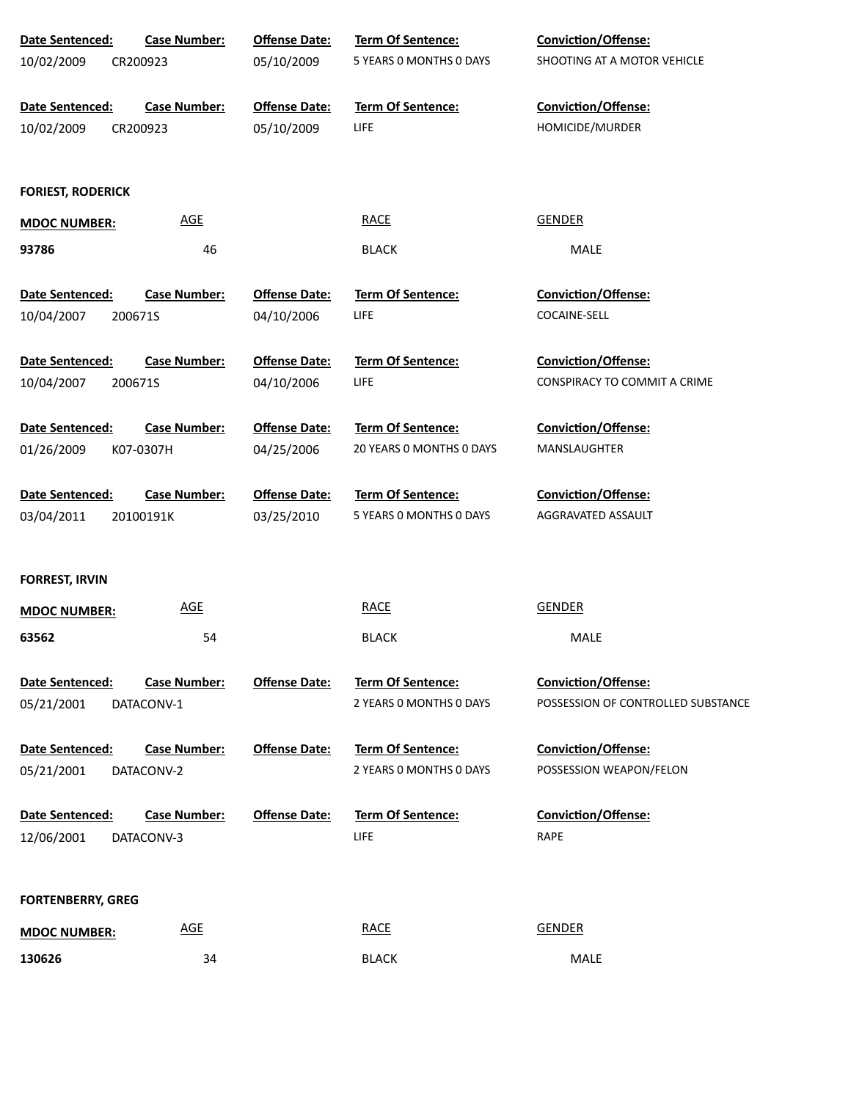| <b>Date Sentenced:</b>   | <b>Case Number:</b> | <b>Offense Date:</b> | <b>Term Of Sentence:</b> | Conviction/Offense:                |
|--------------------------|---------------------|----------------------|--------------------------|------------------------------------|
| 10/02/2009               | CR200923            | 05/10/2009           | 5 YEARS 0 MONTHS 0 DAYS  | SHOOTING AT A MOTOR VEHICLE        |
| Date Sentenced:          | <b>Case Number:</b> | <b>Offense Date:</b> | <b>Term Of Sentence:</b> | <b>Conviction/Offense:</b>         |
| 10/02/2009               | CR200923            | 05/10/2009           | <b>LIFE</b>              | HOMICIDE/MURDER                    |
|                          |                     |                      |                          |                                    |
| <b>FORIEST, RODERICK</b> |                     |                      |                          |                                    |
| <b>MDOC NUMBER:</b>      | <b>AGE</b>          |                      | <b>RACE</b>              | <b>GENDER</b>                      |
| 93786                    | 46                  |                      | <b>BLACK</b>             | MALE                               |
| Date Sentenced:          | <b>Case Number:</b> | <b>Offense Date:</b> | <b>Term Of Sentence:</b> | Conviction/Offense:                |
| 10/04/2007               | 200671S             | 04/10/2006           | LIFE                     | COCAINE-SELL                       |
| Date Sentenced:          | <b>Case Number:</b> | <b>Offense Date:</b> | <b>Term Of Sentence:</b> | Conviction/Offense:                |
| 10/04/2007               | 200671S             | 04/10/2006           | LIFE                     | CONSPIRACY TO COMMIT A CRIME       |
| Date Sentenced:          | <b>Case Number:</b> | <b>Offense Date:</b> | Term Of Sentence:        | Conviction/Offense:                |
| 01/26/2009               | K07-0307H           | 04/25/2006           | 20 YEARS 0 MONTHS 0 DAYS | MANSLAUGHTER                       |
| Date Sentenced:          | <b>Case Number:</b> | <b>Offense Date:</b> | Term Of Sentence:        | Conviction/Offense:                |
| 03/04/2011               | 20100191K           | 03/25/2010           | 5 YEARS 0 MONTHS 0 DAYS  | AGGRAVATED ASSAULT                 |
| <b>FORREST, IRVIN</b>    |                     |                      |                          |                                    |
| <b>MDOC NUMBER:</b>      | <b>AGE</b>          |                      | <b>RACE</b>              | <b>GENDER</b>                      |
| 63562                    | 54                  |                      | <b>BLACK</b>             | MALE                               |
| Date Sentenced:          | <b>Case Number:</b> | <b>Offense Date:</b> | <b>Term Of Sentence:</b> | <b>Conviction/Offense:</b>         |
| 05/21/2001               | DATACONV-1          |                      | 2 YEARS 0 MONTHS 0 DAYS  | POSSESSION OF CONTROLLED SUBSTANCE |
|                          |                     |                      |                          |                                    |
| Date Sentenced:          | <b>Case Number:</b> | <b>Offense Date:</b> | <b>Term Of Sentence:</b> | Conviction/Offense:                |
| 05/21/2001               | DATACONV-2          |                      | 2 YEARS 0 MONTHS 0 DAYS  | POSSESSION WEAPON/FELON            |
| <b>Date Sentenced:</b>   | <b>Case Number:</b> | <b>Offense Date:</b> | <b>Term Of Sentence:</b> | <b>Conviction/Offense:</b>         |
| 12/06/2001               | DATACONV-3          |                      | LIFE                     | RAPE                               |
|                          |                     |                      |                          |                                    |
| <b>FORTENBERRY, GREG</b> |                     |                      |                          |                                    |
| <b>MDOC NUMBER:</b>      | <b>AGE</b>          |                      | <b>RACE</b>              | <b>GENDER</b>                      |
| 130626                   | 34                  |                      | <b>BLACK</b>             | MALE                               |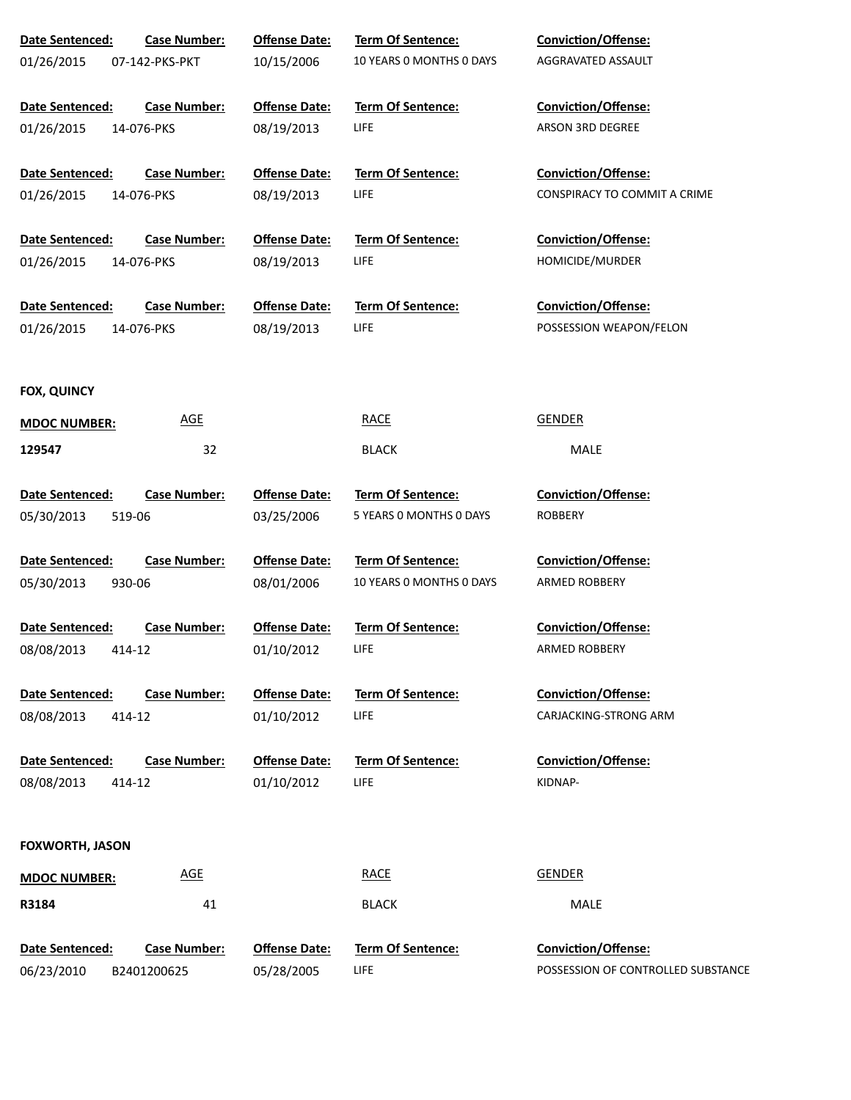| Date Sentenced:        | <b>Case Number:</b> | <b>Offense Date:</b> | Term Of Sentence:        | Conviction/Offense:                 |
|------------------------|---------------------|----------------------|--------------------------|-------------------------------------|
| 01/26/2015             | 07-142-PKS-PKT      | 10/15/2006           | 10 YEARS O MONTHS O DAYS | AGGRAVATED ASSAULT                  |
|                        |                     |                      |                          |                                     |
| Date Sentenced:        | <b>Case Number:</b> | <b>Offense Date:</b> | Term Of Sentence:        | <b>Conviction/Offense:</b>          |
| 01/26/2015             | 14-076-PKS          | 08/19/2013           | <b>LIFE</b>              | ARSON 3RD DEGREE                    |
| Date Sentenced:        | <b>Case Number:</b> | <b>Offense Date:</b> | <b>Term Of Sentence:</b> | <b>Conviction/Offense:</b>          |
| 01/26/2015             | 14-076-PKS          | 08/19/2013           | <b>LIFE</b>              | <b>CONSPIRACY TO COMMIT A CRIME</b> |
|                        |                     |                      |                          |                                     |
| Date Sentenced:        | <b>Case Number:</b> | <b>Offense Date:</b> | Term Of Sentence:        | <b>Conviction/Offense:</b>          |
| 01/26/2015             | 14-076-PKS          | 08/19/2013           | <b>LIFE</b>              | HOMICIDE/MURDER                     |
|                        |                     |                      |                          |                                     |
| Date Sentenced:        | <b>Case Number:</b> | <b>Offense Date:</b> | Term Of Sentence:        | <b>Conviction/Offense:</b>          |
| 01/26/2015             | 14-076-PKS          | 08/19/2013           | <b>LIFE</b>              | POSSESSION WEAPON/FELON             |
|                        |                     |                      |                          |                                     |
| <b>FOX, QUINCY</b>     |                     |                      |                          |                                     |
| <b>MDOC NUMBER:</b>    | <u>AGE</u>          |                      | <b>RACE</b>              | GENDER                              |
| 129547                 | 32                  |                      | <b>BLACK</b>             | MALE                                |
|                        |                     |                      |                          |                                     |
| Date Sentenced:        | <b>Case Number:</b> | <b>Offense Date:</b> | Term Of Sentence:        | <b>Conviction/Offense:</b>          |
| 05/30/2013             | 519-06              | 03/25/2006           | 5 YEARS 0 MONTHS 0 DAYS  | <b>ROBBERY</b>                      |
|                        |                     |                      |                          |                                     |
| Date Sentenced:        | <b>Case Number:</b> | <b>Offense Date:</b> | Term Of Sentence:        | <b>Conviction/Offense:</b>          |
| 05/30/2013             | 930-06              | 08/01/2006           | 10 YEARS O MONTHS O DAYS | ARMED ROBBERY                       |
|                        |                     |                      |                          |                                     |
| Date Sentenced:        | <b>Case Number:</b> | <b>Offense Date:</b> | <b>Term Of Sentence:</b> | <b>Conviction/Offense:</b>          |
| 08/08/2013             | 414-12              | 01/10/2012           | LIFE.                    | ARMED ROBBERY                       |
|                        |                     |                      |                          |                                     |
| Date Sentenced:        | <b>Case Number:</b> | <b>Offense Date:</b> | Term Of Sentence:        | <b>Conviction/Offense:</b>          |
| 08/08/2013             | 414-12              | 01/10/2012           | LIFE                     | CARJACKING-STRONG ARM               |
|                        |                     |                      |                          |                                     |
| Date Sentenced:        | <b>Case Number:</b> | <b>Offense Date:</b> | Term Of Sentence:        | <b>Conviction/Offense:</b>          |
| 08/08/2013             | 414-12              | 01/10/2012           | LIFE                     | KIDNAP-                             |
|                        |                     |                      |                          |                                     |
| <b>FOXWORTH, JASON</b> |                     |                      |                          |                                     |
| <b>MDOC NUMBER:</b>    | <b>AGE</b>          |                      | <b>RACE</b>              | <b>GENDER</b>                       |
| R3184                  | 41                  |                      | <b>BLACK</b>             | MALE                                |
|                        |                     |                      |                          |                                     |
| Date Sentenced:        | <b>Case Number:</b> | <b>Offense Date:</b> | Term Of Sentence:        | Conviction/Offense:                 |
| 06/23/2010             | B2401200625         | 05/28/2005           | <b>LIFE</b>              | POSSESSION OF CONTROLLED SUBSTANCE  |
|                        |                     |                      |                          |                                     |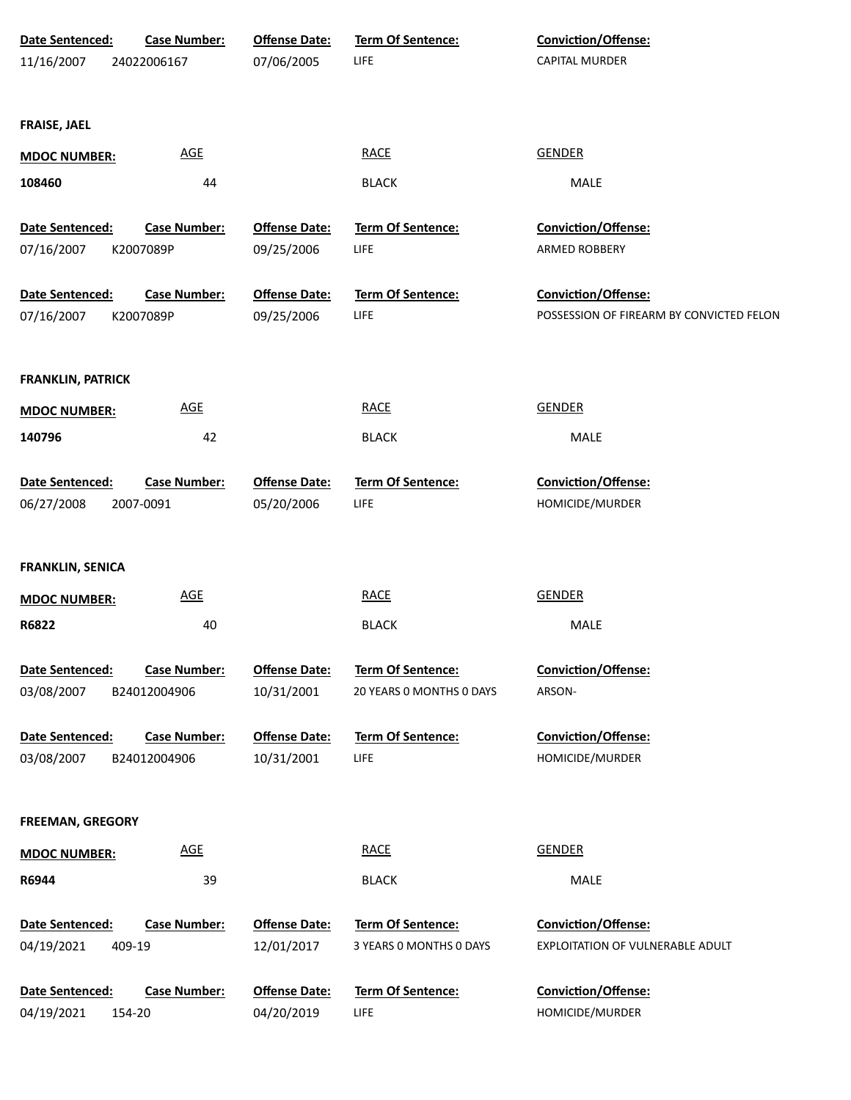| Date Sentenced:          | <b>Case Number:</b>        | <b>Offense Date:</b> | <b>Term Of Sentence:</b> | Conviction/Offense:                      |
|--------------------------|----------------------------|----------------------|--------------------------|------------------------------------------|
| 11/16/2007               | 24022006167                | 07/06/2005           | LIFE                     | CAPITAL MURDER                           |
|                          |                            |                      |                          |                                          |
|                          |                            |                      |                          |                                          |
| <b>FRAISE, JAEL</b>      |                            |                      |                          |                                          |
| <b>MDOC NUMBER:</b>      | <b>AGE</b>                 |                      | <b>RACE</b>              | <b>GENDER</b>                            |
| 108460                   | 44                         |                      | <b>BLACK</b>             | MALE                                     |
|                          |                            |                      |                          |                                          |
| Date Sentenced:          | <b>Case Number:</b>        | <b>Offense Date:</b> | Term Of Sentence:        | Conviction/Offense:                      |
| 07/16/2007               | K2007089P                  | 09/25/2006           | LIFE                     | ARMED ROBBERY                            |
| Date Sentenced:          | <b>Case Number:</b>        | <b>Offense Date:</b> | Term Of Sentence:        | Conviction/Offense:                      |
| 07/16/2007               | K2007089P                  | 09/25/2006           | LIFE                     | POSSESSION OF FIREARM BY CONVICTED FELON |
|                          |                            |                      |                          |                                          |
|                          |                            |                      |                          |                                          |
| <b>FRANKLIN, PATRICK</b> |                            |                      |                          |                                          |
| <b>MDOC NUMBER:</b>      | $\underline{\mathsf{AGE}}$ |                      | <b>RACE</b>              | <b>GENDER</b>                            |
| 140796                   | 42                         |                      | <b>BLACK</b>             | MALE                                     |
|                          |                            |                      |                          |                                          |
| Date Sentenced:          | <b>Case Number:</b>        | <b>Offense Date:</b> | Term Of Sentence:        | Conviction/Offense:                      |
| 06/27/2008               | 2007-0091                  | 05/20/2006           | LIFE                     | HOMICIDE/MURDER                          |
|                          |                            |                      |                          |                                          |
| <b>FRANKLIN, SENICA</b>  |                            |                      |                          |                                          |
| <b>MDOC NUMBER:</b>      | <b>AGE</b>                 |                      | <b>RACE</b>              | <b>GENDER</b>                            |
|                          |                            |                      |                          |                                          |
| R6822                    | 40                         |                      | <b>BLACK</b>             | MALE                                     |
| Date Sentenced:          | <b>Case Number:</b>        | <b>Offense Date:</b> | <b>Term Of Sentence:</b> | <b>Conviction/Offense:</b>               |
| 03/08/2007               | B24012004906               | 10/31/2001           | 20 YEARS 0 MONTHS 0 DAYS | ARSON-                                   |
|                          |                            |                      |                          |                                          |
| Date Sentenced:          | <b>Case Number:</b>        | <b>Offense Date:</b> | <b>Term Of Sentence:</b> | <b>Conviction/Offense:</b>               |
| 03/08/2007               | B24012004906               | 10/31/2001           | LIFE                     | HOMICIDE/MURDER                          |
|                          |                            |                      |                          |                                          |
| <b>FREEMAN, GREGORY</b>  |                            |                      |                          |                                          |
|                          | <b>AGE</b>                 |                      | <b>RACE</b>              | <b>GENDER</b>                            |
| <b>MDOC NUMBER:</b>      |                            |                      |                          |                                          |
| R6944                    | 39                         |                      | <b>BLACK</b>             | MALE                                     |
| Date Sentenced:          | <b>Case Number:</b>        | <b>Offense Date:</b> | <b>Term Of Sentence:</b> | <b>Conviction/Offense:</b>               |
| 04/19/2021               | 409-19                     | 12/01/2017           | 3 YEARS 0 MONTHS 0 DAYS  | EXPLOITATION OF VULNERABLE ADULT         |
|                          |                            |                      |                          |                                          |
| Date Sentenced:          | <b>Case Number:</b>        | <b>Offense Date:</b> | Term Of Sentence:        | Conviction/Offense:                      |
| 04/19/2021               | 154-20                     | 04/20/2019           | LIFE                     | HOMICIDE/MURDER                          |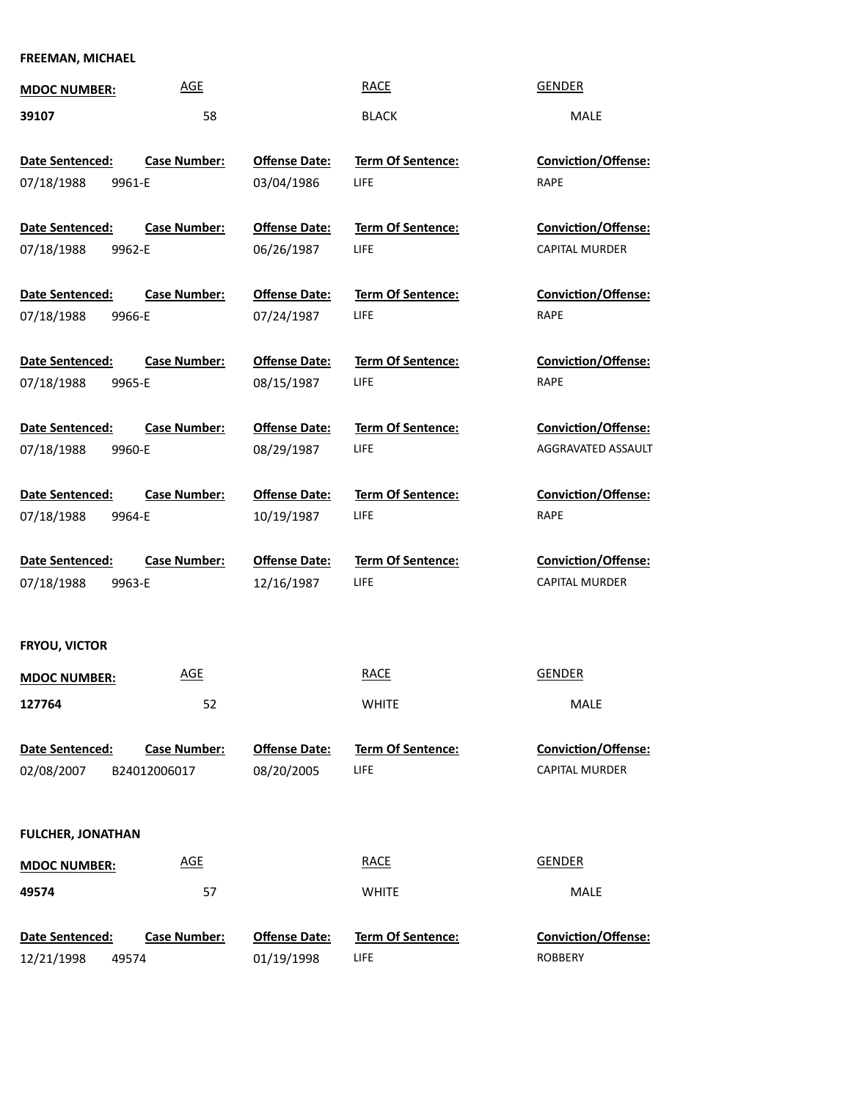# **FREEMAN, MICHAEL**

| <b>MDOC NUMBER:</b>                     | <b>AGE</b>                          |                                    | <b>RACE</b>                             | <b>GENDER</b>                                       |
|-----------------------------------------|-------------------------------------|------------------------------------|-----------------------------------------|-----------------------------------------------------|
| 39107                                   | 58                                  |                                    | <b>BLACK</b>                            | <b>MALE</b>                                         |
| Date Sentenced:<br>07/18/1988<br>9961-E | <b>Case Number:</b>                 | <b>Offense Date:</b><br>03/04/1986 | <b>Term Of Sentence:</b><br><b>LIFE</b> | <b>Conviction/Offense:</b><br>RAPE                  |
| Date Sentenced:<br>07/18/1988<br>9962-E | <b>Case Number:</b>                 | <b>Offense Date:</b><br>06/26/1987 | <b>Term Of Sentence:</b><br><b>LIFE</b> | <b>Conviction/Offense:</b><br><b>CAPITAL MURDER</b> |
| Date Sentenced:<br>07/18/1988<br>9966-E | <b>Case Number:</b>                 | <b>Offense Date:</b><br>07/24/1987 | <b>Term Of Sentence:</b><br><b>LIFE</b> | <b>Conviction/Offense:</b><br>RAPE                  |
| Date Sentenced:<br>07/18/1988<br>9965-E | <b>Case Number:</b>                 | <b>Offense Date:</b><br>08/15/1987 | <b>Term Of Sentence:</b><br><b>LIFE</b> | <b>Conviction/Offense:</b><br>RAPE                  |
| Date Sentenced:<br>07/18/1988<br>9960-E | <b>Case Number:</b>                 | <b>Offense Date:</b><br>08/29/1987 | <b>Term Of Sentence:</b><br><b>LIFE</b> | <b>Conviction/Offense:</b><br>AGGRAVATED ASSAULT    |
| Date Sentenced:<br>07/18/1988<br>9964-E | <b>Case Number:</b>                 | <b>Offense Date:</b><br>10/19/1987 | <b>Term Of Sentence:</b><br><b>LIFE</b> | <b>Conviction/Offense:</b><br>RAPE                  |
| Date Sentenced:<br>07/18/1988<br>9963-E | <b>Case Number:</b>                 | <b>Offense Date:</b><br>12/16/1987 | <b>Term Of Sentence:</b><br>LIFE        | <b>Conviction/Offense:</b><br>CAPITAL MURDER        |
| <b>FRYOU, VICTOR</b>                    |                                     |                                    |                                         |                                                     |
| <b>MDOC NUMBER:</b>                     | <b>AGE</b>                          |                                    | <b>RACE</b>                             | <b>GENDER</b>                                       |
| 127764                                  | 52                                  |                                    | <b>WHITE</b>                            | MALE                                                |
| Date Sentenced:<br>02/08/2007           | <b>Case Number:</b><br>B24012006017 | <b>Offense Date:</b><br>08/20/2005 | <b>Term Of Sentence:</b><br><b>LIFE</b> | Conviction/Offense:<br><b>CAPITAL MURDER</b>        |
| <b>FULCHER, JONATHAN</b>                |                                     |                                    |                                         |                                                     |
| <b>MDOC NUMBER:</b>                     | <b>AGE</b>                          |                                    | <b>RACE</b>                             | <b>GENDER</b>                                       |
| 49574                                   | 57                                  |                                    | <b>WHITE</b>                            | MALE                                                |
| Date Sentenced:<br>12/21/1998<br>49574  | <b>Case Number:</b>                 | <b>Offense Date:</b><br>01/19/1998 | <b>Term Of Sentence:</b><br><b>LIFE</b> | Conviction/Offense:<br><b>ROBBERY</b>               |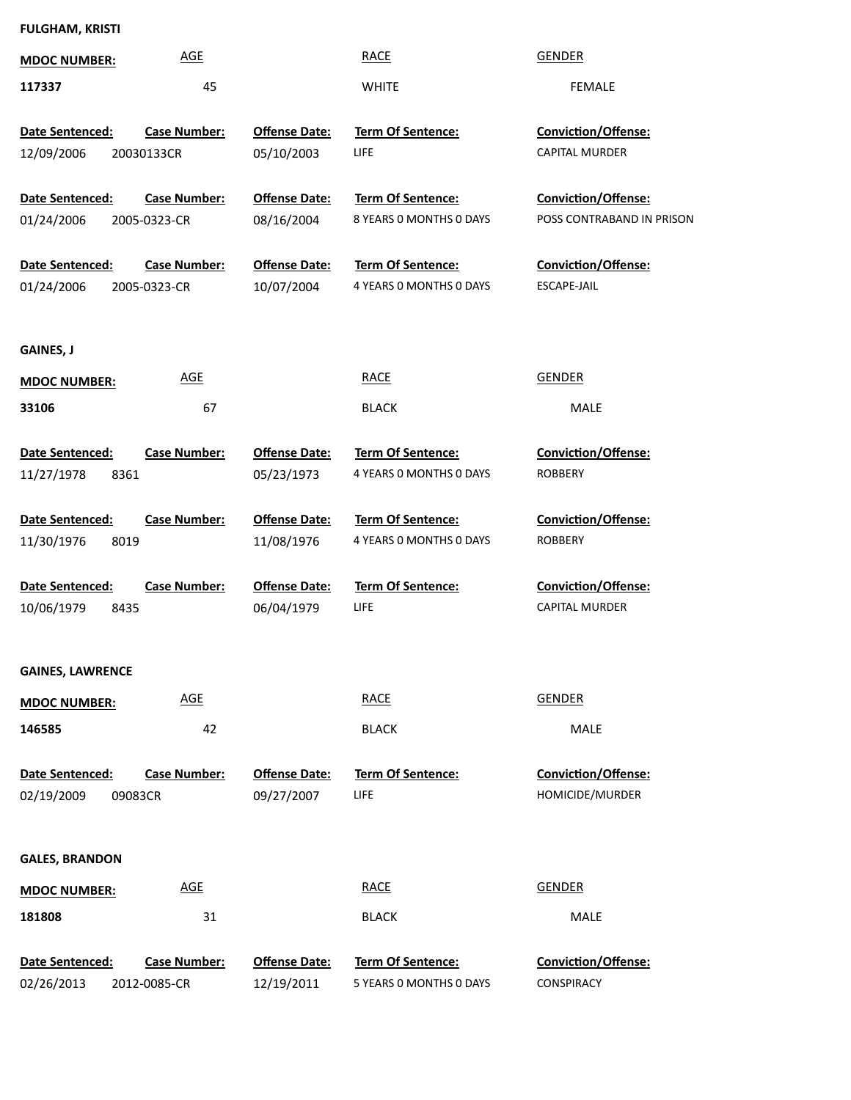# **FULGHAM, KRISTI**

| <b>MDOC NUMBER:</b>                      | <b>AGE</b>                          |                                    | <b>RACE</b>                                         | <b>GENDER</b>                                           |
|------------------------------------------|-------------------------------------|------------------------------------|-----------------------------------------------------|---------------------------------------------------------|
| 117337                                   | 45                                  |                                    | <b>WHITE</b>                                        | <b>FEMALE</b>                                           |
| Date Sentenced:<br>12/09/2006            | <b>Case Number:</b><br>20030133CR   | <b>Offense Date:</b><br>05/10/2003 | <b>Term Of Sentence:</b><br><b>LIFE</b>             | <b>Conviction/Offense:</b><br><b>CAPITAL MURDER</b>     |
| Date Sentenced:<br>01/24/2006            | <b>Case Number:</b><br>2005-0323-CR | <b>Offense Date:</b><br>08/16/2004 | Term Of Sentence:<br>8 YEARS O MONTHS O DAYS        | <b>Conviction/Offense:</b><br>POSS CONTRABAND IN PRISON |
| Date Sentenced:<br>01/24/2006            | <b>Case Number:</b><br>2005-0323-CR | <b>Offense Date:</b><br>10/07/2004 | Term Of Sentence:<br>4 YEARS O MONTHS O DAYS        | <b>Conviction/Offense:</b><br>ESCAPE-JAIL               |
| GAINES, J                                |                                     |                                    |                                                     |                                                         |
| <b>MDOC NUMBER:</b>                      | <b>AGE</b>                          |                                    | <b>RACE</b>                                         | <b>GENDER</b>                                           |
| 33106                                    | 67                                  |                                    | <b>BLACK</b>                                        | MALE                                                    |
| Date Sentenced:<br>8361<br>11/27/1978    | <b>Case Number:</b>                 | <b>Offense Date:</b><br>05/23/1973 | Term Of Sentence:<br>4 YEARS 0 MONTHS 0 DAYS        | <b>Conviction/Offense:</b><br><b>ROBBERY</b>            |
| Date Sentenced:                          | <b>Case Number:</b>                 | <b>Offense Date:</b>               | Term Of Sentence:                                   | <b>Conviction/Offense:</b>                              |
| 8019<br>11/30/1976                       |                                     | 11/08/1976                         | 4 YEARS O MONTHS O DAYS                             | <b>ROBBERY</b>                                          |
| Date Sentenced:<br>10/06/1979<br>8435    | <b>Case Number:</b>                 | <b>Offense Date:</b><br>06/04/1979 | Term Of Sentence:<br><b>LIFE</b>                    | <b>Conviction/Offense:</b><br>CAPITAL MURDER            |
| <b>GAINES, LAWRENCE</b>                  |                                     |                                    |                                                     |                                                         |
| <b>MDOC NUMBER:</b>                      | <b>AGE</b>                          |                                    | <b>RACE</b>                                         | <b>GENDER</b>                                           |
| 146585                                   | 42                                  |                                    | <b>BLACK</b>                                        | MALE                                                    |
| Date Sentenced:<br>02/19/2009<br>09083CR | <b>Case Number:</b>                 | <b>Offense Date:</b><br>09/27/2007 | Term Of Sentence:<br>LIFE                           | Conviction/Offense:<br>HOMICIDE/MURDER                  |
| <b>GALES, BRANDON</b>                    |                                     |                                    |                                                     |                                                         |
| <b>MDOC NUMBER:</b>                      | <b>AGE</b>                          |                                    | <b>RACE</b>                                         | <b>GENDER</b>                                           |
| 181808                                   | 31                                  |                                    | <b>BLACK</b>                                        | MALE                                                    |
| Date Sentenced:<br>02/26/2013            | <b>Case Number:</b><br>2012-0085-CR | <b>Offense Date:</b><br>12/19/2011 | <b>Term Of Sentence:</b><br>5 YEARS 0 MONTHS 0 DAYS | <b>Conviction/Offense:</b><br>CONSPIRACY                |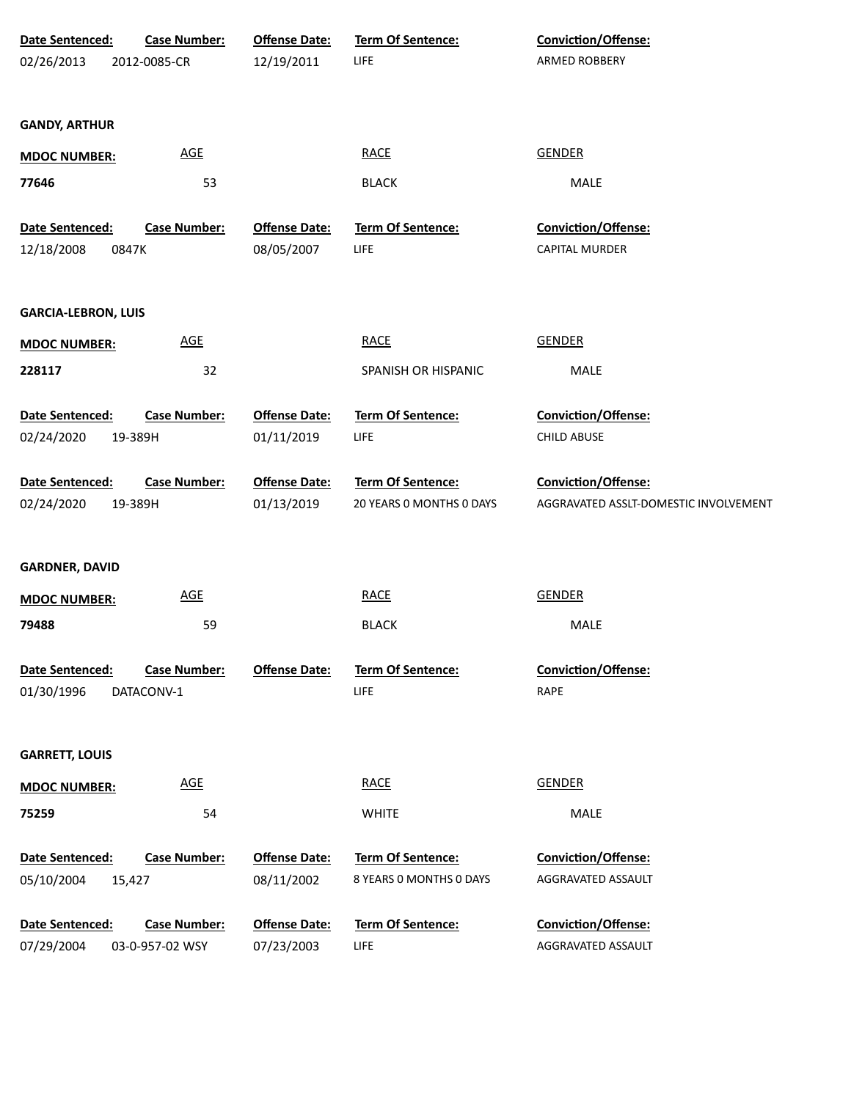| Date Sentenced:               | <b>Case Number:</b>           | <b>Offense Date:</b>               | Term Of Sentence:                            | Conviction/Offense:                          |
|-------------------------------|-------------------------------|------------------------------------|----------------------------------------------|----------------------------------------------|
| 02/26/2013                    | 2012-0085-CR                  | 12/19/2011                         | <b>LIFE</b>                                  | ARMED ROBBERY                                |
|                               |                               |                                    |                                              |                                              |
| <b>GANDY, ARTHUR</b>          |                               |                                    |                                              |                                              |
|                               |                               |                                    |                                              |                                              |
| <b>MDOC NUMBER:</b>           | <b>AGE</b>                    |                                    | <b>RACE</b>                                  | <b>GENDER</b>                                |
| 77646                         | 53                            |                                    | <b>BLACK</b>                                 | MALE                                         |
|                               |                               |                                    |                                              |                                              |
| Date Sentenced:<br>12/18/2008 | <b>Case Number:</b><br>0847K  | <b>Offense Date:</b><br>08/05/2007 | Term Of Sentence:<br><b>LIFE</b>             | Conviction/Offense:<br><b>CAPITAL MURDER</b> |
|                               |                               |                                    |                                              |                                              |
|                               |                               |                                    |                                              |                                              |
| <b>GARCIA-LEBRON, LUIS</b>    |                               |                                    |                                              |                                              |
| <b>MDOC NUMBER:</b>           | <b>AGE</b>                    |                                    | <b>RACE</b>                                  | <b>GENDER</b>                                |
| 228117                        | 32                            |                                    | SPANISH OR HISPANIC                          | <b>MALE</b>                                  |
|                               |                               |                                    |                                              |                                              |
| Date Sentenced:               | <b>Case Number:</b>           | <b>Offense Date:</b>               | Term Of Sentence:                            | Conviction/Offense:                          |
| 02/24/2020                    | 19-389H                       | 01/11/2019                         | <b>LIFE</b>                                  | <b>CHILD ABUSE</b>                           |
|                               |                               |                                    |                                              |                                              |
| Date Sentenced:               | <b>Case Number:</b>           | <b>Offense Date:</b>               | Term Of Sentence:                            | Conviction/Offense:                          |
| 02/24/2020                    | 19-389H                       | 01/13/2019                         | 20 YEARS 0 MONTHS 0 DAYS                     | AGGRAVATED ASSLT-DOMESTIC INVOLVEMENT        |
|                               |                               |                                    |                                              |                                              |
| <b>GARDNER, DAVID</b>         |                               |                                    |                                              |                                              |
| <b>MDOC NUMBER:</b>           | <b>AGE</b>                    |                                    | <b>RACE</b>                                  | <b>GENDER</b>                                |
| 79488                         | 59                            |                                    | <b>BLACK</b>                                 | MALE                                         |
|                               |                               |                                    |                                              |                                              |
| Date Sentenced:               | <b>Case Number:</b>           | <b>Offense Date:</b>               | Term Of Sentence:                            | Conviction/Offense:                          |
| 01/30/1996                    | DATACONV-1                    |                                    | <b>LIFE</b>                                  | RAPE                                         |
|                               |                               |                                    |                                              |                                              |
| <b>GARRETT, LOUIS</b>         |                               |                                    |                                              |                                              |
|                               |                               |                                    |                                              |                                              |
| <b>MDOC NUMBER:</b>           | <b>AGE</b>                    |                                    | <b>RACE</b>                                  | <b>GENDER</b>                                |
| 75259                         | 54                            |                                    | <b>WHITE</b>                                 | MALE                                         |
| Date Sentenced:               |                               |                                    |                                              |                                              |
| 05/10/2004                    | <b>Case Number:</b><br>15,427 | <b>Offense Date:</b><br>08/11/2002 | Term Of Sentence:<br>8 YEARS 0 MONTHS 0 DAYS | Conviction/Offense:<br>AGGRAVATED ASSAULT    |
|                               |                               |                                    |                                              |                                              |
| Date Sentenced:               | <b>Case Number:</b>           | <b>Offense Date:</b>               | Term Of Sentence:                            | Conviction/Offense:                          |
| 07/29/2004                    | 03-0-957-02 WSY               | 07/23/2003                         | <b>LIFE</b>                                  | AGGRAVATED ASSAULT                           |
|                               |                               |                                    |                                              |                                              |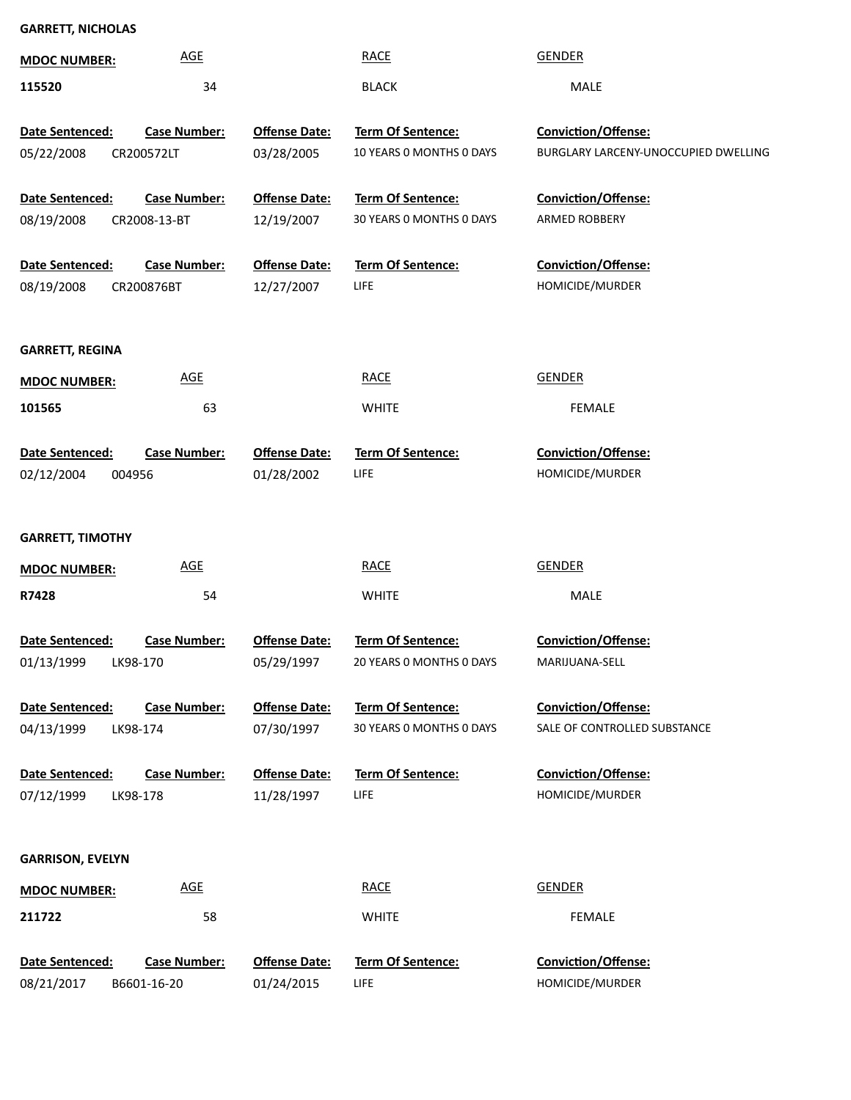# **GARRETT, NICHOLAS**

| <b>MDOC NUMBER:</b>     | <b>AGE</b>          |                                    | <b>RACE</b>                                   | <b>GENDER</b>                                       |
|-------------------------|---------------------|------------------------------------|-----------------------------------------------|-----------------------------------------------------|
| 115520                  | 34                  |                                    | <b>BLACK</b>                                  | MALE                                                |
|                         |                     |                                    |                                               |                                                     |
| Date Sentenced:         | <b>Case Number:</b> | <b>Offense Date:</b>               | Term Of Sentence:                             | Conviction/Offense:                                 |
| 05/22/2008              | CR200572LT          | 03/28/2005                         | 10 YEARS 0 MONTHS 0 DAYS                      | BURGLARY LARCENY-UNOCCUPIED DWELLING                |
| Date Sentenced:         | <b>Case Number:</b> | <b>Offense Date:</b>               | Term Of Sentence:                             | Conviction/Offense:                                 |
| 08/19/2008              | CR2008-13-BT        | 12/19/2007                         | 30 YEARS 0 MONTHS 0 DAYS                      | ARMED ROBBERY                                       |
|                         |                     |                                    |                                               |                                                     |
| Date Sentenced:         | <b>Case Number:</b> | <b>Offense Date:</b>               | <b>Term Of Sentence:</b>                      | <b>Conviction/Offense:</b>                          |
| 08/19/2008              | CR200876BT          | 12/27/2007                         | LIFE                                          | HOMICIDE/MURDER                                     |
|                         |                     |                                    |                                               |                                                     |
| <b>GARRETT, REGINA</b>  |                     |                                    |                                               |                                                     |
| <b>MDOC NUMBER:</b>     | <b>AGE</b>          |                                    | <b>RACE</b>                                   | <b>GENDER</b>                                       |
| 101565                  | 63                  |                                    | <b>WHITE</b>                                  | <b>FEMALE</b>                                       |
|                         |                     |                                    |                                               |                                                     |
| Date Sentenced:         | <b>Case Number:</b> | <b>Offense Date:</b>               | <b>Term Of Sentence:</b>                      | <b>Conviction/Offense:</b>                          |
| 02/12/2004              | 004956              | 01/28/2002                         | <b>LIFE</b>                                   | HOMICIDE/MURDER                                     |
|                         |                     |                                    |                                               |                                                     |
| <b>GARRETT, TIMOTHY</b> |                     |                                    |                                               |                                                     |
| <b>MDOC NUMBER:</b>     | <b>AGE</b>          |                                    | <b>RACE</b>                                   | <b>GENDER</b>                                       |
| R7428                   | 54                  |                                    | <b>WHITE</b>                                  | MALE                                                |
|                         |                     |                                    |                                               |                                                     |
| Date Sentenced:         | <b>Case Number:</b> | <b>Offense Date:</b>               | <b>Term Of Sentence:</b>                      | Conviction/Offense:                                 |
| 01/13/1999 LK98-170     |                     | 05/29/1997                         | 20 YEARS 0 MONTHS 0 DAYS                      | MARIJUANA-SELL                                      |
|                         |                     |                                    |                                               |                                                     |
| Date Sentenced:         | <b>Case Number:</b> | <b>Offense Date:</b><br>07/30/1997 | Term Of Sentence:<br>30 YEARS O MONTHS O DAYS | Conviction/Offense:<br>SALE OF CONTROLLED SUBSTANCE |
| 04/13/1999              | LK98-174            |                                    |                                               |                                                     |
| Date Sentenced:         | <b>Case Number:</b> | <b>Offense Date:</b>               | Term Of Sentence:                             | Conviction/Offense:                                 |
| 07/12/1999              | LK98-178            | 11/28/1997                         | LIFE                                          | HOMICIDE/MURDER                                     |
|                         |                     |                                    |                                               |                                                     |
| <b>GARRISON, EVELYN</b> |                     |                                    |                                               |                                                     |
|                         |                     |                                    |                                               |                                                     |
| <b>MDOC NUMBER:</b>     | <b>AGE</b>          |                                    | <b>RACE</b>                                   | <b>GENDER</b>                                       |
| 211722                  | 58                  |                                    | <b>WHITE</b>                                  | <b>FEMALE</b>                                       |
| Date Sentenced:         | <b>Case Number:</b> | <b>Offense Date:</b>               | <b>Term Of Sentence:</b>                      | <b>Conviction/Offense:</b>                          |
| 08/21/2017              | B6601-16-20         | 01/24/2015                         | LIFE                                          | HOMICIDE/MURDER                                     |
|                         |                     |                                    |                                               |                                                     |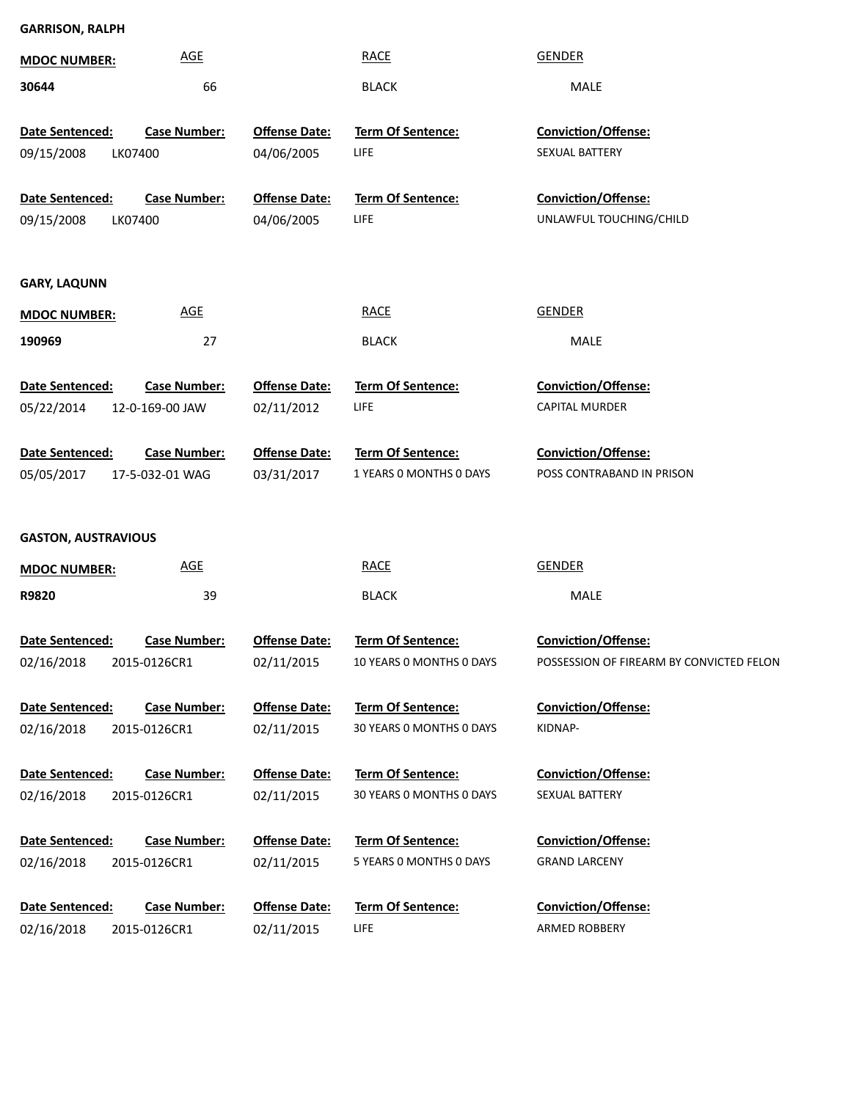| <b>GARRISON, RALPH</b>        |                     |                                    |                          |                                          |
|-------------------------------|---------------------|------------------------------------|--------------------------|------------------------------------------|
| <b>MDOC NUMBER:</b>           | <b>AGE</b>          |                                    | <b>RACE</b>              | <b>GENDER</b>                            |
| 30644                         | 66                  |                                    | <b>BLACK</b>             | MALE                                     |
| Date Sentenced:               | <b>Case Number:</b> | <b>Offense Date:</b>               | <b>Term Of Sentence:</b> | <b>Conviction/Offense:</b>               |
| 09/15/2008                    | LK07400             | 04/06/2005                         | LIFE                     | SEXUAL BATTERY                           |
|                               |                     |                                    |                          |                                          |
| Date Sentenced:               | <b>Case Number:</b> | <b>Offense Date:</b>               | <b>Term Of Sentence:</b> | Conviction/Offense:                      |
| 09/15/2008                    | LK07400             | 04/06/2005                         | LIFE                     | UNLAWFUL TOUCHING/CHILD                  |
|                               |                     |                                    |                          |                                          |
|                               |                     |                                    |                          |                                          |
| <b>GARY, LAQUNN</b>           | <b>AGE</b>          |                                    | <b>RACE</b>              | <b>GENDER</b>                            |
| <b>MDOC NUMBER:</b>           |                     |                                    |                          |                                          |
| 190969                        | 27                  |                                    | <b>BLACK</b>             | MALE                                     |
| <b>Date Sentenced:</b>        | <b>Case Number:</b> | <b>Offense Date:</b>               | <b>Term Of Sentence:</b> | <b>Conviction/Offense:</b>               |
| 05/22/2014                    | 12-0-169-00 JAW     | 02/11/2012                         | LIFE                     | <b>CAPITAL MURDER</b>                    |
|                               |                     |                                    |                          |                                          |
| Date Sentenced:               | <b>Case Number:</b> | <b>Offense Date:</b>               | <b>Term Of Sentence:</b> | Conviction/Offense:                      |
| 05/05/2017                    | 17-5-032-01 WAG     | 03/31/2017                         | 1 YEARS O MONTHS O DAYS  | POSS CONTRABAND IN PRISON                |
|                               |                     |                                    |                          |                                          |
| <b>GASTON, AUSTRAVIOUS</b>    |                     |                                    |                          |                                          |
|                               |                     |                                    |                          | <b>GENDER</b>                            |
| <b>MDOC NUMBER:</b>           | <b>AGE</b>          |                                    | <b>RACE</b>              |                                          |
| R9820                         | 39                  |                                    | <b>BLACK</b>             | MALE                                     |
| Date Sentenced:               | <b>Case Number:</b> | Offense Date:                      | Term Of Sentence:        | Conviction/Offense:                      |
| 02/16/2018                    | 2015-0126CR1        | 02/11/2015                         | 10 YEARS O MONTHS O DAYS | POSSESSION OF FIREARM BY CONVICTED FELON |
|                               |                     |                                    |                          |                                          |
| Date Sentenced:               | <b>Case Number:</b> | <b>Offense Date:</b>               | Term Of Sentence:        | <b>Conviction/Offense:</b>               |
| 02/16/2018                    | 2015-0126CR1        | 02/11/2015                         | 30 YEARS 0 MONTHS 0 DAYS | KIDNAP-                                  |
|                               |                     |                                    |                          |                                          |
| Date Sentenced:               | <b>Case Number:</b> | <b>Offense Date:</b>               | Term Of Sentence:        | <b>Conviction/Offense:</b>               |
| 02/16/2018                    | 2015-0126CR1        | 02/11/2015                         | 30 YEARS 0 MONTHS 0 DAYS | SEXUAL BATTERY                           |
|                               | <b>Case Number:</b> |                                    | Term Of Sentence:        | <b>Conviction/Offense:</b>               |
| Date Sentenced:<br>02/16/2018 | 2015-0126CR1        | <b>Offense Date:</b><br>02/11/2015 | 5 YEARS 0 MONTHS 0 DAYS  | <b>GRAND LARCENY</b>                     |
|                               |                     |                                    |                          |                                          |
| Date Sentenced:               | <b>Case Number:</b> | <b>Offense Date:</b>               | Term Of Sentence:        | <b>Conviction/Offense:</b>               |
| 02/16/2018                    | 2015-0126CR1        | 02/11/2015                         | LIFE                     | ARMED ROBBERY                            |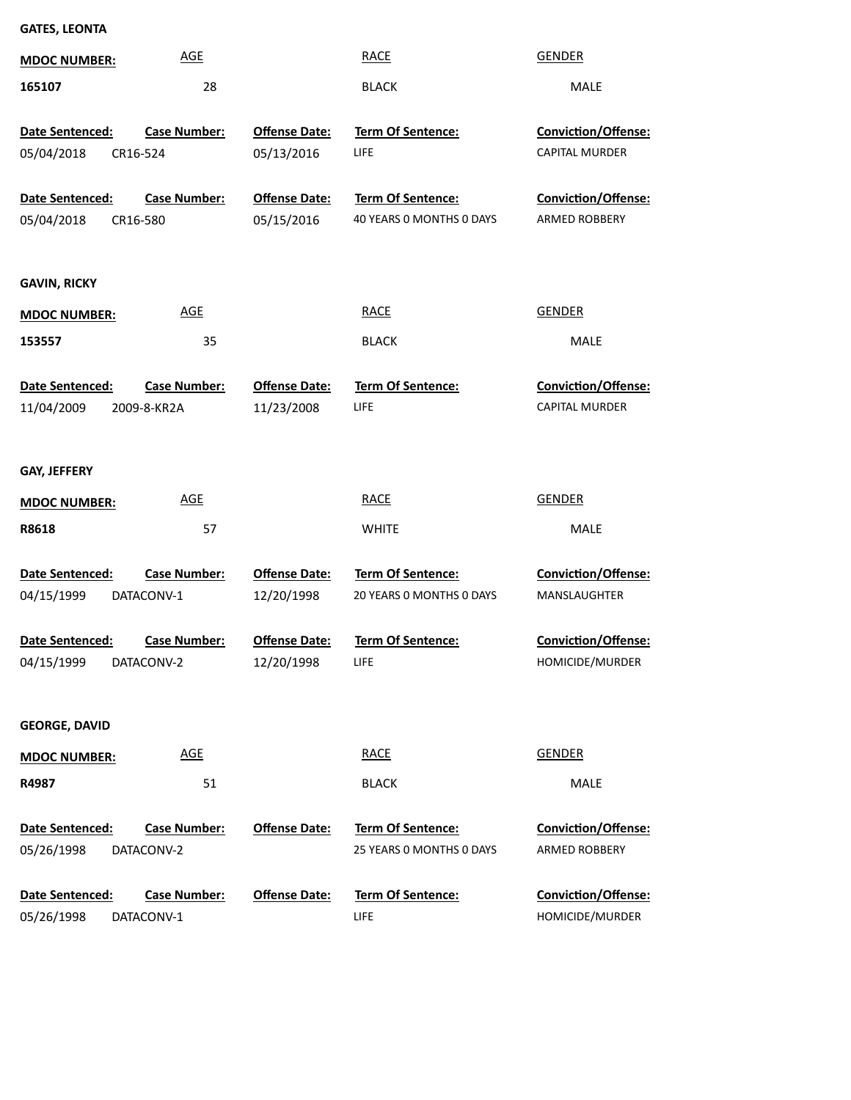| <b>GATES, LEONTA</b>   |                            |                      |                          |                            |
|------------------------|----------------------------|----------------------|--------------------------|----------------------------|
| <b>MDOC NUMBER:</b>    | <b>AGE</b>                 |                      | <b>RACE</b>              | <b>GENDER</b>              |
| 165107                 | 28                         |                      | <b>BLACK</b>             | MALE                       |
| Date Sentenced:        | <b>Case Number:</b>        | <b>Offense Date:</b> | Term Of Sentence:        | Conviction/Offense:        |
| 05/04/2018<br>CR16-524 |                            | 05/13/2016           | LIFE                     | CAPITAL MURDER             |
| Date Sentenced:        | <b>Case Number:</b>        | <b>Offense Date:</b> | Term Of Sentence:        | Conviction/Offense:        |
| 05/04/2018<br>CR16-580 |                            | 05/15/2016           | 40 YEARS O MONTHS O DAYS | <b>ARMED ROBBERY</b>       |
|                        |                            |                      |                          |                            |
| <b>GAVIN, RICKY</b>    |                            |                      |                          |                            |
| <b>MDOC NUMBER:</b>    | <b>AGE</b>                 |                      | <b>RACE</b>              | <b>GENDER</b>              |
| 153557                 | 35                         |                      | <b>BLACK</b>             | <b>MALE</b>                |
| Date Sentenced:        | <b>Case Number:</b>        | <b>Offense Date:</b> | Term Of Sentence:        | Conviction/Offense:        |
| 11/04/2009             | 2009-8-KR2A                | 11/23/2008           | LIFE                     | CAPITAL MURDER             |
|                        |                            |                      |                          |                            |
| GAY, JEFFERY           |                            |                      |                          |                            |
| <b>MDOC NUMBER:</b>    | <b>AGE</b>                 |                      | <b>RACE</b>              | <b>GENDER</b>              |
| R8618                  | 57                         |                      | <b>WHITE</b>             | <b>MALE</b>                |
| Date Sentenced:        | <b>Case Number:</b>        | <b>Offense Date:</b> | <b>Term Of Sentence:</b> | <b>Conviction/Offense:</b> |
| 04/15/1999             | DATACONV-1                 | 12/20/1998           | 20 YEARS 0 MONTHS 0 DAYS | MANSLAUGHTER               |
| Date Sentenced:        | <b>Case Number:</b>        | Offense Date:        | <b>Term Of Sentence:</b> | Conviction/Offense:        |
| 04/15/1999             | DATACONV-2                 | 12/20/1998           | <b>LIFE</b>              | HOMICIDE/MURDER            |
|                        |                            |                      |                          |                            |
| <b>GEORGE, DAVID</b>   |                            |                      |                          |                            |
| <b>MDOC NUMBER:</b>    | $\underline{\mathsf{AGE}}$ |                      | <b>RACE</b>              | <b>GENDER</b>              |
| R4987                  | 51                         |                      | <b>BLACK</b>             | MALE                       |
| Date Sentenced:        | <b>Case Number:</b>        | <b>Offense Date:</b> | Term Of Sentence:        | Conviction/Offense:        |
| 05/26/1998             | DATACONV-2                 |                      | 25 YEARS 0 MONTHS 0 DAYS | ARMED ROBBERY              |
| Date Sentenced:        | <b>Case Number:</b>        | <b>Offense Date:</b> | Term Of Sentence:        | Conviction/Offense:        |
| 05/26/1998             | DATACONV-1                 |                      | LIFE                     | HOMICIDE/MURDER            |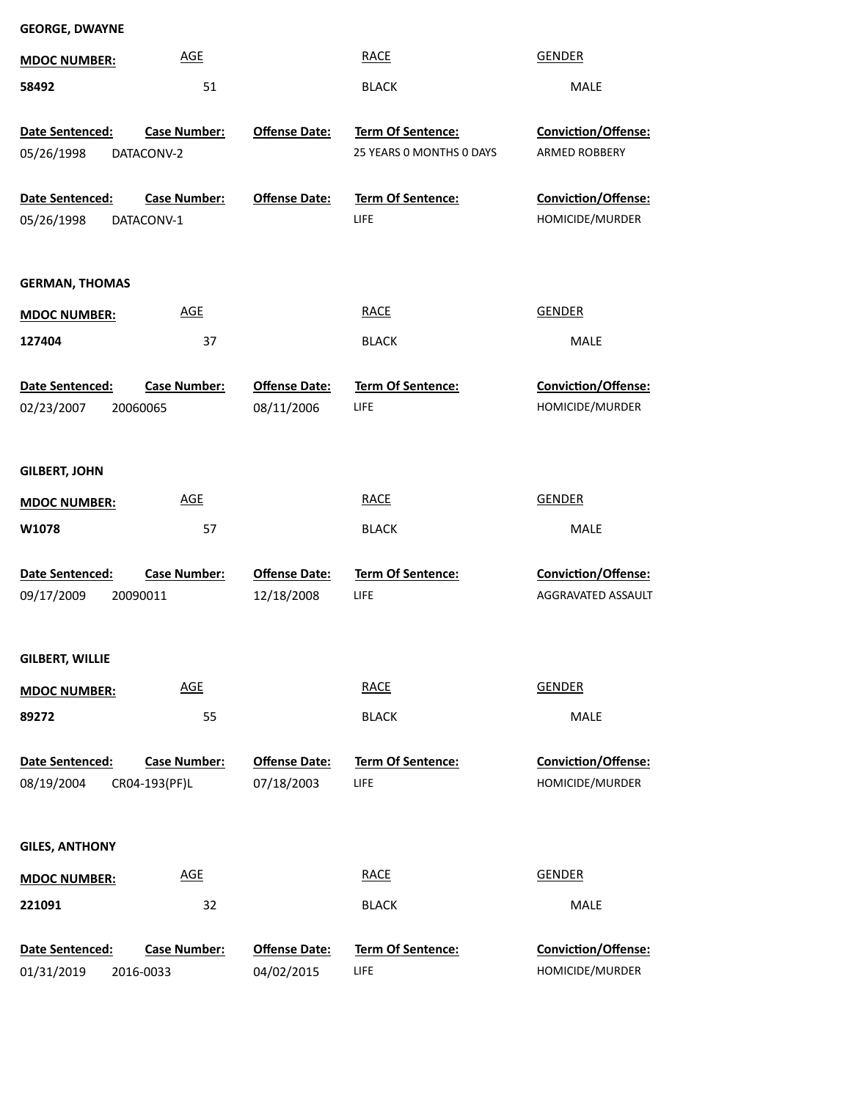| <b>MDOC NUMBER:</b>           | <b>AGE</b>                           |                                    | <b>RACE</b>                                   | <b>GENDER</b>                                 |  |
|-------------------------------|--------------------------------------|------------------------------------|-----------------------------------------------|-----------------------------------------------|--|
| 58492                         | 51                                   |                                    | <b>BLACK</b>                                  | MALE                                          |  |
| Date Sentenced:<br>05/26/1998 | <b>Case Number:</b><br>DATACONV-2    | <b>Offense Date:</b>               | Term Of Sentence:<br>25 YEARS 0 MONTHS 0 DAYS | Conviction/Offense:<br>ARMED ROBBERY          |  |
| Date Sentenced:<br>05/26/1998 | <b>Case Number:</b><br>DATACONV-1    | <b>Offense Date:</b>               | Term Of Sentence:<br>LIFE                     | Conviction/Offense:<br>HOMICIDE/MURDER        |  |
| <b>GERMAN, THOMAS</b>         |                                      |                                    |                                               |                                               |  |
| <b>MDOC NUMBER:</b>           | <b>AGE</b>                           |                                    | <b>RACE</b>                                   | <b>GENDER</b>                                 |  |
| 127404                        | 37                                   |                                    | <b>BLACK</b>                                  | MALE                                          |  |
| Date Sentenced:<br>02/23/2007 | <b>Case Number:</b><br>20060065      | <b>Offense Date:</b><br>08/11/2006 | <b>Term Of Sentence:</b><br>LIFE              | <b>Conviction/Offense:</b><br>HOMICIDE/MURDER |  |
| <b>GILBERT, JOHN</b>          |                                      |                                    |                                               |                                               |  |
| <b>MDOC NUMBER:</b>           | <b>AGE</b>                           |                                    | <b>RACE</b>                                   | <b>GENDER</b>                                 |  |
| W1078                         | 57                                   |                                    | <b>BLACK</b>                                  | MALE                                          |  |
| Date Sentenced:<br>09/17/2009 | <b>Case Number:</b><br>20090011      | <b>Offense Date:</b><br>12/18/2008 | Term Of Sentence:<br>LIFE                     | Conviction/Offense:<br>AGGRAVATED ASSAULT     |  |
| GILBERT, WILLIE               |                                      |                                    |                                               |                                               |  |
| <b>MDOC NUMBER:</b>           | <b>AGE</b>                           |                                    | <b>RACE</b>                                   | <b>GENDER</b>                                 |  |
| 89272                         | 55                                   |                                    | <b>BLACK</b>                                  | MALE                                          |  |
| Date Sentenced:<br>08/19/2004 | <b>Case Number:</b><br>CR04-193(PF)L | <b>Offense Date:</b><br>07/18/2003 | <b>Term Of Sentence:</b><br>LIFE              | <b>Conviction/Offense:</b><br>HOMICIDE/MURDER |  |
| <b>GILES, ANTHONY</b>         |                                      |                                    |                                               |                                               |  |
| <b>MDOC NUMBER:</b>           | <b>AGE</b>                           |                                    | <b>RACE</b>                                   | <b>GENDER</b>                                 |  |
| 221091                        | 32                                   |                                    | <b>BLACK</b>                                  | MALE                                          |  |
| Date Sentenced:<br>01/31/2019 | <b>Case Number:</b><br>2016-0033     | <b>Offense Date:</b><br>04/02/2015 | Term Of Sentence:<br>LIFE                     | Conviction/Offense:<br>HOMICIDE/MURDER        |  |

**GEORGE, DWAYNE**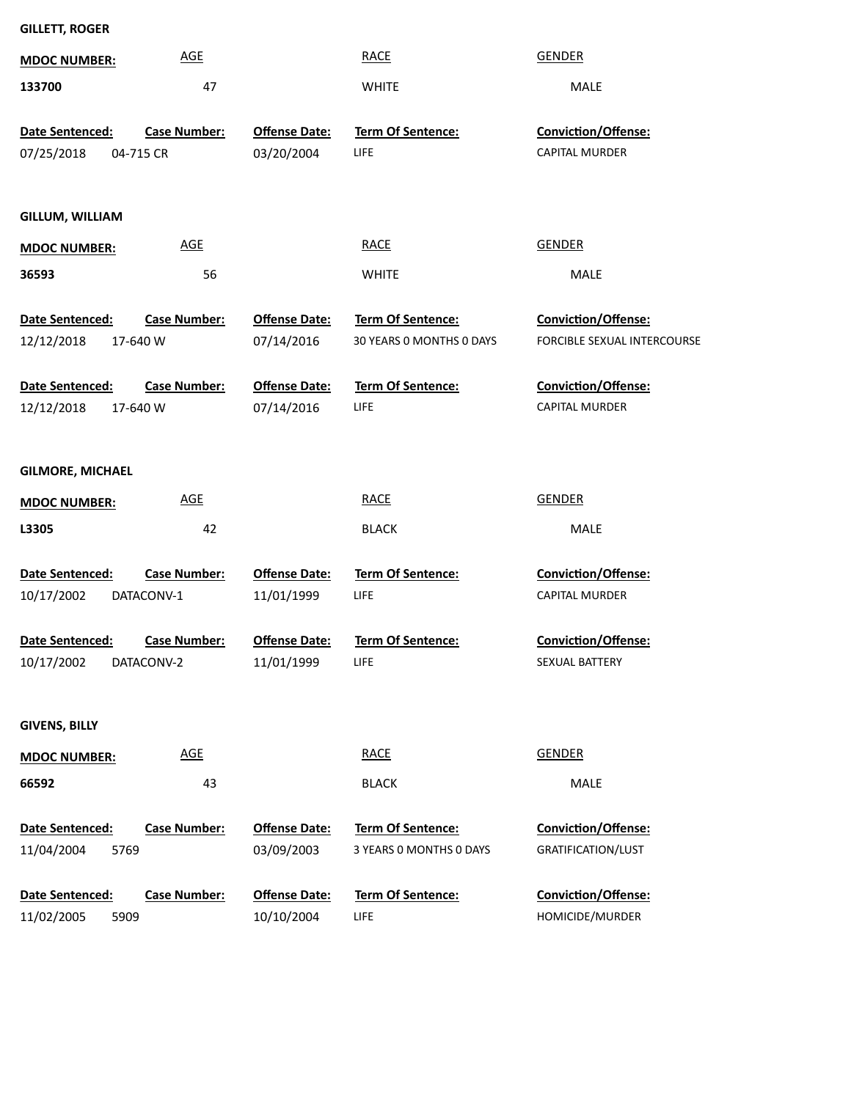| <b>GILLETT, ROGER</b>   |                     |                      |                          |                                    |
|-------------------------|---------------------|----------------------|--------------------------|------------------------------------|
| <b>MDOC NUMBER:</b>     | <b>AGE</b>          |                      | <b>RACE</b>              | <b>GENDER</b>                      |
| 133700                  | 47                  |                      | <b>WHITE</b>             | MALE                               |
| Date Sentenced:         | <b>Case Number:</b> | <b>Offense Date:</b> | Term Of Sentence:        | Conviction/Offense:                |
| 07/25/2018              | 04-715 CR           | 03/20/2004           | <b>LIFE</b>              | <b>CAPITAL MURDER</b>              |
|                         |                     |                      |                          |                                    |
| GILLUM, WILLIAM         |                     |                      |                          |                                    |
| <b>MDOC NUMBER:</b>     | <u>AGE</u>          |                      | <b>RACE</b>              | <b>GENDER</b>                      |
| 36593                   | 56                  |                      | <b>WHITE</b>             | MALE                               |
| Date Sentenced:         | <b>Case Number:</b> | <b>Offense Date:</b> | Term Of Sentence:        | <b>Conviction/Offense:</b>         |
| 12/12/2018              | 17-640 W            | 07/14/2016           | 30 YEARS O MONTHS O DAYS | <b>FORCIBLE SEXUAL INTERCOURSE</b> |
| Date Sentenced:         | <b>Case Number:</b> | <b>Offense Date:</b> | Term Of Sentence:        | <b>Conviction/Offense:</b>         |
| 12/12/2018              | 17-640 W            | 07/14/2016           | <b>LIFE</b>              | <b>CAPITAL MURDER</b>              |
|                         |                     |                      |                          |                                    |
| <b>GILMORE, MICHAEL</b> |                     |                      |                          |                                    |
| <b>MDOC NUMBER:</b>     | <u>AGE</u>          |                      | <b>RACE</b>              | <b>GENDER</b>                      |
| L3305                   | 42                  |                      | <b>BLACK</b>             | <b>MALE</b>                        |
| Date Sentenced:         | <b>Case Number:</b> | <b>Offense Date:</b> | Term Of Sentence:        | Conviction/Offense:                |
| 10/17/2002              | DATACONV-1          | 11/01/1999           | LIFE                     | <b>CAPITAL MURDER</b>              |
| Date Sentenced:         | <b>Case Number:</b> | <b>Offense Date:</b> | Term Of Sentence:        | Conviction/Offense:                |
| 10/17/2002              | DATACONV-2          | 11/01/1999           | LIFE                     | SEXUAL BATTERY                     |
|                         |                     |                      |                          |                                    |
| <b>GIVENS, BILLY</b>    |                     |                      |                          |                                    |
| <b>MDOC NUMBER:</b>     | <b>AGE</b>          |                      | <b>RACE</b>              | <b>GENDER</b>                      |
| 66592                   | 43                  |                      | <b>BLACK</b>             | MALE                               |
| Date Sentenced:         | <b>Case Number:</b> | <b>Offense Date:</b> | <b>Term Of Sentence:</b> | Conviction/Offense:                |
| 11/04/2004<br>5769      |                     | 03/09/2003           | 3 YEARS 0 MONTHS 0 DAYS  | GRATIFICATION/LUST                 |
| Date Sentenced:         | <b>Case Number:</b> | <b>Offense Date:</b> | <b>Term Of Sentence:</b> | Conviction/Offense:                |

5909 11/02/2005

LIFE 10/10/2004

HOMICIDE/MURDER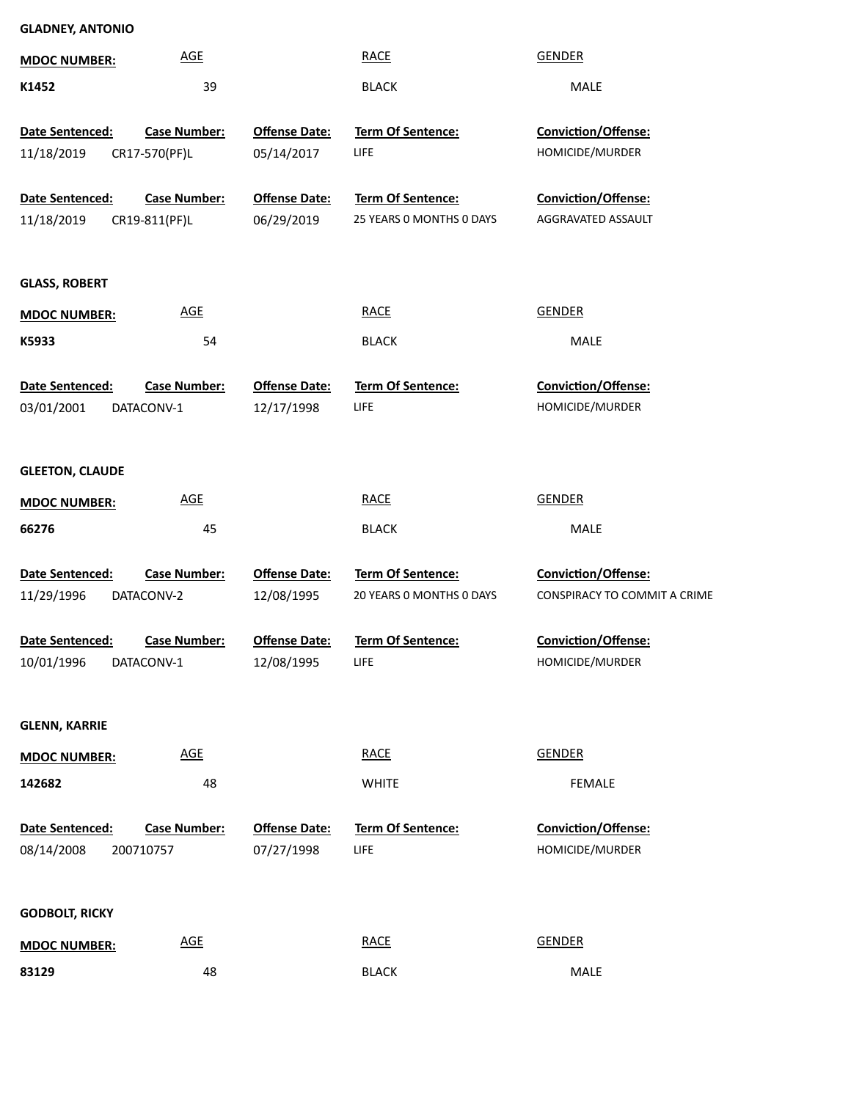| <b>GLADNEY, ANTONIO</b>       |                                  |                                    |                           |                                        |
|-------------------------------|----------------------------------|------------------------------------|---------------------------|----------------------------------------|
| <b>MDOC NUMBER:</b>           | <b>AGE</b>                       |                                    | <b>RACE</b>               | <b>GENDER</b>                          |
| K1452                         | 39                               |                                    | <b>BLACK</b>              | MALE                                   |
| Date Sentenced:               | <b>Case Number:</b>              | <b>Offense Date:</b>               | Term Of Sentence:         | Conviction/Offense:                    |
| 11/18/2019                    | CR17-570(PF)L                    | 05/14/2017                         | LIFE                      | HOMICIDE/MURDER                        |
| Date Sentenced:               | <b>Case Number:</b>              | <b>Offense Date:</b>               | Term Of Sentence:         | Conviction/Offense:                    |
| 11/18/2019                    | CR19-811(PF)L                    | 06/29/2019                         | 25 YEARS 0 MONTHS 0 DAYS  | AGGRAVATED ASSAULT                     |
| <b>GLASS, ROBERT</b>          |                                  |                                    |                           |                                        |
| <b>MDOC NUMBER:</b>           | <b>AGE</b>                       |                                    | <b>RACE</b>               | <b>GENDER</b>                          |
| K5933                         | 54                               |                                    | <b>BLACK</b>              | MALE                                   |
| Date Sentenced:               | <b>Case Number:</b>              | <b>Offense Date:</b>               | Term Of Sentence:         | Conviction/Offense:                    |
| 03/01/2001                    | DATACONV-1                       | 12/17/1998                         | LIFE                      | HOMICIDE/MURDER                        |
| <b>GLEETON, CLAUDE</b>        |                                  |                                    |                           |                                        |
| <b>MDOC NUMBER:</b>           | <b>AGE</b>                       |                                    | <b>RACE</b>               | <b>GENDER</b>                          |
| 66276                         | 45                               |                                    | <b>BLACK</b>              | MALE                                   |
| Date Sentenced:               | <b>Case Number:</b>              | <b>Offense Date:</b>               | Term Of Sentence:         | Conviction/Offense:                    |
| 11/29/1996                    | DATACONV-2                       | 12/08/1995                         | 20 YEARS 0 MONTHS 0 DAYS  | CONSPIRACY TO COMMIT A CRIME           |
| <b>Date Sentenced:</b>        | <b>Case Number:</b>              | <b>Offense Date:</b>               | <b>Term Of Sentence:</b>  | <b>Conviction/Offense:</b>             |
| 10/01/1996                    | DATACONV-1                       | 12/08/1995                         | LIFE                      | HOMICIDE/MURDER                        |
| <b>GLENN, KARRIE</b>          |                                  |                                    |                           |                                        |
| <b>MDOC NUMBER:</b>           | <b>AGE</b>                       |                                    | <b>RACE</b>               | <b>GENDER</b>                          |
| 142682                        | 48                               |                                    | <b>WHITE</b>              | <b>FEMALE</b>                          |
| Date Sentenced:<br>08/14/2008 | <b>Case Number:</b><br>200710757 | <b>Offense Date:</b><br>07/27/1998 | Term Of Sentence:<br>LIFE | Conviction/Offense:<br>HOMICIDE/MURDER |
| <b>GODBOLT, RICKY</b>         |                                  |                                    |                           |                                        |
| <b>MDOC NUMBER:</b>           | AGE                              |                                    | <b>RACE</b>               | <b>GENDER</b>                          |
| 83129                         | 48                               |                                    | <b>BLACK</b>              | MALE                                   |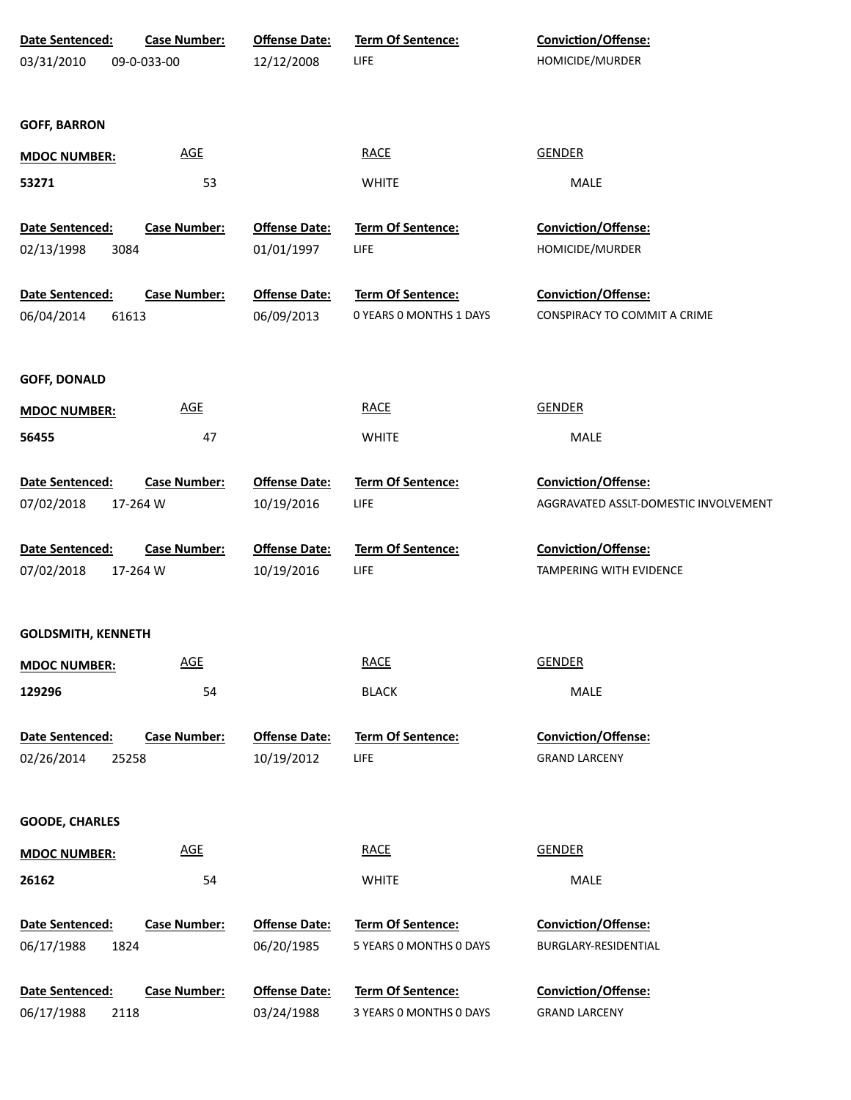| Date Sentenced:                       | <b>Case Number:</b> | <b>Offense Date:</b>               | Term Of Sentence:                            | Conviction/Offense:                         |
|---------------------------------------|---------------------|------------------------------------|----------------------------------------------|---------------------------------------------|
| 03/31/2010                            | 09-0-033-00         | 12/12/2008                         | LIFE                                         | HOMICIDE/MURDER                             |
|                                       |                     |                                    |                                              |                                             |
| <b>GOFF, BARRON</b>                   |                     |                                    |                                              |                                             |
| <b>MDOC NUMBER:</b>                   | <b>AGE</b>          |                                    | <b>RACE</b>                                  | <b>GENDER</b>                               |
| 53271                                 | 53                  |                                    | <b>WHITE</b>                                 | <b>MALE</b>                                 |
|                                       |                     |                                    |                                              |                                             |
| Date Sentenced:                       | <b>Case Number:</b> | <b>Offense Date:</b>               | Term Of Sentence:                            | Conviction/Offense:                         |
| 02/13/1998<br>3084                    |                     | 01/01/1997                         | LIFE                                         | HOMICIDE/MURDER                             |
| Date Sentenced:                       | <b>Case Number:</b> | <b>Offense Date:</b>               | Term Of Sentence:                            | Conviction/Offense:                         |
| 06/04/2014<br>61613                   |                     | 06/09/2013                         | 0 YEARS 0 MONTHS 1 DAYS                      | CONSPIRACY TO COMMIT A CRIME                |
|                                       |                     |                                    |                                              |                                             |
| <b>GOFF, DONALD</b>                   |                     |                                    |                                              |                                             |
| <b>MDOC NUMBER:</b>                   | <b>AGE</b>          |                                    | <b>RACE</b>                                  | <b>GENDER</b>                               |
| 56455                                 | 47                  |                                    | <b>WHITE</b>                                 | <b>MALE</b>                                 |
|                                       |                     |                                    |                                              |                                             |
| Date Sentenced:                       | <b>Case Number:</b> | <b>Offense Date:</b>               | Term Of Sentence:                            | Conviction/Offense:                         |
| 07/02/2018                            | 17-264 W            | 10/19/2016                         | LIFE                                         | AGGRAVATED ASSLT-DOMESTIC INVOLVEMENT       |
| Date Sentenced:                       | <b>Case Number:</b> | <b>Offense Date:</b>               | Term Of Sentence:                            | Conviction/Offense:                         |
| 07/02/2018                            | 17-264 W            | 10/19/2016                         | LIFE                                         | TAMPERING WITH EVIDENCE                     |
|                                       |                     |                                    |                                              |                                             |
| <b>GOLDSMITH, KENNETH</b>             |                     |                                    |                                              |                                             |
| <b>MDOC NUMBER:</b>                   | <b>AGE</b>          |                                    | <b>RACE</b>                                  | <b>GENDER</b>                               |
| 129296                                | 54                  |                                    | <b>BLACK</b>                                 | MALE                                        |
|                                       |                     |                                    |                                              |                                             |
| Date Sentenced:                       | <b>Case Number:</b> | <b>Offense Date:</b>               | Term Of Sentence:                            | Conviction/Offense:                         |
| 02/26/2014<br>25258                   |                     | 10/19/2012                         | <b>LIFE</b>                                  | <b>GRAND LARCENY</b>                        |
|                                       |                     |                                    |                                              |                                             |
| <b>GOODE, CHARLES</b>                 |                     |                                    |                                              |                                             |
| <b>MDOC NUMBER:</b>                   | <b>AGE</b>          |                                    | <b>RACE</b>                                  | <b>GENDER</b>                               |
| 26162                                 | 54                  |                                    | <b>WHITE</b>                                 | MALE                                        |
|                                       |                     |                                    |                                              |                                             |
| Date Sentenced:                       | <b>Case Number:</b> | <b>Offense Date:</b>               | Term Of Sentence:                            | Conviction/Offense:                         |
| 06/17/1988<br>1824                    |                     | 06/20/1985                         | 5 YEARS 0 MONTHS 0 DAYS                      | BURGLARY-RESIDENTIAL                        |
|                                       |                     |                                    |                                              |                                             |
| Date Sentenced:<br>06/17/1988<br>2118 | <b>Case Number:</b> | <b>Offense Date:</b><br>03/24/1988 | Term Of Sentence:<br>3 YEARS 0 MONTHS 0 DAYS | Conviction/Offense:<br><b>GRAND LARCENY</b> |
|                                       |                     |                                    |                                              |                                             |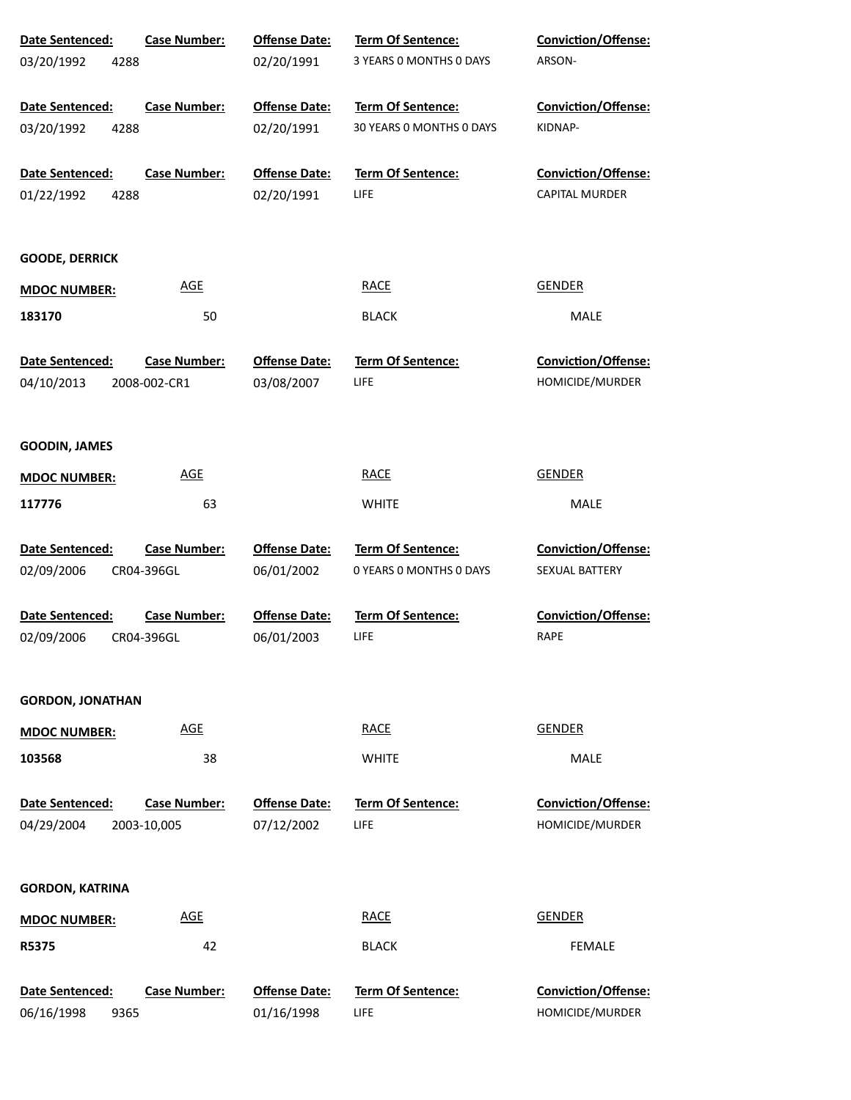| Date Sentenced:         | <b>Case Number:</b> | <b>Offense Date:</b> | Term Of Sentence:        | Conviction/Offense:        |
|-------------------------|---------------------|----------------------|--------------------------|----------------------------|
| 03/20/1992<br>4288      |                     | 02/20/1991           | 3 YEARS 0 MONTHS 0 DAYS  | ARSON-                     |
| Date Sentenced:         | <b>Case Number:</b> | <b>Offense Date:</b> | Term Of Sentence:        | <b>Conviction/Offense:</b> |
| 03/20/1992<br>4288      |                     | 02/20/1991           | 30 YEARS 0 MONTHS 0 DAYS | KIDNAP-                    |
| Date Sentenced:         | <b>Case Number:</b> | <b>Offense Date:</b> | <b>Term Of Sentence:</b> | Conviction/Offense:        |
| 01/22/1992<br>4288      |                     | 02/20/1991           | LIFE                     | <b>CAPITAL MURDER</b>      |
| <b>GOODE, DERRICK</b>   |                     |                      |                          |                            |
| <b>MDOC NUMBER:</b>     | <b>AGE</b>          |                      | <b>RACE</b>              | <b>GENDER</b>              |
| 183170                  | 50                  |                      | <b>BLACK</b>             | MALE                       |
| Date Sentenced:         | <b>Case Number:</b> | <b>Offense Date:</b> | <b>Term Of Sentence:</b> | <b>Conviction/Offense:</b> |
| 04/10/2013              | 2008-002-CR1        | 03/08/2007           | LIFE                     | HOMICIDE/MURDER            |
| <b>GOODIN, JAMES</b>    |                     |                      |                          |                            |
| <b>MDOC NUMBER:</b>     | <b>AGE</b>          |                      | <b>RACE</b>              | <b>GENDER</b>              |
| 117776                  | 63                  |                      | <b>WHITE</b>             | MALE                       |
| Date Sentenced:         | <b>Case Number:</b> | <b>Offense Date:</b> | Term Of Sentence:        | Conviction/Offense:        |
| 02/09/2006              | CR04-396GL          | 06/01/2002           | 0 YEARS 0 MONTHS 0 DAYS  | SEXUAL BATTERY             |
| Date Sentenced:         | <b>Case Number:</b> | <b>Offense Date:</b> | <b>Term Of Sentence:</b> | Conviction/Offense:        |
| 02/09/2006              | CR04-396GL          | 06/01/2003           | LIFE                     | RAPE                       |
| <b>GORDON, JONATHAN</b> |                     |                      |                          |                            |
| <b>MDOC NUMBER:</b>     | <b>AGE</b>          |                      | <b>RACE</b>              | <b>GENDER</b>              |
| 103568                  | 38                  |                      | <b>WHITE</b>             | MALE                       |
| Date Sentenced:         | <b>Case Number:</b> | <b>Offense Date:</b> | <b>Term Of Sentence:</b> | <b>Conviction/Offense:</b> |
| 04/29/2004              | 2003-10,005         | 07/12/2002           | LIFE                     | HOMICIDE/MURDER            |
| <b>GORDON, KATRINA</b>  |                     |                      |                          |                            |
| <b>MDOC NUMBER:</b>     | <b>AGE</b>          |                      | <b>RACE</b>              | <b>GENDER</b>              |
| R5375                   | 42                  |                      | <b>BLACK</b>             | <b>FEMALE</b>              |
| Date Sentenced:         | <b>Case Number:</b> | <b>Offense Date:</b> | Term Of Sentence:        | Conviction/Offense:        |
| 06/16/1998<br>9365      |                     | 01/16/1998           | LIFE                     | HOMICIDE/MURDER            |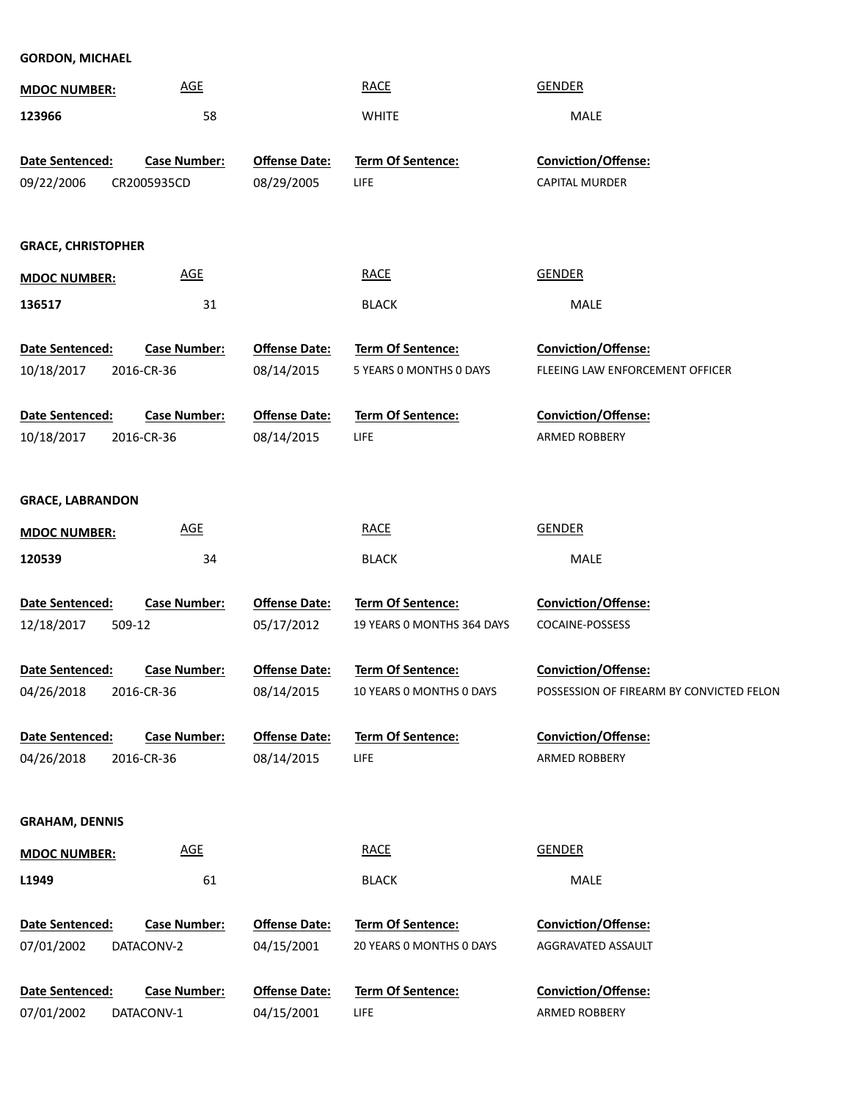| <b>GORDON, MICHAEL</b>                         |                     |                      |                            |                                          |
|------------------------------------------------|---------------------|----------------------|----------------------------|------------------------------------------|
| <b>MDOC NUMBER:</b>                            | <b>AGE</b>          |                      | <b>RACE</b>                | <b>GENDER</b>                            |
| 123966                                         | 58                  |                      | <b>WHITE</b>               | MALE                                     |
| Date Sentenced:                                | <b>Case Number:</b> | <b>Offense Date:</b> | Term Of Sentence:          | Conviction/Offense:                      |
|                                                |                     |                      |                            |                                          |
| 09/22/2006                                     | CR2005935CD         | 08/29/2005           | LIFE                       | <b>CAPITAL MURDER</b>                    |
|                                                |                     |                      |                            |                                          |
| <b>GRACE, CHRISTOPHER</b>                      |                     |                      |                            |                                          |
| <b>MDOC NUMBER:</b>                            | <b>AGE</b>          |                      | <b>RACE</b>                | <b>GENDER</b>                            |
| 136517                                         | 31                  |                      | <b>BLACK</b>               | MALE                                     |
|                                                |                     |                      |                            |                                          |
| Date Sentenced:                                | <b>Case Number:</b> | <b>Offense Date:</b> | Term Of Sentence:          | Conviction/Offense:                      |
| 10/18/2017                                     | 2016-CR-36          | 08/14/2015           | 5 YEARS 0 MONTHS 0 DAYS    | FLEEING LAW ENFORCEMENT OFFICER          |
| Date Sentenced:                                | <b>Case Number:</b> | <b>Offense Date:</b> | <b>Term Of Sentence:</b>   | Conviction/Offense:                      |
| 10/18/2017                                     | 2016-CR-36          | 08/14/2015           | LIFE                       | ARMED ROBBERY                            |
| <b>GRACE, LABRANDON</b><br><b>MDOC NUMBER:</b> | <b>AGE</b>          |                      | <b>RACE</b>                | <b>GENDER</b>                            |
| 120539                                         | 34                  |                      | <b>BLACK</b>               | <b>MALE</b>                              |
|                                                |                     |                      |                            |                                          |
| Date Sentenced:                                | <b>Case Number:</b> | <b>Offense Date:</b> | Term Of Sentence:          | Conviction/Offense:                      |
| 12/18/2017<br>509-12                           |                     | 05/17/2012           | 19 YEARS 0 MONTHS 364 DAYS | <b>COCAINE-POSSESS</b>                   |
| Date Sentenced:                                | <b>Case Number:</b> | <b>Offense Date:</b> | Term Of Sentence:          | Conviction/Offense:                      |
| 04/26/2018                                     | 2016-CR-36          | 08/14/2015           | 10 YEARS O MONTHS O DAYS   | POSSESSION OF FIREARM BY CONVICTED FELON |
|                                                |                     |                      |                            |                                          |
| Date Sentenced:                                | <b>Case Number:</b> | <b>Offense Date:</b> | <b>Term Of Sentence:</b>   | Conviction/Offense:                      |
| 04/26/2018                                     | 2016-CR-36          | 08/14/2015           | LIFE                       | ARMED ROBBERY                            |
|                                                |                     |                      |                            |                                          |
|                                                |                     |                      |                            |                                          |
| <b>GRAHAM, DENNIS</b>                          |                     |                      |                            |                                          |

| <b>IVIDUC NUIVIBER:</b> | <u> .</u>           |                      | $\cdots$                 | -------                    |
|-------------------------|---------------------|----------------------|--------------------------|----------------------------|
| L1949                   | 61                  |                      | <b>BLACK</b>             | MALE                       |
| <b>Date Sentenced:</b>  | <b>Case Number:</b> | <b>Offense Date:</b> | <b>Term Of Sentence:</b> | <b>Conviction/Offense:</b> |
| 07/01/2002              | DATACONV-2          | 04/15/2001           | 20 YEARS O MONTHS O DAYS | AGGRAVATED ASSAULT         |
| <b>Date Sentenced:</b>  | Case Number:        | <b>Offense Date:</b> | <b>Term Of Sentence:</b> | <b>Conviction/Offense:</b> |
| 07/01/2002              | DATACONV-1          | 04/15/2001           | LIFE                     | <b>ARMED ROBBERY</b>       |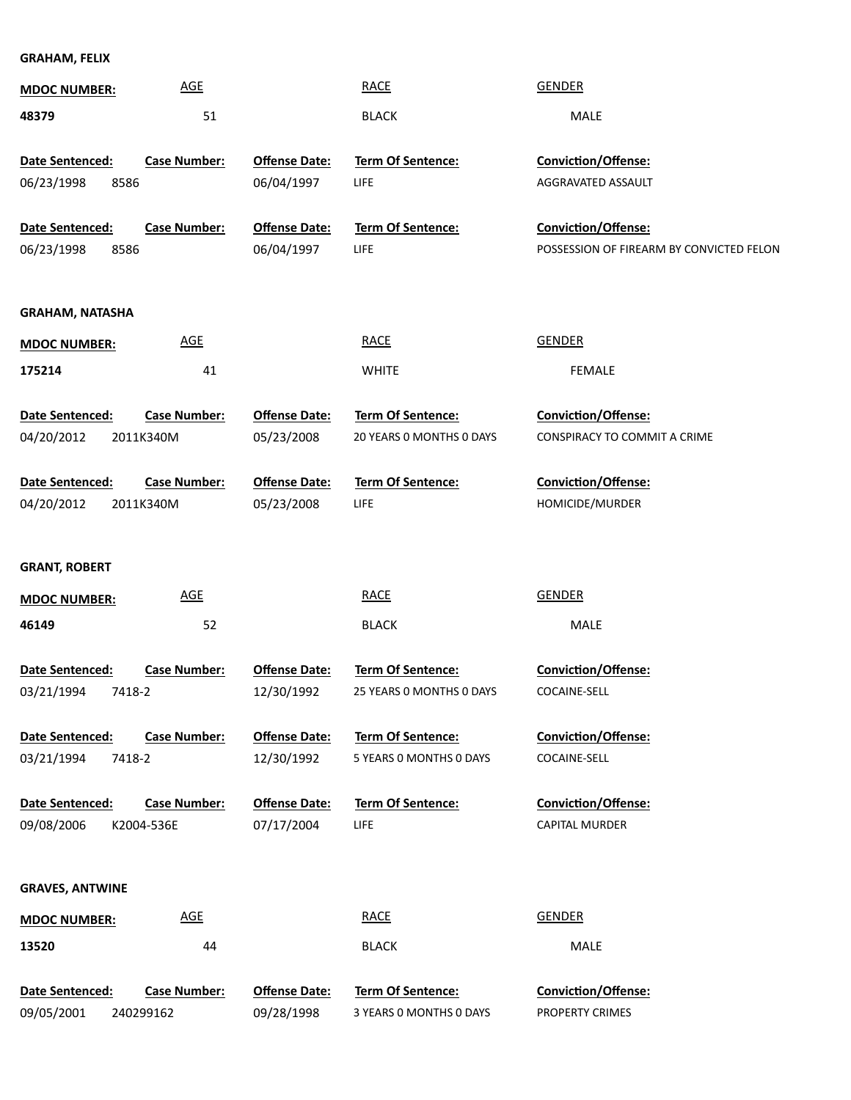**GRAHAM, FELIX**

| <b>MDOC NUMBER:</b>    | <b>AGE</b>          |                      | <b>RACE</b>              | <b>GENDER</b>                            |
|------------------------|---------------------|----------------------|--------------------------|------------------------------------------|
| 48379                  | 51                  |                      | <b>BLACK</b>             | MALE                                     |
|                        |                     |                      |                          |                                          |
| Date Sentenced:        | <b>Case Number:</b> | <b>Offense Date:</b> | Term Of Sentence:        | Conviction/Offense:                      |
| 06/23/1998<br>8586     |                     | 06/04/1997           | LIFE                     | AGGRAVATED ASSAULT                       |
| Date Sentenced:        | <b>Case Number:</b> | <b>Offense Date:</b> | Term Of Sentence:        | Conviction/Offense:                      |
| 06/23/1998<br>8586     |                     | 06/04/1997           | LIFE                     | POSSESSION OF FIREARM BY CONVICTED FELON |
|                        |                     |                      |                          |                                          |
| <b>GRAHAM, NATASHA</b> |                     |                      |                          |                                          |
| <b>MDOC NUMBER:</b>    | <b>AGE</b>          |                      | <b>RACE</b>              | <b>GENDER</b>                            |
| 175214                 | 41                  |                      | <b>WHITE</b>             | FEMALE                                   |
| Date Sentenced:        | <b>Case Number:</b> | <b>Offense Date:</b> | Term Of Sentence:        | <b>Conviction/Offense:</b>               |
| 04/20/2012             | 2011K340M           | 05/23/2008           | 20 YEARS 0 MONTHS 0 DAYS | CONSPIRACY TO COMMIT A CRIME             |
| Date Sentenced:        | <b>Case Number:</b> | <b>Offense Date:</b> | Term Of Sentence:        | Conviction/Offense:                      |
| 04/20/2012             | 2011K340M           | 05/23/2008           | <b>LIFE</b>              | HOMICIDE/MURDER                          |
|                        |                     |                      |                          |                                          |
| <b>GRANT, ROBERT</b>   |                     |                      |                          |                                          |
| <b>MDOC NUMBER:</b>    | <b>AGE</b>          |                      | <b>RACE</b>              | <b>GENDER</b>                            |
| 46149                  | 52                  |                      | <b>BLACK</b>             | MALE                                     |
| <b>Date Sentenced:</b> | <b>Case Number:</b> | <b>Offense Date:</b> | Term Of Sentence:        | Conviction/Offense:                      |
| 03/21/1994<br>7418-2   |                     | 12/30/1992           | 25 YEARS 0 MONTHS 0 DAYS | COCAINE-SELL                             |
|                        |                     |                      |                          |                                          |
| Date Sentenced:        | <b>Case Number:</b> | <b>Offense Date:</b> | <b>Term Of Sentence:</b> | Conviction/Offense:                      |
| 03/21/1994<br>7418-2   |                     | 12/30/1992           | 5 YEARS 0 MONTHS 0 DAYS  | COCAINE-SELL                             |
| Date Sentenced:        | <b>Case Number:</b> | <b>Offense Date:</b> | <b>Term Of Sentence:</b> | <b>Conviction/Offense:</b>               |
| 09/08/2006             | K2004-536E          | 07/17/2004           | <b>LIFE</b>              | CAPITAL MURDER                           |
|                        |                     |                      |                          |                                          |
| <b>GRAVES, ANTWINE</b> |                     |                      |                          |                                          |
| <b>MDOC NUMBER:</b>    | <b>AGE</b>          |                      | <b>RACE</b>              | <b>GENDER</b>                            |
| 13520                  | 44                  |                      | <b>BLACK</b>             | MALE                                     |
| Date Sentenced:        | <b>Case Number:</b> | <b>Offense Date:</b> | Term Of Sentence:        | Conviction/Offense:                      |
| 09/05/2001             | 240299162           | 09/28/1998           | 3 YEARS 0 MONTHS 0 DAYS  | PROPERTY CRIMES                          |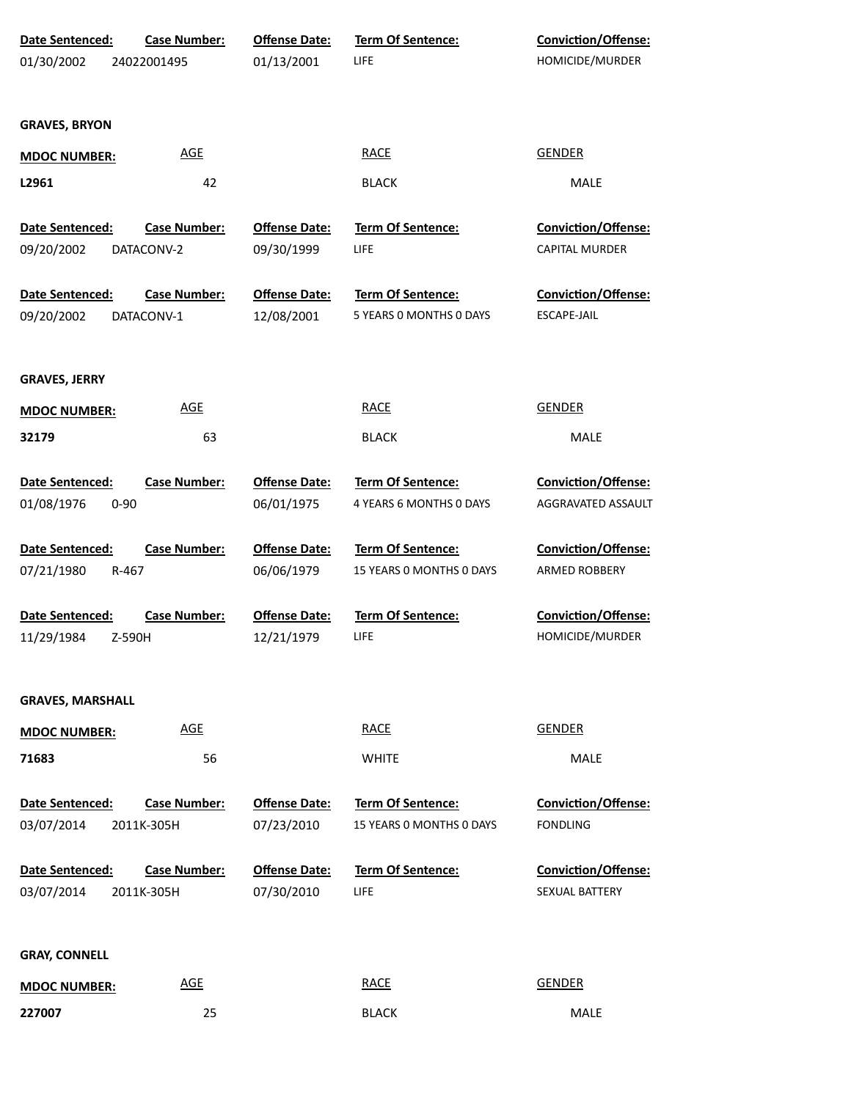| Date Sentenced:<br>01/30/2002             | <b>Case Number:</b><br>24022001495 | <b>Offense Date:</b><br>01/13/2001 | <b>Term Of Sentence:</b><br>LIFE                     | Conviction/Offense:<br>HOMICIDE/MURDER           |
|-------------------------------------------|------------------------------------|------------------------------------|------------------------------------------------------|--------------------------------------------------|
| <b>GRAVES, BRYON</b>                      |                                    |                                    |                                                      |                                                  |
| <b>MDOC NUMBER:</b>                       | <b>AGE</b>                         |                                    | <b>RACE</b>                                          | <b>GENDER</b>                                    |
| L2961                                     | 42                                 |                                    | <b>BLACK</b>                                         | MALE                                             |
| Date Sentenced:                           | <b>Case Number:</b>                | <b>Offense Date:</b>               | Term Of Sentence:                                    | <b>Conviction/Offense:</b>                       |
| 09/20/2002                                | DATACONV-2                         | 09/30/1999                         | LIFE                                                 | CAPITAL MURDER                                   |
| Date Sentenced:<br>09/20/2002             | <b>Case Number:</b><br>DATACONV-1  | <b>Offense Date:</b><br>12/08/2001 | Term Of Sentence:<br>5 YEARS 0 MONTHS 0 DAYS         | Conviction/Offense:<br><b>ESCAPE-JAIL</b>        |
| <b>GRAVES, JERRY</b>                      |                                    |                                    |                                                      |                                                  |
| <b>MDOC NUMBER:</b>                       | <b>AGE</b>                         |                                    | <b>RACE</b>                                          | <b>GENDER</b>                                    |
| 32179                                     | 63                                 |                                    | <b>BLACK</b>                                         | MALE                                             |
| Date Sentenced:<br>01/08/1976<br>$0 - 90$ | <b>Case Number:</b>                | <b>Offense Date:</b><br>06/01/1975 | Term Of Sentence:<br>4 YEARS 6 MONTHS 0 DAYS         | <b>Conviction/Offense:</b><br>AGGRAVATED ASSAULT |
| Date Sentenced:<br>07/21/1980<br>R-467    | <b>Case Number:</b>                | <b>Offense Date:</b><br>06/06/1979 | <b>Term Of Sentence:</b><br>15 YEARS 0 MONTHS 0 DAYS | <b>Conviction/Offense:</b><br>ARMED ROBBERY      |
| Date Sentenced:<br>11/29/1984<br>Z-590H   | <b>Case Number:</b>                | <b>Offense Date:</b><br>12/21/1979 | <b>Term Of Sentence:</b><br><b>LIFE</b>              | <b>Conviction/Offense:</b><br>HOMICIDE/MURDER    |
| <b>GRAVES, MARSHALL</b>                   |                                    |                                    |                                                      |                                                  |
| <b>MDOC NUMBER:</b>                       | <b>AGE</b>                         |                                    | <b>RACE</b>                                          | <b>GENDER</b>                                    |
| 71683                                     | 56                                 |                                    | <b>WHITE</b>                                         | <b>MALE</b>                                      |
| Date Sentenced:<br>03/07/2014             | <b>Case Number:</b><br>2011K-305H  | <b>Offense Date:</b><br>07/23/2010 | Term Of Sentence:<br>15 YEARS O MONTHS O DAYS        | <b>Conviction/Offense:</b><br><b>FONDLING</b>    |
| Date Sentenced:<br>03/07/2014             | <b>Case Number:</b><br>2011K-305H  | <b>Offense Date:</b><br>07/30/2010 | Term Of Sentence:<br>LIFE                            | <b>Conviction/Offense:</b><br>SEXUAL BATTERY     |
| <b>GRAY, CONNELL</b>                      |                                    |                                    |                                                      |                                                  |
| <b>MDOC NUMBER:</b>                       | <b>AGE</b>                         |                                    | <b>RACE</b>                                          | <b>GENDER</b>                                    |
| 227007                                    | 25                                 |                                    | <b>BLACK</b>                                         | MALE                                             |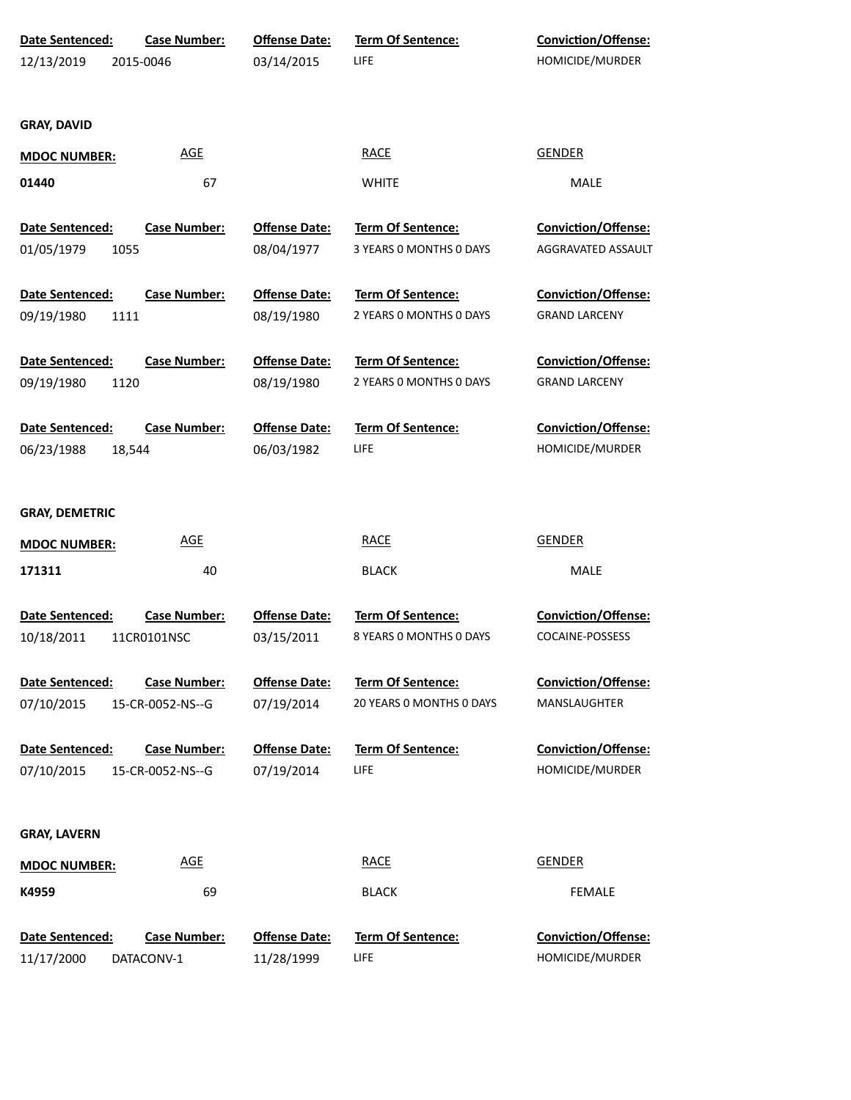| Date Sentenced:        | <b>Case Number:</b> | <b>Offense Date:</b> | Term Of Sentence:        | Conviction/Offense:        |
|------------------------|---------------------|----------------------|--------------------------|----------------------------|
| 12/13/2019             | 2015-0046           | 03/14/2015           | LIFE                     | HOMICIDE/MURDER            |
|                        |                     |                      |                          |                            |
| <b>GRAY, DAVID</b>     |                     |                      |                          |                            |
| <b>MDOC NUMBER:</b>    | <b>AGE</b>          |                      | <b>RACE</b>              | <b>GENDER</b>              |
| 01440                  | 67                  |                      | <b>WHITE</b>             | MALE                       |
| Date Sentenced:        | <b>Case Number:</b> | <b>Offense Date:</b> | Term Of Sentence:        | <b>Conviction/Offense:</b> |
| 01/05/1979<br>1055     |                     | 08/04/1977           | 3 YEARS 0 MONTHS 0 DAYS  | AGGRAVATED ASSAULT         |
| Date Sentenced:        | <b>Case Number:</b> | <b>Offense Date:</b> | Term Of Sentence:        | <b>Conviction/Offense:</b> |
| 09/19/1980<br>1111     |                     | 08/19/1980           | 2 YEARS 0 MONTHS 0 DAYS  | <b>GRAND LARCENY</b>       |
| Date Sentenced:        | <b>Case Number:</b> | <b>Offense Date:</b> | Term Of Sentence:        | <b>Conviction/Offense:</b> |
| 09/19/1980<br>1120     |                     | 08/19/1980           | 2 YEARS 0 MONTHS 0 DAYS  | <b>GRAND LARCENY</b>       |
| <b>Date Sentenced:</b> | <b>Case Number:</b> | <b>Offense Date:</b> | <b>Term Of Sentence:</b> | Conviction/Offense:        |
| 06/23/1988<br>18,544   |                     | 06/03/1982           | LIFE                     | HOMICIDE/MURDER            |
|                        |                     |                      |                          |                            |
| <b>GRAY, DEMETRIC</b>  |                     |                      |                          |                            |
| <b>MDOC NUMBER:</b>    | <b>AGE</b>          |                      | <b>RACE</b>              | <b>GENDER</b>              |
| 171311                 | 40                  |                      | <b>BLACK</b>             | MALE                       |
| Date Sentenced:        | <b>Case Number:</b> | <b>Offense Date:</b> | <b>Term Of Sentence:</b> | <b>Conviction/Offense:</b> |
| 10/18/2011             | 11CR0101NSC         | 03/15/2011           | 8 YEARS 0 MONTHS 0 DAYS  | COCAINE-POSSESS            |
| Date Sentenced:        | <b>Case Number:</b> | <b>Offense Date:</b> | <b>Term Of Sentence:</b> | <b>Conviction/Offense:</b> |
| 07/10/2015             | 15-CR-0052-NS--G    | 07/19/2014           | 20 YEARS O MONTHS O DAYS | MANSLAUGHTER               |
| <b>Date Sentenced:</b> | <b>Case Number:</b> | <b>Offense Date:</b> | <b>Term Of Sentence:</b> | <b>Conviction/Offense:</b> |
| 07/10/2015             | 15-CR-0052-NS--G    | 07/19/2014           | <b>LIFE</b>              | HOMICIDE/MURDER            |
|                        |                     |                      |                          |                            |
| <b>GRAY, LAVERN</b>    |                     |                      |                          |                            |
| <b>MDOC NUMBER:</b>    | <b>AGE</b>          |                      | <b>RACE</b>              | <b>GENDER</b>              |
| K4959                  | 69                  |                      | <b>BLACK</b>             | <b>FEMALE</b>              |
| Date Sentenced:        | <b>Case Number:</b> | <b>Offense Date:</b> | <b>Term Of Sentence:</b> | Conviction/Offense:        |
| 11/17/2000             | DATACONV-1          | 11/28/1999           | LIFE                     | HOMICIDE/MURDER            |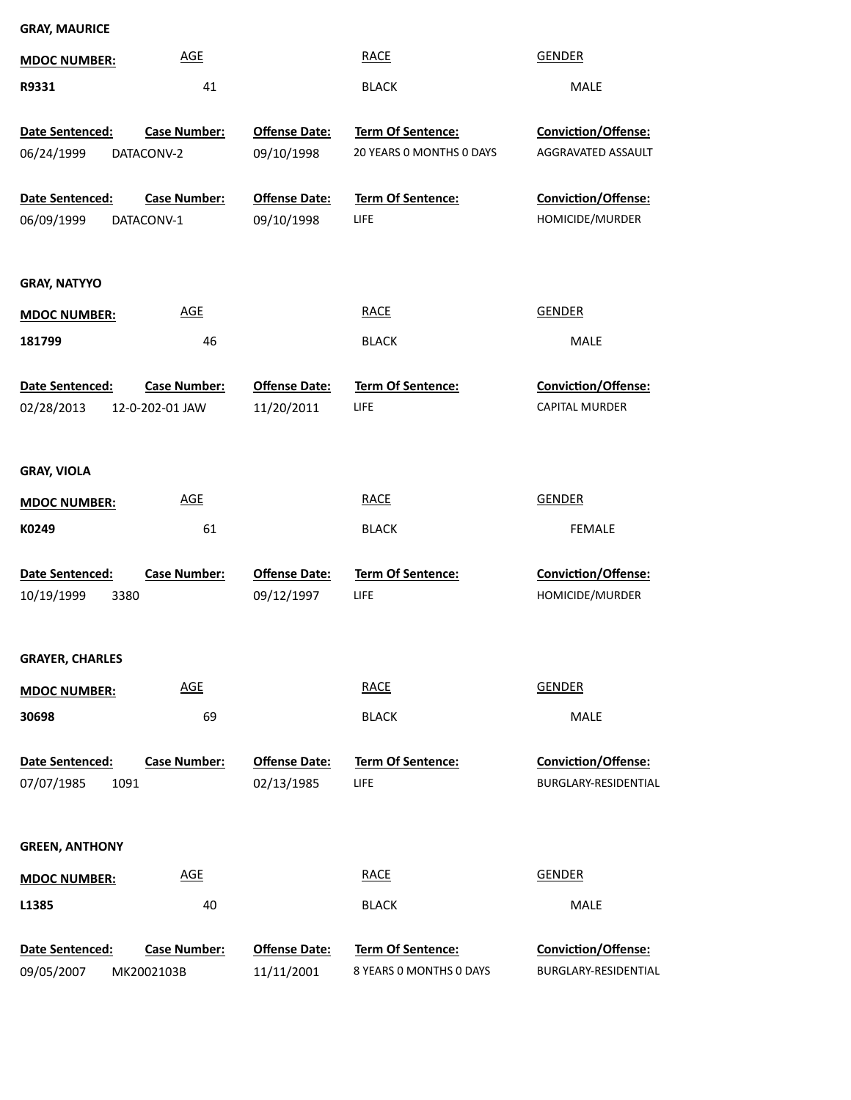| <b>GRAY, MAURICE</b>                  |                                        |                                    |                                              |                                             |
|---------------------------------------|----------------------------------------|------------------------------------|----------------------------------------------|---------------------------------------------|
| <b>MDOC NUMBER:</b>                   | <b>AGE</b>                             |                                    | <b>RACE</b>                                  | <b>GENDER</b>                               |
| R9331                                 | 41                                     |                                    | <b>BLACK</b>                                 | MALE                                        |
| Date Sentenced:                       | <b>Case Number:</b>                    | <b>Offense Date:</b>               | Term Of Sentence:                            | Conviction/Offense:                         |
| 06/24/1999                            | DATACONV-2                             | 09/10/1998                         | 20 YEARS 0 MONTHS 0 DAYS                     | AGGRAVATED ASSAULT                          |
| Date Sentenced:<br>06/09/1999         | <b>Case Number:</b><br>DATACONV-1      | <b>Offense Date:</b><br>09/10/1998 | Term Of Sentence:<br>LIFE                    | Conviction/Offense:<br>HOMICIDE/MURDER      |
| <b>GRAY, NATYYO</b>                   |                                        |                                    |                                              |                                             |
| <b>MDOC NUMBER:</b>                   | <b>AGE</b>                             |                                    | <b>RACE</b>                                  | <b>GENDER</b>                               |
| 181799                                | 46                                     |                                    | <b>BLACK</b>                                 | MALE                                        |
| Date Sentenced:<br>02/28/2013         | <b>Case Number:</b><br>12-0-202-01 JAW | <b>Offense Date:</b><br>11/20/2011 | Term Of Sentence:<br>LIFE                    | Conviction/Offense:<br>CAPITAL MURDER       |
| <b>GRAY, VIOLA</b>                    |                                        |                                    |                                              |                                             |
| <b>MDOC NUMBER:</b>                   | <b>AGE</b>                             |                                    | <b>RACE</b>                                  | <b>GENDER</b>                               |
| K0249                                 | 61                                     |                                    | <b>BLACK</b>                                 | FEMALE                                      |
| Date Sentenced:<br>10/19/1999<br>3380 | Case Number:                           | <b>Offense Date:</b><br>09/12/1997 | Term Of Sentence:<br>LIFE                    | Conviction/Offense:<br>HOMICIDE/MURDER      |
| <b>GRAYER, CHARLES</b>                |                                        |                                    |                                              |                                             |
| <b>MDOC NUMBER:</b>                   | <b>AGE</b>                             |                                    | <b>RACE</b>                                  | <b>GENDER</b>                               |
| 30698                                 | 69                                     |                                    | <b>BLACK</b>                                 | MALE                                        |
| Date Sentenced:<br>1091<br>07/07/1985 | <b>Case Number:</b>                    | <b>Offense Date:</b><br>02/13/1985 | <b>Term Of Sentence:</b><br>LIFE             | Conviction/Offense:<br>BURGLARY-RESIDENTIAL |
| <b>GREEN, ANTHONY</b>                 |                                        |                                    |                                              |                                             |
| <b>MDOC NUMBER:</b>                   | <b>AGE</b>                             |                                    | <b>RACE</b>                                  | <b>GENDER</b>                               |
| L1385                                 | 40                                     |                                    | <b>BLACK</b>                                 | MALE                                        |
| Date Sentenced:<br>09/05/2007         | Case Number:<br>MK2002103B             | <b>Offense Date:</b><br>11/11/2001 | Term Of Sentence:<br>8 YEARS 0 MONTHS 0 DAYS | Conviction/Offense:<br>BURGLARY-RESIDENTIAL |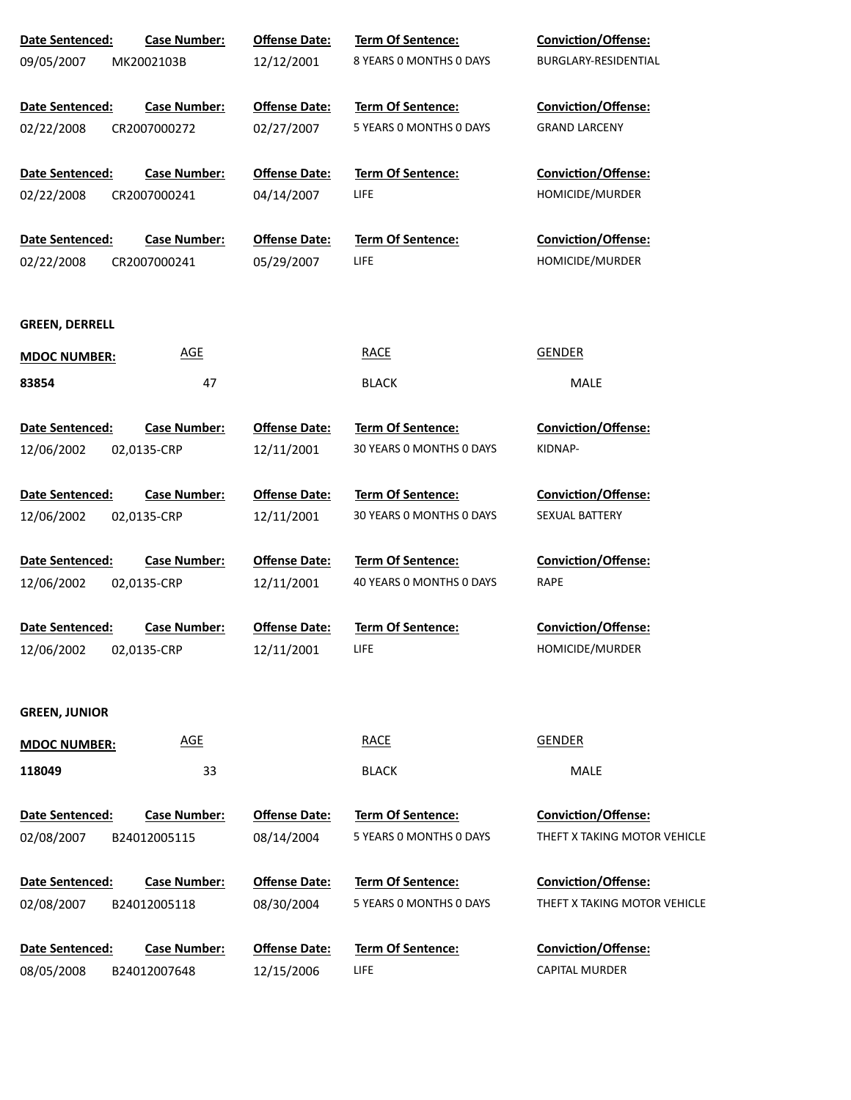| Date Sentenced:        | <b>Case Number:</b> | <b>Offense Date:</b> | Term Of Sentence:        | Conviction/Offense:          |
|------------------------|---------------------|----------------------|--------------------------|------------------------------|
| 09/05/2007             | MK2002103B          | 12/12/2001           | 8 YEARS 0 MONTHS 0 DAYS  | BURGLARY-RESIDENTIAL         |
|                        |                     |                      |                          |                              |
| Date Sentenced:        | <b>Case Number:</b> | <b>Offense Date:</b> | Term Of Sentence:        | <b>Conviction/Offense:</b>   |
| 02/22/2008             | CR2007000272        | 02/27/2007           | 5 YEARS O MONTHS O DAYS  | <b>GRAND LARCENY</b>         |
| <b>Date Sentenced:</b> | <b>Case Number:</b> | <b>Offense Date:</b> | Term Of Sentence:        | <b>Conviction/Offense:</b>   |
| 02/22/2008             | CR2007000241        | 04/14/2007           | <b>LIFE</b>              | HOMICIDE/MURDER              |
| Date Sentenced:        | <b>Case Number:</b> | <b>Offense Date:</b> | Term Of Sentence:        | <b>Conviction/Offense:</b>   |
| 02/22/2008             | CR2007000241        | 05/29/2007           | <b>LIFE</b>              | HOMICIDE/MURDER              |
| <b>GREEN, DERRELL</b>  |                     |                      |                          |                              |
| <b>MDOC NUMBER:</b>    | <b>AGE</b>          |                      | <b>RACE</b>              | <b>GENDER</b>                |
| 83854                  | 47                  |                      | <b>BLACK</b>             | MALE                         |
| Date Sentenced:        | <b>Case Number:</b> | <b>Offense Date:</b> | <b>Term Of Sentence:</b> | <b>Conviction/Offense:</b>   |
| 12/06/2002             | 02,0135-CRP         | 12/11/2001           | 30 YEARS 0 MONTHS 0 DAYS | KIDNAP-                      |
| Date Sentenced:        | <b>Case Number:</b> | <b>Offense Date:</b> | <b>Term Of Sentence:</b> | Conviction/Offense:          |
| 12/06/2002             | 02,0135-CRP         | 12/11/2001           | 30 YEARS 0 MONTHS 0 DAYS | SEXUAL BATTERY               |
| Date Sentenced:        | <b>Case Number:</b> | <b>Offense Date:</b> | Term Of Sentence:        | <b>Conviction/Offense:</b>   |
| 12/06/2002             | 02,0135-CRP         | 12/11/2001           | 40 YEARS 0 MONTHS 0 DAYS | <b>RAPE</b>                  |
| Date Sentenced:        | <b>Case Number:</b> | <b>Offense Date:</b> | Term Of Sentence:        | Conviction/Offense:          |
| 12/06/2002             | 02,0135-CRP         | 12/11/2001           | <b>LIFE</b>              | HOMICIDE/MURDER              |
| <b>GREEN, JUNIOR</b>   |                     |                      |                          |                              |
| <b>MDOC NUMBER:</b>    | <b>AGE</b>          |                      | <b>RACE</b>              | <b>GENDER</b>                |
| 118049                 | 33                  |                      | <b>BLACK</b>             | MALE                         |
| Date Sentenced:        | <b>Case Number:</b> | <b>Offense Date:</b> | Term Of Sentence:        | Conviction/Offense:          |
| 02/08/2007             | B24012005115        | 08/14/2004           | 5 YEARS 0 MONTHS 0 DAYS  | THEFT X TAKING MOTOR VEHICLE |
| Date Sentenced:        | <b>Case Number:</b> | <b>Offense Date:</b> | Term Of Sentence:        | Conviction/Offense:          |
| 02/08/2007             | B24012005118        | 08/30/2004           | 5 YEARS 0 MONTHS 0 DAYS  | THEFT X TAKING MOTOR VEHICLE |
| Date Sentenced:        | <b>Case Number:</b> | <b>Offense Date:</b> | Term Of Sentence:        | Conviction/Offense:          |
| 08/05/2008             | B24012007648        | 12/15/2006           | LIFE.                    | <b>CAPITAL MURDER</b>        |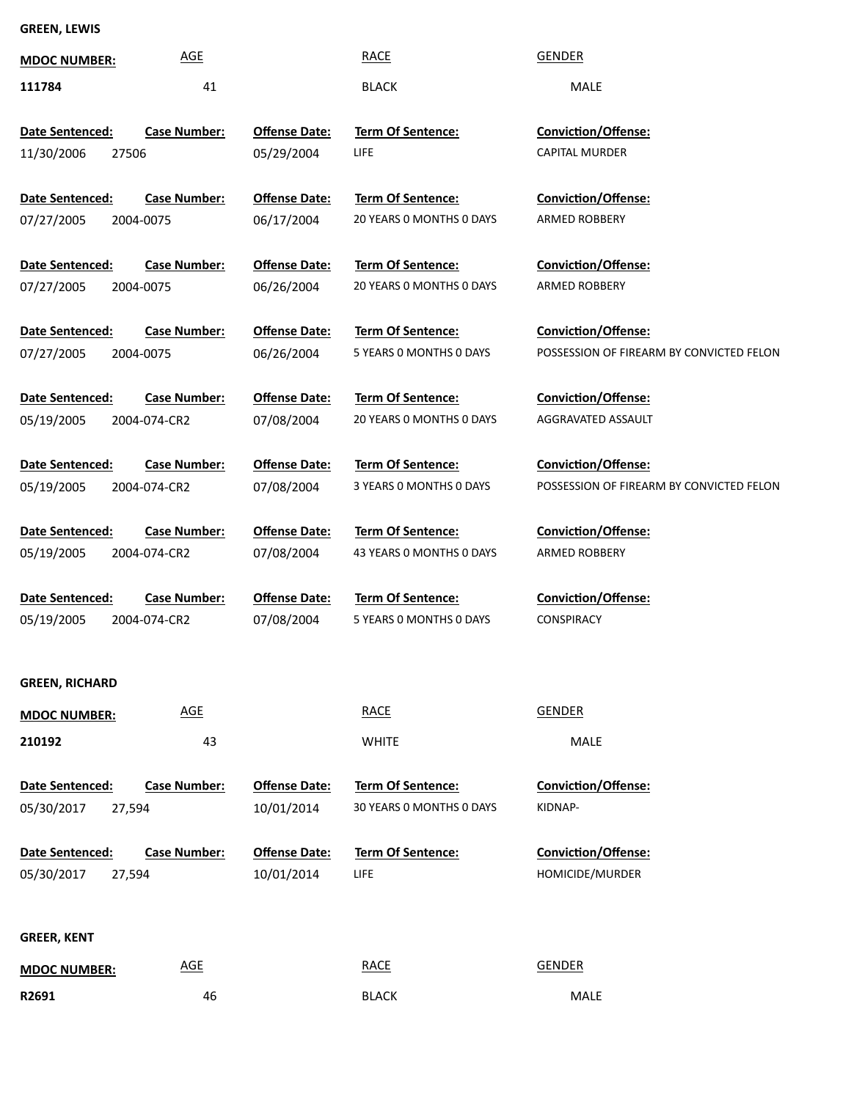# **GREEN, LEWIS**

| <b>MDOC NUMBER:</b>    | <b>AGE</b>                 |                                    | <b>RACE</b>              | <b>GENDER</b>                                                          |
|------------------------|----------------------------|------------------------------------|--------------------------|------------------------------------------------------------------------|
| 111784                 | 41                         |                                    | <b>BLACK</b>             | MALE                                                                   |
|                        |                            |                                    |                          |                                                                        |
| Date Sentenced:        | <b>Case Number:</b>        | <b>Offense Date:</b>               | <b>Term Of Sentence:</b> | Conviction/Offense:                                                    |
| 11/30/2006<br>27506    |                            | 05/29/2004                         | LIFE                     | <b>CAPITAL MURDER</b>                                                  |
|                        |                            |                                    |                          |                                                                        |
| Date Sentenced:        | <b>Case Number:</b>        | <b>Offense Date:</b>               | Term Of Sentence:        | Conviction/Offense:                                                    |
| 07/27/2005             | 2004-0075                  | 06/17/2004                         | 20 YEARS 0 MONTHS 0 DAYS | ARMED ROBBERY                                                          |
| Date Sentenced:        | <b>Case Number:</b>        |                                    | Term Of Sentence:        | Conviction/Offense:                                                    |
| 07/27/2005             | 2004-0075                  | <b>Offense Date:</b><br>06/26/2004 | 20 YEARS 0 MONTHS 0 DAYS | ARMED ROBBERY                                                          |
|                        |                            |                                    |                          |                                                                        |
| Date Sentenced:        | <b>Case Number:</b>        | <b>Offense Date:</b>               | Term Of Sentence:        | <b>Conviction/Offense:</b>                                             |
| 07/27/2005             | 2004-0075                  | 06/26/2004                         | 5 YEARS 0 MONTHS 0 DAYS  | POSSESSION OF FIREARM BY CONVICTED FELON                               |
|                        |                            |                                    |                          |                                                                        |
| Date Sentenced:        | <b>Case Number:</b>        | <b>Offense Date:</b>               | Term Of Sentence:        | Conviction/Offense:                                                    |
| 05/19/2005             | 2004-074-CR2               | 07/08/2004                         | 20 YEARS 0 MONTHS 0 DAYS | AGGRAVATED ASSAULT                                                     |
|                        |                            |                                    |                          |                                                                        |
| Date Sentenced:        | <b>Case Number:</b>        | <b>Offense Date:</b>               | Term Of Sentence:        | <b>Conviction/Offense:</b><br>POSSESSION OF FIREARM BY CONVICTED FELON |
| 05/19/2005             | 2004-074-CR2               | 07/08/2004                         | 3 YEARS 0 MONTHS 0 DAYS  |                                                                        |
| Date Sentenced:        | <b>Case Number:</b>        | <b>Offense Date:</b>               | Term Of Sentence:        | Conviction/Offense:                                                    |
| 05/19/2005             | 2004-074-CR2               | 07/08/2004                         | 43 YEARS 0 MONTHS 0 DAYS | ARMED ROBBERY                                                          |
|                        |                            |                                    |                          |                                                                        |
| Date Sentenced:        | <b>Case Number:</b>        | <b>Offense Date:</b>               | Term Of Sentence:        | Conviction/Offense:                                                    |
| 05/19/2005             | 2004-074-CR2               | 07/08/2004                         | 5 YEARS 0 MONTHS 0 DAYS  | <b>CONSPIRACY</b>                                                      |
|                        |                            |                                    |                          |                                                                        |
| <b>GREEN, RICHARD</b>  |                            |                                    |                          |                                                                        |
| <b>MDOC NUMBER:</b>    | $\underline{\mathsf{AGE}}$ |                                    | <b>RACE</b>              | <b>GENDER</b>                                                          |
|                        |                            |                                    |                          |                                                                        |
| 210192                 | 43                         |                                    | <b>WHITE</b>             | MALE                                                                   |
| <b>Date Sentenced:</b> | <b>Case Number:</b>        | <b>Offense Date:</b>               | Term Of Sentence:        | <b>Conviction/Offense:</b>                                             |
| 05/30/2017<br>27,594   |                            | 10/01/2014                         | 30 YEARS 0 MONTHS 0 DAYS | KIDNAP-                                                                |
|                        |                            |                                    |                          |                                                                        |
| Date Sentenced:        | <b>Case Number:</b>        | <b>Offense Date:</b>               | Term Of Sentence:        | Conviction/Offense:                                                    |
| 05/30/2017<br>27,594   |                            | 10/01/2014                         | LIFE                     | HOMICIDE/MURDER                                                        |
|                        |                            |                                    |                          |                                                                        |
| <b>GREER, KENT</b>     |                            |                                    |                          |                                                                        |
|                        | <b>AGE</b>                 |                                    | <b>RACE</b>              | <b>GENDER</b>                                                          |
| <b>MDOC NUMBER:</b>    |                            |                                    |                          |                                                                        |
| R2691                  | 46                         |                                    | <b>BLACK</b>             | MALE                                                                   |

46 BLACK MALE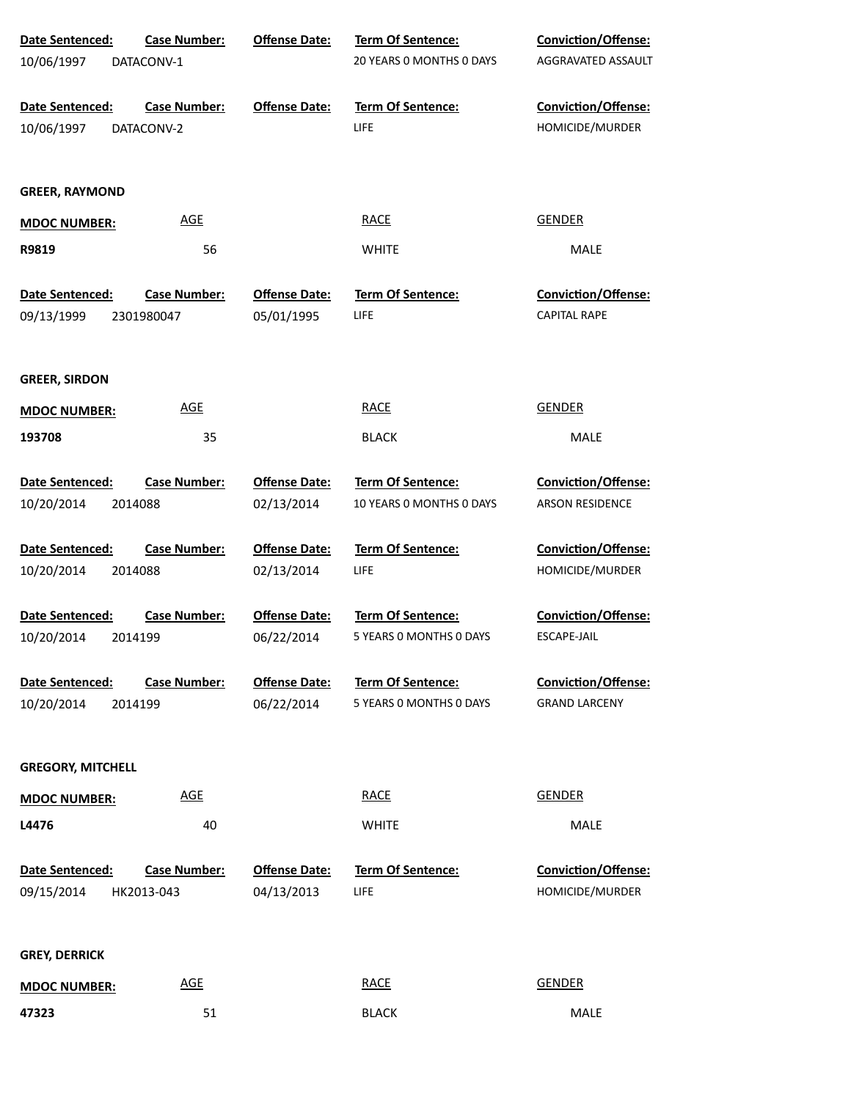| Date Sentenced:               | <b>Case Number:</b>               | <b>Offense Date:</b>               | Term Of Sentence:                | Conviction/Offense:                           |
|-------------------------------|-----------------------------------|------------------------------------|----------------------------------|-----------------------------------------------|
| 10/06/1997                    | DATACONV-1                        |                                    | 20 YEARS O MONTHS O DAYS         | AGGRAVATED ASSAULT                            |
| Date Sentenced:               | <b>Case Number:</b>               | <b>Offense Date:</b>               | <b>Term Of Sentence:</b>         | Conviction/Offense:                           |
| 10/06/1997                    | DATACONV-2                        |                                    | LIFE                             | HOMICIDE/MURDER                               |
| <b>GREER, RAYMOND</b>         |                                   |                                    |                                  |                                               |
| <b>MDOC NUMBER:</b>           | <b>AGE</b>                        |                                    | <b>RACE</b>                      | <b>GENDER</b>                                 |
| R9819                         | 56                                |                                    | <b>WHITE</b>                     | MALE                                          |
| Date Sentenced:               | <b>Case Number:</b>               | <b>Offense Date:</b>               | Term Of Sentence:                | <b>Conviction/Offense:</b>                    |
| 09/13/1999                    | 2301980047                        | 05/01/1995                         | LIFE                             | <b>CAPITAL RAPE</b>                           |
| <b>GREER, SIRDON</b>          |                                   |                                    |                                  |                                               |
| <b>MDOC NUMBER:</b>           | <b>AGE</b>                        |                                    | <b>RACE</b>                      | <b>GENDER</b>                                 |
| 193708                        | 35                                |                                    | <b>BLACK</b>                     | MALE                                          |
| Date Sentenced:               | <b>Case Number:</b>               | <b>Offense Date:</b>               | Term Of Sentence:                | Conviction/Offense:                           |
| 10/20/2014                    | 2014088                           | 02/13/2014                         | 10 YEARS 0 MONTHS 0 DAYS         | ARSON RESIDENCE                               |
| Date Sentenced:               | <b>Case Number:</b>               | <b>Offense Date:</b>               | Term Of Sentence:                | Conviction/Offense:                           |
| 10/20/2014                    | 2014088                           | 02/13/2014                         | LIFE                             | HOMICIDE/MURDER                               |
| Date Sentenced:               | <b>Case Number:</b>               | <b>Offense Date:</b>               | Term Of Sentence:                | Conviction/Offense:                           |
| 10/20/2014                    | 2014199                           | 06/22/2014                         | 5 YEARS 0 MONTHS 0 DAYS          | ESCAPE-JAIL                                   |
| Date Sentenced:               | <b>Case Number:</b>               | <b>Offense Date:</b>               | <b>Term Of Sentence:</b>         | <b>Conviction/Offense:</b>                    |
| 10/20/2014                    | 2014199                           | 06/22/2014                         | 5 YEARS 0 MONTHS 0 DAYS          | <b>GRAND LARCENY</b>                          |
| <b>GREGORY, MITCHELL</b>      |                                   |                                    |                                  |                                               |
| <b>MDOC NUMBER:</b>           | <b>AGE</b>                        |                                    | RACE                             | <b>GENDER</b>                                 |
| L4476                         | 40                                |                                    | <b>WHITE</b>                     | <b>MALE</b>                                   |
| Date Sentenced:<br>09/15/2014 | <b>Case Number:</b><br>HK2013-043 | <b>Offense Date:</b><br>04/13/2013 | <b>Term Of Sentence:</b><br>LIFE | <b>Conviction/Offense:</b><br>HOMICIDE/MURDER |
| <b>GREY, DERRICK</b>          |                                   |                                    |                                  |                                               |
| <b>MDOC NUMBER:</b>           | <b>AGE</b>                        |                                    | <b>RACE</b>                      | <b>GENDER</b>                                 |
| 47323                         | 51                                |                                    | <b>BLACK</b>                     | MALE                                          |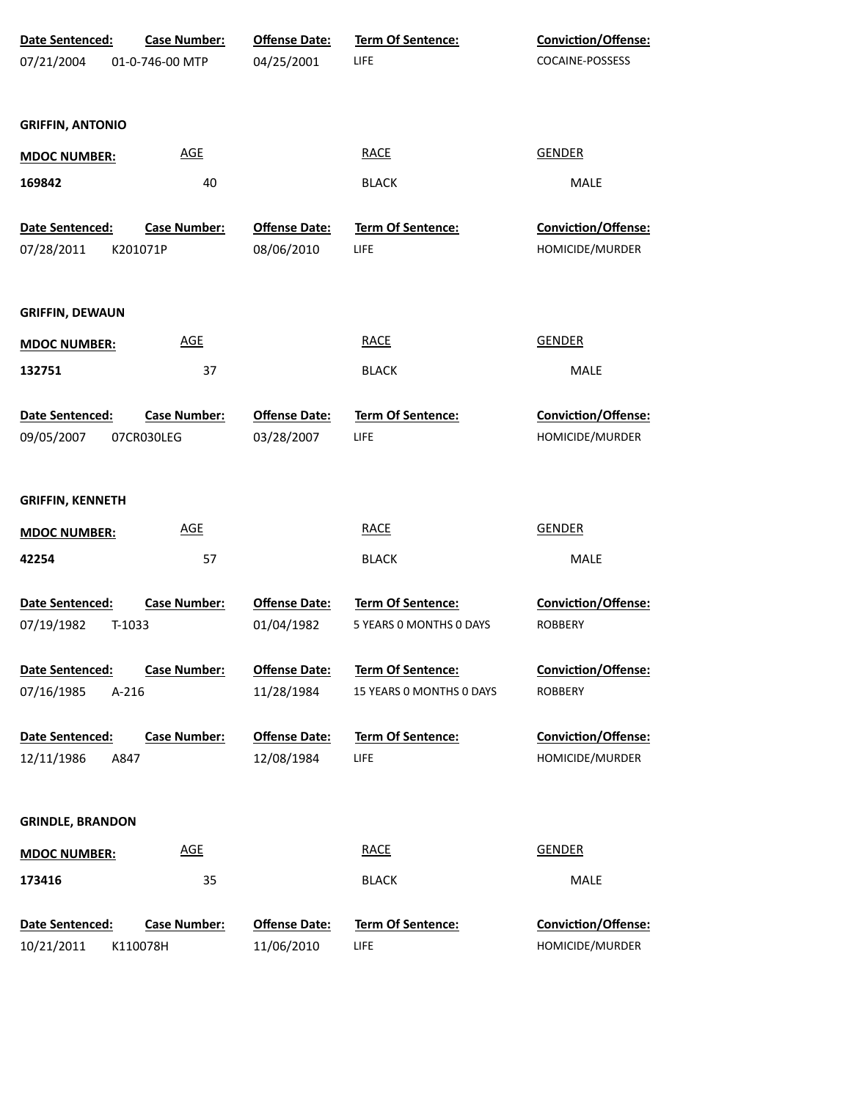| Date Sentenced:         | <b>Case Number:</b> | <b>Offense Date:</b> | <b>Term Of Sentence:</b> | Conviction/Offense: |
|-------------------------|---------------------|----------------------|--------------------------|---------------------|
| 07/21/2004              | 01-0-746-00 MTP     | 04/25/2001           | LIFE                     | COCAINE-POSSESS     |
| <b>GRIFFIN, ANTONIO</b> |                     |                      |                          |                     |
| <b>MDOC NUMBER:</b>     | <b>AGE</b>          |                      | <b>RACE</b>              | <b>GENDER</b>       |
| 169842                  | 40                  |                      | <b>BLACK</b>             | MALE                |
| Date Sentenced:         | <b>Case Number:</b> | <b>Offense Date:</b> | Term Of Sentence:        | Conviction/Offense: |
| 07/28/2011              | K201071P            | 08/06/2010           | LIFE                     | HOMICIDE/MURDER     |
| <b>GRIFFIN, DEWAUN</b>  |                     |                      |                          |                     |
| <b>MDOC NUMBER:</b>     | <b>AGE</b>          |                      | <b>RACE</b>              | <b>GENDER</b>       |
| 132751                  | 37                  |                      | <b>BLACK</b>             | MALE                |
| Date Sentenced:         | <b>Case Number:</b> | <b>Offense Date:</b> | Term Of Sentence:        | Conviction/Offense: |
| 09/05/2007              | 07CR030LEG          | 03/28/2007           | LIFE                     | HOMICIDE/MURDER     |
| <b>GRIFFIN, KENNETH</b> |                     |                      |                          |                     |
| <b>MDOC NUMBER:</b>     | <b>AGE</b>          |                      | <b>RACE</b>              | <b>GENDER</b>       |
| 42254                   | 57                  |                      | <b>BLACK</b>             | MALE                |
| Date Sentenced:         | <b>Case Number:</b> | <b>Offense Date:</b> | Term Of Sentence:        | Conviction/Offense: |
| 07/19/1982<br>T-1033    |                     | 01/04/1982           | 5 YEARS 0 MONTHS 0 DAYS  | <b>ROBBERY</b>      |
| Date Sentenced:         | <b>Case Number:</b> | <b>Offense Date:</b> | Term Of Sentence:        | Conviction/Offense: |
| 07/16/1985<br>$A-216$   |                     | 11/28/1984           | 15 YEARS 0 MONTHS 0 DAYS | <b>ROBBERY</b>      |
| Date Sentenced:         | <b>Case Number:</b> | <b>Offense Date:</b> | <b>Term Of Sentence:</b> | Conviction/Offense: |
| 12/11/1986<br>A847      |                     | 12/08/1984           | LIFE                     | HOMICIDE/MURDER     |
| <b>GRINDLE, BRANDON</b> |                     |                      |                          |                     |
| <b>MDOC NUMBER:</b>     | <b>AGE</b>          |                      | <b>RACE</b>              | <b>GENDER</b>       |
| 173416                  | 35                  |                      | <b>BLACK</b>             | MALE                |
| Date Sentenced:         | <b>Case Number:</b> | <b>Offense Date:</b> | Term Of Sentence:        | Conviction/Offense: |
| 10/21/2011              | K110078H            | 11/06/2010           | LIFE                     | HOMICIDE/MURDER     |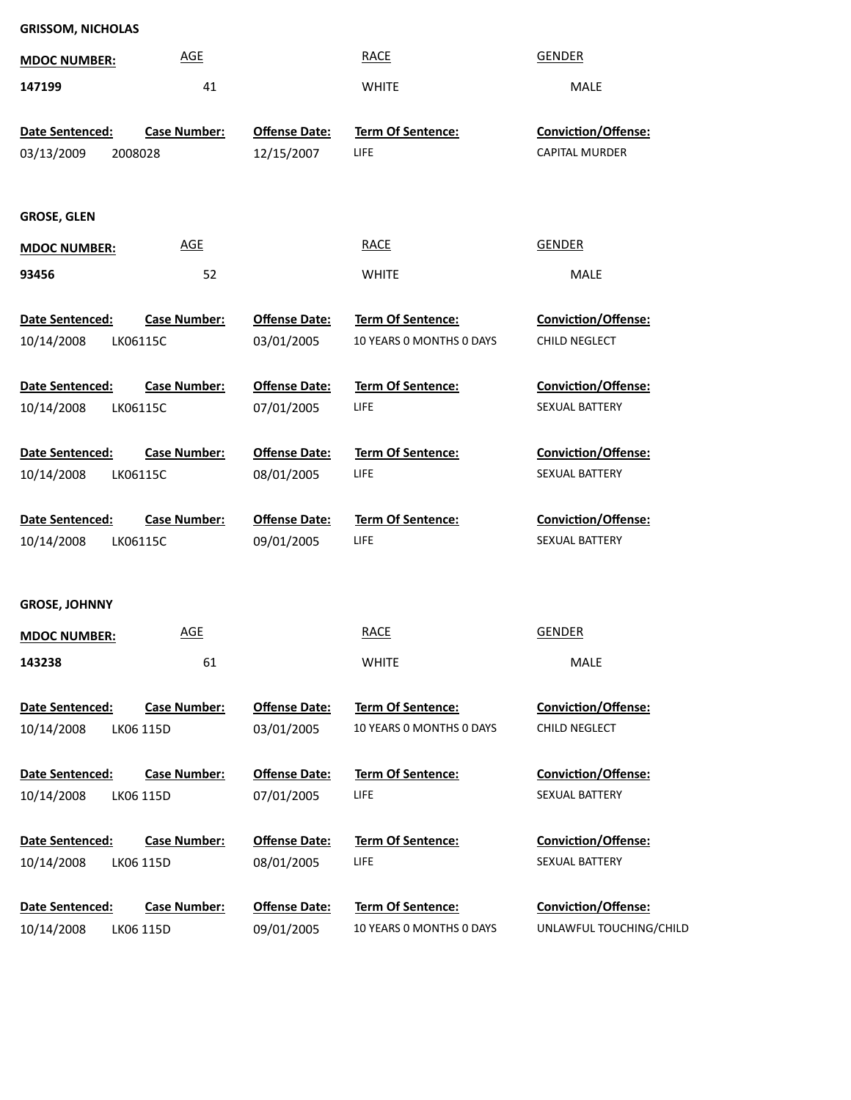| <b>GRISSOM, NICHOLAS</b>                  |                     |                                    |                                  |                                       |
|-------------------------------------------|---------------------|------------------------------------|----------------------------------|---------------------------------------|
| <b>MDOC NUMBER:</b>                       | <b>AGE</b>          |                                    | <b>RACE</b>                      | <b>GENDER</b>                         |
| 147199                                    | 41                  |                                    | <b>WHITE</b>                     | MALE                                  |
| Date Sentenced:                           | <b>Case Number:</b> | <b>Offense Date:</b>               | <b>Term Of Sentence:</b>         | <b>Conviction/Offense:</b>            |
| 03/13/2009<br>2008028                     |                     | 12/15/2007                         | <b>LIFE</b>                      | <b>CAPITAL MURDER</b>                 |
|                                           |                     |                                    |                                  |                                       |
|                                           |                     |                                    |                                  |                                       |
| <b>GROSE, GLEN</b>                        |                     |                                    |                                  |                                       |
| <b>MDOC NUMBER:</b>                       | <b>AGE</b>          |                                    | <b>RACE</b>                      | <b>GENDER</b>                         |
| 93456                                     | 52                  |                                    | <b>WHITE</b>                     | MALE                                  |
| Date Sentenced:                           | <b>Case Number:</b> | <b>Offense Date:</b>               | Term Of Sentence:                | Conviction/Offense:                   |
| 10/14/2008<br>LK06115C                    |                     | 03/01/2005                         | 10 YEARS 0 MONTHS 0 DAYS         | CHILD NEGLECT                         |
|                                           |                     |                                    |                                  |                                       |
| Date Sentenced:<br>10/14/2008             | <b>Case Number:</b> | <b>Offense Date:</b><br>07/01/2005 | Term Of Sentence:<br><b>LIFE</b> | Conviction/Offense:<br>SEXUAL BATTERY |
| LK06115C                                  |                     |                                    |                                  |                                       |
| Date Sentenced:                           | <b>Case Number:</b> | <b>Offense Date:</b>               | <b>Term Of Sentence:</b>         | Conviction/Offense:                   |
| 10/14/2008                                | LK06115C            | 08/01/2005                         | <b>LIFE</b>                      | SEXUAL BATTERY                        |
|                                           |                     |                                    |                                  |                                       |
| Date Sentenced:<br>10/14/2008<br>LK06115C | <b>Case Number:</b> | <b>Offense Date:</b><br>09/01/2005 | Term Of Sentence:<br><b>LIFE</b> | Conviction/Offense:<br>SEXUAL BATTERY |
|                                           |                     |                                    |                                  |                                       |
|                                           |                     |                                    |                                  |                                       |
| <b>GROSE, JOHNNY</b>                      |                     |                                    |                                  |                                       |
| <b>MDOC NUMBER:</b>                       | <b>AGE</b>          |                                    | <b>RACE</b>                      | <b>GENDER</b>                         |
| 143238                                    | 61                  |                                    | <b>WHITE</b>                     | <b>MALE</b>                           |
| Date Sentenced:                           | <b>Case Number:</b> | <b>Offense Date:</b>               | <b>Term Of Sentence:</b>         | <b>Conviction/Offense:</b>            |
| 10/14/2008                                | LK06 115D           | 03/01/2005                         | 10 YEARS O MONTHS O DAYS         | CHILD NEGLECT                         |
|                                           |                     |                                    |                                  |                                       |
| Date Sentenced:                           | <b>Case Number:</b> | <b>Offense Date:</b>               | <b>Term Of Sentence:</b>         | <b>Conviction/Offense:</b>            |
| 10/14/2008                                | LK06 115D           | 07/01/2005                         | <b>LIFE</b>                      | <b>SEXUAL BATTERY</b>                 |
| Date Sentenced:                           | <b>Case Number:</b> | <b>Offense Date:</b>               | <b>Term Of Sentence:</b>         | <b>Conviction/Offense:</b>            |
| 10/14/2008                                | LK06 115D           | 08/01/2005                         | <b>LIFE</b>                      | SEXUAL BATTERY                        |
|                                           |                     |                                    |                                  |                                       |
| Date Sentenced:                           | <b>Case Number:</b> | <b>Offense Date:</b>               | <b>Term Of Sentence:</b>         | <b>Conviction/Offense:</b>            |
| 10/14/2008                                | LK06 115D           | 09/01/2005                         | 10 YEARS 0 MONTHS 0 DAYS         | UNLAWFUL TOUCHING/CHILD               |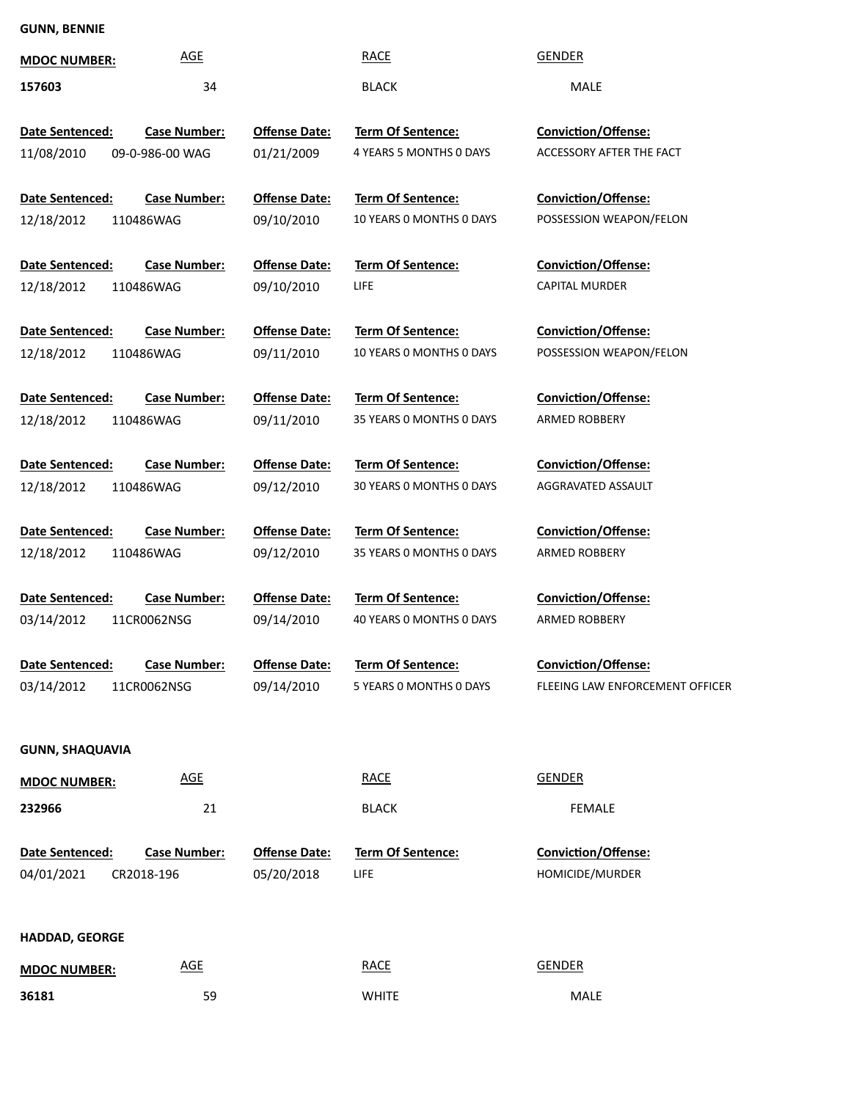# **GUNN, BENNIE**

| <b>MDOC NUMBER:</b>       | AGE                 |                      | <b>RACE</b>              | <b>GENDER</b>                   |
|---------------------------|---------------------|----------------------|--------------------------|---------------------------------|
| 157603                    | 34                  |                      | <b>BLACK</b>             | <b>MALE</b>                     |
| Date Sentenced:           | <b>Case Number:</b> | <b>Offense Date:</b> | Term Of Sentence:        | <b>Conviction/Offense:</b>      |
| 11/08/2010                | 09-0-986-00 WAG     | 01/21/2009           | 4 YEARS 5 MONTHS 0 DAYS  | ACCESSORY AFTER THE FACT        |
|                           |                     |                      |                          |                                 |
| Date Sentenced:           | <b>Case Number:</b> | <b>Offense Date:</b> | <b>Term Of Sentence:</b> | Conviction/Offense:             |
| 12/18/2012<br>110486WAG   |                     | 09/10/2010           | 10 YEARS O MONTHS O DAYS | POSSESSION WEAPON/FELON         |
| Date Sentenced:           | <b>Case Number:</b> | <b>Offense Date:</b> | Term Of Sentence:        | <b>Conviction/Offense:</b>      |
| 12/18/2012<br>110486WAG   |                     | 09/10/2010           | LIFE                     | <b>CAPITAL MURDER</b>           |
|                           |                     |                      |                          |                                 |
| Date Sentenced:           | <b>Case Number:</b> | <b>Offense Date:</b> | Term Of Sentence:        | <b>Conviction/Offense:</b>      |
| 12/18/2012<br>110486WAG   |                     | 09/11/2010           | 10 YEARS O MONTHS O DAYS | POSSESSION WEAPON/FELON         |
| Date Sentenced:           | <b>Case Number:</b> | <b>Offense Date:</b> | Term Of Sentence:        | <b>Conviction/Offense:</b>      |
| 12/18/2012<br>110486WAG   |                     | 09/11/2010           | 35 YEARS 0 MONTHS 0 DAYS | <b>ARMED ROBBERY</b>            |
|                           |                     |                      |                          |                                 |
| Date Sentenced:           | <b>Case Number:</b> | <b>Offense Date:</b> | Term Of Sentence:        | <b>Conviction/Offense:</b>      |
| 12/18/2012<br>110486WAG   |                     | 09/12/2010           | 30 YEARS 0 MONTHS 0 DAYS | AGGRAVATED ASSAULT              |
|                           |                     |                      |                          |                                 |
| Date Sentenced:           | <b>Case Number:</b> | <b>Offense Date:</b> | Term Of Sentence:        | <b>Conviction/Offense:</b>      |
| 12/18/2012<br>110486WAG   |                     | 09/12/2010           | 35 YEARS 0 MONTHS 0 DAYS | <b>ARMED ROBBERY</b>            |
| Date Sentenced:           | <b>Case Number:</b> | <b>Offense Date:</b> | Term Of Sentence:        | <b>Conviction/Offense:</b>      |
| 03/14/2012<br>11CR0062NSG |                     | 09/14/2010           | 40 YEARS 0 MONTHS 0 DAYS | <b>ARMED ROBBERY</b>            |
|                           |                     |                      |                          |                                 |
| Date Sentenced:           | <b>Case Number:</b> | <b>Offense Date:</b> | Term Of Sentence:        | Conviction/Offense:             |
| 03/14/2012<br>11CR0062NSG |                     | 09/14/2010           | 5 YEARS 0 MONTHS 0 DAYS  | FLEEING LAW ENFORCEMENT OFFICER |
|                           |                     |                      |                          |                                 |
| <b>GUNN, SHAQUAVIA</b>    |                     |                      |                          |                                 |
|                           | <b>AGE</b>          |                      | <b>RACE</b>              | <b>GENDER</b>                   |
| <b>MDOC NUMBER:</b>       |                     |                      |                          |                                 |
| 232966                    | 21                  |                      | <b>BLACK</b>             | <b>FEMALE</b>                   |
| Date Sentenced:           | <b>Case Number:</b> | <b>Offense Date:</b> | Term Of Sentence:        | Conviction/Offense:             |
| 04/01/2021<br>CR2018-196  |                     | 05/20/2018           | LIFE                     | HOMICIDE/MURDER                 |
|                           |                     |                      |                          |                                 |
|                           |                     |                      |                          |                                 |
| <b>HADDAD, GEORGE</b>     |                     |                      |                          |                                 |
| <b>MDOC NUMBER:</b>       | <b>AGE</b>          |                      | <b>RACE</b>              | <b>GENDER</b>                   |
| 36181                     | 59                  |                      | <b>WHITE</b>             | MALE                            |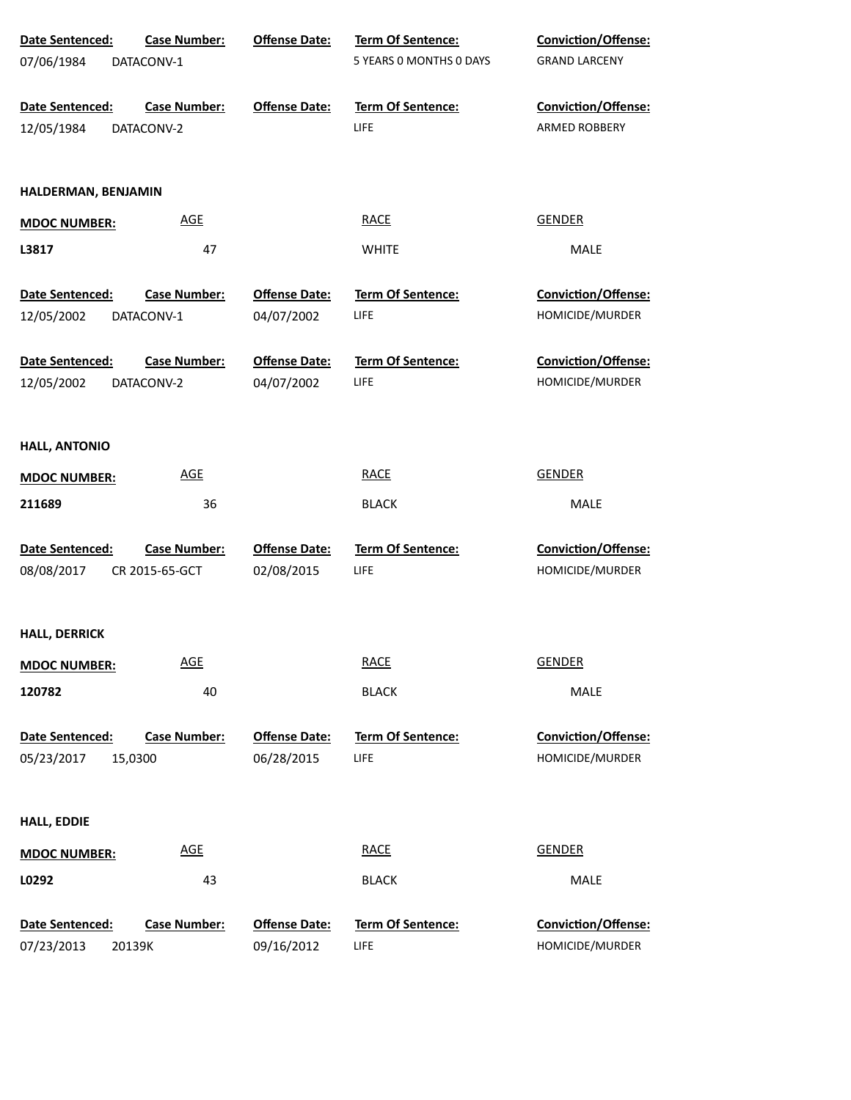| Date Sentenced:               | <b>Case Number:</b>               | <b>Offense Date:</b> | Term Of Sentence:         | Conviction/Offense:                  |
|-------------------------------|-----------------------------------|----------------------|---------------------------|--------------------------------------|
| 07/06/1984                    | DATACONV-1                        |                      | 5 YEARS 0 MONTHS 0 DAYS   | <b>GRAND LARCENY</b>                 |
| Date Sentenced:<br>12/05/1984 | <b>Case Number:</b><br>DATACONV-2 | <b>Offense Date:</b> | Term Of Sentence:<br>LIFE | Conviction/Offense:<br>ARMED ROBBERY |
|                               |                                   |                      |                           |                                      |
| HALDERMAN, BENJAMIN           |                                   |                      |                           |                                      |
| <b>MDOC NUMBER:</b>           | <b>AGE</b>                        |                      | <b>RACE</b>               | <b>GENDER</b>                        |
| L3817                         | 47                                |                      | <b>WHITE</b>              | MALE                                 |
| Date Sentenced:               | <b>Case Number:</b>               | <b>Offense Date:</b> | <b>Term Of Sentence:</b>  | Conviction/Offense:                  |
| 12/05/2002                    | DATACONV-1                        | 04/07/2002           | LIFE                      | HOMICIDE/MURDER                      |
| Date Sentenced:               | <b>Case Number:</b>               | <b>Offense Date:</b> | Term Of Sentence:         | Conviction/Offense:                  |
| 12/05/2002                    | DATACONV-2                        | 04/07/2002           | LIFE                      | HOMICIDE/MURDER                      |
| <b>HALL, ANTONIO</b>          |                                   |                      |                           |                                      |
| <b>MDOC NUMBER:</b>           | <b>AGE</b>                        |                      | <b>RACE</b>               | <b>GENDER</b>                        |
| 211689                        | 36                                |                      | <b>BLACK</b>              | MALE                                 |
| Date Sentenced:               | <b>Case Number:</b>               | <b>Offense Date:</b> | Term Of Sentence:         | Conviction/Offense:                  |
| 08/08/2017                    | CR 2015-65-GCT                    | 02/08/2015           | LIFE                      | HOMICIDE/MURDER                      |
| <b>HALL, DERRICK</b>          |                                   |                      |                           |                                      |
| <b>MDOC NUMBER:</b>           | <b>AGE</b>                        |                      | <b>RACE</b>               | <b>GENDER</b>                        |
| 120782                        | 40                                |                      | <b>BLACK</b>              | MALE                                 |
| Date Sentenced:               | <b>Case Number:</b>               | <b>Offense Date:</b> | Term Of Sentence:         | Conviction/Offense:                  |
| 05/23/2017                    | 15,0300                           | 06/28/2015           | LIFE                      | HOMICIDE/MURDER                      |
| <b>HALL, EDDIE</b>            |                                   |                      |                           |                                      |
| <b>MDOC NUMBER:</b>           | <b>AGE</b>                        |                      | <b>RACE</b>               | <b>GENDER</b>                        |
| L0292                         | 43                                |                      | <b>BLACK</b>              | MALE                                 |
| Date Sentenced:               | <b>Case Number:</b>               | <b>Offense Date:</b> | Term Of Sentence:         | Conviction/Offense:                  |
| 07/23/2013<br>20139K          |                                   | 09/16/2012           | LIFE                      | HOMICIDE/MURDER                      |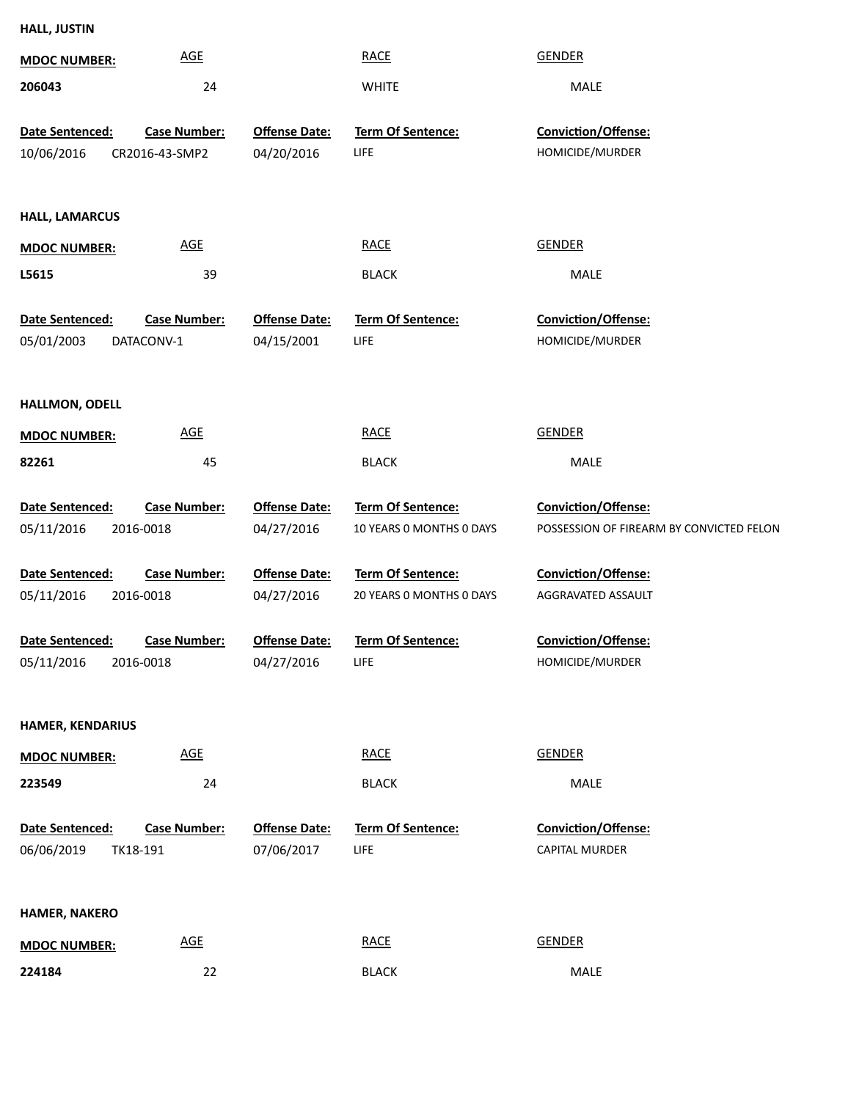| <b>HALL, JUSTIN</b>     |                              |                      |                           |                                          |
|-------------------------|------------------------------|----------------------|---------------------------|------------------------------------------|
| <b>MDOC NUMBER:</b>     | <b>AGE</b>                   |                      | <b>RACE</b>               | <b>GENDER</b>                            |
| 206043                  | 24                           |                      | <b>WHITE</b>              | MALE                                     |
|                         |                              |                      |                           |                                          |
| Date Sentenced:         | <b>Case Number:</b>          | <b>Offense Date:</b> | Term Of Sentence:<br>LIFE | Conviction/Offense:<br>HOMICIDE/MURDER   |
| 10/06/2016              | CR2016-43-SMP2               | 04/20/2016           |                           |                                          |
| <b>HALL, LAMARCUS</b>   |                              |                      |                           |                                          |
| <b>MDOC NUMBER:</b>     | <b>AGE</b>                   |                      | <b>RACE</b>               | <b>GENDER</b>                            |
| L5615                   | 39                           |                      | <b>BLACK</b>              | MALE                                     |
| Date Sentenced:         | <b>Case Number:</b>          | <b>Offense Date:</b> | Term Of Sentence:         | Conviction/Offense:                      |
| 05/01/2003              | DATACONV-1                   | 04/15/2001           | LIFE                      | HOMICIDE/MURDER                          |
|                         |                              |                      |                           |                                          |
| HALLMON, ODELL          |                              |                      |                           |                                          |
| <b>MDOC NUMBER:</b>     | <b>AGE</b>                   |                      | <b>RACE</b>               | <b>GENDER</b>                            |
| 82261                   | 45                           |                      | <b>BLACK</b>              | MALE                                     |
|                         |                              |                      |                           |                                          |
| Date Sentenced:         | <b>Case Number:</b>          | <b>Offense Date:</b> | Term Of Sentence:         | Conviction/Offense:                      |
| 05/11/2016              | 2016-0018                    | 04/27/2016           | 10 YEARS 0 MONTHS 0 DAYS  | POSSESSION OF FIREARM BY CONVICTED FELON |
| Date Sentenced:         | <b>Case Number:</b>          | <b>Offense Date:</b> | Term Of Sentence:         | Conviction/Offense:                      |
| 05/11/2016              | 2016-0018                    | 04/27/2016           | 20 YEARS 0 MONTHS 0 DAYS  | AGGRAVATED ASSAULT                       |
|                         |                              |                      |                           |                                          |
|                         | Date Sentenced: Case Number: | <b>Offense Date:</b> | Term Of Sentence:         | Conviction/Offense:                      |
| 05/11/2016              | 2016-0018                    | 04/27/2016           | LIFE                      | HOMICIDE/MURDER                          |
|                         |                              |                      |                           |                                          |
| <b>HAMER, KENDARIUS</b> |                              |                      |                           |                                          |
| <b>MDOC NUMBER:</b>     | $\underline{\mathsf{AGE}}$   |                      | <b>RACE</b>               | <b>GENDER</b>                            |
| 223549                  | 24                           |                      | <b>BLACK</b>              | MALE                                     |
| Date Sentenced:         | <b>Case Number:</b>          | <b>Offense Date:</b> | Term Of Sentence:         | Conviction/Offense:                      |
| 06/06/2019              | TK18-191                     | 07/06/2017           | LIFE                      | CAPITAL MURDER                           |
|                         |                              |                      |                           |                                          |
| <b>HAMER, NAKERO</b>    |                              |                      |                           |                                          |
| <b>MDOC NUMBER:</b>     | $\underline{\mathsf{AGE}}$   |                      | <b>RACE</b>               | <b>GENDER</b>                            |
| 224184                  | 22                           |                      | <b>BLACK</b>              | MALE                                     |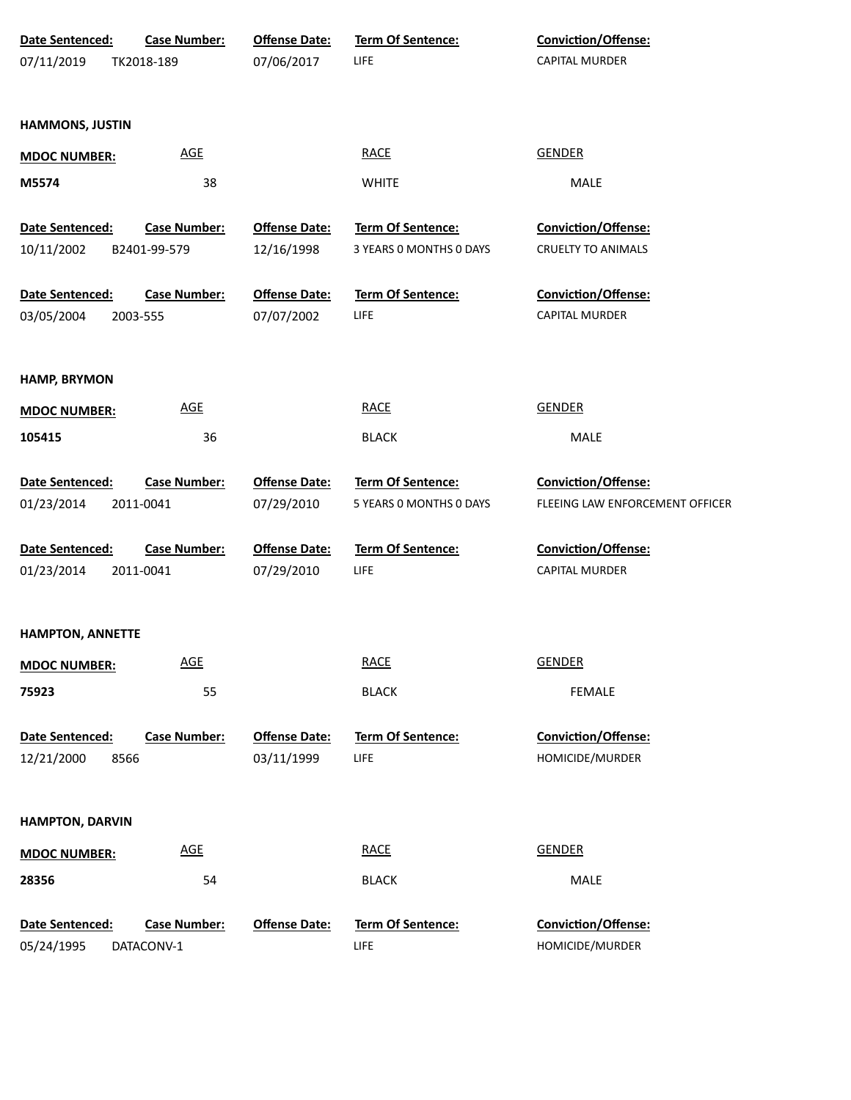| Date Sentenced:         | <b>Case Number:</b> | <b>Offense Date:</b> | <b>Term Of Sentence:</b> | <b>Conviction/Offense:</b>      |
|-------------------------|---------------------|----------------------|--------------------------|---------------------------------|
| 07/11/2019              | TK2018-189          | 07/06/2017           | LIFE                     | CAPITAL MURDER                  |
|                         |                     |                      |                          |                                 |
| <b>HAMMONS, JUSTIN</b>  |                     |                      |                          |                                 |
| <b>MDOC NUMBER:</b>     | <b>AGE</b>          |                      | <b>RACE</b>              | <b>GENDER</b>                   |
| M5574                   | 38                  |                      | <b>WHITE</b>             | MALE                            |
| Date Sentenced:         | <b>Case Number:</b> | <b>Offense Date:</b> | Term Of Sentence:        | Conviction/Offense:             |
| 10/11/2002              | B2401-99-579        | 12/16/1998           | 3 YEARS O MONTHS O DAYS  | <b>CRUELTY TO ANIMALS</b>       |
| Date Sentenced:         | <b>Case Number:</b> | <b>Offense Date:</b> | Term Of Sentence:        | Conviction/Offense:             |
| 03/05/2004              | 2003-555            | 07/07/2002           | LIFE                     | <b>CAPITAL MURDER</b>           |
|                         |                     |                      |                          |                                 |
| <b>HAMP, BRYMON</b>     |                     |                      |                          |                                 |
| <b>MDOC NUMBER:</b>     | <b>AGE</b>          |                      | <b>RACE</b>              | <b>GENDER</b>                   |
| 105415                  | 36                  |                      | <b>BLACK</b>             | MALE                            |
| Date Sentenced:         | <b>Case Number:</b> | <b>Offense Date:</b> | Term Of Sentence:        | Conviction/Offense:             |
| 01/23/2014              | 2011-0041           | 07/29/2010           | 5 YEARS 0 MONTHS 0 DAYS  | FLEEING LAW ENFORCEMENT OFFICER |
| Date Sentenced:         | <b>Case Number:</b> | <b>Offense Date:</b> | <b>Term Of Sentence:</b> | Conviction/Offense:             |
| 01/23/2014              | 2011-0041           | 07/29/2010           | LIFE                     | <b>CAPITAL MURDER</b>           |
|                         |                     |                      |                          |                                 |
| <b>HAMPTON, ANNETTE</b> |                     |                      |                          |                                 |
| <b>MDOC NUMBER:</b>     | <b>AGE</b>          |                      | <b>RACE</b>              | <b>GENDER</b>                   |
| 75923                   | 55                  |                      | <b>BLACK</b>             | <b>FEMALE</b>                   |
| Date Sentenced:         | <b>Case Number:</b> | <b>Offense Date:</b> | Term Of Sentence:        | Conviction/Offense:             |
| 12/21/2000<br>8566      |                     | 03/11/1999           | LIFE                     | HOMICIDE/MURDER                 |
|                         |                     |                      |                          |                                 |
| <b>HAMPTON, DARVIN</b>  |                     |                      |                          |                                 |
| <b>MDOC NUMBER:</b>     | <b>AGE</b>          |                      | <b>RACE</b>              | <b>GENDER</b>                   |
| 28356                   | 54                  |                      | <b>BLACK</b>             | MALE                            |
| Date Sentenced:         | <b>Case Number:</b> | <b>Offense Date:</b> | Term Of Sentence:        | Conviction/Offense:             |
| 05/24/1995              | DATACONV-1          |                      | LIFE                     | HOMICIDE/MURDER                 |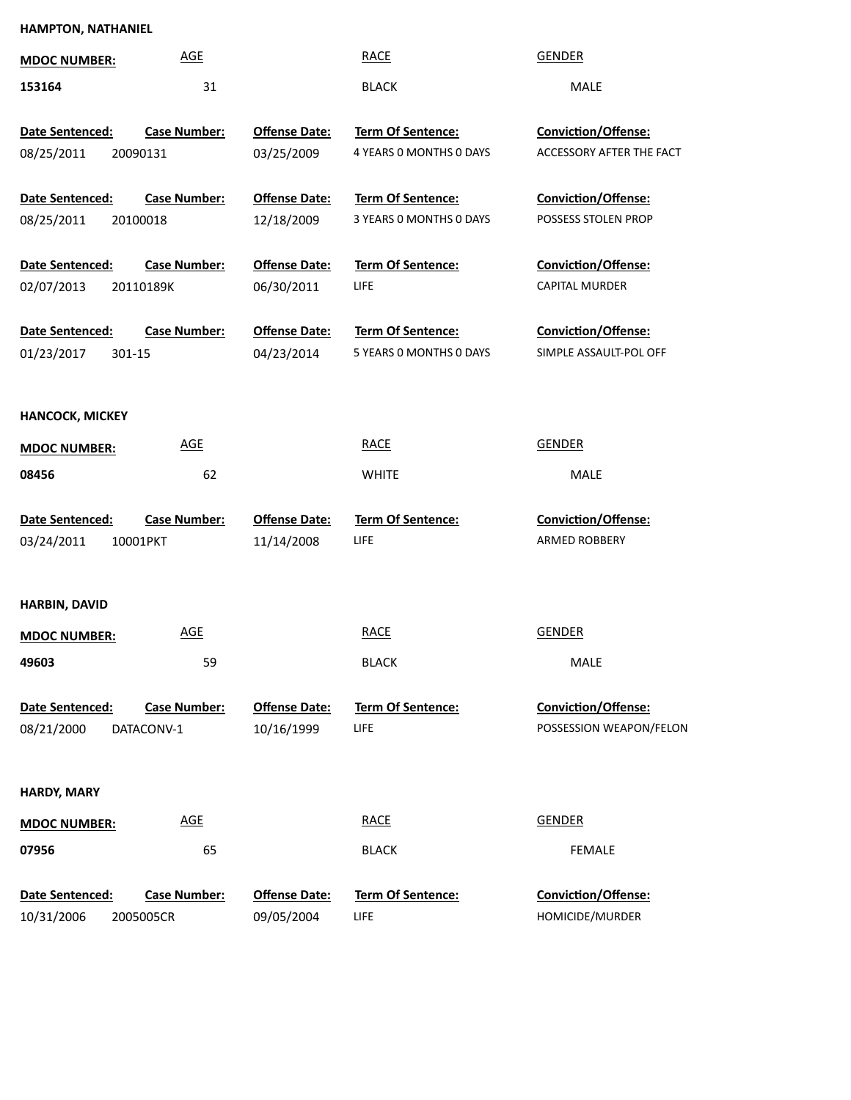### **HAMPTON, NATHANIEL**

| <b>AGE</b><br><b>MDOC NUMBER:</b>                                  |                                    | <b>RACE</b>                                  | <b>GENDER</b>                                          |
|--------------------------------------------------------------------|------------------------------------|----------------------------------------------|--------------------------------------------------------|
| 31<br>153164                                                       |                                    | <b>BLACK</b>                                 | MALE                                                   |
| Date Sentenced:<br><b>Case Number:</b><br>08/25/2011<br>20090131   | <b>Offense Date:</b><br>03/25/2009 | Term Of Sentence:<br>4 YEARS O MONTHS O DAYS | <b>Conviction/Offense:</b><br>ACCESSORY AFTER THE FACT |
| Date Sentenced:<br><b>Case Number:</b><br>08/25/2011<br>20100018   | <b>Offense Date:</b><br>12/18/2009 | Term Of Sentence:<br>3 YEARS 0 MONTHS 0 DAYS | Conviction/Offense:<br>POSSESS STOLEN PROP             |
| Date Sentenced:<br><b>Case Number:</b><br>02/07/2013<br>20110189K  | <b>Offense Date:</b><br>06/30/2011 | Term Of Sentence:<br>LIFE                    | <b>Conviction/Offense:</b><br><b>CAPITAL MURDER</b>    |
| Date Sentenced:<br><b>Case Number:</b><br>01/23/2017<br>301-15     | <b>Offense Date:</b><br>04/23/2014 | Term Of Sentence:<br>5 YEARS 0 MONTHS 0 DAYS | Conviction/Offense:<br>SIMPLE ASSAULT-POL OFF          |
| <b>HANCOCK, MICKEY</b>                                             |                                    |                                              |                                                        |
| <b>AGE</b><br><b>MDOC NUMBER:</b>                                  |                                    | <b>RACE</b>                                  | <b>GENDER</b>                                          |
| 62<br>08456                                                        |                                    | <b>WHITE</b>                                 | MALE                                                   |
| Date Sentenced:<br><b>Case Number:</b><br>03/24/2011<br>10001PKT   | <b>Offense Date:</b><br>11/14/2008 | Term Of Sentence:<br>LIFE                    | <b>Conviction/Offense:</b><br>ARMED ROBBERY            |
| <b>HARBIN, DAVID</b>                                               |                                    |                                              |                                                        |
| <b>AGE</b><br><b>MDOC NUMBER:</b>                                  |                                    | <b>RACE</b>                                  | <b>GENDER</b>                                          |
| 49603<br>59                                                        |                                    | <b>BLACK</b>                                 | MALE                                                   |
| Date Sentenced:<br><b>Case Number:</b><br>08/21/2000<br>DATACONV-1 | <b>Offense Date:</b><br>10/16/1999 | <b>Term Of Sentence:</b><br><b>LIFE</b>      | Conviction/Offense:<br>POSSESSION WEAPON/FELON         |
| <b>HARDY, MARY</b>                                                 |                                    |                                              |                                                        |
| <b>AGE</b><br><b>MDOC NUMBER:</b>                                  |                                    | <b>RACE</b>                                  | <b>GENDER</b>                                          |
| 07956<br>65                                                        |                                    | <b>BLACK</b>                                 | <b>FEMALE</b>                                          |
| Date Sentenced:<br><b>Case Number:</b><br>10/31/2006<br>2005005CR  | <b>Offense Date:</b><br>09/05/2004 | <b>Term Of Sentence:</b><br><b>LIFE</b>      | Conviction/Offense:<br>HOMICIDE/MURDER                 |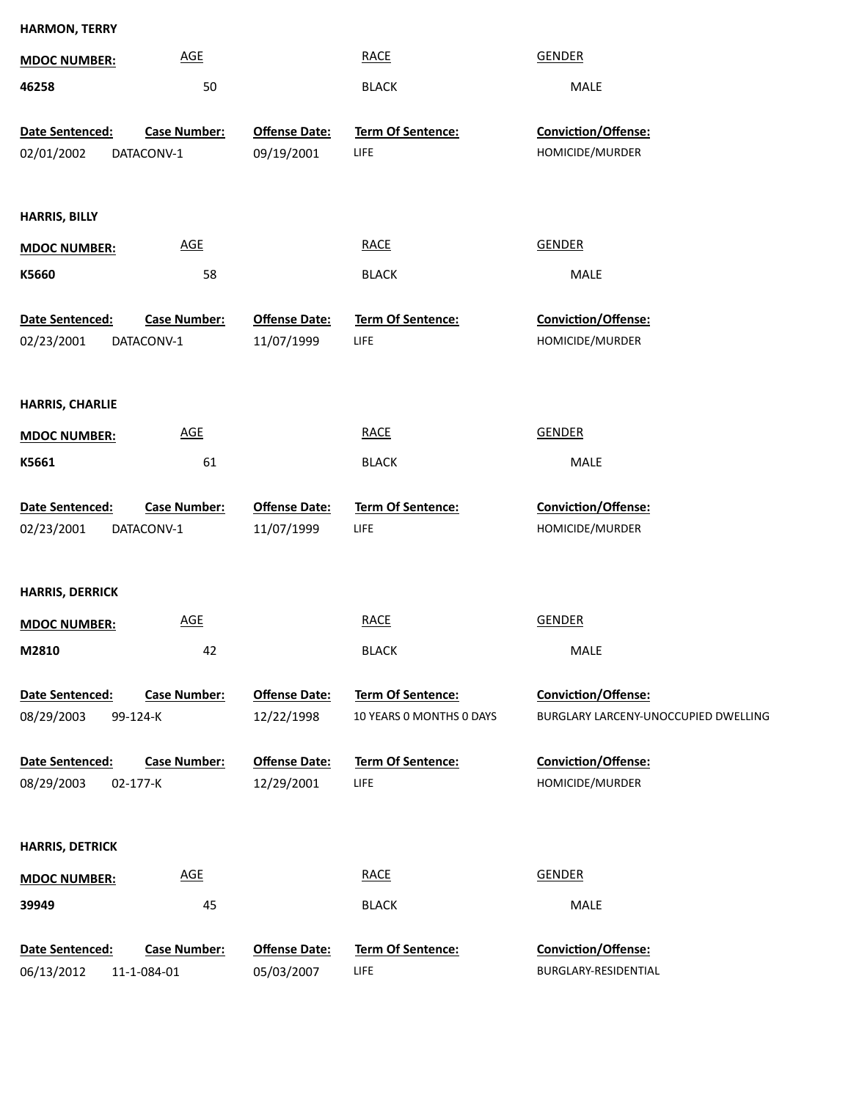| <b>HARMON, TERRY</b>   |                     |                      |                          |                                      |
|------------------------|---------------------|----------------------|--------------------------|--------------------------------------|
| <b>MDOC NUMBER:</b>    | <b>AGE</b>          |                      | <b>RACE</b>              | <b>GENDER</b>                        |
| 46258                  | 50                  |                      | <b>BLACK</b>             | MALE                                 |
| Date Sentenced:        | <b>Case Number:</b> | <b>Offense Date:</b> | Term Of Sentence:        | Conviction/Offense:                  |
| 02/01/2002             | DATACONV-1          | 09/19/2001           | <b>LIFE</b>              | HOMICIDE/MURDER                      |
|                        |                     |                      |                          |                                      |
| <b>HARRIS, BILLY</b>   |                     |                      |                          |                                      |
| <b>MDOC NUMBER:</b>    | AGE                 |                      | <b>RACE</b>              | <b>GENDER</b>                        |
| K5660                  | 58                  |                      | <b>BLACK</b>             | MALE                                 |
| Date Sentenced:        | <b>Case Number:</b> | <b>Offense Date:</b> | Term Of Sentence:        | Conviction/Offense:                  |
| 02/23/2001             | DATACONV-1          | 11/07/1999           | <b>LIFE</b>              | HOMICIDE/MURDER                      |
|                        |                     |                      |                          |                                      |
| <b>HARRIS, CHARLIE</b> |                     |                      |                          |                                      |
| <b>MDOC NUMBER:</b>    | AGE                 |                      | <b>RACE</b>              | <b>GENDER</b>                        |
| K5661                  | 61                  |                      | <b>BLACK</b>             | MALE                                 |
|                        |                     |                      |                          |                                      |
| Date Sentenced:        | <b>Case Number:</b> | <b>Offense Date:</b> | Term Of Sentence:        | Conviction/Offense:                  |
| 02/23/2001             | DATACONV-1          | 11/07/1999           | <b>LIFE</b>              | HOMICIDE/MURDER                      |
|                        |                     |                      |                          |                                      |
| <b>HARRIS, DERRICK</b> |                     |                      |                          |                                      |
| <b>MDOC NUMBER:</b>    | AGE                 |                      | <b>RACE</b>              | <b>GENDER</b>                        |
| M2810                  | 42                  |                      | <b>BLACK</b>             | MALE                                 |
| Date Sentenced:        | <b>Case Number:</b> | <b>Offense Date:</b> | Term Of Sentence:        | <b>Conviction/Offense:</b>           |
| 08/29/2003             | 99-124-K            | 12/22/1998           | 10 YEARS O MONTHS O DAYS | BURGLARY LARCENY-UNOCCUPIED DWELLING |
| Date Sentenced:        | <b>Case Number:</b> | <b>Offense Date:</b> | Term Of Sentence:        | Conviction/Offense:                  |
| 08/29/2003             | 02-177-K            | 12/29/2001           | LIFE                     | HOMICIDE/MURDER                      |
|                        |                     |                      |                          |                                      |
| <b>HARRIS, DETRICK</b> |                     |                      |                          |                                      |
| <b>MDOC NUMBER:</b>    | AGE                 |                      | <b>RACE</b>              | <b>GENDER</b>                        |
| 39949                  | 45                  |                      | <b>BLACK</b>             | MALE                                 |
| Date Sentenced:        | <b>Case Number:</b> | <b>Offense Date:</b> | Term Of Sentence:        | Conviction/Offense:                  |
| 06/13/2012             | 11-1-084-01         | 05/03/2007           | LIFE                     | BURGLARY-RESIDENTIAL                 |
|                        |                     |                      |                          |                                      |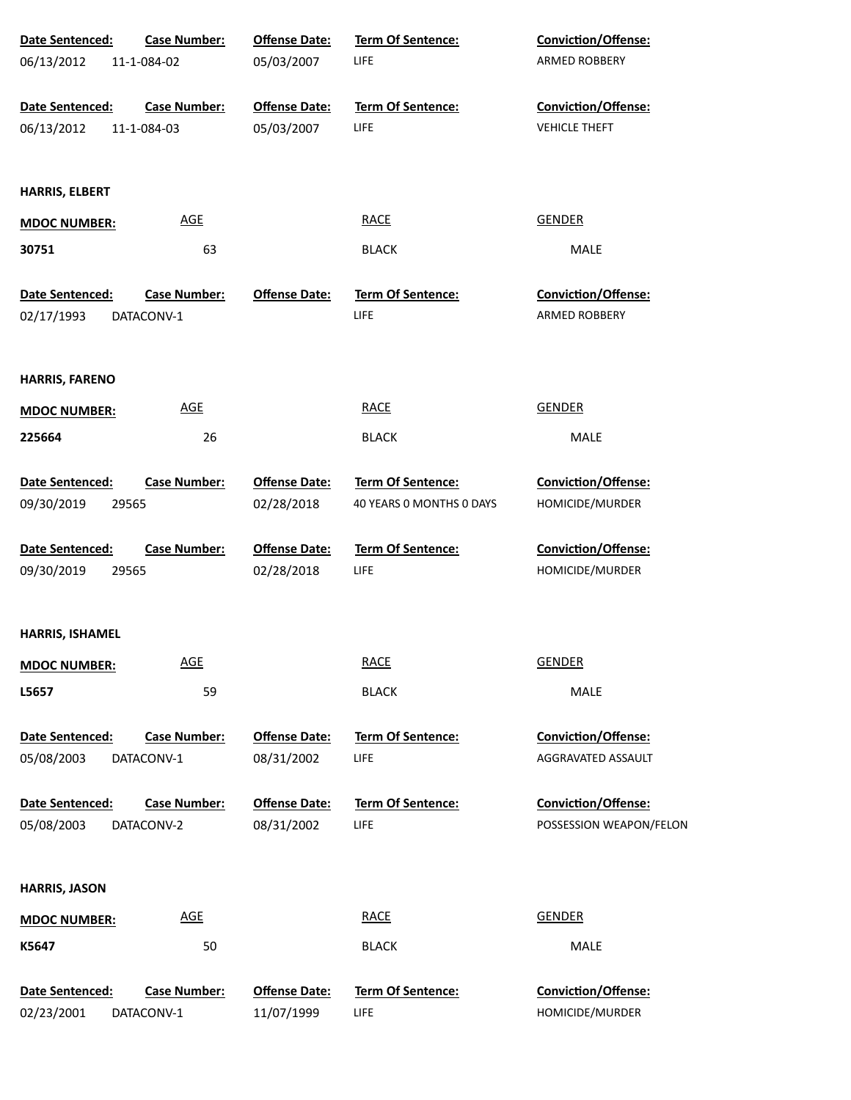| Date Sentenced:        | <b>Case Number:</b>        | <b>Offense Date:</b> | Term Of Sentence:        | Conviction/Offense:        |
|------------------------|----------------------------|----------------------|--------------------------|----------------------------|
| 06/13/2012             | 11-1-084-02                | 05/03/2007           | LIFE                     | ARMED ROBBERY              |
|                        |                            |                      |                          |                            |
| Date Sentenced:        | <b>Case Number:</b>        | <b>Offense Date:</b> | Term Of Sentence:        | Conviction/Offense:        |
| 06/13/2012             | 11-1-084-03                | 05/03/2007           | LIFE                     | <b>VEHICLE THEFT</b>       |
|                        |                            |                      |                          |                            |
| <b>HARRIS, ELBERT</b>  |                            |                      |                          |                            |
| <b>MDOC NUMBER:</b>    | <b>AGE</b>                 |                      | <b>RACE</b>              | <b>GENDER</b>              |
| 30751                  | 63                         |                      | <b>BLACK</b>             | <b>MALE</b>                |
|                        |                            |                      |                          |                            |
| Date Sentenced:        | <b>Case Number:</b>        | <b>Offense Date:</b> | <b>Term Of Sentence:</b> | <b>Conviction/Offense:</b> |
| 02/17/1993             | DATACONV-1                 |                      | LIFE                     | ARMED ROBBERY              |
|                        |                            |                      |                          |                            |
| <b>HARRIS, FARENO</b>  |                            |                      |                          |                            |
| <b>MDOC NUMBER:</b>    | <u>AGE</u>                 |                      | <b>RACE</b>              | <b>GENDER</b>              |
| 225664                 | 26                         |                      | <b>BLACK</b>             | MALE                       |
|                        |                            |                      |                          |                            |
| Date Sentenced:        | <b>Case Number:</b>        | <b>Offense Date:</b> | Term Of Sentence:        | Conviction/Offense:        |
| 09/30/2019             | 29565                      | 02/28/2018           | 40 YEARS 0 MONTHS 0 DAYS | HOMICIDE/MURDER            |
|                        |                            |                      |                          |                            |
| Date Sentenced:        | <b>Case Number:</b>        | <b>Offense Date:</b> | Term Of Sentence:        | Conviction/Offense:        |
| 09/30/2019             | 29565                      | 02/28/2018           | <b>LIFE</b>              | HOMICIDE/MURDER            |
|                        |                            |                      |                          |                            |
| HARRIS, ISHAMEL        |                            |                      |                          |                            |
| <b>MDOC NUMBER:</b>    | $\underline{\mathsf{AGE}}$ |                      | <b>RACE</b>              | <b>GENDER</b>              |
| L5657                  | 59                         |                      | <b>BLACK</b>             | MALE                       |
|                        |                            |                      |                          |                            |
| <b>Date Sentenced:</b> | <b>Case Number:</b>        | <b>Offense Date:</b> | <b>Term Of Sentence:</b> | Conviction/Offense:        |
| 05/08/2003             | DATACONV-1                 | 08/31/2002           | <b>LIFE</b>              | AGGRAVATED ASSAULT         |
|                        |                            |                      |                          |                            |
| Date Sentenced:        | <b>Case Number:</b>        | <b>Offense Date:</b> | <b>Term Of Sentence:</b> | Conviction/Offense:        |
| 05/08/2003             | DATACONV-2                 | 08/31/2002           | <b>LIFE</b>              | POSSESSION WEAPON/FELON    |
|                        |                            |                      |                          |                            |
| <b>HARRIS, JASON</b>   |                            |                      |                          |                            |
| <b>MDOC NUMBER:</b>    | <u>AGE</u>                 |                      | <b>RACE</b>              | <b>GENDER</b>              |
| K5647                  | 50                         |                      | <b>BLACK</b>             | <b>MALE</b>                |
| Date Sentenced:        | <b>Case Number:</b>        | <b>Offense Date:</b> | Term Of Sentence:        | Conviction/Offense:        |
| 02/23/2001             | DATACONV-1                 | 11/07/1999           | <b>LIFE</b>              | HOMICIDE/MURDER            |
|                        |                            |                      |                          |                            |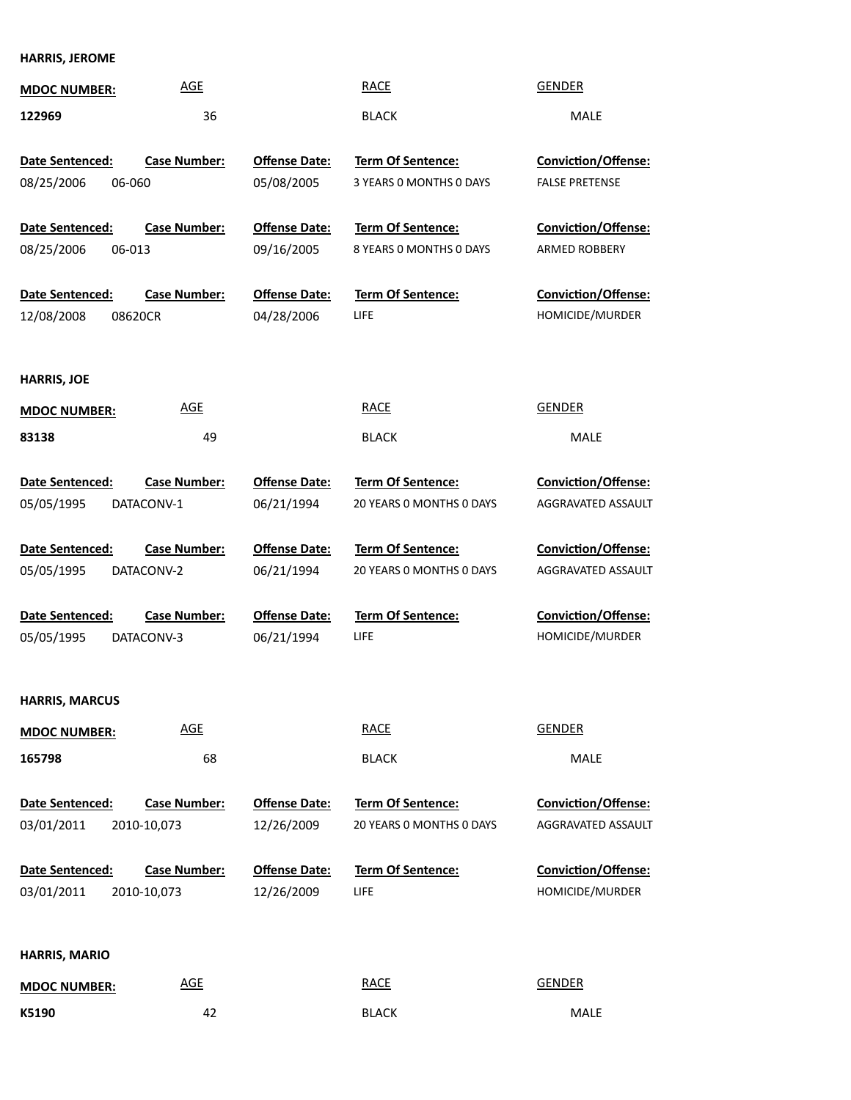### **HARRIS, JEROME**

| <b>MDOC NUMBER:</b>    | <b>AGE</b>          |                      | <b>RACE</b>              | <b>GENDER</b>              |
|------------------------|---------------------|----------------------|--------------------------|----------------------------|
| 122969                 | 36                  |                      | <b>BLACK</b>             | MALE                       |
|                        |                     |                      |                          |                            |
| <b>Date Sentenced:</b> | <b>Case Number:</b> | <b>Offense Date:</b> | <b>Term Of Sentence:</b> | Conviction/Offense:        |
| 08/25/2006<br>06-060   |                     | 05/08/2005           | 3 YEARS O MONTHS O DAYS  | <b>FALSE PRETENSE</b>      |
| <b>Date Sentenced:</b> | <b>Case Number:</b> | <b>Offense Date:</b> | <b>Term Of Sentence:</b> | Conviction/Offense:        |
| 08/25/2006<br>06-013   |                     | 09/16/2005           | 8 YEARS 0 MONTHS 0 DAYS  | <b>ARMED ROBBERY</b>       |
| Date Sentenced:        | <b>Case Number:</b> | <b>Offense Date:</b> | <b>Term Of Sentence:</b> | Conviction/Offense:        |
| 12/08/2008             | 08620CR             | 04/28/2006           | LIFE                     | HOMICIDE/MURDER            |
| <b>HARRIS, JOE</b>     |                     |                      |                          |                            |
| <b>MDOC NUMBER:</b>    | <b>AGE</b>          |                      | <b>RACE</b>              | GENDER                     |
| 83138                  | 49                  |                      | <b>BLACK</b>             | MALE                       |
|                        |                     |                      |                          |                            |
| Date Sentenced:        | <b>Case Number:</b> | <b>Offense Date:</b> | <b>Term Of Sentence:</b> | <b>Conviction/Offense:</b> |
| 05/05/1995             | DATACONV-1          | 06/21/1994           | 20 YEARS 0 MONTHS 0 DAYS | AGGRAVATED ASSAULT         |
| Date Sentenced:        | <b>Case Number:</b> | <b>Offense Date:</b> | <b>Term Of Sentence:</b> | <b>Conviction/Offense:</b> |
| 05/05/1995             | DATACONV-2          | 06/21/1994           | 20 YEARS 0 MONTHS 0 DAYS | AGGRAVATED ASSAULT         |
| Date Sentenced:        | <b>Case Number:</b> | <b>Offense Date:</b> | <b>Term Of Sentence:</b> | Conviction/Offense:        |
| 05/05/1995             | DATACONV-3          | 06/21/1994           | LIFE                     | HOMICIDE/MURDER            |
|                        |                     |                      |                          |                            |
| <b>HARRIS, MARCUS</b>  |                     |                      |                          |                            |
| <b>MDOC NUMBER:</b>    | <b>AGE</b>          |                      | <b>RACE</b>              | <b>GENDER</b>              |
| 165798                 | 68                  |                      | <b>BLACK</b>             | MALE                       |
| Date Sentenced:        | <b>Case Number:</b> | <b>Offense Date:</b> | Term Of Sentence:        | <b>Conviction/Offense:</b> |
| 03/01/2011             | 2010-10,073         | 12/26/2009           | 20 YEARS 0 MONTHS 0 DAYS | AGGRAVATED ASSAULT         |
| Date Sentenced:        | <b>Case Number:</b> | <b>Offense Date:</b> | Term Of Sentence:        | Conviction/Offense:        |
| 03/01/2011             | 2010-10,073         | 12/26/2009           | LIFE                     | HOMICIDE/MURDER            |
|                        |                     |                      |                          |                            |
| <b>HARRIS, MARIO</b>   |                     |                      |                          |                            |
| <b>MDOC NUMBER:</b>    | <b>AGE</b>          |                      | <b>RACE</b>              | <b>GENDER</b>              |
| K5190                  | 42                  |                      | <b>BLACK</b>             | MALE                       |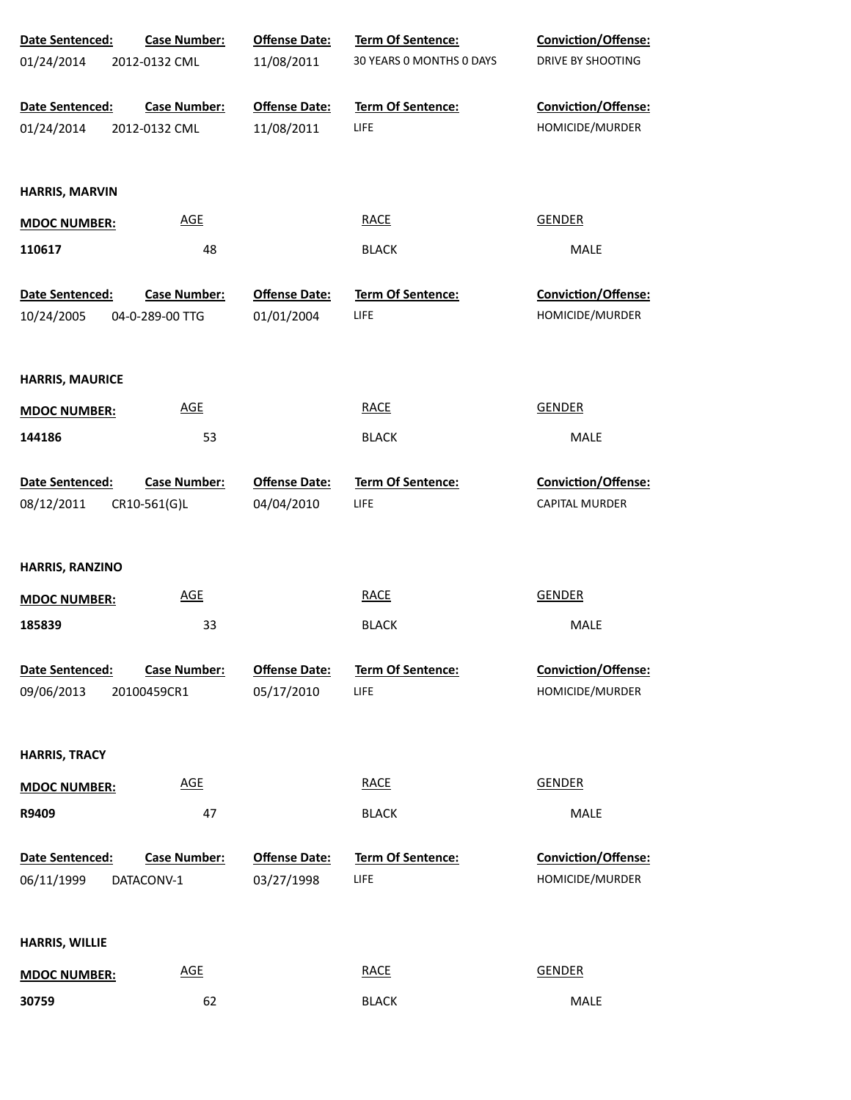| Date Sentenced:        | <b>Case Number:</b>        | <b>Offense Date:</b> | Term Of Sentence:        | <b>Conviction/Offense:</b> |
|------------------------|----------------------------|----------------------|--------------------------|----------------------------|
| 01/24/2014             | 2012-0132 CML              | 11/08/2011           | 30 YEARS 0 MONTHS 0 DAYS | DRIVE BY SHOOTING          |
| Date Sentenced:        | <b>Case Number:</b>        | <b>Offense Date:</b> | Term Of Sentence:        | Conviction/Offense:        |
| 01/24/2014             | 2012-0132 CML              | 11/08/2011           | LIFE                     | HOMICIDE/MURDER            |
| HARRIS, MARVIN         |                            |                      |                          |                            |
| <b>MDOC NUMBER:</b>    | $\underline{\mathsf{AGE}}$ |                      | <b>RACE</b>              | <b>GENDER</b>              |
| 110617                 | 48                         |                      | <b>BLACK</b>             | MALE                       |
| Date Sentenced:        | <b>Case Number:</b>        | <b>Offense Date:</b> | Term Of Sentence:        | Conviction/Offense:        |
| 10/24/2005             | 04-0-289-00 TTG            | 01/01/2004           | LIFE                     | HOMICIDE/MURDER            |
| <b>HARRIS, MAURICE</b> |                            |                      |                          |                            |
| <b>MDOC NUMBER:</b>    | $\underline{\mathsf{AGE}}$ |                      | <b>RACE</b>              | <b>GENDER</b>              |
| 144186                 | 53                         |                      | <b>BLACK</b>             | MALE                       |
| Date Sentenced:        | <b>Case Number:</b>        | <b>Offense Date:</b> | Term Of Sentence:        | Conviction/Offense:        |
| 08/12/2011             | CR10-561(G)L               | 04/04/2010           | <b>LIFE</b>              | CAPITAL MURDER             |
| HARRIS, RANZINO        |                            |                      |                          |                            |
| <b>MDOC NUMBER:</b>    | <b>AGE</b>                 |                      | <b>RACE</b>              | <b>GENDER</b>              |
| 185839                 | 33                         |                      | <b>BLACK</b>             | MALE                       |
| Date Sentenced:        | <b>Case Number:</b>        | <b>Offense Date:</b> | Term Of Sentence:        | Conviction/Offense:        |
| 09/06/2013             | 20100459CR1                | 05/17/2010           | LIFE                     | HOMICIDE/MURDER            |
| <b>HARRIS, TRACY</b>   |                            |                      |                          |                            |
| <b>MDOC NUMBER:</b>    | $\underline{\mathsf{AGE}}$ |                      | <b>RACE</b>              | <b>GENDER</b>              |
| R9409                  | 47                         |                      | <b>BLACK</b>             | <b>MALE</b>                |
| Date Sentenced:        | <b>Case Number:</b>        | <b>Offense Date:</b> | Term Of Sentence:        | Conviction/Offense:        |
| 06/11/1999             | DATACONV-1                 | 03/27/1998           | <b>LIFE</b>              | HOMICIDE/MURDER            |
| <b>HARRIS, WILLIE</b>  |                            |                      |                          |                            |
| <b>MDOC NUMBER:</b>    | <b>AGE</b>                 |                      | <b>RACE</b>              | <b>GENDER</b>              |
| 30759                  | 62                         |                      | <b>BLACK</b>             | MALE                       |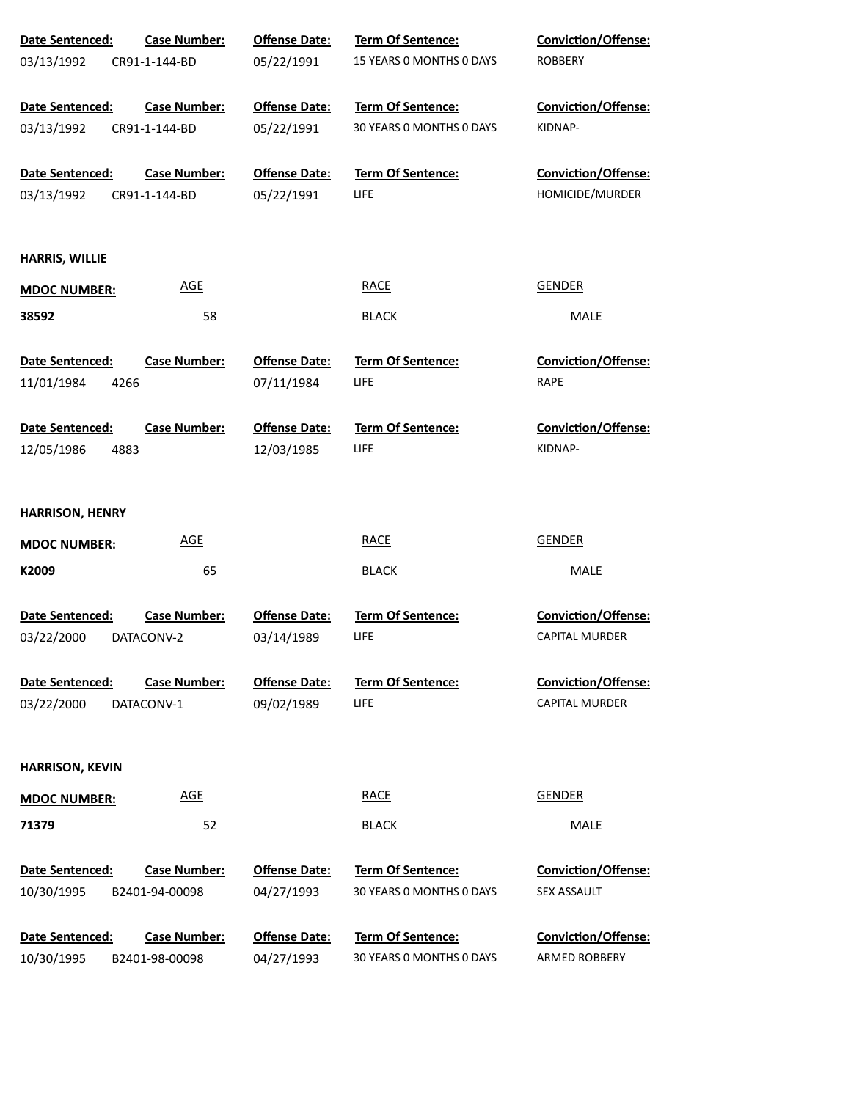| Date Sentenced:        | <b>Case Number:</b> | <b>Offense Date:</b> | Term Of Sentence:        | <b>Conviction/Offense:</b> |
|------------------------|---------------------|----------------------|--------------------------|----------------------------|
| 03/13/1992             | CR91-1-144-BD       | 05/22/1991           | 15 YEARS 0 MONTHS 0 DAYS | <b>ROBBERY</b>             |
|                        |                     |                      |                          |                            |
| Date Sentenced:        | <b>Case Number:</b> | <b>Offense Date:</b> | <b>Term Of Sentence:</b> | <b>Conviction/Offense:</b> |
| 03/13/1992             | CR91-1-144-BD       | 05/22/1991           | 30 YEARS 0 MONTHS 0 DAYS | KIDNAP-                    |
| Date Sentenced:        | <b>Case Number:</b> | <b>Offense Date:</b> | Term Of Sentence:        | Conviction/Offense:        |
| 03/13/1992             | CR91-1-144-BD       | 05/22/1991           | LIFE                     | HOMICIDE/MURDER            |
| HARRIS, WILLIE         |                     |                      |                          |                            |
| <b>MDOC NUMBER:</b>    | <b>AGE</b>          |                      | <b>RACE</b>              | <b>GENDER</b>              |
| 38592                  | 58                  |                      | <b>BLACK</b>             | <b>MALE</b>                |
| Date Sentenced:        | <b>Case Number:</b> | <b>Offense Date:</b> | <b>Term Of Sentence:</b> | <b>Conviction/Offense:</b> |
| 11/01/1984<br>4266     |                     | 07/11/1984           | LIFE                     | RAPE                       |
| Date Sentenced:        | <b>Case Number:</b> | <b>Offense Date:</b> | Term Of Sentence:        | <b>Conviction/Offense:</b> |
| 12/05/1986<br>4883     |                     | 12/03/1985           | LIFE                     | KIDNAP-                    |
|                        |                     |                      |                          |                            |
| <b>HARRISON, HENRY</b> |                     |                      |                          |                            |
| <b>MDOC NUMBER:</b>    | <b>AGE</b>          |                      | <b>RACE</b>              | <b>GENDER</b>              |
| K2009                  | 65                  |                      | <b>BLACK</b>             | MALE                       |
| Date Sentenced:        | <b>Case Number:</b> | <b>Offense Date:</b> | <b>Term Of Sentence:</b> | <b>Conviction/Offense:</b> |
| 03/22/2000             | DATACONV-2          | 03/14/1989           | LIFE                     | <b>CAPITAL MURDER</b>      |
| Date Sentenced:        | <b>Case Number:</b> | <b>Offense Date:</b> | Term Of Sentence:        | <b>Conviction/Offense:</b> |
| 03/22/2000             | DATACONV-1          | 09/02/1989           | LIFE                     | <b>CAPITAL MURDER</b>      |
|                        |                     |                      |                          |                            |
| <b>HARRISON, KEVIN</b> |                     |                      |                          |                            |
| <b>MDOC NUMBER:</b>    | <b>AGE</b>          |                      | <b>RACE</b>              | <b>GENDER</b>              |
| 71379                  | 52                  |                      | <b>BLACK</b>             | MALE                       |
| <b>Date Sentenced:</b> | <b>Case Number:</b> | <b>Offense Date:</b> | Term Of Sentence:        | <b>Conviction/Offense:</b> |
| 10/30/1995             | B2401-94-00098      | 04/27/1993           | 30 YEARS 0 MONTHS 0 DAYS | SEX ASSAULT                |
| Date Sentenced:        | <b>Case Number:</b> | <b>Offense Date:</b> | Term Of Sentence:        | Conviction/Offense:        |
| 10/30/1995             | B2401-98-00098      | 04/27/1993           | 30 YEARS 0 MONTHS 0 DAYS | ARMED ROBBERY              |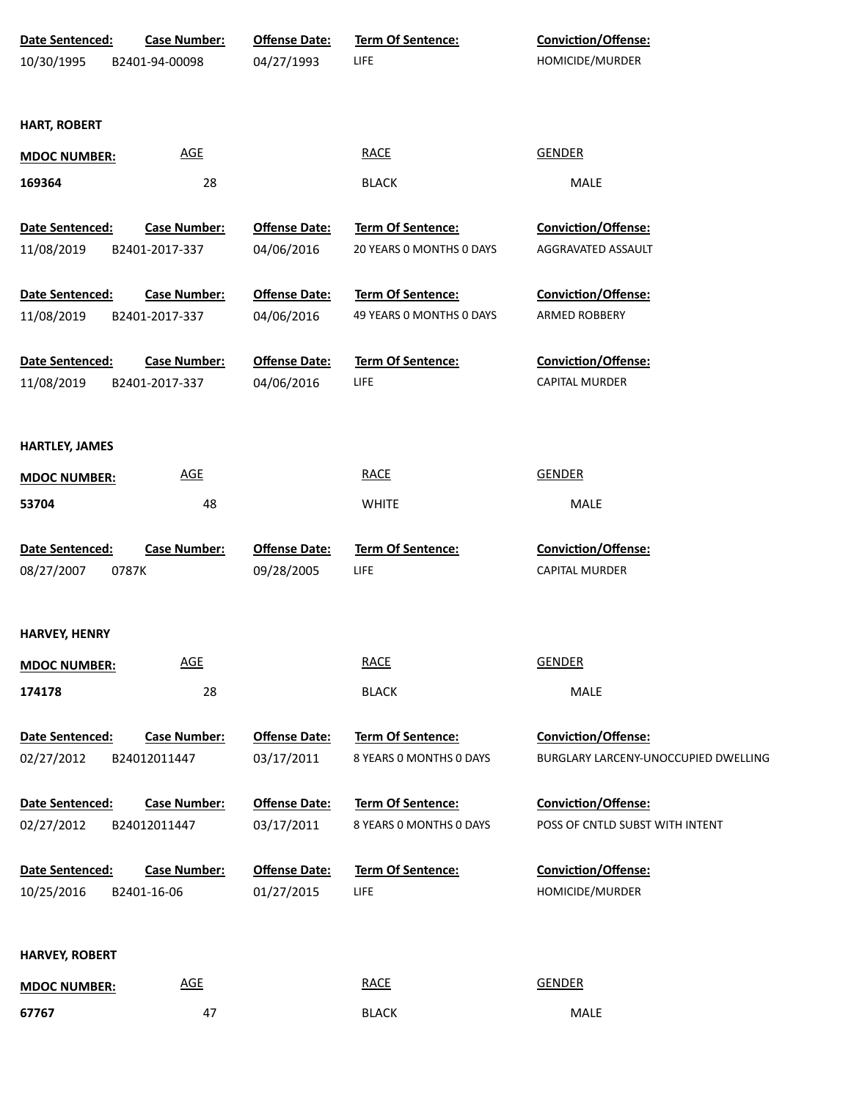| Date Sentenced:<br><b>Case Number:</b> | <b>Offense Date:</b> | <b>Term Of Sentence:</b> | Conviction/Offense:                  |
|----------------------------------------|----------------------|--------------------------|--------------------------------------|
| 10/30/1995<br>B2401-94-00098           | 04/27/1993           | <b>LIFE</b>              | HOMICIDE/MURDER                      |
| <b>HART, ROBERT</b>                    |                      |                          |                                      |
| <b>AGE</b><br><b>MDOC NUMBER:</b>      |                      | <b>RACE</b>              | <b>GENDER</b>                        |
| 28<br>169364                           |                      | <b>BLACK</b>             | MALE                                 |
| Date Sentenced:<br><b>Case Number:</b> | <b>Offense Date:</b> | Term Of Sentence:        | <b>Conviction/Offense:</b>           |
| 11/08/2019<br>B2401-2017-337           | 04/06/2016           | 20 YEARS 0 MONTHS 0 DAYS | AGGRAVATED ASSAULT                   |
| Date Sentenced:<br><b>Case Number:</b> | <b>Offense Date:</b> | <b>Term Of Sentence:</b> | <b>Conviction/Offense:</b>           |
| 11/08/2019<br>B2401-2017-337           | 04/06/2016           | 49 YEARS 0 MONTHS 0 DAYS | ARMED ROBBERY                        |
| Date Sentenced:<br><b>Case Number:</b> | <b>Offense Date:</b> | Term Of Sentence:        | Conviction/Offense:                  |
| 11/08/2019<br>B2401-2017-337           | 04/06/2016           | <b>LIFE</b>              | CAPITAL MURDER                       |
|                                        |                      |                          |                                      |
| <b>HARTLEY, JAMES</b>                  |                      |                          |                                      |
| <b>AGE</b><br><b>MDOC NUMBER:</b>      |                      | <b>RACE</b>              | <b>GENDER</b>                        |
| 48<br>53704                            |                      | <b>WHITE</b>             | MALE                                 |
| Date Sentenced:<br><b>Case Number:</b> | <b>Offense Date:</b> | <b>Term Of Sentence:</b> | Conviction/Offense:                  |
| 08/27/2007<br>0787K                    | 09/28/2005           | <b>LIFE</b>              | CAPITAL MURDER                       |
| <b>HARVEY, HENRY</b>                   |                      |                          |                                      |
| <b>AGE</b><br><b>MDOC NUMBER:</b>      |                      | <b>RACE</b>              | <b>GENDER</b>                        |
| 28<br>174178                           |                      | <b>BLACK</b>             | MALE                                 |
| <b>Case Number:</b><br>Date Sentenced: | <b>Offense Date:</b> | Term Of Sentence:        | Conviction/Offense:                  |
| 02/27/2012<br>B24012011447             | 03/17/2011           | 8 YEARS O MONTHS O DAYS  | BURGLARY LARCENY-UNOCCUPIED DWELLING |
| Date Sentenced:<br><b>Case Number:</b> | <b>Offense Date:</b> | Term Of Sentence:        | Conviction/Offense:                  |
| 02/27/2012<br>B24012011447             | 03/17/2011           | 8 YEARS O MONTHS O DAYS  | POSS OF CNTLD SUBST WITH INTENT      |
| Date Sentenced:<br><b>Case Number:</b> | <b>Offense Date:</b> | Term Of Sentence:        | Conviction/Offense:                  |
| B2401-16-06<br>10/25/2016              | 01/27/2015           | <b>LIFE</b>              | HOMICIDE/MURDER                      |
|                                        |                      |                          |                                      |
| <b>HARVEY, ROBERT</b><br><b>AGE</b>    |                      | <b>RACE</b>              | <b>GENDER</b>                        |
| <b>MDOC NUMBER:</b><br>67767<br>47     |                      | <b>BLACK</b>             | MALE                                 |
|                                        |                      |                          |                                      |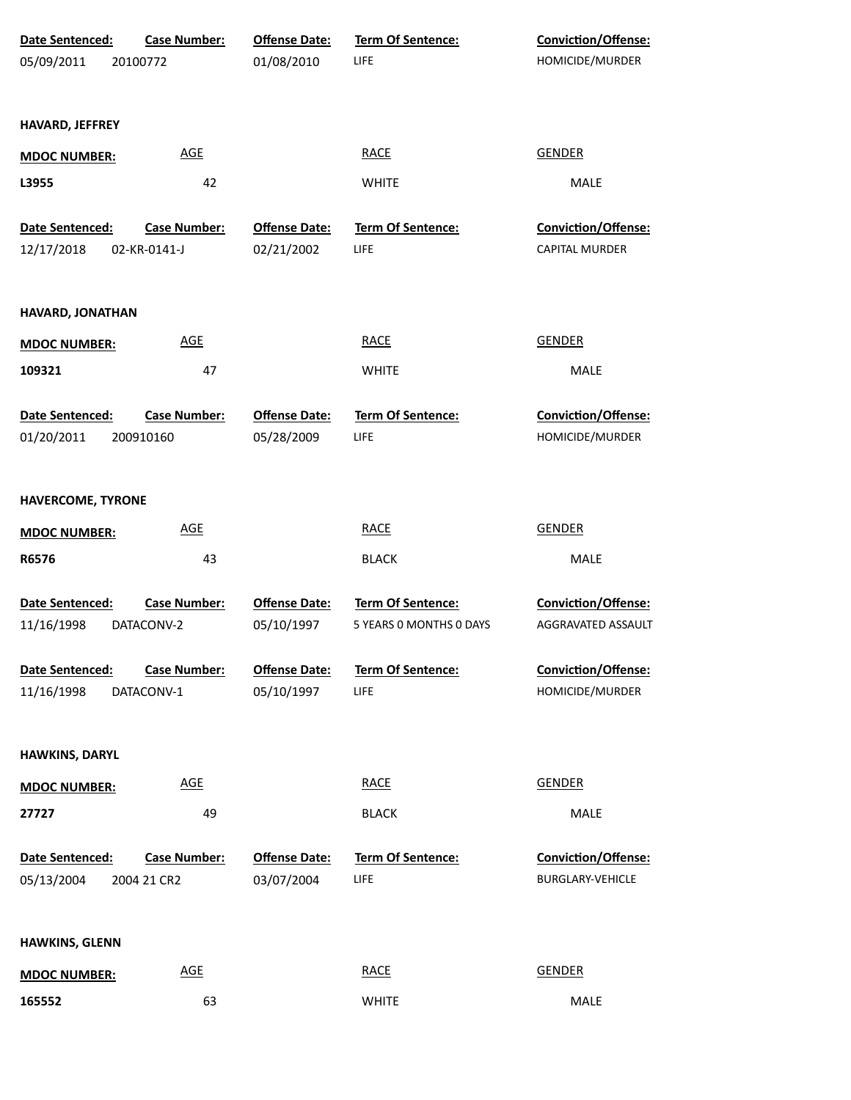| Date Sentenced:<br>05/09/2011        | <b>Case Number:</b><br>20100772    | <b>Offense Date:</b><br>01/08/2010 | <b>Term Of Sentence:</b><br>LIFE             | <b>Conviction/Offense:</b><br>HOMICIDE/MURDER  |  |
|--------------------------------------|------------------------------------|------------------------------------|----------------------------------------------|------------------------------------------------|--|
| HAVARD, JEFFREY                      |                                    |                                    |                                              |                                                |  |
| <b>MDOC NUMBER:</b>                  | <b>AGE</b>                         |                                    | <b>RACE</b>                                  | <b>GENDER</b>                                  |  |
| L3955                                | 42                                 |                                    | <b>WHITE</b>                                 | MALE                                           |  |
| Date Sentenced:                      | <b>Case Number:</b>                | <b>Offense Date:</b>               | <b>Term Of Sentence:</b>                     | Conviction/Offense:                            |  |
| 12/17/2018                           | 02-KR-0141-J                       | 02/21/2002                         | LIFE                                         | <b>CAPITAL MURDER</b>                          |  |
| HAVARD, JONATHAN                     |                                    |                                    |                                              |                                                |  |
| <b>MDOC NUMBER:</b>                  | <b>AGE</b>                         |                                    | <b>RACE</b>                                  | <b>GENDER</b>                                  |  |
| 109321                               | 47                                 |                                    | <b>WHITE</b>                                 | <b>MALE</b>                                    |  |
| Date Sentenced:<br>01/20/2011        | <b>Case Number:</b><br>200910160   | <b>Offense Date:</b><br>05/28/2009 | Term Of Sentence:<br><b>LIFE</b>             | Conviction/Offense:<br>HOMICIDE/MURDER         |  |
| HAVERCOME, TYRONE                    |                                    |                                    |                                              |                                                |  |
| <b>MDOC NUMBER:</b>                  | <b>AGE</b>                         |                                    | <b>RACE</b>                                  | <b>GENDER</b>                                  |  |
| R6576                                | 43                                 |                                    | <b>BLACK</b>                                 | MALE                                           |  |
| <b>Date Sentenced:</b><br>11/16/1998 | <b>Case Number:</b><br>DATACONV-2  | <b>Offense Date:</b><br>05/10/1997 | Term Of Sentence:<br>5 YEARS O MONTHS O DAYS | Conviction/Offense:<br>AGGRAVATED ASSAULT      |  |
| Date Sentenced:<br>11/16/1998        | <b>Case Number:</b><br>DATACONV-1  | <b>Offense Date:</b><br>05/10/1997 | <b>Term Of Sentence:</b><br>LIFE             | <b>Conviction/Offense:</b><br>HOMICIDE/MURDER  |  |
| <b>HAWKINS, DARYL</b>                |                                    |                                    |                                              |                                                |  |
| <b>MDOC NUMBER:</b>                  | <b>AGE</b>                         |                                    | <b>RACE</b>                                  | <b>GENDER</b>                                  |  |
| 27727                                | 49                                 |                                    | <b>BLACK</b>                                 | <b>MALE</b>                                    |  |
| Date Sentenced:<br>05/13/2004        | <b>Case Number:</b><br>2004 21 CR2 | <b>Offense Date:</b><br>03/07/2004 | Term Of Sentence:<br>LIFE                    | <b>Conviction/Offense:</b><br>BURGLARY-VEHICLE |  |
| HAWKINS, GLENN                       |                                    |                                    |                                              |                                                |  |
| <b>MDOC NUMBER:</b>                  | <b>AGE</b>                         |                                    | <b>RACE</b>                                  | <b>GENDER</b>                                  |  |
| 165552                               | 63                                 |                                    | WHITE                                        | MALE                                           |  |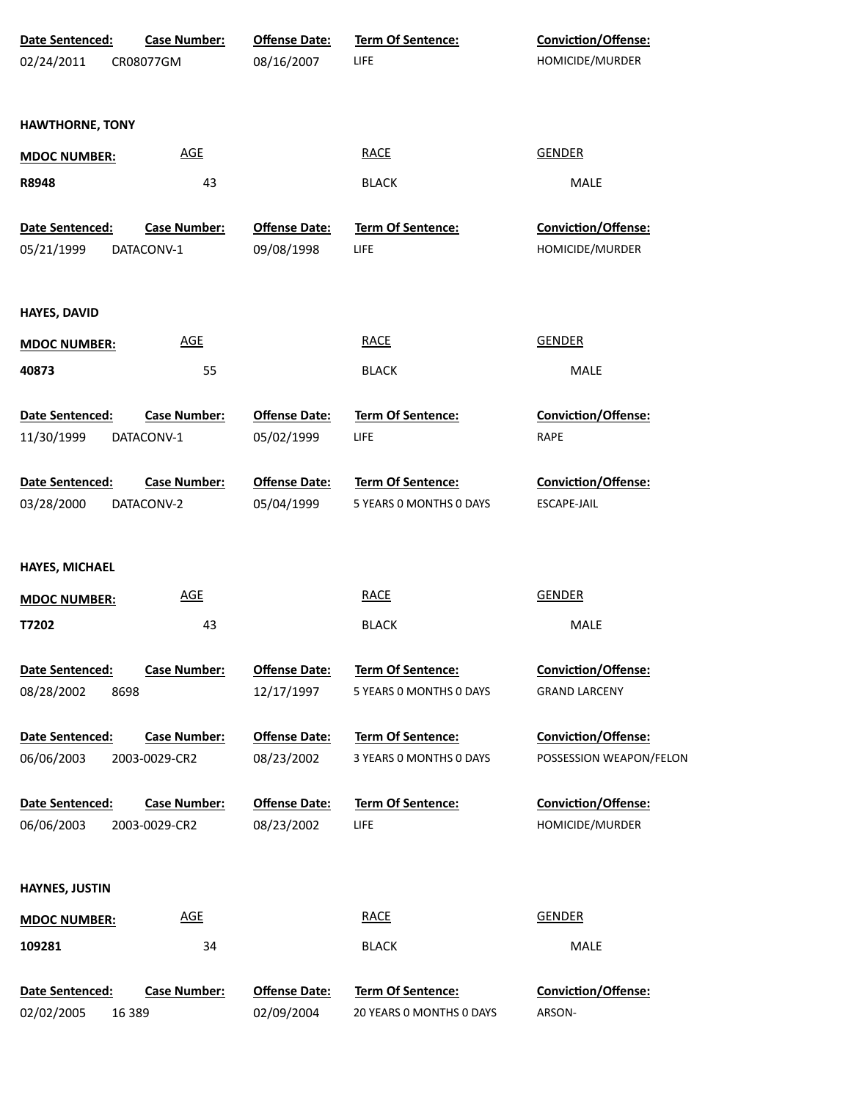| Date Sentenced:               | <b>Case Number:</b>                  | <b>Offense Date:</b>               | Term Of Sentence:                       | Conviction/Offense:                    |
|-------------------------------|--------------------------------------|------------------------------------|-----------------------------------------|----------------------------------------|
| 02/24/2011                    | CR08077GM                            | 08/16/2007                         | LIFE                                    | HOMICIDE/MURDER                        |
|                               |                                      |                                    |                                         |                                        |
|                               |                                      |                                    |                                         |                                        |
| <b>HAWTHORNE, TONY</b>        |                                      |                                    |                                         |                                        |
| <b>MDOC NUMBER:</b>           | <b>AGE</b>                           |                                    | <b>RACE</b>                             | <b>GENDER</b>                          |
| R8948                         | 43                                   |                                    | <b>BLACK</b>                            | MALE                                   |
|                               |                                      |                                    |                                         |                                        |
| Date Sentenced:               | <b>Case Number:</b>                  | <b>Offense Date:</b>               | Term Of Sentence:                       | Conviction/Offense:                    |
| 05/21/1999                    | DATACONV-1                           | 09/08/1998                         | LIFE                                    | HOMICIDE/MURDER                        |
| <b>HAYES, DAVID</b>           |                                      |                                    |                                         |                                        |
| <b>MDOC NUMBER:</b>           | <b>AGE</b>                           |                                    | <b>RACE</b>                             | <b>GENDER</b>                          |
| 40873                         | 55                                   |                                    | <b>BLACK</b>                            | MALE                                   |
|                               |                                      |                                    |                                         |                                        |
| Date Sentenced:               | <b>Case Number:</b>                  | <b>Offense Date:</b>               | <b>Term Of Sentence:</b>                | Conviction/Offense:                    |
| 11/30/1999                    | DATACONV-1                           | 05/02/1999                         | LIFE                                    | <b>RAPE</b>                            |
|                               |                                      |                                    |                                         |                                        |
| Date Sentenced:               | <b>Case Number:</b>                  | <b>Offense Date:</b>               | Term Of Sentence:                       | Conviction/Offense:                    |
| 03/28/2000                    | DATACONV-2                           | 05/04/1999                         | 5 YEARS 0 MONTHS 0 DAYS                 | ESCAPE-JAIL                            |
|                               |                                      |                                    |                                         |                                        |
| HAYES, MICHAEL                |                                      |                                    |                                         |                                        |
| <b>MDOC NUMBER:</b>           | <b>AGE</b>                           |                                    | <b>RACE</b>                             | <b>GENDER</b>                          |
|                               |                                      |                                    |                                         |                                        |
| T7202                         | 43                                   |                                    | <b>BLACK</b>                            | MALE                                   |
| Date Sentenced:               | <b>Case Number:</b>                  | <b>Offense Date:</b>               | Term Of Sentence:                       | Conviction/Offense:                    |
| 08/28/2002<br>8698            |                                      | 12/17/1997                         | 5 YEARS 0 MONTHS 0 DAYS                 | <b>GRAND LARCENY</b>                   |
|                               |                                      |                                    |                                         |                                        |
| Date Sentenced:               | <b>Case Number:</b>                  | <b>Offense Date:</b>               | Term Of Sentence:                       | <b>Conviction/Offense:</b>             |
| 06/06/2003                    | 2003-0029-CR2                        | 08/23/2002                         | 3 YEARS O MONTHS O DAYS                 | POSSESSION WEAPON/FELON                |
|                               |                                      |                                    |                                         |                                        |
| Date Sentenced:<br>06/06/2003 | <b>Case Number:</b><br>2003-0029-CR2 | <b>Offense Date:</b><br>08/23/2002 | <b>Term Of Sentence:</b><br><b>LIFE</b> | Conviction/Offense:<br>HOMICIDE/MURDER |
|                               |                                      |                                    |                                         |                                        |
| <b>HAYNES, JUSTIN</b>         |                                      |                                    |                                         |                                        |
|                               |                                      |                                    |                                         |                                        |
| <b>MDOC NUMBER:</b>           | <b>AGE</b>                           |                                    | <b>RACE</b>                             | <b>GENDER</b>                          |
| 109281                        | 34                                   |                                    | <b>BLACK</b>                            | MALE                                   |
| Date Sentenced:               | <b>Case Number:</b>                  | <b>Offense Date:</b>               | Term Of Sentence:                       | Conviction/Offense:                    |
| 02/02/2005                    | 16 389                               | 02/09/2004                         | 20 YEARS 0 MONTHS 0 DAYS                | ARSON-                                 |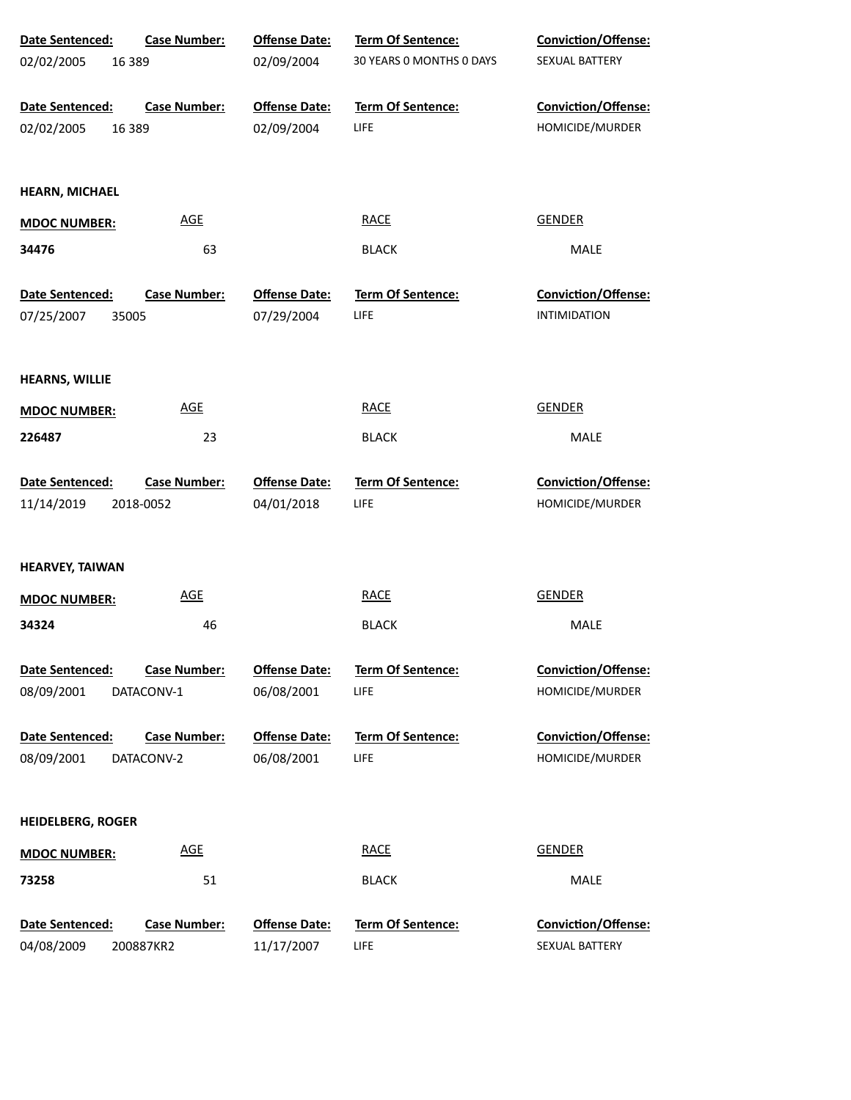| Date Sentenced:          | <b>Case Number:</b> | <b>Offense Date:</b> | <b>Term Of Sentence:</b> | Conviction/Offense:        |
|--------------------------|---------------------|----------------------|--------------------------|----------------------------|
| 02/02/2005<br>16 3 8 9   |                     | 02/09/2004           | 30 YEARS 0 MONTHS 0 DAYS | SEXUAL BATTERY             |
| Date Sentenced:          | <b>Case Number:</b> | <b>Offense Date:</b> | <b>Term Of Sentence:</b> | Conviction/Offense:        |
| 02/02/2005<br>16 3 8 9   |                     | 02/09/2004           | <b>LIFE</b>              | HOMICIDE/MURDER            |
| <b>HEARN, MICHAEL</b>    |                     |                      |                          |                            |
| <b>MDOC NUMBER:</b>      | <b>AGE</b>          |                      | <b>RACE</b>              | <b>GENDER</b>              |
| 34476                    | 63                  |                      | <b>BLACK</b>             | MALE                       |
| Date Sentenced:          | <b>Case Number:</b> | <b>Offense Date:</b> | <b>Term Of Sentence:</b> | <b>Conviction/Offense:</b> |
| 07/25/2007<br>35005      |                     | 07/29/2004           | LIFE                     | <b>INTIMIDATION</b>        |
| <b>HEARNS, WILLIE</b>    |                     |                      |                          |                            |
| <b>MDOC NUMBER:</b>      | <b>AGE</b>          |                      | <b>RACE</b>              | <b>GENDER</b>              |
| 226487                   | 23                  |                      | <b>BLACK</b>             | MALE                       |
| Date Sentenced:          | <b>Case Number:</b> | <b>Offense Date:</b> | <b>Term Of Sentence:</b> | Conviction/Offense:        |
| 11/14/2019               | 2018-0052           | 04/01/2018           | LIFE                     | HOMICIDE/MURDER            |
| <b>HEARVEY, TAIWAN</b>   |                     |                      |                          |                            |
| <b>MDOC NUMBER:</b>      | <b>AGE</b>          |                      | <b>RACE</b>              | <b>GENDER</b>              |
| 34324                    | 46                  |                      | <b>BLACK</b>             | MALE                       |
| Date Sentenced:          | <b>Case Number:</b> | <b>Offense Date:</b> | <b>Term Of Sentence:</b> | Conviction/Offense:        |
| 08/09/2001               | DATACONV-1          | 06/08/2001           | LIFE                     | HOMICIDE/MURDER            |
| Date Sentenced:          | <b>Case Number:</b> | <b>Offense Date:</b> | Term Of Sentence:        | Conviction/Offense:        |
| 08/09/2001               | DATACONV-2          | 06/08/2001           | LIFE                     | HOMICIDE/MURDER            |
| <b>HEIDELBERG, ROGER</b> |                     |                      |                          |                            |
| <b>MDOC NUMBER:</b>      | <b>AGE</b>          |                      | <b>RACE</b>              | <b>GENDER</b>              |
| 73258                    | 51                  |                      | <b>BLACK</b>             | MALE                       |
| Date Sentenced:          | <b>Case Number:</b> | <b>Offense Date:</b> | Term Of Sentence:        | Conviction/Offense:        |
| 04/08/2009               | 200887KR2           | 11/17/2007           | LIFE                     | SEXUAL BATTERY             |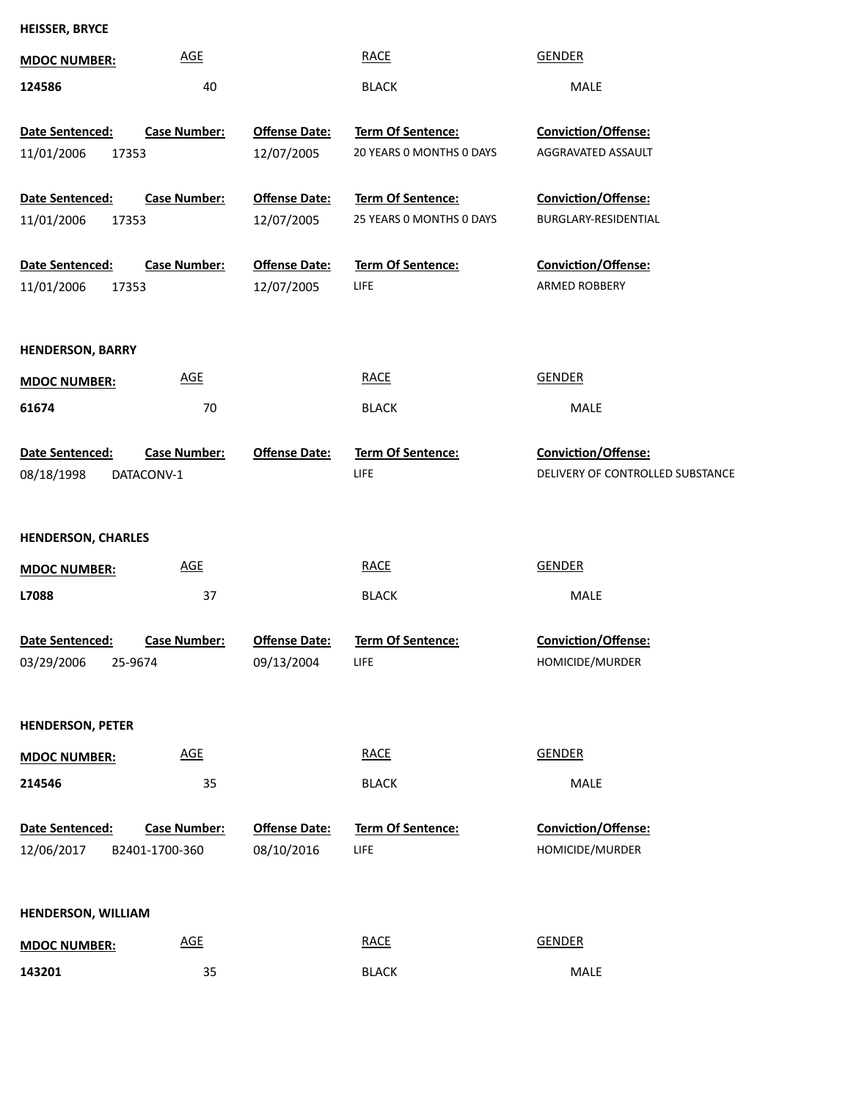**HEISSER, BRYCE**

| <b>MDOC NUMBER:</b>          | <b>AGE</b>                                  | <b>RACE</b>              | <b>GENDER</b>                    |
|------------------------------|---------------------------------------------|--------------------------|----------------------------------|
| 124586                       | 40                                          | <b>BLACK</b>             | <b>MALE</b>                      |
|                              |                                             |                          |                                  |
| Date Sentenced:              | <b>Offense Date:</b><br><b>Case Number:</b> | Term Of Sentence:        | Conviction/Offense:              |
| 11/01/2006<br>17353          | 12/07/2005                                  | 20 YEARS 0 MONTHS 0 DAYS | AGGRAVATED ASSAULT               |
| Date Sentenced:              | <b>Offense Date:</b><br><b>Case Number:</b> | Term Of Sentence:        | Conviction/Offense:              |
| 11/01/2006<br>17353          | 12/07/2005                                  | 25 YEARS 0 MONTHS 0 DAYS | BURGLARY-RESIDENTIAL             |
|                              |                                             |                          |                                  |
| Date Sentenced:              | <b>Offense Date:</b><br><b>Case Number:</b> | Term Of Sentence:        | Conviction/Offense:              |
| 11/01/2006<br>17353          | 12/07/2005                                  | LIFE                     | <b>ARMED ROBBERY</b>             |
|                              |                                             |                          |                                  |
| <b>HENDERSON, BARRY</b>      |                                             |                          |                                  |
| <b>MDOC NUMBER:</b>          | <b>AGE</b>                                  | <b>RACE</b>              | GENDER                           |
| 61674                        | 70                                          | <b>BLACK</b>             | MALE                             |
|                              |                                             |                          |                                  |
| Date Sentenced:              | <b>Case Number:</b><br><b>Offense Date:</b> | <b>Term Of Sentence:</b> | <b>Conviction/Offense:</b>       |
| 08/18/1998<br>DATACONV-1     |                                             | LIFE                     | DELIVERY OF CONTROLLED SUBSTANCE |
|                              |                                             |                          |                                  |
| <b>HENDERSON, CHARLES</b>    |                                             |                          |                                  |
| <b>MDOC NUMBER:</b>          | AGE                                         | <b>RACE</b>              | <b>GENDER</b>                    |
| L7088                        | 37                                          | <b>BLACK</b>             | MALE                             |
|                              |                                             |                          |                                  |
| Date Sentenced:              | <b>Case Number:</b><br><b>Offense Date:</b> | <b>Term Of Sentence:</b> | <b>Conviction/Offense:</b>       |
| 03/29/2006 25-9674           | 09/13/2004                                  | LIFE                     | HOMICIDE/MURDER                  |
|                              |                                             |                          |                                  |
| <b>HENDERSON, PETER</b>      |                                             |                          |                                  |
| <b>MDOC NUMBER:</b>          | <b>AGE</b>                                  | <b>RACE</b>              | <b>GENDER</b>                    |
| 214546                       | 35                                          | <b>BLACK</b>             | MALE                             |
|                              |                                             |                          |                                  |
| Date Sentenced:              | <b>Case Number:</b><br><b>Offense Date:</b> | <b>Term Of Sentence:</b> | <b>Conviction/Offense:</b>       |
| 12/06/2017<br>B2401-1700-360 | 08/10/2016                                  | <b>LIFE</b>              | HOMICIDE/MURDER                  |
|                              |                                             |                          |                                  |
| <b>HENDERSON, WILLIAM</b>    |                                             |                          |                                  |
|                              |                                             |                          |                                  |
| <b>MDOC NUMBER:</b>          | $\underline{\mathsf{AGE}}$                  | <b>RACE</b>              | <b>GENDER</b>                    |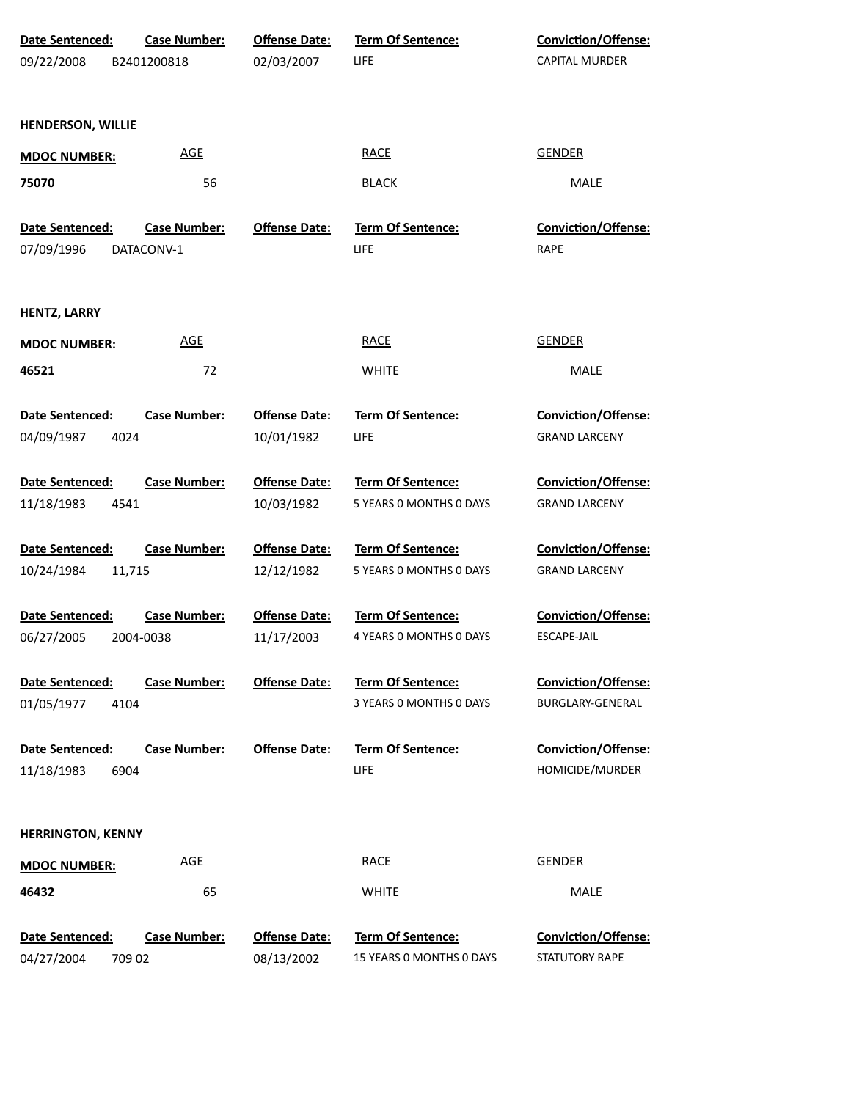| Date Sentenced:          | <b>Case Number:</b> | <b>Offense Date:</b> | Term Of Sentence:        | Conviction/Offense:        |
|--------------------------|---------------------|----------------------|--------------------------|----------------------------|
| 09/22/2008               | B2401200818         | 02/03/2007           | <b>LIFE</b>              | CAPITAL MURDER             |
|                          |                     |                      |                          |                            |
| <b>HENDERSON, WILLIE</b> |                     |                      |                          |                            |
| <b>MDOC NUMBER:</b>      | <b>AGE</b>          |                      | <b>RACE</b>              | <b>GENDER</b>              |
| 75070                    | 56                  |                      | <b>BLACK</b>             | MALE                       |
| Date Sentenced:          | <b>Case Number:</b> | <b>Offense Date:</b> | <b>Term Of Sentence:</b> | <b>Conviction/Offense:</b> |
| 07/09/1996               | DATACONV-1          |                      | <b>LIFE</b>              | <b>RAPE</b>                |
|                          |                     |                      |                          |                            |
| <b>HENTZ, LARRY</b>      |                     |                      |                          |                            |
| <b>MDOC NUMBER:</b>      | <b>AGE</b>          |                      | <b>RACE</b>              | <b>GENDER</b>              |
| 46521                    | 72                  |                      | <b>WHITE</b>             | MALE                       |
| Date Sentenced:          | <b>Case Number:</b> | <b>Offense Date:</b> | Term Of Sentence:        | Conviction/Offense:        |
| 04/09/1987<br>4024       |                     | 10/01/1982           | LIFE                     | <b>GRAND LARCENY</b>       |
|                          |                     |                      |                          |                            |
| Date Sentenced:          | <b>Case Number:</b> | <b>Offense Date:</b> | Term Of Sentence:        | Conviction/Offense:        |
| 4541<br>11/18/1983       |                     | 10/03/1982           | 5 YEARS 0 MONTHS 0 DAYS  | <b>GRAND LARCENY</b>       |
| Date Sentenced:          | <b>Case Number:</b> | <b>Offense Date:</b> | <b>Term Of Sentence:</b> | <b>Conviction/Offense:</b> |
| 10/24/1984<br>11,715     |                     | 12/12/1982           | 5 YEARS 0 MONTHS 0 DAYS  | <b>GRAND LARCENY</b>       |
|                          |                     |                      |                          |                            |
| Date Sentenced:          | <b>Case Number:</b> | <b>Offense Date:</b> | <b>Term Of Sentence:</b> | <b>Conviction/Offense:</b> |
| 06/27/2005               | 2004-0038           | 11/17/2003           | 4 YEARS 0 MONTHS 0 DAYS  | ESCAPE-JAIL                |
| Date Sentenced:          | <b>Case Number:</b> | <b>Offense Date:</b> | Term Of Sentence:        | Conviction/Offense:        |
| 01/05/1977<br>4104       |                     |                      | 3 YEARS 0 MONTHS 0 DAYS  | BURGLARY-GENERAL           |
|                          |                     |                      |                          |                            |
| <b>Date Sentenced:</b>   | <b>Case Number:</b> | <b>Offense Date:</b> | <b>Term Of Sentence:</b> | Conviction/Offense:        |
| 6904<br>11/18/1983       |                     |                      | <b>LIFE</b>              | HOMICIDE/MURDER            |
|                          |                     |                      |                          |                            |
| <b>HERRINGTON, KENNY</b> |                     |                      |                          |                            |
| <b>MDOC NUMBER:</b>      | <b>AGE</b>          |                      | <b>RACE</b>              | <b>GENDER</b>              |
| 46432                    | 65                  |                      | <b>WHITE</b>             | MALE                       |
|                          |                     |                      |                          |                            |
| Date Sentenced:          | <b>Case Number:</b> | <b>Offense Date:</b> | Term Of Sentence:        | Conviction/Offense:        |
| 04/27/2004<br>709 02     |                     | 08/13/2002           | 15 YEARS 0 MONTHS 0 DAYS | STATUTORY RAPE             |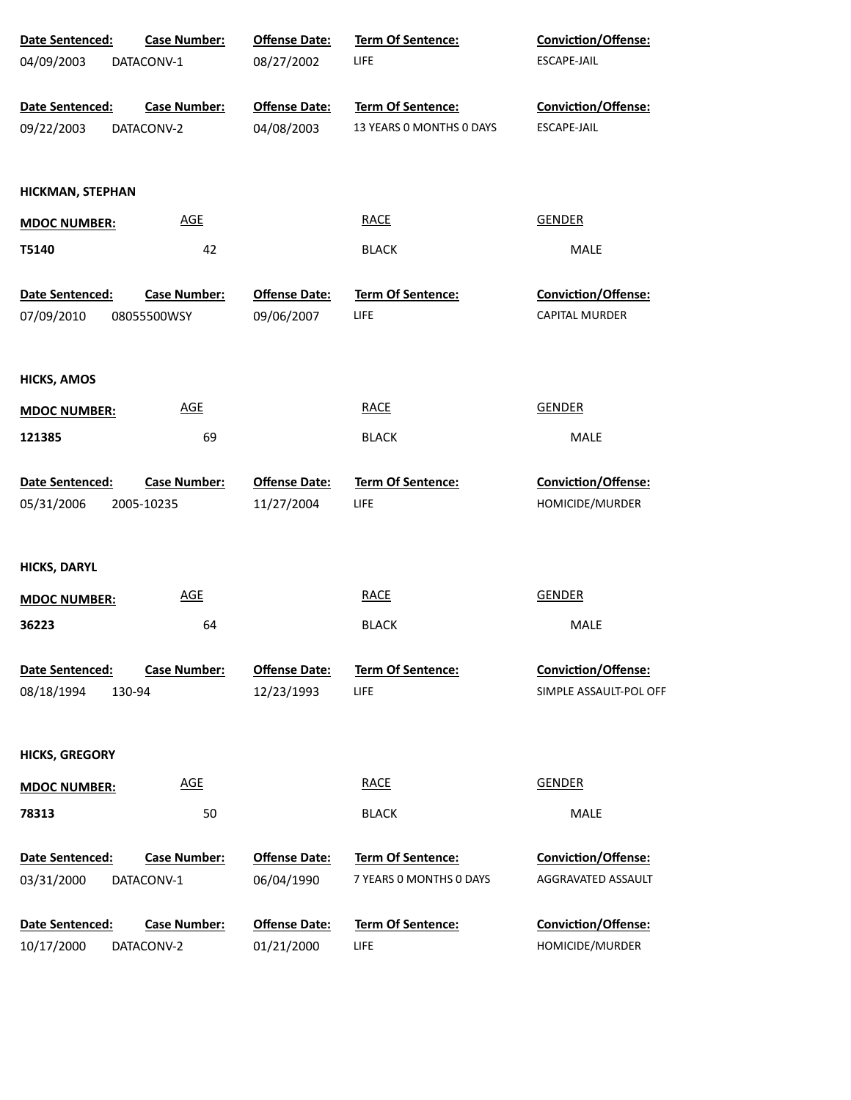| Date Sentenced:                         | <b>Case Number:</b>               | <b>Offense Date:</b>               | Term Of Sentence:                                    | <b>Conviction/Offense:</b>                    |
|-----------------------------------------|-----------------------------------|------------------------------------|------------------------------------------------------|-----------------------------------------------|
| 04/09/2003                              | DATACONV-1                        | 08/27/2002                         | <b>LIFE</b>                                          | ESCAPE-JAIL                                   |
| Date Sentenced:<br>09/22/2003           | <b>Case Number:</b><br>DATACONV-2 | <b>Offense Date:</b><br>04/08/2003 | <b>Term Of Sentence:</b><br>13 YEARS 0 MONTHS 0 DAYS | Conviction/Offense:<br>ESCAPE-JAIL            |
| <b>HICKMAN, STEPHAN</b>                 |                                   |                                    |                                                      |                                               |
| <b>MDOC NUMBER:</b>                     | <b>AGE</b>                        |                                    | <b>RACE</b>                                          | <b>GENDER</b>                                 |
| T5140                                   | 42                                |                                    | <b>BLACK</b>                                         | MALE                                          |
| Date Sentenced:                         | <b>Case Number:</b>               | <b>Offense Date:</b>               | Term Of Sentence:                                    | Conviction/Offense:                           |
| 07/09/2010                              | 08055500WSY                       | 09/06/2007                         | <b>LIFE</b>                                          | <b>CAPITAL MURDER</b>                         |
| <b>HICKS, AMOS</b>                      |                                   |                                    |                                                      |                                               |
| <b>MDOC NUMBER:</b>                     | <b>AGE</b>                        |                                    | <b>RACE</b>                                          | <b>GENDER</b>                                 |
| 121385                                  | 69                                |                                    | <b>BLACK</b>                                         | MALE                                          |
| Date Sentenced:                         | <b>Case Number:</b>               | <b>Offense Date:</b>               | <b>Term Of Sentence:</b>                             | <b>Conviction/Offense:</b>                    |
| 05/31/2006                              | 2005-10235                        | 11/27/2004                         | LIFE                                                 | HOMICIDE/MURDER                               |
| <b>HICKS, DARYL</b>                     |                                   |                                    |                                                      |                                               |
| <b>MDOC NUMBER:</b>                     | <b>AGE</b>                        |                                    | <b>RACE</b>                                          | <b>GENDER</b>                                 |
| 36223                                   | 64                                |                                    | <b>BLACK</b>                                         | MALE                                          |
| Date Sentenced:<br>08/18/1994<br>130-94 | <b>Case Number:</b>               | <b>Offense Date:</b><br>12/23/1993 | Term Of Sentence:<br>LIFE                            | Conviction/Offense:<br>SIMPLE ASSAULT-POL OFF |
|                                         |                                   |                                    |                                                      |                                               |
| <b>HICKS, GREGORY</b>                   |                                   |                                    |                                                      |                                               |
| <b>MDOC NUMBER:</b>                     | <b>AGE</b>                        |                                    | <b>RACE</b>                                          | <b>GENDER</b>                                 |
| 78313                                   | 50                                |                                    | <b>BLACK</b>                                         | <b>MALE</b>                                   |
| Date Sentenced:<br>03/31/2000           | <b>Case Number:</b><br>DATACONV-1 | <b>Offense Date:</b><br>06/04/1990 | Term Of Sentence:<br>7 YEARS 0 MONTHS 0 DAYS         | Conviction/Offense:<br>AGGRAVATED ASSAULT     |
| Date Sentenced:<br>10/17/2000           | <b>Case Number:</b><br>DATACONV-2 | <b>Offense Date:</b><br>01/21/2000 | Term Of Sentence:<br><b>LIFE</b>                     | <b>Conviction/Offense:</b><br>HOMICIDE/MURDER |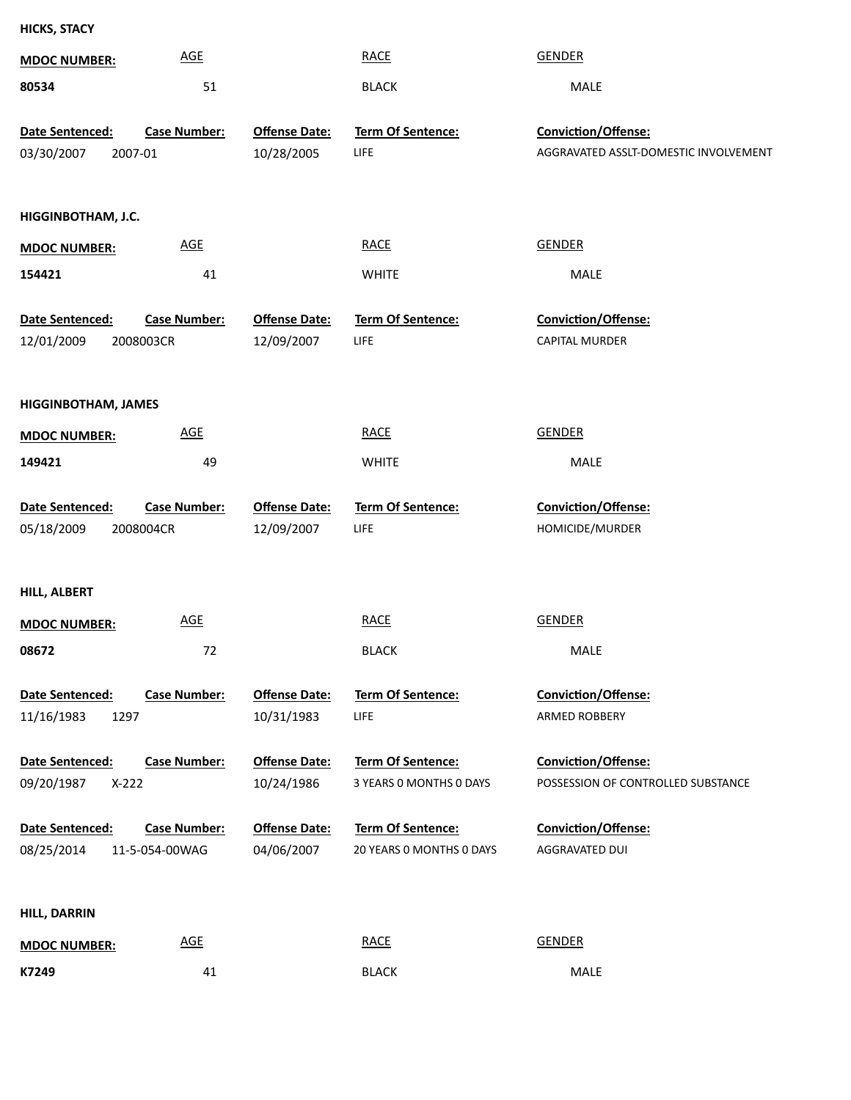| <b>HICKS, STACY</b>        |                     |                      |                          |                                       |
|----------------------------|---------------------|----------------------|--------------------------|---------------------------------------|
| <b>MDOC NUMBER:</b>        | <b>AGE</b>          |                      | <b>RACE</b>              | <b>GENDER</b>                         |
| 80534                      | 51                  |                      | <b>BLACK</b>             | MALE                                  |
| Date Sentenced:            | <b>Case Number:</b> | <b>Offense Date:</b> | Term Of Sentence:        | Conviction/Offense:                   |
| 03/30/2007                 | 2007-01             | 10/28/2005           | <b>LIFE</b>              | AGGRAVATED ASSLT-DOMESTIC INVOLVEMENT |
|                            |                     |                      |                          |                                       |
| HIGGINBOTHAM, J.C.         |                     |                      |                          |                                       |
| <b>MDOC NUMBER:</b>        | <b>AGE</b>          |                      | <b>RACE</b>              | <b>GENDER</b>                         |
| 154421                     | 41                  |                      | <b>WHITE</b>             | MALE                                  |
| Date Sentenced:            | <b>Case Number:</b> | <b>Offense Date:</b> | <b>Term Of Sentence:</b> | Conviction/Offense:                   |
| 12/01/2009                 | 2008003CR           | 12/09/2007           | LIFE                     | <b>CAPITAL MURDER</b>                 |
|                            |                     |                      |                          |                                       |
| <b>HIGGINBOTHAM, JAMES</b> |                     |                      |                          |                                       |
| <b>MDOC NUMBER:</b>        | AGE                 |                      | <b>RACE</b>              | <b>GENDER</b>                         |
| 149421                     | 49                  |                      | <b>WHITE</b>             | MALE                                  |
| Date Sentenced:            | <b>Case Number:</b> | <b>Offense Date:</b> | Term Of Sentence:        | Conviction/Offense:                   |
| 05/18/2009                 | 2008004CR           | 12/09/2007           | LIFE                     | HOMICIDE/MURDER                       |
|                            |                     |                      |                          |                                       |
| <b>HILL, ALBERT</b>        |                     |                      |                          |                                       |
| <b>MDOC NUMBER:</b>        | <b>AGE</b>          |                      | <b>RACE</b>              | <b>GENDER</b>                         |
| 08672                      | 72                  |                      | <b>BLACK</b>             | MALE                                  |
|                            |                     |                      |                          |                                       |
| Date Sentenced:            | <b>Case Number:</b> | <b>Offense Date:</b> | <b>Term Of Sentence:</b> | <b>Conviction/Offense:</b>            |
| 11/16/1983<br>1297         |                     | 10/31/1983           | LIFE                     | ARMED ROBBERY                         |
| Date Sentenced:            | <b>Case Number:</b> | <b>Offense Date:</b> | Term Of Sentence:        | <b>Conviction/Offense:</b>            |
| 09/20/1987<br>$X-222$      |                     | 10/24/1986           | 3 YEARS O MONTHS O DAYS  | POSSESSION OF CONTROLLED SUBSTANCE    |
| Date Sentenced:            | <b>Case Number:</b> | <b>Offense Date:</b> | Term Of Sentence:        | <b>Conviction/Offense:</b>            |
| 08/25/2014                 | 11-5-054-00WAG      | 04/06/2007           | 20 YEARS O MONTHS O DAYS | AGGRAVATED DUI                        |
|                            |                     |                      |                          |                                       |
| <b>HILL, DARRIN</b>        |                     |                      |                          |                                       |
| <b>MDOC NUMBER:</b>        | AGE                 |                      | <b>RACE</b>              | <b>GENDER</b>                         |

41 BLACK MALE

**K7249**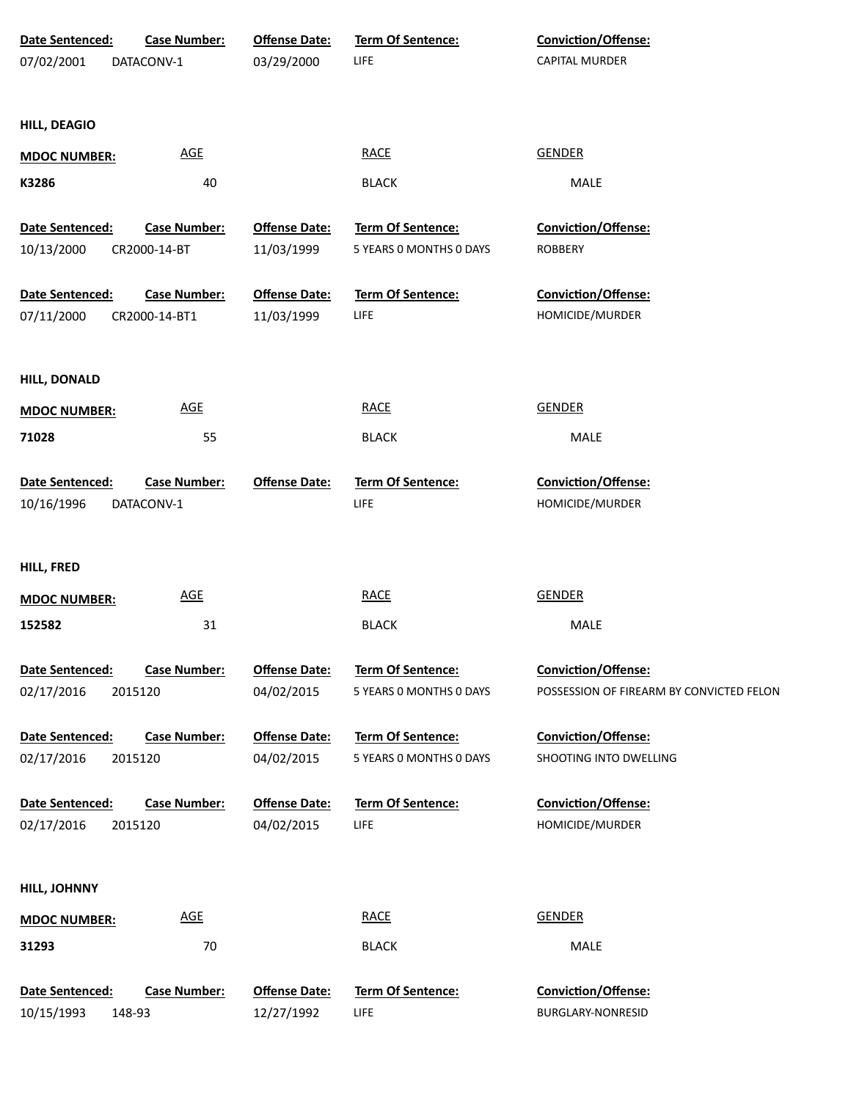| Date Sentenced:     | <b>Case Number:</b>        | <b>Offense Date:</b> | Term Of Sentence:        | Conviction/Offense:                      |
|---------------------|----------------------------|----------------------|--------------------------|------------------------------------------|
| 07/02/2001          | DATACONV-1                 | 03/29/2000           | <b>LIFE</b>              | CAPITAL MURDER                           |
|                     |                            |                      |                          |                                          |
|                     |                            |                      |                          |                                          |
| <b>HILL, DEAGIO</b> |                            |                      |                          |                                          |
| <b>MDOC NUMBER:</b> | $\underline{\mathsf{AGE}}$ |                      | <b>RACE</b>              | <b>GENDER</b>                            |
| K3286               | 40                         |                      | <b>BLACK</b>             | MALE                                     |
|                     |                            |                      |                          |                                          |
| Date Sentenced:     | <b>Case Number:</b>        | <b>Offense Date:</b> | <b>Term Of Sentence:</b> | <b>Conviction/Offense:</b>               |
| 10/13/2000          | CR2000-14-BT               | 11/03/1999           | 5 YEARS 0 MONTHS 0 DAYS  | <b>ROBBERY</b>                           |
| Date Sentenced:     | <b>Case Number:</b>        | <b>Offense Date:</b> | Term Of Sentence:        | Conviction/Offense:                      |
| 07/11/2000          | CR2000-14-BT1              | 11/03/1999           | <b>LIFE</b>              | HOMICIDE/MURDER                          |
|                     |                            |                      |                          |                                          |
|                     |                            |                      |                          |                                          |
| <b>HILL, DONALD</b> |                            |                      |                          |                                          |
| <b>MDOC NUMBER:</b> | AGE                        |                      | <b>RACE</b>              | <b>GENDER</b>                            |
| 71028               | 55                         |                      | <b>BLACK</b>             | MALE                                     |
|                     |                            |                      |                          |                                          |
| Date Sentenced:     | <b>Case Number:</b>        | <b>Offense Date:</b> | Term Of Sentence:        | Conviction/Offense:                      |
| 10/16/1996          | DATACONV-1                 |                      | <b>LIFE</b>              | HOMICIDE/MURDER                          |
|                     |                            |                      |                          |                                          |
| HILL, FRED          |                            |                      |                          |                                          |
| <b>MDOC NUMBER:</b> | AGE                        |                      | <b>RACE</b>              | <b>GENDER</b>                            |
| 152582              | 31                         |                      | <b>BLACK</b>             | MALE                                     |
|                     |                            |                      |                          |                                          |
| Date Sentenced:     | <b>Case Number:</b>        | <b>Offense Date:</b> | <b>Term Of Sentence:</b> | <b>Conviction/Offense:</b>               |
| 02/17/2016          | 2015120                    | 04/02/2015           | 5 YEARS 0 MONTHS 0 DAYS  | POSSESSION OF FIREARM BY CONVICTED FELON |
|                     |                            |                      |                          |                                          |
| Date Sentenced:     | <b>Case Number:</b>        | <b>Offense Date:</b> | Term Of Sentence:        | Conviction/Offense:                      |
| 02/17/2016          | 2015120                    | 04/02/2015           | 5 YEARS 0 MONTHS 0 DAYS  | SHOOTING INTO DWELLING                   |
| Date Sentenced:     | <b>Case Number:</b>        | <b>Offense Date:</b> | Term Of Sentence:        | Conviction/Offense:                      |
| 02/17/2016          | 2015120                    | 04/02/2015           | <b>LIFE</b>              | HOMICIDE/MURDER                          |
|                     |                            |                      |                          |                                          |
|                     |                            |                      |                          |                                          |
| HILL, JOHNNY        |                            |                      |                          |                                          |
| <b>MDOC NUMBER:</b> | <b>AGE</b>                 |                      | <b>RACE</b>              | <b>GENDER</b>                            |
| 31293               | 70                         |                      | <b>BLACK</b>             | MALE                                     |
|                     |                            |                      |                          |                                          |
| Date Sentenced:     | <b>Case Number:</b>        | <b>Offense Date:</b> | Term Of Sentence:        | Conviction/Offense:                      |
| 10/15/1993          | 148-93                     | 12/27/1992           | LIFE                     | BURGLARY-NONRESID                        |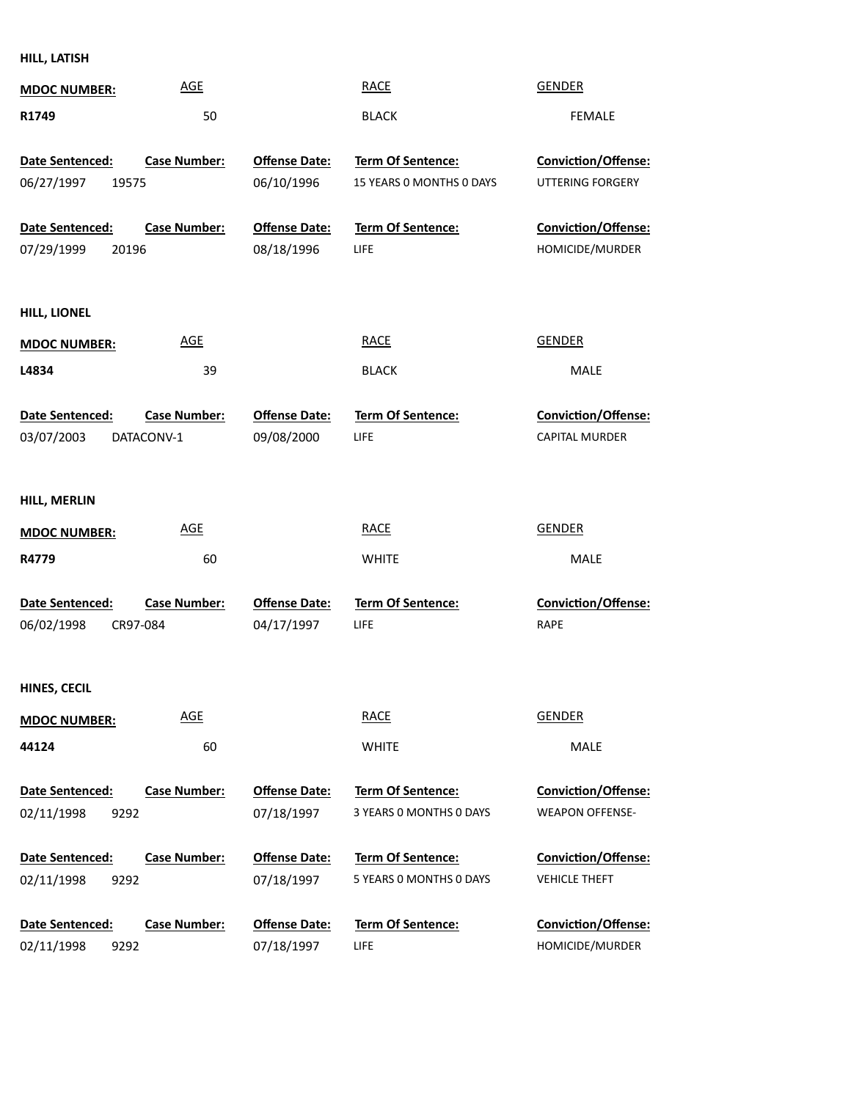**HILL, LATISH**

| <b>MDOC NUMBER:</b>    | <b>AGE</b>          |                      | <b>RACE</b>              | <b>GENDER</b>              |
|------------------------|---------------------|----------------------|--------------------------|----------------------------|
| R1749                  | 50                  |                      | <b>BLACK</b>             | <b>FEMALE</b>              |
| <b>Date Sentenced:</b> | <b>Case Number:</b> | <b>Offense Date:</b> | Term Of Sentence:        | Conviction/Offense:        |
| 06/27/1997<br>19575    |                     | 06/10/1996           | 15 YEARS 0 MONTHS 0 DAYS | UTTERING FORGERY           |
| Date Sentenced:        | <b>Case Number:</b> | <b>Offense Date:</b> | <b>Term Of Sentence:</b> | Conviction/Offense:        |
| 07/29/1999<br>20196    |                     | 08/18/1996           | LIFE                     | HOMICIDE/MURDER            |
|                        |                     |                      |                          |                            |
| HILL, LIONEL           |                     |                      |                          |                            |
| <b>MDOC NUMBER:</b>    | <b>AGE</b>          |                      | <b>RACE</b>              | <b>GENDER</b>              |
| L4834                  | 39                  |                      | <b>BLACK</b>             | MALE                       |
| Date Sentenced:        | <b>Case Number:</b> | <b>Offense Date:</b> | <b>Term Of Sentence:</b> | Conviction/Offense:        |
| 03/07/2003             | DATACONV-1          | 09/08/2000           | LIFE                     | <b>CAPITAL MURDER</b>      |
|                        |                     |                      |                          |                            |
| HILL, MERLIN           |                     |                      |                          |                            |
| <b>MDOC NUMBER:</b>    | <b>AGE</b>          |                      | <b>RACE</b>              | <b>GENDER</b>              |
| R4779                  | 60                  |                      | <b>WHITE</b>             | MALE                       |
| Date Sentenced:        | <b>Case Number:</b> | <b>Offense Date:</b> | Term Of Sentence:        | Conviction/Offense:        |
| 06/02/1998<br>CR97-084 |                     | 04/17/1997           | <b>LIFE</b>              | RAPE                       |
|                        |                     |                      |                          |                            |
| HINES, CECIL           |                     |                      |                          |                            |
| <b>MDOC NUMBER:</b>    | <u>AGE</u>          |                      | <b>RACE</b>              | <b>GENDER</b>              |
| 44124                  | 60                  |                      | <b>WHITE</b>             | MALE                       |
| Date Sentenced:        | <b>Case Number:</b> | <b>Offense Date:</b> | Term Of Sentence:        | Conviction/Offense:        |
| 02/11/1998<br>9292     |                     | 07/18/1997           | 3 YEARS 0 MONTHS 0 DAYS  | <b>WEAPON OFFENSE-</b>     |
| <b>Date Sentenced:</b> | <b>Case Number:</b> | <b>Offense Date:</b> | Term Of Sentence:        | <b>Conviction/Offense:</b> |
| 02/11/1998<br>9292     |                     | 07/18/1997           | 5 YEARS 0 MONTHS 0 DAYS  | <b>VEHICLE THEFT</b>       |
| Date Sentenced:        | <b>Case Number:</b> | <b>Offense Date:</b> | Term Of Sentence:        | Conviction/Offense:        |
| 02/11/1998<br>9292     |                     | 07/18/1997           | LIFE                     | HOMICIDE/MURDER            |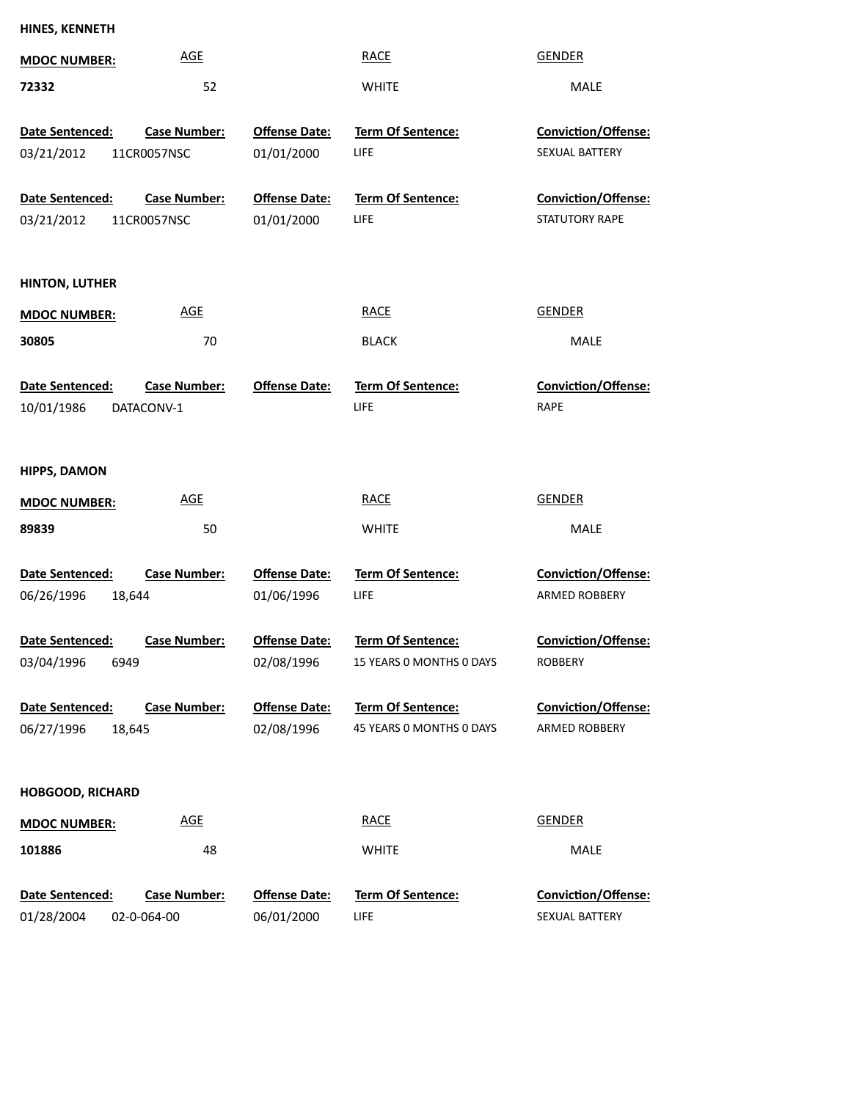| <b>AGE</b><br><b>RACE</b><br><b>GENDER</b><br><b>MDOC NUMBER:</b><br>52<br>72332<br><b>WHITE</b><br>MALE<br><b>Offense Date:</b><br>Term Of Sentence:<br>Conviction/Offense:<br>Date Sentenced:<br><b>Case Number:</b><br>01/01/2000<br>LIFE<br>SEXUAL BATTERY<br>03/21/2012<br>11CR0057NSC<br><b>Case Number:</b><br><b>Offense Date:</b><br>Term Of Sentence:<br>Conviction/Offense:<br>Date Sentenced:<br>STATUTORY RAPE<br>03/21/2012<br>01/01/2000<br>LIFE<br>11CR0057NSC<br><b>HINTON, LUTHER</b><br><b>AGE</b><br><b>RACE</b><br><b>GENDER</b><br><b>MDOC NUMBER:</b><br>30805<br>70<br><b>MALE</b><br><b>BLACK</b><br><b>Offense Date:</b><br><b>Term Of Sentence:</b><br><b>Conviction/Offense:</b><br>Date Sentenced:<br><b>Case Number:</b><br><b>LIFE</b><br>RAPE<br>10/01/1986<br>DATACONV-1<br><b>HIPPS, DAMON</b><br><b>AGE</b><br><b>RACE</b><br><b>GENDER</b><br><b>MDOC NUMBER:</b><br>89839<br>50<br><b>WHITE</b><br><b>MALE</b><br>Date Sentenced:<br><b>Case Number:</b><br><b>Offense Date:</b><br>Term Of Sentence:<br><b>Conviction/Offense:</b><br>06/26/1996<br>18,644<br>01/06/1996<br>LIFE<br><b>ARMED ROBBERY</b><br>Conviction/Offense:<br>Date Sentenced:<br><b>Offense Date:</b><br>Term Of Sentence:<br>Case Number:<br>03/04/1996<br>02/08/1996<br>15 YEARS 0 MONTHS 0 DAYS<br>6949<br>ROBBERY<br>Date Sentenced:<br><b>Case Number:</b><br><b>Offense Date:</b><br><b>Term Of Sentence:</b><br>Conviction/Offense:<br>45 YEARS 0 MONTHS 0 DAYS<br>ARMED ROBBERY<br>06/27/1996<br>02/08/1996<br>18,645<br><b>HOBGOOD, RICHARD</b><br><b>RACE</b><br><b>GENDER</b><br><b>AGE</b><br><b>MDOC NUMBER:</b><br>101886<br>48<br><b>WHITE</b><br>MALE<br><b>Offense Date:</b><br>Term Of Sentence:<br>Conviction/Offense:<br>Date Sentenced:<br><b>Case Number:</b><br>02-0-064-00 | HINES, KENNETH |            |      |                |
|---------------------------------------------------------------------------------------------------------------------------------------------------------------------------------------------------------------------------------------------------------------------------------------------------------------------------------------------------------------------------------------------------------------------------------------------------------------------------------------------------------------------------------------------------------------------------------------------------------------------------------------------------------------------------------------------------------------------------------------------------------------------------------------------------------------------------------------------------------------------------------------------------------------------------------------------------------------------------------------------------------------------------------------------------------------------------------------------------------------------------------------------------------------------------------------------------------------------------------------------------------------------------------------------------------------------------------------------------------------------------------------------------------------------------------------------------------------------------------------------------------------------------------------------------------------------------------------------------------------------------------------------------------------------------------------------------------------------------------------------------------------------------------------------------------------|----------------|------------|------|----------------|
|                                                                                                                                                                                                                                                                                                                                                                                                                                                                                                                                                                                                                                                                                                                                                                                                                                                                                                                                                                                                                                                                                                                                                                                                                                                                                                                                                                                                                                                                                                                                                                                                                                                                                                                                                                                                               |                |            |      |                |
|                                                                                                                                                                                                                                                                                                                                                                                                                                                                                                                                                                                                                                                                                                                                                                                                                                                                                                                                                                                                                                                                                                                                                                                                                                                                                                                                                                                                                                                                                                                                                                                                                                                                                                                                                                                                               |                |            |      |                |
|                                                                                                                                                                                                                                                                                                                                                                                                                                                                                                                                                                                                                                                                                                                                                                                                                                                                                                                                                                                                                                                                                                                                                                                                                                                                                                                                                                                                                                                                                                                                                                                                                                                                                                                                                                                                               |                |            |      |                |
|                                                                                                                                                                                                                                                                                                                                                                                                                                                                                                                                                                                                                                                                                                                                                                                                                                                                                                                                                                                                                                                                                                                                                                                                                                                                                                                                                                                                                                                                                                                                                                                                                                                                                                                                                                                                               |                |            |      |                |
|                                                                                                                                                                                                                                                                                                                                                                                                                                                                                                                                                                                                                                                                                                                                                                                                                                                                                                                                                                                                                                                                                                                                                                                                                                                                                                                                                                                                                                                                                                                                                                                                                                                                                                                                                                                                               |                |            |      |                |
|                                                                                                                                                                                                                                                                                                                                                                                                                                                                                                                                                                                                                                                                                                                                                                                                                                                                                                                                                                                                                                                                                                                                                                                                                                                                                                                                                                                                                                                                                                                                                                                                                                                                                                                                                                                                               |                |            |      |                |
|                                                                                                                                                                                                                                                                                                                                                                                                                                                                                                                                                                                                                                                                                                                                                                                                                                                                                                                                                                                                                                                                                                                                                                                                                                                                                                                                                                                                                                                                                                                                                                                                                                                                                                                                                                                                               |                |            |      |                |
|                                                                                                                                                                                                                                                                                                                                                                                                                                                                                                                                                                                                                                                                                                                                                                                                                                                                                                                                                                                                                                                                                                                                                                                                                                                                                                                                                                                                                                                                                                                                                                                                                                                                                                                                                                                                               |                |            |      |                |
|                                                                                                                                                                                                                                                                                                                                                                                                                                                                                                                                                                                                                                                                                                                                                                                                                                                                                                                                                                                                                                                                                                                                                                                                                                                                                                                                                                                                                                                                                                                                                                                                                                                                                                                                                                                                               |                |            |      |                |
|                                                                                                                                                                                                                                                                                                                                                                                                                                                                                                                                                                                                                                                                                                                                                                                                                                                                                                                                                                                                                                                                                                                                                                                                                                                                                                                                                                                                                                                                                                                                                                                                                                                                                                                                                                                                               |                |            |      |                |
|                                                                                                                                                                                                                                                                                                                                                                                                                                                                                                                                                                                                                                                                                                                                                                                                                                                                                                                                                                                                                                                                                                                                                                                                                                                                                                                                                                                                                                                                                                                                                                                                                                                                                                                                                                                                               |                |            |      |                |
|                                                                                                                                                                                                                                                                                                                                                                                                                                                                                                                                                                                                                                                                                                                                                                                                                                                                                                                                                                                                                                                                                                                                                                                                                                                                                                                                                                                                                                                                                                                                                                                                                                                                                                                                                                                                               |                |            |      |                |
|                                                                                                                                                                                                                                                                                                                                                                                                                                                                                                                                                                                                                                                                                                                                                                                                                                                                                                                                                                                                                                                                                                                                                                                                                                                                                                                                                                                                                                                                                                                                                                                                                                                                                                                                                                                                               |                |            |      |                |
|                                                                                                                                                                                                                                                                                                                                                                                                                                                                                                                                                                                                                                                                                                                                                                                                                                                                                                                                                                                                                                                                                                                                                                                                                                                                                                                                                                                                                                                                                                                                                                                                                                                                                                                                                                                                               |                |            |      |                |
|                                                                                                                                                                                                                                                                                                                                                                                                                                                                                                                                                                                                                                                                                                                                                                                                                                                                                                                                                                                                                                                                                                                                                                                                                                                                                                                                                                                                                                                                                                                                                                                                                                                                                                                                                                                                               |                |            |      |                |
|                                                                                                                                                                                                                                                                                                                                                                                                                                                                                                                                                                                                                                                                                                                                                                                                                                                                                                                                                                                                                                                                                                                                                                                                                                                                                                                                                                                                                                                                                                                                                                                                                                                                                                                                                                                                               |                |            |      |                |
|                                                                                                                                                                                                                                                                                                                                                                                                                                                                                                                                                                                                                                                                                                                                                                                                                                                                                                                                                                                                                                                                                                                                                                                                                                                                                                                                                                                                                                                                                                                                                                                                                                                                                                                                                                                                               |                |            |      |                |
|                                                                                                                                                                                                                                                                                                                                                                                                                                                                                                                                                                                                                                                                                                                                                                                                                                                                                                                                                                                                                                                                                                                                                                                                                                                                                                                                                                                                                                                                                                                                                                                                                                                                                                                                                                                                               |                |            |      |                |
|                                                                                                                                                                                                                                                                                                                                                                                                                                                                                                                                                                                                                                                                                                                                                                                                                                                                                                                                                                                                                                                                                                                                                                                                                                                                                                                                                                                                                                                                                                                                                                                                                                                                                                                                                                                                               |                |            |      |                |
|                                                                                                                                                                                                                                                                                                                                                                                                                                                                                                                                                                                                                                                                                                                                                                                                                                                                                                                                                                                                                                                                                                                                                                                                                                                                                                                                                                                                                                                                                                                                                                                                                                                                                                                                                                                                               |                |            |      |                |
|                                                                                                                                                                                                                                                                                                                                                                                                                                                                                                                                                                                                                                                                                                                                                                                                                                                                                                                                                                                                                                                                                                                                                                                                                                                                                                                                                                                                                                                                                                                                                                                                                                                                                                                                                                                                               |                |            |      |                |
|                                                                                                                                                                                                                                                                                                                                                                                                                                                                                                                                                                                                                                                                                                                                                                                                                                                                                                                                                                                                                                                                                                                                                                                                                                                                                                                                                                                                                                                                                                                                                                                                                                                                                                                                                                                                               |                |            |      |                |
|                                                                                                                                                                                                                                                                                                                                                                                                                                                                                                                                                                                                                                                                                                                                                                                                                                                                                                                                                                                                                                                                                                                                                                                                                                                                                                                                                                                                                                                                                                                                                                                                                                                                                                                                                                                                               |                |            |      |                |
|                                                                                                                                                                                                                                                                                                                                                                                                                                                                                                                                                                                                                                                                                                                                                                                                                                                                                                                                                                                                                                                                                                                                                                                                                                                                                                                                                                                                                                                                                                                                                                                                                                                                                                                                                                                                               |                |            |      |                |
|                                                                                                                                                                                                                                                                                                                                                                                                                                                                                                                                                                                                                                                                                                                                                                                                                                                                                                                                                                                                                                                                                                                                                                                                                                                                                                                                                                                                                                                                                                                                                                                                                                                                                                                                                                                                               |                |            |      |                |
|                                                                                                                                                                                                                                                                                                                                                                                                                                                                                                                                                                                                                                                                                                                                                                                                                                                                                                                                                                                                                                                                                                                                                                                                                                                                                                                                                                                                                                                                                                                                                                                                                                                                                                                                                                                                               |                |            |      |                |
|                                                                                                                                                                                                                                                                                                                                                                                                                                                                                                                                                                                                                                                                                                                                                                                                                                                                                                                                                                                                                                                                                                                                                                                                                                                                                                                                                                                                                                                                                                                                                                                                                                                                                                                                                                                                               |                |            |      |                |
|                                                                                                                                                                                                                                                                                                                                                                                                                                                                                                                                                                                                                                                                                                                                                                                                                                                                                                                                                                                                                                                                                                                                                                                                                                                                                                                                                                                                                                                                                                                                                                                                                                                                                                                                                                                                               |                |            |      |                |
|                                                                                                                                                                                                                                                                                                                                                                                                                                                                                                                                                                                                                                                                                                                                                                                                                                                                                                                                                                                                                                                                                                                                                                                                                                                                                                                                                                                                                                                                                                                                                                                                                                                                                                                                                                                                               |                |            |      |                |
|                                                                                                                                                                                                                                                                                                                                                                                                                                                                                                                                                                                                                                                                                                                                                                                                                                                                                                                                                                                                                                                                                                                                                                                                                                                                                                                                                                                                                                                                                                                                                                                                                                                                                                                                                                                                               |                |            |      |                |
|                                                                                                                                                                                                                                                                                                                                                                                                                                                                                                                                                                                                                                                                                                                                                                                                                                                                                                                                                                                                                                                                                                                                                                                                                                                                                                                                                                                                                                                                                                                                                                                                                                                                                                                                                                                                               | 01/28/2004     | 06/01/2000 | LIFE | SEXUAL BATTERY |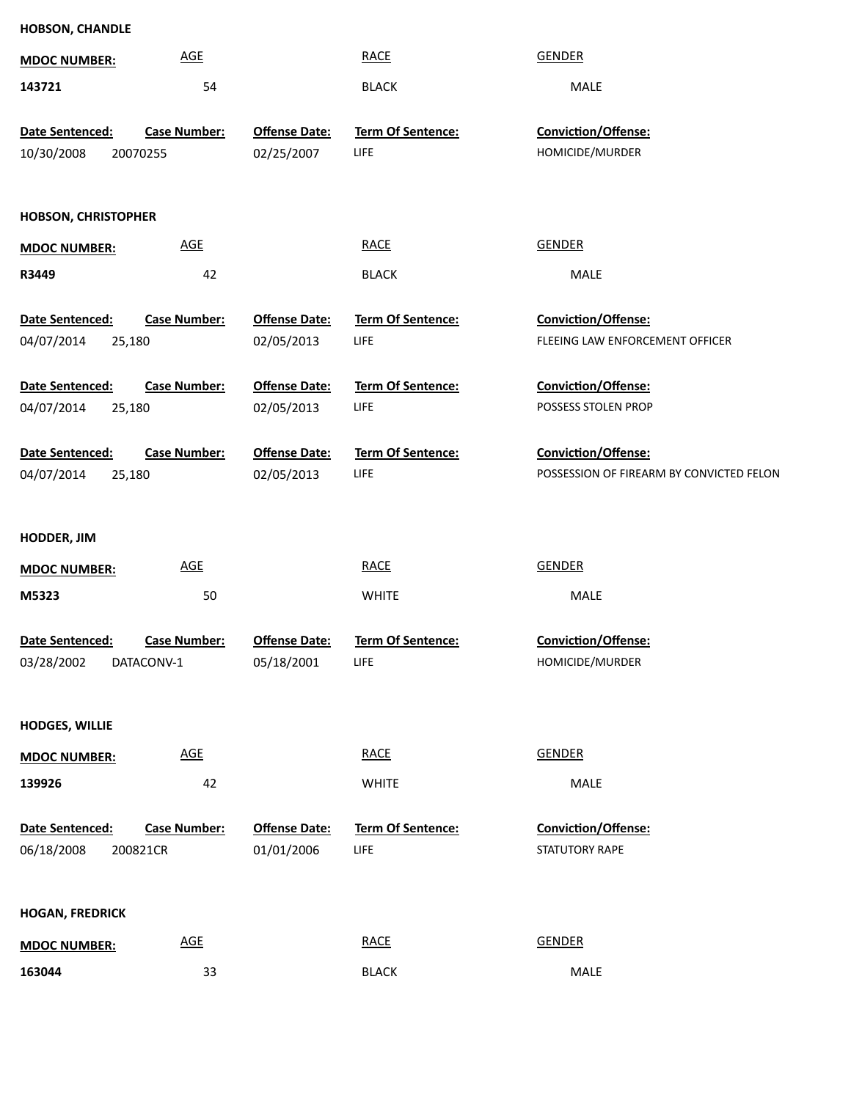| HOBSON, CHANDLE               |                            |                      |                          |                                          |
|-------------------------------|----------------------------|----------------------|--------------------------|------------------------------------------|
| <b>MDOC NUMBER:</b>           | <b>AGE</b>                 |                      | <b>RACE</b>              | <b>GENDER</b>                            |
| 143721                        | 54                         |                      | <b>BLACK</b>             | MALE                                     |
|                               | <b>Case Number:</b>        | <b>Offense Date:</b> | Term Of Sentence:        | Conviction/Offense:                      |
| Date Sentenced:<br>10/30/2008 | 20070255                   | 02/25/2007           | LIFE                     | HOMICIDE/MURDER                          |
|                               |                            |                      |                          |                                          |
|                               |                            |                      |                          |                                          |
| <b>HOBSON, CHRISTOPHER</b>    |                            |                      |                          |                                          |
| <b>MDOC NUMBER:</b>           | <b>AGE</b>                 |                      | <b>RACE</b>              | <b>GENDER</b>                            |
| R3449                         | 42                         |                      | <b>BLACK</b>             | MALE                                     |
|                               |                            |                      |                          |                                          |
| Date Sentenced:               | <b>Case Number:</b>        | <b>Offense Date:</b> | <b>Term Of Sentence:</b> | Conviction/Offense:                      |
| 04/07/2014<br>25,180          |                            | 02/05/2013           | <b>LIFE</b>              | FLEEING LAW ENFORCEMENT OFFICER          |
| Date Sentenced:               | <b>Case Number:</b>        | <b>Offense Date:</b> | Term Of Sentence:        | Conviction/Offense:                      |
| 04/07/2014<br>25,180          |                            | 02/05/2013           | <b>LIFE</b>              | POSSESS STOLEN PROP                      |
|                               |                            |                      |                          |                                          |
| Date Sentenced:               | <b>Case Number:</b>        | <b>Offense Date:</b> | Term Of Sentence:        | Conviction/Offense:                      |
| 25,180<br>04/07/2014          |                            | 02/05/2013           | <b>LIFE</b>              | POSSESSION OF FIREARM BY CONVICTED FELON |
|                               |                            |                      |                          |                                          |
| <b>HODDER, JIM</b>            |                            |                      |                          |                                          |
| <b>MDOC NUMBER:</b>           | <b>AGE</b>                 |                      | <b>RACE</b>              | <b>GENDER</b>                            |
| M5323                         | 50                         |                      | <b>WHITE</b>             | MALE                                     |
|                               |                            |                      |                          |                                          |
| Date Sentenced:               | <b>Case Number:</b>        | <b>Offense Date:</b> | Term Of Sentence:        | Conviction/Offense:                      |
| 03/28/2002                    | DATACONV-1                 | 05/18/2001           | LIFE                     | HOMICIDE/MURDER                          |
|                               |                            |                      |                          |                                          |
| <b>HODGES, WILLIE</b>         |                            |                      |                          |                                          |
|                               | AGE                        |                      | <b>RACE</b>              | <b>GENDER</b>                            |
| <b>MDOC NUMBER:</b>           |                            |                      |                          |                                          |
| 139926                        | 42                         |                      | <b>WHITE</b>             | MALE                                     |
| Date Sentenced:               | <b>Case Number:</b>        | <b>Offense Date:</b> | Term Of Sentence:        | Conviction/Offense:                      |
| 06/18/2008                    | 200821CR                   | 01/01/2006           | LIFE                     | STATUTORY RAPE                           |
|                               |                            |                      |                          |                                          |
|                               |                            |                      |                          |                                          |
| <b>HOGAN, FREDRICK</b>        |                            |                      |                          |                                          |
| <b>MDOC NUMBER:</b>           | $\underline{\mathsf{AGE}}$ |                      | <b>RACE</b>              | <b>GENDER</b>                            |
| 163044                        | 33                         |                      | <b>BLACK</b>             | MALE                                     |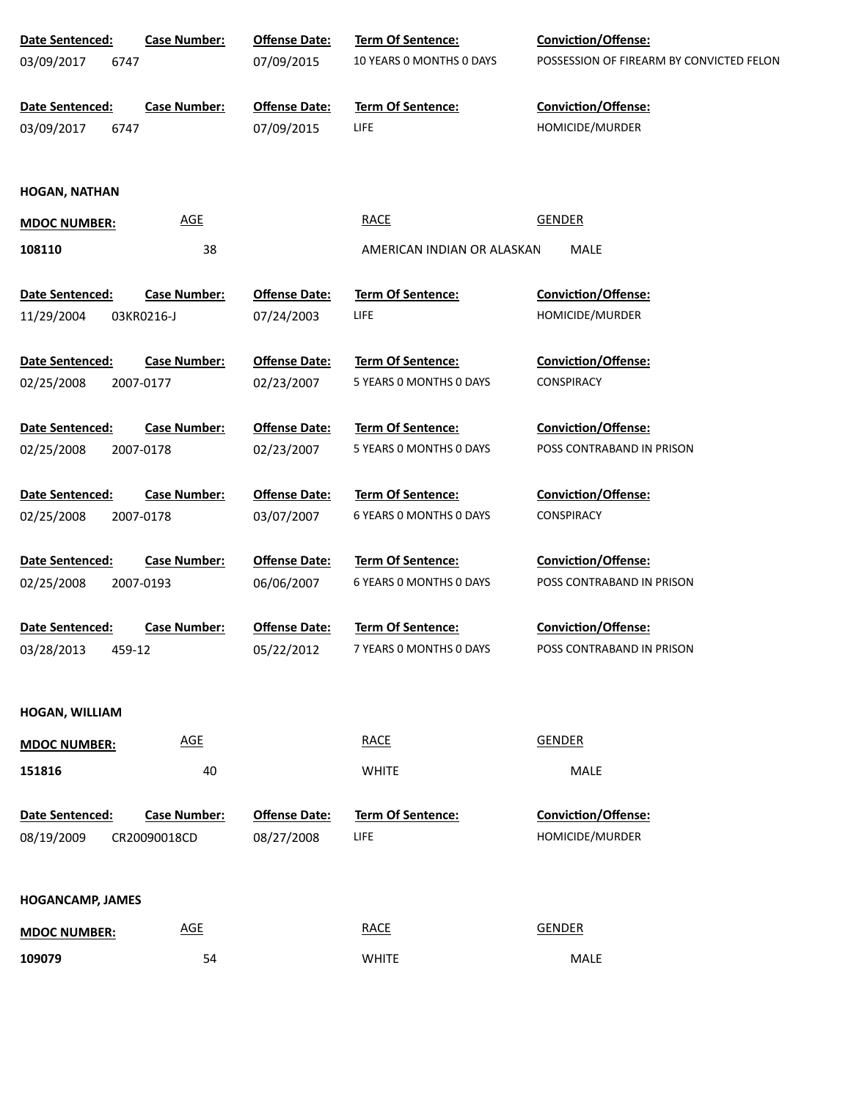| Date Sentenced:         | <b>Case Number:</b>        | <b>Offense Date:</b> | <b>Term Of Sentence:</b>   | <b>Conviction/Offense:</b>               |
|-------------------------|----------------------------|----------------------|----------------------------|------------------------------------------|
| 03/09/2017<br>6747      |                            | 07/09/2015           | 10 YEARS 0 MONTHS 0 DAYS   | POSSESSION OF FIREARM BY CONVICTED FELON |
|                         |                            |                      |                            |                                          |
| Date Sentenced:         | <b>Case Number:</b>        | <b>Offense Date:</b> | Term Of Sentence:          | Conviction/Offense:                      |
| 03/09/2017<br>6747      |                            | 07/09/2015           | LIFE                       | HOMICIDE/MURDER                          |
|                         |                            |                      |                            |                                          |
| <b>HOGAN, NATHAN</b>    |                            |                      |                            |                                          |
| <b>MDOC NUMBER:</b>     | <b>AGE</b>                 |                      | <b>RACE</b>                | <b>GENDER</b>                            |
| 108110                  | 38                         |                      | AMERICAN INDIAN OR ALASKAN | MALE                                     |
|                         |                            |                      |                            |                                          |
| Date Sentenced:         | <b>Case Number:</b>        | <b>Offense Date:</b> | Term Of Sentence:          | Conviction/Offense:                      |
| 11/29/2004              | 03KR0216-J                 | 07/24/2003           | LIFE                       | HOMICIDE/MURDER                          |
| Date Sentenced:         | <b>Case Number:</b>        | <b>Offense Date:</b> | Term Of Sentence:          | <b>Conviction/Offense:</b>               |
| 02/25/2008              | 2007-0177                  | 02/23/2007           | 5 YEARS 0 MONTHS 0 DAYS    | <b>CONSPIRACY</b>                        |
|                         |                            |                      |                            |                                          |
| Date Sentenced:         | <b>Case Number:</b>        | <b>Offense Date:</b> | <b>Term Of Sentence:</b>   | <b>Conviction/Offense:</b>               |
| 02/25/2008              | 2007-0178                  | 02/23/2007           | 5 YEARS 0 MONTHS 0 DAYS    | POSS CONTRABAND IN PRISON                |
|                         |                            |                      |                            |                                          |
| Date Sentenced:         | <b>Case Number:</b>        | <b>Offense Date:</b> | <b>Term Of Sentence:</b>   | <b>Conviction/Offense:</b>               |
| 02/25/2008              | 2007-0178                  | 03/07/2007           | 6 YEARS 0 MONTHS 0 DAYS    | <b>CONSPIRACY</b>                        |
|                         |                            |                      |                            |                                          |
| Date Sentenced:         | <b>Case Number:</b>        | <b>Offense Date:</b> | <b>Term Of Sentence:</b>   | <b>Conviction/Offense:</b>               |
| 02/25/2008              | 2007-0193                  | 06/06/2007           | 6 YEARS O MONTHS O DAYS    | POSS CONTRABAND IN PRISON                |
| Date Sentenced:         | <b>Case Number:</b>        | <b>Offense Date:</b> | <b>Term Of Sentence:</b>   | <b>Conviction/Offense:</b>               |
| 03/28/2013<br>459-12    |                            | 05/22/2012           | 7 YEARS 0 MONTHS 0 DAYS    | POSS CONTRABAND IN PRISON                |
|                         |                            |                      |                            |                                          |
|                         |                            |                      |                            |                                          |
| HOGAN, WILLIAM          |                            |                      |                            |                                          |
| <b>MDOC NUMBER:</b>     | <b>AGE</b>                 |                      | <b>RACE</b>                | <b>GENDER</b>                            |
| 151816                  | 40                         |                      | <b>WHITE</b>               | MALE                                     |
| Date Sentenced:         | <b>Case Number:</b>        | <b>Offense Date:</b> | Term Of Sentence:          | Conviction/Offense:                      |
| 08/19/2009              | CR20090018CD               | 08/27/2008           | LIFE                       | HOMICIDE/MURDER                          |
|                         |                            |                      |                            |                                          |
| <b>HOGANCAMP, JAMES</b> |                            |                      |                            |                                          |
|                         | $\underline{\mathsf{AGE}}$ |                      | <b>RACE</b>                | <b>GENDER</b>                            |
| <b>MDOC NUMBER:</b>     |                            |                      |                            |                                          |

54 WHITE WHITE

**109079**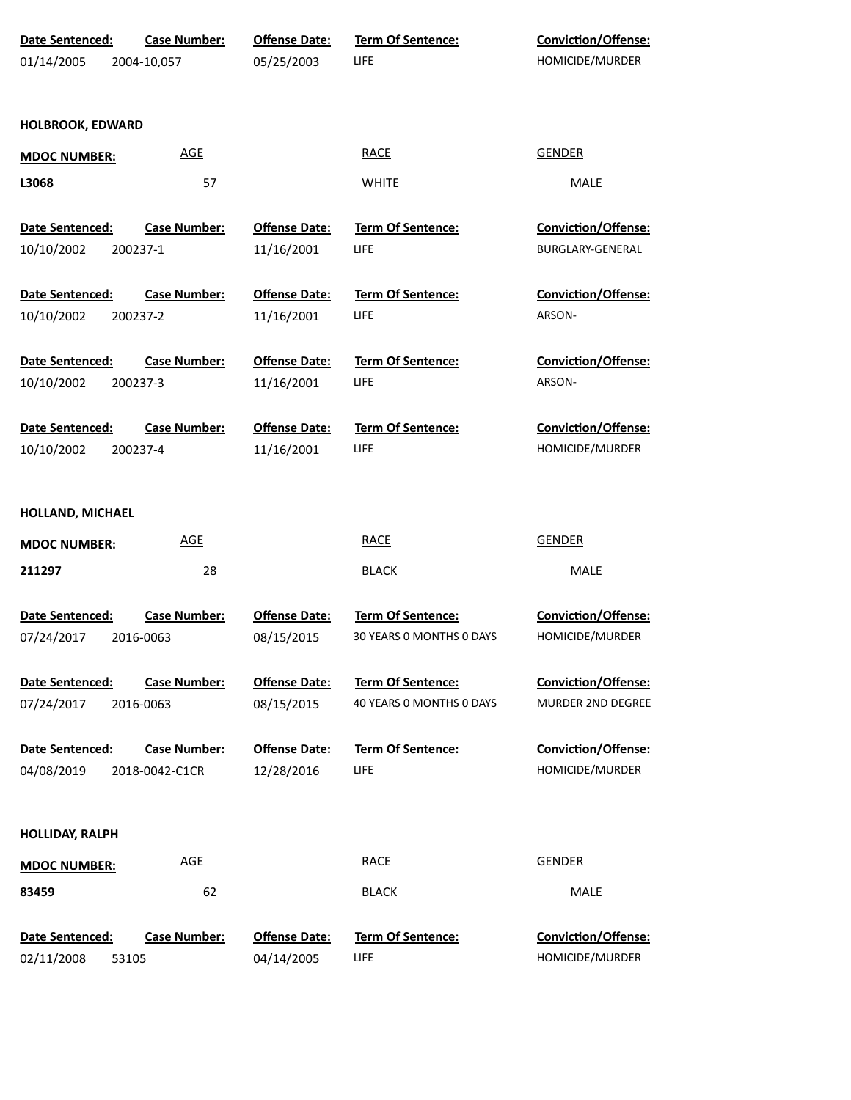| Date Sentenced:               | <b>Case Number:</b>              | <b>Offense Date:</b>               | Term Of Sentence:        | Conviction/Offense:                                    |
|-------------------------------|----------------------------------|------------------------------------|--------------------------|--------------------------------------------------------|
| 01/14/2005                    | 2004-10,057                      | 05/25/2003                         | <b>LIFE</b>              | HOMICIDE/MURDER                                        |
|                               |                                  |                                    |                          |                                                        |
| <b>HOLBROOK, EDWARD</b>       |                                  |                                    |                          |                                                        |
| <b>MDOC NUMBER:</b>           | <b>AGE</b>                       |                                    | <b>RACE</b>              | <b>GENDER</b>                                          |
| L3068                         | 57                               |                                    | <b>WHITE</b>             | <b>MALE</b>                                            |
| Date Sentenced:               | <b>Case Number:</b>              | <b>Offense Date:</b>               | <b>Term Of Sentence:</b> | <b>Conviction/Offense:</b>                             |
| 10/10/2002                    | 200237-1                         | 11/16/2001                         | LIFE                     | BURGLARY-GENERAL                                       |
| Date Sentenced:               | <b>Case Number:</b>              | <b>Offense Date:</b>               | Term Of Sentence:        | <b>Conviction/Offense:</b>                             |
| 10/10/2002                    | 200237-2                         | 11/16/2001                         | LIFE                     | ARSON-                                                 |
| Date Sentenced:               | <b>Case Number:</b>              | <b>Offense Date:</b>               | <b>Term Of Sentence:</b> | <b>Conviction/Offense:</b>                             |
| 10/10/2002                    | 200237-3                         | 11/16/2001                         | <b>LIFE</b>              | ARSON-                                                 |
| Date Sentenced:               | <b>Case Number:</b>              | <b>Offense Date:</b>               | Term Of Sentence:        | Conviction/Offense:                                    |
| 10/10/2002                    | 200237-4                         | 11/16/2001                         | <b>LIFE</b>              | HOMICIDE/MURDER                                        |
| HOLLAND, MICHAEL              |                                  |                                    |                          |                                                        |
| <b>MDOC NUMBER:</b>           | <b>AGE</b>                       |                                    | <b>RACE</b>              | <b>GENDER</b>                                          |
| 211297                        | 28                               |                                    | <b>BLACK</b>             | MALE                                                   |
| Date Sentenced:               | <b>Case Number:</b>              | <b>Offense Date:</b>               | Term Of Sentence:        | Conviction/Offense:                                    |
| 07/24/2017                    | 2016-0063                        | 08/15/2015                         | 30 YEARS 0 MONTHS 0 DAYS | HOMICIDE/MURDER                                        |
|                               |                                  |                                    | <b>Term Of Sentence:</b> |                                                        |
| Date Sentenced:<br>07/24/2017 | <b>Case Number:</b><br>2016-0063 | <b>Offense Date:</b><br>08/15/2015 | 40 YEARS O MONTHS O DAYS | <b>Conviction/Offense:</b><br><b>MURDER 2ND DEGREE</b> |
|                               |                                  |                                    |                          |                                                        |
| Date Sentenced:               | <b>Case Number:</b>              | <b>Offense Date:</b>               | <b>Term Of Sentence:</b> | Conviction/Offense:                                    |
| 04/08/2019                    | 2018-0042-C1CR                   | 12/28/2016                         | <b>LIFE</b>              | HOMICIDE/MURDER                                        |
| <b>HOLLIDAY, RALPH</b>        |                                  |                                    |                          |                                                        |
| <b>MDOC NUMBER:</b>           | <b>AGE</b>                       |                                    | <b>RACE</b>              | <b>GENDER</b>                                          |
| 83459                         | 62                               |                                    | <b>BLACK</b>             | MALE                                                   |
| Date Sentenced:               | <b>Case Number:</b>              | <b>Offense Date:</b>               | <b>Term Of Sentence:</b> | Conviction/Offense:                                    |
| 02/11/2008<br>53105           |                                  | 04/14/2005                         | LIFE                     | HOMICIDE/MURDER                                        |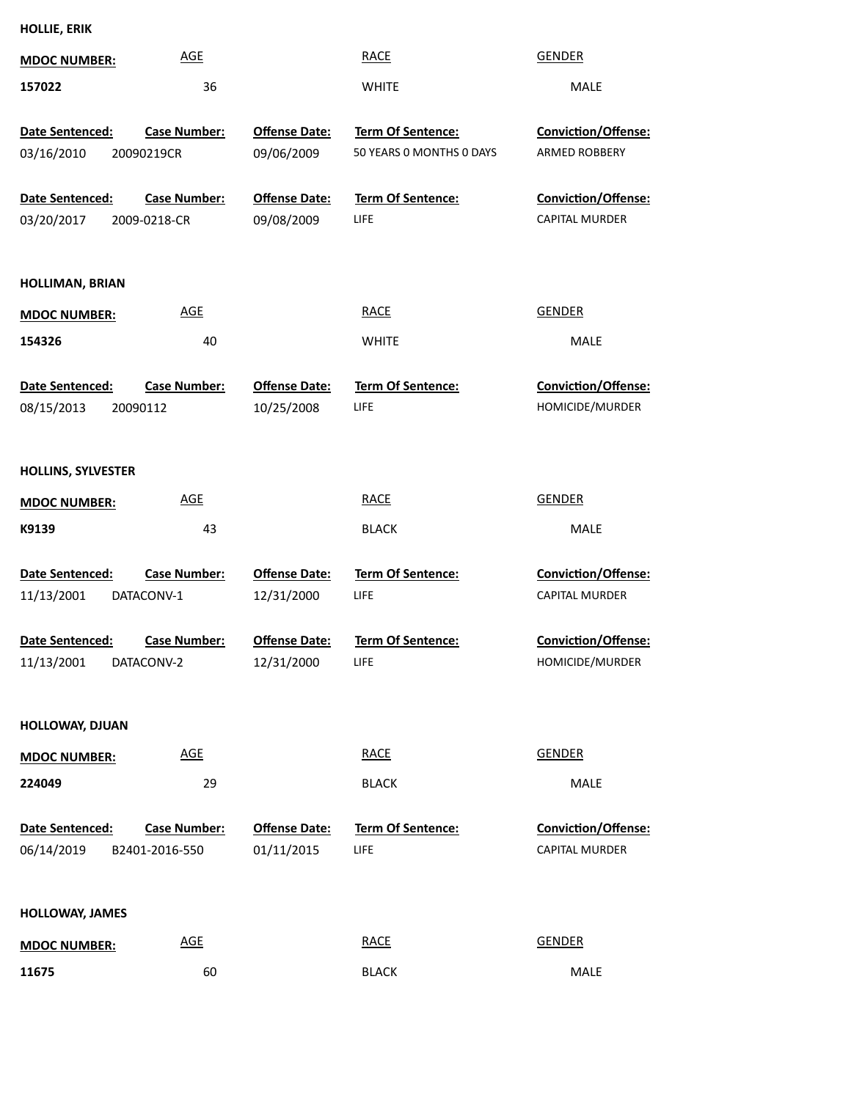| HOLLIE, ERIK |  |  |  |  |  |
|--------------|--|--|--|--|--|
|--------------|--|--|--|--|--|

| <b>MDOC NUMBER:</b>                  | <b>AGE</b>                          |                                    | <b>RACE</b>                                   | <b>GENDER</b>                                |
|--------------------------------------|-------------------------------------|------------------------------------|-----------------------------------------------|----------------------------------------------|
| 157022                               | 36                                  |                                    | <b>WHITE</b>                                  | <b>MALE</b>                                  |
| Date Sentenced:<br>03/16/2010        | <b>Case Number:</b><br>20090219CR   | <b>Offense Date:</b><br>09/06/2009 | Term Of Sentence:<br>50 YEARS 0 MONTHS 0 DAYS | Conviction/Offense:<br>ARMED ROBBERY         |
| Date Sentenced:<br>03/20/2017        | <b>Case Number:</b><br>2009-0218-CR | <b>Offense Date:</b><br>09/08/2009 | <b>Term Of Sentence:</b><br>LIFE              | Conviction/Offense:<br><b>CAPITAL MURDER</b> |
| HOLLIMAN, BRIAN                      |                                     |                                    |                                               |                                              |
| <b>MDOC NUMBER:</b>                  | <b>AGE</b>                          |                                    | <b>RACE</b>                                   | <b>GENDER</b>                                |
| 154326                               | 40                                  |                                    | <b>WHITE</b>                                  | <b>MALE</b>                                  |
| <b>Date Sentenced:</b><br>08/15/2013 | <b>Case Number:</b><br>20090112     | <b>Offense Date:</b><br>10/25/2008 | Term Of Sentence:<br>LIFE                     | Conviction/Offense:<br>HOMICIDE/MURDER       |
| <b>HOLLINS, SYLVESTER</b>            |                                     |                                    |                                               |                                              |
| <b>MDOC NUMBER:</b>                  | <b>AGE</b>                          |                                    | <b>RACE</b>                                   | <b>GENDER</b>                                |
| K9139                                | 43                                  |                                    | <b>BLACK</b>                                  | <b>MALE</b>                                  |
| Date Sentenced:<br>11/13/2001        | <b>Case Number:</b><br>DATACONV-1   | <b>Offense Date:</b><br>12/31/2000 | Term Of Sentence:<br>LIFE                     | Conviction/Offense:<br><b>CAPITAL MURDER</b> |
| Date Sentenced:<br>11/13/2001        | <b>Case Number:</b><br>DATACONV-2   | <b>Offense Date:</b><br>12/31/2000 | Term Of Sentence:<br>LIFE                     | Conviction/Offense:<br>HOMICIDE/MURDER       |
| HOLLOWAY, DJUAN                      |                                     |                                    |                                               |                                              |
| <b>MDOC NUMBER:</b>                  | AGE                                 |                                    | <b>RACE</b>                                   | <b>GENDER</b>                                |
| 224049                               | 29                                  |                                    | <b>BLACK</b>                                  | MALE                                         |
| Date Sentenced:<br>06/14/2019        | Case Number:<br>B2401-2016-550      | <b>Offense Date:</b><br>01/11/2015 | Term Of Sentence:<br><b>LIFE</b>              | Conviction/Offense:<br><b>CAPITAL MURDER</b> |
| <b>HOLLOWAY, JAMES</b>               |                                     |                                    |                                               |                                              |
| <b>MDOC NUMBER:</b>                  | <b>AGE</b>                          |                                    | <b>RACE</b>                                   | <b>GENDER</b>                                |
| 11675                                | 60                                  |                                    | <b>BLACK</b>                                  | MALE                                         |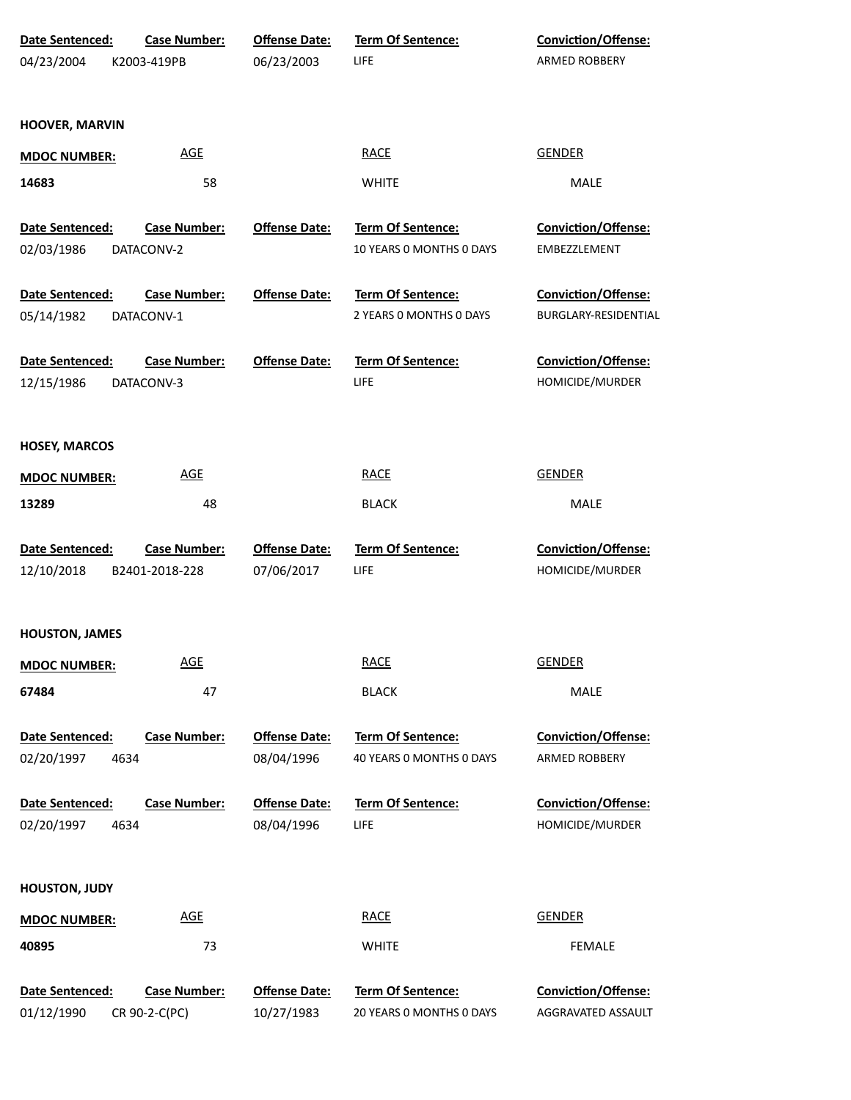| Date Sentenced:                       | <b>Case Number:</b>                  | <b>Offense Date:</b>               | Term Of Sentence:                             | Conviction/Offense:        |
|---------------------------------------|--------------------------------------|------------------------------------|-----------------------------------------------|----------------------------|
| 04/23/2004                            | K2003-419PB                          | 06/23/2003                         | LIFE                                          | ARMED ROBBERY              |
|                                       |                                      |                                    |                                               |                            |
| HOOVER, MARVIN                        |                                      |                                    |                                               |                            |
|                                       |                                      |                                    |                                               |                            |
| <b>MDOC NUMBER:</b>                   | <b>AGE</b>                           |                                    | <b>RACE</b>                                   | <b>GENDER</b>              |
| 14683                                 | 58                                   |                                    | <b>WHITE</b>                                  | MALE                       |
| Date Sentenced:                       | <b>Case Number:</b>                  | <b>Offense Date:</b>               | <b>Term Of Sentence:</b>                      | Conviction/Offense:        |
| 02/03/1986                            | DATACONV-2                           |                                    | 10 YEARS 0 MONTHS 0 DAYS                      | EMBEZZLEMENT               |
|                                       |                                      |                                    |                                               |                            |
| Date Sentenced:                       | <b>Case Number:</b>                  | <b>Offense Date:</b>               | Term Of Sentence:                             | Conviction/Offense:        |
| 05/14/1982                            | DATACONV-1                           |                                    | 2 YEARS O MONTHS O DAYS                       | BURGLARY-RESIDENTIAL       |
|                                       |                                      |                                    |                                               |                            |
| Date Sentenced:                       | <b>Case Number:</b>                  | <b>Offense Date:</b>               | Term Of Sentence:                             | Conviction/Offense:        |
| 12/15/1986                            | DATACONV-3                           |                                    | LIFE                                          | HOMICIDE/MURDER            |
|                                       |                                      |                                    |                                               |                            |
| <b>HOSEY, MARCOS</b>                  |                                      |                                    |                                               |                            |
| <b>MDOC NUMBER:</b>                   | <b>AGE</b>                           |                                    | <b>RACE</b>                                   | <b>GENDER</b>              |
| 13289                                 | 48                                   |                                    | <b>BLACK</b>                                  | <b>MALE</b>                |
|                                       |                                      |                                    |                                               |                            |
| Date Sentenced:                       | <b>Case Number:</b>                  | <b>Offense Date:</b>               | Term Of Sentence:                             | Conviction/Offense:        |
| 12/10/2018                            | B2401-2018-228                       | 07/06/2017                         | LIFE                                          | HOMICIDE/MURDER            |
|                                       |                                      |                                    |                                               |                            |
| <b>HOUSTON, JAMES</b>                 |                                      |                                    |                                               |                            |
|                                       |                                      |                                    |                                               |                            |
| <b>MDOC NUMBER:</b>                   | <b>AGE</b>                           |                                    | <b>RACE</b>                                   | <b>GENDER</b>              |
| 67484                                 | 47                                   |                                    | <b>BLACK</b>                                  | <b>MALE</b>                |
|                                       | <b>Case Number:</b>                  | <b>Offense Date:</b>               |                                               | Conviction/Offense:        |
| Date Sentenced:<br>02/20/1997<br>4634 |                                      | 08/04/1996                         | Term Of Sentence:<br>40 YEARS O MONTHS O DAYS | <b>ARMED ROBBERY</b>       |
|                                       |                                      |                                    |                                               |                            |
| Date Sentenced:                       | <b>Case Number:</b>                  | <b>Offense Date:</b>               | <b>Term Of Sentence:</b>                      | Conviction/Offense:        |
| 02/20/1997<br>4634                    |                                      | 08/04/1996                         | LIFE                                          | HOMICIDE/MURDER            |
|                                       |                                      |                                    |                                               |                            |
| <b>HOUSTON, JUDY</b>                  |                                      |                                    |                                               |                            |
|                                       |                                      |                                    |                                               |                            |
| <b>MDOC NUMBER:</b>                   | <b>AGE</b>                           |                                    | <b>RACE</b>                                   | <b>GENDER</b>              |
| 40895                                 | 73                                   |                                    | <b>WHITE</b>                                  | <b>FEMALE</b>              |
|                                       |                                      |                                    | <b>Term Of Sentence:</b>                      | <b>Conviction/Offense:</b> |
| Date Sentenced:<br>01/12/1990         | <b>Case Number:</b><br>CR 90-2-C(PC) | <b>Offense Date:</b><br>10/27/1983 | 20 YEARS O MONTHS O DAYS                      | AGGRAVATED ASSAULT         |
|                                       |                                      |                                    |                                               |                            |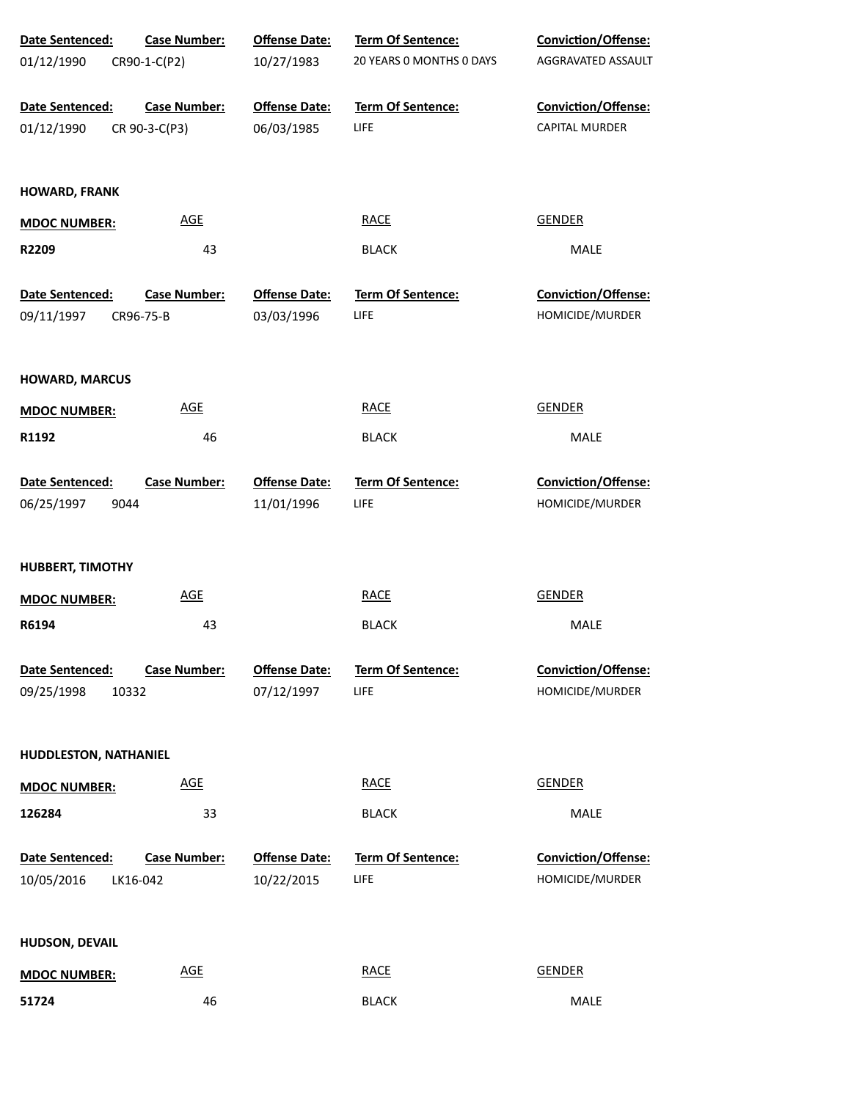| Date Sentenced:         | <b>Case Number:</b> | <b>Offense Date:</b> | Term Of Sentence:        | Conviction/Offense:        |
|-------------------------|---------------------|----------------------|--------------------------|----------------------------|
| 01/12/1990              | CR90-1-C(P2)        | 10/27/1983           | 20 YEARS 0 MONTHS 0 DAYS | AGGRAVATED ASSAULT         |
| Date Sentenced:         | <b>Case Number:</b> | <b>Offense Date:</b> | Term Of Sentence:        | Conviction/Offense:        |
| 01/12/1990              | CR 90-3-C(P3)       | 06/03/1985           | LIFE                     | <b>CAPITAL MURDER</b>      |
| <b>HOWARD, FRANK</b>    |                     |                      |                          |                            |
| <b>MDOC NUMBER:</b>     | AGE                 |                      | <b>RACE</b>              | <b>GENDER</b>              |
| R2209                   | 43                  |                      | <b>BLACK</b>             | MALE                       |
| Date Sentenced:         | <b>Case Number:</b> | <b>Offense Date:</b> | <b>Term Of Sentence:</b> | <b>Conviction/Offense:</b> |
| 09/11/1997              | CR96-75-B           | 03/03/1996           | LIFE                     | HOMICIDE/MURDER            |
| <b>HOWARD, MARCUS</b>   |                     |                      |                          |                            |
| <b>MDOC NUMBER:</b>     | <b>AGE</b>          |                      | <b>RACE</b>              | <b>GENDER</b>              |
| R1192                   | 46                  |                      | <b>BLACK</b>             | MALE                       |
| Date Sentenced:         | <b>Case Number:</b> | <b>Offense Date:</b> | Term Of Sentence:        | Conviction/Offense:        |
| 06/25/1997<br>9044      |                     | 11/01/1996           | <b>LIFE</b>              | HOMICIDE/MURDER            |
| <b>HUBBERT, TIMOTHY</b> |                     |                      |                          |                            |
| <b>MDOC NUMBER:</b>     | <b>AGE</b>          |                      | <b>RACE</b>              | <b>GENDER</b>              |
| R6194                   | 43                  |                      | <b>BLACK</b>             | MALE                       |
| Date Sentenced:         | <b>Case Number:</b> | <b>Offense Date:</b> | <b>Term Of Sentence:</b> | Conviction/Offense:        |
| 09/25/1998<br>10332     |                     | 07/12/1997           | LIFE                     | HOMICIDE/MURDER            |
| HUDDLESTON, NATHANIEL   |                     |                      |                          |                            |
| <b>MDOC NUMBER:</b>     | <b>AGE</b>          |                      | <b>RACE</b>              | <b>GENDER</b>              |
| 126284                  | 33                  |                      | <b>BLACK</b>             | <b>MALE</b>                |
| Date Sentenced:         | <b>Case Number:</b> | <b>Offense Date:</b> | Term Of Sentence:        | Conviction/Offense:        |
| 10/05/2016              | LK16-042            | 10/22/2015           | LIFE                     | HOMICIDE/MURDER            |
| HUDSON, DEVAIL          |                     |                      |                          |                            |
| <b>MDOC NUMBER:</b>     | <b>AGE</b>          |                      | <b>RACE</b>              | <b>GENDER</b>              |
| 51724                   | 46                  |                      | <b>BLACK</b>             | MALE                       |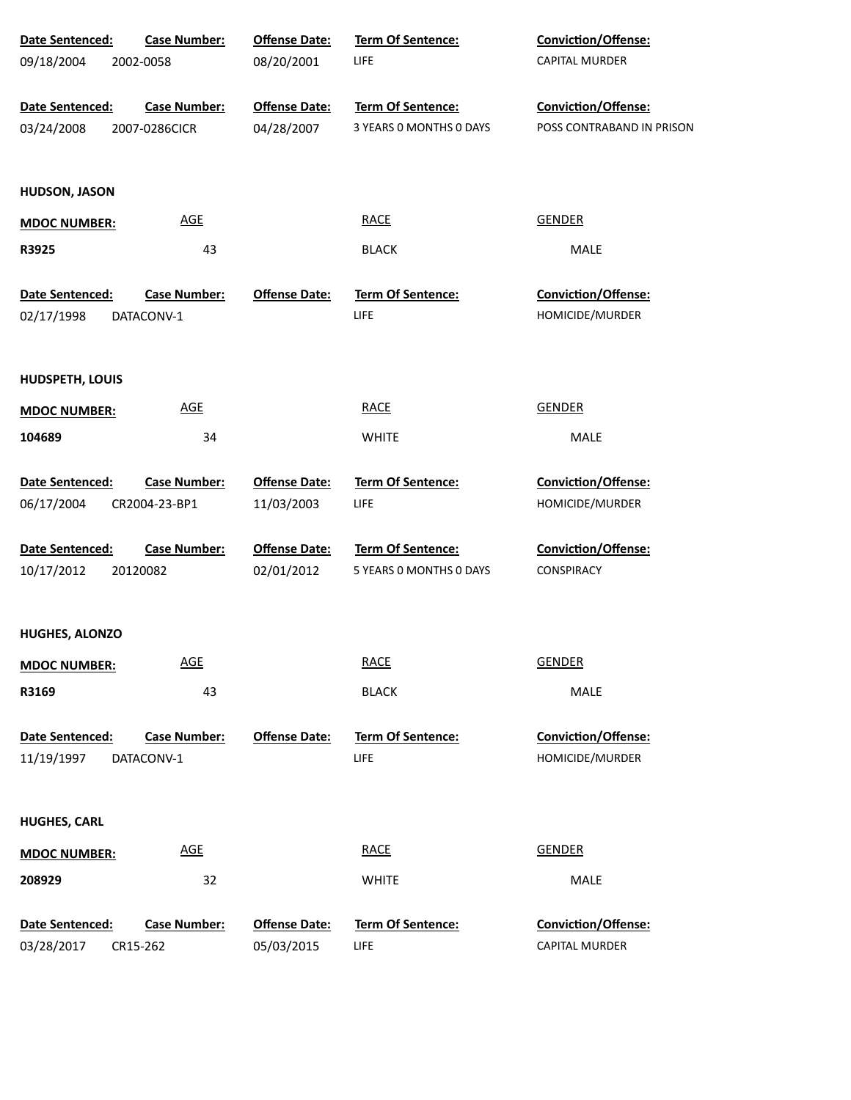| Date Sentenced:                      | <b>Case Number:</b>               | <b>Offense Date:</b> | <b>Term Of Sentence:</b>         | Conviction/Offense:                    |
|--------------------------------------|-----------------------------------|----------------------|----------------------------------|----------------------------------------|
| 09/18/2004                           | 2002-0058                         | 08/20/2001           | <b>LIFE</b>                      | CAPITAL MURDER                         |
| Date Sentenced:                      | <b>Case Number:</b>               | <b>Offense Date:</b> | Term Of Sentence:                | Conviction/Offense:                    |
| 03/24/2008                           | 2007-0286CICR                     | 04/28/2007           | 3 YEARS 0 MONTHS 0 DAYS          | POSS CONTRABAND IN PRISON              |
| <b>HUDSON, JASON</b>                 |                                   |                      |                                  |                                        |
| <b>MDOC NUMBER:</b>                  | AGE                               |                      | <b>RACE</b>                      | <b>GENDER</b>                          |
| R3925                                | 43                                |                      | <b>BLACK</b>                     | MALE                                   |
| Date Sentenced:                      | <b>Case Number:</b>               | <b>Offense Date:</b> | Term Of Sentence:                | Conviction/Offense:                    |
| 02/17/1998                           | DATACONV-1                        |                      | <b>LIFE</b>                      | HOMICIDE/MURDER                        |
| HUDSPETH, LOUIS                      |                                   |                      |                                  |                                        |
| <b>MDOC NUMBER:</b>                  | $\underline{\mathsf{AGE}}$        |                      | <b>RACE</b>                      | <b>GENDER</b>                          |
| 104689                               | 34                                |                      | <b>WHITE</b>                     | MALE                                   |
| Date Sentenced:                      | <b>Case Number:</b>               | <b>Offense Date:</b> | Term Of Sentence:                | Conviction/Offense:                    |
| 06/17/2004                           | CR2004-23-BP1                     | 11/03/2003           | LIFE                             | HOMICIDE/MURDER                        |
| Date Sentenced:                      | <b>Case Number:</b>               | <b>Offense Date:</b> | Term Of Sentence:                | Conviction/Offense:                    |
| 10/17/2012                           | 20120082                          | 02/01/2012           | 5 YEARS 0 MONTHS 0 DAYS          | <b>CONSPIRACY</b>                      |
| <b>HUGHES, ALONZO</b>                |                                   |                      |                                  |                                        |
| <b>MDOC NUMBER:</b>                  | <b>AGE</b>                        |                      | <b>RACE</b>                      | <b>GENDER</b>                          |
| R3169                                | 43                                |                      | <b>BLACK</b>                     | MALE                                   |
| <b>Date Sentenced:</b><br>11/19/1997 | <b>Case Number:</b><br>DATACONV-1 | <b>Offense Date:</b> | Term Of Sentence:<br><b>LIFE</b> | Conviction/Offense:<br>HOMICIDE/MURDER |
| <b>HUGHES, CARL</b>                  |                                   |                      |                                  |                                        |
| <b>MDOC NUMBER:</b>                  | $\underline{\mathsf{AGE}}$        |                      | <b>RACE</b>                      | <b>GENDER</b>                          |
| 208929                               | 32                                |                      | <b>WHITE</b>                     | MALE                                   |
| Date Sentenced:                      | <b>Case Number:</b>               | <b>Offense Date:</b> | Term Of Sentence:                | Conviction/Offense:                    |
| 03/28/2017                           | CR15-262                          | 05/03/2015           | <b>LIFE</b>                      | CAPITAL MURDER                         |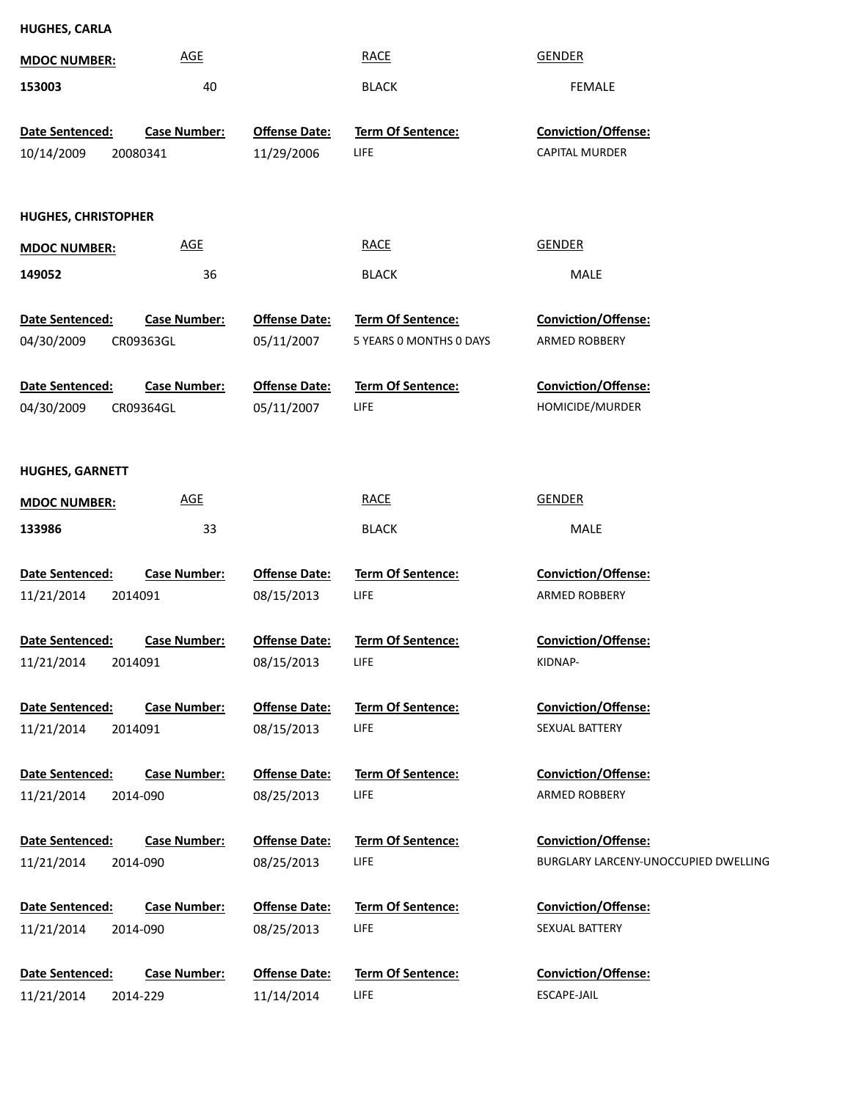| <b>MDOC NUMBER:</b>                             | <b>AGE</b>                       |                                    | <b>RACE</b>                                  | <b>GENDER</b>                                      |
|-------------------------------------------------|----------------------------------|------------------------------------|----------------------------------------------|----------------------------------------------------|
| 153003                                          | 40                               |                                    | <b>BLACK</b>                                 | <b>FEMALE</b>                                      |
|                                                 |                                  |                                    |                                              |                                                    |
| Date Sentenced:                                 | <b>Case Number:</b>              | <b>Offense Date:</b>               | Term Of Sentence:                            | Conviction/Offense:<br><b>CAPITAL MURDER</b>       |
| 10/14/2009                                      | 20080341                         | 11/29/2006                         | <b>LIFE</b>                                  |                                                    |
|                                                 |                                  |                                    |                                              |                                                    |
| <b>HUGHES, CHRISTOPHER</b>                      |                                  |                                    |                                              |                                                    |
| <b>MDOC NUMBER:</b>                             | <b>AGE</b>                       |                                    | <b>RACE</b>                                  | <b>GENDER</b>                                      |
| 149052                                          | 36                               |                                    | <b>BLACK</b>                                 | MALE                                               |
|                                                 |                                  |                                    |                                              |                                                    |
| Date Sentenced:<br>04/30/2009                   | <b>Case Number:</b><br>CR09363GL | <b>Offense Date:</b><br>05/11/2007 | Term Of Sentence:<br>5 YEARS 0 MONTHS 0 DAYS | <b>Conviction/Offense:</b><br><b>ARMED ROBBERY</b> |
|                                                 |                                  |                                    |                                              |                                                    |
| Date Sentenced:                                 | <b>Case Number:</b>              | <b>Offense Date:</b>               | <b>Term Of Sentence:</b>                     | Conviction/Offense:                                |
| 04/30/2009                                      | CR09364GL                        | 05/11/2007                         | <b>LIFE</b>                                  | HOMICIDE/MURDER                                    |
|                                                 |                                  |                                    |                                              |                                                    |
| <b>HUGHES, GARNETT</b>                          |                                  |                                    |                                              |                                                    |
| <b>MDOC NUMBER:</b>                             | <b>AGE</b>                       |                                    | <b>RACE</b>                                  | <b>GENDER</b>                                      |
| 133986                                          | 33                               |                                    | <b>BLACK</b>                                 | MALE                                               |
|                                                 |                                  |                                    |                                              |                                                    |
| Date Sentenced:                                 | <b>Case Number:</b>              | <b>Offense Date:</b>               | Term Of Sentence:                            | <b>Conviction/Offense:</b>                         |
| 11/21/2014<br>2014091                           |                                  | 08/15/2013                         | <b>LIFE</b>                                  | <b>ARMED ROBBERY</b>                               |
|                                                 |                                  |                                    |                                              |                                                    |
| <b>Date Sentenced:</b><br>11/21/2014<br>2014091 | <b>Case Number:</b>              | <b>Offense Date:</b><br>08/15/2013 | <b>Term Of Sentence:</b><br><b>LIFE</b>      | <b>Conviction/Offense:</b><br>KIDNAP-              |
|                                                 |                                  |                                    |                                              |                                                    |
| Date Sentenced:                                 | <b>Case Number:</b>              | <b>Offense Date:</b>               | <b>Term Of Sentence:</b>                     | <b>Conviction/Offense:</b>                         |
| 11/21/2014                                      | 2014091                          | 08/15/2013                         | LIFE.                                        | SEXUAL BATTERY                                     |
|                                                 |                                  |                                    |                                              |                                                    |
| Date Sentenced:<br>11/21/2014                   | <b>Case Number:</b><br>2014-090  | <b>Offense Date:</b><br>08/25/2013 | <b>Term Of Sentence:</b><br>LIFE.            | <b>Conviction/Offense:</b><br>ARMED ROBBERY        |
|                                                 |                                  |                                    |                                              |                                                    |
| Date Sentenced:                                 | <b>Case Number:</b>              | <b>Offense Date:</b>               | Term Of Sentence:                            | <b>Conviction/Offense:</b>                         |
| 11/21/2014                                      | 2014-090                         | 08/25/2013                         | LIFE                                         | BURGLARY LARCENY-UNOCCUPIED DWELLING               |
|                                                 |                                  |                                    |                                              |                                                    |
| Date Sentenced:<br>11/21/2014                   | <b>Case Number:</b><br>2014-090  | <b>Offense Date:</b><br>08/25/2013 | Term Of Sentence:<br>LIFE                    | <b>Conviction/Offense:</b><br>SEXUAL BATTERY       |
|                                                 |                                  |                                    |                                              |                                                    |
| Date Sentenced:                                 | <b>Case Number:</b>              | <b>Offense Date:</b>               | <b>Term Of Sentence:</b>                     | <b>Conviction/Offense:</b>                         |
| 11/21/2014                                      | 2014-229                         | 11/14/2014                         | LIFE                                         | ESCAPE-JAIL                                        |

**HUGHES, CARLA**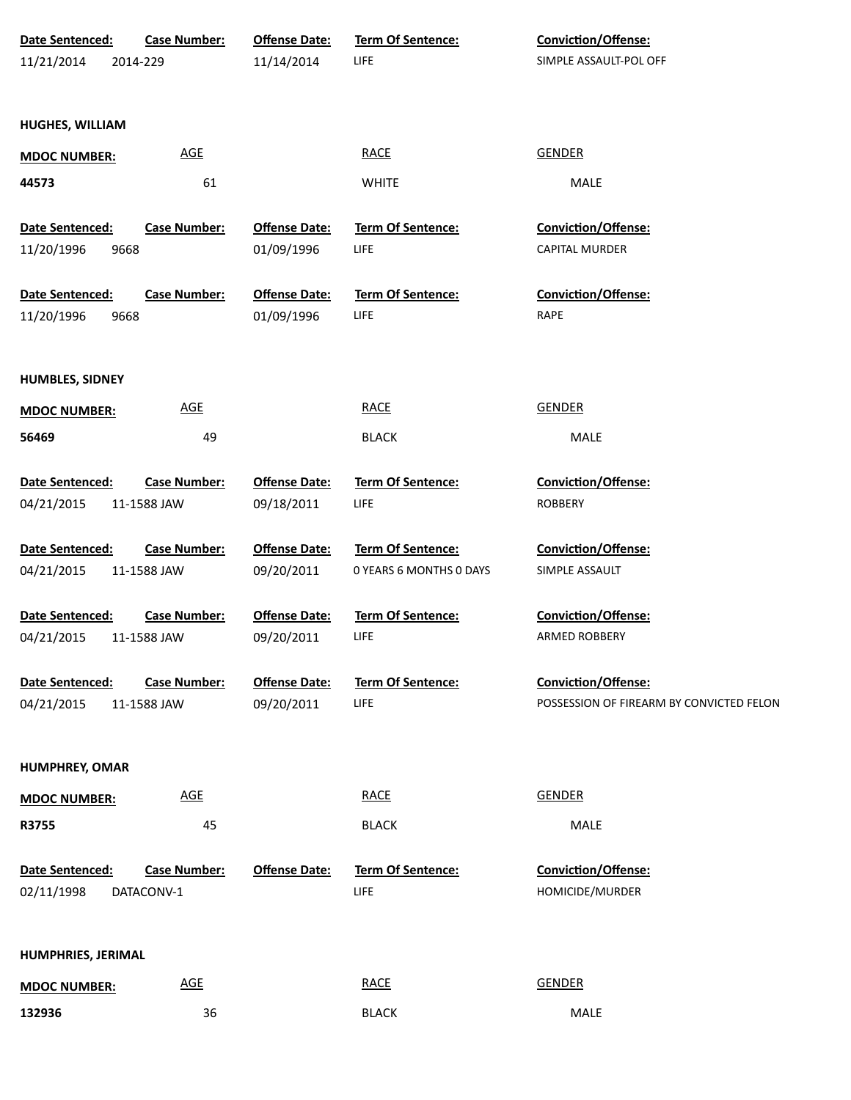| Date Sentenced:       | <b>Case Number:</b> | <b>Offense Date:</b> | Term Of Sentence:        | Conviction/Offense:                      |
|-----------------------|---------------------|----------------------|--------------------------|------------------------------------------|
| 11/21/2014            | 2014-229            | 11/14/2014           | LIFE                     | SIMPLE ASSAULT-POL OFF                   |
|                       |                     |                      |                          |                                          |
|                       |                     |                      |                          |                                          |
| HUGHES, WILLIAM       |                     |                      |                          |                                          |
| <b>MDOC NUMBER:</b>   | AGE                 |                      | <b>RACE</b>              | <b>GENDER</b>                            |
| 44573                 | 61                  |                      | <b>WHITE</b>             | MALE                                     |
|                       |                     |                      |                          |                                          |
| Date Sentenced:       | <b>Case Number:</b> | <b>Offense Date:</b> | Term Of Sentence:        | Conviction/Offense:                      |
| 11/20/1996<br>9668    |                     | 01/09/1996           | <b>LIFE</b>              | <b>CAPITAL MURDER</b>                    |
|                       |                     |                      |                          |                                          |
| Date Sentenced:       | <b>Case Number:</b> | <b>Offense Date:</b> | Term Of Sentence:        | <b>Conviction/Offense:</b>               |
| 11/20/1996<br>9668    |                     | 01/09/1996           | <b>LIFE</b>              | RAPE                                     |
|                       |                     |                      |                          |                                          |
| HUMBLES, SIDNEY       |                     |                      |                          |                                          |
| <b>MDOC NUMBER:</b>   | <b>AGE</b>          |                      | <b>RACE</b>              | <b>GENDER</b>                            |
| 56469                 | 49                  |                      | <b>BLACK</b>             | MALE                                     |
|                       |                     |                      |                          |                                          |
| Date Sentenced:       | <b>Case Number:</b> | <b>Offense Date:</b> | Term Of Sentence:        | Conviction/Offense:                      |
| 04/21/2015            | 11-1588 JAW         | 09/18/2011           | LIFE                     | <b>ROBBERY</b>                           |
|                       |                     |                      |                          |                                          |
| Date Sentenced:       | <b>Case Number:</b> | <b>Offense Date:</b> | Term Of Sentence:        | Conviction/Offense:                      |
| 04/21/2015            | 11-1588 JAW         | 09/20/2011           | 0 YEARS 6 MONTHS 0 DAYS  | SIMPLE ASSAULT                           |
|                       |                     |                      |                          |                                          |
| Date Sentenced:       | <b>Case Number:</b> | <b>Offense Date:</b> | Term Of Sentence:        | Conviction/Offense:                      |
| 04/21/2015            | 11-1588 JAW         | 09/20/2011           | LIFE                     | ARMED ROBBERY                            |
| Date Sentenced:       | <b>Case Number:</b> | <b>Offense Date:</b> | <b>Term Of Sentence:</b> | <b>Conviction/Offense:</b>               |
| 04/21/2015            | 11-1588 JAW         | 09/20/2011           | LIFE                     | POSSESSION OF FIREARM BY CONVICTED FELON |
|                       |                     |                      |                          |                                          |
|                       |                     |                      |                          |                                          |
| <b>HUMPHREY, OMAR</b> |                     |                      |                          |                                          |
| <b>MDOC NUMBER:</b>   | <b>AGE</b>          |                      | <b>RACE</b>              | <b>GENDER</b>                            |
| R3755                 | 45                  |                      | <b>BLACK</b>             | MALE                                     |
|                       |                     |                      |                          |                                          |
| Date Sentenced:       | <b>Case Number:</b> | <b>Offense Date:</b> | <b>Term Of Sentence:</b> | <b>Conviction/Offense:</b>               |
| 02/11/1998            | DATACONV-1          |                      | LIFE                     | HOMICIDE/MURDER                          |
|                       |                     |                      |                          |                                          |
|                       |                     |                      |                          |                                          |
| HUMPHRIES, JERIMAL    |                     |                      |                          |                                          |
| <b>MDOC NUMBER:</b>   | <b>AGE</b>          |                      | <b>RACE</b>              | <b>GENDER</b>                            |
| 132936                | 36                  |                      | <b>BLACK</b>             | MALE                                     |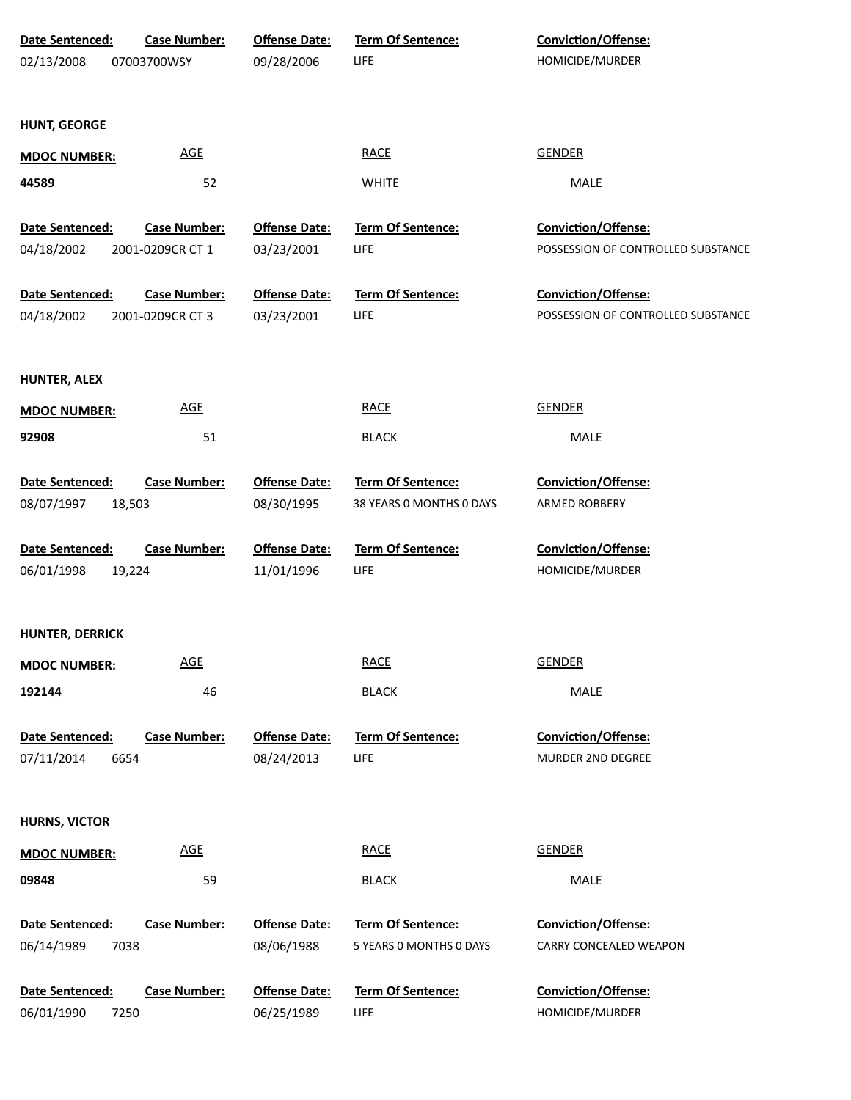| Date Sentenced:               | <b>Case Number:</b> | <b>Offense Date:</b>               | <b>Term Of Sentence:</b>  | Conviction/Offense:                    |
|-------------------------------|---------------------|------------------------------------|---------------------------|----------------------------------------|
| 02/13/2008                    | 07003700WSY         | 09/28/2006                         | LIFE                      | HOMICIDE/MURDER                        |
|                               |                     |                                    |                           |                                        |
| <b>HUNT, GEORGE</b>           |                     |                                    |                           |                                        |
| <b>MDOC NUMBER:</b>           | AGE                 |                                    | <b>RACE</b>               | <b>GENDER</b>                          |
| 44589                         | 52                  |                                    | <b>WHITE</b>              | MALE                                   |
|                               |                     |                                    |                           |                                        |
| Date Sentenced:               | <b>Case Number:</b> | <b>Offense Date:</b>               | Term Of Sentence:         | Conviction/Offense:                    |
| 04/18/2002                    | 2001-0209CR CT 1    | 03/23/2001                         | LIFE                      | POSSESSION OF CONTROLLED SUBSTANCE     |
| Date Sentenced:               | <b>Case Number:</b> | <b>Offense Date:</b>               | Term Of Sentence:         | Conviction/Offense:                    |
| 04/18/2002                    | 2001-0209CR CT 3    | 03/23/2001                         | LIFE                      | POSSESSION OF CONTROLLED SUBSTANCE     |
|                               |                     |                                    |                           |                                        |
| <b>HUNTER, ALEX</b>           |                     |                                    |                           |                                        |
| <b>MDOC NUMBER:</b>           | <b>AGE</b>          |                                    | <b>RACE</b>               | <b>GENDER</b>                          |
| 92908                         | 51                  |                                    | <b>BLACK</b>              | MALE                                   |
|                               |                     |                                    |                           |                                        |
| Date Sentenced:               | <b>Case Number:</b> | <b>Offense Date:</b>               | Term Of Sentence:         | Conviction/Offense:                    |
| 08/07/1997<br>18,503          |                     | 08/30/1995                         | 38 YEARS 0 MONTHS 0 DAYS  | ARMED ROBBERY                          |
|                               |                     |                                    |                           |                                        |
| Date Sentenced:<br>06/01/1998 | <b>Case Number:</b> | <b>Offense Date:</b><br>11/01/1996 | Term Of Sentence:<br>LIFE | Conviction/Offense:<br>HOMICIDE/MURDER |
| 19,224                        |                     |                                    |                           |                                        |
|                               |                     |                                    |                           |                                        |
| <b>HUNTER, DERRICK</b>        |                     |                                    |                           |                                        |
| <b>MDOC NUMBER:</b>           | <b>AGE</b>          |                                    | <b>RACE</b>               | <b>GENDER</b>                          |
| 192144                        | 46                  |                                    | <b>BLACK</b>              | MALE                                   |
|                               |                     |                                    |                           |                                        |
| Date Sentenced:               | <b>Case Number:</b> | <b>Offense Date:</b>               | <b>Term Of Sentence:</b>  | Conviction/Offense:                    |
| 07/11/2014<br>6654            |                     | 08/24/2013                         | LIFE                      | MURDER 2ND DEGREE                      |
|                               |                     |                                    |                           |                                        |
| <b>HURNS, VICTOR</b>          |                     |                                    |                           |                                        |
| <b>MDOC NUMBER:</b>           | <b>AGE</b>          |                                    | <b>RACE</b>               | <b>GENDER</b>                          |
| 09848                         | 59                  |                                    | <b>BLACK</b>              | MALE                                   |
| Date Sentenced:               | <b>Case Number:</b> | <b>Offense Date:</b>               | Term Of Sentence:         | Conviction/Offense:                    |
| 06/14/1989<br>7038            |                     | 08/06/1988                         | 5 YEARS 0 MONTHS 0 DAYS   | CARRY CONCEALED WEAPON                 |
|                               |                     |                                    |                           |                                        |
| Date Sentenced:               | <b>Case Number:</b> | <b>Offense Date:</b>               | <b>Term Of Sentence:</b>  | Conviction/Offense:                    |
| 06/01/1990<br>7250            |                     | 06/25/1989                         | LIFE                      | HOMICIDE/MURDER                        |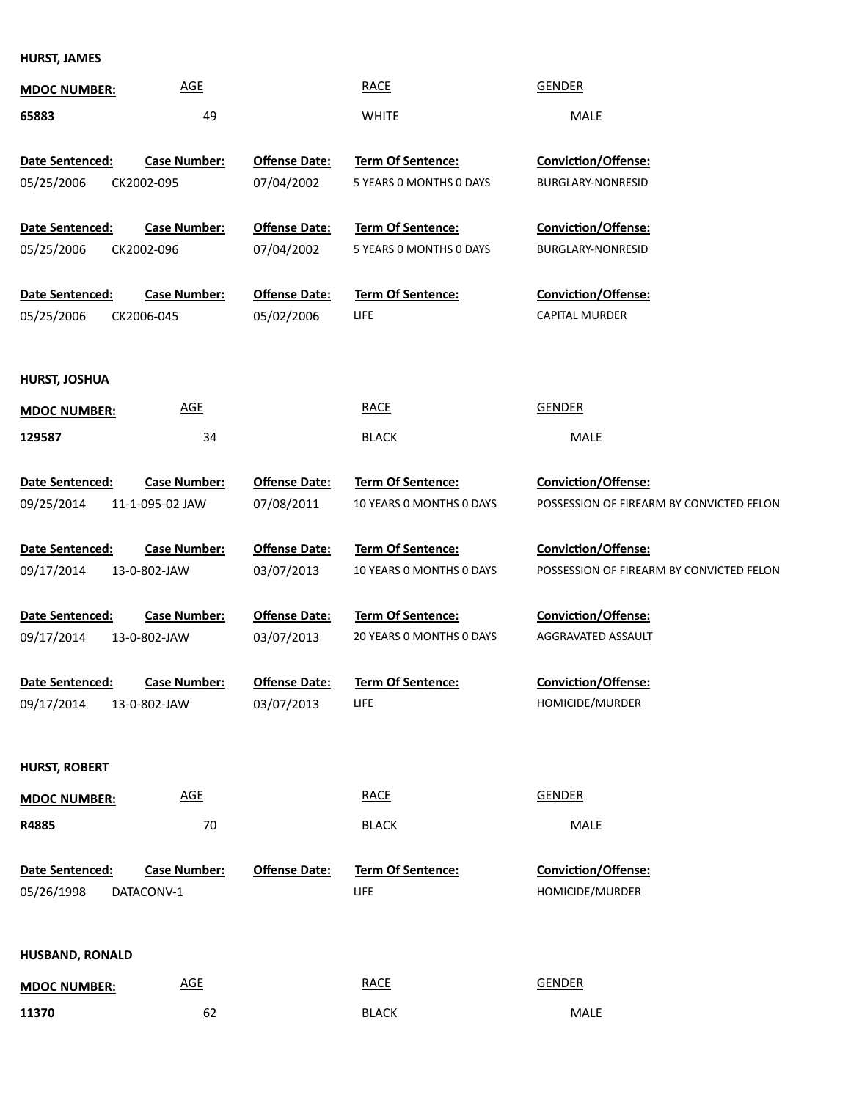**HURST, JAMES**

| <b>MDOC NUMBER:</b>    | <b>AGE</b>          |                      | <b>RACE</b>              | <b>GENDER</b>                            |
|------------------------|---------------------|----------------------|--------------------------|------------------------------------------|
| 65883                  | 49                  |                      | <b>WHITE</b>             | MALE                                     |
|                        |                     |                      |                          |                                          |
| Date Sentenced:        | <b>Case Number:</b> | <b>Offense Date:</b> | Term Of Sentence:        | Conviction/Offense:                      |
| 05/25/2006             | CK2002-095          | 07/04/2002           | 5 YEARS 0 MONTHS 0 DAYS  | BURGLARY-NONRESID                        |
| Date Sentenced:        | <b>Case Number:</b> | <b>Offense Date:</b> | Term Of Sentence:        | Conviction/Offense:                      |
| 05/25/2006             | CK2002-096          | 07/04/2002           | 5 YEARS O MONTHS O DAYS  | BURGLARY-NONRESID                        |
|                        |                     |                      |                          |                                          |
| Date Sentenced:        | <b>Case Number:</b> | <b>Offense Date:</b> | Term Of Sentence:        | Conviction/Offense:                      |
| 05/25/2006             | CK2006-045          | 05/02/2006           | <b>LIFE</b>              | <b>CAPITAL MURDER</b>                    |
|                        |                     |                      |                          |                                          |
| HURST, JOSHUA          |                     |                      |                          |                                          |
|                        | <b>AGE</b>          |                      | <b>RACE</b>              | <b>GENDER</b>                            |
| <b>MDOC NUMBER:</b>    |                     |                      |                          |                                          |
| 129587                 | 34                  |                      | <b>BLACK</b>             | MALE                                     |
| Date Sentenced:        | <b>Case Number:</b> | <b>Offense Date:</b> | Term Of Sentence:        | Conviction/Offense:                      |
| 09/25/2014             | 11-1-095-02 JAW     | 07/08/2011           | 10 YEARS 0 MONTHS 0 DAYS | POSSESSION OF FIREARM BY CONVICTED FELON |
|                        |                     |                      |                          |                                          |
| Date Sentenced:        | <b>Case Number:</b> | <b>Offense Date:</b> | Term Of Sentence:        | Conviction/Offense:                      |
| 09/17/2014             | 13-0-802-JAW        | 03/07/2013           | 10 YEARS 0 MONTHS 0 DAYS | POSSESSION OF FIREARM BY CONVICTED FELON |
|                        |                     |                      |                          |                                          |
| Date Sentenced:        | <b>Case Number:</b> | <b>Offense Date:</b> | Term Of Sentence:        | Conviction/Offense:                      |
| 09/17/2014             | 13-0-802-JAW        | 03/07/2013           | 20 YEARS 0 MONTHS 0 DAYS | AGGRAVATED ASSAULT                       |
|                        |                     |                      |                          |                                          |
| Date Sentenced:        | <b>Case Number:</b> | <b>Offense Date:</b> | <b>Term Of Sentence:</b> | Conviction/Offense:                      |
| 09/17/2014             | 13-0-802-JAW        | 03/07/2013           | LIFE                     | HOMICIDE/MURDER                          |
|                        |                     |                      |                          |                                          |
| <b>HURST, ROBERT</b>   |                     |                      |                          |                                          |
| <b>MDOC NUMBER:</b>    | <b>AGE</b>          |                      | <b>RACE</b>              | <b>GENDER</b>                            |
| R4885                  | 70                  |                      | <b>BLACK</b>             | MALE                                     |
|                        |                     |                      |                          |                                          |
| Date Sentenced:        | <b>Case Number:</b> | <b>Offense Date:</b> | Term Of Sentence:        | Conviction/Offense:                      |
| 05/26/1998             | DATACONV-1          |                      | LIFE                     | HOMICIDE/MURDER                          |
|                        |                     |                      |                          |                                          |
| <b>HUSBAND, RONALD</b> |                     |                      |                          |                                          |
|                        |                     |                      |                          |                                          |
| <b>MDOC NUMBER:</b>    | <b>AGE</b>          |                      | <b>RACE</b>              | <b>GENDER</b>                            |
| 11370                  | 62                  |                      | <b>BLACK</b>             | MALE                                     |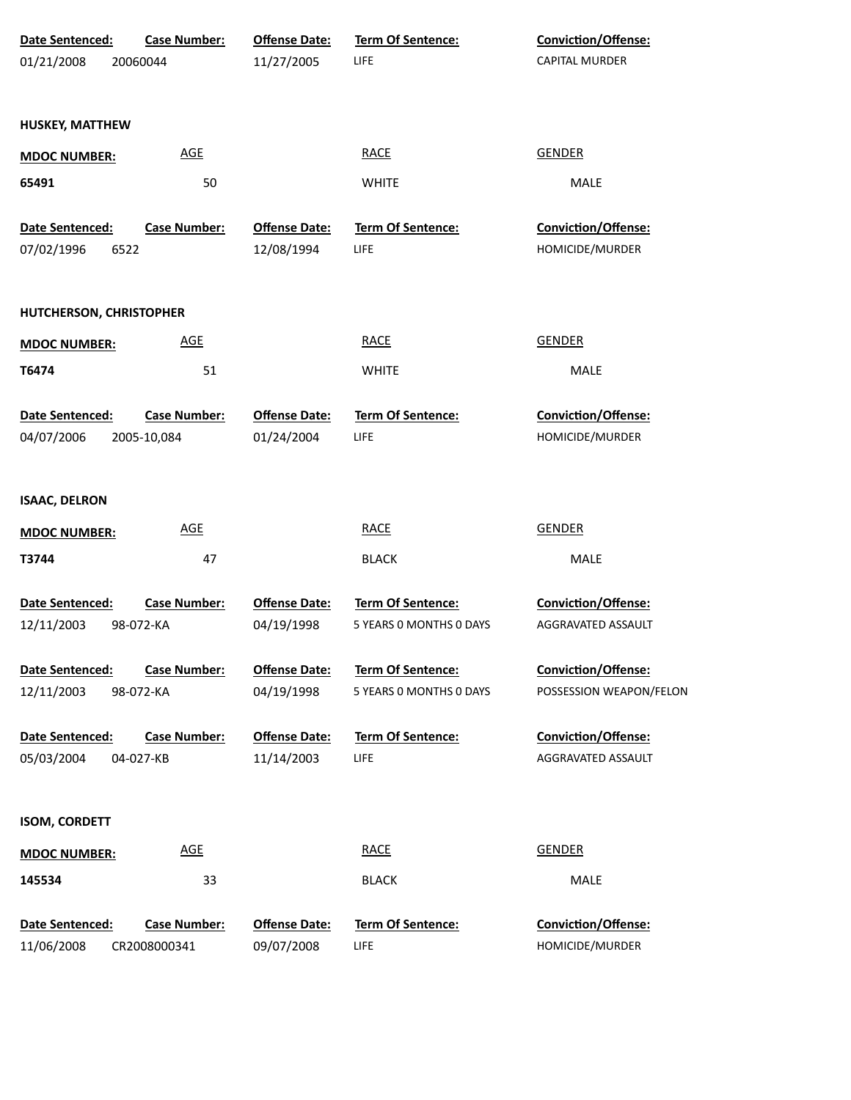| 01/21/2008<br>11/27/2005<br>LIFE<br><b>CAPITAL MURDER</b><br>20060044<br><b>HUSKEY, MATTHEW</b><br><b>GENDER</b><br><b>AGE</b><br><b>RACE</b><br><b>MDOC NUMBER:</b><br>65491<br>50<br><b>WHITE</b><br>MALE<br>Term Of Sentence:<br>Conviction/Offense:<br>Date Sentenced:<br><b>Case Number:</b><br><b>Offense Date:</b><br>HOMICIDE/MURDER<br>12/08/1994<br>LIFE<br>6522<br><b>RACE</b><br><b>GENDER</b><br><b>AGE</b><br>51<br><b>WHITE</b><br><b>MALE</b><br>Term Of Sentence:<br>Conviction/Offense:<br><b>Case Number:</b><br><b>Offense Date:</b><br>01/24/2004<br>LIFE<br>HOMICIDE/MURDER<br>2005-10,084<br><b>AGE</b><br><b>GENDER</b><br><b>RACE</b><br>47<br><b>BLACK</b><br>MALE<br><b>Offense Date:</b><br>Term Of Sentence:<br>Conviction/Offense:<br><b>Case Number:</b><br>04/19/1998<br>5 YEARS 0 MONTHS 0 DAYS<br>AGGRAVATED ASSAULT<br>98-072-KA<br><b>Offense Date:</b><br><b>Conviction/Offense:</b><br><b>Case Number:</b><br>Term Of Sentence:<br>04/19/1998<br>5 YEARS 0 MONTHS 0 DAYS<br>POSSESSION WEAPON/FELON<br>98-072-KA<br><b>Offense Date:</b><br><b>Term Of Sentence:</b><br><b>Conviction/Offense:</b><br><b>Case Number:</b><br>11/14/2003<br>LIFE<br>AGGRAVATED ASSAULT<br>04-027-KB<br><b>AGE</b><br><b>RACE</b><br><b>GENDER</b><br>33<br>MALE<br><b>BLACK</b><br><b>Case Number:</b><br><b>Offense Date:</b><br>Term Of Sentence:<br><b>Conviction/Offense:</b><br>LIFE<br>HOMICIDE/MURDER<br>CR2008000341<br>09/07/2008 | Date Sentenced: | <b>Case Number:</b> | <b>Offense Date:</b> | Term Of Sentence: | Conviction/Offense: |
|-----------------------------------------------------------------------------------------------------------------------------------------------------------------------------------------------------------------------------------------------------------------------------------------------------------------------------------------------------------------------------------------------------------------------------------------------------------------------------------------------------------------------------------------------------------------------------------------------------------------------------------------------------------------------------------------------------------------------------------------------------------------------------------------------------------------------------------------------------------------------------------------------------------------------------------------------------------------------------------------------------------------------------------------------------------------------------------------------------------------------------------------------------------------------------------------------------------------------------------------------------------------------------------------------------------------------------------------------------------------------------------------------------------------------------------------------------------------|-----------------|---------------------|----------------------|-------------------|---------------------|
|                                                                                                                                                                                                                                                                                                                                                                                                                                                                                                                                                                                                                                                                                                                                                                                                                                                                                                                                                                                                                                                                                                                                                                                                                                                                                                                                                                                                                                                                 |                 |                     |                      |                   |                     |
|                                                                                                                                                                                                                                                                                                                                                                                                                                                                                                                                                                                                                                                                                                                                                                                                                                                                                                                                                                                                                                                                                                                                                                                                                                                                                                                                                                                                                                                                 |                 |                     |                      |                   |                     |
|                                                                                                                                                                                                                                                                                                                                                                                                                                                                                                                                                                                                                                                                                                                                                                                                                                                                                                                                                                                                                                                                                                                                                                                                                                                                                                                                                                                                                                                                 |                 |                     |                      |                   |                     |
|                                                                                                                                                                                                                                                                                                                                                                                                                                                                                                                                                                                                                                                                                                                                                                                                                                                                                                                                                                                                                                                                                                                                                                                                                                                                                                                                                                                                                                                                 |                 |                     |                      |                   |                     |
|                                                                                                                                                                                                                                                                                                                                                                                                                                                                                                                                                                                                                                                                                                                                                                                                                                                                                                                                                                                                                                                                                                                                                                                                                                                                                                                                                                                                                                                                 |                 |                     |                      |                   |                     |
|                                                                                                                                                                                                                                                                                                                                                                                                                                                                                                                                                                                                                                                                                                                                                                                                                                                                                                                                                                                                                                                                                                                                                                                                                                                                                                                                                                                                                                                                 |                 |                     |                      |                   |                     |
| HUTCHERSON, CHRISTOPHER<br><b>MDOC NUMBER:</b><br>T6474<br>Date Sentenced:<br>04/07/2006<br><b>ISAAC, DELRON</b><br><b>MDOC NUMBER:</b><br>T3744<br><b>Date Sentenced:</b><br>12/11/2003<br>Date Sentenced:<br>12/11/2003<br>Date Sentenced:<br>05/03/2004<br><b>ISOM, CORDETT</b><br><b>MDOC NUMBER:</b><br>145534<br>Date Sentenced:<br>11/06/2008                                                                                                                                                                                                                                                                                                                                                                                                                                                                                                                                                                                                                                                                                                                                                                                                                                                                                                                                                                                                                                                                                                            | 07/02/1996      |                     |                      |                   |                     |
|                                                                                                                                                                                                                                                                                                                                                                                                                                                                                                                                                                                                                                                                                                                                                                                                                                                                                                                                                                                                                                                                                                                                                                                                                                                                                                                                                                                                                                                                 |                 |                     |                      |                   |                     |
|                                                                                                                                                                                                                                                                                                                                                                                                                                                                                                                                                                                                                                                                                                                                                                                                                                                                                                                                                                                                                                                                                                                                                                                                                                                                                                                                                                                                                                                                 |                 |                     |                      |                   |                     |
|                                                                                                                                                                                                                                                                                                                                                                                                                                                                                                                                                                                                                                                                                                                                                                                                                                                                                                                                                                                                                                                                                                                                                                                                                                                                                                                                                                                                                                                                 |                 |                     |                      |                   |                     |
|                                                                                                                                                                                                                                                                                                                                                                                                                                                                                                                                                                                                                                                                                                                                                                                                                                                                                                                                                                                                                                                                                                                                                                                                                                                                                                                                                                                                                                                                 |                 |                     |                      |                   |                     |
|                                                                                                                                                                                                                                                                                                                                                                                                                                                                                                                                                                                                                                                                                                                                                                                                                                                                                                                                                                                                                                                                                                                                                                                                                                                                                                                                                                                                                                                                 |                 |                     |                      |                   |                     |
|                                                                                                                                                                                                                                                                                                                                                                                                                                                                                                                                                                                                                                                                                                                                                                                                                                                                                                                                                                                                                                                                                                                                                                                                                                                                                                                                                                                                                                                                 |                 |                     |                      |                   |                     |
|                                                                                                                                                                                                                                                                                                                                                                                                                                                                                                                                                                                                                                                                                                                                                                                                                                                                                                                                                                                                                                                                                                                                                                                                                                                                                                                                                                                                                                                                 |                 |                     |                      |                   |                     |
|                                                                                                                                                                                                                                                                                                                                                                                                                                                                                                                                                                                                                                                                                                                                                                                                                                                                                                                                                                                                                                                                                                                                                                                                                                                                                                                                                                                                                                                                 |                 |                     |                      |                   |                     |
|                                                                                                                                                                                                                                                                                                                                                                                                                                                                                                                                                                                                                                                                                                                                                                                                                                                                                                                                                                                                                                                                                                                                                                                                                                                                                                                                                                                                                                                                 |                 |                     |                      |                   |                     |
|                                                                                                                                                                                                                                                                                                                                                                                                                                                                                                                                                                                                                                                                                                                                                                                                                                                                                                                                                                                                                                                                                                                                                                                                                                                                                                                                                                                                                                                                 |                 |                     |                      |                   |                     |
|                                                                                                                                                                                                                                                                                                                                                                                                                                                                                                                                                                                                                                                                                                                                                                                                                                                                                                                                                                                                                                                                                                                                                                                                                                                                                                                                                                                                                                                                 |                 |                     |                      |                   |                     |
|                                                                                                                                                                                                                                                                                                                                                                                                                                                                                                                                                                                                                                                                                                                                                                                                                                                                                                                                                                                                                                                                                                                                                                                                                                                                                                                                                                                                                                                                 |                 |                     |                      |                   |                     |
|                                                                                                                                                                                                                                                                                                                                                                                                                                                                                                                                                                                                                                                                                                                                                                                                                                                                                                                                                                                                                                                                                                                                                                                                                                                                                                                                                                                                                                                                 |                 |                     |                      |                   |                     |
|                                                                                                                                                                                                                                                                                                                                                                                                                                                                                                                                                                                                                                                                                                                                                                                                                                                                                                                                                                                                                                                                                                                                                                                                                                                                                                                                                                                                                                                                 |                 |                     |                      |                   |                     |
|                                                                                                                                                                                                                                                                                                                                                                                                                                                                                                                                                                                                                                                                                                                                                                                                                                                                                                                                                                                                                                                                                                                                                                                                                                                                                                                                                                                                                                                                 |                 |                     |                      |                   |                     |
|                                                                                                                                                                                                                                                                                                                                                                                                                                                                                                                                                                                                                                                                                                                                                                                                                                                                                                                                                                                                                                                                                                                                                                                                                                                                                                                                                                                                                                                                 |                 |                     |                      |                   |                     |
|                                                                                                                                                                                                                                                                                                                                                                                                                                                                                                                                                                                                                                                                                                                                                                                                                                                                                                                                                                                                                                                                                                                                                                                                                                                                                                                                                                                                                                                                 |                 |                     |                      |                   |                     |
|                                                                                                                                                                                                                                                                                                                                                                                                                                                                                                                                                                                                                                                                                                                                                                                                                                                                                                                                                                                                                                                                                                                                                                                                                                                                                                                                                                                                                                                                 |                 |                     |                      |                   |                     |
|                                                                                                                                                                                                                                                                                                                                                                                                                                                                                                                                                                                                                                                                                                                                                                                                                                                                                                                                                                                                                                                                                                                                                                                                                                                                                                                                                                                                                                                                 |                 |                     |                      |                   |                     |
|                                                                                                                                                                                                                                                                                                                                                                                                                                                                                                                                                                                                                                                                                                                                                                                                                                                                                                                                                                                                                                                                                                                                                                                                                                                                                                                                                                                                                                                                 |                 |                     |                      |                   |                     |
|                                                                                                                                                                                                                                                                                                                                                                                                                                                                                                                                                                                                                                                                                                                                                                                                                                                                                                                                                                                                                                                                                                                                                                                                                                                                                                                                                                                                                                                                 |                 |                     |                      |                   |                     |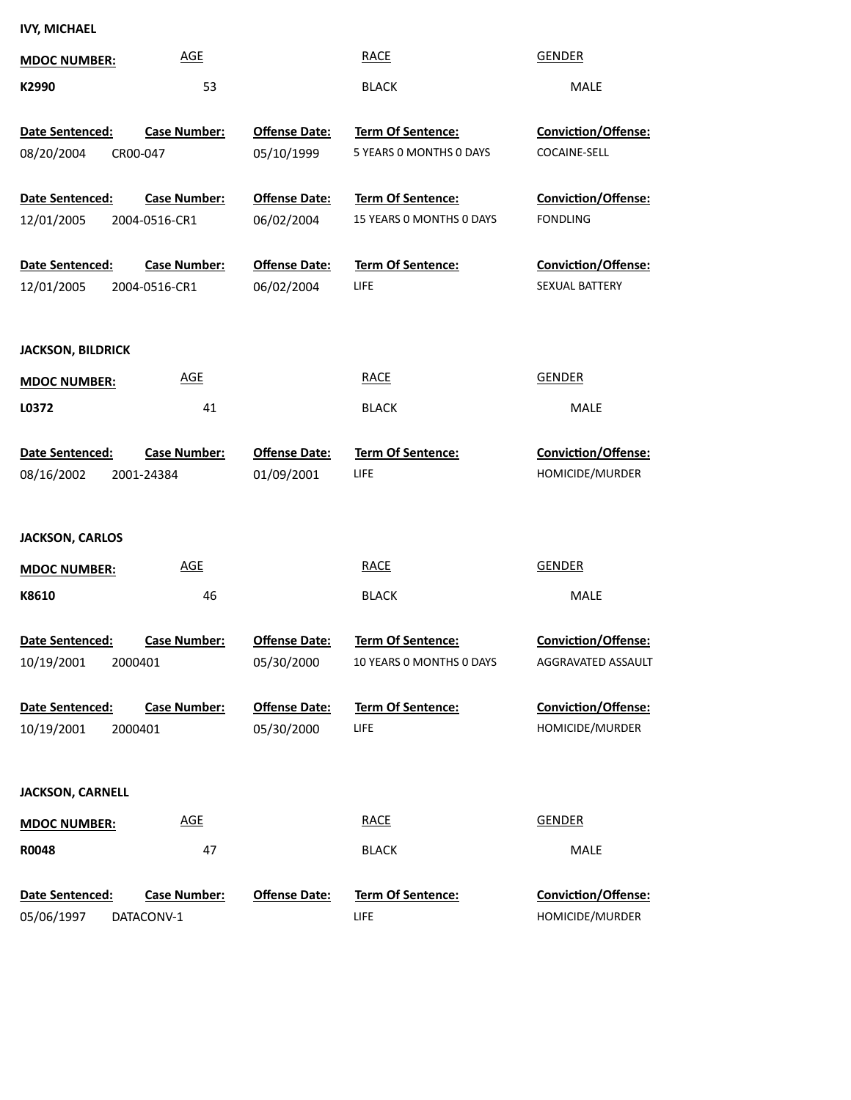## **IVY, MICHAEL**

| <b>MDOC NUMBER:</b>           | <b>AGE</b>                           |                                    | <b>RACE</b>                                         | <b>GENDER</b>                                    |
|-------------------------------|--------------------------------------|------------------------------------|-----------------------------------------------------|--------------------------------------------------|
| K2990                         | 53                                   |                                    | <b>BLACK</b>                                        | MALE                                             |
| Date Sentenced:<br>08/20/2004 | <b>Case Number:</b><br>CR00-047      | <b>Offense Date:</b><br>05/10/1999 | <b>Term Of Sentence:</b><br>5 YEARS 0 MONTHS 0 DAYS | Conviction/Offense:<br>COCAINE-SELL              |
| Date Sentenced:<br>12/01/2005 | <b>Case Number:</b><br>2004-0516-CR1 | <b>Offense Date:</b><br>06/02/2004 | Term Of Sentence:<br>15 YEARS O MONTHS O DAYS       | <b>Conviction/Offense:</b><br><b>FONDLING</b>    |
| Date Sentenced:<br>12/01/2005 | <b>Case Number:</b><br>2004-0516-CR1 | <b>Offense Date:</b><br>06/02/2004 | Term Of Sentence:<br>LIFE                           | <b>Conviction/Offense:</b><br>SEXUAL BATTERY     |
| <b>JACKSON, BILDRICK</b>      |                                      |                                    |                                                     |                                                  |
| <b>MDOC NUMBER:</b>           | <b>AGE</b>                           |                                    | <b>RACE</b>                                         | <b>GENDER</b>                                    |
| L0372                         | 41                                   |                                    | <b>BLACK</b>                                        | MALE                                             |
| Date Sentenced:<br>08/16/2002 | <b>Case Number:</b><br>2001-24384    | <b>Offense Date:</b><br>01/09/2001 | <b>Term Of Sentence:</b><br>LIFE                    | Conviction/Offense:<br>HOMICIDE/MURDER           |
| <b>JACKSON, CARLOS</b>        |                                      |                                    |                                                     |                                                  |
| <b>MDOC NUMBER:</b>           | <b>AGE</b>                           |                                    | <b>RACE</b>                                         | <b>GENDER</b>                                    |
| K8610                         | 46                                   |                                    | <b>BLACK</b>                                        | MALE                                             |
| Date Sentenced:<br>10/19/2001 | <b>Case Number:</b><br>2000401       | <b>Offense Date:</b><br>05/30/2000 | Term Of Sentence:<br>10 YEARS O MONTHS O DAYS       | <b>Conviction/Offense:</b><br>AGGRAVATED ASSAULT |
| Date Sentenced:<br>10/19/2001 | <b>Case Number:</b><br>2000401       | <b>Offense Date:</b><br>05/30/2000 | <b>Term Of Sentence:</b><br>LIFE                    | Conviction/Offense:<br>HOMICIDE/MURDER           |
| <b>JACKSON, CARNELL</b>       |                                      |                                    |                                                     |                                                  |
| <b>MDOC NUMBER:</b>           | <b>AGE</b>                           |                                    | <b>RACE</b>                                         | <b>GENDER</b>                                    |
| R0048                         | 47                                   |                                    | <b>BLACK</b>                                        | <b>MALE</b>                                      |
| Date Sentenced:<br>05/06/1997 | <b>Case Number:</b><br>DATACONV-1    | <b>Offense Date:</b>               | <b>Term Of Sentence:</b><br>LIFE                    | Conviction/Offense:<br>HOMICIDE/MURDER           |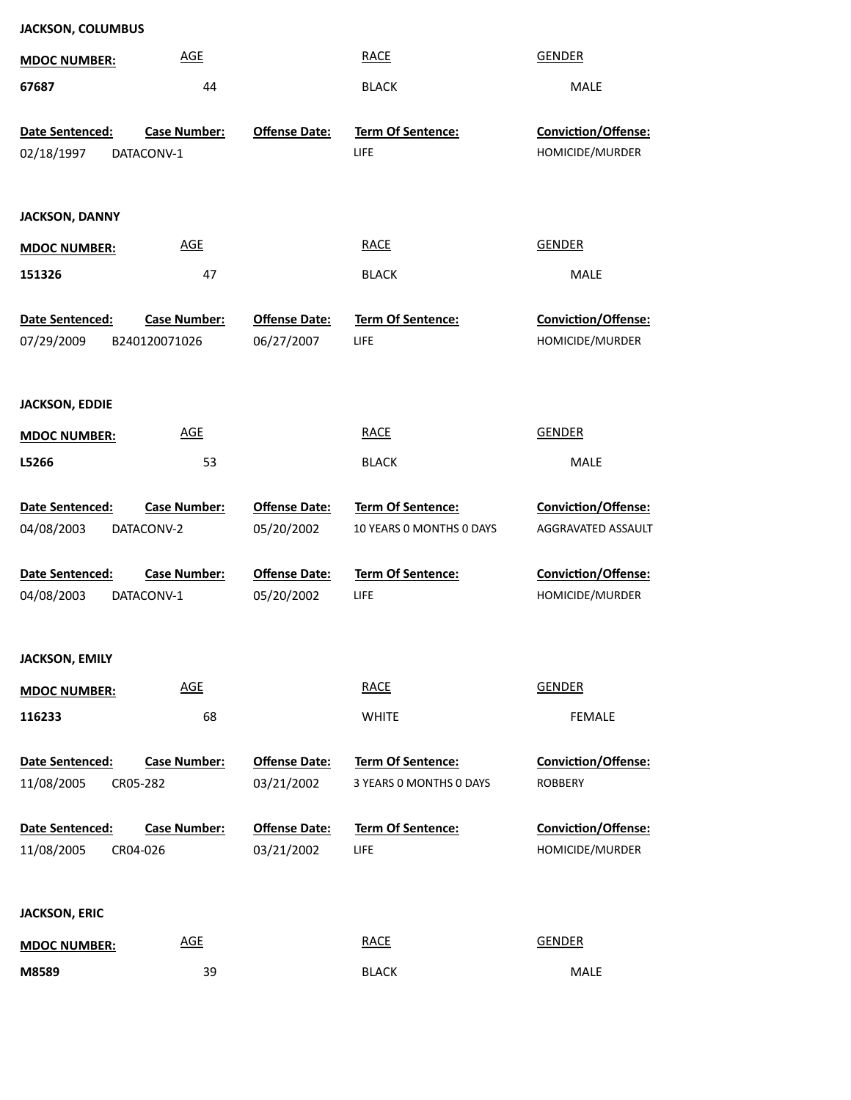| <b>JACKSON, COLUMBUS</b>      |                                      |                                    |                                               |                                           |  |  |  |
|-------------------------------|--------------------------------------|------------------------------------|-----------------------------------------------|-------------------------------------------|--|--|--|
| <b>MDOC NUMBER:</b>           | <b>AGE</b>                           |                                    | <b>RACE</b>                                   | <b>GENDER</b>                             |  |  |  |
| 67687                         | 44                                   |                                    | <b>BLACK</b>                                  | MALE                                      |  |  |  |
| Date Sentenced:<br>02/18/1997 | <b>Case Number:</b><br>DATACONV-1    | <b>Offense Date:</b>               | Term Of Sentence:<br>LIFE                     | Conviction/Offense:<br>HOMICIDE/MURDER    |  |  |  |
| <b>JACKSON, DANNY</b>         |                                      |                                    |                                               |                                           |  |  |  |
| <b>MDOC NUMBER:</b>           | <b>AGE</b>                           |                                    | <b>RACE</b>                                   | <b>GENDER</b>                             |  |  |  |
| 151326                        | 47                                   |                                    | <b>BLACK</b>                                  | MALE                                      |  |  |  |
| Date Sentenced:<br>07/29/2009 | <b>Case Number:</b><br>B240120071026 | <b>Offense Date:</b><br>06/27/2007 | Term Of Sentence:<br>LIFE                     | Conviction/Offense:<br>HOMICIDE/MURDER    |  |  |  |
| <b>JACKSON, EDDIE</b>         |                                      |                                    |                                               |                                           |  |  |  |
| <b>MDOC NUMBER:</b>           | <b>AGE</b>                           |                                    | <b>RACE</b>                                   | <b>GENDER</b>                             |  |  |  |
| L5266                         | 53                                   |                                    | <b>BLACK</b>                                  | MALE                                      |  |  |  |
|                               |                                      |                                    |                                               |                                           |  |  |  |
| Date Sentenced:<br>04/08/2003 | Case Number:<br>DATACONV-2           | <b>Offense Date:</b><br>05/20/2002 | Term Of Sentence:<br>10 YEARS 0 MONTHS 0 DAYS | Conviction/Offense:<br>AGGRAVATED ASSAULT |  |  |  |
| Date Sentenced:<br>04/08/2003 | <b>Case Number:</b><br>DATACONV-1    | <b>Offense Date:</b><br>05/20/2002 | Term Of Sentence:<br>LIFE                     | Conviction/Offense:<br>HOMICIDE/MURDER    |  |  |  |
| <b>JACKSON, EMILY</b>         |                                      |                                    |                                               |                                           |  |  |  |
| <b>MDOC NUMBER:</b>           | <b>AGE</b>                           |                                    | <b>RACE</b>                                   | <b>GENDER</b>                             |  |  |  |
| 116233                        | 68                                   |                                    | <b>WHITE</b>                                  | FEMALE                                    |  |  |  |
| Date Sentenced:<br>11/08/2005 | <b>Case Number:</b><br>CR05-282      | <b>Offense Date:</b><br>03/21/2002 | Term Of Sentence:<br>3 YEARS 0 MONTHS 0 DAYS  | Conviction/Offense:<br><b>ROBBERY</b>     |  |  |  |
| Date Sentenced:<br>11/08/2005 | <b>Case Number:</b><br>CR04-026      | <b>Offense Date:</b><br>03/21/2002 | Term Of Sentence:<br>LIFE                     | Conviction/Offense:<br>HOMICIDE/MURDER    |  |  |  |
| <b>JACKSON, ERIC</b>          |                                      |                                    |                                               |                                           |  |  |  |
| <b>MDOC NUMBER:</b>           | <b>AGE</b>                           |                                    | <b>RACE</b>                                   | <b>GENDER</b>                             |  |  |  |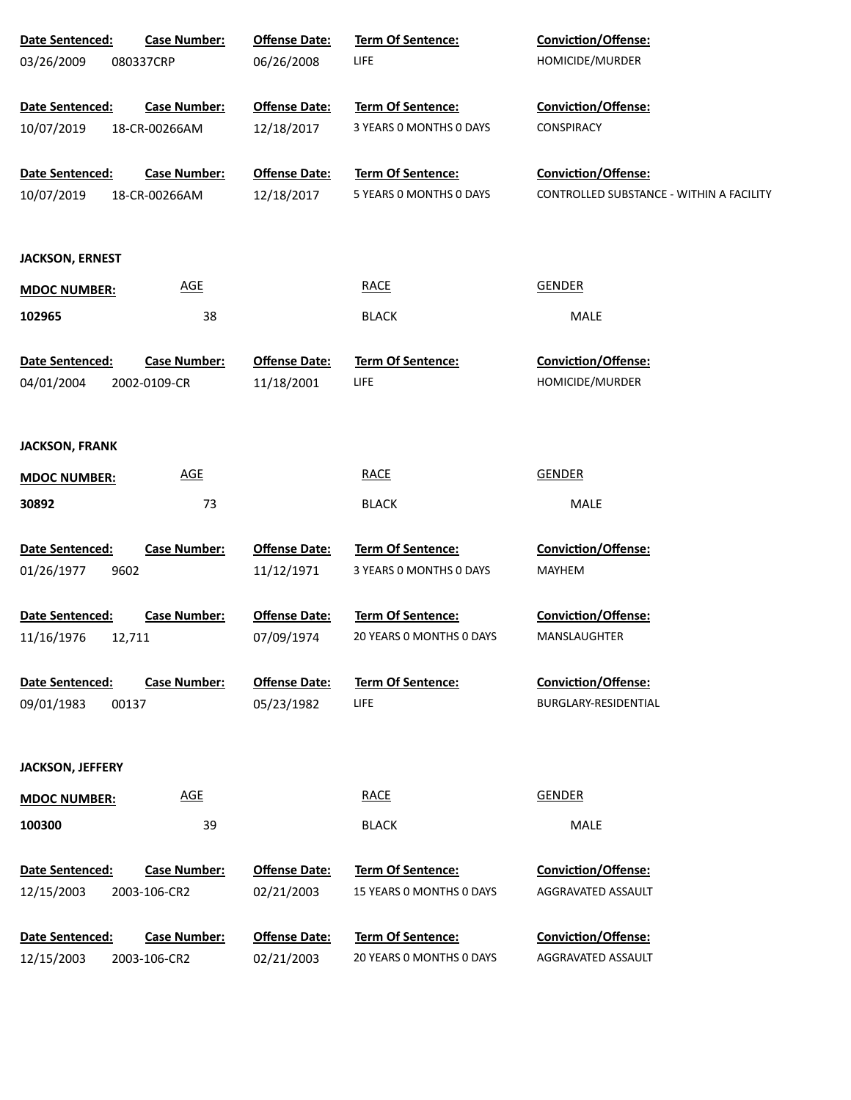| Date Sentenced:         | <b>Case Number:</b> | <b>Offense Date:</b> | Term Of Sentence:        | Conviction/Offense:                      |
|-------------------------|---------------------|----------------------|--------------------------|------------------------------------------|
| 03/26/2009              | 080337CRP           | 06/26/2008           | LIFE                     | HOMICIDE/MURDER                          |
|                         |                     |                      |                          |                                          |
| Date Sentenced:         | <b>Case Number:</b> | <b>Offense Date:</b> | Term Of Sentence:        | <b>Conviction/Offense:</b>               |
| 10/07/2019              | 18-CR-00266AM       | 12/18/2017           | 3 YEARS 0 MONTHS 0 DAYS  | CONSPIRACY                               |
|                         |                     |                      |                          |                                          |
| <b>Date Sentenced:</b>  | <b>Case Number:</b> | <b>Offense Date:</b> | Term Of Sentence:        | Conviction/Offense:                      |
| 10/07/2019              | 18-CR-00266AM       | 12/18/2017           | 5 YEARS 0 MONTHS 0 DAYS  | CONTROLLED SUBSTANCE - WITHIN A FACILITY |
| <b>JACKSON, ERNEST</b>  |                     |                      |                          |                                          |
| <b>MDOC NUMBER:</b>     | <b>AGE</b>          |                      | <b>RACE</b>              | <b>GENDER</b>                            |
| 102965                  | 38                  |                      | <b>BLACK</b>             | MALE                                     |
|                         |                     |                      |                          |                                          |
| Date Sentenced:         | <b>Case Number:</b> | <b>Offense Date:</b> | Term Of Sentence:        | <b>Conviction/Offense:</b>               |
| 04/01/2004              | 2002-0109-CR        | 11/18/2001           | LIFE                     | HOMICIDE/MURDER                          |
|                         |                     |                      |                          |                                          |
| <b>JACKSON, FRANK</b>   |                     |                      |                          |                                          |
| <b>MDOC NUMBER:</b>     | <b>AGE</b>          |                      | <b>RACE</b>              | <b>GENDER</b>                            |
| 30892                   | 73                  |                      | <b>BLACK</b>             | MALE                                     |
|                         |                     |                      |                          |                                          |
| Date Sentenced:         | <b>Case Number:</b> | <b>Offense Date:</b> | Term Of Sentence:        | <b>Conviction/Offense:</b>               |
| 01/26/1977              | 9602                | 11/12/1971           | 3 YEARS 0 MONTHS 0 DAYS  | MAYHEM                                   |
|                         |                     |                      |                          |                                          |
| Date Sentenced:         | <b>Case Number:</b> | <b>Offense Date:</b> | Term Of Sentence:        | <b>Conviction/Offense:</b>               |
| 11/16/1976              | 12,711              | 07/09/1974           | 20 YEARS O MONTHS O DAYS | MANSLAUGHTER                             |
| Date Sentenced:         | <b>Case Number:</b> | <b>Offense Date:</b> | <b>Term Of Sentence:</b> | <b>Conviction/Offense:</b>               |
| 09/01/1983              | 00137               | 05/23/1982           | LIFE                     | BURGLARY-RESIDENTIAL                     |
|                         |                     |                      |                          |                                          |
| <b>JACKSON, JEFFERY</b> |                     |                      |                          |                                          |
| <b>MDOC NUMBER:</b>     | <b>AGE</b>          |                      | <b>RACE</b>              | <b>GENDER</b>                            |
| 100300                  | 39                  |                      | <b>BLACK</b>             | <b>MALE</b>                              |
|                         |                     |                      |                          |                                          |
| Date Sentenced:         | <b>Case Number:</b> | <b>Offense Date:</b> | <b>Term Of Sentence:</b> | <b>Conviction/Offense:</b>               |
| 12/15/2003              | 2003-106-CR2        | 02/21/2003           | 15 YEARS 0 MONTHS 0 DAYS | AGGRAVATED ASSAULT                       |
|                         |                     |                      |                          |                                          |
| Date Sentenced:         | <b>Case Number:</b> | <b>Offense Date:</b> | <b>Term Of Sentence:</b> | <b>Conviction/Offense:</b>               |
| 12/15/2003              | 2003-106-CR2        | 02/21/2003           | 20 YEARS 0 MONTHS 0 DAYS | AGGRAVATED ASSAULT                       |
|                         |                     |                      |                          |                                          |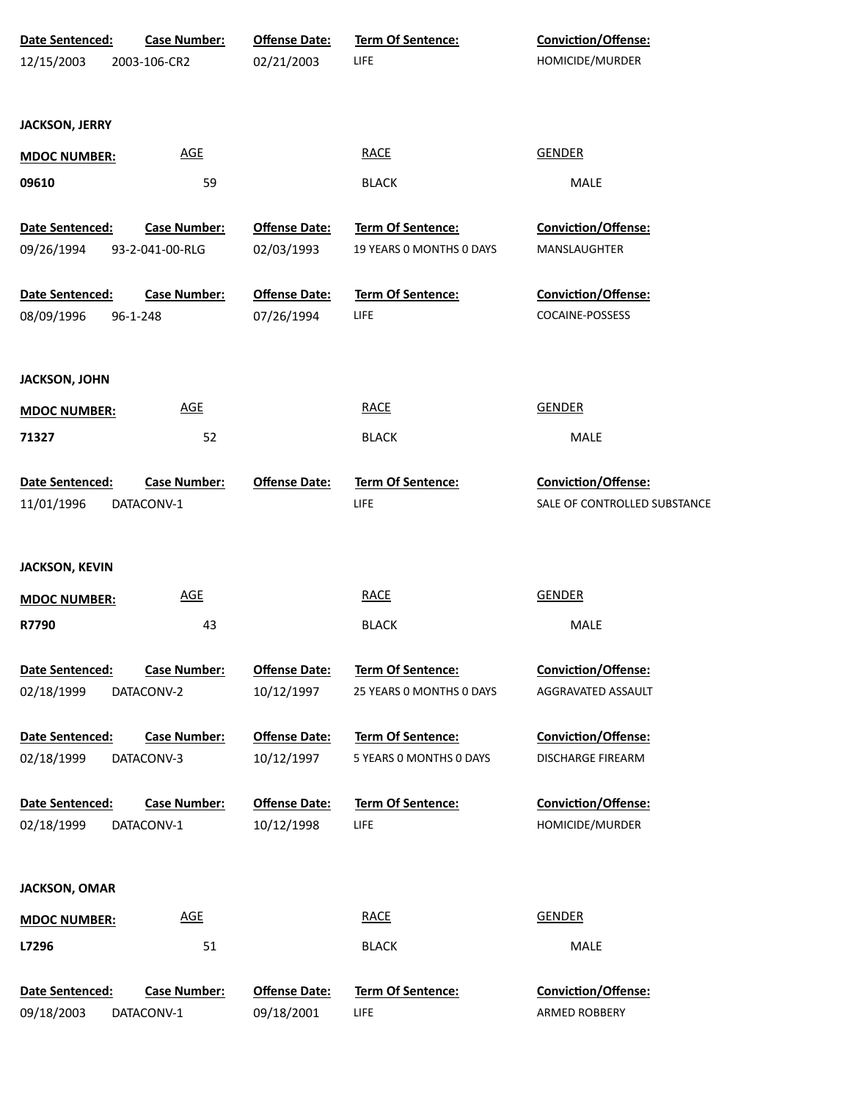| Date Sentenced:       | <b>Case Number:</b> | <b>Offense Date:</b> | <b>Term Of Sentence:</b> | Conviction/Offense:          |  |
|-----------------------|---------------------|----------------------|--------------------------|------------------------------|--|
| 12/15/2003            | 2003-106-CR2        | 02/21/2003           | <b>LIFE</b>              | HOMICIDE/MURDER              |  |
|                       |                     |                      |                          |                              |  |
| <b>JACKSON, JERRY</b> |                     |                      |                          |                              |  |
| <b>MDOC NUMBER:</b>   | <b>AGE</b>          |                      | <b>RACE</b>              | <b>GENDER</b>                |  |
| 09610                 | 59                  |                      | <b>BLACK</b>             | MALE                         |  |
| Date Sentenced:       | <b>Case Number:</b> | <b>Offense Date:</b> | Term Of Sentence:        | Conviction/Offense:          |  |
| 09/26/1994            | 93-2-041-00-RLG     | 02/03/1993           | 19 YEARS O MONTHS O DAYS | MANSLAUGHTER                 |  |
| Date Sentenced:       | <b>Case Number:</b> | <b>Offense Date:</b> | Term Of Sentence:        | Conviction/Offense:          |  |
| 08/09/1996            | 96-1-248            | 07/26/1994           | <b>LIFE</b>              | COCAINE-POSSESS              |  |
|                       |                     |                      |                          |                              |  |
| <b>JACKSON, JOHN</b>  |                     |                      |                          |                              |  |
| <b>MDOC NUMBER:</b>   | <b>AGE</b>          |                      | <b>RACE</b>              | <b>GENDER</b>                |  |
| 71327                 | 52                  |                      | <b>BLACK</b>             | MALE                         |  |
| Date Sentenced:       | <b>Case Number:</b> | <b>Offense Date:</b> | Term Of Sentence:        | Conviction/Offense:          |  |
| 11/01/1996            | DATACONV-1          |                      | LIFE                     | SALE OF CONTROLLED SUBSTANCE |  |
|                       |                     |                      |                          |                              |  |
| <b>JACKSON, KEVIN</b> |                     |                      |                          |                              |  |
| <b>MDOC NUMBER:</b>   | <b>AGE</b>          |                      | <b>RACE</b>              | <b>GENDER</b>                |  |
| R7790                 | 43                  |                      | <b>BLACK</b>             | MALE                         |  |
|                       |                     |                      |                          |                              |  |
| Date Sentenced:       | <b>Case Number:</b> | <b>Offense Date:</b> | Term Of Sentence:        | Conviction/Offense:          |  |
| 02/18/1999            | DATACONV-2          | 10/12/1997           | 25 YEARS 0 MONTHS 0 DAYS | AGGRAVATED ASSAULT           |  |
| Date Sentenced:       | <b>Case Number:</b> | <b>Offense Date:</b> | <b>Term Of Sentence:</b> | <b>Conviction/Offense:</b>   |  |
| 02/18/1999            | DATACONV-3          | 10/12/1997           | 5 YEARS 0 MONTHS 0 DAYS  | <b>DISCHARGE FIREARM</b>     |  |
| Date Sentenced:       | <b>Case Number:</b> | <b>Offense Date:</b> | Term Of Sentence:        | <b>Conviction/Offense:</b>   |  |
| 02/18/1999            | DATACONV-1          | 10/12/1998           | LIFE                     | HOMICIDE/MURDER              |  |
|                       |                     |                      |                          |                              |  |
| <b>JACKSON, OMAR</b>  |                     |                      |                          |                              |  |
| <b>MDOC NUMBER:</b>   | <u>AGE</u>          |                      | <b>RACE</b>              | <b>GENDER</b>                |  |
| L7296                 | 51                  |                      | <b>BLACK</b>             | MALE                         |  |
| Date Sentenced:       | <b>Case Number:</b> | <b>Offense Date:</b> | Term Of Sentence:        | Conviction/Offense:          |  |
| 09/18/2003            | DATACONV-1          | 09/18/2001           | <b>LIFE</b>              | ARMED ROBBERY                |  |
|                       |                     |                      |                          |                              |  |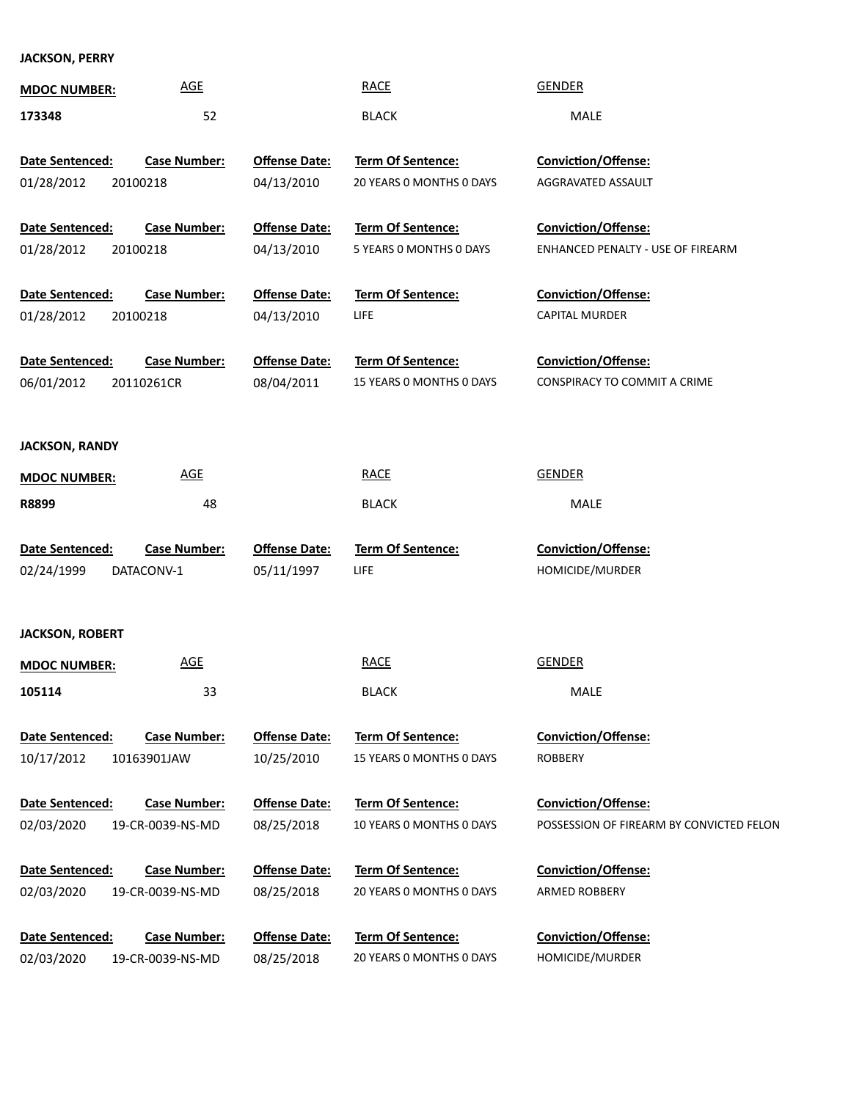**JACKSON, PERRY**

| <b>MDOC NUMBER:</b>    | $\underline{\mathsf{AGE}}$ |                      | <b>RACE</b>              | <b>GENDER</b>                            |
|------------------------|----------------------------|----------------------|--------------------------|------------------------------------------|
| 173348                 | 52                         |                      | <b>BLACK</b>             | MALE                                     |
|                        |                            |                      |                          |                                          |
| Date Sentenced:        | <b>Case Number:</b>        | <b>Offense Date:</b> | Term Of Sentence:        | Conviction/Offense:                      |
| 01/28/2012             | 20100218                   | 04/13/2010           | 20 YEARS 0 MONTHS 0 DAYS | AGGRAVATED ASSAULT                       |
|                        |                            |                      |                          |                                          |
| Date Sentenced:        | <b>Case Number:</b>        | <b>Offense Date:</b> | Term Of Sentence:        | Conviction/Offense:                      |
| 01/28/2012             | 20100218                   | 04/13/2010           | 5 YEARS 0 MONTHS 0 DAYS  | ENHANCED PENALTY - USE OF FIREARM        |
|                        |                            |                      |                          |                                          |
| Date Sentenced:        | <b>Case Number:</b>        | <b>Offense Date:</b> | Term Of Sentence:        | Conviction/Offense:                      |
| 01/28/2012             | 20100218                   | 04/13/2010           | <b>LIFE</b>              | <b>CAPITAL MURDER</b>                    |
| Date Sentenced:        | <b>Case Number:</b>        | <b>Offense Date:</b> | Term Of Sentence:        | Conviction/Offense:                      |
| 06/01/2012             | 20110261CR                 | 08/04/2011           | 15 YEARS 0 MONTHS 0 DAYS | CONSPIRACY TO COMMIT A CRIME             |
|                        |                            |                      |                          |                                          |
|                        |                            |                      |                          |                                          |
| <b>JACKSON, RANDY</b>  |                            |                      |                          |                                          |
| <b>MDOC NUMBER:</b>    | <b>AGE</b>                 |                      | <b>RACE</b>              | <b>GENDER</b>                            |
| R8899                  | 48                         |                      | <b>BLACK</b>             | MALE                                     |
|                        |                            |                      |                          |                                          |
|                        |                            |                      |                          |                                          |
| Date Sentenced:        | <b>Case Number:</b>        | <b>Offense Date:</b> | Term Of Sentence:        | Conviction/Offense:                      |
| 02/24/1999             | DATACONV-1                 | 05/11/1997           | <b>LIFE</b>              | HOMICIDE/MURDER                          |
|                        |                            |                      |                          |                                          |
|                        |                            |                      |                          |                                          |
| <b>JACKSON, ROBERT</b> |                            |                      |                          |                                          |
| <b>MDOC NUMBER:</b>    | <b>AGE</b>                 |                      | <b>RACE</b>              | <b>GENDER</b>                            |
| 105114                 | 33                         |                      | <b>BLACK</b>             | MALE                                     |
|                        |                            |                      |                          |                                          |
| Date Sentenced:        | <b>Case Number:</b>        | <b>Offense Date:</b> | <b>Term Of Sentence:</b> | <b>Conviction/Offense:</b>               |
| 10/17/2012             | 10163901JAW                | 10/25/2010           | 15 YEARS O MONTHS O DAYS | <b>ROBBERY</b>                           |
| Date Sentenced:        | <b>Case Number:</b>        | <b>Offense Date:</b> | <b>Term Of Sentence:</b> | Conviction/Offense:                      |
|                        | 19-CR-0039-NS-MD           |                      | 10 YEARS O MONTHS O DAYS | POSSESSION OF FIREARM BY CONVICTED FELON |
| 02/03/2020             |                            | 08/25/2018           |                          |                                          |
| Date Sentenced:        | <b>Case Number:</b>        | <b>Offense Date:</b> | <b>Term Of Sentence:</b> | <b>Conviction/Offense:</b>               |
| 02/03/2020             | 19-CR-0039-NS-MD           | 08/25/2018           | 20 YEARS 0 MONTHS 0 DAYS | <b>ARMED ROBBERY</b>                     |
|                        |                            |                      |                          |                                          |
| Date Sentenced:        | <b>Case Number:</b>        | <b>Offense Date:</b> | <b>Term Of Sentence:</b> | <b>Conviction/Offense:</b>               |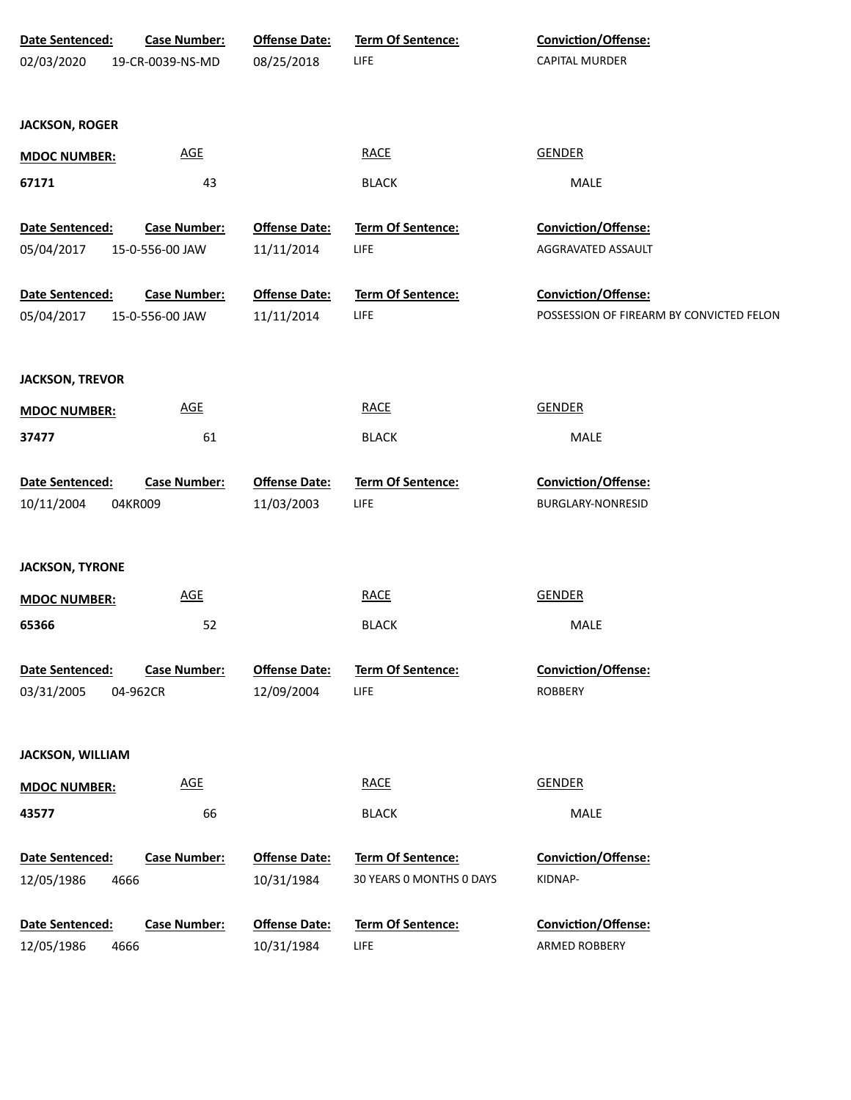| Date Sentenced:<br>02/03/2020 | <b>Case Number:</b><br>19-CR-0039-NS-MD | <b>Offense Date:</b><br>08/25/2018 | Term Of Sentence:<br><b>LIFE</b>        | Conviction/Offense:<br>CAPITAL MURDER        |
|-------------------------------|-----------------------------------------|------------------------------------|-----------------------------------------|----------------------------------------------|
| <b>JACKSON, ROGER</b>         |                                         |                                    |                                         |                                              |
|                               |                                         |                                    |                                         |                                              |
| <b>MDOC NUMBER:</b>           | <b>AGE</b>                              |                                    | <b>RACE</b>                             | <b>GENDER</b>                                |
| 67171                         | 43                                      |                                    | <b>BLACK</b>                            | MALE                                         |
| Date Sentenced:               | <b>Case Number:</b>                     | <b>Offense Date:</b>               | Term Of Sentence:                       | Conviction/Offense:                          |
| 05/04/2017                    | 15-0-556-00 JAW                         | 11/11/2014                         | <b>LIFE</b>                             | AGGRAVATED ASSAULT                           |
| Date Sentenced:               | <b>Case Number:</b>                     | <b>Offense Date:</b>               | Term Of Sentence:                       | Conviction/Offense:                          |
| 05/04/2017                    | 15-0-556-00 JAW                         | 11/11/2014                         | <b>LIFE</b>                             | POSSESSION OF FIREARM BY CONVICTED FELON     |
|                               |                                         |                                    |                                         |                                              |
| <b>JACKSON, TREVOR</b>        |                                         |                                    |                                         |                                              |
| <b>MDOC NUMBER:</b>           | <b>AGE</b>                              |                                    | <b>RACE</b>                             | <b>GENDER</b>                                |
| 37477                         | 61                                      |                                    | <b>BLACK</b>                            | MALE                                         |
|                               |                                         |                                    |                                         |                                              |
| Date Sentenced:               | <b>Case Number:</b>                     | <b>Offense Date:</b>               | Term Of Sentence:                       | Conviction/Offense:                          |
| 10/11/2004                    | 04KR009                                 | 11/03/2003                         | <b>LIFE</b>                             | BURGLARY-NONRESID                            |
|                               |                                         |                                    |                                         |                                              |
| <b>JACKSON, TYRONE</b>        |                                         |                                    |                                         |                                              |
| <b>MDOC NUMBER:</b>           | AGE                                     |                                    | <b>RACE</b>                             | <b>GENDER</b>                                |
| 65366                         | 52                                      |                                    | <b>BLACK</b>                            | MALE                                         |
|                               |                                         |                                    |                                         |                                              |
| Date Sentenced:<br>03/31/2005 | <b>Case Number:</b>                     | <b>Offense Date:</b>               | <b>Term Of Sentence:</b><br><b>LIFE</b> | <b>Conviction/Offense:</b><br><b>ROBBERY</b> |
|                               | 04-962CR                                | 12/09/2004                         |                                         |                                              |
| <b>JACKSON, WILLIAM</b>       |                                         |                                    |                                         |                                              |
| <b>MDOC NUMBER:</b>           | AGE                                     |                                    | <b>RACE</b>                             | <b>GENDER</b>                                |
| 43577                         | 66                                      |                                    | <b>BLACK</b>                            | MALE                                         |
|                               |                                         |                                    |                                         |                                              |
| Date Sentenced:               | <b>Case Number:</b>                     | <b>Offense Date:</b>               | Term Of Sentence:                       | <b>Conviction/Offense:</b>                   |
| 12/05/1986<br>4666            |                                         | 10/31/1984                         | 30 YEARS 0 MONTHS 0 DAYS                | KIDNAP-                                      |
| Date Sentenced:               | <b>Case Number:</b>                     | <b>Offense Date:</b>               | Term Of Sentence:                       | Conviction/Offense:                          |
| 12/05/1986<br>4666            |                                         | 10/31/1984                         | <b>LIFE</b>                             | ARMED ROBBERY                                |
|                               |                                         |                                    |                                         |                                              |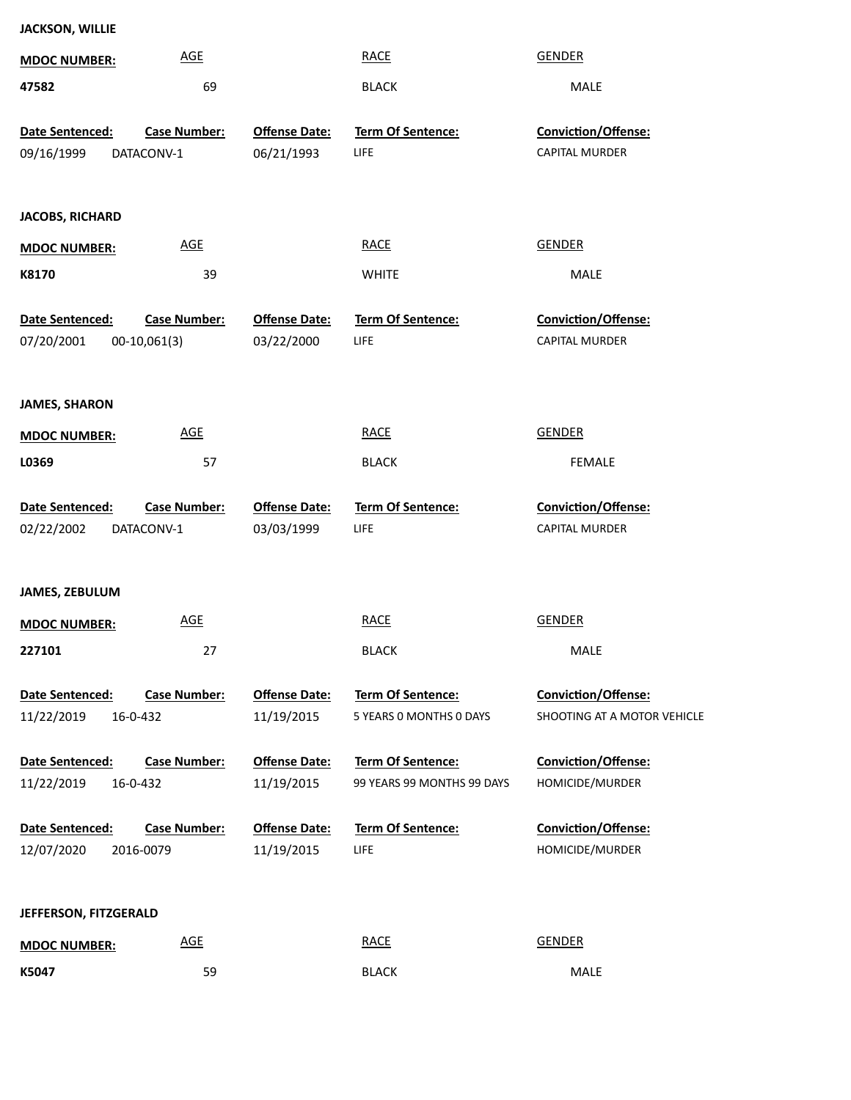| <b>JACKSON, WILLIE</b> |                     |                      |                            |                             |
|------------------------|---------------------|----------------------|----------------------------|-----------------------------|
| <b>MDOC NUMBER:</b>    | <b>AGE</b>          |                      | <b>RACE</b>                | <b>GENDER</b>               |
| 47582                  | 69                  |                      | <b>BLACK</b>               | MALE                        |
| Date Sentenced:        | <b>Case Number:</b> | <b>Offense Date:</b> | Term Of Sentence:          | Conviction/Offense:         |
| 09/16/1999             | DATACONV-1          | 06/21/1993           | LIFE                       | <b>CAPITAL MURDER</b>       |
|                        |                     |                      |                            |                             |
| <b>JACOBS, RICHARD</b> |                     |                      |                            |                             |
| <b>MDOC NUMBER:</b>    | AGE                 |                      | <b>RACE</b>                | <b>GENDER</b>               |
| K8170                  | 39                  |                      | <b>WHITE</b>               | MALE                        |
| Date Sentenced:        | <b>Case Number:</b> | <b>Offense Date:</b> | Term Of Sentence:          | Conviction/Offense:         |
| 07/20/2001             | $00-10,061(3)$      | 03/22/2000           | LIFE                       | <b>CAPITAL MURDER</b>       |
|                        |                     |                      |                            |                             |
| <b>JAMES, SHARON</b>   |                     |                      |                            |                             |
| <b>MDOC NUMBER:</b>    | AGE                 |                      | <b>RACE</b>                | <b>GENDER</b>               |
| L0369                  | 57                  |                      | <b>BLACK</b>               | <b>FEMALE</b>               |
| Date Sentenced:        | <b>Case Number:</b> | <b>Offense Date:</b> | Term Of Sentence:          | Conviction/Offense:         |
| 02/22/2002             | DATACONV-1          | 03/03/1999           | LIFE                       | <b>CAPITAL MURDER</b>       |
|                        |                     |                      |                            |                             |
|                        |                     |                      |                            |                             |
| <b>JAMES, ZEBULUM</b>  |                     |                      |                            |                             |
| <b>MDOC NUMBER:</b>    | <b>AGE</b>          |                      | <b>RACE</b>                | <b>GENDER</b>               |
| 227101                 | 27                  |                      | <b>BLACK</b>               | MALE                        |
| Date Sentenced:        | <b>Case Number:</b> | <b>Offense Date:</b> | Term Of Sentence:          | <b>Conviction/Offense:</b>  |
| 11/22/2019             | 16-0-432            | 11/19/2015           | 5 YEARS 0 MONTHS 0 DAYS    | SHOOTING AT A MOTOR VEHICLE |
| Date Sentenced:        | <b>Case Number:</b> | <b>Offense Date:</b> | <b>Term Of Sentence:</b>   | Conviction/Offense:         |
| 11/22/2019             | 16-0-432            | 11/19/2015           | 99 YEARS 99 MONTHS 99 DAYS | HOMICIDE/MURDER             |
| Date Sentenced:        | <b>Case Number:</b> | <b>Offense Date:</b> | Term Of Sentence:          | Conviction/Offense:         |
| 12/07/2020             | 2016-0079           | 11/19/2015           | LIFE                       | HOMICIDE/MURDER             |
|                        |                     |                      |                            |                             |
| JEFFERSON, FITZGERALD  |                     |                      |                            |                             |
| <b>MDOC NUMBER:</b>    | <b>AGE</b>          |                      | <b>RACE</b>                | <b>GENDER</b>               |
| K5047                  | 59                  |                      | <b>BLACK</b>               | MALE                        |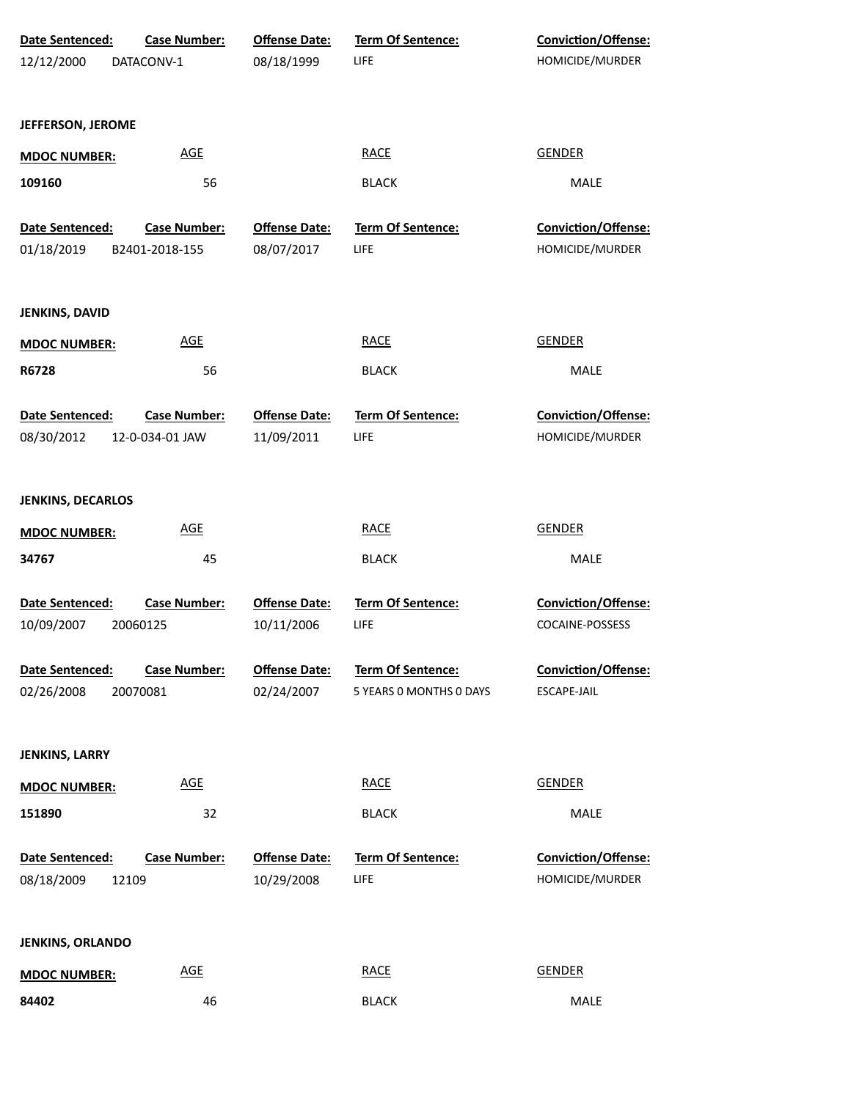| Date Sentenced:          | <b>Case Number:</b> | <b>Offense Date:</b> | <b>Term Of Sentence:</b> | <b>Conviction/Offense:</b> |
|--------------------------|---------------------|----------------------|--------------------------|----------------------------|
| 12/12/2000               | DATACONV-1          | 08/18/1999           | LIFE                     | HOMICIDE/MURDER            |
|                          |                     |                      |                          |                            |
| JEFFERSON, JEROME        |                     |                      |                          |                            |
| <b>MDOC NUMBER:</b>      | <b>AGE</b>          |                      | <b>RACE</b>              | <b>GENDER</b>              |
| 109160                   | 56                  |                      | <b>BLACK</b>             | MALE                       |
|                          |                     |                      |                          |                            |
| Date Sentenced:          | <b>Case Number:</b> | <b>Offense Date:</b> | Term Of Sentence:        | Conviction/Offense:        |
| 01/18/2019               | B2401-2018-155      | 08/07/2017           | <b>LIFE</b>              | HOMICIDE/MURDER            |
| JENKINS, DAVID           |                     |                      |                          |                            |
| <b>MDOC NUMBER:</b>      | <b>AGE</b>          |                      | <b>RACE</b>              | <b>GENDER</b>              |
| R6728                    | 56                  |                      | <b>BLACK</b>             | MALE                       |
|                          |                     |                      |                          |                            |
| Date Sentenced:          | <b>Case Number:</b> | <b>Offense Date:</b> | Term Of Sentence:        | Conviction/Offense:        |
| 08/30/2012               | 12-0-034-01 JAW     | 11/09/2011           | <b>LIFE</b>              | HOMICIDE/MURDER            |
|                          |                     |                      |                          |                            |
| <b>JENKINS, DECARLOS</b> |                     |                      |                          |                            |
| <b>MDOC NUMBER:</b>      | <b>AGE</b>          |                      | <b>RACE</b>              | <b>GENDER</b>              |
| 34767                    | 45                  |                      | <b>BLACK</b>             | MALE                       |
|                          |                     |                      |                          |                            |
| <b>Date Sentenced:</b>   | <b>Case Number:</b> | <b>Offense Date:</b> | <b>Term Of Sentence:</b> | Conviction/Offense:        |
| 10/09/2007               | 20060125            | 10/11/2006           | <b>LIFE</b>              | COCAINE-POSSESS            |
| Date Sentenced:          | <b>Case Number:</b> | <b>Offense Date:</b> | <b>Term Of Sentence:</b> | <b>Conviction/Offense:</b> |
| 02/26/2008               | 20070081            | 02/24/2007           | 5 YEARS 0 MONTHS 0 DAYS  | ESCAPE-JAIL                |
|                          |                     |                      |                          |                            |
|                          |                     |                      |                          |                            |
| JENKINS, LARRY           |                     |                      |                          |                            |
| <b>MDOC NUMBER:</b>      | <b>AGE</b>          |                      | <b>RACE</b>              | <b>GENDER</b>              |
| 151890                   | 32                  |                      | <b>BLACK</b>             | MALE                       |
| Date Sentenced:          | <b>Case Number:</b> | <b>Offense Date:</b> | Term Of Sentence:        | Conviction/Offense:        |
| 08/18/2009<br>12109      |                     | 10/29/2008           | <b>LIFE</b>              | HOMICIDE/MURDER            |
|                          |                     |                      |                          |                            |
|                          |                     |                      |                          |                            |
| <b>JENKINS, ORLANDO</b>  |                     |                      |                          |                            |
| <b>MDOC NUMBER:</b>      | <b>AGE</b>          |                      | <b>RACE</b>              | <b>GENDER</b>              |
| 84402                    | 46                  |                      | <b>BLACK</b>             | MALE                       |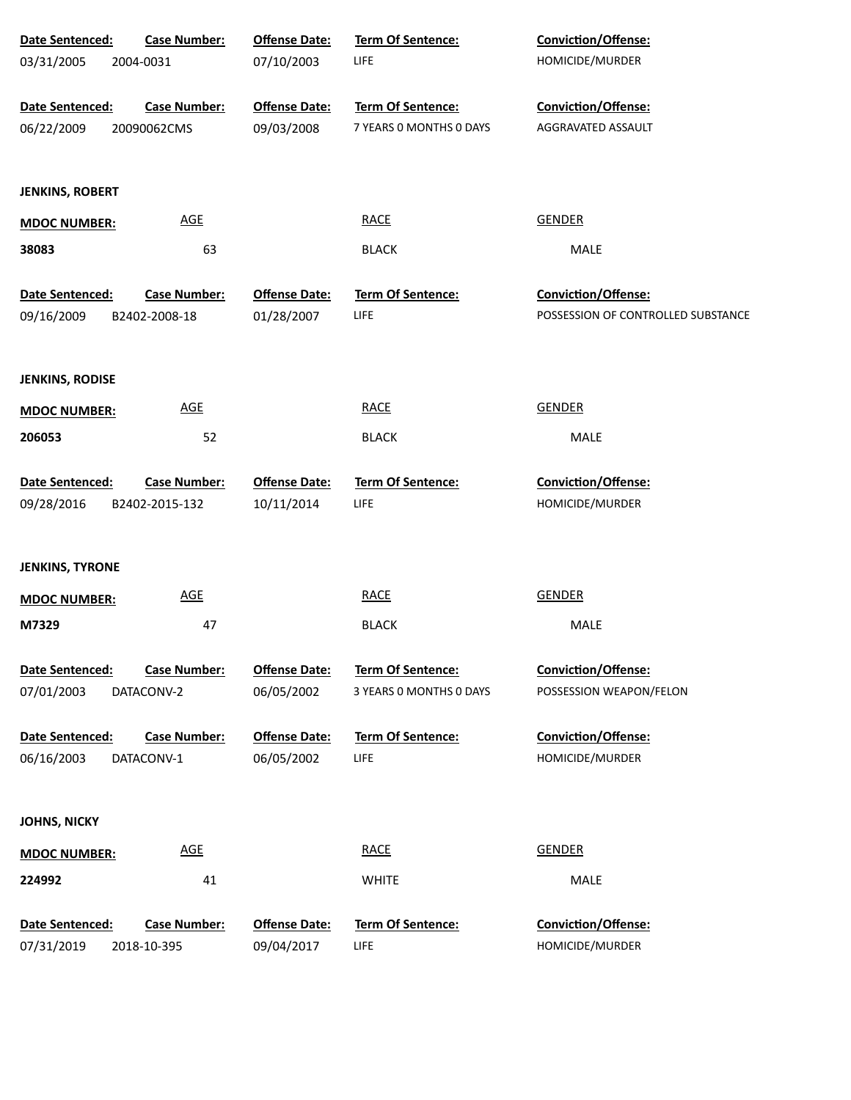| Date Sentenced:        | <b>Case Number:</b>        | <b>Offense Date:</b> | Term Of Sentence:        | Conviction/Offense:                |
|------------------------|----------------------------|----------------------|--------------------------|------------------------------------|
| 03/31/2005             | 2004-0031                  | 07/10/2003           | LIFE                     | HOMICIDE/MURDER                    |
|                        |                            |                      |                          |                                    |
| Date Sentenced:        | <b>Case Number:</b>        | <b>Offense Date:</b> | Term Of Sentence:        | Conviction/Offense:                |
| 06/22/2009             | 20090062CMS                | 09/03/2008           | 7 YEARS 0 MONTHS 0 DAYS  | AGGRAVATED ASSAULT                 |
|                        |                            |                      |                          |                                    |
| <b>JENKINS, ROBERT</b> |                            |                      |                          |                                    |
|                        | <b>AGE</b>                 |                      | <b>RACE</b>              | <b>GENDER</b>                      |
| <b>MDOC NUMBER:</b>    |                            |                      |                          |                                    |
| 38083                  | 63                         |                      | <b>BLACK</b>             | MALE                               |
| Date Sentenced:        | <b>Case Number:</b>        | <b>Offense Date:</b> | Term Of Sentence:        | Conviction/Offense:                |
| 09/16/2009             | B2402-2008-18              | 01/28/2007           | LIFE                     | POSSESSION OF CONTROLLED SUBSTANCE |
|                        |                            |                      |                          |                                    |
|                        |                            |                      |                          |                                    |
| <b>JENKINS, RODISE</b> |                            |                      |                          |                                    |
| <b>MDOC NUMBER:</b>    | <b>AGE</b>                 |                      | <b>RACE</b>              | <b>GENDER</b>                      |
| 206053                 | 52                         |                      | <b>BLACK</b>             | MALE                               |
|                        |                            |                      |                          |                                    |
| Date Sentenced:        | <b>Case Number:</b>        | <b>Offense Date:</b> | Term Of Sentence:        | Conviction/Offense:                |
| 09/28/2016             | B2402-2015-132             | 10/11/2014           | LIFE                     | HOMICIDE/MURDER                    |
|                        |                            |                      |                          |                                    |
| <b>JENKINS, TYRONE</b> |                            |                      |                          |                                    |
|                        | <b>AGE</b>                 |                      | <b>RACE</b>              | <b>GENDER</b>                      |
| <b>MDOC NUMBER:</b>    |                            |                      |                          |                                    |
| M7329                  | 47                         |                      | <b>BLACK</b>             | MALE                               |
| Date Sentenced:        | <b>Case Number:</b>        | <b>Offense Date:</b> | <b>Term Of Sentence:</b> | <b>Conviction/Offense:</b>         |
| 07/01/2003             | DATACONV-2                 | 06/05/2002           | 3 YEARS 0 MONTHS 0 DAYS  | POSSESSION WEAPON/FELON            |
|                        |                            |                      |                          |                                    |
| Date Sentenced:        | <b>Case Number:</b>        | <b>Offense Date:</b> | <b>Term Of Sentence:</b> | Conviction/Offense:                |
| 06/16/2003             | DATACONV-1                 | 06/05/2002           | LIFE                     | HOMICIDE/MURDER                    |
|                        |                            |                      |                          |                                    |
| <b>JOHNS, NICKY</b>    |                            |                      |                          |                                    |
|                        |                            |                      |                          |                                    |
| <b>MDOC NUMBER:</b>    | $\underline{\mathsf{AGE}}$ |                      | <b>RACE</b>              | <b>GENDER</b>                      |
| 224992                 | 41                         |                      | <b>WHITE</b>             | MALE                               |
|                        |                            |                      |                          |                                    |
| Date Sentenced:        | <b>Case Number:</b>        | <b>Offense Date:</b> | Term Of Sentence:        | Conviction/Offense:                |
| 07/31/2019             | 2018-10-395                | 09/04/2017           | LIFE                     | HOMICIDE/MURDER                    |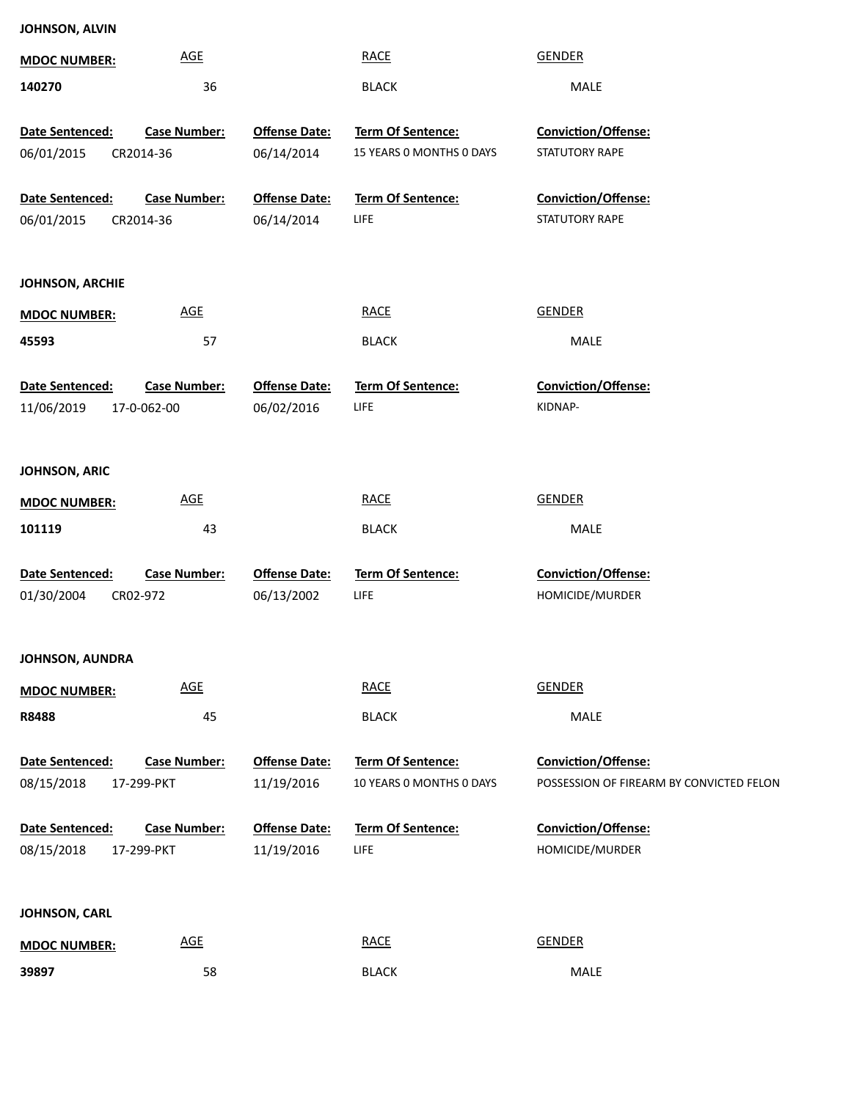| <b>MDOC NUMBER:</b>           | <b>AGE</b>                      |                                    | <b>RACE</b>                                   | <b>GENDER</b>                            |
|-------------------------------|---------------------------------|------------------------------------|-----------------------------------------------|------------------------------------------|
| 140270                        | 36                              |                                    | <b>BLACK</b>                                  | MALE                                     |
|                               |                                 |                                    |                                               |                                          |
| Date Sentenced:<br>06/01/2015 | Case Number:                    | <b>Offense Date:</b><br>06/14/2014 | Term Of Sentence:<br>15 YEARS 0 MONTHS 0 DAYS | Conviction/Offense:<br>STATUTORY RAPE    |
|                               | CR2014-36                       |                                    |                                               |                                          |
| Date Sentenced:               | <b>Case Number:</b>             | <b>Offense Date:</b>               | Term Of Sentence:                             | Conviction/Offense:                      |
| 06/01/2015                    | CR2014-36                       | 06/14/2014                         | <b>LIFE</b>                                   | STATUTORY RAPE                           |
|                               |                                 |                                    |                                               |                                          |
|                               |                                 |                                    |                                               |                                          |
| <b>JOHNSON, ARCHIE</b>        |                                 |                                    |                                               |                                          |
| <b>MDOC NUMBER:</b>           | $\underline{\mathsf{AGE}}$      |                                    | <b>RACE</b>                                   | <b>GENDER</b>                            |
| 45593                         | 57                              |                                    | <b>BLACK</b>                                  | MALE                                     |
|                               |                                 |                                    |                                               |                                          |
| Date Sentenced:               | <b>Case Number:</b>             | <b>Offense Date:</b>               | <b>Term Of Sentence:</b>                      | Conviction/Offense:                      |
| 11/06/2019                    | 17-0-062-00                     | 06/02/2016                         | <b>LIFE</b>                                   | KIDNAP-                                  |
|                               |                                 |                                    |                                               |                                          |
| JOHNSON, ARIC                 |                                 |                                    |                                               |                                          |
|                               |                                 |                                    |                                               |                                          |
| <b>MDOC NUMBER:</b>           | $\underline{\mathsf{AGE}}$      |                                    | <b>RACE</b>                                   | <b>GENDER</b>                            |
| 101119                        | 43                              |                                    | <b>BLACK</b>                                  | MALE                                     |
|                               |                                 |                                    |                                               |                                          |
| Date Sentenced:<br>01/30/2004 | <b>Case Number:</b><br>CR02-972 | <b>Offense Date:</b><br>06/13/2002 | Term Of Sentence:<br><b>LIFE</b>              | Conviction/Offense:<br>HOMICIDE/MURDER   |
|                               |                                 |                                    |                                               |                                          |
|                               |                                 |                                    |                                               |                                          |
| <b>JOHNSON, AUNDRA</b>        |                                 |                                    |                                               |                                          |
| <b>MDOC NUMBER:</b>           | <b>AGE</b>                      |                                    | <b>RACE</b>                                   | <b>GENDER</b>                            |
| R8488                         | 45                              |                                    | <b>BLACK</b>                                  | MALE                                     |
|                               |                                 |                                    |                                               |                                          |
| Date Sentenced:               | <b>Case Number:</b>             | <b>Offense Date:</b>               | Term Of Sentence:                             | Conviction/Offense:                      |
| 08/15/2018                    | 17-299-PKT                      | 11/19/2016                         | 10 YEARS 0 MONTHS 0 DAYS                      | POSSESSION OF FIREARM BY CONVICTED FELON |
|                               |                                 |                                    |                                               |                                          |
| Date Sentenced:               | <b>Case Number:</b>             | <b>Offense Date:</b>               | <b>Term Of Sentence:</b>                      | Conviction/Offense:                      |
| 08/15/2018                    | 17-299-PKT                      | 11/19/2016                         | <b>LIFE</b>                                   | HOMICIDE/MURDER                          |
|                               |                                 |                                    |                                               |                                          |
| JOHNSON, CARL                 |                                 |                                    |                                               |                                          |
|                               | $\underline{\mathsf{AGE}}$      |                                    | <b>RACE</b>                                   | <b>GENDER</b>                            |
| <b>MDOC NUMBER:</b>           |                                 |                                    |                                               |                                          |
| 39897                         | 58                              |                                    | <b>BLACK</b>                                  | MALE                                     |

**JOHNSON, ALVIN**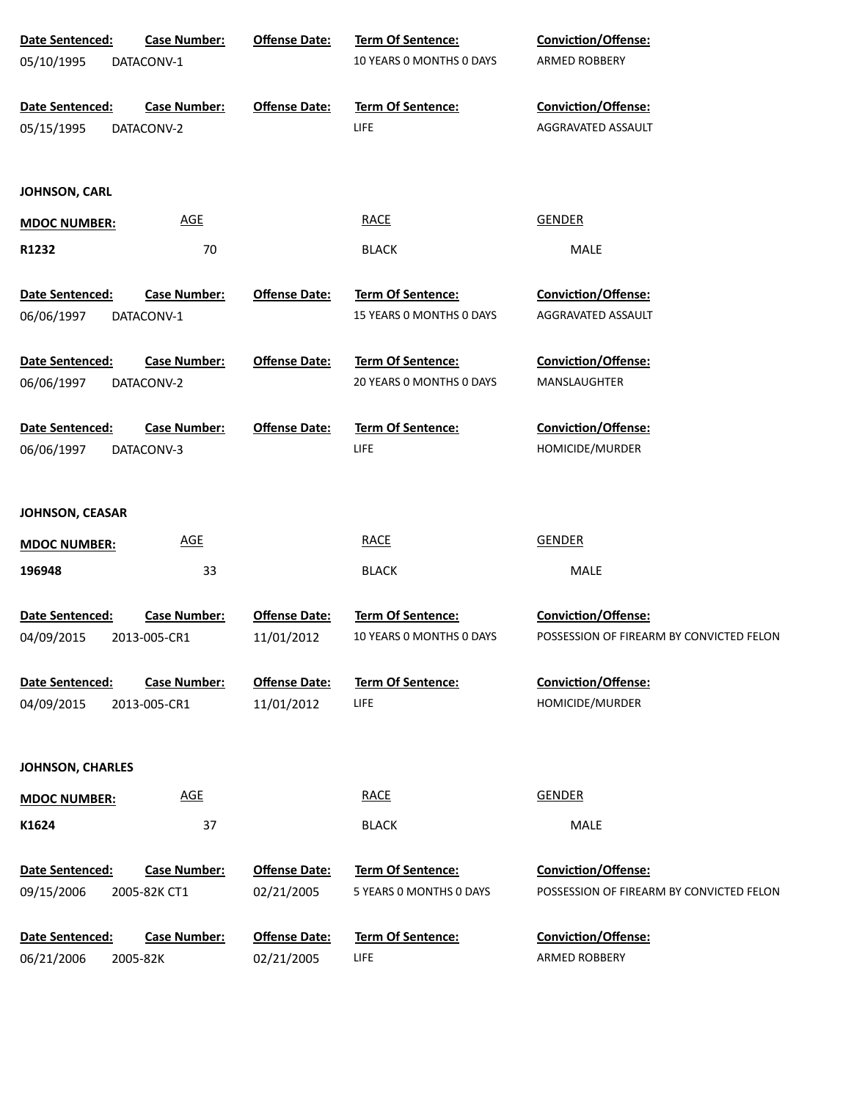| Date Sentenced:<br>05/10/1995 | <b>Case Number:</b><br>DATACONV-1   | <b>Offense Date:</b>               | Term Of Sentence:<br>10 YEARS 0 MONTHS 0 DAYS | <b>Conviction/Offense:</b><br>ARMED ROBBERY                            |
|-------------------------------|-------------------------------------|------------------------------------|-----------------------------------------------|------------------------------------------------------------------------|
| Date Sentenced:<br>05/15/1995 | <b>Case Number:</b><br>DATACONV-2   | <b>Offense Date:</b>               | Term Of Sentence:<br><b>LIFE</b>              | <b>Conviction/Offense:</b><br>AGGRAVATED ASSAULT                       |
| JOHNSON, CARL                 |                                     |                                    |                                               |                                                                        |
| <b>MDOC NUMBER:</b>           | <b>AGE</b>                          |                                    | <b>RACE</b>                                   | <b>GENDER</b>                                                          |
| R1232                         | 70                                  |                                    | <b>BLACK</b>                                  | MALE                                                                   |
| <b>Date Sentenced:</b>        | <b>Case Number:</b>                 | <b>Offense Date:</b>               | Term Of Sentence:                             | Conviction/Offense:                                                    |
| 06/06/1997                    | DATACONV-1                          |                                    | 15 YEARS O MONTHS O DAYS                      | AGGRAVATED ASSAULT                                                     |
| Date Sentenced:               | <b>Case Number:</b>                 | <b>Offense Date:</b>               | Term Of Sentence:                             | Conviction/Offense:                                                    |
| 06/06/1997                    | DATACONV-2                          |                                    | 20 YEARS 0 MONTHS 0 DAYS                      | MANSLAUGHTER                                                           |
|                               |                                     |                                    |                                               |                                                                        |
| Date Sentenced:<br>06/06/1997 | <b>Case Number:</b><br>DATACONV-3   | <b>Offense Date:</b>               | Term Of Sentence:<br>LIFE                     | Conviction/Offense:<br>HOMICIDE/MURDER                                 |
|                               |                                     |                                    |                                               |                                                                        |
| JOHNSON, CEASAR               |                                     |                                    |                                               |                                                                        |
| <b>MDOC NUMBER:</b>           | <b>AGE</b>                          |                                    | <b>RACE</b>                                   | <b>GENDER</b>                                                          |
| 196948                        | 33                                  |                                    | <b>BLACK</b>                                  | MALE                                                                   |
|                               |                                     |                                    |                                               |                                                                        |
| Date Sentenced:<br>04/09/2015 | <b>Case Number:</b><br>2013-005-CR1 | <b>Offense Date:</b><br>11/01/2012 | Term Of Sentence:<br>10 YEARS O MONTHS O DAYS | <b>Conviction/Offense:</b><br>POSSESSION OF FIREARM BY CONVICTED FELON |
|                               |                                     |                                    |                                               |                                                                        |
| Date Sentenced:               | <b>Case Number:</b>                 | <b>Offense Date:</b>               | <b>Term Of Sentence:</b>                      | <b>Conviction/Offense:</b>                                             |
| 04/09/2015                    | 2013-005-CR1                        | 11/01/2012                         | <b>LIFE</b>                                   | HOMICIDE/MURDER                                                        |
| <b>JOHNSON, CHARLES</b>       |                                     |                                    |                                               |                                                                        |
| <b>MDOC NUMBER:</b>           | <b>AGE</b>                          |                                    | <b>RACE</b>                                   | <b>GENDER</b>                                                          |
| K1624                         | 37                                  |                                    | <b>BLACK</b>                                  | MALE                                                                   |
|                               |                                     |                                    |                                               |                                                                        |
| Date Sentenced:               | <b>Case Number:</b>                 | <b>Offense Date:</b>               | <b>Term Of Sentence:</b>                      | <b>Conviction/Offense:</b>                                             |
| 09/15/2006                    | 2005-82K CT1                        | 02/21/2005                         | 5 YEARS 0 MONTHS 0 DAYS                       | POSSESSION OF FIREARM BY CONVICTED FELON                               |
| Date Sentenced:               | <b>Case Number:</b>                 | <b>Offense Date:</b>               | <b>Term Of Sentence:</b>                      | <b>Conviction/Offense:</b>                                             |
| 06/21/2006                    | 2005-82K                            | 02/21/2005                         | <b>LIFE</b>                                   | ARMED ROBBERY                                                          |
|                               |                                     |                                    |                                               |                                                                        |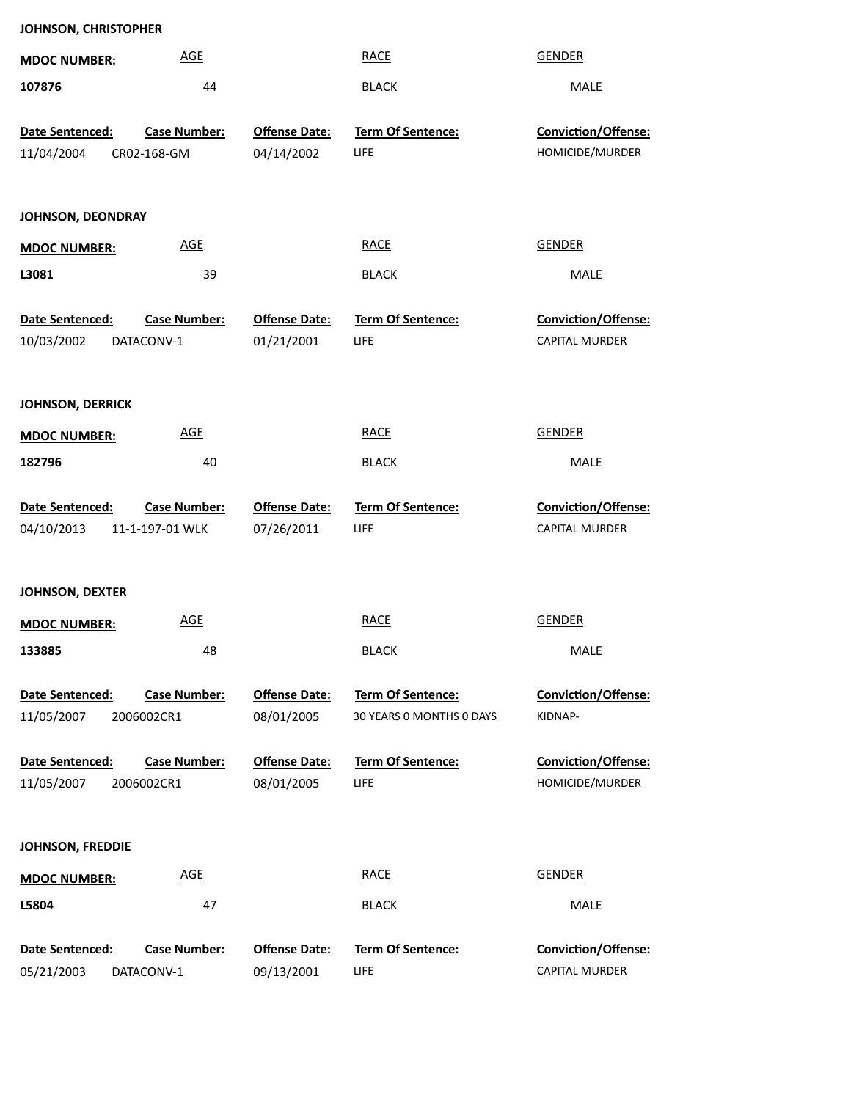|                         | JOHNSON, CHRISTOPHER |                      |                          |                            |  |  |  |  |
|-------------------------|----------------------|----------------------|--------------------------|----------------------------|--|--|--|--|
| <b>MDOC NUMBER:</b>     | <b>AGE</b>           |                      | <b>RACE</b>              | <b>GENDER</b>              |  |  |  |  |
| 107876                  | 44                   |                      | <b>BLACK</b>             | MALE                       |  |  |  |  |
| Date Sentenced:         | <b>Case Number:</b>  | <b>Offense Date:</b> | Term Of Sentence:        | Conviction/Offense:        |  |  |  |  |
| 11/04/2004              | CR02-168-GM          | 04/14/2002           | LIFE                     | HOMICIDE/MURDER            |  |  |  |  |
|                         |                      |                      |                          |                            |  |  |  |  |
| JOHNSON, DEONDRAY       |                      |                      |                          |                            |  |  |  |  |
| <b>MDOC NUMBER:</b>     | <b>AGE</b>           |                      | <b>RACE</b>              | <b>GENDER</b>              |  |  |  |  |
| L3081                   | 39                   |                      | <b>BLACK</b>             | MALE                       |  |  |  |  |
| Date Sentenced:         | <b>Case Number:</b>  | <b>Offense Date:</b> | Term Of Sentence:        | Conviction/Offense:        |  |  |  |  |
| 10/03/2002              | DATACONV-1           | 01/21/2001           | LIFE                     | CAPITAL MURDER             |  |  |  |  |
|                         |                      |                      |                          |                            |  |  |  |  |
| <b>JOHNSON, DERRICK</b> |                      |                      |                          |                            |  |  |  |  |
| <b>MDOC NUMBER:</b>     | <b>AGE</b>           |                      | <b>RACE</b>              | <b>GENDER</b>              |  |  |  |  |
| 182796                  | 40                   |                      | <b>BLACK</b>             | MALE                       |  |  |  |  |
| Date Sentenced:         | <b>Case Number:</b>  | <b>Offense Date:</b> | Term Of Sentence:        | Conviction/Offense:        |  |  |  |  |
| 04/10/2013              | 11-1-197-01 WLK      | 07/26/2011           | LIFE                     | <b>CAPITAL MURDER</b>      |  |  |  |  |
|                         |                      |                      |                          |                            |  |  |  |  |
| <b>JOHNSON, DEXTER</b>  |                      |                      |                          |                            |  |  |  |  |
| <b>MDOC NUMBER:</b>     | <b>AGE</b>           |                      | <b>RACE</b>              | <b>GENDER</b>              |  |  |  |  |
| 133885                  | 48                   |                      | <b>BLACK</b>             | MALE                       |  |  |  |  |
| Date Sentenced:         | <b>Case Number:</b>  | <b>Offense Date:</b> | Term Of Sentence:        | <b>Conviction/Offense:</b> |  |  |  |  |
| 11/05/2007              | 2006002CR1           | 08/01/2005           | 30 YEARS O MONTHS O DAYS | KIDNAP-                    |  |  |  |  |
| Date Sentenced:         | <b>Case Number:</b>  | <b>Offense Date:</b> | <b>Term Of Sentence:</b> | Conviction/Offense:        |  |  |  |  |
| 11/05/2007              | 2006002CR1           | 08/01/2005           | LIFE                     | HOMICIDE/MURDER            |  |  |  |  |
|                         |                      |                      |                          |                            |  |  |  |  |
| <b>JOHNSON, FREDDIE</b> |                      |                      |                          |                            |  |  |  |  |
| <b>MDOC NUMBER:</b>     | <b>AGE</b>           |                      | <b>RACE</b>              | <b>GENDER</b>              |  |  |  |  |
| L5804                   | 47                   |                      | <b>BLACK</b>             | MALE                       |  |  |  |  |
| Date Sentenced:         | <b>Case Number:</b>  | <b>Offense Date:</b> | Term Of Sentence:        | Conviction/Offense:        |  |  |  |  |
| 05/21/2003              | DATACONV-1           | 09/13/2001           | LIFE                     | CAPITAL MURDER             |  |  |  |  |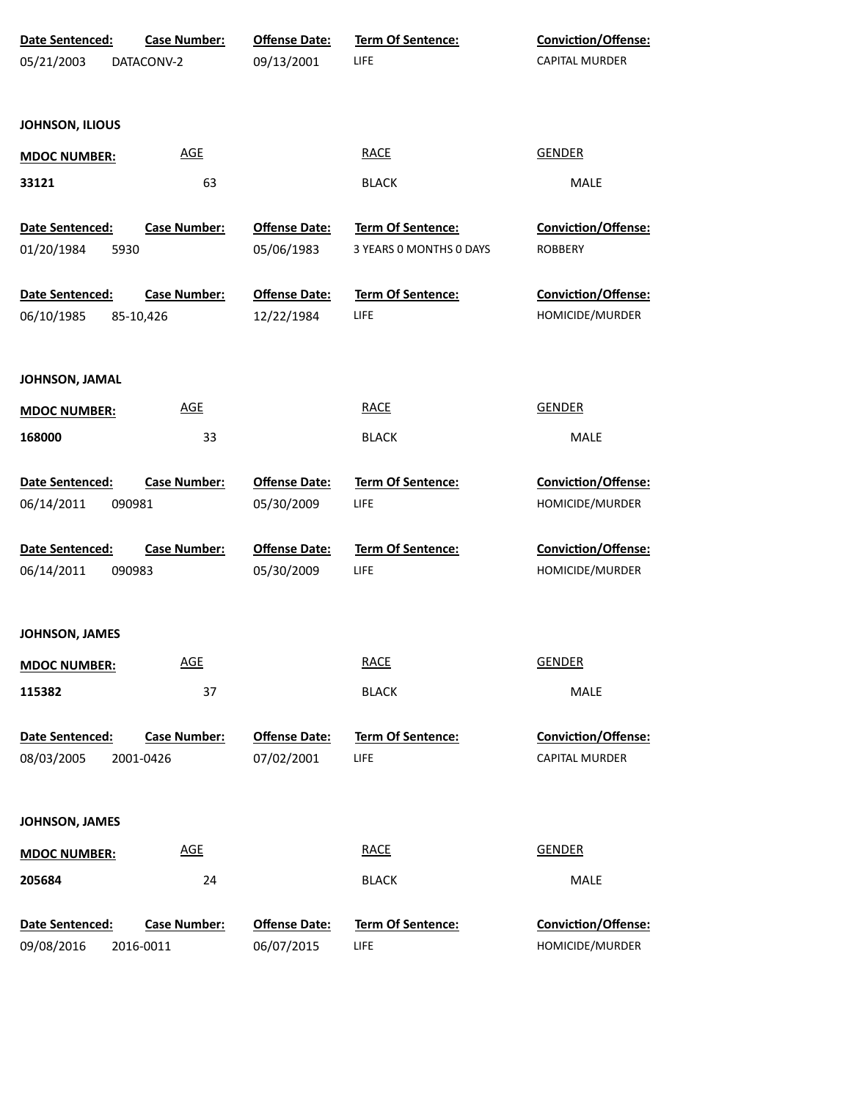| Date Sentenced:                   | <b>Case Number:</b>              | <b>Offense Date:</b>               | Term Of Sentence:                | Conviction/Offense:                          |  |
|-----------------------------------|----------------------------------|------------------------------------|----------------------------------|----------------------------------------------|--|
| 05/21/2003                        | DATACONV-2                       | 09/13/2001                         | LIFE                             | <b>CAPITAL MURDER</b>                        |  |
| JOHNSON, ILIOUS                   |                                  |                                    |                                  |                                              |  |
| <b>AGE</b><br><b>MDOC NUMBER:</b> |                                  |                                    | <b>RACE</b>                      | <b>GENDER</b>                                |  |
| 33121                             | 63                               |                                    | <b>BLACK</b>                     | MALE                                         |  |
| Date Sentenced:                   | <b>Case Number:</b>              | <b>Offense Date:</b>               | Term Of Sentence:                | <b>Conviction/Offense:</b>                   |  |
| 01/20/1984<br>5930                |                                  | 05/06/1983                         | 3 YEARS 0 MONTHS 0 DAYS          | <b>ROBBERY</b>                               |  |
| Date Sentenced:                   | <b>Case Number:</b>              | <b>Offense Date:</b>               | Term Of Sentence:                | Conviction/Offense:                          |  |
| 06/10/1985                        | 85-10,426                        | 12/22/1984                         | LIFE                             | HOMICIDE/MURDER                              |  |
| JOHNSON, JAMAL                    |                                  |                                    |                                  |                                              |  |
| <b>MDOC NUMBER:</b>               | <b>AGE</b>                       |                                    | <b>RACE</b>                      | <b>GENDER</b>                                |  |
| 168000                            | 33                               |                                    | <b>BLACK</b>                     | MALE                                         |  |
| Date Sentenced:                   | <b>Case Number:</b>              | <b>Offense Date:</b>               | Term Of Sentence:                | <b>Conviction/Offense:</b>                   |  |
| 06/14/2011                        | 090981                           | 05/30/2009                         | LIFE                             | HOMICIDE/MURDER                              |  |
| Date Sentenced:                   | <b>Case Number:</b>              | <b>Offense Date:</b>               | Term Of Sentence:                | Conviction/Offense:                          |  |
| 06/14/2011                        | 090983                           | 05/30/2009                         | LIFE                             | HOMICIDE/MURDER                              |  |
| JOHNSON, JAMES                    |                                  |                                    |                                  |                                              |  |
| <b>MDOC NUMBER:</b>               | <b>AGE</b>                       |                                    | <b>RACE</b>                      | <b>GENDER</b>                                |  |
| 115382                            | 37                               |                                    | <b>BLACK</b>                     | MALE                                         |  |
| Date Sentenced:<br>08/03/2005     | <b>Case Number:</b><br>2001-0426 | <b>Offense Date:</b><br>07/02/2001 | <b>Term Of Sentence:</b><br>LIFE | Conviction/Offense:<br><b>CAPITAL MURDER</b> |  |
| JOHNSON, JAMES                    |                                  |                                    |                                  |                                              |  |
| <b>MDOC NUMBER:</b>               | <b>AGE</b>                       |                                    | <b>RACE</b>                      | <b>GENDER</b>                                |  |
| 205684                            | 24                               |                                    | <b>BLACK</b>                     | MALE                                         |  |
| Date Sentenced:                   | <b>Case Number:</b>              | <b>Offense Date:</b>               | Term Of Sentence:                | <b>Conviction/Offense:</b>                   |  |
| 09/08/2016                        | 2016-0011                        | 06/07/2015                         | LIFE                             | HOMICIDE/MURDER                              |  |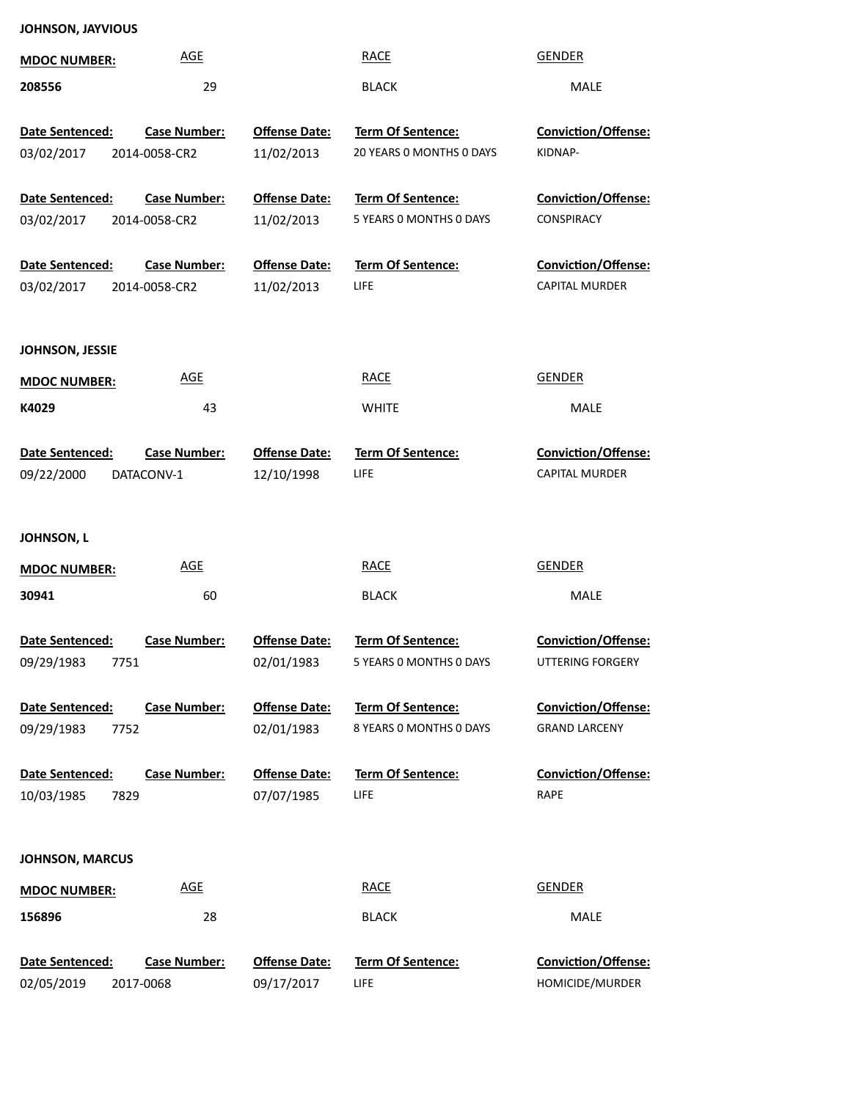| JOHNSON, JAYVIOUS |
|-------------------|
|-------------------|

| <b>MDOC NUMBER:</b>                   | <b>AGE</b>                           |                                    | <b>RACE</b>                                          | <b>GENDER</b>                                       |
|---------------------------------------|--------------------------------------|------------------------------------|------------------------------------------------------|-----------------------------------------------------|
| 208556                                | 29                                   |                                    | <b>BLACK</b>                                         | <b>MALE</b>                                         |
| Date Sentenced:<br>03/02/2017         | <b>Case Number:</b><br>2014-0058-CR2 | <b>Offense Date:</b><br>11/02/2013 | <b>Term Of Sentence:</b><br>20 YEARS 0 MONTHS 0 DAYS | <b>Conviction/Offense:</b><br>KIDNAP-               |
| Date Sentenced:                       | <b>Case Number:</b>                  | <b>Offense Date:</b>               | Term Of Sentence:                                    | Conviction/Offense:                                 |
| 03/02/2017                            | 2014-0058-CR2                        | 11/02/2013                         | 5 YEARS 0 MONTHS 0 DAYS                              | CONSPIRACY                                          |
| Date Sentenced:<br>03/02/2017         | <b>Case Number:</b><br>2014-0058-CR2 | <b>Offense Date:</b><br>11/02/2013 | Term Of Sentence:<br>LIFE                            | Conviction/Offense:<br><b>CAPITAL MURDER</b>        |
| JOHNSON, JESSIE                       |                                      |                                    |                                                      |                                                     |
| <b>MDOC NUMBER:</b>                   | <b>AGE</b>                           |                                    | <b>RACE</b>                                          | <b>GENDER</b>                                       |
| K4029                                 | 43                                   |                                    | <b>WHITE</b>                                         | <b>MALE</b>                                         |
| Date Sentenced:<br>09/22/2000         | <b>Case Number:</b><br>DATACONV-1    | <b>Offense Date:</b><br>12/10/1998 | <b>Term Of Sentence:</b><br>LIFE                     | <b>Conviction/Offense:</b><br><b>CAPITAL MURDER</b> |
| JOHNSON, L                            |                                      |                                    |                                                      |                                                     |
| <b>MDOC NUMBER:</b>                   | <b>AGE</b>                           |                                    | <b>RACE</b>                                          | <b>GENDER</b>                                       |
| 30941                                 | 60                                   |                                    | <b>BLACK</b>                                         | <b>MALE</b>                                         |
| Date Sentenced:<br>09/29/1983<br>7751 | <b>Case Number:</b>                  | <b>Offense Date:</b><br>02/01/1983 | <b>Term Of Sentence:</b><br>5 YEARS 0 MONTHS 0 DAYS  | <b>Conviction/Offense:</b><br>UTTERING FORGERY      |
| Date Sentenced:                       | <b>Case Number:</b>                  | <b>Offense Date:</b>               | Term Of Sentence:                                    | <b>Conviction/Offense:</b>                          |
| 09/29/1983<br>7752                    |                                      | 02/01/1983                         | 8 YEARS 0 MONTHS 0 DAYS                              | <b>GRAND LARCENY</b>                                |
| Date Sentenced:<br>10/03/1985<br>7829 | <b>Case Number:</b>                  | <b>Offense Date:</b><br>07/07/1985 | Term Of Sentence:<br>LIFE                            | <b>Conviction/Offense:</b><br><b>RAPE</b>           |
| <b>JOHNSON, MARCUS</b>                |                                      |                                    |                                                      |                                                     |
| <b>MDOC NUMBER:</b>                   | <b>AGE</b>                           |                                    | <b>RACE</b>                                          | <b>GENDER</b>                                       |
| 156896                                | 28                                   |                                    | <b>BLACK</b>                                         | MALE                                                |
| Date Sentenced:<br>02/05/2019         | <b>Case Number:</b><br>2017-0068     | <b>Offense Date:</b><br>09/17/2017 | Term Of Sentence:<br>LIFE                            | <b>Conviction/Offense:</b><br>HOMICIDE/MURDER       |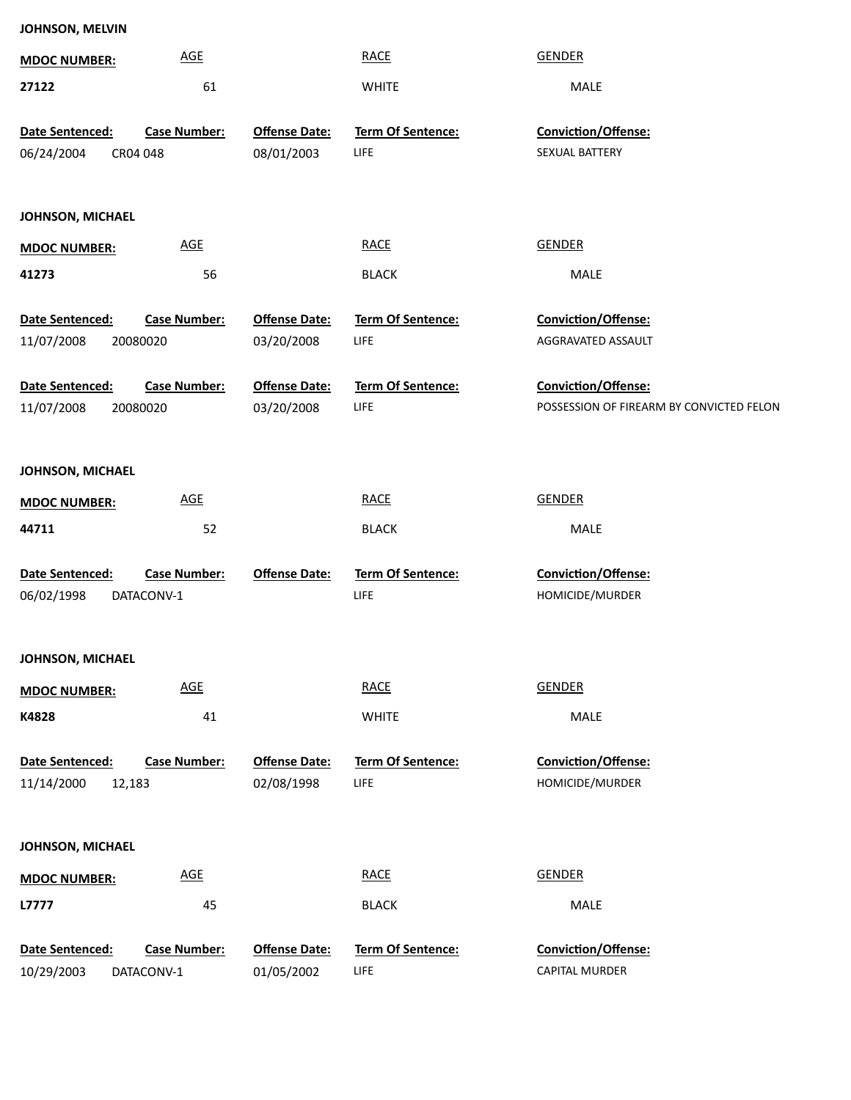| <b>MDOC NUMBER:</b>  | <b>AGE</b>                 |                      | <b>RACE</b>       | <b>GENDER</b>                            |
|----------------------|----------------------------|----------------------|-------------------|------------------------------------------|
| 27122                | 61                         |                      | <b>WHITE</b>      | MALE                                     |
| Date Sentenced:      | <b>Case Number:</b>        | <b>Offense Date:</b> | Term Of Sentence: | Conviction/Offense:                      |
| 06/24/2004           | CR04 048                   | 08/01/2003           | LIFE              | SEXUAL BATTERY                           |
|                      |                            |                      |                   |                                          |
| JOHNSON, MICHAEL     |                            |                      |                   |                                          |
| <b>MDOC NUMBER:</b>  | AGE                        |                      | <b>RACE</b>       | <b>GENDER</b>                            |
| 41273                | 56                         |                      | <b>BLACK</b>      | MALE                                     |
| Date Sentenced:      | <b>Case Number:</b>        | <b>Offense Date:</b> | Term Of Sentence: | Conviction/Offense:                      |
| 11/07/2008           | 20080020                   | 03/20/2008           | LIFE              | AGGRAVATED ASSAULT                       |
| Date Sentenced:      | <b>Case Number:</b>        | <b>Offense Date:</b> | Term Of Sentence: | Conviction/Offense:                      |
| 11/07/2008           | 20080020                   | 03/20/2008           | LIFE              | POSSESSION OF FIREARM BY CONVICTED FELON |
|                      |                            |                      |                   |                                          |
| JOHNSON, MICHAEL     |                            |                      |                   |                                          |
| <b>MDOC NUMBER:</b>  | AGE                        |                      | <b>RACE</b>       | <b>GENDER</b>                            |
| 44711                | 52                         |                      | <b>BLACK</b>      | MALE                                     |
| Date Sentenced:      | <b>Case Number:</b>        | <b>Offense Date:</b> | Term Of Sentence: | Conviction/Offense:                      |
| 06/02/1998           | DATACONV-1                 |                      | LIFE              | HOMICIDE/MURDER                          |
|                      |                            |                      |                   |                                          |
| JOHNSON, MICHAEL     |                            |                      |                   |                                          |
| <b>MDOC NUMBER:</b>  | $\underline{\mathsf{AGE}}$ |                      | <b>RACE</b>       | <b>GENDER</b>                            |
| K4828                | 41                         |                      | <b>WHITE</b>      | MALE                                     |
| Date Sentenced:      | <b>Case Number:</b>        | <b>Offense Date:</b> | Term Of Sentence: | Conviction/Offense:                      |
| 11/14/2000<br>12,183 |                            | 02/08/1998           | LIFE              | HOMICIDE/MURDER                          |
|                      |                            |                      |                   |                                          |
| JOHNSON, MICHAEL     |                            |                      |                   |                                          |
| <b>MDOC NUMBER:</b>  | $\underline{\mathsf{AGE}}$ |                      | <b>RACE</b>       | <b>GENDER</b>                            |
| L7777                | 45                         |                      | <b>BLACK</b>      | MALE                                     |
| Date Sentenced:      | <b>Case Number:</b>        | <b>Offense Date:</b> | Term Of Sentence: | Conviction/Offense:                      |
| 10/29/2003           | DATACONV-1                 | 01/05/2002           | LIFE              | CAPITAL MURDER                           |
|                      |                            |                      |                   |                                          |

**JOHNSON, MELVIN**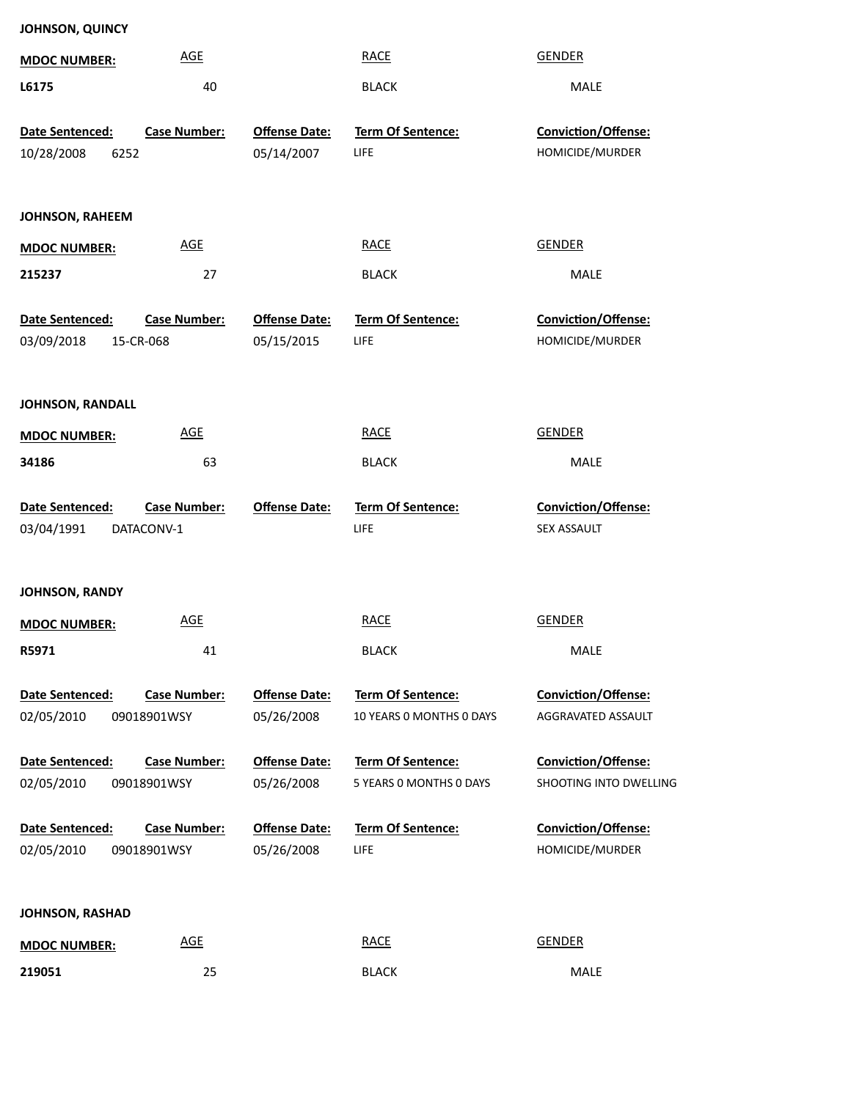| JOHNSON, QUINCY                        |                      |                          |                        |
|----------------------------------------|----------------------|--------------------------|------------------------|
| <b>MDOC NUMBER:</b>                    | <b>AGE</b>           | <b>RACE</b>              | <b>GENDER</b>          |
| L6175                                  | 40                   | <b>BLACK</b>             | MALE                   |
| Date Sentenced:<br><b>Case Number:</b> | <b>Offense Date:</b> | Term Of Sentence:        | Conviction/Offense:    |
| 10/28/2008<br>6252                     | 05/14/2007           | LIFE                     | HOMICIDE/MURDER        |
|                                        |                      |                          |                        |
| <b>JOHNSON, RAHEEM</b>                 |                      |                          |                        |
| <b>MDOC NUMBER:</b>                    | AGE                  | <b>RACE</b>              | <b>GENDER</b>          |
| 215237                                 | 27                   | <b>BLACK</b>             | MALE                   |
| Date Sentenced:<br><b>Case Number:</b> | <b>Offense Date:</b> | <b>Term Of Sentence:</b> | Conviction/Offense:    |
| 03/09/2018<br>15-CR-068                | 05/15/2015           | LIFE                     | HOMICIDE/MURDER        |
|                                        |                      |                          |                        |
| <b>JOHNSON, RANDALL</b>                |                      |                          |                        |
| <b>MDOC NUMBER:</b>                    | AGE                  | <b>RACE</b>              | <b>GENDER</b>          |
| 34186                                  | 63                   | <b>BLACK</b>             | MALE                   |
| Date Sentenced:<br><b>Case Number:</b> | <b>Offense Date:</b> | Term Of Sentence:        | Conviction/Offense:    |
| 03/04/1991<br>DATACONV-1               |                      | LIFE                     | SEX ASSAULT            |
|                                        |                      |                          |                        |
| JOHNSON, RANDY                         |                      |                          |                        |
| <b>MDOC NUMBER:</b>                    | <b>AGE</b>           | <b>RACE</b>              | <b>GENDER</b>          |
| R5971                                  | 41                   | <b>BLACK</b>             | MALE                   |
| <b>Case Number:</b><br>Date Sentenced: | <b>Offense Date:</b> | <b>Term Of Sentence:</b> | Conviction/Offense:    |
| 02/05/2010<br>09018901WSY              | 05/26/2008           | 10 YEARS 0 MONTHS 0 DAYS | AGGRAVATED ASSAULT     |
|                                        |                      |                          |                        |
| <b>Case Number:</b><br>Date Sentenced: | <b>Offense Date:</b> | <b>Term Of Sentence:</b> | Conviction/Offense:    |
| 02/05/2010<br>09018901WSY              | 05/26/2008           | 5 YEARS O MONTHS O DAYS  | SHOOTING INTO DWELLING |
| <b>Case Number:</b><br>Date Sentenced: | <b>Offense Date:</b> | Term Of Sentence:        | Conviction/Offense:    |
| 02/05/2010<br>09018901WSY              | 05/26/2008           | LIFE                     | HOMICIDE/MURDER        |
|                                        |                      |                          |                        |
|                                        |                      |                          |                        |
| <b>JOHNSON, RASHAD</b>                 |                      |                          |                        |
| <b>MDOC NUMBER:</b>                    | <b>AGE</b>           | <b>RACE</b>              | <b>GENDER</b>          |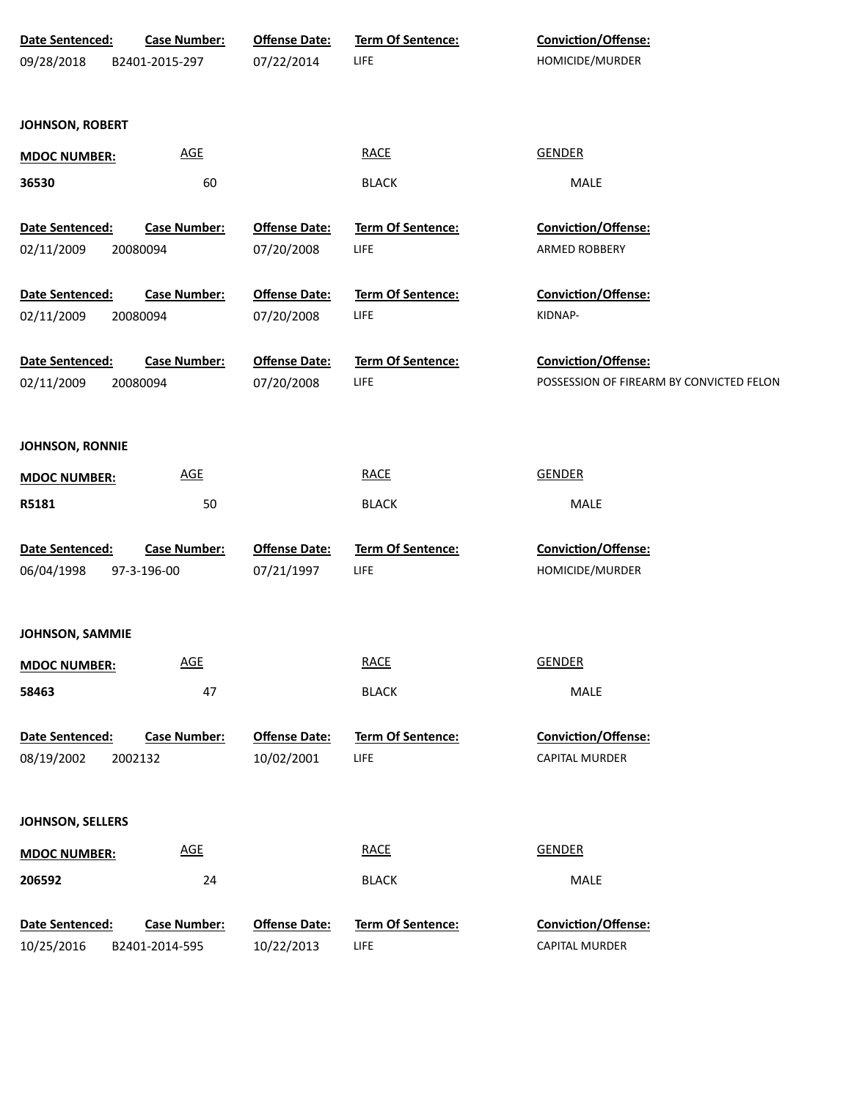| Date Sentenced:<br>09/28/2018 | <b>Case Number:</b><br>B2401-2015-297 | <b>Offense Date:</b><br>07/22/2014 | Term Of Sentence:<br>LIFE | Conviction/Offense:<br>HOMICIDE/MURDER                          |
|-------------------------------|---------------------------------------|------------------------------------|---------------------------|-----------------------------------------------------------------|
| <b>JOHNSON, ROBERT</b>        |                                       |                                    |                           |                                                                 |
| <b>MDOC NUMBER:</b>           | <b>AGE</b>                            |                                    | <b>RACE</b>               | <b>GENDER</b>                                                   |
| 36530                         | 60                                    |                                    | <b>BLACK</b>              | MALE                                                            |
| Date Sentenced:               | <b>Case Number:</b>                   | <b>Offense Date:</b>               | Term Of Sentence:         | Conviction/Offense:                                             |
| 02/11/2009                    | 20080094                              | 07/20/2008                         | LIFE                      | ARMED ROBBERY                                                   |
| Date Sentenced:               | <b>Case Number:</b>                   | <b>Offense Date:</b>               | Term Of Sentence:         | Conviction/Offense:                                             |
| 02/11/2009                    | 20080094                              | 07/20/2008                         | LIFE                      | KIDNAP-                                                         |
| Date Sentenced:<br>02/11/2009 | <b>Case Number:</b><br>20080094       | <b>Offense Date:</b><br>07/20/2008 | Term Of Sentence:<br>LIFE | Conviction/Offense:<br>POSSESSION OF FIREARM BY CONVICTED FELON |
| <b>JOHNSON, RONNIE</b>        |                                       |                                    |                           |                                                                 |
| <b>MDOC NUMBER:</b>           | <b>AGE</b>                            |                                    | <b>RACE</b>               | <b>GENDER</b>                                                   |
| R5181                         | 50                                    |                                    | <b>BLACK</b>              | MALE                                                            |
| Date Sentenced:               | <b>Case Number:</b>                   | <b>Offense Date:</b>               | Term Of Sentence:         | Conviction/Offense:                                             |
| 06/04/1998                    | 97-3-196-00                           | 07/21/1997                         | LIFE                      | HOMICIDE/MURDER                                                 |
| <b>JOHNSON, SAMMIE</b>        |                                       |                                    |                           |                                                                 |
| <b>MDOC NUMBER:</b>           | <b>AGE</b>                            |                                    | <b>RACE</b>               | <b>GENDER</b>                                                   |
| 58463                         | 47                                    |                                    | <b>BLACK</b>              | MALE                                                            |
| Date Sentenced:<br>08/19/2002 | <b>Case Number:</b><br>2002132        | <b>Offense Date:</b><br>10/02/2001 | Term Of Sentence:<br>LIFE | Conviction/Offense:<br><b>CAPITAL MURDER</b>                    |
| JOHNSON, SELLERS              |                                       |                                    |                           |                                                                 |
| <b>MDOC NUMBER:</b>           | $\underline{\mathsf{AGE}}$            |                                    | <b>RACE</b>               | <b>GENDER</b>                                                   |
| 206592                        | 24                                    |                                    | <b>BLACK</b>              | MALE                                                            |
| Date Sentenced:               | <b>Case Number:</b>                   | <b>Offense Date:</b>               | Term Of Sentence:         | Conviction/Offense:                                             |
| 10/25/2016                    | B2401-2014-595                        | 10/22/2013                         | <b>LIFE</b>               | CAPITAL MURDER                                                  |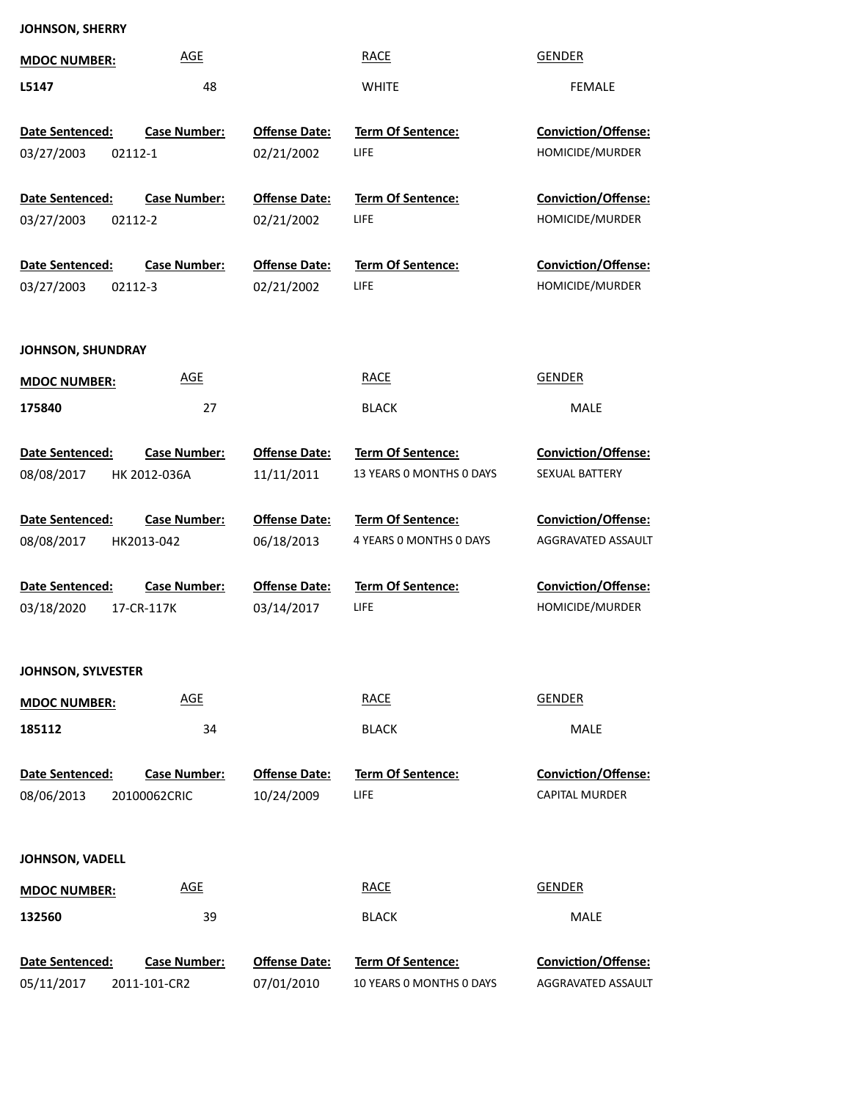## **JOHNSON, SHERRY**

| <b>MDOC NUMBER:</b>                      | <u>AGE</u>                          |                                    | <b>RACE</b>                                          | <b>GENDER</b>                                    |
|------------------------------------------|-------------------------------------|------------------------------------|------------------------------------------------------|--------------------------------------------------|
| L5147                                    | 48                                  |                                    | <b>WHITE</b>                                         | FEMALE                                           |
| Date Sentenced:<br>03/27/2003<br>02112-1 | <b>Case Number:</b>                 | <b>Offense Date:</b><br>02/21/2002 | <b>Term Of Sentence:</b><br><b>LIFE</b>              | <b>Conviction/Offense:</b><br>HOMICIDE/MURDER    |
| Date Sentenced:<br>03/27/2003<br>02112-2 | <b>Case Number:</b>                 | <b>Offense Date:</b><br>02/21/2002 | <b>Term Of Sentence:</b><br>LIFE                     | <b>Conviction/Offense:</b><br>HOMICIDE/MURDER    |
| Date Sentenced:<br>03/27/2003<br>02112-3 | <b>Case Number:</b>                 | <b>Offense Date:</b><br>02/21/2002 | <b>Term Of Sentence:</b><br><b>LIFE</b>              | <b>Conviction/Offense:</b><br>HOMICIDE/MURDER    |
| JOHNSON, SHUNDRAY                        |                                     |                                    |                                                      |                                                  |
| <b>MDOC NUMBER:</b>                      | <u>AGE</u>                          |                                    | <b>RACE</b>                                          | <b>GENDER</b>                                    |
| 175840                                   | 27                                  |                                    | <b>BLACK</b>                                         | MALE                                             |
| Date Sentenced:<br>08/08/2017            | <b>Case Number:</b><br>HK 2012-036A | <b>Offense Date:</b><br>11/11/2011 | <b>Term Of Sentence:</b><br>13 YEARS O MONTHS O DAYS | <b>Conviction/Offense:</b><br>SEXUAL BATTERY     |
| Date Sentenced:                          | <b>Case Number:</b>                 | <b>Offense Date:</b>               | <b>Term Of Sentence:</b>                             | <b>Conviction/Offense:</b>                       |
| 08/08/2017                               | HK2013-042                          | 06/18/2013                         | 4 YEARS 0 MONTHS 0 DAYS                              | AGGRAVATED ASSAULT                               |
| Date Sentenced:<br>03/18/2020            | <b>Case Number:</b><br>17-CR-117K   | <b>Offense Date:</b><br>03/14/2017 | <b>Term Of Sentence:</b><br><b>LIFE</b>              | <b>Conviction/Offense:</b><br>HOMICIDE/MURDER    |
| <b>JOHNSON, SYLVESTER</b>                |                                     |                                    |                                                      |                                                  |
| <b>MDOC NUMBER:</b>                      | <b>AGE</b>                          |                                    | <b>RACE</b>                                          | <b>GENDER</b>                                    |
| 185112                                   | 34                                  |                                    | <b>BLACK</b>                                         | MALE                                             |
| Date Sentenced:<br>08/06/2013            | <b>Case Number:</b><br>20100062CRIC | <b>Offense Date:</b><br>10/24/2009 | <b>Term Of Sentence:</b><br>LIFE                     | Conviction/Offense:<br>CAPITAL MURDER            |
| JOHNSON, VADELL                          |                                     |                                    |                                                      |                                                  |
| <b>MDOC NUMBER:</b>                      | <b>AGE</b>                          |                                    | <b>RACE</b>                                          | <b>GENDER</b>                                    |
| 132560                                   | 39                                  |                                    | <b>BLACK</b>                                         | MALE                                             |
| Date Sentenced:<br>05/11/2017            | <b>Case Number:</b><br>2011-101-CR2 | <b>Offense Date:</b><br>07/01/2010 | <b>Term Of Sentence:</b><br>10 YEARS 0 MONTHS 0 DAYS | <b>Conviction/Offense:</b><br>AGGRAVATED ASSAULT |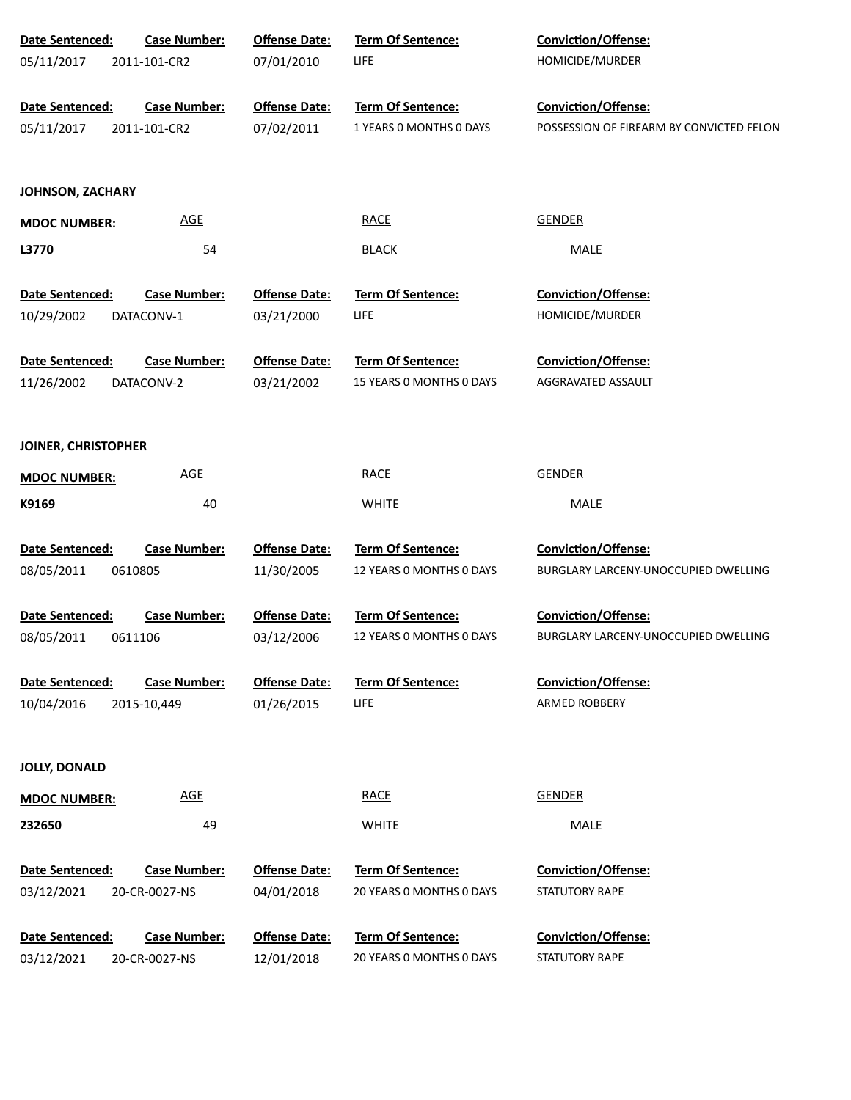| Date Sentenced:         | <b>Case Number:</b> | <b>Offense Date:</b> | Term Of Sentence:        | Conviction/Offense:                      |
|-------------------------|---------------------|----------------------|--------------------------|------------------------------------------|
| 05/11/2017              | 2011-101-CR2        | 07/01/2010           | LIFE                     | HOMICIDE/MURDER                          |
|                         |                     |                      |                          |                                          |
| Date Sentenced:         | <b>Case Number:</b> | <b>Offense Date:</b> | Term Of Sentence:        | Conviction/Offense:                      |
| 05/11/2017              | 2011-101-CR2        | 07/02/2011           | 1 YEARS O MONTHS O DAYS  | POSSESSION OF FIREARM BY CONVICTED FELON |
|                         |                     |                      |                          |                                          |
| <b>JOHNSON, ZACHARY</b> |                     |                      |                          |                                          |
|                         | <b>AGE</b>          |                      | <b>RACE</b>              | <b>GENDER</b>                            |
| <b>MDOC NUMBER:</b>     |                     |                      |                          |                                          |
| L3770                   | 54                  |                      | <b>BLACK</b>             | MALE                                     |
| Date Sentenced:         | <b>Case Number:</b> | <b>Offense Date:</b> | Term Of Sentence:        | Conviction/Offense:                      |
| 10/29/2002              | DATACONV-1          | 03/21/2000           | LIFE                     | HOMICIDE/MURDER                          |
|                         |                     |                      |                          |                                          |
| Date Sentenced:         | <b>Case Number:</b> | <b>Offense Date:</b> | Term Of Sentence:        | Conviction/Offense:                      |
| 11/26/2002              | DATACONV-2          | 03/21/2002           | 15 YEARS O MONTHS O DAYS | AGGRAVATED ASSAULT                       |
|                         |                     |                      |                          |                                          |
|                         |                     |                      |                          |                                          |
| JOINER, CHRISTOPHER     |                     |                      |                          |                                          |
| <b>MDOC NUMBER:</b>     | <b>AGE</b>          |                      | <b>RACE</b>              | <b>GENDER</b>                            |
| K9169                   | 40                  |                      | <b>WHITE</b>             | MALE                                     |
|                         |                     |                      |                          |                                          |
| Date Sentenced:         | <b>Case Number:</b> | <b>Offense Date:</b> | Term Of Sentence:        | <b>Conviction/Offense:</b>               |
| 08/05/2011              | 0610805             | 11/30/2005           | 12 YEARS O MONTHS O DAYS | BURGLARY LARCENY-UNOCCUPIED DWELLING     |
| Date Sentenced:         | <b>Case Number:</b> | <b>Offense Date:</b> | <b>Term Of Sentence:</b> | <b>Conviction/Offense:</b>               |
| 08/05/2011              | 0611106             | 03/12/2006           | 12 YEARS O MONTHS O DAYS | BURGLARY LARCENY-UNOCCUPIED DWELLING     |
|                         |                     |                      |                          |                                          |
| Date Sentenced:         | <b>Case Number:</b> | <b>Offense Date:</b> | <b>Term Of Sentence:</b> | <b>Conviction/Offense:</b>               |
| 10/04/2016              | 2015-10,449         | 01/26/2015           | <b>LIFE</b>              | <b>ARMED ROBBERY</b>                     |
|                         |                     |                      |                          |                                          |
|                         |                     |                      |                          |                                          |
| <b>JOLLY, DONALD</b>    |                     |                      |                          |                                          |
| <b>MDOC NUMBER:</b>     | <b>AGE</b>          |                      | <b>RACE</b>              | <b>GENDER</b>                            |
| 232650                  | 49                  |                      | <b>WHITE</b>             | MALE                                     |
|                         |                     |                      |                          |                                          |
| Date Sentenced:         | <b>Case Number:</b> | <b>Offense Date:</b> | Term Of Sentence:        | <b>Conviction/Offense:</b>               |
| 03/12/2021              | 20-CR-0027-NS       | 04/01/2018           | 20 YEARS 0 MONTHS 0 DAYS | STATUTORY RAPE                           |
|                         |                     |                      |                          |                                          |
| Date Sentenced:         | <b>Case Number:</b> | <b>Offense Date:</b> | Term Of Sentence:        | <b>Conviction/Offense:</b>               |
| 03/12/2021              | 20-CR-0027-NS       | 12/01/2018           | 20 YEARS 0 MONTHS 0 DAYS | STATUTORY RAPE                           |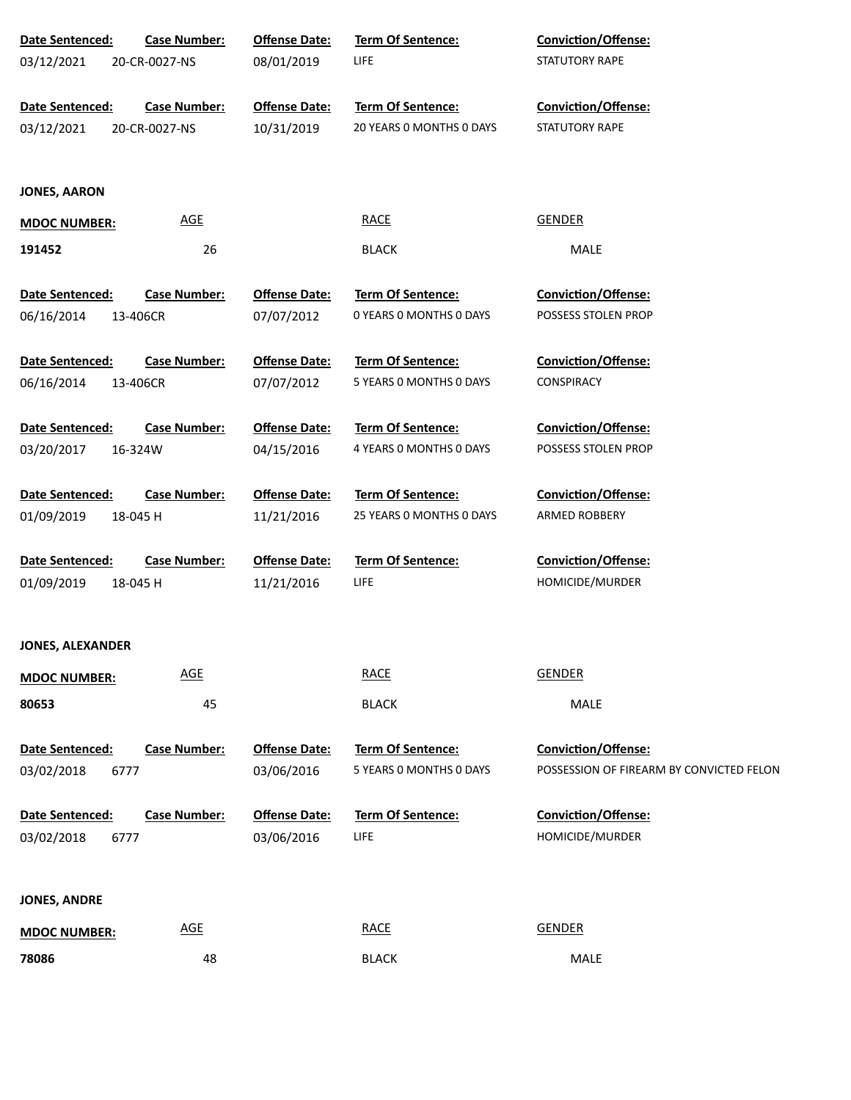| Date Sentenced:         | <b>Case Number:</b> | <b>Offense Date:</b> | Term Of Sentence:        | Conviction/Offense:                      |
|-------------------------|---------------------|----------------------|--------------------------|------------------------------------------|
| 03/12/2021              | 20-CR-0027-NS       | 08/01/2019           | <b>LIFE</b>              | STATUTORY RAPE                           |
|                         |                     |                      |                          |                                          |
| Date Sentenced:         | <b>Case Number:</b> | <b>Offense Date:</b> | Term Of Sentence:        | Conviction/Offense:                      |
| 03/12/2021              | 20-CR-0027-NS       | 10/31/2019           | 20 YEARS 0 MONTHS 0 DAYS | STATUTORY RAPE                           |
|                         |                     |                      |                          |                                          |
| <b>JONES, AARON</b>     |                     |                      |                          |                                          |
|                         | <b>AGE</b>          |                      | <b>RACE</b>              | <b>GENDER</b>                            |
| <b>MDOC NUMBER:</b>     |                     |                      |                          |                                          |
| 191452                  | 26                  |                      | <b>BLACK</b>             | MALE                                     |
| Date Sentenced:         | <b>Case Number:</b> | <b>Offense Date:</b> | Term Of Sentence:        | Conviction/Offense:                      |
|                         |                     |                      | 0 YEARS 0 MONTHS 0 DAYS  | POSSESS STOLEN PROP                      |
| 06/16/2014              | 13-406CR            | 07/07/2012           |                          |                                          |
| Date Sentenced:         | <b>Case Number:</b> | <b>Offense Date:</b> | Term Of Sentence:        | Conviction/Offense:                      |
| 06/16/2014              | 13-406CR            | 07/07/2012           | 5 YEARS 0 MONTHS 0 DAYS  | <b>CONSPIRACY</b>                        |
|                         |                     |                      |                          |                                          |
| Date Sentenced:         | <b>Case Number:</b> | <b>Offense Date:</b> | Term Of Sentence:        | Conviction/Offense:                      |
| 03/20/2017              | 16-324W             | 04/15/2016           | 4 YEARS O MONTHS O DAYS  | POSSESS STOLEN PROP                      |
|                         |                     |                      |                          |                                          |
| Date Sentenced:         | <b>Case Number:</b> | <b>Offense Date:</b> | Term Of Sentence:        | Conviction/Offense:                      |
| 01/09/2019              | 18-045 H            | 11/21/2016           | 25 YEARS 0 MONTHS 0 DAYS | ARMED ROBBERY                            |
|                         |                     |                      |                          |                                          |
| Date Sentenced:         | <b>Case Number:</b> | <b>Offense Date:</b> | Term Of Sentence:        | Conviction/Offense:                      |
| 01/09/2019              | 18-045 H            | 11/21/2016           | <b>LIFE</b>              | HOMICIDE/MURDER                          |
|                         |                     |                      |                          |                                          |
| <b>JONES, ALEXANDER</b> |                     |                      |                          |                                          |
| <b>MDOC NUMBER:</b>     | <b>AGE</b>          |                      | <b>RACE</b>              | <b>GENDER</b>                            |
|                         |                     |                      |                          |                                          |
| 80653                   | 45                  |                      | <b>BLACK</b>             | MALE                                     |
| Date Sentenced:         | <b>Case Number:</b> | <b>Offense Date:</b> | Term Of Sentence:        | <b>Conviction/Offense:</b>               |
| 03/02/2018              | 6777                | 03/06/2016           | 5 YEARS O MONTHS O DAYS  | POSSESSION OF FIREARM BY CONVICTED FELON |
|                         |                     |                      |                          |                                          |
| Date Sentenced:         | <b>Case Number:</b> | <b>Offense Date:</b> | Term Of Sentence:        | Conviction/Offense:                      |
| 03/02/2018              | 6777                | 03/06/2016           | <b>LIFE</b>              | HOMICIDE/MURDER                          |
|                         |                     |                      |                          |                                          |
|                         |                     |                      |                          |                                          |
| <b>JONES, ANDRE</b>     |                     |                      |                          |                                          |
| <b>MDOC NUMBER:</b>     | <b>AGE</b>          |                      | <b>RACE</b>              | <b>GENDER</b>                            |
| 78086                   | 48                  |                      | <b>BLACK</b>             | MALE                                     |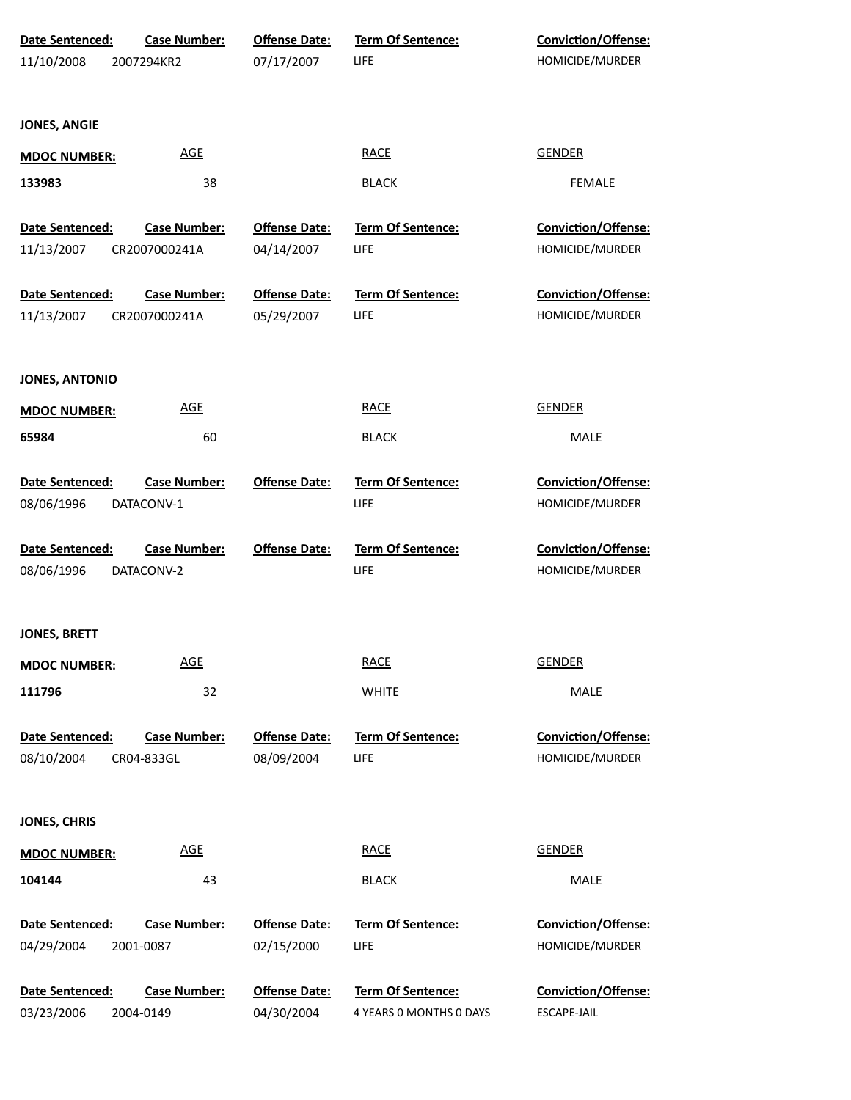| Date Sentenced:<br>11/10/2008 | <b>Case Number:</b><br>2007294KR2 | <b>Offense Date:</b><br>07/17/2007 | <b>Term Of Sentence:</b><br>LIFE | <b>Conviction/Offense:</b><br>HOMICIDE/MURDER |  |
|-------------------------------|-----------------------------------|------------------------------------|----------------------------------|-----------------------------------------------|--|
|                               |                                   |                                    |                                  |                                               |  |
| <b>JONES, ANGIE</b>           |                                   |                                    |                                  |                                               |  |
| <b>MDOC NUMBER:</b>           | <b>AGE</b>                        |                                    | <b>RACE</b>                      | <b>GENDER</b>                                 |  |
| 133983                        | 38                                |                                    | <b>BLACK</b>                     | <b>FEMALE</b>                                 |  |
| Date Sentenced:               | <b>Case Number:</b>               | <b>Offense Date:</b>               | Term Of Sentence:                | Conviction/Offense:                           |  |
| 11/13/2007                    | CR2007000241A                     | 04/14/2007                         | LIFE                             | HOMICIDE/MURDER                               |  |
| Date Sentenced:               | <b>Case Number:</b>               | <b>Offense Date:</b>               | <b>Term Of Sentence:</b>         | Conviction/Offense:                           |  |
| 11/13/2007                    | CR2007000241A                     | 05/29/2007                         | LIFE                             | HOMICIDE/MURDER                               |  |
| <b>JONES, ANTONIO</b>         |                                   |                                    |                                  |                                               |  |
| <b>MDOC NUMBER:</b>           | <b>AGE</b>                        |                                    | <b>RACE</b>                      | <b>GENDER</b>                                 |  |
| 65984                         | 60                                |                                    | <b>BLACK</b>                     | MALE                                          |  |
| Date Sentenced:               | <b>Case Number:</b>               | <b>Offense Date:</b>               | <b>Term Of Sentence:</b>         | <b>Conviction/Offense:</b>                    |  |
| 08/06/1996                    | DATACONV-1                        |                                    | LIFE                             | HOMICIDE/MURDER                               |  |
| Date Sentenced:               | <b>Case Number:</b>               | <b>Offense Date:</b>               | Term Of Sentence:                | Conviction/Offense:                           |  |
| 08/06/1996                    | DATACONV-2                        |                                    | LIFE                             | HOMICIDE/MURDER                               |  |
| <b>JONES, BRETT</b>           |                                   |                                    |                                  |                                               |  |
| <b>MDOC NUMBER:</b>           | <b>AGE</b>                        |                                    | <b>RACE</b>                      | <b>GENDER</b>                                 |  |
| 111796                        | 32                                |                                    | <b>WHITE</b>                     | MALE                                          |  |
| Date Sentenced:               | <b>Case Number:</b>               | <b>Offense Date:</b>               | Term Of Sentence:                | Conviction/Offense:                           |  |
| 08/10/2004                    | CR04-833GL                        | 08/09/2004                         | LIFE                             | HOMICIDE/MURDER                               |  |
| <b>JONES, CHRIS</b>           |                                   |                                    |                                  |                                               |  |
| <b>MDOC NUMBER:</b>           | <b>AGE</b>                        |                                    | <b>RACE</b>                      | <b>GENDER</b>                                 |  |
| 104144                        | 43                                |                                    | <b>BLACK</b>                     | MALE                                          |  |
| Date Sentenced:               | <b>Case Number:</b>               | <b>Offense Date:</b>               | <b>Term Of Sentence:</b>         | <b>Conviction/Offense:</b>                    |  |
| 04/29/2004                    | 2001-0087                         | 02/15/2000                         | LIFE                             | HOMICIDE/MURDER                               |  |
| Date Sentenced:               | <b>Case Number:</b>               | <b>Offense Date:</b>               | Term Of Sentence:                | <b>Conviction/Offense:</b>                    |  |
| 03/23/2006                    | 2004-0149                         | 04/30/2004                         | 4 YEARS 0 MONTHS 0 DAYS          | ESCAPE-JAIL                                   |  |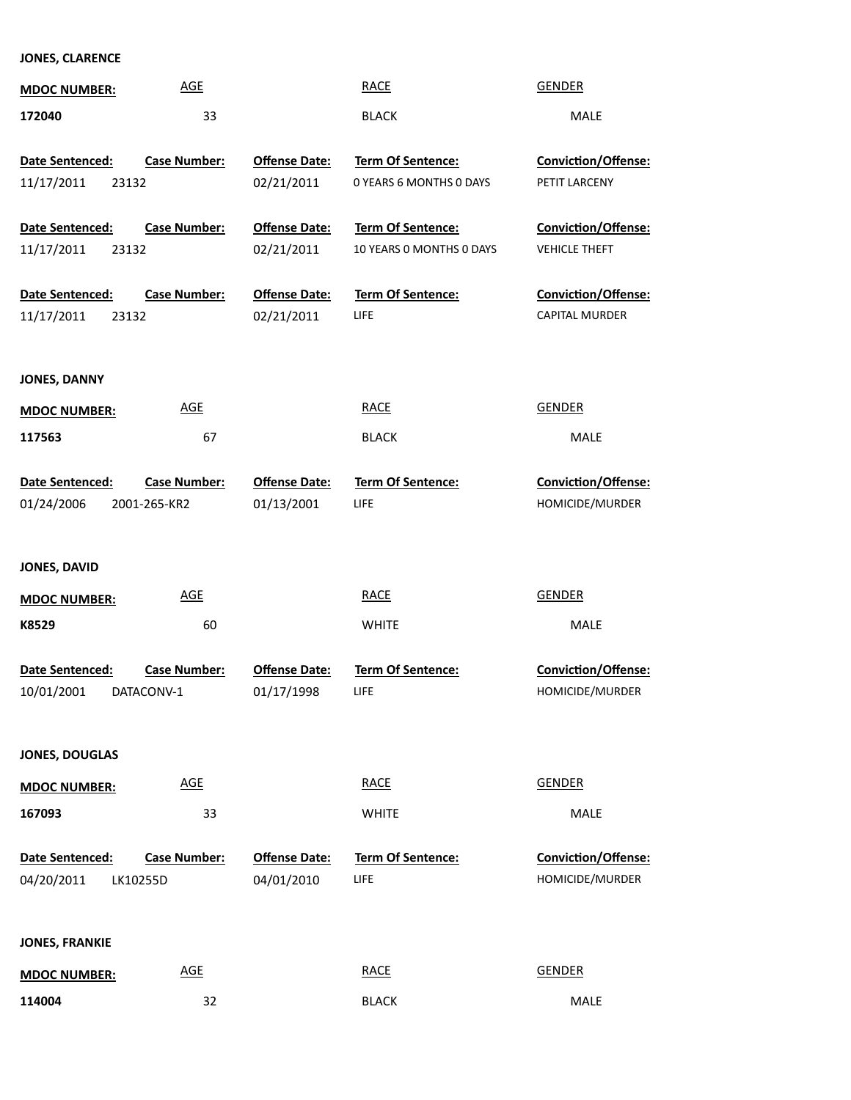# **JONES, CLARENCE**

| <b>MDOC NUMBER:</b>    | <b>AGE</b>          |                      | <b>RACE</b>              | <b>GENDER</b>              |
|------------------------|---------------------|----------------------|--------------------------|----------------------------|
| 172040                 | 33                  |                      | <b>BLACK</b>             | MALE                       |
|                        |                     |                      |                          |                            |
| Date Sentenced:        | <b>Case Number:</b> | <b>Offense Date:</b> | Term Of Sentence:        | Conviction/Offense:        |
| 11/17/2011<br>23132    |                     | 02/21/2011           | 0 YEARS 6 MONTHS 0 DAYS  | PETIT LARCENY              |
| Date Sentenced:        | <b>Case Number:</b> | <b>Offense Date:</b> | <b>Term Of Sentence:</b> | Conviction/Offense:        |
| 11/17/2011<br>23132    |                     | 02/21/2011           | 10 YEARS 0 MONTHS 0 DAYS | <b>VEHICLE THEFT</b>       |
| Date Sentenced:        | <b>Case Number:</b> | <b>Offense Date:</b> | Term Of Sentence:        | Conviction/Offense:        |
| 11/17/2011<br>23132    |                     | 02/21/2011           | LIFE.                    | CAPITAL MURDER             |
|                        |                     |                      |                          |                            |
| <b>JONES, DANNY</b>    |                     |                      |                          |                            |
| <b>MDOC NUMBER:</b>    | <b>AGE</b>          |                      | <b>RACE</b>              | <b>GENDER</b>              |
| 117563                 | 67                  |                      | <b>BLACK</b>             | MALE                       |
| Date Sentenced:        | <b>Case Number:</b> | <b>Offense Date:</b> | Term Of Sentence:        | Conviction/Offense:        |
| 01/24/2006             | 2001-265-KR2        | 01/13/2001           | LIFE                     | HOMICIDE/MURDER            |
|                        |                     |                      |                          |                            |
| JONES, DAVID           |                     |                      |                          |                            |
| <b>MDOC NUMBER:</b>    | <b>AGE</b>          |                      | <b>RACE</b>              | <b>GENDER</b>              |
| K8529                  | 60                  |                      | <b>WHITE</b>             | MALE                       |
| Date Sentenced:        | <b>Case Number:</b> | <b>Offense Date:</b> | <b>Term Of Sentence:</b> | Conviction/Offense:        |
| 10/01/2001             | DATACONV-1          | 01/17/1998           | <b>LIFE</b>              | HOMICIDE/MURDER            |
|                        |                     |                      |                          |                            |
| <b>JONES, DOUGLAS</b>  |                     |                      |                          |                            |
| <b>MDOC NUMBER:</b>    | <b>AGE</b>          |                      | <b>RACE</b>              | <b>GENDER</b>              |
| 167093                 | 33                  |                      | <b>WHITE</b>             | MALE                       |
| <b>Date Sentenced:</b> | <b>Case Number:</b> | <b>Offense Date:</b> | Term Of Sentence:        | <b>Conviction/Offense:</b> |
| 04/20/2011             | LK10255D            | 04/01/2010           | LIFE                     | HOMICIDE/MURDER            |
|                        |                     |                      |                          |                            |
| <b>JONES, FRANKIE</b>  |                     |                      |                          |                            |
| <b>MDOC NUMBER:</b>    | <b>AGE</b>          |                      | <b>RACE</b>              | <b>GENDER</b>              |
| 114004                 | 32                  |                      | <b>BLACK</b>             | MALE                       |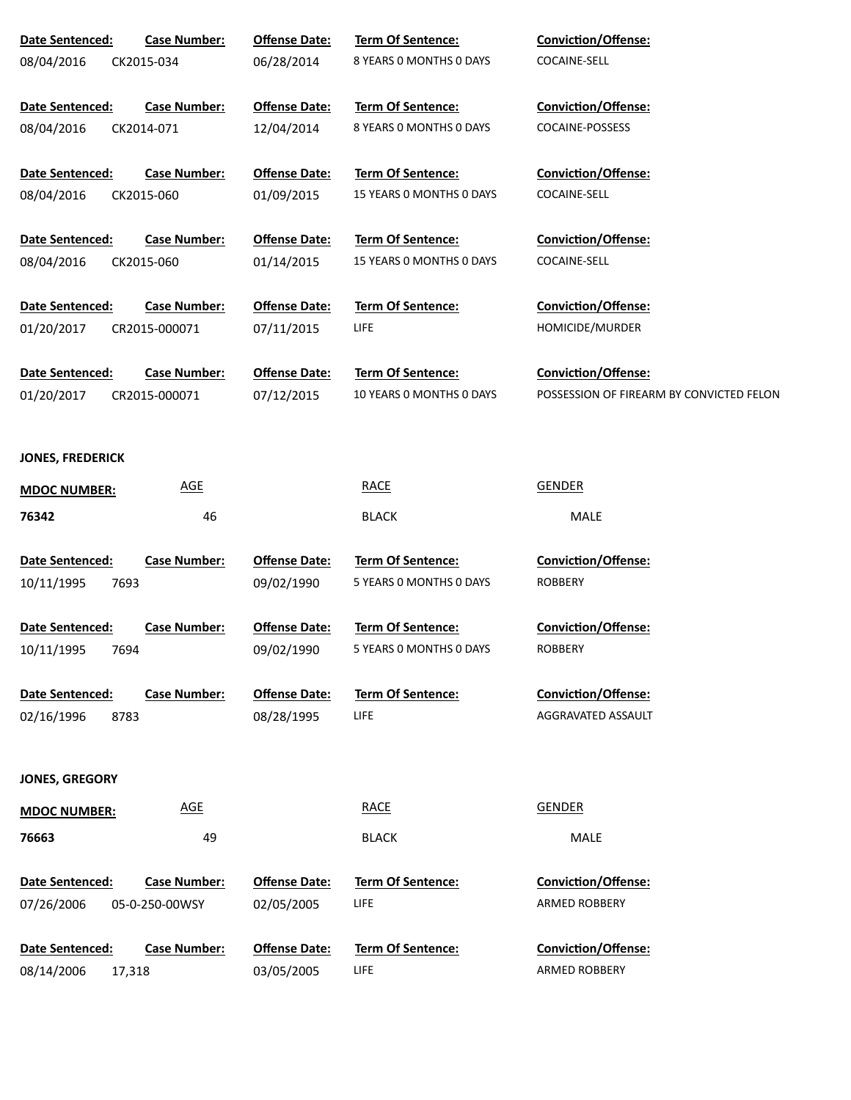| Date Sentenced:<br>08/04/2016         | <b>Case Number:</b><br>CK2015-034     | <b>Offense Date:</b><br>06/28/2014 | Term Of Sentence:<br>8 YEARS 0 MONTHS 0 DAYS         | <b>Conviction/Offense:</b><br>COCAINE-SELL                      |
|---------------------------------------|---------------------------------------|------------------------------------|------------------------------------------------------|-----------------------------------------------------------------|
| Date Sentenced:<br>08/04/2016         | <b>Case Number:</b><br>CK2014-071     | <b>Offense Date:</b><br>12/04/2014 | Term Of Sentence:<br>8 YEARS 0 MONTHS 0 DAYS         | Conviction/Offense:<br>COCAINE-POSSESS                          |
| Date Sentenced:<br>08/04/2016         | <b>Case Number:</b><br>CK2015-060     | <b>Offense Date:</b><br>01/09/2015 | <b>Term Of Sentence:</b><br>15 YEARS O MONTHS O DAYS | Conviction/Offense:<br>COCAINE-SELL                             |
| Date Sentenced:<br>08/04/2016         | <b>Case Number:</b><br>CK2015-060     | <b>Offense Date:</b><br>01/14/2015 | Term Of Sentence:<br>15 YEARS O MONTHS O DAYS        | Conviction/Offense:<br>COCAINE-SELL                             |
| Date Sentenced:<br>01/20/2017         | <b>Case Number:</b><br>CR2015-000071  | <b>Offense Date:</b><br>07/11/2015 | <b>Term Of Sentence:</b><br>LIFE                     | Conviction/Offense:<br>HOMICIDE/MURDER                          |
| Date Sentenced:<br>01/20/2017         | <b>Case Number:</b><br>CR2015-000071  | <b>Offense Date:</b><br>07/12/2015 | Term Of Sentence:<br>10 YEARS O MONTHS O DAYS        | Conviction/Offense:<br>POSSESSION OF FIREARM BY CONVICTED FELON |
| <b>JONES, FREDERICK</b>               |                                       |                                    |                                                      |                                                                 |
| <b>MDOC NUMBER:</b>                   | <b>AGE</b>                            |                                    | <b>RACE</b>                                          | <b>GENDER</b>                                                   |
| 76342                                 | 46                                    |                                    | <b>BLACK</b>                                         | <b>MALE</b>                                                     |
| Date Sentenced:<br>10/11/1995<br>7693 | <b>Case Number:</b>                   | <b>Offense Date:</b><br>09/02/1990 | Term Of Sentence:<br>5 YEARS 0 MONTHS 0 DAYS         | Conviction/Offense:<br><b>ROBBERY</b>                           |
| Date Sentenced:<br>10/11/1995<br>7694 | <b>Case Number:</b>                   | <b>Offense Date:</b><br>09/02/1990 | Term Of Sentence:<br>5 YEARS 0 MONTHS 0 DAYS         | <b>Conviction/Offense:</b><br><b>ROBBERY</b>                    |
| Date Sentenced:<br>02/16/1996<br>8783 | <b>Case Number:</b>                   | <b>Offense Date:</b><br>08/28/1995 | <b>Term Of Sentence:</b><br>LIFE                     | Conviction/Offense:<br>AGGRAVATED ASSAULT                       |
| JONES, GREGORY                        |                                       |                                    |                                                      |                                                                 |
| <b>MDOC NUMBER:</b>                   | <b>AGE</b>                            |                                    | <b>RACE</b>                                          | <b>GENDER</b>                                                   |
| 76663                                 | 49                                    |                                    | <b>BLACK</b>                                         | MALE                                                            |
| Date Sentenced:<br>07/26/2006         | <b>Case Number:</b><br>05-0-250-00WSY | <b>Offense Date:</b><br>02/05/2005 | Term Of Sentence:<br>LIFE                            | <b>Conviction/Offense:</b><br><b>ARMED ROBBERY</b>              |
|                                       |                                       |                                    |                                                      |                                                                 |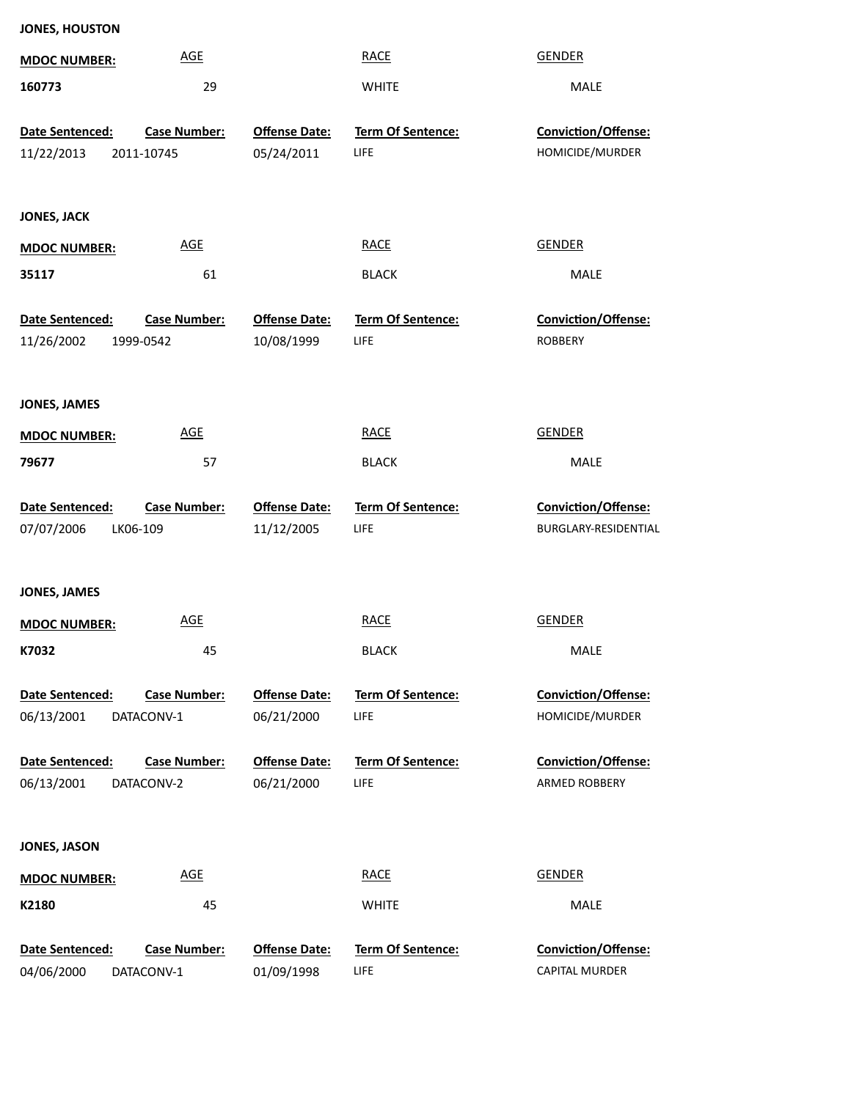| <b>JONES, HOUSTON</b> |                     |                      |                          |                                        |
|-----------------------|---------------------|----------------------|--------------------------|----------------------------------------|
| <b>MDOC NUMBER:</b>   | <b>AGE</b>          |                      | <b>RACE</b>              | <b>GENDER</b>                          |
| 160773                | 29                  |                      | <b>WHITE</b>             | MALE                                   |
|                       | <b>Case Number:</b> | <b>Offense Date:</b> | Term Of Sentence:        | Conviction/Offense:                    |
| Date Sentenced:       |                     |                      | LIFE                     | HOMICIDE/MURDER                        |
| 11/22/2013            | 2011-10745          | 05/24/2011           |                          |                                        |
| <b>JONES, JACK</b>    |                     |                      |                          |                                        |
| <b>MDOC NUMBER:</b>   | AGE                 |                      | <b>RACE</b>              | <b>GENDER</b>                          |
| 35117                 | 61                  |                      | <b>BLACK</b>             | MALE                                   |
| Date Sentenced:       | <b>Case Number:</b> | <b>Offense Date:</b> | Term Of Sentence:        | Conviction/Offense:                    |
| 11/26/2002            | 1999-0542           | 10/08/1999           | LIFE                     | <b>ROBBERY</b>                         |
|                       |                     |                      |                          |                                        |
| <b>JONES, JAMES</b>   |                     |                      |                          |                                        |
| <b>MDOC NUMBER:</b>   | <b>AGE</b>          |                      | <b>RACE</b>              | <b>GENDER</b>                          |
| 79677                 | 57                  |                      | <b>BLACK</b>             | MALE                                   |
|                       |                     |                      |                          |                                        |
|                       |                     |                      |                          |                                        |
| Date Sentenced:       | <b>Case Number:</b> | <b>Offense Date:</b> | Term Of Sentence:        | Conviction/Offense:                    |
| 07/07/2006            | LK06-109            | 11/12/2005           | LIFE                     | BURGLARY-RESIDENTIAL                   |
|                       |                     |                      |                          |                                        |
| <b>JONES, JAMES</b>   |                     |                      |                          |                                        |
| <b>MDOC NUMBER:</b>   | <b>AGE</b>          |                      | <b>RACE</b>              | <b>GENDER</b>                          |
| K7032                 | 45                  |                      | <b>BLACK</b>             | MALE                                   |
| Date Sentenced:       | <b>Case Number:</b> | <b>Offense Date:</b> | <b>Term Of Sentence:</b> |                                        |
| 06/13/2001            | DATACONV-1          | 06/21/2000           | LIFE                     | Conviction/Offense:<br>HOMICIDE/MURDER |
|                       |                     |                      |                          |                                        |
| Date Sentenced:       | <b>Case Number:</b> | <b>Offense Date:</b> | <b>Term Of Sentence:</b> | Conviction/Offense:                    |
| 06/13/2001            | DATACONV-2          | 06/21/2000           | LIFE                     | ARMED ROBBERY                          |
|                       |                     |                      |                          |                                        |
| <b>JONES, JASON</b>   |                     |                      |                          |                                        |
| <b>MDOC NUMBER:</b>   | <b>AGE</b>          |                      | <b>RACE</b>              | <b>GENDER</b>                          |
| K2180                 | 45                  |                      | <b>WHITE</b>             | MALE                                   |
| Date Sentenced:       | <b>Case Number:</b> | <b>Offense Date:</b> | Term Of Sentence:        | Conviction/Offense:                    |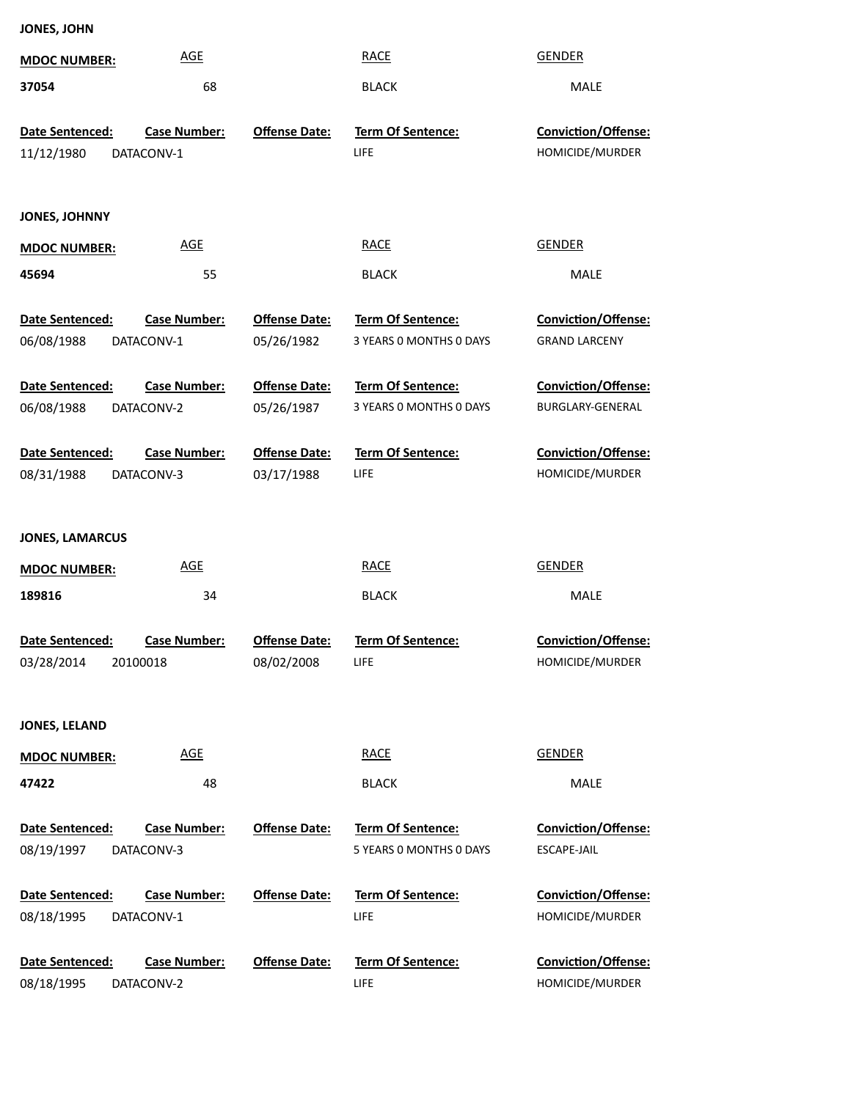**JONES, JOHN**

| <b>MDOC NUMBER:</b>                       | <b>AGE</b>                        |                                    | <b>RACE</b>                                         | <b>GENDER</b>                                    |
|-------------------------------------------|-----------------------------------|------------------------------------|-----------------------------------------------------|--------------------------------------------------|
| 37054                                     | 68                                |                                    | <b>BLACK</b>                                        | MALE                                             |
| Date Sentenced:<br>11/12/1980             | Case Number:<br>DATACONV-1        | <b>Offense Date:</b>               | Term Of Sentence:<br>LIFE                           | Conviction/Offense:<br>HOMICIDE/MURDER           |
| JONES, JOHNNY                             |                                   |                                    |                                                     |                                                  |
| <b>MDOC NUMBER:</b>                       | <b>AGE</b>                        |                                    | <b>RACE</b>                                         | <b>GENDER</b>                                    |
| 45694                                     | 55                                |                                    | <b>BLACK</b>                                        | <b>MALE</b>                                      |
| Date Sentenced:<br>06/08/1988             | <b>Case Number:</b><br>DATACONV-1 | <b>Offense Date:</b><br>05/26/1982 | Term Of Sentence:<br>3 YEARS 0 MONTHS 0 DAYS        | Conviction/Offense:<br><b>GRAND LARCENY</b>      |
| Date Sentenced:<br>06/08/1988             | <b>Case Number:</b><br>DATACONV-2 | <b>Offense Date:</b><br>05/26/1987 | Term Of Sentence:<br>3 YEARS 0 MONTHS 0 DAYS        | Conviction/Offense:<br>BURGLARY-GENERAL          |
| Date Sentenced:<br>08/31/1988             | <b>Case Number:</b><br>DATACONV-3 | <b>Offense Date:</b><br>03/17/1988 | Term Of Sentence:<br>LIFE                           | Conviction/Offense:<br>HOMICIDE/MURDER           |
| <b>JONES, LAMARCUS</b>                    |                                   |                                    |                                                     |                                                  |
| <b>MDOC NUMBER:</b>                       | <b>AGE</b>                        |                                    | <b>RACE</b>                                         | <b>GENDER</b>                                    |
| 189816                                    | 34                                |                                    | <b>BLACK</b>                                        | MALE                                             |
| Date Sentenced:<br>03/28/2014<br>20100018 | <b>Case Number:</b>               | <b>Offense Date:</b><br>08/02/2008 | <b>Term Of Sentence:</b><br>LIFE                    | Conviction/Offense:<br>HOMICIDE/MURDER           |
| JONES, LELAND                             |                                   |                                    |                                                     |                                                  |
| <b>MDOC NUMBER:</b>                       | <u>AGE</u>                        |                                    | <b>RACE</b>                                         | <b>GENDER</b>                                    |
| 47422                                     | 48                                |                                    | <b>BLACK</b>                                        | MALE                                             |
| Date Sentenced:<br>08/19/1997             | <b>Case Number:</b><br>DATACONV-3 | <b>Offense Date:</b>               | <b>Term Of Sentence:</b><br>5 YEARS 0 MONTHS 0 DAYS | <b>Conviction/Offense:</b><br><b>ESCAPE-JAIL</b> |
| Date Sentenced:<br>08/18/1995             | <b>Case Number:</b><br>DATACONV-1 | <b>Offense Date:</b>               | <b>Term Of Sentence:</b><br>LIFE                    | <b>Conviction/Offense:</b><br>HOMICIDE/MURDER    |
| Date Sentenced:<br>08/18/1995             | <b>Case Number:</b><br>DATACONV-2 | <b>Offense Date:</b>               | <b>Term Of Sentence:</b><br>LIFE.                   | <b>Conviction/Offense:</b><br>HOMICIDE/MURDER    |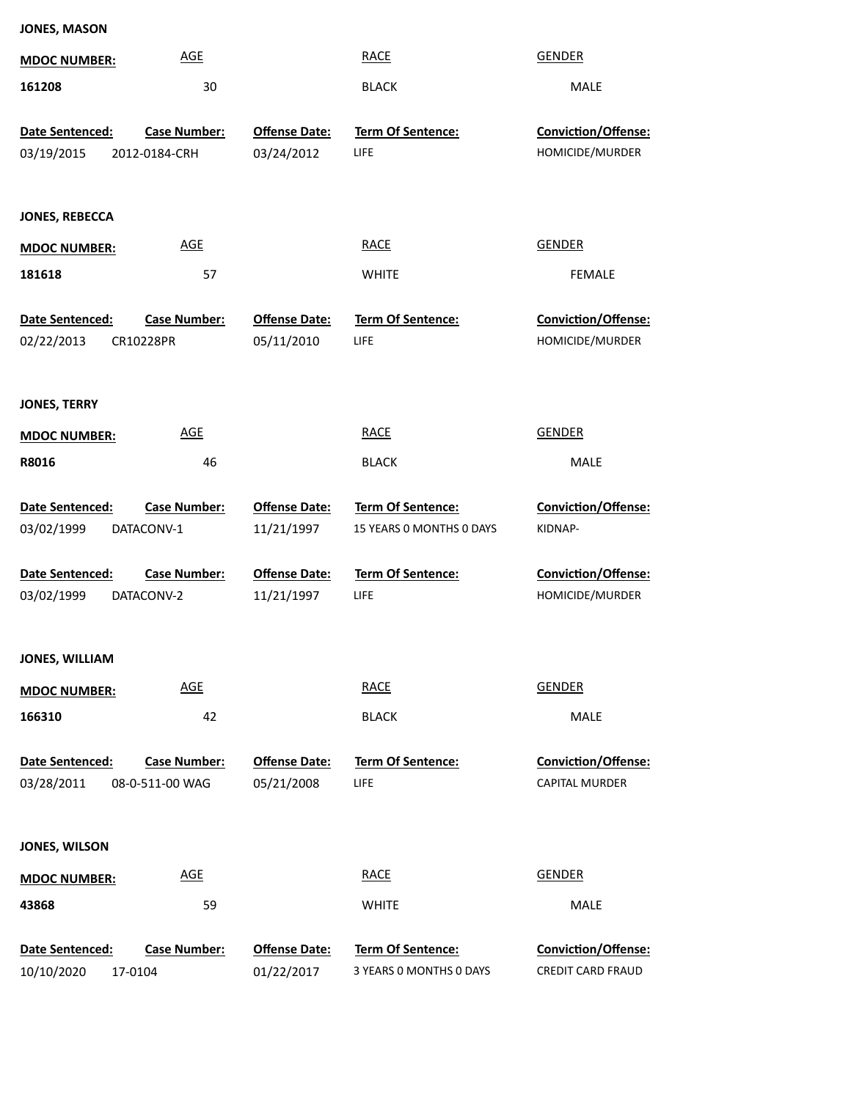| <b>JONES, MASON</b>           |                                      |                                    |                                  |                                        |
|-------------------------------|--------------------------------------|------------------------------------|----------------------------------|----------------------------------------|
| <b>MDOC NUMBER:</b>           | $\underline{\mathsf{AGE}}$           |                                    | <b>RACE</b>                      | <b>GENDER</b>                          |
| 161208                        | 30                                   |                                    | <b>BLACK</b>                     | MALE                                   |
|                               |                                      |                                    |                                  |                                        |
| Date Sentenced:<br>03/19/2015 | <b>Case Number:</b><br>2012-0184-CRH | <b>Offense Date:</b><br>03/24/2012 | <b>Term Of Sentence:</b><br>LIFE | Conviction/Offense:<br>HOMICIDE/MURDER |
|                               |                                      |                                    |                                  |                                        |
|                               |                                      |                                    |                                  |                                        |
| <b>JONES, REBECCA</b>         |                                      |                                    |                                  |                                        |
| <b>MDOC NUMBER:</b>           | <b>AGE</b>                           |                                    | <b>RACE</b>                      | <b>GENDER</b>                          |
| 181618                        | 57                                   |                                    | <b>WHITE</b>                     | <b>FEMALE</b>                          |
| <b>Date Sentenced:</b>        | <b>Case Number:</b>                  | <b>Offense Date:</b>               | Term Of Sentence:                | Conviction/Offense:                    |
| 02/22/2013                    | CR10228PR                            | 05/11/2010                         | LIFE                             | HOMICIDE/MURDER                        |
|                               |                                      |                                    |                                  |                                        |
| <b>JONES, TERRY</b>           |                                      |                                    |                                  |                                        |
| <b>MDOC NUMBER:</b>           | <b>AGE</b>                           |                                    | <b>RACE</b>                      | <b>GENDER</b>                          |
| R8016                         | 46                                   |                                    | <b>BLACK</b>                     | MALE                                   |
|                               |                                      |                                    |                                  |                                        |
|                               |                                      |                                    |                                  |                                        |
| Date Sentenced:               | <b>Case Number:</b>                  | <b>Offense Date:</b>               | Term Of Sentence:                | Conviction/Offense:                    |
| 03/02/1999                    | DATACONV-1                           | 11/21/1997                         | 15 YEARS 0 MONTHS 0 DAYS         | KIDNAP-                                |
|                               |                                      |                                    |                                  |                                        |
| Date Sentenced:<br>03/02/1999 | <b>Case Number:</b><br>DATACONV-2    | <b>Offense Date:</b><br>11/21/1997 | <b>Term Of Sentence:</b><br>LIFE | Conviction/Offense:<br>HOMICIDE/MURDER |
|                               |                                      |                                    |                                  |                                        |
| JONES, WILLIAM                |                                      |                                    |                                  |                                        |
| <b>MDOC NUMBER:</b>           | <b>AGE</b>                           |                                    | <b>RACE</b>                      | <b>GENDER</b>                          |
| 166310                        | 42                                   |                                    | <b>BLACK</b>                     | MALE                                   |
|                               |                                      |                                    |                                  |                                        |
| Date Sentenced:               | <b>Case Number:</b>                  | <b>Offense Date:</b>               | Term Of Sentence:                | Conviction/Offense:                    |
| 03/28/2011                    | 08-0-511-00 WAG                      | 05/21/2008                         | LIFE                             | CAPITAL MURDER                         |
|                               |                                      |                                    |                                  |                                        |
| JONES, WILSON                 |                                      |                                    |                                  |                                        |
| <b>MDOC NUMBER:</b>           | <b>AGE</b>                           |                                    | <b>RACE</b>                      | <b>GENDER</b>                          |
| 43868                         | 59                                   |                                    | <b>WHITE</b>                     | MALE                                   |

10/10/2020 17-0104 01/22/2017 3 YEARS 0 MONTHS 0 DAYS CREDIT CARD FRAUD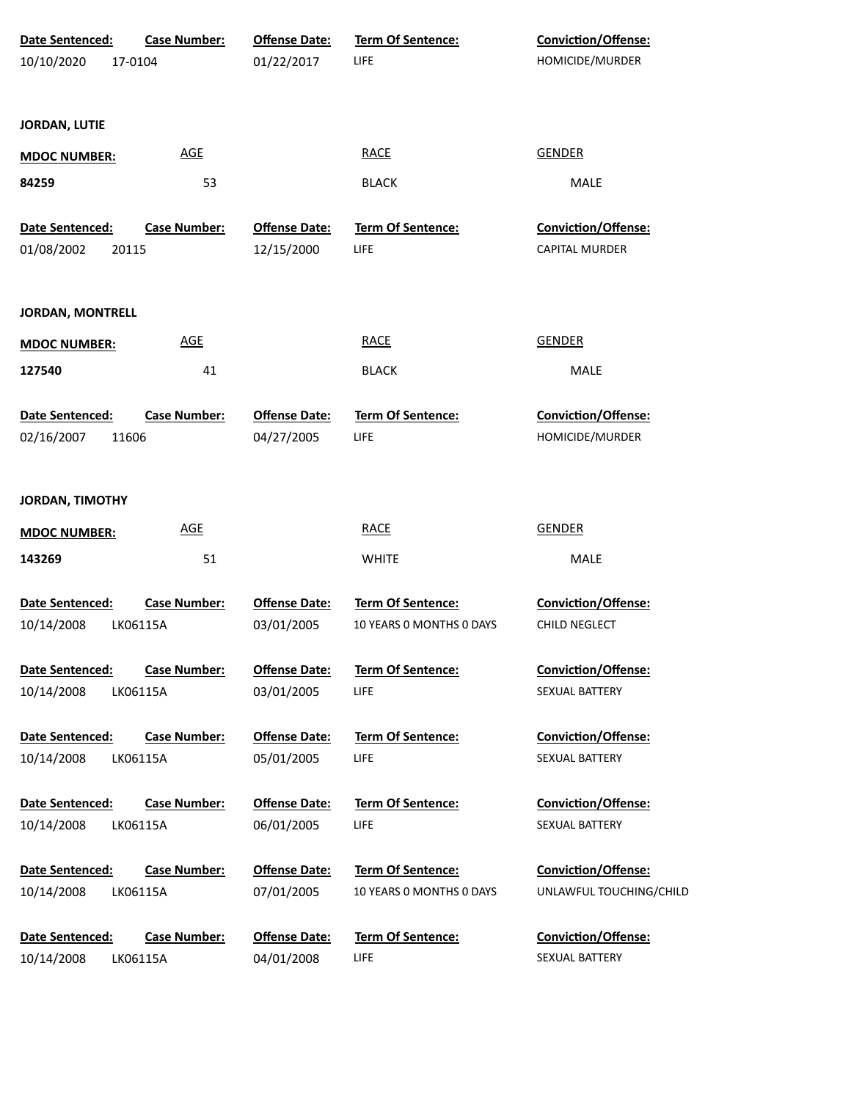| Date Sentenced:               | <b>Case Number:</b>             | <b>Offense Date:</b>               | Term Of Sentence:                | Conviction/Offense:                          |
|-------------------------------|---------------------------------|------------------------------------|----------------------------------|----------------------------------------------|
| 10/10/2020                    | 17-0104                         | 01/22/2017                         | LIFE                             | HOMICIDE/MURDER                              |
|                               |                                 |                                    |                                  |                                              |
|                               |                                 |                                    |                                  |                                              |
| <b>JORDAN, LUTIE</b>          |                                 |                                    |                                  |                                              |
| <b>MDOC NUMBER:</b>           | <b>AGE</b>                      |                                    | <b>RACE</b>                      | <b>GENDER</b>                                |
| 84259                         | 53                              |                                    | <b>BLACK</b>                     | MALE                                         |
|                               |                                 |                                    |                                  |                                              |
| Date Sentenced:               | <b>Case Number:</b>             | <b>Offense Date:</b>               | <b>Term Of Sentence:</b>         | Conviction/Offense:                          |
| 01/08/2002                    | 20115                           | 12/15/2000                         | LIFE                             | CAPITAL MURDER                               |
|                               |                                 |                                    |                                  |                                              |
|                               |                                 |                                    |                                  |                                              |
| <b>JORDAN, MONTRELL</b>       |                                 |                                    |                                  |                                              |
| <b>MDOC NUMBER:</b>           | <b>AGE</b>                      |                                    | <b>RACE</b>                      | <b>GENDER</b>                                |
| 127540                        | 41                              |                                    | <b>BLACK</b>                     | MALE                                         |
|                               |                                 |                                    |                                  |                                              |
| Date Sentenced:               | <b>Case Number:</b>             | <b>Offense Date:</b>               | Term Of Sentence:                | Conviction/Offense:                          |
| 02/16/2007                    | 11606                           | 04/27/2005                         | LIFE                             | HOMICIDE/MURDER                              |
|                               |                                 |                                    |                                  |                                              |
|                               |                                 |                                    |                                  |                                              |
| <b>JORDAN, TIMOTHY</b>        |                                 |                                    |                                  |                                              |
| <b>MDOC NUMBER:</b>           | <b>AGE</b>                      |                                    | <b>RACE</b>                      | <b>GENDER</b>                                |
| 143269                        | 51                              |                                    | <b>WHITE</b>                     | <b>MALE</b>                                  |
|                               |                                 |                                    |                                  |                                              |
| Date Sentenced:               | <b>Case Number:</b>             | <b>Offense Date:</b>               | Term Of Sentence:                | Conviction/Offense:                          |
| 10/14/2008                    | LK06115A                        | 03/01/2005                         | 10 YEARS O MONTHS O DAYS         | CHILD NEGLECT                                |
|                               |                                 |                                    |                                  |                                              |
| <b>Date Sentenced:</b>        | <b>Case Number:</b>             | <b>Offense Date:</b>               | <b>Term Of Sentence:</b>         | Conviction/Offense:                          |
| 10/14/2008                    | LK06115A                        | 03/01/2005                         | LIFE                             | SEXUAL BATTERY                               |
|                               |                                 |                                    |                                  |                                              |
| Date Sentenced:               | <b>Case Number:</b>             | <b>Offense Date:</b>               | <b>Term Of Sentence:</b>         | <b>Conviction/Offense:</b>                   |
| 10/14/2008                    | LK06115A                        | 05/01/2005                         | LIFE                             | SEXUAL BATTERY                               |
|                               |                                 |                                    |                                  |                                              |
| Date Sentenced:<br>10/14/2008 | <b>Case Number:</b><br>LK06115A | <b>Offense Date:</b><br>06/01/2005 | <b>Term Of Sentence:</b><br>LIFE | <b>Conviction/Offense:</b><br>SEXUAL BATTERY |
|                               |                                 |                                    |                                  |                                              |
| Date Sentenced:               | <b>Case Number:</b>             | <b>Offense Date:</b>               | Term Of Sentence:                | Conviction/Offense:                          |
| 10/14/2008                    | LK06115A                        | 07/01/2005                         | 10 YEARS 0 MONTHS 0 DAYS         | UNLAWFUL TOUCHING/CHILD                      |
|                               |                                 |                                    |                                  |                                              |
| Date Sentenced:               | <b>Case Number:</b>             | <b>Offense Date:</b>               | Term Of Sentence:                | Conviction/Offense:                          |
| 10/14/2008                    | LK06115A                        | 04/01/2008                         | LIFE                             | SEXUAL BATTERY                               |
|                               |                                 |                                    |                                  |                                              |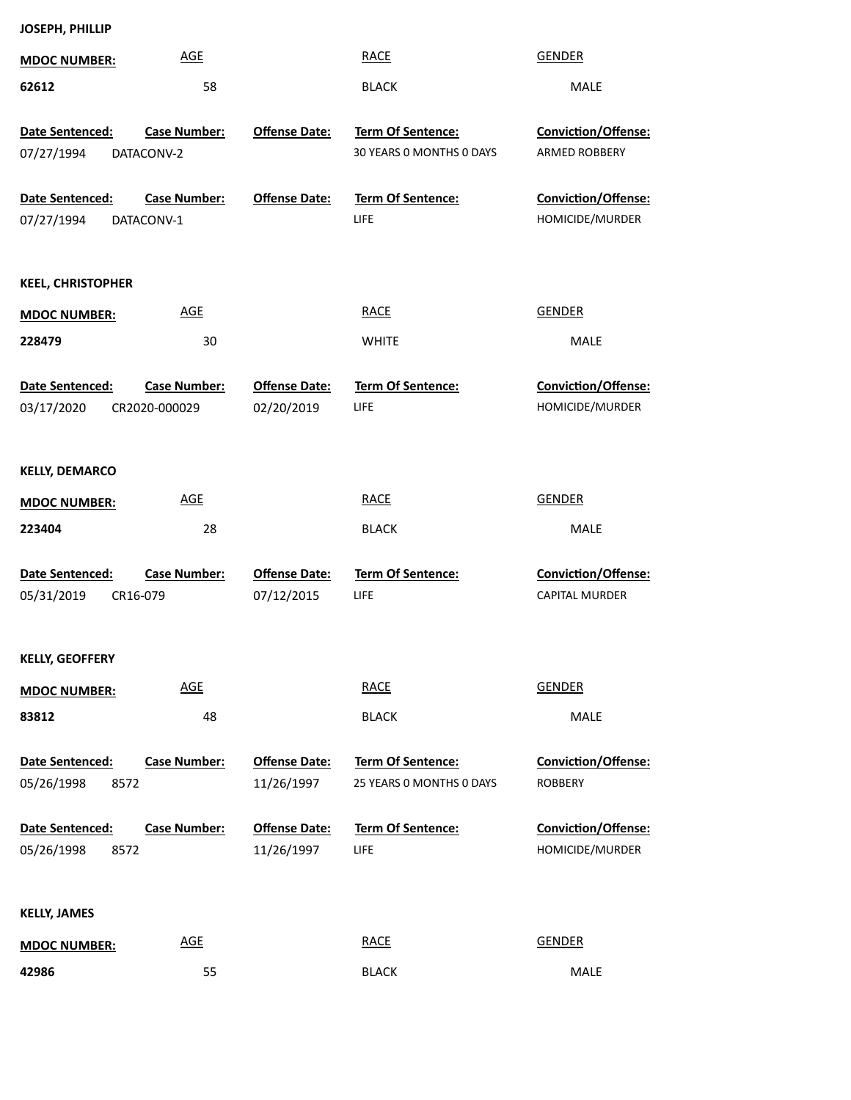| <b>MDOC NUMBER:</b>                          | <b>AGE</b>                        |                                    | <b>RACE</b>                                          | <b>GENDER</b>                          |
|----------------------------------------------|-----------------------------------|------------------------------------|------------------------------------------------------|----------------------------------------|
| 62612                                        | 58                                |                                    | <b>BLACK</b>                                         | MALE                                   |
| Date Sentenced:<br>07/27/1994                | <b>Case Number:</b><br>DATACONV-2 | <b>Offense Date:</b>               | Term Of Sentence:<br>30 YEARS O MONTHS O DAYS        | Conviction/Offense:<br>ARMED ROBBERY   |
| <b>Date Sentenced:</b><br>07/27/1994         | <b>Case Number:</b><br>DATACONV-1 | <b>Offense Date:</b>               | <b>Term Of Sentence:</b><br><b>LIFE</b>              | Conviction/Offense:<br>HOMICIDE/MURDER |
| <b>KEEL, CHRISTOPHER</b>                     |                                   |                                    |                                                      |                                        |
| <b>MDOC NUMBER:</b>                          | <b>AGE</b>                        |                                    | <b>RACE</b>                                          | <b>GENDER</b>                          |
| 228479                                       | 30                                |                                    | <b>WHITE</b>                                         | MALE                                   |
| Date Sentenced:                              | <b>Case Number:</b>               | <b>Offense Date:</b>               | Term Of Sentence:                                    | Conviction/Offense:                    |
| 03/17/2020                                   | CR2020-000029                     | 02/20/2019                         | <b>LIFE</b>                                          | HOMICIDE/MURDER                        |
| <b>KELLY, DEMARCO</b>                        |                                   |                                    |                                                      |                                        |
| <b>MDOC NUMBER:</b>                          | <b>AGE</b>                        |                                    | <b>RACE</b>                                          | <b>GENDER</b>                          |
| 223404                                       | 28                                |                                    | <b>BLACK</b>                                         | MALE                                   |
| Date Sentenced:                              | <b>Case Number:</b>               | <b>Offense Date:</b>               | Term Of Sentence:                                    | Conviction/Offense:                    |
| 05/31/2019                                   | CR16-079                          | 07/12/2015                         | LIFE                                                 | CAPITAL MURDER                         |
| <b>KELLY, GEOFFERY</b>                       |                                   |                                    |                                                      |                                        |
| <b>MDOC NUMBER:</b>                          | <b>AGE</b>                        |                                    | <b>RACE</b>                                          | <b>GENDER</b>                          |
| 83812                                        | 48                                |                                    | <b>BLACK</b>                                         | MALE                                   |
| Date Sentenced:<br>05/26/1998<br>8572        | <b>Case Number:</b>               | <b>Offense Date:</b><br>11/26/1997 | <b>Term Of Sentence:</b><br>25 YEARS 0 MONTHS 0 DAYS | Conviction/Offense:<br><b>ROBBERY</b>  |
| <b>Date Sentenced:</b><br>8572<br>05/26/1998 | <b>Case Number:</b>               | <b>Offense Date:</b><br>11/26/1997 | Term Of Sentence:<br><b>LIFE</b>                     | Conviction/Offense:<br>HOMICIDE/MURDER |
| <b>KELLY, JAMES</b>                          |                                   |                                    |                                                      |                                        |
| <b>MDOC NUMBER:</b>                          | <b>AGE</b>                        |                                    | <b>RACE</b>                                          | <b>GENDER</b>                          |
| 42986                                        | 55                                |                                    | <b>BLACK</b>                                         | MALE                                   |

55 BLACK MALE

**JOSEPH, PHILLIP**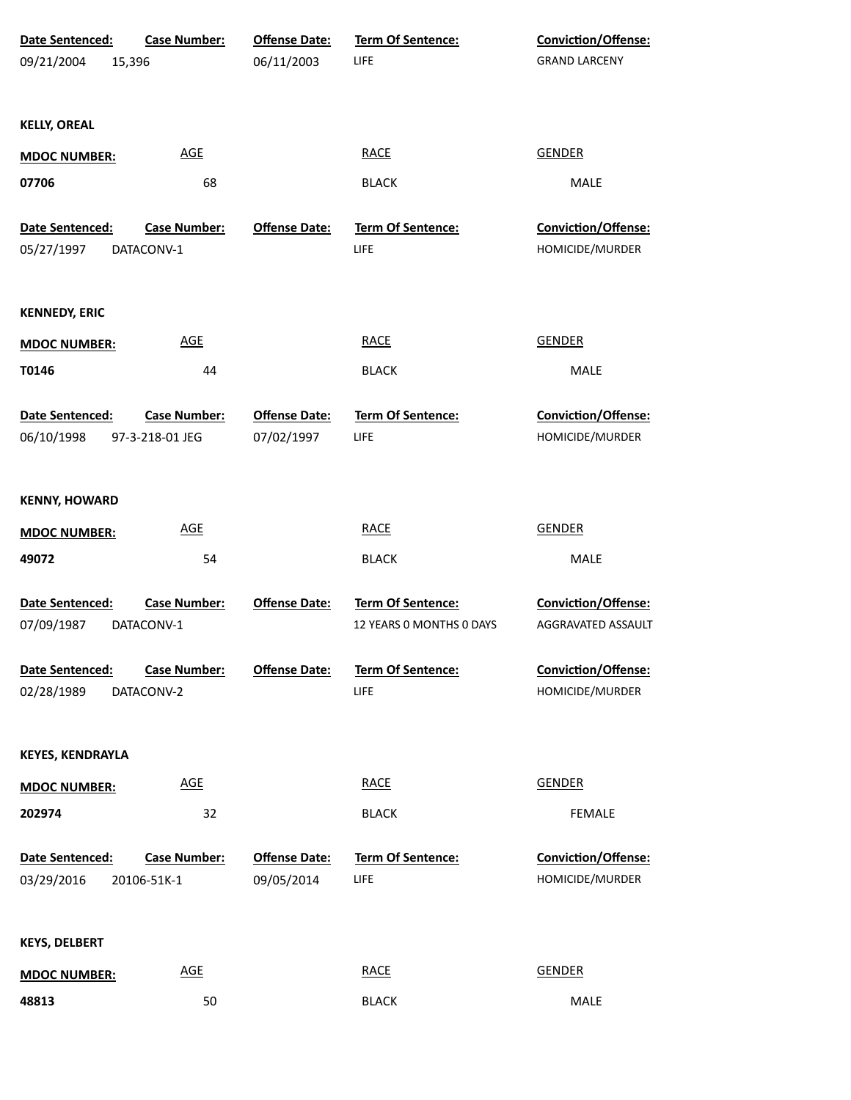| <b>Date Sentenced:</b>        | <b>Case Number:</b>               | <b>Offense Date:</b> | <b>Term Of Sentence:</b>  | <b>Conviction/Offense:</b>             |
|-------------------------------|-----------------------------------|----------------------|---------------------------|----------------------------------------|
| 09/21/2004                    | 15,396                            | 06/11/2003           | LIFE                      | <b>GRAND LARCENY</b>                   |
|                               |                                   |                      |                           |                                        |
| <b>KELLY, OREAL</b>           |                                   |                      |                           |                                        |
| <b>MDOC NUMBER:</b>           | <b>AGE</b>                        |                      | <b>RACE</b>               | <b>GENDER</b>                          |
| 07706                         | 68                                |                      | <b>BLACK</b>              | <b>MALE</b>                            |
|                               |                                   |                      |                           |                                        |
| Date Sentenced:<br>05/27/1997 | <b>Case Number:</b><br>DATACONV-1 | <b>Offense Date:</b> | Term Of Sentence:<br>LIFE | Conviction/Offense:<br>HOMICIDE/MURDER |
|                               |                                   |                      |                           |                                        |
| <b>KENNEDY, ERIC</b>          |                                   |                      |                           |                                        |
| <b>MDOC NUMBER:</b>           | <b>AGE</b>                        |                      | <b>RACE</b>               | <b>GENDER</b>                          |
| T0146                         | 44                                |                      | <b>BLACK</b>              | <b>MALE</b>                            |
| Date Sentenced:               | <b>Case Number:</b>               | <b>Offense Date:</b> | Term Of Sentence:         | Conviction/Offense:                    |
| 06/10/1998                    | 97-3-218-01 JEG                   | 07/02/1997           | LIFE                      | HOMICIDE/MURDER                        |
|                               |                                   |                      |                           |                                        |
| <b>KENNY, HOWARD</b>          |                                   |                      |                           |                                        |
| <b>MDOC NUMBER:</b>           | <b>AGE</b>                        |                      | <b>RACE</b>               | <b>GENDER</b>                          |
| 49072                         | 54                                |                      | <b>BLACK</b>              | MALE                                   |
| Date Sentenced:               | <b>Case Number:</b>               | <b>Offense Date:</b> | Term Of Sentence:         | Conviction/Offense:                    |
| 07/09/1987                    | DATACONV-1                        |                      | 12 YEARS O MONTHS O DAYS  | AGGRAVATED ASSAULT                     |
| Date Sentenced:               | <b>Case Number:</b>               | <b>Offense Date:</b> | <b>Term Of Sentence:</b>  | <b>Conviction/Offense:</b>             |
| 02/28/1989                    | DATACONV-2                        |                      | LIFE                      | HOMICIDE/MURDER                        |
|                               |                                   |                      |                           |                                        |
| <b>KEYES, KENDRAYLA</b>       |                                   |                      |                           |                                        |
| <b>MDOC NUMBER:</b>           | <b>AGE</b>                        |                      | <b>RACE</b>               | <b>GENDER</b>                          |
| 202974                        | 32                                |                      | <b>BLACK</b>              | <b>FEMALE</b>                          |
| Date Sentenced:               | <b>Case Number:</b>               | <b>Offense Date:</b> | Term Of Sentence:         | <b>Conviction/Offense:</b>             |
| 03/29/2016                    | 20106-51K-1                       | 09/05/2014           | LIFE                      | HOMICIDE/MURDER                        |
|                               |                                   |                      |                           |                                        |
| <b>KEYS, DELBERT</b>          |                                   |                      |                           |                                        |
| <b>MDOC NUMBER:</b>           | <b>AGE</b>                        |                      | <b>RACE</b>               | <b>GENDER</b>                          |
| 48813                         | 50                                |                      | <b>BLACK</b>              | MALE                                   |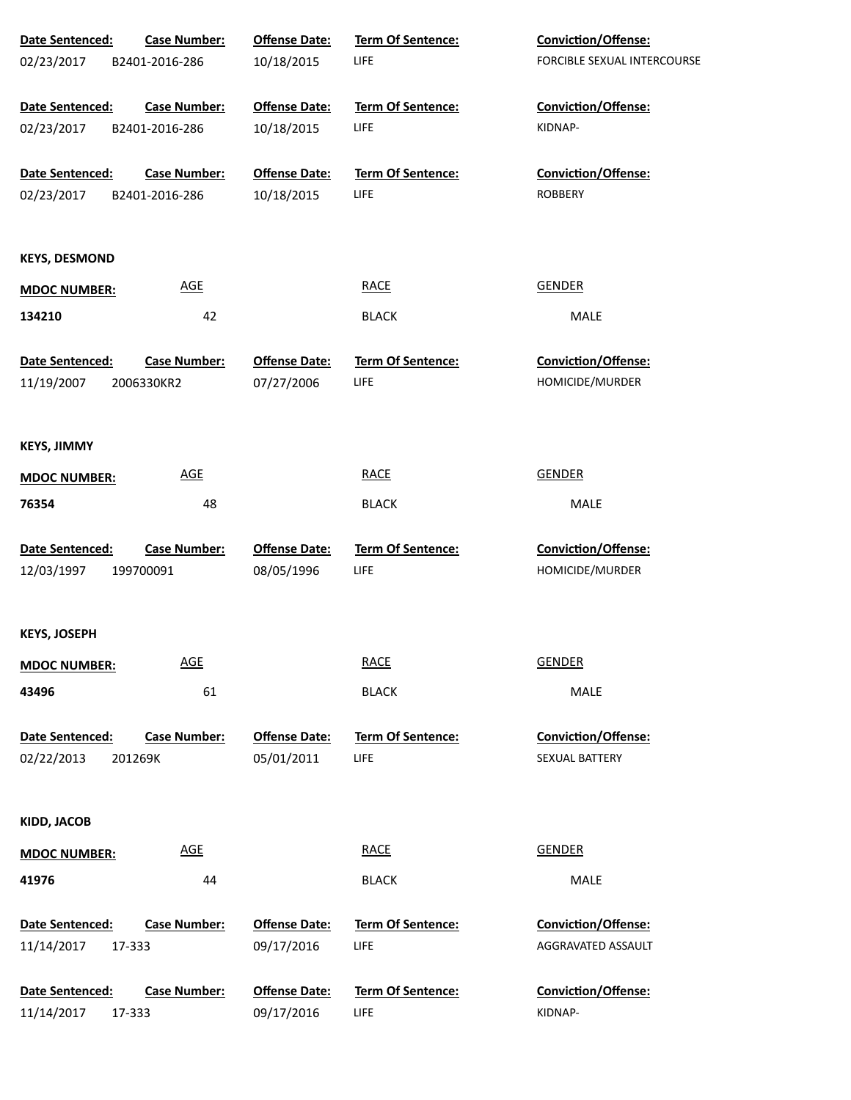| Date Sentenced:<br><b>Case Number:</b> | <b>Offense Date:</b> | Term Of Sentence:        | Conviction/Offense:         |
|----------------------------------------|----------------------|--------------------------|-----------------------------|
| 02/23/2017<br>B2401-2016-286           | 10/18/2015           | <b>LIFE</b>              | FORCIBLE SEXUAL INTERCOURSE |
| <b>Case Number:</b><br>Date Sentenced: | <b>Offense Date:</b> | Term Of Sentence:        | Conviction/Offense:         |
| 02/23/2017<br>B2401-2016-286           | 10/18/2015           | <b>LIFE</b>              | KIDNAP-                     |
| Date Sentenced:<br><b>Case Number:</b> | <b>Offense Date:</b> | Term Of Sentence:        | Conviction/Offense:         |
| 02/23/2017<br>B2401-2016-286           | 10/18/2015           | <b>LIFE</b>              | <b>ROBBERY</b>              |
| <b>KEYS, DESMOND</b>                   |                      |                          |                             |
| <u>AGE</u><br><b>MDOC NUMBER:</b>      |                      | <b>RACE</b>              | <b>GENDER</b>               |
| 134210<br>42                           |                      | <b>BLACK</b>             | MALE                        |
| Date Sentenced:<br><b>Case Number:</b> | <b>Offense Date:</b> | <b>Term Of Sentence:</b> | Conviction/Offense:         |
| 11/19/2007<br>2006330KR2               | 07/27/2006           | <b>LIFE</b>              | HOMICIDE/MURDER             |
| <b>KEYS, JIMMY</b>                     |                      |                          |                             |
| <b>AGE</b><br><b>MDOC NUMBER:</b>      |                      | <b>RACE</b>              | <b>GENDER</b>               |
| 76354<br>48                            |                      | <b>BLACK</b>             | MALE                        |
| Date Sentenced:<br><b>Case Number:</b> | <b>Offense Date:</b> | Term Of Sentence:        | <b>Conviction/Offense:</b>  |
| 12/03/1997<br>199700091                | 08/05/1996           | <b>LIFE</b>              | HOMICIDE/MURDER             |
| <b>KEYS, JOSEPH</b>                    |                      |                          |                             |
| <b>AGE</b><br><b>MDOC NUMBER:</b>      |                      | <b>RACE</b>              | <b>GENDER</b>               |
| 43496<br>61                            |                      | <b>BLACK</b>             | MALE                        |
| Date Sentenced:<br><b>Case Number:</b> | <b>Offense Date:</b> | <b>Term Of Sentence:</b> | Conviction/Offense:         |
| 02/22/2013<br>201269K                  | 05/01/2011           | <b>LIFE</b>              | SEXUAL BATTERY              |
| KIDD, JACOB                            |                      |                          |                             |
| <u>AGE</u><br><b>MDOC NUMBER:</b>      |                      | <b>RACE</b>              | <b>GENDER</b>               |
| 41976<br>44                            |                      | <b>BLACK</b>             | MALE                        |
| Date Sentenced:<br><b>Case Number:</b> | <b>Offense Date:</b> | Term Of Sentence:        | <b>Conviction/Offense:</b>  |
| 11/14/2017<br>17-333                   | 09/17/2016           | LIFE                     | AGGRAVATED ASSAULT          |
| Date Sentenced:<br><b>Case Number:</b> | <b>Offense Date:</b> | Term Of Sentence:        | <b>Conviction/Offense:</b>  |
| 11/14/2017<br>17-333                   | 09/17/2016           | <b>LIFE</b>              | KIDNAP-                     |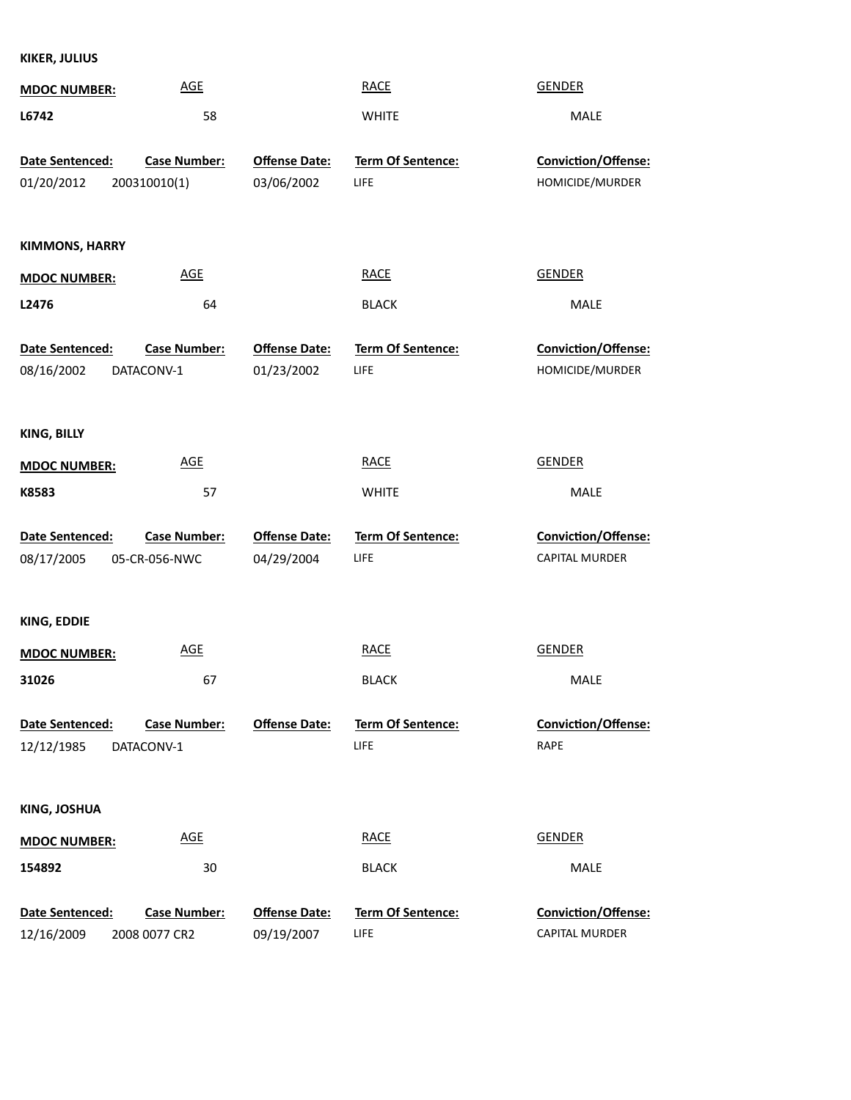**KIKER, JULIUS**

| <b>MDOC NUMBER:</b>   | <b>AGE</b>          |                      | <b>RACE</b>              | <b>GENDER</b>              |
|-----------------------|---------------------|----------------------|--------------------------|----------------------------|
| L6742                 | 58                  |                      | <b>WHITE</b>             | MALE                       |
| Date Sentenced:       | <b>Case Number:</b> | <b>Offense Date:</b> | Term Of Sentence:        | Conviction/Offense:        |
| 01/20/2012            | 200310010(1)        | 03/06/2002           | LIFE                     | HOMICIDE/MURDER            |
| <b>KIMMONS, HARRY</b> |                     |                      |                          |                            |
| <b>MDOC NUMBER:</b>   | <b>AGE</b>          |                      | <b>RACE</b>              | GENDER                     |
| L2476                 | 64                  |                      | <b>BLACK</b>             | MALE                       |
| Date Sentenced:       | <b>Case Number:</b> | <b>Offense Date:</b> | Term Of Sentence:        | Conviction/Offense:        |
| 08/16/2002            | DATACONV-1          | 01/23/2002           | LIFE                     | HOMICIDE/MURDER            |
| <b>KING, BILLY</b>    |                     |                      |                          |                            |
| <b>MDOC NUMBER:</b>   | <b>AGE</b>          |                      | <b>RACE</b>              | <b>GENDER</b>              |
| K8583                 | 57                  |                      | <b>WHITE</b>             | MALE                       |
| Date Sentenced:       | <b>Case Number:</b> | <b>Offense Date:</b> | Term Of Sentence:        | <b>Conviction/Offense:</b> |
| 08/17/2005            | 05-CR-056-NWC       | 04/29/2004           | LIFE                     | CAPITAL MURDER             |
| KING, EDDIE           |                     |                      |                          |                            |
| <b>MDOC NUMBER:</b>   | <b>AGE</b>          |                      | <b>RACE</b>              | <b>GENDER</b>              |
| 31026                 | 67                  |                      | <b>BLACK</b>             | MALE                       |
| Date Sentenced:       | <b>Case Number:</b> | <b>Offense Date:</b> | <b>Term Of Sentence:</b> | Conviction/Offense:        |
| 12/12/1985            | DATACONV-1          |                      | LIFE                     | RAPE                       |
| <b>KING, JOSHUA</b>   |                     |                      |                          |                            |
| <b>MDOC NUMBER:</b>   | <b>AGE</b>          |                      | <b>RACE</b>              | <b>GENDER</b>              |
| 154892                | 30                  |                      | <b>BLACK</b>             | MALE                       |
| Date Sentenced:       | <b>Case Number:</b> | <b>Offense Date:</b> | <b>Term Of Sentence:</b> | Conviction/Offense:        |
| 12/16/2009            | 2008 0077 CR2       | 09/19/2007           | LIFE                     | CAPITAL MURDER             |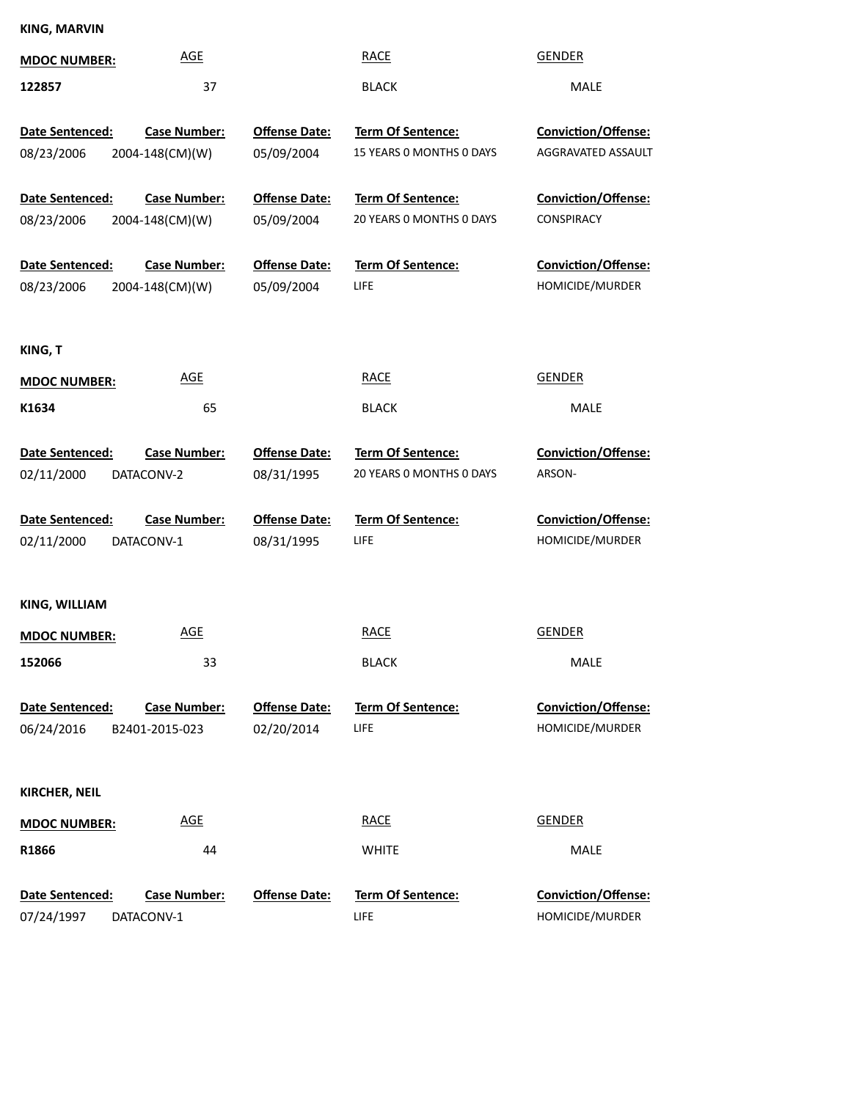## **KING, MARVIN**

| <b>MDOC NUMBER:</b>           | <b>AGE</b>                             |                                    | <b>RACE</b>                                          | <b>GENDER</b>                                    |
|-------------------------------|----------------------------------------|------------------------------------|------------------------------------------------------|--------------------------------------------------|
| 122857                        | 37                                     |                                    | <b>BLACK</b>                                         | MALE                                             |
| Date Sentenced:<br>08/23/2006 | <b>Case Number:</b><br>2004-148(CM)(W) | <b>Offense Date:</b><br>05/09/2004 | Term Of Sentence:<br>15 YEARS 0 MONTHS 0 DAYS        | <b>Conviction/Offense:</b><br>AGGRAVATED ASSAULT |
| Date Sentenced:<br>08/23/2006 | <b>Case Number:</b><br>2004-148(CM)(W) | <b>Offense Date:</b><br>05/09/2004 | <b>Term Of Sentence:</b><br>20 YEARS 0 MONTHS 0 DAYS | Conviction/Offense:<br>CONSPIRACY                |
| Date Sentenced:<br>08/23/2006 | <b>Case Number:</b><br>2004-148(CM)(W) | <b>Offense Date:</b><br>05/09/2004 | Term Of Sentence:<br><b>LIFE</b>                     | Conviction/Offense:<br>HOMICIDE/MURDER           |
| KING, T                       |                                        |                                    |                                                      |                                                  |
| <b>MDOC NUMBER:</b>           | <b>AGE</b>                             |                                    | <b>RACE</b>                                          | <b>GENDER</b>                                    |
| K1634                         | 65                                     |                                    | <b>BLACK</b>                                         | MALE                                             |
| Date Sentenced:<br>02/11/2000 | <b>Case Number:</b><br>DATACONV-2      | <b>Offense Date:</b><br>08/31/1995 | Term Of Sentence:<br>20 YEARS O MONTHS O DAYS        | Conviction/Offense:<br>ARSON-                    |
| Date Sentenced:<br>02/11/2000 | <b>Case Number:</b><br>DATACONV-1      | <b>Offense Date:</b><br>08/31/1995 | Term Of Sentence:<br>LIFE                            | Conviction/Offense:<br>HOMICIDE/MURDER           |
| KING, WILLIAM                 |                                        |                                    |                                                      |                                                  |
| <b>MDOC NUMBER:</b>           | <b>AGE</b>                             |                                    | <b>RACE</b>                                          | <b>GENDER</b>                                    |
| 152066                        | 33                                     |                                    | <b>BLACK</b>                                         | <b>MALE</b>                                      |
| Date Sentenced:<br>06/24/2016 | <b>Case Number:</b><br>B2401-2015-023  | <b>Offense Date:</b><br>02/20/2014 | <b>Term Of Sentence:</b><br><b>LIFE</b>              | Conviction/Offense:<br>HOMICIDE/MURDER           |
| <b>KIRCHER, NEIL</b>          |                                        |                                    |                                                      |                                                  |
| <b>MDOC NUMBER:</b>           | <b>AGE</b>                             |                                    | <b>RACE</b>                                          | <b>GENDER</b>                                    |
| R1866                         | 44                                     |                                    | <b>WHITE</b>                                         | MALE                                             |
| Date Sentenced:<br>07/24/1997 | <b>Case Number:</b><br>DATACONV-1      | <b>Offense Date:</b>               | <b>Term Of Sentence:</b><br><b>LIFE</b>              | Conviction/Offense:<br>HOMICIDE/MURDER           |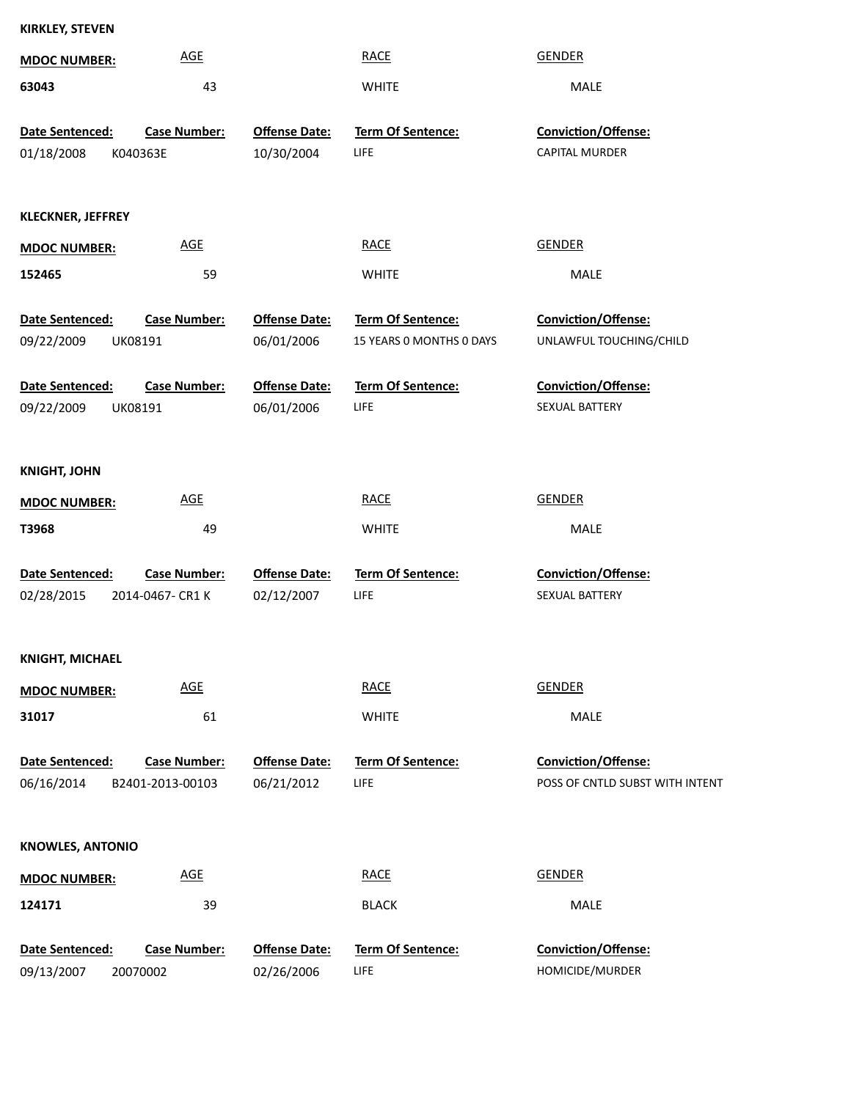| <b>KIRKLEY, STEVEN</b>        |                                         |                                    |                                         |                                                        |
|-------------------------------|-----------------------------------------|------------------------------------|-----------------------------------------|--------------------------------------------------------|
| <b>MDOC NUMBER:</b>           | <b>AGE</b>                              |                                    | <b>RACE</b>                             | <b>GENDER</b>                                          |
| 63043                         | 43                                      |                                    | <b>WHITE</b>                            | MALE                                                   |
|                               |                                         |                                    |                                         |                                                        |
| Date Sentenced:               | <b>Case Number:</b>                     | <b>Offense Date:</b>               | Term Of Sentence:                       | Conviction/Offense:                                    |
| 01/18/2008                    | K040363E                                | 10/30/2004                         | <b>LIFE</b>                             | <b>CAPITAL MURDER</b>                                  |
| <b>KLECKNER, JEFFREY</b>      |                                         |                                    |                                         |                                                        |
| <b>MDOC NUMBER:</b>           | <b>AGE</b>                              |                                    | <b>RACE</b>                             | <b>GENDER</b>                                          |
| 152465                        | 59                                      |                                    | <b>WHITE</b>                            | MALE                                                   |
| Date Sentenced:               | <b>Case Number:</b>                     | <b>Offense Date:</b>               | <b>Term Of Sentence:</b>                | Conviction/Offense:                                    |
| 09/22/2009                    | UK08191                                 | 06/01/2006                         | 15 YEARS 0 MONTHS 0 DAYS                | UNLAWFUL TOUCHING/CHILD                                |
| Date Sentenced:               | <b>Case Number:</b>                     | <b>Offense Date:</b>               | Term Of Sentence:                       | Conviction/Offense:                                    |
| 09/22/2009                    | UK08191                                 | 06/01/2006                         | <b>LIFE</b>                             | SEXUAL BATTERY                                         |
|                               |                                         |                                    |                                         |                                                        |
| <b>KNIGHT, JOHN</b>           |                                         |                                    |                                         |                                                        |
| <b>MDOC NUMBER:</b>           | <b>AGE</b>                              |                                    | <b>RACE</b>                             | <b>GENDER</b>                                          |
| T3968                         | 49                                      |                                    | <b>WHITE</b>                            | MALE                                                   |
| Date Sentenced:               | <b>Case Number:</b>                     | <b>Offense Date:</b>               | Term Of Sentence:                       | Conviction/Offense:                                    |
| 02/28/2015                    | 2014-0467- CR1 K                        | 02/12/2007                         | <b>LIFE</b>                             | SEXUAL BATTERY                                         |
|                               |                                         |                                    |                                         |                                                        |
| <b>KNIGHT, MICHAEL</b>        |                                         |                                    |                                         |                                                        |
| <b>MDOC NUMBER:</b>           | AGE                                     |                                    | <b>RACE</b>                             | <b>GENDER</b>                                          |
| 31017                         | 61                                      |                                    | <b>WHITE</b>                            | MALE                                                   |
|                               |                                         |                                    |                                         |                                                        |
| Date Sentenced:<br>06/16/2014 | <b>Case Number:</b><br>B2401-2013-00103 | <b>Offense Date:</b><br>06/21/2012 | <b>Term Of Sentence:</b><br><b>LIFE</b> | Conviction/Offense:<br>POSS OF CNTLD SUBST WITH INTENT |
|                               |                                         |                                    |                                         |                                                        |
| <b>KNOWLES, ANTONIO</b>       |                                         |                                    |                                         |                                                        |
| <b>MDOC NUMBER:</b>           | <b>AGE</b>                              |                                    | <b>RACE</b>                             | <b>GENDER</b>                                          |
| 124171                        | 39                                      |                                    | <b>BLACK</b>                            | MALE                                                   |
|                               |                                         |                                    |                                         |                                                        |
| Date Sentenced:               | <b>Case Number:</b>                     | <b>Offense Date:</b>               | <b>Term Of Sentence:</b>                | Conviction/Offense:                                    |

02/26/2006

20070002

09/13/2007

HOMICIDE/MURDER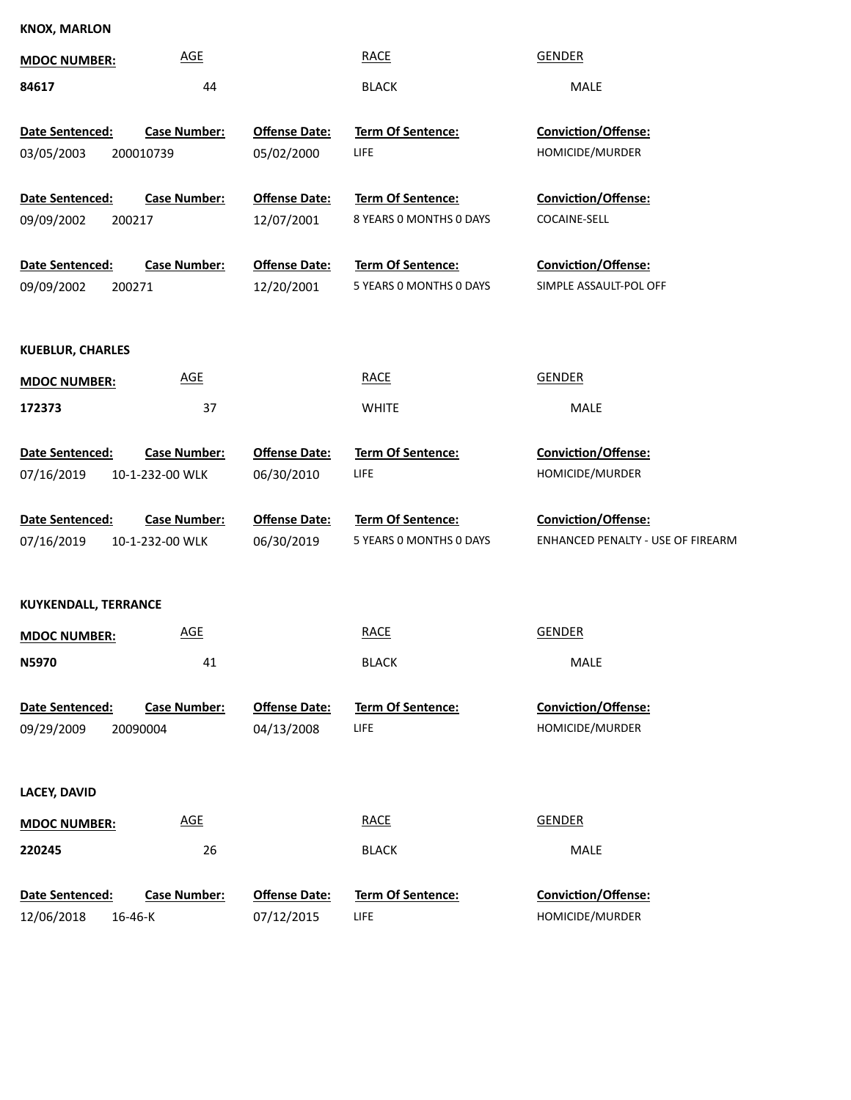## **KNOX, MARLON**

| <b>MDOC NUMBER:</b>                     | <b>AGE</b>                             |                                    | <b>RACE</b>                                  | <b>GENDER</b>                                 |
|-----------------------------------------|----------------------------------------|------------------------------------|----------------------------------------------|-----------------------------------------------|
| 84617                                   | 44                                     |                                    | <b>BLACK</b>                                 | MALE                                          |
| Date Sentenced:<br>03/05/2003           | <b>Case Number:</b><br>200010739       | <b>Offense Date:</b><br>05/02/2000 | Term Of Sentence:<br><b>LIFE</b>             | Conviction/Offense:<br>HOMICIDE/MURDER        |
| Date Sentenced:<br>09/09/2002<br>200217 | <b>Case Number:</b>                    | <b>Offense Date:</b><br>12/07/2001 | Term Of Sentence:<br>8 YEARS 0 MONTHS 0 DAYS | Conviction/Offense:<br>COCAINE-SELL           |
| Date Sentenced:<br>09/09/2002<br>200271 | <b>Case Number:</b>                    | <b>Offense Date:</b><br>12/20/2001 | Term Of Sentence:<br>5 YEARS O MONTHS O DAYS | Conviction/Offense:<br>SIMPLE ASSAULT-POL OFF |
| <b>KUEBLUR, CHARLES</b>                 |                                        |                                    |                                              |                                               |
| <b>MDOC NUMBER:</b>                     | <b>AGE</b>                             |                                    | <b>RACE</b>                                  | <b>GENDER</b>                                 |
| 172373                                  | 37                                     |                                    | <b>WHITE</b>                                 | MALE                                          |
| Date Sentenced:<br>07/16/2019           | <b>Case Number:</b><br>10-1-232-00 WLK | <b>Offense Date:</b><br>06/30/2010 | Term Of Sentence:<br><b>LIFE</b>             | Conviction/Offense:<br>HOMICIDE/MURDER        |
| Date Sentenced:                         | <b>Case Number:</b>                    | <b>Offense Date:</b>               | Term Of Sentence:                            | Conviction/Offense:                           |
| 07/16/2019                              | 10-1-232-00 WLK                        | 06/30/2019                         | 5 YEARS O MONTHS O DAYS                      | ENHANCED PENALTY - USE OF FIREARM             |
| KUYKENDALL, TERRANCE                    |                                        |                                    |                                              |                                               |
| <b>MDOC NUMBER:</b>                     | <b>AGE</b>                             |                                    | <b>RACE</b>                                  | <b>GENDER</b>                                 |
| N5970                                   | 41                                     |                                    | <b>BLACK</b>                                 | MALE                                          |
| Date Sentenced:<br>09/29/2009           | <b>Case Number:</b><br>20090004        | <b>Offense Date:</b><br>04/13/2008 | <b>Term Of Sentence:</b><br><b>LIFE</b>      | Conviction/Offense:<br>HOMICIDE/MURDER        |
| <b>LACEY, DAVID</b>                     |                                        |                                    |                                              |                                               |
| <b>MDOC NUMBER:</b>                     |                                        |                                    | <b>RACE</b>                                  | <b>GENDER</b>                                 |
|                                         | <b>AGE</b>                             |                                    |                                              |                                               |
| 220245                                  | 26                                     |                                    | <b>BLACK</b>                                 | MALE                                          |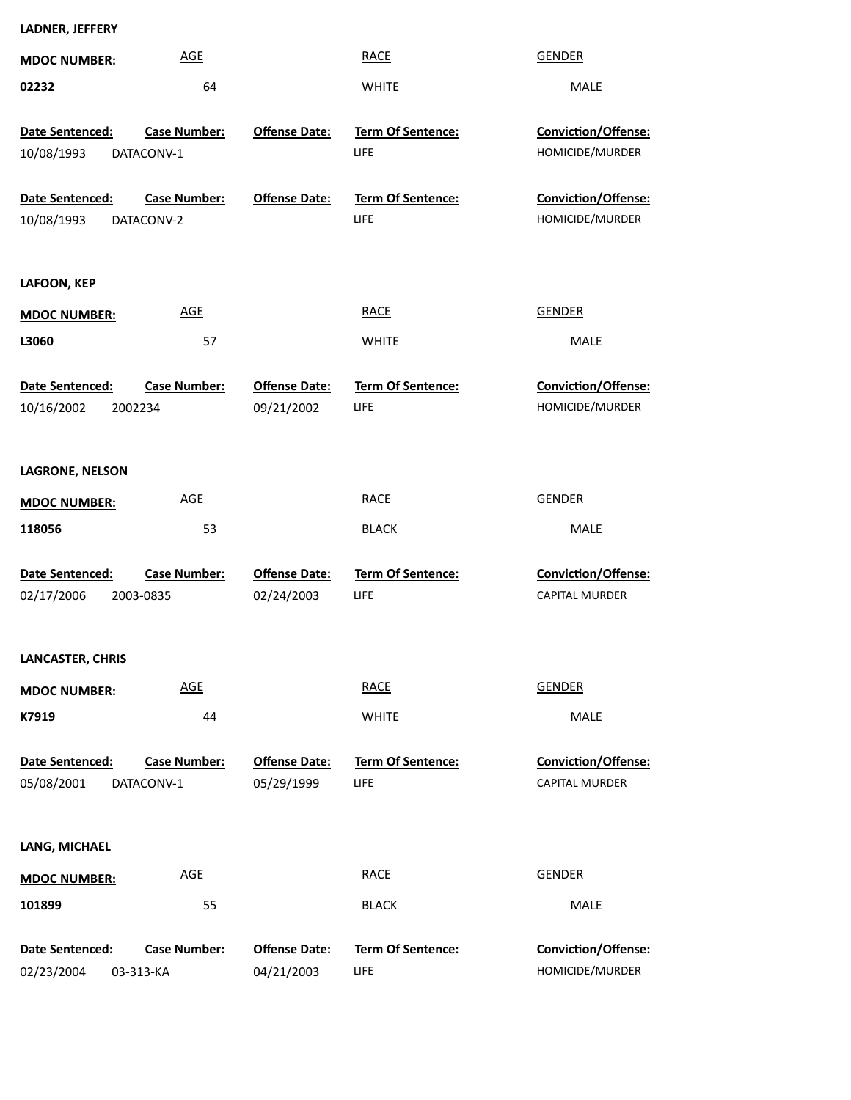| <b>MDOC NUMBER:</b>           | <b>AGE</b>                        |                                    | <b>RACE</b>                      | <b>GENDER</b>                                       |
|-------------------------------|-----------------------------------|------------------------------------|----------------------------------|-----------------------------------------------------|
| 02232                         | 64                                |                                    | <b>WHITE</b>                     | MALE                                                |
| Date Sentenced:<br>10/08/1993 | <b>Case Number:</b><br>DATACONV-1 | <b>Offense Date:</b>               | Term Of Sentence:<br>LIFE        | Conviction/Offense:<br>HOMICIDE/MURDER              |
| Date Sentenced:<br>10/08/1993 | <b>Case Number:</b><br>DATACONV-2 | <b>Offense Date:</b>               | Term Of Sentence:<br>LIFE        | Conviction/Offense:<br>HOMICIDE/MURDER              |
| LAFOON, KEP                   |                                   |                                    |                                  |                                                     |
| <b>MDOC NUMBER:</b>           | <b>AGE</b>                        |                                    | <b>RACE</b>                      | <b>GENDER</b>                                       |
| L3060                         | 57                                |                                    | <b>WHITE</b>                     | MALE                                                |
| Date Sentenced:<br>10/16/2002 | <b>Case Number:</b><br>2002234    | <b>Offense Date:</b><br>09/21/2002 | <b>Term Of Sentence:</b><br>LIFE | <b>Conviction/Offense:</b><br>HOMICIDE/MURDER       |
| <b>LAGRONE, NELSON</b>        |                                   |                                    |                                  |                                                     |
| <b>MDOC NUMBER:</b>           | <b>AGE</b>                        |                                    | <b>RACE</b>                      | <b>GENDER</b>                                       |
| 118056                        | 53                                |                                    | <b>BLACK</b>                     | MALE                                                |
| Date Sentenced:<br>02/17/2006 | <b>Case Number:</b><br>2003-0835  | <b>Offense Date:</b><br>02/24/2003 | Term Of Sentence:<br><b>LIFE</b> | Conviction/Offense:<br><b>CAPITAL MURDER</b>        |
| LANCASTER, CHRIS              |                                   |                                    |                                  |                                                     |
| <b>MDOC NUMBER:</b>           | <b>AGE</b>                        |                                    | <b>RACE</b>                      | <b>GENDER</b>                                       |
| K7919                         | 44                                |                                    | <b>WHITE</b>                     | MALE                                                |
| Date Sentenced:<br>05/08/2001 | <b>Case Number:</b><br>DATACONV-1 | <b>Offense Date:</b><br>05/29/1999 | <b>Term Of Sentence:</b><br>LIFE | <b>Conviction/Offense:</b><br><b>CAPITAL MURDER</b> |
| LANG, MICHAEL                 |                                   |                                    |                                  |                                                     |
| <b>MDOC NUMBER:</b>           | <b>AGE</b>                        |                                    | <b>RACE</b>                      | <b>GENDER</b>                                       |
| 101899                        | 55                                |                                    | <b>BLACK</b>                     | MALE                                                |
| Date Sentenced:<br>02/23/2004 | <b>Case Number:</b><br>03-313-KA  | <b>Offense Date:</b><br>04/21/2003 | Term Of Sentence:<br>LIFE        | Conviction/Offense:<br>HOMICIDE/MURDER              |

**LADNER, JEFFERY**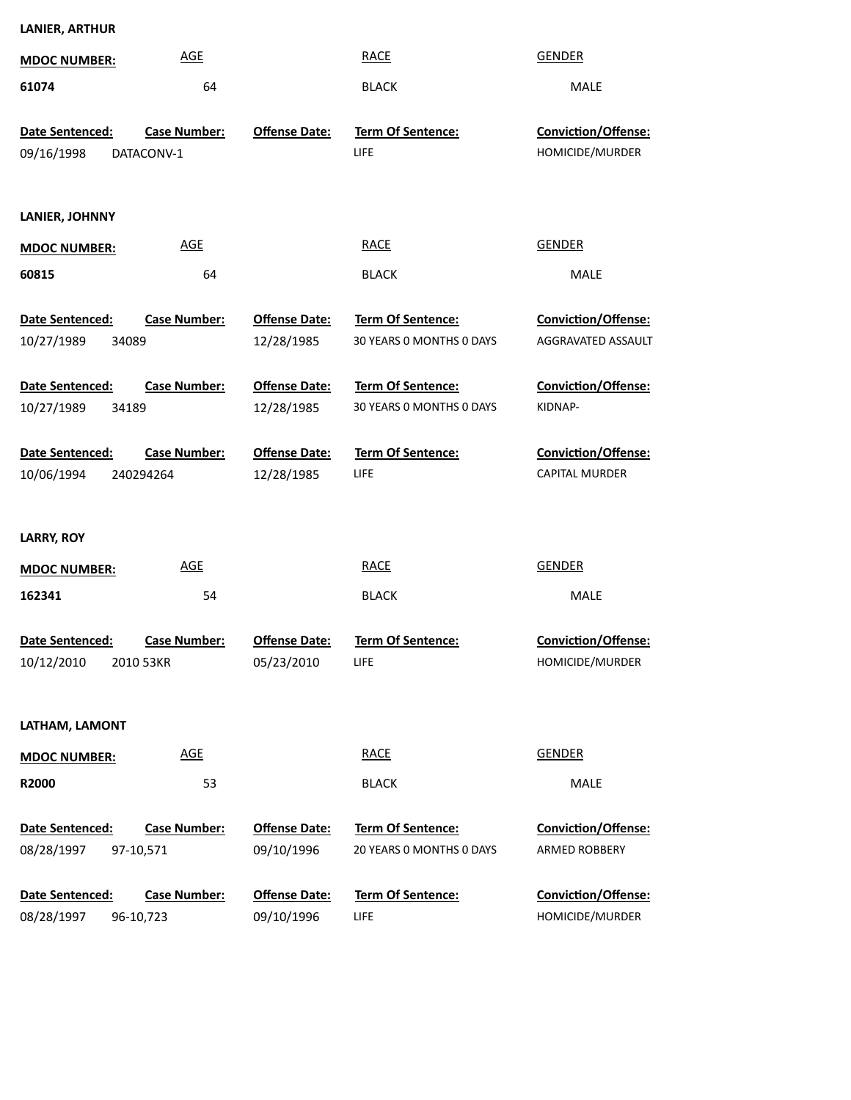| <b>MDOC NUMBER:</b>                    | <b>AGE</b>                        |                                    | <b>RACE</b>                                   | <b>GENDER</b>                                |
|----------------------------------------|-----------------------------------|------------------------------------|-----------------------------------------------|----------------------------------------------|
| 61074                                  | 64                                |                                    | <b>BLACK</b>                                  | MALE                                         |
| <b>Date Sentenced:</b><br>09/16/1998   | <b>Case Number:</b><br>DATACONV-1 | <b>Offense Date:</b>               | Term Of Sentence:<br><b>LIFE</b>              | Conviction/Offense:<br>HOMICIDE/MURDER       |
| LANIER, JOHNNY                         |                                   |                                    |                                               |                                              |
| <b>MDOC NUMBER:</b>                    | <b>AGE</b>                        |                                    | <b>RACE</b>                                   | <b>GENDER</b>                                |
| 60815                                  | 64                                |                                    | <b>BLACK</b>                                  | MALE                                         |
| Date Sentenced:<br>10/27/1989<br>34089 | <b>Case Number:</b>               | <b>Offense Date:</b><br>12/28/1985 | Term Of Sentence:<br>30 YEARS 0 MONTHS 0 DAYS | Conviction/Offense:<br>AGGRAVATED ASSAULT    |
| Date Sentenced:<br>10/27/1989<br>34189 | <b>Case Number:</b>               | <b>Offense Date:</b><br>12/28/1985 | Term Of Sentence:<br>30 YEARS 0 MONTHS 0 DAYS | <b>Conviction/Offense:</b><br>KIDNAP-        |
| Date Sentenced:<br>10/06/1994          | <b>Case Number:</b><br>240294264  | <b>Offense Date:</b><br>12/28/1985 | Term Of Sentence:<br><b>LIFE</b>              | Conviction/Offense:<br><b>CAPITAL MURDER</b> |
| <b>LARRY, ROY</b>                      |                                   |                                    |                                               |                                              |
| <b>MDOC NUMBER:</b>                    | <b>AGE</b>                        |                                    | <b>RACE</b>                                   | <b>GENDER</b>                                |
| 162341                                 | 54                                |                                    | <b>BLACK</b>                                  | MALE                                         |
| <b>Date Sentenced:</b>                 | <b>Case Number:</b>               | <b>Offense Date:</b>               | Term Of Sentence:                             |                                              |
| 10/12/2010                             | 2010 53KR                         | 05/23/2010                         | LIFE                                          | Conviction/Offense:<br>HOMICIDE/MURDER       |
| LATHAM, LAMONT                         |                                   |                                    |                                               |                                              |
| <b>MDOC NUMBER:</b>                    | <b>AGE</b>                        |                                    | <b>RACE</b>                                   | <b>GENDER</b>                                |
| R2000                                  | 53                                |                                    | <b>BLACK</b>                                  | MALE                                         |
| Date Sentenced:<br>08/28/1997          | <b>Case Number:</b><br>97-10,571  | <b>Offense Date:</b><br>09/10/1996 | Term Of Sentence:<br>20 YEARS 0 MONTHS 0 DAYS | Conviction/Offense:<br>ARMED ROBBERY         |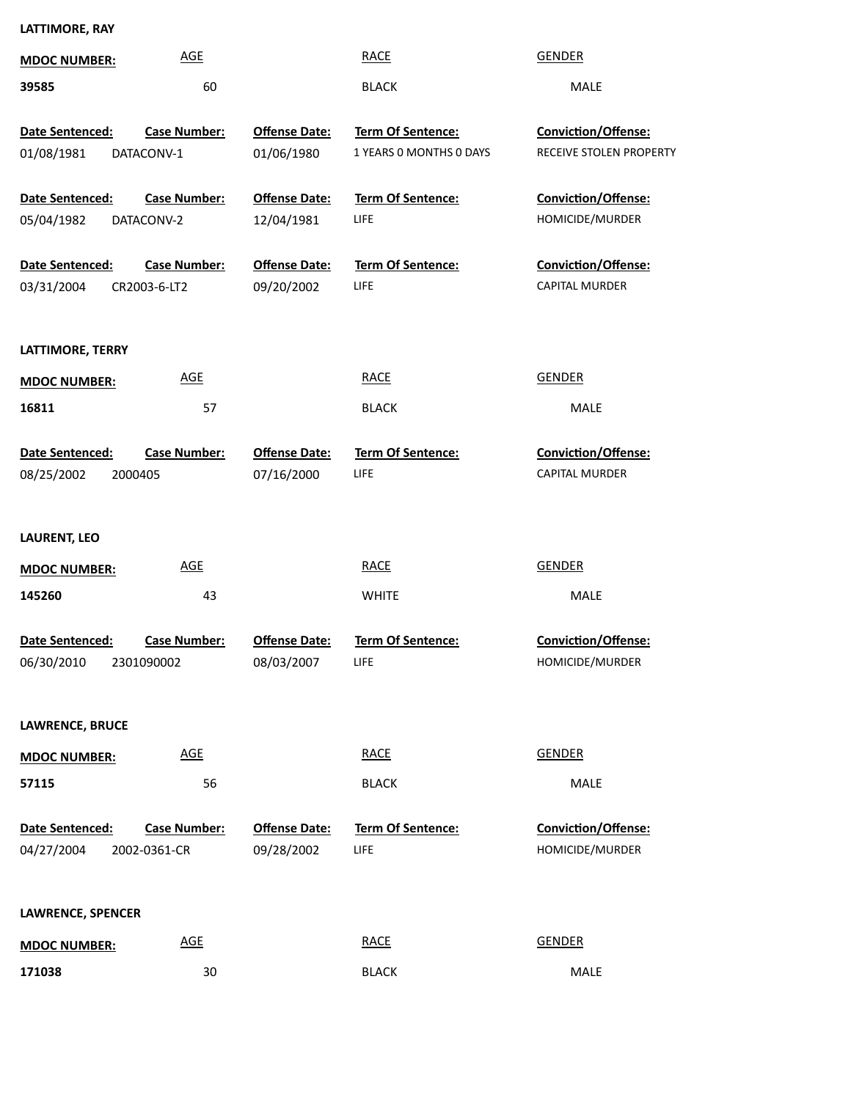## **LATTIMORE, RAY**

| <b>MDOC NUMBER:</b>                      | <b>AGE</b>                          |                                    | <b>RACE</b>                                  | <b>GENDER</b>                                       |
|------------------------------------------|-------------------------------------|------------------------------------|----------------------------------------------|-----------------------------------------------------|
| 39585                                    | 60                                  |                                    | <b>BLACK</b>                                 | MALE                                                |
| Date Sentenced:<br>01/08/1981            | <b>Case Number:</b><br>DATACONV-1   | <b>Offense Date:</b><br>01/06/1980 | Term Of Sentence:<br>1 YEARS O MONTHS O DAYS | Conviction/Offense:<br>RECEIVE STOLEN PROPERTY      |
| Date Sentenced:<br>05/04/1982            | <b>Case Number:</b><br>DATACONV-2   | <b>Offense Date:</b><br>12/04/1981 | Term Of Sentence:<br><b>LIFE</b>             | Conviction/Offense:<br>HOMICIDE/MURDER              |
| Date Sentenced:<br>03/31/2004            | <b>Case Number:</b><br>CR2003-6-LT2 | <b>Offense Date:</b><br>09/20/2002 | Term Of Sentence:<br><b>LIFE</b>             | Conviction/Offense:<br><b>CAPITAL MURDER</b>        |
| LATTIMORE, TERRY                         |                                     |                                    |                                              |                                                     |
| <b>MDOC NUMBER:</b>                      | <u>AGE</u>                          |                                    | <b>RACE</b>                                  | <b>GENDER</b>                                       |
| 16811                                    | 57                                  |                                    | <b>BLACK</b>                                 | MALE                                                |
| Date Sentenced:<br>08/25/2002<br>2000405 | <b>Case Number:</b>                 | <b>Offense Date:</b><br>07/16/2000 | Term Of Sentence:<br>LIFE                    | <b>Conviction/Offense:</b><br><b>CAPITAL MURDER</b> |
| <b>LAURENT, LEO</b>                      |                                     |                                    |                                              |                                                     |
| <b>MDOC NUMBER:</b>                      | <b>AGE</b>                          |                                    | <b>RACE</b>                                  | <b>GENDER</b>                                       |
| 145260                                   | 43                                  |                                    | <b>WHITE</b>                                 | <b>MALE</b>                                         |
| Date Sentenced:<br>06/30/2010 2301090002 | <b>Case Number:</b>                 | <b>Offense Date:</b><br>08/03/2007 | <b>Term Of Sentence:</b><br>LIFE             | <b>Conviction/Offense:</b><br>HOMICIDE/MURDER       |
| <b>LAWRENCE, BRUCE</b>                   |                                     |                                    |                                              |                                                     |
| <b>MDOC NUMBER:</b>                      | <b>AGE</b>                          |                                    | <b>RACE</b>                                  | <b>GENDER</b>                                       |
| 57115                                    | 56                                  |                                    | <b>BLACK</b>                                 | MALE                                                |
| Date Sentenced:<br>04/27/2004            | <b>Case Number:</b><br>2002-0361-CR | <b>Offense Date:</b><br>09/28/2002 | <b>Term Of Sentence:</b><br>LIFE             | <b>Conviction/Offense:</b><br>HOMICIDE/MURDER       |
| <b>LAWRENCE, SPENCER</b>                 |                                     |                                    |                                              |                                                     |
| <b>MDOC NUMBER:</b>                      | <b>AGE</b>                          |                                    | <b>RACE</b>                                  | <b>GENDER</b>                                       |
| 171038                                   | 30                                  |                                    | <b>BLACK</b>                                 | MALE                                                |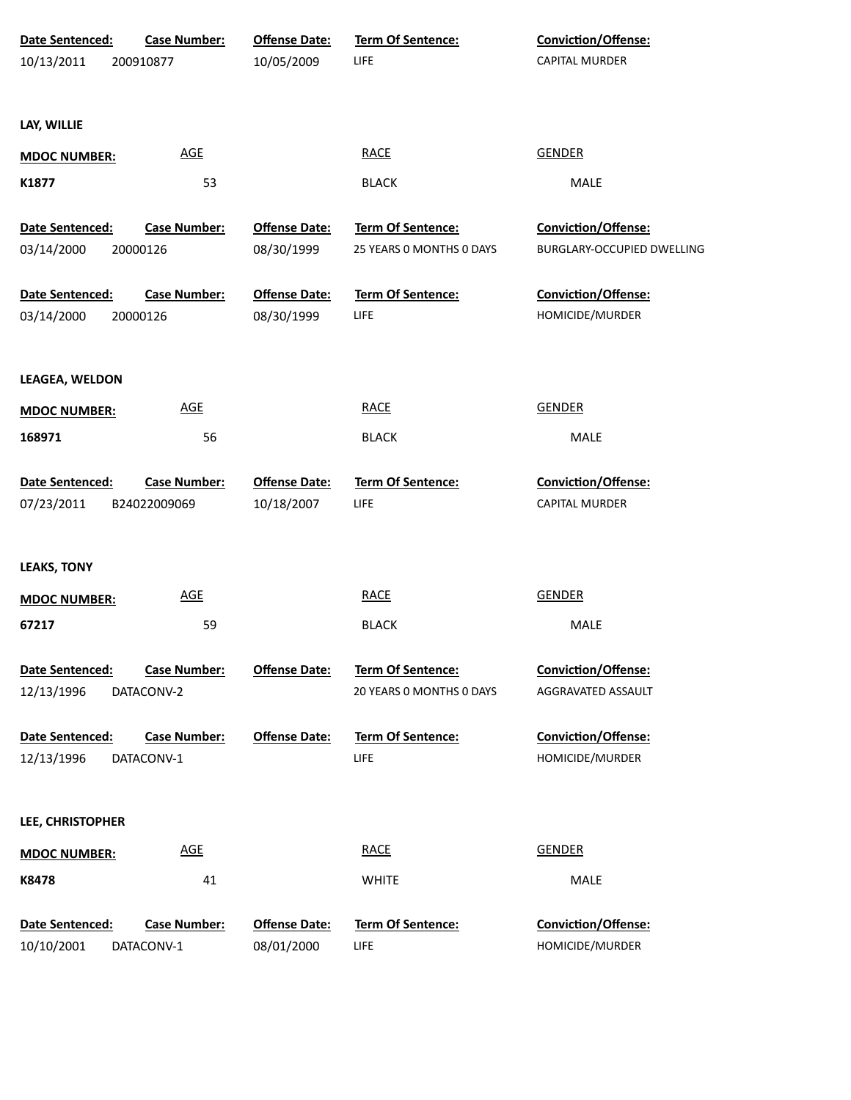| Date Sentenced:     | <b>Case Number:</b> | <b>Offense Date:</b> | Term Of Sentence:        | Conviction/Offense:        |
|---------------------|---------------------|----------------------|--------------------------|----------------------------|
| 10/13/2011          | 200910877           | 10/05/2009           | <b>LIFE</b>              | CAPITAL MURDER             |
|                     |                     |                      |                          |                            |
| LAY, WILLIE         |                     |                      |                          |                            |
|                     | <b>AGE</b>          |                      | <b>RACE</b>              | <b>GENDER</b>              |
| <b>MDOC NUMBER:</b> |                     |                      |                          |                            |
| K1877               | 53                  |                      | <b>BLACK</b>             | MALE                       |
| Date Sentenced:     | <b>Case Number:</b> | <b>Offense Date:</b> | Term Of Sentence:        | Conviction/Offense:        |
| 03/14/2000          | 20000126            | 08/30/1999           | 25 YEARS 0 MONTHS 0 DAYS | BURGLARY-OCCUPIED DWELLING |
|                     |                     |                      |                          |                            |
| Date Sentenced:     | <b>Case Number:</b> | <b>Offense Date:</b> | Term Of Sentence:        | Conviction/Offense:        |
| 03/14/2000          | 20000126            | 08/30/1999           | <b>LIFE</b>              | HOMICIDE/MURDER            |
| LEAGEA, WELDON      |                     |                      |                          |                            |
| <b>MDOC NUMBER:</b> | <b>AGE</b>          |                      | <b>RACE</b>              | <b>GENDER</b>              |
| 168971              | 56                  |                      | <b>BLACK</b>             | MALE                       |
|                     |                     |                      |                          |                            |
| Date Sentenced:     | <b>Case Number:</b> | <b>Offense Date:</b> | Term Of Sentence:        | Conviction/Offense:        |
| 07/23/2011          | B24022009069        | 10/18/2007           | LIFE                     | CAPITAL MURDER             |
|                     |                     |                      |                          |                            |
| <b>LEAKS, TONY</b>  |                     |                      |                          |                            |
| <b>MDOC NUMBER:</b> | <b>AGE</b>          |                      | <b>RACE</b>              | <b>GENDER</b>              |
| 67217               | 59                  |                      | <b>BLACK</b>             | MALE                       |
|                     |                     |                      |                          |                            |
| Date Sentenced:     | <b>Case Number:</b> | <b>Offense Date:</b> | <b>Term Of Sentence:</b> | Conviction/Offense:        |
| 12/13/1996          | DATACONV-2          |                      | 20 YEARS 0 MONTHS 0 DAYS | AGGRAVATED ASSAULT         |
|                     |                     |                      |                          |                            |
| Date Sentenced:     | <b>Case Number:</b> | <b>Offense Date:</b> | <b>Term Of Sentence:</b> | Conviction/Offense:        |
| 12/13/1996          | DATACONV-1          |                      | LIFE                     | HOMICIDE/MURDER            |
|                     |                     |                      |                          |                            |
| LEE, CHRISTOPHER    |                     |                      |                          |                            |
| <b>MDOC NUMBER:</b> | <b>AGE</b>          |                      | <b>RACE</b>              | <b>GENDER</b>              |
| K8478               | 41                  |                      | <b>WHITE</b>             | MALE                       |
| Date Sentenced:     | <b>Case Number:</b> | <b>Offense Date:</b> | Term Of Sentence:        | Conviction/Offense:        |
| 10/10/2001          | DATACONV-1          | 08/01/2000           | LIFE                     | HOMICIDE/MURDER            |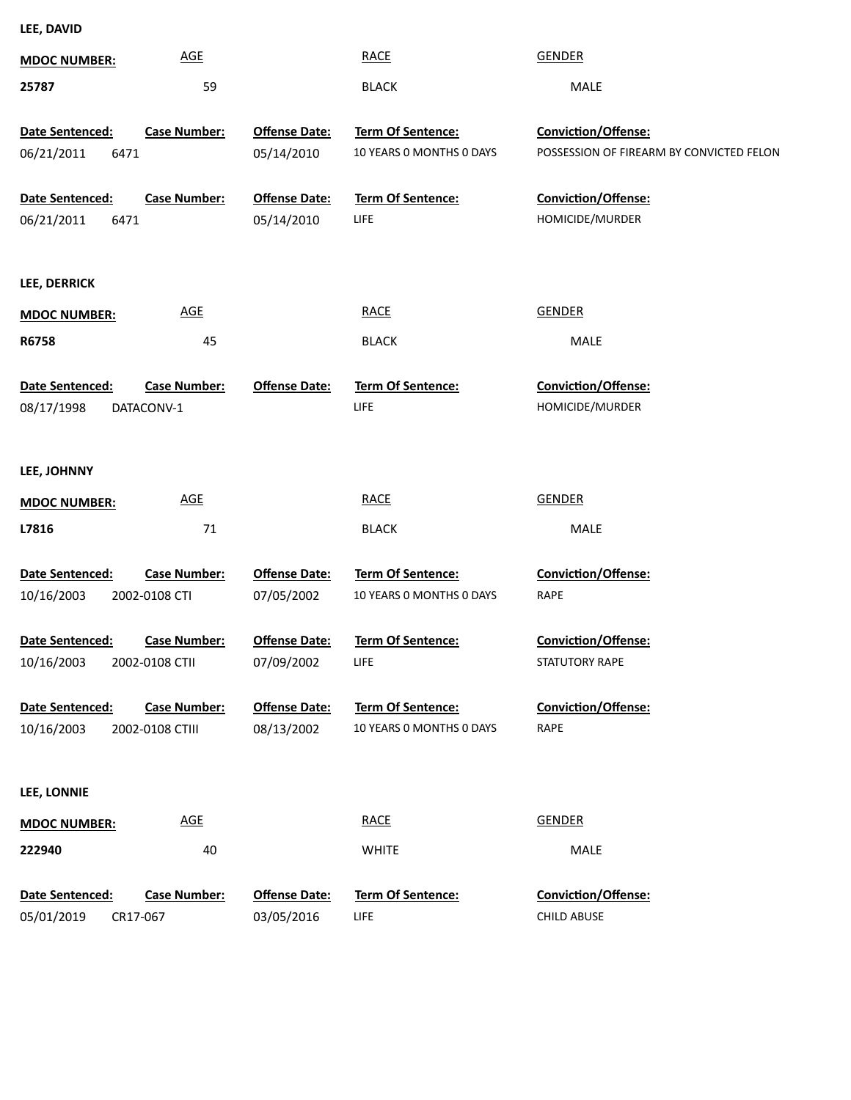**25787 MDOC NUMBER: LEE, DAVID** AGE RACE GENDER GEREE 59 BLACK MALE **Date Sentenced:** POSSESSION OF FIREARM BY CONVICTED FELON **Conviction/Offense:** 05/14/2010 10 YEARS 0 MONTHS 0 DAYS POSSESSION ( **Term Of Sentence: Offense Date:** 6471 05/14/2010 **Case Number:** 06/21/2011 **Date Sentenced:** HOMICIDE/MURDER **Conviction/Offense:** LIFE **Term Of Sentence:** 05/14/2010 **Ofense Date:** 6471 **Case Number:** 06/21/2011 **R6758 MDOC NUMBER: LEE, DERRICK** AGE RACE GENDER GENER 45 BLACK MALE **Date Sentenced:** HOMICIDE/MURDER **Conviction/Offense:** LIFE **Ofense Date: Term Of Sentence:** DATACONV-1 08/17/1998 **Case Number: L7816 MDOC NUMBER: LEE, JOHNNY** AGE RACE GENDER GEREE 71 BLACK MALE **Date Sentenced:** RAPE **Conviction/Offense:** 10 YEARS 0 MONTHS 0 DAYS 07/05/2002 **Term Of Sentence: Ofense Date:** 2002-0108 CTI 10/16/2003 **Case Number: Date Sentenced:** STATUTORY RAPE **Conviction/Offense:** LIFE **Term Of Sentence:** 07/09/2002 **Ofense Date:** 2002-0108 CTII 10/16/2003 **Case Number: Date Sentenced:** RAPE **Conviction/Offense:** 10 YEARS 0 MONTHS 0 DAYS 08/13/2002 **Term Of Sentence: Ofense Date:** 2002-0108 CTIII 10/16/2003 **Case Number: MDOC NUMBER: LEE, LONNIE** AGE RACE GENDER GEREE

**222940** 40 WHITE MALE **Date Sentenced:** CHILD ABUSE **Conviction/Offense:** LIFE **Term Of Sentence:** 03/05/2016 **Ofense Date:** CR17-067 **Case Number:** 05/01/2019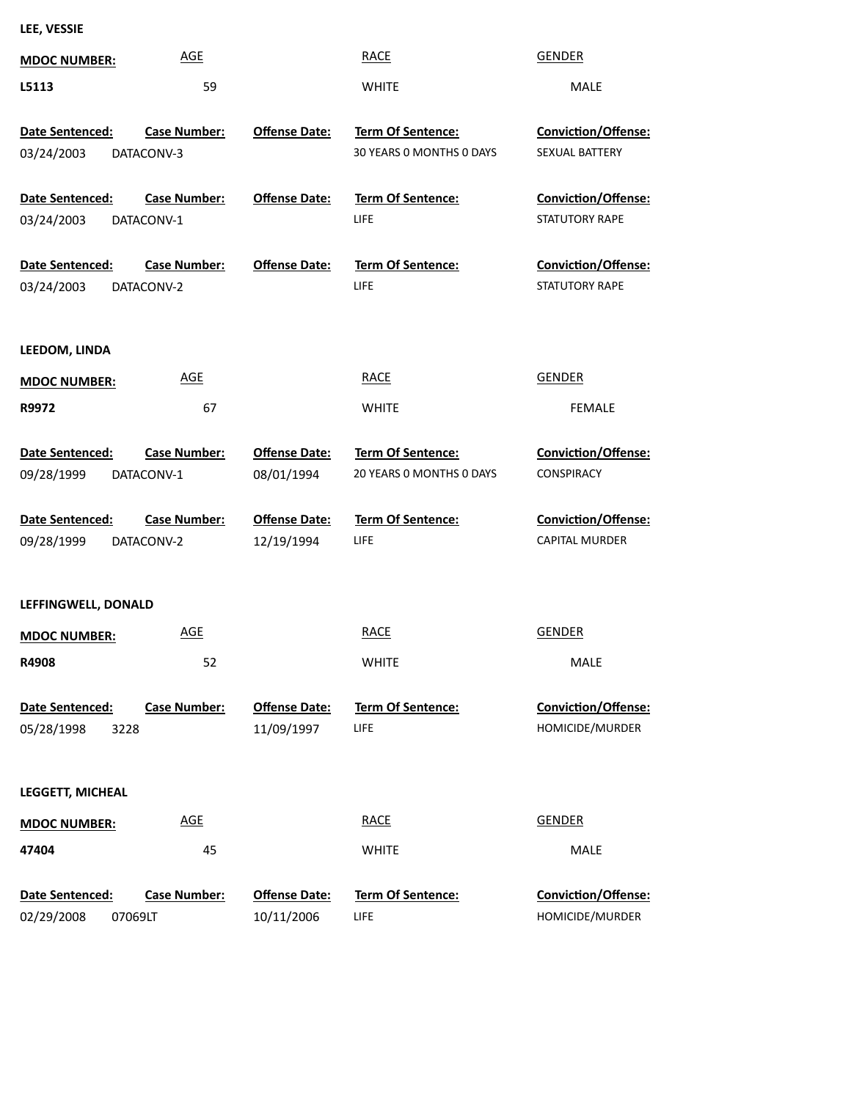| LEE, VESSIE |
|-------------|
|-------------|

| <b>MDOC NUMBER:</b>                      | <b>AGE</b>                        |                                    | <b>RACE</b>                                   | <b>GENDER</b>                                   |
|------------------------------------------|-----------------------------------|------------------------------------|-----------------------------------------------|-------------------------------------------------|
| L5113                                    | 59                                |                                    | <b>WHITE</b>                                  | MALE                                            |
| Date Sentenced:<br>03/24/2003            | <b>Case Number:</b><br>DATACONV-3 | <b>Offense Date:</b>               | Term Of Sentence:<br>30 YEARS 0 MONTHS 0 DAYS | Conviction/Offense:<br>SEXUAL BATTERY           |
| Date Sentenced:<br>03/24/2003            | <b>Case Number:</b><br>DATACONV-1 | <b>Offense Date:</b>               | Term Of Sentence:<br>LIFE                     | Conviction/Offense:<br>STATUTORY RAPE           |
| Date Sentenced:<br>03/24/2003            | <b>Case Number:</b><br>DATACONV-2 | <b>Offense Date:</b>               | Term Of Sentence:<br>LIFE                     | Conviction/Offense:<br>STATUTORY RAPE           |
| LEEDOM, LINDA                            |                                   |                                    |                                               |                                                 |
| <b>MDOC NUMBER:</b>                      | <b>AGE</b>                        |                                    | <b>RACE</b>                                   | <b>GENDER</b>                                   |
| R9972                                    | 67                                |                                    | <b>WHITE</b>                                  | <b>FEMALE</b>                                   |
| Date Sentenced:<br>09/28/1999            | <b>Case Number:</b><br>DATACONV-1 | <b>Offense Date:</b><br>08/01/1994 | Term Of Sentence:<br>20 YEARS 0 MONTHS 0 DAYS | <b>Conviction/Offense:</b><br><b>CONSPIRACY</b> |
| Date Sentenced:                          | <b>Case Number:</b>               | <b>Offense Date:</b>               | Term Of Sentence:                             | Conviction/Offense:                             |
| 09/28/1999                               | DATACONV-2                        | 12/19/1994                         | <b>LIFE</b>                                   | CAPITAL MURDER                                  |
| LEFFINGWELL, DONALD                      |                                   |                                    |                                               |                                                 |
| <b>MDOC NUMBER:</b>                      | <b>AGE</b>                        |                                    | <b>RACE</b>                                   | <b>GENDER</b>                                   |
| R4908                                    | 52                                |                                    | <b>WHITE</b>                                  | MALE                                            |
| Date Sentenced:<br>05/28/1998<br>3228    | <b>Case Number:</b>               | <b>Offense Date:</b><br>11/09/1997 | Term Of Sentence:<br>LIFE                     | Conviction/Offense:<br>HOMICIDE/MURDER          |
| <b>LEGGETT, MICHEAL</b>                  |                                   |                                    |                                               |                                                 |
| <b>MDOC NUMBER:</b>                      | <b>AGE</b>                        |                                    | <b>RACE</b>                                   | <b>GENDER</b>                                   |
| 47404                                    | 45                                |                                    | <b>WHITE</b>                                  | MALE                                            |
| Date Sentenced:<br>02/29/2008<br>07069LT | <b>Case Number:</b>               | <b>Offense Date:</b><br>10/11/2006 | Term Of Sentence:<br>LIFE                     | Conviction/Offense:<br>HOMICIDE/MURDER          |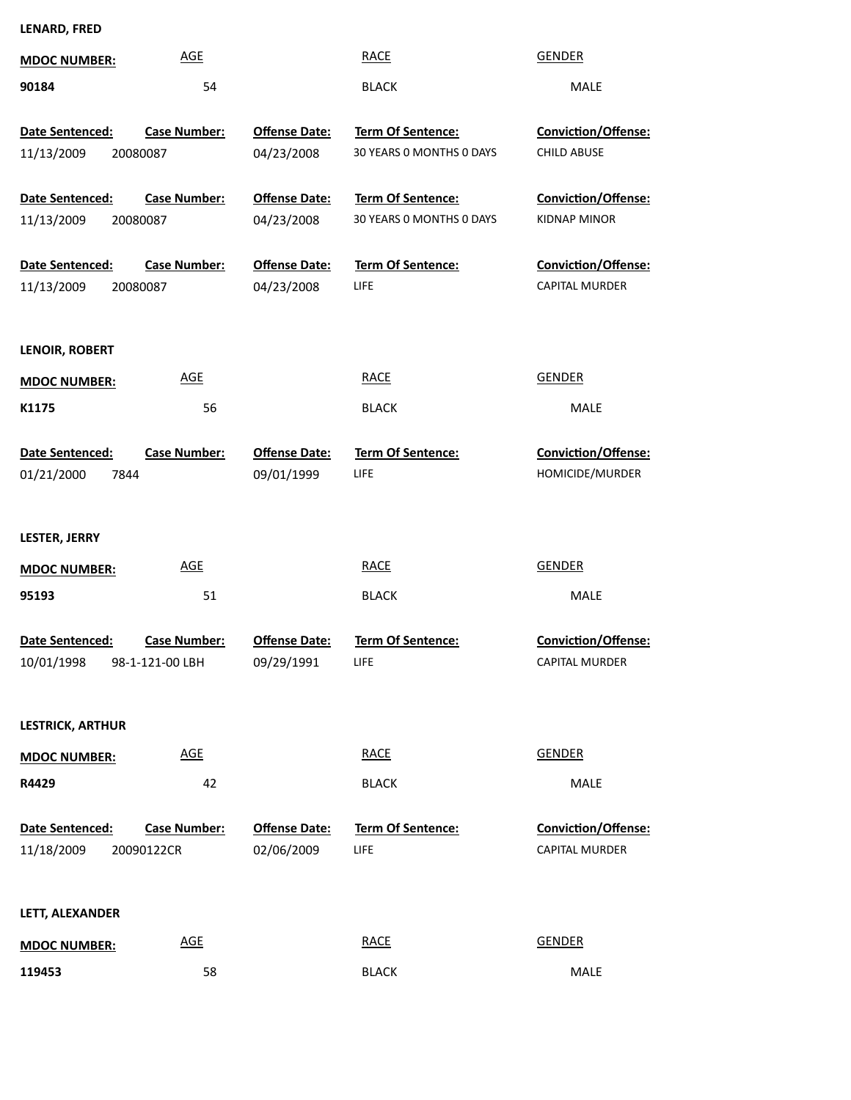## **LENARD, FRED**

| <b>MDOC NUMBER:</b>                       | <b>AGE</b>                             |                                    | <b>RACE</b>                                          | <b>GENDER</b>                                     |
|-------------------------------------------|----------------------------------------|------------------------------------|------------------------------------------------------|---------------------------------------------------|
| 90184                                     | 54                                     |                                    | <b>BLACK</b>                                         | <b>MALE</b>                                       |
| Date Sentenced:<br>11/13/2009<br>20080087 | <b>Case Number:</b>                    | <b>Offense Date:</b><br>04/23/2008 | <b>Term Of Sentence:</b><br>30 YEARS 0 MONTHS 0 DAYS | <b>Conviction/Offense:</b><br><b>CHILD ABUSE</b>  |
| Date Sentenced:<br>11/13/2009<br>20080087 | <b>Case Number:</b>                    | <b>Offense Date:</b><br>04/23/2008 | <b>Term Of Sentence:</b><br>30 YEARS 0 MONTHS 0 DAYS | <b>Conviction/Offense:</b><br><b>KIDNAP MINOR</b> |
| Date Sentenced:<br>11/13/2009<br>20080087 | <b>Case Number:</b>                    | <b>Offense Date:</b><br>04/23/2008 | Term Of Sentence:<br>LIFE                            | Conviction/Offense:<br>CAPITAL MURDER             |
| LENOIR, ROBERT                            |                                        |                                    |                                                      |                                                   |
| <b>MDOC NUMBER:</b>                       | <b>AGE</b>                             |                                    | <b>RACE</b>                                          | <b>GENDER</b>                                     |
| K1175                                     | 56                                     |                                    | <b>BLACK</b>                                         | <b>MALE</b>                                       |
| Date Sentenced:<br>01/21/2000<br>7844     | <b>Case Number:</b>                    | <b>Offense Date:</b><br>09/01/1999 | Term Of Sentence:<br>LIFE.                           | Conviction/Offense:<br>HOMICIDE/MURDER            |
| LESTER, JERRY                             |                                        |                                    |                                                      |                                                   |
| <b>MDOC NUMBER:</b>                       | <b>AGE</b>                             |                                    | <b>RACE</b>                                          | <b>GENDER</b>                                     |
| 95193                                     | 51                                     |                                    | <b>BLACK</b>                                         | MALE                                              |
| Date Sentenced:<br>10/01/1998             | <b>Case Number:</b><br>98-1-121-00 LBH | <b>Offense Date:</b><br>09/29/1991 | <b>Term Of Sentence:</b><br>LIFE                     | <b>Conviction/Offense:</b><br>CAPITAL MURDER      |
| <b>LESTRICK, ARTHUR</b>                   |                                        |                                    |                                                      |                                                   |
| <b>MDOC NUMBER:</b>                       | <b>AGE</b>                             |                                    | <b>RACE</b>                                          | <b>GENDER</b>                                     |
| R4429                                     | 42                                     |                                    | <b>BLACK</b>                                         | MALE                                              |
| <b>Date Sentenced:</b><br>11/18/2009      | <b>Case Number:</b><br>20090122CR      | <b>Offense Date:</b><br>02/06/2009 | <b>Term Of Sentence:</b><br><b>LIFE</b>              | Conviction/Offense:<br><b>CAPITAL MURDER</b>      |
| LETT, ALEXANDER                           |                                        |                                    |                                                      |                                                   |
| <b>MDOC NUMBER:</b>                       | <b>AGE</b>                             |                                    | <b>RACE</b>                                          | <b>GENDER</b>                                     |
| 119453                                    | 58                                     |                                    | <b>BLACK</b>                                         | MALE                                              |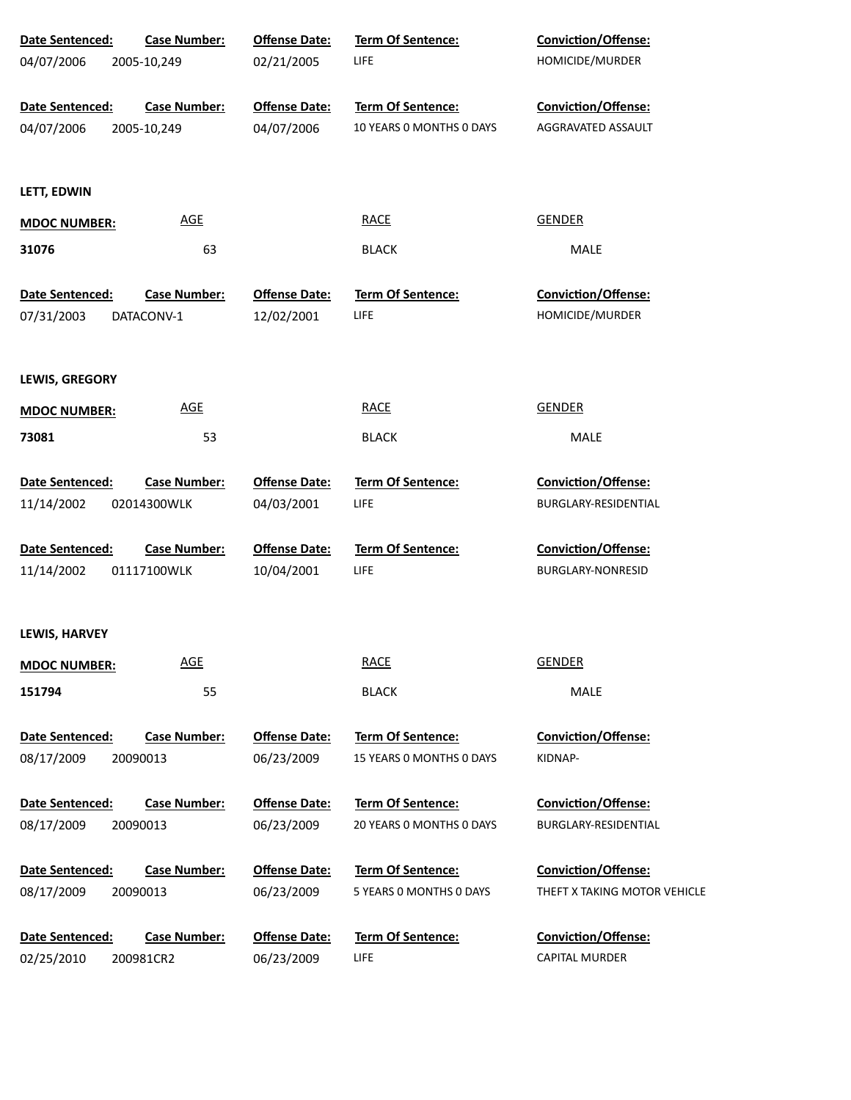| Date Sentenced:        | <b>Case Number:</b> | <b>Offense Date:</b> | <b>Term Of Sentence:</b> | <b>Conviction/Offense:</b>   |
|------------------------|---------------------|----------------------|--------------------------|------------------------------|
| 04/07/2006             | 2005-10,249         | 02/21/2005           | <b>LIFE</b>              | HOMICIDE/MURDER              |
| <b>Date Sentenced:</b> | <b>Case Number:</b> | <b>Offense Date:</b> | <b>Term Of Sentence:</b> | <b>Conviction/Offense:</b>   |
| 04/07/2006             | 2005-10,249         | 04/07/2006           | 10 YEARS 0 MONTHS 0 DAYS | AGGRAVATED ASSAULT           |
| LETT, EDWIN            |                     |                      |                          |                              |
| <b>MDOC NUMBER:</b>    | <b>AGE</b>          |                      | <b>RACE</b>              | <b>GENDER</b>                |
| 31076                  | 63                  |                      | <b>BLACK</b>             | MALE                         |
| Date Sentenced:        | <b>Case Number:</b> | <b>Offense Date:</b> | <b>Term Of Sentence:</b> | <b>Conviction/Offense:</b>   |
| 07/31/2003             | DATACONV-1          | 12/02/2001           | <b>LIFE</b>              | HOMICIDE/MURDER              |
| <b>LEWIS, GREGORY</b>  |                     |                      |                          |                              |
| <b>MDOC NUMBER:</b>    | <b>AGE</b>          |                      | <b>RACE</b>              | <b>GENDER</b>                |
| 73081                  | 53                  |                      | <b>BLACK</b>             | MALE                         |
| Date Sentenced:        | <b>Case Number:</b> | <b>Offense Date:</b> | Term Of Sentence:        | Conviction/Offense:          |
| 11/14/2002             | 02014300WLK         | 04/03/2001           | <b>LIFE</b>              | BURGLARY-RESIDENTIAL         |
| Date Sentenced:        | <b>Case Number:</b> | <b>Offense Date:</b> | Term Of Sentence:        | Conviction/Offense:          |
| 11/14/2002             | 01117100WLK         | 10/04/2001           | <b>LIFE</b>              | <b>BURGLARY-NONRESID</b>     |
| LEWIS, HARVEY          |                     |                      |                          |                              |
| <b>MDOC NUMBER:</b>    | <b>AGE</b>          |                      | <b>RACE</b>              | <b>GENDER</b>                |
| 151794                 | 55                  |                      | <b>BLACK</b>             | <b>MALE</b>                  |
| Date Sentenced:        | <b>Case Number:</b> | <b>Offense Date:</b> | <b>Term Of Sentence:</b> | <b>Conviction/Offense:</b>   |
| 08/17/2009             | 20090013            | 06/23/2009           | 15 YEARS 0 MONTHS 0 DAYS | KIDNAP-                      |
| Date Sentenced:        | <b>Case Number:</b> | <b>Offense Date:</b> | <b>Term Of Sentence:</b> | Conviction/Offense:          |
| 08/17/2009             | 20090013            | 06/23/2009           | 20 YEARS 0 MONTHS 0 DAYS | BURGLARY-RESIDENTIAL         |
| Date Sentenced:        | <b>Case Number:</b> | <b>Offense Date:</b> | Term Of Sentence:        | <b>Conviction/Offense:</b>   |
| 08/17/2009             | 20090013            | 06/23/2009           | 5 YEARS 0 MONTHS 0 DAYS  | THEFT X TAKING MOTOR VEHICLE |
| Date Sentenced:        | <b>Case Number:</b> | <b>Offense Date:</b> | Term Of Sentence:        | Conviction/Offense:          |
| 02/25/2010             | 200981CR2           | 06/23/2009           | <b>LIFE</b>              | <b>CAPITAL MURDER</b>        |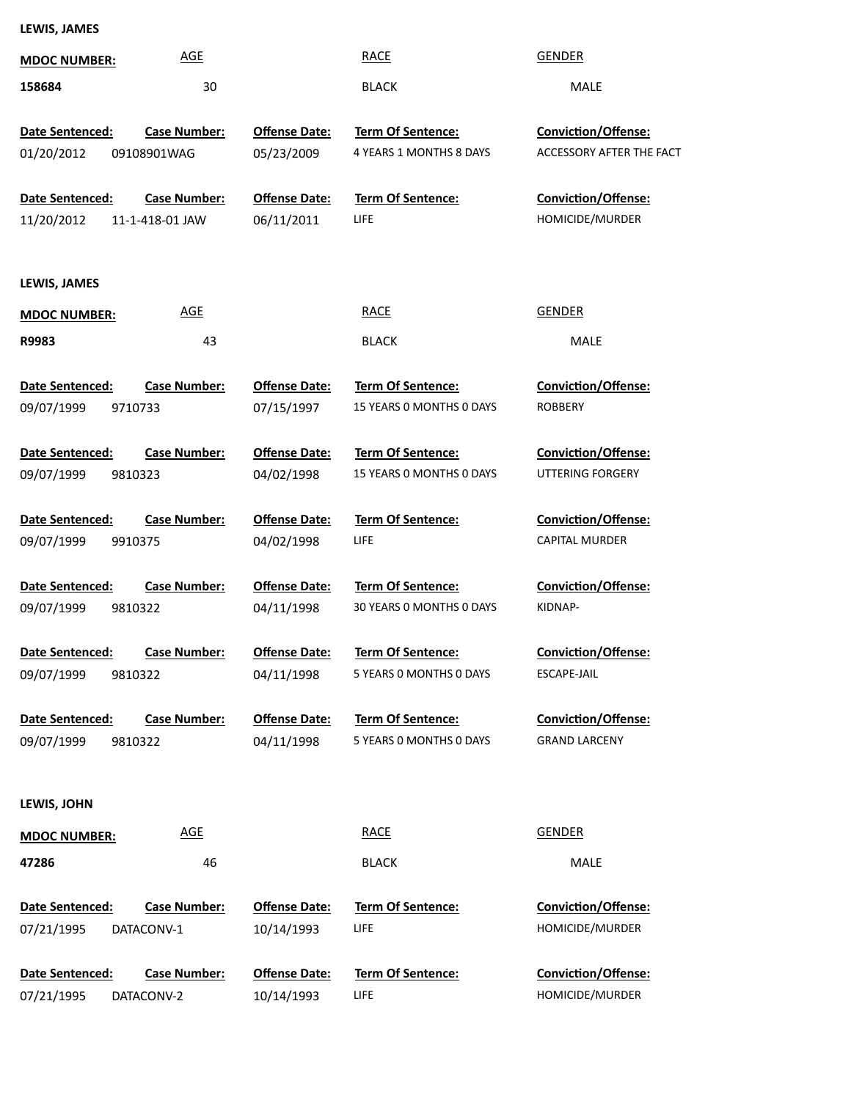**LEWIS, JAMES**

| <b>MDOC NUMBER:</b>                      | <b>AGE</b>                             |                                    | <b>RACE</b>                                         | <b>GENDER</b>                                          |
|------------------------------------------|----------------------------------------|------------------------------------|-----------------------------------------------------|--------------------------------------------------------|
| 158684                                   | 30                                     |                                    | <b>BLACK</b>                                        | MALE                                                   |
| Date Sentenced:<br>01/20/2012            | <b>Case Number:</b><br>09108901WAG     | <b>Offense Date:</b><br>05/23/2009 | Term Of Sentence:<br>4 YEARS 1 MONTHS 8 DAYS        | <b>Conviction/Offense:</b><br>ACCESSORY AFTER THE FACT |
| Date Sentenced:<br>11/20/2012            | <b>Case Number:</b><br>11-1-418-01 JAW | <b>Offense Date:</b><br>06/11/2011 | Term Of Sentence:<br><b>LIFE</b>                    | <b>Conviction/Offense:</b><br>HOMICIDE/MURDER          |
| LEWIS, JAMES                             |                                        |                                    |                                                     |                                                        |
| <b>MDOC NUMBER:</b>                      | <b>AGE</b>                             |                                    | <b>RACE</b>                                         | <b>GENDER</b>                                          |
| R9983                                    | 43                                     |                                    | <b>BLACK</b>                                        | MALE                                                   |
| Date Sentenced:<br>09/07/1999<br>9710733 | <b>Case Number:</b>                    | <b>Offense Date:</b><br>07/15/1997 | Term Of Sentence:<br>15 YEARS O MONTHS O DAYS       | <b>Conviction/Offense:</b><br><b>ROBBERY</b>           |
| Date Sentenced:<br>09/07/1999<br>9810323 | <b>Case Number:</b>                    | <b>Offense Date:</b><br>04/02/1998 | Term Of Sentence:<br>15 YEARS O MONTHS O DAYS       | <b>Conviction/Offense:</b><br>UTTERING FORGERY         |
| Date Sentenced:<br>09/07/1999<br>9910375 | <b>Case Number:</b>                    | <b>Offense Date:</b><br>04/02/1998 | <b>Term Of Sentence:</b><br>LIFE                    | Conviction/Offense:<br><b>CAPITAL MURDER</b>           |
| Date Sentenced:<br>09/07/1999<br>9810322 | <b>Case Number:</b>                    | <b>Offense Date:</b><br>04/11/1998 | Term Of Sentence:<br>30 YEARS O MONTHS O DAYS       | Conviction/Offense:<br>KIDNAP-                         |
| Date Sentenced:<br>09/07/1999<br>9810322 | <b>Case Number:</b>                    | <b>Offense Date:</b><br>04/11/1998 | Term Of Sentence:<br>5 YEARS 0 MONTHS 0 DAYS        | Conviction/Offense:<br>ESCAPE-JAIL                     |
| Date Sentenced:<br>09/07/1999<br>9810322 | <b>Case Number:</b>                    | <b>Offense Date:</b><br>04/11/1998 | <b>Term Of Sentence:</b><br>5 YEARS O MONTHS O DAYS | <b>Conviction/Offense:</b><br><b>GRAND LARCENY</b>     |
| LEWIS, JOHN                              |                                        |                                    |                                                     |                                                        |
| <b>MDOC NUMBER:</b>                      | <b>AGE</b>                             |                                    | <b>RACE</b>                                         | <b>GENDER</b>                                          |
| 47286                                    | 46                                     |                                    | <b>BLACK</b>                                        | MALE                                                   |
| Date Sentenced:<br>07/21/1995            | <b>Case Number:</b><br>DATACONV-1      | <b>Offense Date:</b><br>10/14/1993 | <b>Term Of Sentence:</b><br><b>LIFE</b>             | <b>Conviction/Offense:</b><br>HOMICIDE/MURDER          |
| Date Sentenced:<br>07/21/1995            | <b>Case Number:</b><br>DATACONV-2      | <b>Offense Date:</b><br>10/14/1993 | <b>Term Of Sentence:</b><br><b>LIFE</b>             | <b>Conviction/Offense:</b><br>HOMICIDE/MURDER          |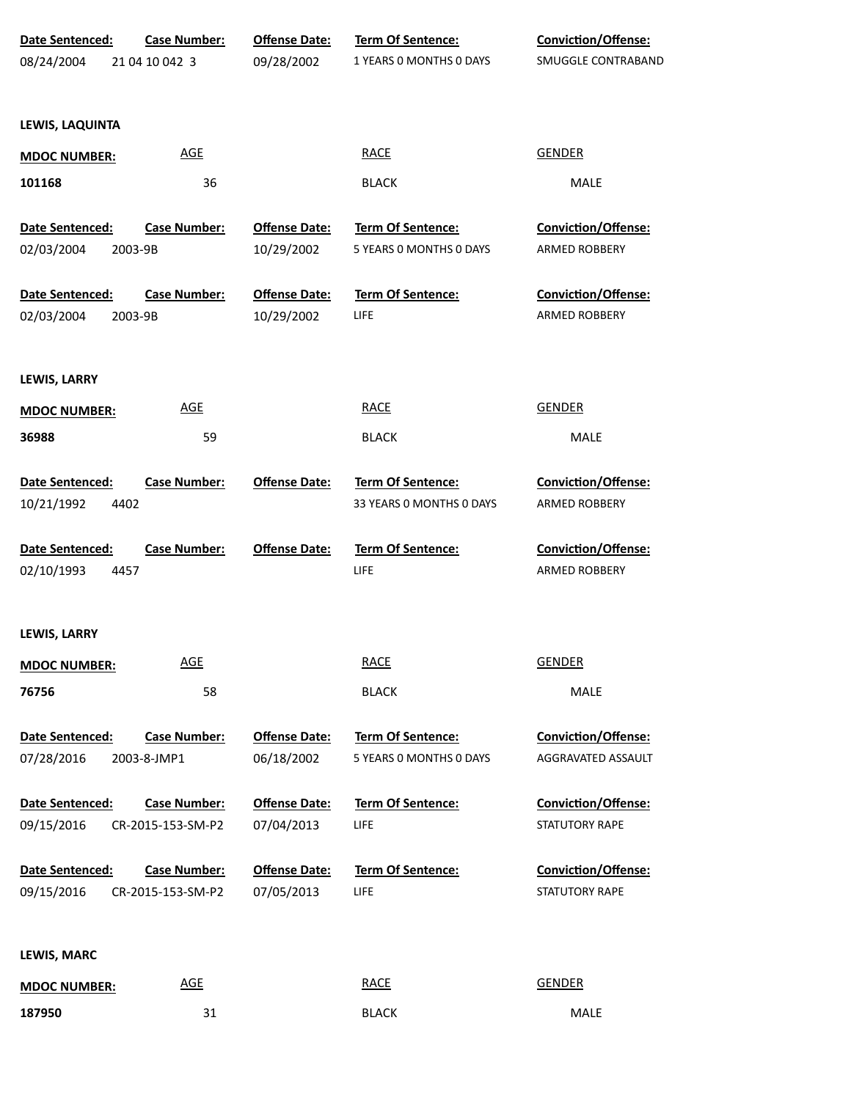| Date Sentenced:        | <b>Case Number:</b> | <b>Offense Date:</b> | <b>Term Of Sentence:</b> | <b>Conviction/Offense:</b> |
|------------------------|---------------------|----------------------|--------------------------|----------------------------|
| 08/24/2004             | 21 04 10 042 3      | 09/28/2002           | 1 YEARS 0 MONTHS 0 DAYS  | SMUGGLE CONTRABAND         |
|                        |                     |                      |                          |                            |
| LEWIS, LAQUINTA        |                     |                      |                          |                            |
| <b>MDOC NUMBER:</b>    | <b>AGE</b>          |                      | <b>RACE</b>              | <b>GENDER</b>              |
| 101168                 | 36                  |                      | <b>BLACK</b>             | MALE                       |
| <b>Date Sentenced:</b> | <b>Case Number:</b> | <b>Offense Date:</b> | Term Of Sentence:        | <b>Conviction/Offense:</b> |
| 02/03/2004<br>2003-9B  |                     | 10/29/2002           | 5 YEARS 0 MONTHS 0 DAYS  | ARMED ROBBERY              |
| Date Sentenced:        | <b>Case Number:</b> | <b>Offense Date:</b> | <b>Term Of Sentence:</b> | <b>Conviction/Offense:</b> |
| 02/03/2004<br>2003-9B  |                     | 10/29/2002           | LIFE                     | ARMED ROBBERY              |
| LEWIS, LARRY           |                     |                      |                          |                            |
| <b>MDOC NUMBER:</b>    | <b>AGE</b>          |                      | <b>RACE</b>              | <b>GENDER</b>              |
| 36988                  | 59                  |                      | <b>BLACK</b>             | MALE                       |
| Date Sentenced:        | <b>Case Number:</b> | <b>Offense Date:</b> | Term Of Sentence:        | Conviction/Offense:        |
| 10/21/1992<br>4402     |                     |                      | 33 YEARS 0 MONTHS 0 DAYS | ARMED ROBBERY              |
| Date Sentenced:        | <b>Case Number:</b> | <b>Offense Date:</b> | Term Of Sentence:        | Conviction/Offense:        |
| 02/10/1993<br>4457     |                     |                      | LIFE                     | ARMED ROBBERY              |
| LEWIS, LARRY           |                     |                      |                          |                            |
| <b>MDOC NUMBER:</b>    | <b>AGE</b>          |                      | <b>RACE</b>              | <b>GENDER</b>              |
| 76756                  | 58                  |                      | <b>BLACK</b>             | MALE                       |
| Date Sentenced:        | <b>Case Number:</b> | <b>Offense Date:</b> | <b>Term Of Sentence:</b> | Conviction/Offense:        |
| 07/28/2016             | 2003-8-JMP1         | 06/18/2002           | 5 YEARS 0 MONTHS 0 DAYS  | AGGRAVATED ASSAULT         |
| Date Sentenced:        | <b>Case Number:</b> | <b>Offense Date:</b> | Term Of Sentence:        | Conviction/Offense:        |
| 09/15/2016             | CR-2015-153-SM-P2   | 07/04/2013           | LIFE                     | STATUTORY RAPE             |
| Date Sentenced:        | <b>Case Number:</b> | <b>Offense Date:</b> | Term Of Sentence:        | Conviction/Offense:        |
| 09/15/2016             | CR-2015-153-SM-P2   | 07/05/2013           | LIFE                     | STATUTORY RAPE             |
| LEWIS, MARC            |                     |                      |                          |                            |
|                        | <b>AGE</b>          |                      | <b>RACE</b>              | <b>GENDER</b>              |
| <b>MDOC NUMBER:</b>    |                     |                      |                          |                            |

31 BLACK MALE

**187950**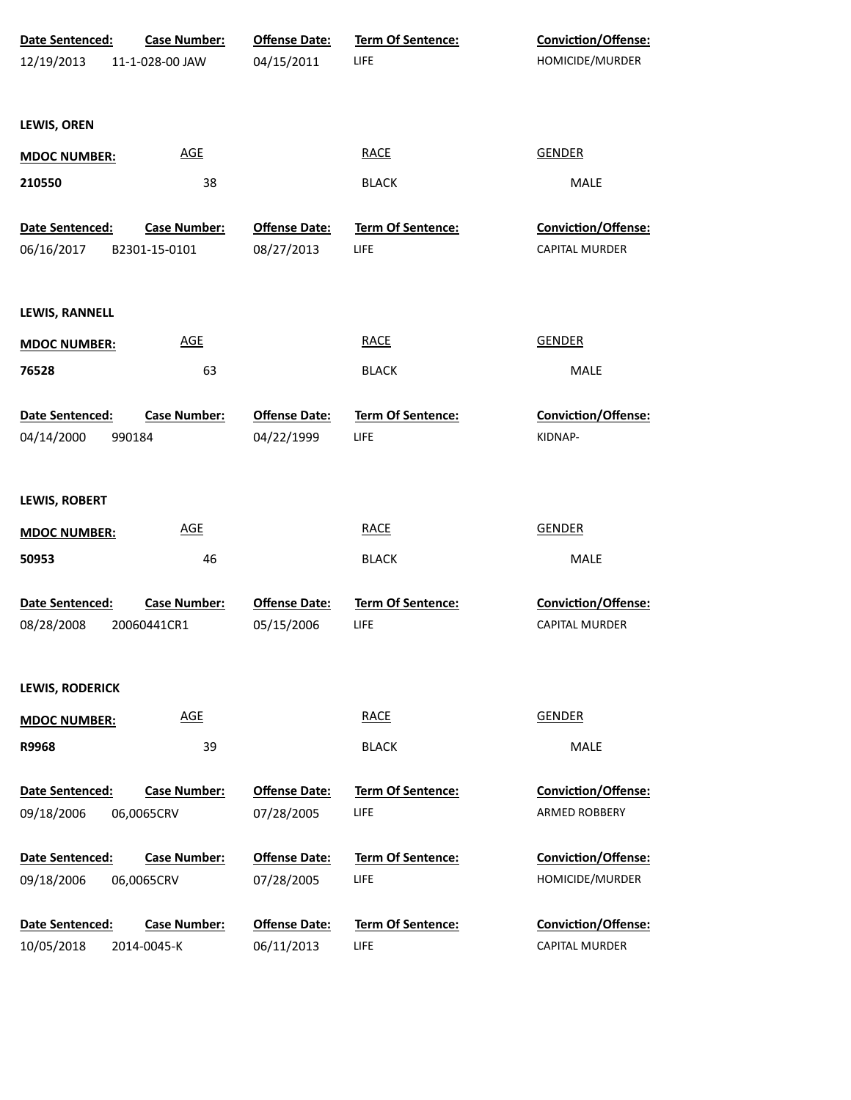| Date Sentenced:<br>12/19/2013 | <b>Case Number:</b><br>11-1-028-00 JAW | <b>Offense Date:</b><br>04/15/2011 | <b>Term Of Sentence:</b><br>LIFE | <b>Conviction/Offense:</b><br>HOMICIDE/MURDER |
|-------------------------------|----------------------------------------|------------------------------------|----------------------------------|-----------------------------------------------|
|                               |                                        |                                    |                                  |                                               |
| LEWIS, OREN                   |                                        |                                    |                                  |                                               |
| <b>MDOC NUMBER:</b>           | <b>AGE</b>                             |                                    | <b>RACE</b>                      | <b>GENDER</b>                                 |
| 210550                        | 38                                     |                                    | <b>BLACK</b>                     | <b>MALE</b>                                   |
| Date Sentenced:               | <b>Case Number:</b>                    | <b>Offense Date:</b>               | Term Of Sentence:                | Conviction/Offense:                           |
| 06/16/2017                    | B2301-15-0101                          | 08/27/2013                         | LIFE                             | CAPITAL MURDER                                |
| LEWIS, RANNELL                |                                        |                                    |                                  |                                               |
| <b>MDOC NUMBER:</b>           | <b>AGE</b>                             |                                    | <b>RACE</b>                      | <b>GENDER</b>                                 |
| 76528                         | 63                                     |                                    | <b>BLACK</b>                     | <b>MALE</b>                                   |
| Date Sentenced:<br>04/14/2000 | <b>Case Number:</b><br>990184          | <b>Offense Date:</b><br>04/22/1999 | <b>Term Of Sentence:</b><br>LIFE | <b>Conviction/Offense:</b><br>KIDNAP-         |
| LEWIS, ROBERT                 |                                        |                                    |                                  |                                               |
| <b>MDOC NUMBER:</b>           | <b>AGE</b>                             |                                    | <b>RACE</b>                      | <b>GENDER</b>                                 |
| 50953                         | 46                                     |                                    | <b>BLACK</b>                     | MALE                                          |
| Date Sentenced:               | <b>Case Number:</b>                    | <b>Offense Date:</b>               | Term Of Sentence:                | Conviction/Offense:                           |
| 08/28/2008                    | 20060441CR1                            | 05/15/2006                         | LIFE                             | CAPITAL MURDER                                |
| <b>LEWIS, RODERICK</b>        |                                        |                                    |                                  |                                               |
| <b>MDOC NUMBER:</b>           | <b>AGE</b>                             |                                    | <b>RACE</b>                      | <b>GENDER</b>                                 |
| R9968                         | 39                                     |                                    | <b>BLACK</b>                     | MALE                                          |
| Date Sentenced:               | <b>Case Number:</b>                    | <b>Offense Date:</b>               | <b>Term Of Sentence:</b>         | <b>Conviction/Offense:</b>                    |
| 09/18/2006                    | 06,0065CRV                             | 07/28/2005                         | LIFE                             | ARMED ROBBERY                                 |
| Date Sentenced:               | <b>Case Number:</b>                    | <b>Offense Date:</b>               | <b>Term Of Sentence:</b>         | <b>Conviction/Offense:</b>                    |
| 09/18/2006                    | 06,0065CRV                             | 07/28/2005                         | LIFE                             | HOMICIDE/MURDER                               |
| Date Sentenced:               | <b>Case Number:</b>                    | <b>Offense Date:</b>               | <b>Term Of Sentence:</b>         | <b>Conviction/Offense:</b>                    |
| 10/05/2018                    | 2014-0045-K                            | 06/11/2013                         | LIFE                             | <b>CAPITAL MURDER</b>                         |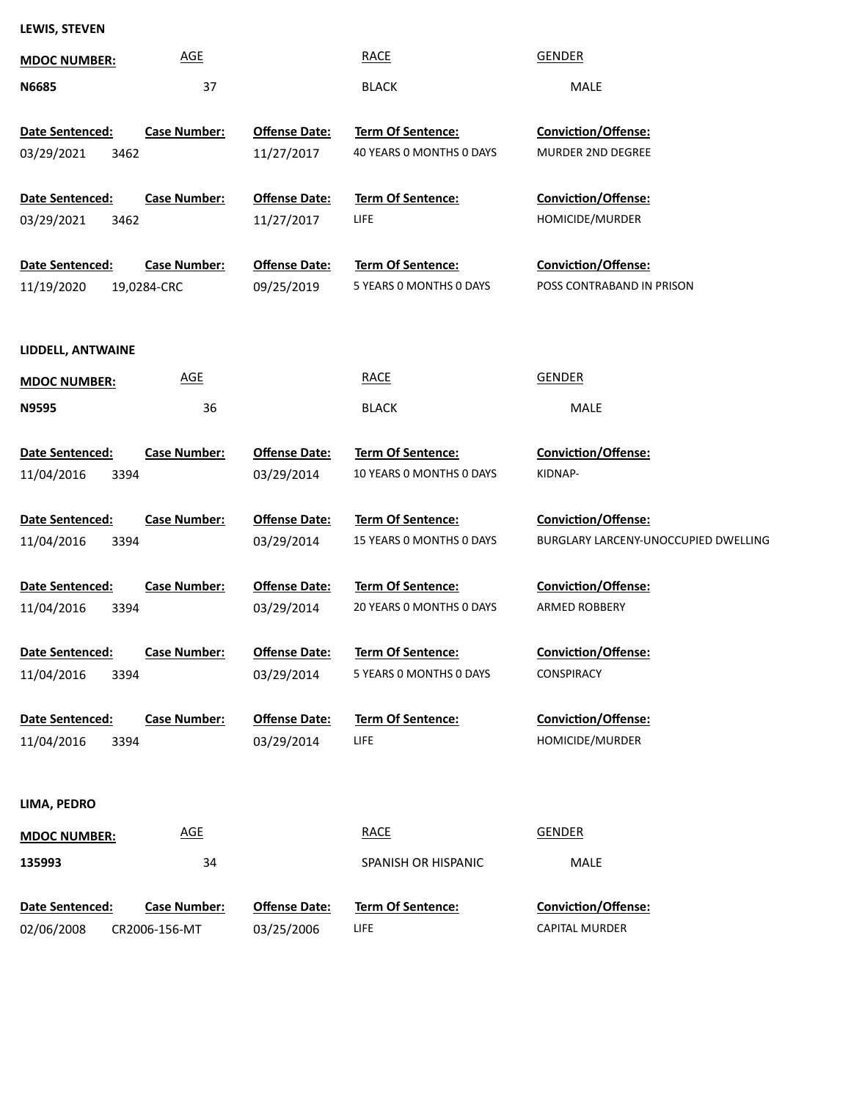## **LEWIS, STEVEN**

| <b>MDOC NUMBER:</b>                   | <b>AGE</b>                           |                                    | <b>RACE</b>                                   | <b>GENDER</b>                                               |
|---------------------------------------|--------------------------------------|------------------------------------|-----------------------------------------------|-------------------------------------------------------------|
| <b>N6685</b>                          | 37                                   |                                    | <b>BLACK</b>                                  | MALE                                                        |
| Date Sentenced:<br>03/29/2021<br>3462 | <b>Case Number:</b>                  | <b>Offense Date:</b><br>11/27/2017 | Term Of Sentence:<br>40 YEARS 0 MONTHS 0 DAYS | Conviction/Offense:<br>MURDER 2ND DEGREE                    |
| Date Sentenced:<br>03/29/2021<br>3462 | <b>Case Number:</b>                  | <b>Offense Date:</b><br>11/27/2017 | <b>Term Of Sentence:</b><br>LIFE              | Conviction/Offense:<br>HOMICIDE/MURDER                      |
| Date Sentenced:<br>11/19/2020         | <b>Case Number:</b><br>19,0284-CRC   | <b>Offense Date:</b><br>09/25/2019 | Term Of Sentence:<br>5 YEARS O MONTHS O DAYS  | Conviction/Offense:<br>POSS CONTRABAND IN PRISON            |
| LIDDELL, ANTWAINE                     |                                      |                                    |                                               |                                                             |
| <b>MDOC NUMBER:</b>                   | <b>AGE</b>                           |                                    | <b>RACE</b>                                   | <b>GENDER</b>                                               |
| <b>N9595</b>                          | 36                                   |                                    | <b>BLACK</b>                                  | MALE                                                        |
|                                       |                                      |                                    |                                               |                                                             |
| Date Sentenced:<br>11/04/2016<br>3394 | <b>Case Number:</b>                  | <b>Offense Date:</b><br>03/29/2014 | Term Of Sentence:<br>10 YEARS 0 MONTHS 0 DAYS | Conviction/Offense:<br>KIDNAP-                              |
|                                       |                                      |                                    |                                               |                                                             |
| Date Sentenced:                       | <b>Case Number:</b>                  | <b>Offense Date:</b>               | Term Of Sentence:<br>15 YEARS 0 MONTHS 0 DAYS | Conviction/Offense:<br>BURGLARY LARCENY-UNOCCUPIED DWELLING |
| 11/04/2016<br>3394                    |                                      | 03/29/2014                         |                                               |                                                             |
| Date Sentenced:                       | <b>Case Number:</b>                  | <b>Offense Date:</b>               | Term Of Sentence:                             | Conviction/Offense:                                         |
| 11/04/2016<br>3394                    |                                      | 03/29/2014                         | 20 YEARS 0 MONTHS 0 DAYS                      | ARMED ROBBERY                                               |
| <b>Date Sentenced:</b>                | <b>Case Number:</b>                  | <b>Offense Date:</b>               | Term Of Sentence:                             | Conviction/Offense:                                         |
| 11/04/2016<br>3394                    |                                      | 03/29/2014                         | 5 YEARS O MONTHS O DAYS                       | CONSPIRACY                                                  |
| Date Sentenced:<br>11/04/2016<br>3394 | <b>Case Number:</b>                  | <b>Offense Date:</b><br>03/29/2014 | <b>Term Of Sentence:</b><br>LIFE              | Conviction/Offense:<br>HOMICIDE/MURDER                      |
|                                       |                                      |                                    |                                               |                                                             |
| LIMA, PEDRO                           |                                      |                                    |                                               |                                                             |
| <b>MDOC NUMBER:</b>                   | <b>AGE</b>                           |                                    | <b>RACE</b>                                   | <b>GENDER</b>                                               |
| 135993                                | 34                                   |                                    | SPANISH OR HISPANIC                           | MALE                                                        |
|                                       |                                      |                                    | <b>Term Of Sentence:</b>                      | Conviction/Offense:                                         |
| Date Sentenced:<br>02/06/2008         | <b>Case Number:</b><br>CR2006-156-MT | <b>Offense Date:</b><br>03/25/2006 | LIFE                                          | <b>CAPITAL MURDER</b>                                       |
|                                       |                                      |                                    |                                               |                                                             |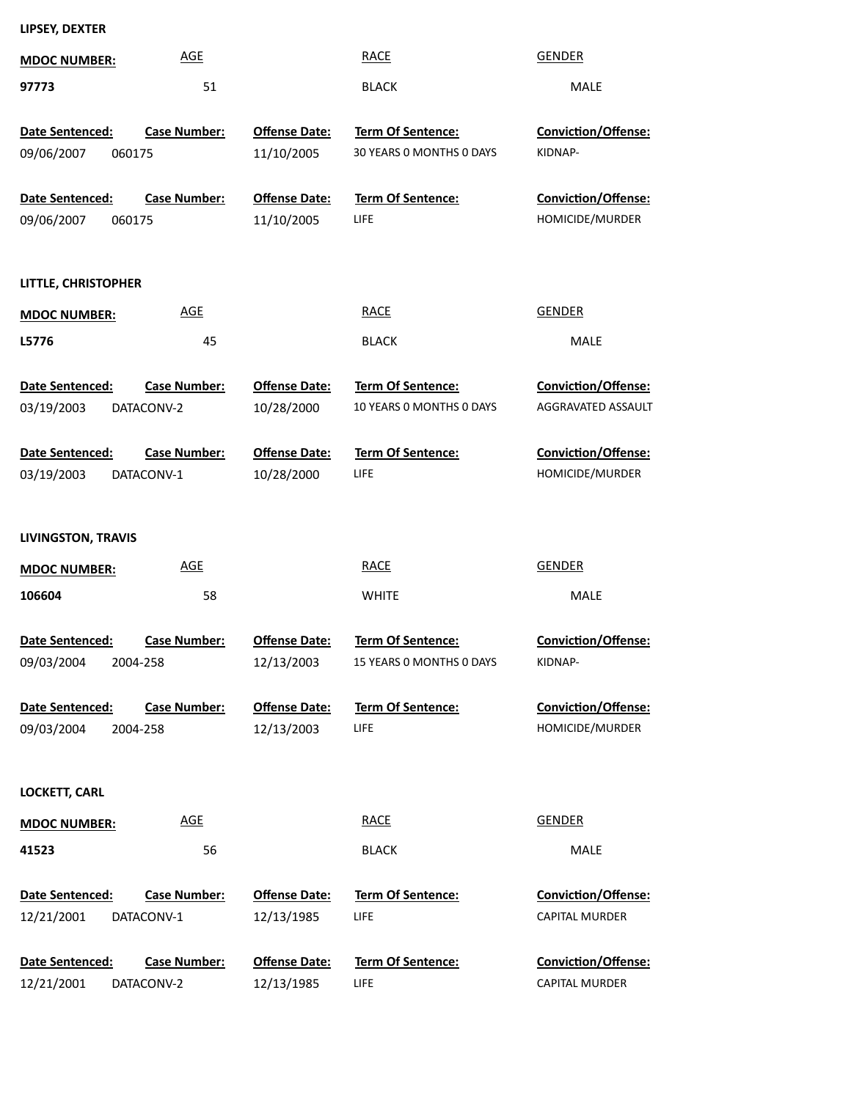| LIPSEY, DEXTER |  |
|----------------|--|
|----------------|--|

| <b>MDOC NUMBER:</b>                     | <b>AGE</b>                        |                                    | <b>RACE</b>                                          | <b>GENDER</b>                                    |
|-----------------------------------------|-----------------------------------|------------------------------------|------------------------------------------------------|--------------------------------------------------|
| 97773                                   | 51                                |                                    | <b>BLACK</b>                                         | MALE                                             |
| Date Sentenced:<br>09/06/2007<br>060175 | <b>Case Number:</b>               | <b>Offense Date:</b><br>11/10/2005 | Term Of Sentence:<br>30 YEARS 0 MONTHS 0 DAYS        | <b>Conviction/Offense:</b><br>KIDNAP-            |
| Date Sentenced:<br>09/06/2007<br>060175 | <b>Case Number:</b>               | <b>Offense Date:</b><br>11/10/2005 | <b>Term Of Sentence:</b><br><b>LIFE</b>              | Conviction/Offense:<br>HOMICIDE/MURDER           |
| LITTLE, CHRISTOPHER                     |                                   |                                    |                                                      |                                                  |
| <b>MDOC NUMBER:</b>                     | <b>AGE</b>                        |                                    | <b>RACE</b>                                          | <b>GENDER</b>                                    |
| L5776                                   | 45                                |                                    | <b>BLACK</b>                                         | <b>MALE</b>                                      |
| Date Sentenced:<br>03/19/2003           | <b>Case Number:</b><br>DATACONV-2 | <b>Offense Date:</b><br>10/28/2000 | <b>Term Of Sentence:</b><br>10 YEARS 0 MONTHS 0 DAYS | <b>Conviction/Offense:</b><br>AGGRAVATED ASSAULT |
| Date Sentenced:<br>03/19/2003           | <b>Case Number:</b><br>DATACONV-1 | <b>Offense Date:</b><br>10/28/2000 | <b>Term Of Sentence:</b><br>LIFE                     | <b>Conviction/Offense:</b><br>HOMICIDE/MURDER    |
| <b>LIVINGSTON, TRAVIS</b>               |                                   |                                    |                                                      |                                                  |
| <b>MDOC NUMBER:</b>                     | <b>AGE</b>                        |                                    | <b>RACE</b>                                          | <b>GENDER</b>                                    |
| 106604                                  | 58                                |                                    | <b>WHITE</b>                                         | <b>MALE</b>                                      |
| Date Sentenced:<br>09/03/2004 2004-258  | <b>Case Number:</b>               | <b>Offense Date:</b><br>12/13/2003 | Term Of Sentence:<br>15 YEARS 0 MONTHS 0 DAYS        | <b>Conviction/Offense:</b><br>KIDNAP-            |
| Date Sentenced:<br>09/03/2004           | <b>Case Number:</b><br>2004-258   | <b>Offense Date:</b><br>12/13/2003 | Term Of Sentence:<br><b>LIFE</b>                     | Conviction/Offense:<br>HOMICIDE/MURDER           |
| <b>LOCKETT, CARL</b>                    |                                   |                                    |                                                      |                                                  |
| <b>MDOC NUMBER:</b>                     |                                   |                                    |                                                      |                                                  |
|                                         | <b>AGE</b>                        |                                    | <b>RACE</b>                                          | <b>GENDER</b>                                    |
| 41523                                   | 56                                |                                    | <b>BLACK</b>                                         | MALE                                             |
| Date Sentenced:<br>12/21/2001           | <b>Case Number:</b><br>DATACONV-1 | <b>Offense Date:</b><br>12/13/1985 | <b>Term Of Sentence:</b><br><b>LIFE</b>              | <b>Conviction/Offense:</b><br>CAPITAL MURDER     |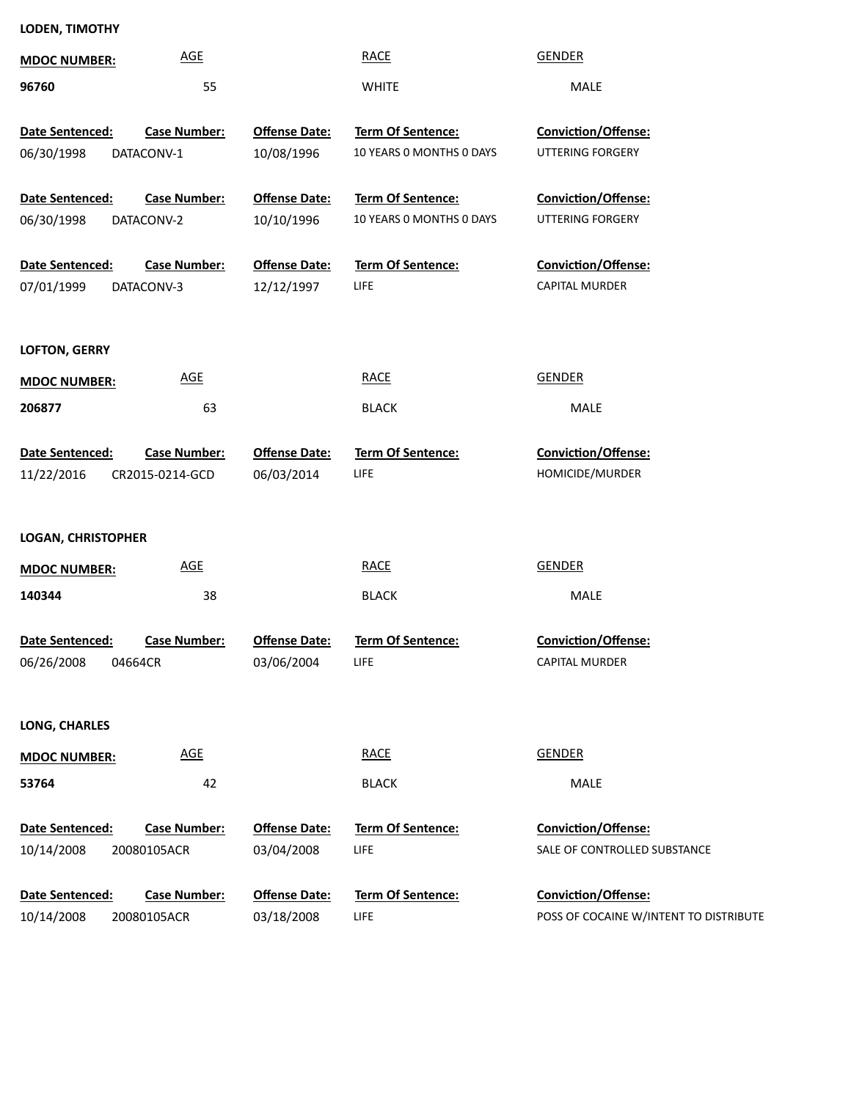## **LODEN, TIMOTHY**

| <b>AGE</b><br><b>MDOC NUMBER:</b>      |                      | <b>RACE</b>              | <b>GENDER</b>                          |
|----------------------------------------|----------------------|--------------------------|----------------------------------------|
| 55<br>96760                            |                      | <b>WHITE</b>             | <b>MALE</b>                            |
|                                        |                      |                          |                                        |
| Date Sentenced:<br><b>Case Number:</b> | <b>Offense Date:</b> | Term Of Sentence:        | Conviction/Offense:                    |
| 06/30/1998<br>DATACONV-1               | 10/08/1996           | 10 YEARS O MONTHS O DAYS | UTTERING FORGERY                       |
|                                        |                      |                          |                                        |
| Date Sentenced:<br><b>Case Number:</b> | <b>Offense Date:</b> | Term Of Sentence:        | Conviction/Offense:                    |
| 06/30/1998<br>DATACONV-2               | 10/10/1996           | 10 YEARS O MONTHS O DAYS | UTTERING FORGERY                       |
| Date Sentenced:<br><b>Case Number:</b> | <b>Offense Date:</b> | Term Of Sentence:        | Conviction/Offense:                    |
| 07/01/1999<br>DATACONV-3               | 12/12/1997           | LIFE                     | CAPITAL MURDER                         |
|                                        |                      |                          |                                        |
| <b>LOFTON, GERRY</b>                   |                      |                          |                                        |
|                                        |                      |                          |                                        |
| <b>AGE</b><br><b>MDOC NUMBER:</b>      |                      | <b>RACE</b>              | <b>GENDER</b>                          |
| 206877<br>63                           |                      | <b>BLACK</b>             | MALE                                   |
| Date Sentenced:<br><b>Case Number:</b> | <b>Offense Date:</b> | Term Of Sentence:        | Conviction/Offense:                    |
|                                        |                      | LIFE                     | HOMICIDE/MURDER                        |
| 11/22/2016<br>CR2015-0214-GCD          | 06/03/2014           |                          |                                        |
|                                        |                      |                          |                                        |
| <b>LOGAN, CHRISTOPHER</b>              |                      |                          |                                        |
| <b>AGE</b><br><b>MDOC NUMBER:</b>      |                      | <b>RACE</b>              | <b>GENDER</b>                          |
| 38<br>140344                           |                      | <b>BLACK</b>             | MALE                                   |
|                                        |                      |                          |                                        |
| Date Sentenced:<br><b>Case Number:</b> | <b>Offense Date:</b> | Term Of Sentence:        | Conviction/Offense:                    |
| 06/26/2008<br>04664CR                  | 03/06/2004           | LIFE                     | <b>CAPITAL MURDER</b>                  |
|                                        |                      |                          |                                        |
| <b>LONG, CHARLES</b>                   |                      |                          |                                        |
| <b>AGE</b><br><b>MDOC NUMBER:</b>      |                      | <b>RACE</b>              | <b>GENDER</b>                          |
| 53764<br>42                            |                      | <b>BLACK</b>             | MALE                                   |
|                                        | <b>Offense Date:</b> |                          |                                        |
| <b>Case Number:</b><br>Date Sentenced: |                      | <b>Term Of Sentence:</b> | Conviction/Offense:                    |
| 10/14/2008<br>20080105ACR              | 03/04/2008           | LIFE                     | SALE OF CONTROLLED SUBSTANCE           |
| <b>Case Number:</b><br>Date Sentenced: | <b>Offense Date:</b> | <b>Term Of Sentence:</b> | Conviction/Offense:                    |
| 10/14/2008<br>20080105ACR              | 03/18/2008           | <b>LIFE</b>              | POSS OF COCAINE W/INTENT TO DISTRIBUTE |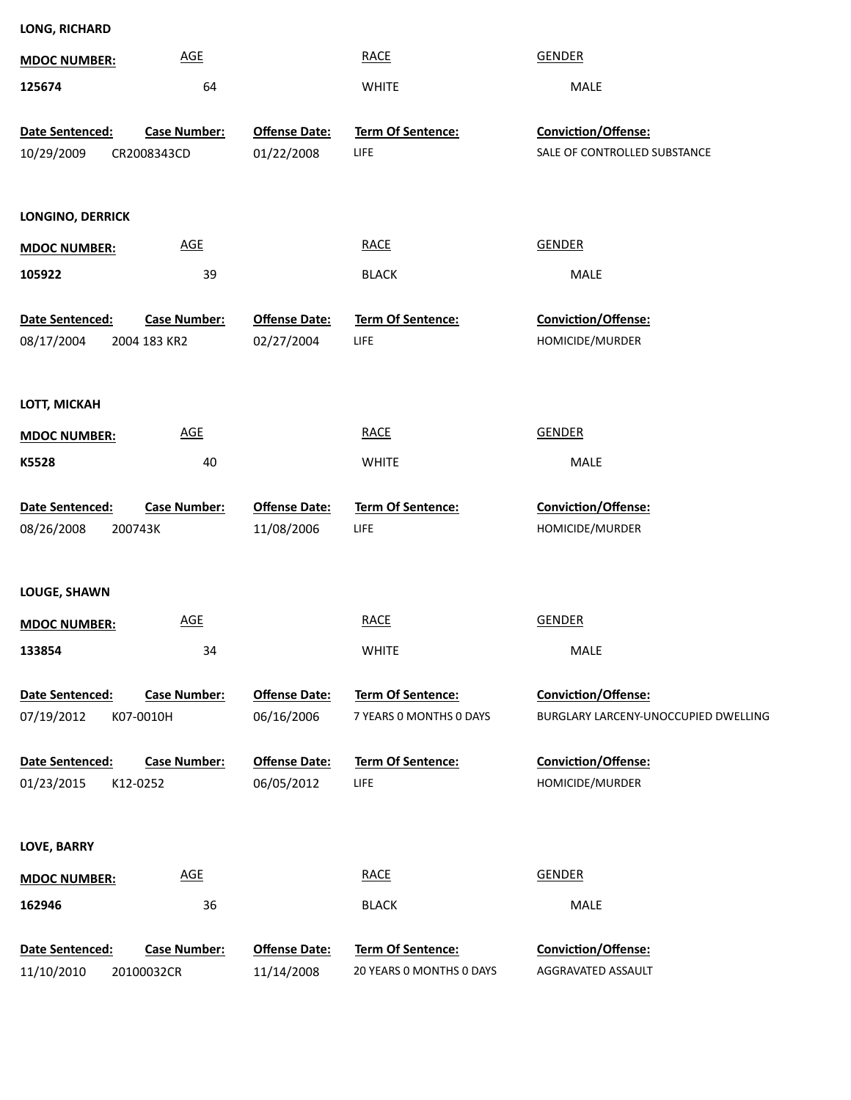| LONG, RICHARD         |                            |                      |                          |                                      |
|-----------------------|----------------------------|----------------------|--------------------------|--------------------------------------|
| <b>MDOC NUMBER:</b>   | <b>AGE</b>                 |                      | <b>RACE</b>              | <b>GENDER</b>                        |
| 125674                | 64                         |                      | <b>WHITE</b>             | MALE                                 |
|                       |                            |                      |                          | Conviction/Offense:                  |
| Date Sentenced:       | <b>Case Number:</b>        | <b>Offense Date:</b> | Term Of Sentence:        |                                      |
| 10/29/2009            | CR2008343CD                | 01/22/2008           | LIFE                     | SALE OF CONTROLLED SUBSTANCE         |
|                       |                            |                      |                          |                                      |
| LONGINO, DERRICK      |                            |                      |                          |                                      |
| <b>MDOC NUMBER:</b>   | $\underline{\mathsf{AGE}}$ |                      | <b>RACE</b>              | <b>GENDER</b>                        |
| 105922                | 39                         |                      | <b>BLACK</b>             | MALE                                 |
| Date Sentenced:       | <b>Case Number:</b>        | <b>Offense Date:</b> | Term Of Sentence:        | Conviction/Offense:                  |
| 08/17/2004            | 2004 183 KR2               | 02/27/2004           | LIFE                     | HOMICIDE/MURDER                      |
|                       |                            |                      |                          |                                      |
| LOTT, MICKAH          |                            |                      |                          |                                      |
| <b>MDOC NUMBER:</b>   | <b>AGE</b>                 |                      | <b>RACE</b>              | <b>GENDER</b>                        |
| K5528                 | 40                         |                      | <b>WHITE</b>             | MALE                                 |
|                       |                            |                      |                          |                                      |
| Date Sentenced:       | <b>Case Number:</b>        | <b>Offense Date:</b> | Term Of Sentence:        | Conviction/Offense:                  |
| 08/26/2008<br>200743K |                            | 11/08/2006           | LIFE                     | HOMICIDE/MURDER                      |
|                       |                            |                      |                          |                                      |
| LOUGE, SHAWN          |                            |                      |                          |                                      |
| <b>MDOC NUMBER:</b>   | $\underline{\mathsf{AGE}}$ |                      | <b>RACE</b>              | <b>GENDER</b>                        |
| 133854                | 34                         |                      | <b>WHITE</b>             | MALE                                 |
| Date Sentenced:       | <b>Case Number:</b>        | <b>Offense Date:</b> | Term Of Sentence:        | Conviction/Offense:                  |
| 07/19/2012            | K07-0010H                  | 06/16/2006           | 7 YEARS O MONTHS O DAYS  | BURGLARY LARCENY-UNOCCUPIED DWELLING |
|                       |                            |                      |                          |                                      |
| Date Sentenced:       | <b>Case Number:</b>        | <b>Offense Date:</b> | Term Of Sentence:        | Conviction/Offense:                  |
| 01/23/2015            | K12-0252                   | 06/05/2012           | LIFE                     | HOMICIDE/MURDER                      |
|                       |                            |                      |                          |                                      |
| <b>LOVE, BARRY</b>    |                            |                      |                          |                                      |
| <b>MDOC NUMBER:</b>   | <b>AGE</b>                 |                      | <b>RACE</b>              | <b>GENDER</b>                        |
| 162946                | 36                         |                      | <b>BLACK</b>             | MALE                                 |
| Date Sentenced:       | <b>Case Number:</b>        | <b>Offense Date:</b> | Term Of Sentence:        | Conviction/Offense:                  |
| 11/10/2010            | 20100032CR                 | 11/14/2008           | 20 YEARS 0 MONTHS 0 DAYS | AGGRAVATED ASSAULT                   |
|                       |                            |                      |                          |                                      |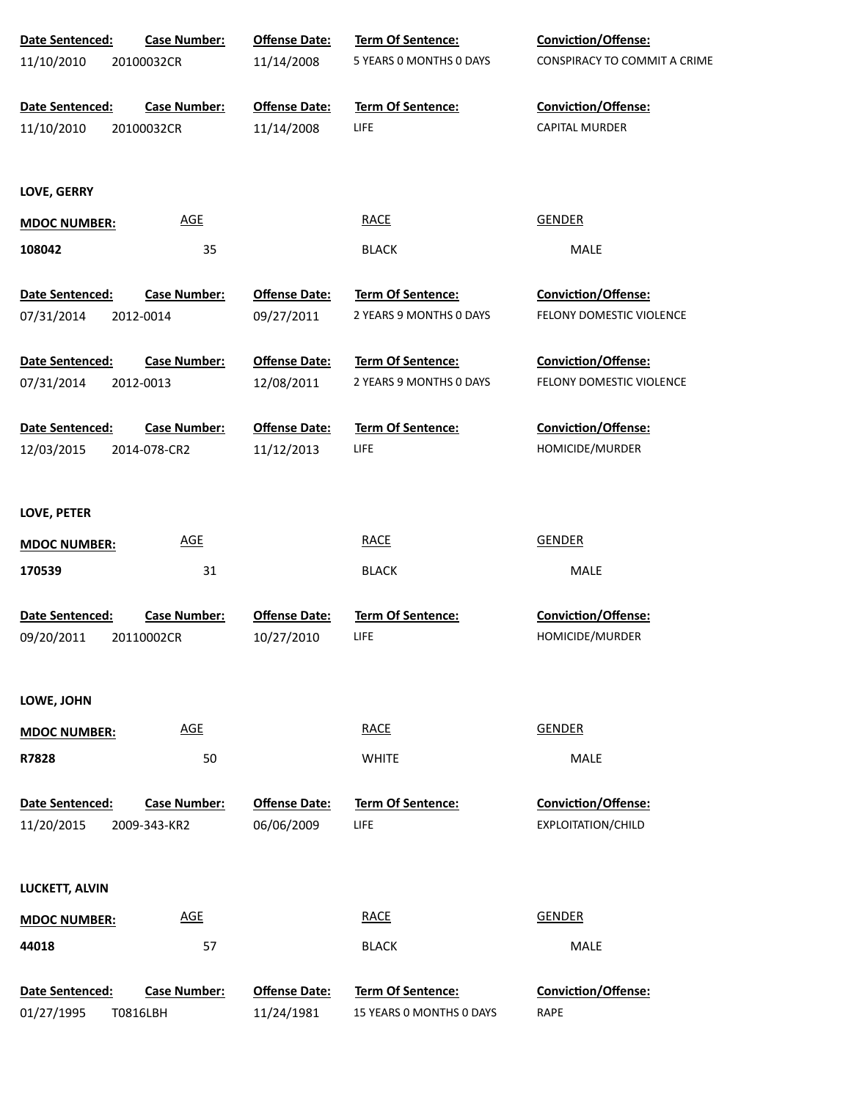| Date Sentenced:        | <b>Case Number:</b> | <b>Offense Date:</b> | Term Of Sentence:        | Conviction/Offense:          |
|------------------------|---------------------|----------------------|--------------------------|------------------------------|
| 11/10/2010             | 20100032CR          | 11/14/2008           | 5 YEARS O MONTHS O DAYS  | CONSPIRACY TO COMMIT A CRIME |
| Date Sentenced:        | <b>Case Number:</b> | <b>Offense Date:</b> | Term Of Sentence:        | Conviction/Offense:          |
| 11/10/2010             | 20100032CR          | 11/14/2008           | LIFE                     | <b>CAPITAL MURDER</b>        |
| LOVE, GERRY            |                     |                      |                          |                              |
| <b>MDOC NUMBER:</b>    | <b>AGE</b>          |                      | <b>RACE</b>              | <b>GENDER</b>                |
| 108042                 | 35                  |                      | <b>BLACK</b>             | MALE                         |
| Date Sentenced:        | <b>Case Number:</b> | <b>Offense Date:</b> | Term Of Sentence:        | <b>Conviction/Offense:</b>   |
| 07/31/2014             | 2012-0014           | 09/27/2011           | 2 YEARS 9 MONTHS 0 DAYS  | FELONY DOMESTIC VIOLENCE     |
| Date Sentenced:        | <b>Case Number:</b> | <b>Offense Date:</b> | Term Of Sentence:        | <b>Conviction/Offense:</b>   |
| 07/31/2014             | 2012-0013           | 12/08/2011           | 2 YEARS 9 MONTHS 0 DAYS  | FELONY DOMESTIC VIOLENCE     |
| Date Sentenced:        | <b>Case Number:</b> | <b>Offense Date:</b> | <b>Term Of Sentence:</b> | <b>Conviction/Offense:</b>   |
| 12/03/2015             | 2014-078-CR2        | 11/12/2013           | LIFE                     | HOMICIDE/MURDER              |
| LOVE, PETER            |                     |                      |                          |                              |
| <b>MDOC NUMBER:</b>    | <u>AGE</u>          |                      | <b>RACE</b>              | <b>GENDER</b>                |
| 170539                 | 31                  |                      | <b>BLACK</b>             | MALE                         |
| <b>Date Sentenced:</b> | <b>Case Number:</b> | <b>Offense Date:</b> | <b>Term Of Sentence:</b> | Conviction/Offense:          |
| 09/20/2011             | 20110002CR          | 10/27/2010           | LIFE                     | HOMICIDE/MURDER              |
| LOWE, JOHN             |                     |                      |                          |                              |
| <b>MDOC NUMBER:</b>    | <b>AGE</b>          |                      | <b>RACE</b>              | <b>GENDER</b>                |
| R7828                  | 50                  |                      | <b>WHITE</b>             | MALE                         |
| <b>Date Sentenced:</b> | <b>Case Number:</b> | <b>Offense Date:</b> | <b>Term Of Sentence:</b> | <b>Conviction/Offense:</b>   |
| 11/20/2015             | 2009-343-KR2        | 06/06/2009           | LIFE                     | <b>EXPLOITATION/CHILD</b>    |
| LUCKETT, ALVIN         |                     |                      |                          |                              |
| <b>MDOC NUMBER:</b>    | <b>AGE</b>          |                      | <b>RACE</b>              | <b>GENDER</b>                |
| 44018                  | 57                  |                      | <b>BLACK</b>             | MALE                         |
| Date Sentenced:        | <b>Case Number:</b> | <b>Offense Date:</b> | <b>Term Of Sentence:</b> | Conviction/Offense:          |
| 01/27/1995             | T0816LBH            | 11/24/1981           | 15 YEARS 0 MONTHS 0 DAYS | <b>RAPE</b>                  |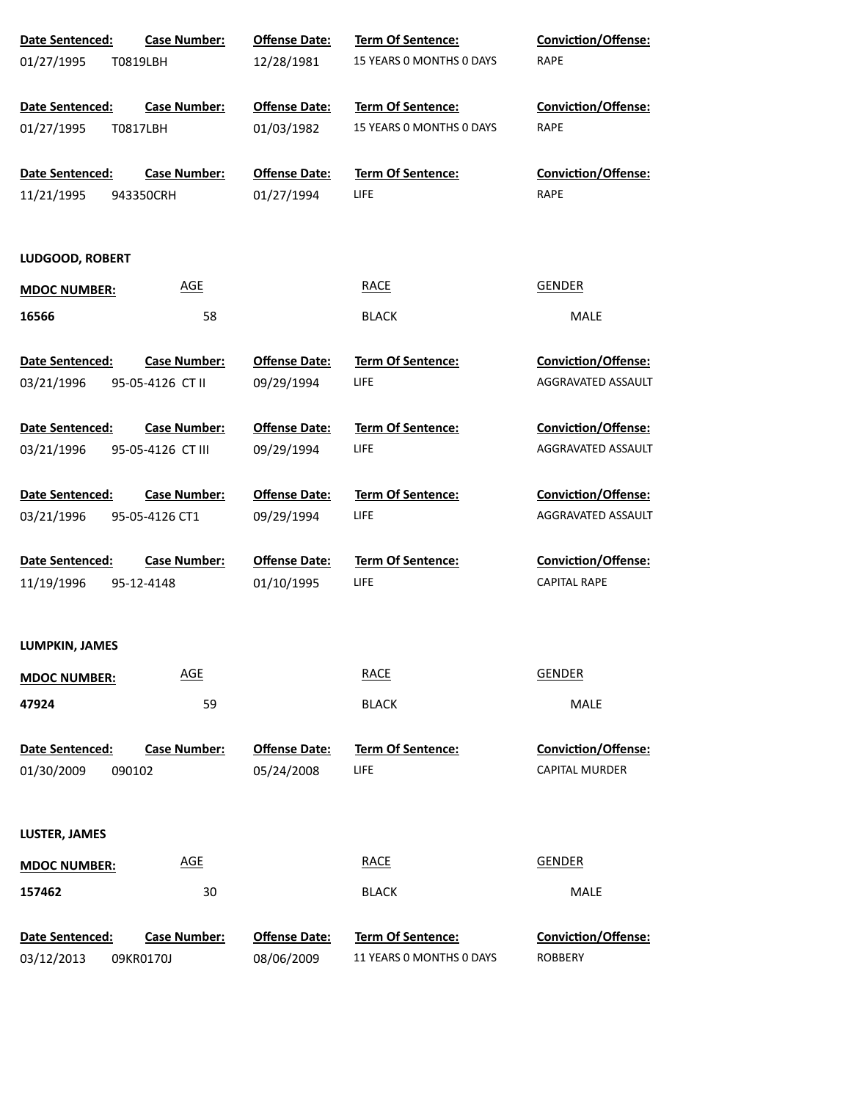| Date Sentenced:     | <b>Case Number:</b> | <b>Offense Date:</b> | Term Of Sentence:        | <b>Conviction/Offense:</b> |
|---------------------|---------------------|----------------------|--------------------------|----------------------------|
| 01/27/1995          | T0819LBH            | 12/28/1981           | 15 YEARS 0 MONTHS 0 DAYS | <b>RAPE</b>                |
| Date Sentenced:     | <b>Case Number:</b> | <b>Offense Date:</b> | Term Of Sentence:        | <b>Conviction/Offense:</b> |
| 01/27/1995          | T0817LBH            | 01/03/1982           | 15 YEARS 0 MONTHS 0 DAYS | RAPE                       |
| Date Sentenced:     | <b>Case Number:</b> | <b>Offense Date:</b> | Term Of Sentence:        | <b>Conviction/Offense:</b> |
| 11/21/1995          | 943350CRH           | 01/27/1994           | <b>LIFE</b>              | RAPE                       |
| LUDGOOD, ROBERT     |                     |                      |                          |                            |
| <b>MDOC NUMBER:</b> | <b>AGE</b>          |                      | <b>RACE</b>              | <b>GENDER</b>              |
| 16566               | 58                  |                      | <b>BLACK</b>             | MALE                       |
| Date Sentenced:     | <b>Case Number:</b> | <b>Offense Date:</b> | <b>Term Of Sentence:</b> | <b>Conviction/Offense:</b> |
| 03/21/1996          | 95-05-4126 CT II    | 09/29/1994           | <b>LIFE</b>              | AGGRAVATED ASSAULT         |
| Date Sentenced:     | <b>Case Number:</b> | <b>Offense Date:</b> | <b>Term Of Sentence:</b> | <b>Conviction/Offense:</b> |
| 03/21/1996          | 95-05-4126 CT III   | 09/29/1994           | <b>LIFE</b>              | AGGRAVATED ASSAULT         |
| Date Sentenced:     | <b>Case Number:</b> | <b>Offense Date:</b> | <b>Term Of Sentence:</b> | <b>Conviction/Offense:</b> |
| 03/21/1996          | 95-05-4126 CT1      | 09/29/1994           | LIFE                     | AGGRAVATED ASSAULT         |
| Date Sentenced:     | <b>Case Number:</b> | <b>Offense Date:</b> | <b>Term Of Sentence:</b> | <b>Conviction/Offense:</b> |
| 11/19/1996          | 95-12-4148          | 01/10/1995           | LIFE                     | <b>CAPITAL RAPE</b>        |
| LUMPKIN, JAMES      |                     |                      |                          |                            |
| <b>MDOC NUMBER:</b> | <b>AGE</b>          |                      | <b>RACE</b>              | <b>GENDER</b>              |
| 47924               | 59                  |                      | <b>BLACK</b>             | MALE                       |
| Date Sentenced:     | <b>Case Number:</b> | <b>Offense Date:</b> | <b>Term Of Sentence:</b> | Conviction/Offense:        |
| 01/30/2009          | 090102              | 05/24/2008           | LIFE                     | <b>CAPITAL MURDER</b>      |
| LUSTER, JAMES       |                     |                      |                          |                            |
| <b>MDOC NUMBER:</b> | <b>AGE</b>          |                      | <b>RACE</b>              | <b>GENDER</b>              |
| 157462              | 30                  |                      | <b>BLACK</b>             | MALE                       |
| Date Sentenced:     | <b>Case Number:</b> | <b>Offense Date:</b> | Term Of Sentence:        | Conviction/Offense:        |
| 03/12/2013          | 09KR0170J           | 08/06/2009           | 11 YEARS 0 MONTHS 0 DAYS | ROBBERY                    |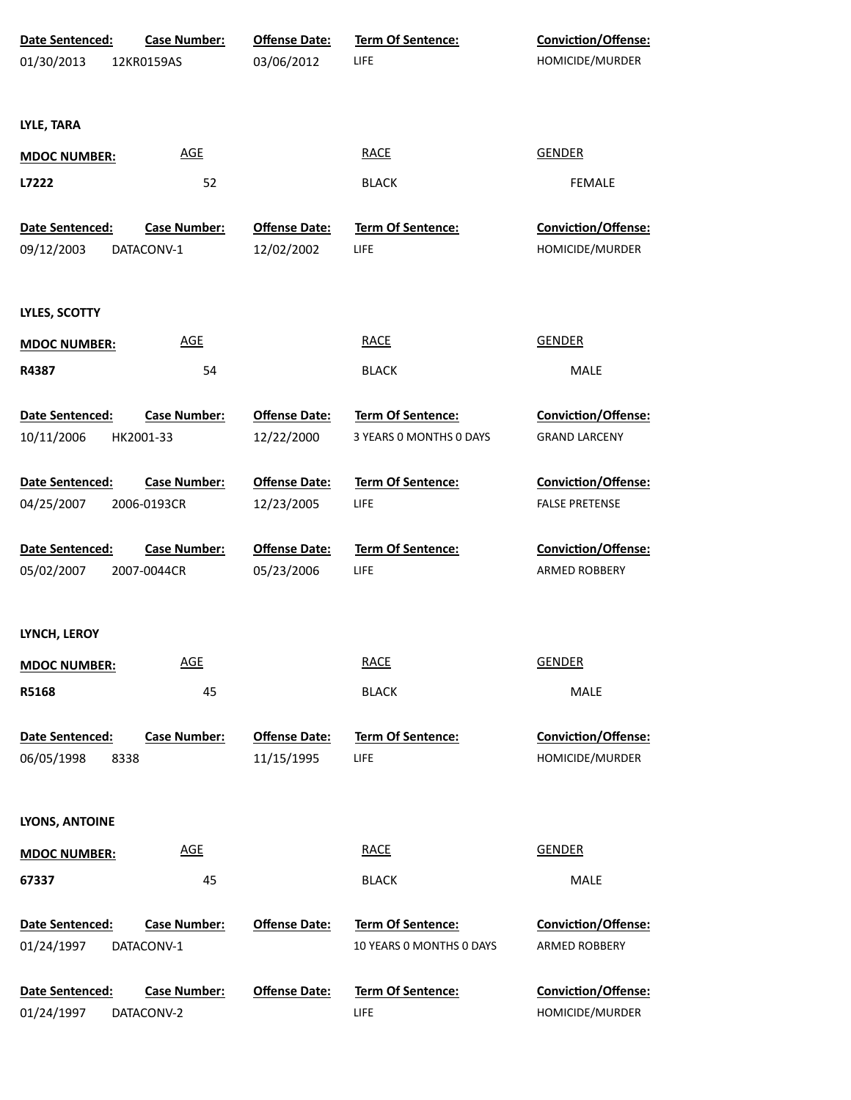| Date Sentenced:               | <b>Case Number:</b>         | <b>Offense Date:</b>               | Term Of Sentence:                | Conviction/Offense:                           |  |
|-------------------------------|-----------------------------|------------------------------------|----------------------------------|-----------------------------------------------|--|
| 01/30/2013                    | 12KR0159AS                  | 03/06/2012                         | LIFE                             | HOMICIDE/MURDER                               |  |
| LYLE, TARA                    |                             |                                    |                                  |                                               |  |
| <b>MDOC NUMBER:</b>           | <b>AGE</b>                  |                                    | <b>RACE</b>                      | <b>GENDER</b>                                 |  |
| L7222                         | 52                          |                                    | <b>BLACK</b>                     | <b>FEMALE</b>                                 |  |
| Date Sentenced:               | <b>Case Number:</b>         | <b>Offense Date:</b>               | <b>Term Of Sentence:</b>         | Conviction/Offense:                           |  |
| 09/12/2003                    | DATACONV-1                  | 12/02/2002                         | LIFE                             | HOMICIDE/MURDER                               |  |
| <b>LYLES, SCOTTY</b>          |                             |                                    |                                  |                                               |  |
| <b>MDOC NUMBER:</b>           | <b>AGE</b>                  |                                    | <b>RACE</b>                      | <b>GENDER</b>                                 |  |
| R4387                         | 54                          |                                    | <b>BLACK</b>                     | MALE                                          |  |
| Date Sentenced:               | <b>Case Number:</b>         | <b>Offense Date:</b>               | <b>Term Of Sentence:</b>         | <b>Conviction/Offense:</b>                    |  |
| 10/11/2006                    | HK2001-33                   | 12/22/2000                         | 3 YEARS 0 MONTHS 0 DAYS          | <b>GRAND LARCENY</b>                          |  |
| Date Sentenced:               | <b>Case Number:</b>         | <b>Offense Date:</b>               | <b>Term Of Sentence:</b>         | Conviction/Offense:                           |  |
| 04/25/2007                    | 2006-0193CR                 | 12/23/2005                         | LIFE                             | <b>FALSE PRETENSE</b>                         |  |
| Date Sentenced:               | <b>Case Number:</b>         | <b>Offense Date:</b>               | <b>Term Of Sentence:</b>         | Conviction/Offense:                           |  |
| 05/02/2007                    | 2007-0044CR                 | 05/23/2006                         | LIFE                             | ARMED ROBBERY                                 |  |
| LYNCH, LEROY                  |                             |                                    |                                  |                                               |  |
| <b>MDOC NUMBER:</b>           | <b>AGE</b>                  |                                    | <b>RACE</b>                      | <b>GENDER</b>                                 |  |
| R5168                         | 45                          |                                    | <b>BLACK</b>                     | <b>MALE</b>                                   |  |
| Date Sentenced:<br>06/05/1998 | <b>Case Number:</b><br>8338 | <b>Offense Date:</b><br>11/15/1995 | <b>Term Of Sentence:</b><br>LIFE | <b>Conviction/Offense:</b><br>HOMICIDE/MURDER |  |
|                               |                             |                                    |                                  |                                               |  |
| LYONS, ANTOINE                |                             |                                    |                                  |                                               |  |
| <b>MDOC NUMBER:</b>           | <b>AGE</b>                  |                                    | <b>RACE</b>                      | <b>GENDER</b>                                 |  |
| 67337                         | 45                          |                                    | <b>BLACK</b>                     | MALE                                          |  |
| Date Sentenced:               | <b>Case Number:</b>         | <b>Offense Date:</b>               | Term Of Sentence:                | <b>Conviction/Offense:</b>                    |  |
| 01/24/1997                    | DATACONV-1                  |                                    | 10 YEARS 0 MONTHS 0 DAYS         | ARMED ROBBERY                                 |  |
| Date Sentenced:               | <b>Case Number:</b>         | <b>Offense Date:</b>               | <b>Term Of Sentence:</b>         | <b>Conviction/Offense:</b>                    |  |
| 01/24/1997                    | DATACONV-2                  |                                    | LIFE                             | HOMICIDE/MURDER                               |  |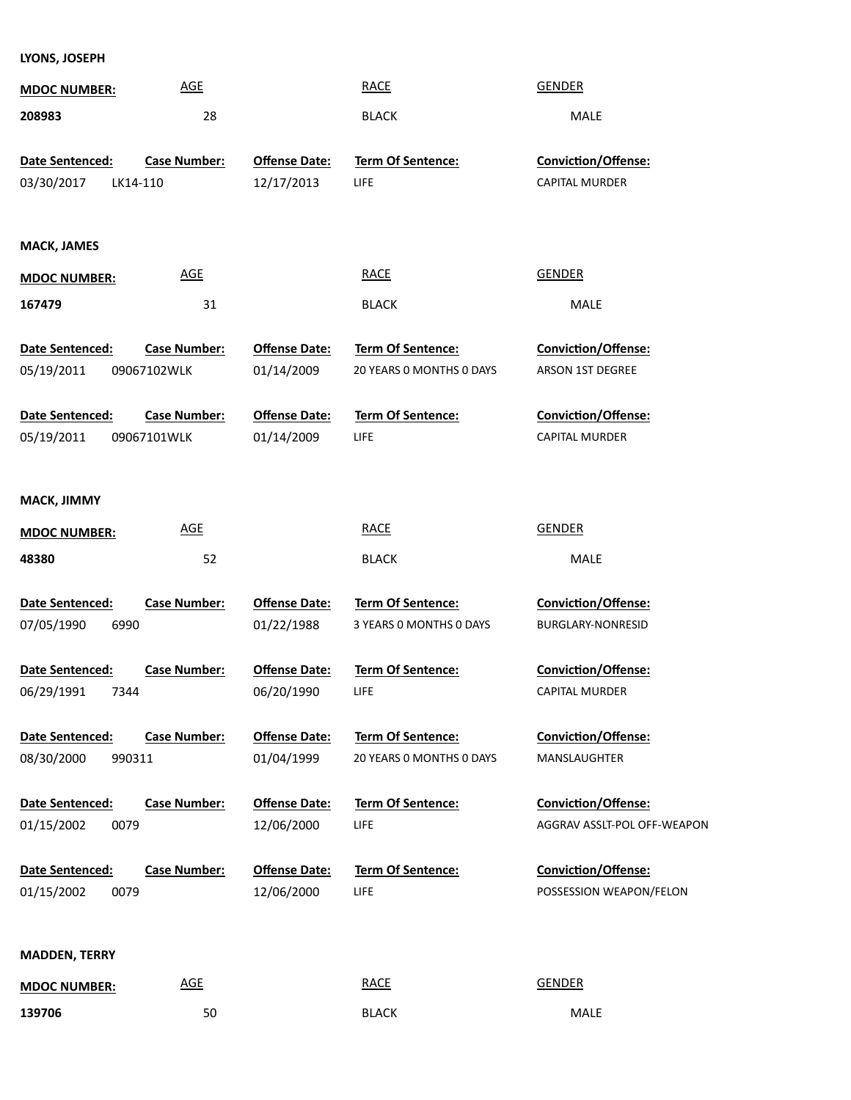**LYONS, JOSEPH**

| <b>MDOC NUMBER:</b>                            | <b>AGE</b>                         |                                    | <b>RACE</b>                                          | <b>GENDER</b>                                         |
|------------------------------------------------|------------------------------------|------------------------------------|------------------------------------------------------|-------------------------------------------------------|
| 208983                                         | 28                                 |                                    | <b>BLACK</b>                                         | MALE                                                  |
| Date Sentenced:<br>03/30/2017<br>LK14-110      | <b>Case Number:</b>                | <b>Offense Date:</b><br>12/17/2013 | Term Of Sentence:<br>LIFE                            | <b>Conviction/Offense:</b><br>CAPITAL MURDER          |
| <b>MACK, JAMES</b>                             |                                    |                                    |                                                      |                                                       |
| <b>MDOC NUMBER:</b>                            | <b>AGE</b>                         |                                    | <b>RACE</b>                                          | <b>GENDER</b>                                         |
| 167479                                         | 31                                 |                                    | <b>BLACK</b>                                         | MALE                                                  |
| Date Sentenced:<br>05/19/2011                  | <b>Case Number:</b><br>09067102WLK | <b>Offense Date:</b><br>01/14/2009 | Term Of Sentence:<br>20 YEARS 0 MONTHS 0 DAYS        | Conviction/Offense:<br>ARSON 1ST DEGREE               |
| Date Sentenced:                                | <b>Case Number:</b>                | <b>Offense Date:</b>               | Term Of Sentence:                                    | Conviction/Offense:                                   |
| 05/19/2011                                     | 09067101WLK                        | 01/14/2009                         | <b>LIFE</b>                                          | <b>CAPITAL MURDER</b>                                 |
| MACK, JIMMY                                    | <b>AGE</b>                         |                                    | <b>RACE</b>                                          | <b>GENDER</b>                                         |
| <b>MDOC NUMBER:</b><br>48380                   | 52                                 |                                    | <b>BLACK</b>                                         | MALE                                                  |
|                                                |                                    |                                    |                                                      |                                                       |
| Date Sentenced:<br>07/05/1990<br>6990          | <b>Case Number:</b>                | <b>Offense Date:</b><br>01/22/1988 | <b>Term Of Sentence:</b><br>3 YEARS 0 MONTHS 0 DAYS  | <b>Conviction/Offense:</b><br>BURGLARY-NONRESID       |
| <b>Date Sentenced:</b>                         | <b>Case Number:</b>                | <b>Offense Date:</b>               | <b>Term Of Sentence:</b>                             | <b>Conviction/Offense:</b>                            |
| 06/29/1991<br>7344                             |                                    | 06/20/1990                         | LIFE                                                 | <b>CAPITAL MURDER</b>                                 |
| <b>Date Sentenced:</b><br>08/30/2000<br>990311 | <b>Case Number:</b>                | <b>Offense Date:</b><br>01/04/1999 | <b>Term Of Sentence:</b><br>20 YEARS 0 MONTHS 0 DAYS | <b>Conviction/Offense:</b><br>MANSLAUGHTER            |
| Date Sentenced:                                | <b>Case Number:</b>                | <b>Offense Date:</b>               | <b>Term Of Sentence:</b>                             | Conviction/Offense:                                   |
| 01/15/2002<br>0079                             |                                    | 12/06/2000                         | LIFE                                                 | AGGRAV ASSLT-POL OFF-WEAPON                           |
| <b>Date Sentenced:</b><br>01/15/2002<br>0079   | <b>Case Number:</b>                | <b>Offense Date:</b><br>12/06/2000 | <b>Term Of Sentence:</b><br>LIFE                     | <b>Conviction/Offense:</b><br>POSSESSION WEAPON/FELON |
| <b>MADDEN, TERRY</b>                           |                                    |                                    |                                                      |                                                       |

| <b>MDOC NUMBER:</b> | <b>AGE</b> | <b>RACE</b><br><u>records and the contract of the contract of the contract of the contract of the contract of the contract of the contract of the contract of the contract of the contract of the contract of the contract of the contract of t</u> | GENDER      |
|---------------------|------------|-----------------------------------------------------------------------------------------------------------------------------------------------------------------------------------------------------------------------------------------------------|-------------|
| 139706              | 50         | <b>BLACK</b>                                                                                                                                                                                                                                        | <b>MALE</b> |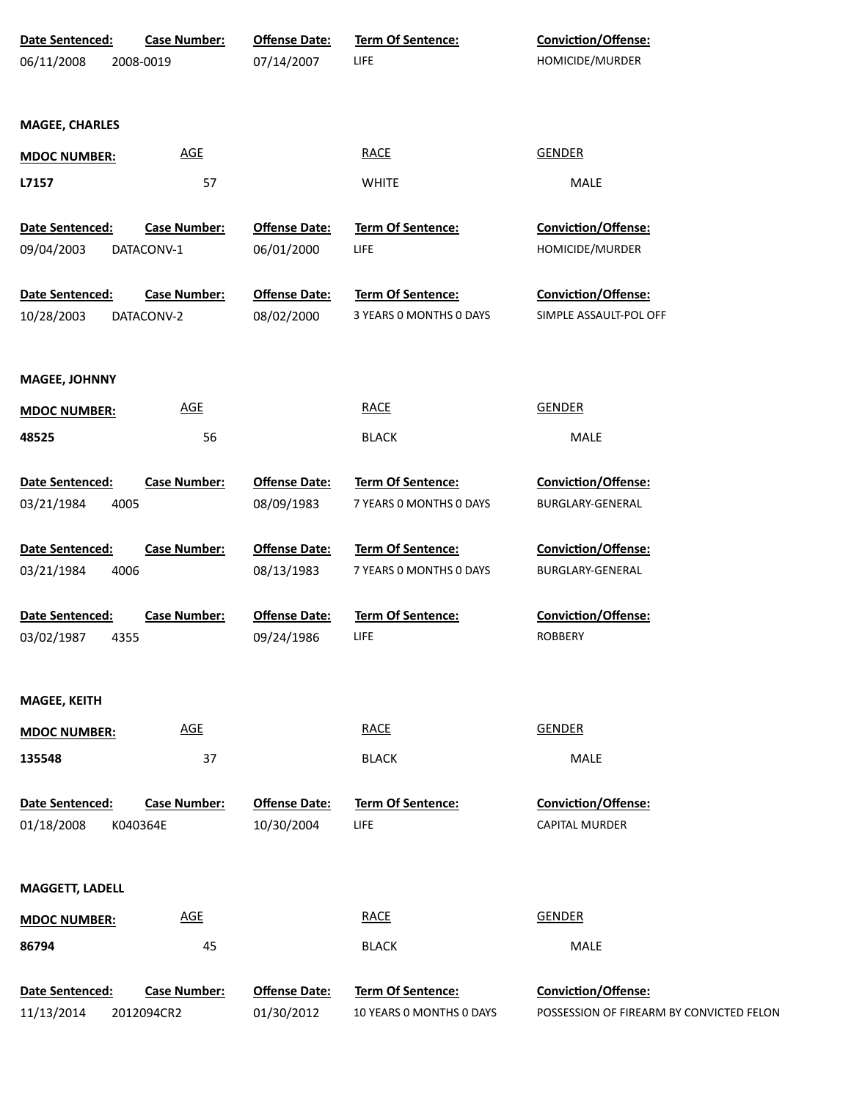| Date Sentenced:        | <b>Case Number:</b> | <b>Offense Date:</b> | <b>Term Of Sentence:</b>         | <b>Conviction/Offense:</b>                          |
|------------------------|---------------------|----------------------|----------------------------------|-----------------------------------------------------|
| 06/11/2008             | 2008-0019           | 07/14/2007           | LIFE                             | HOMICIDE/MURDER                                     |
|                        |                     |                      |                                  |                                                     |
|                        |                     |                      |                                  |                                                     |
| <b>MAGEE, CHARLES</b>  |                     |                      |                                  |                                                     |
| <b>MDOC NUMBER:</b>    | <b>AGE</b>          |                      | <b>RACE</b>                      | <b>GENDER</b>                                       |
| L7157                  | 57                  |                      | <b>WHITE</b>                     | <b>MALE</b>                                         |
|                        |                     |                      |                                  |                                                     |
| Date Sentenced:        | <b>Case Number:</b> | <b>Offense Date:</b> | Term Of Sentence:                | Conviction/Offense:                                 |
| 09/04/2003             | DATACONV-1          | 06/01/2000           | LIFE                             | HOMICIDE/MURDER                                     |
|                        |                     |                      |                                  |                                                     |
| Date Sentenced:        | <b>Case Number:</b> | <b>Offense Date:</b> | Term Of Sentence:                | Conviction/Offense:                                 |
| 10/28/2003             | DATACONV-2          | 08/02/2000           | 3 YEARS 0 MONTHS 0 DAYS          | SIMPLE ASSAULT-POL OFF                              |
|                        |                     |                      |                                  |                                                     |
|                        |                     |                      |                                  |                                                     |
| <b>MAGEE, JOHNNY</b>   |                     |                      |                                  |                                                     |
| <b>MDOC NUMBER:</b>    | <b>AGE</b>          |                      | <b>RACE</b>                      | <b>GENDER</b>                                       |
|                        |                     |                      |                                  |                                                     |
| 48525                  | 56                  |                      | <b>BLACK</b>                     | MALE                                                |
| Date Sentenced:        | <b>Case Number:</b> | <b>Offense Date:</b> | Term Of Sentence:                | Conviction/Offense:                                 |
| 03/21/1984<br>4005     |                     | 08/09/1983           | 7 YEARS 0 MONTHS 0 DAYS          | BURGLARY-GENERAL                                    |
|                        |                     |                      |                                  |                                                     |
| Date Sentenced:        | <b>Case Number:</b> | <b>Offense Date:</b> | <b>Term Of Sentence:</b>         | <b>Conviction/Offense:</b>                          |
| 4006<br>03/21/1984     |                     | 08/13/1983           | 7 YEARS 0 MONTHS 0 DAYS          | BURGLARY-GENERAL                                    |
|                        |                     |                      |                                  |                                                     |
| Date Sentenced:        | <b>Case Number:</b> | <b>Offense Date:</b> | Term Of Sentence:                | <b>Conviction/Offense:</b>                          |
| 4355<br>03/02/1987     |                     | 09/24/1986           | <b>LIFE</b>                      | <b>ROBBERY</b>                                      |
|                        |                     |                      |                                  |                                                     |
|                        |                     |                      |                                  |                                                     |
| <b>MAGEE, KEITH</b>    |                     |                      |                                  |                                                     |
| <b>MDOC NUMBER:</b>    | <b>AGE</b>          |                      | <b>RACE</b>                      | <b>GENDER</b>                                       |
|                        |                     |                      |                                  |                                                     |
| 135548                 | 37                  |                      | <b>BLACK</b>                     | MALE                                                |
|                        |                     |                      |                                  |                                                     |
| Date Sentenced:        | <b>Case Number:</b> | <b>Offense Date:</b> | <b>Term Of Sentence:</b><br>LIFE | <b>Conviction/Offense:</b><br><b>CAPITAL MURDER</b> |
| 01/18/2008             | K040364E            | 10/30/2004           |                                  |                                                     |
|                        |                     |                      |                                  |                                                     |
| <b>MAGGETT, LADELL</b> |                     |                      |                                  |                                                     |
|                        | <b>AGE</b>          |                      | <b>RACE</b>                      | <b>GENDER</b>                                       |
| <b>MDOC NUMBER:</b>    |                     |                      |                                  |                                                     |
| 86794                  | 45                  |                      | <b>BLACK</b>                     | MALE                                                |
|                        |                     |                      |                                  |                                                     |
| Date Sentenced:        | <b>Case Number:</b> | <b>Offense Date:</b> | <b>Term Of Sentence:</b>         | <b>Conviction/Offense:</b>                          |
| 11/13/2014             | 2012094CR2          | 01/30/2012           | 10 YEARS O MONTHS O DAYS         | POSSESSION OF FIREARM BY CONVICTED FELON            |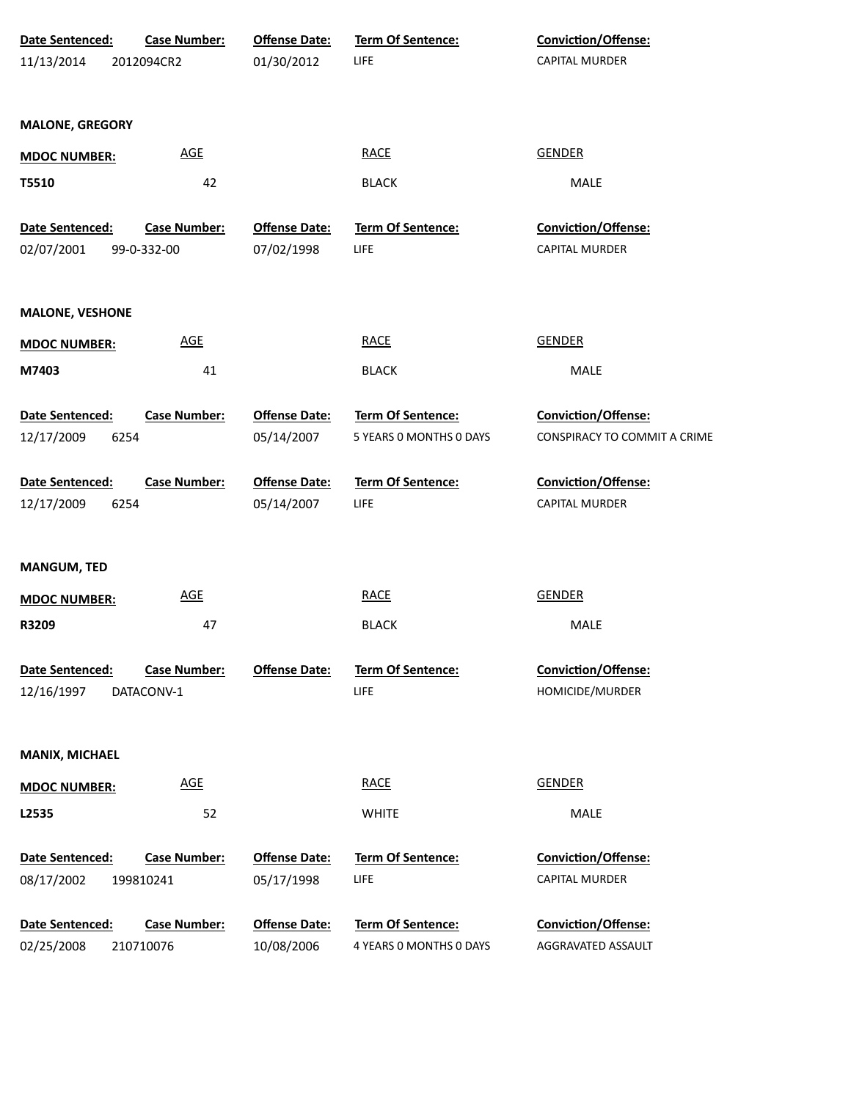| Date Sentenced:        | <b>Case Number:</b> | <b>Offense Date:</b> | <b>Term Of Sentence:</b> | <b>Conviction/Offense:</b>   |
|------------------------|---------------------|----------------------|--------------------------|------------------------------|
| 11/13/2014             | 2012094CR2          | 01/30/2012           | <b>LIFE</b>              | CAPITAL MURDER               |
| <b>MALONE, GREGORY</b> |                     |                      |                          |                              |
| <b>MDOC NUMBER:</b>    | <u>AGE</u>          |                      | <b>RACE</b>              | <b>GENDER</b>                |
| T5510                  | 42                  |                      | <b>BLACK</b>             | MALE                         |
| Date Sentenced:        | <b>Case Number:</b> | <b>Offense Date:</b> | Term Of Sentence:        | Conviction/Offense:          |
| 02/07/2001             | 99-0-332-00         | 07/02/1998           | <b>LIFE</b>              | CAPITAL MURDER               |
| <b>MALONE, VESHONE</b> |                     |                      |                          |                              |
| <b>MDOC NUMBER:</b>    | <b>AGE</b>          |                      | <b>RACE</b>              | <b>GENDER</b>                |
| M7403                  | 41                  |                      | <b>BLACK</b>             | MALE                         |
| Date Sentenced:        | <b>Case Number:</b> | <b>Offense Date:</b> | Term Of Sentence:        | <b>Conviction/Offense:</b>   |
| 12/17/2009             | 6254                | 05/14/2007           | 5 YEARS 0 MONTHS 0 DAYS  | CONSPIRACY TO COMMIT A CRIME |
| Date Sentenced:        | <b>Case Number:</b> | <b>Offense Date:</b> | <b>Term Of Sentence:</b> | Conviction/Offense:          |
| 12/17/2009             | 6254                | 05/14/2007           | <b>LIFE</b>              | <b>CAPITAL MURDER</b>        |
| <b>MANGUM, TED</b>     |                     |                      |                          |                              |
| <b>MDOC NUMBER:</b>    | <b>AGE</b>          |                      | <b>RACE</b>              | <b>GENDER</b>                |
| R3209                  | 47                  |                      | <b>BLACK</b>             | MALE                         |
| Date Sentenced:        | <b>Case Number:</b> | <b>Offense Date:</b> | Term Of Sentence:        | Conviction/Offense:          |
| 12/16/1997             | DATACONV-1          |                      | LIFE                     | HOMICIDE/MURDER              |
| MANIX, MICHAEL         |                     |                      |                          |                              |
| <b>MDOC NUMBER:</b>    | <b>AGE</b>          |                      | <b>RACE</b>              | <b>GENDER</b>                |
| L2535                  | 52                  |                      | <b>WHITE</b>             | MALE                         |
| Date Sentenced:        | <b>Case Number:</b> | <b>Offense Date:</b> | Term Of Sentence:        | Conviction/Offense:          |
| 08/17/2002             | 199810241           | 05/17/1998           | LIFE                     | CAPITAL MURDER               |
| Date Sentenced:        | <b>Case Number:</b> | <b>Offense Date:</b> | Term Of Sentence:        | Conviction/Offense:          |
| 02/25/2008             | 210710076           | 10/08/2006           | 4 YEARS 0 MONTHS 0 DAYS  | AGGRAVATED ASSAULT           |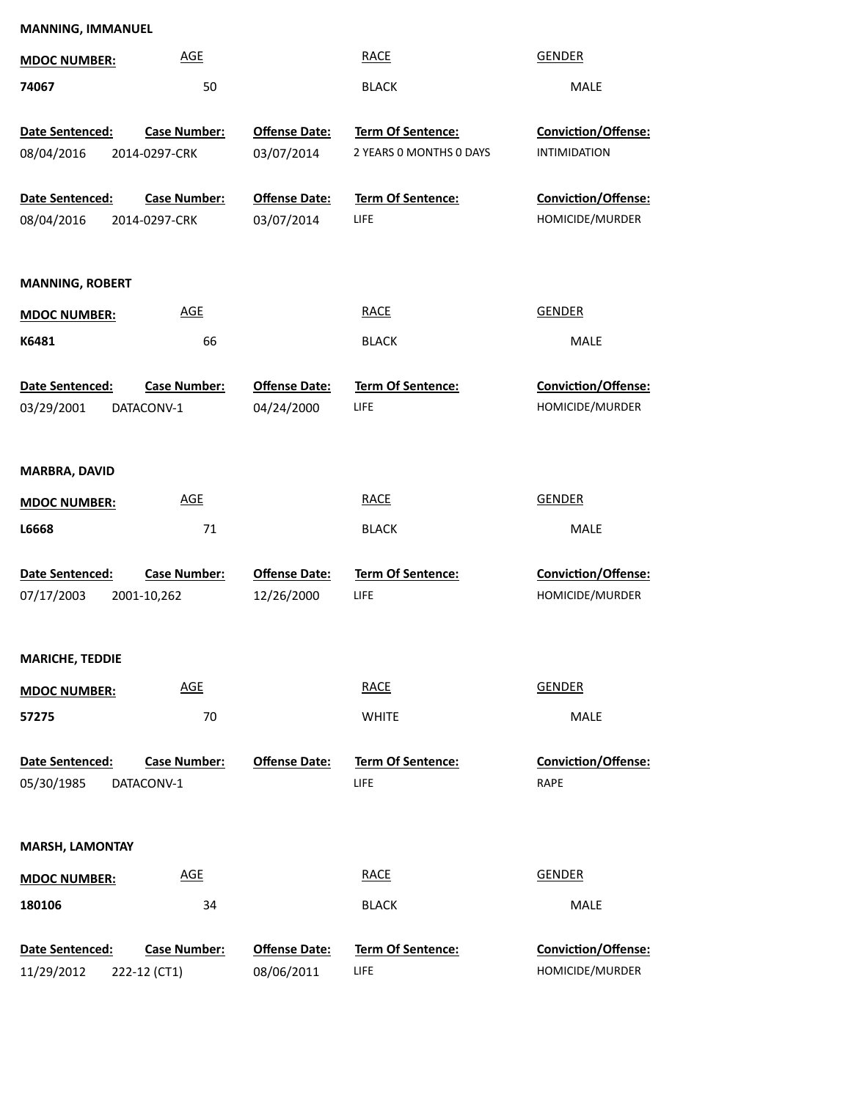| <b>MDOC NUMBER:</b>                  | <b>AGE</b>                           |                                    | <b>RACE</b>                                  | <b>GENDER</b>                                 |  |
|--------------------------------------|--------------------------------------|------------------------------------|----------------------------------------------|-----------------------------------------------|--|
| 74067                                | 50                                   |                                    | <b>BLACK</b>                                 | MALE                                          |  |
| Date Sentenced:<br>08/04/2016        | <b>Case Number:</b><br>2014-0297-CRK | <b>Offense Date:</b><br>03/07/2014 | Term Of Sentence:<br>2 YEARS 0 MONTHS 0 DAYS | Conviction/Offense:<br><b>INTIMIDATION</b>    |  |
| Date Sentenced:<br>08/04/2016        | <b>Case Number:</b><br>2014-0297-CRK | <b>Offense Date:</b><br>03/07/2014 | <b>Term Of Sentence:</b><br>LIFE             | Conviction/Offense:<br>HOMICIDE/MURDER        |  |
| <b>MANNING, ROBERT</b>               |                                      |                                    |                                              |                                               |  |
| <b>MDOC NUMBER:</b>                  | <b>AGE</b>                           |                                    | <b>RACE</b>                                  | <b>GENDER</b>                                 |  |
| K6481                                | 66                                   |                                    | <b>BLACK</b>                                 | MALE                                          |  |
| <b>Date Sentenced:</b><br>03/29/2001 | <b>Case Number:</b><br>DATACONV-1    | <b>Offense Date:</b><br>04/24/2000 | Term Of Sentence:<br>LIFE                    | <b>Conviction/Offense:</b><br>HOMICIDE/MURDER |  |
| MARBRA, DAVID                        |                                      |                                    |                                              |                                               |  |
| <b>MDOC NUMBER:</b>                  | <b>AGE</b>                           |                                    | <b>RACE</b>                                  | <b>GENDER</b>                                 |  |
| L6668                                | 71                                   |                                    | <b>BLACK</b>                                 | MALE                                          |  |
| Date Sentenced:<br>07/17/2003        | <b>Case Number:</b><br>2001-10,262   | <b>Offense Date:</b><br>12/26/2000 | Term Of Sentence:<br>LIFE                    | Conviction/Offense:<br>HOMICIDE/MURDER        |  |
| <b>MARICHE, TEDDIE</b>               |                                      |                                    |                                              |                                               |  |
| <b>MDOC NUMBER:</b>                  | <b>AGE</b>                           |                                    | <b>RACE</b>                                  | <b>GENDER</b>                                 |  |
| 57275                                | 70                                   |                                    | <b>WHITE</b>                                 | MALE                                          |  |
| Date Sentenced:<br>05/30/1985        | <b>Case Number:</b><br>DATACONV-1    | <b>Offense Date:</b>               | <b>Term Of Sentence:</b><br>LIFE             | <b>Conviction/Offense:</b><br>RAPE            |  |
| <b>MARSH, LAMONTAY</b>               |                                      |                                    |                                              |                                               |  |
| <b>MDOC NUMBER:</b>                  | <b>AGE</b>                           |                                    | <b>RACE</b>                                  | <b>GENDER</b>                                 |  |
| 180106                               | 34                                   |                                    | <b>BLACK</b>                                 | MALE                                          |  |
| Date Sentenced:<br>11/29/2012        | <b>Case Number:</b><br>222-12 (CT1)  | <b>Offense Date:</b><br>08/06/2011 | Term Of Sentence:<br>LIFE                    | Conviction/Offense:<br>HOMICIDE/MURDER        |  |

**MANNING, IMMANUEL**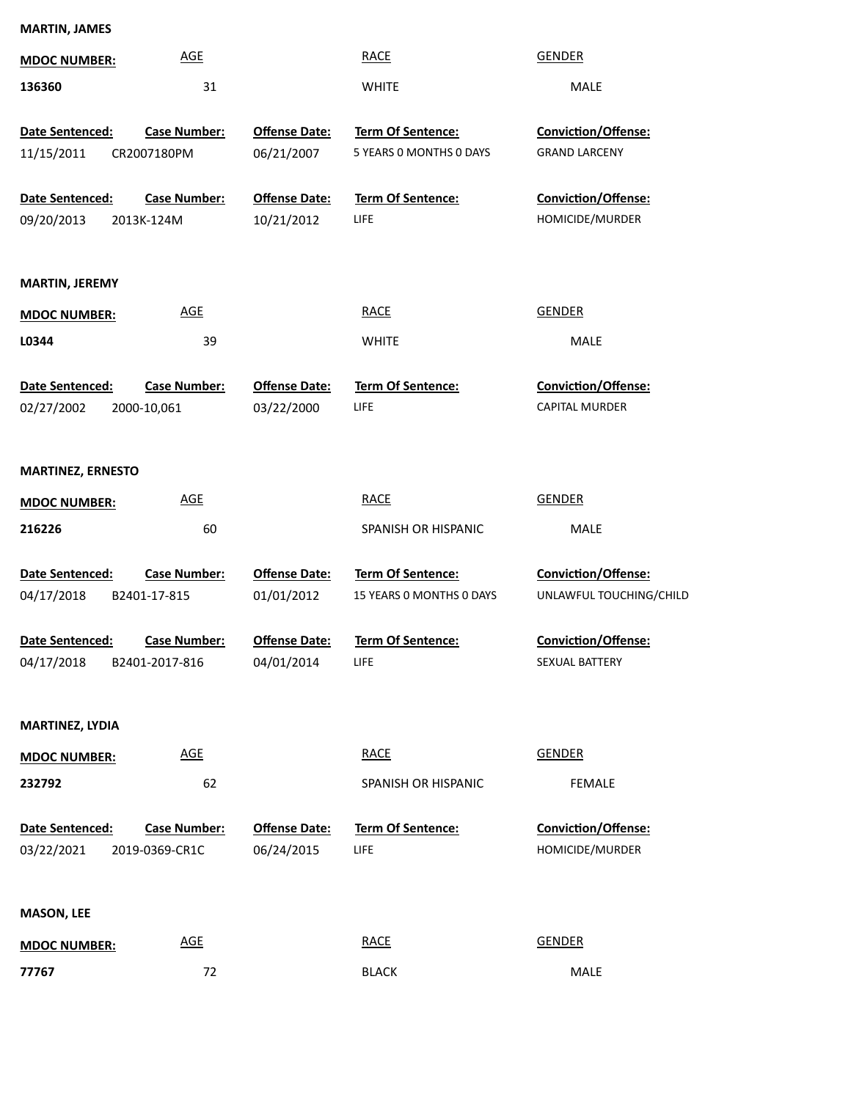| <b>MARTIN, JAMES</b>     |                     |                      |                          |                         |
|--------------------------|---------------------|----------------------|--------------------------|-------------------------|
| <b>MDOC NUMBER:</b>      | <b>AGE</b>          |                      | <b>RACE</b>              | <b>GENDER</b>           |
| 136360                   | 31                  |                      | <b>WHITE</b>             | MALE                    |
| Date Sentenced:          | <b>Case Number:</b> | <b>Offense Date:</b> | Term Of Sentence:        | Conviction/Offense:     |
| 11/15/2011               | CR2007180PM         | 06/21/2007           | 5 YEARS O MONTHS O DAYS  | <b>GRAND LARCENY</b>    |
|                          |                     |                      |                          |                         |
| Date Sentenced:          | <b>Case Number:</b> | <b>Offense Date:</b> | Term Of Sentence:        | Conviction/Offense:     |
| 09/20/2013               | 2013K-124M          | 10/21/2012           | <b>LIFE</b>              | HOMICIDE/MURDER         |
| <b>MARTIN, JEREMY</b>    |                     |                      |                          |                         |
| <b>MDOC NUMBER:</b>      | <b>AGE</b>          |                      | <b>RACE</b>              | <b>GENDER</b>           |
| L0344                    | 39                  |                      | <b>WHITE</b>             | MALE                    |
| Date Sentenced:          | <b>Case Number:</b> | <b>Offense Date:</b> | Term Of Sentence:        | Conviction/Offense:     |
| 02/27/2002               | 2000-10,061         | 03/22/2000           | LIFE                     | CAPITAL MURDER          |
|                          |                     |                      |                          |                         |
| <b>MARTINEZ, ERNESTO</b> |                     |                      |                          |                         |
| <b>MDOC NUMBER:</b>      | <b>AGE</b>          |                      | <b>RACE</b>              | <b>GENDER</b>           |
| 216226                   | 60                  |                      | SPANISH OR HISPANIC      | MALE                    |
| Date Sentenced:          | <b>Case Number:</b> | <b>Offense Date:</b> | Term Of Sentence:        | Conviction/Offense:     |
| 04/17/2018               | B2401-17-815        | 01/01/2012           | 15 YEARS O MONTHS O DAYS | UNLAWFUL TOUCHING/CHILD |
| Date Sentenced:          | <b>Case Number:</b> | <b>Offense Date:</b> | Term Of Sentence:        | Conviction/Offense:     |
| 04/17/2018               | B2401-2017-816      | 04/01/2014           | LIFE                     | SEXUAL BATTERY          |
|                          |                     |                      |                          |                         |
| MARTINEZ, LYDIA          |                     |                      |                          |                         |
| <b>MDOC NUMBER:</b>      | <b>AGE</b>          |                      | <b>RACE</b>              | <b>GENDER</b>           |
| 232792                   | 62                  |                      | SPANISH OR HISPANIC      | <b>FEMALE</b>           |
|                          |                     |                      |                          |                         |
| Date Sentenced:          | <b>Case Number:</b> | <b>Offense Date:</b> | Term Of Sentence:        | Conviction/Offense:     |
| 03/22/2021               | 2019-0369-CR1C      | 06/24/2015           | LIFE                     | HOMICIDE/MURDER         |
| <b>MASON, LEE</b>        |                     |                      |                          |                         |
| <b>MDOC NUMBER:</b>      | <b>AGE</b>          |                      | <b>RACE</b>              | <b>GENDER</b>           |
| 77767                    | 72                  |                      | <b>BLACK</b>             | MALE                    |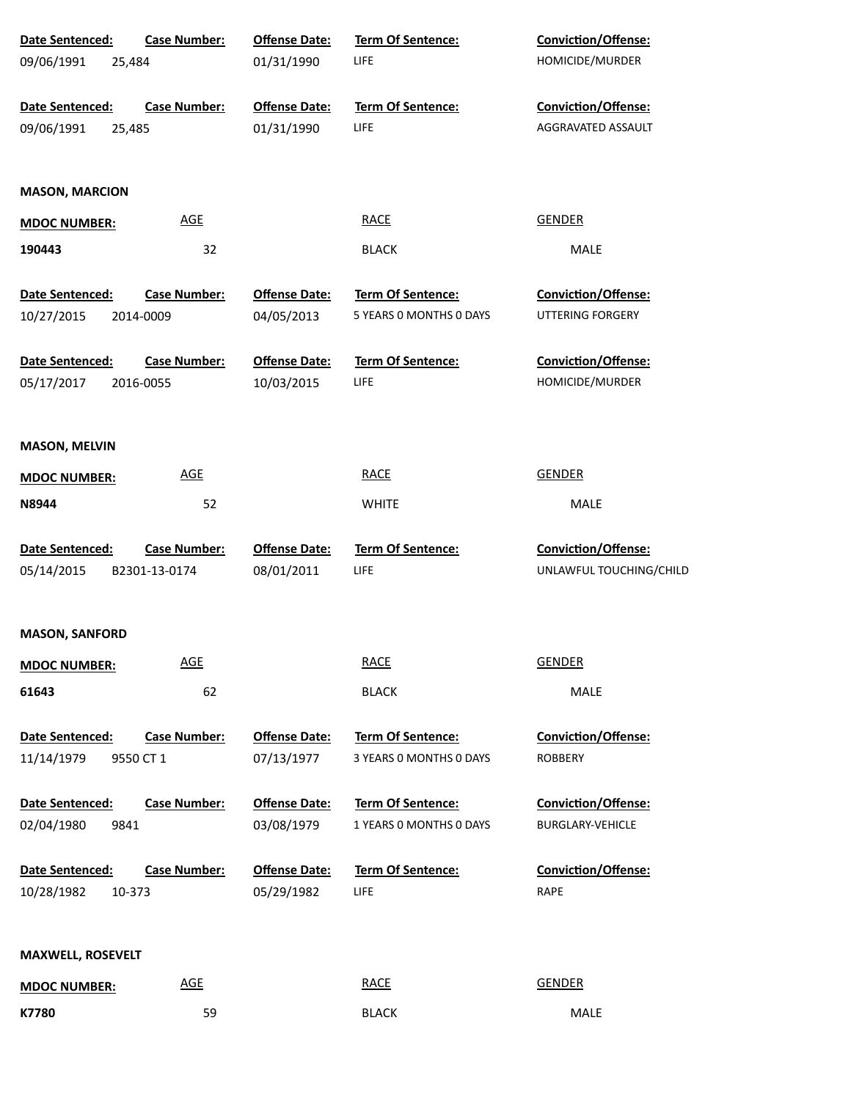| <b>Case Number:</b><br>Date Sentenced:                            | <b>Offense Date:</b>               | <b>Term Of Sentence:</b>         | <b>Conviction/Offense:</b>             |  |
|-------------------------------------------------------------------|------------------------------------|----------------------------------|----------------------------------------|--|
| 09/06/1991<br>25,484                                              | 01/31/1990                         | LIFE.                            | HOMICIDE/MURDER                        |  |
|                                                                   |                                    |                                  |                                        |  |
| Date Sentenced:<br><b>Case Number:</b>                            | <b>Offense Date:</b>               | <b>Term Of Sentence:</b>         | <b>Conviction/Offense:</b>             |  |
| 09/06/1991<br>25,485                                              | 01/31/1990                         | <b>LIFE</b>                      | AGGRAVATED ASSAULT                     |  |
|                                                                   |                                    |                                  |                                        |  |
|                                                                   |                                    |                                  |                                        |  |
| <b>MASON, MARCION</b>                                             |                                    |                                  |                                        |  |
| <b>AGE</b><br><b>MDOC NUMBER:</b>                                 |                                    | <b>RACE</b>                      | <b>GENDER</b>                          |  |
| 190443<br>32                                                      |                                    | <b>BLACK</b>                     | MALE                                   |  |
|                                                                   |                                    |                                  |                                        |  |
| Date Sentenced:<br><b>Case Number:</b>                            | <b>Offense Date:</b>               | Term Of Sentence:                | Conviction/Offense:                    |  |
| 10/27/2015<br>2014-0009                                           | 04/05/2013                         | 5 YEARS 0 MONTHS 0 DAYS          | UTTERING FORGERY                       |  |
|                                                                   |                                    |                                  |                                        |  |
| Date Sentenced:<br><b>Case Number:</b><br>05/17/2017<br>2016-0055 | <b>Offense Date:</b><br>10/03/2015 | Term Of Sentence:<br><b>LIFE</b> | Conviction/Offense:<br>HOMICIDE/MURDER |  |
|                                                                   |                                    |                                  |                                        |  |
|                                                                   |                                    |                                  |                                        |  |
| <b>MASON, MELVIN</b>                                              |                                    |                                  |                                        |  |
| <b>AGE</b><br><b>MDOC NUMBER:</b>                                 |                                    | <b>RACE</b>                      | <b>GENDER</b>                          |  |
|                                                                   |                                    |                                  |                                        |  |
| N8944<br>52                                                       |                                    | <b>WHITE</b>                     | MALE                                   |  |
| Date Sentenced:<br><b>Case Number:</b>                            | <b>Offense Date:</b>               | Term Of Sentence:                | Conviction/Offense:                    |  |
| 05/14/2015<br>B2301-13-0174                                       | 08/01/2011                         | <b>LIFE</b>                      | UNLAWFUL TOUCHING/CHILD                |  |
|                                                                   |                                    |                                  |                                        |  |
|                                                                   |                                    |                                  |                                        |  |
|                                                                   |                                    |                                  |                                        |  |
| <b>MASON, SANFORD</b>                                             |                                    |                                  |                                        |  |
| <b>AGE</b><br><b>MDOC NUMBER:</b>                                 |                                    | <b>RACE</b>                      | <b>GENDER</b>                          |  |
| 62<br>61643                                                       |                                    | <b>BLACK</b>                     | MALE                                   |  |
|                                                                   |                                    |                                  |                                        |  |
| Date Sentenced:<br><b>Case Number:</b>                            | <b>Offense Date:</b>               | Term Of Sentence:                | Conviction/Offense:                    |  |
| 11/14/1979<br>9550 CT 1                                           | 07/13/1977                         | 3 YEARS 0 MONTHS 0 DAYS          | <b>ROBBERY</b>                         |  |
|                                                                   |                                    |                                  |                                        |  |
| <b>Case Number:</b><br>Date Sentenced:                            | <b>Offense Date:</b>               | <b>Term Of Sentence:</b>         | Conviction/Offense:                    |  |
| 02/04/1980<br>9841                                                | 03/08/1979                         | 1 YEARS 0 MONTHS 0 DAYS          | <b>BURGLARY-VEHICLE</b>                |  |
|                                                                   |                                    |                                  |                                        |  |
| Date Sentenced:<br>Case Number:                                   | <b>Offense Date:</b>               | Term Of Sentence:                | Conviction/Offense:                    |  |
| 10/28/1982<br>10-373                                              | 05/29/1982                         | <b>LIFE</b>                      | RAPE                                   |  |
|                                                                   |                                    |                                  |                                        |  |
| <b>MAXWELL, ROSEVELT</b>                                          |                                    |                                  |                                        |  |
| <b>AGE</b><br><b>MDOC NUMBER:</b>                                 |                                    | <b>RACE</b>                      | <b>GENDER</b>                          |  |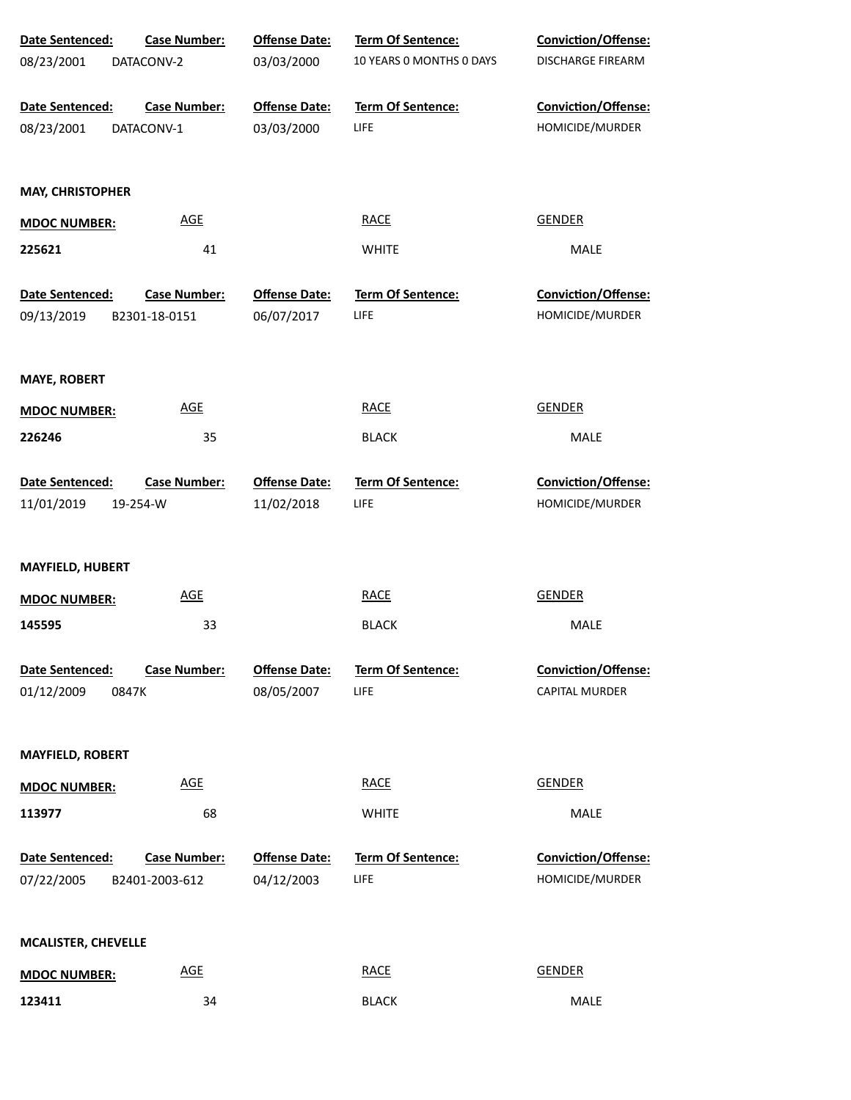| Date Sentenced:            | <b>Case Number:</b>        | <b>Offense Date:</b> | Term Of Sentence:        | Conviction/Offense:   |
|----------------------------|----------------------------|----------------------|--------------------------|-----------------------|
| 08/23/2001                 | DATACONV-2                 | 03/03/2000           | 10 YEARS 0 MONTHS 0 DAYS | DISCHARGE FIREARM     |
| Date Sentenced:            | <b>Case Number:</b>        | <b>Offense Date:</b> | <b>Term Of Sentence:</b> | Conviction/Offense:   |
| 08/23/2001                 | DATACONV-1                 | 03/03/2000           | <b>LIFE</b>              | HOMICIDE/MURDER       |
| <b>MAY, CHRISTOPHER</b>    |                            |                      |                          |                       |
| <b>MDOC NUMBER:</b>        | <b>AGE</b>                 |                      | <b>RACE</b>              | GENDER                |
| 225621                     | 41                         |                      | <b>WHITE</b>             | MALE                  |
| Date Sentenced:            | <b>Case Number:</b>        | <b>Offense Date:</b> | Term Of Sentence:        | Conviction/Offense:   |
| 09/13/2019                 | B2301-18-0151              | 06/07/2017           | LIFE                     | HOMICIDE/MURDER       |
|                            |                            |                      |                          |                       |
| <b>MAYE, ROBERT</b>        |                            |                      |                          |                       |
| <b>MDOC NUMBER:</b>        | AGE                        |                      | <b>RACE</b>              | <b>GENDER</b>         |
| 226246                     | 35                         |                      | <b>BLACK</b>             | MALE                  |
| Date Sentenced:            | <b>Case Number:</b>        | <b>Offense Date:</b> | Term Of Sentence:        | Conviction/Offense:   |
| 11/01/2019                 | 19-254-W                   | 11/02/2018           | <b>LIFE</b>              | HOMICIDE/MURDER       |
|                            |                            |                      |                          |                       |
| <b>MAYFIELD, HUBERT</b>    |                            |                      |                          |                       |
| <b>MDOC NUMBER:</b>        | <b>AGE</b>                 |                      | <b>RACE</b>              | <b>GENDER</b>         |
| 145595                     | 33                         |                      | <b>BLACK</b>             | MALE                  |
|                            |                            |                      |                          |                       |
| Date Sentenced:            | <b>Case Number:</b>        | <b>Offense Date:</b> | <b>Term Of Sentence:</b> | Conviction/Offense:   |
| 01/12/2009                 | 0847K                      | 08/05/2007           | <b>LIFE</b>              | <b>CAPITAL MURDER</b> |
| <b>MAYFIELD, ROBERT</b>    |                            |                      |                          |                       |
| <b>MDOC NUMBER:</b>        | AGE                        |                      | <b>RACE</b>              | <b>GENDER</b>         |
| 113977                     | 68                         |                      | <b>WHITE</b>             | MALE                  |
|                            |                            |                      |                          |                       |
| Date Sentenced:            | <b>Case Number:</b>        | <b>Offense Date:</b> | Term Of Sentence:        | Conviction/Offense:   |
| 07/22/2005                 | B2401-2003-612             | 04/12/2003           | <b>LIFE</b>              | HOMICIDE/MURDER       |
|                            |                            |                      |                          |                       |
| <b>MCALISTER, CHEVELLE</b> |                            |                      |                          |                       |
| <b>MDOC NUMBER:</b>        | $\underline{\mathsf{AGE}}$ |                      | <b>RACE</b>              | <b>GENDER</b>         |
| 123411                     | 34                         |                      | <b>BLACK</b>             | MALE                  |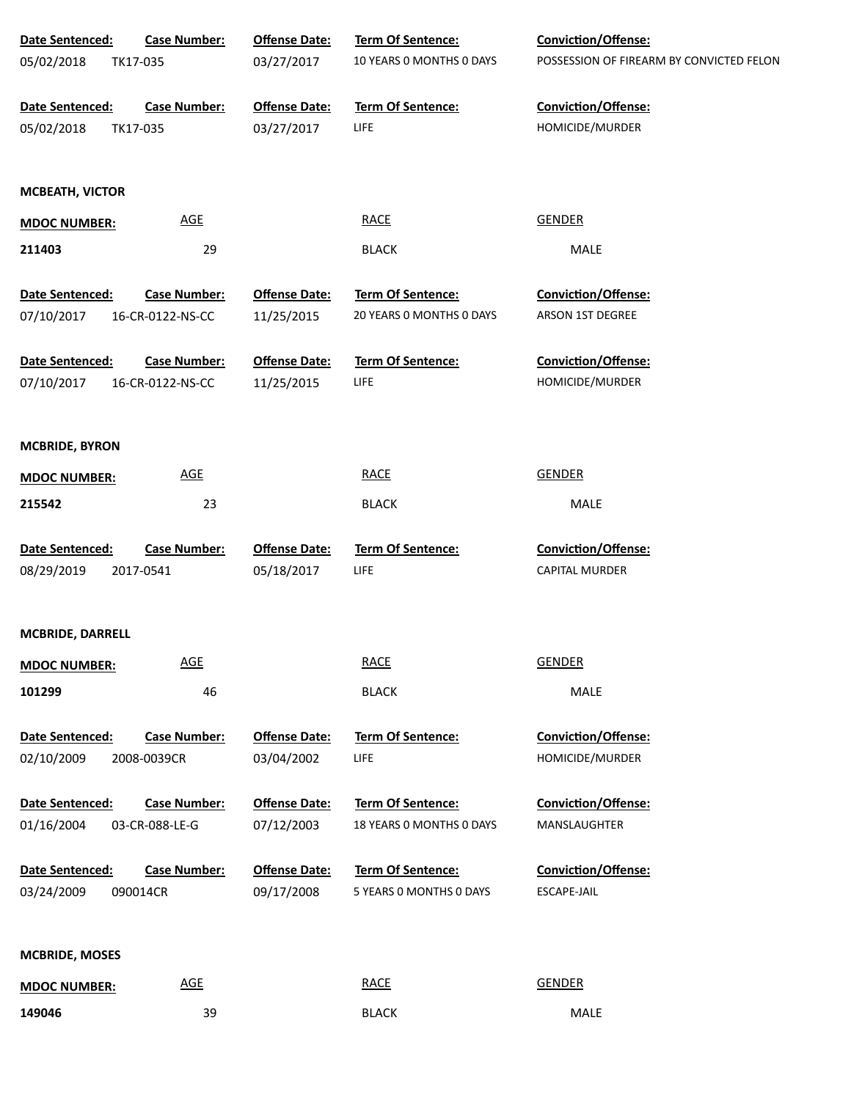| Date Sentenced:        | <b>Case Number:</b> | <b>Offense Date:</b> | Term Of Sentence:        | Conviction/Offense:                      |
|------------------------|---------------------|----------------------|--------------------------|------------------------------------------|
| 05/02/2018             | TK17-035            | 03/27/2017           | 10 YEARS 0 MONTHS 0 DAYS | POSSESSION OF FIREARM BY CONVICTED FELON |
| Date Sentenced:        | <b>Case Number:</b> | <b>Offense Date:</b> | Term Of Sentence:        | Conviction/Offense:                      |
| 05/02/2018             | TK17-035            | 03/27/2017           | LIFE                     | HOMICIDE/MURDER                          |
| <b>MCBEATH, VICTOR</b> |                     |                      |                          |                                          |
| <b>MDOC NUMBER:</b>    | <b>AGE</b>          |                      | <b>RACE</b>              | <b>GENDER</b>                            |
| 211403                 | 29                  |                      | <b>BLACK</b>             | MALE                                     |
| Date Sentenced:        | <b>Case Number:</b> | <b>Offense Date:</b> | <b>Term Of Sentence:</b> | <b>Conviction/Offense:</b>               |
| 07/10/2017             | 16-CR-0122-NS-CC    | 11/25/2015           | 20 YEARS 0 MONTHS 0 DAYS | ARSON 1ST DEGREE                         |
| Date Sentenced:        | <b>Case Number:</b> | <b>Offense Date:</b> | <b>Term Of Sentence:</b> | <b>Conviction/Offense:</b>               |
| 07/10/2017             | 16-CR-0122-NS-CC    | 11/25/2015           | LIFE                     | HOMICIDE/MURDER                          |
| <b>MCBRIDE, BYRON</b>  |                     |                      |                          |                                          |
| <b>MDOC NUMBER:</b>    | <b>AGE</b>          |                      | <b>RACE</b>              | <b>GENDER</b>                            |
| 215542                 | 23                  |                      | <b>BLACK</b>             | MALE                                     |
| Date Sentenced:        | <b>Case Number:</b> | <b>Offense Date:</b> | Term Of Sentence:        | Conviction/Offense:                      |
| 08/29/2019             | 2017-0541           | 05/18/2017           | LIFE                     | <b>CAPITAL MURDER</b>                    |
| MCBRIDE, DARRELL       |                     |                      |                          |                                          |
| <b>MDOC NUMBER:</b>    | <b>AGE</b>          |                      | <b>RACE</b>              | <b>GENDER</b>                            |
| 101299                 | 46                  |                      | <b>BLACK</b>             | MALE                                     |
| Date Sentenced:        | <b>Case Number:</b> | <b>Offense Date:</b> | <b>Term Of Sentence:</b> | <b>Conviction/Offense:</b>               |
| 02/10/2009             | 2008-0039CR         | 03/04/2002           | <b>LIFE</b>              | HOMICIDE/MURDER                          |
| Date Sentenced:        | <b>Case Number:</b> | <b>Offense Date:</b> | <b>Term Of Sentence:</b> | <b>Conviction/Offense:</b>               |
| 01/16/2004             | 03-CR-088-LE-G      | 07/12/2003           | 18 YEARS O MONTHS O DAYS | MANSLAUGHTER                             |
| Date Sentenced:        | <b>Case Number:</b> | <b>Offense Date:</b> | Term Of Sentence:        | <b>Conviction/Offense:</b>               |
| 03/24/2009             | 090014CR            | 09/17/2008           | 5 YEARS 0 MONTHS 0 DAYS  | ESCAPE-JAIL                              |
| <b>MCBRIDE, MOSES</b>  |                     |                      |                          |                                          |
| <b>MDOC NUMBER:</b>    | <b>AGE</b>          |                      | <b>RACE</b>              | <b>GENDER</b>                            |
| 149046                 | 39                  |                      | <b>BLACK</b>             | MALE                                     |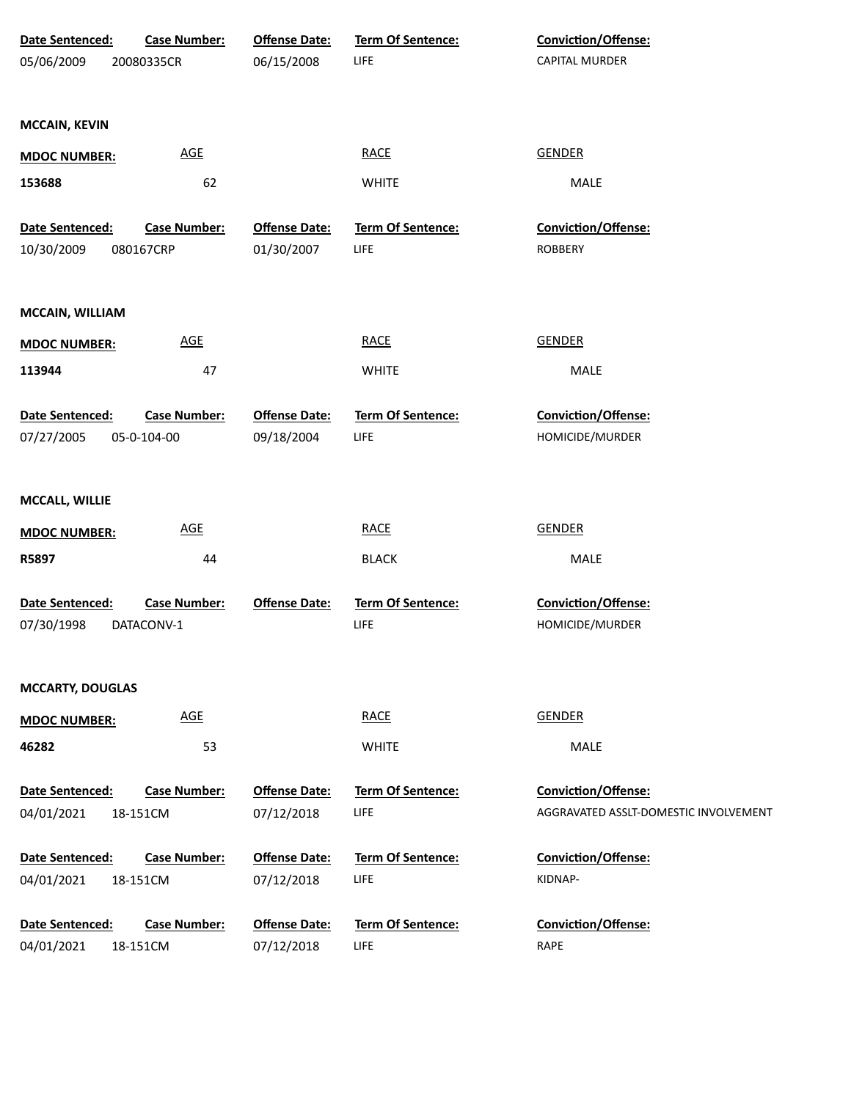| Date Sentenced:         | <b>Case Number:</b> | <b>Offense Date:</b> | <b>Term Of Sentence:</b> | <b>Conviction/Offense:</b>            |
|-------------------------|---------------------|----------------------|--------------------------|---------------------------------------|
| 05/06/2009              | 20080335CR          | 06/15/2008           | <b>LIFE</b>              | <b>CAPITAL MURDER</b>                 |
|                         |                     |                      |                          |                                       |
| <b>MCCAIN, KEVIN</b>    |                     |                      |                          |                                       |
| <b>MDOC NUMBER:</b>     | <b>AGE</b>          |                      | <b>RACE</b>              | <b>GENDER</b>                         |
| 153688                  | 62                  |                      | <b>WHITE</b>             | MALE                                  |
|                         |                     |                      |                          |                                       |
| Date Sentenced:         | <b>Case Number:</b> | <b>Offense Date:</b> | <b>Term Of Sentence:</b> | Conviction/Offense:                   |
| 10/30/2009              | 080167CRP           | 01/30/2007           | LIFE                     | <b>ROBBERY</b>                        |
|                         |                     |                      |                          |                                       |
| MCCAIN, WILLIAM         |                     |                      |                          |                                       |
| <b>MDOC NUMBER:</b>     | <b>AGE</b>          |                      | <b>RACE</b>              | <b>GENDER</b>                         |
| 113944                  | 47                  |                      | <b>WHITE</b>             | MALE                                  |
|                         |                     |                      |                          |                                       |
| Date Sentenced:         | <b>Case Number:</b> | <b>Offense Date:</b> | Term Of Sentence:        | Conviction/Offense:                   |
| 07/27/2005              | 05-0-104-00         | 09/18/2004           | <b>LIFE</b>              | HOMICIDE/MURDER                       |
|                         |                     |                      |                          |                                       |
| MCCALL, WILLIE          |                     |                      |                          |                                       |
| <b>MDOC NUMBER:</b>     | <b>AGE</b>          |                      | <b>RACE</b>              | <b>GENDER</b>                         |
| R5897                   | 44                  |                      | <b>BLACK</b>             | MALE                                  |
|                         |                     |                      |                          |                                       |
| Date Sentenced:         | <b>Case Number:</b> | <b>Offense Date:</b> | Term Of Sentence:        | Conviction/Offense:                   |
| 07/30/1998              | DATACONV-1          |                      | LIFE                     | HOMICIDE/MURDER                       |
|                         |                     |                      |                          |                                       |
| <b>MCCARTY, DOUGLAS</b> |                     |                      |                          |                                       |
|                         | <b>AGE</b>          |                      | <b>RACE</b>              | <b>GENDER</b>                         |
| <b>MDOC NUMBER:</b>     |                     |                      |                          |                                       |
| 46282                   | 53                  |                      | <b>WHITE</b>             | <b>MALE</b>                           |
| Date Sentenced:         | <b>Case Number:</b> | <b>Offense Date:</b> | Term Of Sentence:        | Conviction/Offense:                   |
| 04/01/2021              | 18-151CM            | 07/12/2018           | <b>LIFE</b>              | AGGRAVATED ASSLT-DOMESTIC INVOLVEMENT |
|                         |                     |                      |                          |                                       |
| Date Sentenced:         | <b>Case Number:</b> | <b>Offense Date:</b> | Term Of Sentence:        | <b>Conviction/Offense:</b>            |
| 04/01/2021              | 18-151CM            | 07/12/2018           | <b>LIFE</b>              | KIDNAP-                               |
| Date Sentenced:         | <b>Case Number:</b> | <b>Offense Date:</b> | Term Of Sentence:        | <b>Conviction/Offense:</b>            |
| 04/01/2021              | 18-151CM            | 07/12/2018           | <b>LIFE</b>              | <b>RAPE</b>                           |
|                         |                     |                      |                          |                                       |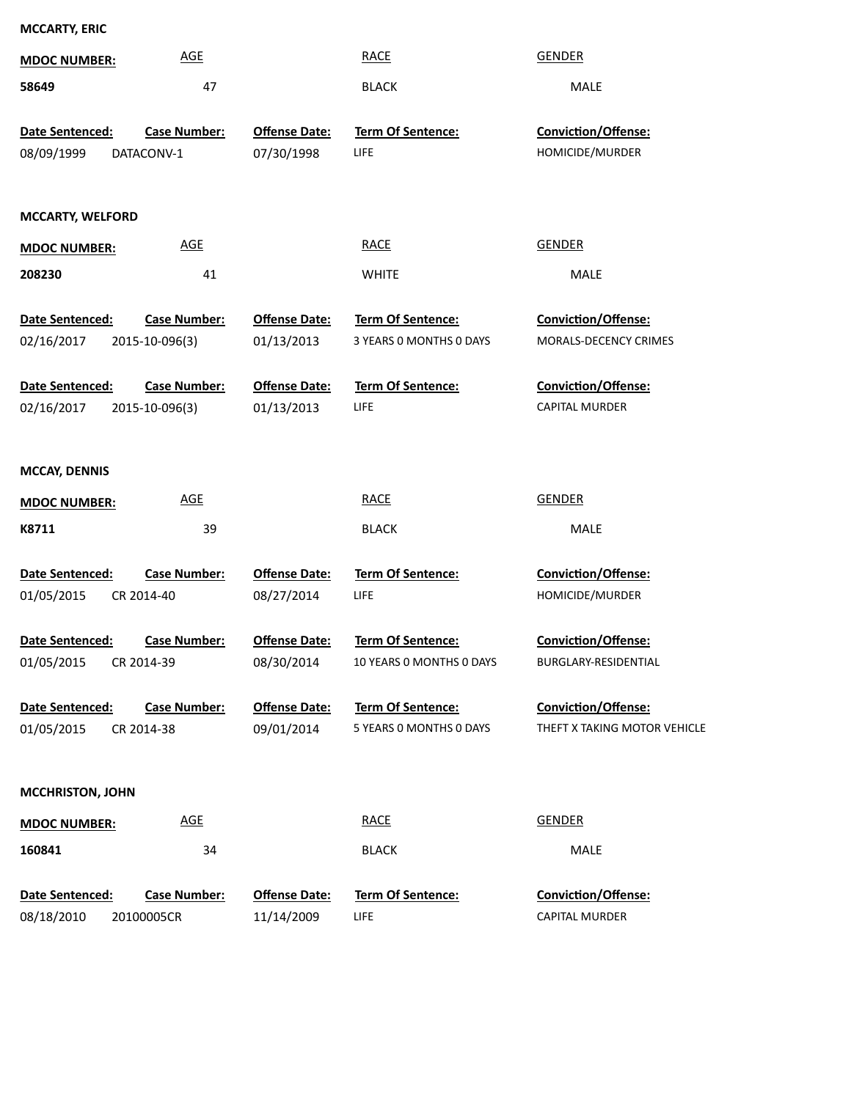| <b>MCCARTY, ERIC</b>                        |                     |                                    |                                  |                                       |
|---------------------------------------------|---------------------|------------------------------------|----------------------------------|---------------------------------------|
| <b>MDOC NUMBER:</b>                         | <b>AGE</b>          |                                    | <b>RACE</b>                      | <b>GENDER</b>                         |
| 58649                                       | 47                  |                                    | <b>BLACK</b>                     | MALE                                  |
|                                             |                     |                                    |                                  |                                       |
| Date Sentenced:                             | <b>Case Number:</b> | <b>Offense Date:</b>               | <b>Term Of Sentence:</b>         | <b>Conviction/Offense:</b>            |
| 08/09/1999<br>DATACONV-1                    |                     | 07/30/1998                         | <b>LIFE</b>                      | HOMICIDE/MURDER                       |
|                                             |                     |                                    |                                  |                                       |
| <b>MCCARTY, WELFORD</b>                     |                     |                                    |                                  |                                       |
| <b>MDOC NUMBER:</b>                         | <b>AGE</b>          |                                    | <b>RACE</b>                      | <b>GENDER</b>                         |
| 208230                                      | 41                  |                                    | <b>WHITE</b>                     | MALE                                  |
|                                             |                     |                                    |                                  |                                       |
| Date Sentenced:                             | <b>Case Number:</b> | <b>Offense Date:</b>               | Term Of Sentence:                | Conviction/Offense:                   |
| 02/16/2017                                  | 2015-10-096(3)      | 01/13/2013                         | 3 YEARS 0 MONTHS 0 DAYS          | MORALS-DECENCY CRIMES                 |
| Date Sentenced:                             | <b>Case Number:</b> | <b>Offense Date:</b>               | <b>Term Of Sentence:</b>         | Conviction/Offense:                   |
| 02/16/2017                                  | 2015-10-096(3)      | 01/13/2013                         | <b>LIFE</b>                      | <b>CAPITAL MURDER</b>                 |
|                                             |                     |                                    |                                  |                                       |
|                                             |                     |                                    |                                  |                                       |
| <b>MCCAY, DENNIS</b>                        |                     |                                    |                                  |                                       |
| <b>MDOC NUMBER:</b>                         | <b>AGE</b>          |                                    | <b>RACE</b>                      | <b>GENDER</b>                         |
| K8711                                       | 39                  |                                    | <b>BLACK</b>                     | MALE                                  |
| <b>Date Sentenced:</b>                      | <b>Case Number:</b> | <b>Offense Date:</b>               | Term Of Sentence:                | <b>Conviction/Offense:</b>            |
| 01/05/2015<br>CR 2014-40                    |                     | 08/27/2014                         | <b>LIFE</b>                      | HOMICIDE/MURDER                       |
|                                             |                     |                                    |                                  |                                       |
| Date Sentenced:                             | <b>Case Number:</b> | <b>Offense Date:</b>               | Term Of Sentence:                | Conviction/Offense:                   |
| 01/05/2015<br>CR 2014-39                    |                     | 08/30/2014                         | 10 YEARS 0 MONTHS 0 DAYS         | BURGLARY-RESIDENTIAL                  |
|                                             |                     |                                    |                                  |                                       |
| Date Sentenced:                             | <b>Case Number:</b> | <b>Offense Date:</b>               | <b>Term Of Sentence:</b>         | <b>Conviction/Offense:</b>            |
| 01/05/2015<br>CR 2014-38                    |                     | 09/01/2014                         | 5 YEARS 0 MONTHS 0 DAYS          | THEFT X TAKING MOTOR VEHICLE          |
|                                             |                     |                                    |                                  |                                       |
| <b>MCCHRISTON, JOHN</b>                     |                     |                                    |                                  |                                       |
| <b>MDOC NUMBER:</b>                         | <b>AGE</b>          |                                    | <b>RACE</b>                      | <b>GENDER</b>                         |
| 160841                                      | 34                  |                                    | <b>BLACK</b>                     | MALE                                  |
|                                             |                     |                                    |                                  |                                       |
| Date Sentenced:<br>08/18/2010<br>20100005CR | <b>Case Number:</b> | <b>Offense Date:</b><br>11/14/2009 | Term Of Sentence:<br><b>LIFE</b> | Conviction/Offense:<br>CAPITAL MURDER |
|                                             |                     |                                    |                                  |                                       |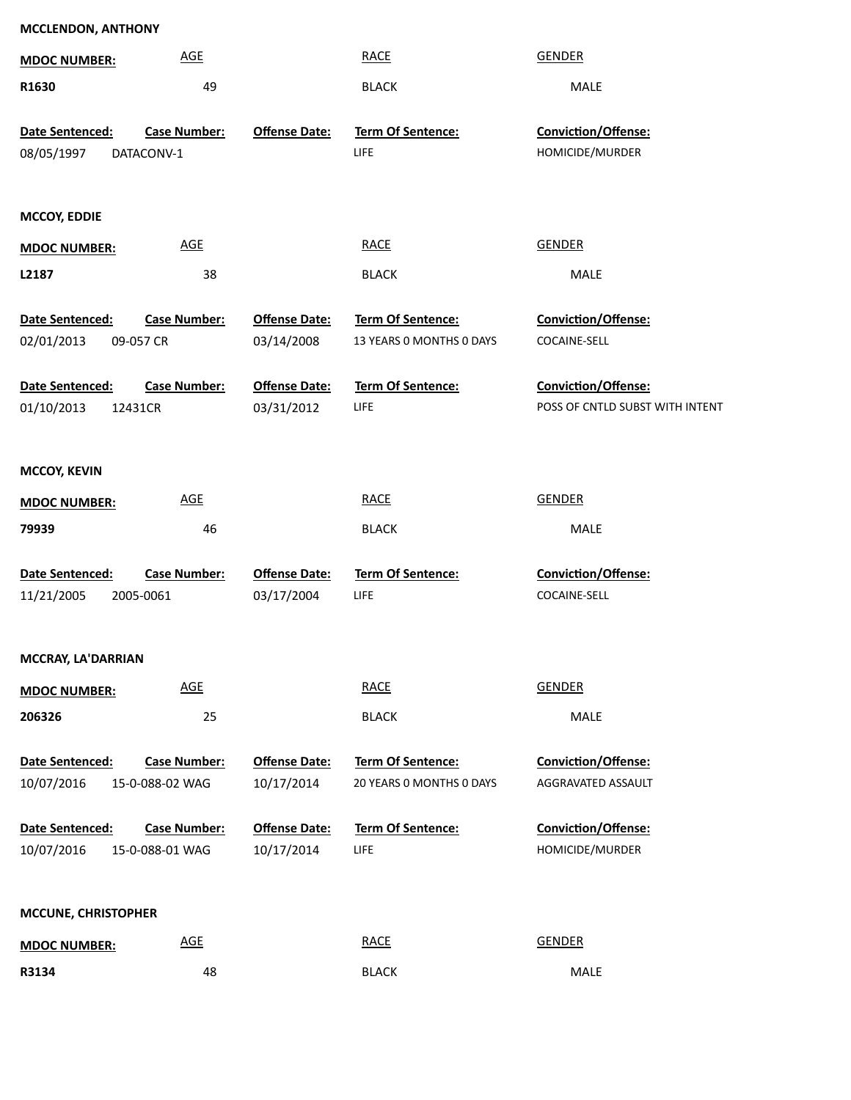| <b>MDOC NUMBER:</b>                                 | <b>AGE</b>                             |                                    | <b>RACE</b>                                   | <b>GENDER</b>                             |
|-----------------------------------------------------|----------------------------------------|------------------------------------|-----------------------------------------------|-------------------------------------------|
| R1630                                               | 49                                     |                                    | <b>BLACK</b>                                  | MALE                                      |
| Date Sentenced:<br>08/05/1997                       | <b>Case Number:</b><br>DATACONV-1      | <b>Offense Date:</b>               | <b>Term Of Sentence:</b><br><b>LIFE</b>       | Conviction/Offense:<br>HOMICIDE/MURDER    |
| <b>MCCOY, EDDIE</b>                                 |                                        |                                    |                                               |                                           |
| <b>MDOC NUMBER:</b>                                 | <b>AGE</b>                             |                                    | <b>RACE</b>                                   | <b>GENDER</b>                             |
| L2187                                               | 38                                     |                                    | <b>BLACK</b>                                  | MALE                                      |
| Date Sentenced:<br>02/01/2013                       | <b>Case Number:</b><br>09-057 CR       | <b>Offense Date:</b><br>03/14/2008 | Term Of Sentence:<br>13 YEARS 0 MONTHS 0 DAYS | Conviction/Offense:<br>COCAINE-SELL       |
| Date Sentenced:                                     | <b>Case Number:</b>                    | <b>Offense Date:</b>               | Term Of Sentence:                             | Conviction/Offense:                       |
| 01/10/2013                                          | 12431CR                                | 03/31/2012                         | <b>LIFE</b>                                   | POSS OF CNTLD SUBST WITH INTENT           |
| <b>MCCOY, KEVIN</b><br><b>MDOC NUMBER:</b><br>79939 | <b>AGE</b><br>46                       |                                    | <b>RACE</b><br><b>BLACK</b>                   | <b>GENDER</b><br>MALE                     |
| Date Sentenced:                                     | <b>Case Number:</b>                    | <b>Offense Date:</b>               | Term Of Sentence:                             | Conviction/Offense:                       |
| 11/21/2005                                          | 2005-0061                              | 03/17/2004                         | <b>LIFE</b>                                   | COCAINE-SELL                              |
| MCCRAY, LA'DARRIAN                                  |                                        |                                    |                                               |                                           |
| <b>MDOC NUMBER:</b>                                 | <b>AGE</b>                             |                                    | <b>RACE</b>                                   | <b>GENDER</b>                             |
| 206326                                              | 25                                     |                                    | <b>BLACK</b>                                  | MALE                                      |
| Date Sentenced:<br>10/07/2016                       | <b>Case Number:</b><br>15-0-088-02 WAG | <b>Offense Date:</b><br>10/17/2014 | Term Of Sentence:<br>20 YEARS 0 MONTHS 0 DAYS | Conviction/Offense:<br>AGGRAVATED ASSAULT |
| Date Sentenced:                                     | <b>Case Number:</b>                    | <b>Offense Date:</b>               | Term Of Sentence:                             | Conviction/Offense:                       |
| 10/07/2016                                          | 15-0-088-01 WAG                        | 10/17/2014                         | <b>LIFE</b>                                   | HOMICIDE/MURDER                           |
| <b>MCCUNE, CHRISTOPHER</b>                          |                                        |                                    |                                               |                                           |
| <b>MDOC NUMBER:</b>                                 | <b>AGE</b>                             |                                    | <b>RACE</b>                                   | <b>GENDER</b>                             |
| R3134                                               | 48                                     |                                    | <b>BLACK</b>                                  | MALE                                      |

**MCCLENDON, ANTHONY**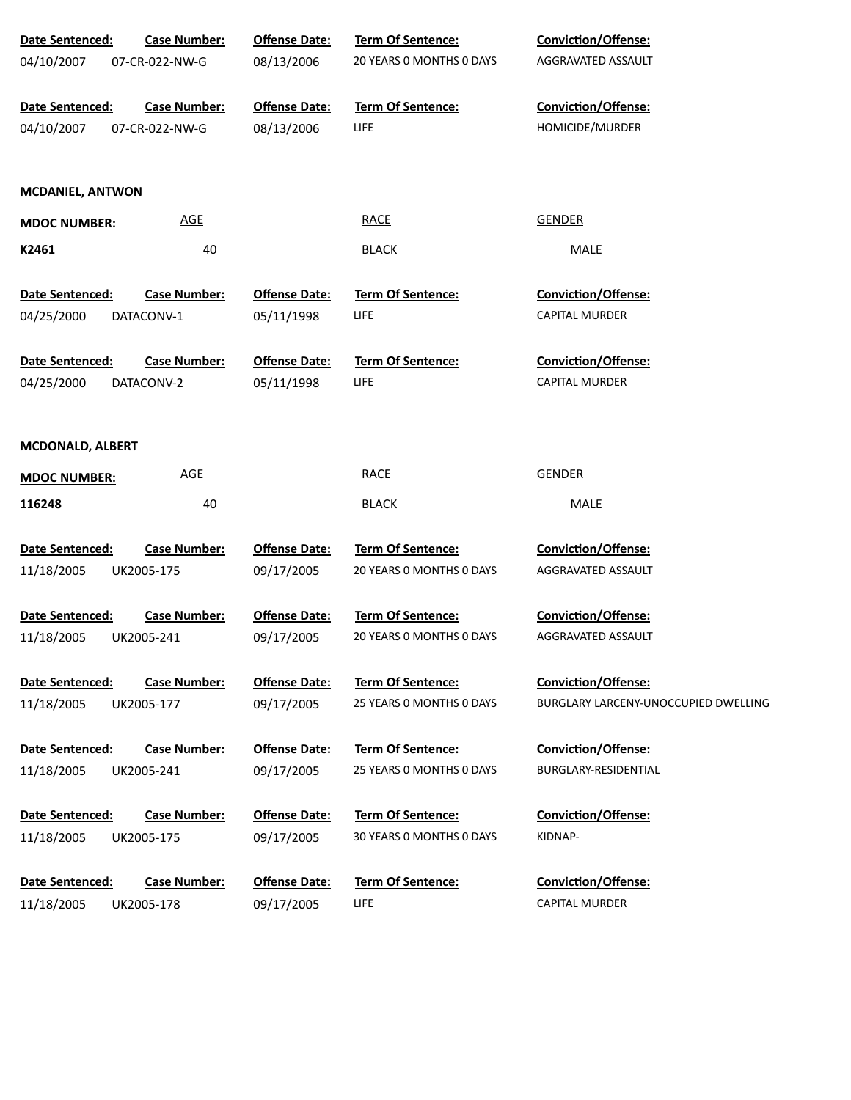| Date Sentenced:<br>04/10/2007 | <b>Case Number:</b><br>07-CR-022-NW-G | <b>Offense Date:</b><br>08/13/2006 | Term Of Sentence:<br>20 YEARS 0 MONTHS 0 DAYS | <b>Conviction/Offense:</b><br>AGGRAVATED ASSAULT |
|-------------------------------|---------------------------------------|------------------------------------|-----------------------------------------------|--------------------------------------------------|
| Date Sentenced:<br>04/10/2007 | <b>Case Number:</b><br>07-CR-022-NW-G | <b>Offense Date:</b><br>08/13/2006 | <b>Term Of Sentence:</b><br><b>LIFE</b>       | <b>Conviction/Offense:</b><br>HOMICIDE/MURDER    |
| <b>MCDANIEL, ANTWON</b>       |                                       |                                    |                                               |                                                  |
| <b>MDOC NUMBER:</b>           | <b>AGE</b>                            |                                    | <b>RACE</b>                                   | <b>GENDER</b>                                    |
| K2461                         | 40                                    |                                    | <b>BLACK</b>                                  | MALE                                             |
| Date Sentenced:               | <b>Case Number:</b>                   | <b>Offense Date:</b>               | Term Of Sentence:                             | <b>Conviction/Offense:</b>                       |
| 04/25/2000                    | DATACONV-1                            | 05/11/1998                         | <b>LIFE</b>                                   | <b>CAPITAL MURDER</b>                            |
| Date Sentenced:               | <b>Case Number:</b>                   | <b>Offense Date:</b>               | <b>Term Of Sentence:</b>                      | <b>Conviction/Offense:</b>                       |
| 04/25/2000                    | DATACONV-2                            | 05/11/1998                         | <b>LIFE</b>                                   | CAPITAL MURDER                                   |
|                               |                                       |                                    |                                               |                                                  |
| <b>MCDONALD, ALBERT</b>       |                                       |                                    |                                               |                                                  |
| <b>MDOC NUMBER:</b>           | <b>AGE</b>                            |                                    | <b>RACE</b>                                   | <b>GENDER</b>                                    |
| 116248                        | 40                                    |                                    | <b>BLACK</b>                                  | MALE                                             |
| Date Sentenced:               | <b>Case Number:</b>                   | <b>Offense Date:</b>               | <b>Term Of Sentence:</b>                      | <b>Conviction/Offense:</b>                       |
| 11/18/2005                    | UK2005-175                            | 09/17/2005                         | 20 YEARS 0 MONTHS 0 DAYS                      | AGGRAVATED ASSAULT                               |
|                               |                                       |                                    |                                               |                                                  |
| Date Sentenced:               | <b>Case Number:</b>                   | <b>Offense Date:</b>               | <b>Term Of Sentence:</b>                      | <b>Conviction/Offense:</b>                       |
| 11/18/2005                    | UK2005-241                            | 09/17/2005                         | 20 YEARS 0 MONTHS 0 DAYS                      | AGGRAVATED ASSAULT                               |
| <b>Date Sentenced:</b>        | <b>Case Number:</b>                   | <b>Offense Date:</b>               | Term Of Sentence:                             | <b>Conviction/Offense:</b>                       |
| 11/18/2005                    | UK2005-177                            | 09/17/2005                         | 25 YEARS 0 MONTHS 0 DAYS                      | BURGLARY LARCENY-UNOCCUPIED DWELLING             |
|                               |                                       |                                    |                                               |                                                  |
| Date Sentenced:               | <b>Case Number:</b>                   | <b>Offense Date:</b>               | <b>Term Of Sentence:</b>                      | <b>Conviction/Offense:</b>                       |
| 11/18/2005                    | UK2005-241                            | 09/17/2005                         | 25 YEARS 0 MONTHS 0 DAYS                      | BURGLARY-RESIDENTIAL                             |
| <b>Date Sentenced:</b>        | <b>Case Number:</b>                   | <b>Offense Date:</b>               | <b>Term Of Sentence:</b>                      | <b>Conviction/Offense:</b>                       |
| 11/18/2005                    | UK2005-175                            | 09/17/2005                         | 30 YEARS 0 MONTHS 0 DAYS                      | KIDNAP-                                          |
|                               |                                       |                                    |                                               |                                                  |
| Date Sentenced:               | <b>Case Number:</b>                   | <b>Offense Date:</b>               | <b>Term Of Sentence:</b>                      | <b>Conviction/Offense:</b>                       |
| 11/18/2005                    | UK2005-178                            | 09/17/2005                         | LIFE                                          | <b>CAPITAL MURDER</b>                            |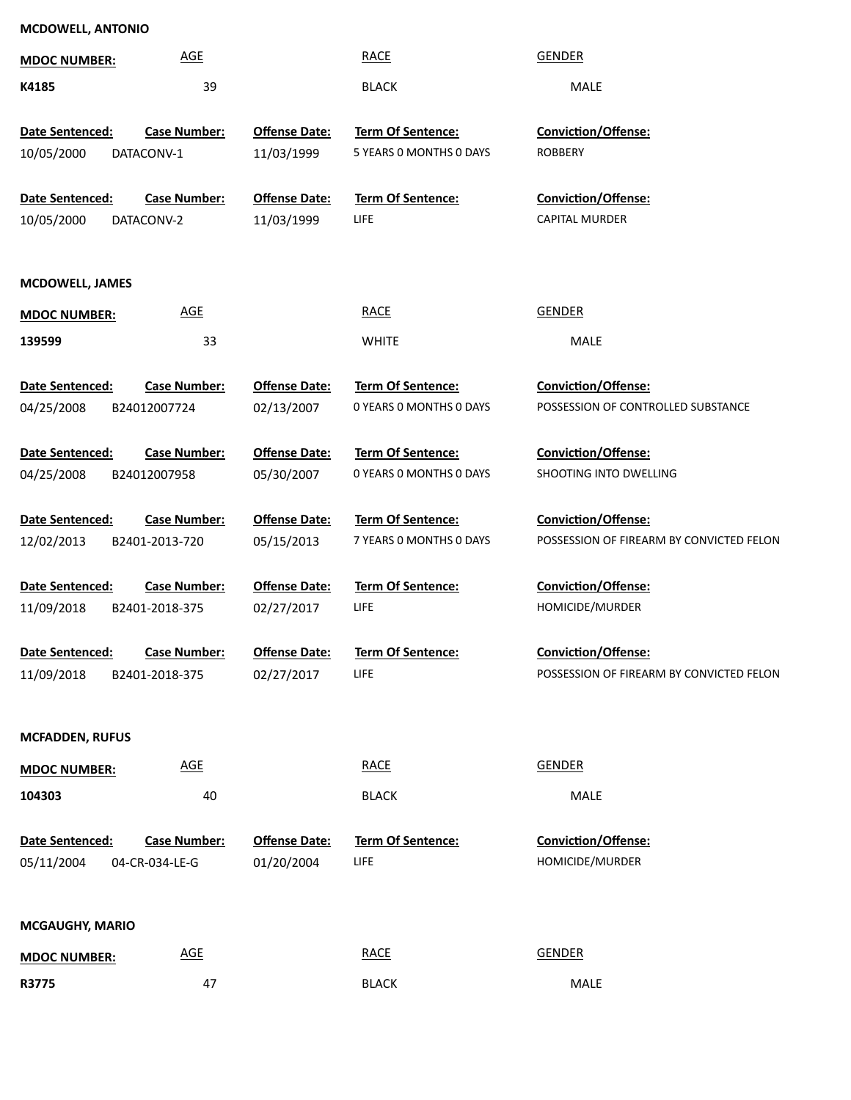| <b>MCDOWELL, ANTONIO</b> |                     |                      |                         |                                          |
|--------------------------|---------------------|----------------------|-------------------------|------------------------------------------|
| <b>MDOC NUMBER:</b>      | <b>AGE</b>          |                      | <b>RACE</b>             | <b>GENDER</b>                            |
| K4185                    | 39                  |                      | <b>BLACK</b>            | <b>MALE</b>                              |
| Date Sentenced:          | <b>Case Number:</b> | <b>Offense Date:</b> | Term Of Sentence:       | Conviction/Offense:                      |
| 10/05/2000               | DATACONV-1          | 11/03/1999           | 5 YEARS 0 MONTHS 0 DAYS | <b>ROBBERY</b>                           |
|                          |                     |                      |                         |                                          |
| Date Sentenced:          | <b>Case Number:</b> | <b>Offense Date:</b> | Term Of Sentence:       | Conviction/Offense:                      |
| 10/05/2000               | DATACONV-2          | 11/03/1999           | LIFE                    | <b>CAPITAL MURDER</b>                    |
|                          |                     |                      |                         |                                          |
| <b>MCDOWELL, JAMES</b>   |                     |                      |                         |                                          |
| <b>MDOC NUMBER:</b>      | <b>AGE</b>          |                      | <b>RACE</b>             | <b>GENDER</b>                            |
| 139599                   | 33                  |                      | <b>WHITE</b>            | <b>MALE</b>                              |
|                          |                     |                      |                         |                                          |
| Date Sentenced:          | <b>Case Number:</b> | <b>Offense Date:</b> | Term Of Sentence:       | Conviction/Offense:                      |
| 04/25/2008               | B24012007724        | 02/13/2007           | 0 YEARS O MONTHS O DAYS | POSSESSION OF CONTROLLED SUBSTANCE       |
| Date Sentenced:          | <b>Case Number:</b> | <b>Offense Date:</b> | Term Of Sentence:       | Conviction/Offense:                      |
| 04/25/2008               | B24012007958        | 05/30/2007           | 0 YEARS O MONTHS O DAYS | SHOOTING INTO DWELLING                   |
|                          |                     |                      |                         |                                          |
| Date Sentenced:          | <b>Case Number:</b> | <b>Offense Date:</b> | Term Of Sentence:       | Conviction/Offense:                      |
| 12/02/2013               | B2401-2013-720      | 05/15/2013           | 7 YEARS O MONTHS O DAYS | POSSESSION OF FIREARM BY CONVICTED FELON |
| Date Sentenced:          | <b>Case Number:</b> | <b>Offense Date:</b> | Term Of Sentence:       | Conviction/Offense:                      |
| 11/09/2018               | B2401-2018-375      | 02/27/2017           | LIFE                    | HOMICIDE/MURDER                          |
|                          |                     |                      |                         |                                          |
| Date Sentenced:          | <b>Case Number:</b> | <b>Offense Date:</b> | Term Of Sentence:       | Conviction/Offense:                      |
| 11/09/2018               | B2401-2018-375      | 02/27/2017           | LIFE                    | POSSESSION OF FIREARM BY CONVICTED FELON |
|                          |                     |                      |                         |                                          |
| <b>MCFADDEN, RUFUS</b>   |                     |                      |                         |                                          |
| <b>MDOC NUMBER:</b>      | <b>AGE</b>          |                      | <b>RACE</b>             | <b>GENDER</b>                            |
| 104303                   | 40                  |                      | <b>BLACK</b>            | MALE                                     |
|                          |                     |                      |                         |                                          |
| Date Sentenced:          | <b>Case Number:</b> | <b>Offense Date:</b> | Term Of Sentence:       | Conviction/Offense:                      |
| 05/11/2004               | 04-CR-034-LE-G      | 01/20/2004           | LIFE                    | HOMICIDE/MURDER                          |
|                          |                     |                      |                         |                                          |
| <b>MCGAUGHY, MARIO</b>   |                     |                      |                         |                                          |
| <b>MDOC NUMBER:</b>      | <b>AGE</b>          |                      | <b>RACE</b>             | <b>GENDER</b>                            |
| R3775                    | 47                  |                      | <b>BLACK</b>            | MALE                                     |
|                          |                     |                      |                         |                                          |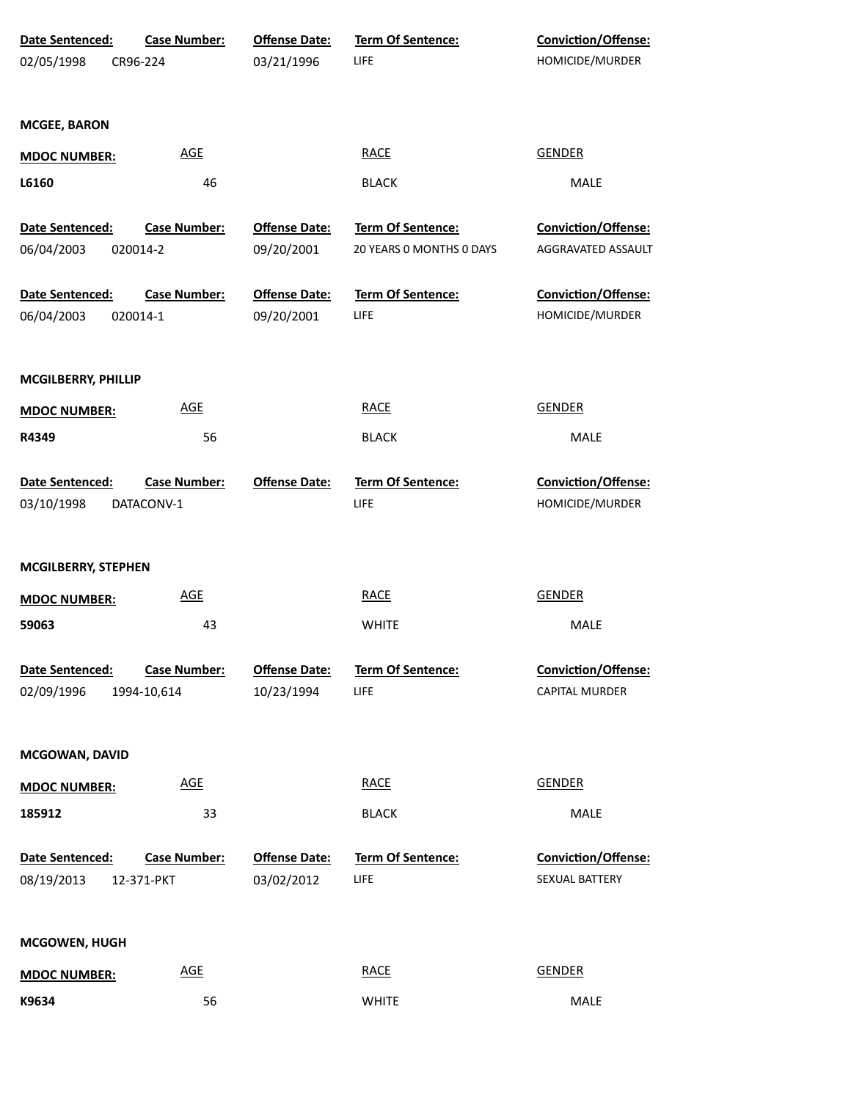| Date Sentenced:<br>02/05/1998        | <b>Case Number:</b><br>CR96-224    | <b>Offense Date:</b><br>03/21/1996 | <b>Term Of Sentence:</b><br>LIFE | <b>Conviction/Offense:</b><br>HOMICIDE/MURDER |  |
|--------------------------------------|------------------------------------|------------------------------------|----------------------------------|-----------------------------------------------|--|
| <b>MCGEE, BARON</b>                  |                                    |                                    |                                  |                                               |  |
| <b>MDOC NUMBER:</b>                  | <b>AGE</b>                         |                                    | <b>RACE</b>                      | <b>GENDER</b>                                 |  |
| L6160                                | 46                                 |                                    | <b>BLACK</b>                     | MALE                                          |  |
| Date Sentenced:                      | <b>Case Number:</b>                | <b>Offense Date:</b>               | Term Of Sentence:                | Conviction/Offense:                           |  |
| 06/04/2003                           | 020014-2                           | 09/20/2001                         | 20 YEARS 0 MONTHS 0 DAYS         | AGGRAVATED ASSAULT                            |  |
| Date Sentenced:<br>06/04/2003        | <b>Case Number:</b><br>020014-1    | <b>Offense Date:</b><br>09/20/2001 | Term Of Sentence:<br>LIFE        | Conviction/Offense:<br>HOMICIDE/MURDER        |  |
| MCGILBERRY, PHILLIP                  |                                    |                                    |                                  |                                               |  |
| <b>MDOC NUMBER:</b>                  | <b>AGE</b>                         |                                    | <b>RACE</b>                      | <b>GENDER</b>                                 |  |
| R4349                                | 56                                 |                                    | <b>BLACK</b>                     | MALE                                          |  |
| Date Sentenced:<br>03/10/1998        | <b>Case Number:</b><br>DATACONV-1  | <b>Offense Date:</b>               | Term Of Sentence:<br>LIFE        | Conviction/Offense:<br>HOMICIDE/MURDER        |  |
| <b>MCGILBERRY, STEPHEN</b>           |                                    |                                    |                                  |                                               |  |
| <b>MDOC NUMBER:</b>                  | <b>AGE</b>                         |                                    | <b>RACE</b>                      | <b>GENDER</b>                                 |  |
| 59063                                | 43                                 |                                    | <b>WHITE</b>                     | MALE                                          |  |
| <b>Date Sentenced:</b><br>02/09/1996 | <b>Case Number:</b><br>1994-10,614 | <b>Offense Date:</b><br>10/23/1994 | <b>Term Of Sentence:</b><br>LIFE | <b>Conviction/Offense:</b><br>CAPITAL MURDER  |  |
| MCGOWAN, DAVID                       |                                    |                                    |                                  |                                               |  |
| <b>MDOC NUMBER:</b>                  | <b>AGE</b>                         |                                    | <b>RACE</b>                      | <b>GENDER</b>                                 |  |
| 185912                               | 33                                 |                                    | <b>BLACK</b>                     | MALE                                          |  |
| Date Sentenced:<br>08/19/2013        | <b>Case Number:</b><br>12-371-PKT  | <b>Offense Date:</b><br>03/02/2012 | Term Of Sentence:<br>LIFE        | <b>Conviction/Offense:</b><br>SEXUAL BATTERY  |  |
| <b>MCGOWEN, HUGH</b>                 |                                    |                                    |                                  |                                               |  |
| <b>MDOC NUMBER:</b>                  | <b>AGE</b>                         |                                    | <b>RACE</b>                      | <b>GENDER</b>                                 |  |
| K9634                                | 56                                 |                                    | <b>WHITE</b>                     | MALE                                          |  |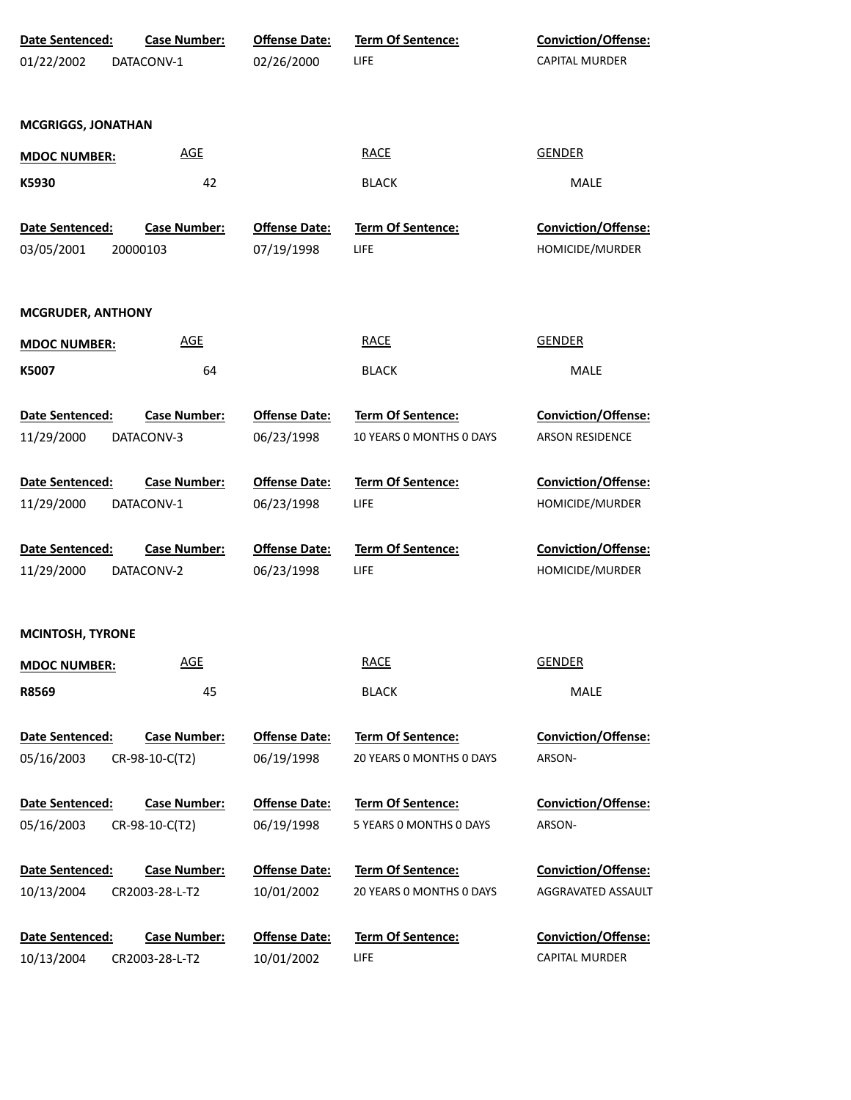| Date Sentenced:<br>01/22/2002        | <b>Case Number:</b><br>DATACONV-1     | <b>Offense Date:</b><br>02/26/2000 | <b>Term Of Sentence:</b><br>LIFE                    | <b>Conviction/Offense:</b><br><b>CAPITAL MURDER</b> |
|--------------------------------------|---------------------------------------|------------------------------------|-----------------------------------------------------|-----------------------------------------------------|
| <b>MCGRIGGS, JONATHAN</b>            |                                       |                                    |                                                     |                                                     |
| <b>MDOC NUMBER:</b>                  | <b>AGE</b>                            |                                    | <b>RACE</b>                                         | <b>GENDER</b>                                       |
| K5930                                | 42                                    |                                    | <b>BLACK</b>                                        | MALE                                                |
| Date Sentenced:<br>03/05/2001        | <b>Case Number:</b><br>20000103       | <b>Offense Date:</b><br>07/19/1998 | Term Of Sentence:<br>LIFE                           | Conviction/Offense:<br>HOMICIDE/MURDER              |
| <b>MCGRUDER, ANTHONY</b>             |                                       |                                    |                                                     |                                                     |
| <b>MDOC NUMBER:</b>                  | <b>AGE</b>                            |                                    | <b>RACE</b>                                         | <b>GENDER</b>                                       |
| K5007                                | 64                                    |                                    | <b>BLACK</b>                                        | MALE                                                |
| Date Sentenced:                      | <b>Case Number:</b>                   | <b>Offense Date:</b>               | <b>Term Of Sentence:</b>                            | <b>Conviction/Offense:</b>                          |
| 11/29/2000                           | DATACONV-3                            | 06/23/1998                         | 10 YEARS 0 MONTHS 0 DAYS                            | <b>ARSON RESIDENCE</b>                              |
| Date Sentenced:                      | <b>Case Number:</b>                   | <b>Offense Date:</b>               | <b>Term Of Sentence:</b>                            | <b>Conviction/Offense:</b>                          |
| 11/29/2000                           | DATACONV-1                            | 06/23/1998                         | LIFE                                                | HOMICIDE/MURDER                                     |
| Date Sentenced:<br>11/29/2000        | <b>Case Number:</b><br>DATACONV-2     | <b>Offense Date:</b><br>06/23/1998 | <b>Term Of Sentence:</b><br>LIFE                    | <b>Conviction/Offense:</b><br>HOMICIDE/MURDER       |
| <b>MCINTOSH, TYRONE</b>              |                                       |                                    |                                                     |                                                     |
| <b>MDOC NUMBER:</b>                  | <b>AGE</b>                            |                                    | <b>RACE</b>                                         | <b>GENDER</b>                                       |
| R8569                                | 45                                    |                                    | <b>BLACK</b>                                        | MALE                                                |
| <b>Date Sentenced:</b><br>05/16/2003 | Case Number:<br>CR-98-10-C(T2)        | <b>Offense Date:</b><br>06/19/1998 | Term Of Sentence:<br>20 YEARS O MONTHS O DAYS       | <b>Conviction/Offense:</b><br>ARSON-                |
| Date Sentenced:<br>05/16/2003        | Case Number:<br>CR-98-10-C(T2)        | <b>Offense Date:</b><br>06/19/1998 | <b>Term Of Sentence:</b><br>5 YEARS 0 MONTHS 0 DAYS | <b>Conviction/Offense:</b><br>ARSON-                |
| Date Sentenced:<br>10/13/2004        | <b>Case Number:</b><br>CR2003-28-L-T2 | <b>Offense Date:</b><br>10/01/2002 | Term Of Sentence:<br>20 YEARS 0 MONTHS 0 DAYS       | Conviction/Offense:<br>AGGRAVATED ASSAULT           |
| Date Sentenced:<br>10/13/2004        | <b>Case Number:</b><br>CR2003-28-L-T2 | <b>Offense Date:</b><br>10/01/2002 | Term Of Sentence:<br><b>LIFE</b>                    | Conviction/Offense:<br><b>CAPITAL MURDER</b>        |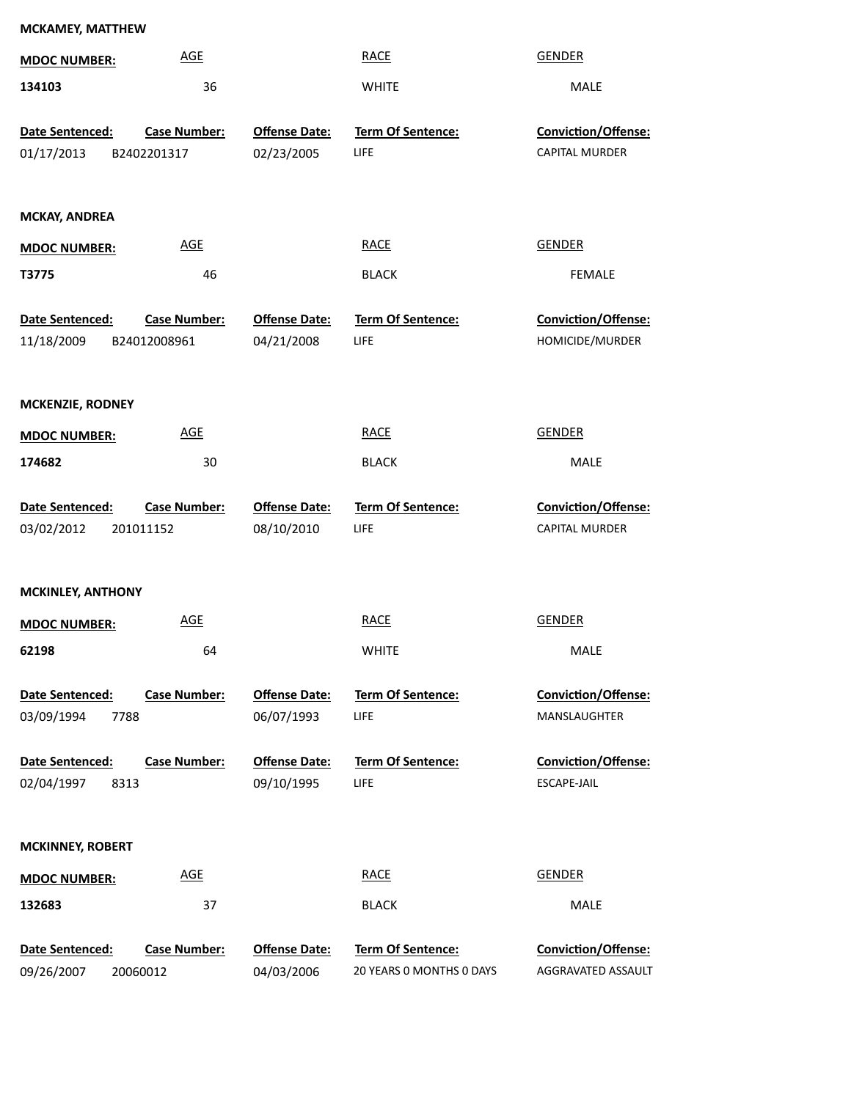|                                           | <b>MCKAMEY, MATTHEW</b>             |                                    |                                               |                                                  |  |  |  |
|-------------------------------------------|-------------------------------------|------------------------------------|-----------------------------------------------|--------------------------------------------------|--|--|--|
| <b>MDOC NUMBER:</b>                       | <b>AGE</b>                          |                                    | <b>RACE</b>                                   | <b>GENDER</b>                                    |  |  |  |
| 134103                                    | 36                                  |                                    | <b>WHITE</b>                                  | MALE                                             |  |  |  |
| Date Sentenced:                           | <b>Case Number:</b>                 | <b>Offense Date:</b>               | Term Of Sentence:                             | Conviction/Offense:                              |  |  |  |
| 01/17/2013                                | B2402201317                         | 02/23/2005                         | <b>LIFE</b>                                   | CAPITAL MURDER                                   |  |  |  |
|                                           |                                     |                                    |                                               |                                                  |  |  |  |
| <b>MCKAY, ANDREA</b>                      |                                     |                                    |                                               |                                                  |  |  |  |
| <b>MDOC NUMBER:</b>                       | <b>AGE</b>                          |                                    | <b>RACE</b>                                   | <b>GENDER</b>                                    |  |  |  |
| T3775                                     | 46                                  |                                    | <b>BLACK</b>                                  | <b>FEMALE</b>                                    |  |  |  |
| Date Sentenced:<br>11/18/2009             | <b>Case Number:</b><br>B24012008961 | <b>Offense Date:</b><br>04/21/2008 | Term Of Sentence:<br><b>LIFE</b>              | Conviction/Offense:<br>HOMICIDE/MURDER           |  |  |  |
| <b>MCKENZIE, RODNEY</b>                   |                                     |                                    |                                               |                                                  |  |  |  |
| <b>MDOC NUMBER:</b>                       | <b>AGE</b>                          |                                    | <b>RACE</b>                                   | <b>GENDER</b>                                    |  |  |  |
| 174682                                    | 30                                  |                                    | <b>BLACK</b>                                  | <b>MALE</b>                                      |  |  |  |
|                                           |                                     |                                    |                                               |                                                  |  |  |  |
| Date Sentenced:                           | <b>Case Number:</b>                 | <b>Offense Date:</b>               | Term Of Sentence:                             | Conviction/Offense:                              |  |  |  |
| 03/02/2012                                | 201011152                           | 08/10/2010                         | LIFE                                          | <b>CAPITAL MURDER</b>                            |  |  |  |
| <b>MCKINLEY, ANTHONY</b>                  |                                     |                                    |                                               |                                                  |  |  |  |
|                                           | <b>AGE</b>                          |                                    | <b>RACE</b>                                   | <b>GENDER</b>                                    |  |  |  |
| <b>MDOC NUMBER:</b><br>62198              |                                     |                                    | <b>WHITE</b>                                  | <b>MALE</b>                                      |  |  |  |
|                                           | 64                                  |                                    |                                               |                                                  |  |  |  |
| Date Sentenced:                           | <b>Case Number:</b>                 | <b>Offense Date:</b>               | <b>Term Of Sentence:</b>                      | Conviction/Offense:                              |  |  |  |
| 03/09/1994<br>7788                        |                                     | 06/07/1993                         | LIFE                                          | MANSLAUGHTER                                     |  |  |  |
| Date Sentenced:<br>02/04/1997<br>8313     | <b>Case Number:</b>                 | <b>Offense Date:</b><br>09/10/1995 | Term Of Sentence:<br>LIFE                     | Conviction/Offense:<br>ESCAPE-JAIL               |  |  |  |
| <b>MCKINNEY, ROBERT</b>                   |                                     |                                    |                                               |                                                  |  |  |  |
| <b>MDOC NUMBER:</b>                       | <b>AGE</b>                          |                                    | <b>RACE</b>                                   | <b>GENDER</b>                                    |  |  |  |
| 132683                                    | 37                                  |                                    | <b>BLACK</b>                                  | MALE                                             |  |  |  |
| Date Sentenced:<br>09/26/2007<br>20060012 | <b>Case Number:</b>                 | <b>Offense Date:</b><br>04/03/2006 | Term Of Sentence:<br>20 YEARS 0 MONTHS 0 DAYS | <b>Conviction/Offense:</b><br>AGGRAVATED ASSAULT |  |  |  |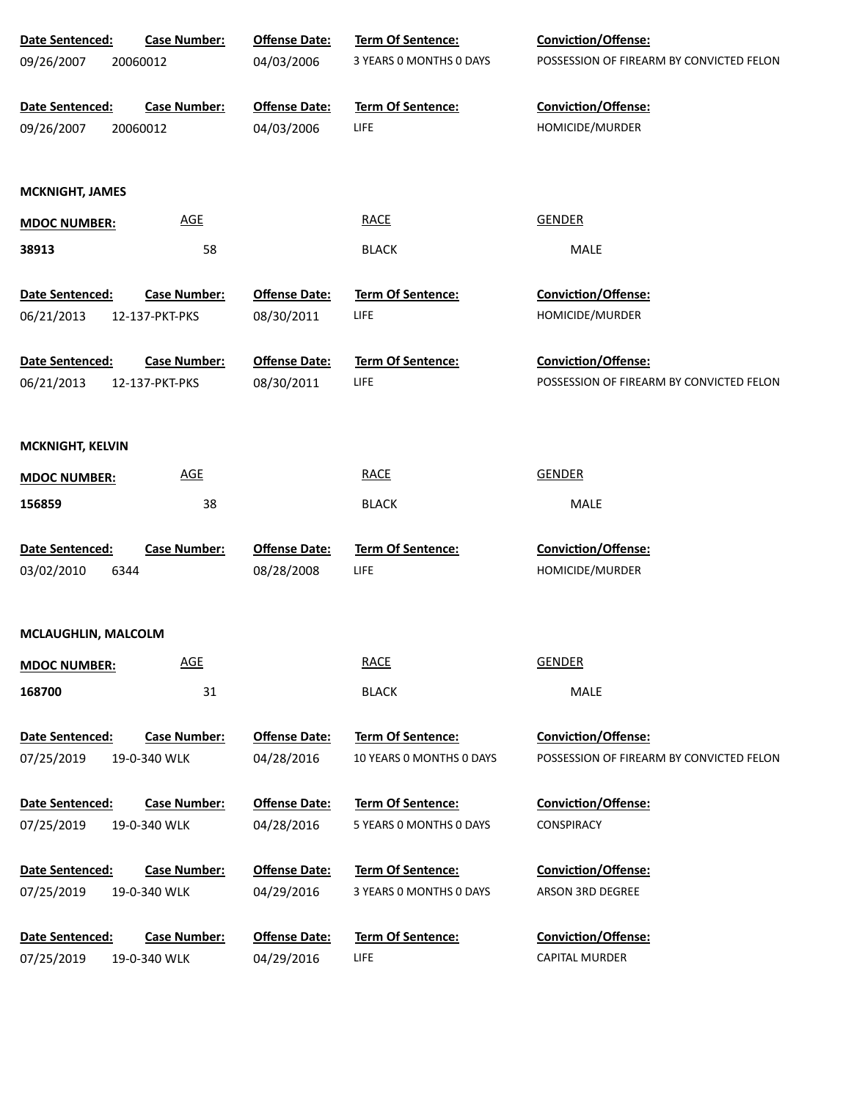| Date Sentenced:               | <b>Case Number:</b>                 | <b>Offense Date:</b>               | Term Of Sentence:        | <b>Conviction/Offense:</b>               |
|-------------------------------|-------------------------------------|------------------------------------|--------------------------|------------------------------------------|
| 09/26/2007<br>20060012        |                                     | 04/03/2006                         | 3 YEARS 0 MONTHS 0 DAYS  | POSSESSION OF FIREARM BY CONVICTED FELON |
| Date Sentenced:               | <b>Case Number:</b>                 | <b>Offense Date:</b>               | <b>Term Of Sentence:</b> | <b>Conviction/Offense:</b>               |
| 09/26/2007<br>20060012        |                                     | 04/03/2006                         | LIFE                     | HOMICIDE/MURDER                          |
|                               |                                     |                                    |                          |                                          |
| <b>MCKNIGHT, JAMES</b>        |                                     |                                    |                          |                                          |
| <b>MDOC NUMBER:</b>           | <b>AGE</b>                          |                                    | <b>RACE</b>              | <b>GENDER</b>                            |
| 38913                         | 58                                  |                                    | <b>BLACK</b>             | MALE                                     |
| Date Sentenced:               | <b>Case Number:</b>                 | <b>Offense Date:</b>               | Term Of Sentence:        | <b>Conviction/Offense:</b>               |
| 06/21/2013                    | 12-137-PKT-PKS                      | 08/30/2011                         | LIFE                     | HOMICIDE/MURDER                          |
| Date Sentenced:               | <b>Case Number:</b>                 | <b>Offense Date:</b>               | Term Of Sentence:        | <b>Conviction/Offense:</b>               |
| 06/21/2013                    | 12-137-PKT-PKS                      | 08/30/2011                         | LIFE                     | POSSESSION OF FIREARM BY CONVICTED FELON |
|                               |                                     |                                    |                          |                                          |
| <b>MCKNIGHT, KELVIN</b>       |                                     |                                    |                          |                                          |
| <b>MDOC NUMBER:</b>           | <b>AGE</b>                          |                                    | <b>RACE</b>              | <b>GENDER</b>                            |
| 156859                        | 38                                  |                                    | <b>BLACK</b>             | MALE                                     |
| Date Sentenced:               | <b>Case Number:</b>                 | <b>Offense Date:</b>               | Term Of Sentence:        | Conviction/Offense:                      |
| 03/02/2010<br>6344            |                                     | 08/28/2008                         | LIFE                     | HOMICIDE/MURDER                          |
|                               |                                     |                                    |                          |                                          |
| MCLAUGHLIN, MALCOLM           |                                     |                                    |                          |                                          |
| <b>MDOC NUMBER:</b>           | <b>AGE</b>                          |                                    | <b>RACE</b>              | <b>GENDER</b>                            |
| 168700                        | 31                                  |                                    | <b>BLACK</b>             | <b>MALE</b>                              |
| Date Sentenced:               | <b>Case Number:</b>                 | <b>Offense Date:</b>               | Term Of Sentence:        | Conviction/Offense:                      |
| 07/25/2019                    | 19-0-340 WLK                        | 04/28/2016                         | 10 YEARS 0 MONTHS 0 DAYS | POSSESSION OF FIREARM BY CONVICTED FELON |
| Date Sentenced:               | <b>Case Number:</b>                 | <b>Offense Date:</b>               | Term Of Sentence:        | <b>Conviction/Offense:</b>               |
| 07/25/2019                    | 19-0-340 WLK                        | 04/28/2016                         | 5 YEARS O MONTHS O DAYS  | CONSPIRACY                               |
|                               |                                     |                                    |                          |                                          |
|                               |                                     |                                    | 3 YEARS O MONTHS O DAYS  | ARSON 3RD DEGREE                         |
|                               |                                     |                                    |                          |                                          |
| Date Sentenced:               | <b>Case Number:</b>                 | <b>Offense Date:</b>               | Term Of Sentence:        | Conviction/Offense:                      |
| 07/25/2019                    | 19-0-340 WLK                        | 04/29/2016                         | LIFE                     | <b>CAPITAL MURDER</b>                    |
| Date Sentenced:<br>07/25/2019 | <b>Case Number:</b><br>19-0-340 WLK | <b>Offense Date:</b><br>04/29/2016 | Term Of Sentence:        | Conviction/Offense:                      |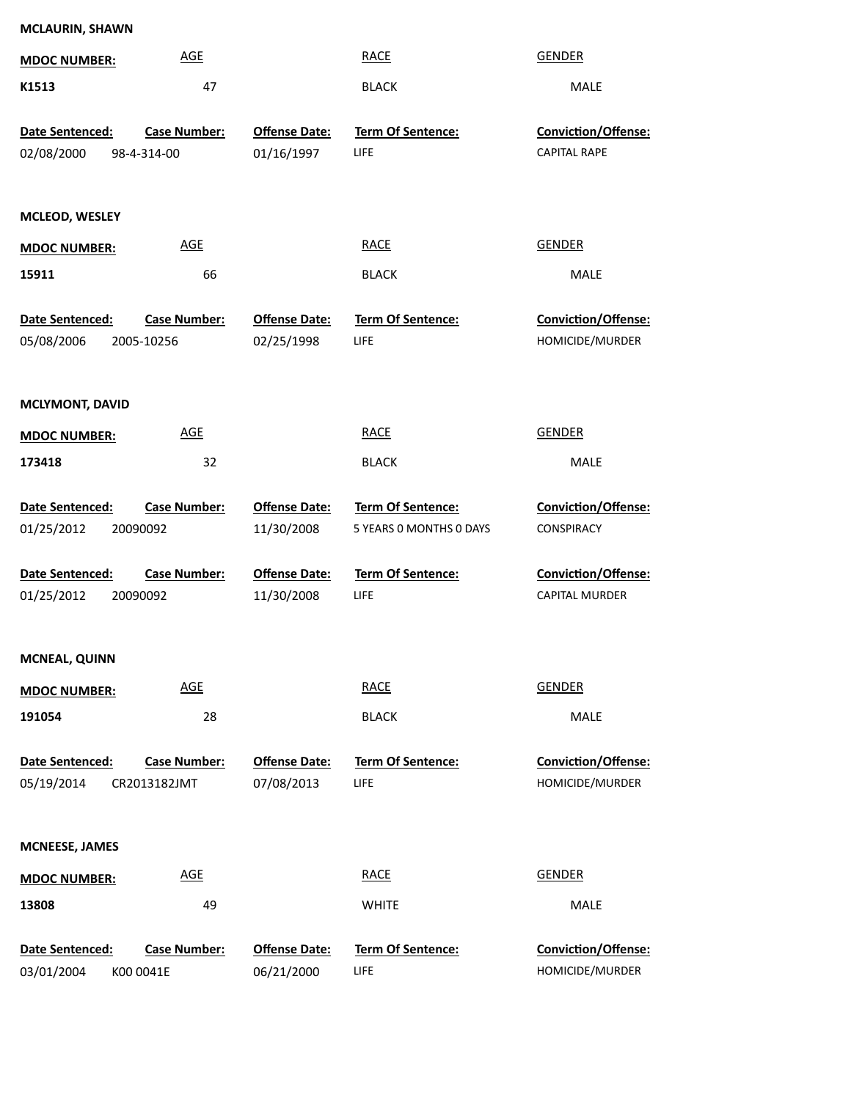| <b>MCLAURIN, SHAWN</b>        |                                   |                                    |                                  |                                        |
|-------------------------------|-----------------------------------|------------------------------------|----------------------------------|----------------------------------------|
| <b>MDOC NUMBER:</b>           | <b>AGE</b>                        |                                    | <b>RACE</b>                      | <b>GENDER</b>                          |
| K1513                         | 47                                |                                    | <b>BLACK</b>                     | MALE                                   |
| Date Sentenced:               | <b>Case Number:</b>               | <b>Offense Date:</b>               | Term Of Sentence:                | Conviction/Offense:                    |
| 02/08/2000                    | 98-4-314-00                       | 01/16/1997                         | LIFE                             | <b>CAPITAL RAPE</b>                    |
| MCLEOD, WESLEY                |                                   |                                    |                                  |                                        |
| <b>MDOC NUMBER:</b>           | <b>AGE</b>                        |                                    | <b>RACE</b>                      | <b>GENDER</b>                          |
| 15911                         | 66                                |                                    | <b>BLACK</b>                     | <b>MALE</b>                            |
| Date Sentenced:<br>05/08/2006 | <b>Case Number:</b><br>2005-10256 | <b>Offense Date:</b><br>02/25/1998 | Term Of Sentence:<br><b>LIFE</b> | Conviction/Offense:<br>HOMICIDE/MURDER |
| <b>MCLYMONT, DAVID</b>        |                                   |                                    |                                  |                                        |
| <b>MDOC NUMBER:</b>           | <b>AGE</b>                        |                                    | <b>RACE</b>                      | <b>GENDER</b>                          |
| 173418                        | 32                                |                                    | <b>BLACK</b>                     | MALE                                   |
| Date Sentenced:               | <b>Case Number:</b>               | <b>Offense Date:</b>               | Term Of Sentence:                | Conviction/Offense:                    |
| 01/25/2012                    | 20090092                          | 11/30/2008                         | 5 YEARS 0 MONTHS 0 DAYS          | <b>CONSPIRACY</b>                      |
| Date Sentenced:               | <b>Case Number:</b>               | <b>Offense Date:</b>               | Term Of Sentence:                | Conviction/Offense:                    |
| 01/25/2012                    | 20090092                          | 11/30/2008                         | LIFE                             | <b>CAPITAL MURDER</b>                  |
| <b>MCNEAL, QUINN</b>          |                                   |                                    |                                  |                                        |
| <b>MDOC NUMBER:</b>           | <b>AGE</b>                        |                                    | <b>RACE</b>                      | <b>GENDER</b>                          |
| 191054                        | 28                                |                                    | <b>BLACK</b>                     | MALE                                   |
| Date Sentenced:               | <b>Case Number:</b>               | <b>Offense Date:</b>               | Term Of Sentence:                | Conviction/Offense:                    |
| 05/19/2014                    | CR2013182JMT                      | 07/08/2013                         | LIFE                             | HOMICIDE/MURDER                        |
| <b>MCNEESE, JAMES</b>         |                                   |                                    |                                  |                                        |
| <b>MDOC NUMBER:</b>           | <b>AGE</b>                        |                                    | <b>RACE</b>                      | <b>GENDER</b>                          |
| 13808                         | 49                                |                                    | <b>WHITE</b>                     | MALE                                   |
| Date Sentenced:               | <b>Case Number:</b>               | <b>Offense Date:</b>               | Term Of Sentence:                | Conviction/Offense:                    |
| 03/01/2004                    | K00 0041E                         | 06/21/2000                         | LIFE                             | HOMICIDE/MURDER                        |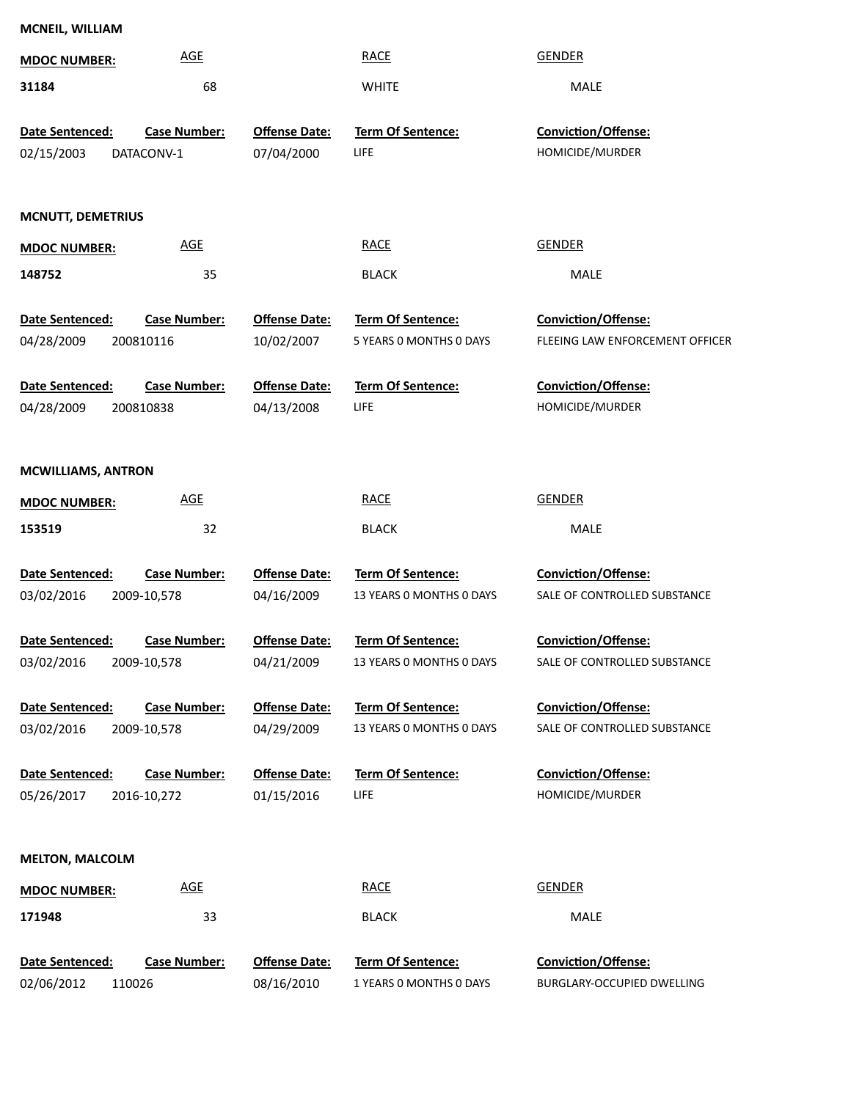| MCNEIL, WILLIAM           |                     |                      |                          |                                 |
|---------------------------|---------------------|----------------------|--------------------------|---------------------------------|
| <b>MDOC NUMBER:</b>       | <b>AGE</b>          |                      | <b>RACE</b>              | <b>GENDER</b>                   |
| 31184                     | 68                  |                      | <b>WHITE</b>             | MALE                            |
| Date Sentenced:           | <b>Case Number:</b> | <b>Offense Date:</b> | <b>Term Of Sentence:</b> | <b>Conviction/Offense:</b>      |
| 02/15/2003                | DATACONV-1          | 07/04/2000           | LIFE                     | HOMICIDE/MURDER                 |
|                           |                     |                      |                          |                                 |
| <b>MCNUTT, DEMETRIUS</b>  |                     |                      |                          |                                 |
| <b>MDOC NUMBER:</b>       | <b>AGE</b>          |                      | <b>RACE</b>              | <b>GENDER</b>                   |
| 148752                    | 35                  |                      | <b>BLACK</b>             | MALE                            |
| Date Sentenced:           | <b>Case Number:</b> | <b>Offense Date:</b> | <b>Term Of Sentence:</b> | Conviction/Offense:             |
| 04/28/2009                | 200810116           | 10/02/2007           | 5 YEARS 0 MONTHS 0 DAYS  | FLEEING LAW ENFORCEMENT OFFICER |
| Date Sentenced:           | <b>Case Number:</b> | <b>Offense Date:</b> | Term Of Sentence:        | Conviction/Offense:             |
| 04/28/2009                | 200810838           | 04/13/2008           | LIFE                     | HOMICIDE/MURDER                 |
|                           |                     |                      |                          |                                 |
| <b>MCWILLIAMS, ANTRON</b> |                     |                      |                          |                                 |
| <b>MDOC NUMBER:</b>       | <b>AGE</b>          |                      | <b>RACE</b>              | <b>GENDER</b>                   |
| 153519                    | 32                  |                      | <b>BLACK</b>             | MALE                            |
| Date Sentenced:           | <b>Case Number:</b> | <b>Offense Date:</b> | <b>Term Of Sentence:</b> | Conviction/Offense:             |
| 03/02/2016                | 2009-10,578         | 04/16/2009           | 13 YEARS 0 MONTHS 0 DAYS | SALE OF CONTROLLED SUBSTANCE    |
| Date Sentenced:           | <b>Case Number:</b> | <b>Offense Date:</b> | Term Of Sentence:        | Conviction/Offense:             |
| 03/02/2016                | 2009-10,578         | 04/21/2009           | 13 YEARS O MONTHS O DAYS | SALE OF CONTROLLED SUBSTANCE    |
| Date Sentenced:           | <b>Case Number:</b> | <b>Offense Date:</b> | <b>Term Of Sentence:</b> | <b>Conviction/Offense:</b>      |
| 03/02/2016                | 2009-10,578         | 04/29/2009           | 13 YEARS 0 MONTHS 0 DAYS | SALE OF CONTROLLED SUBSTANCE    |
| Date Sentenced:           | <b>Case Number:</b> | <b>Offense Date:</b> | <b>Term Of Sentence:</b> | <b>Conviction/Offense:</b>      |
| 05/26/2017                | 2016-10,272         | 01/15/2016           | LIFE                     | HOMICIDE/MURDER                 |
|                           |                     |                      |                          |                                 |
| <b>MELTON, MALCOLM</b>    |                     |                      |                          |                                 |
| <b>MDOC NUMBER:</b>       | <b>AGE</b>          |                      | <b>RACE</b>              | <b>GENDER</b>                   |
| 171948                    | 33                  |                      | <b>BLACK</b>             | MALE                            |
| Date Sentenced:           | Case Number:        | <b>Offense Date:</b> | Term Of Sentence:        | <b>Conviction/Offense:</b>      |
| 02/06/2012<br>110026      |                     | 08/16/2010           | 1 YEARS O MONTHS O DAYS  | BURGLARY-OCCUPIED DWELLING      |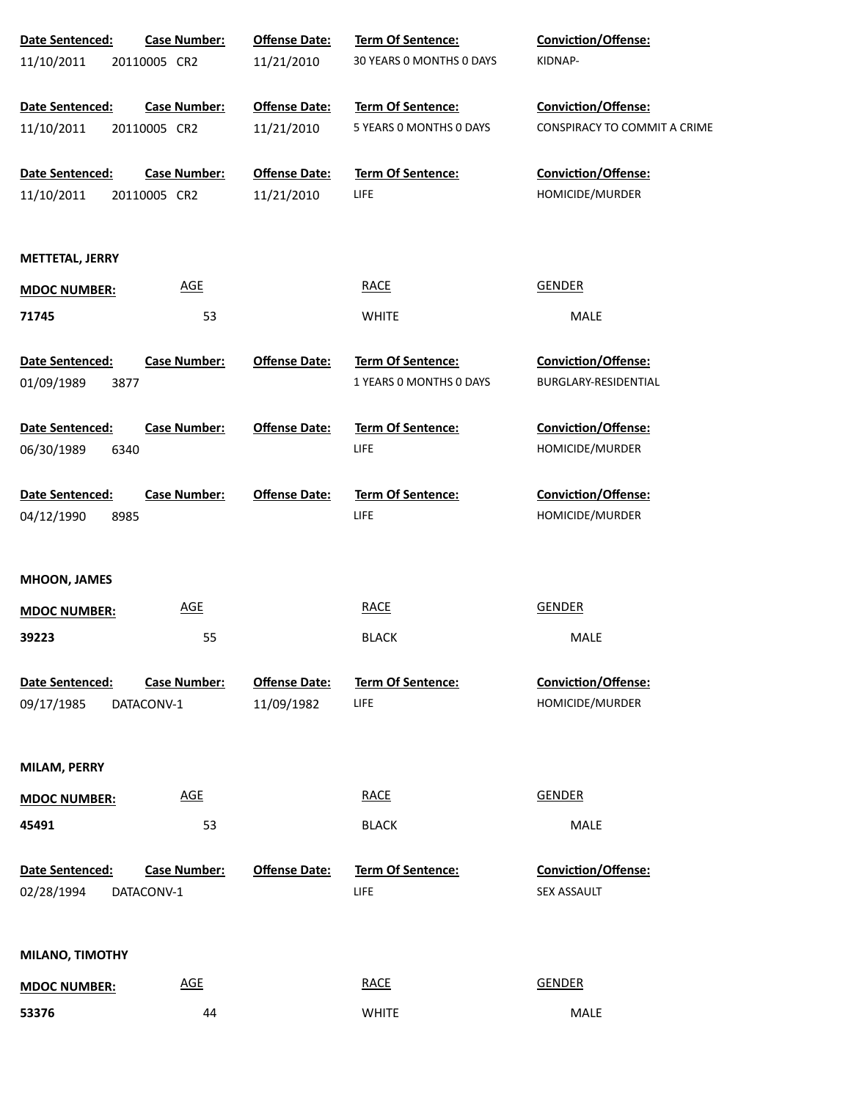| Date Sentenced:               | <b>Case Number:</b>               | <b>Offense Date:</b> | Term Of Sentence:                       | Conviction/Offense:                       |
|-------------------------------|-----------------------------------|----------------------|-----------------------------------------|-------------------------------------------|
| 11/10/2011                    | 20110005 CR2                      | 11/21/2010           | 30 YEARS 0 MONTHS 0 DAYS                | KIDNAP-                                   |
| Date Sentenced:               | <b>Case Number:</b>               | <b>Offense Date:</b> | Term Of Sentence:                       | Conviction/Offense:                       |
| 11/10/2011                    | 20110005 CR2                      | 11/21/2010           | 5 YEARS 0 MONTHS 0 DAYS                 | CONSPIRACY TO COMMIT A CRIME              |
| Date Sentenced:               | <b>Case Number:</b>               | <b>Offense Date:</b> | Term Of Sentence:                       | Conviction/Offense:                       |
| 11/10/2011                    | 20110005 CR2                      | 11/21/2010           | LIFE.                                   | HOMICIDE/MURDER                           |
| <b>METTETAL, JERRY</b>        |                                   |                      |                                         |                                           |
| <b>MDOC NUMBER:</b>           | <b>AGE</b>                        |                      | <b>RACE</b>                             | <b>GENDER</b>                             |
| 71745                         | 53                                |                      | <b>WHITE</b>                            | MALE                                      |
| Date Sentenced:               | <b>Case Number:</b>               | <b>Offense Date:</b> | Term Of Sentence:                       | Conviction/Offense:                       |
| 01/09/1989<br>3877            |                                   |                      | 1 YEARS 0 MONTHS 0 DAYS                 | BURGLARY-RESIDENTIAL                      |
| Date Sentenced:               | <b>Case Number:</b>               | <b>Offense Date:</b> | <b>Term Of Sentence:</b>                | Conviction/Offense:                       |
| 06/30/1989<br>6340            |                                   |                      | <b>LIFE</b>                             | HOMICIDE/MURDER                           |
| Date Sentenced:               | <b>Case Number:</b>               | <b>Offense Date:</b> | <b>Term Of Sentence:</b>                | Conviction/Offense:                       |
| 04/12/1990<br>8985            |                                   |                      | <b>LIFE</b>                             | HOMICIDE/MURDER                           |
| <b>MHOON, JAMES</b>           |                                   |                      |                                         |                                           |
| <b>MDOC NUMBER:</b>           | <u>AGE</u>                        |                      | <b>RACE</b>                             | GENDER                                    |
| 39223                         | 55                                |                      | <b>BLACK</b>                            | MALE                                      |
| Date Sentenced:               | <b>Case Number:</b>               | <b>Offense Date:</b> | Term Of Sentence:                       | Conviction/Offense:                       |
| 09/17/1985                    | DATACONV-1                        | 11/09/1982           | <b>LIFE</b>                             | HOMICIDE/MURDER                           |
| MILAM, PERRY                  |                                   |                      |                                         |                                           |
| <b>MDOC NUMBER:</b>           | <b>AGE</b>                        |                      | <b>RACE</b>                             | <b>GENDER</b>                             |
| 45491                         | 53                                |                      | <b>BLACK</b>                            | MALE                                      |
| Date Sentenced:<br>02/28/1994 | <b>Case Number:</b><br>DATACONV-1 | <b>Offense Date:</b> | <b>Term Of Sentence:</b><br><b>LIFE</b> | Conviction/Offense:<br><b>SEX ASSAULT</b> |
| MILANO, TIMOTHY               |                                   |                      |                                         |                                           |
| <b>MDOC NUMBER:</b>           | <u>AGE</u>                        |                      | <b>RACE</b>                             | <b>GENDER</b>                             |
| 53376                         | 44                                |                      | <b>WHITE</b>                            | MALE                                      |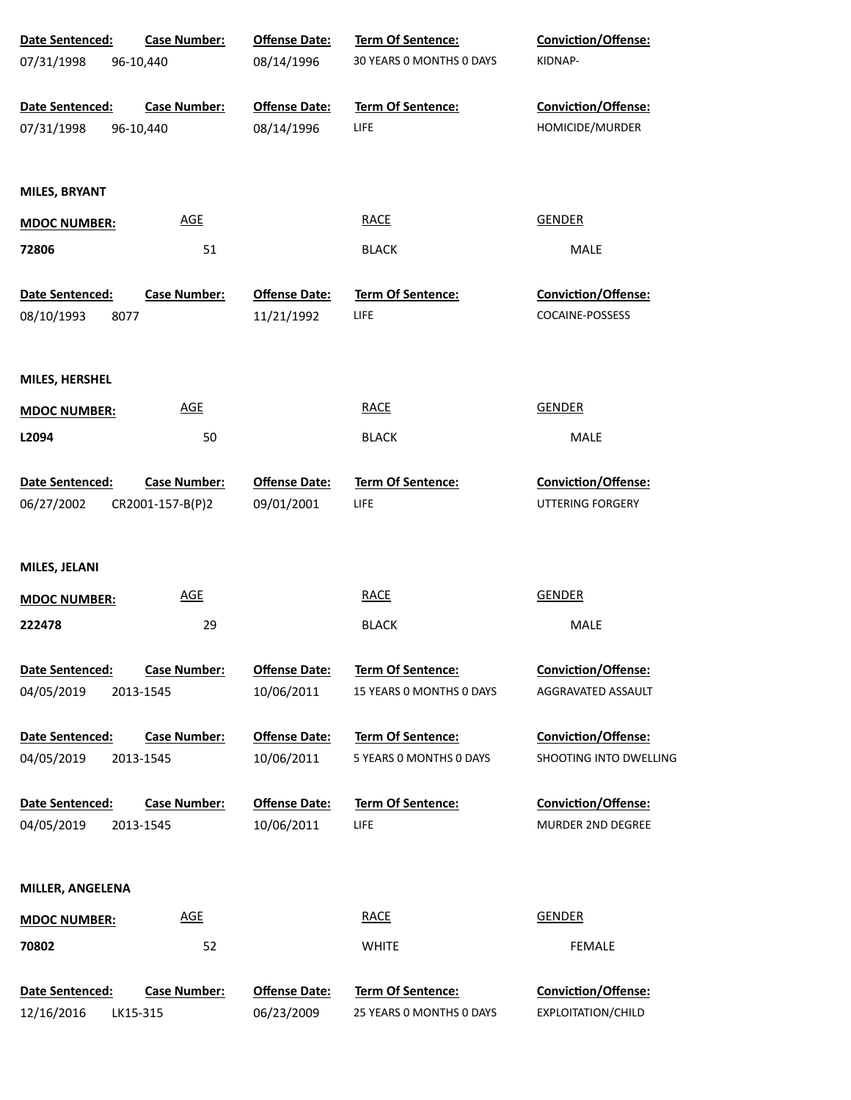| Date Sentenced:     | <b>Case Number:</b> | <b>Offense Date:</b> | Term Of Sentence:        | Conviction/Offense:        |
|---------------------|---------------------|----------------------|--------------------------|----------------------------|
| 07/31/1998          | 96-10,440           | 08/14/1996           | 30 YEARS 0 MONTHS 0 DAYS | KIDNAP-                    |
| Date Sentenced:     | <b>Case Number:</b> | <b>Offense Date:</b> | Term Of Sentence:        | Conviction/Offense:        |
| 07/31/1998          | 96-10,440           | 08/14/1996           | LIFE                     | HOMICIDE/MURDER            |
|                     |                     |                      |                          |                            |
| MILES, BRYANT       |                     |                      |                          |                            |
| <b>MDOC NUMBER:</b> | <b>AGE</b>          |                      | <b>RACE</b>              | <b>GENDER</b>              |
| 72806               | 51                  |                      | <b>BLACK</b>             | MALE                       |
| Date Sentenced:     | <b>Case Number:</b> | <b>Offense Date:</b> | Term Of Sentence:        | Conviction/Offense:        |
| 08/10/1993          | 8077                | 11/21/1992           | LIFE                     | COCAINE-POSSESS            |
|                     |                     |                      |                          |                            |
| MILES, HERSHEL      |                     |                      |                          |                            |
| <b>MDOC NUMBER:</b> | <b>AGE</b>          |                      | <b>RACE</b>              | <b>GENDER</b>              |
| L2094               | 50                  |                      | <b>BLACK</b>             | MALE                       |
| Date Sentenced:     | <b>Case Number:</b> | <b>Offense Date:</b> | Term Of Sentence:        | Conviction/Offense:        |
| 06/27/2002          | CR2001-157-B(P)2    | 09/01/2001           | LIFE                     | UTTERING FORGERY           |
|                     |                     |                      |                          |                            |
| MILES, JELANI       |                     |                      |                          |                            |
| <b>MDOC NUMBER:</b> | <b>AGE</b>          |                      | <b>RACE</b>              | <b>GENDER</b>              |
| 222478              | 29                  |                      | <b>BLACK</b>             | MALE                       |
| Date Sentenced:     | <b>Case Number:</b> | <b>Offense Date:</b> | <b>Term Of Sentence:</b> | <b>Conviction/Offense:</b> |
| 04/05/2019          | 2013-1545           | 10/06/2011           | 15 YEARS 0 MONTHS 0 DAYS | AGGRAVATED ASSAULT         |
| Date Sentenced:     | <b>Case Number:</b> | <b>Offense Date:</b> | <b>Term Of Sentence:</b> | <b>Conviction/Offense:</b> |
| 04/05/2019          | 2013-1545           | 10/06/2011           | 5 YEARS O MONTHS O DAYS  | SHOOTING INTO DWELLING     |
| Date Sentenced:     | <b>Case Number:</b> | <b>Offense Date:</b> | <b>Term Of Sentence:</b> | <b>Conviction/Offense:</b> |
| 04/05/2019          | 2013-1545           | 10/06/2011           | LIFE                     | MURDER 2ND DEGREE          |
|                     |                     |                      |                          |                            |
| MILLER, ANGELENA    |                     |                      |                          |                            |
| <b>MDOC NUMBER:</b> | <u>AGE</u>          |                      | <b>RACE</b>              | <b>GENDER</b>              |
| 70802               | 52                  |                      | <b>WHITE</b>             | <b>FEMALE</b>              |
| Date Sentenced:     | <b>Case Number:</b> | <b>Offense Date:</b> | Term Of Sentence:        | Conviction/Offense:        |
| 12/16/2016          | LK15-315            | 06/23/2009           | 25 YEARS 0 MONTHS 0 DAYS | EXPLOITATION/CHILD         |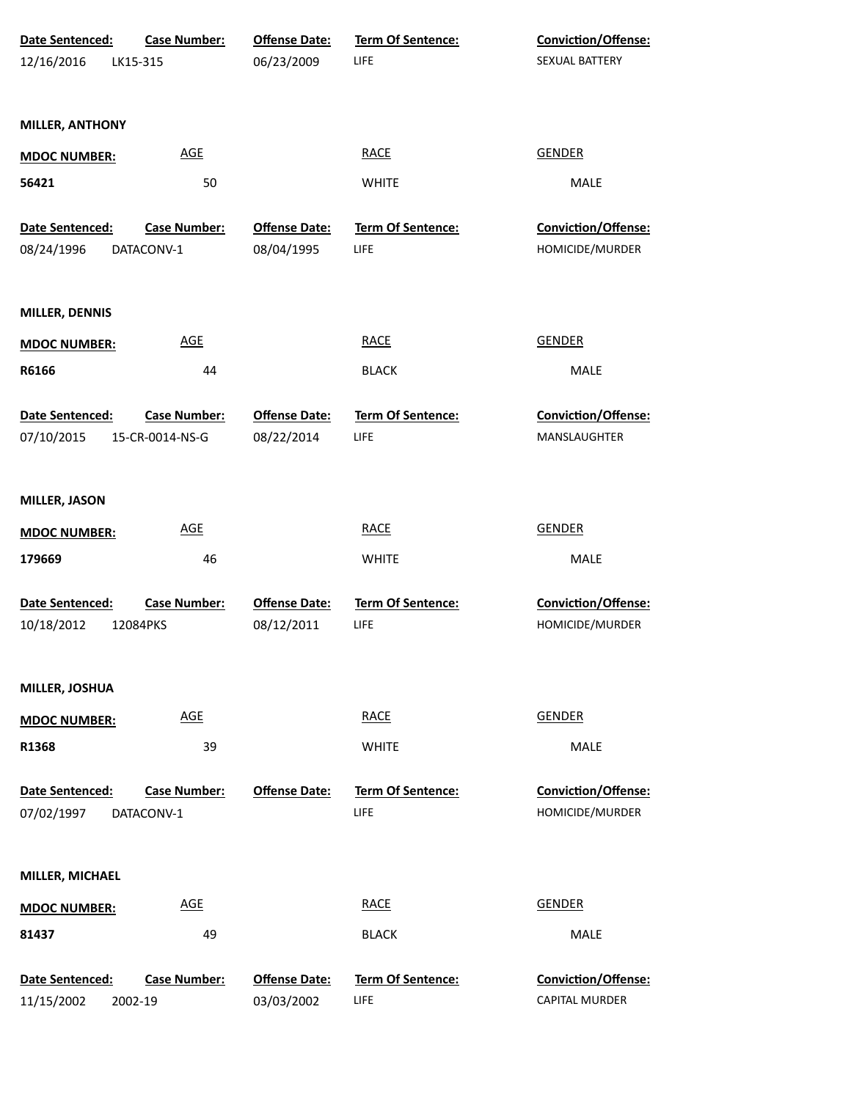| Date Sentenced:        | Case Number:        | <b>Offense Date:</b> | Term Of Sentence:        | Conviction/Offense:        |
|------------------------|---------------------|----------------------|--------------------------|----------------------------|
| 12/16/2016             | LK15-315            | 06/23/2009           | LIFE                     | SEXUAL BATTERY             |
|                        |                     |                      |                          |                            |
| <b>MILLER, ANTHONY</b> |                     |                      |                          |                            |
|                        |                     |                      |                          |                            |
| <b>MDOC NUMBER:</b>    | <b>AGE</b>          |                      | <b>RACE</b>              | <b>GENDER</b>              |
| 56421                  | 50                  |                      | <b>WHITE</b>             | <b>MALE</b>                |
|                        |                     |                      |                          |                            |
| Date Sentenced:        | <b>Case Number:</b> | <b>Offense Date:</b> | Term Of Sentence:        | Conviction/Offense:        |
| 08/24/1996             | DATACONV-1          | 08/04/1995           | LIFE                     | HOMICIDE/MURDER            |
|                        |                     |                      |                          |                            |
| MILLER, DENNIS         |                     |                      |                          |                            |
| <b>MDOC NUMBER:</b>    | <b>AGE</b>          |                      | <b>RACE</b>              | <b>GENDER</b>              |
| R6166                  | 44                  |                      | <b>BLACK</b>             | MALE                       |
|                        |                     |                      |                          |                            |
| Date Sentenced:        | Case Number:        | <b>Offense Date:</b> | Term Of Sentence:        | Conviction/Offense:        |
| 07/10/2015             | 15-CR-0014-NS-G     | 08/22/2014           | LIFE                     | MANSLAUGHTER               |
|                        |                     |                      |                          |                            |
| <b>MILLER, JASON</b>   |                     |                      |                          |                            |
|                        |                     |                      |                          |                            |
| <b>MDOC NUMBER:</b>    | <b>AGE</b>          |                      | <b>RACE</b>              | <b>GENDER</b>              |
| 179669                 | 46                  |                      | <b>WHITE</b>             | MALE                       |
| Date Sentenced:        | <b>Case Number:</b> | <b>Offense Date:</b> | <b>Term Of Sentence:</b> | Conviction/Offense:        |
| 10/18/2012             | 12084PKS            | 08/12/2011           | LIFE                     | HOMICIDE/MURDER            |
|                        |                     |                      |                          |                            |
|                        |                     |                      |                          |                            |
| MILLER, JOSHUA         |                     |                      |                          |                            |
| <b>MDOC NUMBER:</b>    | <b>AGE</b>          |                      | <b>RACE</b>              | <b>GENDER</b>              |
| R1368                  | 39                  |                      | <b>WHITE</b>             | MALE                       |
|                        |                     |                      |                          |                            |
| Date Sentenced:        | <b>Case Number:</b> | <b>Offense Date:</b> | <b>Term Of Sentence:</b> | <b>Conviction/Offense:</b> |
| 07/02/1997             | DATACONV-1          |                      | LIFE                     | HOMICIDE/MURDER            |
|                        |                     |                      |                          |                            |
| MILLER, MICHAEL        |                     |                      |                          |                            |
| <b>MDOC NUMBER:</b>    | <b>AGE</b>          |                      | <b>RACE</b>              | <b>GENDER</b>              |
|                        |                     |                      |                          |                            |
| 81437                  | 49                  |                      | <b>BLACK</b>             | MALE                       |
| Date Sentenced:        | <b>Case Number:</b> | <b>Offense Date:</b> | <b>Term Of Sentence:</b> | Conviction/Offense:        |
| 11/15/2002             | 2002-19             | 03/03/2002           | LIFE                     | CAPITAL MURDER             |
|                        |                     |                      |                          |                            |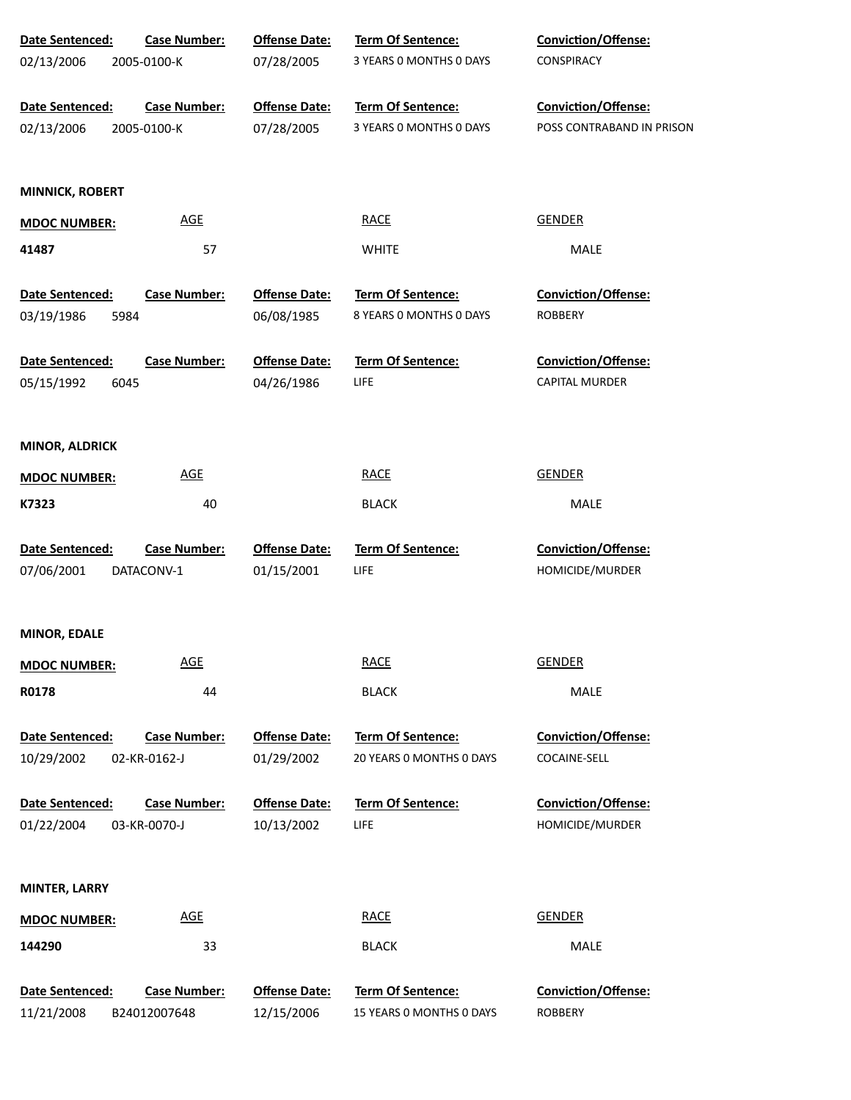| Date Sentenced:               | <b>Case Number:</b>               | <b>Offense Date:</b>               | Term Of Sentence:         | Conviction/Offense:                    |
|-------------------------------|-----------------------------------|------------------------------------|---------------------------|----------------------------------------|
| 02/13/2006                    | 2005-0100-K                       | 07/28/2005                         | 3 YEARS 0 MONTHS 0 DAYS   | CONSPIRACY                             |
| Date Sentenced:               | <b>Case Number:</b>               | <b>Offense Date:</b>               | Term Of Sentence:         | Conviction/Offense:                    |
| 02/13/2006                    | 2005-0100-K                       | 07/28/2005                         | 3 YEARS 0 MONTHS 0 DAYS   | POSS CONTRABAND IN PRISON              |
| <b>MINNICK, ROBERT</b>        |                                   |                                    |                           |                                        |
| <b>MDOC NUMBER:</b>           | $\underline{\mathsf{AGE}}$        |                                    | <b>RACE</b>               | <b>GENDER</b>                          |
| 41487                         | 57                                |                                    | <b>WHITE</b>              | MALE                                   |
| Date Sentenced:               | <b>Case Number:</b>               | <b>Offense Date:</b>               | Term Of Sentence:         | <b>Conviction/Offense:</b>             |
| 03/19/1986<br>5984            |                                   | 06/08/1985                         | 8 YEARS O MONTHS O DAYS   | <b>ROBBERY</b>                         |
| Date Sentenced:               | <b>Case Number:</b>               | <b>Offense Date:</b>               | <b>Term Of Sentence:</b>  | <b>Conviction/Offense:</b>             |
| 05/15/1992<br>6045            |                                   | 04/26/1986                         | LIFE                      | CAPITAL MURDER                         |
| <b>MINOR, ALDRICK</b>         |                                   |                                    |                           |                                        |
| <b>MDOC NUMBER:</b>           | $\underline{\mathsf{AGE}}$        |                                    | <b>RACE</b>               | <b>GENDER</b>                          |
| K7323                         | 40                                |                                    | <b>BLACK</b>              | MALE                                   |
| Date Sentenced:<br>07/06/2001 | <b>Case Number:</b><br>DATACONV-1 | <b>Offense Date:</b><br>01/15/2001 | Term Of Sentence:<br>LIFE | Conviction/Offense:<br>HOMICIDE/MURDER |
| MINOR, EDALE                  |                                   |                                    |                           |                                        |
| <b>MDOC NUMBER:</b>           | <b>AGE</b>                        |                                    | <b>RACE</b>               | <b>GENDER</b>                          |
| R0178                         | 44                                |                                    | <b>BLACK</b>              | MALE                                   |
| <b>Date Sentenced:</b>        | <b>Case Number:</b>               | <b>Offense Date:</b>               | Term Of Sentence:         | Conviction/Offense:                    |
| 10/29/2002                    | 02-KR-0162-J                      | 01/29/2002                         | 20 YEARS 0 MONTHS 0 DAYS  | COCAINE-SELL                           |
| Date Sentenced:               | <b>Case Number:</b>               | <b>Offense Date:</b>               | <b>Term Of Sentence:</b>  | Conviction/Offense:                    |
| 01/22/2004                    | 03-KR-0070-J                      | 10/13/2002                         | LIFE                      | HOMICIDE/MURDER                        |
| MINTER, LARRY                 |                                   |                                    |                           |                                        |
| <b>MDOC NUMBER:</b>           | <b>AGE</b>                        |                                    | <b>RACE</b>               | <b>GENDER</b>                          |
| 144290                        | 33                                |                                    | <b>BLACK</b>              | MALE                                   |
| Date Sentenced:               | <b>Case Number:</b>               | <b>Offense Date:</b>               | Term Of Sentence:         | Conviction/Offense:                    |
| 11/21/2008                    | B24012007648                      | 12/15/2006                         | 15 YEARS 0 MONTHS 0 DAYS  | <b>ROBBERY</b>                         |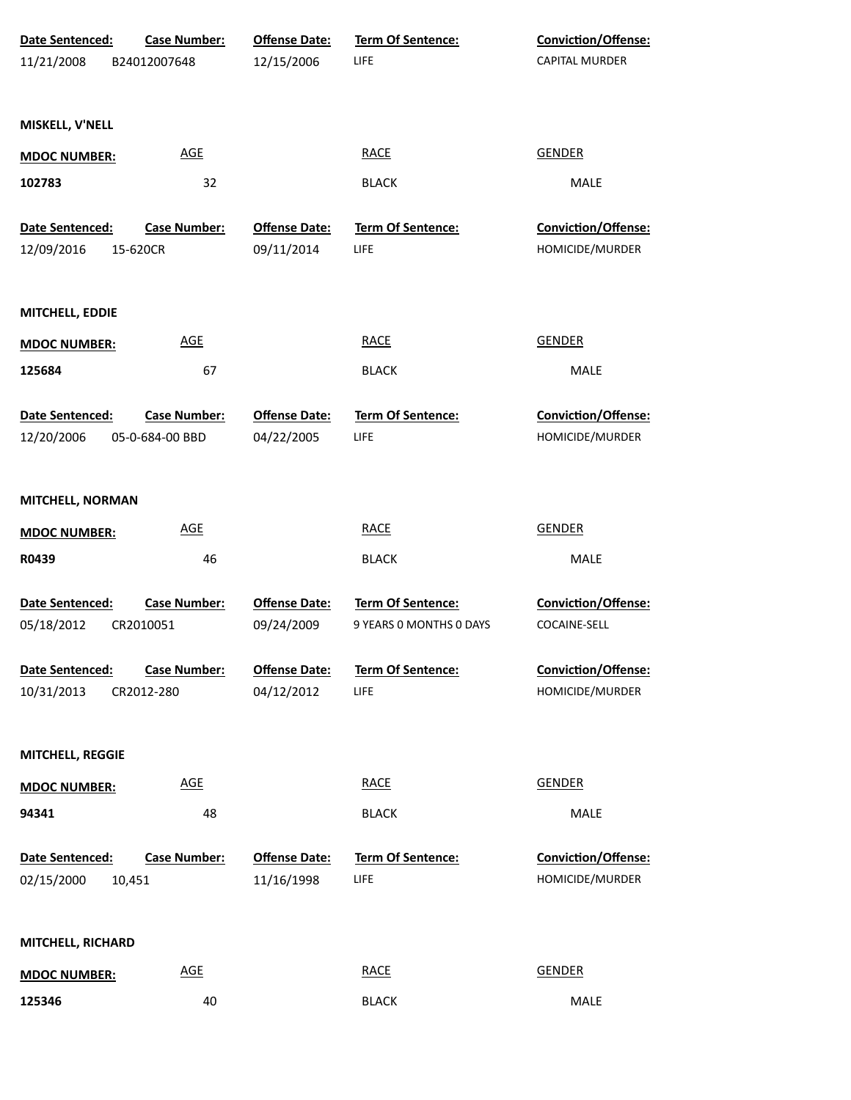| Date Sentenced:<br>11/21/2008           | <b>Case Number:</b><br>B24012007648    | <b>Offense Date:</b><br>12/15/2006 | Term Of Sentence:<br><b>LIFE</b>             | Conviction/Offense:<br>CAPITAL MURDER  |
|-----------------------------------------|----------------------------------------|------------------------------------|----------------------------------------------|----------------------------------------|
| MISKELL, V'NELL                         |                                        |                                    |                                              |                                        |
| <b>MDOC NUMBER:</b>                     | <b>AGE</b>                             |                                    | <b>RACE</b>                                  | <b>GENDER</b>                          |
| 102783                                  | 32                                     |                                    | <b>BLACK</b>                                 | <b>MALE</b>                            |
| Date Sentenced:                         | <b>Case Number:</b>                    | <b>Offense Date:</b>               | <b>Term Of Sentence:</b>                     | Conviction/Offense:                    |
| 12/09/2016                              | 15-620CR                               | 09/11/2014                         | <b>LIFE</b>                                  | HOMICIDE/MURDER                        |
| MITCHELL, EDDIE                         |                                        |                                    |                                              |                                        |
| <b>MDOC NUMBER:</b>                     | <b>AGE</b>                             |                                    | <b>RACE</b>                                  | <b>GENDER</b>                          |
| 125684                                  | 67                                     |                                    | <b>BLACK</b>                                 | MALE                                   |
| <b>Date Sentenced:</b><br>12/20/2006    | <b>Case Number:</b><br>05-0-684-00 BBD | <b>Offense Date:</b><br>04/22/2005 | Term Of Sentence:<br>LIFE                    | Conviction/Offense:<br>HOMICIDE/MURDER |
| MITCHELL, NORMAN                        |                                        |                                    |                                              |                                        |
| <b>MDOC NUMBER:</b>                     | <b>AGE</b>                             |                                    | <b>RACE</b>                                  | <b>GENDER</b>                          |
| R0439                                   | 46                                     |                                    | <b>BLACK</b>                                 | MALE                                   |
| Date Sentenced:<br>05/18/2012           | <b>Case Number:</b><br>CR2010051       | <b>Offense Date:</b><br>09/24/2009 | Term Of Sentence:<br>9 YEARS 0 MONTHS 0 DAYS | Conviction/Offense:<br>COCAINE-SELL    |
| <b>Date Sentenced:</b>                  | <b>Case Number:</b>                    | <b>Offense Date:</b>               | Term Of Sentence:                            | Conviction/Offense:                    |
| 10/31/2013                              | CR2012-280                             | 04/12/2012                         | LIFE                                         | HOMICIDE/MURDER                        |
| MITCHELL, REGGIE                        |                                        |                                    |                                              |                                        |
| <b>MDOC NUMBER:</b>                     | <b>AGE</b>                             |                                    | <b>RACE</b>                                  | <b>GENDER</b>                          |
| 94341                                   | 48                                     |                                    | <b>BLACK</b>                                 | MALE                                   |
| Date Sentenced:<br>02/15/2000<br>10,451 | <b>Case Number:</b>                    | <b>Offense Date:</b><br>11/16/1998 | Term Of Sentence:<br><b>LIFE</b>             | Conviction/Offense:<br>HOMICIDE/MURDER |
| MITCHELL, RICHARD                       |                                        |                                    |                                              |                                        |
| <b>MDOC NUMBER:</b>                     | AGE                                    |                                    | <b>RACE</b>                                  | <b>GENDER</b>                          |
| 125346                                  | 40                                     |                                    | <b>BLACK</b>                                 | MALE                                   |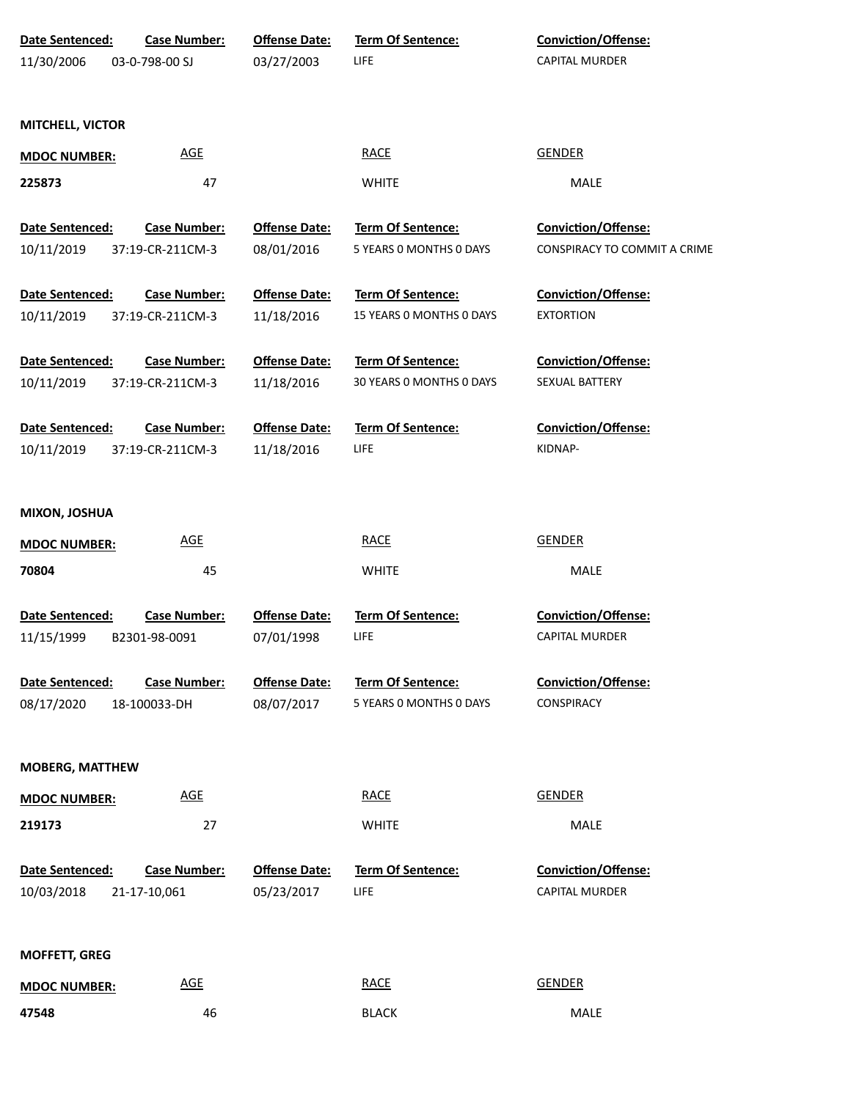| Date Sentenced:<br><b>Case Number:</b>        | <b>Offense Date:</b> | Term Of Sentence:        | Conviction/Offense:          |  |
|-----------------------------------------------|----------------------|--------------------------|------------------------------|--|
| 03-0-798-00 SJ<br>11/30/2006                  | 03/27/2003           | <b>LIFE</b>              | <b>CAPITAL MURDER</b>        |  |
|                                               |                      |                          |                              |  |
| <b>MITCHELL, VICTOR</b>                       |                      |                          |                              |  |
| <b>AGE</b><br><b>MDOC NUMBER:</b>             |                      | <b>RACE</b>              | <b>GENDER</b>                |  |
| 225873                                        | 47                   | <b>WHITE</b>             | MALE                         |  |
| Date Sentenced:<br><b>Case Number:</b>        | <b>Offense Date:</b> | Term Of Sentence:        | <b>Conviction/Offense:</b>   |  |
| 10/11/2019<br>37:19-CR-211CM-3                | 08/01/2016           | 5 YEARS 0 MONTHS 0 DAYS  | CONSPIRACY TO COMMIT A CRIME |  |
| Date Sentenced:<br><b>Case Number:</b>        | <b>Offense Date:</b> | Term Of Sentence:        | Conviction/Offense:          |  |
| 10/11/2019<br>37:19-CR-211CM-3                | 11/18/2016           | 15 YEARS O MONTHS O DAYS | <b>EXTORTION</b>             |  |
| Date Sentenced:<br><b>Case Number:</b>        | <b>Offense Date:</b> | Term Of Sentence:        | Conviction/Offense:          |  |
| 10/11/2019<br>37:19-CR-211CM-3                | 11/18/2016           | 30 YEARS 0 MONTHS 0 DAYS | SEXUAL BATTERY               |  |
| <b>Date Sentenced:</b><br><b>Case Number:</b> | <b>Offense Date:</b> | <b>Term Of Sentence:</b> | <b>Conviction/Offense:</b>   |  |
| 10/11/2019<br>37:19-CR-211CM-3                | 11/18/2016           | <b>LIFE</b>              | KIDNAP-                      |  |
|                                               |                      |                          |                              |  |
| <b>MIXON, JOSHUA</b>                          |                      |                          |                              |  |
| <u>AGE</u><br><b>MDOC NUMBER:</b>             |                      | <b>RACE</b>              | <b>GENDER</b>                |  |
| 70804                                         | 45                   | <b>WHITE</b>             | MALE                         |  |
| Date Sentenced:<br><b>Case Number:</b>        | <b>Offense Date:</b> | Term Of Sentence:        | Conviction/Offense:          |  |
| 11/15/1999<br>B2301-98-0091                   | 07/01/1998           | <b>LIFE</b>              | <b>CAPITAL MURDER</b>        |  |
| <b>Case Number:</b><br>Date Sentenced:        | <b>Offense Date:</b> | <b>Term Of Sentence:</b> | Conviction/Offense:          |  |
| 08/17/2020<br>18-100033-DH                    | 08/07/2017           | 5 YEARS 0 MONTHS 0 DAYS  | CONSPIRACY                   |  |
|                                               |                      |                          |                              |  |
| <b>MOBERG, MATTHEW</b>                        |                      |                          |                              |  |
| <b>AGE</b><br><b>MDOC NUMBER:</b>             |                      | <b>RACE</b>              | <b>GENDER</b>                |  |
| 219173                                        | 27                   | <b>WHITE</b>             | MALE                         |  |
| Date Sentenced:<br><b>Case Number:</b>        | <b>Offense Date:</b> | <b>Term Of Sentence:</b> | Conviction/Offense:          |  |
| 10/03/2018<br>21-17-10,061                    | 05/23/2017           | <b>LIFE</b>              | <b>CAPITAL MURDER</b>        |  |
|                                               |                      |                          |                              |  |
| <b>MOFFETT, GREG</b>                          |                      |                          |                              |  |
| <b>AGE</b><br><b>MDOC NUMBER:</b>             |                      | <b>RACE</b>              | <b>GENDER</b>                |  |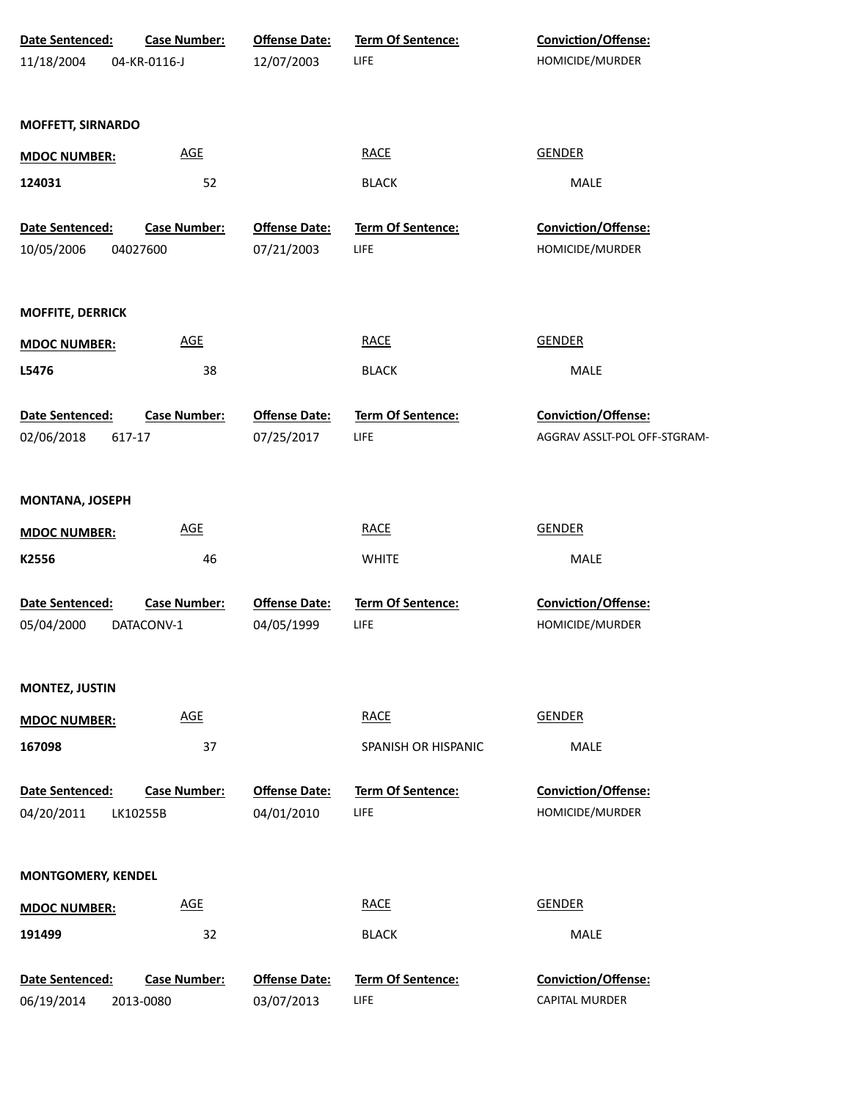| Date Sentenced:           | Case Number:        | <b>Offense Date:</b> | Term Of Sentence:        | Conviction/Offense:          |
|---------------------------|---------------------|----------------------|--------------------------|------------------------------|
| 11/18/2004                | 04-KR-0116-J        | 12/07/2003           | LIFE                     | HOMICIDE/MURDER              |
|                           |                     |                      |                          |                              |
| <b>MOFFETT, SIRNARDO</b>  |                     |                      |                          |                              |
| <b>MDOC NUMBER:</b>       | <b>AGE</b>          |                      | <b>RACE</b>              | <b>GENDER</b>                |
| 124031                    | 52                  |                      | <b>BLACK</b>             | MALE                         |
|                           |                     |                      |                          |                              |
| Date Sentenced:           | <b>Case Number:</b> | <b>Offense Date:</b> | Term Of Sentence:        | Conviction/Offense:          |
| 10/05/2006                | 04027600            | 07/21/2003           | LIFE                     | HOMICIDE/MURDER              |
| <b>MOFFITE, DERRICK</b>   |                     |                      |                          |                              |
| <b>MDOC NUMBER:</b>       | <b>AGE</b>          |                      | <b>RACE</b>              | <b>GENDER</b>                |
| L5476                     | 38                  |                      | <b>BLACK</b>             | MALE                         |
| Date Sentenced:           | Case Number:        | <b>Offense Date:</b> | Term Of Sentence:        | Conviction/Offense:          |
| 02/06/2018                | 617-17              | 07/25/2017           | LIFE                     | AGGRAV ASSLT-POL OFF-STGRAM- |
|                           |                     |                      |                          |                              |
| <b>MONTANA, JOSEPH</b>    |                     |                      |                          |                              |
| <b>MDOC NUMBER:</b>       | <b>AGE</b>          |                      | <b>RACE</b>              | <b>GENDER</b>                |
| K2556                     | 46                  |                      | <b>WHITE</b>             | MALE                         |
| Date Sentenced:           | <b>Case Number:</b> | <b>Offense Date:</b> | <b>Term Of Sentence:</b> | Conviction/Offense:          |
| 05/04/2000                | DATACONV-1          | 04/05/1999           | LIFE                     | HOMICIDE/MURDER              |
|                           |                     |                      |                          |                              |
| <b>MONTEZ, JUSTIN</b>     |                     |                      |                          |                              |
| <b>MDOC NUMBER:</b>       | <b>AGE</b>          |                      | <b>RACE</b>              | <b>GENDER</b>                |
| 167098                    | 37                  |                      | SPANISH OR HISPANIC      | <b>MALE</b>                  |
| Date Sentenced:           | <b>Case Number:</b> | <b>Offense Date:</b> | <b>Term Of Sentence:</b> | Conviction/Offense:          |
| 04/20/2011                | LK10255B            | 04/01/2010           | LIFE                     | HOMICIDE/MURDER              |
|                           |                     |                      |                          |                              |
| <b>MONTGOMERY, KENDEL</b> |                     |                      |                          |                              |
| <b>MDOC NUMBER:</b>       | <b>AGE</b>          |                      | <b>RACE</b>              | <b>GENDER</b>                |
| 191499                    | 32                  |                      | <b>BLACK</b>             | MALE                         |
| Date Sentenced:           | <b>Case Number:</b> | <b>Offense Date:</b> | <b>Term Of Sentence:</b> | Conviction/Offense:          |
| 06/19/2014                | 2013-0080           | 03/07/2013           | LIFE                     | CAPITAL MURDER               |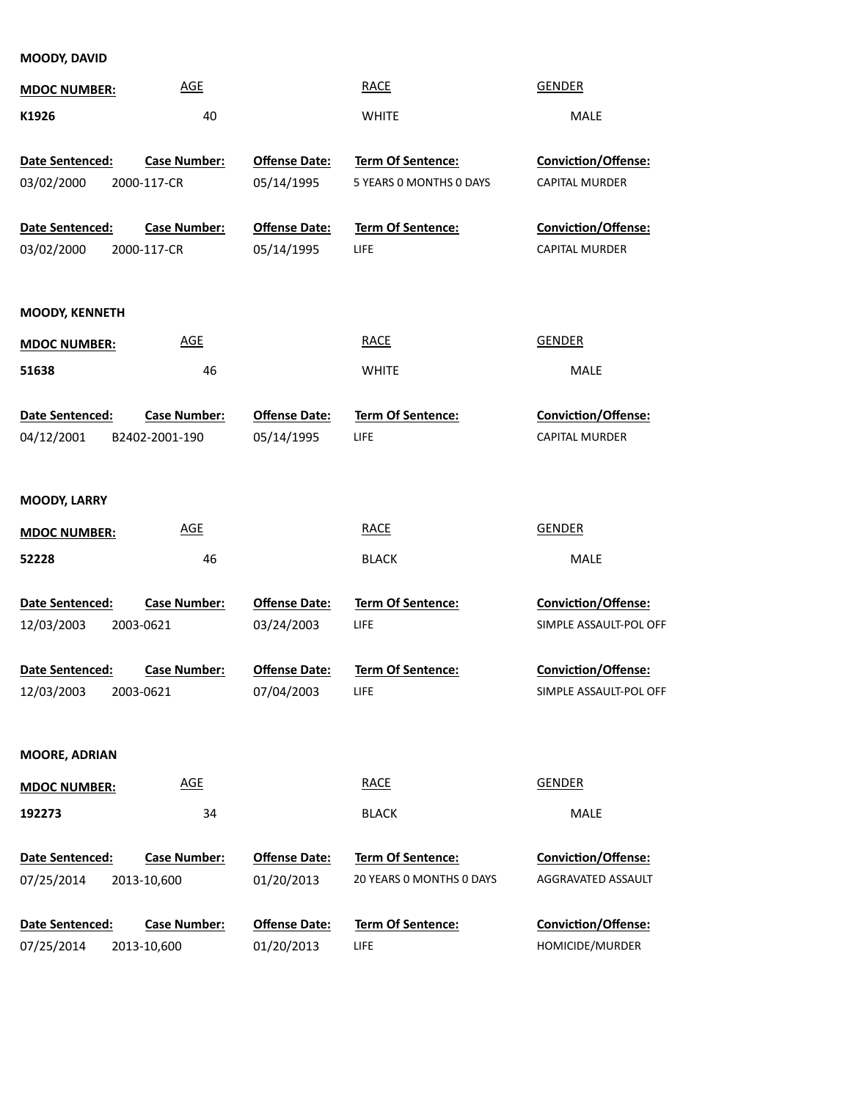**MOODY, DAVID**

| <b>MDOC NUMBER:</b>   | <b>AGE</b>          |                      | <b>RACE</b>              | <b>GENDER</b>              |
|-----------------------|---------------------|----------------------|--------------------------|----------------------------|
| K1926                 | 40                  |                      | <b>WHITE</b>             | MALE                       |
| Date Sentenced:       | <b>Case Number:</b> | <b>Offense Date:</b> | Term Of Sentence:        | <b>Conviction/Offense:</b> |
| 03/02/2000            | 2000-117-CR         | 05/14/1995           | 5 YEARS 0 MONTHS 0 DAYS  | CAPITAL MURDER             |
| Date Sentenced:       | <b>Case Number:</b> | <b>Offense Date:</b> | Term Of Sentence:        | <b>Conviction/Offense:</b> |
| 03/02/2000            | 2000-117-CR         | 05/14/1995           | LIFE                     | CAPITAL MURDER             |
| <b>MOODY, KENNETH</b> |                     |                      |                          |                            |
| <b>MDOC NUMBER:</b>   | <b>AGE</b>          |                      | <b>RACE</b>              | <b>GENDER</b>              |
| 51638                 | 46                  |                      | <b>WHITE</b>             | MALE                       |
| Date Sentenced:       | <b>Case Number:</b> | <b>Offense Date:</b> | Term Of Sentence:        | Conviction/Offense:        |
| 04/12/2001            | B2402-2001-190      | 05/14/1995           | LIFE                     | <b>CAPITAL MURDER</b>      |
| <b>MOODY, LARRY</b>   |                     |                      |                          |                            |
| <b>MDOC NUMBER:</b>   | <b>AGE</b>          |                      | <b>RACE</b>              | <b>GENDER</b>              |
| 52228                 | 46                  |                      | <b>BLACK</b>             | MALE                       |
| Date Sentenced:       | <b>Case Number:</b> | <b>Offense Date:</b> | Term Of Sentence:        | <b>Conviction/Offense:</b> |
| 12/03/2003            | 2003-0621           | 03/24/2003           | LIFE                     | SIMPLE ASSAULT-POL OFF     |
| Date Sentenced:       | <b>Case Number:</b> | <b>Offense Date:</b> | <b>Term Of Sentence:</b> | <b>Conviction/Offense:</b> |
| 12/03/2003            | 2003-0621           | 07/04/2003           | LIFE                     | SIMPLE ASSAULT-POL OFF     |
| <b>MOORE, ADRIAN</b>  |                     |                      |                          |                            |
| <b>MDOC NUMBER:</b>   | <b>AGE</b>          |                      | <b>RACE</b>              | <b>GENDER</b>              |
| 192273                | 34                  |                      | <b>BLACK</b>             | MALE                       |
| Date Sentenced:       | <b>Case Number:</b> | <b>Offense Date:</b> | <b>Term Of Sentence:</b> | <b>Conviction/Offense:</b> |
| 07/25/2014            | 2013-10,600         | 01/20/2013           | 20 YEARS O MONTHS O DAYS | AGGRAVATED ASSAULT         |
| Date Sentenced:       | <b>Case Number:</b> | <b>Offense Date:</b> | <b>Term Of Sentence:</b> | <b>Conviction/Offense:</b> |
| 07/25/2014            | 2013-10,600         | 01/20/2013           | LIFE                     | HOMICIDE/MURDER            |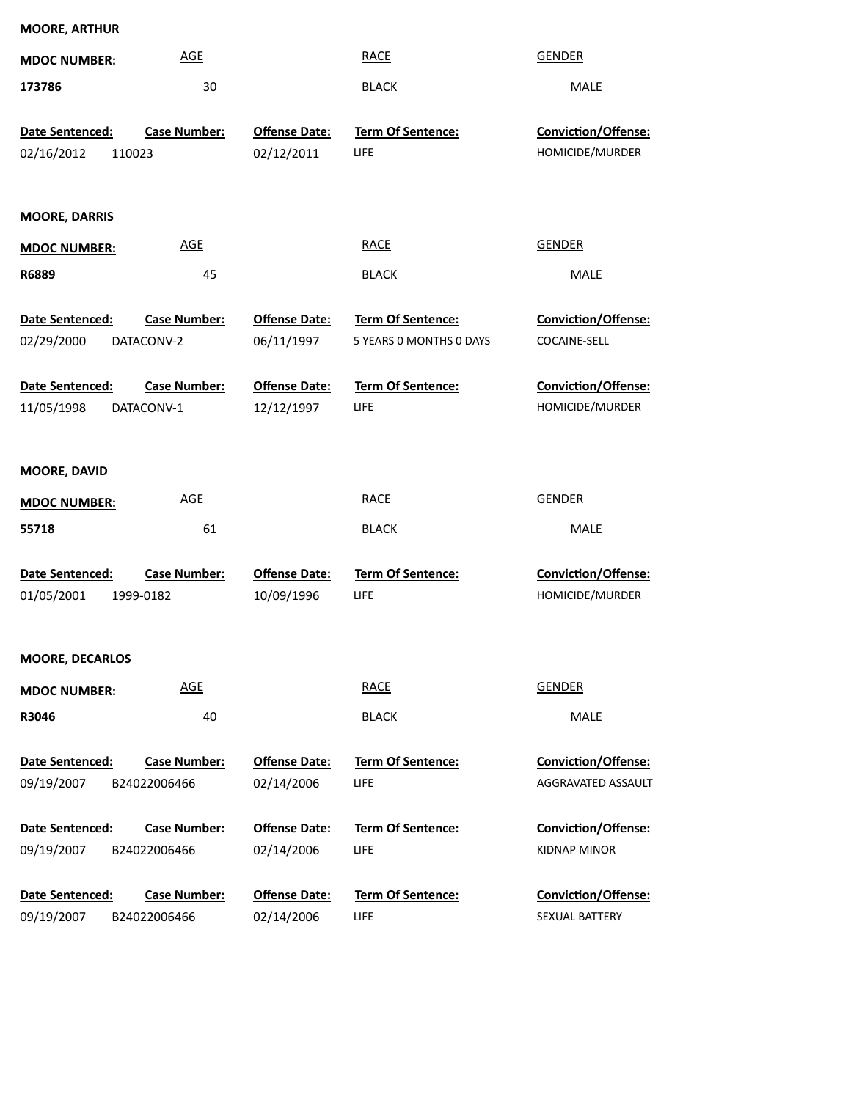| <b>MOORE, ARTHUR</b>                    |                                     |                                    |                                              |                                           |
|-----------------------------------------|-------------------------------------|------------------------------------|----------------------------------------------|-------------------------------------------|
| <b>MDOC NUMBER:</b>                     | <b>AGE</b>                          |                                    | <b>RACE</b>                                  | <b>GENDER</b>                             |
| 173786                                  | 30                                  |                                    | <b>BLACK</b>                                 | MALE                                      |
| Date Sentenced:<br>02/16/2012<br>110023 | <b>Case Number:</b>                 | <b>Offense Date:</b><br>02/12/2011 | Term Of Sentence:<br><b>LIFE</b>             | Conviction/Offense:<br>HOMICIDE/MURDER    |
| <b>MOORE, DARRIS</b>                    |                                     |                                    |                                              |                                           |
| <b>MDOC NUMBER:</b>                     | <b>AGE</b>                          |                                    | <b>RACE</b>                                  | <b>GENDER</b>                             |
| R6889                                   | 45                                  |                                    | <b>BLACK</b>                                 | MALE                                      |
| Date Sentenced:<br>02/29/2000           | <b>Case Number:</b><br>DATACONV-2   | <b>Offense Date:</b><br>06/11/1997 | Term Of Sentence:<br>5 YEARS 0 MONTHS 0 DAYS | Conviction/Offense:<br>COCAINE-SELL       |
| Date Sentenced:                         | <b>Case Number:</b>                 | <b>Offense Date:</b>               | Term Of Sentence:                            | Conviction/Offense:                       |
| 11/05/1998                              | DATACONV-1                          | 12/12/1997                         | <b>LIFE</b>                                  | HOMICIDE/MURDER                           |
| MOORE, DAVID<br><b>MDOC NUMBER:</b>     | <b>AGE</b>                          |                                    | <b>RACE</b>                                  | <b>GENDER</b>                             |
| 55718                                   | 61                                  |                                    | <b>BLACK</b>                                 | <b>MALE</b>                               |
| Date Sentenced:<br>01/05/2001           | <b>Case Number:</b><br>1999-0182    | <b>Offense Date:</b><br>10/09/1996 | Term Of Sentence:<br>LIFE                    | Conviction/Offense:<br>HOMICIDE/MURDER    |
| <b>MOORE, DECARLOS</b>                  |                                     |                                    |                                              |                                           |
| <b>MDOC NUMBER:</b>                     | <b>AGE</b>                          |                                    | <b>RACE</b>                                  | <b>GENDER</b>                             |
| R3046                                   | 40                                  |                                    | <b>BLACK</b>                                 | MALE                                      |
| Date Sentenced:<br>09/19/2007           | <b>Case Number:</b><br>B24022006466 | <b>Offense Date:</b><br>02/14/2006 | Term Of Sentence:<br>LIFE                    | Conviction/Offense:<br>AGGRAVATED ASSAULT |
| Date Sentenced:                         | <b>Case Number:</b>                 | <b>Offense Date:</b>               | Term Of Sentence:                            | Conviction/Offense:                       |
| 09/19/2007                              | B24022006466                        | 02/14/2006                         | LIFE                                         | <b>KIDNAP MINOR</b>                       |
| Date Sentenced:                         | <b>Case Number:</b>                 | <b>Offense Date:</b>               | Term Of Sentence:                            | Conviction/Offense:                       |

LIFE 02/14/2006 B24022006466

09/19/2007

SEXUAL BATTERY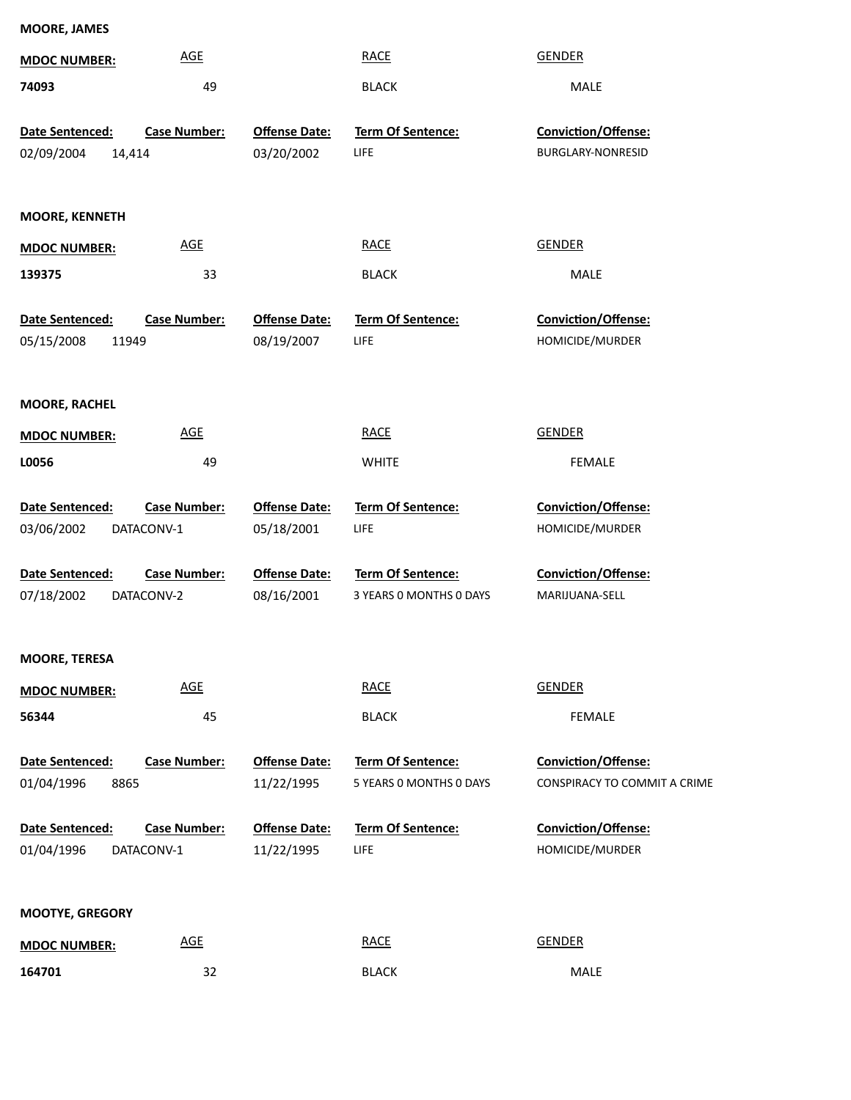| <b>MOORE, JAMES</b>                    |                     |                                    |                                  |                                        |
|----------------------------------------|---------------------|------------------------------------|----------------------------------|----------------------------------------|
| <b>MDOC NUMBER:</b>                    | <b>AGE</b>          |                                    | <b>RACE</b>                      | <b>GENDER</b>                          |
| 74093                                  | 49                  |                                    | <b>BLACK</b>                     | MALE                                   |
| Date Sentenced:                        | <b>Case Number:</b> | <b>Offense Date:</b>               | Term Of Sentence:                | Conviction/Offense:                    |
| 02/09/2004<br>14,414                   |                     | 03/20/2002                         | LIFE                             | <b>BURGLARY-NONRESID</b>               |
| <b>MOORE, KENNETH</b>                  |                     |                                    |                                  |                                        |
| <b>MDOC NUMBER:</b>                    | <b>AGE</b>          |                                    | <b>RACE</b>                      | <b>GENDER</b>                          |
| 139375                                 | 33                  |                                    | <b>BLACK</b>                     | MALE                                   |
| Date Sentenced:<br>05/15/2008<br>11949 | <b>Case Number:</b> | <b>Offense Date:</b><br>08/19/2007 | <b>Term Of Sentence:</b><br>LIFE | Conviction/Offense:<br>HOMICIDE/MURDER |
| <b>MOORE, RACHEL</b>                   |                     |                                    |                                  |                                        |
| <b>MDOC NUMBER:</b>                    | <b>AGE</b>          |                                    | <b>RACE</b>                      | <b>GENDER</b>                          |
| L0056                                  | 49                  |                                    | <b>WHITE</b>                     | <b>FEMALE</b>                          |
| Date Sentenced:                        | <b>Case Number:</b> | <b>Offense Date:</b>               | <b>Term Of Sentence:</b>         | <b>Conviction/Offense:</b>             |
| 03/06/2002                             | DATACONV-1          | 05/18/2001                         | LIFE                             | HOMICIDE/MURDER                        |
| Date Sentenced:                        | <b>Case Number:</b> | <b>Offense Date:</b>               | Term Of Sentence:                | <b>Conviction/Offense:</b>             |
| 07/18/2002                             | DATACONV-2          | 08/16/2001                         | 3 YEARS 0 MONTHS 0 DAYS          | MARIJUANA-SELL                         |
| <b>MOORE, TERESA</b>                   |                     |                                    |                                  |                                        |
| <b>MDOC NUMBER:</b>                    | <b>AGE</b>          |                                    | <b>RACE</b>                      | <b>GENDER</b>                          |
| 56344                                  | 45                  |                                    | <b>BLACK</b>                     | <b>FEMALE</b>                          |
| Date Sentenced:                        | <b>Case Number:</b> | <b>Offense Date:</b>               | Term Of Sentence:                | Conviction/Offense:                    |
| 01/04/1996<br>8865                     |                     | 11/22/1995                         | 5 YEARS 0 MONTHS 0 DAYS          | CONSPIRACY TO COMMIT A CRIME           |
| Date Sentenced:                        | <b>Case Number:</b> | <b>Offense Date:</b>               | Term Of Sentence:                | Conviction/Offense:                    |
| 01/04/1996                             | DATACONV-1          | 11/22/1995                         | LIFE                             | HOMICIDE/MURDER                        |
| <b>MOOTYE, GREGORY</b>                 |                     |                                    |                                  |                                        |
|                                        |                     |                                    |                                  |                                        |

**164701 MDOC NUMBER:** RACE GENDER 32 BLACK MALE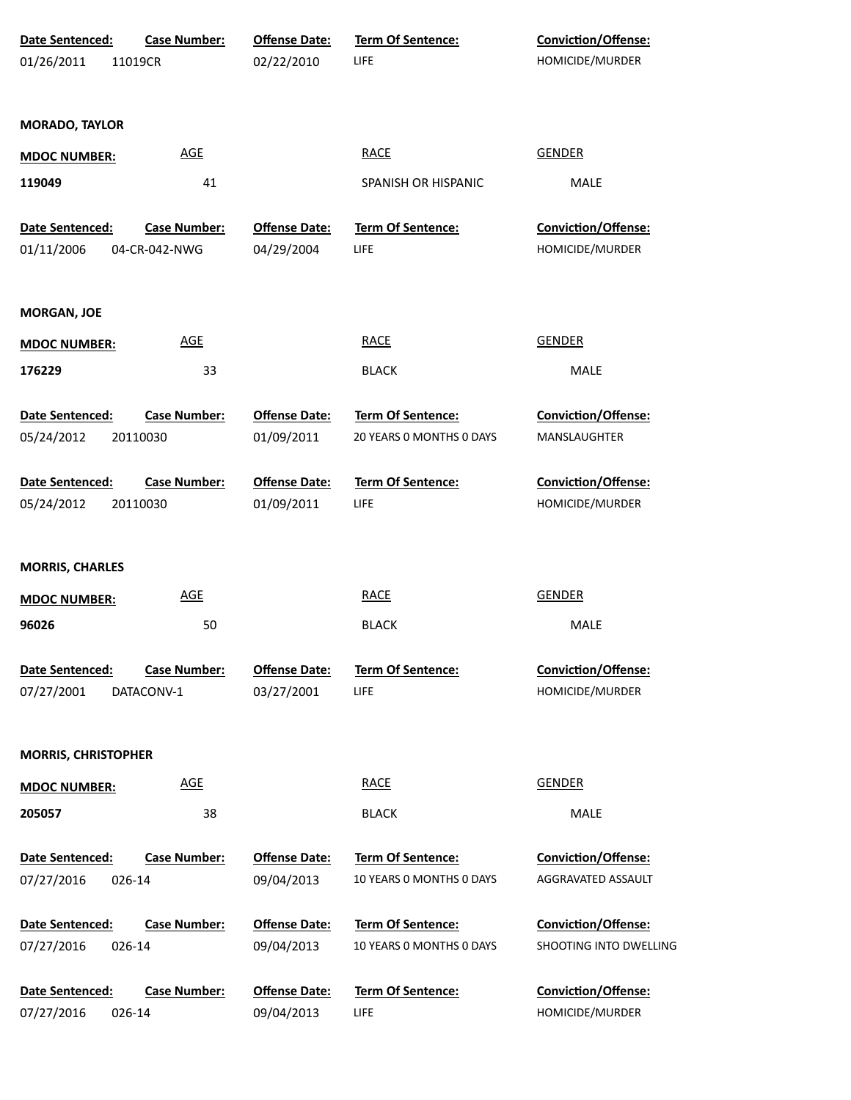| Date Sentenced:            | <b>Case Number:</b> | <b>Offense Date:</b> | Term Of Sentence:        | Conviction/Offense:        |
|----------------------------|---------------------|----------------------|--------------------------|----------------------------|
| 01/26/2011                 | 11019CR             | 02/22/2010           | LIFE                     | HOMICIDE/MURDER            |
|                            |                     |                      |                          |                            |
| <b>MORADO, TAYLOR</b>      |                     |                      |                          |                            |
| <b>MDOC NUMBER:</b>        | <b>AGE</b>          |                      | <b>RACE</b>              | <b>GENDER</b>              |
| 119049                     | 41                  |                      | SPANISH OR HISPANIC      | MALE                       |
| Date Sentenced:            | <b>Case Number:</b> | <b>Offense Date:</b> | Term Of Sentence:        | Conviction/Offense:        |
| 01/11/2006                 | 04-CR-042-NWG       | 04/29/2004           | LIFE                     | HOMICIDE/MURDER            |
| <b>MORGAN, JOE</b>         |                     |                      |                          |                            |
| <b>MDOC NUMBER:</b>        | <b>AGE</b>          |                      | <b>RACE</b>              | GENDER                     |
| 176229                     | 33                  |                      | <b>BLACK</b>             | MALE                       |
| Date Sentenced:            | <b>Case Number:</b> | <b>Offense Date:</b> | Term Of Sentence:        | Conviction/Offense:        |
| 05/24/2012                 | 20110030            | 01/09/2011           | 20 YEARS 0 MONTHS 0 DAYS | MANSLAUGHTER               |
| Date Sentenced:            | <b>Case Number:</b> | <b>Offense Date:</b> | Term Of Sentence:        | Conviction/Offense:        |
| 05/24/2012                 | 20110030            | 01/09/2011           | <b>LIFE</b>              | HOMICIDE/MURDER            |
|                            |                     |                      |                          |                            |
| <b>MORRIS, CHARLES</b>     |                     |                      |                          |                            |
| <b>MDOC NUMBER:</b>        | <u>AGE</u>          |                      | <b>RACE</b>              | <b>GENDER</b>              |
| 96026                      | 50                  |                      | <b>BLACK</b>             | MALE                       |
| Date Sentenced:            | <b>Case Number:</b> | <b>Offense Date:</b> | Term Of Sentence:        | <b>Conviction/Offense:</b> |
| 07/27/2001                 | DATACONV-1          | 03/27/2001           | <b>LIFE</b>              | HOMICIDE/MURDER            |
|                            |                     |                      |                          |                            |
| <b>MORRIS, CHRISTOPHER</b> |                     |                      |                          |                            |
| <b>MDOC NUMBER:</b>        | <b>AGE</b>          |                      | <b>RACE</b>              | <b>GENDER</b>              |
| 205057                     | 38                  |                      | <b>BLACK</b>             | <b>MALE</b>                |
| Date Sentenced:            | <b>Case Number:</b> | <b>Offense Date:</b> | Term Of Sentence:        | Conviction/Offense:        |
| 07/27/2016                 | 026-14              | 09/04/2013           | 10 YEARS 0 MONTHS 0 DAYS | AGGRAVATED ASSAULT         |
| Date Sentenced:            | <b>Case Number:</b> | <b>Offense Date:</b> | Term Of Sentence:        | <b>Conviction/Offense:</b> |
| 07/27/2016                 | 026-14              | 09/04/2013           | 10 YEARS 0 MONTHS 0 DAYS | SHOOTING INTO DWELLING     |
| Date Sentenced:            | <b>Case Number:</b> | <b>Offense Date:</b> | Term Of Sentence:        | Conviction/Offense:        |
| 07/27/2016                 | 026-14              | 09/04/2013           | LIFE                     | HOMICIDE/MURDER            |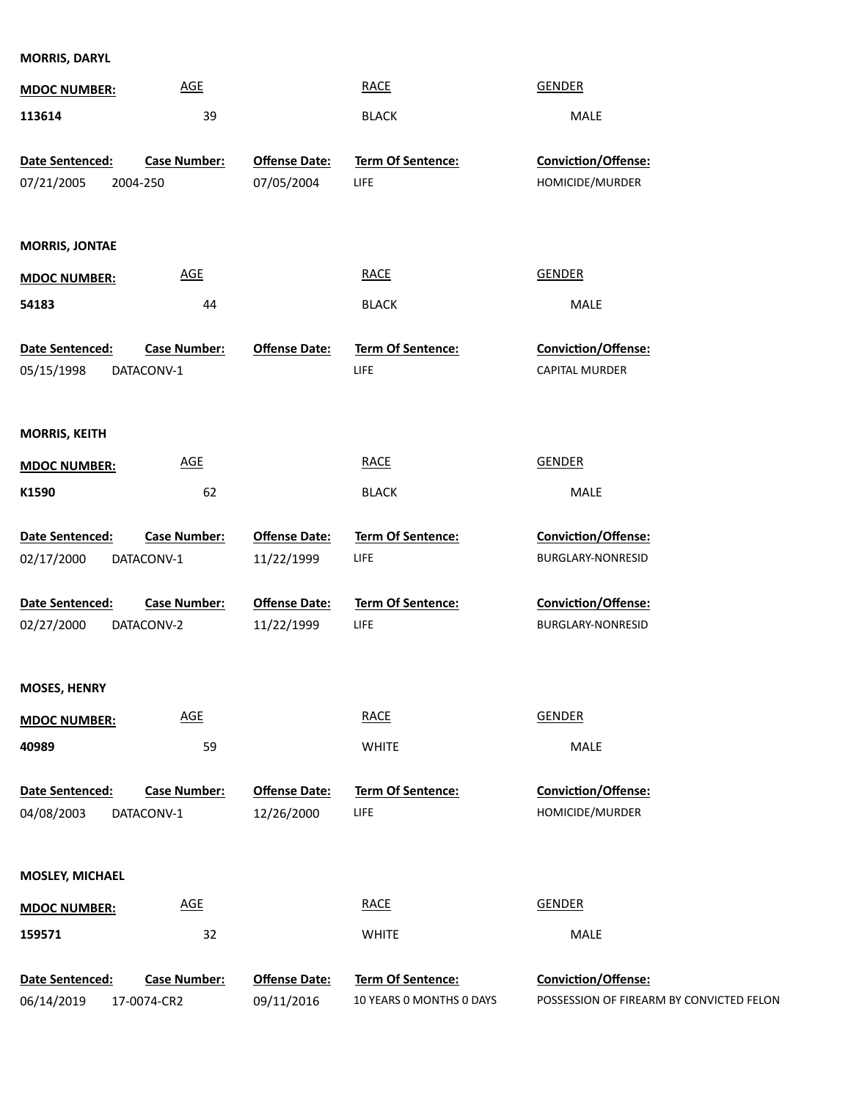**MORRIS, DARYL**

| <b>MDOC NUMBER:</b>    | <b>AGE</b>          |                      | <b>RACE</b>              | <b>GENDER</b>                            |
|------------------------|---------------------|----------------------|--------------------------|------------------------------------------|
| 113614                 | 39                  |                      | <b>BLACK</b>             | MALE                                     |
|                        |                     |                      |                          |                                          |
| Date Sentenced:        | <b>Case Number:</b> | <b>Offense Date:</b> | <b>Term Of Sentence:</b> | Conviction/Offense:                      |
| 07/21/2005<br>2004-250 |                     | 07/05/2004           | <b>LIFE</b>              | HOMICIDE/MURDER                          |
|                        |                     |                      |                          |                                          |
| <b>MORRIS, JONTAE</b>  |                     |                      |                          |                                          |
| <b>MDOC NUMBER:</b>    | <b>AGE</b>          |                      | <b>RACE</b>              | GENDER                                   |
| 54183                  | 44                  |                      | <b>BLACK</b>             | MALE                                     |
|                        |                     |                      |                          |                                          |
| Date Sentenced:        | <b>Case Number:</b> | <b>Offense Date:</b> | Term Of Sentence:        | Conviction/Offense:                      |
| 05/15/1998             | DATACONV-1          |                      | <b>LIFE</b>              | CAPITAL MURDER                           |
|                        |                     |                      |                          |                                          |
| <b>MORRIS, KEITH</b>   |                     |                      |                          |                                          |
|                        |                     |                      |                          |                                          |
| <b>MDOC NUMBER:</b>    | <b>AGE</b>          |                      | <b>RACE</b>              | <b>GENDER</b>                            |
| K1590                  | 62                  |                      | <b>BLACK</b>             | MALE                                     |
| Date Sentenced:        | <b>Case Number:</b> | <b>Offense Date:</b> | Term Of Sentence:        | Conviction/Offense:                      |
| 02/17/2000             | DATACONV-1          | 11/22/1999           | <b>LIFE</b>              | BURGLARY-NONRESID                        |
|                        |                     |                      |                          |                                          |
| Date Sentenced:        | <b>Case Number:</b> | <b>Offense Date:</b> | <b>Term Of Sentence:</b> | Conviction/Offense:                      |
| 02/27/2000             | DATACONV-2          | 11/22/1999           | <b>LIFE</b>              | BURGLARY-NONRESID                        |
|                        |                     |                      |                          |                                          |
| <b>MOSES, HENRY</b>    |                     |                      |                          |                                          |
| <b>MDOC NUMBER:</b>    | <b>AGE</b>          |                      | <b>RACE</b>              | <b>GENDER</b>                            |
| 40989                  | 59                  |                      | <b>WHITE</b>             | MALE                                     |
|                        |                     |                      |                          |                                          |
| Date Sentenced:        | <b>Case Number:</b> | <b>Offense Date:</b> | Term Of Sentence:        | Conviction/Offense:                      |
| 04/08/2003             | DATACONV-1          | 12/26/2000           | <b>LIFE</b>              | HOMICIDE/MURDER                          |
|                        |                     |                      |                          |                                          |
| <b>MOSLEY, MICHAEL</b> |                     |                      |                          |                                          |
| <b>MDOC NUMBER:</b>    | <b>AGE</b>          |                      | <b>RACE</b>              | <b>GENDER</b>                            |
| 159571                 | 32                  |                      | <b>WHITE</b>             | MALE                                     |
|                        |                     |                      |                          |                                          |
| Date Sentenced:        | <b>Case Number:</b> | <b>Offense Date:</b> | Term Of Sentence:        | Conviction/Offense:                      |
| 06/14/2019             | 17-0074-CR2         | 09/11/2016           | 10 YEARS 0 MONTHS 0 DAYS | POSSESSION OF FIREARM BY CONVICTED FELON |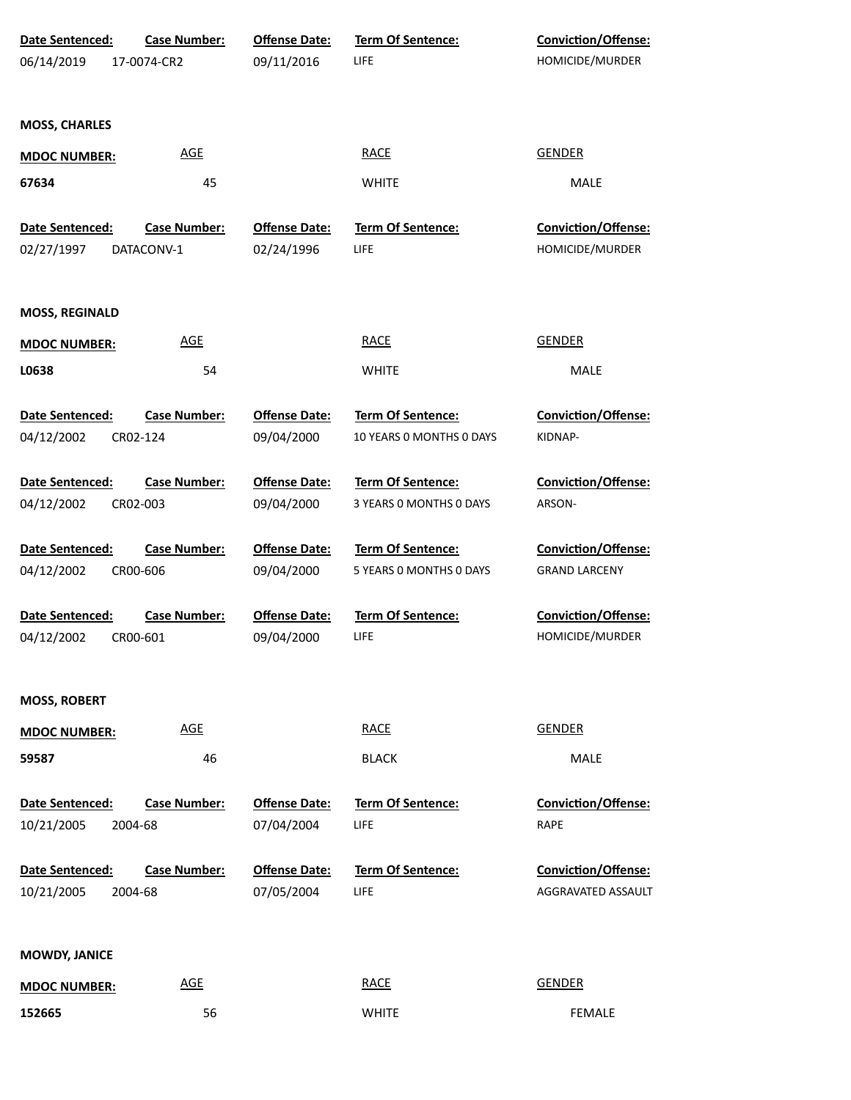| Date Sentenced:               | <b>Case Number:</b>             | <b>Offense Date:</b>               | Term Of Sentence:                             | Conviction/Offense:                    |  |
|-------------------------------|---------------------------------|------------------------------------|-----------------------------------------------|----------------------------------------|--|
| 06/14/2019                    | 17-0074-CR2                     | 09/11/2016                         | LIFE                                          | HOMICIDE/MURDER                        |  |
| <b>MOSS, CHARLES</b>          |                                 |                                    |                                               |                                        |  |
| <b>MDOC NUMBER:</b>           | <b>AGE</b>                      |                                    | <b>RACE</b>                                   | <b>GENDER</b>                          |  |
| 67634                         | 45                              |                                    | <b>WHITE</b>                                  | MALE                                   |  |
| Date Sentenced:               | <b>Case Number:</b>             | <b>Offense Date:</b>               | Term Of Sentence:                             | Conviction/Offense:                    |  |
| 02/27/1997                    | DATACONV-1                      | 02/24/1996                         | LIFE                                          | HOMICIDE/MURDER                        |  |
| <b>MOSS, REGINALD</b>         |                                 |                                    |                                               |                                        |  |
| <b>MDOC NUMBER:</b>           | <b>AGE</b>                      |                                    | <b>RACE</b>                                   | <b>GENDER</b>                          |  |
| L0638                         | 54                              |                                    | <b>WHITE</b>                                  | MALE                                   |  |
| Date Sentenced:<br>04/12/2002 | <b>Case Number:</b><br>CR02-124 | <b>Offense Date:</b><br>09/04/2000 | Term Of Sentence:<br>10 YEARS 0 MONTHS 0 DAYS | <b>Conviction/Offense:</b><br>KIDNAP-  |  |
| Date Sentenced:               | <b>Case Number:</b>             | <b>Offense Date:</b>               | Term Of Sentence:                             | <b>Conviction/Offense:</b>             |  |
| 04/12/2002                    | CR02-003                        | 09/04/2000                         | 3 YEARS 0 MONTHS 0 DAYS                       | ARSON-                                 |  |
| Date Sentenced:               | <b>Case Number:</b>             | <b>Offense Date:</b>               | Term Of Sentence:                             | <b>Conviction/Offense:</b>             |  |
| 04/12/2002                    | CR00-606                        | 09/04/2000                         | 5 YEARS 0 MONTHS 0 DAYS                       | <b>GRAND LARCENY</b>                   |  |
| Date Sentenced:<br>04/12/2002 | <b>Case Number:</b><br>CR00-601 | <b>Offense Date:</b><br>09/04/2000 | <b>Term Of Sentence:</b><br>LIFE              | Conviction/Offense:<br>HOMICIDE/MURDER |  |
| <b>MOSS, ROBERT</b>           |                                 |                                    |                                               |                                        |  |
| <b>MDOC NUMBER:</b>           | <b>AGE</b>                      |                                    | <b>RACE</b>                                   | <b>GENDER</b>                          |  |
| 59587                         | 46                              |                                    | <b>BLACK</b>                                  | MALE                                   |  |
| Date Sentenced:               | <b>Case Number:</b>             | <b>Offense Date:</b>               | Term Of Sentence:                             | <b>Conviction/Offense:</b>             |  |
| 10/21/2005                    | 2004-68                         | 07/04/2004                         | LIFE                                          | RAPE                                   |  |
| Date Sentenced:               | <b>Case Number:</b>             | <b>Offense Date:</b>               | Term Of Sentence:                             | Conviction/Offense:                    |  |
| 10/21/2005                    | 2004-68                         | 07/05/2004                         | LIFE                                          | AGGRAVATED ASSAULT                     |  |
| <b>MOWDY, JANICE</b>          |                                 |                                    |                                               |                                        |  |
| <b>MDOC NUMBER:</b>           | <b>AGE</b>                      |                                    | <b>RACE</b>                                   | <b>GENDER</b>                          |  |
| 152665                        | 56                              |                                    | <b>WHITE</b>                                  | <b>FEMALE</b>                          |  |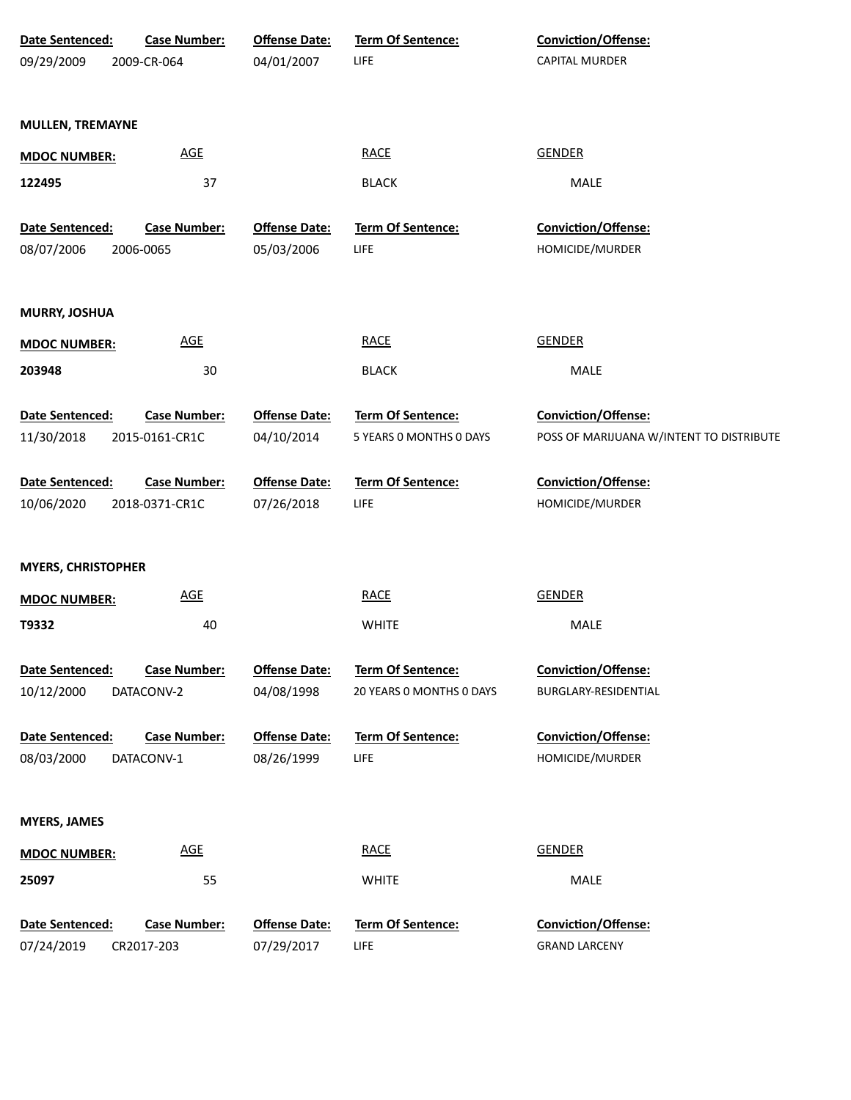| Date Sentenced:           | <b>Case Number:</b> | <b>Offense Date:</b> | Term Of Sentence:        | Conviction/Offense:                      |
|---------------------------|---------------------|----------------------|--------------------------|------------------------------------------|
| 09/29/2009                | 2009-CR-064         | 04/01/2007           | LIFE                     | <b>CAPITAL MURDER</b>                    |
|                           |                     |                      |                          |                                          |
|                           |                     |                      |                          |                                          |
| <b>MULLEN, TREMAYNE</b>   |                     |                      |                          |                                          |
| <b>MDOC NUMBER:</b>       | <b>AGE</b>          |                      | <b>RACE</b>              | <b>GENDER</b>                            |
| 122495                    | 37                  |                      | <b>BLACK</b>             | MALE                                     |
|                           |                     |                      |                          |                                          |
| Date Sentenced:           | <b>Case Number:</b> | <b>Offense Date:</b> | Term Of Sentence:        | Conviction/Offense:                      |
| 08/07/2006                | 2006-0065           | 05/03/2006           | LIFE                     | HOMICIDE/MURDER                          |
|                           |                     |                      |                          |                                          |
|                           |                     |                      |                          |                                          |
| <b>MURRY, JOSHUA</b>      |                     |                      |                          |                                          |
| <b>MDOC NUMBER:</b>       | <b>AGE</b>          |                      | <b>RACE</b>              | <b>GENDER</b>                            |
| 203948                    | 30                  |                      | <b>BLACK</b>             | MALE                                     |
|                           |                     |                      |                          |                                          |
| Date Sentenced:           | <b>Case Number:</b> | <b>Offense Date:</b> | Term Of Sentence:        | Conviction/Offense:                      |
| 11/30/2018                | 2015-0161-CR1C      | 04/10/2014           | 5 YEARS 0 MONTHS 0 DAYS  | POSS OF MARIJUANA W/INTENT TO DISTRIBUTE |
|                           |                     |                      |                          |                                          |
| Date Sentenced:           | <b>Case Number:</b> | <b>Offense Date:</b> | Term Of Sentence:        | Conviction/Offense:                      |
| 10/06/2020                | 2018-0371-CR1C      | 07/26/2018           | LIFE                     | HOMICIDE/MURDER                          |
|                           |                     |                      |                          |                                          |
| <b>MYERS, CHRISTOPHER</b> |                     |                      |                          |                                          |
|                           |                     |                      |                          |                                          |
| <b>MDOC NUMBER:</b>       | <b>AGE</b>          |                      | <b>RACE</b>              | <b>GENDER</b>                            |
| T9332                     | 40                  |                      | <b>WHITE</b>             | MALE                                     |
|                           |                     |                      |                          |                                          |
| Date Sentenced:           | <b>Case Number:</b> | <b>Offense Date:</b> | Term Of Sentence:        | Conviction/Offense:                      |
| 10/12/2000                | DATACONV-2          | 04/08/1998           | 20 YEARS 0 MONTHS 0 DAYS | BURGLARY-RESIDENTIAL                     |
| Date Sentenced:           | <b>Case Number:</b> | <b>Offense Date:</b> | Term Of Sentence:        | Conviction/Offense:                      |
| 08/03/2000                | DATACONV-1          | 08/26/1999           | <b>LIFE</b>              | HOMICIDE/MURDER                          |
|                           |                     |                      |                          |                                          |
|                           |                     |                      |                          |                                          |
| <b>MYERS, JAMES</b>       |                     |                      |                          |                                          |
| <b>MDOC NUMBER:</b>       | <b>AGE</b>          |                      | <b>RACE</b>              | <b>GENDER</b>                            |
|                           |                     |                      |                          |                                          |
| 25097                     | 55                  |                      | <b>WHITE</b>             | MALE                                     |
| Date Sentenced:           | <b>Case Number:</b> | <b>Offense Date:</b> | Term Of Sentence:        | Conviction/Offense:                      |
| 07/24/2019                | CR2017-203          | 07/29/2017           | <b>LIFE</b>              | <b>GRAND LARCENY</b>                     |
|                           |                     |                      |                          |                                          |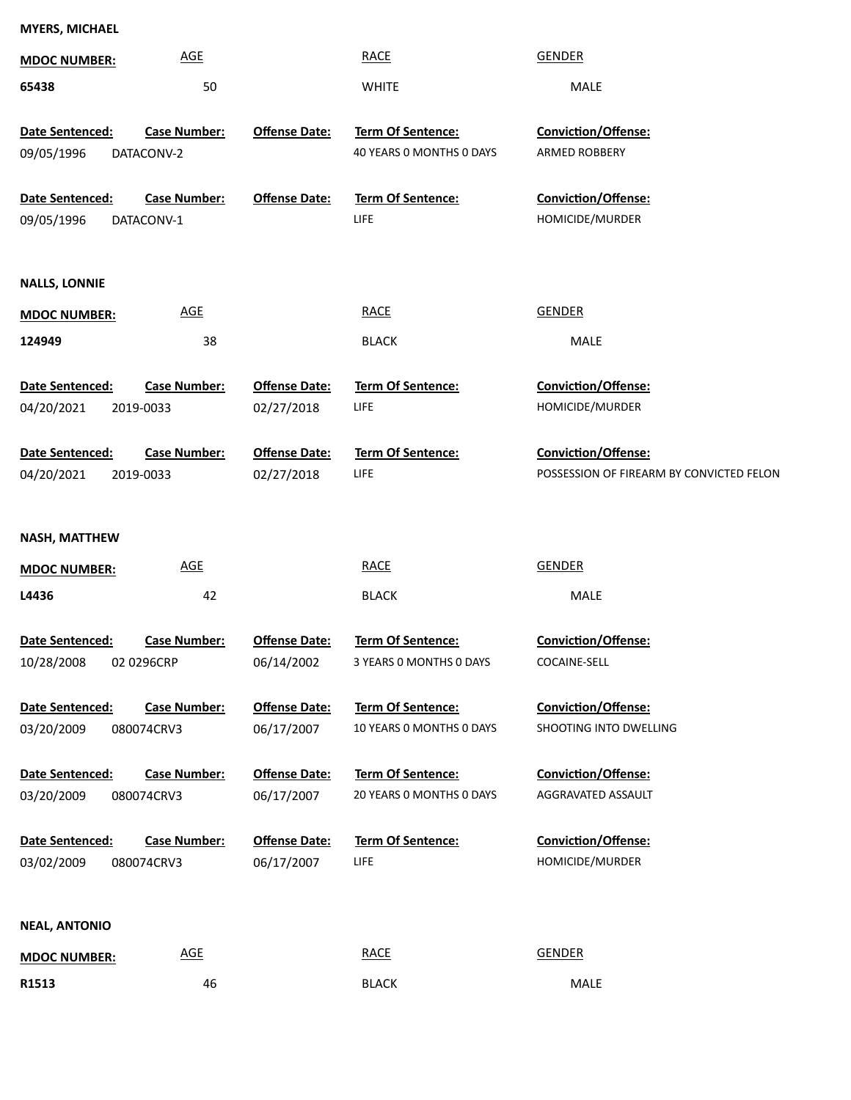| <b>MDOC NUMBER:</b>           | <b>AGE</b>                        |                                    | <b>RACE</b>                                          | <b>GENDER</b>                                 |
|-------------------------------|-----------------------------------|------------------------------------|------------------------------------------------------|-----------------------------------------------|
| 65438                         | 50                                |                                    | <b>WHITE</b>                                         | <b>MALE</b>                                   |
| Date Sentenced:<br>09/05/1996 | <b>Case Number:</b><br>DATACONV-2 | <b>Offense Date:</b>               | <b>Term Of Sentence:</b><br>40 YEARS 0 MONTHS 0 DAYS | Conviction/Offense:<br>ARMED ROBBERY          |
| Date Sentenced:<br>09/05/1996 | <b>Case Number:</b><br>DATACONV-1 | <b>Offense Date:</b>               | Term Of Sentence:<br>LIFE                            | Conviction/Offense:<br>HOMICIDE/MURDER        |
| <b>NALLS, LONNIE</b>          |                                   |                                    |                                                      |                                               |
| <b>MDOC NUMBER:</b>           | <b>AGE</b>                        |                                    | <b>RACE</b>                                          | <b>GENDER</b>                                 |
| 124949                        | 38                                |                                    | <b>BLACK</b>                                         | MALE                                          |
| Date Sentenced:<br>04/20/2021 | <b>Case Number:</b><br>2019-0033  | <b>Offense Date:</b><br>02/27/2018 | Term Of Sentence:<br><b>LIFE</b>                     | Conviction/Offense:<br>HOMICIDE/MURDER        |
| Date Sentenced:               | <b>Case Number:</b>               | <b>Offense Date:</b>               | Term Of Sentence:                                    | Conviction/Offense:                           |
| 04/20/2021                    | 2019-0033                         | 02/27/2018                         | <b>LIFE</b>                                          | POSSESSION OF FIREARM BY CONVICTED FELON      |
| <b>NASH, MATTHEW</b>          |                                   |                                    |                                                      |                                               |
| <b>MDOC NUMBER:</b>           | <b>AGE</b>                        |                                    | <b>RACE</b>                                          | <b>GENDER</b>                                 |
| L4436                         | 42                                |                                    | <b>BLACK</b>                                         | <b>MALE</b>                                   |
| Date Sentenced:               | <b>Case Number:</b>               | <b>Offense Date:</b>               | Term Of Sentence:                                    | Conviction/Offense:                           |
| 10/28/2008 02 0296CRP         |                                   | 06/14/2002                         | 3 YEARS O MONTHS O DAYS                              | COCAINE-SELL                                  |
| Date Sentenced:<br>03/20/2009 | <b>Case Number:</b><br>080074CRV3 | <b>Offense Date:</b><br>06/17/2007 | <b>Term Of Sentence:</b><br>10 YEARS 0 MONTHS 0 DAYS | Conviction/Offense:<br>SHOOTING INTO DWELLING |
| Date Sentenced:               | <b>Case Number:</b>               | <b>Offense Date:</b>               | Term Of Sentence:                                    | Conviction/Offense:                           |
| 03/20/2009                    | 080074CRV3                        | 06/17/2007                         | 20 YEARS 0 MONTHS 0 DAYS                             | AGGRAVATED ASSAULT                            |
| Date Sentenced:<br>03/02/2009 | <b>Case Number:</b><br>080074CRV3 | <b>Offense Date:</b><br>06/17/2007 | Term Of Sentence:<br>LIFE                            | Conviction/Offense:<br>HOMICIDE/MURDER        |
| <b>NEAL, ANTONIO</b>          |                                   |                                    |                                                      |                                               |
|                               |                                   |                                    |                                                      |                                               |

| <b>MDOC NUMBER:</b> | AGE | <b>RACE</b><br><u> The Communication of the Communication of the Communication of the Communication of the Communication of the Communication of the Communication of the Communication of the Communication of the Communication of the Commun</u> | GENDER |
|---------------------|-----|-----------------------------------------------------------------------------------------------------------------------------------------------------------------------------------------------------------------------------------------------------|--------|
| R1513               | 46  | <b>BLACK</b>                                                                                                                                                                                                                                        | MALE   |

**MYERS, MICHAEL**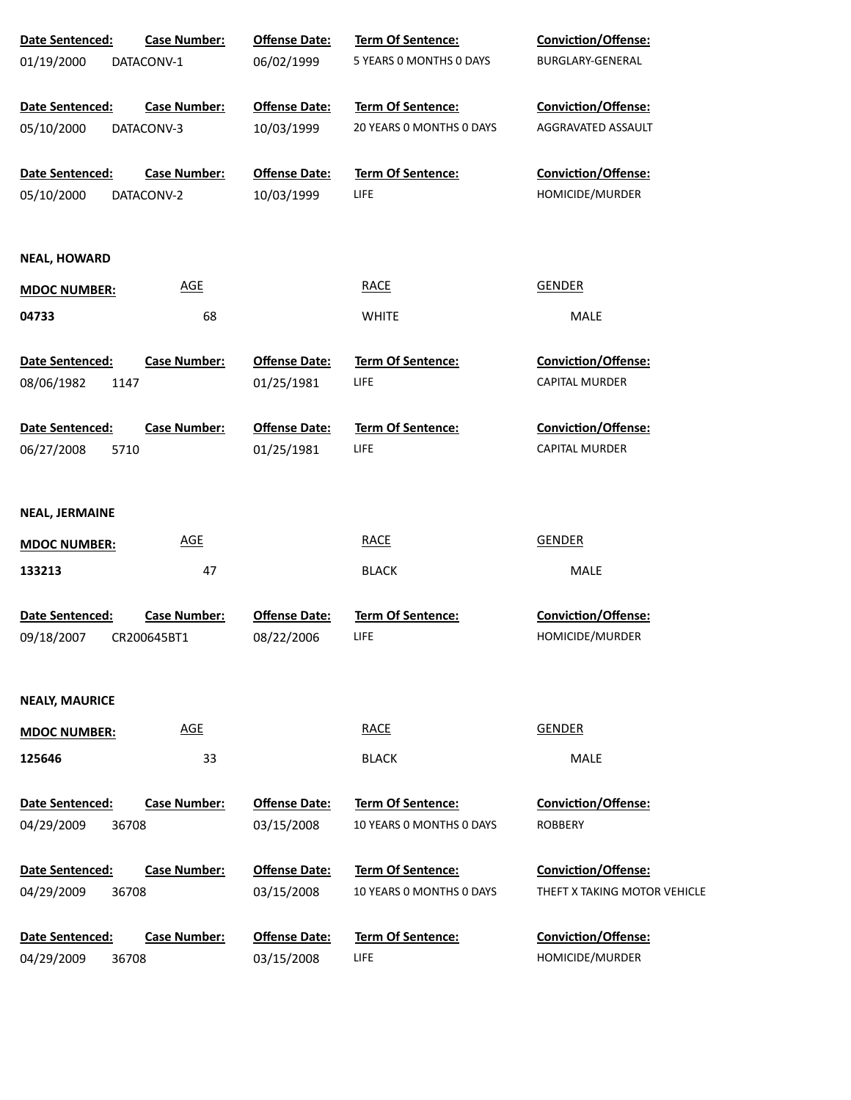| Date Sentenced:                        | <b>Case Number:</b> | <b>Offense Date:</b>               | Term Of Sentence:                | Conviction/Offense:                    |
|----------------------------------------|---------------------|------------------------------------|----------------------------------|----------------------------------------|
| 01/19/2000                             | DATACONV-1          | 06/02/1999                         | 5 YEARS 0 MONTHS 0 DAYS          | BURGLARY-GENERAL                       |
| <b>Date Sentenced:</b>                 | <b>Case Number:</b> | <b>Offense Date:</b>               | <b>Term Of Sentence:</b>         | <b>Conviction/Offense:</b>             |
| 05/10/2000                             | DATACONV-3          | 10/03/1999                         | 20 YEARS O MONTHS O DAYS         | AGGRAVATED ASSAULT                     |
| Date Sentenced:                        | <b>Case Number:</b> | <b>Offense Date:</b>               | Term Of Sentence:                | Conviction/Offense:                    |
| 05/10/2000                             | DATACONV-2          | 10/03/1999                         | LIFE                             | HOMICIDE/MURDER                        |
| <b>NEAL, HOWARD</b>                    |                     |                                    |                                  |                                        |
| <b>MDOC NUMBER:</b>                    | <b>AGE</b>          |                                    | <b>RACE</b>                      | <b>GENDER</b>                          |
| 04733                                  | 68                  |                                    | <b>WHITE</b>                     | MALE                                   |
| Date Sentenced:                        | <b>Case Number:</b> | <b>Offense Date:</b>               | Term Of Sentence:                | <b>Conviction/Offense:</b>             |
| 08/06/1982<br>1147                     |                     | 01/25/1981                         | <b>LIFE</b>                      | <b>CAPITAL MURDER</b>                  |
| Date Sentenced:                        | <b>Case Number:</b> | <b>Offense Date:</b>               | Term Of Sentence:                | <b>Conviction/Offense:</b>             |
| 06/27/2008<br>5710                     |                     | 01/25/1981                         | <b>LIFE</b>                      | <b>CAPITAL MURDER</b>                  |
| <b>NEAL, JERMAINE</b>                  |                     |                                    |                                  |                                        |
| <b>MDOC NUMBER:</b>                    | <b>AGE</b>          |                                    | <b>RACE</b>                      | <b>GENDER</b>                          |
| 133213                                 | 47                  |                                    | <b>BLACK</b>                     | MALE                                   |
| <b>Date Sentenced:</b>                 | <b>Case Number:</b> | <b>Offense Date:</b>               | <b>Term Of Sentence:</b>         | <b>Conviction/Offense:</b>             |
| 09/18/2007                             | CR200645BT1         | 08/22/2006                         | LIFE                             | HOMICIDE/MURDER                        |
| <b>NEALY, MAURICE</b>                  |                     |                                    |                                  |                                        |
| <b>MDOC NUMBER:</b>                    | <b>AGE</b>          |                                    | <b>RACE</b>                      | <b>GENDER</b>                          |
| 125646                                 | 33                  |                                    | <b>BLACK</b>                     | MALE                                   |
| <b>Date Sentenced:</b>                 | <b>Case Number:</b> | <b>Offense Date:</b>               | Term Of Sentence:                | <b>Conviction/Offense:</b>             |
| 04/29/2009<br>36708                    |                     | 03/15/2008                         | 10 YEARS O MONTHS O DAYS         | <b>ROBBERY</b>                         |
| Date Sentenced:                        | <b>Case Number:</b> | <b>Offense Date:</b>               | Term Of Sentence:                | <b>Conviction/Offense:</b>             |
| 04/29/2009<br>36708                    |                     | 03/15/2008                         | 10 YEARS O MONTHS O DAYS         | THEFT X TAKING MOTOR VEHICLE           |
| Date Sentenced:<br>04/29/2009<br>36708 | <b>Case Number:</b> | <b>Offense Date:</b><br>03/15/2008 | Term Of Sentence:<br><b>LIFE</b> | Conviction/Offense:<br>HOMICIDE/MURDER |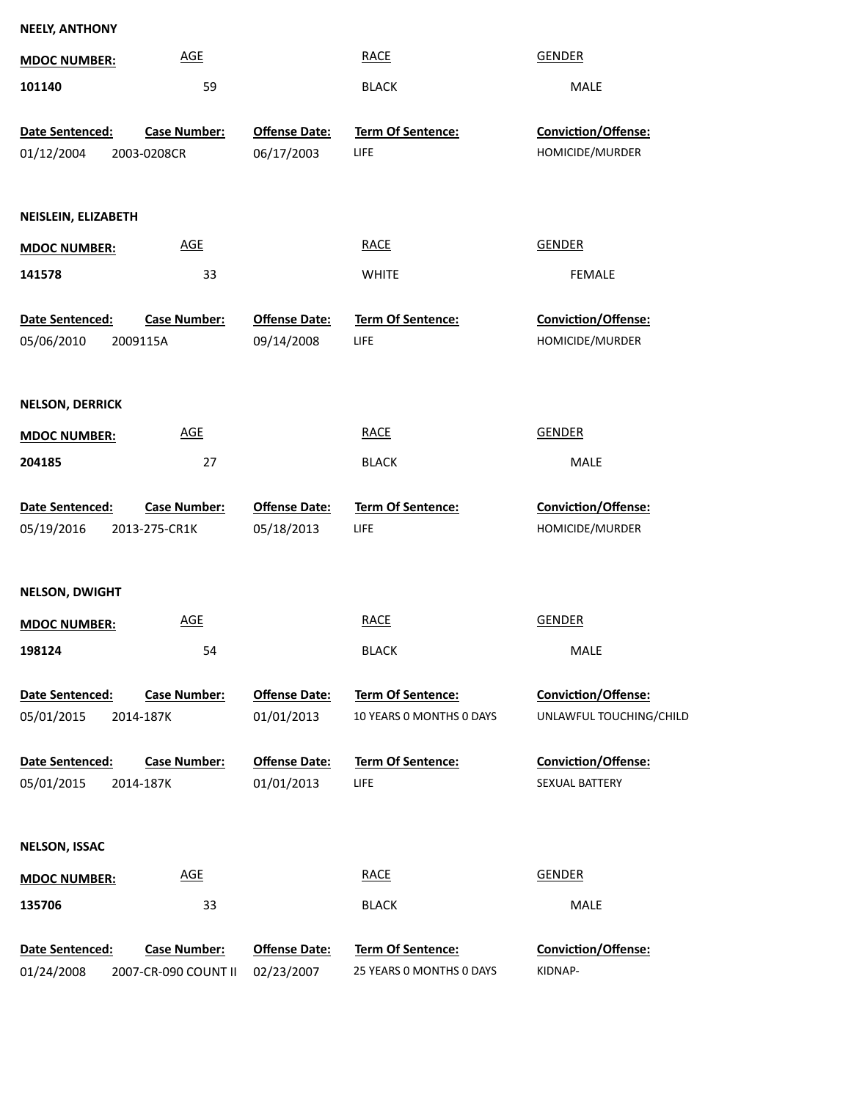| <b>NEELY, ANTHONY</b>                  |                      |                          |                            |  |  |
|----------------------------------------|----------------------|--------------------------|----------------------------|--|--|
| <b>MDOC NUMBER:</b>                    | <b>AGE</b>           | <b>RACE</b>              | <b>GENDER</b>              |  |  |
| 101140                                 | 59                   | <b>BLACK</b>             | MALE                       |  |  |
| <b>Case Number:</b><br>Date Sentenced: | <b>Offense Date:</b> | Term Of Sentence:        | <b>Conviction/Offense:</b> |  |  |
| 01/12/2004<br>2003-0208CR              | 06/17/2003           | <b>LIFE</b>              | HOMICIDE/MURDER            |  |  |
|                                        |                      |                          |                            |  |  |
|                                        |                      |                          |                            |  |  |
| NEISLEIN, ELIZABETH                    |                      |                          |                            |  |  |
| <b>MDOC NUMBER:</b>                    | AGE                  | <b>RACE</b>              | <b>GENDER</b>              |  |  |
| 141578                                 | 33                   | <b>WHITE</b>             | <b>FEMALE</b>              |  |  |
| <b>Case Number:</b><br>Date Sentenced: | <b>Offense Date:</b> | Term Of Sentence:        | Conviction/Offense:        |  |  |
| 05/06/2010<br>2009115A                 | 09/14/2008           | <b>LIFE</b>              | HOMICIDE/MURDER            |  |  |
|                                        |                      |                          |                            |  |  |
| <b>NELSON, DERRICK</b>                 |                      |                          |                            |  |  |
| <b>MDOC NUMBER:</b>                    | <b>AGE</b>           | <b>RACE</b>              | <b>GENDER</b>              |  |  |
| 204185                                 | 27                   | <b>BLACK</b>             | MALE                       |  |  |
|                                        |                      |                          |                            |  |  |
| Date Sentenced:<br><b>Case Number:</b> | <b>Offense Date:</b> | Term Of Sentence:        | Conviction/Offense:        |  |  |
| 05/19/2016<br>2013-275-CR1K            | 05/18/2013           | <b>LIFE</b>              | HOMICIDE/MURDER            |  |  |
|                                        |                      |                          |                            |  |  |
| <b>NELSON, DWIGHT</b>                  |                      |                          |                            |  |  |
|                                        |                      |                          |                            |  |  |
| <b>MDOC NUMBER:</b>                    | <b>AGE</b>           | <b>RACE</b>              | <b>GENDER</b>              |  |  |
| 198124                                 | 54                   | <b>BLACK</b>             | MALE                       |  |  |
|                                        |                      |                          |                            |  |  |
| Date Sentenced:<br><b>Case Number:</b> | <b>Offense Date:</b> | Term Of Sentence:        | Conviction/Offense:        |  |  |
| 05/01/2015<br>2014-187K                | 01/01/2013           | 10 YEARS 0 MONTHS 0 DAYS | UNLAWFUL TOUCHING/CHILD    |  |  |
| Date Sentenced:<br><b>Case Number:</b> | <b>Offense Date:</b> | Term Of Sentence:        | Conviction/Offense:        |  |  |
| 05/01/2015<br>2014-187K                | 01/01/2013           | <b>LIFE</b>              | SEXUAL BATTERY             |  |  |
|                                        |                      |                          |                            |  |  |
| <b>NELSON, ISSAC</b>                   |                      |                          |                            |  |  |
| <b>MDOC NUMBER:</b>                    | <b>AGE</b>           | <b>RACE</b>              | <b>GENDER</b>              |  |  |
|                                        |                      |                          |                            |  |  |
| 135706                                 | 33                   | <b>BLACK</b>             | MALE                       |  |  |
| Date Sentenced:<br><b>Case Number:</b> | <b>Offense Date:</b> | Term Of Sentence:        | <b>Conviction/Offense:</b> |  |  |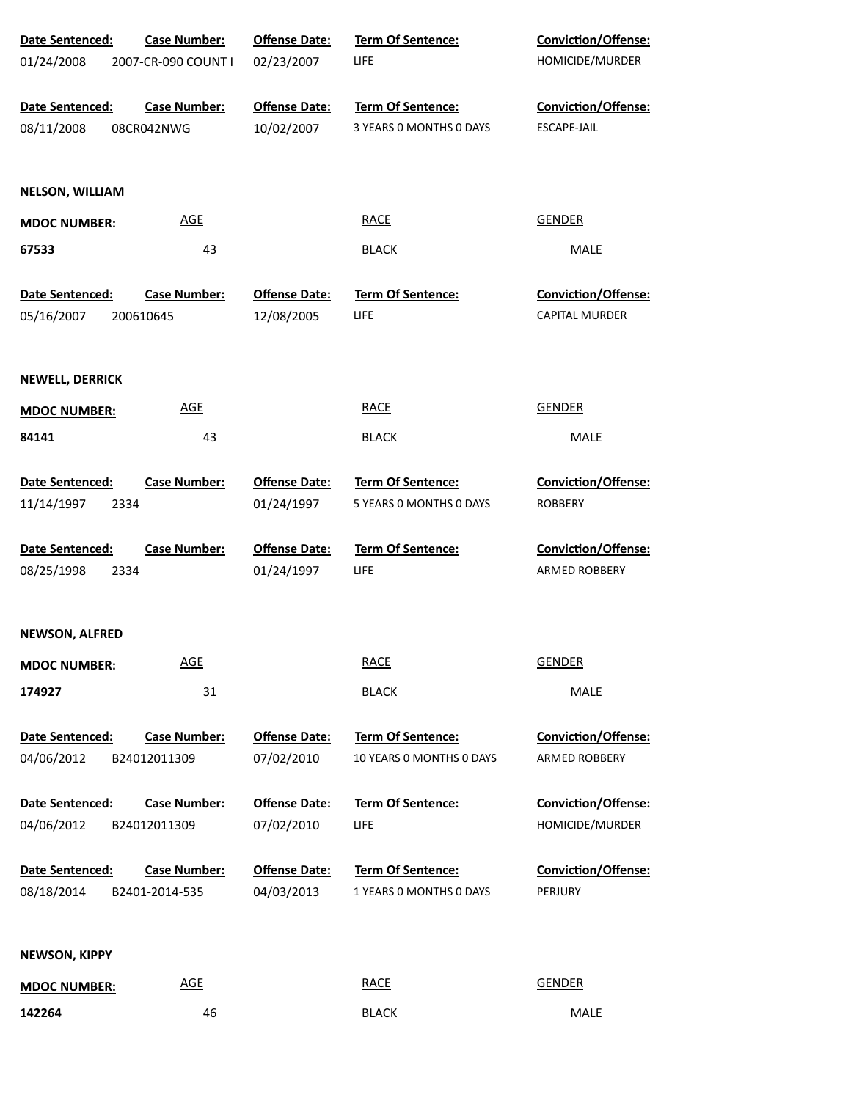| <b>Date Sentenced:</b> | <b>Case Number:</b> | <b>Offense Date:</b> | <b>Term Of Sentence:</b> | Conviction/Offense:        |
|------------------------|---------------------|----------------------|--------------------------|----------------------------|
| 01/24/2008             | 2007-CR-090 COUNT I | 02/23/2007           | <b>LIFE</b>              | HOMICIDE/MURDER            |
|                        |                     |                      |                          |                            |
| Date Sentenced:        | <b>Case Number:</b> | <b>Offense Date:</b> | Term Of Sentence:        | <b>Conviction/Offense:</b> |
| 08/11/2008             | 08CR042NWG          | 10/02/2007           | 3 YEARS 0 MONTHS 0 DAYS  | ESCAPE-JAIL                |
|                        |                     |                      |                          |                            |
| <b>NELSON, WILLIAM</b> |                     |                      |                          |                            |
| <b>MDOC NUMBER:</b>    | <b>AGE</b>          |                      | <b>RACE</b>              | <b>GENDER</b>              |
| 67533                  | 43                  |                      | <b>BLACK</b>             | MALE                       |
| Date Sentenced:        | <b>Case Number:</b> | <b>Offense Date:</b> | <b>Term Of Sentence:</b> | <b>Conviction/Offense:</b> |
| 05/16/2007             | 200610645           | 12/08/2005           | LIFE                     | CAPITAL MURDER             |
|                        |                     |                      |                          |                            |
| <b>NEWELL, DERRICK</b> |                     |                      |                          |                            |
| <b>MDOC NUMBER:</b>    | <b>AGE</b>          |                      | <b>RACE</b>              | <b>GENDER</b>              |
| 84141                  | 43                  |                      | <b>BLACK</b>             | MALE                       |
|                        |                     |                      |                          |                            |
| Date Sentenced:        | <b>Case Number:</b> | <b>Offense Date:</b> | Term Of Sentence:        | <b>Conviction/Offense:</b> |
| 11/14/1997<br>2334     |                     | 01/24/1997           | 5 YEARS 0 MONTHS 0 DAYS  | <b>ROBBERY</b>             |
| Date Sentenced:        | <b>Case Number:</b> | <b>Offense Date:</b> | Term Of Sentence:        | Conviction/Offense:        |
| 08/25/1998<br>2334     |                     | 01/24/1997           | <b>LIFE</b>              | ARMED ROBBERY              |
|                        |                     |                      |                          |                            |
| <b>NEWSON, ALFRED</b>  |                     |                      |                          |                            |
| <b>MDOC NUMBER:</b>    | <b>AGE</b>          |                      | <b>RACE</b>              | <b>GENDER</b>              |
| 174927                 | 31                  |                      | <b>BLACK</b>             | MALE                       |
| Date Sentenced:        | <b>Case Number:</b> | <b>Offense Date:</b> | Term Of Sentence:        | <b>Conviction/Offense:</b> |
| 04/06/2012             | B24012011309        | 07/02/2010           | 10 YEARS O MONTHS O DAYS | ARMED ROBBERY              |
| Date Sentenced:        | <b>Case Number:</b> | <b>Offense Date:</b> | Term Of Sentence:        | Conviction/Offense:        |
| 04/06/2012             | B24012011309        | 07/02/2010           | <b>LIFE</b>              | HOMICIDE/MURDER            |
|                        |                     |                      |                          |                            |
| Date Sentenced:        | <b>Case Number:</b> | <b>Offense Date:</b> | Term Of Sentence:        | Conviction/Offense:        |
| 08/18/2014             | B2401-2014-535      | 04/03/2013           | 1 YEARS 0 MONTHS 0 DAYS  | PERJURY                    |
|                        |                     |                      |                          |                            |
| <b>NEWSON, KIPPY</b>   |                     |                      |                          |                            |
| <b>MDOC NUMBER:</b>    | <b>AGE</b>          |                      | <b>RACE</b>              | <b>GENDER</b>              |
| 142264                 | 46                  |                      | <b>BLACK</b>             | MALE                       |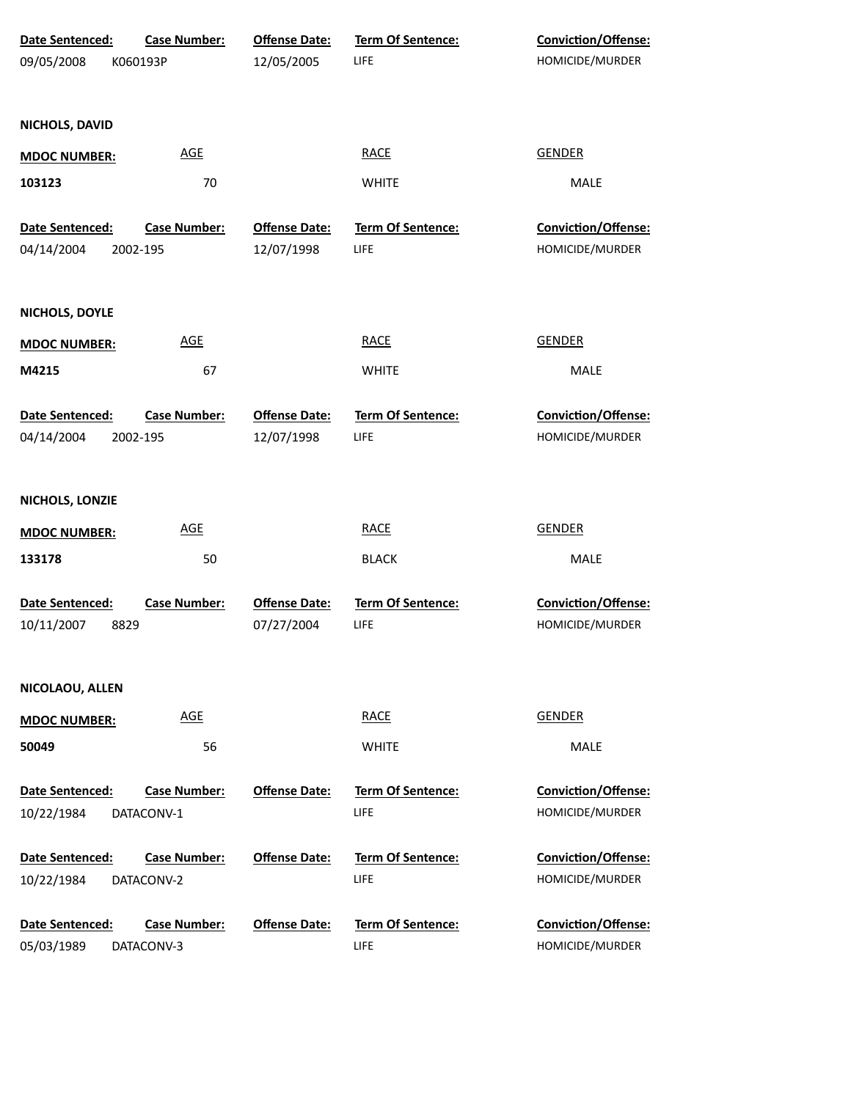| Date Sentenced:     | <b>Case Number:</b> | <b>Offense Date:</b> | <b>Term Of Sentence:</b> | <b>Conviction/Offense:</b> |
|---------------------|---------------------|----------------------|--------------------------|----------------------------|
| 09/05/2008          | K060193P            | 12/05/2005           | LIFE                     | HOMICIDE/MURDER            |
| NICHOLS, DAVID      |                     |                      |                          |                            |
| <b>MDOC NUMBER:</b> | <b>AGE</b>          |                      | <b>RACE</b>              | <b>GENDER</b>              |
| 103123              | 70                  |                      | <b>WHITE</b>             | MALE                       |
| Date Sentenced:     | <b>Case Number:</b> | <b>Offense Date:</b> | <b>Term Of Sentence:</b> | Conviction/Offense:        |
| 04/14/2004          | 2002-195            | 12/07/1998           | LIFE                     | HOMICIDE/MURDER            |
| NICHOLS, DOYLE      |                     |                      |                          |                            |
| <b>MDOC NUMBER:</b> | <b>AGE</b>          |                      | <b>RACE</b>              | <b>GENDER</b>              |
| M4215               | 67                  |                      | <b>WHITE</b>             | MALE                       |
| Date Sentenced:     | <b>Case Number:</b> | <b>Offense Date:</b> | Term Of Sentence:        | Conviction/Offense:        |
| 04/14/2004          | 2002-195            | 12/07/1998           | LIFE                     | HOMICIDE/MURDER            |
| NICHOLS, LONZIE     |                     |                      |                          |                            |
| <b>MDOC NUMBER:</b> | <b>AGE</b>          |                      | <b>RACE</b>              | <b>GENDER</b>              |
| 133178              | 50                  |                      | <b>BLACK</b>             | MALE                       |
| Date Sentenced:     | <b>Case Number:</b> | <b>Offense Date:</b> | <b>Term Of Sentence:</b> | Conviction/Offense:        |
| 10/11/2007<br>8829  |                     | 07/27/2004           | LIFE                     | HOMICIDE/MURDER            |
| NICOLAOU, ALLEN     |                     |                      |                          |                            |
| <b>MDOC NUMBER:</b> | <b>AGE</b>          |                      | <b>RACE</b>              | <b>GENDER</b>              |
| 50049               | 56                  |                      | <b>WHITE</b>             | MALE                       |
| Date Sentenced:     | <b>Case Number:</b> | <b>Offense Date:</b> | <b>Term Of Sentence:</b> | <b>Conviction/Offense:</b> |
| 10/22/1984          | DATACONV-1          |                      | LIFE                     | HOMICIDE/MURDER            |
| Date Sentenced:     | <b>Case Number:</b> | <b>Offense Date:</b> | <b>Term Of Sentence:</b> | <b>Conviction/Offense:</b> |
| 10/22/1984          | DATACONV-2          |                      | LIFE                     | HOMICIDE/MURDER            |
| Date Sentenced:     | <b>Case Number:</b> | <b>Offense Date:</b> | <b>Term Of Sentence:</b> | <b>Conviction/Offense:</b> |
| 05/03/1989          | DATACONV-3          |                      | LIFE                     | HOMICIDE/MURDER            |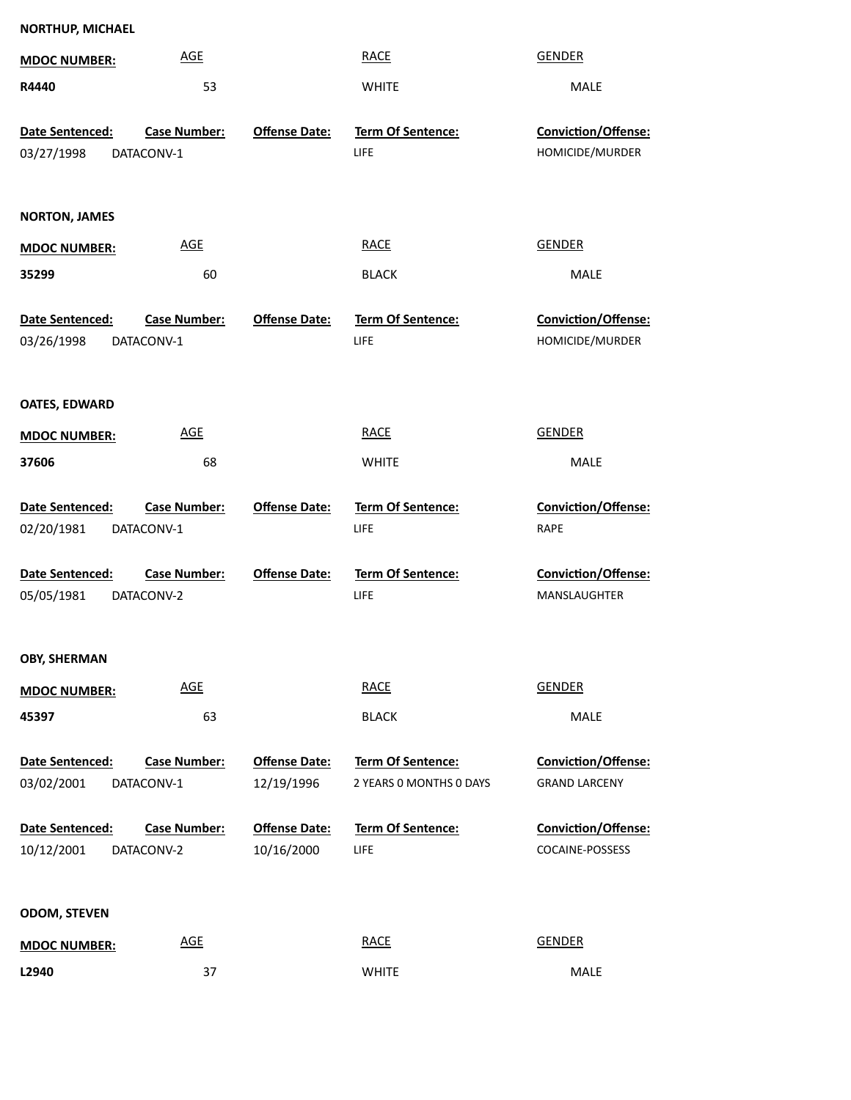| <b>NORTHUP, MICHAEL</b>              |                                   |                                    |                                                     |                                                    |
|--------------------------------------|-----------------------------------|------------------------------------|-----------------------------------------------------|----------------------------------------------------|
| <b>MDOC NUMBER:</b>                  | <b>AGE</b>                        |                                    | <b>RACE</b>                                         | <b>GENDER</b>                                      |
| R4440                                | 53                                |                                    | <b>WHITE</b>                                        | MALE                                               |
| Date Sentenced:<br>03/27/1998        | <b>Case Number:</b><br>DATACONV-1 | <b>Offense Date:</b>               | <b>Term Of Sentence:</b><br><b>LIFE</b>             | <b>Conviction/Offense:</b><br>HOMICIDE/MURDER      |
| <b>NORTON, JAMES</b>                 |                                   |                                    |                                                     |                                                    |
| <b>MDOC NUMBER:</b>                  | <b>AGE</b>                        |                                    | <b>RACE</b>                                         | <b>GENDER</b>                                      |
| 35299                                | 60                                |                                    | <b>BLACK</b>                                        | MALE                                               |
| Date Sentenced:<br>03/26/1998        | <b>Case Number:</b><br>DATACONV-1 | <b>Offense Date:</b>               | <b>Term Of Sentence:</b><br><b>LIFE</b>             | <b>Conviction/Offense:</b><br>HOMICIDE/MURDER      |
| <b>OATES, EDWARD</b>                 |                                   |                                    |                                                     |                                                    |
| <b>MDOC NUMBER:</b>                  | <b>AGE</b>                        |                                    | <b>RACE</b>                                         | <b>GENDER</b>                                      |
| 37606                                | 68                                |                                    | <b>WHITE</b>                                        | MALE                                               |
| Date Sentenced:<br>02/20/1981        | <b>Case Number:</b><br>DATACONV-1 | <b>Offense Date:</b>               | <b>Term Of Sentence:</b><br><b>LIFE</b>             | <b>Conviction/Offense:</b><br><b>RAPE</b>          |
| <b>Date Sentenced:</b><br>05/05/1981 | <b>Case Number:</b><br>DATACONV-2 | <b>Offense Date:</b>               | <b>Term Of Sentence:</b><br>LIFE                    | <b>Conviction/Offense:</b><br>MANSLAUGHTER         |
| <b>OBY, SHERMAN</b>                  |                                   |                                    |                                                     |                                                    |
| <b>MDOC NUMBER:</b>                  | <b>AGE</b>                        |                                    | <b>RACE</b>                                         | <b>GENDER</b>                                      |
| 45397                                | 63                                |                                    | <b>BLACK</b>                                        | MALE                                               |
| <b>Date Sentenced:</b><br>03/02/2001 | <b>Case Number:</b><br>DATACONV-1 | <b>Offense Date:</b><br>12/19/1996 | <b>Term Of Sentence:</b><br>2 YEARS O MONTHS O DAYS | <b>Conviction/Offense:</b><br><b>GRAND LARCENY</b> |
| Date Sentenced:                      | <b>Case Number:</b>               | <b>Offense Date:</b>               | <b>Term Of Sentence:</b>                            | Conviction/Offense:                                |

| <b>Date Sentenced:</b> | <b>Case Number:</b> | <b>Offense Date:</b> | <b>Term Of Sentence:</b> |
|------------------------|---------------------|----------------------|--------------------------|
| 10/12/2001             | DATACONV-2          | 10/16/2000           | LIFE                     |

# **ODOM, STEVEN**

| <b>MDOC NUMBER:</b> | <b>AGE</b> | <b>RACE</b><br><u> The Communication of the Communication of the Communication of the Communication of the Communication of the Communication of the Communication of the Communication of the Communication of the Communication of the Commun</u> | <b>GENDER</b> |
|---------------------|------------|-----------------------------------------------------------------------------------------------------------------------------------------------------------------------------------------------------------------------------------------------------|---------------|
| L2940               | 37         | <b>WHITE</b>                                                                                                                                                                                                                                        | <b>MALE</b>   |

COCAINE-POSSESS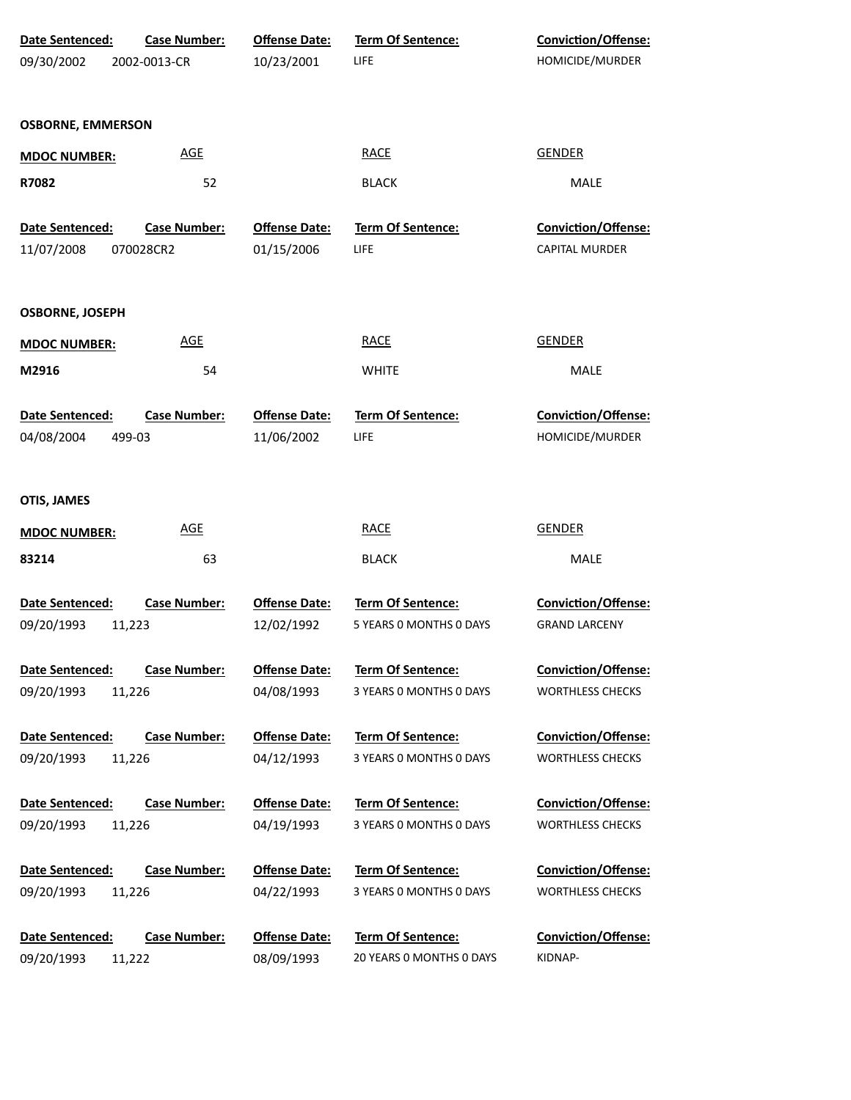| Date Sentenced:          | <b>Case Number:</b> | <b>Offense Date:</b> | Term Of Sentence:        | Conviction/Offense:        |
|--------------------------|---------------------|----------------------|--------------------------|----------------------------|
| 09/30/2002               | 2002-0013-CR        | 10/23/2001           | LIFE                     | HOMICIDE/MURDER            |
|                          |                     |                      |                          |                            |
| <b>OSBORNE, EMMERSON</b> |                     |                      |                          |                            |
| <b>MDOC NUMBER:</b>      | <b>AGE</b>          |                      | <b>RACE</b>              | <b>GENDER</b>              |
| R7082                    | 52                  |                      | <b>BLACK</b>             | MALE                       |
| Date Sentenced:          | <b>Case Number:</b> | <b>Offense Date:</b> | Term Of Sentence:        | Conviction/Offense:        |
| 11/07/2008               | 070028CR2           | 01/15/2006           | LIFE                     | <b>CAPITAL MURDER</b>      |
| <b>OSBORNE, JOSEPH</b>   |                     |                      |                          |                            |
| <b>MDOC NUMBER:</b>      | <b>AGE</b>          |                      | <b>RACE</b>              | <b>GENDER</b>              |
| M2916                    | 54                  |                      | <b>WHITE</b>             | MALE                       |
| Date Sentenced:          | <b>Case Number:</b> | <b>Offense Date:</b> | Term Of Sentence:        | Conviction/Offense:        |
| 04/08/2004               | 499-03              | 11/06/2002           | LIFE                     | HOMICIDE/MURDER            |
| <b>OTIS, JAMES</b>       |                     |                      |                          |                            |
| <b>MDOC NUMBER:</b>      | <b>AGE</b>          |                      | <b>RACE</b>              | <b>GENDER</b>              |
| 83214                    | 63                  |                      | <b>BLACK</b>             | MALE                       |
| Date Sentenced:          | <b>Case Number:</b> | <b>Offense Date:</b> | Term Of Sentence:        | Conviction/Offense:        |
| 09/20/1993               | 11,223              | 12/02/1992           | 5 YEARS O MONTHS O DAYS  | <b>GRAND LARCENY</b>       |
| <b>Date Sentenced:</b>   | <b>Case Number:</b> | <b>Offense Date:</b> | Term Of Sentence:        | <b>Conviction/Offense:</b> |
| 09/20/1993               | 11,226              | 04/08/1993           | 3 YEARS 0 MONTHS 0 DAYS  | <b>WORTHLESS CHECKS</b>    |
| Date Sentenced:          | <b>Case Number:</b> | <b>Offense Date:</b> | Term Of Sentence:        | <b>Conviction/Offense:</b> |
| 09/20/1993               | 11,226              | 04/12/1993           | 3 YEARS 0 MONTHS 0 DAYS  | <b>WORTHLESS CHECKS</b>    |
| Date Sentenced:          | <b>Case Number:</b> | <b>Offense Date:</b> | Term Of Sentence:        | <b>Conviction/Offense:</b> |
| 09/20/1993               | 11,226              | 04/19/1993           | 3 YEARS 0 MONTHS 0 DAYS  | <b>WORTHLESS CHECKS</b>    |
| Date Sentenced:          | <b>Case Number:</b> | <b>Offense Date:</b> | Term Of Sentence:        | <b>Conviction/Offense:</b> |
| 09/20/1993               | 11,226              | 04/22/1993           | 3 YEARS 0 MONTHS 0 DAYS  | <b>WORTHLESS CHECKS</b>    |
| Date Sentenced:          | <b>Case Number:</b> | <b>Offense Date:</b> | Term Of Sentence:        | <b>Conviction/Offense:</b> |
| 09/20/1993               | 11,222              | 08/09/1993           | 20 YEARS 0 MONTHS 0 DAYS | KIDNAP-                    |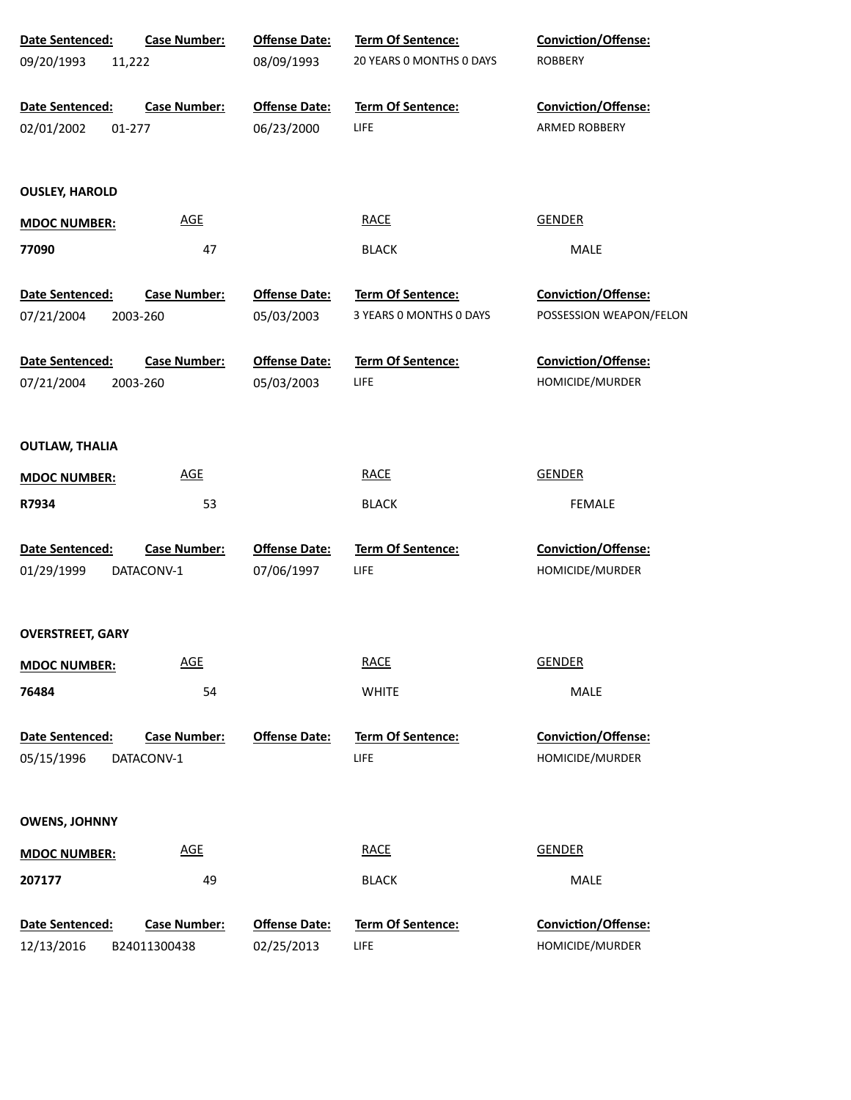| Date Sentenced:         | <b>Case Number:</b> | <b>Offense Date:</b> | Term Of Sentence:        | Conviction/Offense:        |
|-------------------------|---------------------|----------------------|--------------------------|----------------------------|
| 09/20/1993<br>11,222    |                     | 08/09/1993           | 20 YEARS 0 MONTHS 0 DAYS | <b>ROBBERY</b>             |
| Date Sentenced:         | <b>Case Number:</b> | <b>Offense Date:</b> | Term Of Sentence:        | Conviction/Offense:        |
| 02/01/2002<br>01-277    |                     | 06/23/2000           | LIFE                     | ARMED ROBBERY              |
| <b>OUSLEY, HAROLD</b>   |                     |                      |                          |                            |
| <b>MDOC NUMBER:</b>     | AGE                 |                      | <b>RACE</b>              | <b>GENDER</b>              |
| 77090                   | 47                  |                      | <b>BLACK</b>             | MALE                       |
| Date Sentenced:         | <b>Case Number:</b> | <b>Offense Date:</b> | Term Of Sentence:        | Conviction/Offense:        |
| 07/21/2004              | 2003-260            | 05/03/2003           | 3 YEARS 0 MONTHS 0 DAYS  | POSSESSION WEAPON/FELON    |
| Date Sentenced:         | <b>Case Number:</b> | <b>Offense Date:</b> | Term Of Sentence:        | Conviction/Offense:        |
| 07/21/2004              | 2003-260            | 05/03/2003           | LIFE                     | HOMICIDE/MURDER            |
| <b>OUTLAW, THALIA</b>   |                     |                      |                          |                            |
| <b>MDOC NUMBER:</b>     | AGE                 |                      | <b>RACE</b>              | <b>GENDER</b>              |
| R7934                   | 53                  |                      | <b>BLACK</b>             | <b>FEMALE</b>              |
| Date Sentenced:         | <b>Case Number:</b> | <b>Offense Date:</b> | Term Of Sentence:        | Conviction/Offense:        |
| 01/29/1999              | DATACONV-1          | 07/06/1997           | LIFE                     | HOMICIDE/MURDER            |
| <b>OVERSTREET, GARY</b> |                     |                      |                          |                            |
| <b>MDOC NUMBER:</b>     | AGE                 |                      | <b>RACE</b>              | <b>GENDER</b>              |
| 76484                   | 54                  |                      | <b>WHITE</b>             | MALE                       |
| <b>Date Sentenced:</b>  | <b>Case Number:</b> | <b>Offense Date:</b> | Term Of Sentence:        | Conviction/Offense:        |
| 05/15/1996              | DATACONV-1          |                      | LIFE                     | HOMICIDE/MURDER            |
| <b>OWENS, JOHNNY</b>    |                     |                      |                          |                            |
| <b>MDOC NUMBER:</b>     | <b>AGE</b>          |                      | <b>RACE</b>              | <b>GENDER</b>              |
| 207177                  | 49                  |                      | <b>BLACK</b>             | MALE                       |
| Date Sentenced:         | <b>Case Number:</b> | <b>Offense Date:</b> | Term Of Sentence:        | <b>Conviction/Offense:</b> |
| 12/13/2016              | B24011300438        | 02/25/2013           | LIFE                     | HOMICIDE/MURDER            |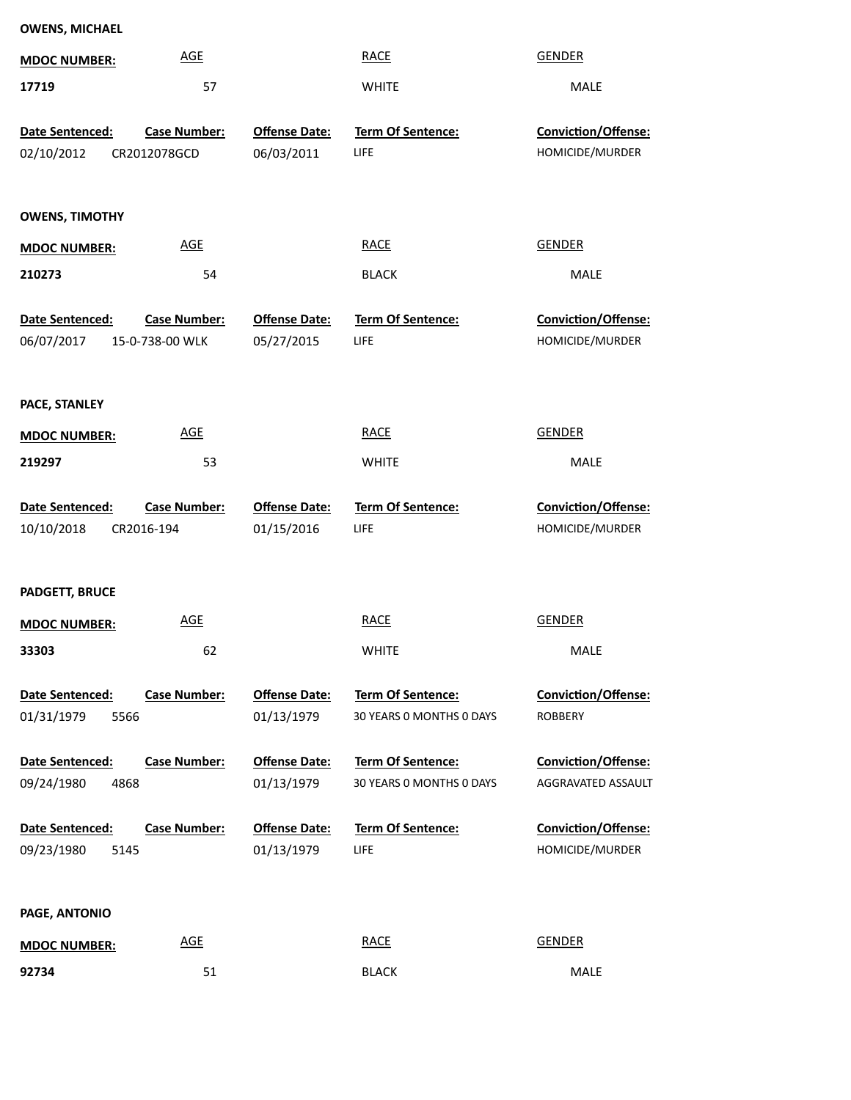| <b>OWENS, MICHAEL</b>                 |                     |                                    |                           |                                        |
|---------------------------------------|---------------------|------------------------------------|---------------------------|----------------------------------------|
| <b>MDOC NUMBER:</b>                   | <b>AGE</b>          |                                    | <b>RACE</b>               | <b>GENDER</b>                          |
| 17719                                 | 57                  |                                    | <b>WHITE</b>              | MALE                                   |
| Date Sentenced:                       | Case Number:        | <b>Offense Date:</b>               | Term Of Sentence:         | Conviction/Offense:                    |
| 02/10/2012                            | CR2012078GCD        | 06/03/2011                         | LIFE                      | HOMICIDE/MURDER                        |
|                                       |                     |                                    |                           |                                        |
| <b>OWENS, TIMOTHY</b>                 |                     |                                    |                           |                                        |
| <b>MDOC NUMBER:</b>                   | <b>AGE</b>          |                                    | <b>RACE</b>               | <b>GENDER</b>                          |
| 210273                                | 54                  |                                    | <b>BLACK</b>              | MALE                                   |
|                                       |                     |                                    |                           |                                        |
| Date Sentenced:<br>06/07/2017         | <b>Case Number:</b> | <b>Offense Date:</b><br>05/27/2015 | Term Of Sentence:<br>LIFE | Conviction/Offense:<br>HOMICIDE/MURDER |
|                                       | 15-0-738-00 WLK     |                                    |                           |                                        |
|                                       |                     |                                    |                           |                                        |
| PACE, STANLEY                         |                     |                                    |                           |                                        |
| <b>MDOC NUMBER:</b>                   | <b>AGE</b>          |                                    | <b>RACE</b>               | <b>GENDER</b>                          |
| 219297                                | 53                  |                                    | <b>WHITE</b>              | MALE                                   |
| Date Sentenced:                       | Case Number:        | <b>Offense Date:</b>               | Term Of Sentence:         | Conviction/Offense:                    |
| 10/10/2018                            | CR2016-194          | 01/15/2016                         | LIFE                      | HOMICIDE/MURDER                        |
|                                       |                     |                                    |                           |                                        |
| PADGETT, BRUCE                        |                     |                                    |                           |                                        |
| <b>MDOC NUMBER:</b>                   | <b>AGE</b>          |                                    | <b>RACE</b>               | <b>GENDER</b>                          |
| 33303                                 | 62                  |                                    | <b>WHITE</b>              | MALE                                   |
|                                       |                     |                                    |                           |                                        |
| Date Sentenced:                       | <b>Case Number:</b> | <b>Offense Date:</b>               | Term Of Sentence:         | Conviction/Offense:                    |
| 01/31/1979<br>5566                    |                     | 01/13/1979                         | 30 YEARS 0 MONTHS 0 DAYS  | <b>ROBBERY</b>                         |
| Date Sentenced:                       | <b>Case Number:</b> | <b>Offense Date:</b>               | Term Of Sentence:         | Conviction/Offense:                    |
| 09/24/1980<br>4868                    |                     | 01/13/1979                         | 30 YEARS 0 MONTHS 0 DAYS  | AGGRAVATED ASSAULT                     |
|                                       |                     |                                    |                           |                                        |
| Date Sentenced:<br>09/23/1980<br>5145 | <b>Case Number:</b> | <b>Offense Date:</b><br>01/13/1979 | Term Of Sentence:<br>LIFE | Conviction/Offense:<br>HOMICIDE/MURDER |
|                                       |                     |                                    |                           |                                        |
| PAGE, ANTONIO                         |                     |                                    |                           |                                        |
|                                       | <b>AGE</b>          |                                    | <b>RACE</b>               | <b>GENDER</b>                          |
| <b>MDOC NUMBER:</b><br>92734          | 51                  |                                    | <b>BLACK</b>              | MALE                                   |
|                                       |                     |                                    |                           |                                        |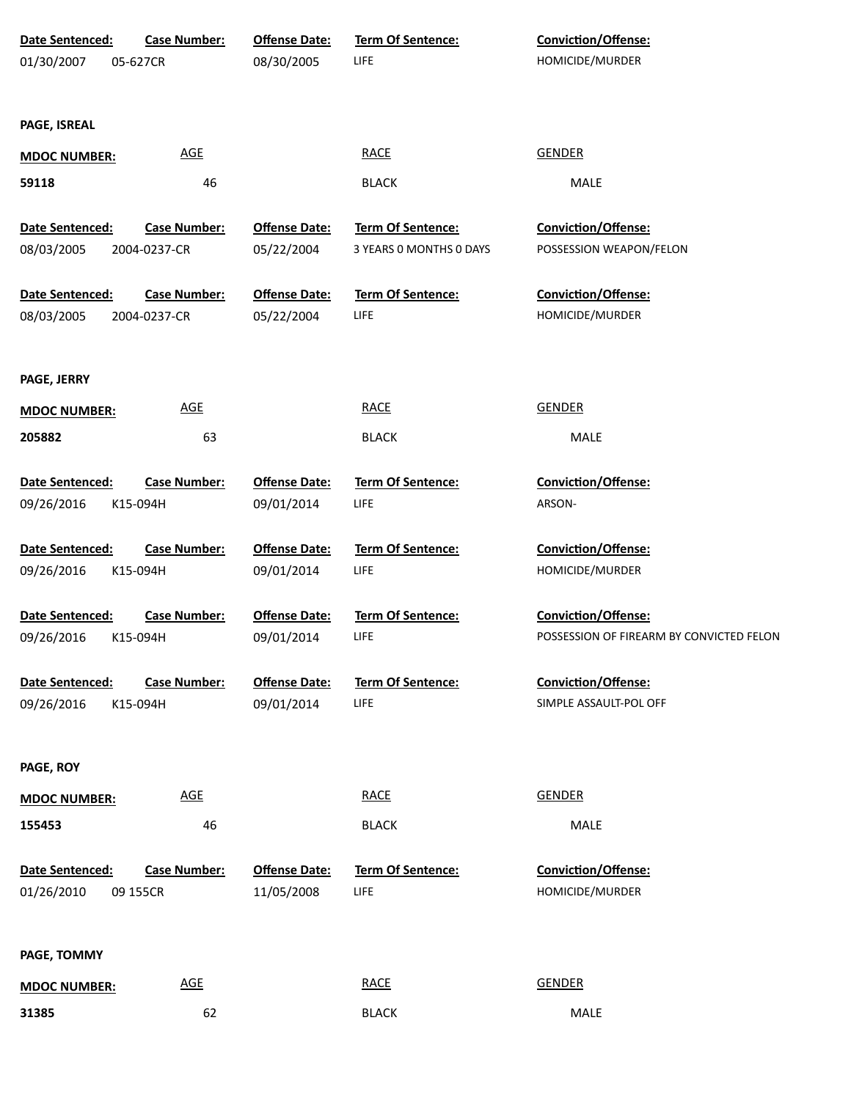| Date Sentenced:               | <b>Case Number:</b>             | <b>Offense Date:</b>               | <b>Term Of Sentence:</b>         | Conviction/Offense:                      |
|-------------------------------|---------------------------------|------------------------------------|----------------------------------|------------------------------------------|
| 01/30/2007                    | 05-627CR                        | 08/30/2005                         | LIFE                             | HOMICIDE/MURDER                          |
|                               |                                 |                                    |                                  |                                          |
|                               |                                 |                                    |                                  |                                          |
| PAGE, ISREAL                  |                                 |                                    |                                  |                                          |
| <b>MDOC NUMBER:</b>           | <b>AGE</b>                      |                                    | <b>RACE</b>                      | <b>GENDER</b>                            |
| 59118                         | 46                              |                                    | <b>BLACK</b>                     | MALE                                     |
|                               |                                 |                                    |                                  |                                          |
| Date Sentenced:               | <b>Case Number:</b>             | <b>Offense Date:</b>               | Term Of Sentence:                | Conviction/Offense:                      |
| 08/03/2005                    | 2004-0237-CR                    | 05/22/2004                         | 3 YEARS 0 MONTHS 0 DAYS          | POSSESSION WEAPON/FELON                  |
| Date Sentenced:               | <b>Case Number:</b>             | <b>Offense Date:</b>               | Term Of Sentence:                | Conviction/Offense:                      |
| 08/03/2005                    | 2004-0237-CR                    | 05/22/2004                         | LIFE                             | HOMICIDE/MURDER                          |
|                               |                                 |                                    |                                  |                                          |
|                               |                                 |                                    |                                  |                                          |
| PAGE, JERRY                   |                                 |                                    |                                  |                                          |
| <b>MDOC NUMBER:</b>           | <b>AGE</b>                      |                                    | <b>RACE</b>                      | <b>GENDER</b>                            |
| 205882                        | 63                              |                                    | <b>BLACK</b>                     | <b>MALE</b>                              |
| Date Sentenced:               | <b>Case Number:</b>             | <b>Offense Date:</b>               | Term Of Sentence:                | Conviction/Offense:                      |
| 09/26/2016                    | K15-094H                        | 09/01/2014                         | LIFE                             | ARSON-                                   |
|                               |                                 |                                    |                                  |                                          |
| Date Sentenced:               | <b>Case Number:</b>             | <b>Offense Date:</b>               | Term Of Sentence:                | Conviction/Offense:                      |
| 09/26/2016                    | K15-094H                        | 09/01/2014                         | LIFE                             | HOMICIDE/MURDER                          |
|                               |                                 |                                    |                                  |                                          |
| Date Sentenced:               | <b>Case Number:</b>             | <b>Offense Date:</b>               | Term Of Sentence:                | <b>Conviction/Offense:</b>               |
| 09/26/2016                    | K15-094H                        | 09/01/2014                         | LIFE                             | POSSESSION OF FIREARM BY CONVICTED FELON |
|                               |                                 |                                    |                                  | <b>Conviction/Offense:</b>               |
| Date Sentenced:<br>09/26/2016 | <b>Case Number:</b><br>K15-094H | <b>Offense Date:</b><br>09/01/2014 | <b>Term Of Sentence:</b><br>LIFE | SIMPLE ASSAULT-POL OFF                   |
|                               |                                 |                                    |                                  |                                          |
|                               |                                 |                                    |                                  |                                          |
| PAGE, ROY                     |                                 |                                    |                                  |                                          |
| <b>MDOC NUMBER:</b>           | AGE                             |                                    | <b>RACE</b>                      | <b>GENDER</b>                            |
| 155453                        | 46                              |                                    | <b>BLACK</b>                     | MALE                                     |
|                               |                                 |                                    |                                  |                                          |
| Date Sentenced:               | <b>Case Number:</b>             | <b>Offense Date:</b>               | Term Of Sentence:                | Conviction/Offense:                      |
| 01/26/2010                    | 09 155CR                        | 11/05/2008                         | LIFE                             | HOMICIDE/MURDER                          |
|                               |                                 |                                    |                                  |                                          |
| PAGE, TOMMY                   |                                 |                                    |                                  |                                          |
| <b>MDOC NUMBER:</b>           | <b>AGE</b>                      |                                    | <b>RACE</b>                      | <b>GENDER</b>                            |
| 31385                         | 62                              |                                    | <b>BLACK</b>                     | MALE                                     |
|                               |                                 |                                    |                                  |                                          |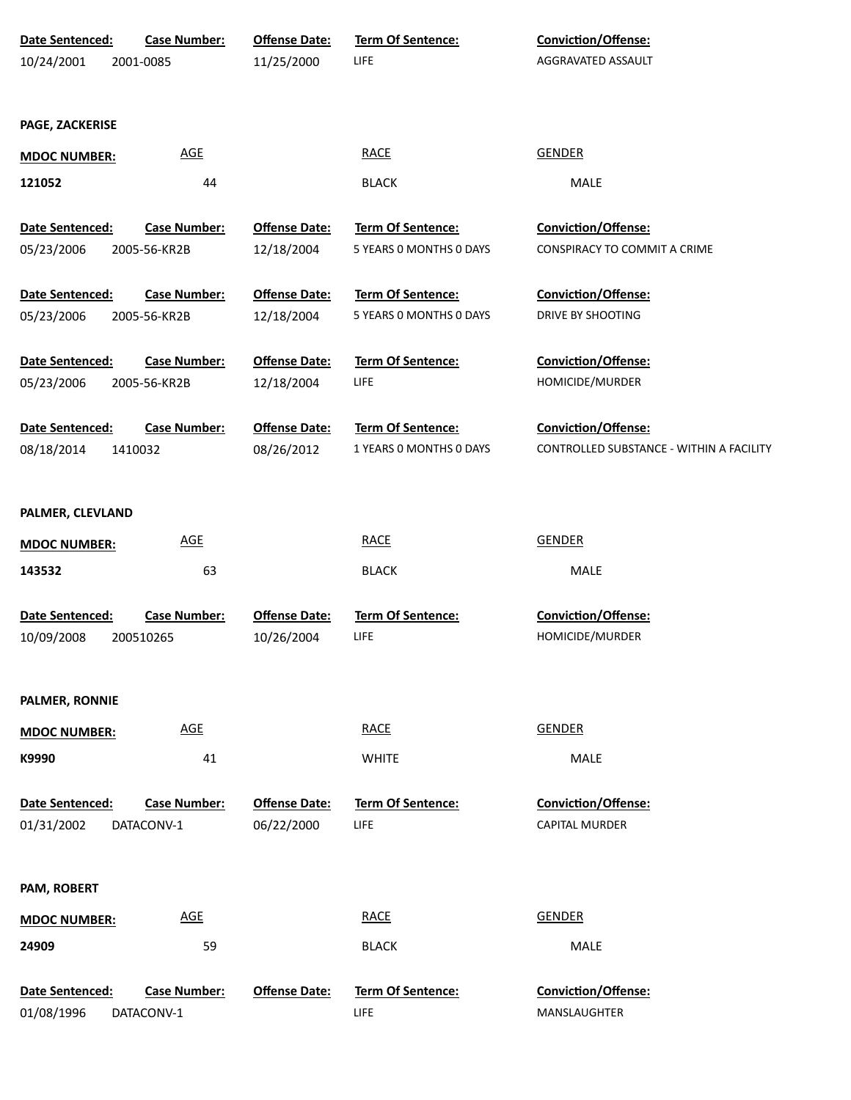| Date Sentenced:     | <b>Case Number:</b> | <b>Offense Date:</b> | <b>Term Of Sentence:</b> | <b>Conviction/Offense:</b>               |
|---------------------|---------------------|----------------------|--------------------------|------------------------------------------|
| 10/24/2001          | 2001-0085           | 11/25/2000           | <b>LIFE</b>              | AGGRAVATED ASSAULT                       |
|                     |                     |                      |                          |                                          |
| PAGE, ZACKERISE     |                     |                      |                          |                                          |
| <b>MDOC NUMBER:</b> | <b>AGE</b>          |                      | <b>RACE</b>              | <b>GENDER</b>                            |
| 121052              | 44                  |                      | <b>BLACK</b>             | MALE                                     |
| Date Sentenced:     | <b>Case Number:</b> | <b>Offense Date:</b> | <b>Term Of Sentence:</b> | <b>Conviction/Offense:</b>               |
| 05/23/2006          | 2005-56-KR2B        | 12/18/2004           | 5 YEARS O MONTHS O DAYS  | CONSPIRACY TO COMMIT A CRIME             |
| Date Sentenced:     | <b>Case Number:</b> | <b>Offense Date:</b> | Term Of Sentence:        | Conviction/Offense:                      |
| 05/23/2006          | 2005-56-KR2B        | 12/18/2004           | 5 YEARS O MONTHS O DAYS  | DRIVE BY SHOOTING                        |
|                     |                     |                      |                          |                                          |
| Date Sentenced:     | <b>Case Number:</b> | <b>Offense Date:</b> | Term Of Sentence:        | Conviction/Offense:                      |
| 05/23/2006          | 2005-56-KR2B        | 12/18/2004           | <b>LIFE</b>              | HOMICIDE/MURDER                          |
| Date Sentenced:     | <b>Case Number:</b> | <b>Offense Date:</b> | Term Of Sentence:        | <b>Conviction/Offense:</b>               |
| 08/18/2014          | 1410032             | 08/26/2012           | 1 YEARS O MONTHS O DAYS  | CONTROLLED SUBSTANCE - WITHIN A FACILITY |
|                     |                     |                      |                          |                                          |
| PALMER, CLEVLAND    |                     |                      |                          |                                          |
| <b>MDOC NUMBER:</b> | <b>AGE</b>          |                      | <b>RACE</b>              | <b>GENDER</b>                            |
| 143532              | 63                  |                      | <b>BLACK</b>             | MALE                                     |
|                     |                     |                      |                          |                                          |
| Date Sentenced:     | <b>Case Number:</b> | <b>Offense Date:</b> | <b>Term Of Sentence:</b> | <b>Conviction/Offense:</b>               |
| 10/09/2008          | 200510265           | 10/26/2004           | LIFE                     | HOMICIDE/MURDER                          |
|                     |                     |                      |                          |                                          |
| PALMER, RONNIE      |                     |                      |                          |                                          |
| <b>MDOC NUMBER:</b> | <b>AGE</b>          |                      | <b>RACE</b>              | <b>GENDER</b>                            |
| K9990               | 41                  |                      | <b>WHITE</b>             | MALE                                     |
|                     |                     |                      |                          |                                          |
| Date Sentenced:     | <b>Case Number:</b> | <b>Offense Date:</b> | Term Of Sentence:        | <b>Conviction/Offense:</b>               |
| 01/31/2002          | DATACONV-1          | 06/22/2000           | LIFE                     | <b>CAPITAL MURDER</b>                    |
|                     |                     |                      |                          |                                          |
| PAM, ROBERT         |                     |                      |                          |                                          |
| <b>MDOC NUMBER:</b> | <b>AGE</b>          |                      | <b>RACE</b>              | <b>GENDER</b>                            |
| 24909               | 59                  |                      | <b>BLACK</b>             | <b>MALE</b>                              |
|                     |                     |                      |                          |                                          |
| Date Sentenced:     | <b>Case Number:</b> | <b>Offense Date:</b> | <b>Term Of Sentence:</b> | Conviction/Offense:                      |
| 01/08/1996          | DATACONV-1          |                      | <b>LIFE</b>              | MANSLAUGHTER                             |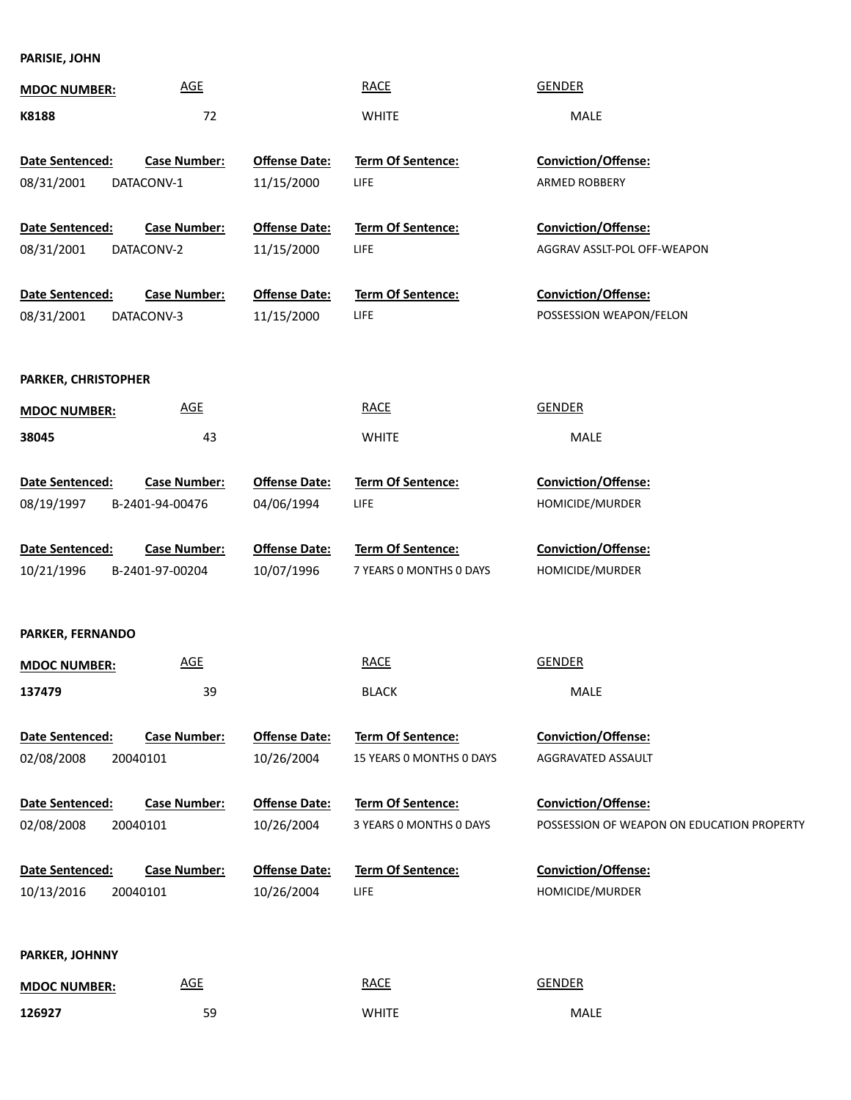**PARISIE, JOHN**

| <b>MDOC NUMBER:</b>    | <b>AGE</b>          |                      | <b>RACE</b>              | <b>GENDER</b>                              |
|------------------------|---------------------|----------------------|--------------------------|--------------------------------------------|
| K8188                  | 72                  |                      | <b>WHITE</b>             | MALE                                       |
|                        |                     |                      |                          |                                            |
| <b>Date Sentenced:</b> | <b>Case Number:</b> | <b>Offense Date:</b> | <b>Term Of Sentence:</b> | <b>Conviction/Offense:</b>                 |
| 08/31/2001             | DATACONV-1          | 11/15/2000           | LIFE                     | ARMED ROBBERY                              |
|                        |                     |                      |                          |                                            |
| Date Sentenced:        | <b>Case Number:</b> | <b>Offense Date:</b> | <b>Term Of Sentence:</b> | Conviction/Offense:                        |
| 08/31/2001             | DATACONV-2          | 11/15/2000           | <b>LIFE</b>              | AGGRAV ASSLT-POL OFF-WEAPON                |
|                        |                     |                      |                          |                                            |
| Date Sentenced:        | <b>Case Number:</b> | <b>Offense Date:</b> | Term Of Sentence:        | Conviction/Offense:                        |
| 08/31/2001             | DATACONV-3          | 11/15/2000           | LIFE                     | POSSESSION WEAPON/FELON                    |
|                        |                     |                      |                          |                                            |
| PARKER, CHRISTOPHER    |                     |                      |                          |                                            |
| <b>MDOC NUMBER:</b>    | <b>AGE</b>          |                      | <b>RACE</b>              | <b>GENDER</b>                              |
| 38045                  | 43                  |                      | <b>WHITE</b>             | <b>MALE</b>                                |
|                        |                     |                      |                          |                                            |
| Date Sentenced:        | <b>Case Number:</b> | <b>Offense Date:</b> | Term Of Sentence:        | Conviction/Offense:                        |
| 08/19/1997             | B-2401-94-00476     | 04/06/1994           | <b>LIFE</b>              | HOMICIDE/MURDER                            |
|                        |                     |                      |                          |                                            |
| Date Sentenced:        | <b>Case Number:</b> | <b>Offense Date:</b> | Term Of Sentence:        | Conviction/Offense:                        |
| 10/21/1996             | B-2401-97-00204     | 10/07/1996           | 7 YEARS O MONTHS O DAYS  | HOMICIDE/MURDER                            |
|                        |                     |                      |                          |                                            |
|                        |                     |                      |                          |                                            |
| PARKER, FERNANDO       |                     |                      |                          |                                            |
| <b>MDOC NUMBER:</b>    | <b>AGE</b>          |                      | <b>RACE</b>              | <b>GENDER</b>                              |
| 137479                 | 39                  |                      | <b>BLACK</b>             | <b>MALE</b>                                |
|                        |                     |                      |                          |                                            |
| <b>Date Sentenced:</b> | <b>Case Number:</b> | <b>Offense Date:</b> | Term Of Sentence:        | <b>Conviction/Offense:</b>                 |
| 02/08/2008             | 20040101            | 10/26/2004           | 15 YEARS 0 MONTHS 0 DAYS | AGGRAVATED ASSAULT                         |
| <b>Date Sentenced:</b> | <b>Case Number:</b> | <b>Offense Date:</b> | Term Of Sentence:        | Conviction/Offense:                        |
|                        |                     |                      |                          |                                            |
|                        |                     |                      |                          |                                            |
| 02/08/2008             | 20040101            | 10/26/2004           | 3 YEARS O MONTHS O DAYS  | POSSESSION OF WEAPON ON EDUCATION PROPERTY |
| Date Sentenced:        | <b>Case Number:</b> | <b>Offense Date:</b> | <b>Term Of Sentence:</b> | <b>Conviction/Offense:</b>                 |
| 10/13/2016             | 20040101            | 10/26/2004           | LIFE                     | HOMICIDE/MURDER                            |
|                        |                     |                      |                          |                                            |
|                        |                     |                      |                          |                                            |
| PARKER, JOHNNY         |                     |                      |                          |                                            |
| <b>MDOC NUMBER:</b>    | AGE                 |                      | <b>RACE</b>              | <b>GENDER</b>                              |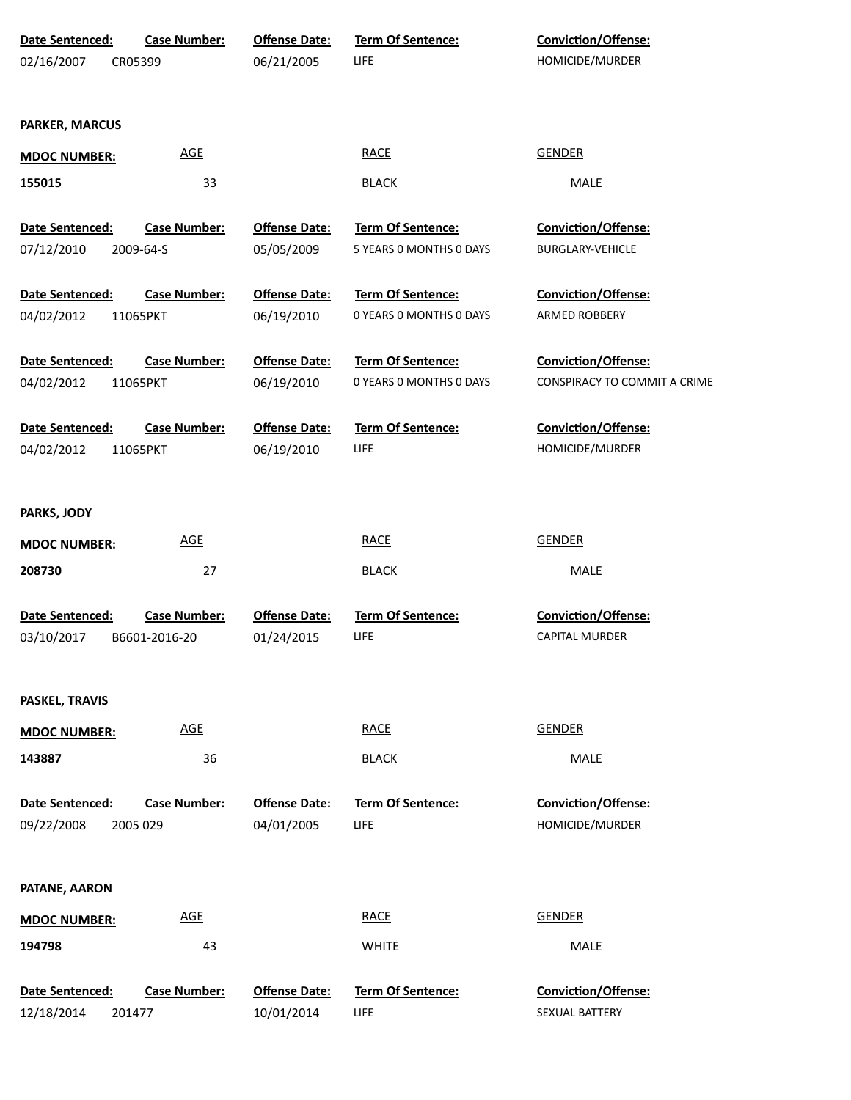| Date Sentenced:               | <b>Case Number:</b>              | <b>Offense Date:</b>               | Term Of Sentence:         | Conviction/Offense:                                   |
|-------------------------------|----------------------------------|------------------------------------|---------------------------|-------------------------------------------------------|
| 02/16/2007                    | CR05399                          | 06/21/2005                         | LIFE                      | HOMICIDE/MURDER                                       |
|                               |                                  |                                    |                           |                                                       |
| PARKER, MARCUS                |                                  |                                    |                           |                                                       |
|                               |                                  |                                    |                           |                                                       |
| <b>MDOC NUMBER:</b>           | <b>AGE</b>                       |                                    | <b>RACE</b>               | <b>GENDER</b>                                         |
| 155015                        | 33                               |                                    | <b>BLACK</b>              | MALE                                                  |
|                               |                                  |                                    | <b>Term Of Sentence:</b>  |                                                       |
| Date Sentenced:<br>07/12/2010 | <b>Case Number:</b><br>2009-64-S | <b>Offense Date:</b><br>05/05/2009 | 5 YEARS O MONTHS O DAYS   | <b>Conviction/Offense:</b><br><b>BURGLARY-VEHICLE</b> |
|                               |                                  |                                    |                           |                                                       |
| Date Sentenced:               | <b>Case Number:</b>              | <b>Offense Date:</b>               | Term Of Sentence:         | <b>Conviction/Offense:</b>                            |
| 04/02/2012                    | 11065PKT                         | 06/19/2010                         | 0 YEARS O MONTHS O DAYS   | ARMED ROBBERY                                         |
|                               |                                  |                                    |                           |                                                       |
| Date Sentenced:               | <b>Case Number:</b>              | <b>Offense Date:</b>               | <b>Term Of Sentence:</b>  | <b>Conviction/Offense:</b>                            |
| 04/02/2012                    | 11065PKT                         | 06/19/2010                         | 0 YEARS O MONTHS O DAYS   | CONSPIRACY TO COMMIT A CRIME                          |
| <b>Date Sentenced:</b>        | <b>Case Number:</b>              | <b>Offense Date:</b>               | <b>Term Of Sentence:</b>  | <b>Conviction/Offense:</b>                            |
| 04/02/2012                    | 11065PKT                         | 06/19/2010                         | LIFE                      | HOMICIDE/MURDER                                       |
|                               |                                  |                                    |                           |                                                       |
|                               |                                  |                                    |                           |                                                       |
| PARKS, JODY                   |                                  |                                    |                           |                                                       |
| <b>MDOC NUMBER:</b>           | <b>AGE</b>                       |                                    | <b>RACE</b>               | <b>GENDER</b>                                         |
| 208730                        | 27                               |                                    | <b>BLACK</b>              | MALE                                                  |
|                               |                                  |                                    |                           |                                                       |
| Date Sentenced:               | <b>Case Number:</b>              | <b>Offense Date:</b>               | Term Of Sentence:         | Conviction/Offense:                                   |
| 03/10/2017                    | B6601-2016-20                    | 01/24/2015                         | LIFE                      | <b>CAPITAL MURDER</b>                                 |
|                               |                                  |                                    |                           |                                                       |
| PASKEL, TRAVIS                |                                  |                                    |                           |                                                       |
| <b>MDOC NUMBER:</b>           | <b>AGE</b>                       |                                    | <b>RACE</b>               | <b>GENDER</b>                                         |
|                               |                                  |                                    |                           |                                                       |
| 143887                        | 36                               |                                    | <b>BLACK</b>              | MALE                                                  |
| Date Sentenced:               | <b>Case Number:</b>              | <b>Offense Date:</b>               | <b>Term Of Sentence:</b>  | Conviction/Offense:                                   |
| 09/22/2008                    | 2005 029                         | 04/01/2005                         | LIFE                      | HOMICIDE/MURDER                                       |
|                               |                                  |                                    |                           |                                                       |
|                               |                                  |                                    |                           |                                                       |
| PATANE, AARON                 |                                  |                                    |                           |                                                       |
| <b>MDOC NUMBER:</b>           | <b>AGE</b>                       |                                    | <b>RACE</b>               | <b>GENDER</b>                                         |
| 194798                        | 43                               |                                    | <b>WHITE</b>              | MALE                                                  |
|                               |                                  |                                    |                           |                                                       |
| Date Sentenced:<br>12/18/2014 | Case Number:                     | <b>Offense Date:</b><br>10/01/2014 | Term Of Sentence:<br>LIFE | Conviction/Offense:<br>SEXUAL BATTERY                 |
|                               | 201477                           |                                    |                           |                                                       |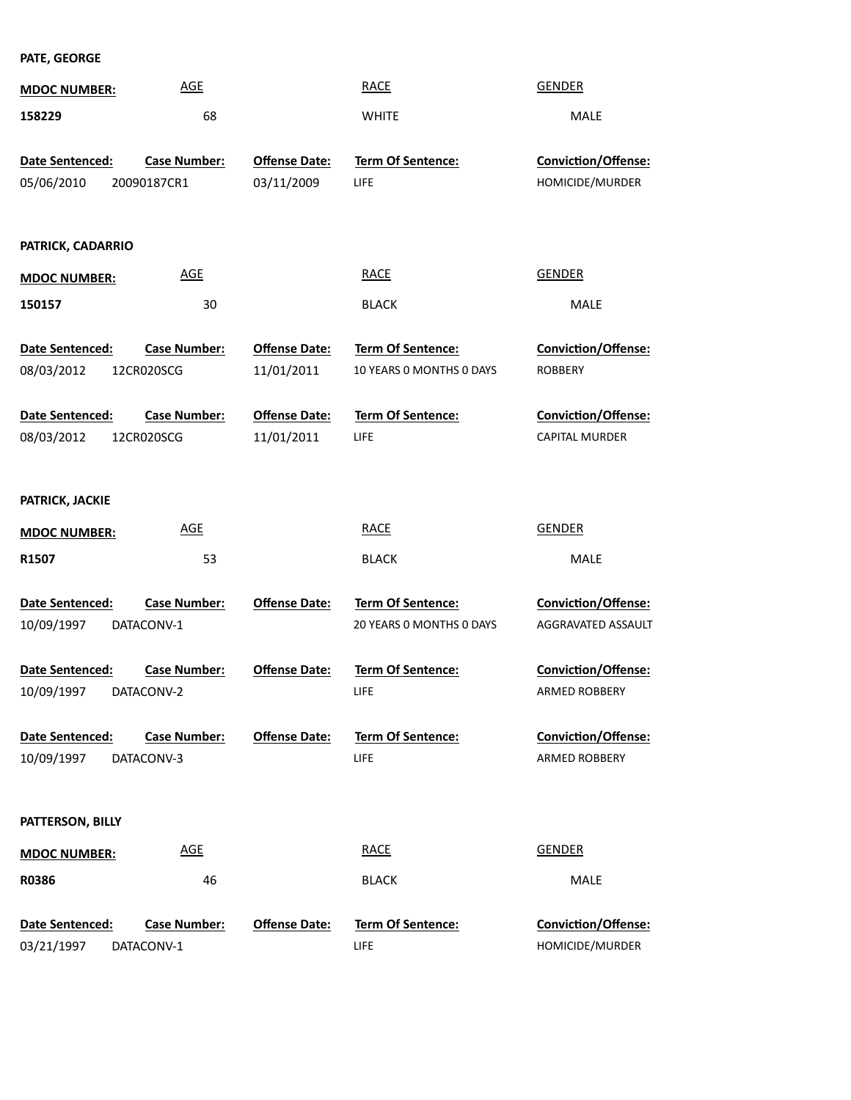**PATE, GEORGE**

| <b>MDOC NUMBER:</b>           | <b>AGE</b>                         |                                    | <b>RACE</b>                                          | <b>GENDER</b>                                    |
|-------------------------------|------------------------------------|------------------------------------|------------------------------------------------------|--------------------------------------------------|
| 158229                        | 68                                 |                                    | <b>WHITE</b>                                         | <b>MALE</b>                                      |
| Date Sentenced:<br>05/06/2010 | <b>Case Number:</b><br>20090187CR1 | <b>Offense Date:</b><br>03/11/2009 | Term Of Sentence:<br>LIFE                            | Conviction/Offense:<br>HOMICIDE/MURDER           |
| PATRICK, CADARRIO             |                                    |                                    |                                                      |                                                  |
| <b>MDOC NUMBER:</b>           | <b>AGE</b>                         |                                    | <b>RACE</b>                                          | <b>GENDER</b>                                    |
| 150157                        | 30                                 |                                    | <b>BLACK</b>                                         | MALE                                             |
| Date Sentenced:<br>08/03/2012 | <b>Case Number:</b><br>12CR020SCG  | <b>Offense Date:</b><br>11/01/2011 | Term Of Sentence:<br>10 YEARS O MONTHS O DAYS        | Conviction/Offense:<br><b>ROBBERY</b>            |
| Date Sentenced:<br>08/03/2012 | <b>Case Number:</b><br>12CR020SCG  | <b>Offense Date:</b><br>11/01/2011 | Term Of Sentence:<br>LIFE                            | Conviction/Offense:<br><b>CAPITAL MURDER</b>     |
| PATRICK, JACKIE               |                                    |                                    |                                                      |                                                  |
| <b>MDOC NUMBER:</b>           | <b>AGE</b>                         |                                    | <b>RACE</b>                                          | <b>GENDER</b>                                    |
| R1507                         | 53                                 |                                    | <b>BLACK</b>                                         | MALE                                             |
| Date Sentenced:<br>10/09/1997 | <b>Case Number:</b><br>DATACONV-1  | <b>Offense Date:</b>               | <b>Term Of Sentence:</b><br>20 YEARS 0 MONTHS 0 DAYS | <b>Conviction/Offense:</b><br>AGGRAVATED ASSAULT |
| Date Sentenced:<br>10/09/1997 | <b>Case Number:</b><br>DATACONV-2  | <b>Offense Date:</b>               | <b>Term Of Sentence:</b><br>LIFE                     | <b>Conviction/Offense:</b><br>ARMED ROBBERY      |
| Date Sentenced:<br>10/09/1997 | <b>Case Number:</b><br>DATACONV-3  | <b>Offense Date:</b>               | <b>Term Of Sentence:</b><br>LIFE                     | Conviction/Offense:<br>ARMED ROBBERY             |
| PATTERSON, BILLY              |                                    |                                    |                                                      |                                                  |
| <b>MDOC NUMBER:</b>           | <b>AGE</b>                         |                                    | <b>RACE</b>                                          | <b>GENDER</b>                                    |
| R0386                         | 46                                 |                                    | <b>BLACK</b>                                         | <b>MALE</b>                                      |
| Date Sentenced:<br>03/21/1997 | <b>Case Number:</b><br>DATACONV-1  | <b>Offense Date:</b>               | <b>Term Of Sentence:</b><br><b>LIFE</b>              | Conviction/Offense:<br>HOMICIDE/MURDER           |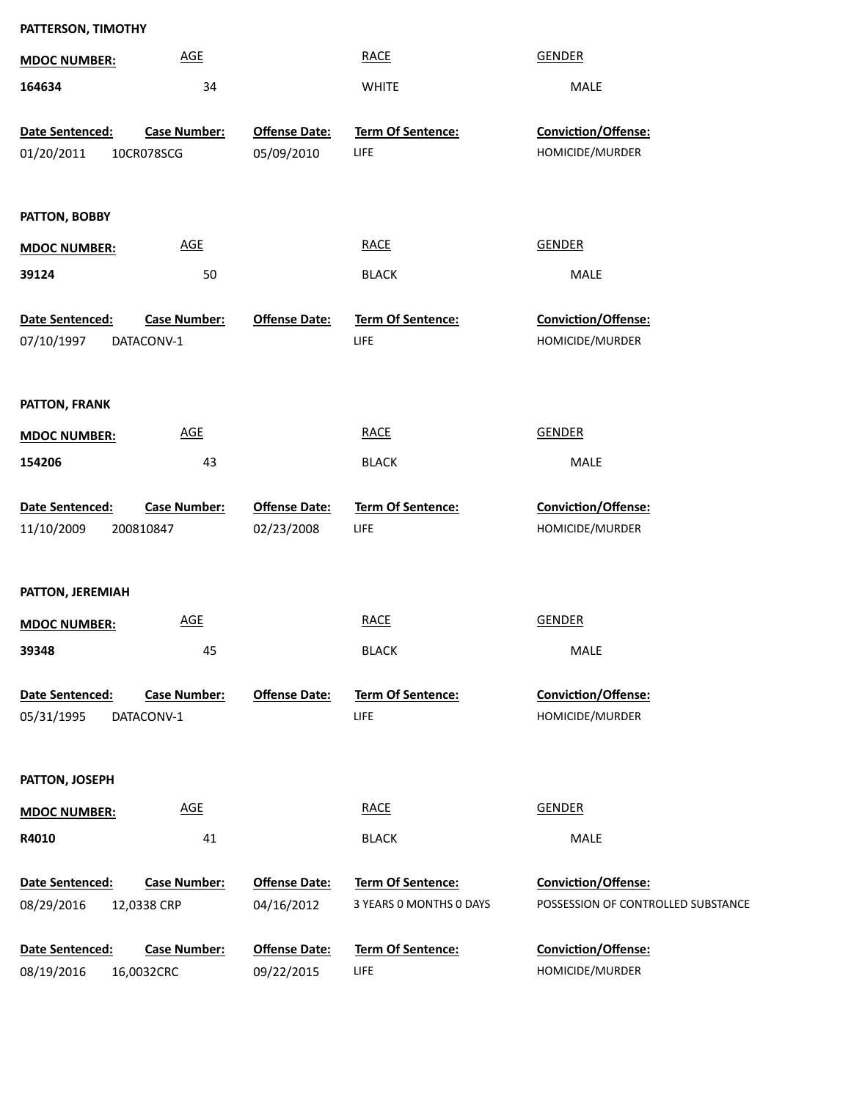| PATTERSON, TIMOTHY            |                     |                                    |                           |                                        |
|-------------------------------|---------------------|------------------------------------|---------------------------|----------------------------------------|
| <b>MDOC NUMBER:</b>           | <b>AGE</b>          |                                    | <b>RACE</b>               | <b>GENDER</b>                          |
| 164634                        | 34                  |                                    | <b>WHITE</b>              | MALE                                   |
|                               |                     |                                    |                           |                                        |
| Date Sentenced:<br>01/20/2011 | <b>Case Number:</b> | <b>Offense Date:</b><br>05/09/2010 | Term Of Sentence:<br>LIFE | Conviction/Offense:<br>HOMICIDE/MURDER |
|                               | 10CR078SCG          |                                    |                           |                                        |
|                               |                     |                                    |                           |                                        |
| PATTON, BOBBY                 |                     |                                    |                           |                                        |
| <b>MDOC NUMBER:</b>           | AGE                 |                                    | <b>RACE</b>               | <b>GENDER</b>                          |
| 39124                         | 50                  |                                    | <b>BLACK</b>              | MALE                                   |
| Date Sentenced:               | <b>Case Number:</b> | <b>Offense Date:</b>               | <b>Term Of Sentence:</b>  | Conviction/Offense:                    |
| 07/10/1997                    | DATACONV-1          |                                    | LIFE                      | HOMICIDE/MURDER                        |
|                               |                     |                                    |                           |                                        |
|                               |                     |                                    |                           |                                        |
| PATTON, FRANK                 |                     |                                    |                           |                                        |
| <b>MDOC NUMBER:</b>           | <b>AGE</b>          |                                    | <b>RACE</b>               | <b>GENDER</b>                          |
| 154206                        | 43                  |                                    | <b>BLACK</b>              | MALE                                   |
| Date Sentenced:               | <b>Case Number:</b> | <b>Offense Date:</b>               | Term Of Sentence:         | Conviction/Offense:                    |
| 11/10/2009                    | 200810847           | 02/23/2008                         | LIFE                      | HOMICIDE/MURDER                        |
|                               |                     |                                    |                           |                                        |
| PATTON, JEREMIAH              |                     |                                    |                           |                                        |
|                               | <b>AGE</b>          |                                    | <b>RACE</b>               | <b>GENDER</b>                          |
| <b>MDOC NUMBER:</b>           |                     |                                    |                           |                                        |
| 39348                         | 45                  |                                    | <b>BLACK</b>              | MALE                                   |
| Date Sentenced:               | <b>Case Number:</b> | <b>Offense Date:</b>               | <b>Term Of Sentence:</b>  | Conviction/Offense:                    |
| 05/31/1995                    | DATACONV-1          |                                    | LIFE                      | HOMICIDE/MURDER                        |
|                               |                     |                                    |                           |                                        |
| PATTON, JOSEPH                |                     |                                    |                           |                                        |
| <b>MDOC NUMBER:</b>           | <b>AGE</b>          |                                    | <b>RACE</b>               | <b>GENDER</b>                          |
| R4010                         | 41                  |                                    | <b>BLACK</b>              | MALE                                   |
|                               |                     |                                    |                           |                                        |
| Date Sentenced:               | <b>Case Number:</b> | <b>Offense Date:</b>               | Term Of Sentence:         | Conviction/Offense:                    |
| 08/29/2016                    | 12,0338 CRP         | 04/16/2012                         | 3 YEARS O MONTHS O DAYS   | POSSESSION OF CONTROLLED SUBSTANCE     |
| Date Sentenced:               | <b>Case Number:</b> | <b>Offense Date:</b>               | Term Of Sentence:         | Conviction/Offense:                    |
| 08/19/2016                    | 16,0032CRC          | 09/22/2015                         | <b>LIFE</b>               | HOMICIDE/MURDER                        |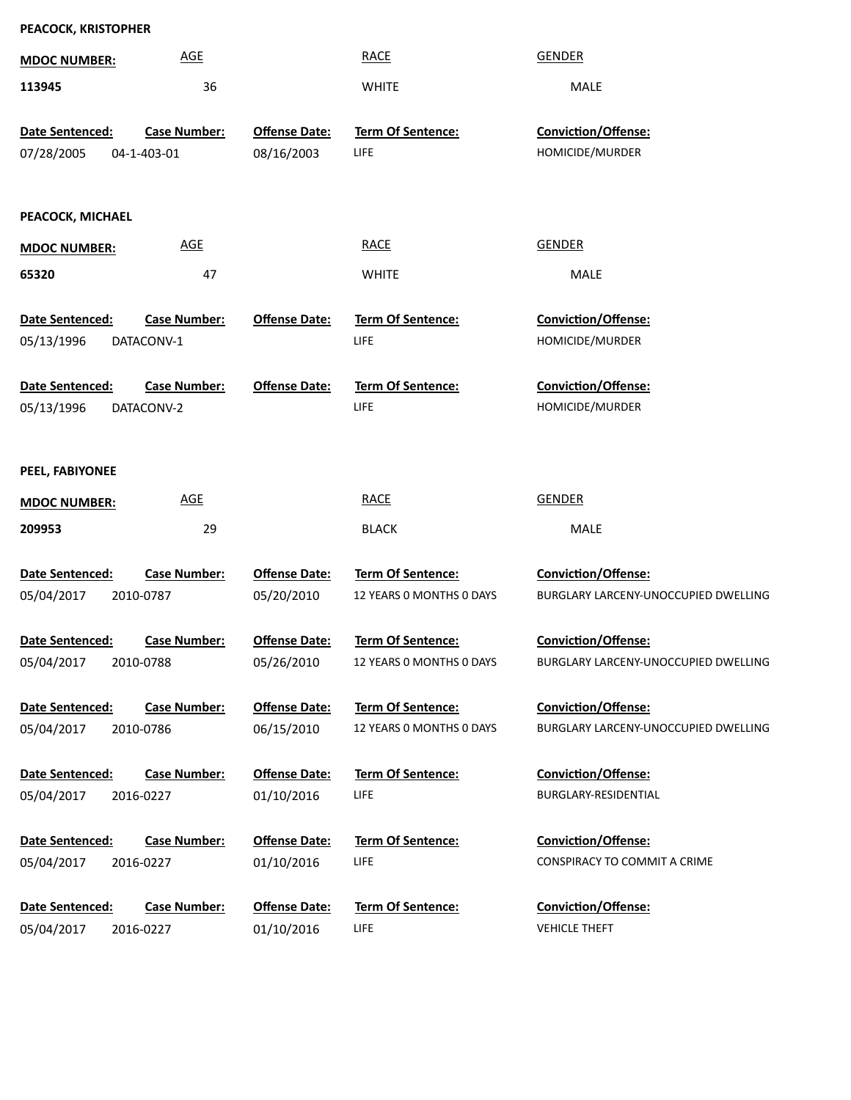| PEACOCK, KRISTOPHER |                     |                      |                          |                                      |
|---------------------|---------------------|----------------------|--------------------------|--------------------------------------|
| <b>MDOC NUMBER:</b> | <b>AGE</b>          |                      | <b>RACE</b>              | <b>GENDER</b>                        |
| 113945              | 36                  |                      | <b>WHITE</b>             | MALE                                 |
| Date Sentenced:     | <b>Case Number:</b> | <b>Offense Date:</b> | Term Of Sentence:        | Conviction/Offense:                  |
| 07/28/2005          | 04-1-403-01         | 08/16/2003           | LIFE                     | HOMICIDE/MURDER                      |
|                     |                     |                      |                          |                                      |
| PEACOCK, MICHAEL    |                     |                      |                          |                                      |
| <b>MDOC NUMBER:</b> | <b>AGE</b>          |                      | <b>RACE</b>              | <b>GENDER</b>                        |
| 65320               | 47                  |                      | <b>WHITE</b>             | MALE                                 |
| Date Sentenced:     | <b>Case Number:</b> | <b>Offense Date:</b> | <b>Term Of Sentence:</b> | Conviction/Offense:                  |
| 05/13/1996          | DATACONV-1          |                      | LIFE                     | HOMICIDE/MURDER                      |
|                     |                     |                      |                          |                                      |
| Date Sentenced:     | <b>Case Number:</b> | <b>Offense Date:</b> | <b>Term Of Sentence:</b> | Conviction/Offense:                  |
| 05/13/1996          | DATACONV-2          |                      | LIFE                     | HOMICIDE/MURDER                      |
|                     |                     |                      |                          |                                      |
| PEEL, FABIYONEE     |                     |                      |                          |                                      |
| <b>MDOC NUMBER:</b> | <b>AGE</b>          |                      | <b>RACE</b>              | <b>GENDER</b>                        |
| 209953              | 29                  |                      | <b>BLACK</b>             | MALE                                 |
| Date Sentenced:     | <b>Case Number:</b> | <b>Offense Date:</b> | Term Of Sentence:        | <b>Conviction/Offense:</b>           |
| 05/04/2017          | 2010-0787           | 05/20/2010           | 12 YEARS O MONTHS O DAYS | BURGLARY LARCENY-UNOCCUPIED DWELLING |
|                     |                     |                      |                          |                                      |
| Date Sentenced:     | <b>Case Number:</b> | <b>Offense Date:</b> | <b>Term Of Sentence:</b> | <b>Conviction/Offense:</b>           |
| 05/04/2017          | 2010-0788           | 05/26/2010           | 12 YEARS O MONTHS O DAYS | BURGLARY LARCENY-UNOCCUPIED DWELLING |
| Date Sentenced:     | <b>Case Number:</b> | <b>Offense Date:</b> | Term Of Sentence:        | <b>Conviction/Offense:</b>           |
| 05/04/2017          | 2010-0786           | 06/15/2010           | 12 YEARS O MONTHS O DAYS | BURGLARY LARCENY-UNOCCUPIED DWELLING |
|                     |                     |                      |                          |                                      |
| Date Sentenced:     | <b>Case Number:</b> | <b>Offense Date:</b> | Term Of Sentence:        | Conviction/Offense:                  |
| 05/04/2017          | 2016-0227           | 01/10/2016           | LIFE                     | BURGLARY-RESIDENTIAL                 |
|                     |                     |                      |                          |                                      |
| Date Sentenced:     | <b>Case Number:</b> | <b>Offense Date:</b> | Term Of Sentence:        | <b>Conviction/Offense:</b>           |
| 05/04/2017          | 2016-0227           | 01/10/2016           | LIFE                     | CONSPIRACY TO COMMIT A CRIME         |
| Date Sentenced:     | <b>Case Number:</b> | <b>Offense Date:</b> | Term Of Sentence:        | Conviction/Offense:                  |
| 05/04/2017          | 2016-0227           | 01/10/2016           | LIFE                     | <b>VEHICLE THEFT</b>                 |
|                     |                     |                      |                          |                                      |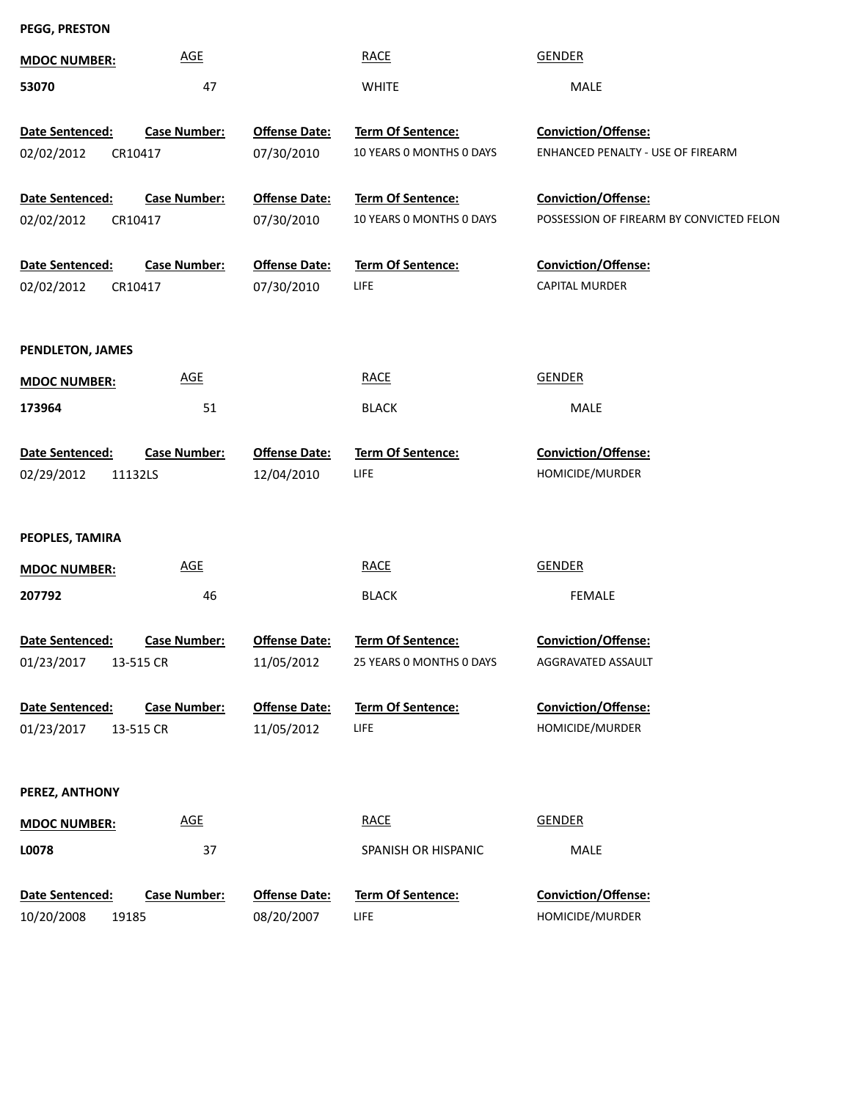# **PEGG, PRESTON**

| <b>MDOC NUMBER:</b>    | <b>AGE</b>          |                      | <b>RACE</b>              | <b>GENDER</b>                            |
|------------------------|---------------------|----------------------|--------------------------|------------------------------------------|
| 53070                  | 47                  |                      | <b>WHITE</b>             | <b>MALE</b>                              |
|                        |                     |                      |                          |                                          |
| Date Sentenced:        | <b>Case Number:</b> | <b>Offense Date:</b> | Term Of Sentence:        | Conviction/Offense:                      |
| 02/02/2012             | CR10417             | 07/30/2010           | 10 YEARS 0 MONTHS 0 DAYS | ENHANCED PENALTY - USE OF FIREARM        |
|                        |                     |                      |                          |                                          |
| Date Sentenced:        | <b>Case Number:</b> | <b>Offense Date:</b> | Term Of Sentence:        | Conviction/Offense:                      |
| 02/02/2012             | CR10417             | 07/30/2010           | 10 YEARS 0 MONTHS 0 DAYS | POSSESSION OF FIREARM BY CONVICTED FELON |
|                        |                     |                      |                          |                                          |
| Date Sentenced:        | <b>Case Number:</b> | <b>Offense Date:</b> | Term Of Sentence:        | Conviction/Offense:                      |
| 02/02/2012             | CR10417             | 07/30/2010           | <b>LIFE</b>              | <b>CAPITAL MURDER</b>                    |
|                        |                     |                      |                          |                                          |
| PENDLETON, JAMES       |                     |                      |                          |                                          |
| <b>MDOC NUMBER:</b>    | <b>AGE</b>          |                      | <b>RACE</b>              | <b>GENDER</b>                            |
|                        |                     |                      |                          |                                          |
| 173964                 | 51                  |                      | <b>BLACK</b>             | MALE                                     |
| Date Sentenced:        | <b>Case Number:</b> | <b>Offense Date:</b> | Term Of Sentence:        | <b>Conviction/Offense:</b>               |
|                        |                     |                      |                          |                                          |
|                        |                     |                      |                          |                                          |
| 02/29/2012             | 11132LS             | 12/04/2010           | <b>LIFE</b>              | HOMICIDE/MURDER                          |
|                        |                     |                      |                          |                                          |
| PEOPLES, TAMIRA        |                     |                      |                          |                                          |
|                        | <b>AGE</b>          |                      | <b>RACE</b>              | <b>GENDER</b>                            |
| <b>MDOC NUMBER:</b>    |                     |                      |                          |                                          |
| 207792                 | 46                  |                      | <b>BLACK</b>             | <b>FEMALE</b>                            |
| <b>Date Sentenced:</b> | <b>Case Number:</b> |                      |                          | <b>Conviction/Offense:</b>               |
|                        |                     | <b>Offense Date:</b> | Term Of Sentence:        | AGGRAVATED ASSAULT                       |
| 01/23/2017 13-515 CR   |                     | 11/05/2012           | 25 YEARS 0 MONTHS 0 DAYS |                                          |
| Date Sentenced:        | <b>Case Number:</b> | <b>Offense Date:</b> | Term Of Sentence:        | Conviction/Offense:                      |
| 01/23/2017             | 13-515 CR           | 11/05/2012           | <b>LIFE</b>              | HOMICIDE/MURDER                          |
|                        |                     |                      |                          |                                          |
|                        |                     |                      |                          |                                          |
| PEREZ, ANTHONY         |                     |                      |                          |                                          |
| <b>MDOC NUMBER:</b>    | <b>AGE</b>          |                      | <b>RACE</b>              | <b>GENDER</b>                            |
| L0078                  | 37                  |                      | SPANISH OR HISPANIC      | MALE                                     |
|                        |                     |                      |                          |                                          |
| Date Sentenced:        | <b>Case Number:</b> | <b>Offense Date:</b> | <b>Term Of Sentence:</b> | Conviction/Offense:                      |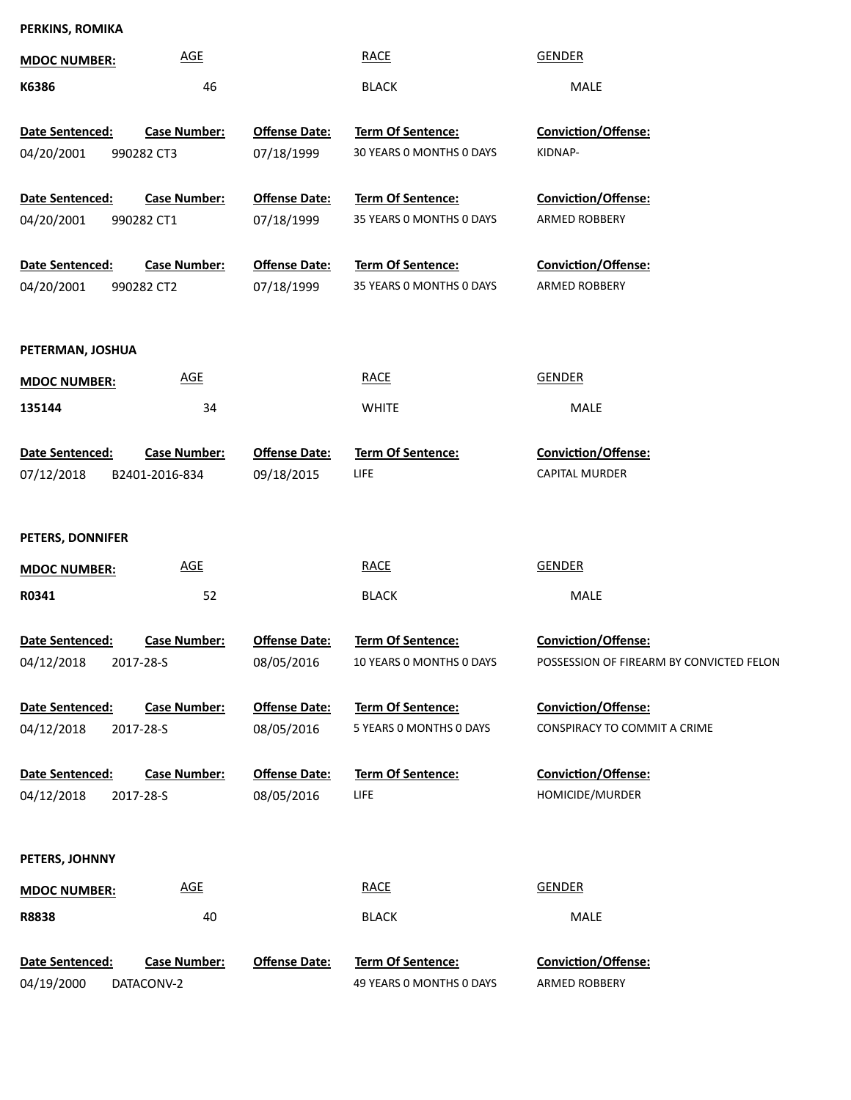# **PERKINS, ROMIKA**

| <b>MDOC NUMBER:</b>                  | <b>AGE</b>                            |                                    | <b>RACE</b>                                          | <b>GENDER</b>                                                          |
|--------------------------------------|---------------------------------------|------------------------------------|------------------------------------------------------|------------------------------------------------------------------------|
| K6386                                | 46                                    |                                    | <b>BLACK</b>                                         | MALE                                                                   |
| Date Sentenced:<br>04/20/2001        | <b>Case Number:</b><br>990282 CT3     | <b>Offense Date:</b><br>07/18/1999 | Term Of Sentence:<br>30 YEARS 0 MONTHS 0 DAYS        | <b>Conviction/Offense:</b><br>KIDNAP-                                  |
| Date Sentenced:                      | <b>Case Number:</b>                   | <b>Offense Date:</b>               | Term Of Sentence:                                    | <b>Conviction/Offense:</b>                                             |
| 04/20/2001                           | 990282 CT1                            | 07/18/1999                         | 35 YEARS 0 MONTHS 0 DAYS                             | ARMED ROBBERY                                                          |
| Date Sentenced:<br>04/20/2001        | <b>Case Number:</b><br>990282 CT2     | <b>Offense Date:</b><br>07/18/1999 | Term Of Sentence:<br>35 YEARS 0 MONTHS 0 DAYS        | <b>Conviction/Offense:</b><br>ARMED ROBBERY                            |
| PETERMAN, JOSHUA                     |                                       |                                    |                                                      |                                                                        |
| <b>MDOC NUMBER:</b>                  | <b>AGE</b>                            |                                    | <b>RACE</b>                                          | <b>GENDER</b>                                                          |
| 135144                               | 34                                    |                                    | <b>WHITE</b>                                         | MALE                                                                   |
| Date Sentenced:<br>07/12/2018        | <b>Case Number:</b><br>B2401-2016-834 | <b>Offense Date:</b><br>09/18/2015 | Term Of Sentence:<br>LIFE                            | <b>Conviction/Offense:</b><br><b>CAPITAL MURDER</b>                    |
| PETERS, DONNIFER                     |                                       |                                    |                                                      |                                                                        |
| <b>MDOC NUMBER:</b>                  | <b>AGE</b>                            |                                    | <b>RACE</b>                                          | <b>GENDER</b>                                                          |
| R0341                                | 52                                    |                                    | <b>BLACK</b>                                         | MALE                                                                   |
| Date Sentenced:<br>04/12/2018        | <b>Case Number:</b><br>2017-28-S      | <b>Offense Date:</b><br>08/05/2016 | <b>Term Of Sentence:</b><br>10 YEARS 0 MONTHS 0 DAYS | <b>Conviction/Offense:</b><br>POSSESSION OF FIREARM BY CONVICTED FELON |
| <b>Date Sentenced:</b>               | <b>Case Number:</b>                   | <b>Offense Date:</b>               | <b>Term Of Sentence:</b>                             | <b>Conviction/Offense:</b>                                             |
| 04/12/2018                           | 2017-28-S                             | 08/05/2016                         | 5 YEARS O MONTHS O DAYS                              | CONSPIRACY TO COMMIT A CRIME                                           |
| <b>Date Sentenced:</b><br>04/12/2018 | <b>Case Number:</b><br>2017-28-S      | <b>Offense Date:</b><br>08/05/2016 | <b>Term Of Sentence:</b><br>LIFE                     | <b>Conviction/Offense:</b><br>HOMICIDE/MURDER                          |
|                                      |                                       |                                    |                                                      |                                                                        |
| PETERS, JOHNNY                       |                                       |                                    |                                                      |                                                                        |
| <b>MDOC NUMBER:</b>                  | <b>AGE</b>                            |                                    | <b>RACE</b>                                          | <b>GENDER</b>                                                          |
| R8838                                | 40                                    |                                    | <b>BLACK</b>                                         | MALE                                                                   |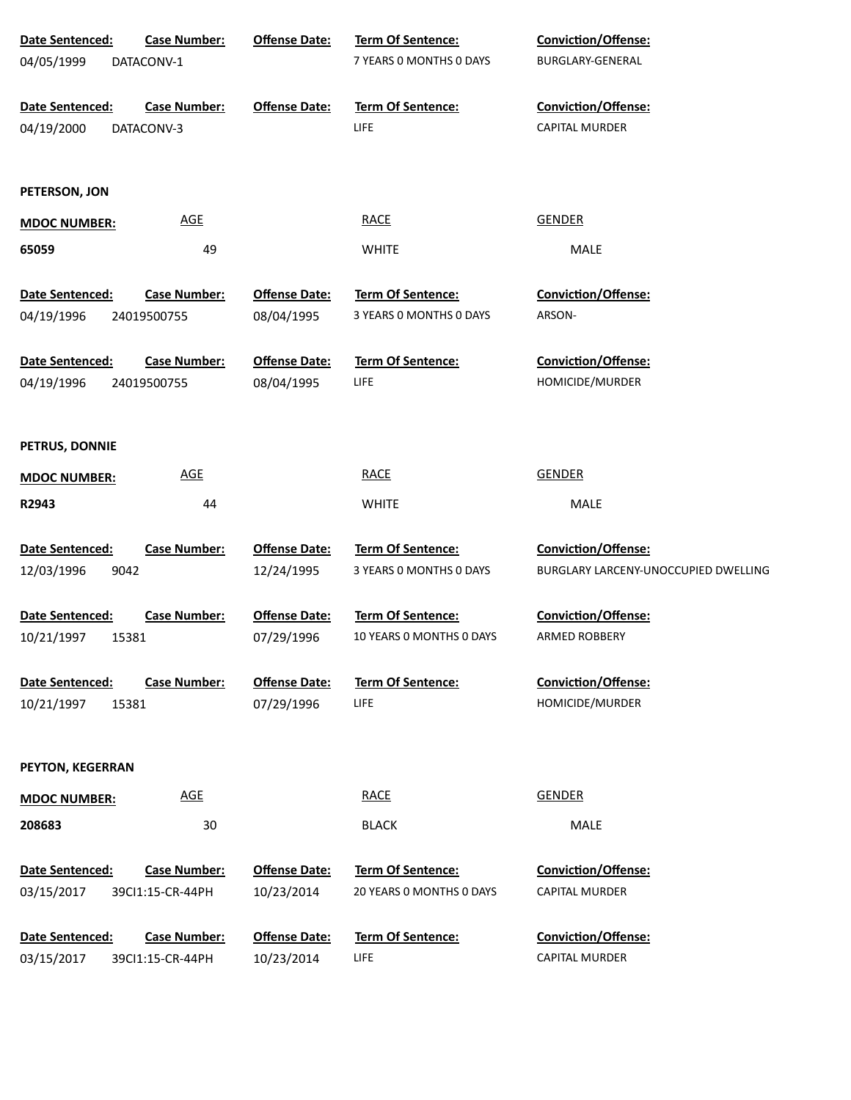| Date Sentenced:                        | <b>Case Number:</b> | <b>Offense Date:</b> | Term Of Sentence:        | Conviction/Offense:                  |
|----------------------------------------|---------------------|----------------------|--------------------------|--------------------------------------|
| 04/05/1999<br>DATACONV-1               |                     |                      | 7 YEARS O MONTHS O DAYS  | BURGLARY-GENERAL                     |
|                                        |                     |                      |                          |                                      |
| Date Sentenced:                        | <b>Case Number:</b> | <b>Offense Date:</b> | Term Of Sentence:        | Conviction/Offense:                  |
| 04/19/2000<br>DATACONV-3               |                     |                      | LIFE                     | CAPITAL MURDER                       |
|                                        |                     |                      |                          |                                      |
| PETERSON, JON                          |                     |                      |                          |                                      |
|                                        | <b>AGE</b>          |                      | <b>RACE</b>              | <b>GENDER</b>                        |
| <b>MDOC NUMBER:</b>                    |                     |                      |                          |                                      |
| 65059                                  | 49                  |                      | <b>WHITE</b>             | <b>MALE</b>                          |
| Date Sentenced:                        | <b>Case Number:</b> | <b>Offense Date:</b> | <b>Term Of Sentence:</b> | Conviction/Offense:                  |
| 04/19/1996<br>24019500755              |                     | 08/04/1995           | 3 YEARS O MONTHS O DAYS  | ARSON-                               |
|                                        |                     |                      |                          |                                      |
| Date Sentenced:                        | <b>Case Number:</b> | <b>Offense Date:</b> | Term Of Sentence:        | Conviction/Offense:                  |
| 04/19/1996<br>24019500755              |                     | 08/04/1995           | LIFE                     | HOMICIDE/MURDER                      |
|                                        |                     |                      |                          |                                      |
|                                        |                     |                      |                          |                                      |
| PETRUS, DONNIE                         |                     |                      |                          |                                      |
| <b>MDOC NUMBER:</b>                    | <b>AGE</b>          |                      | <b>RACE</b>              | <b>GENDER</b>                        |
| R2943                                  | 44                  |                      | <b>WHITE</b>             | MALE                                 |
|                                        |                     |                      |                          |                                      |
| Date Sentenced:                        | <b>Case Number:</b> | <b>Offense Date:</b> | Term Of Sentence:        | Conviction/Offense:                  |
| 9042<br>12/03/1996                     |                     | 12/24/1995           | 3 YEARS 0 MONTHS 0 DAYS  | BURGLARY LARCENY-UNOCCUPIED DWELLING |
|                                        |                     | <b>Offense Date:</b> | Term Of Sentence:        | Conviction/Offense:                  |
| Date Sentenced:<br>10/21/1997<br>15381 | <b>Case Number:</b> | 07/29/1996           | 10 YEARS O MONTHS O DAYS | <b>ARMED ROBBERY</b>                 |
|                                        |                     |                      |                          |                                      |
| Date Sentenced:                        | <b>Case Number:</b> | <b>Offense Date:</b> | Term Of Sentence:        | Conviction/Offense:                  |
| 10/21/1997<br>15381                    |                     | 07/29/1996           | <b>LIFE</b>              | HOMICIDE/MURDER                      |
|                                        |                     |                      |                          |                                      |
|                                        |                     |                      |                          |                                      |
| PEYTON, KEGERRAN                       |                     |                      |                          |                                      |
| <b>MDOC NUMBER:</b>                    | <b>AGE</b>          |                      | <b>RACE</b>              | <b>GENDER</b>                        |
| 208683                                 | 30                  |                      | <b>BLACK</b>             | MALE                                 |
|                                        |                     |                      |                          |                                      |
| Date Sentenced:                        | <b>Case Number:</b> | <b>Offense Date:</b> | Term Of Sentence:        | Conviction/Offense:                  |
| 03/15/2017<br>39Cl1:15-CR-44PH         |                     | 10/23/2014           | 20 YEARS 0 MONTHS 0 DAYS | <b>CAPITAL MURDER</b>                |
|                                        |                     |                      |                          |                                      |
| Date Sentenced:                        | <b>Case Number:</b> | <b>Offense Date:</b> | <b>Term Of Sentence:</b> | Conviction/Offense:                  |
| 03/15/2017<br>39Cl1:15-CR-44PH         |                     | 10/23/2014           | LIFE                     | <b>CAPITAL MURDER</b>                |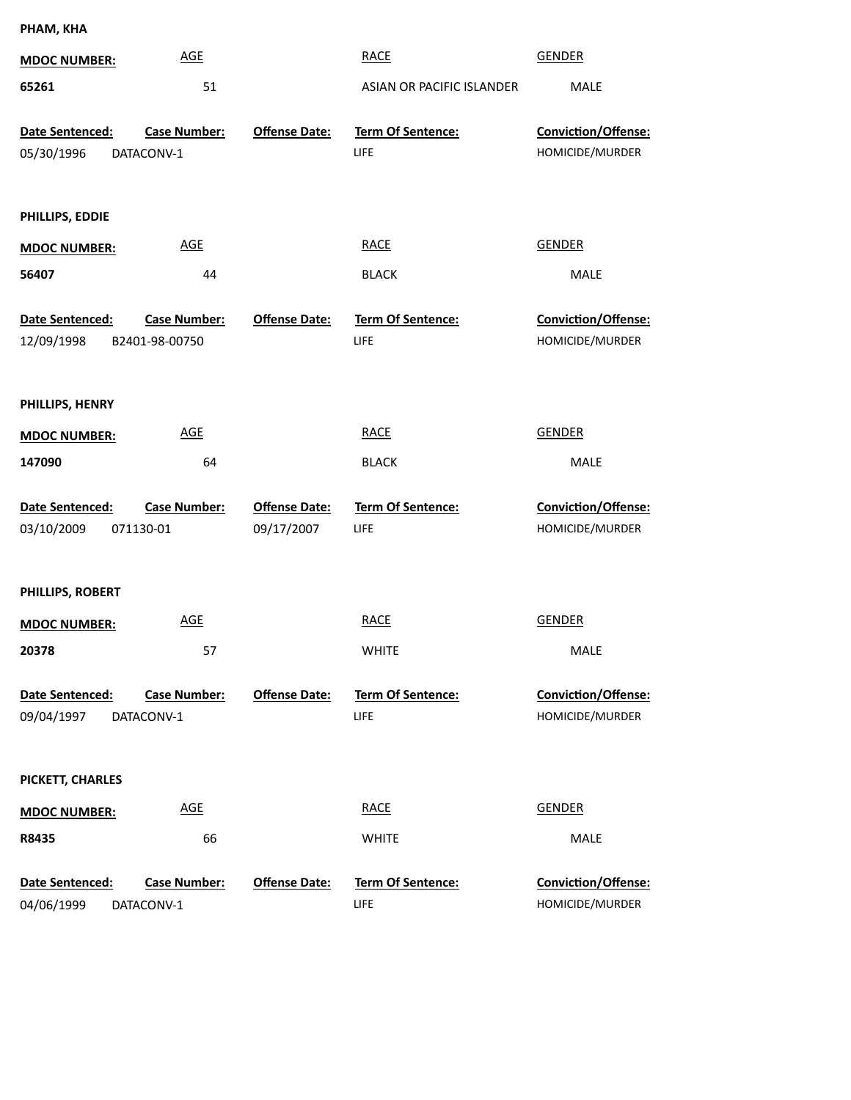**PHAM, KHA**

| <b>MDOC NUMBER:</b>                  | <b>AGE</b>                            |                                    | <b>RACE</b>                             | <b>GENDER</b>                                 |
|--------------------------------------|---------------------------------------|------------------------------------|-----------------------------------------|-----------------------------------------------|
| 65261                                | 51                                    |                                    | ASIAN OR PACIFIC ISLANDER               | <b>MALE</b>                                   |
| Date Sentenced:<br>05/30/1996        | <b>Case Number:</b><br>DATACONV-1     | <b>Offense Date:</b>               | Term Of Sentence:<br><b>LIFE</b>        | Conviction/Offense:<br>HOMICIDE/MURDER        |
| PHILLIPS, EDDIE                      |                                       |                                    |                                         |                                               |
| <b>MDOC NUMBER:</b>                  | <b>AGE</b>                            |                                    | <b>RACE</b>                             | <b>GENDER</b>                                 |
| 56407                                | 44                                    |                                    | <b>BLACK</b>                            | <b>MALE</b>                                   |
| Date Sentenced:<br>12/09/1998        | <b>Case Number:</b><br>B2401-98-00750 | <b>Offense Date:</b>               | Term Of Sentence:<br>LIFE               | Conviction/Offense:<br>HOMICIDE/MURDER        |
| PHILLIPS, HENRY                      |                                       |                                    |                                         |                                               |
| <b>MDOC NUMBER:</b>                  | <b>AGE</b>                            |                                    | <b>RACE</b>                             | <b>GENDER</b>                                 |
| 147090                               | 64                                    |                                    | <b>BLACK</b>                            | MALE                                          |
| <b>Date Sentenced:</b><br>03/10/2009 | <b>Case Number:</b><br>071130-01      | <b>Offense Date:</b><br>09/17/2007 | <b>Term Of Sentence:</b><br><b>LIFE</b> | Conviction/Offense:<br>HOMICIDE/MURDER        |
| PHILLIPS, ROBERT                     |                                       |                                    |                                         |                                               |
| <b>MDOC NUMBER:</b>                  | <b>AGE</b>                            |                                    | <b>RACE</b>                             | <b>GENDER</b>                                 |
| 20378                                | 57                                    |                                    | <b>WHITE</b>                            | MALE                                          |
| Date Sentenced:<br>09/04/1997        | <b>Case Number:</b><br>DATACONV-1     | <b>Offense Date:</b>               | <b>Term Of Sentence:</b><br><b>LIFE</b> | <b>Conviction/Offense:</b><br>HOMICIDE/MURDER |
| PICKETT, CHARLES                     |                                       |                                    |                                         |                                               |
| <b>MDOC NUMBER:</b>                  | <b>AGE</b>                            |                                    | <b>RACE</b>                             | <b>GENDER</b>                                 |
| R8435                                | 66                                    |                                    | <b>WHITE</b>                            | MALE                                          |
| Date Sentenced:<br>04/06/1999        | <b>Case Number:</b><br>DATACONV-1     | <b>Offense Date:</b>               | <b>Term Of Sentence:</b><br><b>LIFE</b> | <b>Conviction/Offense:</b><br>HOMICIDE/MURDER |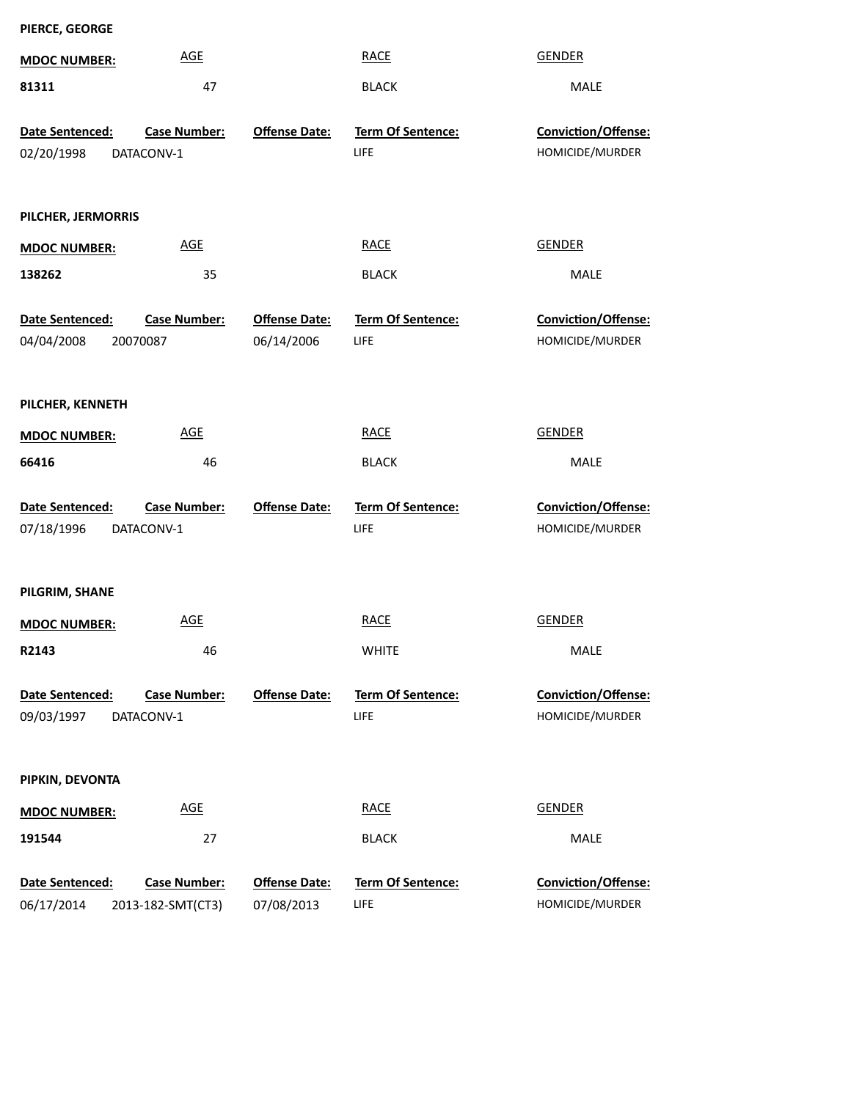| PIERCE, GEORGE                |                                   |                                    |                                  |                                               |
|-------------------------------|-----------------------------------|------------------------------------|----------------------------------|-----------------------------------------------|
| <b>MDOC NUMBER:</b>           | <b>AGE</b>                        |                                    | <b>RACE</b>                      | <b>GENDER</b>                                 |
| 81311                         | 47                                |                                    | <b>BLACK</b>                     | MALE                                          |
| Date Sentenced:               | <b>Case Number:</b>               | <b>Offense Date:</b>               | Term Of Sentence:                | <b>Conviction/Offense:</b>                    |
| 02/20/1998                    | DATACONV-1                        |                                    | LIFE                             | HOMICIDE/MURDER                               |
| PILCHER, JERMORRIS            |                                   |                                    |                                  |                                               |
| <b>MDOC NUMBER:</b>           | <b>AGE</b>                        |                                    | <b>RACE</b>                      | <b>GENDER</b>                                 |
| 138262                        | 35                                |                                    | <b>BLACK</b>                     | <b>MALE</b>                                   |
| Date Sentenced:<br>04/04/2008 | <b>Case Number:</b><br>20070087   | <b>Offense Date:</b><br>06/14/2006 | <b>Term Of Sentence:</b><br>LIFE | <b>Conviction/Offense:</b><br>HOMICIDE/MURDER |
| PILCHER, KENNETH              |                                   |                                    |                                  |                                               |
| <b>MDOC NUMBER:</b>           | <b>AGE</b>                        |                                    | <b>RACE</b>                      | <b>GENDER</b>                                 |
| 66416                         | 46                                |                                    | <b>BLACK</b>                     | MALE                                          |
| Date Sentenced:<br>07/18/1996 | <b>Case Number:</b><br>DATACONV-1 | <b>Offense Date:</b>               | Term Of Sentence:<br>LIFE        | Conviction/Offense:<br>HOMICIDE/MURDER        |
| PILGRIM, SHANE                |                                   |                                    |                                  |                                               |
| <b>MDOC NUMBER:</b>           | <b>AGE</b>                        |                                    | <b>RACE</b>                      | <b>GENDER</b>                                 |
| R2143                         | 46                                |                                    | <b>WHITE</b>                     | MALE                                          |
| Date Sentenced:<br>09/03/1997 | <b>Case Number:</b><br>DATACONV-1 | <b>Offense Date:</b>               | <b>Term Of Sentence:</b><br>LIFE | Conviction/Offense:<br>HOMICIDE/MURDER        |
| PIPKIN, DEVONTA               |                                   |                                    |                                  |                                               |
| <b>MDOC NUMBER:</b>           | <b>AGE</b>                        |                                    | <b>RACE</b>                      | <b>GENDER</b>                                 |
| 191544                        | 27                                |                                    | <b>BLACK</b>                     | MALE                                          |
| Date Sentenced:               | <b>Case Number:</b>               | <b>Offense Date:</b>               | Term Of Sentence:                | Conviction/Offense:                           |
| 06/17/2014                    | 2013-182-SMT(CT3)                 | 07/08/2013                         | LIFE                             | HOMICIDE/MURDER                               |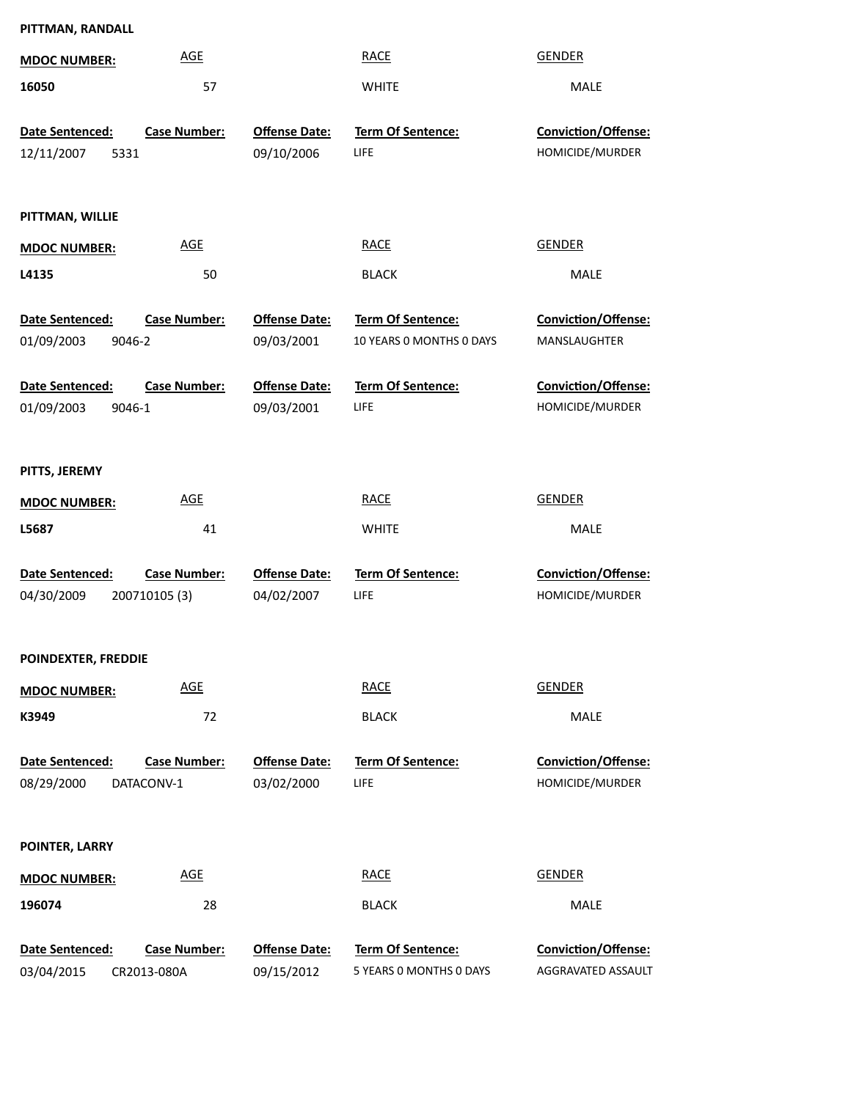| PITTMAN, RANDALL              |                                   |                                    |                                  |                                        |
|-------------------------------|-----------------------------------|------------------------------------|----------------------------------|----------------------------------------|
| <b>MDOC NUMBER:</b>           | <b>AGE</b>                        |                                    | <b>RACE</b>                      | <b>GENDER</b>                          |
| 16050                         | 57                                |                                    | <b>WHITE</b>                     | MALE                                   |
| Date Sentenced:               | <b>Case Number:</b>               | <b>Offense Date:</b>               | Term Of Sentence:                | Conviction/Offense:                    |
| 12/11/2007<br>5331            |                                   | 09/10/2006                         | LIFE                             | HOMICIDE/MURDER                        |
|                               |                                   |                                    |                                  |                                        |
| PITTMAN, WILLIE               |                                   |                                    |                                  |                                        |
| <b>MDOC NUMBER:</b>           | <b>AGE</b>                        |                                    | <b>RACE</b>                      | <b>GENDER</b>                          |
| L4135                         | 50                                |                                    | <b>BLACK</b>                     | <b>MALE</b>                            |
| Date Sentenced:               | <b>Case Number:</b>               | <b>Offense Date:</b>               | <b>Term Of Sentence:</b>         | Conviction/Offense:                    |
| 01/09/2003<br>9046-2          |                                   | 09/03/2001                         | 10 YEARS 0 MONTHS 0 DAYS         | MANSLAUGHTER                           |
| Date Sentenced:               | <b>Case Number:</b>               | <b>Offense Date:</b>               | Term Of Sentence:                | Conviction/Offense:                    |
| 01/09/2003<br>9046-1          |                                   | 09/03/2001                         | <b>LIFE</b>                      | HOMICIDE/MURDER                        |
|                               |                                   |                                    |                                  |                                        |
| PITTS, JEREMY                 |                                   |                                    |                                  |                                        |
| <b>MDOC NUMBER:</b>           | <b>AGE</b>                        |                                    | <b>RACE</b>                      | <b>GENDER</b>                          |
| L5687                         | 41                                |                                    | <b>WHITE</b>                     | MALE                                   |
| Date Sentenced:               | <b>Case Number:</b>               | <b>Offense Date:</b>               | Term Of Sentence:                | Conviction/Offense:                    |
| 04/30/2009                    | 200710105 (3)                     | 04/02/2007                         | LIFE                             | HOMICIDE/MURDER                        |
|                               |                                   |                                    |                                  |                                        |
| POINDEXTER, FREDDIE           |                                   |                                    |                                  |                                        |
| <b>MDOC NUMBER:</b>           | <b>AGE</b>                        |                                    | <b>RACE</b>                      | <b>GENDER</b>                          |
| K3949                         | 72                                |                                    | <b>BLACK</b>                     | MALE                                   |
|                               |                                   |                                    |                                  |                                        |
| Date Sentenced:<br>08/29/2000 | <b>Case Number:</b><br>DATACONV-1 | <b>Offense Date:</b><br>03/02/2000 | <b>Term Of Sentence:</b><br>LIFE | Conviction/Offense:<br>HOMICIDE/MURDER |
|                               |                                   |                                    |                                  |                                        |
| POINTER, LARRY                |                                   |                                    |                                  |                                        |
| <b>MDOC NUMBER:</b>           | <b>AGE</b>                        |                                    | <b>RACE</b>                      | <b>GENDER</b>                          |
| 196074                        | 28                                |                                    | <b>BLACK</b>                     | MALE                                   |
|                               |                                   |                                    |                                  |                                        |
| Date Sentenced:               | <b>Case Number:</b>               | <b>Offense Date:</b>               | Term Of Sentence:                | Conviction/Offense:                    |
| 03/04/2015                    | CR2013-080A                       | 09/15/2012                         | 5 YEARS 0 MONTHS 0 DAYS          | AGGRAVATED ASSAULT                     |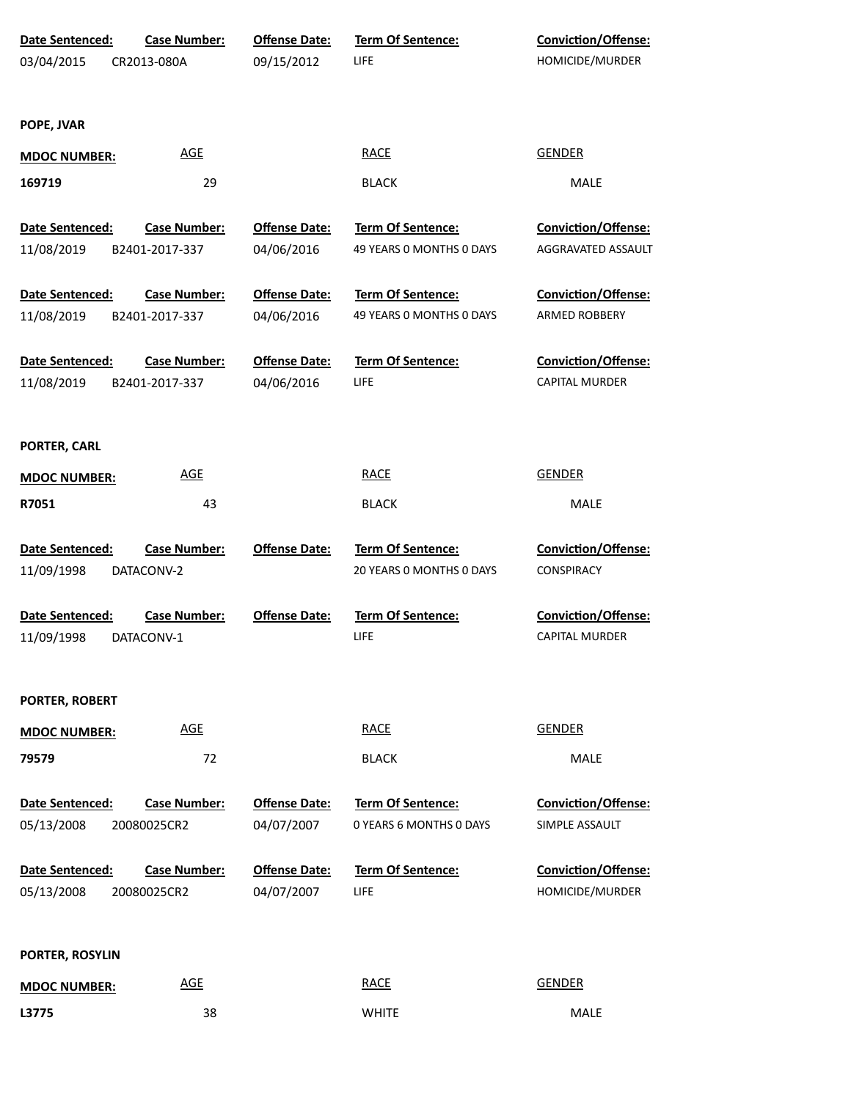| Date Sentenced:<br>03/04/2015 | <b>Case Number:</b><br>CR2013-080A    | <b>Offense Date:</b><br>09/15/2012 | <b>Term Of Sentence:</b><br>LIFE              | <b>Conviction/Offense:</b><br>HOMICIDE/MURDER       |
|-------------------------------|---------------------------------------|------------------------------------|-----------------------------------------------|-----------------------------------------------------|
| POPE, JVAR                    |                                       |                                    |                                               |                                                     |
| <b>MDOC NUMBER:</b>           | <b>AGE</b>                            |                                    | <b>RACE</b>                                   | <b>GENDER</b>                                       |
| 169719                        | 29                                    |                                    | <b>BLACK</b>                                  | MALE                                                |
| Date Sentenced:               | <b>Case Number:</b>                   | <b>Offense Date:</b>               | Term Of Sentence:                             | <b>Conviction/Offense:</b>                          |
| 11/08/2019                    | B2401-2017-337                        | 04/06/2016                         | 49 YEARS O MONTHS O DAYS                      | AGGRAVATED ASSAULT                                  |
| Date Sentenced:<br>11/08/2019 | <b>Case Number:</b><br>B2401-2017-337 | <b>Offense Date:</b><br>04/06/2016 | Term Of Sentence:<br>49 YEARS O MONTHS O DAYS | <b>Conviction/Offense:</b><br><b>ARMED ROBBERY</b>  |
| Date Sentenced:<br>11/08/2019 | <b>Case Number:</b><br>B2401-2017-337 | <b>Offense Date:</b><br>04/06/2016 | Term Of Sentence:<br>LIFE                     | <b>Conviction/Offense:</b><br><b>CAPITAL MURDER</b> |
| PORTER, CARL                  |                                       |                                    |                                               |                                                     |
| <b>MDOC NUMBER:</b>           | <b>AGE</b>                            |                                    | <b>RACE</b>                                   | <b>GENDER</b>                                       |
| R7051                         | 43                                    |                                    | <b>BLACK</b>                                  | MALE                                                |
| Date Sentenced:<br>11/09/1998 | <b>Case Number:</b><br>DATACONV-2     | <b>Offense Date:</b>               | Term Of Sentence:<br>20 YEARS O MONTHS O DAYS | Conviction/Offense:<br>CONSPIRACY                   |
| Date Sentenced:<br>11/09/1998 | <b>Case Number:</b><br>DATACONV-1     | <b>Offense Date:</b>               | Term Of Sentence:<br>LIFE                     | Conviction/Offense:<br>CAPITAL MURDER               |
| PORTER, ROBERT                |                                       |                                    |                                               |                                                     |
| <b>MDOC NUMBER:</b>           | <b>AGE</b>                            |                                    | <b>RACE</b>                                   | <b>GENDER</b>                                       |
| 79579                         | 72                                    |                                    | <b>BLACK</b>                                  | <b>MALE</b>                                         |
| Date Sentenced:<br>05/13/2008 | <b>Case Number:</b><br>20080025CR2    | <b>Offense Date:</b><br>04/07/2007 | Term Of Sentence:<br>0 YEARS 6 MONTHS 0 DAYS  | <b>Conviction/Offense:</b><br>SIMPLE ASSAULT        |
| Date Sentenced:<br>05/13/2008 | <b>Case Number:</b><br>20080025CR2    | <b>Offense Date:</b><br>04/07/2007 | Term Of Sentence:<br>LIFE                     | <b>Conviction/Offense:</b><br>HOMICIDE/MURDER       |
| PORTER, ROSYLIN               |                                       |                                    |                                               |                                                     |
| <b>MDOC NUMBER:</b>           | <b>AGE</b>                            |                                    | <b>RACE</b>                                   | <b>GENDER</b>                                       |
| L3775                         | 38                                    |                                    | <b>WHITE</b>                                  | MALE                                                |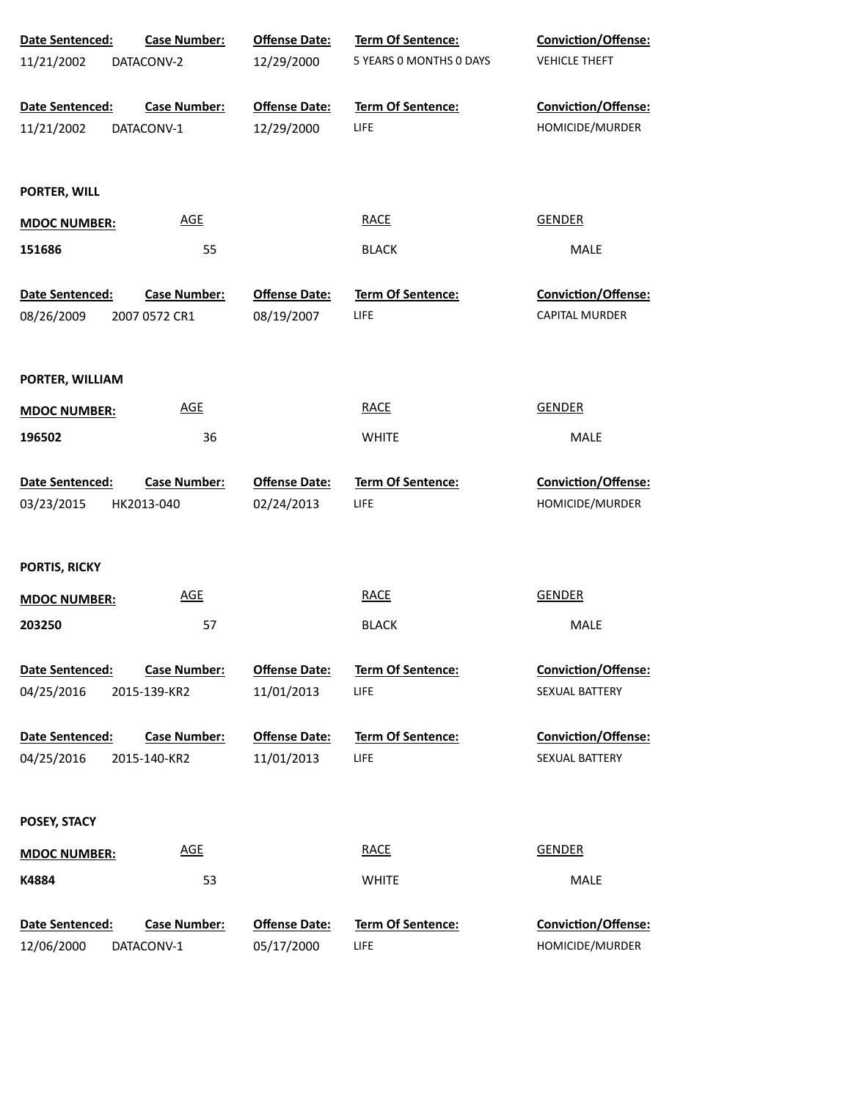| Date Sentenced:        | <b>Case Number:</b> | <b>Offense Date:</b> | Term Of Sentence:        | Conviction/Offense:        |
|------------------------|---------------------|----------------------|--------------------------|----------------------------|
| 11/21/2002             | DATACONV-2          | 12/29/2000           | 5 YEARS 0 MONTHS 0 DAYS  | <b>VEHICLE THEFT</b>       |
| Date Sentenced:        | <b>Case Number:</b> | <b>Offense Date:</b> | Term Of Sentence:        | Conviction/Offense:        |
| 11/21/2002             | DATACONV-1          | 12/29/2000           | LIFE                     | HOMICIDE/MURDER            |
| PORTER, WILL           |                     |                      |                          |                            |
| <b>MDOC NUMBER:</b>    | <b>AGE</b>          |                      | <b>RACE</b>              | <b>GENDER</b>              |
| 151686                 | 55                  |                      | <b>BLACK</b>             | MALE                       |
| Date Sentenced:        | <b>Case Number:</b> | <b>Offense Date:</b> | <b>Term Of Sentence:</b> | <b>Conviction/Offense:</b> |
| 08/26/2009             | 2007 0572 CR1       | 08/19/2007           | LIFE                     | <b>CAPITAL MURDER</b>      |
| PORTER, WILLIAM        |                     |                      |                          |                            |
| <b>MDOC NUMBER:</b>    | <b>AGE</b>          |                      | <b>RACE</b>              | <b>GENDER</b>              |
| 196502                 | 36                  |                      | <b>WHITE</b>             | MALE                       |
| Date Sentenced:        | <b>Case Number:</b> | <b>Offense Date:</b> | <b>Term Of Sentence:</b> | Conviction/Offense:        |
| 03/23/2015             | HK2013-040          | 02/24/2013           | LIFE                     | HOMICIDE/MURDER            |
| PORTIS, RICKY          |                     |                      |                          |                            |
| <b>MDOC NUMBER:</b>    | <b>AGE</b>          |                      | <b>RACE</b>              | <b>GENDER</b>              |
| 203250                 | 57                  |                      | <b>BLACK</b>             | MALE                       |
| <b>Date Sentenced:</b> | <b>Case Number:</b> | <b>Offense Date:</b> | <b>Term Of Sentence:</b> | <b>Conviction/Offense:</b> |
| 04/25/2016             | 2015-139-KR2        | 11/01/2013           | LIFE                     | SEXUAL BATTERY             |
| Date Sentenced:        | <b>Case Number:</b> | <b>Offense Date:</b> | <b>Term Of Sentence:</b> | <b>Conviction/Offense:</b> |
| 04/25/2016             | 2015-140-KR2        | 11/01/2013           | LIFE                     | SEXUAL BATTERY             |
| POSEY, STACY           |                     |                      |                          |                            |
| <b>MDOC NUMBER:</b>    | <b>AGE</b>          |                      | <b>RACE</b>              | <b>GENDER</b>              |
| K4884                  | 53                  |                      | <b>WHITE</b>             | MALE                       |
| Date Sentenced:        | <b>Case Number:</b> | <b>Offense Date:</b> | Term Of Sentence:        | Conviction/Offense:        |
| 12/06/2000             | DATACONV-1          | 05/17/2000           | LIFE                     | HOMICIDE/MURDER            |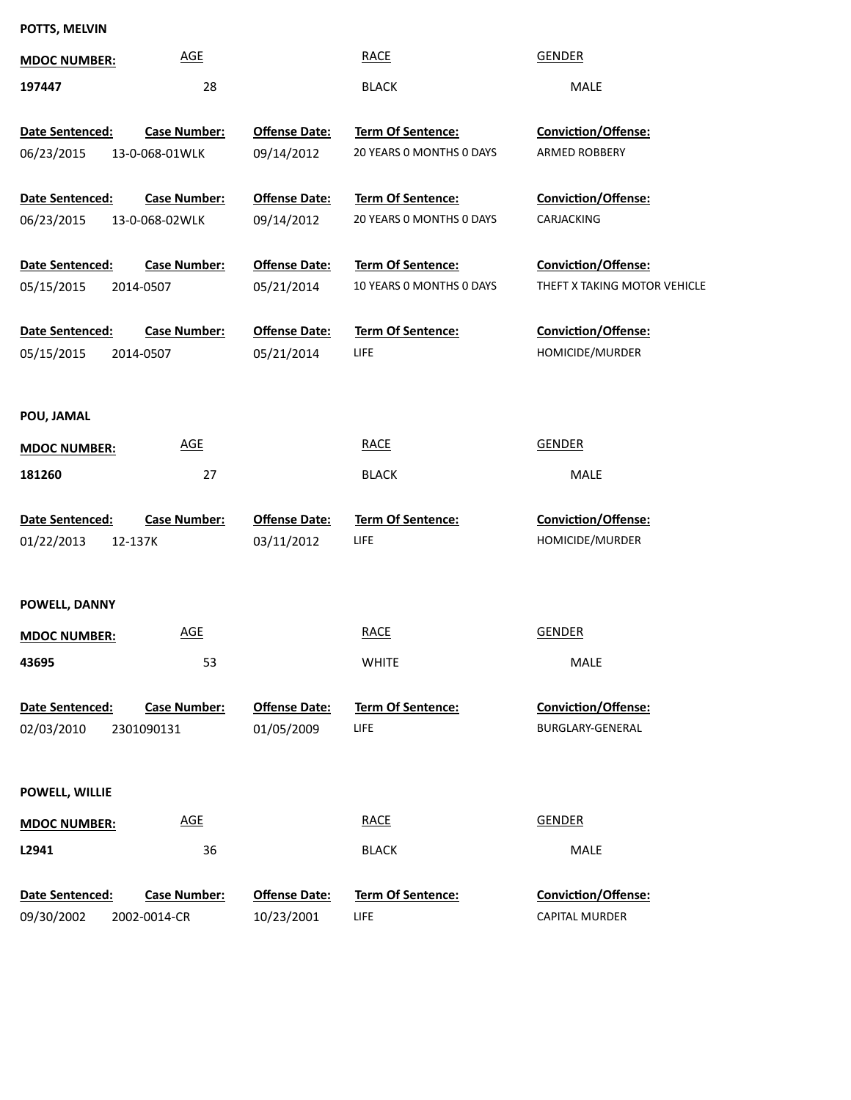**POTTS, MELVIN**

| <b>MDOC NUMBER:</b>                        | <b>AGE</b>                            |                                    | <b>RACE</b>                                          | <b>GENDER</b>                                       |
|--------------------------------------------|---------------------------------------|------------------------------------|------------------------------------------------------|-----------------------------------------------------|
| 197447                                     | 28                                    |                                    | <b>BLACK</b>                                         | MALE                                                |
| Date Sentenced:<br>06/23/2015              | <b>Case Number:</b><br>13-0-068-01WLK | <b>Offense Date:</b><br>09/14/2012 | <b>Term Of Sentence:</b><br>20 YEARS 0 MONTHS 0 DAYS | Conviction/Offense:<br>ARMED ROBBERY                |
| Date Sentenced:<br>06/23/2015              | <b>Case Number:</b><br>13-0-068-02WLK | <b>Offense Date:</b><br>09/14/2012 | Term Of Sentence:<br>20 YEARS 0 MONTHS 0 DAYS        | Conviction/Offense:<br>CARJACKING                   |
| Date Sentenced:<br>05/15/2015<br>2014-0507 | <b>Case Number:</b>                   | <b>Offense Date:</b><br>05/21/2014 | Term Of Sentence:<br>10 YEARS 0 MONTHS 0 DAYS        | Conviction/Offense:<br>THEFT X TAKING MOTOR VEHICLE |
| Date Sentenced:<br>05/15/2015<br>2014-0507 | <b>Case Number:</b>                   | <b>Offense Date:</b><br>05/21/2014 | <b>Term Of Sentence:</b><br><b>LIFE</b>              | Conviction/Offense:<br>HOMICIDE/MURDER              |
| POU, JAMAL                                 |                                       |                                    |                                                      |                                                     |
| <b>MDOC NUMBER:</b>                        | <b>AGE</b>                            |                                    | <b>RACE</b>                                          | <b>GENDER</b>                                       |
| 181260                                     | 27                                    |                                    | <b>BLACK</b>                                         | MALE                                                |
| Date Sentenced:<br>01/22/2013<br>12-137K   | <b>Case Number:</b>                   | <b>Offense Date:</b><br>03/11/2012 | Term Of Sentence:<br><b>LIFE</b>                     | Conviction/Offense:<br>HOMICIDE/MURDER              |
| POWELL, DANNY                              |                                       |                                    |                                                      |                                                     |
| <b>MDOC NUMBER:</b>                        | <b>AGE</b>                            |                                    | <b>RACE</b>                                          | <b>GENDER</b>                                       |
| 43695                                      | 53                                    |                                    | <b>WHITE</b>                                         | MALE                                                |
| Date Sentenced:<br>02/03/2010              | <b>Case Number:</b><br>2301090131     | <b>Offense Date:</b><br>01/05/2009 | <b>Term Of Sentence:</b><br><b>LIFE</b>              | Conviction/Offense:<br>BURGLARY-GENERAL             |
| POWELL, WILLIE                             |                                       |                                    |                                                      |                                                     |
| <b>MDOC NUMBER:</b>                        | <b>AGE</b>                            |                                    | RACE                                                 | <b>GENDER</b>                                       |
| L2941                                      | 36                                    |                                    | <b>BLACK</b>                                         | MALE                                                |
| Date Sentenced:<br>09/30/2002              | <b>Case Number:</b><br>2002-0014-CR   | <b>Offense Date:</b><br>10/23/2001 | <b>Term Of Sentence:</b><br>LIFE                     | Conviction/Offense:<br>CAPITAL MURDER               |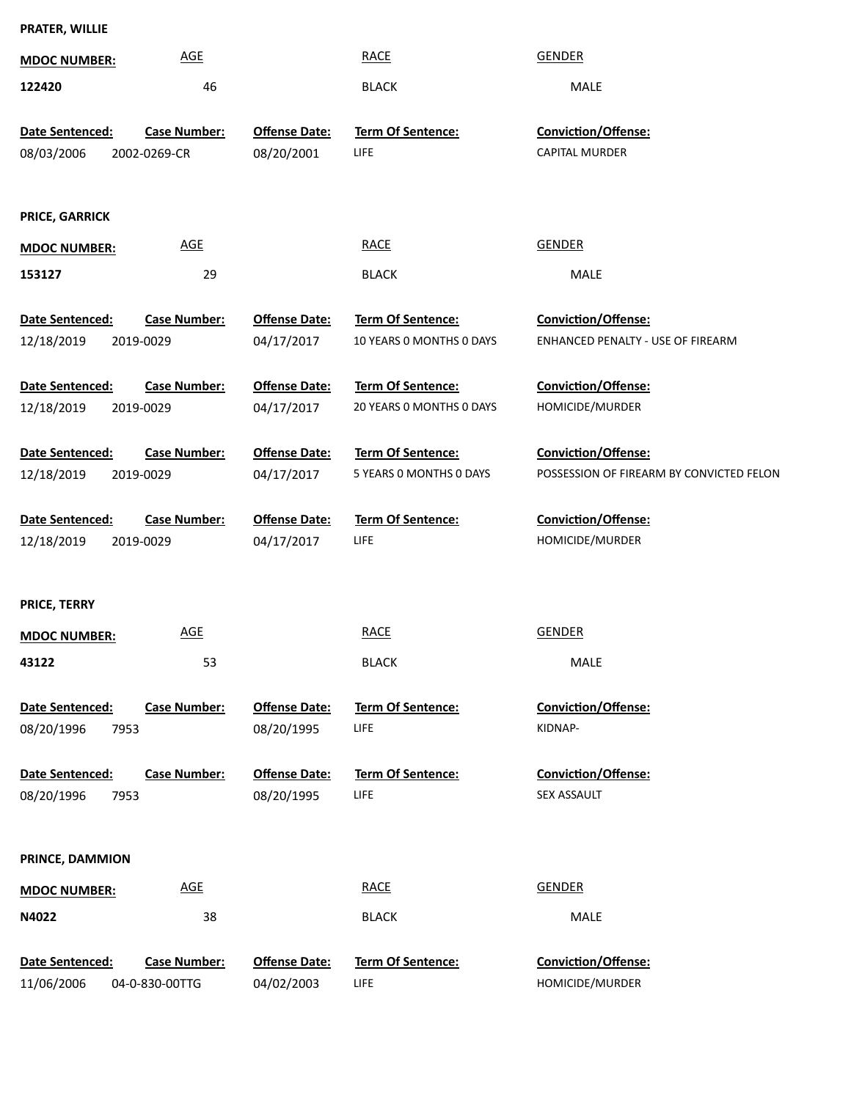| PRATER, WILLIE |  |
|----------------|--|
|----------------|--|

| <b>MDOC NUMBER:</b>                   | <b>AGE</b>                            |                                    | <b>RACE</b>                                   | <b>GENDER</b>                                                   |
|---------------------------------------|---------------------------------------|------------------------------------|-----------------------------------------------|-----------------------------------------------------------------|
| 122420                                | 46                                    |                                    | <b>BLACK</b>                                  | MALE                                                            |
| Date Sentenced:<br>08/03/2006         | <b>Case Number:</b><br>2002-0269-CR   | <b>Offense Date:</b><br>08/20/2001 | Term Of Sentence:<br>LIFE                     | Conviction/Offense:<br>CAPITAL MURDER                           |
| PRICE, GARRICK                        |                                       |                                    |                                               |                                                                 |
| <b>MDOC NUMBER:</b>                   | <b>AGE</b>                            |                                    | <b>RACE</b>                                   | <b>GENDER</b>                                                   |
| 153127                                | 29                                    |                                    | <b>BLACK</b>                                  | MALE                                                            |
| Date Sentenced:                       | <b>Case Number:</b>                   | <b>Offense Date:</b>               | <b>Term Of Sentence:</b>                      | <b>Conviction/Offense:</b>                                      |
| 12/18/2019                            | 2019-0029                             | 04/17/2017                         | 10 YEARS 0 MONTHS 0 DAYS                      | ENHANCED PENALTY - USE OF FIREARM                               |
| Date Sentenced:<br>12/18/2019         | <b>Case Number:</b><br>2019-0029      | <b>Offense Date:</b><br>04/17/2017 | Term Of Sentence:<br>20 YEARS 0 MONTHS 0 DAYS | Conviction/Offense:<br>HOMICIDE/MURDER                          |
| Date Sentenced:<br>12/18/2019         | <b>Case Number:</b><br>2019-0029      | <b>Offense Date:</b><br>04/17/2017 | Term Of Sentence:<br>5 YEARS 0 MONTHS 0 DAYS  | Conviction/Offense:<br>POSSESSION OF FIREARM BY CONVICTED FELON |
| Date Sentenced:<br>12/18/2019         | <b>Case Number:</b><br>2019-0029      | <b>Offense Date:</b><br>04/17/2017 | Term Of Sentence:<br>LIFE                     | Conviction/Offense:<br>HOMICIDE/MURDER                          |
| PRICE, TERRY                          |                                       |                                    |                                               |                                                                 |
| <b>MDOC NUMBER:</b>                   | <b>AGE</b>                            |                                    | <b>RACE</b>                                   | <b>GENDER</b>                                                   |
| 43122                                 | 53                                    |                                    | <b>BLACK</b>                                  | MALE                                                            |
| Date Sentenced:<br>08/20/1996<br>7953 | <b>Case Number:</b>                   | <b>Offense Date:</b><br>08/20/1995 | <b>Term Of Sentence:</b><br>LIFE              | Conviction/Offense:<br>KIDNAP-                                  |
| Date Sentenced:<br>08/20/1996<br>7953 | <b>Case Number:</b>                   | <b>Offense Date:</b><br>08/20/1995 | <b>Term Of Sentence:</b><br>LIFE              | Conviction/Offense:<br>SEX ASSAULT                              |
| PRINCE, DAMMION                       |                                       |                                    |                                               |                                                                 |
| <b>MDOC NUMBER:</b>                   | <b>AGE</b>                            |                                    | <b>RACE</b>                                   | <b>GENDER</b>                                                   |
| N4022                                 | 38                                    |                                    | <b>BLACK</b>                                  | MALE                                                            |
| Date Sentenced:<br>11/06/2006         | <b>Case Number:</b><br>04-0-830-00TTG | <b>Offense Date:</b><br>04/02/2003 | Term Of Sentence:<br>LIFE                     | Conviction/Offense:<br>HOMICIDE/MURDER                          |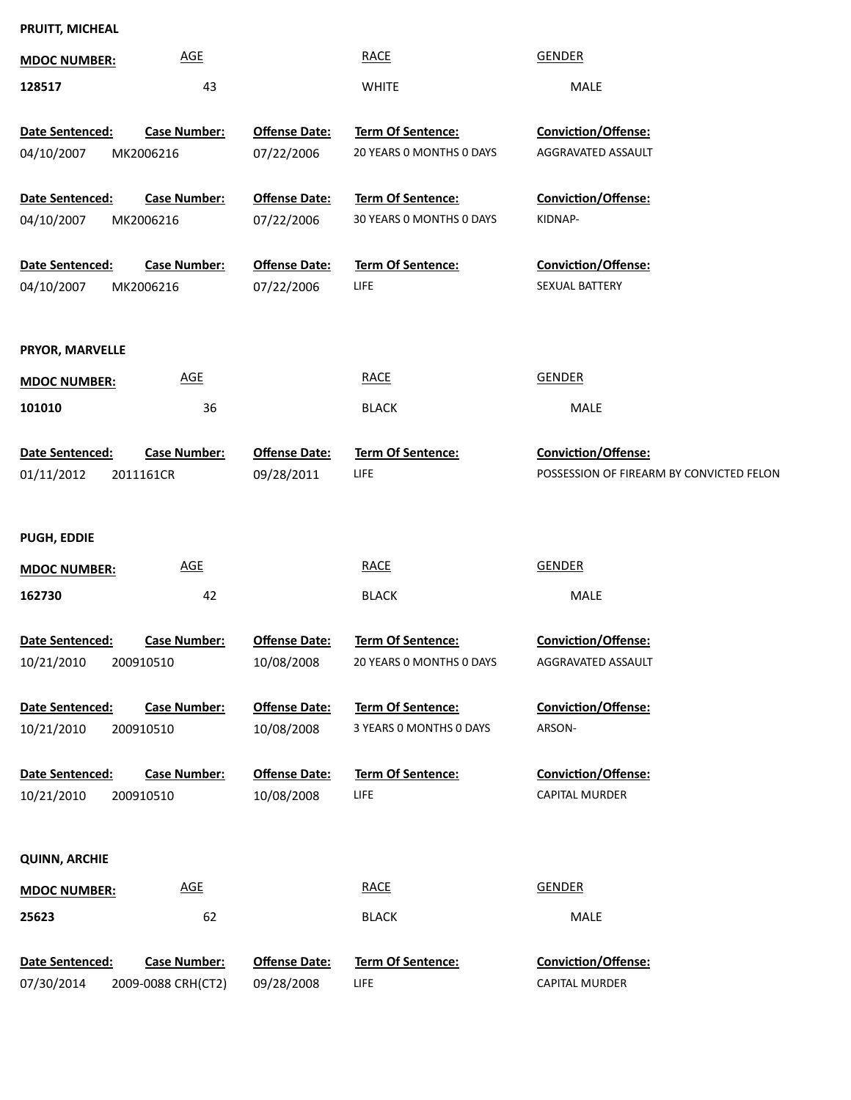# **PRUITT, MICHEAL**

| <b>MDOC NUMBER:</b>  | <b>AGE</b>          |                      | <b>RACE</b>                      | <b>GENDER</b>                                                   |
|----------------------|---------------------|----------------------|----------------------------------|-----------------------------------------------------------------|
| 128517               | 43                  |                      | <b>WHITE</b>                     | <b>MALE</b>                                                     |
|                      |                     |                      |                                  |                                                                 |
| Date Sentenced:      | <b>Case Number:</b> | <b>Offense Date:</b> | Term Of Sentence:                | <b>Conviction/Offense:</b>                                      |
| 04/10/2007           | MK2006216           | 07/22/2006           | 20 YEARS 0 MONTHS 0 DAYS         | AGGRAVATED ASSAULT                                              |
| Date Sentenced:      | <b>Case Number:</b> | <b>Offense Date:</b> | <b>Term Of Sentence:</b>         | <b>Conviction/Offense:</b>                                      |
| 04/10/2007           | MK2006216           | 07/22/2006           | 30 YEARS 0 MONTHS 0 DAYS         | KIDNAP-                                                         |
| Date Sentenced:      | <b>Case Number:</b> | <b>Offense Date:</b> | Term Of Sentence:                | Conviction/Offense:                                             |
| 04/10/2007           | MK2006216           | 07/22/2006           | LIFE                             | SEXUAL BATTERY                                                  |
|                      |                     |                      |                                  |                                                                 |
| PRYOR, MARVELLE      |                     |                      |                                  |                                                                 |
| <b>MDOC NUMBER:</b>  | <b>AGE</b>          |                      | <b>RACE</b>                      | <b>GENDER</b>                                                   |
| 101010               | 36                  |                      | <b>BLACK</b>                     | MALE                                                            |
|                      |                     |                      |                                  |                                                                 |
| Date Sentenced:      | <b>Case Number:</b> | <b>Offense Date:</b> | Term Of Sentence:<br>LIFE        | Conviction/Offense:<br>POSSESSION OF FIREARM BY CONVICTED FELON |
| 01/11/2012           | 2011161CR           | 09/28/2011           |                                  |                                                                 |
|                      |                     |                      |                                  |                                                                 |
| <b>PUGH, EDDIE</b>   |                     |                      |                                  |                                                                 |
| <b>MDOC NUMBER:</b>  | <b>AGE</b>          |                      | <b>RACE</b>                      | <b>GENDER</b>                                                   |
| 162730               | 42                  |                      | <b>BLACK</b>                     | MALE                                                            |
| Date Sentenced:      | <b>Case Number:</b> | <b>Offense Date:</b> | <b>Term Of Sentence:</b>         | <b>Conviction/Offense:</b>                                      |
| 10/21/2010           | 200910510           | 10/08/2008           | 20 YEARS 0 MONTHS 0 DAYS         | AGGRAVATED ASSAULT                                              |
|                      |                     |                      |                                  |                                                                 |
| Date Sentenced:      | <b>Case Number:</b> | <b>Offense Date:</b> | <b>Term Of Sentence:</b>         | Conviction/Offense:                                             |
| 10/21/2010           | 200910510           | 10/08/2008           | 3 YEARS 0 MONTHS 0 DAYS          | ARSON-                                                          |
| Date Sentenced:      | <b>Case Number:</b> | <b>Offense Date:</b> | <b>Term Of Sentence:</b>         | <b>Conviction/Offense:</b>                                      |
| 10/21/2010           | 200910510           | 10/08/2008           | <b>LIFE</b>                      | <b>CAPITAL MURDER</b>                                           |
|                      |                     |                      |                                  |                                                                 |
| <b>QUINN, ARCHIE</b> |                     |                      |                                  |                                                                 |
| <b>MDOC NUMBER:</b>  | <b>AGE</b>          |                      | <b>RACE</b>                      | <b>GENDER</b>                                                   |
| 25623                | 62                  |                      | <b>BLACK</b>                     | MALE                                                            |
|                      |                     |                      |                                  |                                                                 |
| Date Sentenced:      | <b>Case Number:</b> | <b>Offense Date:</b> | Term Of Sentence:<br><b>LIFE</b> | Conviction/Offense:<br><b>CAPITAL MURDER</b>                    |
| 07/30/2014           | 2009-0088 CRH(CT2)  | 09/28/2008           |                                  |                                                                 |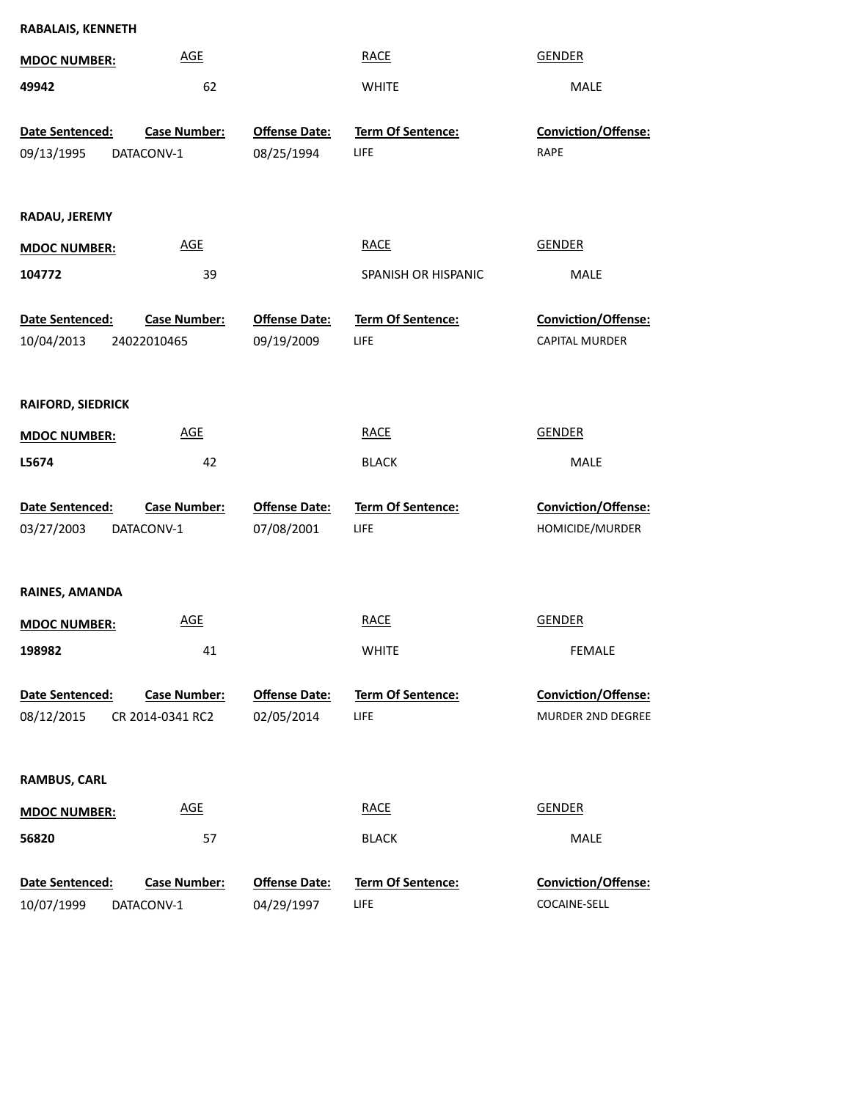| RABALAIS, KENNETH                           |                     |                                    |                           |                             |  |
|---------------------------------------------|---------------------|------------------------------------|---------------------------|-----------------------------|--|
| <b>MDOC NUMBER:</b>                         | <b>AGE</b>          |                                    | <b>RACE</b>               | <b>GENDER</b>               |  |
| 49942                                       | 62                  |                                    | <b>WHITE</b>              | MALE                        |  |
| Date Sentenced:<br>09/13/1995<br>DATACONV-1 | Case Number:        | <b>Offense Date:</b><br>08/25/1994 | Term Of Sentence:<br>LIFE | Conviction/Offense:<br>RAPE |  |
|                                             |                     |                                    |                           |                             |  |
| RADAU, JEREMY                               |                     |                                    |                           |                             |  |
| <b>MDOC NUMBER:</b>                         | <b>AGE</b>          |                                    | <b>RACE</b>               | <b>GENDER</b>               |  |
| 104772                                      | 39                  |                                    | SPANISH OR HISPANIC       | MALE                        |  |
| Date Sentenced:                             | <b>Case Number:</b> | <b>Offense Date:</b>               | Term Of Sentence:         | Conviction/Offense:         |  |
| 10/04/2013<br>24022010465                   |                     | 09/19/2009                         | LIFE                      | CAPITAL MURDER              |  |
|                                             |                     |                                    |                           |                             |  |
| <b>RAIFORD, SIEDRICK</b>                    |                     |                                    |                           |                             |  |
| <b>MDOC NUMBER:</b>                         | <b>AGE</b>          |                                    | <b>RACE</b>               | <b>GENDER</b>               |  |
| L5674                                       | 42                  |                                    | <b>BLACK</b>              | MALE                        |  |
| Date Sentenced:                             | <b>Case Number:</b> | <b>Offense Date:</b>               | Term Of Sentence:         | Conviction/Offense:         |  |
| 03/27/2003<br>DATACONV-1                    |                     | 07/08/2001                         | LIFE                      | HOMICIDE/MURDER             |  |
|                                             |                     |                                    |                           |                             |  |
| RAINES, AMANDA                              |                     |                                    |                           |                             |  |
| <b>MDOC NUMBER:</b>                         | <b>AGE</b>          |                                    | <b>RACE</b>               | <b>GENDER</b>               |  |
| 198982                                      | 41                  |                                    | <b>WHITE</b>              | <b>FEMALE</b>               |  |
| Date Sentenced:                             | <b>Case Number:</b> | <b>Offense Date:</b>               | <b>Term Of Sentence:</b>  | Conviction/Offense:         |  |
| 08/12/2015<br>CR 2014-0341 RC2              |                     | 02/05/2014                         | LIFE                      | MURDER 2ND DEGREE           |  |
|                                             |                     |                                    |                           |                             |  |
| <b>RAMBUS, CARL</b>                         |                     |                                    |                           |                             |  |
| <b>MDOC NUMBER:</b>                         | <b>AGE</b>          |                                    | <b>RACE</b>               | <b>GENDER</b>               |  |
| 56820                                       | 57                  |                                    | <b>BLACK</b>              | MALE                        |  |
| Date Sentenced:                             | <b>Case Number:</b> | <b>Offense Date:</b>               | Term Of Sentence:         | Conviction/Offense:         |  |
| 10/07/1999<br>DATACONV-1                    |                     | 04/29/1997                         | LIFE                      | COCAINE-SELL                |  |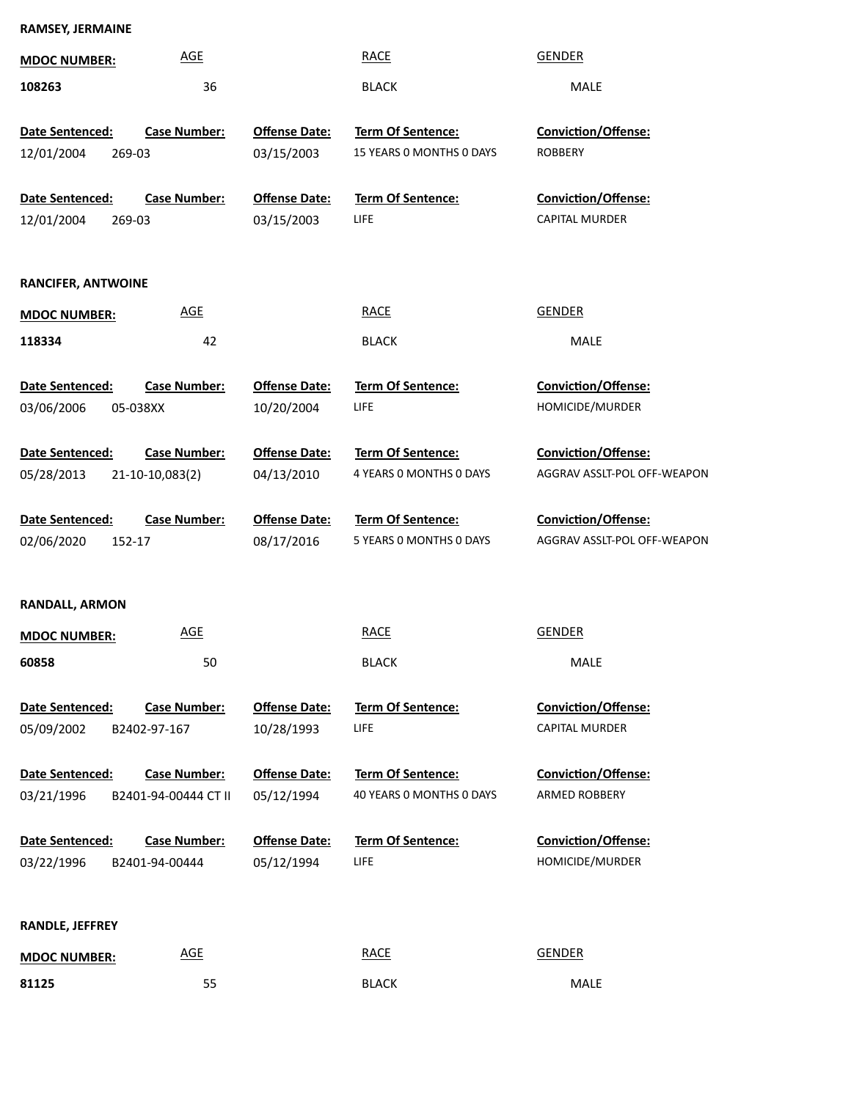| <b>RAMSEY, JERMAINE</b> |                     |                      |                          |                            |
|-------------------------|---------------------|----------------------|--------------------------|----------------------------|
| <b>MDOC NUMBER:</b>     | AGE                 |                      | RACE                     | <b>GENDER</b>              |
| 108263                  | 36                  |                      | <b>BLACK</b>             | <b>MALE</b>                |
| <b>Date Sentenced:</b>  | <b>Case Number:</b> | <b>Offense Date:</b> | <b>Term Of Sentence:</b> | <b>Conviction/Offense:</b> |
| 12/01/2004<br>269-03    |                     | 03/15/2003           | 15 YEARS O MONTHS O DAYS | <b>ROBBERY</b>             |
| <b>Date Sentenced:</b>  | <b>Case Number:</b> | <b>Offense Date:</b> | <b>Term Of Sentence:</b> | <b>Conviction/Offense:</b> |
| 12/01/2004<br>269-03    |                     | 03/15/2003           | LIFE                     | <b>CAPITAL MURDER</b>      |

#### **RANCIFER, ANTWOINE**

| <b>MDOC NUMBER:</b> | AGE | <b>RACE</b>  | <b>GENDER</b> |
|---------------------|-----|--------------|---------------|
| 118334              | 42  | <b>BLACK</b> | <b>MALE</b>   |

10/20/2004 **Ofense Date:**

**Ofense Date:**

**Date Sentenced:** 05-038XX **Case Number:** 03/06/2006

**Date Sentenced:** 21-10-10,083(2) 05/28/2013 **Case Number:**

**Date Sentenced:** 152-17 08/17/2016 **Case Number:** 02/06/2020

**Term Of Sentence: Ofense Date:**

LIFE

08/17/2016 5 YEARS 0 MONTHS 0 DAYS AGGRAV ASS

**Term Of Sentence:**

04/13/2010 4 YEARS 0 MONTHS 0 DAYS AGGRAV ASS

**Term Of Sentence:**

**Term Of Sentence:**

AGGRAV ASSLT-POL OFF-WEAPON **Conviction/Offense:** 

AGGRAV ASSLT-POL OFF-WEAPON

HOMICIDE/MURDER **Conviction/Offense:** 

**Conviction/Offense:** 

#### **RANDALL, ARMON**

| <b>MDOC NUMBER:</b> | AGE | <b>RACE</b>  | <b>GENDER</b> |
|---------------------|-----|--------------|---------------|
| 60858               | 50  | <b>BLACK</b> | <b>MALE</b>   |

| Date Sentenced: | <b>Case Number:</b> | <b>Offense Date:</b> | <b>Term Of Sentence</b> |
|-----------------|---------------------|----------------------|-------------------------|
| 05/09/2002      | B2402-97-167        | 10/28/1993           | LIFE                    |

**Date Sentenced:** B2401-94-00444 CT II 03/21/1996 **Case Number:**

**Term Of Sentence: Ofense Date:**

05/12/1994 40 YEARS 0 MONTHS 0 DAYS ARMED ROBB

**Date Sentenced:** LIFE **Term Of Sentence:** 05/12/1994 **Ofense Date:** B2401-94-00444 03/22/1996 **Case Number:**

CAPITAL MURDER **Conviction/Offense:** 

ARMED ROBBERY **Conviction/Offense:** 

HOMICIDE/MURDER **Conviction/Offense:** 

#### **RANDLE, JEFFREY**

| <b>MDOC NUMBER:</b> | AGE | <b>RACE</b>  | <b>GENDER</b> |
|---------------------|-----|--------------|---------------|
| 81125               | 55  | <b>BLACK</b> | <b>MALE</b>   |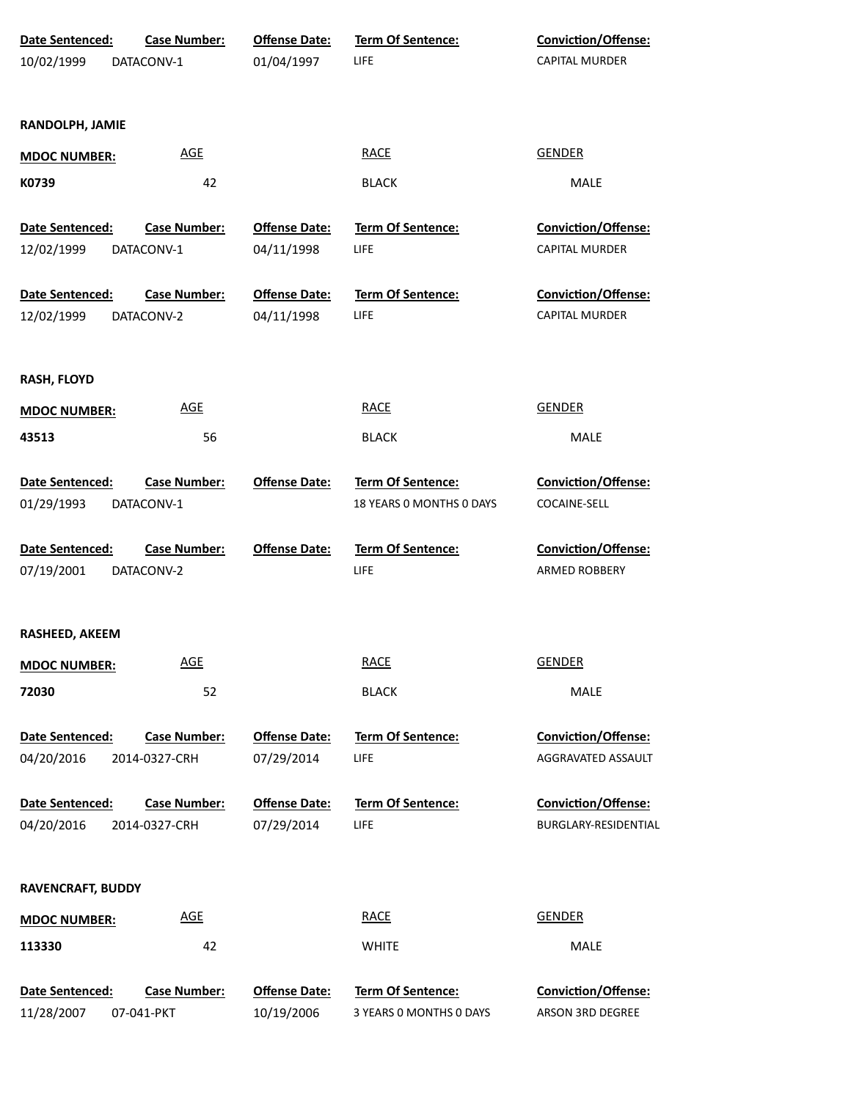| Date Sentenced:          | <b>Case Number:</b> | <b>Offense Date:</b> | <b>Term Of Sentence:</b> | Conviction/Offense:   |
|--------------------------|---------------------|----------------------|--------------------------|-----------------------|
| 10/02/1999               | DATACONV-1          | 01/04/1997           | <b>LIFE</b>              | <b>CAPITAL MURDER</b> |
|                          |                     |                      |                          |                       |
|                          |                     |                      |                          |                       |
| RANDOLPH, JAMIE          |                     |                      |                          |                       |
| <b>MDOC NUMBER:</b>      | <b>AGE</b>          |                      | <b>RACE</b>              | <b>GENDER</b>         |
| K0739                    | 42                  |                      | <b>BLACK</b>             | MALE                  |
|                          |                     |                      |                          |                       |
| Date Sentenced:          | <b>Case Number:</b> | <b>Offense Date:</b> | <b>Term Of Sentence:</b> | Conviction/Offense:   |
| 12/02/1999               | DATACONV-1          | 04/11/1998           | LIFE                     | CAPITAL MURDER        |
|                          |                     |                      |                          |                       |
| Date Sentenced:          | <b>Case Number:</b> | <b>Offense Date:</b> | <b>Term Of Sentence:</b> | Conviction/Offense:   |
| 12/02/1999               | DATACONV-2          | 04/11/1998           | <b>LIFE</b>              | <b>CAPITAL MURDER</b> |
|                          |                     |                      |                          |                       |
|                          |                     |                      |                          |                       |
| <b>RASH, FLOYD</b>       |                     |                      |                          |                       |
| <b>MDOC NUMBER:</b>      | <b>AGE</b>          |                      | <b>RACE</b>              | <b>GENDER</b>         |
| 43513                    | 56                  |                      | <b>BLACK</b>             | MALE                  |
|                          |                     |                      |                          |                       |
| Date Sentenced:          | <b>Case Number:</b> | <b>Offense Date:</b> | Term Of Sentence:        | Conviction/Offense:   |
| 01/29/1993               | DATACONV-1          |                      | 18 YEARS 0 MONTHS 0 DAYS | COCAINE-SELL          |
|                          |                     |                      |                          |                       |
| Date Sentenced:          | <b>Case Number:</b> | <b>Offense Date:</b> | Term Of Sentence:        | Conviction/Offense:   |
| 07/19/2001               | DATACONV-2          |                      | <b>LIFE</b>              | ARMED ROBBERY         |
|                          |                     |                      |                          |                       |
|                          |                     |                      |                          |                       |
| <b>RASHEED, AKEEM</b>    |                     |                      |                          |                       |
| <b>MDOC NUMBER:</b>      | <b>AGE</b>          |                      | <b>RACE</b>              | <b>GENDER</b>         |
| 72030                    | 52                  |                      | <b>BLACK</b>             | MALE                  |
|                          |                     |                      |                          |                       |
| Date Sentenced:          | <b>Case Number:</b> | <b>Offense Date:</b> | Term Of Sentence:        | Conviction/Offense:   |
| 04/20/2016               | 2014-0327-CRH       | 07/29/2014           | <b>LIFE</b>              | AGGRAVATED ASSAULT    |
|                          |                     |                      |                          |                       |
| Date Sentenced:          | <b>Case Number:</b> | <b>Offense Date:</b> | <b>Term Of Sentence:</b> | Conviction/Offense:   |
| 04/20/2016               | 2014-0327-CRH       | 07/29/2014           | <b>LIFE</b>              | BURGLARY-RESIDENTIAL  |
|                          |                     |                      |                          |                       |
|                          |                     |                      |                          |                       |
| <b>RAVENCRAFT, BUDDY</b> |                     |                      |                          |                       |
| <b>MDOC NUMBER:</b>      | <b>AGE</b>          |                      | <b>RACE</b>              | <b>GENDER</b>         |
| 113330                   | 42                  |                      | <b>WHITE</b>             | MALE                  |
|                          |                     |                      |                          |                       |
| Date Sentenced:          | <b>Case Number:</b> | <b>Offense Date:</b> | Term Of Sentence:        | Conviction/Offense:   |
| 11/28/2007               | 07-041-PKT          | 10/19/2006           | 3 YEARS 0 MONTHS 0 DAYS  | ARSON 3RD DEGREE      |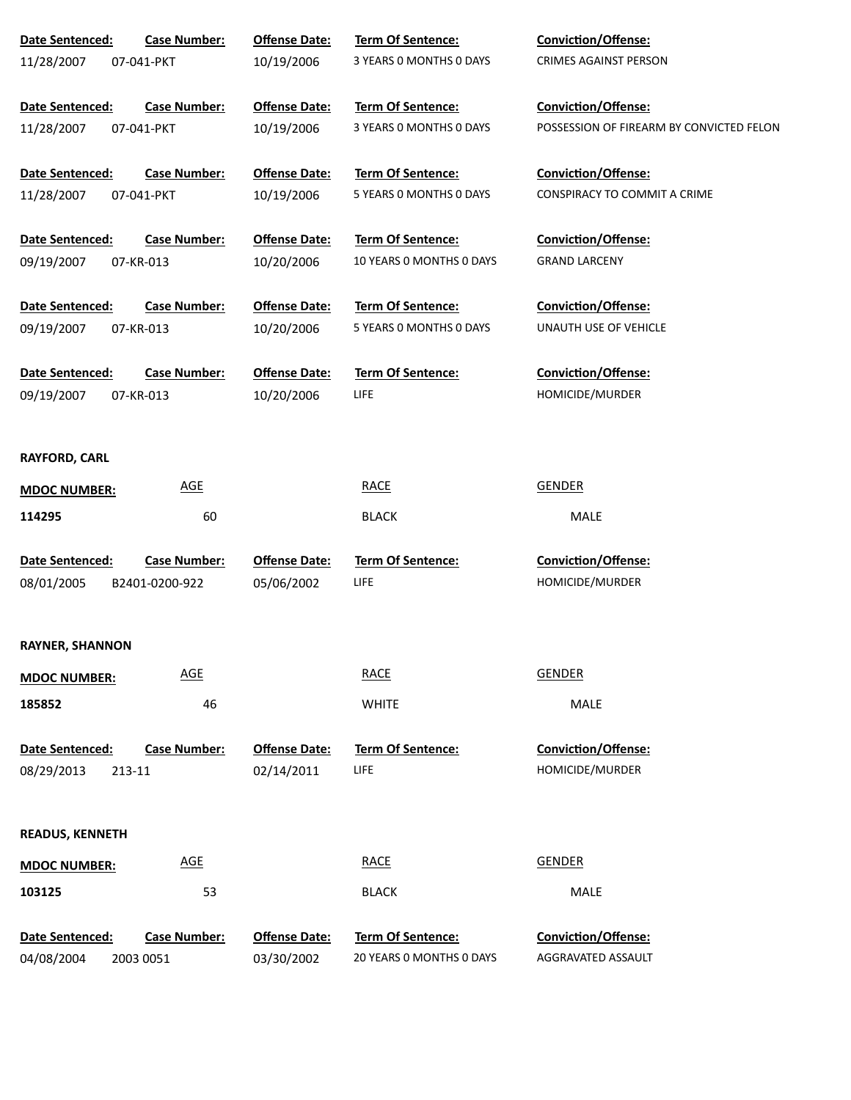| Date Sentenced:        | <b>Case Number:</b> | <b>Offense Date:</b> | Term Of Sentence:        | <b>Conviction/Offense:</b>               |
|------------------------|---------------------|----------------------|--------------------------|------------------------------------------|
| 11/28/2007             | 07-041-PKT          | 10/19/2006           | 3 YEARS 0 MONTHS 0 DAYS  | <b>CRIMES AGAINST PERSON</b>             |
|                        |                     |                      |                          |                                          |
| Date Sentenced:        | <b>Case Number:</b> | <b>Offense Date:</b> | Term Of Sentence:        | <b>Conviction/Offense:</b>               |
| 11/28/2007             | 07-041-PKT          | 10/19/2006           | 3 YEARS 0 MONTHS 0 DAYS  | POSSESSION OF FIREARM BY CONVICTED FELON |
| Date Sentenced:        | <b>Case Number:</b> | <b>Offense Date:</b> | Term Of Sentence:        | <b>Conviction/Offense:</b>               |
| 11/28/2007             | 07-041-PKT          | 10/19/2006           | 5 YEARS 0 MONTHS 0 DAYS  | CONSPIRACY TO COMMIT A CRIME             |
|                        |                     |                      |                          |                                          |
| Date Sentenced:        | <b>Case Number:</b> | <b>Offense Date:</b> | Term Of Sentence:        | Conviction/Offense:                      |
| 09/19/2007             | 07-KR-013           | 10/20/2006           | 10 YEARS O MONTHS O DAYS | <b>GRAND LARCENY</b>                     |
| Date Sentenced:        | <b>Case Number:</b> | <b>Offense Date:</b> | Term Of Sentence:        | <b>Conviction/Offense:</b>               |
| 09/19/2007             | 07-KR-013           | 10/20/2006           | 5 YEARS 0 MONTHS 0 DAYS  | UNAUTH USE OF VEHICLE                    |
| Date Sentenced:        | <b>Case Number:</b> |                      | <b>Term Of Sentence:</b> | <b>Conviction/Offense:</b>               |
|                        |                     | <b>Offense Date:</b> | LIFE                     | HOMICIDE/MURDER                          |
| 09/19/2007             | 07-KR-013           | 10/20/2006           |                          |                                          |
|                        |                     |                      |                          |                                          |
| <b>RAYFORD, CARL</b>   |                     |                      |                          |                                          |
| <b>MDOC NUMBER:</b>    | <b>AGE</b>          |                      | <b>RACE</b>              | <b>GENDER</b>                            |
| 114295                 | 60                  |                      | <b>BLACK</b>             | MALE                                     |
| Date Sentenced:        | <b>Case Number:</b> | <b>Offense Date:</b> | Term Of Sentence:        | Conviction/Offense:                      |
| 08/01/2005             | B2401-0200-922      | 05/06/2002           | LIFE                     | HOMICIDE/MURDER                          |
|                        |                     |                      |                          |                                          |
| <b>RAYNER, SHANNON</b> |                     |                      |                          |                                          |
| <b>MDOC NUMBER:</b>    | <b>AGE</b>          |                      | <b>RACE</b>              | <b>GENDER</b>                            |
|                        |                     |                      |                          |                                          |
| 185852                 | 46                  |                      | <b>WHITE</b>             | MALE                                     |
| Date Sentenced:        | <b>Case Number:</b> | <b>Offense Date:</b> | Term Of Sentence:        | Conviction/Offense:                      |
| 08/29/2013<br>213-11   |                     | 02/14/2011           | LIFE                     | HOMICIDE/MURDER                          |
|                        |                     |                      |                          |                                          |
| <b>READUS, KENNETH</b> |                     |                      |                          |                                          |
| <b>MDOC NUMBER:</b>    | <b>AGE</b>          |                      | <b>RACE</b>              | <b>GENDER</b>                            |
| 103125                 | 53                  |                      | <b>BLACK</b>             | MALE                                     |
|                        |                     |                      |                          |                                          |
| Date Sentenced:        | <b>Case Number:</b> | <b>Offense Date:</b> | <b>Term Of Sentence:</b> | <b>Conviction/Offense:</b>               |
| 04/08/2004             | 2003 0051           | 03/30/2002           | 20 YEARS O MONTHS O DAYS | AGGRAVATED ASSAULT                       |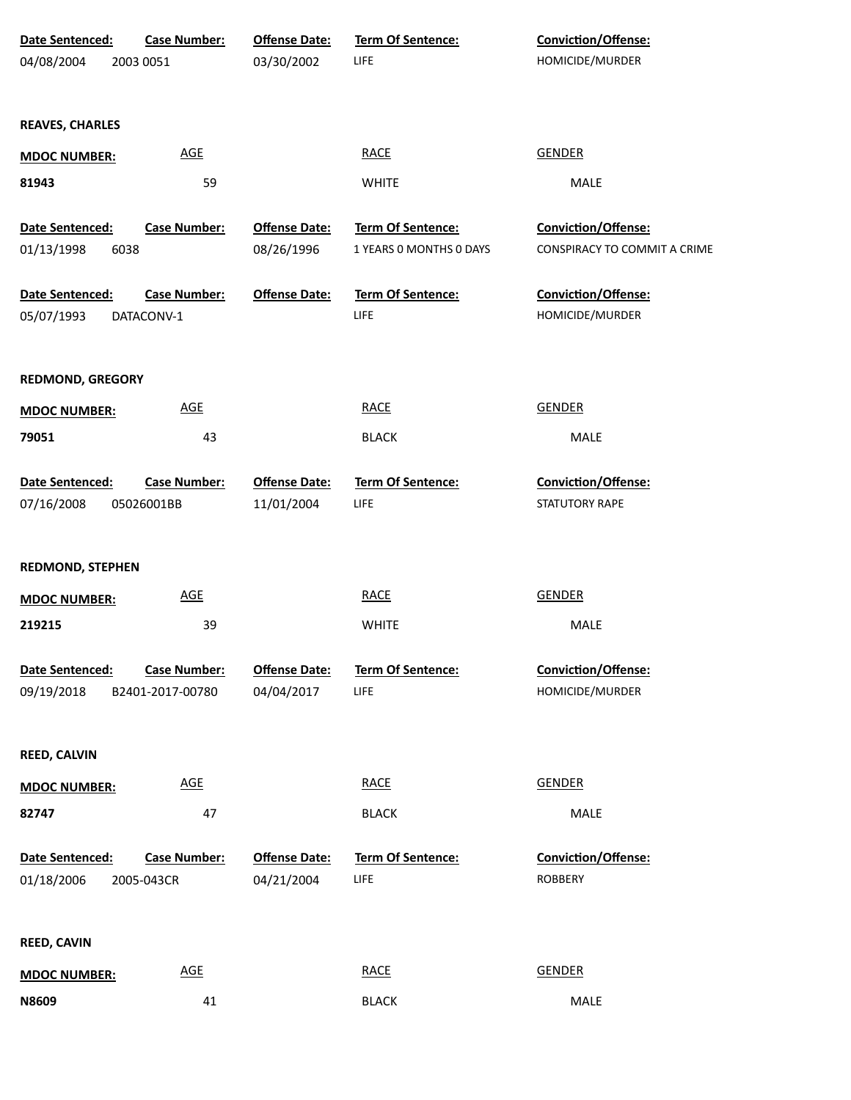| Date Sentenced:         | <b>Case Number:</b> | <b>Offense Date:</b> | Term Of Sentence:        | Conviction/Offense:          |
|-------------------------|---------------------|----------------------|--------------------------|------------------------------|
| 04/08/2004              | 2003 0051           | 03/30/2002           | <b>LIFE</b>              | HOMICIDE/MURDER              |
|                         |                     |                      |                          |                              |
| <b>REAVES, CHARLES</b>  |                     |                      |                          |                              |
| <b>MDOC NUMBER:</b>     | <b>AGE</b>          |                      | <b>RACE</b>              | <b>GENDER</b>                |
| 81943                   | 59                  |                      | <b>WHITE</b>             | MALE                         |
|                         |                     |                      |                          |                              |
| Date Sentenced:         | <b>Case Number:</b> | <b>Offense Date:</b> | Term Of Sentence:        | Conviction/Offense:          |
| 01/13/1998<br>6038      |                     | 08/26/1996           | 1 YEARS 0 MONTHS 0 DAYS  | CONSPIRACY TO COMMIT A CRIME |
| Date Sentenced:         | <b>Case Number:</b> | <b>Offense Date:</b> | Term Of Sentence:        | Conviction/Offense:          |
| 05/07/1993              | DATACONV-1          |                      | LIFE                     | HOMICIDE/MURDER              |
|                         |                     |                      |                          |                              |
| <b>REDMOND, GREGORY</b> |                     |                      |                          |                              |
| <b>MDOC NUMBER:</b>     | <b>AGE</b>          |                      | <b>RACE</b>              | <b>GENDER</b>                |
| 79051                   | 43                  |                      | <b>BLACK</b>             | MALE                         |
|                         |                     |                      |                          |                              |
| Date Sentenced:         | <b>Case Number:</b> | <b>Offense Date:</b> | Term Of Sentence:        | Conviction/Offense:          |
| 07/16/2008              | 05026001BB          | 11/01/2004           | LIFE                     | STATUTORY RAPE               |
|                         |                     |                      |                          |                              |
| <b>REDMOND, STEPHEN</b> |                     |                      |                          |                              |
| <b>MDOC NUMBER:</b>     | <b>AGE</b>          |                      | <b>RACE</b>              | <b>GENDER</b>                |
| 219215                  | 39                  |                      | <b>WHITE</b>             | MALE                         |
|                         |                     |                      |                          |                              |
| Date Sentenced:         | <b>Case Number:</b> | <b>Offense Date:</b> | <b>Term Of Sentence:</b> | Conviction/Offense:          |
| 09/19/2018              | B2401-2017-00780    | 04/04/2017           | LIFE                     | HOMICIDE/MURDER              |
|                         |                     |                      |                          |                              |
| REED, CALVIN            |                     |                      |                          |                              |
| <b>MDOC NUMBER:</b>     | <b>AGE</b>          |                      | <b>RACE</b>              | <b>GENDER</b>                |
| 82747                   | 47                  |                      | <b>BLACK</b>             | MALE                         |
|                         |                     |                      |                          |                              |
| Date Sentenced:         | <b>Case Number:</b> | <b>Offense Date:</b> | Term Of Sentence:        | Conviction/Offense:          |
| 01/18/2006              | 2005-043CR          | 04/21/2004           | LIFE                     | <b>ROBBERY</b>               |
|                         |                     |                      |                          |                              |
| REED, CAVIN             |                     |                      |                          |                              |
| <b>MDOC NUMBER:</b>     | <b>AGE</b>          |                      | <b>RACE</b>              | <b>GENDER</b>                |
| N8609                   | 41                  |                      | <b>BLACK</b>             | MALE                         |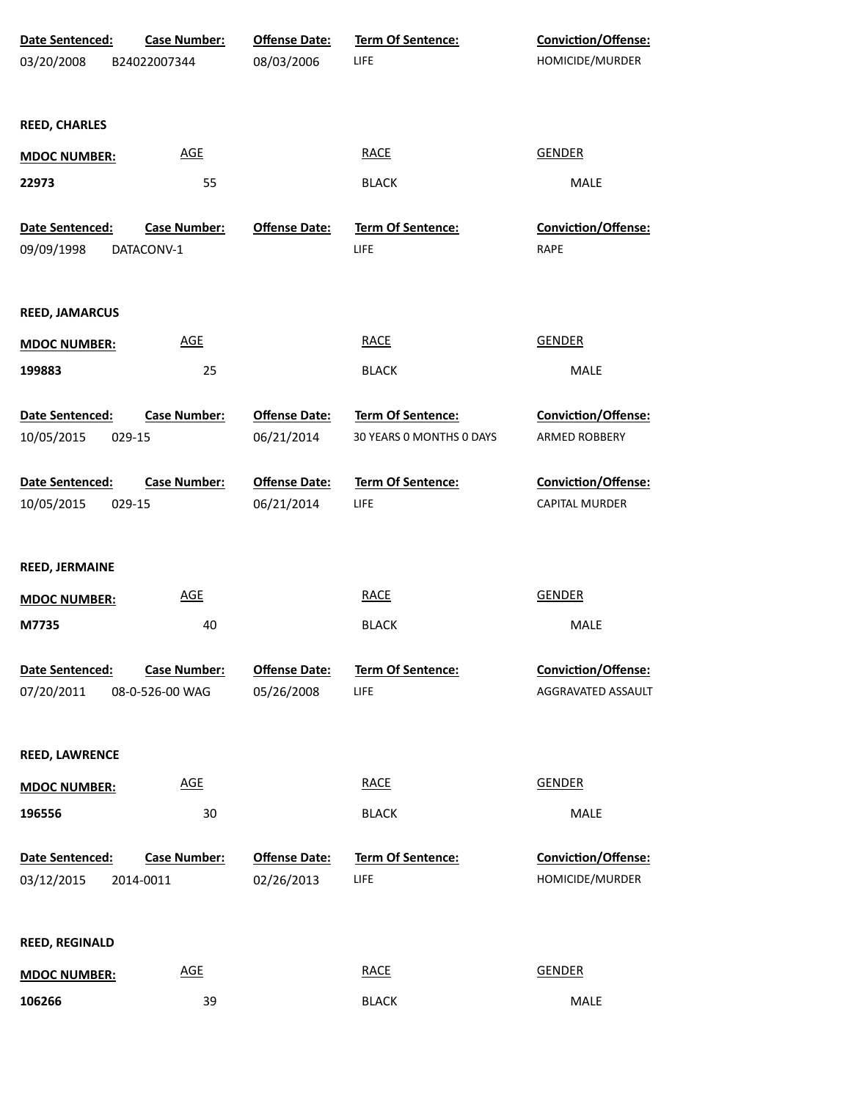| Date Sentenced:<br>03/20/2008           | <b>Case Number:</b><br>B24022007344    | <b>Offense Date:</b><br>08/03/2006 | Term Of Sentence:<br>LIFE                     | Conviction/Offense:<br>HOMICIDE/MURDER    |
|-----------------------------------------|----------------------------------------|------------------------------------|-----------------------------------------------|-------------------------------------------|
| <b>REED, CHARLES</b>                    |                                        |                                    |                                               |                                           |
| <b>MDOC NUMBER:</b>                     | <b>AGE</b>                             |                                    | <b>RACE</b>                                   | <b>GENDER</b>                             |
| 22973                                   | 55                                     |                                    | <b>BLACK</b>                                  | MALE                                      |
| Date Sentenced:<br>09/09/1998           | <b>Case Number:</b><br>DATACONV-1      | <b>Offense Date:</b>               | <b>Term Of Sentence:</b><br>LIFE              | Conviction/Offense:<br>RAPE               |
| <b>REED, JAMARCUS</b>                   |                                        |                                    |                                               |                                           |
| <b>MDOC NUMBER:</b>                     | <b>AGE</b>                             |                                    | <b>RACE</b>                                   | <b>GENDER</b>                             |
| 199883                                  | 25                                     |                                    | <b>BLACK</b>                                  | MALE                                      |
| Date Sentenced:<br>10/05/2015<br>029-15 | <b>Case Number:</b>                    | <b>Offense Date:</b><br>06/21/2014 | Term Of Sentence:<br>30 YEARS O MONTHS O DAYS | Conviction/Offense:<br>ARMED ROBBERY      |
| Date Sentenced:<br>10/05/2015<br>029-15 | <b>Case Number:</b>                    | <b>Offense Date:</b><br>06/21/2014 | Term Of Sentence:<br>LIFE                     | Conviction/Offense:<br>CAPITAL MURDER     |
| REED, JERMAINE                          |                                        |                                    |                                               |                                           |
| <b>MDOC NUMBER:</b>                     | <b>AGE</b>                             |                                    | <b>RACE</b>                                   | <b>GENDER</b>                             |
| M7735                                   | 40                                     |                                    | <b>BLACK</b>                                  | MALE                                      |
| Date Sentenced:<br>07/20/2011           | <b>Case Number:</b><br>08-0-526-00 WAG | <b>Offense Date:</b><br>05/26/2008 | Term Of Sentence:<br>LIFE                     | Conviction/Offense:<br>AGGRAVATED ASSAULT |
| <b>REED, LAWRENCE</b>                   |                                        |                                    |                                               |                                           |
| <b>MDOC NUMBER:</b>                     | <b>AGE</b>                             |                                    | <b>RACE</b>                                   | <b>GENDER</b>                             |
| 196556                                  | 30                                     |                                    | <b>BLACK</b>                                  | MALE                                      |
| Date Sentenced:<br>03/12/2015           | <b>Case Number:</b><br>2014-0011       | <b>Offense Date:</b><br>02/26/2013 | Term Of Sentence:<br>LIFE                     | Conviction/Offense:<br>HOMICIDE/MURDER    |
| <b>REED, REGINALD</b>                   |                                        |                                    |                                               |                                           |
| <b>MDOC NUMBER:</b>                     | $\underline{\mathsf{AGE}}$             |                                    | <b>RACE</b>                                   | <b>GENDER</b>                             |
| 106266                                  | 39                                     |                                    | <b>BLACK</b>                                  | MALE                                      |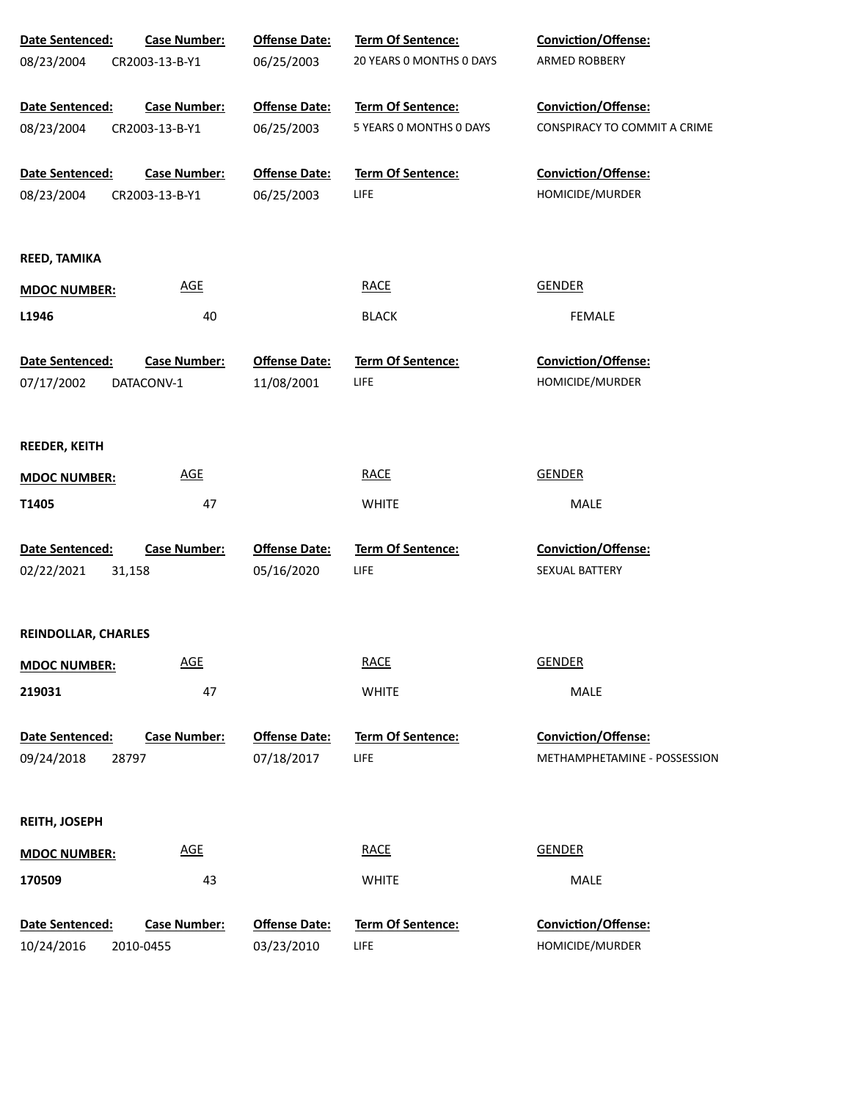| Date Sentenced:     | <b>Case Number:</b> | <b>Offense Date:</b> | Term Of Sentence:        | Conviction/Offense:          |
|---------------------|---------------------|----------------------|--------------------------|------------------------------|
| 08/23/2004          | CR2003-13-B-Y1      | 06/25/2003           | 20 YEARS 0 MONTHS 0 DAYS | ARMED ROBBERY                |
|                     |                     |                      |                          |                              |
| Date Sentenced:     | <b>Case Number:</b> | <b>Offense Date:</b> | Term Of Sentence:        | Conviction/Offense:          |
| 08/23/2004          | CR2003-13-B-Y1      | 06/25/2003           | 5 YEARS O MONTHS O DAYS  | CONSPIRACY TO COMMIT A CRIME |
| Date Sentenced:     | <b>Case Number:</b> | <b>Offense Date:</b> | Term Of Sentence:        | Conviction/Offense:          |
| 08/23/2004          | CR2003-13-B-Y1      | 06/25/2003           | LIFE                     | HOMICIDE/MURDER              |
|                     |                     |                      |                          |                              |
| REED, TAMIKA        |                     |                      |                          |                              |
| <b>MDOC NUMBER:</b> | <b>AGE</b>          |                      | <b>RACE</b>              | <b>GENDER</b>                |
| L1946               | 40                  |                      | <b>BLACK</b>             | <b>FEMALE</b>                |
| Date Sentenced:     | <b>Case Number:</b> | <b>Offense Date:</b> | Term Of Sentence:        | Conviction/Offense:          |
| 07/17/2002          | DATACONV-1          | 11/08/2001           | <b>LIFE</b>              | HOMICIDE/MURDER              |
|                     |                     |                      |                          |                              |
| REEDER, KEITH       |                     |                      |                          |                              |
| <b>MDOC NUMBER:</b> | <b>AGE</b>          |                      | <b>RACE</b>              | <b>GENDER</b>                |
| T1405               | 47                  |                      | <b>WHITE</b>             | MALE                         |
| Date Sentenced:     | <b>Case Number:</b> | <b>Offense Date:</b> | Term Of Sentence:        | Conviction/Offense:          |
| 02/22/2021          | 31,158              | 05/16/2020           | LIFE                     | SEXUAL BATTERY               |
|                     |                     |                      |                          |                              |
| REINDOLLAR, CHARLES |                     |                      |                          |                              |
| <b>MDOC NUMBER:</b> | <b>AGE</b>          |                      | <b>RACE</b>              | <b>GENDER</b>                |
| 219031              | 47                  |                      | <b>WHITE</b>             | MALE                         |
|                     |                     |                      |                          |                              |
| Date Sentenced:     | <b>Case Number:</b> | <b>Offense Date:</b> | <b>Term Of Sentence:</b> | Conviction/Offense:          |
| 09/24/2018<br>28797 |                     | 07/18/2017           | LIFE                     | METHAMPHETAMINE - POSSESSION |
| REITH, JOSEPH       |                     |                      |                          |                              |
| <b>MDOC NUMBER:</b> | <b>AGE</b>          |                      | <b>RACE</b>              | <b>GENDER</b>                |
| 170509              | 43                  |                      | <b>WHITE</b>             | MALE                         |
|                     |                     |                      |                          |                              |
| Date Sentenced:     | <b>Case Number:</b> | <b>Offense Date:</b> | Term Of Sentence:        | Conviction/Offense:          |
| 10/24/2016          | 2010-0455           | 03/23/2010           | <b>LIFE</b>              | HOMICIDE/MURDER              |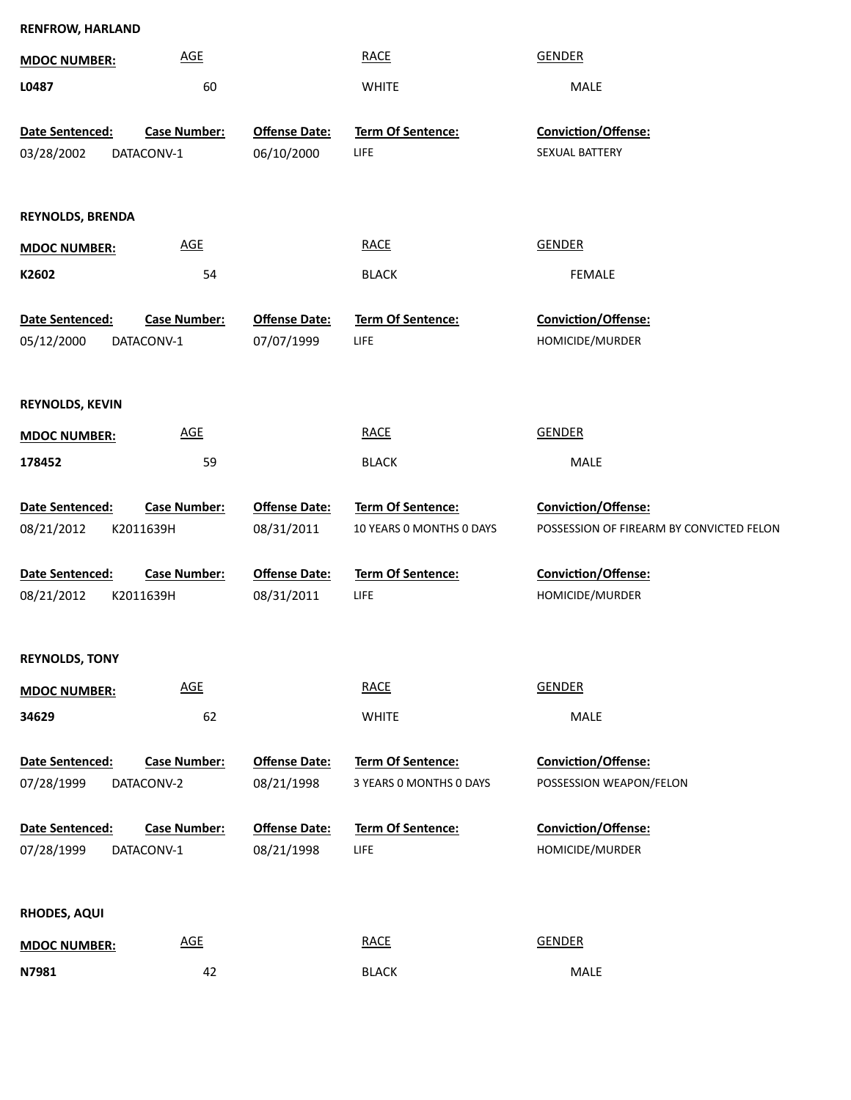| <b>RENFROW, HARLAND</b> |                            |                      |                          |                                          |
|-------------------------|----------------------------|----------------------|--------------------------|------------------------------------------|
| <b>MDOC NUMBER:</b>     | <b>AGE</b>                 |                      | <b>RACE</b>              | <b>GENDER</b>                            |
| L0487                   | 60                         |                      | <b>WHITE</b>             | MALE                                     |
| Date Sentenced:         | <b>Case Number:</b>        | <b>Offense Date:</b> | Term Of Sentence:        | Conviction/Offense:                      |
| 03/28/2002              | DATACONV-1                 | 06/10/2000           | <b>LIFE</b>              | SEXUAL BATTERY                           |
|                         |                            |                      |                          |                                          |
|                         |                            |                      |                          |                                          |
| <b>REYNOLDS, BRENDA</b> |                            |                      |                          |                                          |
| <b>MDOC NUMBER:</b>     | <b>AGE</b>                 |                      | <b>RACE</b>              | <b>GENDER</b>                            |
| K2602                   | 54                         |                      | <b>BLACK</b>             | <b>FEMALE</b>                            |
| Date Sentenced:         | <b>Case Number:</b>        | <b>Offense Date:</b> | Term Of Sentence:        | Conviction/Offense:                      |
| 05/12/2000              | DATACONV-1                 | 07/07/1999           | <b>LIFE</b>              | HOMICIDE/MURDER                          |
|                         |                            |                      |                          |                                          |
|                         |                            |                      |                          |                                          |
| <b>REYNOLDS, KEVIN</b>  |                            |                      |                          |                                          |
| <b>MDOC NUMBER:</b>     | <b>AGE</b>                 |                      | <b>RACE</b>              | <b>GENDER</b>                            |
| 178452                  | 59                         |                      | <b>BLACK</b>             | MALE                                     |
| Date Sentenced:         | <b>Case Number:</b>        | <b>Offense Date:</b> | Term Of Sentence:        | Conviction/Offense:                      |
| 08/21/2012              | K2011639H                  | 08/31/2011           | 10 YEARS O MONTHS O DAYS | POSSESSION OF FIREARM BY CONVICTED FELON |
|                         |                            |                      |                          |                                          |
| Date Sentenced:         | <b>Case Number:</b>        | <b>Offense Date:</b> | Term Of Sentence:        | Conviction/Offense:                      |
| 08/21/2012              | K2011639H                  | 08/31/2011           | LIFE                     | HOMICIDE/MURDER                          |
|                         |                            |                      |                          |                                          |
| <b>REYNOLDS, TONY</b>   |                            |                      |                          |                                          |
| <b>MDOC NUMBER:</b>     | $\underline{\mathsf{AGE}}$ |                      | <b>RACE</b>              | <b>GENDER</b>                            |
| 34629                   | 62                         |                      | <b>WHITE</b>             | MALE                                     |
|                         |                            |                      |                          |                                          |
| Date Sentenced:         | <b>Case Number:</b>        | <b>Offense Date:</b> | Term Of Sentence:        | <b>Conviction/Offense:</b>               |
| 07/28/1999              | DATACONV-2                 | 08/21/1998           | 3 YEARS 0 MONTHS 0 DAYS  | POSSESSION WEAPON/FELON                  |
| Date Sentenced:         | <b>Case Number:</b>        | <b>Offense Date:</b> | <b>Term Of Sentence:</b> | Conviction/Offense:                      |
| 07/28/1999              | DATACONV-1                 | 08/21/1998           | <b>LIFE</b>              | HOMICIDE/MURDER                          |
|                         |                            |                      |                          |                                          |
| <b>RHODES, AQUI</b>     |                            |                      |                          |                                          |
|                         | $\underline{\mathsf{AGE}}$ |                      | <b>RACE</b>              | <b>GENDER</b>                            |
| <b>MDOC NUMBER:</b>     |                            |                      |                          |                                          |
| N7981                   | 42                         |                      | <b>BLACK</b>             | MALE                                     |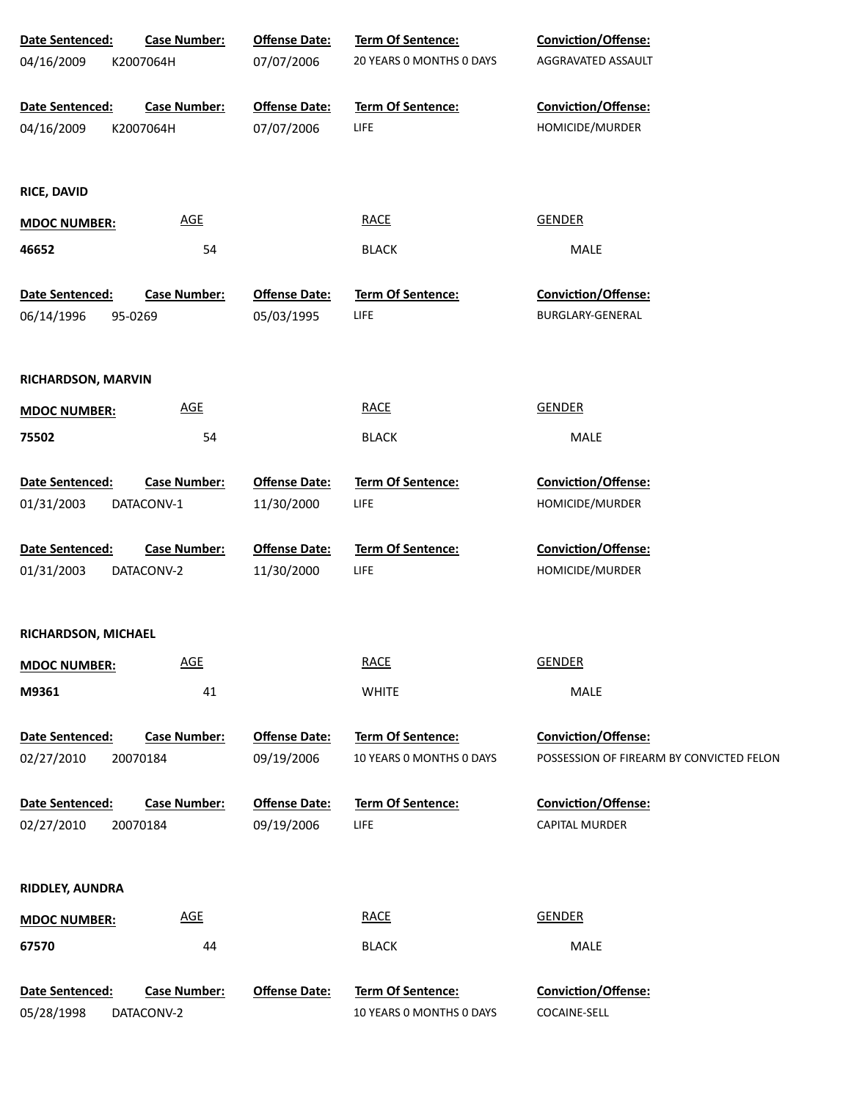| Date Sentenced:     | <b>Case Number:</b>        | <b>Offense Date:</b> | Term Of Sentence:        | Conviction/Offense:                      |
|---------------------|----------------------------|----------------------|--------------------------|------------------------------------------|
| 04/16/2009          | K2007064H                  | 07/07/2006           | 20 YEARS 0 MONTHS 0 DAYS | AGGRAVATED ASSAULT                       |
|                     |                            |                      |                          |                                          |
| Date Sentenced:     | <b>Case Number:</b>        | <b>Offense Date:</b> | Term Of Sentence:        | Conviction/Offense:                      |
| 04/16/2009          | K2007064H                  | 07/07/2006           | <b>LIFE</b>              | HOMICIDE/MURDER                          |
|                     |                            |                      |                          |                                          |
| <b>RICE, DAVID</b>  |                            |                      |                          |                                          |
| <b>MDOC NUMBER:</b> | <b>AGE</b>                 |                      | <b>RACE</b>              | <b>GENDER</b>                            |
| 46652               | 54                         |                      | <b>BLACK</b>             | MALE                                     |
|                     |                            |                      |                          |                                          |
| Date Sentenced:     | <b>Case Number:</b>        | <b>Offense Date:</b> | Term Of Sentence:        | Conviction/Offense:                      |
| 06/14/1996          | 95-0269                    | 05/03/1995           | <b>LIFE</b>              | BURGLARY-GENERAL                         |
|                     |                            |                      |                          |                                          |
| RICHARDSON, MARVIN  |                            |                      |                          |                                          |
| <b>MDOC NUMBER:</b> | $\underline{\mathsf{AGE}}$ |                      | <b>RACE</b>              | <b>GENDER</b>                            |
| 75502               | 54                         |                      | <b>BLACK</b>             | MALE                                     |
|                     |                            |                      |                          |                                          |
| Date Sentenced:     | <b>Case Number:</b>        | <b>Offense Date:</b> | Term Of Sentence:        | Conviction/Offense:                      |
| 01/31/2003          | DATACONV-1                 | 11/30/2000           | LIFE                     | HOMICIDE/MURDER                          |
|                     |                            |                      |                          |                                          |
| Date Sentenced:     | <b>Case Number:</b>        | <b>Offense Date:</b> | Term Of Sentence:        | Conviction/Offense:                      |
| 01/31/2003          | DATACONV-2                 | 11/30/2000           | LIFE                     | HOMICIDE/MURDER                          |
|                     |                            |                      |                          |                                          |
| RICHARDSON, MICHAEL |                            |                      |                          |                                          |
| <b>MDOC NUMBER:</b> | <b>AGE</b>                 |                      | <b>RACE</b>              | <b>GENDER</b>                            |
| M9361               | 41                         |                      | <b>WHITE</b>             | MALE                                     |
|                     |                            |                      |                          |                                          |
| Date Sentenced:     | <b>Case Number:</b>        | <b>Offense Date:</b> | Term Of Sentence:        | Conviction/Offense:                      |
| 02/27/2010          | 20070184                   | 09/19/2006           | 10 YEARS 0 MONTHS 0 DAYS | POSSESSION OF FIREARM BY CONVICTED FELON |
|                     |                            |                      |                          |                                          |
| Date Sentenced:     | <b>Case Number:</b>        | <b>Offense Date:</b> | Term Of Sentence:        | Conviction/Offense:                      |
| 02/27/2010          | 20070184                   | 09/19/2006           | LIFE                     | <b>CAPITAL MURDER</b>                    |
|                     |                            |                      |                          |                                          |
| RIDDLEY, AUNDRA     |                            |                      |                          |                                          |
|                     |                            |                      |                          |                                          |
| <b>MDOC NUMBER:</b> | <b>AGE</b>                 |                      | <b>RACE</b>              | <b>GENDER</b>                            |
| 67570               | 44                         |                      | <b>BLACK</b>             | MALE                                     |
|                     |                            |                      |                          |                                          |
| Date Sentenced:     | <b>Case Number:</b>        | <b>Offense Date:</b> | Term Of Sentence:        | Conviction/Offense:                      |
| 05/28/1998          | DATACONV-2                 |                      | 10 YEARS O MONTHS O DAYS | COCAINE-SELL                             |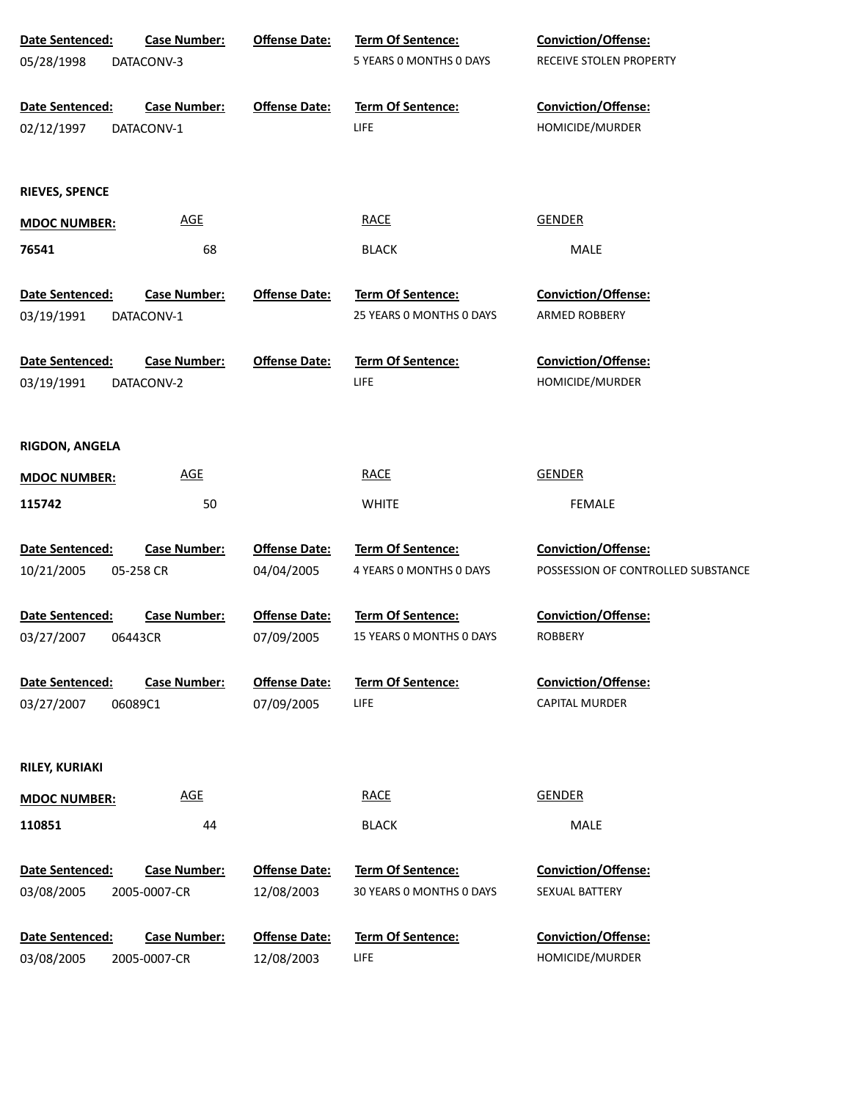| Date Sentenced:       | <b>Case Number:</b> | <b>Offense Date:</b> | Term Of Sentence:                | Conviction/Offense:                    |
|-----------------------|---------------------|----------------------|----------------------------------|----------------------------------------|
| 05/28/1998            | DATACONV-3          |                      | 5 YEARS O MONTHS O DAYS          | RECEIVE STOLEN PROPERTY                |
|                       |                     |                      |                                  |                                        |
| Date Sentenced:       | <b>Case Number:</b> | <b>Offense Date:</b> | Term Of Sentence:                | Conviction/Offense:                    |
| 02/12/1997            | DATACONV-1          |                      | <b>LIFE</b>                      | HOMICIDE/MURDER                        |
|                       |                     |                      |                                  |                                        |
|                       |                     |                      |                                  |                                        |
| <b>RIEVES, SPENCE</b> |                     |                      |                                  |                                        |
| <b>MDOC NUMBER:</b>   | <b>AGE</b>          |                      | <b>RACE</b>                      | <b>GENDER</b>                          |
| 76541                 | 68                  |                      | <b>BLACK</b>                     | <b>MALE</b>                            |
|                       |                     |                      |                                  |                                        |
| Date Sentenced:       | <b>Case Number:</b> | <b>Offense Date:</b> | Term Of Sentence:                | Conviction/Offense:                    |
| 03/19/1991            | DATACONV-1          |                      | 25 YEARS 0 MONTHS 0 DAYS         | ARMED ROBBERY                          |
|                       |                     |                      |                                  |                                        |
| Date Sentenced:       | <b>Case Number:</b> | <b>Offense Date:</b> | Term Of Sentence:<br><b>LIFE</b> | Conviction/Offense:<br>HOMICIDE/MURDER |
| 03/19/1991            | DATACONV-2          |                      |                                  |                                        |
|                       |                     |                      |                                  |                                        |
| RIGDON, ANGELA        |                     |                      |                                  |                                        |
| <b>MDOC NUMBER:</b>   | <b>AGE</b>          |                      | <b>RACE</b>                      | <b>GENDER</b>                          |
| 115742                | 50                  |                      | <b>WHITE</b>                     | <b>FEMALE</b>                          |
|                       |                     |                      |                                  |                                        |
| Date Sentenced:       | <b>Case Number:</b> | <b>Offense Date:</b> | Term Of Sentence:                | Conviction/Offense:                    |
| 10/21/2005            | 05-258 CR           | 04/04/2005           | 4 YEARS 0 MONTHS 0 DAYS          | POSSESSION OF CONTROLLED SUBSTANCE     |
|                       |                     |                      |                                  |                                        |
| Date Sentenced:       | <b>Case Number:</b> | <b>Offense Date:</b> | Term Of Sentence:                | Conviction/Offense:                    |
| 03/27/2007            | 06443CR             | 07/09/2005           | 15 YEARS 0 MONTHS 0 DAYS         | <b>ROBBERY</b>                         |
|                       |                     |                      |                                  |                                        |
| Date Sentenced:       | <b>Case Number:</b> | <b>Offense Date:</b> | Term Of Sentence:                | Conviction/Offense:                    |
| 03/27/2007            | 06089C1             | 07/09/2005           | LIFE                             | <b>CAPITAL MURDER</b>                  |
|                       |                     |                      |                                  |                                        |
| <b>RILEY, KURIAKI</b> |                     |                      |                                  |                                        |
|                       | <b>AGE</b>          |                      | <b>RACE</b>                      | <b>GENDER</b>                          |
| <b>MDOC NUMBER:</b>   |                     |                      |                                  |                                        |
| 110851                | 44                  |                      | <b>BLACK</b>                     | MALE                                   |
|                       |                     |                      |                                  |                                        |
| Date Sentenced:       | <b>Case Number:</b> | <b>Offense Date:</b> | Term Of Sentence:                | Conviction/Offense:                    |
| 03/08/2005            | 2005-0007-CR        | 12/08/2003           | 30 YEARS 0 MONTHS 0 DAYS         | SEXUAL BATTERY                         |
| Date Sentenced:       | <b>Case Number:</b> | <b>Offense Date:</b> | <b>Term Of Sentence:</b>         | Conviction/Offense:                    |
| 03/08/2005            | 2005-0007-CR        | 12/08/2003           | LIFE.                            | HOMICIDE/MURDER                        |
|                       |                     |                      |                                  |                                        |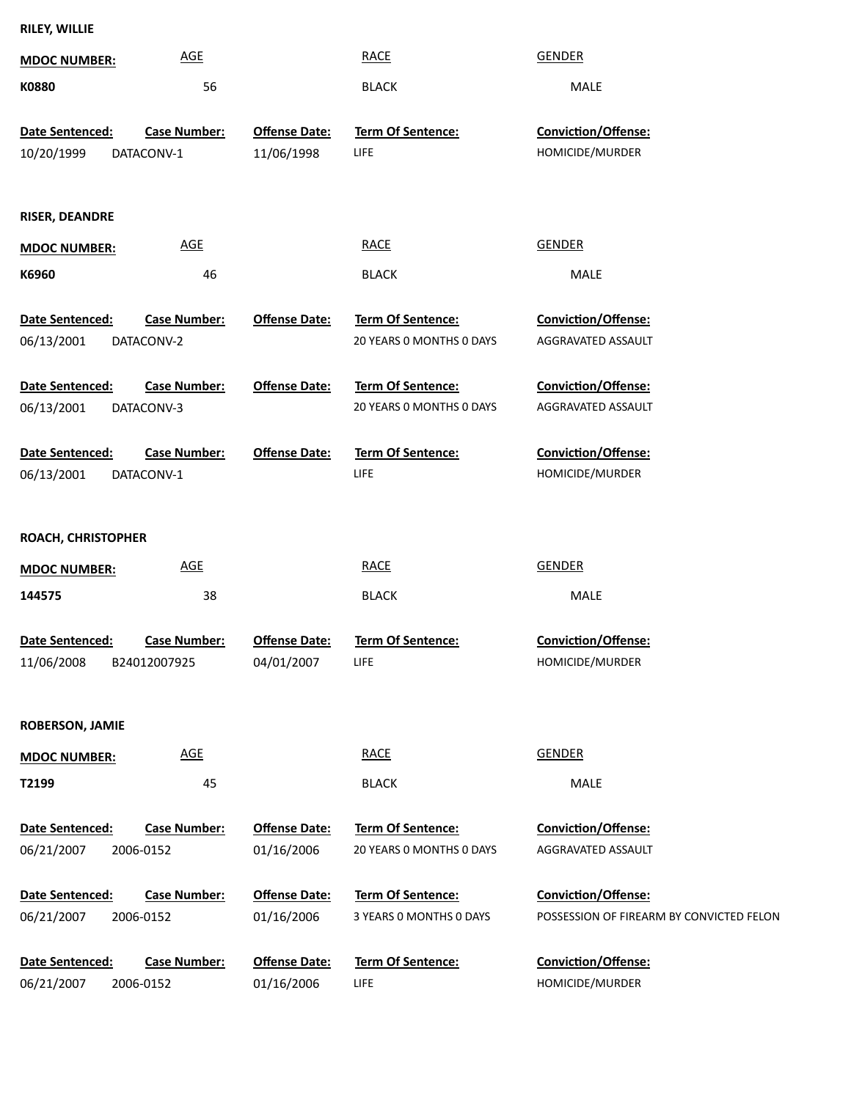| RILEY, WILLIE |  |
|---------------|--|
|---------------|--|

| <b>MDOC NUMBER:</b>                  | <b>AGE</b>                          |                                    | <b>RACE</b>                                          | <b>GENDER</b>                                                   |
|--------------------------------------|-------------------------------------|------------------------------------|------------------------------------------------------|-----------------------------------------------------------------|
| K0880                                | 56                                  |                                    | <b>BLACK</b>                                         | MALE                                                            |
| Date Sentenced:<br>10/20/1999        | <b>Case Number:</b><br>DATACONV-1   | <b>Offense Date:</b><br>11/06/1998 | <b>Term Of Sentence:</b><br>LIFE                     | <b>Conviction/Offense:</b><br>HOMICIDE/MURDER                   |
| <b>RISER, DEANDRE</b>                |                                     |                                    |                                                      |                                                                 |
| <b>MDOC NUMBER:</b>                  | <b>AGE</b>                          |                                    | <b>RACE</b>                                          | <b>GENDER</b>                                                   |
| K6960                                | 46                                  |                                    | <b>BLACK</b>                                         | MALE                                                            |
| Date Sentenced:<br>06/13/2001        | <b>Case Number:</b><br>DATACONV-2   | <b>Offense Date:</b>               | <b>Term Of Sentence:</b><br>20 YEARS O MONTHS O DAYS | <b>Conviction/Offense:</b><br>AGGRAVATED ASSAULT                |
| <b>Date Sentenced:</b><br>06/13/2001 | <b>Case Number:</b><br>DATACONV-3   | <b>Offense Date:</b>               | <b>Term Of Sentence:</b><br>20 YEARS O MONTHS O DAYS | <b>Conviction/Offense:</b><br>AGGRAVATED ASSAULT                |
| Date Sentenced:<br>06/13/2001        | <b>Case Number:</b><br>DATACONV-1   | <b>Offense Date:</b>               | <b>Term Of Sentence:</b><br>LIFE                     | Conviction/Offense:<br>HOMICIDE/MURDER                          |
| ROACH, CHRISTOPHER                   |                                     |                                    |                                                      |                                                                 |
| <b>MDOC NUMBER:</b>                  | <b>AGE</b>                          |                                    | <b>RACE</b>                                          | <b>GENDER</b>                                                   |
| 144575                               | 38                                  |                                    | <b>BLACK</b>                                         | MALE                                                            |
| Date Sentenced:<br>11/06/2008        | <b>Case Number:</b><br>B24012007925 | <b>Offense Date:</b><br>04/01/2007 | Term Of Sentence:<br><b>LIFE</b>                     | Conviction/Offense:<br>HOMICIDE/MURDER                          |
| <b>ROBERSON, JAMIE</b>               |                                     |                                    |                                                      |                                                                 |
| <b>MDOC NUMBER:</b>                  | <b>AGE</b>                          |                                    | <b>RACE</b>                                          | <b>GENDER</b>                                                   |
| T2199                                | 45                                  |                                    | <b>BLACK</b>                                         | MALE                                                            |
| Date Sentenced:<br>06/21/2007        | <b>Case Number:</b><br>2006-0152    | <b>Offense Date:</b><br>01/16/2006 | Term Of Sentence:<br>20 YEARS 0 MONTHS 0 DAYS        | Conviction/Offense:<br>AGGRAVATED ASSAULT                       |
| Date Sentenced:<br>06/21/2007        | <b>Case Number:</b><br>2006-0152    | <b>Offense Date:</b><br>01/16/2006 | Term Of Sentence:<br>3 YEARS 0 MONTHS 0 DAYS         | Conviction/Offense:<br>POSSESSION OF FIREARM BY CONVICTED FELON |
| Date Sentenced:<br>06/21/2007        | <b>Case Number:</b><br>2006-0152    | <b>Offense Date:</b><br>01/16/2006 | Term Of Sentence:<br>LIFE                            | Conviction/Offense:<br>HOMICIDE/MURDER                          |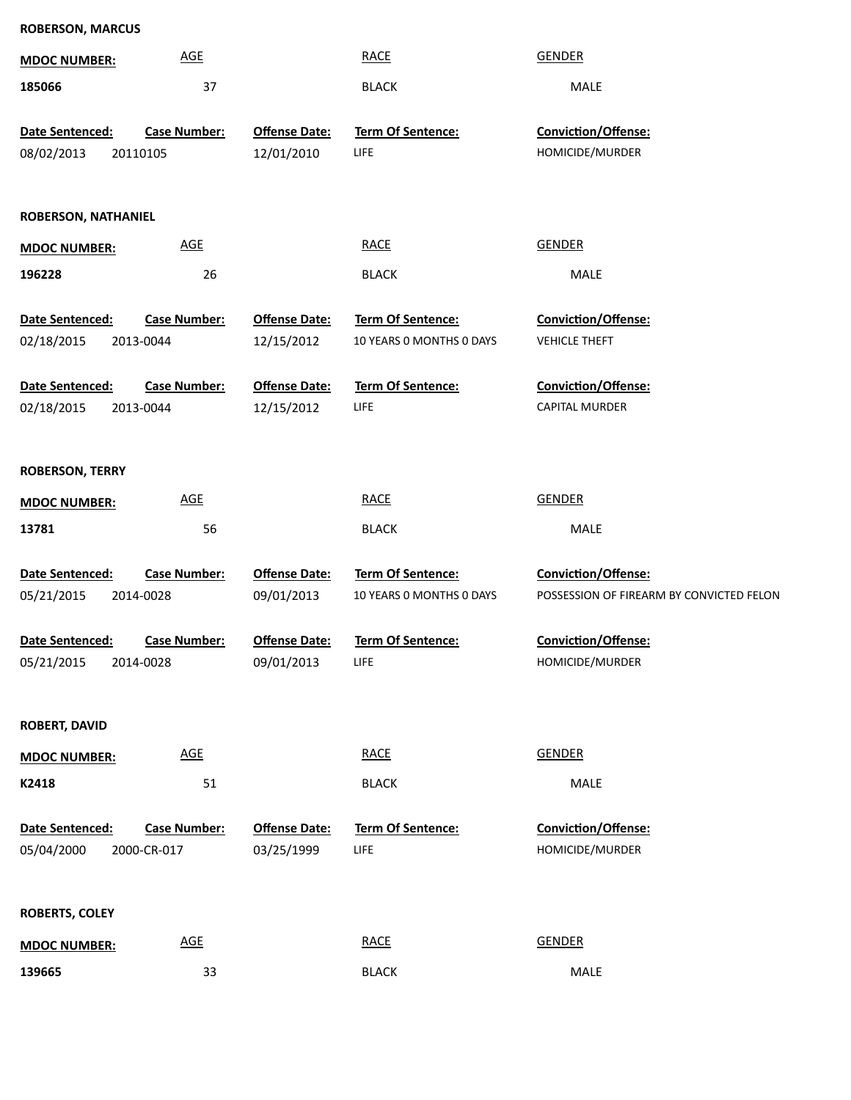| <b>ROBERSON, MARCUS</b>       |                            |                                    |                                               |                                                                 |
|-------------------------------|----------------------------|------------------------------------|-----------------------------------------------|-----------------------------------------------------------------|
| <b>MDOC NUMBER:</b>           | <b>AGE</b>                 |                                    | <b>RACE</b>                                   | <b>GENDER</b>                                                   |
| 185066                        | 37                         |                                    | <b>BLACK</b>                                  | MALE                                                            |
| Date Sentenced:               | <b>Case Number:</b>        | <b>Offense Date:</b>               | Term Of Sentence:                             | Conviction/Offense:                                             |
| 08/02/2013                    | 20110105                   | 12/01/2010                         | LIFE                                          | HOMICIDE/MURDER                                                 |
|                               |                            |                                    |                                               |                                                                 |
| <b>ROBERSON, NATHANIEL</b>    |                            |                                    |                                               |                                                                 |
| <b>MDOC NUMBER:</b>           | <b>AGE</b>                 |                                    | <b>RACE</b>                                   | <b>GENDER</b>                                                   |
| 196228                        | 26                         |                                    | <b>BLACK</b>                                  | MALE                                                            |
| Date Sentenced:               | <b>Case Number:</b>        | <b>Offense Date:</b>               | Term Of Sentence:                             | Conviction/Offense:                                             |
| 02/18/2015                    | 2013-0044                  | 12/15/2012                         | 10 YEARS 0 MONTHS 0 DAYS                      | <b>VEHICLE THEFT</b>                                            |
|                               |                            |                                    |                                               |                                                                 |
| Date Sentenced:               | <b>Case Number:</b>        | <b>Offense Date:</b>               | Term Of Sentence:                             | Conviction/Offense:                                             |
| 02/18/2015                    | 2013-0044                  | 12/15/2012                         | LIFE                                          | <b>CAPITAL MURDER</b>                                           |
|                               |                            |                                    |                                               |                                                                 |
| <b>ROBERSON, TERRY</b>        |                            |                                    |                                               |                                                                 |
| <b>MDOC NUMBER:</b>           | <b>AGE</b>                 |                                    | <b>RACE</b>                                   | <b>GENDER</b>                                                   |
| 13781                         | 56                         |                                    | <b>BLACK</b>                                  | MALE                                                            |
|                               |                            |                                    |                                               |                                                                 |
| Date Sentenced:<br>05/21/2015 | <b>Case Number:</b>        | <b>Offense Date:</b><br>09/01/2013 | Term Of Sentence:<br>10 YEARS O MONTHS O DAYS | Conviction/Offense:<br>POSSESSION OF FIREARM BY CONVICTED FELON |
|                               | 2014-0028                  |                                    |                                               |                                                                 |
| Date Sentenced:               | Case Number:               | <b>Offense Date:</b>               | <b>Term Of Sentence:</b>                      | <b>Conviction/Offense:</b>                                      |
| 05/21/2015                    | 2014-0028                  | 09/01/2013                         | LIFE                                          | HOMICIDE/MURDER                                                 |
|                               |                            |                                    |                                               |                                                                 |
| <b>ROBERT, DAVID</b>          |                            |                                    |                                               |                                                                 |
| <b>MDOC NUMBER:</b>           | $\underline{\mathsf{AGE}}$ |                                    | <b>RACE</b>                                   | <b>GENDER</b>                                                   |
| K2418                         | 51                         |                                    | <b>BLACK</b>                                  | MALE                                                            |
|                               |                            |                                    |                                               |                                                                 |
| Date Sentenced:               | <b>Case Number:</b>        | <b>Offense Date:</b>               | Term Of Sentence:                             | Conviction/Offense:                                             |
| 05/04/2000                    | 2000-CR-017                | 03/25/1999                         | LIFE                                          | HOMICIDE/MURDER                                                 |
|                               |                            |                                    |                                               |                                                                 |
| <b>ROBERTS, COLEY</b>         |                            |                                    |                                               |                                                                 |
| <b>MDOC NUMBER:</b>           | $\underline{\mathsf{AGE}}$ |                                    | <b>RACE</b>                                   | <b>GENDER</b>                                                   |
| 139665                        | 33                         |                                    | <b>BLACK</b>                                  | MALE                                                            |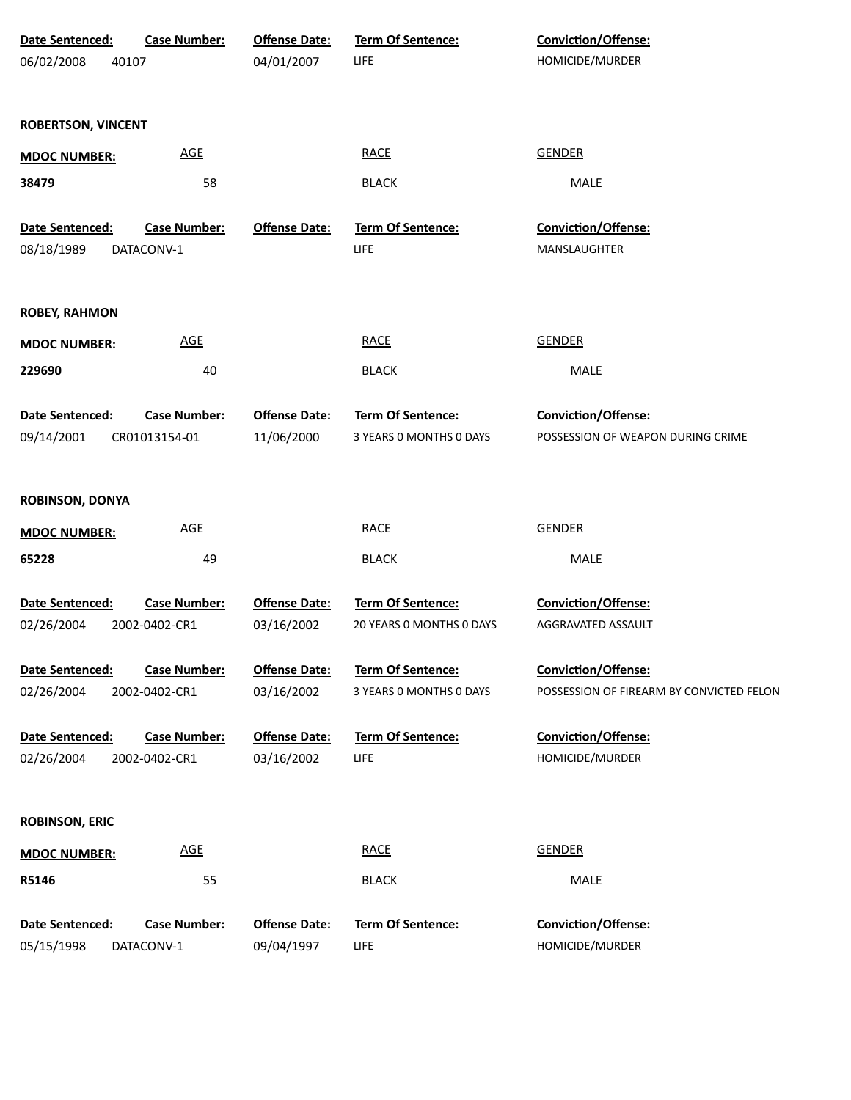| Date Sentenced:               | <b>Case Number:</b>                  | <b>Offense Date:</b>               | Term Of Sentence:                | Conviction/Offense:                      |
|-------------------------------|--------------------------------------|------------------------------------|----------------------------------|------------------------------------------|
| 06/02/2008                    | 40107                                | 04/01/2007                         | LIFE                             | HOMICIDE/MURDER                          |
|                               |                                      |                                    |                                  |                                          |
| <b>ROBERTSON, VINCENT</b>     |                                      |                                    |                                  |                                          |
|                               |                                      |                                    |                                  |                                          |
| <b>MDOC NUMBER:</b>           | <b>AGE</b>                           |                                    | <b>RACE</b>                      | <b>GENDER</b>                            |
| 38479                         | 58                                   |                                    | <b>BLACK</b>                     | MALE                                     |
|                               |                                      |                                    |                                  |                                          |
| Date Sentenced:<br>08/18/1989 | <b>Case Number:</b><br>DATACONV-1    | <b>Offense Date:</b>               | Term Of Sentence:<br>LIFE        | Conviction/Offense:<br>MANSLAUGHTER      |
|                               |                                      |                                    |                                  |                                          |
|                               |                                      |                                    |                                  |                                          |
| <b>ROBEY, RAHMON</b>          |                                      |                                    |                                  |                                          |
| <b>MDOC NUMBER:</b>           | <b>AGE</b>                           |                                    | <b>RACE</b>                      | <b>GENDER</b>                            |
| 229690                        | 40                                   |                                    | <b>BLACK</b>                     | MALE                                     |
|                               |                                      |                                    |                                  |                                          |
| Date Sentenced:               | <b>Case Number:</b>                  | <b>Offense Date:</b>               | Term Of Sentence:                | Conviction/Offense:                      |
| 09/14/2001                    | CR01013154-01                        | 11/06/2000                         | 3 YEARS 0 MONTHS 0 DAYS          | POSSESSION OF WEAPON DURING CRIME        |
|                               |                                      |                                    |                                  |                                          |
| <b>ROBINSON, DONYA</b>        |                                      |                                    |                                  |                                          |
|                               | <b>AGE</b>                           |                                    | <b>RACE</b>                      | <b>GENDER</b>                            |
| <b>MDOC NUMBER:</b>           |                                      |                                    |                                  |                                          |
| 65228                         | 49                                   |                                    | <b>BLACK</b>                     | MALE                                     |
| Date Sentenced:               | <b>Case Number:</b>                  | <b>Offense Date:</b>               | Term Of Sentence:                | Conviction/Offense:                      |
| 02/26/2004                    | 2002-0402-CR1                        | 03/16/2002                         | 20 YEARS 0 MONTHS 0 DAYS         | AGGRAVATED ASSAULT                       |
|                               |                                      |                                    |                                  |                                          |
| Date Sentenced:               | <b>Case Number:</b>                  | <b>Offense Date:</b>               | <b>Term Of Sentence:</b>         | <b>Conviction/Offense:</b>               |
| 02/26/2004                    | 2002-0402-CR1                        | 03/16/2002                         | 3 YEARS 0 MONTHS 0 DAYS          | POSSESSION OF FIREARM BY CONVICTED FELON |
|                               |                                      |                                    |                                  |                                          |
| Date Sentenced:<br>02/26/2004 | <b>Case Number:</b><br>2002-0402-CR1 | <b>Offense Date:</b><br>03/16/2002 | <b>Term Of Sentence:</b><br>LIFE | Conviction/Offense:<br>HOMICIDE/MURDER   |
|                               |                                      |                                    |                                  |                                          |
|                               |                                      |                                    |                                  |                                          |
| <b>ROBINSON, ERIC</b>         |                                      |                                    |                                  |                                          |
| <b>MDOC NUMBER:</b>           | $\underline{\mathsf{AGE}}$           |                                    | <b>RACE</b>                      | <b>GENDER</b>                            |
| R5146                         | 55                                   |                                    | <b>BLACK</b>                     | MALE                                     |
|                               |                                      |                                    |                                  |                                          |
| Date Sentenced:               | <b>Case Number:</b>                  | <b>Offense Date:</b>               | Term Of Sentence:                | Conviction/Offense:                      |
| 05/15/1998                    | DATACONV-1                           | 09/04/1997                         | LIFE                             | HOMICIDE/MURDER                          |
|                               |                                      |                                    |                                  |                                          |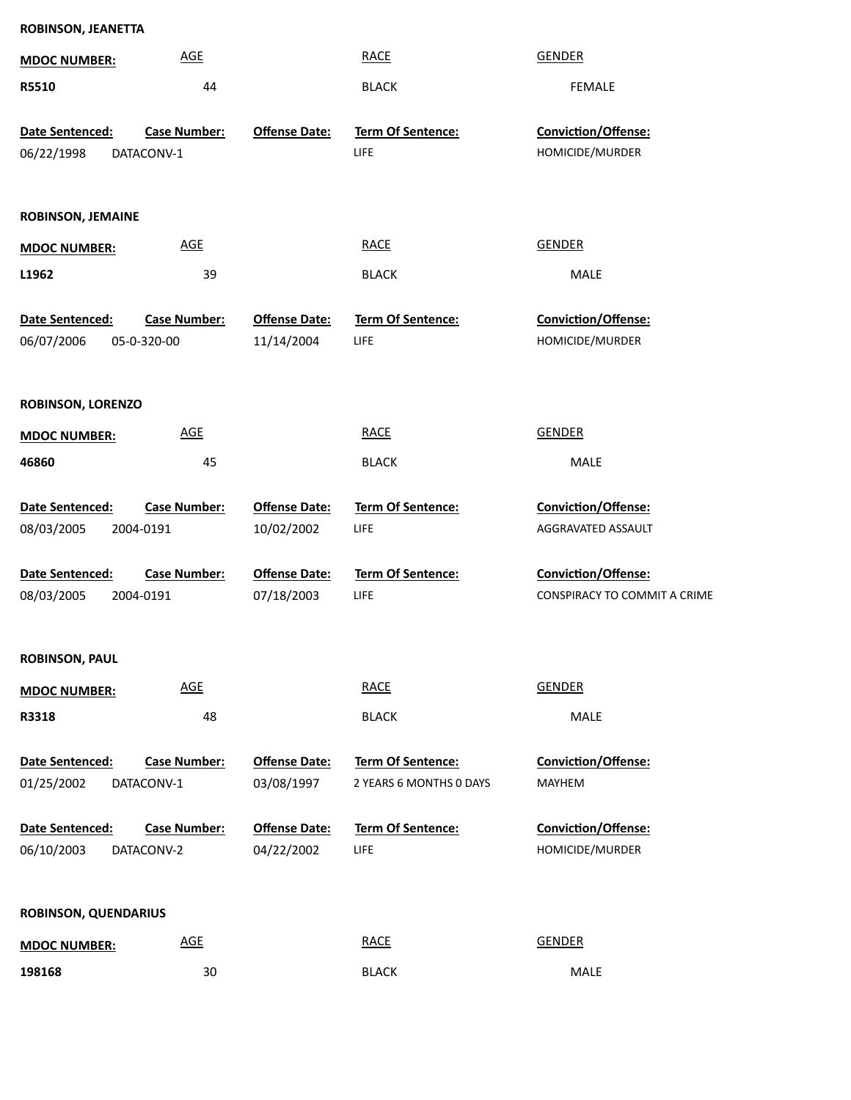| ROBINSON, JEANETTA          |                     |                      |                          |                              |
|-----------------------------|---------------------|----------------------|--------------------------|------------------------------|
| <b>MDOC NUMBER:</b>         | <b>AGE</b>          |                      | <b>RACE</b>              | <b>GENDER</b>                |
| R5510                       | 44                  |                      | <b>BLACK</b>             | <b>FEMALE</b>                |
| Date Sentenced:             | <b>Case Number:</b> | <b>Offense Date:</b> | <b>Term Of Sentence:</b> | Conviction/Offense:          |
|                             |                     |                      | LIFE                     | HOMICIDE/MURDER              |
| 06/22/1998<br>DATACONV-1    |                     |                      |                          |                              |
| <b>ROBINSON, JEMAINE</b>    |                     |                      |                          |                              |
| <b>MDOC NUMBER:</b>         | <b>AGE</b>          |                      | <b>RACE</b>              | <b>GENDER</b>                |
| L1962                       | 39                  |                      | <b>BLACK</b>             | MALE                         |
| Date Sentenced:             | <b>Case Number:</b> | <b>Offense Date:</b> | <b>Term Of Sentence:</b> | Conviction/Offense:          |
| 06/07/2006<br>05-0-320-00   |                     | 11/14/2004           | LIFE                     | HOMICIDE/MURDER              |
|                             |                     |                      |                          |                              |
| <b>ROBINSON, LORENZO</b>    |                     |                      |                          |                              |
| <b>MDOC NUMBER:</b>         | <b>AGE</b>          |                      | <b>RACE</b>              | <b>GENDER</b>                |
| 46860                       | 45                  |                      | <b>BLACK</b>             | MALE                         |
| Date Sentenced:             | <b>Case Number:</b> | <b>Offense Date:</b> | Term Of Sentence:        | Conviction/Offense:          |
| 08/03/2005<br>2004-0191     |                     | 10/02/2002           | LIFE                     | AGGRAVATED ASSAULT           |
|                             |                     |                      |                          |                              |
| Date Sentenced:             | <b>Case Number:</b> | <b>Offense Date:</b> | <b>Term Of Sentence:</b> | Conviction/Offense:          |
| 08/03/2005<br>2004-0191     |                     | 07/18/2003           | LIFE                     | CONSPIRACY TO COMMIT A CRIME |
|                             |                     |                      |                          |                              |
| <b>ROBINSON, PAUL</b>       |                     |                      |                          |                              |
| <b>MDOC NUMBER:</b>         | <b>AGE</b>          |                      | <b>RACE</b>              | <b>GENDER</b>                |
| R3318                       | 48                  |                      | <b>BLACK</b>             | MALE                         |
| Date Sentenced:             | <b>Case Number:</b> | <b>Offense Date:</b> | <b>Term Of Sentence:</b> | Conviction/Offense:          |
| 01/25/2002<br>DATACONV-1    |                     | 03/08/1997           | 2 YEARS 6 MONTHS 0 DAYS  | MAYHEM                       |
| Date Sentenced:             | <b>Case Number:</b> | <b>Offense Date:</b> | Term Of Sentence:        | Conviction/Offense:          |
| 06/10/2003<br>DATACONV-2    |                     | 04/22/2002           | LIFE                     | HOMICIDE/MURDER              |
|                             |                     |                      |                          |                              |
| <b>ROBINSON, QUENDARIUS</b> |                     |                      |                          |                              |
| <b>MDOC NUMBER:</b>         | AGE                 |                      | <b>RACE</b>              | <b>GENDER</b>                |
| 198168                      | 30                  |                      | <b>BLACK</b>             | <b>MALE</b>                  |

30 BLACK MALE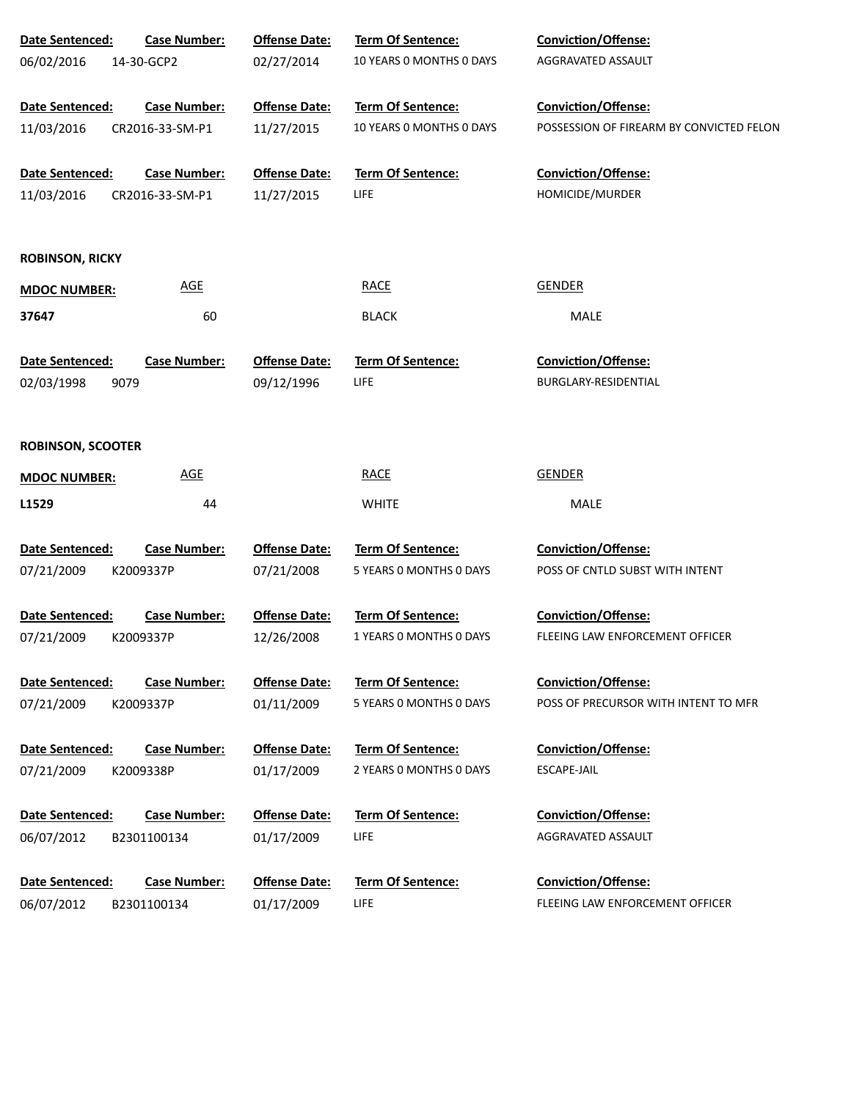| Date Sentenced:          | <b>Case Number:</b> | <b>Offense Date:</b> | Term Of Sentence:        | Conviction/Offense:                      |
|--------------------------|---------------------|----------------------|--------------------------|------------------------------------------|
| 06/02/2016               | 14-30-GCP2          | 02/27/2014           | 10 YEARS 0 MONTHS 0 DAYS | AGGRAVATED ASSAULT                       |
| <b>Date Sentenced:</b>   | <b>Case Number:</b> | <b>Offense Date:</b> | <b>Term Of Sentence:</b> | Conviction/Offense:                      |
| 11/03/2016               | CR2016-33-SM-P1     | 11/27/2015           | 10 YEARS 0 MONTHS 0 DAYS | POSSESSION OF FIREARM BY CONVICTED FELON |
| Date Sentenced:          | <b>Case Number:</b> | <b>Offense Date:</b> | <b>Term Of Sentence:</b> | Conviction/Offense:                      |
| 11/03/2016               | CR2016-33-SM-P1     | 11/27/2015           | <b>LIFE</b>              | HOMICIDE/MURDER                          |
| <b>ROBINSON, RICKY</b>   |                     |                      |                          |                                          |
| <b>MDOC NUMBER:</b>      | <b>AGE</b>          |                      | <b>RACE</b>              | <b>GENDER</b>                            |
| 37647                    | 60                  |                      | <b>BLACK</b>             | MALE                                     |
| Date Sentenced:          | <b>Case Number:</b> | <b>Offense Date:</b> | <b>Term Of Sentence:</b> | <b>Conviction/Offense:</b>               |
| 02/03/1998               | 9079                | 09/12/1996           | LIFE                     | BURGLARY-RESIDENTIAL                     |
| <b>ROBINSON, SCOOTER</b> |                     |                      |                          |                                          |
| <b>MDOC NUMBER:</b>      | <b>AGE</b>          |                      | <b>RACE</b>              | <b>GENDER</b>                            |
| L1529                    | 44                  |                      | <b>WHITE</b>             | MALE                                     |
| Date Sentenced:          | <b>Case Number:</b> | <b>Offense Date:</b> | Term Of Sentence:        | Conviction/Offense:                      |
| 07/21/2009               | K2009337P           | 07/21/2008           | 5 YEARS 0 MONTHS 0 DAYS  | POSS OF CNTLD SUBST WITH INTENT          |
| Date Sentenced:          | <b>Case Number:</b> | <b>Offense Date:</b> | Term Of Sentence:        | Conviction/Offense:                      |
| 07/21/2009               | K2009337P           | 12/26/2008           | 1 YEARS O MONTHS O DAYS  | FLEEING LAW ENFORCEMENT OFFICER          |
| Date Sentenced:          | <b>Case Number:</b> | <b>Offense Date:</b> | <b>Term Of Sentence:</b> | <b>Conviction/Offense:</b>               |
| 07/21/2009               | K2009337P           | 01/11/2009           | 5 YEARS O MONTHS O DAYS  | POSS OF PRECURSOR WITH INTENT TO MFR     |
| Date Sentenced:          | <b>Case Number:</b> | <b>Offense Date:</b> | <b>Term Of Sentence:</b> | <b>Conviction/Offense:</b>               |
| 07/21/2009               | K2009338P           | 01/17/2009           | 2 YEARS 0 MONTHS 0 DAYS  | ESCAPE-JAIL                              |
| Date Sentenced:          | <b>Case Number:</b> | <b>Offense Date:</b> | <b>Term Of Sentence:</b> | Conviction/Offense:                      |
| 06/07/2012               | B2301100134         | 01/17/2009           | LIFE                     | AGGRAVATED ASSAULT                       |
| Date Sentenced:          | <b>Case Number:</b> | <b>Offense Date:</b> | <b>Term Of Sentence:</b> | <b>Conviction/Offense:</b>               |
| 06/07/2012               | B2301100134         | 01/17/2009           | LIFE                     | FLEEING LAW ENFORCEMENT OFFICER          |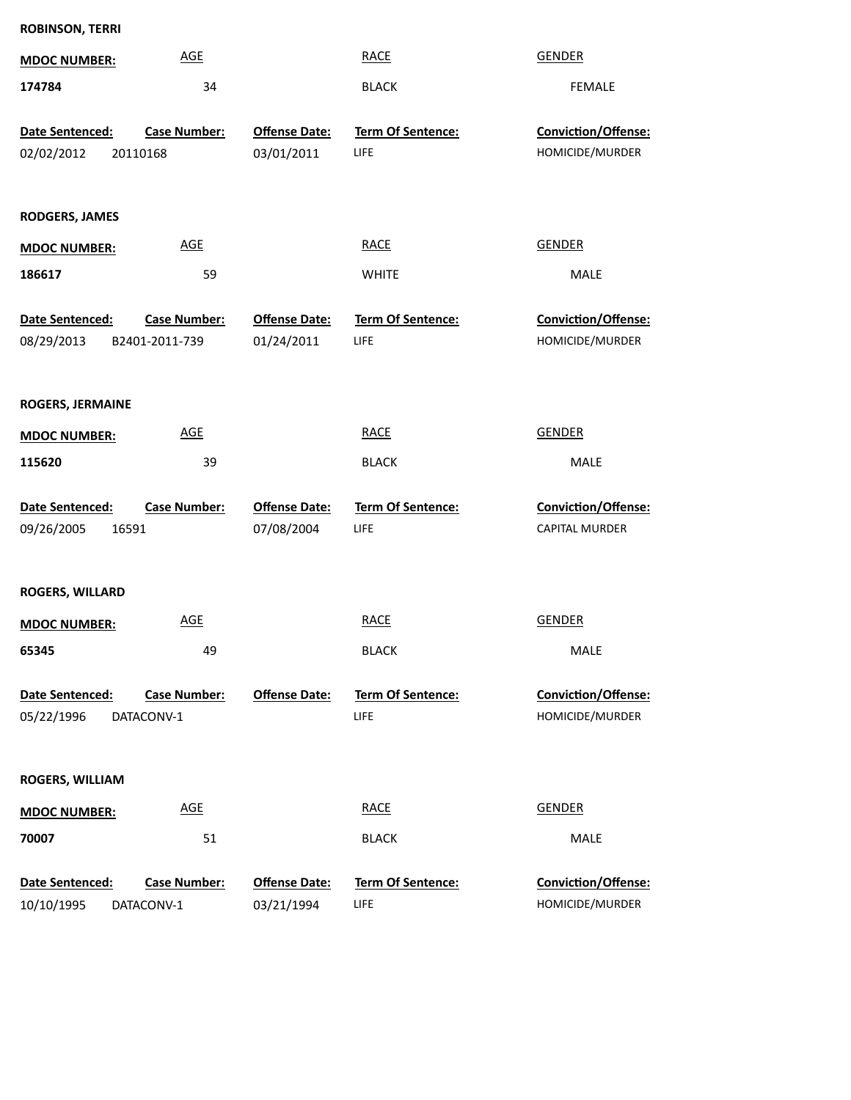| <b>ROBINSON, TERRI</b>                    |                                       |                                    |                                  |                                               |
|-------------------------------------------|---------------------------------------|------------------------------------|----------------------------------|-----------------------------------------------|
| <b>MDOC NUMBER:</b>                       | <b>AGE</b>                            |                                    | <b>RACE</b>                      | <b>GENDER</b>                                 |
| 174784                                    | 34                                    |                                    | <b>BLACK</b>                     | FEMALE                                        |
| Date Sentenced:<br>02/02/2012<br>20110168 | <b>Case Number:</b>                   | <b>Offense Date:</b><br>03/01/2011 | Term Of Sentence:<br>LIFE        | Conviction/Offense:<br>HOMICIDE/MURDER        |
| <b>RODGERS, JAMES</b>                     |                                       |                                    |                                  |                                               |
| <b>MDOC NUMBER:</b>                       | <b>AGE</b>                            |                                    | <b>RACE</b>                      | <b>GENDER</b>                                 |
| 186617                                    | 59                                    |                                    | <b>WHITE</b>                     | MALE                                          |
| Date Sentenced:<br>08/29/2013             | <b>Case Number:</b><br>B2401-2011-739 | <b>Offense Date:</b><br>01/24/2011 | Term Of Sentence:<br>LIFE        | Conviction/Offense:<br>HOMICIDE/MURDER        |
| <b>ROGERS, JERMAINE</b>                   |                                       |                                    |                                  |                                               |
| <b>MDOC NUMBER:</b>                       | <b>AGE</b>                            |                                    | <b>RACE</b>                      | <b>GENDER</b>                                 |
| 115620                                    | 39                                    |                                    | <b>BLACK</b>                     | MALE                                          |
| Date Sentenced:<br>09/26/2005<br>16591    | Case Number:                          | <b>Offense Date:</b><br>07/08/2004 | Term Of Sentence:<br>LIFE        | Conviction/Offense:<br>CAPITAL MURDER         |
| <b>ROGERS, WILLARD</b>                    |                                       |                                    |                                  |                                               |
| <b>MDOC NUMBER:</b>                       | <b>AGE</b>                            |                                    | <b>RACE</b>                      | <b>GENDER</b>                                 |
| 65345                                     | 49                                    |                                    | <b>BLACK</b>                     | <b>MALE</b>                                   |
| Date Sentenced:<br>05/22/1996             | Case Number:<br>DATACONV-1            | <b>Offense Date:</b>               | <b>Term Of Sentence:</b><br>LIFE | Conviction/Offense:<br>HOMICIDE/MURDER        |
| <b>ROGERS, WILLIAM</b>                    |                                       |                                    |                                  |                                               |
| <b>MDOC NUMBER:</b>                       | <b>AGE</b>                            |                                    | <b>RACE</b>                      | <b>GENDER</b>                                 |
| 70007                                     | 51                                    |                                    | <b>BLACK</b>                     | MALE                                          |
| Date Sentenced:<br>10/10/1995             | <b>Case Number:</b><br>DATACONV-1     | <b>Offense Date:</b><br>03/21/1994 | <b>Term Of Sentence:</b><br>LIFE | <b>Conviction/Offense:</b><br>HOMICIDE/MURDER |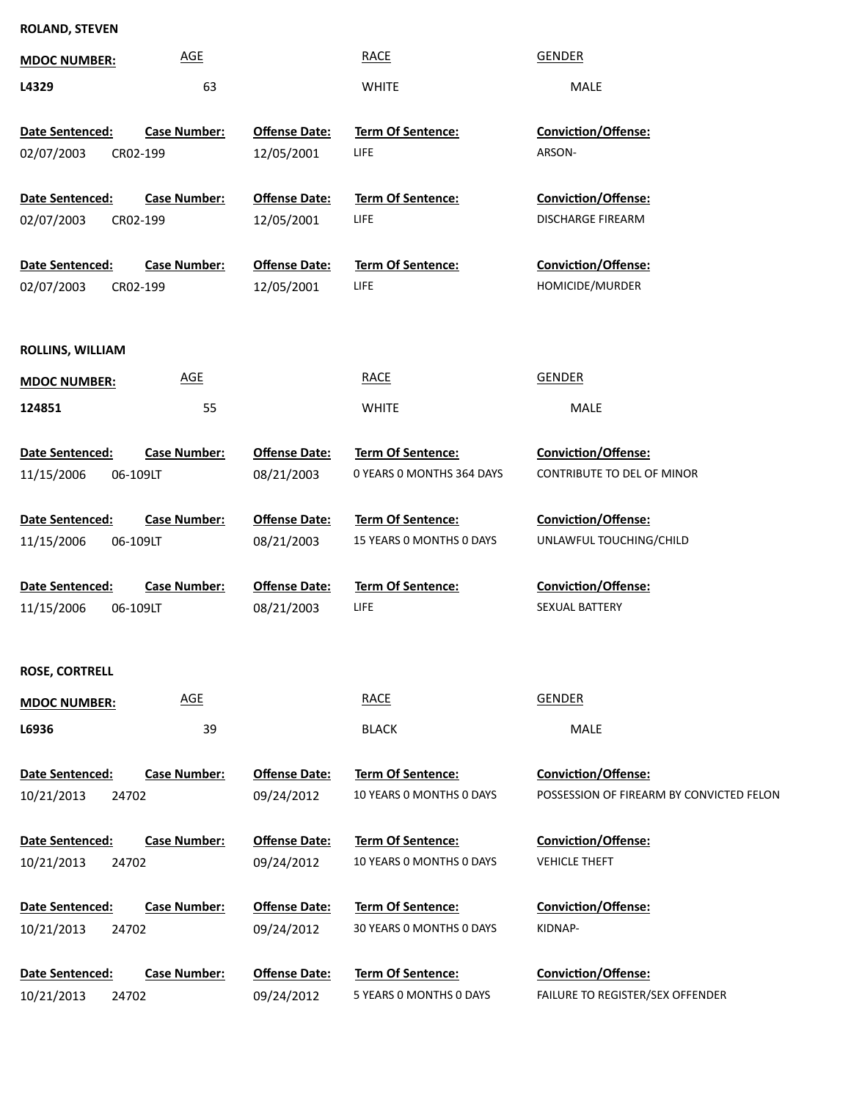## **ROLAND, STEVEN**

| <b>MDOC NUMBER:</b>    | <b>AGE</b>          |                      | <b>RACE</b>               | <b>GENDER</b>                                                   |
|------------------------|---------------------|----------------------|---------------------------|-----------------------------------------------------------------|
| L4329                  | 63                  |                      | <b>WHITE</b>              | MALE                                                            |
| Date Sentenced:        | <b>Case Number:</b> | <b>Offense Date:</b> | Term Of Sentence:         | Conviction/Offense:                                             |
| 02/07/2003<br>CR02-199 |                     | 12/05/2001           | LIFE                      | ARSON-                                                          |
|                        |                     |                      |                           |                                                                 |
| Date Sentenced:        | <b>Case Number:</b> | <b>Offense Date:</b> | Term Of Sentence:         | Conviction/Offense:                                             |
| 02/07/2003<br>CR02-199 |                     | 12/05/2001           | LIFE                      | DISCHARGE FIREARM                                               |
| Date Sentenced:        | <b>Case Number:</b> | <b>Offense Date:</b> | Term Of Sentence:         | Conviction/Offense:                                             |
| 02/07/2003<br>CR02-199 |                     | 12/05/2001           | LIFE                      | HOMICIDE/MURDER                                                 |
|                        |                     |                      |                           |                                                                 |
| ROLLINS, WILLIAM       |                     |                      |                           |                                                                 |
| <b>MDOC NUMBER:</b>    | <b>AGE</b>          |                      | <b>RACE</b>               | GENDER                                                          |
| 124851                 | 55                  |                      | <b>WHITE</b>              | MALE                                                            |
|                        |                     |                      |                           |                                                                 |
| Date Sentenced:        | <b>Case Number:</b> | <b>Offense Date:</b> | Term Of Sentence:         | <b>Conviction/Offense:</b>                                      |
| 11/15/2006<br>06-109LT |                     | 08/21/2003           | 0 YEARS 0 MONTHS 364 DAYS | CONTRIBUTE TO DEL OF MINOR                                      |
| Date Sentenced:        | <b>Case Number:</b> | <b>Offense Date:</b> | Term Of Sentence:         | <b>Conviction/Offense:</b>                                      |
| 11/15/2006<br>06-109LT |                     | 08/21/2003           | 15 YEARS 0 MONTHS 0 DAYS  | UNLAWFUL TOUCHING/CHILD                                         |
|                        |                     |                      |                           |                                                                 |
| Date Sentenced:        | <b>Case Number:</b> | <b>Offense Date:</b> | <b>Term Of Sentence:</b>  | Conviction/Offense:                                             |
| 11/15/2006<br>06-109LT |                     | 08/21/2003           | LIFE                      | SEXUAL BATTERY                                                  |
|                        |                     |                      |                           |                                                                 |
| <b>ROSE, CORTRELL</b>  |                     |                      |                           |                                                                 |
| <b>MDOC NUMBER:</b>    | <b>AGE</b>          |                      | <b>RACE</b>               | <b>GENDER</b>                                                   |
| L6936                  | 39                  |                      | <b>BLACK</b>              | MALE                                                            |
|                        |                     |                      |                           |                                                                 |
| Date Sentenced:        | <b>Case Number:</b> | <b>Offense Date:</b> | Term Of Sentence:         | Conviction/Offense:<br>POSSESSION OF FIREARM BY CONVICTED FELON |
| 10/21/2013<br>24702    |                     | 09/24/2012           | 10 YEARS O MONTHS O DAYS  |                                                                 |
| Date Sentenced:        | Case Number:        | <b>Offense Date:</b> | Term Of Sentence:         | Conviction/Offense:                                             |
| 10/21/2013<br>24702    |                     | 09/24/2012           | 10 YEARS 0 MONTHS 0 DAYS  | <b>VEHICLE THEFT</b>                                            |
|                        |                     |                      |                           |                                                                 |
| Date Sentenced:        | <b>Case Number:</b> | <b>Offense Date:</b> | Term Of Sentence:         | <b>Conviction/Offense:</b>                                      |
| 10/21/2013<br>24702    |                     | 09/24/2012           | 30 YEARS 0 MONTHS 0 DAYS  | KIDNAP-                                                         |
| Date Sentenced:        | Case Number:        | <b>Offense Date:</b> | Term Of Sentence:         | Conviction/Offense:                                             |
| 10/21/2013<br>24702    |                     | 09/24/2012           | 5 YEARS O MONTHS O DAYS   | FAILURE TO REGISTER/SEX OFFENDER                                |
|                        |                     |                      |                           |                                                                 |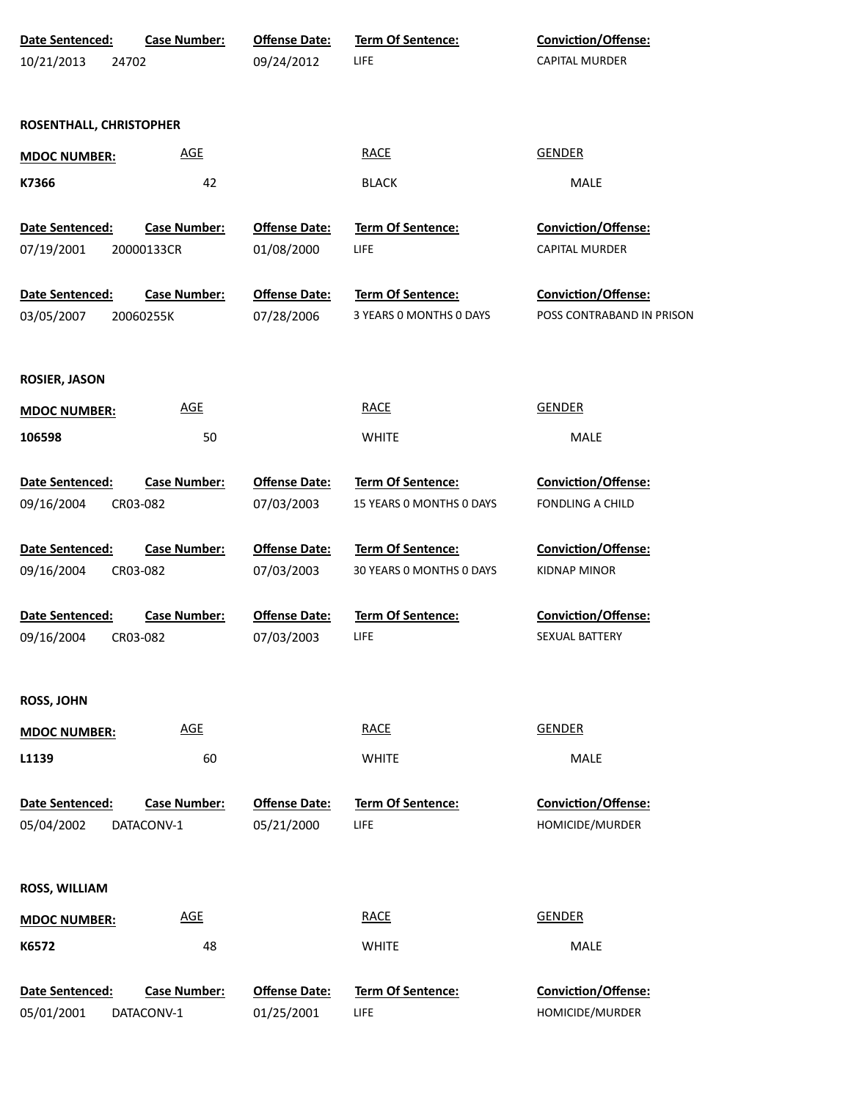| Date Sentenced:         | <b>Case Number:</b> | <b>Offense Date:</b> | Term Of Sentence:        | Conviction/Offense:       |
|-------------------------|---------------------|----------------------|--------------------------|---------------------------|
| 10/21/2013              | 24702               | 09/24/2012           | <b>LIFE</b>              | CAPITAL MURDER            |
| ROSENTHALL, CHRISTOPHER |                     |                      |                          |                           |
| <b>MDOC NUMBER:</b>     | <b>AGE</b>          |                      | <b>RACE</b>              | <b>GENDER</b>             |
| K7366                   | 42                  |                      | <b>BLACK</b>             | MALE                      |
| Date Sentenced:         | <b>Case Number:</b> | <b>Offense Date:</b> | Term Of Sentence:        | Conviction/Offense:       |
| 07/19/2001              | 20000133CR          | 01/08/2000           | LIFE                     | CAPITAL MURDER            |
| Date Sentenced:         | <b>Case Number:</b> | <b>Offense Date:</b> | Term Of Sentence:        | Conviction/Offense:       |
| 03/05/2007              | 20060255K           | 07/28/2006           | 3 YEARS 0 MONTHS 0 DAYS  | POSS CONTRABAND IN PRISON |
| <b>ROSIER, JASON</b>    |                     |                      |                          |                           |
| <b>MDOC NUMBER:</b>     | <b>AGE</b>          |                      | <b>RACE</b>              | <b>GENDER</b>             |
| 106598                  | 50                  |                      | <b>WHITE</b>             | MALE                      |
| Date Sentenced:         | <b>Case Number:</b> | <b>Offense Date:</b> | Term Of Sentence:        | Conviction/Offense:       |
| 09/16/2004              | CR03-082            | 07/03/2003           | 15 YEARS 0 MONTHS 0 DAYS | <b>FONDLING A CHILD</b>   |
| Date Sentenced:         | <b>Case Number:</b> | <b>Offense Date:</b> | Term Of Sentence:        | Conviction/Offense:       |
| 09/16/2004              | CR03-082            | 07/03/2003           | 30 YEARS 0 MONTHS 0 DAYS | <b>KIDNAP MINOR</b>       |
| Date Sentenced:         | <b>Case Number:</b> | <b>Offense Date:</b> | Term Of Sentence:        | Conviction/Offense:       |
| 09/16/2004              | CR03-082            | 07/03/2003           | LIFE                     | SEXUAL BATTERY            |
| <b>ROSS, JOHN</b>       |                     |                      |                          |                           |
| <b>MDOC NUMBER:</b>     | <b>AGE</b>          |                      | <b>RACE</b>              | <b>GENDER</b>             |
| L1139                   | 60                  |                      | <b>WHITE</b>             | MALE                      |
| Date Sentenced:         | <b>Case Number:</b> | <b>Offense Date:</b> | <b>Term Of Sentence:</b> | Conviction/Offense:       |
| 05/04/2002              | DATACONV-1          | 05/21/2000           | <b>LIFE</b>              | HOMICIDE/MURDER           |
| <b>ROSS, WILLIAM</b>    |                     |                      |                          |                           |
| <b>MDOC NUMBER:</b>     | <b>AGE</b>          |                      | <b>RACE</b>              | <b>GENDER</b>             |
| K6572                   | 48                  |                      | <b>WHITE</b>             | MALE                      |
| Date Sentenced:         | <b>Case Number:</b> | <b>Offense Date:</b> | <b>Term Of Sentence:</b> | Conviction/Offense:       |
| 05/01/2001              | DATACONV-1          | 01/25/2001           | <b>LIFE</b>              | HOMICIDE/MURDER           |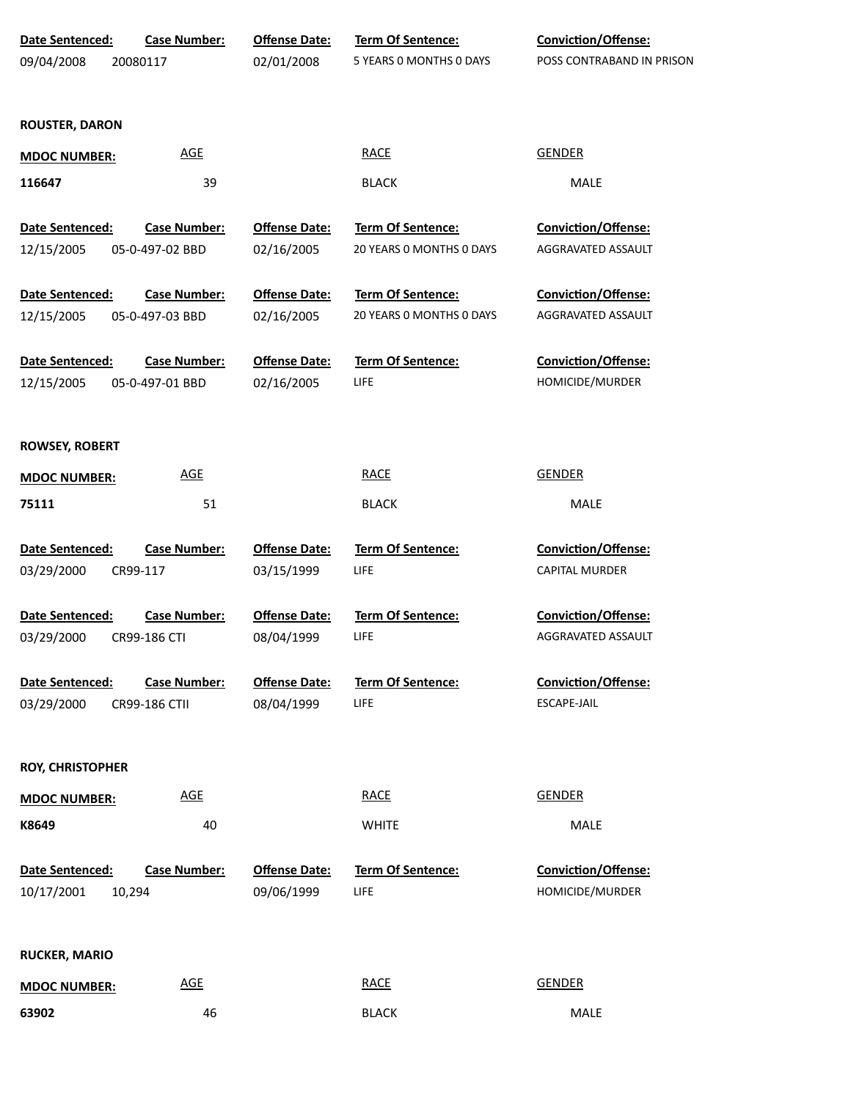| Date Sentenced:         | <b>Case Number:</b>        | <b>Offense Date:</b> | <b>Term Of Sentence:</b> | Conviction/Offense:        |
|-------------------------|----------------------------|----------------------|--------------------------|----------------------------|
| 09/04/2008              | 20080117                   | 02/01/2008           | 5 YEARS 0 MONTHS 0 DAYS  | POSS CONTRABAND IN PRISON  |
|                         |                            |                      |                          |                            |
| <b>ROUSTER, DARON</b>   |                            |                      |                          |                            |
| <b>MDOC NUMBER:</b>     | <b>AGE</b>                 |                      | <b>RACE</b>              | <b>GENDER</b>              |
| 116647                  | 39                         |                      | <b>BLACK</b>             | MALE                       |
|                         |                            |                      |                          |                            |
| <b>Date Sentenced:</b>  | <b>Case Number:</b>        | <b>Offense Date:</b> | <b>Term Of Sentence:</b> | Conviction/Offense:        |
| 12/15/2005              | 05-0-497-02 BBD            | 02/16/2005           | 20 YEARS 0 MONTHS 0 DAYS | AGGRAVATED ASSAULT         |
| Date Sentenced:         | <b>Case Number:</b>        | <b>Offense Date:</b> | Term Of Sentence:        | Conviction/Offense:        |
| 12/15/2005              | 05-0-497-03 BBD            | 02/16/2005           | 20 YEARS 0 MONTHS 0 DAYS | AGGRAVATED ASSAULT         |
|                         |                            |                      |                          |                            |
| <b>Date Sentenced:</b>  | <b>Case Number:</b>        | <b>Offense Date:</b> | <b>Term Of Sentence:</b> | Conviction/Offense:        |
| 12/15/2005              | 05-0-497-01 BBD            | 02/16/2005           | LIFE                     | HOMICIDE/MURDER            |
|                         |                            |                      |                          |                            |
|                         |                            |                      |                          |                            |
| <b>ROWSEY, ROBERT</b>   |                            |                      |                          |                            |
| <b>MDOC NUMBER:</b>     | $\underline{\mathsf{AGE}}$ |                      | <b>RACE</b>              | <b>GENDER</b>              |
| 75111                   | 51                         |                      | <b>BLACK</b>             | MALE                       |
| Date Sentenced:         | <b>Case Number:</b>        | <b>Offense Date:</b> | Term Of Sentence:        | Conviction/Offense:        |
| 03/29/2000              | CR99-117                   | 03/15/1999           | <b>LIFE</b>              | <b>CAPITAL MURDER</b>      |
|                         |                            |                      |                          |                            |
| Date Sentenced:         | <b>Case Number:</b>        | <b>Offense Date:</b> | Term Of Sentence:        | Conviction/Offense:        |
| 03/29/2000              | CR99-186 CTI               | 08/04/1999           | LIFE                     | AGGRAVATED ASSAULT         |
|                         |                            |                      |                          |                            |
| <b>Date Sentenced:</b>  | <b>Case Number:</b>        | <b>Offense Date:</b> | <b>Term Of Sentence:</b> | <b>Conviction/Offense:</b> |
| 03/29/2000              | CR99-186 CTII              | 08/04/1999           | LIFE                     | ESCAPE-JAIL                |
|                         |                            |                      |                          |                            |
| <b>ROY, CHRISTOPHER</b> |                            |                      |                          |                            |
| <b>MDOC NUMBER:</b>     | <b>AGE</b>                 |                      | <b>RACE</b>              | <b>GENDER</b>              |
| K8649                   | 40                         |                      | <b>WHITE</b>             | MALE                       |
|                         |                            |                      |                          |                            |
| Date Sentenced:         | <b>Case Number:</b>        | <b>Offense Date:</b> | <b>Term Of Sentence:</b> | <b>Conviction/Offense:</b> |
| 10/17/2001              | 10,294                     | 09/06/1999           | LIFE                     | HOMICIDE/MURDER            |
|                         |                            |                      |                          |                            |
| <b>RUCKER, MARIO</b>    |                            |                      |                          |                            |
| <b>MDOC NUMBER:</b>     | <b>AGE</b>                 |                      | <b>RACE</b>              | <b>GENDER</b>              |
| 63902                   | 46                         |                      | <b>BLACK</b>             | MALE                       |
|                         |                            |                      |                          |                            |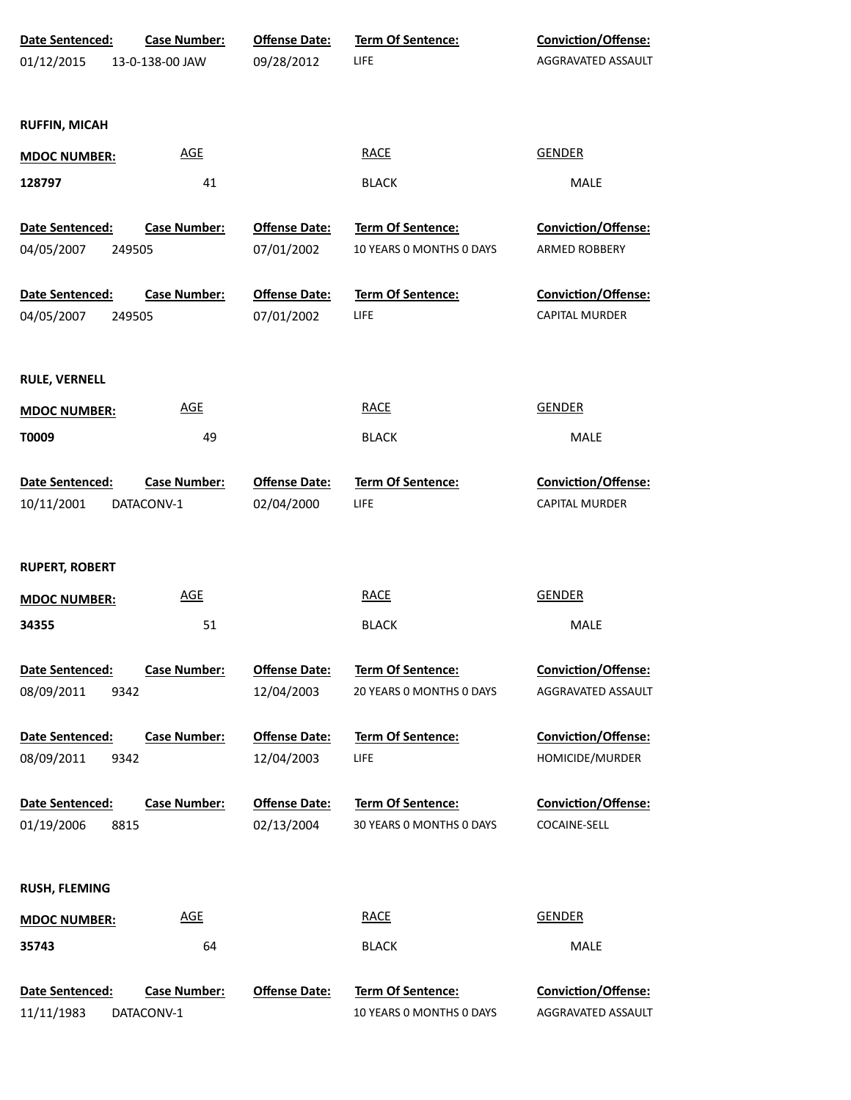| Date Sentenced:       | <b>Case Number:</b> | <b>Offense Date:</b> | Term Of Sentence:        | Conviction/Offense:        |
|-----------------------|---------------------|----------------------|--------------------------|----------------------------|
| 01/12/2015            | 13-0-138-00 JAW     | 09/28/2012           | LIFE                     | AGGRAVATED ASSAULT         |
|                       |                     |                      |                          |                            |
|                       |                     |                      |                          |                            |
| <b>RUFFIN, MICAH</b>  |                     |                      |                          |                            |
| <b>MDOC NUMBER:</b>   | <b>AGE</b>          |                      | <b>RACE</b>              | <b>GENDER</b>              |
| 128797                | 41                  |                      | <b>BLACK</b>             | MALE                       |
|                       |                     |                      |                          |                            |
| Date Sentenced:       | <b>Case Number:</b> | <b>Offense Date:</b> | Term Of Sentence:        | Conviction/Offense:        |
| 04/05/2007<br>249505  |                     | 07/01/2002           | 10 YEARS 0 MONTHS 0 DAYS | ARMED ROBBERY              |
|                       |                     |                      |                          |                            |
| Date Sentenced:       | <b>Case Number:</b> | <b>Offense Date:</b> | Term Of Sentence:        | Conviction/Offense:        |
| 04/05/2007<br>249505  |                     | 07/01/2002           | LIFE                     | <b>CAPITAL MURDER</b>      |
|                       |                     |                      |                          |                            |
| <b>RULE, VERNELL</b>  |                     |                      |                          |                            |
| <b>MDOC NUMBER:</b>   | <b>AGE</b>          |                      | <b>RACE</b>              | <b>GENDER</b>              |
| T0009                 | 49                  |                      | <b>BLACK</b>             | MALE                       |
|                       |                     |                      |                          |                            |
| Date Sentenced:       | <b>Case Number:</b> | <b>Offense Date:</b> | Term Of Sentence:        | Conviction/Offense:        |
| 10/11/2001            | DATACONV-1          | 02/04/2000           | LIFE                     | <b>CAPITAL MURDER</b>      |
|                       |                     |                      |                          |                            |
| <b>RUPERT, ROBERT</b> |                     |                      |                          |                            |
| <b>MDOC NUMBER:</b>   | <b>AGE</b>          |                      | <b>RACE</b>              | <b>GENDER</b>              |
| 34355                 |                     |                      |                          |                            |
|                       | 51                  |                      | <b>BLACK</b>             | MALE                       |
| Date Sentenced:       | <b>Case Number:</b> | <b>Offense Date:</b> | <b>Term Of Sentence:</b> | <b>Conviction/Offense:</b> |
| 08/09/2011<br>9342    |                     | 12/04/2003           | 20 YEARS O MONTHS O DAYS | AGGRAVATED ASSAULT         |
|                       |                     |                      |                          |                            |
| Date Sentenced:       | <b>Case Number:</b> | <b>Offense Date:</b> | <b>Term Of Sentence:</b> | <b>Conviction/Offense:</b> |
| 08/09/2011<br>9342    |                     | 12/04/2003           | LIFE                     | HOMICIDE/MURDER            |
|                       |                     |                      |                          |                            |
| Date Sentenced:       | <b>Case Number:</b> | <b>Offense Date:</b> | <b>Term Of Sentence:</b> | <b>Conviction/Offense:</b> |
| 01/19/2006<br>8815    |                     | 02/13/2004           | 30 YEARS O MONTHS O DAYS | COCAINE-SELL               |
|                       |                     |                      |                          |                            |
| <b>RUSH, FLEMING</b>  |                     |                      |                          |                            |
| <b>MDOC NUMBER:</b>   | <b>AGE</b>          |                      | <b>RACE</b>              | <b>GENDER</b>              |
| 35743                 | 64                  |                      | <b>BLACK</b>             | MALE                       |
|                       |                     |                      |                          |                            |
| Date Sentenced:       | <b>Case Number:</b> | <b>Offense Date:</b> | <b>Term Of Sentence:</b> | <b>Conviction/Offense:</b> |
| 11/11/1983            | DATACONV-1          |                      | 10 YEARS O MONTHS O DAYS | AGGRAVATED ASSAULT         |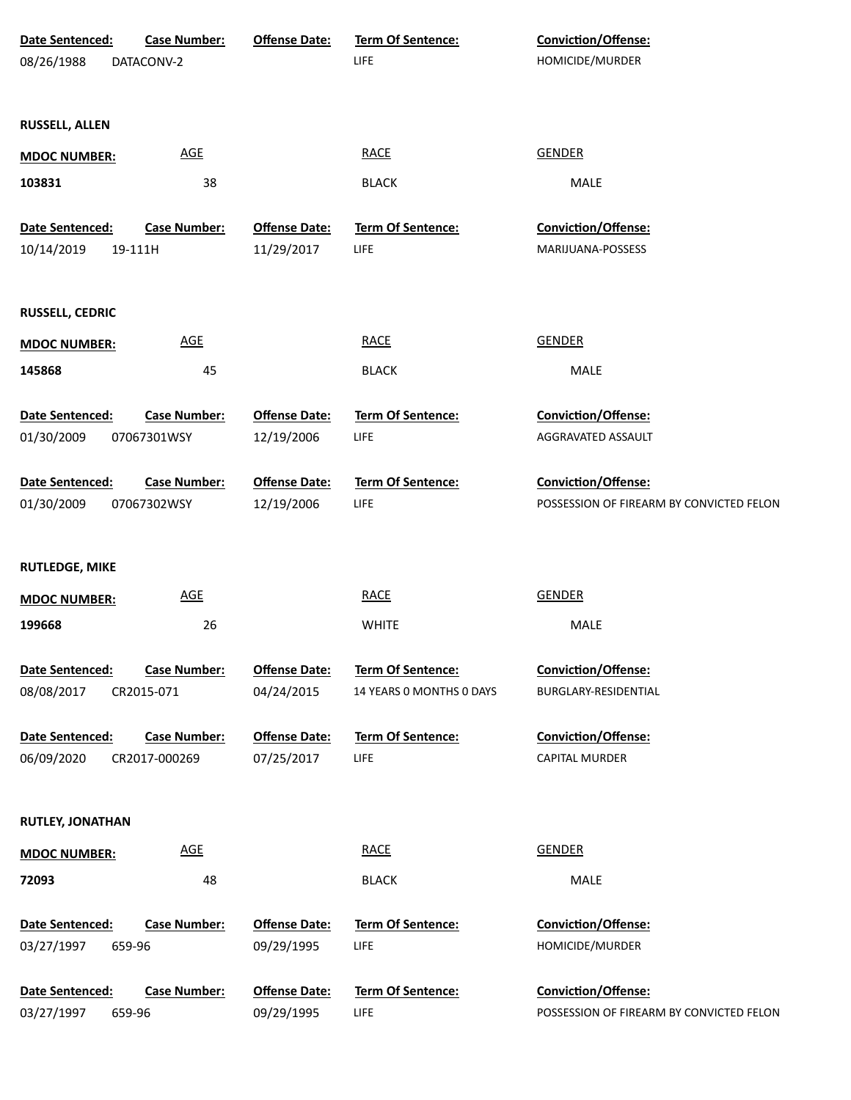| Date Sentenced:               | <b>Case Number:</b> | <b>Offense Date:</b> | <b>Term Of Sentence:</b> | <b>Conviction/Offense:</b>               |
|-------------------------------|---------------------|----------------------|--------------------------|------------------------------------------|
| 08/26/1988                    | DATACONV-2          |                      | LIFE                     | HOMICIDE/MURDER                          |
|                               |                     |                      |                          |                                          |
| RUSSELL, ALLEN                |                     |                      |                          |                                          |
| <b>MDOC NUMBER:</b>           | <b>AGE</b>          |                      | <b>RACE</b>              | <b>GENDER</b>                            |
|                               |                     |                      |                          |                                          |
| 103831                        | 38                  |                      | <b>BLACK</b>             | MALE                                     |
| Date Sentenced:               | <b>Case Number:</b> | <b>Offense Date:</b> | Term Of Sentence:        | Conviction/Offense:                      |
| 10/14/2019                    | 19-111H             | 11/29/2017           | LIFE                     | MARIJUANA-POSSESS                        |
|                               |                     |                      |                          |                                          |
| <b>RUSSELL, CEDRIC</b>        |                     |                      |                          |                                          |
| <b>MDOC NUMBER:</b>           | <b>AGE</b>          |                      | <b>RACE</b>              | <b>GENDER</b>                            |
| 145868                        | 45                  |                      | <b>BLACK</b>             | MALE                                     |
|                               |                     |                      |                          |                                          |
| Date Sentenced:               | <b>Case Number:</b> | <b>Offense Date:</b> | <b>Term Of Sentence:</b> | Conviction/Offense:                      |
| 01/30/2009                    | 07067301WSY         | 12/19/2006           | <b>LIFE</b>              | AGGRAVATED ASSAULT                       |
| Date Sentenced:               | <b>Case Number:</b> | <b>Offense Date:</b> | Term Of Sentence:        | Conviction/Offense:                      |
| 01/30/2009                    | 07067302WSY         | 12/19/2006           | <b>LIFE</b>              | POSSESSION OF FIREARM BY CONVICTED FELON |
|                               |                     |                      |                          |                                          |
| <b>RUTLEDGE, MIKE</b>         |                     |                      |                          |                                          |
|                               | AGE                 |                      | <b>RACE</b>              | <b>GENDER</b>                            |
| <b>MDOC NUMBER:</b>           |                     |                      |                          |                                          |
| 199668                        | 26                  |                      | <b>WHITE</b>             | MALE                                     |
| Date Sentenced:               | <b>Case Number:</b> | <b>Offense Date:</b> | Term Of Sentence:        | Conviction/Offense:                      |
| 08/08/2017                    | CR2015-071          | 04/24/2015           | 14 YEARS 0 MONTHS 0 DAYS | BURGLARY-RESIDENTIAL                     |
|                               |                     |                      |                          |                                          |
| Date Sentenced:<br>06/09/2020 | <b>Case Number:</b> | <b>Offense Date:</b> | <b>Term Of Sentence:</b> | Conviction/Offense:                      |
|                               | CR2017-000269       | 07/25/2017           | LIFE                     | CAPITAL MURDER                           |
|                               |                     |                      |                          |                                          |
| <b>RUTLEY, JONATHAN</b>       |                     |                      |                          |                                          |
| <b>MDOC NUMBER:</b>           | AGE                 |                      | <b>RACE</b>              | <b>GENDER</b>                            |
| 72093                         | 48                  |                      | <b>BLACK</b>             | MALE                                     |
| Date Sentenced:               | <b>Case Number:</b> | <b>Offense Date:</b> | Term Of Sentence:        | <b>Conviction/Offense:</b>               |
| 03/27/1997                    | 659-96              | 09/29/1995           | LIFE                     | HOMICIDE/MURDER                          |
|                               |                     |                      |                          |                                          |
| Date Sentenced:               | <b>Case Number:</b> | <b>Offense Date:</b> | Term Of Sentence:        | <b>Conviction/Offense:</b>               |
| 03/27/1997                    | 659-96              | 09/29/1995           | <b>LIFE</b>              | POSSESSION OF FIREARM BY CONVICTED FELON |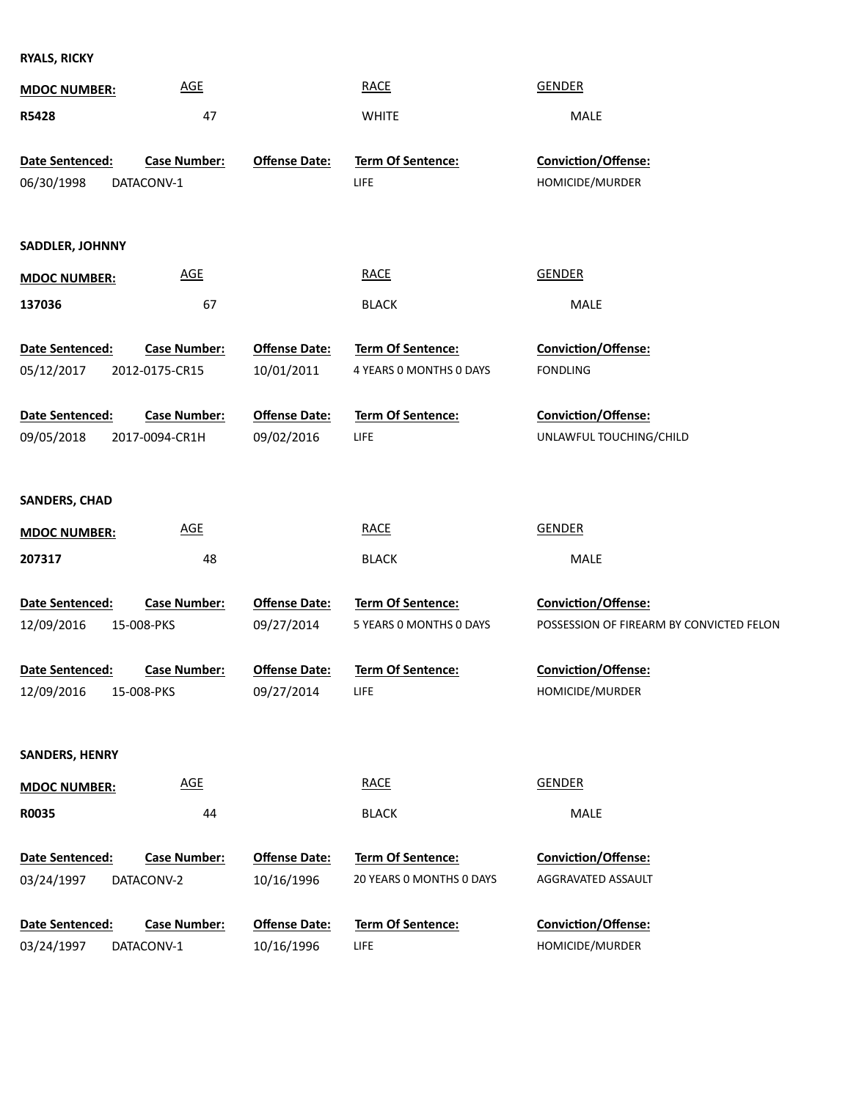**RYALS, RICKY**

| POSSESSION OF FIREARM BY CONVICTED FELON |
|------------------------------------------|
|                                          |
|                                          |
|                                          |
|                                          |
|                                          |
|                                          |
|                                          |
|                                          |
|                                          |
|                                          |
|                                          |
|                                          |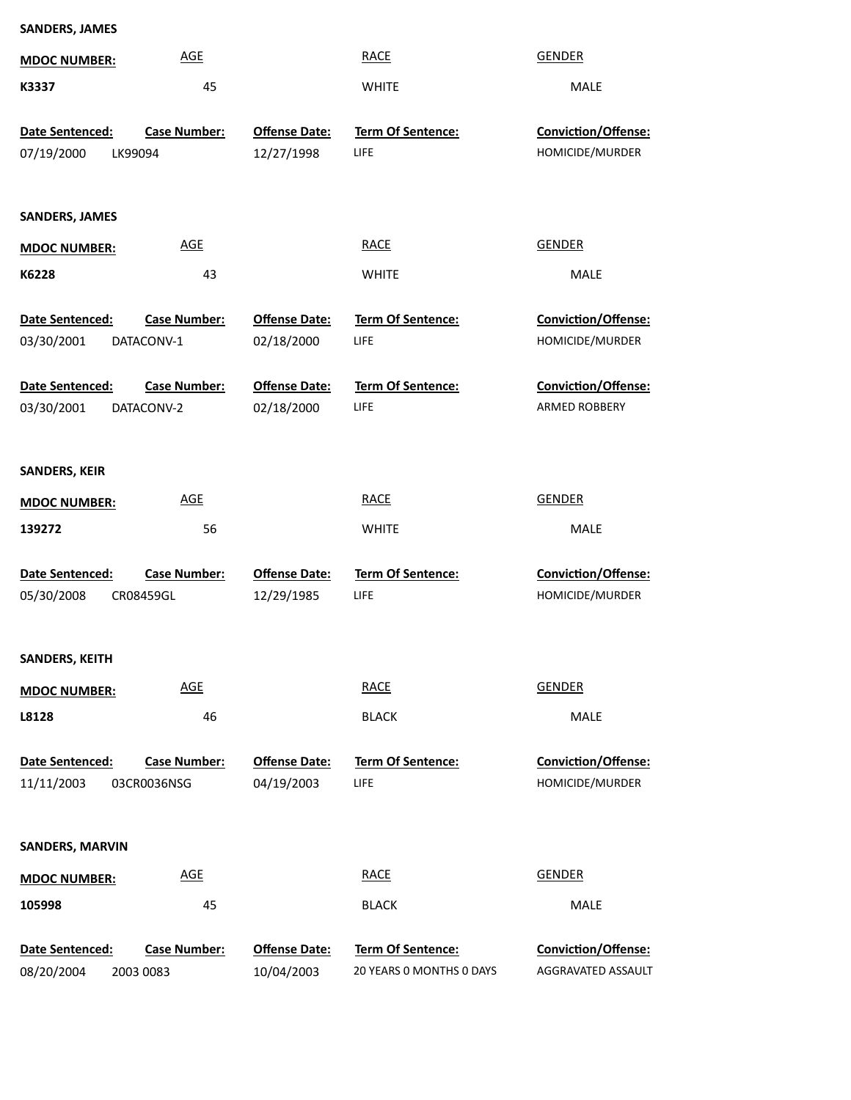| <b>SANDERS, JAMES</b>  |                     |                      |                          |                     |
|------------------------|---------------------|----------------------|--------------------------|---------------------|
| <b>MDOC NUMBER:</b>    | <b>AGE</b>          |                      | <b>RACE</b>              | <b>GENDER</b>       |
| K3337                  | 45                  |                      | <b>WHITE</b>             | MALE                |
| Date Sentenced:        | <b>Case Number:</b> | <b>Offense Date:</b> | Term Of Sentence:        | Conviction/Offense: |
| 07/19/2000<br>LK99094  |                     | 12/27/1998           | <b>LIFE</b>              | HOMICIDE/MURDER     |
|                        |                     |                      |                          |                     |
| <b>SANDERS, JAMES</b>  |                     |                      |                          |                     |
| <b>MDOC NUMBER:</b>    | <b>AGE</b>          |                      | <b>RACE</b>              | <b>GENDER</b>       |
| K6228                  | 43                  |                      | <b>WHITE</b>             | MALE                |
| Date Sentenced:        | <b>Case Number:</b> | <b>Offense Date:</b> | Term Of Sentence:        | Conviction/Offense: |
| 03/30/2001             | DATACONV-1          | 02/18/2000           | LIFE                     | HOMICIDE/MURDER     |
|                        |                     |                      |                          |                     |
| Date Sentenced:        | <b>Case Number:</b> | <b>Offense Date:</b> | <b>Term Of Sentence:</b> | Conviction/Offense: |
| 03/30/2001             | DATACONV-2          | 02/18/2000           | LIFE                     | ARMED ROBBERY       |
|                        |                     |                      |                          |                     |
| <b>SANDERS, KEIR</b>   |                     |                      |                          |                     |
| <b>MDOC NUMBER:</b>    | <b>AGE</b>          |                      | <b>RACE</b>              | <b>GENDER</b>       |
| 139272                 | 56                  |                      | <b>WHITE</b>             | MALE                |
| Date Sentenced:        | <b>Case Number:</b> | <b>Offense Date:</b> | Term Of Sentence:        | Conviction/Offense: |
| 05/30/2008             | CR08459GL           | 12/29/1985           | LIFE                     | HOMICIDE/MURDER     |
|                        |                     |                      |                          |                     |
| <b>SANDERS, KEITH</b>  |                     |                      |                          |                     |
| <b>MDOC NUMBER:</b>    | <b>AGE</b>          |                      | <b>RACE</b>              | <b>GENDER</b>       |
| L8128                  | 46                  |                      | <b>BLACK</b>             | MALE                |
| Date Sentenced:        | <b>Case Number:</b> | <b>Offense Date:</b> | Term Of Sentence:        | Conviction/Offense: |
| 11/11/2003             | 03CR0036NSG         | 04/19/2003           | LIFE                     | HOMICIDE/MURDER     |
|                        |                     |                      |                          |                     |
| <b>SANDERS, MARVIN</b> |                     |                      |                          |                     |
| <b>MDOC NUMBER:</b>    | <b>AGE</b>          |                      | <b>RACE</b>              | <b>GENDER</b>       |
| 105998                 | 45                  |                      | <b>BLACK</b>             | MALE                |
| Date Sentenced:        | <b>Case Number:</b> | <b>Offense Date:</b> | Term Of Sentence:        | Conviction/Offense: |
| 08/20/2004             | 2003 0083           | 10/04/2003           | 20 YEARS O MONTHS O DAYS | AGGRAVATED ASSAULT  |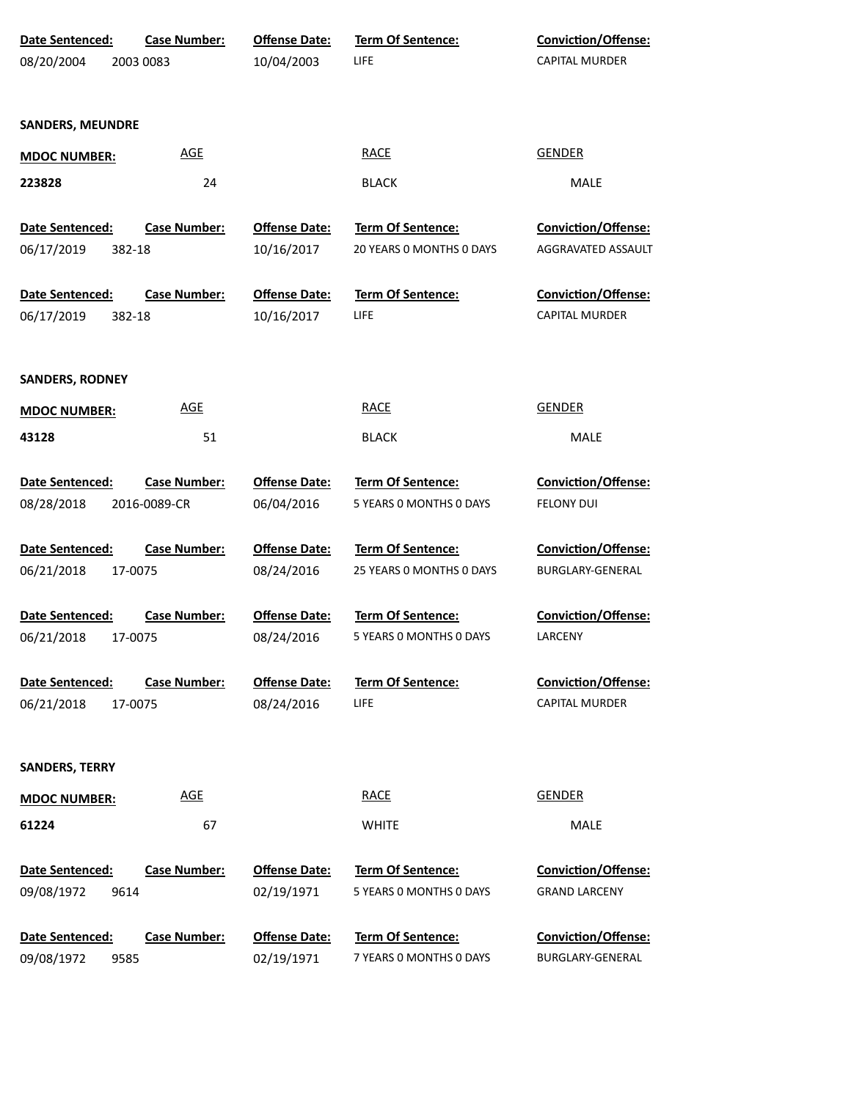| Date Sentenced:               | <b>Case Number:</b> | <b>Offense Date:</b>               | Term Of Sentence:                            | Conviction/Offense:                            |
|-------------------------------|---------------------|------------------------------------|----------------------------------------------|------------------------------------------------|
| 08/20/2004                    | 2003 0083           | 10/04/2003                         | LIFE                                         | <b>CAPITAL MURDER</b>                          |
|                               |                     |                                    |                                              |                                                |
|                               |                     |                                    |                                              |                                                |
| <b>SANDERS, MEUNDRE</b>       |                     |                                    |                                              |                                                |
| <b>MDOC NUMBER:</b>           | <b>AGE</b>          |                                    | <b>RACE</b>                                  | <b>GENDER</b>                                  |
| 223828                        | 24                  |                                    | <b>BLACK</b>                                 | MALE                                           |
|                               |                     |                                    |                                              |                                                |
| Date Sentenced:               | <b>Case Number:</b> | <b>Offense Date:</b>               | Term Of Sentence:                            | Conviction/Offense:                            |
| 06/17/2019<br>382-18          |                     | 10/16/2017                         | 20 YEARS O MONTHS O DAYS                     | AGGRAVATED ASSAULT                             |
|                               |                     |                                    |                                              |                                                |
| Date Sentenced:               | <b>Case Number:</b> | <b>Offense Date:</b>               | Term Of Sentence:                            | Conviction/Offense:                            |
| 06/17/2019<br>382-18          |                     | 10/16/2017                         | <b>LIFE</b>                                  | CAPITAL MURDER                                 |
|                               |                     |                                    |                                              |                                                |
|                               |                     |                                    |                                              |                                                |
| <b>SANDERS, RODNEY</b>        |                     |                                    |                                              |                                                |
| <b>MDOC NUMBER:</b>           | <b>AGE</b>          |                                    | <b>RACE</b>                                  | <b>GENDER</b>                                  |
| 43128                         | 51                  |                                    | <b>BLACK</b>                                 | MALE                                           |
|                               |                     |                                    |                                              |                                                |
| Date Sentenced:               | <b>Case Number:</b> | <b>Offense Date:</b>               | Term Of Sentence:                            | Conviction/Offense:                            |
| 08/28/2018                    | 2016-0089-CR        | 06/04/2016                         | 5 YEARS 0 MONTHS 0 DAYS                      | <b>FELONY DUI</b>                              |
|                               |                     |                                    |                                              |                                                |
| Date Sentenced:               | <b>Case Number:</b> | <b>Offense Date:</b>               | Term Of Sentence:                            | <b>Conviction/Offense:</b>                     |
| 06/21/2018<br>17-0075         |                     | 08/24/2016                         | 25 YEARS 0 MONTHS 0 DAYS                     | BURGLARY-GENERAL                               |
|                               |                     |                                    |                                              |                                                |
| Date Sentenced:               | <b>Case Number:</b> | <b>Offense Date:</b>               | <b>Term Of Sentence:</b>                     | Conviction/Offense:                            |
| 06/21/2018<br>17-0075         |                     | 08/24/2016                         | 5 YEARS 0 MONTHS 0 DAYS                      | LARCENY                                        |
|                               |                     |                                    |                                              |                                                |
| Date Sentenced:               | <b>Case Number:</b> | <b>Offense Date:</b>               | Term Of Sentence:                            | Conviction/Offense:                            |
| 06/21/2018<br>17-0075         |                     | 08/24/2016                         | <b>LIFE</b>                                  | <b>CAPITAL MURDER</b>                          |
|                               |                     |                                    |                                              |                                                |
| <b>SANDERS, TERRY</b>         |                     |                                    |                                              |                                                |
|                               | <b>AGE</b>          |                                    | <b>RACE</b>                                  | <b>GENDER</b>                                  |
| <b>MDOC NUMBER:</b>           |                     |                                    |                                              |                                                |
| 61224                         | 67                  |                                    | <b>WHITE</b>                                 | MALE                                           |
|                               |                     |                                    |                                              |                                                |
| Date Sentenced:               | <b>Case Number:</b> | <b>Offense Date:</b>               | Term Of Sentence:                            | <b>Conviction/Offense:</b>                     |
| 09/08/1972<br>9614            |                     | 02/19/1971                         | 5 YEARS 0 MONTHS 0 DAYS                      | <b>GRAND LARCENY</b>                           |
|                               |                     |                                    |                                              |                                                |
| Date Sentenced:<br>09/08/1972 | <b>Case Number:</b> | <b>Offense Date:</b><br>02/19/1971 | Term Of Sentence:<br>7 YEARS 0 MONTHS 0 DAYS | <b>Conviction/Offense:</b><br>BURGLARY-GENERAL |
| 9585                          |                     |                                    |                                              |                                                |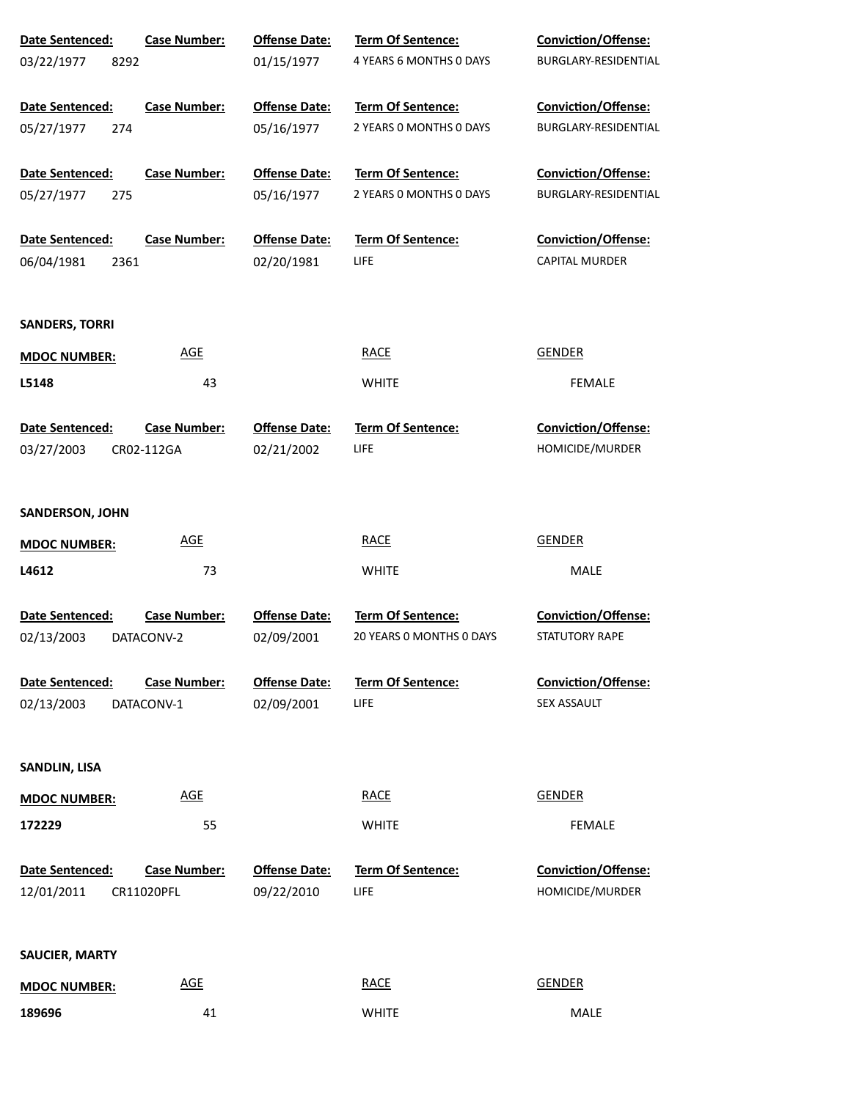| Date Sentenced:        | <b>Case Number:</b> | <b>Offense Date:</b> | Term Of Sentence:        | <b>Conviction/Offense:</b> |
|------------------------|---------------------|----------------------|--------------------------|----------------------------|
| 03/22/1977<br>8292     |                     | 01/15/1977           | 4 YEARS 6 MONTHS 0 DAYS  | BURGLARY-RESIDENTIAL       |
| Date Sentenced:        | <b>Case Number:</b> | <b>Offense Date:</b> | Term Of Sentence:        | <b>Conviction/Offense:</b> |
| 05/27/1977<br>274      |                     | 05/16/1977           | 2 YEARS 0 MONTHS 0 DAYS  | BURGLARY-RESIDENTIAL       |
|                        |                     |                      |                          |                            |
| Date Sentenced:        | <b>Case Number:</b> | <b>Offense Date:</b> | <b>Term Of Sentence:</b> | Conviction/Offense:        |
| 05/27/1977<br>275      |                     | 05/16/1977           | 2 YEARS 0 MONTHS 0 DAYS  | BURGLARY-RESIDENTIAL       |
|                        |                     |                      |                          |                            |
| Date Sentenced:        | <b>Case Number:</b> | <b>Offense Date:</b> | Term Of Sentence:        | Conviction/Offense:        |
| 06/04/1981<br>2361     |                     | 02/20/1981           | LIFE                     | <b>CAPITAL MURDER</b>      |
|                        |                     |                      |                          |                            |
| <b>SANDERS, TORRI</b>  |                     |                      |                          |                            |
| <b>MDOC NUMBER:</b>    | <b>AGE</b>          |                      | <b>RACE</b>              | <b>GENDER</b>              |
| L5148                  | 43                  |                      | <b>WHITE</b>             | <b>FEMALE</b>              |
|                        |                     |                      |                          |                            |
| Date Sentenced:        | <b>Case Number:</b> | <b>Offense Date:</b> | <b>Term Of Sentence:</b> | Conviction/Offense:        |
| 03/27/2003             | CR02-112GA          | 02/21/2002           | LIFE                     | HOMICIDE/MURDER            |
|                        |                     |                      |                          |                            |
| <b>SANDERSON, JOHN</b> |                     |                      |                          |                            |
| <b>MDOC NUMBER:</b>    | <b>AGE</b>          |                      | <b>RACE</b>              | <b>GENDER</b>              |
| L4612                  | 73                  |                      | <b>WHITE</b>             | MALE                       |
|                        |                     |                      |                          |                            |
| Date Sentenced:        | <b>Case Number:</b> | <b>Offense Date:</b> | Term Of Sentence:        | Conviction/Offense:        |
| 02/13/2003             | DATACONV-2          | 02/09/2001           | 20 YEARS O MONTHS O DAYS | STATUTORY RAPE             |
|                        |                     |                      |                          |                            |
| <b>Date Sentenced:</b> | <b>Case Number:</b> | <b>Offense Date:</b> | <b>Term Of Sentence:</b> | Conviction/Offense:        |
| 02/13/2003             | DATACONV-1          | 02/09/2001           | LIFE                     | SEX ASSAULT                |
|                        |                     |                      |                          |                            |
| <b>SANDLIN, LISA</b>   |                     |                      |                          |                            |
| <b>MDOC NUMBER:</b>    | <b>AGE</b>          |                      | <b>RACE</b>              | <b>GENDER</b>              |
| 172229                 | 55                  |                      | <b>WHITE</b>             | <b>FEMALE</b>              |
|                        |                     |                      |                          |                            |
| Date Sentenced:        | <b>Case Number:</b> | <b>Offense Date:</b> | <b>Term Of Sentence:</b> | Conviction/Offense:        |
| 12/01/2011             | CR11020PFL          | 09/22/2010           | LIFE                     | HOMICIDE/MURDER            |
|                        |                     |                      |                          |                            |
| <b>SAUCIER, MARTY</b>  |                     |                      |                          |                            |
|                        | <b>AGE</b>          |                      | <b>RACE</b>              | <b>GENDER</b>              |
| <b>MDOC NUMBER:</b>    |                     |                      |                          |                            |
| 189696                 | 41                  |                      | <b>WHITE</b>             | MALE                       |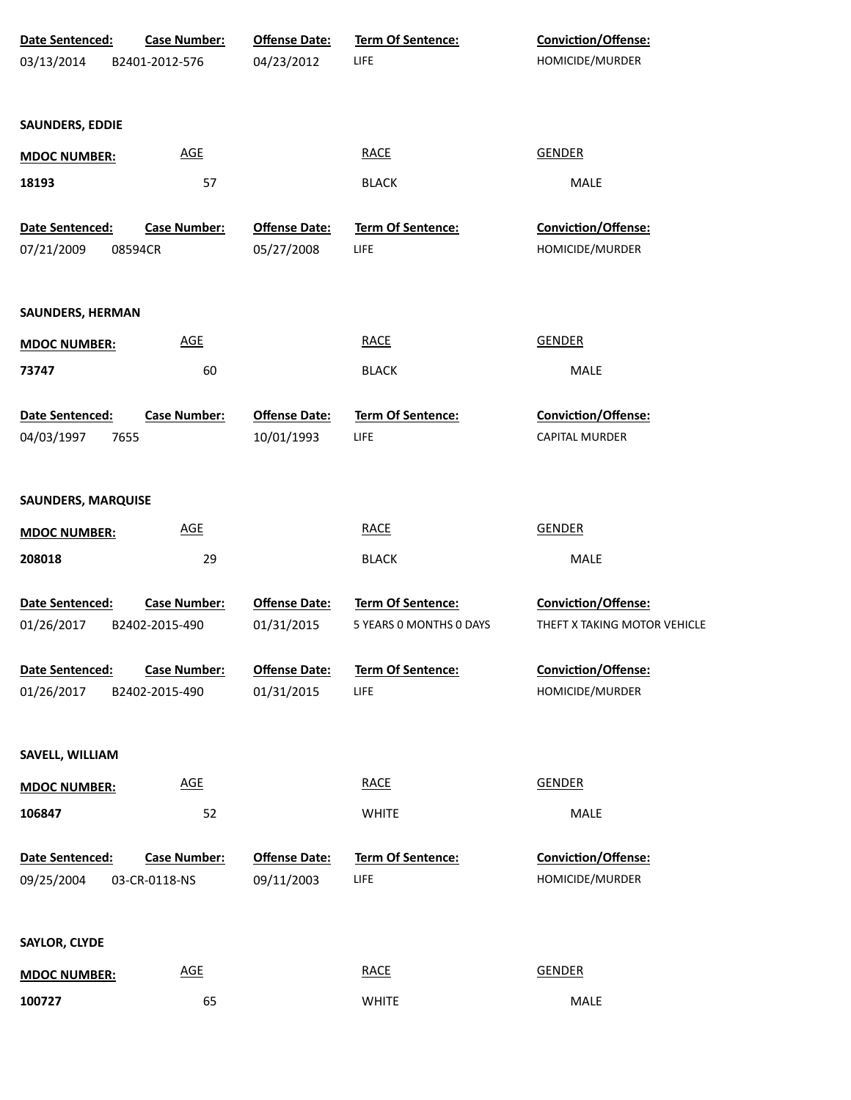| Date Sentenced:               | <b>Case Number:</b>                   | <b>Offense Date:</b>               | Term Of Sentence:                            | <b>Conviction/Offense:</b>                          |
|-------------------------------|---------------------------------------|------------------------------------|----------------------------------------------|-----------------------------------------------------|
| 03/13/2014                    | B2401-2012-576                        | 04/23/2012                         | LIFE                                         | HOMICIDE/MURDER                                     |
| <b>SAUNDERS, EDDIE</b>        |                                       |                                    |                                              |                                                     |
| <b>MDOC NUMBER:</b>           | <u>AGE</u>                            |                                    | <b>RACE</b>                                  | <b>GENDER</b>                                       |
| 18193                         | 57                                    |                                    | <b>BLACK</b>                                 | MALE                                                |
| Date Sentenced:               | <b>Case Number:</b>                   | <b>Offense Date:</b>               | <b>Term Of Sentence:</b>                     | Conviction/Offense:                                 |
| 07/21/2009                    | 08594CR                               | 05/27/2008                         | LIFE                                         | HOMICIDE/MURDER                                     |
| <b>SAUNDERS, HERMAN</b>       |                                       |                                    |                                              |                                                     |
| <b>MDOC NUMBER:</b>           | <b>AGE</b>                            |                                    | <b>RACE</b>                                  | <b>GENDER</b>                                       |
| 73747                         | 60                                    |                                    | <b>BLACK</b>                                 | MALE                                                |
| Date Sentenced:               | <b>Case Number:</b>                   | <b>Offense Date:</b>               | Term Of Sentence:                            | Conviction/Offense:                                 |
| 04/03/1997                    | 7655                                  | 10/01/1993                         | LIFE                                         | CAPITAL MURDER                                      |
| <b>SAUNDERS, MARQUISE</b>     |                                       |                                    |                                              |                                                     |
| <b>MDOC NUMBER:</b>           | <b>AGE</b>                            |                                    | <b>RACE</b>                                  | <b>GENDER</b>                                       |
| 208018                        | 29                                    |                                    | <b>BLACK</b>                                 | MALE                                                |
| Date Sentenced:<br>01/26/2017 | <b>Case Number:</b><br>B2402-2015-490 | <b>Offense Date:</b><br>01/31/2015 | Term Of Sentence:<br>5 YEARS 0 MONTHS 0 DAYS | Conviction/Offense:<br>THEFT X TAKING MOTOR VEHICLE |
| Date Sentenced:               | <b>Case Number:</b>                   | <b>Offense Date:</b>               | <b>Term Of Sentence:</b>                     | Conviction/Offense:                                 |
| 01/26/2017                    | B2402-2015-490                        | 01/31/2015                         | LIFE                                         | HOMICIDE/MURDER                                     |
| SAVELL, WILLIAM               |                                       |                                    |                                              |                                                     |
| <b>MDOC NUMBER:</b>           | <b>AGE</b>                            |                                    | <b>RACE</b>                                  | <b>GENDER</b>                                       |
| 106847                        | 52                                    |                                    | <b>WHITE</b>                                 | MALE                                                |
| Date Sentenced:               | <b>Case Number:</b>                   | <b>Offense Date:</b>               | Term Of Sentence:                            | <b>Conviction/Offense:</b>                          |
| 09/25/2004                    | 03-CR-0118-NS                         | 09/11/2003                         | LIFE                                         | HOMICIDE/MURDER                                     |
| <b>SAYLOR, CLYDE</b>          |                                       |                                    |                                              |                                                     |
| <b>MDOC NUMBER:</b>           | <b>AGE</b>                            |                                    | <b>RACE</b>                                  | <b>GENDER</b>                                       |
| 100727                        | 65                                    |                                    | <b>WHITE</b>                                 | MALE                                                |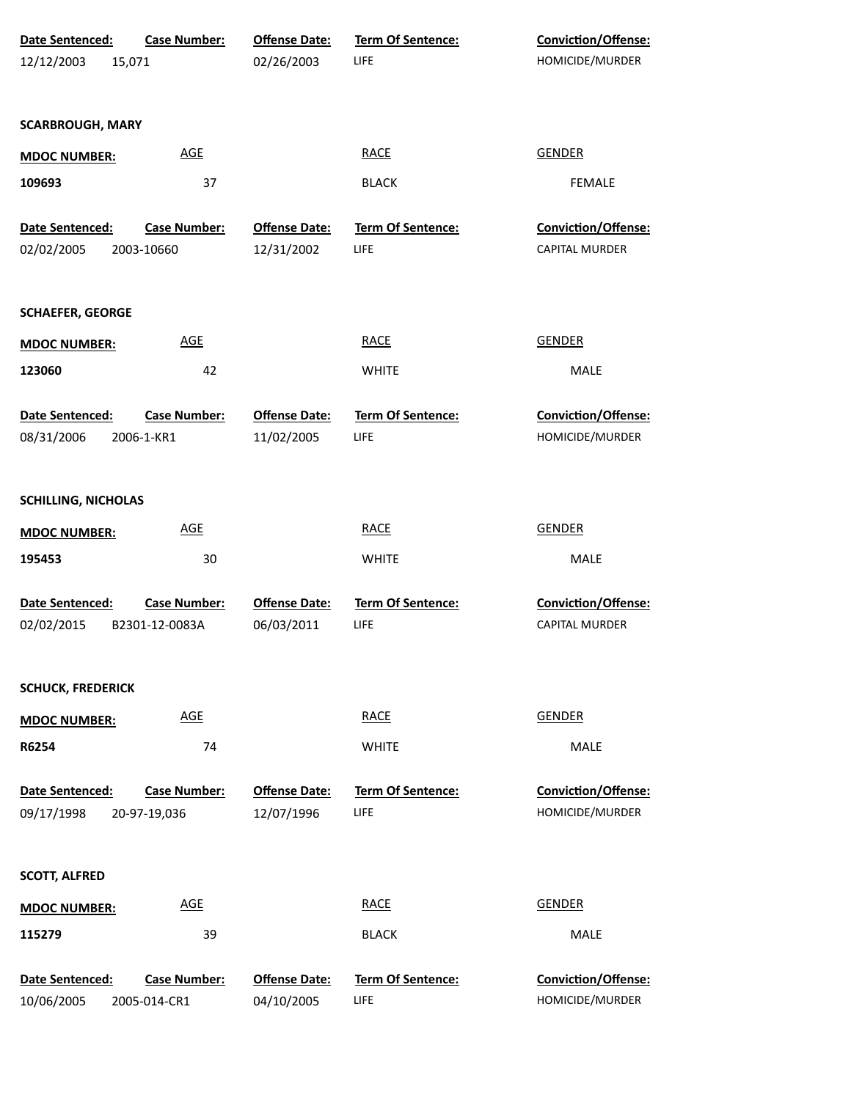| Date Sentenced:               | Case Number:                          | <b>Offense Date:</b>               | Term Of Sentence:                | Conviction/Offense:                           |
|-------------------------------|---------------------------------------|------------------------------------|----------------------------------|-----------------------------------------------|
| 12/12/2003                    | 15,071                                | 02/26/2003                         | LIFE                             | HOMICIDE/MURDER                               |
| <b>SCARBROUGH, MARY</b>       |                                       |                                    |                                  |                                               |
| <b>MDOC NUMBER:</b>           | <b>AGE</b>                            |                                    | <b>RACE</b>                      | <b>GENDER</b>                                 |
| 109693                        | 37                                    |                                    | <b>BLACK</b>                     | <b>FEMALE</b>                                 |
| Date Sentenced:               | <b>Case Number:</b>                   | <b>Offense Date:</b>               | Term Of Sentence:                | <b>Conviction/Offense:</b>                    |
| 02/02/2005                    | 2003-10660                            | 12/31/2002                         | LIFE                             | <b>CAPITAL MURDER</b>                         |
| <b>SCHAEFER, GEORGE</b>       |                                       |                                    |                                  |                                               |
| <b>MDOC NUMBER:</b>           | <b>AGE</b>                            |                                    | <b>RACE</b>                      | <b>GENDER</b>                                 |
| 123060                        | 42                                    |                                    | <b>WHITE</b>                     | <b>MALE</b>                                   |
| Date Sentenced:<br>08/31/2006 | Case Number:<br>2006-1-KR1            | <b>Offense Date:</b><br>11/02/2005 | Term Of Sentence:<br>LIFE        | Conviction/Offense:<br>HOMICIDE/MURDER        |
| <b>SCHILLING, NICHOLAS</b>    |                                       |                                    |                                  |                                               |
| <b>MDOC NUMBER:</b>           | <b>AGE</b>                            |                                    | <b>RACE</b>                      | <b>GENDER</b>                                 |
| 195453                        | 30                                    |                                    | <b>WHITE</b>                     | MALE                                          |
| Date Sentenced:<br>02/02/2015 | <b>Case Number:</b><br>B2301-12-0083A | <b>Offense Date:</b><br>06/03/2011 | Term Of Sentence:<br>LIFE        | Conviction/Offense:<br><b>CAPITAL MURDER</b>  |
| <b>SCHUCK, FREDERICK</b>      |                                       |                                    |                                  |                                               |
| <b>MDOC NUMBER:</b>           | <b>AGE</b>                            |                                    | <b>RACE</b>                      | <b>GENDER</b>                                 |
| R6254                         | 74                                    |                                    | <b>WHITE</b>                     | <b>MALE</b>                                   |
| Date Sentenced:<br>09/17/1998 | <b>Case Number:</b><br>20-97-19,036   | <b>Offense Date:</b><br>12/07/1996 | <b>Term Of Sentence:</b><br>LIFE | <b>Conviction/Offense:</b><br>HOMICIDE/MURDER |
| <b>SCOTT, ALFRED</b>          |                                       |                                    |                                  |                                               |
| <b>MDOC NUMBER:</b>           | <b>AGE</b>                            |                                    | <b>RACE</b>                      | <b>GENDER</b>                                 |
| 115279                        | 39                                    |                                    | <b>BLACK</b>                     | MALE                                          |
| Date Sentenced:<br>10/06/2005 | <b>Case Number:</b><br>2005-014-CR1   | <b>Offense Date:</b><br>04/10/2005 | <b>Term Of Sentence:</b><br>LIFE | Conviction/Offense:<br>HOMICIDE/MURDER        |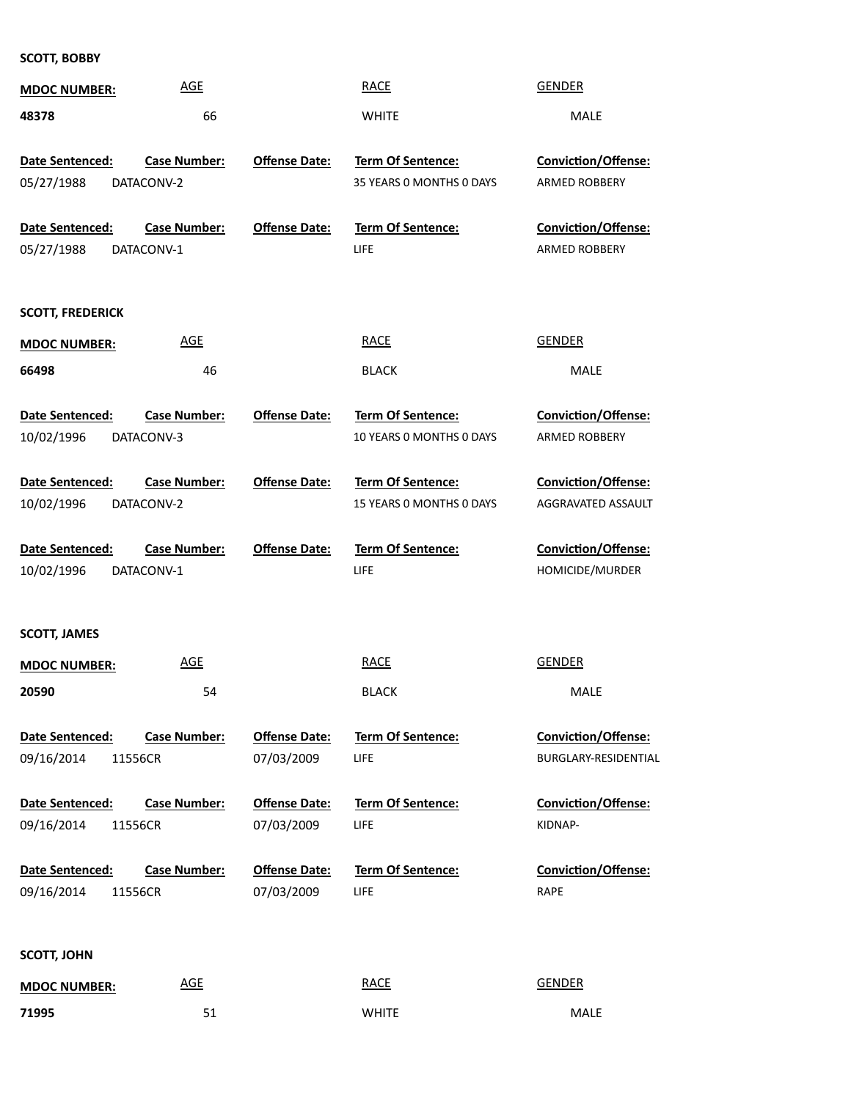**SCOTT, BOBBY**

| <b>MDOC NUMBER:</b>     | <b>AGE</b>          |                      | <b>RACE</b>              | <b>GENDER</b>              |
|-------------------------|---------------------|----------------------|--------------------------|----------------------------|
| 48378                   | 66                  |                      | <b>WHITE</b>             | MALE                       |
|                         |                     |                      |                          |                            |
| Date Sentenced:         | <b>Case Number:</b> | <b>Offense Date:</b> | Term Of Sentence:        | <b>Conviction/Offense:</b> |
| 05/27/1988              | DATACONV-2          |                      | 35 YEARS 0 MONTHS 0 DAYS | ARMED ROBBERY              |
| Date Sentenced:         | <b>Case Number:</b> | <b>Offense Date:</b> | <b>Term Of Sentence:</b> | <b>Conviction/Offense:</b> |
| 05/27/1988              | DATACONV-1          |                      | LIFE                     | ARMED ROBBERY              |
|                         |                     |                      |                          |                            |
| <b>SCOTT, FREDERICK</b> |                     |                      |                          |                            |
| <b>MDOC NUMBER:</b>     | <b>AGE</b>          |                      | <b>RACE</b>              | <b>GENDER</b>              |
| 66498                   | 46                  |                      | <b>BLACK</b>             | MALE                       |
| Date Sentenced:         | <b>Case Number:</b> | <b>Offense Date:</b> | <b>Term Of Sentence:</b> | Conviction/Offense:        |
| 10/02/1996              | DATACONV-3          |                      | 10 YEARS O MONTHS O DAYS | ARMED ROBBERY              |
|                         |                     |                      |                          |                            |
| Date Sentenced:         | <b>Case Number:</b> | <b>Offense Date:</b> | Term Of Sentence:        | Conviction/Offense:        |
| 10/02/1996              | DATACONV-2          |                      | 15 YEARS 0 MONTHS 0 DAYS | AGGRAVATED ASSAULT         |
| Date Sentenced:         | <b>Case Number:</b> | <b>Offense Date:</b> | Term Of Sentence:        | Conviction/Offense:        |
| 10/02/1996              | DATACONV-1          |                      | LIFE                     | HOMICIDE/MURDER            |
|                         |                     |                      |                          |                            |
| <b>SCOTT, JAMES</b>     |                     |                      |                          |                            |
| <b>MDOC NUMBER:</b>     | <b>AGE</b>          |                      | <b>RACE</b>              | <b>GENDER</b>              |
| 20590                   | 54                  |                      | <b>BLACK</b>             | <b>MALE</b>                |
|                         |                     |                      |                          |                            |
| Date Sentenced:         | <b>Case Number:</b> | <b>Offense Date:</b> | <b>Term Of Sentence:</b> | <b>Conviction/Offense:</b> |
| 09/16/2014<br>11556CR   |                     | 07/03/2009           | LIFE                     | BURGLARY-RESIDENTIAL       |
| <b>Date Sentenced:</b>  | <b>Case Number:</b> | <b>Offense Date:</b> | <b>Term Of Sentence:</b> | <b>Conviction/Offense:</b> |
| 09/16/2014<br>11556CR   |                     | 07/03/2009           | LIFE                     | KIDNAP-                    |
| Date Sentenced:         | <b>Case Number:</b> | <b>Offense Date:</b> | <b>Term Of Sentence:</b> | <b>Conviction/Offense:</b> |
| 09/16/2014<br>11556CR   |                     | 07/03/2009           | LIFE                     | <b>RAPE</b>                |
|                         |                     |                      |                          |                            |
|                         |                     |                      |                          |                            |
| <b>SCOTT, JOHN</b>      |                     |                      |                          |                            |
| <b>MDOC NUMBER:</b>     | <b>AGE</b>          |                      | <b>RACE</b>              | <b>GENDER</b>              |
| 71995                   | 51                  |                      | <b>WHITE</b>             | MALE                       |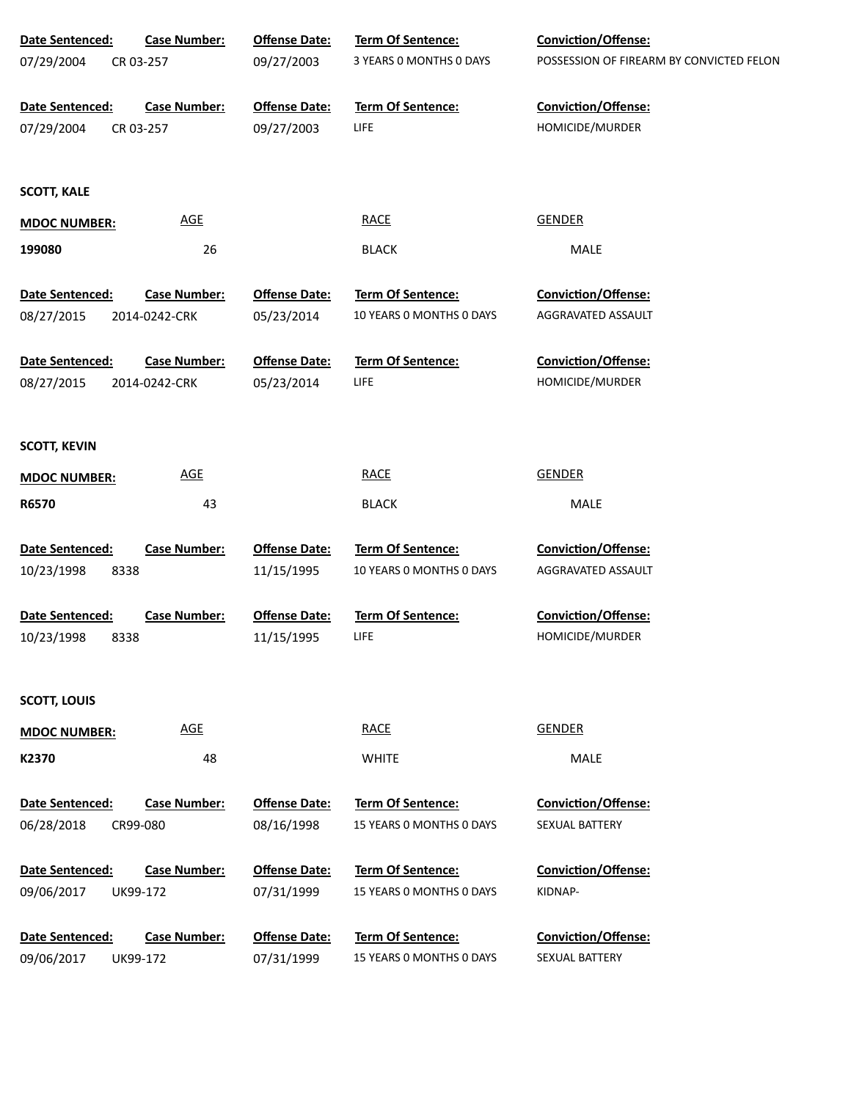| Date Sentenced:                       | <b>Case Number:</b> | <b>Offense Date:</b>               | Term Of Sentence:                                    | Conviction/Offense:                          |
|---------------------------------------|---------------------|------------------------------------|------------------------------------------------------|----------------------------------------------|
| 07/29/2004                            | CR 03-257           | 09/27/2003                         | 3 YEARS 0 MONTHS 0 DAYS                              | POSSESSION OF FIREARM BY CONVICTED FELON     |
| Date Sentenced:                       | <b>Case Number:</b> | <b>Offense Date:</b>               | Term Of Sentence:                                    | Conviction/Offense:                          |
| 07/29/2004                            | CR 03-257           | 09/27/2003                         | LIFE                                                 | HOMICIDE/MURDER                              |
| <b>SCOTT, KALE</b>                    |                     |                                    |                                                      |                                              |
| <b>MDOC NUMBER:</b>                   | <b>AGE</b>          |                                    | <b>RACE</b>                                          | <b>GENDER</b>                                |
| 199080                                | 26                  |                                    | <b>BLACK</b>                                         | MALE                                         |
| Date Sentenced:                       | <b>Case Number:</b> | <b>Offense Date:</b>               | Term Of Sentence:                                    | <b>Conviction/Offense:</b>                   |
| 08/27/2015                            | 2014-0242-CRK       | 05/23/2014                         | 10 YEARS 0 MONTHS 0 DAYS                             | AGGRAVATED ASSAULT                           |
| Date Sentenced:                       | <b>Case Number:</b> | <b>Offense Date:</b>               | <b>Term Of Sentence:</b>                             | <b>Conviction/Offense:</b>                   |
| 08/27/2015                            | 2014-0242-CRK       | 05/23/2014                         | LIFE                                                 | HOMICIDE/MURDER                              |
|                                       |                     |                                    |                                                      |                                              |
| <b>SCOTT, KEVIN</b>                   |                     |                                    |                                                      |                                              |
| <b>MDOC NUMBER:</b>                   | AGE                 |                                    | <b>RACE</b>                                          | <b>GENDER</b>                                |
| R6570                                 | 43                  |                                    | <b>BLACK</b>                                         | MALE                                         |
|                                       |                     |                                    |                                                      |                                              |
| Date Sentenced:<br>10/23/1998<br>8338 | <b>Case Number:</b> | <b>Offense Date:</b><br>11/15/1995 | Term Of Sentence:<br>10 YEARS 0 MONTHS 0 DAYS        | Conviction/Offense:<br>AGGRAVATED ASSAULT    |
|                                       |                     |                                    |                                                      |                                              |
| Date Sentenced:                       | <b>Case Number:</b> | <b>Offense Date:</b>               | <b>Term Of Sentence:</b>                             | Conviction/Offense:                          |
| 10/23/1998<br>8338                    |                     | 11/15/1995                         | LIFE                                                 | HOMICIDE/MURDER                              |
| <b>SCOTT, LOUIS</b>                   |                     |                                    |                                                      |                                              |
|                                       | <b>AGE</b>          |                                    | <b>RACE</b>                                          | <b>GENDER</b>                                |
| <b>MDOC NUMBER:</b><br>K2370          | 48                  |                                    | <b>WHITE</b>                                         | MALE                                         |
|                                       |                     |                                    |                                                      |                                              |
| Date Sentenced:                       | Case Number:        | <b>Offense Date:</b>               | <b>Term Of Sentence:</b>                             | <b>Conviction/Offense:</b>                   |
| 06/28/2018                            | CR99-080            | 08/16/1998                         | 15 YEARS 0 MONTHS 0 DAYS                             | SEXUAL BATTERY                               |
| Date Sentenced:                       | <b>Case Number:</b> | <b>Offense Date:</b>               | <b>Term Of Sentence:</b>                             | <b>Conviction/Offense:</b>                   |
| 09/06/2017                            | UK99-172            | 07/31/1999                         | 15 YEARS 0 MONTHS 0 DAYS                             | KIDNAP-                                      |
|                                       |                     |                                    |                                                      |                                              |
| Date Sentenced:                       | <b>Case Number:</b> | <b>Offense Date:</b>               | <b>Term Of Sentence:</b><br>15 YEARS 0 MONTHS 0 DAYS | <b>Conviction/Offense:</b><br>SEXUAL BATTERY |
| 09/06/2017                            | UK99-172            | 07/31/1999                         |                                                      |                                              |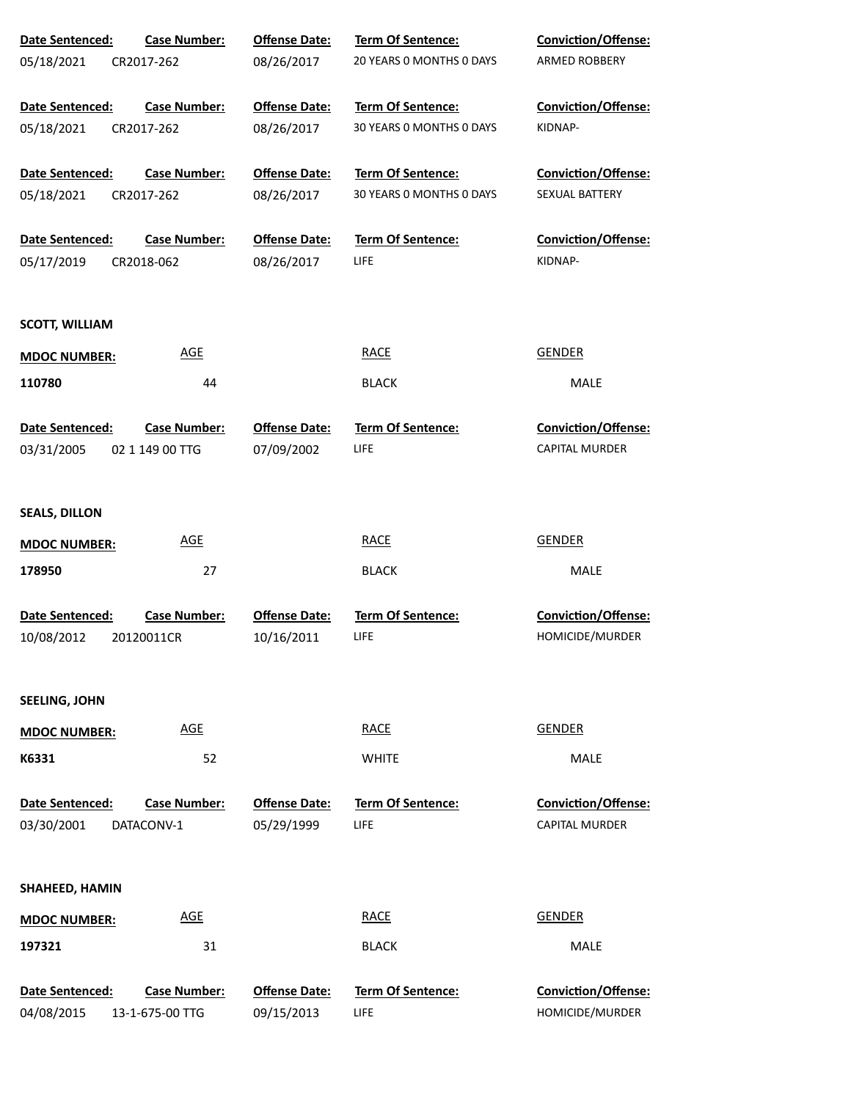| Date Sentenced:        | <b>Case Number:</b> | <b>Offense Date:</b> | <b>Term Of Sentence:</b> | <b>Conviction/Offense:</b> |
|------------------------|---------------------|----------------------|--------------------------|----------------------------|
| 05/18/2021             | CR2017-262          | 08/26/2017           | 20 YEARS O MONTHS O DAYS | <b>ARMED ROBBERY</b>       |
| Date Sentenced:        | <b>Case Number:</b> | <b>Offense Date:</b> | <b>Term Of Sentence:</b> | <b>Conviction/Offense:</b> |
| 05/18/2021             | CR2017-262          | 08/26/2017           | 30 YEARS 0 MONTHS 0 DAYS | KIDNAP-                    |
| Date Sentenced:        | <b>Case Number:</b> | <b>Offense Date:</b> | Term Of Sentence:        | <b>Conviction/Offense:</b> |
| 05/18/2021             | CR2017-262          | 08/26/2017           | 30 YEARS O MONTHS O DAYS | SEXUAL BATTERY             |
| Date Sentenced:        | <b>Case Number:</b> | <b>Offense Date:</b> | <b>Term Of Sentence:</b> | <b>Conviction/Offense:</b> |
| 05/17/2019             | CR2018-062          | 08/26/2017           | <b>LIFE</b>              | KIDNAP-                    |
| <b>SCOTT, WILLIAM</b>  |                     |                      |                          |                            |
| <b>MDOC NUMBER:</b>    | <b>AGE</b>          |                      | <b>RACE</b>              | <b>GENDER</b>              |
| 110780                 | 44                  |                      | <b>BLACK</b>             | MALE                       |
| Date Sentenced:        | <b>Case Number:</b> | <b>Offense Date:</b> | Term Of Sentence:        | Conviction/Offense:        |
| 03/31/2005             | 02 1 149 00 TTG     | 07/09/2002           | <b>LIFE</b>              | <b>CAPITAL MURDER</b>      |
|                        |                     |                      |                          |                            |
| <b>SEALS, DILLON</b>   |                     |                      |                          |                            |
| <b>MDOC NUMBER:</b>    | <b>AGE</b>          |                      | <b>RACE</b>              | <b>GENDER</b>              |
| 178950                 | 27                  |                      | <b>BLACK</b>             | <b>MALE</b>                |
| Date Sentenced:        | <b>Case Number:</b> | <b>Offense Date:</b> | <b>Term Of Sentence:</b> | <b>Conviction/Offense:</b> |
| 10/08/2012             | 20120011CR          | 10/16/2011           | LIFE                     | HOMICIDE/MURDER            |
| <b>SEELING, JOHN</b>   |                     |                      |                          |                            |
| <b>MDOC NUMBER:</b>    | <b>AGE</b>          |                      | <b>RACE</b>              | <b>GENDER</b>              |
| K6331                  | 52                  |                      | <b>WHITE</b>             | <b>MALE</b>                |
| <b>Date Sentenced:</b> | <b>Case Number:</b> | <b>Offense Date:</b> | Term Of Sentence:        | <b>Conviction/Offense:</b> |
| 03/30/2001             | DATACONV-1          | 05/29/1999           | <b>LIFE</b>              | <b>CAPITAL MURDER</b>      |
|                        |                     |                      |                          |                            |
| SHAHEED, HAMIN         |                     |                      |                          |                            |
| <b>MDOC NUMBER:</b>    | <b>AGE</b>          |                      | <b>RACE</b>              | <b>GENDER</b>              |
| 197321                 | 31                  |                      | <b>BLACK</b>             | <b>MALE</b>                |
| Date Sentenced:        | <b>Case Number:</b> | <b>Offense Date:</b> | <b>Term Of Sentence:</b> | Conviction/Offense:        |
| 04/08/2015             | 13-1-675-00 TTG     | 09/15/2013           | LIFE.                    | HOMICIDE/MURDER            |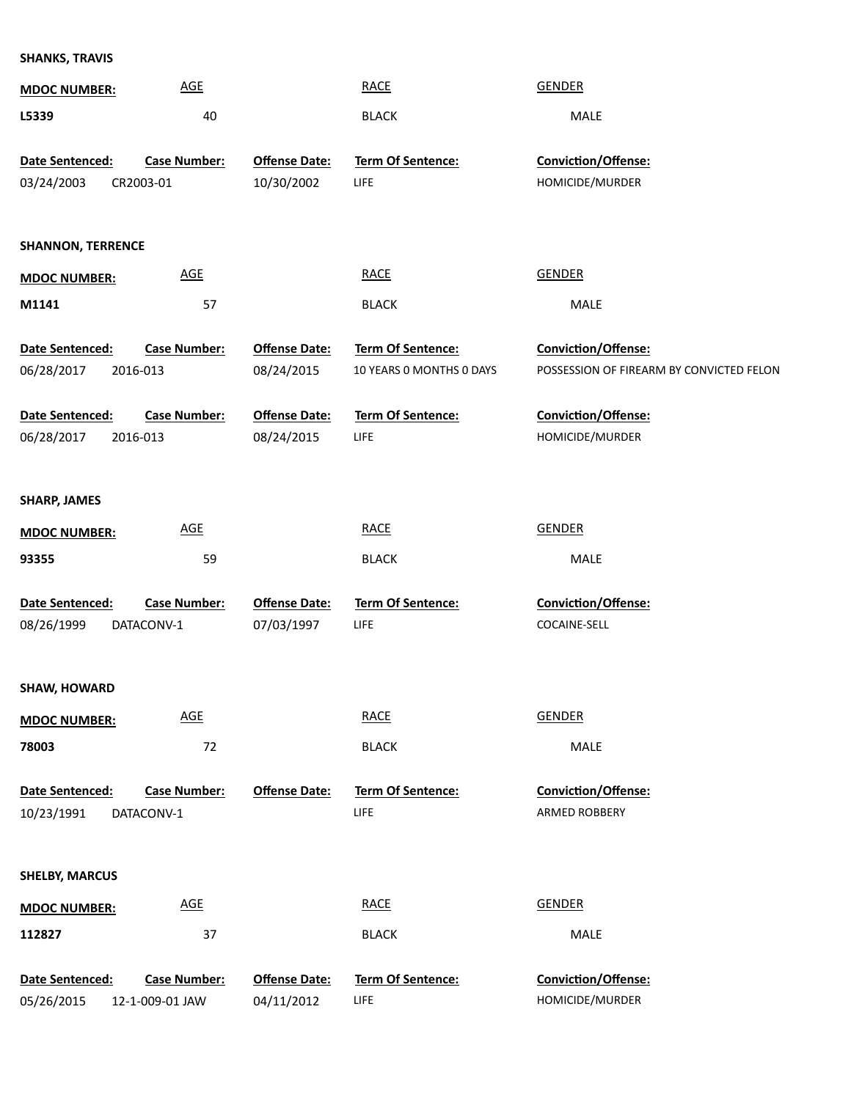| SHANKS, TRAVIS |  |
|----------------|--|
|                |  |

| <b>MDOC NUMBER:</b>           | <b>AGE</b>                       |                                    | <b>RACE</b>                      | <b>GENDER</b>                            |
|-------------------------------|----------------------------------|------------------------------------|----------------------------------|------------------------------------------|
| L5339                         | 40                               |                                    | <b>BLACK</b>                     | MALE                                     |
| Date Sentenced:<br>03/24/2003 | <b>Case Number:</b><br>CR2003-01 | <b>Offense Date:</b><br>10/30/2002 | <b>Term Of Sentence:</b><br>LIFE | Conviction/Offense:<br>HOMICIDE/MURDER   |
|                               |                                  |                                    |                                  |                                          |
| <b>SHANNON, TERRENCE</b>      |                                  |                                    |                                  |                                          |
| <b>MDOC NUMBER:</b>           | <b>AGE</b>                       |                                    | <b>RACE</b>                      | <b>GENDER</b>                            |
| M1141                         | 57                               |                                    | <b>BLACK</b>                     | MALE                                     |
| Date Sentenced:               | <b>Case Number:</b>              | <b>Offense Date:</b>               | Term Of Sentence:                | Conviction/Offense:                      |
| 06/28/2017                    | 2016-013                         | 08/24/2015                         | 10 YEARS 0 MONTHS 0 DAYS         | POSSESSION OF FIREARM BY CONVICTED FELON |
| Date Sentenced:               | <b>Case Number:</b>              | <b>Offense Date:</b>               | Term Of Sentence:                | Conviction/Offense:                      |
| 06/28/2017                    | 2016-013                         | 08/24/2015                         | LIFE                             | HOMICIDE/MURDER                          |
|                               |                                  |                                    |                                  |                                          |
| <b>SHARP, JAMES</b>           |                                  |                                    |                                  |                                          |
| <b>MDOC NUMBER:</b>           | <b>AGE</b>                       |                                    | <b>RACE</b>                      | <b>GENDER</b>                            |
| 93355                         | 59                               |                                    | <b>BLACK</b>                     | MALE                                     |
| Date Sentenced:               | <b>Case Number:</b>              | <b>Offense Date:</b>               | Term Of Sentence:                | Conviction/Offense:                      |
| 08/26/1999                    | DATACONV-1                       | 07/03/1997                         | LIFE                             | COCAINE-SELL                             |
|                               |                                  |                                    |                                  |                                          |
| <b>SHAW, HOWARD</b>           | <b>AGE</b>                       |                                    | <b>RACE</b>                      | <b>GENDER</b>                            |
| <b>MDOC NUMBER:</b><br>78003  | 72                               |                                    | <b>BLACK</b>                     | MALE                                     |
|                               |                                  |                                    |                                  |                                          |
| Date Sentenced:               | <b>Case Number:</b>              | <b>Offense Date:</b>               | Term Of Sentence:                | Conviction/Offense:                      |
| 10/23/1991                    | DATACONV-1                       |                                    | LIFE                             | ARMED ROBBERY                            |
|                               |                                  |                                    |                                  |                                          |
| <b>SHELBY, MARCUS</b>         |                                  |                                    |                                  |                                          |
| <b>MDOC NUMBER:</b>           | <b>AGE</b>                       |                                    | <b>RACE</b>                      | <b>GENDER</b>                            |
| 112827                        | 37                               |                                    | <b>BLACK</b>                     | MALE                                     |
| Date Sentenced:               | <b>Case Number:</b>              | <b>Offense Date:</b>               | Term Of Sentence:                | Conviction/Offense:                      |
| 05/26/2015                    | 12-1-009-01 JAW                  | 04/11/2012                         | LIFE                             | HOMICIDE/MURDER                          |
|                               |                                  |                                    |                                  |                                          |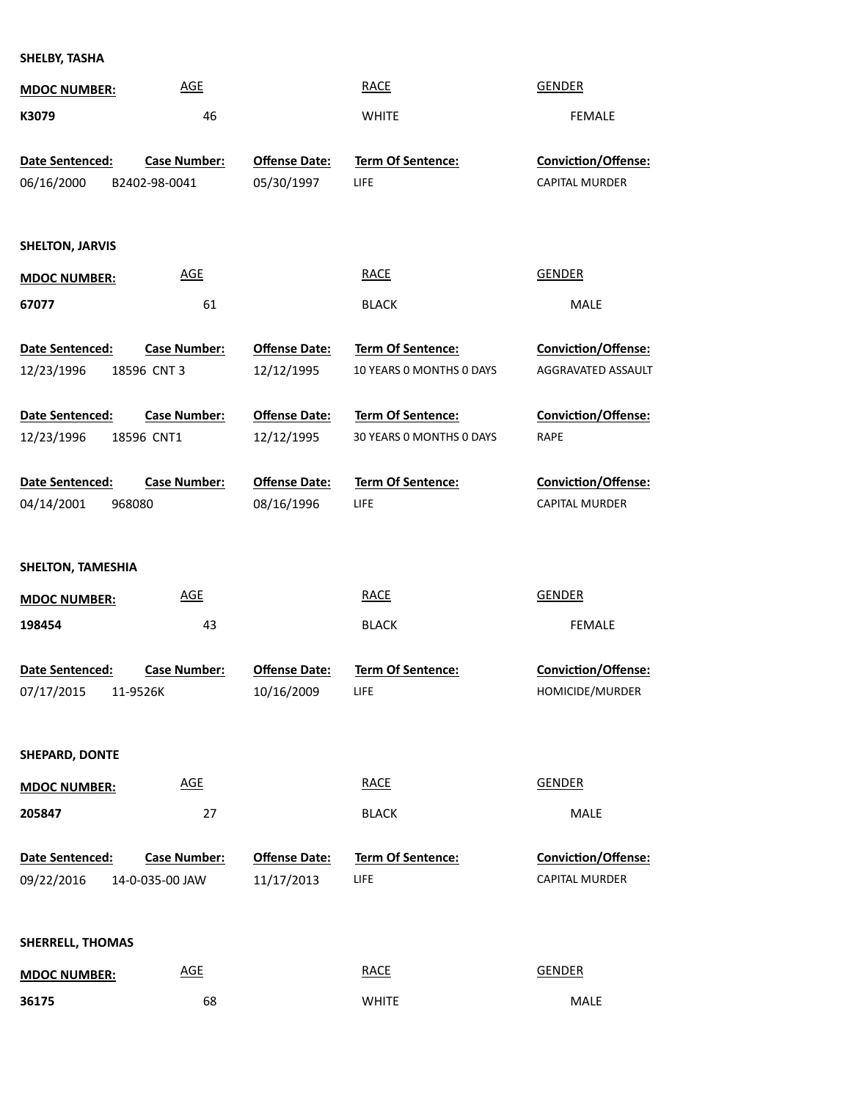**SHELBY, TASHA**

| <b>MDOC NUMBER:</b>      | <b>AGE</b>          |                      | <b>RACE</b>              | <b>GENDER</b>              |
|--------------------------|---------------------|----------------------|--------------------------|----------------------------|
| K3079                    | 46                  |                      | <b>WHITE</b>             | <b>FEMALE</b>              |
|                          |                     |                      |                          |                            |
| Date Sentenced:          | <b>Case Number:</b> | <b>Offense Date:</b> | Term Of Sentence:        | Conviction/Offense:        |
| 06/16/2000               | B2402-98-0041       | 05/30/1997           | LIFE                     | CAPITAL MURDER             |
|                          |                     |                      |                          |                            |
| <b>SHELTON, JARVIS</b>   |                     |                      |                          |                            |
| <b>MDOC NUMBER:</b>      | <b>AGE</b>          |                      | <b>RACE</b>              | <b>GENDER</b>              |
| 67077                    | 61                  |                      | <b>BLACK</b>             | MALE                       |
|                          |                     |                      |                          |                            |
| Date Sentenced:          | <b>Case Number:</b> | <b>Offense Date:</b> | <b>Term Of Sentence:</b> | <b>Conviction/Offense:</b> |
| 12/23/1996               | 18596 CNT 3         | 12/12/1995           | 10 YEARS O MONTHS O DAYS | AGGRAVATED ASSAULT         |
|                          |                     |                      |                          |                            |
| Date Sentenced:          | <b>Case Number:</b> | <b>Offense Date:</b> | <b>Term Of Sentence:</b> | Conviction/Offense:        |
| 12/23/1996               | 18596 CNT1          | 12/12/1995           | 30 YEARS 0 MONTHS 0 DAYS | RAPE                       |
|                          |                     |                      |                          |                            |
| Date Sentenced:          | <b>Case Number:</b> | <b>Offense Date:</b> | <b>Term Of Sentence:</b> | Conviction/Offense:        |
| 04/14/2001<br>968080     |                     | 08/16/1996           | LIFE                     | CAPITAL MURDER             |
|                          |                     |                      |                          |                            |
| <b>SHELTON, TAMESHIA</b> |                     |                      |                          |                            |
| <b>MDOC NUMBER:</b>      | <b>AGE</b>          |                      | <b>RACE</b>              | <b>GENDER</b>              |
| 198454                   | 43                  |                      | <b>BLACK</b>             | <b>FEMALE</b>              |
|                          |                     |                      |                          |                            |
| Date Sentenced:          | <b>Case Number:</b> | <b>Offense Date:</b> | Term Of Sentence:        | <b>Conviction/Offense:</b> |
| 07/17/2015               | 11-9526K            | 10/16/2009           | LIFE                     | HOMICIDE/MURDER            |
|                          |                     |                      |                          |                            |
|                          |                     |                      |                          |                            |
| SHEPARD, DONTE           |                     |                      |                          |                            |
| <b>MDOC NUMBER:</b>      | <b>AGE</b>          |                      | <b>RACE</b>              | <b>GENDER</b>              |
| 205847                   | 27                  |                      | <b>BLACK</b>             | MALE                       |
|                          |                     |                      |                          |                            |
| Date Sentenced:          | <b>Case Number:</b> | <b>Offense Date:</b> | <b>Term Of Sentence:</b> | <b>Conviction/Offense:</b> |
| 09/22/2016               | 14-0-035-00 JAW     | 11/17/2013           | LIFE                     | CAPITAL MURDER             |
|                          |                     |                      |                          |                            |
|                          |                     |                      |                          |                            |
| <b>SHERRELL, THOMAS</b>  |                     |                      |                          |                            |
| <b>MDOC NUMBER:</b>      | <b>AGE</b>          |                      | <b>RACE</b>              | <b>GENDER</b>              |
|                          |                     |                      |                          |                            |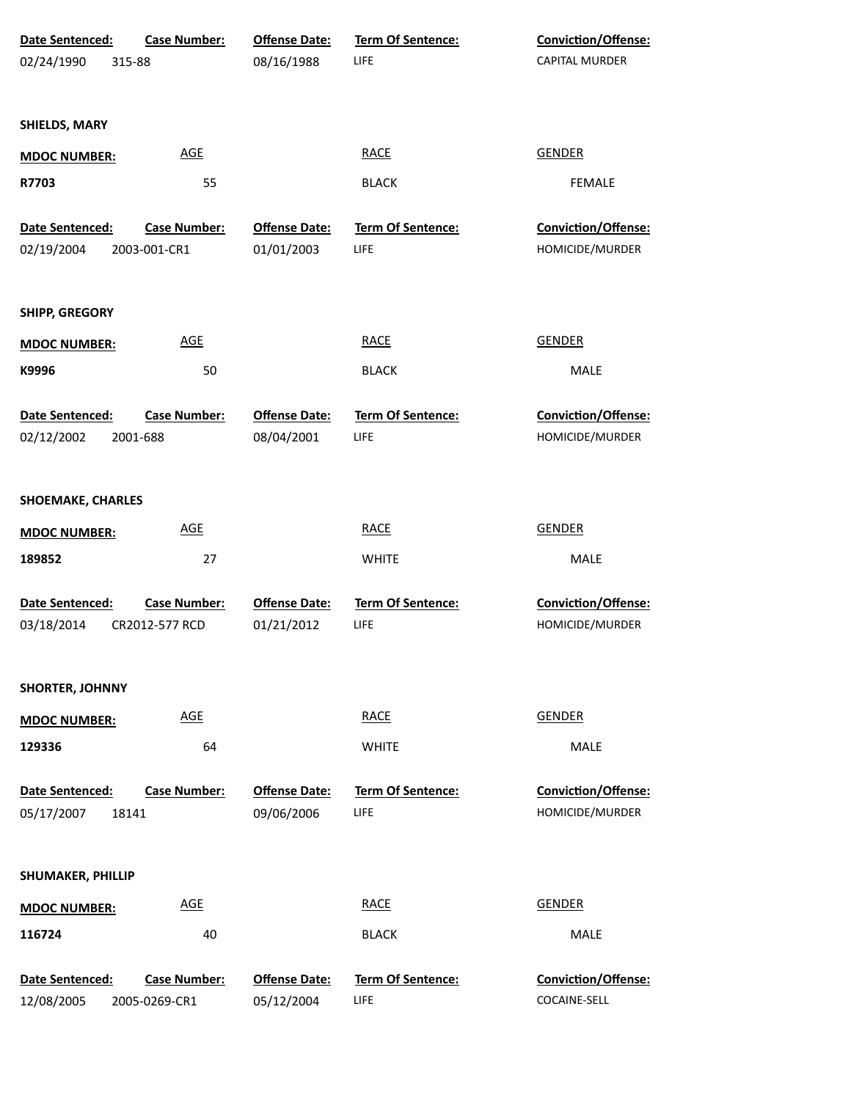| Date Sentenced:          | <b>Case Number:</b> | <b>Offense Date:</b> | Term Of Sentence:        | Conviction/Offense: |
|--------------------------|---------------------|----------------------|--------------------------|---------------------|
| 02/24/1990<br>315-88     |                     | 08/16/1988           | LIFE                     | CAPITAL MURDER      |
|                          |                     |                      |                          |                     |
| SHIELDS, MARY            |                     |                      |                          |                     |
| <b>MDOC NUMBER:</b>      | <b>AGE</b>          |                      | <b>RACE</b>              | <b>GENDER</b>       |
| R7703                    | 55                  |                      | <b>BLACK</b>             | <b>FEMALE</b>       |
| Date Sentenced:          | <b>Case Number:</b> | <b>Offense Date:</b> | Term Of Sentence:        | Conviction/Offense: |
| 02/19/2004               | 2003-001-CR1        | 01/01/2003           | LIFE                     | HOMICIDE/MURDER     |
| <b>SHIPP, GREGORY</b>    |                     |                      |                          |                     |
| <b>MDOC NUMBER:</b>      | <b>AGE</b>          |                      | <b>RACE</b>              | <b>GENDER</b>       |
| K9996                    | 50                  |                      | <b>BLACK</b>             | MALE                |
| Date Sentenced:          | <b>Case Number:</b> | <b>Offense Date:</b> | Term Of Sentence:        | Conviction/Offense: |
| 02/12/2002               | 2001-688            | 08/04/2001           | LIFE                     | HOMICIDE/MURDER     |
| <b>SHOEMAKE, CHARLES</b> |                     |                      |                          |                     |
| <b>MDOC NUMBER:</b>      | <b>AGE</b>          |                      | <b>RACE</b>              | <b>GENDER</b>       |
| 189852                   | 27                  |                      | <b>WHITE</b>             | MALE                |
| Date Sentenced:          | <b>Case Number:</b> | <b>Offense Date:</b> | <b>Term Of Sentence:</b> | Conviction/Offense: |
| 03/18/2014               | CR2012-577 RCD      | 01/21/2012           | LIFE                     | HOMICIDE/MURDER     |
| <b>SHORTER, JOHNNY</b>   |                     |                      |                          |                     |
| <b>MDOC NUMBER:</b>      | <b>AGE</b>          |                      | RACE                     | <b>GENDER</b>       |
| 129336                   | 64                  |                      | <b>WHITE</b>             | MALE                |
| Date Sentenced:          | <b>Case Number:</b> | <b>Offense Date:</b> | <b>Term Of Sentence:</b> | Conviction/Offense: |
| 05/17/2007<br>18141      |                     | 09/06/2006           | LIFE                     | HOMICIDE/MURDER     |
| SHUMAKER, PHILLIP        |                     |                      |                          |                     |
| <b>MDOC NUMBER:</b>      | <b>AGE</b>          |                      | <b>RACE</b>              | <b>GENDER</b>       |
| 116724                   | 40                  |                      | <b>BLACK</b>             | MALE                |
| Date Sentenced:          | <b>Case Number:</b> | <b>Offense Date:</b> | Term Of Sentence:        | Conviction/Offense: |
| 12/08/2005               | 2005-0269-CR1       | 05/12/2004           | LIFE                     | COCAINE-SELL        |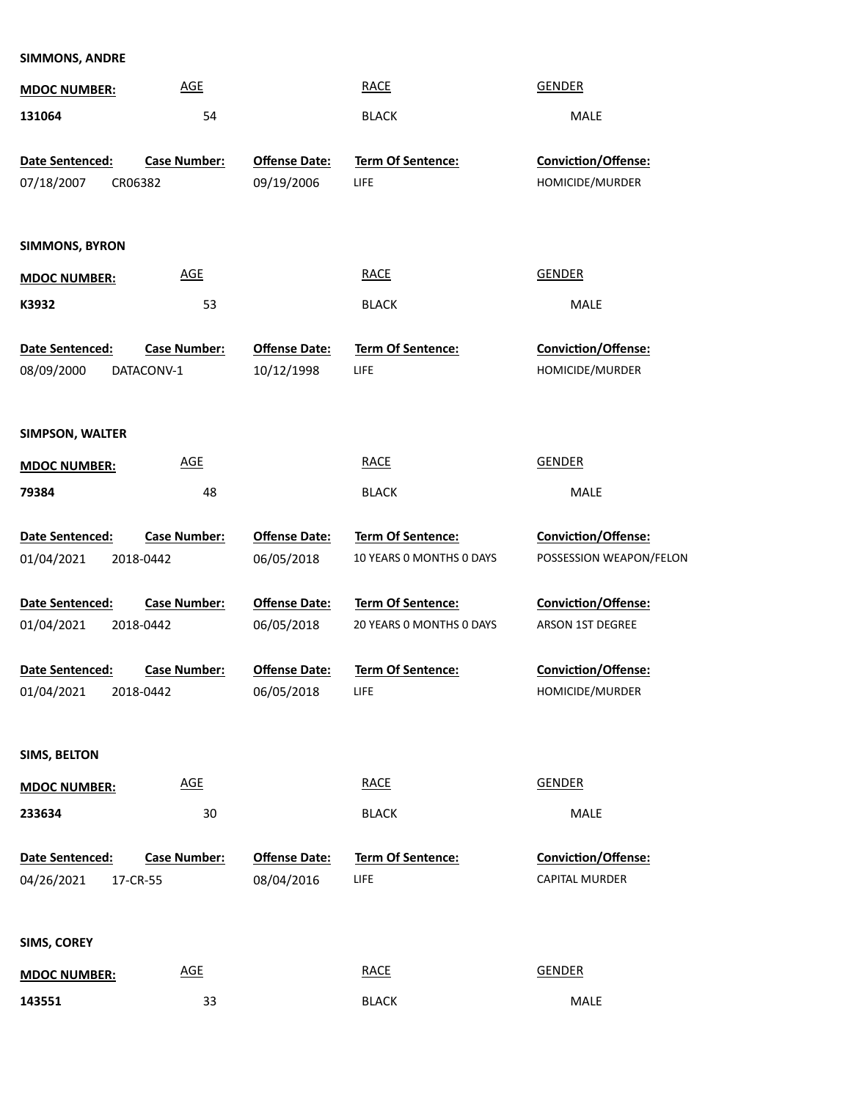## **SIMMONS, ANDRE**

| <b>MDOC NUMBER:</b>      | <b>AGE</b>          |                      | <b>RACE</b>              | <b>GENDER</b>              |
|--------------------------|---------------------|----------------------|--------------------------|----------------------------|
| 131064                   | 54                  |                      | <b>BLACK</b>             | MALE                       |
|                          |                     |                      |                          |                            |
| Date Sentenced:          | <b>Case Number:</b> | <b>Offense Date:</b> | Term Of Sentence:        | Conviction/Offense:        |
| 07/18/2007<br>CR06382    |                     | 09/19/2006           | LIFE                     | HOMICIDE/MURDER            |
|                          |                     |                      |                          |                            |
| <b>SIMMONS, BYRON</b>    |                     |                      |                          |                            |
| <b>MDOC NUMBER:</b>      | <b>AGE</b>          |                      | <b>RACE</b>              | <b>GENDER</b>              |
| K3932                    | 53                  |                      | <b>BLACK</b>             | <b>MALE</b>                |
|                          |                     |                      |                          |                            |
| Date Sentenced:          | <b>Case Number:</b> | <b>Offense Date:</b> | Term Of Sentence:        | Conviction/Offense:        |
| 08/09/2000<br>DATACONV-1 |                     | 10/12/1998           | LIFE                     | HOMICIDE/MURDER            |
|                          |                     |                      |                          |                            |
| <b>SIMPSON, WALTER</b>   |                     |                      |                          |                            |
|                          | <b>AGE</b>          |                      | <b>RACE</b>              | <b>GENDER</b>              |
| <b>MDOC NUMBER:</b>      |                     |                      |                          |                            |
| 79384                    | 48                  |                      | <b>BLACK</b>             | <b>MALE</b>                |
| Date Sentenced:          | <b>Case Number:</b> | <b>Offense Date:</b> | Term Of Sentence:        | <b>Conviction/Offense:</b> |
| 01/04/2021<br>2018-0442  |                     | 06/05/2018           | 10 YEARS O MONTHS O DAYS | POSSESSION WEAPON/FELON    |
|                          |                     |                      |                          |                            |
| Date Sentenced:          | <b>Case Number:</b> | <b>Offense Date:</b> | Term Of Sentence:        | <b>Conviction/Offense:</b> |
| 01/04/2021<br>2018-0442  |                     | 06/05/2018           | 20 YEARS 0 MONTHS 0 DAYS | ARSON 1ST DEGREE           |
| Date Sentenced:          | <b>Case Number:</b> | <b>Offense Date:</b> | <b>Term Of Sentence:</b> | <b>Conviction/Offense:</b> |
| 01/04/2021<br>2018-0442  |                     | 06/05/2018           | LIFE                     | HOMICIDE/MURDER            |
|                          |                     |                      |                          |                            |
|                          |                     |                      |                          |                            |
| <b>SIMS, BELTON</b>      |                     |                      |                          |                            |
| <b>MDOC NUMBER:</b>      | <b>AGE</b>          |                      | <b>RACE</b>              | <b>GENDER</b>              |
| 233634                   | 30                  |                      | <b>BLACK</b>             | MALE                       |
|                          |                     |                      |                          |                            |
| Date Sentenced:          | <b>Case Number:</b> | <b>Offense Date:</b> | <b>Term Of Sentence:</b> | Conviction/Offense:        |
| 04/26/2021<br>17-CR-55   |                     | 08/04/2016           | LIFE                     | <b>CAPITAL MURDER</b>      |
|                          |                     |                      |                          |                            |
| SIMS, COREY              |                     |                      |                          |                            |
| <b>MDOC NUMBER:</b>      | <b>AGE</b>          |                      | <b>RACE</b>              | <b>GENDER</b>              |
| 143551                   | 33                  |                      | <b>BLACK</b>             | MALE                       |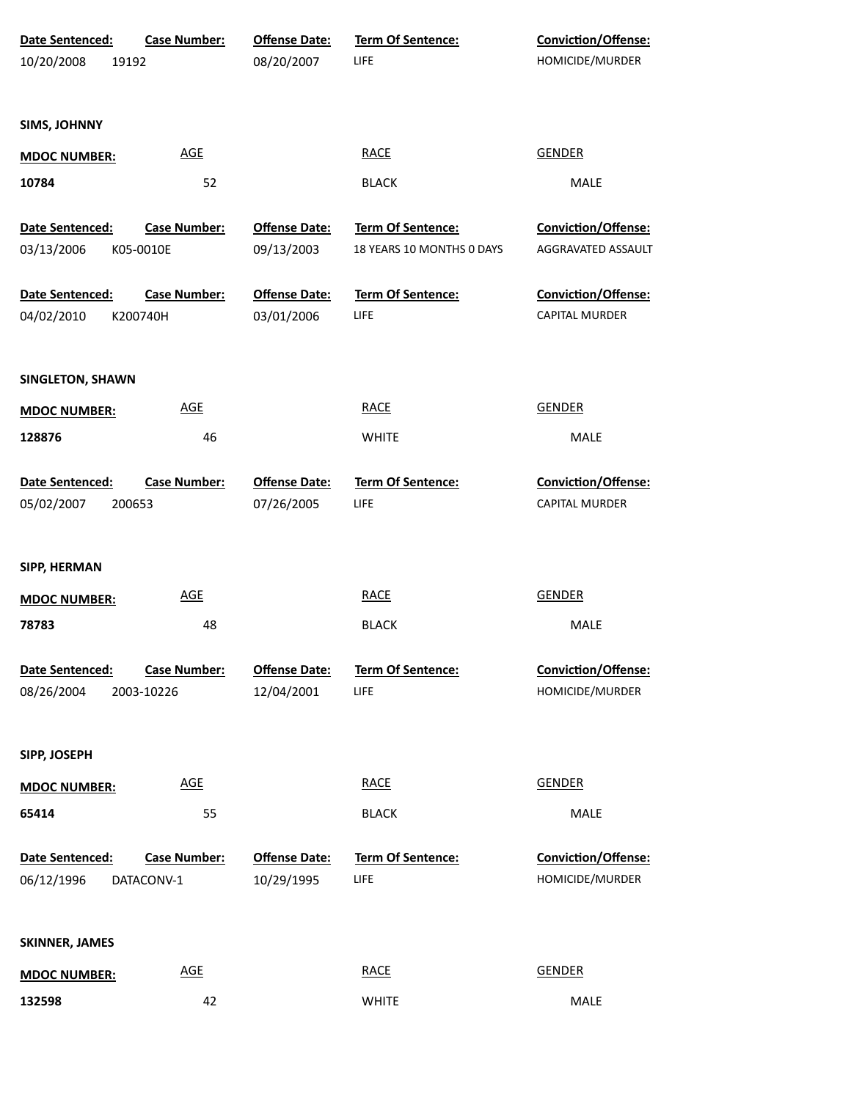| Date Sentenced:       | <b>Case Number:</b> | <b>Offense Date:</b> | Term Of Sentence:         | <b>Conviction/Offense:</b> |
|-----------------------|---------------------|----------------------|---------------------------|----------------------------|
| 10/20/2008            | 19192               | 08/20/2007           | LIFE                      | HOMICIDE/MURDER            |
|                       |                     |                      |                           |                            |
| <b>SIMS, JOHNNY</b>   |                     |                      |                           |                            |
| <b>MDOC NUMBER:</b>   | <b>AGE</b>          |                      | <b>RACE</b>               | <b>GENDER</b>              |
| 10784                 | 52                  |                      | <b>BLACK</b>              | MALE                       |
| Date Sentenced:       | <b>Case Number:</b> | <b>Offense Date:</b> | Term Of Sentence:         | Conviction/Offense:        |
| 03/13/2006            | K05-0010E           | 09/13/2003           | 18 YEARS 10 MONTHS 0 DAYS | AGGRAVATED ASSAULT         |
| Date Sentenced:       | <b>Case Number:</b> | <b>Offense Date:</b> | Term Of Sentence:         | Conviction/Offense:        |
| 04/02/2010            | K200740H            | 03/01/2006           | LIFE                      | CAPITAL MURDER             |
|                       |                     |                      |                           |                            |
| SINGLETON, SHAWN      |                     |                      |                           |                            |
| <b>MDOC NUMBER:</b>   | <b>AGE</b>          |                      | <b>RACE</b>               | <b>GENDER</b>              |
| 128876                | 46                  |                      | <b>WHITE</b>              | MALE                       |
| Date Sentenced:       | <b>Case Number:</b> | <b>Offense Date:</b> | Term Of Sentence:         | Conviction/Offense:        |
| 05/02/2007            | 200653              | 07/26/2005           | LIFE                      | CAPITAL MURDER             |
|                       |                     |                      |                           |                            |
| SIPP, HERMAN          |                     |                      |                           |                            |
| <b>MDOC NUMBER:</b>   | <b>AGE</b>          |                      | <b>RACE</b>               | <b>GENDER</b>              |
| 78783                 | 48                  |                      | <b>BLACK</b>              | MALE                       |
| Date Sentenced:       | <b>Case Number:</b> | <b>Offense Date:</b> | <b>Term Of Sentence:</b>  | Conviction/Offense:        |
| 08/26/2004            | 2003-10226          | 12/04/2001           | LIFE                      | HOMICIDE/MURDER            |
|                       |                     |                      |                           |                            |
| SIPP, JOSEPH          |                     |                      |                           |                            |
| <b>MDOC NUMBER:</b>   | <b>AGE</b>          |                      | <b>RACE</b>               | <b>GENDER</b>              |
| 65414                 | 55                  |                      | <b>BLACK</b>              | MALE                       |
| Date Sentenced:       | <b>Case Number:</b> | <b>Offense Date:</b> | <b>Term Of Sentence:</b>  | <b>Conviction/Offense:</b> |
| 06/12/1996            | DATACONV-1          | 10/29/1995           | LIFE                      | HOMICIDE/MURDER            |
|                       |                     |                      |                           |                            |
| <b>SKINNER, JAMES</b> |                     |                      |                           |                            |
| <b>MDOC NUMBER:</b>   | <b>AGE</b>          |                      | <b>RACE</b>               | <b>GENDER</b>              |
| 132598                | 42                  |                      | <b>WHITE</b>              | MALE                       |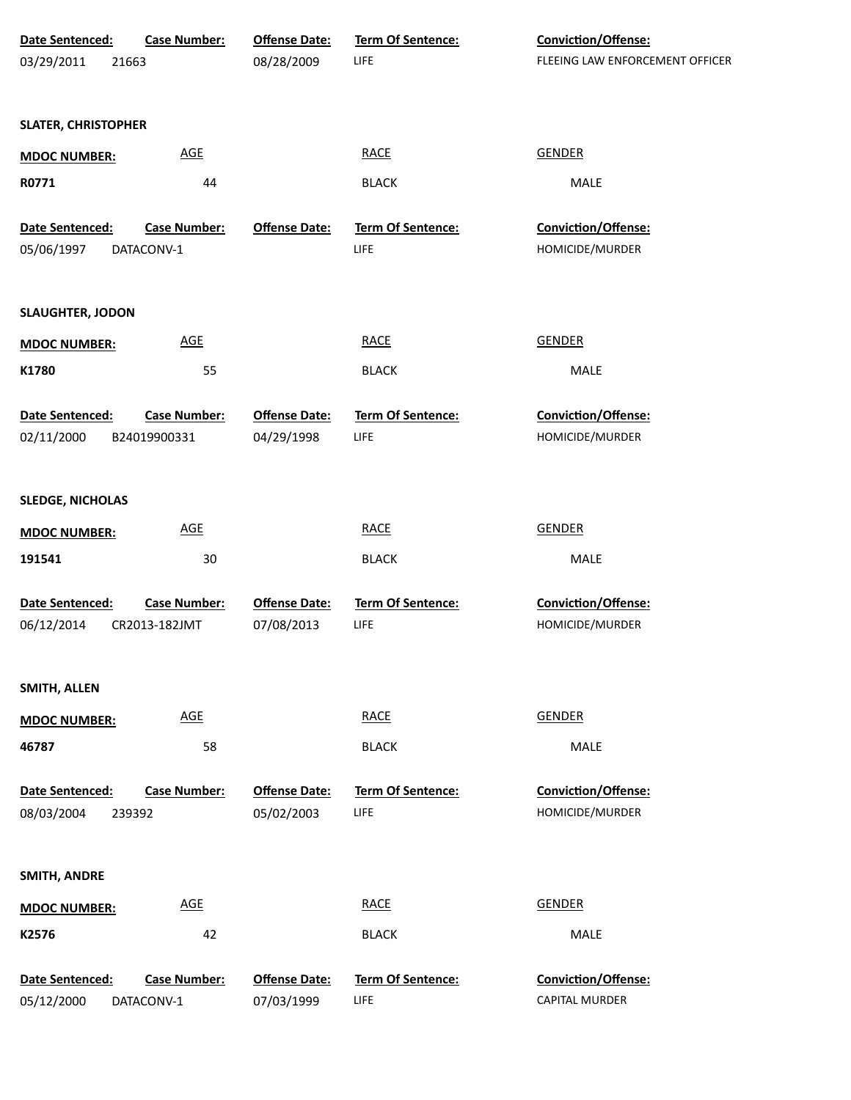| Date Sentenced:            | <b>Case Number:</b> | <b>Offense Date:</b> | Term Of Sentence:        | Conviction/Offense:             |
|----------------------------|---------------------|----------------------|--------------------------|---------------------------------|
| 03/29/2011<br>21663        |                     | 08/28/2009           | LIFE                     | FLEEING LAW ENFORCEMENT OFFICER |
|                            |                     |                      |                          |                                 |
| <b>SLATER, CHRISTOPHER</b> |                     |                      |                          |                                 |
| <b>MDOC NUMBER:</b>        | <b>AGE</b>          |                      | <b>RACE</b>              | <b>GENDER</b>                   |
| R0771                      | 44                  |                      | <b>BLACK</b>             | MALE                            |
|                            |                     |                      |                          |                                 |
| Date Sentenced:            | <b>Case Number:</b> | <b>Offense Date:</b> | Term Of Sentence:        | Conviction/Offense:             |
| 05/06/1997                 | DATACONV-1          |                      | LIFE                     | HOMICIDE/MURDER                 |
|                            |                     |                      |                          |                                 |
| <b>SLAUGHTER, JODON</b>    |                     |                      |                          |                                 |
| <b>MDOC NUMBER:</b>        | <b>AGE</b>          |                      | <b>RACE</b>              | <b>GENDER</b>                   |
| K1780                      | 55                  |                      | <b>BLACK</b>             | <b>MALE</b>                     |
|                            |                     |                      |                          |                                 |
| Date Sentenced:            | <b>Case Number:</b> | <b>Offense Date:</b> | Term Of Sentence:        | Conviction/Offense:             |
| 02/11/2000                 | B24019900331        | 04/29/1998           | LIFE                     | HOMICIDE/MURDER                 |
|                            |                     |                      |                          |                                 |
| <b>SLEDGE, NICHOLAS</b>    |                     |                      |                          |                                 |
| <b>MDOC NUMBER:</b>        | <b>AGE</b>          |                      | <b>RACE</b>              | <b>GENDER</b>                   |
| 191541                     | 30                  |                      | <b>BLACK</b>             | MALE                            |
|                            |                     |                      |                          |                                 |
| Date Sentenced:            | <b>Case Number:</b> | <b>Offense Date:</b> | <b>Term Of Sentence:</b> | Conviction/Offense:             |
| 06/12/2014                 | CR2013-182JMT       | 07/08/2013           | LIFE                     | HOMICIDE/MURDER                 |
|                            |                     |                      |                          |                                 |
| SMITH, ALLEN               |                     |                      |                          |                                 |
| <b>MDOC NUMBER:</b>        | <b>AGE</b>          |                      | <b>RACE</b>              | <b>GENDER</b>                   |
| 46787                      | 58                  |                      | <b>BLACK</b>             | MALE                            |
|                            |                     |                      |                          |                                 |
| Date Sentenced:            | <b>Case Number:</b> | <b>Offense Date:</b> | <b>Term Of Sentence:</b> | Conviction/Offense:             |
| 08/03/2004<br>239392       |                     | 05/02/2003           | LIFE                     | HOMICIDE/MURDER                 |
|                            |                     |                      |                          |                                 |
| SMITH, ANDRE               |                     |                      |                          |                                 |
| <b>MDOC NUMBER:</b>        | <b>AGE</b>          |                      | <b>RACE</b>              | <b>GENDER</b>                   |
| K2576                      | 42                  |                      | <b>BLACK</b>             | MALE                            |
|                            |                     |                      |                          |                                 |
| Date Sentenced:            | <b>Case Number:</b> | <b>Offense Date:</b> | <b>Term Of Sentence:</b> | Conviction/Offense:             |
| 05/12/2000                 | DATACONV-1          | 07/03/1999           | LIFE                     | CAPITAL MURDER                  |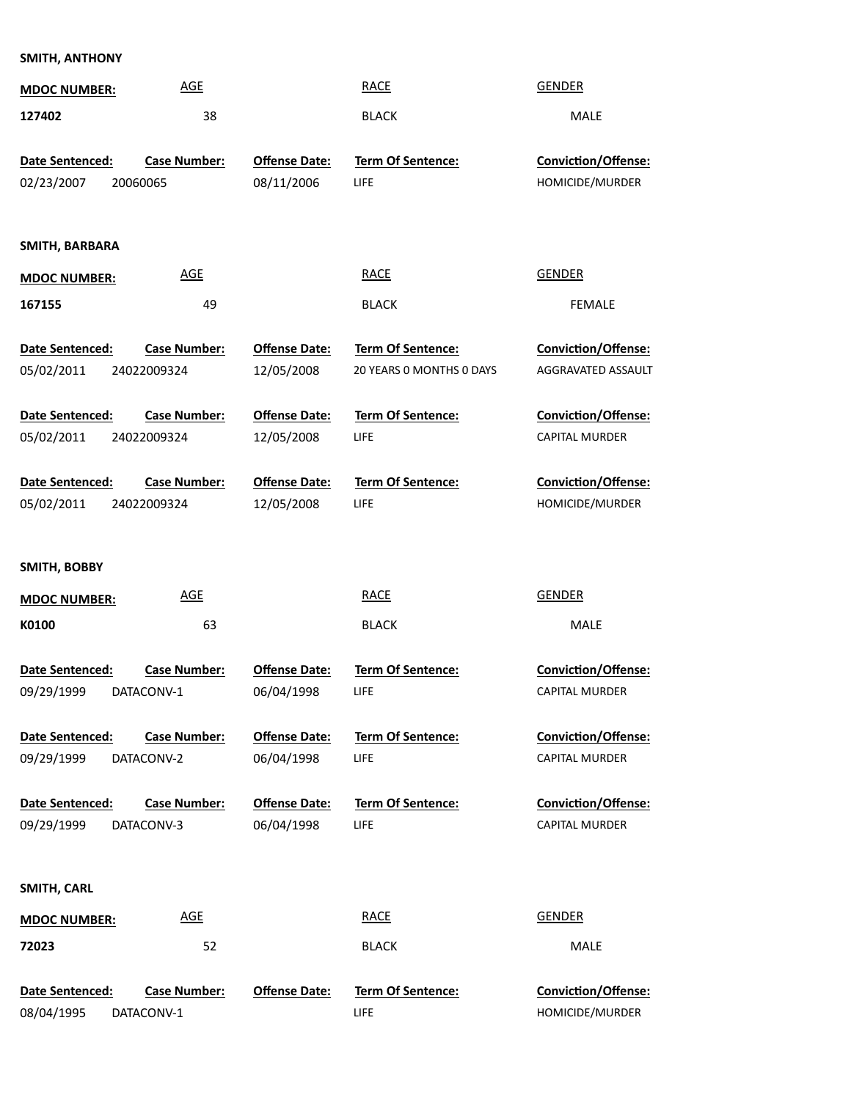## **SMITH, ANTHONY**

| <b>MDOC NUMBER:</b>                          | <b>AGE</b>                         |                                    | <b>RACE</b>                                   | <b>GENDER</b>                                       |
|----------------------------------------------|------------------------------------|------------------------------------|-----------------------------------------------|-----------------------------------------------------|
| 127402                                       | 38                                 |                                    | <b>BLACK</b>                                  | <b>MALE</b>                                         |
| Date Sentenced:<br>02/23/2007                | <b>Case Number:</b><br>20060065    | <b>Offense Date:</b><br>08/11/2006 | <b>Term Of Sentence:</b><br>LIFE              | Conviction/Offense:<br>HOMICIDE/MURDER              |
| SMITH, BARBARA                               |                                    |                                    |                                               |                                                     |
| <b>MDOC NUMBER:</b>                          | <b>AGE</b>                         |                                    | <b>RACE</b>                                   | <b>GENDER</b>                                       |
| 167155                                       | 49                                 |                                    | <b>BLACK</b>                                  | <b>FEMALE</b>                                       |
| Date Sentenced:<br>05/02/2011                | <b>Case Number:</b><br>24022009324 | <b>Offense Date:</b><br>12/05/2008 | Term Of Sentence:<br>20 YEARS O MONTHS O DAYS | Conviction/Offense:<br>AGGRAVATED ASSAULT           |
| Date Sentenced:<br>05/02/2011                | <b>Case Number:</b><br>24022009324 | <b>Offense Date:</b><br>12/05/2008 | Term Of Sentence:<br>LIFE                     | Conviction/Offense:<br>CAPITAL MURDER               |
| Date Sentenced:                              | <b>Case Number:</b>                | <b>Offense Date:</b>               | <b>Term Of Sentence:</b>                      | Conviction/Offense:                                 |
| 05/02/2011                                   | 24022009324                        | 12/05/2008                         | LIFE                                          | HOMICIDE/MURDER                                     |
|                                              |                                    |                                    |                                               |                                                     |
| SMITH, BOBBY<br><b>MDOC NUMBER:</b><br>K0100 | <b>AGE</b><br>63                   |                                    | <b>RACE</b><br><b>BLACK</b>                   | <b>GENDER</b><br>MALE                               |
| Date Sentenced:<br>09/29/1999                | <b>Case Number:</b><br>DATACONV-1  | <b>Offense Date:</b><br>06/04/1998 | <b>Term Of Sentence:</b><br><b>LIFE</b>       | <b>Conviction/Offense:</b><br><b>CAPITAL MURDER</b> |
|                                              |                                    |                                    |                                               |                                                     |
| <b>Date Sentenced:</b><br>09/29/1999         | <b>Case Number:</b><br>DATACONV-2  | <b>Offense Date:</b><br>06/04/1998 | <b>Term Of Sentence:</b><br><b>LIFE</b>       | <b>Conviction/Offense:</b><br><b>CAPITAL MURDER</b> |
| <b>Date Sentenced:</b><br>09/29/1999         | <b>Case Number:</b><br>DATACONV-3  | <b>Offense Date:</b><br>06/04/1998 | <b>Term Of Sentence:</b><br><b>LIFE</b>       | <b>Conviction/Offense:</b><br><b>CAPITAL MURDER</b> |
| SMITH, CARL                                  |                                    |                                    |                                               |                                                     |
| <b>MDOC NUMBER:</b>                          | <b>AGE</b>                         |                                    | <b>RACE</b>                                   | <b>GENDER</b>                                       |

**Date Sentenced:** HOMICIDE/MURDER **Conviction/Offense:** LIFE **Ofense Date: Term Of Sentence:** DATACONV-1 **Case Number:** 08/04/1995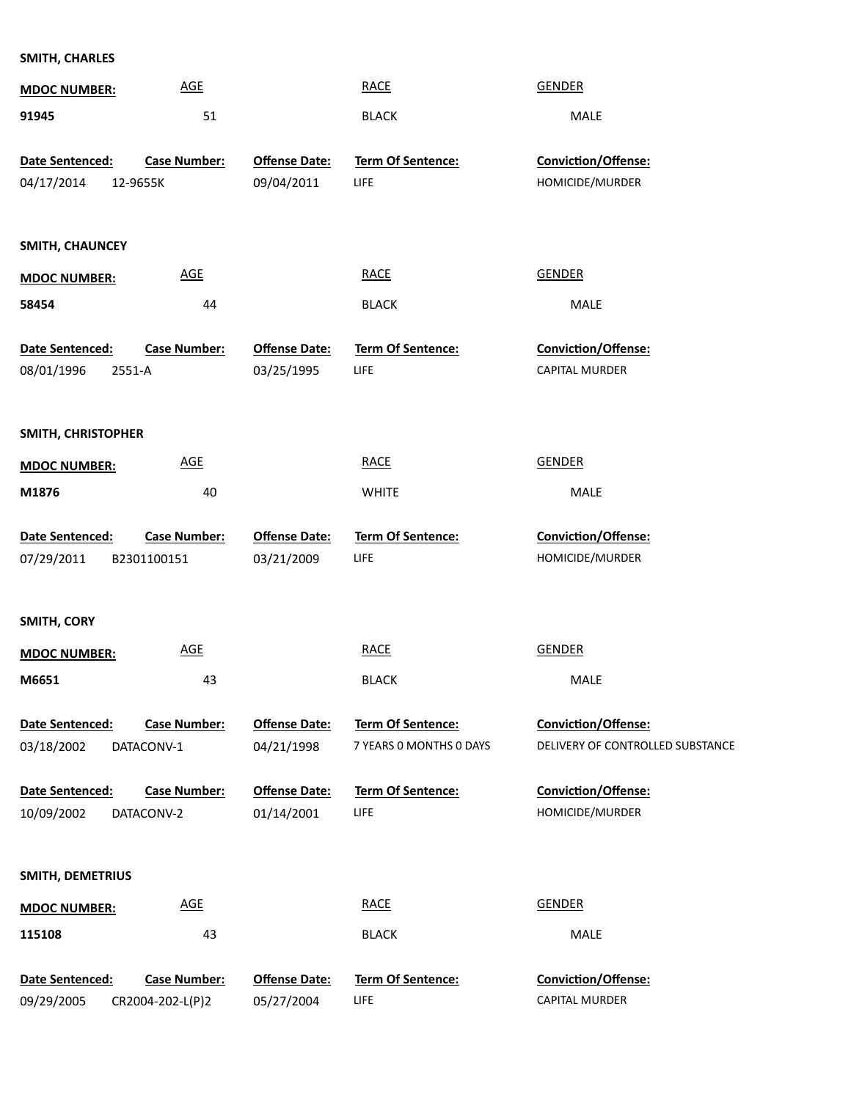## **SMITH, CHARLES**

| <b>AGE</b><br><b>MDOC NUMBER:</b>      |                      | <b>RACE</b>              | <b>GENDER</b>                    |
|----------------------------------------|----------------------|--------------------------|----------------------------------|
| 51<br>91945                            |                      | <b>BLACK</b>             | MALE                             |
|                                        |                      |                          |                                  |
| <b>Case Number:</b><br>Date Sentenced: | <b>Offense Date:</b> | <b>Term Of Sentence:</b> | <b>Conviction/Offense:</b>       |
| 04/17/2014<br>12-9655K                 | 09/04/2011           | LIFE                     | HOMICIDE/MURDER                  |
|                                        |                      |                          |                                  |
| SMITH, CHAUNCEY                        |                      |                          |                                  |
| <b>AGE</b><br><b>MDOC NUMBER:</b>      |                      | <b>RACE</b>              | <b>GENDER</b>                    |
| 44<br>58454                            |                      | <b>BLACK</b>             | MALE                             |
|                                        |                      |                          |                                  |
| Date Sentenced:<br><b>Case Number:</b> | <b>Offense Date:</b> | Term Of Sentence:        | Conviction/Offense:              |
| 08/01/1996<br>2551-A                   | 03/25/1995           | <b>LIFE</b>              | CAPITAL MURDER                   |
|                                        |                      |                          |                                  |
|                                        |                      |                          |                                  |
| SMITH, CHRISTOPHER                     |                      |                          |                                  |
| <b>AGE</b><br><b>MDOC NUMBER:</b>      |                      | <b>RACE</b>              | <b>GENDER</b>                    |
| M1876<br>40                            |                      | <b>WHITE</b>             | MALE                             |
|                                        |                      |                          |                                  |
| Date Sentenced:<br><b>Case Number:</b> | <b>Offense Date:</b> | <b>Term Of Sentence:</b> | <b>Conviction/Offense:</b>       |
| 07/29/2011<br>B2301100151              | 03/21/2009           | <b>LIFE</b>              | HOMICIDE/MURDER                  |
|                                        |                      |                          |                                  |
| SMITH, CORY                            |                      |                          |                                  |
|                                        |                      |                          |                                  |
| <b>AGE</b><br><b>MDOC NUMBER:</b>      |                      | <b>RACE</b>              | <b>GENDER</b>                    |
| M6651<br>43                            |                      | <b>BLACK</b>             | MALE                             |
|                                        |                      |                          |                                  |
| Date Sentenced:<br><b>Case Number:</b> | <b>Offense Date:</b> | Term Of Sentence:        | Conviction/Offense:              |
| 03/18/2002<br>DATACONV-1               | 04/21/1998           | 7 YEARS 0 MONTHS 0 DAYS  | DELIVERY OF CONTROLLED SUBSTANCE |
| Date Sentenced:<br><b>Case Number:</b> | <b>Offense Date:</b> | Term Of Sentence:        | Conviction/Offense:              |
| 10/09/2002<br>DATACONV-2               | 01/14/2001           | LIFE                     | HOMICIDE/MURDER                  |
|                                        |                      |                          |                                  |
|                                        |                      |                          |                                  |
| SMITH, DEMETRIUS                       |                      |                          |                                  |
| <b>AGE</b><br><b>MDOC NUMBER:</b>      |                      | <b>RACE</b>              | <b>GENDER</b>                    |
| 115108<br>43                           |                      | <b>BLACK</b>             | MALE                             |
|                                        |                      |                          |                                  |
| <b>Case Number:</b><br>Date Sentenced: | <b>Offense Date:</b> | <b>Term Of Sentence:</b> | <b>Conviction/Offense:</b>       |
| 09/29/2005<br>CR2004-202-L(P)2         | 05/27/2004           | LIFE                     | <b>CAPITAL MURDER</b>            |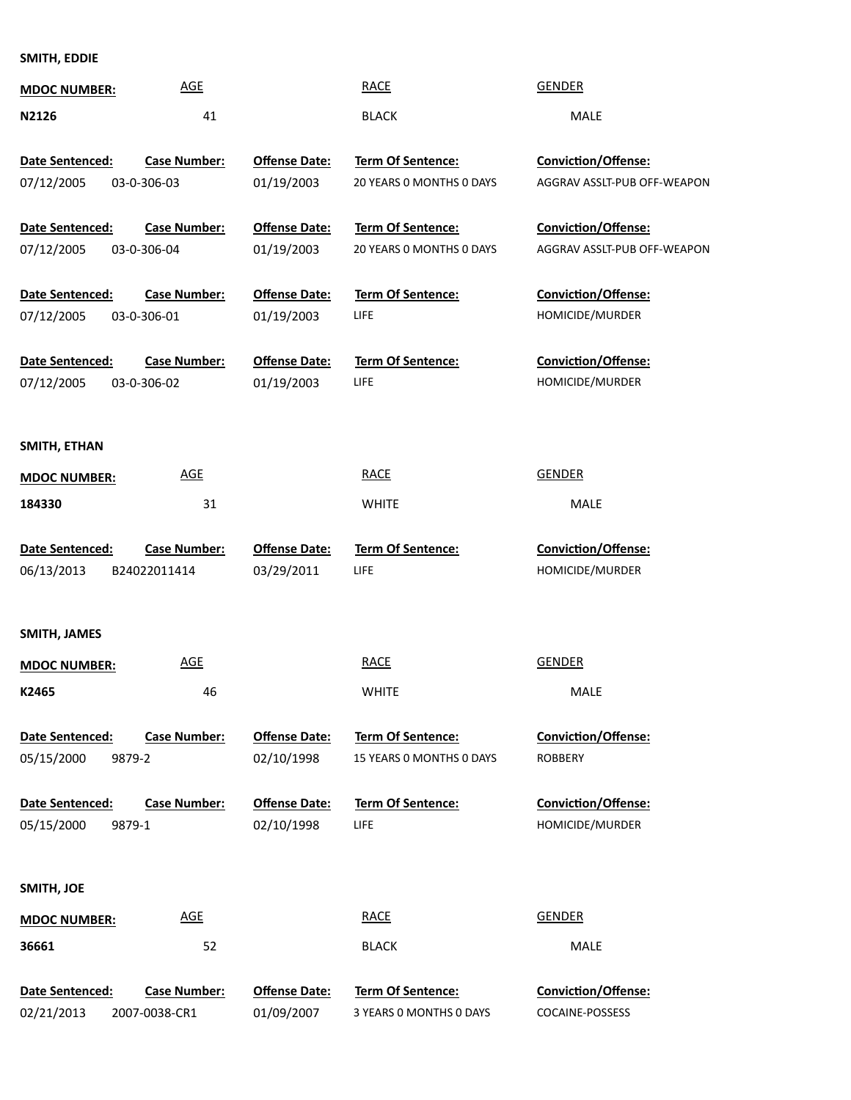**SMITH, EDDIE**

| <b>MDOC NUMBER:</b>    | <b>AGE</b>          |                      | <b>RACE</b>              | <b>GENDER</b>                                      |
|------------------------|---------------------|----------------------|--------------------------|----------------------------------------------------|
| N2126                  | 41                  |                      | <b>BLACK</b>             | <b>MALE</b>                                        |
|                        |                     |                      |                          |                                                    |
| Date Sentenced:        | <b>Case Number:</b> | <b>Offense Date:</b> | Term Of Sentence:        | Conviction/Offense:                                |
| 07/12/2005             | 03-0-306-03         | 01/19/2003           | 20 YEARS 0 MONTHS 0 DAYS | AGGRAV ASSLT-PUB OFF-WEAPON                        |
|                        |                     |                      |                          |                                                    |
| Date Sentenced:        | <b>Case Number:</b> | <b>Offense Date:</b> | <b>Term Of Sentence:</b> | Conviction/Offense:<br>AGGRAV ASSLT-PUB OFF-WEAPON |
| 07/12/2005             | 03-0-306-04         | 01/19/2003           | 20 YEARS 0 MONTHS 0 DAYS |                                                    |
| Date Sentenced:        | <b>Case Number:</b> | <b>Offense Date:</b> | <b>Term Of Sentence:</b> | Conviction/Offense:                                |
| 07/12/2005             | 03-0-306-01         | 01/19/2003           | LIFE                     | HOMICIDE/MURDER                                    |
|                        |                     |                      |                          |                                                    |
| <b>Date Sentenced:</b> | <b>Case Number:</b> | <b>Offense Date:</b> | Term Of Sentence:        | Conviction/Offense:                                |
| 07/12/2005             | 03-0-306-02         | 01/19/2003           | LIFE                     | HOMICIDE/MURDER                                    |
|                        |                     |                      |                          |                                                    |
|                        |                     |                      |                          |                                                    |
| SMITH, ETHAN           |                     |                      |                          |                                                    |
| <b>MDOC NUMBER:</b>    | <b>AGE</b>          |                      | <b>RACE</b>              | <b>GENDER</b>                                      |
| 184330                 | 31                  |                      | <b>WHITE</b>             | <b>MALE</b>                                        |
|                        |                     |                      |                          |                                                    |
| Date Sentenced:        | <b>Case Number:</b> | <b>Offense Date:</b> | Term Of Sentence:        | Conviction/Offense:                                |
| 06/13/2013             | B24022011414        | 03/29/2011           | LIFE                     | HOMICIDE/MURDER                                    |
|                        |                     |                      |                          |                                                    |
| SMITH, JAMES           |                     |                      |                          |                                                    |
| <b>MDOC NUMBER:</b>    | <b>AGE</b>          |                      | <b>RACE</b>              | <b>GENDER</b>                                      |
|                        |                     |                      |                          |                                                    |
| K2465                  | 46                  |                      | <b>WHITE</b>             | <b>MALE</b>                                        |
| Date Sentenced:        | <b>Case Number:</b> | <b>Offense Date:</b> | Term Of Sentence:        | <b>Conviction/Offense:</b>                         |
| 05/15/2000<br>9879-2   |                     | 02/10/1998           | 15 YEARS 0 MONTHS 0 DAYS | <b>ROBBERY</b>                                     |
|                        |                     |                      |                          |                                                    |
| Date Sentenced:        | <b>Case Number:</b> | <b>Offense Date:</b> | Term Of Sentence:        | <b>Conviction/Offense:</b>                         |
| 9879-1<br>05/15/2000   |                     | 02/10/1998           | LIFE                     | HOMICIDE/MURDER                                    |
|                        |                     |                      |                          |                                                    |
|                        |                     |                      |                          |                                                    |
| SMITH, JOE             |                     |                      |                          |                                                    |
| <b>MDOC NUMBER:</b>    | <b>AGE</b>          |                      | <b>RACE</b>              | <b>GENDER</b>                                      |
| 36661                  | 52                  |                      | <b>BLACK</b>             | MALE                                               |
|                        |                     |                      |                          |                                                    |
| Date Sentenced:        | <b>Case Number:</b> | <b>Offense Date:</b> | Term Of Sentence:        | Conviction/Offense:                                |
| 02/21/2013             | 2007-0038-CR1       | 01/09/2007           | 3 YEARS 0 MONTHS 0 DAYS  | COCAINE-POSSESS                                    |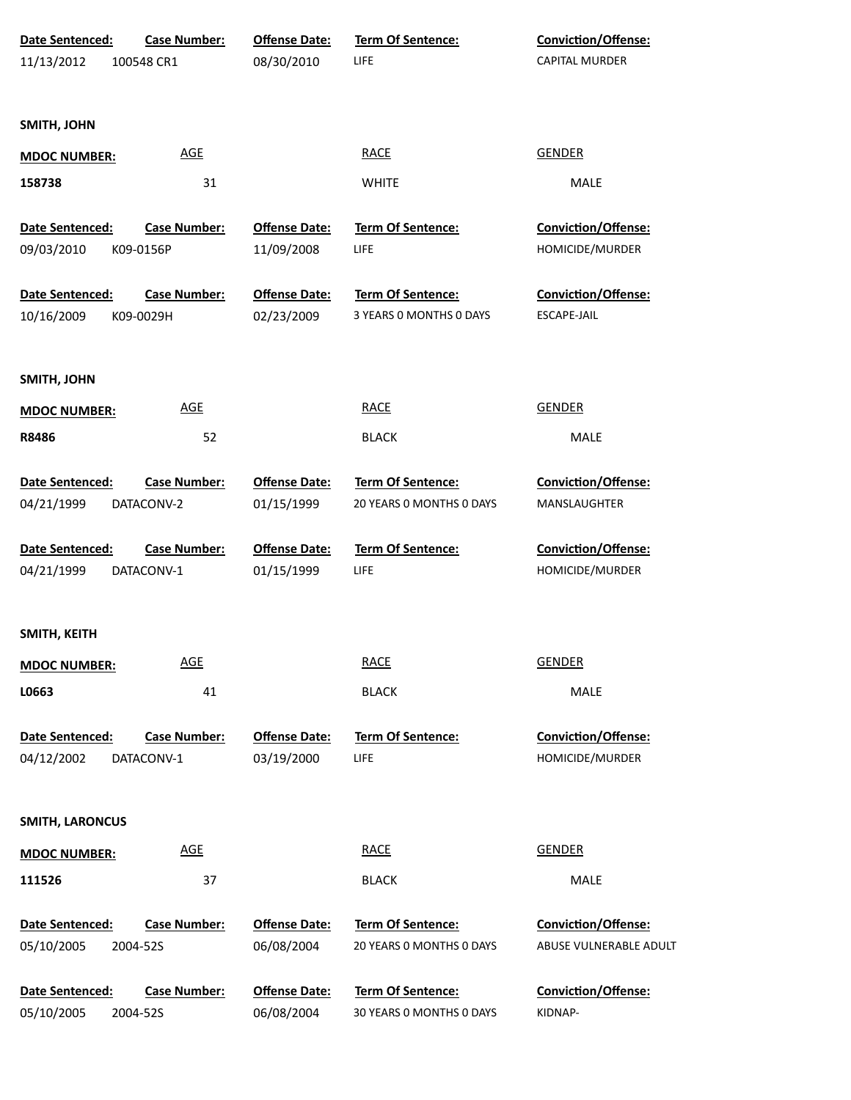| 11/13/2012<br>08/30/2010<br>LIFE<br>CAPITAL MURDER<br>100548 CR1                                           |  |
|------------------------------------------------------------------------------------------------------------|--|
| SMITH, JOHN                                                                                                |  |
|                                                                                                            |  |
|                                                                                                            |  |
| <b>GENDER</b><br><u>AGE</u><br><b>RACE</b><br><b>MDOC NUMBER:</b>                                          |  |
| 31<br>158738<br><b>WHITE</b><br>MALE                                                                       |  |
| Conviction/Offense:<br>Date Sentenced:<br><b>Case Number:</b><br><b>Offense Date:</b><br>Term Of Sentence: |  |
| LIFE<br>09/03/2010<br>11/09/2008<br>HOMICIDE/MURDER<br>K09-0156P                                           |  |
| Conviction/Offense:<br>Date Sentenced:<br><b>Case Number:</b><br><b>Offense Date:</b><br>Term Of Sentence: |  |
| 10/16/2009<br>K09-0029H<br>02/23/2009<br>3 YEARS 0 MONTHS 0 DAYS<br><b>ESCAPE-JAIL</b>                     |  |
|                                                                                                            |  |
| SMITH, JOHN                                                                                                |  |
| <b>GENDER</b><br><b>AGE</b><br><b>RACE</b><br><b>MDOC NUMBER:</b>                                          |  |
| R8486<br>52<br>MALE<br><b>BLACK</b>                                                                        |  |
| Conviction/Offense:<br>Date Sentenced:<br><b>Case Number:</b><br><b>Offense Date:</b><br>Term Of Sentence: |  |
| 20 YEARS 0 MONTHS 0 DAYS<br>04/21/1999<br>DATACONV-2<br>01/15/1999<br>MANSLAUGHTER                         |  |
| Term Of Sentence:<br>Conviction/Offense:<br>Date Sentenced:<br><b>Case Number:</b><br><b>Offense Date:</b> |  |
| 01/15/1999<br>HOMICIDE/MURDER<br>04/21/1999<br>DATACONV-1<br><b>LIFE</b>                                   |  |
|                                                                                                            |  |
| SMITH, KEITH                                                                                               |  |
| <b>RACE</b><br><b>GENDER</b><br><b>AGE</b><br><b>MDOC NUMBER:</b>                                          |  |
| L0663<br>41<br><b>BLACK</b><br>MALE                                                                        |  |
| Term Of Sentence:<br>Conviction/Offense:<br>Date Sentenced:<br><b>Case Number:</b><br><b>Offense Date:</b> |  |
| LIFE<br>HOMICIDE/MURDER<br>04/12/2002<br>DATACONV-1<br>03/19/2000                                          |  |
|                                                                                                            |  |
| <b>SMITH, LARONCUS</b>                                                                                     |  |
| <b>GENDER</b><br><b>AGE</b><br><b>RACE</b><br><b>MDOC NUMBER:</b>                                          |  |
| 37<br><b>BLACK</b><br>111526<br>MALE                                                                       |  |
| Term Of Sentence:<br>Conviction/Offense:<br>Date Sentenced:<br><b>Case Number:</b><br><b>Offense Date:</b> |  |
| 06/08/2004<br>20 YEARS 0 MONTHS 0 DAYS<br>ABUSE VULNERABLE ADULT<br>05/10/2005<br>2004-52S                 |  |
| Term Of Sentence:<br>Date Sentenced:<br><b>Case Number:</b><br><b>Offense Date:</b><br>Conviction/Offense: |  |
| 05/10/2005<br>06/08/2004<br>30 YEARS 0 MONTHS 0 DAYS<br>KIDNAP-<br>2004-52S                                |  |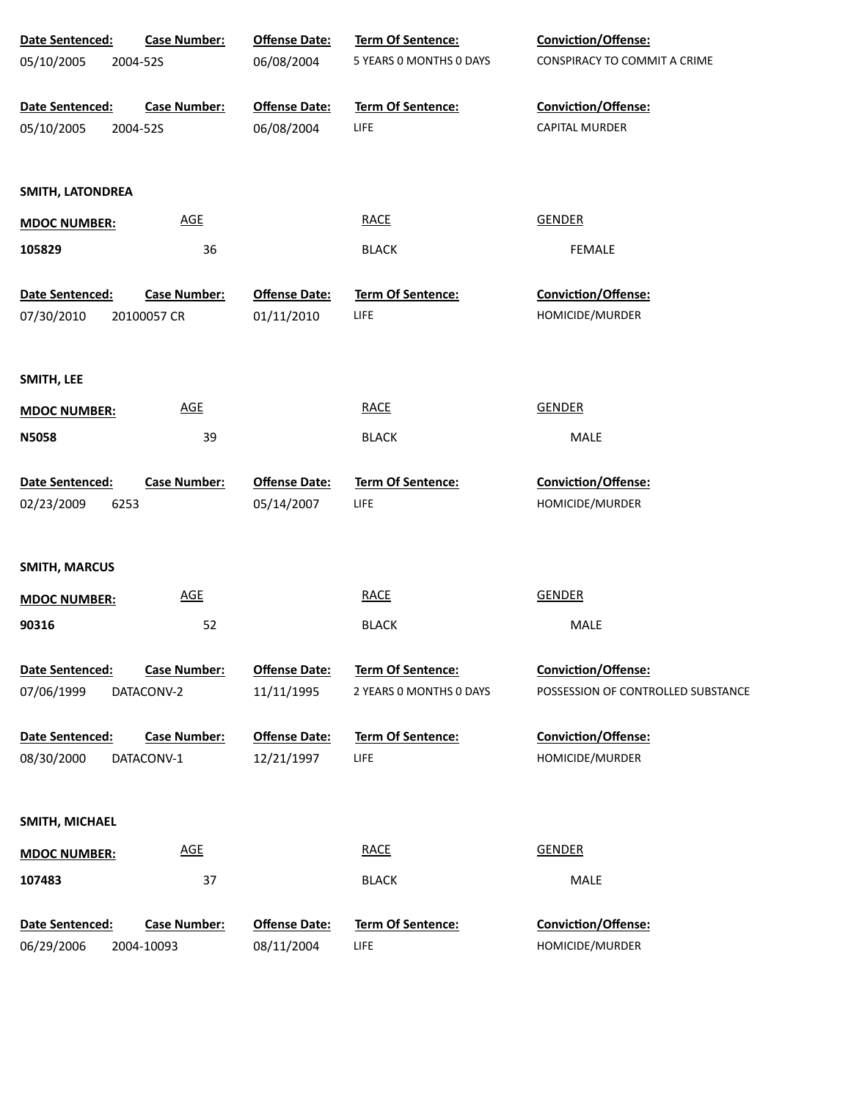| Date Sentenced:      | <b>Case Number:</b>        | <b>Offense Date:</b> | Term Of Sentence:        | <b>Conviction/Offense:</b>         |
|----------------------|----------------------------|----------------------|--------------------------|------------------------------------|
| 05/10/2005           | 2004-52S                   | 06/08/2004           | 5 YEARS 0 MONTHS 0 DAYS  | CONSPIRACY TO COMMIT A CRIME       |
|                      |                            |                      |                          |                                    |
| Date Sentenced:      | <b>Case Number:</b>        | <b>Offense Date:</b> | Term Of Sentence:        | Conviction/Offense:                |
| 05/10/2005           | 2004-52S                   | 06/08/2004           | LIFE                     | <b>CAPITAL MURDER</b>              |
| SMITH, LATONDREA     |                            |                      |                          |                                    |
| <b>MDOC NUMBER:</b>  | <b>AGE</b>                 |                      | <b>RACE</b>              | <b>GENDER</b>                      |
| 105829               |                            |                      |                          | <b>FEMALE</b>                      |
|                      | 36                         |                      | <b>BLACK</b>             |                                    |
| Date Sentenced:      | <b>Case Number:</b>        | <b>Offense Date:</b> | <b>Term Of Sentence:</b> | Conviction/Offense:                |
| 07/30/2010           | 20100057 CR                | 01/11/2010           | LIFE                     | HOMICIDE/MURDER                    |
|                      |                            |                      |                          |                                    |
| SMITH, LEE           | <b>AGE</b>                 |                      | <b>RACE</b>              | <b>GENDER</b>                      |
| <b>MDOC NUMBER:</b>  |                            |                      |                          |                                    |
| <b>N5058</b>         | 39                         |                      | <b>BLACK</b>             | MALE                               |
| Date Sentenced:      | <b>Case Number:</b>        | <b>Offense Date:</b> | Term Of Sentence:        | Conviction/Offense:                |
| 02/23/2009<br>6253   |                            | 05/14/2007           | LIFE                     | HOMICIDE/MURDER                    |
|                      |                            |                      |                          |                                    |
| <b>SMITH, MARCUS</b> |                            |                      |                          |                                    |
| <b>MDOC NUMBER:</b>  | AGE                        |                      | <b>RACE</b>              | <b>GENDER</b>                      |
| 90316                | 52                         |                      | <b>BLACK</b>             | MALE                               |
| Date Sentenced:      | <b>Case Number:</b>        | <b>Offense Date:</b> | <b>Term Of Sentence:</b> | <b>Conviction/Offense:</b>         |
| 07/06/1999           | DATACONV-2                 | 11/11/1995           | 2 YEARS 0 MONTHS 0 DAYS  | POSSESSION OF CONTROLLED SUBSTANCE |
| Date Sentenced:      | <b>Case Number:</b>        | <b>Offense Date:</b> | <b>Term Of Sentence:</b> | Conviction/Offense:                |
| 08/30/2000           | DATACONV-1                 | 12/21/1997           | LIFE                     | HOMICIDE/MURDER                    |
|                      |                            |                      |                          |                                    |
| SMITH, MICHAEL       |                            |                      |                          |                                    |
| <b>MDOC NUMBER:</b>  | $\underline{\mathsf{AGE}}$ |                      | <b>RACE</b>              | <b>GENDER</b>                      |
| 107483               | 37                         |                      | <b>BLACK</b>             | MALE                               |
| Date Sentenced:      | <b>Case Number:</b>        | <b>Offense Date:</b> | Term Of Sentence:        | Conviction/Offense:                |
| 06/29/2006           | 2004-10093                 | 08/11/2004           | LIFE                     | HOMICIDE/MURDER                    |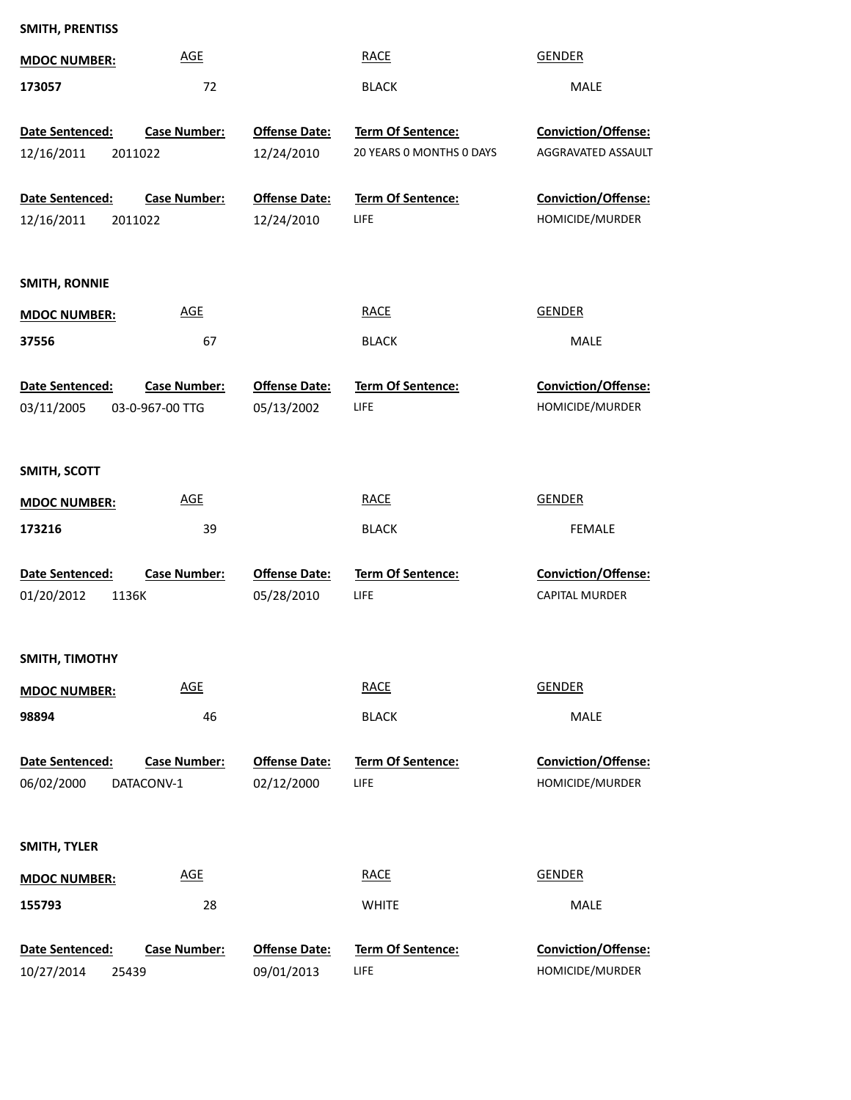| SMITH, PRENTISS       |                     |                      |                          |                       |
|-----------------------|---------------------|----------------------|--------------------------|-----------------------|
| <b>MDOC NUMBER:</b>   | <b>AGE</b>          |                      | <b>RACE</b>              | <b>GENDER</b>         |
| 173057                | 72                  |                      | <b>BLACK</b>             | MALE                  |
| Date Sentenced:       | <b>Case Number:</b> | <b>Offense Date:</b> | Term Of Sentence:        | Conviction/Offense:   |
| 12/16/2011<br>2011022 |                     | 12/24/2010           | 20 YEARS 0 MONTHS 0 DAYS | AGGRAVATED ASSAULT    |
|                       |                     |                      |                          |                       |
| Date Sentenced:       | <b>Case Number:</b> | <b>Offense Date:</b> | Term Of Sentence:        | Conviction/Offense:   |
| 12/16/2011<br>2011022 |                     | 12/24/2010           | LIFE                     | HOMICIDE/MURDER       |
| <b>SMITH, RONNIE</b>  |                     |                      |                          |                       |
| <b>MDOC NUMBER:</b>   | <b>AGE</b>          |                      | <b>RACE</b>              | <b>GENDER</b>         |
| 37556                 | 67                  |                      | <b>BLACK</b>             | MALE                  |
| Date Sentenced:       | <b>Case Number:</b> | <b>Offense Date:</b> | Term Of Sentence:        | Conviction/Offense:   |
| 03/11/2005            | 03-0-967-00 TTG     | 05/13/2002           | LIFE                     | HOMICIDE/MURDER       |
|                       |                     |                      |                          |                       |
| SMITH, SCOTT          |                     |                      |                          |                       |
| <b>MDOC NUMBER:</b>   | <b>AGE</b>          |                      | <b>RACE</b>              | <b>GENDER</b>         |
| 173216                | 39                  |                      | <b>BLACK</b>             | FEMALE                |
| Date Sentenced:       | Case Number:        | <b>Offense Date:</b> | Term Of Sentence:        | Conviction/Offense:   |
| 01/20/2012<br>1136K   |                     | 05/28/2010           | LIFE                     | <b>CAPITAL MURDER</b> |
|                       |                     |                      |                          |                       |
| SMITH, TIMOTHY        |                     |                      |                          |                       |
| <b>MDOC NUMBER:</b>   | <b>AGE</b>          |                      | <b>RACE</b>              | <b>GENDER</b>         |
| 98894                 | 46                  |                      | <b>BLACK</b>             | MALE                  |
| Date Sentenced:       | <b>Case Number:</b> | <b>Offense Date:</b> | <b>Term Of Sentence:</b> | Conviction/Offense:   |
| 06/02/2000            | DATACONV-1          | 02/12/2000           | LIFE                     | HOMICIDE/MURDER       |
|                       |                     |                      |                          |                       |
| SMITH, TYLER          |                     |                      |                          |                       |
| <b>MDOC NUMBER:</b>   | <b>AGE</b>          |                      | <b>RACE</b>              | <b>GENDER</b>         |
| 155793                | 28                  |                      | <b>WHITE</b>             | MALE                  |
| Date Sentenced:       | Case Number:        | <b>Offense Date:</b> | Term Of Sentence:        | Conviction/Offense:   |
| 10/27/2014<br>25439   |                     | 09/01/2013           | LIFE                     | HOMICIDE/MURDER       |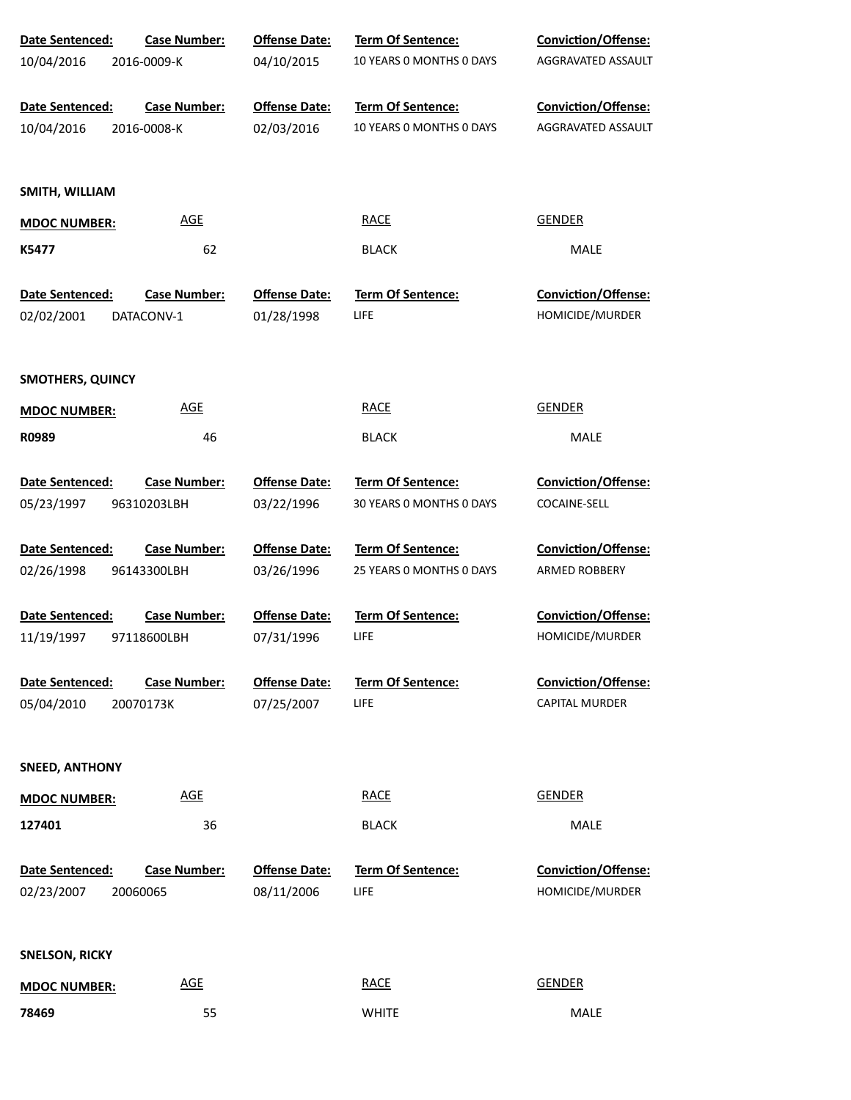| Date Sentenced:         | <b>Case Number:</b> | <b>Offense Date:</b> | Term Of Sentence:        | Conviction/Offense:        |  |
|-------------------------|---------------------|----------------------|--------------------------|----------------------------|--|
| 10/04/2016              | 2016-0009-K         | 04/10/2015           | 10 YEARS 0 MONTHS 0 DAYS | AGGRAVATED ASSAULT         |  |
| Date Sentenced:         | <b>Case Number:</b> | <b>Offense Date:</b> | Term Of Sentence:        | Conviction/Offense:        |  |
| 10/04/2016              | 2016-0008-K         | 02/03/2016           | 10 YEARS 0 MONTHS 0 DAYS | AGGRAVATED ASSAULT         |  |
| SMITH, WILLIAM          |                     |                      |                          |                            |  |
| <b>MDOC NUMBER:</b>     | <b>AGE</b>          |                      | <b>RACE</b>              | <b>GENDER</b>              |  |
| K5477                   | 62                  |                      | <b>BLACK</b>             | MALE                       |  |
| Date Sentenced:         | <b>Case Number:</b> | <b>Offense Date:</b> | Term Of Sentence:        | Conviction/Offense:        |  |
| 02/02/2001              | DATACONV-1          | 01/28/1998           | LIFE                     | HOMICIDE/MURDER            |  |
| <b>SMOTHERS, QUINCY</b> |                     |                      |                          |                            |  |
| <b>MDOC NUMBER:</b>     | <b>AGE</b>          |                      | <b>RACE</b>              | <b>GENDER</b>              |  |
| R0989                   | 46                  |                      | <b>BLACK</b>             | MALE                       |  |
| Date Sentenced:         | <b>Case Number:</b> | <b>Offense Date:</b> | Term Of Sentence:        | <b>Conviction/Offense:</b> |  |
| 05/23/1997              | 96310203LBH         | 03/22/1996           | 30 YEARS 0 MONTHS 0 DAYS | COCAINE-SELL               |  |
| Date Sentenced:         | <b>Case Number:</b> | <b>Offense Date:</b> | Term Of Sentence:        | <b>Conviction/Offense:</b> |  |
| 02/26/1998              | 96143300LBH         | 03/26/1996           | 25 YEARS O MONTHS O DAYS | <b>ARMED ROBBERY</b>       |  |
| Date Sentenced:         | <b>Case Number:</b> | <b>Offense Date:</b> | Term Of Sentence:        | Conviction/Offense:        |  |
| 11/19/1997              | 97118600LBH         | 07/31/1996           | <b>LIFE</b>              | HOMICIDE/MURDER            |  |
| Date Sentenced:         | <b>Case Number:</b> | <b>Offense Date:</b> | Term Of Sentence:        | Conviction/Offense:        |  |
| 05/04/2010              | 20070173K           | 07/25/2007           | LIFE                     | <b>CAPITAL MURDER</b>      |  |
| <b>SNEED, ANTHONY</b>   |                     |                      |                          |                            |  |
| <b>MDOC NUMBER:</b>     | <b>AGE</b>          |                      | <b>RACE</b>              | <b>GENDER</b>              |  |
| 127401                  | 36                  |                      | <b>BLACK</b>             | <b>MALE</b>                |  |
| Date Sentenced:         | <b>Case Number:</b> | <b>Offense Date:</b> | <b>Term Of Sentence:</b> | Conviction/Offense:        |  |
| 02/23/2007              | 20060065            | 08/11/2006           | <b>LIFE</b>              | HOMICIDE/MURDER            |  |
| <b>SNELSON, RICKY</b>   |                     |                      |                          |                            |  |
| <b>MDOC NUMBER:</b>     | <b>AGE</b>          |                      | <b>RACE</b>              | <b>GENDER</b>              |  |
| 78469                   | 55                  |                      | <b>WHITE</b>             | MALE                       |  |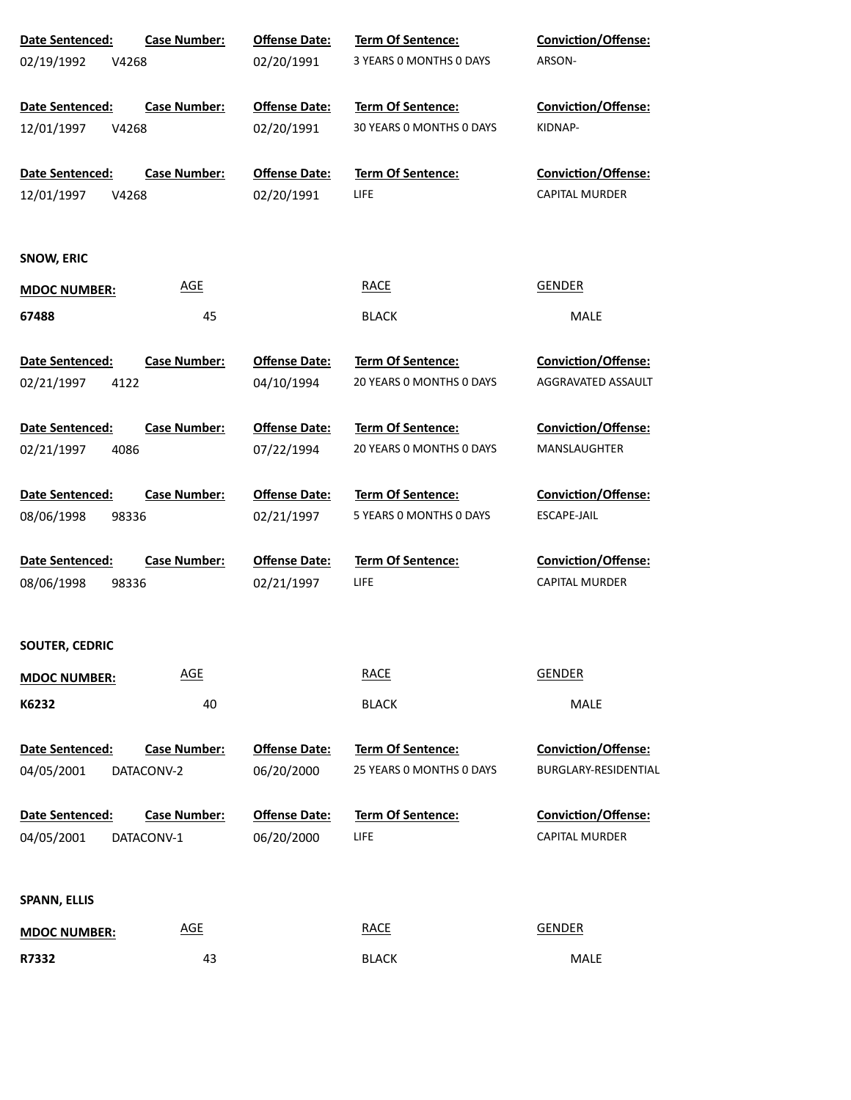| Date Sentenced:     | <b>Case Number:</b> | <b>Offense Date:</b> | Term Of Sentence:        | <b>Conviction/Offense:</b> |
|---------------------|---------------------|----------------------|--------------------------|----------------------------|
| 02/19/1992<br>V4268 |                     | 02/20/1991           | 3 YEARS 0 MONTHS 0 DAYS  | ARSON-                     |
| Date Sentenced:     | <b>Case Number:</b> | <b>Offense Date:</b> | <b>Term Of Sentence:</b> | Conviction/Offense:        |
| 12/01/1997<br>V4268 |                     | 02/20/1991           | 30 YEARS 0 MONTHS 0 DAYS | KIDNAP-                    |
| Date Sentenced:     | <b>Case Number:</b> | <b>Offense Date:</b> | <b>Term Of Sentence:</b> | Conviction/Offense:        |
| 12/01/1997<br>V4268 |                     | 02/20/1991           | LIFE                     | <b>CAPITAL MURDER</b>      |
| <b>SNOW, ERIC</b>   |                     |                      |                          |                            |
| <b>MDOC NUMBER:</b> | <b>AGE</b>          |                      | <b>RACE</b>              | <b>GENDER</b>              |
| 67488               | 45                  |                      | <b>BLACK</b>             | <b>MALE</b>                |
| Date Sentenced:     | <b>Case Number:</b> | <b>Offense Date:</b> | Term Of Sentence:        | Conviction/Offense:        |
| 02/21/1997<br>4122  |                     | 04/10/1994           | 20 YEARS 0 MONTHS 0 DAYS | AGGRAVATED ASSAULT         |
| Date Sentenced:     | <b>Case Number:</b> | <b>Offense Date:</b> | Term Of Sentence:        | Conviction/Offense:        |
| 02/21/1997<br>4086  |                     | 07/22/1994           | 20 YEARS 0 MONTHS 0 DAYS | MANSLAUGHTER               |
| Date Sentenced:     | <b>Case Number:</b> | <b>Offense Date:</b> | Term Of Sentence:        | Conviction/Offense:        |
| 08/06/1998<br>98336 |                     | 02/21/1997           | 5 YEARS 0 MONTHS 0 DAYS  | <b>ESCAPE-JAIL</b>         |
| Date Sentenced:     | <b>Case Number:</b> | <b>Offense Date:</b> | Term Of Sentence:        | Conviction/Offense:        |
| 08/06/1998<br>98336 |                     | 02/21/1997           | LIFE                     | <b>CAPITAL MURDER</b>      |
| SOUTER, CEDRIC      |                     |                      |                          |                            |
| <b>MDOC NUMBER:</b> | <b>AGE</b>          |                      | <b>RACE</b>              | <b>GENDER</b>              |
| K6232               | 40                  |                      | <b>BLACK</b>             | MALE                       |
| Date Sentenced:     | <b>Case Number:</b> | <b>Offense Date:</b> | Term Of Sentence:        | Conviction/Offense:        |
| 04/05/2001          | DATACONV-2          | 06/20/2000           | 25 YEARS O MONTHS O DAYS | BURGLARY-RESIDENTIAL       |
| Date Sentenced:     | <b>Case Number:</b> | <b>Offense Date:</b> | <b>Term Of Sentence:</b> | Conviction/Offense:        |
| 04/05/2001          | DATACONV-1          | 06/20/2000           | LIFE                     | <b>CAPITAL MURDER</b>      |
| <b>SPANN, ELLIS</b> |                     |                      |                          |                            |
| <b>MDOC NUMBER:</b> | <b>AGE</b>          |                      | <b>RACE</b>              | <b>GENDER</b>              |
| R7332               | 43                  |                      | <b>BLACK</b>             | MALE                       |
|                     |                     |                      |                          |                            |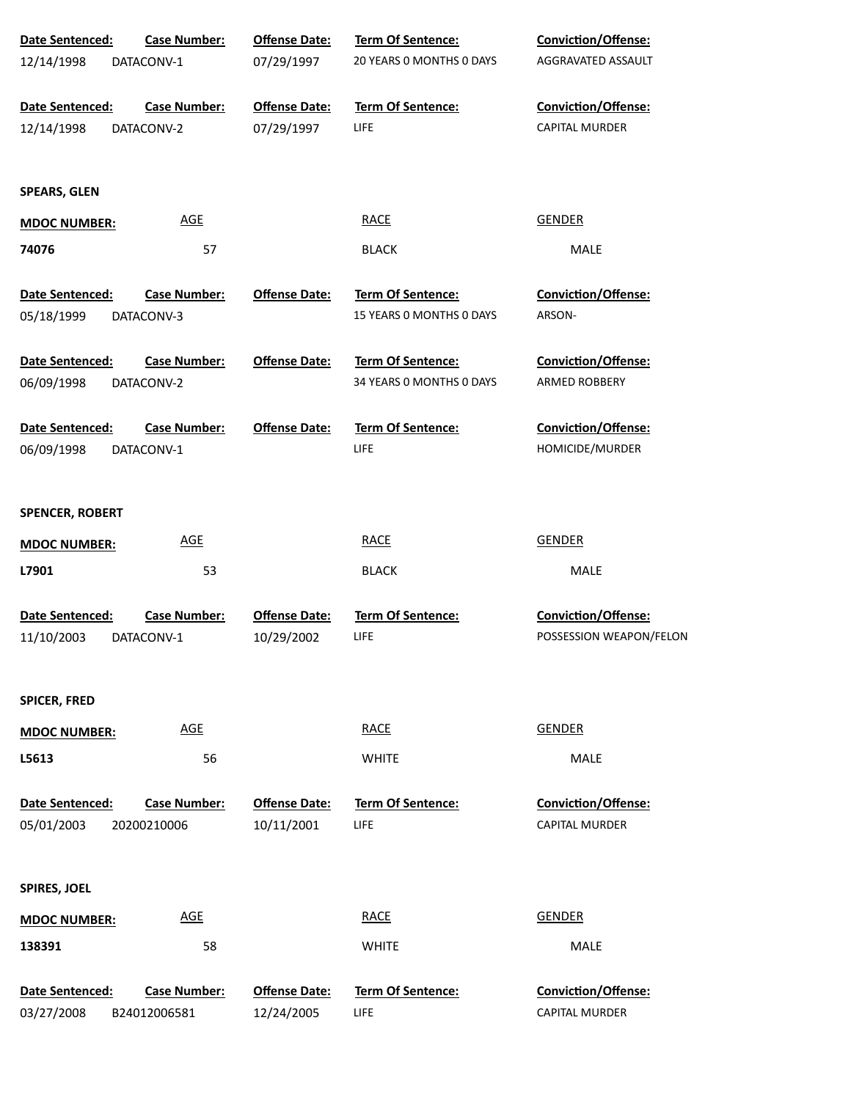| Date Sentenced:                      | <b>Case Number:</b>                 | <b>Offense Date:</b>               | <b>Term Of Sentence:</b>                      | Conviction/Offense:                                 |
|--------------------------------------|-------------------------------------|------------------------------------|-----------------------------------------------|-----------------------------------------------------|
| 12/14/1998                           | DATACONV-1                          | 07/29/1997                         | 20 YEARS 0 MONTHS 0 DAYS                      | AGGRAVATED ASSAULT                                  |
| Date Sentenced:                      | <b>Case Number:</b>                 | <b>Offense Date:</b>               | Term Of Sentence:                             | Conviction/Offense:                                 |
| 12/14/1998                           | DATACONV-2                          | 07/29/1997                         | LIFE                                          | <b>CAPITAL MURDER</b>                               |
| <b>SPEARS, GLEN</b>                  |                                     |                                    |                                               |                                                     |
| <b>MDOC NUMBER:</b>                  | <b>AGE</b>                          |                                    | <b>RACE</b>                                   | <b>GENDER</b>                                       |
| 74076                                | 57                                  |                                    | <b>BLACK</b>                                  | MALE                                                |
| Date Sentenced:<br>05/18/1999        | <b>Case Number:</b><br>DATACONV-3   | <b>Offense Date:</b>               | Term Of Sentence:<br>15 YEARS 0 MONTHS 0 DAYS | <b>Conviction/Offense:</b><br>ARSON-                |
| Date Sentenced:                      | <b>Case Number:</b>                 | <b>Offense Date:</b>               | <b>Term Of Sentence:</b>                      | <b>Conviction/Offense:</b>                          |
| 06/09/1998                           | DATACONV-2                          |                                    | 34 YEARS O MONTHS O DAYS                      | ARMED ROBBERY                                       |
| Date Sentenced:                      | <b>Case Number:</b>                 | <b>Offense Date:</b>               | <b>Term Of Sentence:</b>                      | <b>Conviction/Offense:</b>                          |
| 06/09/1998                           | DATACONV-1                          |                                    | <b>LIFE</b>                                   | HOMICIDE/MURDER                                     |
| <b>SPENCER, ROBERT</b>               |                                     |                                    |                                               |                                                     |
| <b>MDOC NUMBER:</b>                  | <b>AGE</b>                          |                                    | <b>RACE</b>                                   | <b>GENDER</b>                                       |
| L7901                                | 53                                  |                                    | <b>BLACK</b>                                  | MALE                                                |
| Date Sentenced:<br>11/10/2003        | <b>Case Number:</b><br>DATACONV-1   | <b>Offense Date:</b><br>10/29/2002 | Term Of Sentence:<br>LIFE                     | Conviction/Offense:<br>POSSESSION WEAPON/FELON      |
|                                      |                                     |                                    |                                               |                                                     |
| <b>SPICER, FRED</b>                  |                                     |                                    |                                               |                                                     |
| <b>MDOC NUMBER:</b>                  | <b>AGE</b>                          |                                    | <b>RACE</b>                                   | <b>GENDER</b>                                       |
| L5613                                | 56                                  |                                    | <b>WHITE</b>                                  | MALE                                                |
| <b>Date Sentenced:</b><br>05/01/2003 | <b>Case Number:</b><br>20200210006  | <b>Offense Date:</b><br>10/11/2001 | <b>Term Of Sentence:</b><br>LIFE              | <b>Conviction/Offense:</b><br><b>CAPITAL MURDER</b> |
| <b>SPIRES, JOEL</b>                  |                                     |                                    |                                               |                                                     |
| <b>MDOC NUMBER:</b>                  | <b>AGE</b>                          |                                    | <b>RACE</b>                                   | <b>GENDER</b>                                       |
| 138391                               | 58                                  |                                    | <b>WHITE</b>                                  | MALE                                                |
| Date Sentenced:<br>03/27/2008        | <b>Case Number:</b><br>B24012006581 | <b>Offense Date:</b><br>12/24/2005 | Term Of Sentence:<br>LIFE                     | Conviction/Offense:<br><b>CAPITAL MURDER</b>        |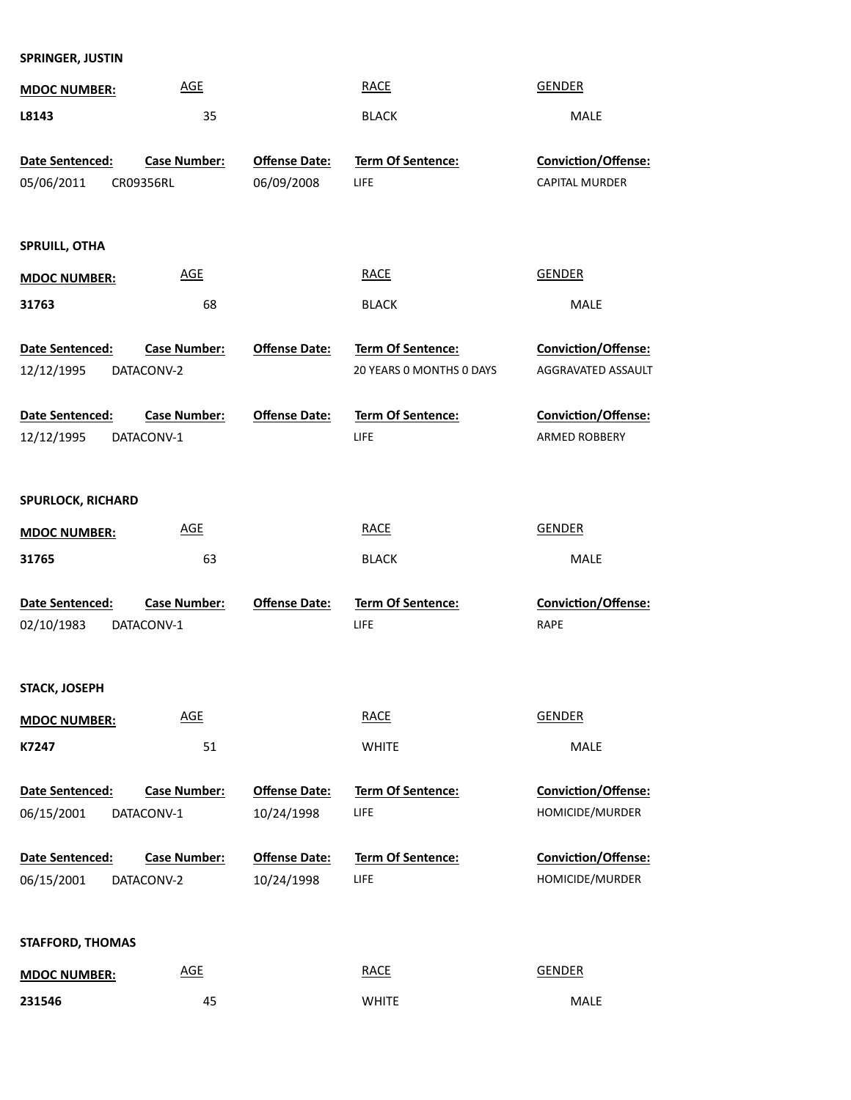| <b>MDOC NUMBER:</b>           | <b>AGE</b>                 |                                    | <b>RACE</b>              | <b>GENDER</b>         |
|-------------------------------|----------------------------|------------------------------------|--------------------------|-----------------------|
| L8143                         | 35                         |                                    | <b>BLACK</b>             | MALE                  |
|                               |                            |                                    |                          |                       |
| Date Sentenced:               | <b>Case Number:</b>        | <b>Offense Date:</b>               | <b>Term Of Sentence:</b> | Conviction/Offense:   |
| 05/06/2011                    | CR09356RL                  | 06/09/2008                         | LIFE                     | <b>CAPITAL MURDER</b> |
|                               |                            |                                    |                          |                       |
| <b>SPRUILL, OTHA</b>          |                            |                                    |                          |                       |
| <b>MDOC NUMBER:</b>           | <b>AGE</b>                 |                                    | <b>RACE</b>              | <b>GENDER</b>         |
| 31763                         | 68                         |                                    | <b>BLACK</b>             | MALE                  |
|                               |                            |                                    |                          |                       |
| Date Sentenced:               | <b>Case Number:</b>        | <b>Offense Date:</b>               | Term Of Sentence:        | Conviction/Offense:   |
| 12/12/1995                    | DATACONV-2                 |                                    | 20 YEARS 0 MONTHS 0 DAYS | AGGRAVATED ASSAULT    |
|                               | <b>Case Number:</b>        | <b>Offense Date:</b>               | <b>Term Of Sentence:</b> | Conviction/Offense:   |
| Date Sentenced:<br>12/12/1995 | DATACONV-1                 |                                    | LIFE                     | ARMED ROBBERY         |
|                               |                            |                                    |                          |                       |
|                               |                            |                                    |                          |                       |
| <b>SPURLOCK, RICHARD</b>      |                            |                                    |                          |                       |
| <b>MDOC NUMBER:</b>           | <b>AGE</b>                 |                                    | <b>RACE</b>              | <b>GENDER</b>         |
| 31765                         | 63                         |                                    | <b>BLACK</b>             | MALE                  |
|                               |                            |                                    |                          |                       |
| Date Sentenced:               | <b>Case Number:</b>        | <b>Offense Date:</b>               | Term Of Sentence:        | Conviction/Offense:   |
| 02/10/1983                    | DATACONV-1                 |                                    | LIFE                     | <b>RAPE</b>           |
|                               |                            |                                    |                          |                       |
| STACK, JOSEPH                 |                            |                                    |                          |                       |
| <b>MDOC NUMBER:</b>           | <b>AGE</b>                 |                                    | <b>RACE</b>              | <b>GENDER</b>         |
| K7247                         | 51                         |                                    | <b>WHITE</b>             | MALE                  |
|                               |                            |                                    |                          |                       |
| Date Sentenced:               | Case Number:               | <b>Offense Date:</b>               | Term Of Sentence:        | Conviction/Offense:   |
| 06/15/2001                    | DATACONV-1                 | 10/24/1998                         | <b>LIFE</b>              | HOMICIDE/MURDER       |
|                               |                            |                                    | Term Of Sentence:        | Conviction/Offense:   |
| Date Sentenced:<br>06/15/2001 | Case Number:<br>DATACONV-2 | <b>Offense Date:</b><br>10/24/1998 | <b>LIFE</b>              | HOMICIDE/MURDER       |
|                               |                            |                                    |                          |                       |
|                               |                            |                                    |                          |                       |
| <b>STAFFORD, THOMAS</b>       |                            |                                    |                          |                       |
| <b>MDOC NUMBER:</b>           | <b>AGE</b>                 |                                    | <b>RACE</b>              | <b>GENDER</b>         |
|                               |                            |                                    |                          |                       |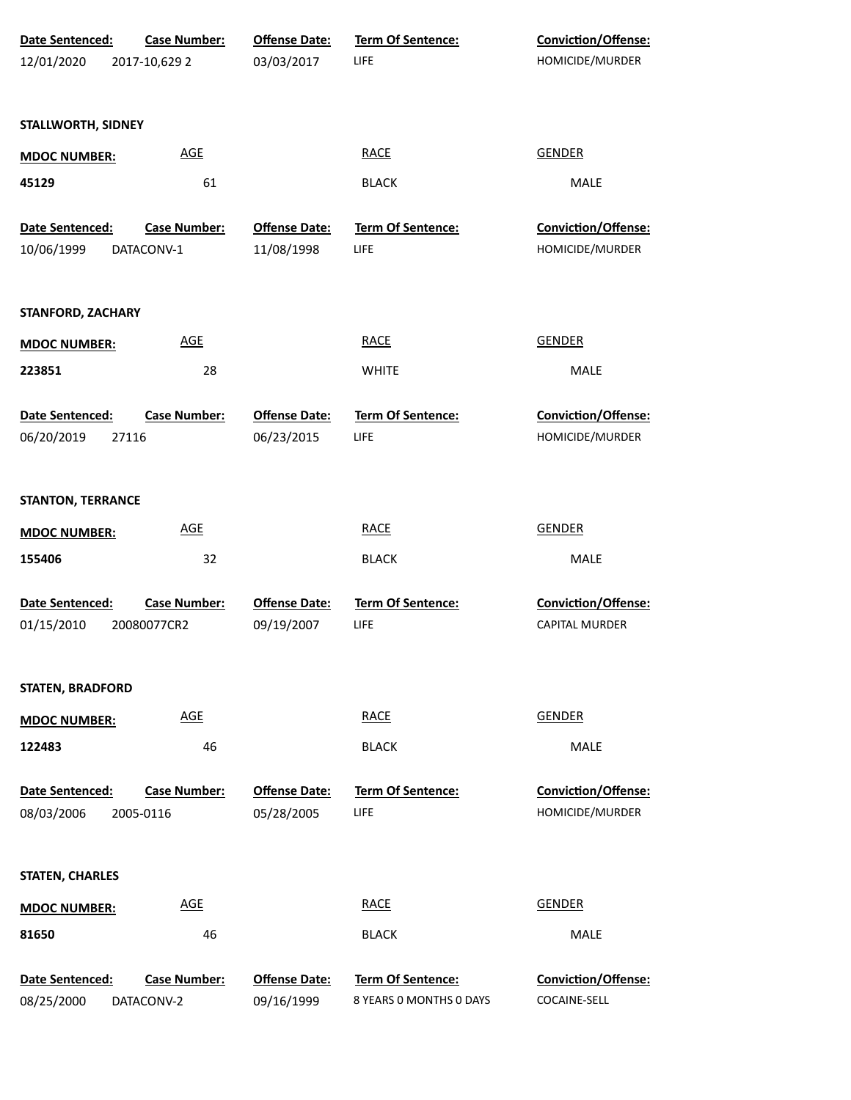| Date Sentenced:          | <b>Case Number:</b> | <b>Offense Date:</b> | Term Of Sentence:        | Conviction/Offense:   |
|--------------------------|---------------------|----------------------|--------------------------|-----------------------|
| 12/01/2020               | 2017-10,629 2       | 03/03/2017           | LIFE                     | HOMICIDE/MURDER       |
|                          |                     |                      |                          |                       |
| STALLWORTH, SIDNEY       |                     |                      |                          |                       |
| <b>MDOC NUMBER:</b>      | <b>AGE</b>          |                      | <b>RACE</b>              | <b>GENDER</b>         |
| 45129                    | 61                  |                      | <b>BLACK</b>             | MALE                  |
| Date Sentenced:          | Case Number:        | <b>Offense Date:</b> | Term Of Sentence:        | Conviction/Offense:   |
| 10/06/1999               | DATACONV-1          | 11/08/1998           | LIFE                     | HOMICIDE/MURDER       |
| <b>STANFORD, ZACHARY</b> |                     |                      |                          |                       |
| <b>MDOC NUMBER:</b>      | <b>AGE</b>          |                      | <b>RACE</b>              | <b>GENDER</b>         |
| 223851                   | 28                  |                      | <b>WHITE</b>             | <b>MALE</b>           |
| Date Sentenced:          | <b>Case Number:</b> | <b>Offense Date:</b> | Term Of Sentence:        | Conviction/Offense:   |
| 06/20/2019               | 27116               | 06/23/2015           | LIFE                     | HOMICIDE/MURDER       |
| <b>STANTON, TERRANCE</b> |                     |                      |                          |                       |
| <b>MDOC NUMBER:</b>      | <b>AGE</b>          |                      | <b>RACE</b>              | <b>GENDER</b>         |
| 155406                   | 32                  |                      | <b>BLACK</b>             | <b>MALE</b>           |
| <b>Date Sentenced:</b>   | <b>Case Number:</b> | <b>Offense Date:</b> | <b>Term Of Sentence:</b> | Conviction/Offense:   |
| 01/15/2010               | 20080077CR2         | 09/19/2007           | LIFE                     | <b>CAPITAL MURDER</b> |
| <b>STATEN, BRADFORD</b>  |                     |                      |                          |                       |
| <b>MDOC NUMBER:</b>      | <b>AGE</b>          |                      | <b>RACE</b>              | <b>GENDER</b>         |
| 122483                   | 46                  |                      | <b>BLACK</b>             | MALE                  |
| <b>Date Sentenced:</b>   | <b>Case Number:</b> | <b>Offense Date:</b> | <b>Term Of Sentence:</b> | Conviction/Offense:   |
| 08/03/2006               | 2005-0116           | 05/28/2005           | LIFE                     | HOMICIDE/MURDER       |
| <b>STATEN, CHARLES</b>   |                     |                      |                          |                       |
| <b>MDOC NUMBER:</b>      | <b>AGE</b>          |                      | <b>RACE</b>              | <b>GENDER</b>         |
| 81650                    | 46                  |                      | <b>BLACK</b>             | MALE                  |
| Date Sentenced:          | <b>Case Number:</b> | <b>Offense Date:</b> | Term Of Sentence:        | Conviction/Offense:   |
| 08/25/2000               | DATACONV-2          | 09/16/1999           | 8 YEARS 0 MONTHS 0 DAYS  | COCAINE-SELL          |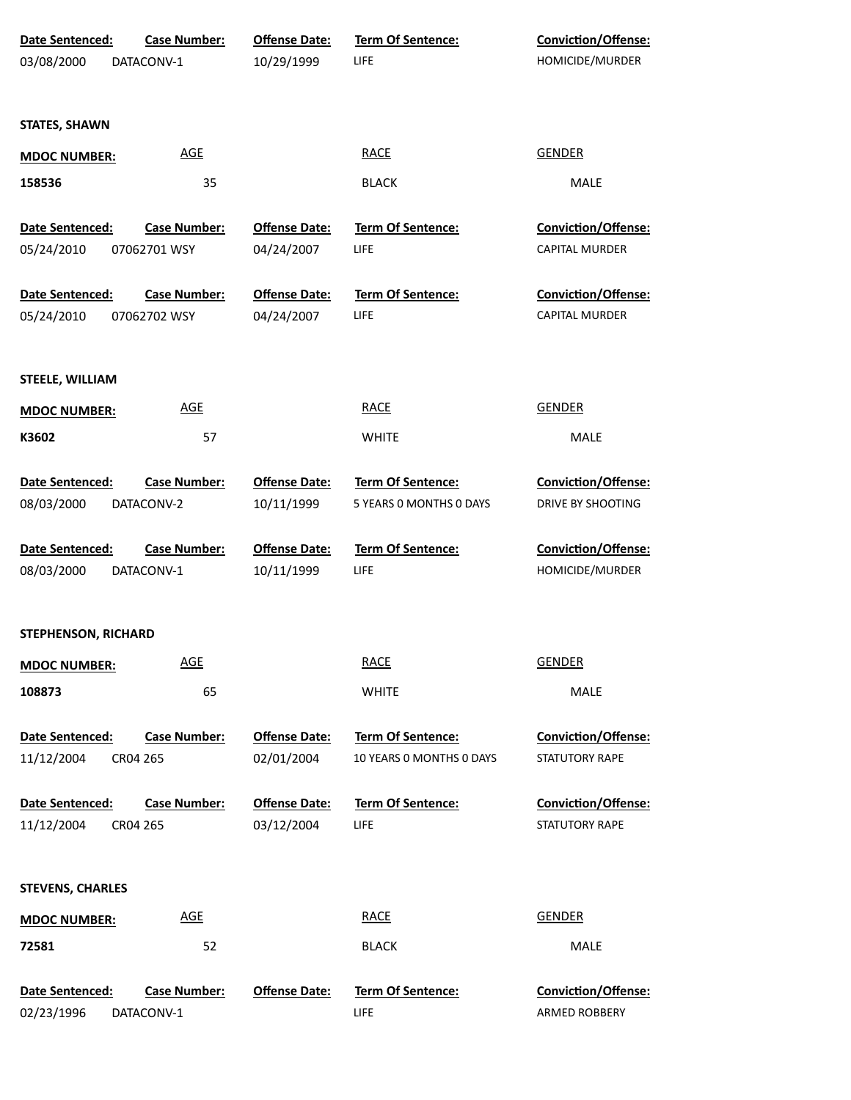| Date Sentenced:         | <b>Case Number:</b> | <b>Offense Date:</b> | Term Of Sentence:        | Conviction/Offense:        |
|-------------------------|---------------------|----------------------|--------------------------|----------------------------|
| 03/08/2000              | DATACONV-1          | 10/29/1999           | LIFE.                    | HOMICIDE/MURDER            |
|                         |                     |                      |                          |                            |
| <b>STATES, SHAWN</b>    |                     |                      |                          |                            |
| <b>MDOC NUMBER:</b>     | <b>AGE</b>          |                      | <b>RACE</b>              | <b>GENDER</b>              |
| 158536                  | 35                  |                      | <b>BLACK</b>             | MALE                       |
| Date Sentenced:         | <b>Case Number:</b> | <b>Offense Date:</b> | Term Of Sentence:        | Conviction/Offense:        |
| 05/24/2010              | 07062701 WSY        | 04/24/2007           | LIFE.                    | <b>CAPITAL MURDER</b>      |
| Date Sentenced:         | <b>Case Number:</b> | <b>Offense Date:</b> | Term Of Sentence:        | Conviction/Offense:        |
| 05/24/2010              | 07062702 WSY        | 04/24/2007           | <b>LIFE</b>              | <b>CAPITAL MURDER</b>      |
|                         |                     |                      |                          |                            |
| <b>STEELE, WILLIAM</b>  |                     |                      |                          |                            |
| <b>MDOC NUMBER:</b>     | <b>AGE</b>          |                      | <b>RACE</b>              | <b>GENDER</b>              |
| K3602                   | 57                  |                      | <b>WHITE</b>             | MALE                       |
| Date Sentenced:         | <b>Case Number:</b> | <b>Offense Date:</b> | <b>Term Of Sentence:</b> | <b>Conviction/Offense:</b> |
| 08/03/2000              | DATACONV-2          | 10/11/1999           | 5 YEARS 0 MONTHS 0 DAYS  | DRIVE BY SHOOTING          |
| Date Sentenced:         | <b>Case Number:</b> | <b>Offense Date:</b> | Term Of Sentence:        | <b>Conviction/Offense:</b> |
| 08/03/2000              | DATACONV-1          | 10/11/1999           | <b>LIFE</b>              | HOMICIDE/MURDER            |
|                         |                     |                      |                          |                            |
| STEPHENSON, RICHARD     |                     |                      |                          |                            |
| <b>MDOC NUMBER:</b>     | <b>AGE</b>          |                      | <b>RACE</b>              | <b>GENDER</b>              |
| 108873                  | 65                  |                      | <b>WHITE</b>             | MALE                       |
| Date Sentenced:         | <b>Case Number:</b> | <b>Offense Date:</b> | Term Of Sentence:        | Conviction/Offense:        |
| 11/12/2004              | CR04 265            | 02/01/2004           | 10 YEARS 0 MONTHS 0 DAYS | STATUTORY RAPE             |
| Date Sentenced:         | <b>Case Number:</b> | <b>Offense Date:</b> | <b>Term Of Sentence:</b> | Conviction/Offense:        |
| 11/12/2004              | CR04 265            | 03/12/2004           | LIFE                     | STATUTORY RAPE             |
|                         |                     |                      |                          |                            |
| <b>STEVENS, CHARLES</b> |                     |                      |                          |                            |
| <b>MDOC NUMBER:</b>     | <b>AGE</b>          |                      | <b>RACE</b>              | <b>GENDER</b>              |
| 72581                   | 52                  |                      | <b>BLACK</b>             | MALE                       |
| Date Sentenced:         | <b>Case Number:</b> | <b>Offense Date:</b> | Term Of Sentence:        | Conviction/Offense:        |
| 02/23/1996              | DATACONV-1          |                      | <b>LIFE</b>              | ARMED ROBBERY              |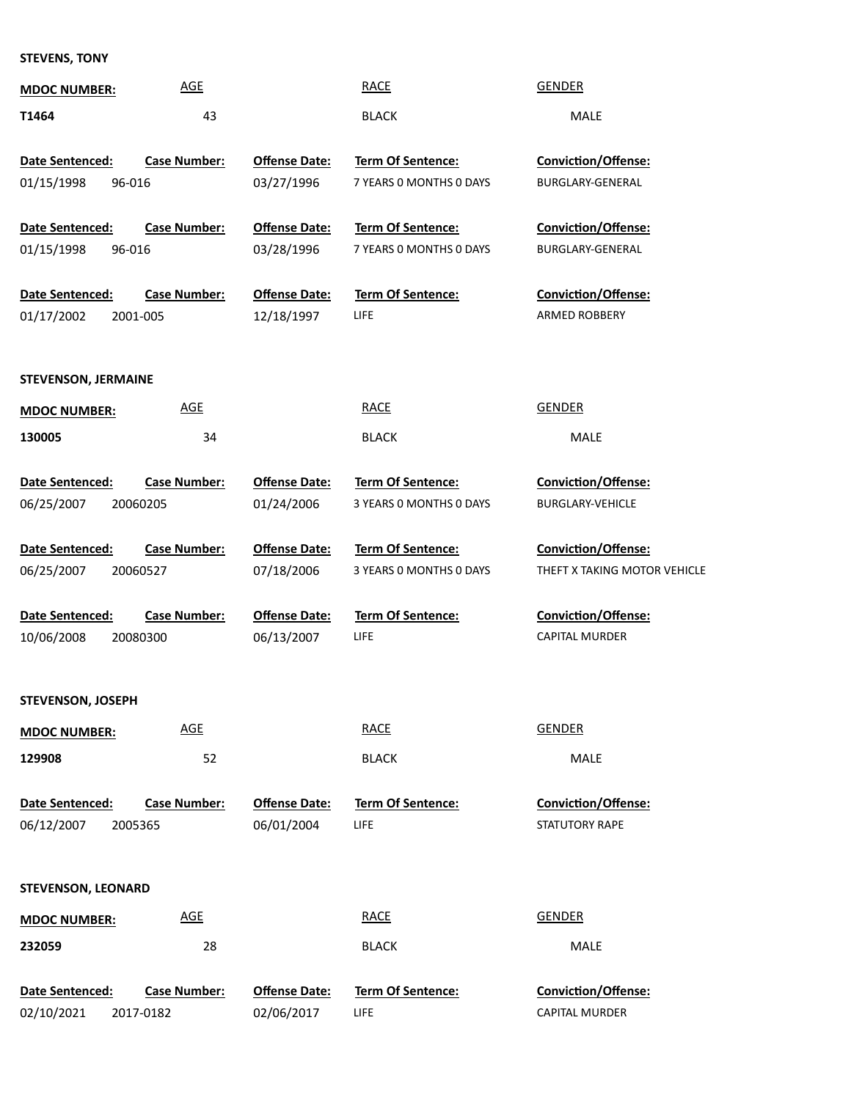## **STEVENS, TONY**

| <b>AGE</b><br><b>MDOC NUMBER:</b>             |                      | <b>RACE</b>              | <b>GENDER</b>                |
|-----------------------------------------------|----------------------|--------------------------|------------------------------|
| T1464<br>43                                   |                      | <b>BLACK</b>             | MALE                         |
|                                               |                      |                          |                              |
| Date Sentenced:<br><b>Case Number:</b>        | <b>Offense Date:</b> | <b>Term Of Sentence:</b> | <b>Conviction/Offense:</b>   |
| 01/15/1998<br>96-016                          | 03/27/1996           | 7 YEARS 0 MONTHS 0 DAYS  | <b>BURGLARY-GENERAL</b>      |
|                                               |                      |                          |                              |
| <b>Date Sentenced:</b><br><b>Case Number:</b> | <b>Offense Date:</b> | <b>Term Of Sentence:</b> | <b>Conviction/Offense:</b>   |
| 01/15/1998<br>96-016                          | 03/28/1996           | 7 YEARS 0 MONTHS 0 DAYS  | BURGLARY-GENERAL             |
| Date Sentenced:<br><b>Case Number:</b>        | <b>Offense Date:</b> | <b>Term Of Sentence:</b> | <b>Conviction/Offense:</b>   |
| 01/17/2002<br>2001-005                        | 12/18/1997           | <b>LIFE</b>              | ARMED ROBBERY                |
|                                               |                      |                          |                              |
| <b>STEVENSON, JERMAINE</b>                    |                      |                          |                              |
| <b>AGE</b><br><b>MDOC NUMBER:</b>             |                      | <b>RACE</b>              | <b>GENDER</b>                |
| 34<br>130005                                  |                      | <b>BLACK</b>             | MALE                         |
|                                               |                      |                          |                              |
| Date Sentenced:<br><b>Case Number:</b>        | <b>Offense Date:</b> | <b>Term Of Sentence:</b> | <b>Conviction/Offense:</b>   |
| 06/25/2007<br>20060205                        | 01/24/2006           | 3 YEARS 0 MONTHS 0 DAYS  | <b>BURGLARY-VEHICLE</b>      |
|                                               |                      |                          |                              |
| Date Sentenced:<br><b>Case Number:</b>        | <b>Offense Date:</b> | <b>Term Of Sentence:</b> | <b>Conviction/Offense:</b>   |
| 06/25/2007<br>20060527                        | 07/18/2006           | 3 YEARS 0 MONTHS 0 DAYS  | THEFT X TAKING MOTOR VEHICLE |
|                                               |                      |                          |                              |
| Date Sentenced:<br><b>Case Number:</b>        | <b>Offense Date:</b> | <b>Term Of Sentence:</b> | Conviction/Offense:          |
| 10/06/2008<br>20080300                        | 06/13/2007           | LIFE                     | <b>CAPITAL MURDER</b>        |
|                                               |                      |                          |                              |
| STEVENSON, JOSEPH                             |                      |                          |                              |
| <b>AGE</b><br><b>MDOC NUMBER:</b>             |                      | <b>RACE</b>              | <b>GENDER</b>                |
| 129908<br>52                                  |                      | <b>BLACK</b>             | MALE                         |
|                                               |                      |                          |                              |
| Date Sentenced:<br><b>Case Number:</b>        | <b>Offense Date:</b> | <b>Term Of Sentence:</b> | <b>Conviction/Offense:</b>   |
| 06/12/2007<br>2005365                         | 06/01/2004           | <b>LIFE</b>              | STATUTORY RAPE               |
|                                               |                      |                          |                              |
|                                               |                      |                          |                              |
| <b>STEVENSON, LEONARD</b>                     |                      |                          |                              |
| <b>AGE</b><br><b>MDOC NUMBER:</b>             |                      | <b>RACE</b>              | <b>GENDER</b>                |
| 232059<br>28                                  |                      | <b>BLACK</b>             | MALE                         |
|                                               |                      |                          |                              |
| <b>Case Number:</b><br>Date Sentenced:        | <b>Offense Date:</b> | Term Of Sentence:        | Conviction/Offense:          |
| 02/10/2021<br>2017-0182                       | 02/06/2017           | <b>LIFE</b>              | CAPITAL MURDER               |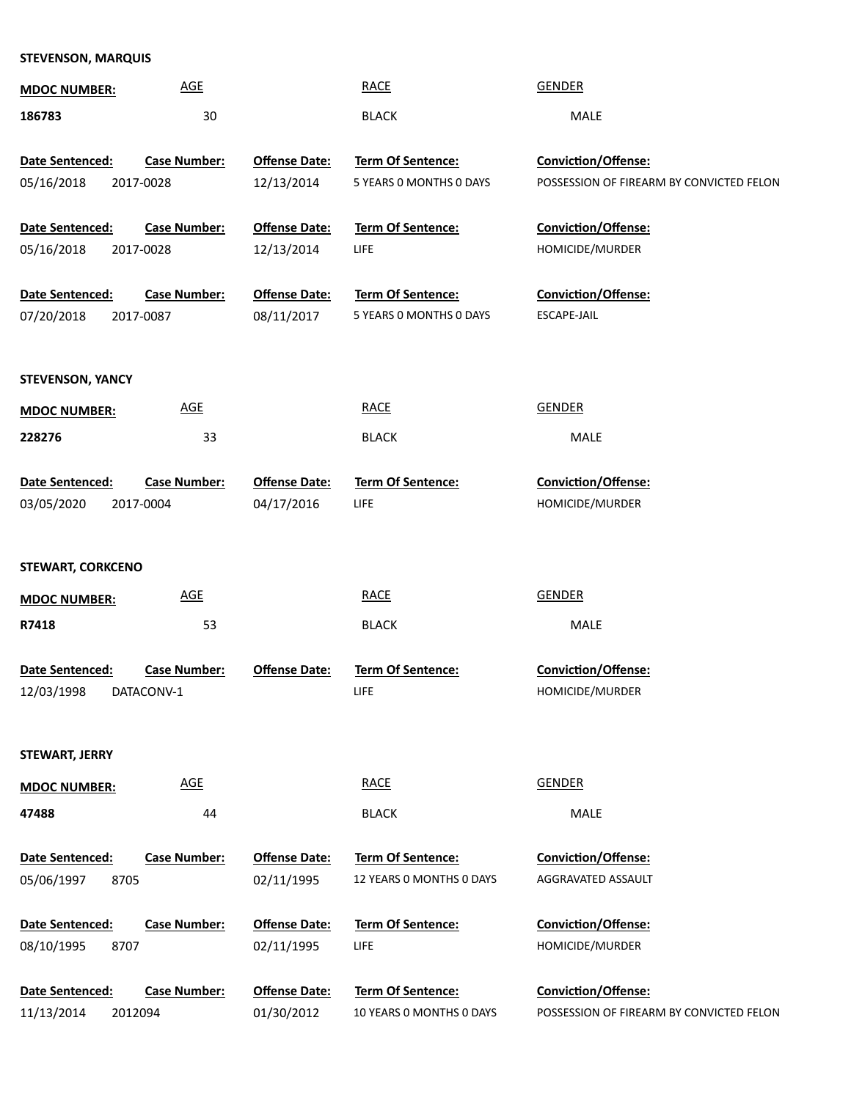## **STEVENSON, MARQUIS**

| <b>MDOC NUMBER:</b>      | <b>AGE</b>          |                      | <b>RACE</b>                                          | <b>GENDER</b>                            |
|--------------------------|---------------------|----------------------|------------------------------------------------------|------------------------------------------|
| 186783                   | 30                  |                      | <b>BLACK</b>                                         | <b>MALE</b>                              |
| Date Sentenced:          | <b>Case Number:</b> | <b>Offense Date:</b> | Term Of Sentence:                                    | Conviction/Offense:                      |
| 05/16/2018               | 2017-0028           | 12/13/2014           | 5 YEARS 0 MONTHS 0 DAYS                              | POSSESSION OF FIREARM BY CONVICTED FELON |
|                          |                     |                      |                                                      |                                          |
| Date Sentenced:          | <b>Case Number:</b> | <b>Offense Date:</b> | Term Of Sentence:                                    | Conviction/Offense:                      |
| 05/16/2018               | 2017-0028           | 12/13/2014           | LIFE                                                 | HOMICIDE/MURDER                          |
| Date Sentenced:          | <b>Case Number:</b> | <b>Offense Date:</b> | Term Of Sentence:                                    | Conviction/Offense:                      |
| 07/20/2018               | 2017-0087           | 08/11/2017           | 5 YEARS 0 MONTHS 0 DAYS                              | ESCAPE-JAIL                              |
|                          |                     |                      |                                                      |                                          |
| <b>STEVENSON, YANCY</b>  |                     |                      |                                                      |                                          |
|                          | <b>AGE</b>          |                      | <b>RACE</b>                                          | <b>GENDER</b>                            |
| <b>MDOC NUMBER:</b>      |                     |                      |                                                      |                                          |
| 228276                   | 33                  |                      | <b>BLACK</b>                                         | <b>MALE</b>                              |
| Date Sentenced:          | <b>Case Number:</b> | <b>Offense Date:</b> | Term Of Sentence:                                    | Conviction/Offense:                      |
| 03/05/2020               | 2017-0004           | 04/17/2016           | LIFE                                                 | HOMICIDE/MURDER                          |
|                          |                     |                      |                                                      |                                          |
| <b>STEWART, CORKCENO</b> |                     |                      |                                                      |                                          |
| <b>MDOC NUMBER:</b>      | <b>AGE</b>          |                      | <b>RACE</b>                                          | <b>GENDER</b>                            |
| R7418                    | 53                  |                      | <b>BLACK</b>                                         | <b>MALE</b>                              |
|                          |                     |                      |                                                      |                                          |
| Date Sentenced:          | <b>Case Number:</b> | <b>Offense Date:</b> | Term Of Sentence:                                    | Conviction/Offense:                      |
| 12/03/1998               | DATACONV-1          |                      | LIFE                                                 | HOMICIDE/MURDER                          |
|                          |                     |                      |                                                      |                                          |
| <b>STEWART, JERRY</b>    |                     |                      |                                                      |                                          |
| <b>MDOC NUMBER:</b>      | <b>AGE</b>          |                      | <b>RACE</b>                                          | <b>GENDER</b>                            |
| 47488                    | 44                  |                      | <b>BLACK</b>                                         | <b>MALE</b>                              |
|                          |                     |                      |                                                      |                                          |
| Date Sentenced:          | <b>Case Number:</b> | <b>Offense Date:</b> | <b>Term Of Sentence:</b><br>12 YEARS 0 MONTHS 0 DAYS | <b>Conviction/Offense:</b>               |
| 05/06/1997<br>8705       |                     | 02/11/1995           |                                                      | AGGRAVATED ASSAULT                       |
| Date Sentenced:          | <b>Case Number:</b> | <b>Offense Date:</b> | <b>Term Of Sentence:</b>                             | <b>Conviction/Offense:</b>               |
| 8707<br>08/10/1995       |                     | 02/11/1995           | LIFE                                                 | HOMICIDE/MURDER                          |
|                          |                     |                      |                                                      |                                          |
| Date Sentenced:          | <b>Case Number:</b> | <b>Offense Date:</b> | <b>Term Of Sentence:</b>                             | <b>Conviction/Offense:</b>               |
| 11/13/2014               | 2012094             | 01/30/2012           | 10 YEARS O MONTHS O DAYS                             | POSSESSION OF FIREARM BY CONVICTED FELON |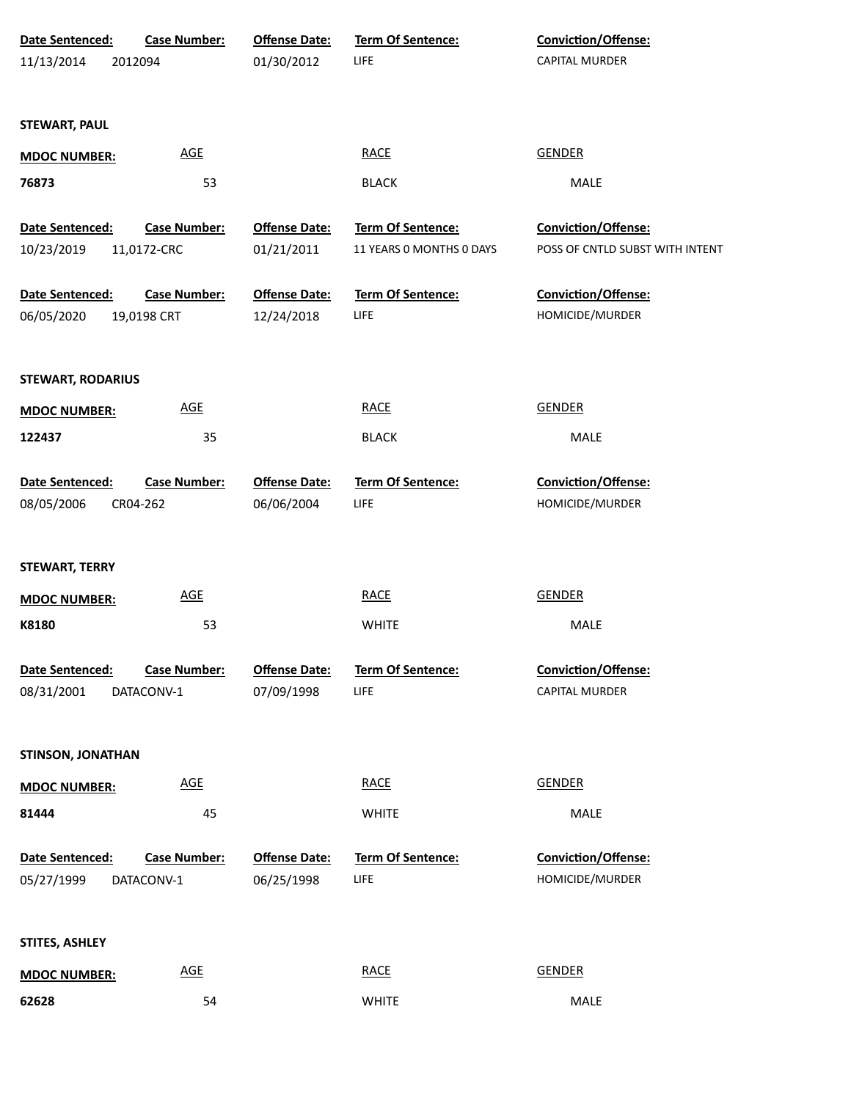| Date Sentenced:          | <b>Case Number:</b> | <b>Offense Date:</b> | Term Of Sentence:        | Conviction/Offense:             |
|--------------------------|---------------------|----------------------|--------------------------|---------------------------------|
| 11/13/2014               | 2012094             | 01/30/2012           | LIFE                     | <b>CAPITAL MURDER</b>           |
|                          |                     |                      |                          |                                 |
| <b>STEWART, PAUL</b>     |                     |                      |                          |                                 |
| <b>MDOC NUMBER:</b>      | <b>AGE</b>          |                      | <b>RACE</b>              | <b>GENDER</b>                   |
| 76873                    | 53                  |                      | <b>BLACK</b>             | MALE                            |
|                          |                     |                      |                          |                                 |
| Date Sentenced:          | <b>Case Number:</b> | <b>Offense Date:</b> | Term Of Sentence:        | Conviction/Offense:             |
| 10/23/2019               | 11,0172-CRC         | 01/21/2011           | 11 YEARS 0 MONTHS 0 DAYS | POSS OF CNTLD SUBST WITH INTENT |
|                          |                     |                      |                          |                                 |
| Date Sentenced:          | <b>Case Number:</b> | <b>Offense Date:</b> | Term Of Sentence:        | Conviction/Offense:             |
| 06/05/2020               | 19,0198 CRT         | 12/24/2018           | LIFE                     | HOMICIDE/MURDER                 |
|                          |                     |                      |                          |                                 |
| <b>STEWART, RODARIUS</b> |                     |                      |                          |                                 |
| <b>MDOC NUMBER:</b>      | AGE                 |                      | <b>RACE</b>              | <b>GENDER</b>                   |
| 122437                   | 35                  |                      | <b>BLACK</b>             | MALE                            |
|                          |                     |                      |                          |                                 |
| Date Sentenced:          | <b>Case Number:</b> | <b>Offense Date:</b> | Term Of Sentence:        | Conviction/Offense:             |
| 08/05/2006               | CR04-262            | 06/06/2004           | <b>LIFE</b>              | HOMICIDE/MURDER                 |
|                          |                     |                      |                          |                                 |
| <b>STEWART, TERRY</b>    |                     |                      |                          |                                 |
| <b>MDOC NUMBER:</b>      | <b>AGE</b>          |                      | <b>RACE</b>              | <b>GENDER</b>                   |
|                          |                     |                      |                          |                                 |
| K8180                    | 53                  |                      | <b>WHITE</b>             | MALE                            |
| Date Sentenced:          | <b>Case Number:</b> | <b>Offense Date:</b> | <b>Term Of Sentence:</b> | <b>Conviction/Offense:</b>      |
| 08/31/2001               | DATACONV-1          | 07/09/1998           | LIFE                     | CAPITAL MURDER                  |
|                          |                     |                      |                          |                                 |
|                          |                     |                      |                          |                                 |
| <b>STINSON, JONATHAN</b> |                     |                      |                          |                                 |
| <b>MDOC NUMBER:</b>      | <u>AGE</u>          |                      | <b>RACE</b>              | <b>GENDER</b>                   |
| 81444                    | 45                  |                      | <b>WHITE</b>             | MALE                            |
|                          |                     |                      |                          |                                 |
| Date Sentenced:          | <b>Case Number:</b> | <b>Offense Date:</b> | Term Of Sentence:        | Conviction/Offense:             |
| 05/27/1999               | DATACONV-1          | 06/25/1998           | LIFE                     | HOMICIDE/MURDER                 |
|                          |                     |                      |                          |                                 |
| STITES, ASHLEY           |                     |                      |                          |                                 |
| <b>MDOC NUMBER:</b>      | <b>AGE</b>          |                      | <b>RACE</b>              | <b>GENDER</b>                   |
| 62628                    | 54                  |                      | <b>WHITE</b>             | MALE                            |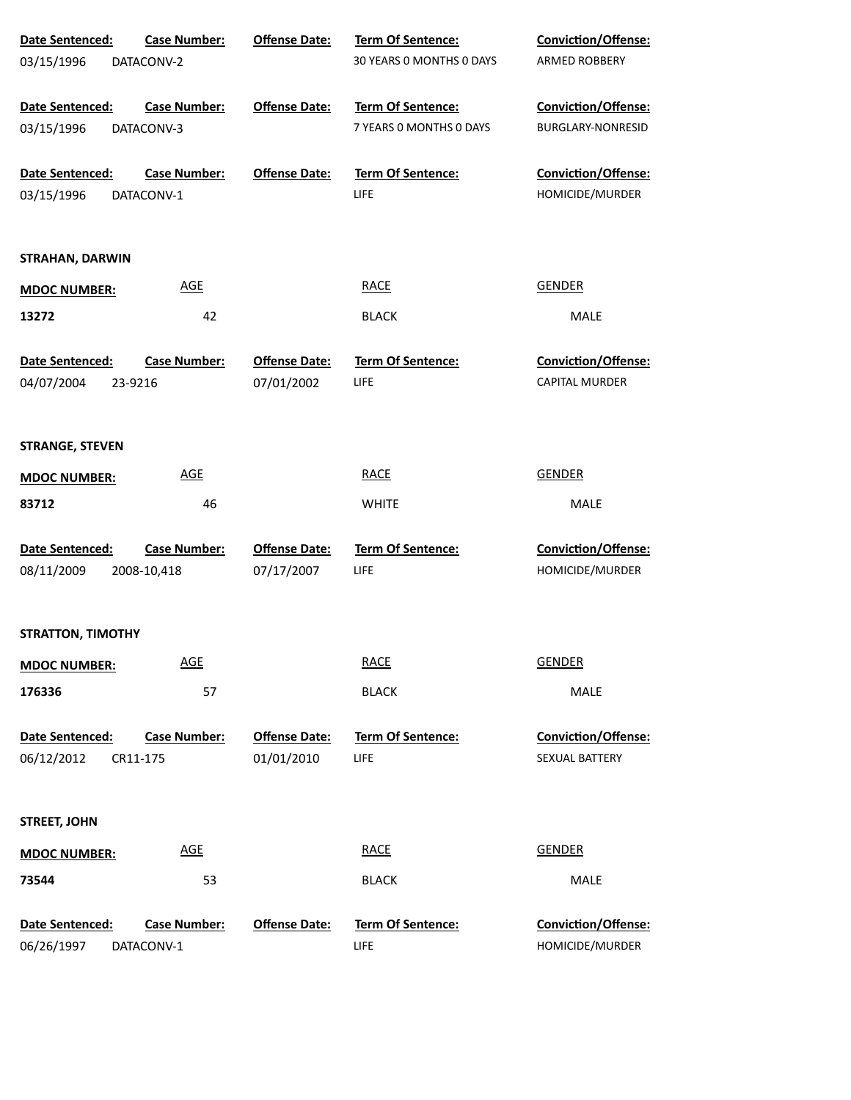| Date Sentenced:           | <b>Case Number:</b><br><b>Offense Date:</b> | <b>Term Of Sentence:</b> | Conviction/Offense:        |  |
|---------------------------|---------------------------------------------|--------------------------|----------------------------|--|
| 03/15/1996<br>DATACONV-2  |                                             | 30 YEARS 0 MONTHS 0 DAYS | ARMED ROBBERY              |  |
|                           |                                             |                          |                            |  |
| Date Sentenced:           | <b>Case Number:</b><br><b>Offense Date:</b> | <b>Term Of Sentence:</b> | Conviction/Offense:        |  |
| 03/15/1996<br>DATACONV-3  |                                             | 7 YEARS 0 MONTHS 0 DAYS  | BURGLARY-NONRESID          |  |
| Date Sentenced:           | <b>Case Number:</b><br><b>Offense Date:</b> | <b>Term Of Sentence:</b> | <b>Conviction/Offense:</b> |  |
| 03/15/1996<br>DATACONV-1  |                                             | LIFE                     | HOMICIDE/MURDER            |  |
|                           |                                             |                          |                            |  |
| STRAHAN, DARWIN           |                                             |                          |                            |  |
| <b>MDOC NUMBER:</b>       | <b>AGE</b>                                  | <b>RACE</b>              | <b>GENDER</b>              |  |
| 13272                     | 42                                          | <b>BLACK</b>             | MALE                       |  |
| Date Sentenced:           | <b>Case Number:</b><br><b>Offense Date:</b> | <b>Term Of Sentence:</b> | <b>Conviction/Offense:</b> |  |
| 04/07/2004<br>23-9216     | 07/01/2002                                  | LIFE                     | <b>CAPITAL MURDER</b>      |  |
|                           |                                             |                          |                            |  |
| <b>STRANGE, STEVEN</b>    |                                             |                          |                            |  |
| <b>MDOC NUMBER:</b>       | <b>AGE</b>                                  | <b>RACE</b>              | <b>GENDER</b>              |  |
| 83712                     | 46                                          | <b>WHITE</b>             | <b>MALE</b>                |  |
| Date Sentenced:           | <b>Case Number:</b><br><b>Offense Date:</b> | Term Of Sentence:        | Conviction/Offense:        |  |
| 08/11/2009<br>2008-10,418 | 07/17/2007                                  | LIFE                     | HOMICIDE/MURDER            |  |
|                           |                                             |                          |                            |  |
| <b>STRATTON, TIMOTHY</b>  |                                             |                          |                            |  |
| <b>MDOC NUMBER:</b>       | <b>AGE</b>                                  | <b>RACE</b>              | <b>GENDER</b>              |  |
| 176336                    | 57                                          | <b>BLACK</b>             | MALE                       |  |
|                           |                                             |                          |                            |  |
| Date Sentenced:           | <b>Case Number:</b><br><b>Offense Date:</b> | <b>Term Of Sentence:</b> | Conviction/Offense:        |  |
| 06/12/2012<br>CR11-175    | 01/01/2010                                  | LIFE                     | SEXUAL BATTERY             |  |
|                           |                                             |                          |                            |  |
| <b>STREET, JOHN</b>       |                                             |                          |                            |  |
| <b>MDOC NUMBER:</b>       | <b>AGE</b>                                  | <b>RACE</b>              | <b>GENDER</b>              |  |
| 73544                     | 53                                          | <b>BLACK</b>             | MALE                       |  |
| Date Sentenced:           | <b>Case Number:</b><br><b>Offense Date:</b> | Term Of Sentence:        | Conviction/Offense:        |  |
| 06/26/1997<br>DATACONV-1  |                                             | LIFE                     | HOMICIDE/MURDER            |  |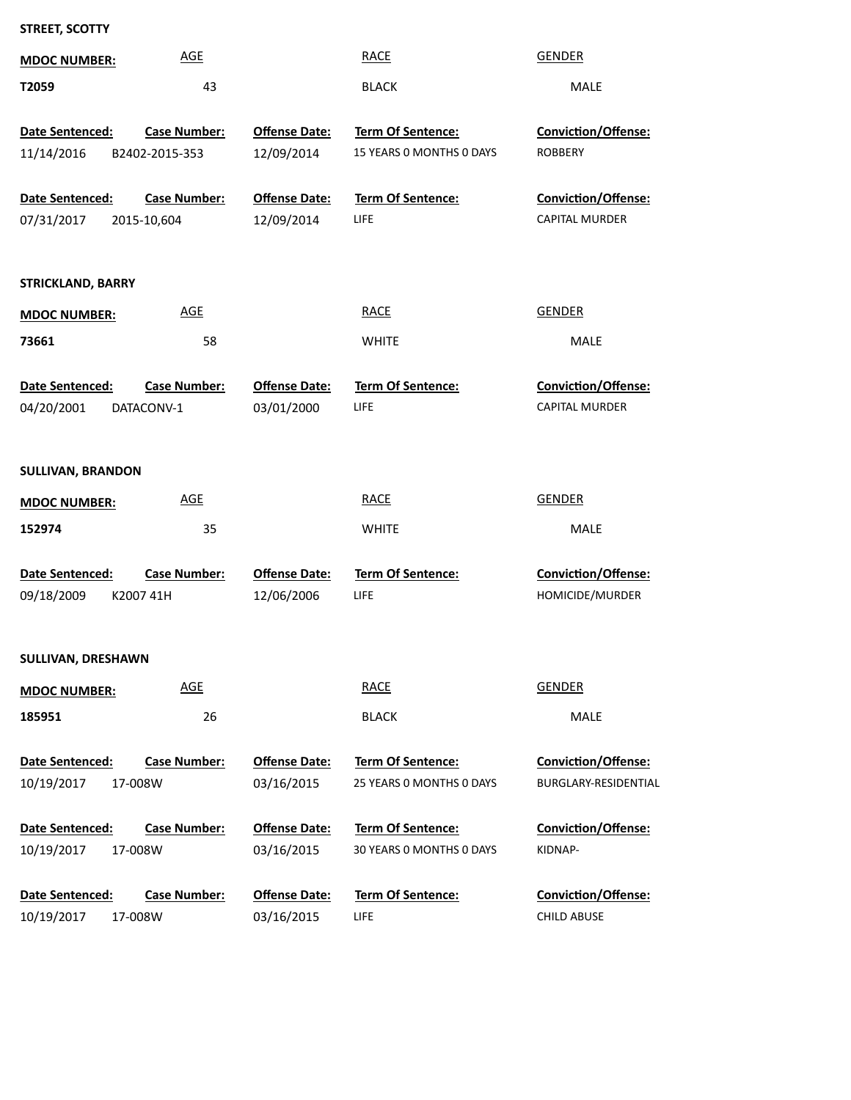| STREET, SCOTTY |  |
|----------------|--|
|----------------|--|

| <b>MDOC NUMBER:</b>                  | <b>AGE</b>                            |                                    | <b>RACE</b>                                          | <b>GENDER</b>                                             |
|--------------------------------------|---------------------------------------|------------------------------------|------------------------------------------------------|-----------------------------------------------------------|
| T2059                                | 43                                    |                                    | <b>BLACK</b>                                         | MALE                                                      |
| Date Sentenced:<br>11/14/2016        | <b>Case Number:</b><br>B2402-2015-353 | <b>Offense Date:</b><br>12/09/2014 | <b>Term Of Sentence:</b><br>15 YEARS 0 MONTHS 0 DAYS | <b>Conviction/Offense:</b><br><b>ROBBERY</b>              |
| Date Sentenced:<br>07/31/2017        | <b>Case Number:</b><br>2015-10,604    | <b>Offense Date:</b><br>12/09/2014 | <b>Term Of Sentence:</b><br>LIFE                     | <b>Conviction/Offense:</b><br><b>CAPITAL MURDER</b>       |
| <b>STRICKLAND, BARRY</b>             |                                       |                                    |                                                      |                                                           |
| <b>MDOC NUMBER:</b>                  | <b>AGE</b>                            |                                    | <b>RACE</b>                                          | <b>GENDER</b>                                             |
| 73661                                | 58                                    |                                    | <b>WHITE</b>                                         | MALE                                                      |
| Date Sentenced:<br>04/20/2001        | <b>Case Number:</b><br>DATACONV-1     | <b>Offense Date:</b><br>03/01/2000 | <b>Term Of Sentence:</b><br>LIFE                     | Conviction/Offense:<br>CAPITAL MURDER                     |
| <b>SULLIVAN, BRANDON</b>             |                                       |                                    |                                                      |                                                           |
| <b>MDOC NUMBER:</b>                  | <b>AGE</b>                            |                                    | <b>RACE</b>                                          | <b>GENDER</b>                                             |
| 152974                               | 35                                    |                                    | <b>WHITE</b>                                         | MALE                                                      |
| Date Sentenced:<br>09/18/2009        | <b>Case Number:</b><br>K2007 41H      | <b>Offense Date:</b><br>12/06/2006 | Term Of Sentence:<br>LIFE                            | Conviction/Offense:<br>HOMICIDE/MURDER                    |
| SULLIVAN, DRESHAWN                   |                                       |                                    |                                                      |                                                           |
| <b>MDOC NUMBER:</b>                  | <b>AGE</b>                            |                                    | <b>RACE</b>                                          | <b>GENDER</b>                                             |
| 185951                               | 26                                    |                                    | <b>BLACK</b>                                         | MALE                                                      |
| <b>Date Sentenced:</b><br>10/19/2017 | <b>Case Number:</b><br>17-008W        | <b>Offense Date:</b><br>03/16/2015 | <b>Term Of Sentence:</b><br>25 YEARS O MONTHS O DAYS | <b>Conviction/Offense:</b><br><b>BURGLARY-RESIDENTIAL</b> |
| <b>Date Sentenced:</b><br>10/19/2017 | <b>Case Number:</b><br>17-008W        | <b>Offense Date:</b><br>03/16/2015 | Term Of Sentence:<br>30 YEARS 0 MONTHS 0 DAYS        | <b>Conviction/Offense:</b><br>KIDNAP-                     |
| Date Sentenced:<br>10/19/2017        | <b>Case Number:</b><br>17-008W        | <b>Offense Date:</b><br>03/16/2015 | Term Of Sentence:<br>LIFE                            | Conviction/Offense:<br><b>CHILD ABUSE</b>                 |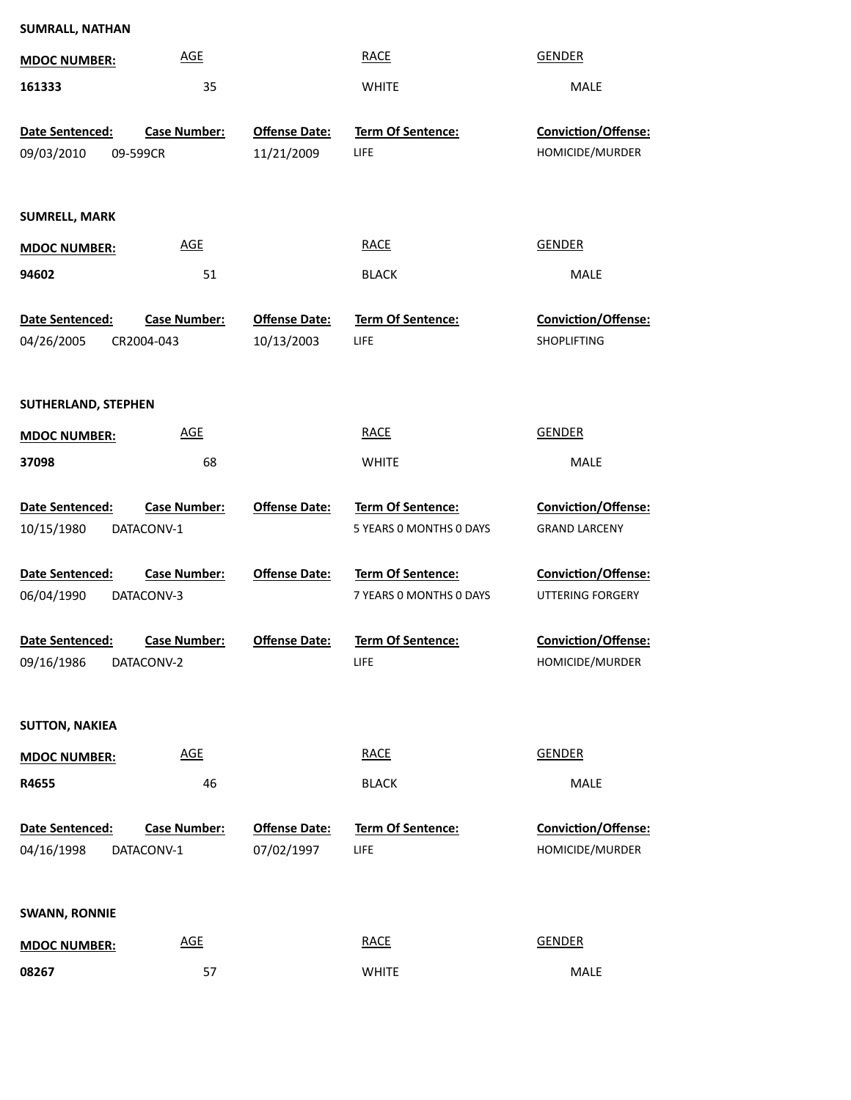| <b>SUMRALL, NATHAN</b>   |                     |                      |                          |                            |
|--------------------------|---------------------|----------------------|--------------------------|----------------------------|
| <b>MDOC NUMBER:</b>      | <b>AGE</b>          |                      | <b>RACE</b>              | <b>GENDER</b>              |
| 161333                   | 35                  |                      | <b>WHITE</b>             | MALE                       |
| Date Sentenced:          | <b>Case Number:</b> | <b>Offense Date:</b> | Term Of Sentence:        | Conviction/Offense:        |
| 09/03/2010<br>09-599CR   |                     | 11/21/2009           | <b>LIFE</b>              | HOMICIDE/MURDER            |
|                          |                     |                      |                          |                            |
| <b>SUMRELL, MARK</b>     |                     |                      |                          |                            |
| <b>MDOC NUMBER:</b>      | <b>AGE</b>          |                      | <b>RACE</b>              | <b>GENDER</b>              |
| 94602                    | 51                  |                      | <b>BLACK</b>             | MALE                       |
| Date Sentenced:          | <b>Case Number:</b> | <b>Offense Date:</b> | Term Of Sentence:        | Conviction/Offense:        |
| 04/26/2005<br>CR2004-043 |                     | 10/13/2003           | LIFE                     | <b>SHOPLIFTING</b>         |
|                          |                     |                      |                          |                            |
| SUTHERLAND, STEPHEN      |                     |                      |                          |                            |
| <b>MDOC NUMBER:</b>      | <b>AGE</b>          |                      | <b>RACE</b>              | <b>GENDER</b>              |
| 37098                    | 68                  |                      | <b>WHITE</b>             | MALE                       |
|                          |                     |                      |                          |                            |
| Date Sentenced:          | <b>Case Number:</b> | <b>Offense Date:</b> | Term Of Sentence:        | <b>Conviction/Offense:</b> |
| 10/15/1980<br>DATACONV-1 |                     |                      | 5 YEARS 0 MONTHS 0 DAYS  | <b>GRAND LARCENY</b>       |
| Date Sentenced:          | <b>Case Number:</b> | <b>Offense Date:</b> | <b>Term Of Sentence:</b> | Conviction/Offense:        |
| 06/04/1990<br>DATACONV-3 |                     |                      | 7 YEARS O MONTHS O DAYS  | <b>UTTERING FORGERY</b>    |
| Date Sentenced:          | <b>Case Number:</b> | <b>Offense Date:</b> | <b>Term Of Sentence:</b> | Conviction/Offense:        |
| 09/16/1986<br>DATACONV-2 |                     |                      | LIFE                     | HOMICIDE/MURDER            |
|                          |                     |                      |                          |                            |
| <b>SUTTON, NAKIEA</b>    |                     |                      |                          |                            |
| <b>MDOC NUMBER:</b>      | <b>AGE</b>          |                      | <b>RACE</b>              | <b>GENDER</b>              |
| R4655                    | 46                  |                      | <b>BLACK</b>             | MALE                       |
|                          |                     |                      |                          |                            |
| Date Sentenced:          | Case Number:        | <b>Offense Date:</b> | Term Of Sentence:        | Conviction/Offense:        |
| 04/16/1998<br>DATACONV-1 |                     | 07/02/1997           | LIFE                     | HOMICIDE/MURDER            |
|                          |                     |                      |                          |                            |
| <b>SWANN, RONNIE</b>     |                     |                      |                          |                            |
| <b>MDOC NUMBER:</b>      | <b>AGE</b>          |                      | <b>RACE</b>              | <b>GENDER</b>              |
| 08267                    | 57                  |                      | <b>WHITE</b>             | MALE                       |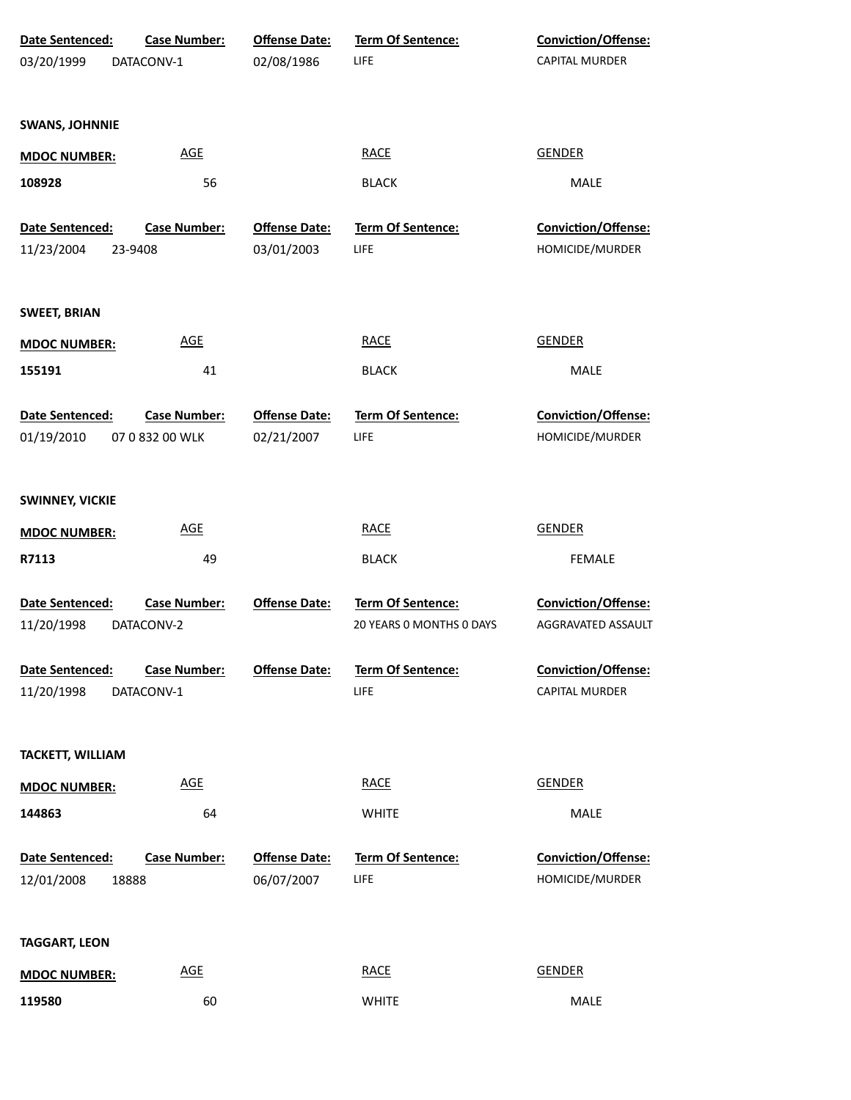| Date Sentenced:<br>03/20/1999          | <b>Case Number:</b><br>DATACONV-1      | <b>Offense Date:</b><br>02/08/1986 | <b>Term Of Sentence:</b><br>LIFE              | <b>Conviction/Offense:</b><br>CAPITAL MURDER |
|----------------------------------------|----------------------------------------|------------------------------------|-----------------------------------------------|----------------------------------------------|
| <b>SWANS, JOHNNIE</b>                  |                                        |                                    |                                               |                                              |
| <b>MDOC NUMBER:</b>                    | <b>AGE</b>                             |                                    | <b>RACE</b>                                   | <b>GENDER</b>                                |
| 108928                                 | 56                                     |                                    | <b>BLACK</b>                                  | MALE                                         |
| Date Sentenced:                        | <b>Case Number:</b>                    | <b>Offense Date:</b>               | Term Of Sentence:                             | Conviction/Offense:                          |
| 11/23/2004                             | 23-9408                                | 03/01/2003                         | LIFE                                          | HOMICIDE/MURDER                              |
| <b>SWEET, BRIAN</b>                    |                                        |                                    |                                               |                                              |
| <b>MDOC NUMBER:</b>                    | <b>AGE</b>                             |                                    | <b>RACE</b>                                   | <b>GENDER</b>                                |
| 155191                                 | 41                                     |                                    | <b>BLACK</b>                                  | MALE                                         |
| Date Sentenced:<br>01/19/2010          | <b>Case Number:</b><br>07 0 832 00 WLK | <b>Offense Date:</b><br>02/21/2007 | Term Of Sentence:<br>LIFE                     | Conviction/Offense:<br>HOMICIDE/MURDER       |
| <b>SWINNEY, VICKIE</b>                 |                                        |                                    |                                               |                                              |
| <b>MDOC NUMBER:</b>                    | <b>AGE</b>                             |                                    | <b>RACE</b>                                   | <b>GENDER</b>                                |
| R7113                                  | 49                                     |                                    | <b>BLACK</b>                                  | <b>FEMALE</b>                                |
| <b>Date Sentenced:</b><br>11/20/1998   | <b>Case Number:</b><br>DATACONV-2      | <b>Offense Date:</b>               | Term Of Sentence:<br>20 YEARS O MONTHS O DAYS | Conviction/Offense:<br>AGGRAVATED ASSAULT    |
| Date Sentenced:<br>11/20/1998          | <b>Case Number:</b><br>DATACONV-1      | <b>Offense Date:</b>               | <b>Term Of Sentence:</b><br>LIFE              | Conviction/Offense:<br>CAPITAL MURDER        |
| <b>TACKETT, WILLIAM</b>                |                                        |                                    |                                               |                                              |
| <b>MDOC NUMBER:</b>                    | <b>AGE</b>                             |                                    | <b>RACE</b>                                   | <b>GENDER</b>                                |
| 144863                                 | 64                                     |                                    | <b>WHITE</b>                                  | MALE                                         |
| Date Sentenced:<br>12/01/2008<br>18888 | <b>Case Number:</b>                    | <b>Offense Date:</b><br>06/07/2007 | <b>Term Of Sentence:</b><br>LIFE              | Conviction/Offense:<br>HOMICIDE/MURDER       |
| <b>TAGGART, LEON</b>                   |                                        |                                    |                                               |                                              |
| <b>MDOC NUMBER:</b>                    | <b>AGE</b>                             |                                    | <b>RACE</b>                                   | <b>GENDER</b>                                |
| 119580                                 | 60                                     |                                    | <b>WHITE</b>                                  | MALE                                         |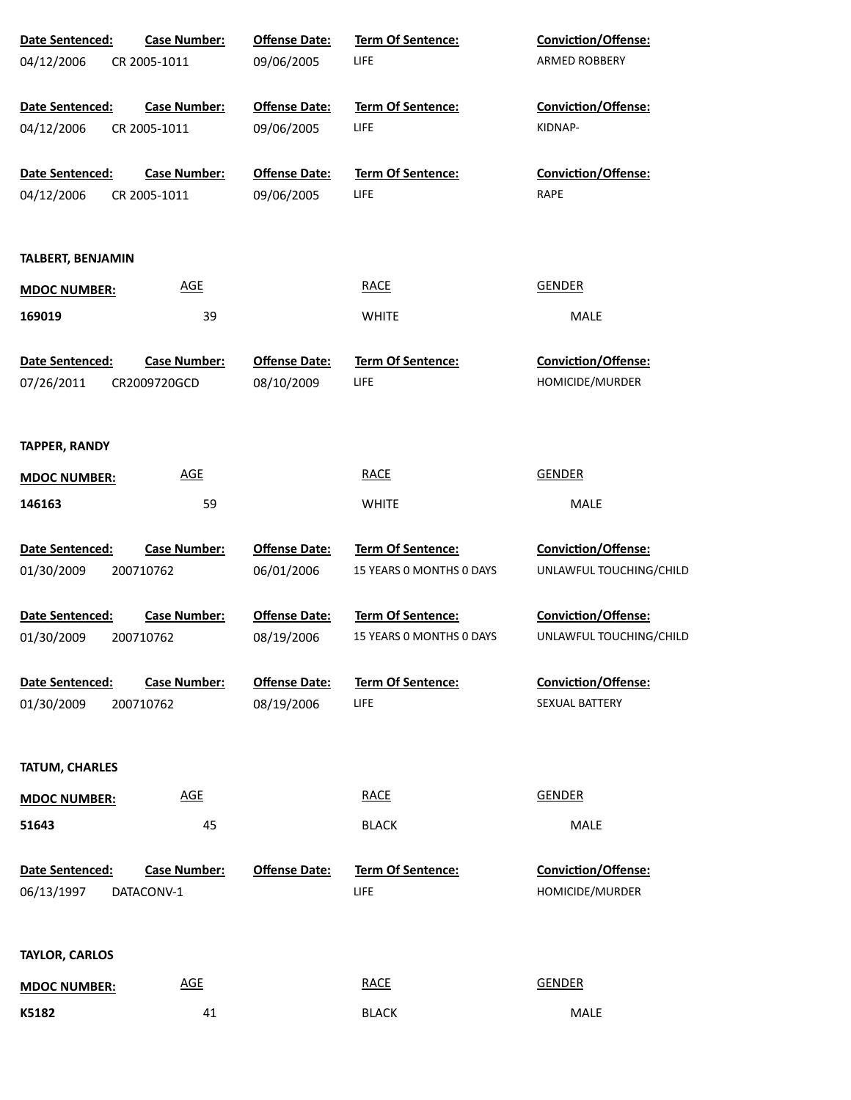| Date Sentenced:                      | <b>Case Number:</b>               | <b>Offense Date:</b> | Term Of Sentence:                       | <b>Conviction/Offense:</b>                    |
|--------------------------------------|-----------------------------------|----------------------|-----------------------------------------|-----------------------------------------------|
| 04/12/2006                           | CR 2005-1011                      | 09/06/2005           | LIFE                                    | ARMED ROBBERY                                 |
| <b>Date Sentenced:</b>               | <b>Case Number:</b>               | <b>Offense Date:</b> | <b>Term Of Sentence:</b>                | <b>Conviction/Offense:</b>                    |
| 04/12/2006                           | CR 2005-1011                      | 09/06/2005           | <b>LIFE</b>                             | KIDNAP-                                       |
| Date Sentenced:                      | <b>Case Number:</b>               | <b>Offense Date:</b> | <b>Term Of Sentence:</b>                | <b>Conviction/Offense:</b>                    |
| 04/12/2006                           | CR 2005-1011                      | 09/06/2005           | <b>LIFE</b>                             | RAPE                                          |
| <b>TALBERT, BENJAMIN</b>             |                                   |                      |                                         |                                               |
| <b>MDOC NUMBER:</b>                  | <b>AGE</b>                        |                      | <b>RACE</b>                             | <b>GENDER</b>                                 |
| 169019                               | 39                                |                      | <b>WHITE</b>                            | MALE                                          |
| Date Sentenced:                      | <b>Case Number:</b>               | <b>Offense Date:</b> | Term Of Sentence:                       | Conviction/Offense:                           |
| 07/26/2011                           | CR2009720GCD                      | 08/10/2009           | LIFE                                    | HOMICIDE/MURDER                               |
| <b>TAPPER, RANDY</b>                 |                                   |                      |                                         |                                               |
| <b>MDOC NUMBER:</b>                  | <b>AGE</b>                        |                      | <b>RACE</b>                             | <b>GENDER</b>                                 |
| 146163                               | 59                                |                      | <b>WHITE</b>                            | MALE                                          |
| Date Sentenced:                      | <b>Case Number:</b>               | <b>Offense Date:</b> | <b>Term Of Sentence:</b>                | <b>Conviction/Offense:</b>                    |
| 01/30/2009                           | 200710762                         | 06/01/2006           | 15 YEARS O MONTHS O DAYS                | UNLAWFUL TOUCHING/CHILD                       |
| Date Sentenced:                      | <b>Case Number:</b>               | <b>Offense Date:</b> | <b>Term Of Sentence:</b>                | <b>Conviction/Offense:</b>                    |
| 01/30/2009                           | 200710762                         | 08/19/2006           | 15 YEARS 0 MONTHS 0 DAYS                | UNLAWFUL TOUCHING/CHILD                       |
| Date Sentenced:                      | <b>Case Number:</b>               | <b>Offense Date:</b> | <b>Term Of Sentence:</b>                | <b>Conviction/Offense:</b>                    |
| 01/30/2009                           | 200710762                         | 08/19/2006           | <b>LIFE</b>                             | SEXUAL BATTERY                                |
| <b>TATUM, CHARLES</b>                |                                   |                      |                                         |                                               |
| <b>MDOC NUMBER:</b>                  | <b>AGE</b>                        |                      | <b>RACE</b>                             | <b>GENDER</b>                                 |
| 51643                                | 45                                |                      | <b>BLACK</b>                            | MALE                                          |
| <b>Date Sentenced:</b><br>06/13/1997 | <b>Case Number:</b><br>DATACONV-1 | <b>Offense Date:</b> | <b>Term Of Sentence:</b><br><b>LIFE</b> | <b>Conviction/Offense:</b><br>HOMICIDE/MURDER |
| <b>TAYLOR, CARLOS</b>                |                                   |                      |                                         |                                               |
| <b>MDOC NUMBER:</b>                  | <b>AGE</b>                        |                      | <b>RACE</b>                             | <b>GENDER</b>                                 |
| K5182                                | 41                                |                      | <b>BLACK</b>                            | MALE                                          |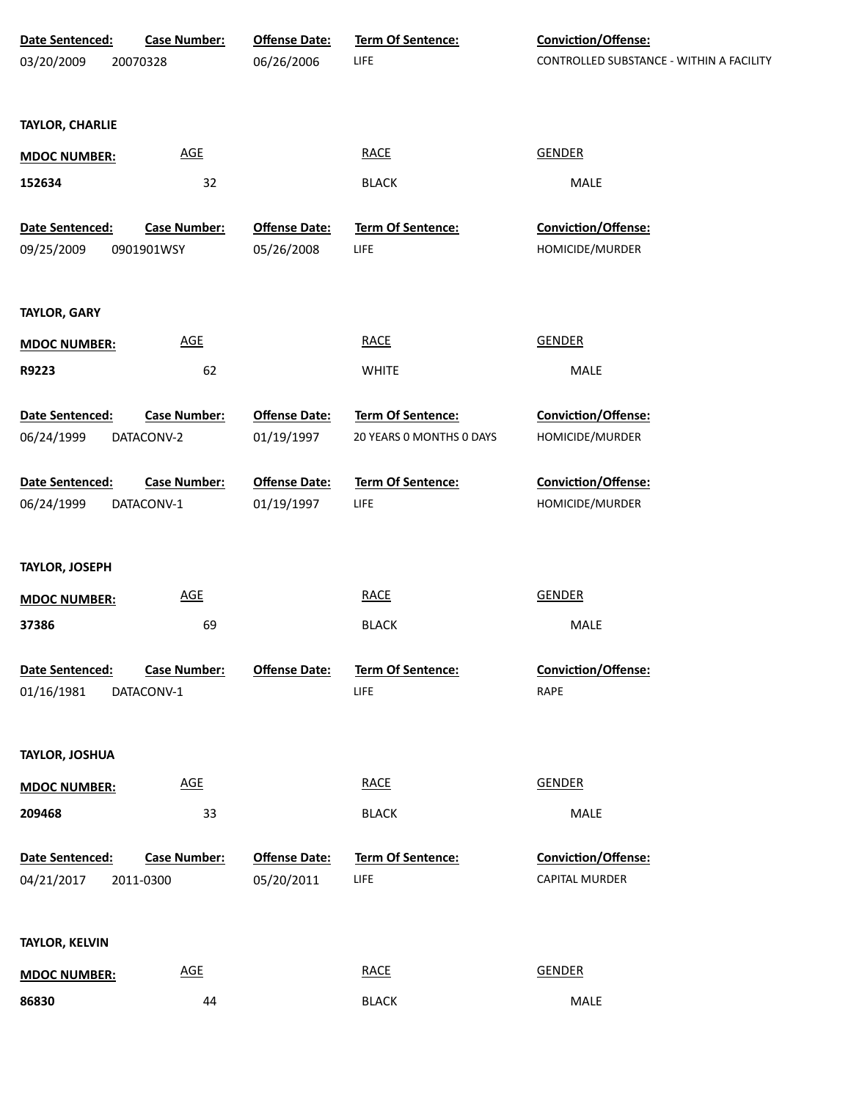| Date Sentenced:        | <b>Case Number:</b>        | <b>Offense Date:</b> | Term Of Sentence:        | Conviction/Offense:                      |
|------------------------|----------------------------|----------------------|--------------------------|------------------------------------------|
| 03/20/2009             | 20070328                   | 06/26/2006           | LIFE                     | CONTROLLED SUBSTANCE - WITHIN A FACILITY |
|                        |                            |                      |                          |                                          |
| <b>TAYLOR, CHARLIE</b> |                            |                      |                          |                                          |
|                        | <b>AGE</b>                 |                      | <b>RACE</b>              | <b>GENDER</b>                            |
| <b>MDOC NUMBER:</b>    |                            |                      |                          |                                          |
| 152634                 | 32                         |                      | <b>BLACK</b>             | MALE                                     |
| Date Sentenced:        | Case Number:               | <b>Offense Date:</b> | Term Of Sentence:        | Conviction/Offense:                      |
| 09/25/2009             | 0901901WSY                 | 05/26/2008           | LIFE                     | HOMICIDE/MURDER                          |
|                        |                            |                      |                          |                                          |
| <b>TAYLOR, GARY</b>    |                            |                      |                          |                                          |
| <b>MDOC NUMBER:</b>    | AGE                        |                      | <b>RACE</b>              | <b>GENDER</b>                            |
| R9223                  | 62                         |                      | <b>WHITE</b>             | MALE                                     |
|                        |                            |                      |                          |                                          |
| Date Sentenced:        | <b>Case Number:</b>        | <b>Offense Date:</b> | Term Of Sentence:        | Conviction/Offense:                      |
| 06/24/1999             | DATACONV-2                 | 01/19/1997           | 20 YEARS 0 MONTHS 0 DAYS | HOMICIDE/MURDER                          |
| Date Sentenced:        | Case Number:               | <b>Offense Date:</b> | Term Of Sentence:        | Conviction/Offense:                      |
| 06/24/1999             | DATACONV-1                 | 01/19/1997           | LIFE                     | HOMICIDE/MURDER                          |
|                        |                            |                      |                          |                                          |
| <b>TAYLOR, JOSEPH</b>  |                            |                      |                          |                                          |
| <b>MDOC NUMBER:</b>    | AGE                        |                      | <b>RACE</b>              | <b>GENDER</b>                            |
| 37386                  | 69                         |                      | <b>BLACK</b>             | MALE                                     |
|                        |                            |                      |                          |                                          |
| Date Sentenced:        | <b>Case Number:</b>        | <b>Offense Date:</b> | <b>Term Of Sentence:</b> | <b>Conviction/Offense:</b>               |
| 01/16/1981             | DATACONV-1                 |                      | LIFE                     | RAPE                                     |
|                        |                            |                      |                          |                                          |
| TAYLOR, JOSHUA         |                            |                      |                          |                                          |
| <b>MDOC NUMBER:</b>    | $\underline{\mathsf{AGE}}$ |                      | <b>RACE</b>              | <b>GENDER</b>                            |
| 209468                 | 33                         |                      | <b>BLACK</b>             | MALE                                     |
|                        |                            |                      |                          |                                          |
| Date Sentenced:        | <b>Case Number:</b>        | <b>Offense Date:</b> | Term Of Sentence:        | Conviction/Offense:                      |
| 04/21/2017             | 2011-0300                  | 05/20/2011           | <b>LIFE</b>              | CAPITAL MURDER                           |
|                        |                            |                      |                          |                                          |
| TAYLOR, KELVIN         |                            |                      |                          |                                          |
| <b>MDOC NUMBER:</b>    | <b>AGE</b>                 |                      | <b>RACE</b>              | <b>GENDER</b>                            |
| 86830                  | 44                         |                      | <b>BLACK</b>             | MALE                                     |
|                        |                            |                      |                          |                                          |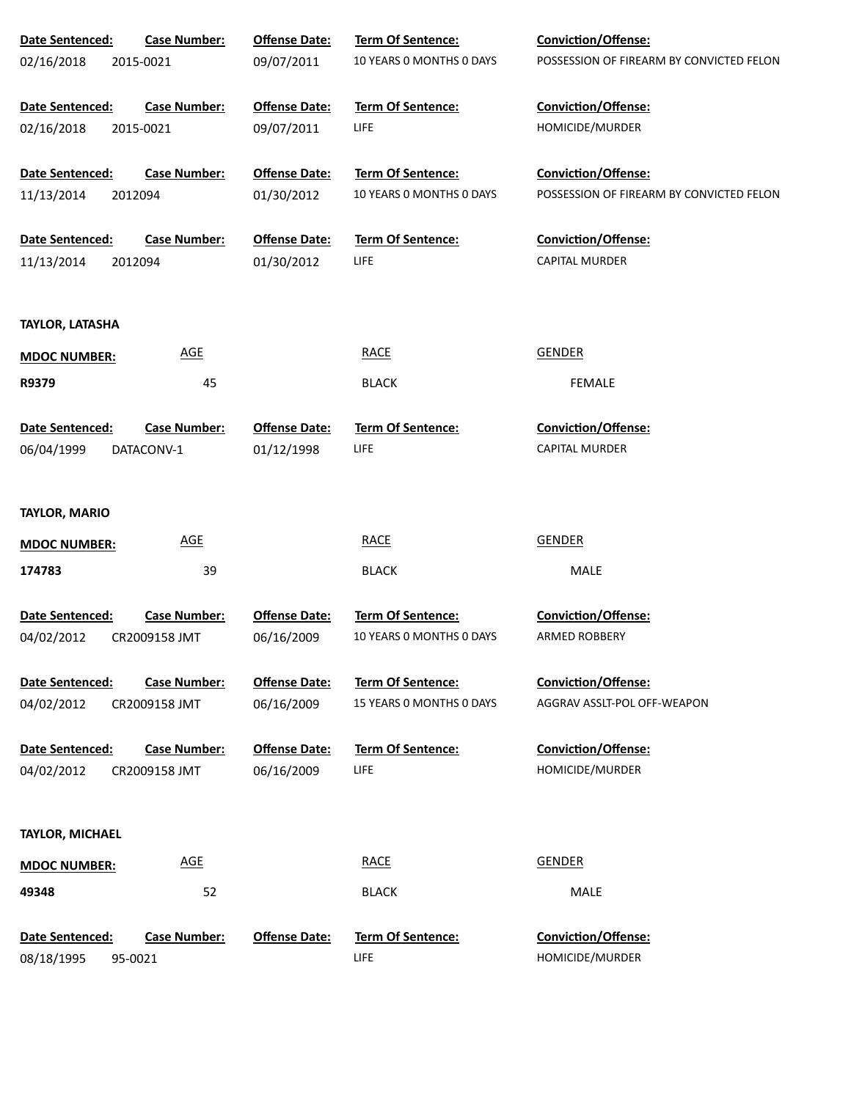| Date Sentenced:        | <b>Case Number:</b> | <b>Offense Date:</b> | Term Of Sentence:        | <b>Conviction/Offense:</b>               |
|------------------------|---------------------|----------------------|--------------------------|------------------------------------------|
| 02/16/2018             | 2015-0021           | 09/07/2011           | 10 YEARS O MONTHS O DAYS | POSSESSION OF FIREARM BY CONVICTED FELON |
|                        |                     |                      |                          |                                          |
| Date Sentenced:        | <b>Case Number:</b> | <b>Offense Date:</b> | Term Of Sentence:        | Conviction/Offense:                      |
| 02/16/2018             | 2015-0021           | 09/07/2011           | <b>LIFE</b>              | HOMICIDE/MURDER                          |
|                        |                     |                      |                          |                                          |
| Date Sentenced:        | <b>Case Number:</b> | <b>Offense Date:</b> | <b>Term Of Sentence:</b> | Conviction/Offense:                      |
| 11/13/2014             | 2012094             | 01/30/2012           | 10 YEARS O MONTHS O DAYS | POSSESSION OF FIREARM BY CONVICTED FELON |
| Date Sentenced:        | <b>Case Number:</b> | <b>Offense Date:</b> | Term Of Sentence:        | Conviction/Offense:                      |
| 11/13/2014             | 2012094             | 01/30/2012           | <b>LIFE</b>              | <b>CAPITAL MURDER</b>                    |
|                        |                     |                      |                          |                                          |
|                        |                     |                      |                          |                                          |
| <b>TAYLOR, LATASHA</b> |                     |                      |                          |                                          |
| <b>MDOC NUMBER:</b>    | <b>AGE</b>          |                      | <b>RACE</b>              | <b>GENDER</b>                            |
| R9379                  | 45                  |                      | <b>BLACK</b>             | <b>FEMALE</b>                            |
|                        |                     |                      |                          |                                          |
| Date Sentenced:        | <b>Case Number:</b> | <b>Offense Date:</b> | Term Of Sentence:        | Conviction/Offense:                      |
| 06/04/1999             | DATACONV-1          | 01/12/1998           | <b>LIFE</b>              | <b>CAPITAL MURDER</b>                    |
|                        |                     |                      |                          |                                          |
| <b>TAYLOR, MARIO</b>   |                     |                      |                          |                                          |
| <b>MDOC NUMBER:</b>    | <b>AGE</b>          |                      | <b>RACE</b>              | <b>GENDER</b>                            |
| 174783                 | 39                  |                      | <b>BLACK</b>             | MALE                                     |
|                        |                     |                      |                          |                                          |
| Date Sentenced:        | <b>Case Number:</b> | <b>Offense Date:</b> | <b>Term Of Sentence:</b> | <b>Conviction/Offense:</b>               |
| 04/02/2012             | CR2009158 JMT       | 06/16/2009           | 10 YEARS O MONTHS O DAYS | ARMED ROBBERY                            |
| <b>Date Sentenced:</b> | <b>Case Number:</b> | <b>Offense Date:</b> | <b>Term Of Sentence:</b> | Conviction/Offense:                      |
| 04/02/2012             | CR2009158 JMT       | 06/16/2009           | 15 YEARS 0 MONTHS 0 DAYS | AGGRAV ASSLT-POL OFF-WEAPON              |
|                        |                     |                      |                          |                                          |
| <b>Date Sentenced:</b> | <b>Case Number:</b> | <b>Offense Date:</b> | <b>Term Of Sentence:</b> | <b>Conviction/Offense:</b>               |
| 04/02/2012             | CR2009158 JMT       | 06/16/2009           | <b>LIFE</b>              | HOMICIDE/MURDER                          |
|                        |                     |                      |                          |                                          |
| TAYLOR, MICHAEL        |                     |                      |                          |                                          |
|                        |                     |                      |                          |                                          |
| <b>MDOC NUMBER:</b>    | AGE                 |                      | <b>RACE</b>              | <b>GENDER</b>                            |
| 49348                  | 52                  |                      | <b>BLACK</b>             | MALE                                     |
| Date Sentenced:        | <b>Case Number:</b> | <b>Offense Date:</b> | Term Of Sentence:        | Conviction/Offense:                      |
| 08/18/1995             | 95-0021             |                      | <b>LIFE</b>              | HOMICIDE/MURDER                          |
|                        |                     |                      |                          |                                          |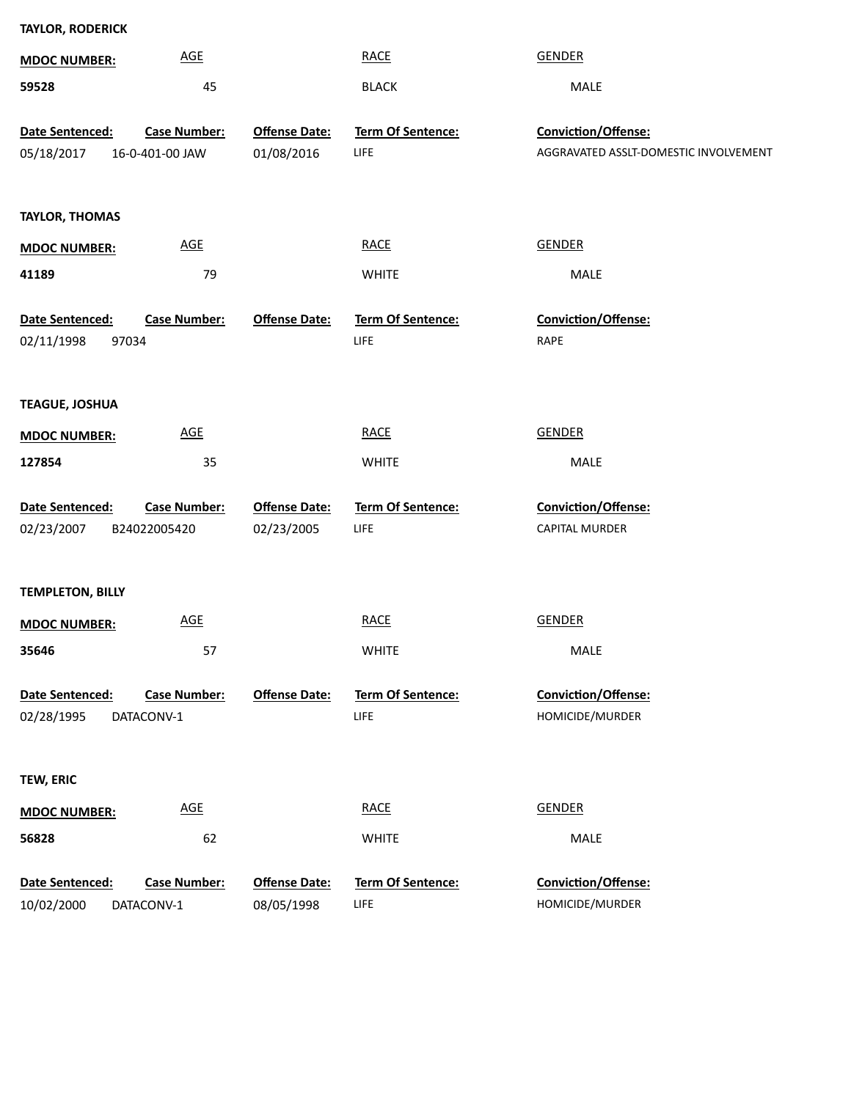| <b>TAYLOR, RODERICK</b>       |                                        |                                    |                           |                                                              |
|-------------------------------|----------------------------------------|------------------------------------|---------------------------|--------------------------------------------------------------|
| <b>MDOC NUMBER:</b>           | <b>AGE</b>                             |                                    | <b>RACE</b>               | <b>GENDER</b>                                                |
| 59528                         | 45                                     |                                    | <b>BLACK</b>              | MALE                                                         |
|                               |                                        |                                    |                           |                                                              |
| Date Sentenced:<br>05/18/2017 | <b>Case Number:</b><br>16-0-401-00 JAW | <b>Offense Date:</b><br>01/08/2016 | Term Of Sentence:<br>LIFE | Conviction/Offense:<br>AGGRAVATED ASSLT-DOMESTIC INVOLVEMENT |
|                               |                                        |                                    |                           |                                                              |
|                               |                                        |                                    |                           |                                                              |
| <b>TAYLOR, THOMAS</b>         |                                        |                                    |                           |                                                              |
| <b>MDOC NUMBER:</b>           | <b>AGE</b>                             |                                    | <b>RACE</b>               | <b>GENDER</b>                                                |
| 41189                         | 79                                     |                                    | <b>WHITE</b>              | MALE                                                         |
|                               |                                        |                                    |                           |                                                              |
| Date Sentenced:               | <b>Case Number:</b>                    | <b>Offense Date:</b>               | Term Of Sentence:         | Conviction/Offense:                                          |
| 02/11/1998<br>97034           |                                        |                                    | LIFE                      | RAPE                                                         |
|                               |                                        |                                    |                           |                                                              |
| <b>TEAGUE, JOSHUA</b>         |                                        |                                    |                           |                                                              |
| <b>MDOC NUMBER:</b>           | <b>AGE</b>                             |                                    | <b>RACE</b>               | <b>GENDER</b>                                                |
| 127854                        | 35                                     |                                    | <b>WHITE</b>              | MALE                                                         |
|                               |                                        |                                    |                           |                                                              |
| Date Sentenced:               | <b>Case Number:</b>                    | <b>Offense Date:</b>               | Term Of Sentence:         | Conviction/Offense:                                          |
| 02/23/2007                    | B24022005420                           | 02/23/2005                         | LIFE                      | <b>CAPITAL MURDER</b>                                        |
|                               |                                        |                                    |                           |                                                              |
| <b>TEMPLETON, BILLY</b>       |                                        |                                    |                           |                                                              |
| <b>MDOC NUMBER:</b>           | <b>AGE</b>                             |                                    | <b>RACE</b>               | <b>GENDER</b>                                                |
| 35646                         | 57                                     |                                    | <b>WHITE</b>              | MALE                                                         |
|                               |                                        |                                    |                           |                                                              |
| Date Sentenced:               | <b>Case Number:</b>                    | <b>Offense Date:</b>               | Term Of Sentence:         | Conviction/Offense:                                          |
| 02/28/1995                    | DATACONV-1                             |                                    | LIFE                      | HOMICIDE/MURDER                                              |
|                               |                                        |                                    |                           |                                                              |
| <b>TEW, ERIC</b>              |                                        |                                    |                           |                                                              |
| <b>MDOC NUMBER:</b>           | AGE                                    |                                    | <b>RACE</b>               | <b>GENDER</b>                                                |
| 56828                         | 62                                     |                                    | <b>WHITE</b>              | MALE                                                         |
|                               |                                        |                                    |                           |                                                              |
| Date Sentenced:               | <b>Case Number:</b>                    | <b>Offense Date:</b>               | Term Of Sentence:         | Conviction/Offense:                                          |
| 10/02/2000                    | DATACONV-1                             | 08/05/1998                         | <b>LIFE</b>               | HOMICIDE/MURDER                                              |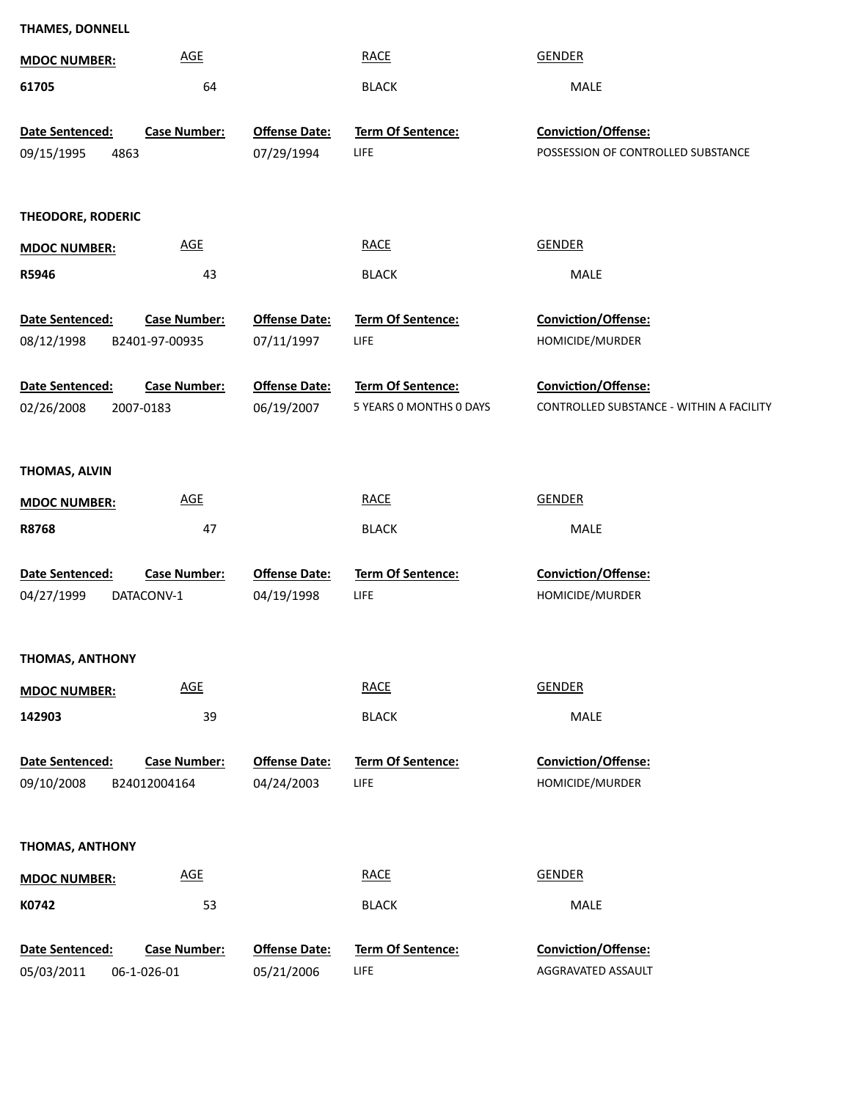| <b>MDOC NUMBER:</b>    | <b>AGE</b>                 |                      | <b>RACE</b>              | <b>GENDER</b>                            |
|------------------------|----------------------------|----------------------|--------------------------|------------------------------------------|
| 61705                  | 64                         |                      | <b>BLACK</b>             | MALE                                     |
|                        |                            |                      |                          |                                          |
| Date Sentenced:        | <b>Case Number:</b>        | <b>Offense Date:</b> | <b>Term Of Sentence:</b> | Conviction/Offense:                      |
| 09/15/1995<br>4863     |                            | 07/29/1994           | LIFE                     | POSSESSION OF CONTROLLED SUBSTANCE       |
|                        |                            |                      |                          |                                          |
| THEODORE, RODERIC      |                            |                      |                          |                                          |
| <b>MDOC NUMBER:</b>    | <b>AGE</b>                 |                      | <b>RACE</b>              | <b>GENDER</b>                            |
| R5946                  | 43                         |                      | <b>BLACK</b>             | MALE                                     |
|                        |                            |                      |                          |                                          |
| Date Sentenced:        | <b>Case Number:</b>        | <b>Offense Date:</b> | Term Of Sentence:        | Conviction/Offense:                      |
| 08/12/1998             | B2401-97-00935             | 07/11/1997           | LIFE                     | HOMICIDE/MURDER                          |
|                        |                            |                      |                          |                                          |
| Date Sentenced:        | <b>Case Number:</b>        | <b>Offense Date:</b> | Term Of Sentence:        | Conviction/Offense:                      |
| 02/26/2008             | 2007-0183                  | 06/19/2007           | 5 YEARS 0 MONTHS 0 DAYS  | CONTROLLED SUBSTANCE - WITHIN A FACILITY |
|                        |                            |                      |                          |                                          |
| THOMAS, ALVIN          |                            |                      |                          |                                          |
| <b>MDOC NUMBER:</b>    | <b>AGE</b>                 |                      | <b>RACE</b>              | <b>GENDER</b>                            |
| R8768                  | 47                         |                      | <b>BLACK</b>             | MALE                                     |
|                        |                            |                      |                          |                                          |
| Date Sentenced:        | <b>Case Number:</b>        | <b>Offense Date:</b> | Term Of Sentence:        | Conviction/Offense:                      |
| 04/27/1999             | DATACONV-1                 | 04/19/1998           | LIFE                     | HOMICIDE/MURDER                          |
|                        |                            |                      |                          |                                          |
| <b>THOMAS, ANTHONY</b> |                            |                      |                          |                                          |
|                        | <b>AGE</b>                 |                      | <b>RACE</b>              | <b>GENDER</b>                            |
| <b>MDOC NUMBER:</b>    |                            |                      |                          |                                          |
| 142903                 | 39                         |                      | <b>BLACK</b>             | MALE                                     |
| Date Sentenced:        | <b>Case Number:</b>        | <b>Offense Date:</b> | Term Of Sentence:        | Conviction/Offense:                      |
| 09/10/2008             | B24012004164               | 04/24/2003           | LIFE                     | HOMICIDE/MURDER                          |
|                        |                            |                      |                          |                                          |
|                        |                            |                      |                          |                                          |
| <b>THOMAS, ANTHONY</b> |                            |                      |                          |                                          |
| <b>MDOC NUMBER:</b>    | $\underline{\mathsf{AGE}}$ |                      | <b>RACE</b>              | <b>GENDER</b>                            |
| K0742                  | 53                         |                      | <b>BLACK</b>             | MALE                                     |
|                        |                            |                      |                          |                                          |
| Date Sentenced:        | <b>Case Number:</b>        | <b>Offense Date:</b> | Term Of Sentence:        | Conviction/Offense:                      |
| 05/03/2011             | 06-1-026-01                | 05/21/2006           | LIFE                     | AGGRAVATED ASSAULT                       |

**THAMES, DONNELL**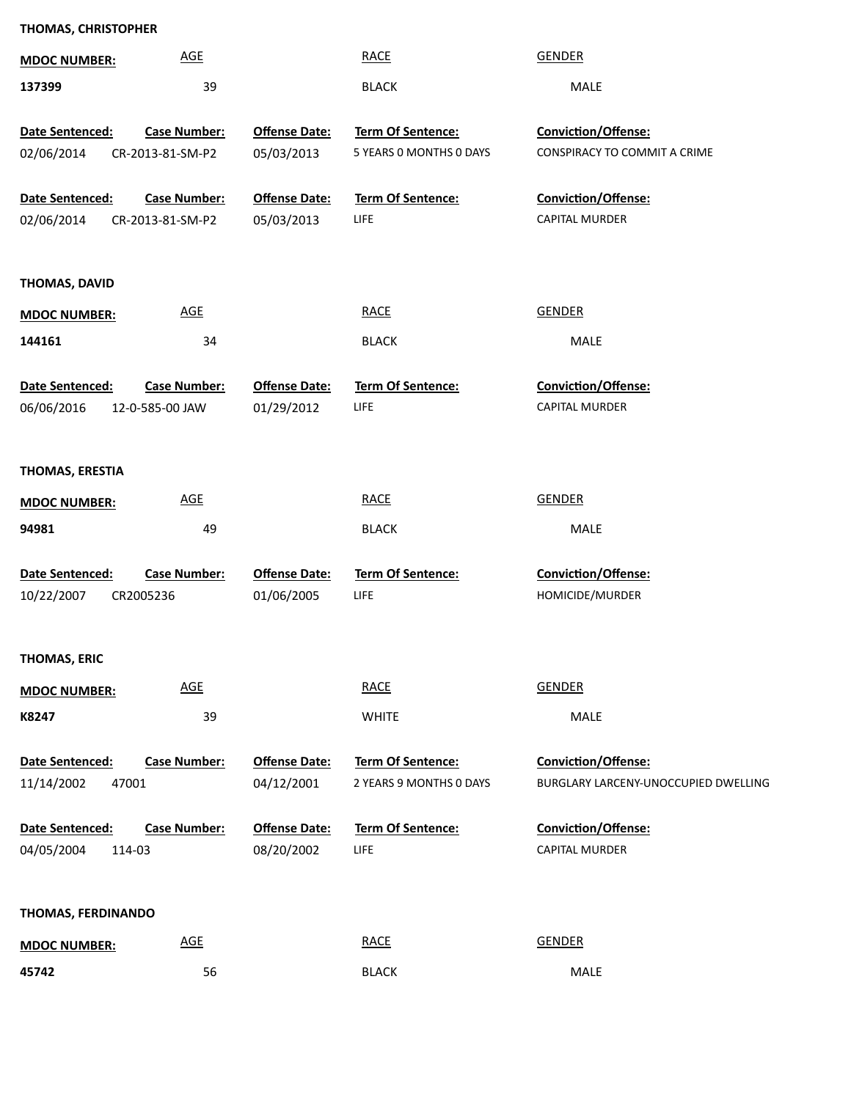| <b>THOMAS, CHRISTOPHER</b> |                            |                      |                          |                                      |
|----------------------------|----------------------------|----------------------|--------------------------|--------------------------------------|
| <b>MDOC NUMBER:</b>        | <b>AGE</b>                 |                      | <b>RACE</b>              | <b>GENDER</b>                        |
| 137399                     | 39                         |                      | <b>BLACK</b>             | MALE                                 |
| Date Sentenced:            | <b>Case Number:</b>        | <b>Offense Date:</b> | Term Of Sentence:        | Conviction/Offense:                  |
| 02/06/2014                 | CR-2013-81-SM-P2           | 05/03/2013           | 5 YEARS O MONTHS O DAYS  | CONSPIRACY TO COMMIT A CRIME         |
|                            |                            |                      |                          |                                      |
| Date Sentenced:            | <b>Case Number:</b>        | <b>Offense Date:</b> | Term Of Sentence:        | Conviction/Offense:                  |
| 02/06/2014                 | CR-2013-81-SM-P2           | 05/03/2013           | LIFE                     | CAPITAL MURDER                       |
|                            |                            |                      |                          |                                      |
| THOMAS, DAVID              |                            |                      |                          |                                      |
| <b>MDOC NUMBER:</b>        | $\underline{\mathsf{AGE}}$ |                      | <b>RACE</b>              | <b>GENDER</b>                        |
| 144161                     | 34                         |                      | <b>BLACK</b>             | MALE                                 |
|                            |                            |                      |                          |                                      |
| Date Sentenced:            | <b>Case Number:</b>        | <b>Offense Date:</b> | Term Of Sentence:        | Conviction/Offense:                  |
| 06/06/2016                 | 12-0-585-00 JAW            | 01/29/2012           | LIFE                     | CAPITAL MURDER                       |
|                            |                            |                      |                          |                                      |
| THOMAS, ERESTIA            |                            |                      |                          |                                      |
| <b>MDOC NUMBER:</b>        | <b>AGE</b>                 |                      | <b>RACE</b>              | <b>GENDER</b>                        |
| 94981                      | 49                         |                      | <b>BLACK</b>             | MALE                                 |
| Date Sentenced:            | <b>Case Number:</b>        | <b>Offense Date:</b> | Term Of Sentence:        | Conviction/Offense:                  |
| 10/22/2007                 | CR2005236                  | 01/06/2005           | LIFE                     | HOMICIDE/MURDER                      |
|                            |                            |                      |                          |                                      |
|                            |                            |                      |                          |                                      |
| THOMAS, ERIC               | <b>AGE</b>                 |                      | <b>RACE</b>              | <b>GENDER</b>                        |
| <b>MDOC NUMBER:</b>        |                            |                      |                          |                                      |
| K8247                      | 39                         |                      | <b>WHITE</b>             | MALE                                 |
| Date Sentenced:            | <b>Case Number:</b>        | <b>Offense Date:</b> | Term Of Sentence:        | Conviction/Offense:                  |
| 11/14/2002                 | 47001                      | 04/12/2001           | 2 YEARS 9 MONTHS 0 DAYS  | BURGLARY LARCENY-UNOCCUPIED DWELLING |
|                            |                            |                      |                          |                                      |
| Date Sentenced:            | <b>Case Number:</b>        | <b>Offense Date:</b> | <b>Term Of Sentence:</b> | Conviction/Offense:                  |
| 04/05/2004                 | 114-03                     | 08/20/2002           | LIFE                     | CAPITAL MURDER                       |
|                            |                            |                      |                          |                                      |
| THOMAS, FERDINANDO         |                            |                      |                          |                                      |
| <b>MDOC NUMBER:</b>        | $\underline{\mathsf{AGE}}$ |                      | <b>RACE</b>              | <b>GENDER</b>                        |
| 45742                      | 56                         |                      | <b>BLACK</b>             | MALE                                 |

56 BLACK MALE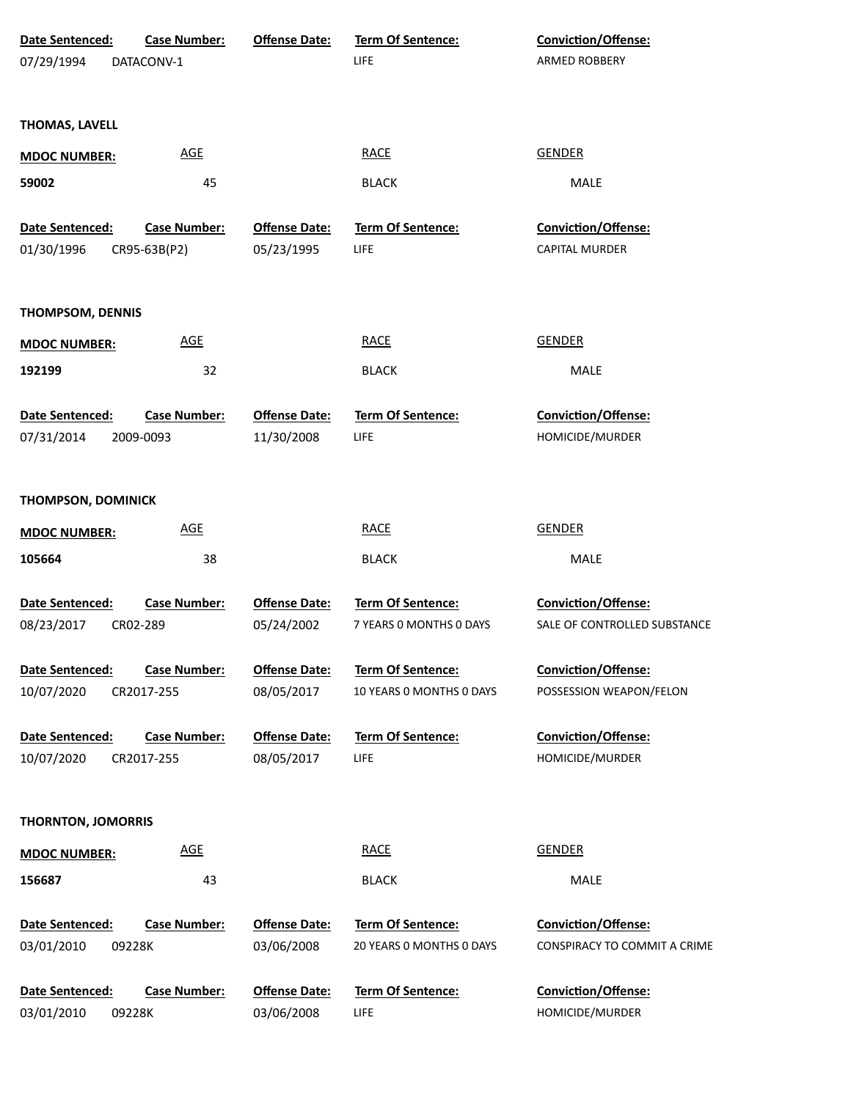| Date Sentenced:               | <b>Case Number:</b>              | <b>Offense Date:</b>               | <b>Term Of Sentence:</b>  | Conviction/Offense:                           |
|-------------------------------|----------------------------------|------------------------------------|---------------------------|-----------------------------------------------|
| 07/29/1994                    | DATACONV-1                       |                                    | LIFE                      | ARMED ROBBERY                                 |
|                               |                                  |                                    |                           |                                               |
| THOMAS, LAVELL                |                                  |                                    |                           |                                               |
| <b>MDOC NUMBER:</b>           | <b>AGE</b>                       |                                    | <b>RACE</b>               | <b>GENDER</b>                                 |
| 59002                         | 45                               |                                    | <b>BLACK</b>              | MALE                                          |
|                               |                                  |                                    |                           |                                               |
| Date Sentenced:               | <b>Case Number:</b>              | <b>Offense Date:</b>               | Term Of Sentence:         | Conviction/Offense:                           |
| 01/30/1996                    | CR95-63B(P2)                     | 05/23/1995                         | LIFE                      | <b>CAPITAL MURDER</b>                         |
|                               |                                  |                                    |                           |                                               |
| THOMPSOM, DENNIS              |                                  |                                    |                           |                                               |
|                               |                                  |                                    |                           |                                               |
| <b>MDOC NUMBER:</b>           | <b>AGE</b>                       |                                    | <b>RACE</b>               | <b>GENDER</b>                                 |
| 192199                        | 32                               |                                    | <b>BLACK</b>              | MALE                                          |
|                               |                                  |                                    |                           |                                               |
| Date Sentenced:<br>07/31/2014 | <b>Case Number:</b><br>2009-0093 | <b>Offense Date:</b><br>11/30/2008 | Term Of Sentence:<br>LIFE | <b>Conviction/Offense:</b><br>HOMICIDE/MURDER |
|                               |                                  |                                    |                           |                                               |
|                               |                                  |                                    |                           |                                               |
| <b>THOMPSON, DOMINICK</b>     |                                  |                                    |                           |                                               |
| <b>MDOC NUMBER:</b>           | <b>AGE</b>                       |                                    | <b>RACE</b>               | <b>GENDER</b>                                 |
| 105664                        | 38                               |                                    | <b>BLACK</b>              | MALE                                          |
|                               |                                  |                                    |                           |                                               |
| <b>Date Sentenced:</b>        | <b>Case Number:</b>              | <b>Offense Date:</b>               | Term Of Sentence:         | Conviction/Offense:                           |
| 08/23/2017                    | CR02-289                         | 05/24/2002                         | 7 YEARS O MONTHS O DAYS   | SALE OF CONTROLLED SUBSTANCE                  |
|                               | <b>Case Number:</b>              |                                    | <b>Term Of Sentence:</b>  | <b>Conviction/Offense:</b>                    |
| Date Sentenced:<br>10/07/2020 | CR2017-255                       | <b>Offense Date:</b><br>08/05/2017 | 10 YEARS O MONTHS O DAYS  | POSSESSION WEAPON/FELON                       |
|                               |                                  |                                    |                           |                                               |
| Date Sentenced:               | <b>Case Number:</b>              | <b>Offense Date:</b>               | <b>Term Of Sentence:</b>  | Conviction/Offense:                           |
| 10/07/2020                    | CR2017-255                       | 08/05/2017                         | LIFE                      | HOMICIDE/MURDER                               |
|                               |                                  |                                    |                           |                                               |
|                               |                                  |                                    |                           |                                               |
| <b>THORNTON, JOMORRIS</b>     |                                  |                                    |                           |                                               |
| <b>MDOC NUMBER:</b>           | <b>AGE</b>                       |                                    | <b>RACE</b>               | <b>GENDER</b>                                 |
| 156687                        | 43                               |                                    | <b>BLACK</b>              | MALE                                          |
|                               |                                  |                                    |                           |                                               |
| Date Sentenced:               | <b>Case Number:</b>              | <b>Offense Date:</b>               | <b>Term Of Sentence:</b>  | <b>Conviction/Offense:</b>                    |
| 03/01/2010                    | 09228K                           | 03/06/2008                         | 20 YEARS O MONTHS O DAYS  | CONSPIRACY TO COMMIT A CRIME                  |
| Date Sentenced:               | <b>Case Number:</b>              | <b>Offense Date:</b>               | Term Of Sentence:         | <b>Conviction/Offense:</b>                    |
| 03/01/2010                    | 09228K                           | 03/06/2008                         | LIFE                      | HOMICIDE/MURDER                               |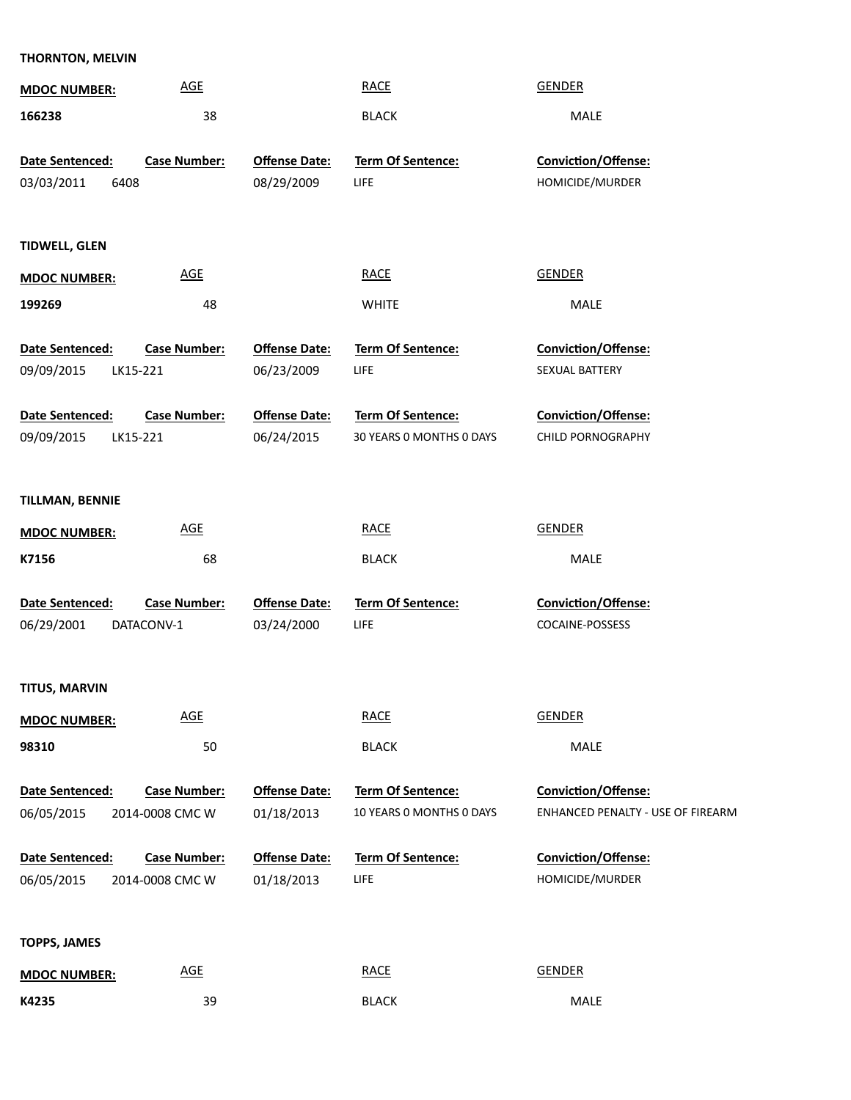| THORNTON, MELVIN       |                     |                      |                          |                                   |
|------------------------|---------------------|----------------------|--------------------------|-----------------------------------|
| <b>MDOC NUMBER:</b>    | <b>AGE</b>          |                      | <b>RACE</b>              | <b>GENDER</b>                     |
| 166238                 | 38                  |                      | <b>BLACK</b>             | MALE                              |
|                        |                     |                      |                          |                                   |
| Date Sentenced:        | <b>Case Number:</b> | <b>Offense Date:</b> | Term Of Sentence:        | Conviction/Offense:               |
| 03/03/2011             | 6408                | 08/29/2009           | <b>LIFE</b>              | HOMICIDE/MURDER                   |
|                        |                     |                      |                          |                                   |
| <b>TIDWELL, GLEN</b>   |                     |                      |                          |                                   |
| <b>MDOC NUMBER:</b>    | <b>AGE</b>          |                      | <b>RACE</b>              | <b>GENDER</b>                     |
| 199269                 | 48                  |                      | <b>WHITE</b>             | MALE                              |
|                        |                     |                      |                          |                                   |
| Date Sentenced:        | <b>Case Number:</b> | <b>Offense Date:</b> | Term Of Sentence:        | <b>Conviction/Offense:</b>        |
| 09/09/2015             | LK15-221            | 06/23/2009           | <b>LIFE</b>              | SEXUAL BATTERY                    |
| Date Sentenced:        | <b>Case Number:</b> | <b>Offense Date:</b> | Term Of Sentence:        | <b>Conviction/Offense:</b>        |
| 09/09/2015             | LK15-221            | 06/24/2015           | 30 YEARS O MONTHS O DAYS | CHILD PORNOGRAPHY                 |
|                        |                     |                      |                          |                                   |
|                        |                     |                      |                          |                                   |
| <b>TILLMAN, BENNIE</b> |                     |                      |                          |                                   |
| <b>MDOC NUMBER:</b>    | <b>AGE</b>          |                      | <b>RACE</b>              | <b>GENDER</b>                     |
| K7156                  | 68                  |                      | <b>BLACK</b>             | MALE                              |
| Date Sentenced:        | <b>Case Number:</b> | <b>Offense Date:</b> | Term Of Sentence:        | Conviction/Offense:               |
| 06/29/2001             | DATACONV-1          | 03/24/2000           | <b>LIFE</b>              | COCAINE-POSSESS                   |
|                        |                     |                      |                          |                                   |
| <b>TITUS, MARVIN</b>   |                     |                      |                          |                                   |
| <b>MDOC NUMBER:</b>    | <b>AGE</b>          |                      | <b>RACE</b>              | <b>GENDER</b>                     |
| 98310                  | 50                  |                      | <b>BLACK</b>             | MALE                              |
|                        |                     |                      |                          |                                   |
| Date Sentenced:        | <b>Case Number:</b> | <b>Offense Date:</b> | Term Of Sentence:        | <b>Conviction/Offense:</b>        |
| 06/05/2015             | 2014-0008 CMC W     | 01/18/2013           | 10 YEARS O MONTHS O DAYS | ENHANCED PENALTY - USE OF FIREARM |
| Date Sentenced:        | <b>Case Number:</b> | <b>Offense Date:</b> | Term Of Sentence:        | <b>Conviction/Offense:</b>        |
| 06/05/2015             | 2014-0008 CMC W     | 01/18/2013           | <b>LIFE</b>              | HOMICIDE/MURDER                   |
|                        |                     |                      |                          |                                   |
|                        |                     |                      |                          |                                   |
| <b>TOPPS, JAMES</b>    |                     |                      |                          |                                   |
| <b>MDOC NUMBER:</b>    | <b>AGE</b>          |                      | <b>RACE</b>              | <b>GENDER</b>                     |
| K4235                  | 39                  |                      | <b>BLACK</b>             | MALE                              |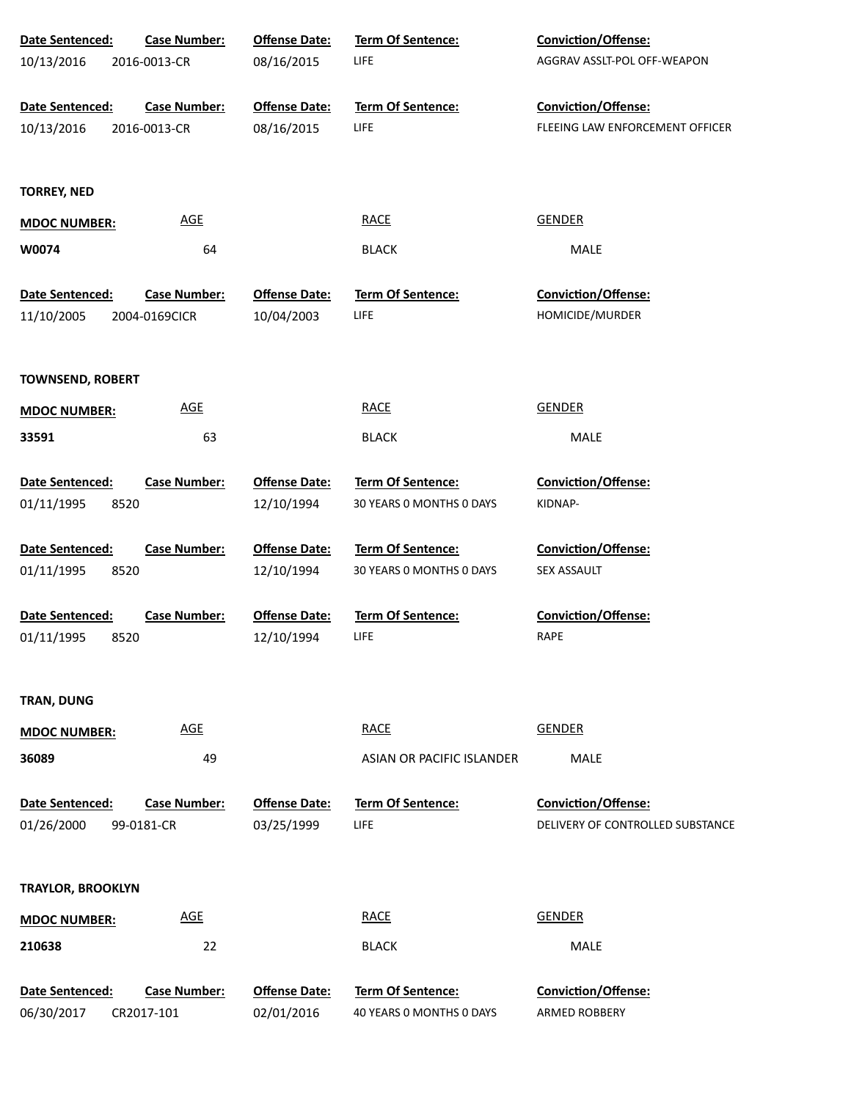| Date Sentenced:          | <b>Case Number:</b> | <b>Offense Date:</b> | <b>Term Of Sentence:</b>  | <b>Conviction/Offense:</b>       |
|--------------------------|---------------------|----------------------|---------------------------|----------------------------------|
| 10/13/2016               | 2016-0013-CR        | 08/16/2015           | <b>LIFE</b>               | AGGRAV ASSLT-POL OFF-WEAPON      |
|                          |                     |                      |                           |                                  |
| Date Sentenced:          | <b>Case Number:</b> | <b>Offense Date:</b> | <b>Term Of Sentence:</b>  | <b>Conviction/Offense:</b>       |
| 10/13/2016               | 2016-0013-CR        | 08/16/2015           | <b>LIFE</b>               | FLEEING LAW ENFORCEMENT OFFICER  |
|                          |                     |                      |                           |                                  |
| <b>TORREY, NED</b>       |                     |                      |                           |                                  |
| <b>MDOC NUMBER:</b>      | <b>AGE</b>          |                      | <b>RACE</b>               | <b>GENDER</b>                    |
| W0074                    | 64                  |                      | <b>BLACK</b>              | MALE                             |
|                          |                     |                      |                           |                                  |
| Date Sentenced:          | <b>Case Number:</b> | <b>Offense Date:</b> | <b>Term Of Sentence:</b>  | Conviction/Offense:              |
| 11/10/2005               | 2004-0169CICR       | 10/04/2003           | <b>LIFE</b>               | HOMICIDE/MURDER                  |
|                          |                     |                      |                           |                                  |
| <b>TOWNSEND, ROBERT</b>  |                     |                      |                           |                                  |
|                          |                     |                      |                           |                                  |
| <b>MDOC NUMBER:</b>      | <b>AGE</b>          |                      | <b>RACE</b>               | <b>GENDER</b>                    |
| 33591                    | 63                  |                      | <b>BLACK</b>              | MALE                             |
| Date Sentenced:          | <b>Case Number:</b> | <b>Offense Date:</b> | Term Of Sentence:         | <b>Conviction/Offense:</b>       |
| 01/11/1995<br>8520       |                     | 12/10/1994           | 30 YEARS 0 MONTHS 0 DAYS  | KIDNAP-                          |
|                          |                     |                      |                           |                                  |
| Date Sentenced:          | <b>Case Number:</b> | <b>Offense Date:</b> | <b>Term Of Sentence:</b>  | <b>Conviction/Offense:</b>       |
| 01/11/1995<br>8520       |                     | 12/10/1994           | 30 YEARS 0 MONTHS 0 DAYS  | SEX ASSAULT                      |
|                          |                     |                      |                           |                                  |
| Date Sentenced:          | <b>Case Number:</b> | <b>Offense Date:</b> | <b>Term Of Sentence:</b>  | <b>Conviction/Offense:</b>       |
| 01/11/1995<br>8520       |                     | 12/10/1994           | LIFE                      | RAPE                             |
|                          |                     |                      |                           |                                  |
| TRAN, DUNG               |                     |                      |                           |                                  |
|                          | <b>AGE</b>          |                      | <b>RACE</b>               | GENDER                           |
| <b>MDOC NUMBER:</b>      |                     |                      |                           |                                  |
| 36089                    | 49                  |                      | ASIAN OR PACIFIC ISLANDER | <b>MALE</b>                      |
| Date Sentenced:          | <b>Case Number:</b> | <b>Offense Date:</b> | <b>Term Of Sentence:</b>  | <b>Conviction/Offense:</b>       |
| 01/26/2000               | 99-0181-CR          | 03/25/1999           | LIFE                      | DELIVERY OF CONTROLLED SUBSTANCE |
|                          |                     |                      |                           |                                  |
|                          |                     |                      |                           |                                  |
| <b>TRAYLOR, BROOKLYN</b> |                     |                      |                           |                                  |
| <b>MDOC NUMBER:</b>      | <b>AGE</b>          |                      | <b>RACE</b>               | <b>GENDER</b>                    |
| 210638                   | 22                  |                      | <b>BLACK</b>              | MALE                             |
|                          |                     |                      |                           |                                  |
| Date Sentenced:          | <b>Case Number:</b> | <b>Offense Date:</b> | Term Of Sentence:         | Conviction/Offense:              |
| 06/30/2017               | CR2017-101          | 02/01/2016           | 40 YEARS 0 MONTHS 0 DAYS  | ARMED ROBBERY                    |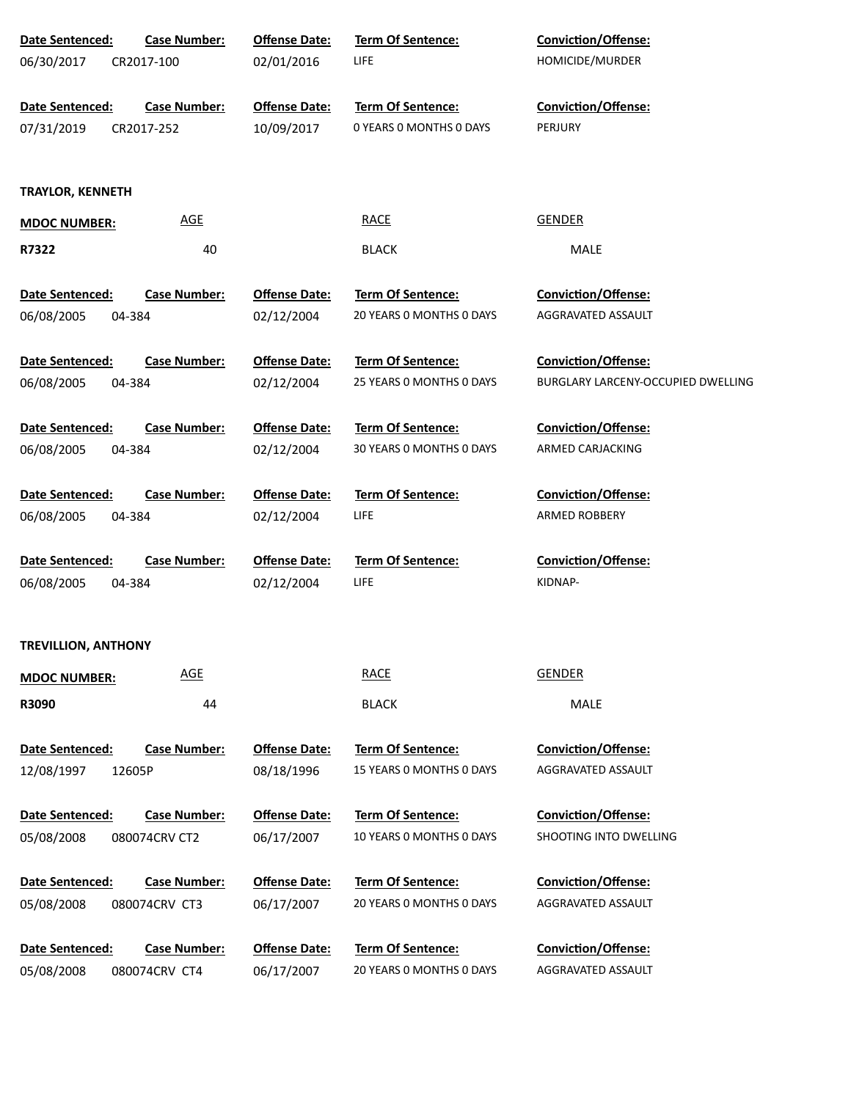| Date Sentenced:            | <b>Case Number:</b> | <b>Offense Date:</b> | Term Of Sentence:        | Conviction/Offense:                |
|----------------------------|---------------------|----------------------|--------------------------|------------------------------------|
| 06/30/2017                 | CR2017-100          | 02/01/2016           | <b>LIFE</b>              | HOMICIDE/MURDER                    |
|                            |                     |                      |                          |                                    |
| Date Sentenced:            | <b>Case Number:</b> | <b>Offense Date:</b> | Term Of Sentence:        | <b>Conviction/Offense:</b>         |
| 07/31/2019                 | CR2017-252          | 10/09/2017           | 0 YEARS O MONTHS O DAYS  | PERJURY                            |
|                            |                     |                      |                          |                                    |
| <b>TRAYLOR, KENNETH</b>    |                     |                      |                          |                                    |
| <b>MDOC NUMBER:</b>        | AGE                 |                      | <b>RACE</b>              | <b>GENDER</b>                      |
|                            |                     |                      |                          |                                    |
| R7322                      | 40                  |                      | <b>BLACK</b>             | MALE                               |
| Date Sentenced:            | <b>Case Number:</b> | <b>Offense Date:</b> | Term Of Sentence:        | <b>Conviction/Offense:</b>         |
| 06/08/2005                 | 04-384              | 02/12/2004           | 20 YEARS 0 MONTHS 0 DAYS | AGGRAVATED ASSAULT                 |
|                            |                     |                      |                          |                                    |
| Date Sentenced:            | <b>Case Number:</b> | <b>Offense Date:</b> | <b>Term Of Sentence:</b> | <b>Conviction/Offense:</b>         |
| 06/08/2005                 | 04-384              | 02/12/2004           | 25 YEARS 0 MONTHS 0 DAYS | BURGLARY LARCENY-OCCUPIED DWELLING |
|                            |                     |                      |                          |                                    |
| Date Sentenced:            | <b>Case Number:</b> | <b>Offense Date:</b> | <b>Term Of Sentence:</b> | <b>Conviction/Offense:</b>         |
| 06/08/2005                 | 04-384              | 02/12/2004           | 30 YEARS 0 MONTHS 0 DAYS | ARMED CARJACKING                   |
|                            |                     |                      |                          |                                    |
| Date Sentenced:            | <b>Case Number:</b> | <b>Offense Date:</b> | <b>Term Of Sentence:</b> | <b>Conviction/Offense:</b>         |
| 06/08/2005                 | 04-384              | 02/12/2004           | <b>LIFE</b>              | ARMED ROBBERY                      |
| Date Sentenced:            | <b>Case Number:</b> | <b>Offense Date:</b> | <b>Term Of Sentence:</b> | <b>Conviction/Offense:</b>         |
| 06/08/2005                 | 04-384              | 02/12/2004           | <b>LIFE</b>              | KIDNAP-                            |
|                            |                     |                      |                          |                                    |
|                            |                     |                      |                          |                                    |
| <b>TREVILLION, ANTHONY</b> |                     |                      |                          |                                    |
| <b>MDOC NUMBER:</b>        | <b>AGE</b>          |                      | <b>RACE</b>              | <b>GENDER</b>                      |
| R3090                      | 44                  |                      | <b>BLACK</b>             | MALE                               |
|                            |                     |                      |                          |                                    |
| <b>Date Sentenced:</b>     | <b>Case Number:</b> | <b>Offense Date:</b> | <b>Term Of Sentence:</b> | Conviction/Offense:                |
| 12/08/1997                 | 12605P              | 08/18/1996           | 15 YEARS 0 MONTHS 0 DAYS | AGGRAVATED ASSAULT                 |
|                            |                     |                      |                          |                                    |
| Date Sentenced:            | <b>Case Number:</b> | <b>Offense Date:</b> | <b>Term Of Sentence:</b> | <b>Conviction/Offense:</b>         |
| 05/08/2008                 | 080074CRV CT2       | 06/17/2007           | 10 YEARS 0 MONTHS 0 DAYS | SHOOTING INTO DWELLING             |
|                            |                     |                      |                          |                                    |
| Date Sentenced:            | <b>Case Number:</b> | <b>Offense Date:</b> | <b>Term Of Sentence:</b> | <b>Conviction/Offense:</b>         |
| 05/08/2008                 | 080074CRV CT3       | 06/17/2007           | 20 YEARS 0 MONTHS 0 DAYS | AGGRAVATED ASSAULT                 |
|                            |                     |                      | <b>Term Of Sentence:</b> | <b>Conviction/Offense:</b>         |
| Date Sentenced:            | <b>Case Number:</b> | <b>Offense Date:</b> | 20 YEARS 0 MONTHS 0 DAYS | AGGRAVATED ASSAULT                 |
| 05/08/2008                 | 080074CRV CT4       | 06/17/2007           |                          |                                    |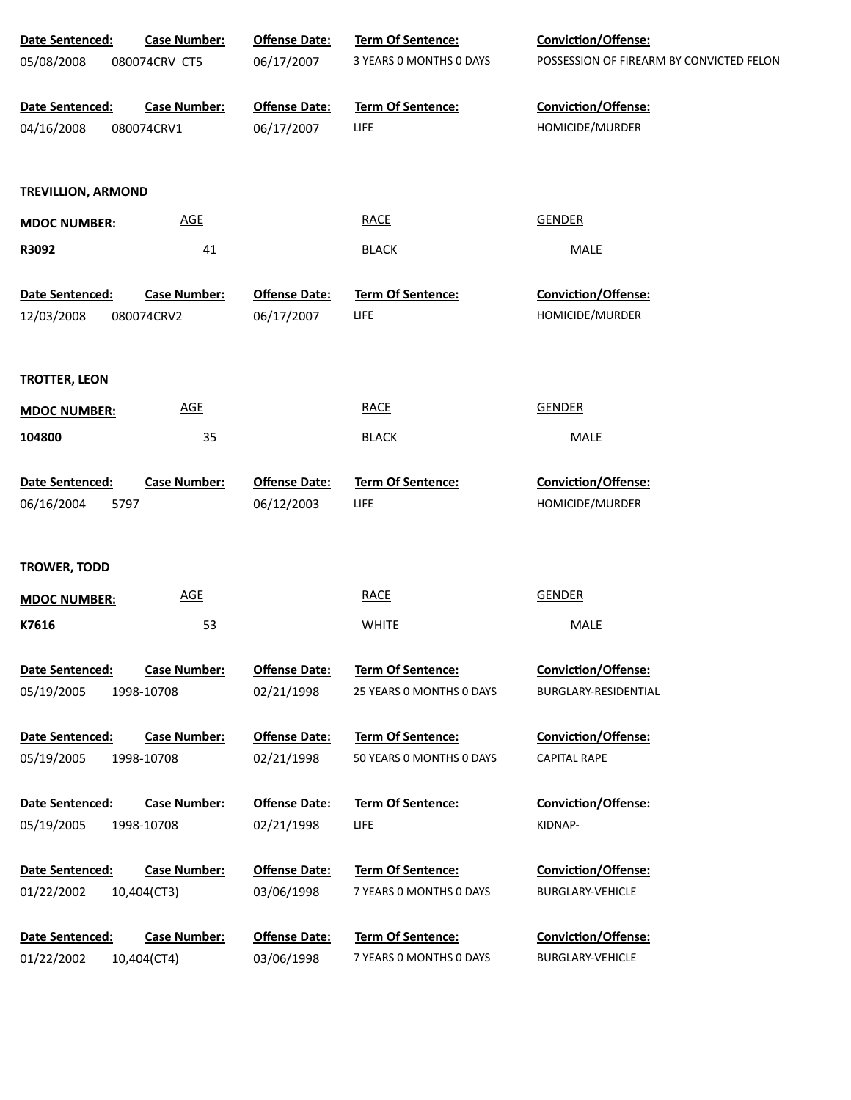| Date Sentenced:                       | <b>Case Number:</b>        | <b>Offense Date:</b>               | <b>Term Of Sentence:</b>  | <b>Conviction/Offense:</b>               |
|---------------------------------------|----------------------------|------------------------------------|---------------------------|------------------------------------------|
| 05/08/2008                            | 080074CRV CT5              | 06/17/2007                         | 3 YEARS 0 MONTHS 0 DAYS   | POSSESSION OF FIREARM BY CONVICTED FELON |
| Date Sentenced:                       | <b>Case Number:</b>        | <b>Offense Date:</b>               | Term Of Sentence:         | Conviction/Offense:                      |
| 04/16/2008                            | 080074CRV1                 | 06/17/2007                         | LIFE                      | HOMICIDE/MURDER                          |
| <b>TREVILLION, ARMOND</b>             |                            |                                    |                           |                                          |
| <b>MDOC NUMBER:</b>                   | <b>AGE</b>                 |                                    | <b>RACE</b>               | <b>GENDER</b>                            |
| R3092                                 | 41                         |                                    | <b>BLACK</b>              | MALE                                     |
| Date Sentenced:                       | <b>Case Number:</b>        | <b>Offense Date:</b>               | <b>Term Of Sentence:</b>  | <b>Conviction/Offense:</b>               |
| 12/03/2008                            | 080074CRV2                 | 06/17/2007                         | LIFE                      | HOMICIDE/MURDER                          |
| <b>TROTTER, LEON</b>                  |                            |                                    |                           |                                          |
| <b>MDOC NUMBER:</b>                   | $\underline{\mathsf{AGE}}$ |                                    | <b>RACE</b>               | <b>GENDER</b>                            |
| 104800                                | 35                         |                                    | <b>BLACK</b>              | MALE                                     |
| Date Sentenced:<br>06/16/2004<br>5797 | <b>Case Number:</b>        | <b>Offense Date:</b><br>06/12/2003 | Term Of Sentence:<br>LIFE | Conviction/Offense:<br>HOMICIDE/MURDER   |
|                                       |                            |                                    |                           |                                          |
| <b>TROWER, TODD</b>                   |                            |                                    |                           |                                          |
| <b>MDOC NUMBER:</b>                   | <b>AGE</b>                 |                                    | <b>RACE</b>               | <b>GENDER</b>                            |
| K7616                                 | 53                         |                                    | <b>WHITE</b>              | MALE                                     |
| Date Sentenced:                       | <b>Case Number:</b>        | <b>Offense Date:</b>               | Term Of Sentence:         | <b>Conviction/Offense:</b>               |
| 05/19/2005                            | 1998-10708                 | 02/21/1998                         | 25 YEARS 0 MONTHS 0 DAYS  | BURGLARY-RESIDENTIAL                     |
| Date Sentenced:                       | <b>Case Number:</b>        | <b>Offense Date:</b>               | <b>Term Of Sentence:</b>  | <b>Conviction/Offense:</b>               |
| 05/19/2005                            | 1998-10708                 | 02/21/1998                         | 50 YEARS 0 MONTHS 0 DAYS  | <b>CAPITAL RAPE</b>                      |
| Date Sentenced:                       | <b>Case Number:</b>        | <b>Offense Date:</b>               | <b>Term Of Sentence:</b>  | <b>Conviction/Offense:</b>               |
| 05/19/2005                            | 1998-10708                 | 02/21/1998                         | LIFE                      | KIDNAP-                                  |
| Date Sentenced:                       | <b>Case Number:</b>        | <b>Offense Date:</b>               | Term Of Sentence:         | <b>Conviction/Offense:</b>               |
| 01/22/2002                            | 10,404(CT3)                | 03/06/1998                         | 7 YEARS 0 MONTHS 0 DAYS   | <b>BURGLARY-VEHICLE</b>                  |
| Date Sentenced:                       | <b>Case Number:</b>        | <b>Offense Date:</b>               | <b>Term Of Sentence:</b>  | <b>Conviction/Offense:</b>               |
| 01/22/2002                            | 10,404(CT4)                | 03/06/1998                         | 7 YEARS 0 MONTHS 0 DAYS   | <b>BURGLARY-VEHICLE</b>                  |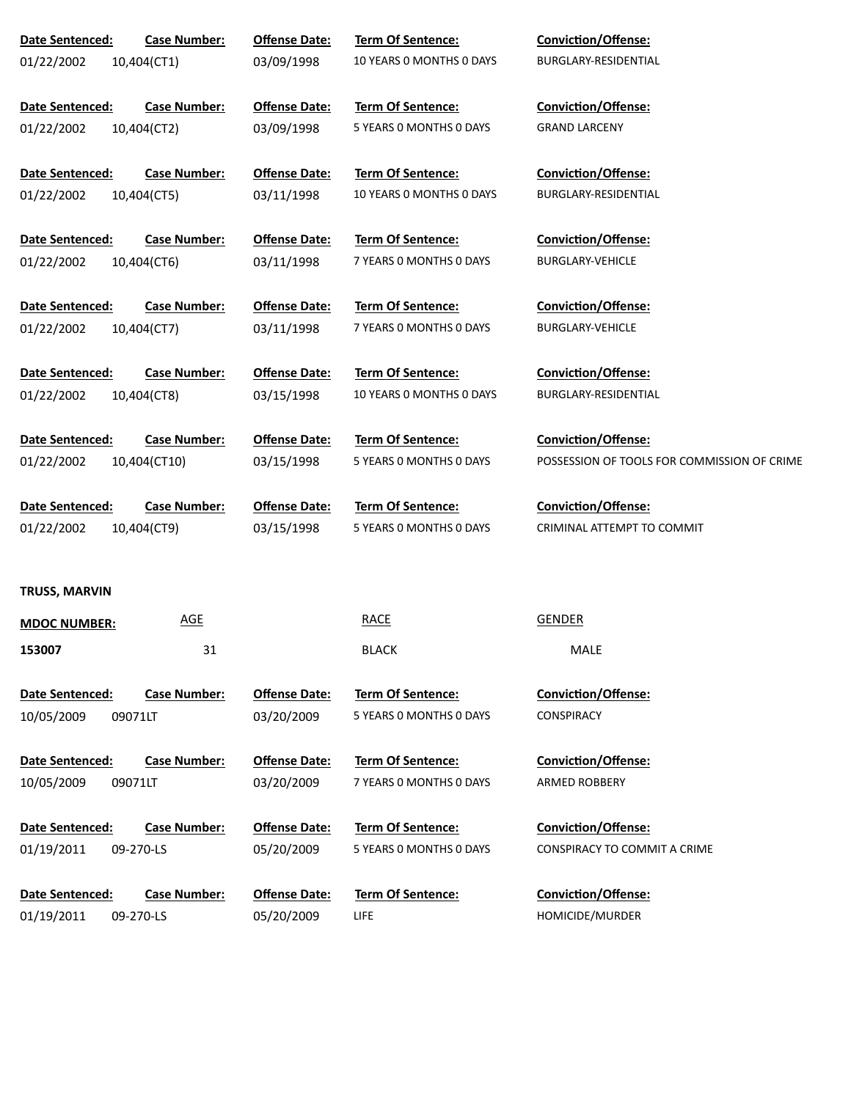| Date Sentenced:<br><b>Case Number:</b><br>01/22/2002<br>10,404(CT1)  | <b>Offense Date:</b><br>03/09/1998 | Term Of Sentence:<br>10 YEARS O MONTHS O DAYS        | Conviction/Offense:<br>BURGLARY-RESIDENTIAL                        |
|----------------------------------------------------------------------|------------------------------------|------------------------------------------------------|--------------------------------------------------------------------|
| Date Sentenced:<br><b>Case Number:</b><br>01/22/2002<br>10,404(CT2)  | <b>Offense Date:</b><br>03/09/1998 | <b>Term Of Sentence:</b><br>5 YEARS 0 MONTHS 0 DAYS  | <b>Conviction/Offense:</b><br><b>GRAND LARCENY</b>                 |
| Date Sentenced:<br><b>Case Number:</b><br>01/22/2002<br>10,404(CT5)  | <b>Offense Date:</b><br>03/11/1998 | Term Of Sentence:<br>10 YEARS 0 MONTHS 0 DAYS        | Conviction/Offense:<br>BURGLARY-RESIDENTIAL                        |
| Date Sentenced:<br><b>Case Number:</b><br>01/22/2002<br>10,404(CT6)  | <b>Offense Date:</b><br>03/11/1998 | Term Of Sentence:<br>7 YEARS 0 MONTHS 0 DAYS         | Conviction/Offense:<br><b>BURGLARY-VEHICLE</b>                     |
| Date Sentenced:<br><b>Case Number:</b><br>01/22/2002<br>10,404(CT7)  | <b>Offense Date:</b><br>03/11/1998 | Term Of Sentence:<br>7 YEARS 0 MONTHS 0 DAYS         | Conviction/Offense:<br><b>BURGLARY-VEHICLE</b>                     |
| Date Sentenced:<br><b>Case Number:</b><br>01/22/2002<br>10,404(CT8)  | <b>Offense Date:</b><br>03/15/1998 | <b>Term Of Sentence:</b><br>10 YEARS O MONTHS O DAYS | Conviction/Offense:<br>BURGLARY-RESIDENTIAL                        |
| Date Sentenced:<br><b>Case Number:</b><br>01/22/2002<br>10,404(CT10) | <b>Offense Date:</b><br>03/15/1998 | Term Of Sentence:<br>5 YEARS 0 MONTHS 0 DAYS         | Conviction/Offense:<br>POSSESSION OF TOOLS FOR COMMISSION OF CRIME |
| Date Sentenced:<br><b>Case Number:</b><br>01/22/2002<br>10,404(CT9)  | <b>Offense Date:</b><br>03/15/1998 | Term Of Sentence:<br>5 YEARS 0 MONTHS 0 DAYS         | Conviction/Offense:<br>CRIMINAL ATTEMPT TO COMMIT                  |
| TRUSS, MARVIN                                                        |                                    |                                                      |                                                                    |
| <b>AGE</b><br><b>MDOC NUMBER:</b>                                    |                                    | <b>RACE</b>                                          | <b>GENDER</b>                                                      |
| 153007<br>31                                                         |                                    | <b>BLACK</b>                                         | MALE                                                               |
| Date Sentenced:<br><b>Case Number:</b><br>10/05/2009<br>09071LT      | <b>Offense Date:</b><br>03/20/2009 | Term Of Sentence:<br>5 YEARS 0 MONTHS 0 DAYS         | <b>Conviction/Offense:</b><br><b>CONSPIRACY</b>                    |
|                                                                      |                                    |                                                      |                                                                    |
| Date Sentenced:<br><b>Case Number:</b><br>10/05/2009<br>09071LT      | <b>Offense Date:</b><br>03/20/2009 | <b>Term Of Sentence:</b><br>7 YEARS 0 MONTHS 0 DAYS  | <b>Conviction/Offense:</b><br>ARMED ROBBERY                        |
| Date Sentenced:<br><b>Case Number:</b><br>01/19/2011<br>09-270-LS    | <b>Offense Date:</b><br>05/20/2009 | Term Of Sentence:<br>5 YEARS 0 MONTHS 0 DAYS         | <b>Conviction/Offense:</b><br>CONSPIRACY TO COMMIT A CRIME         |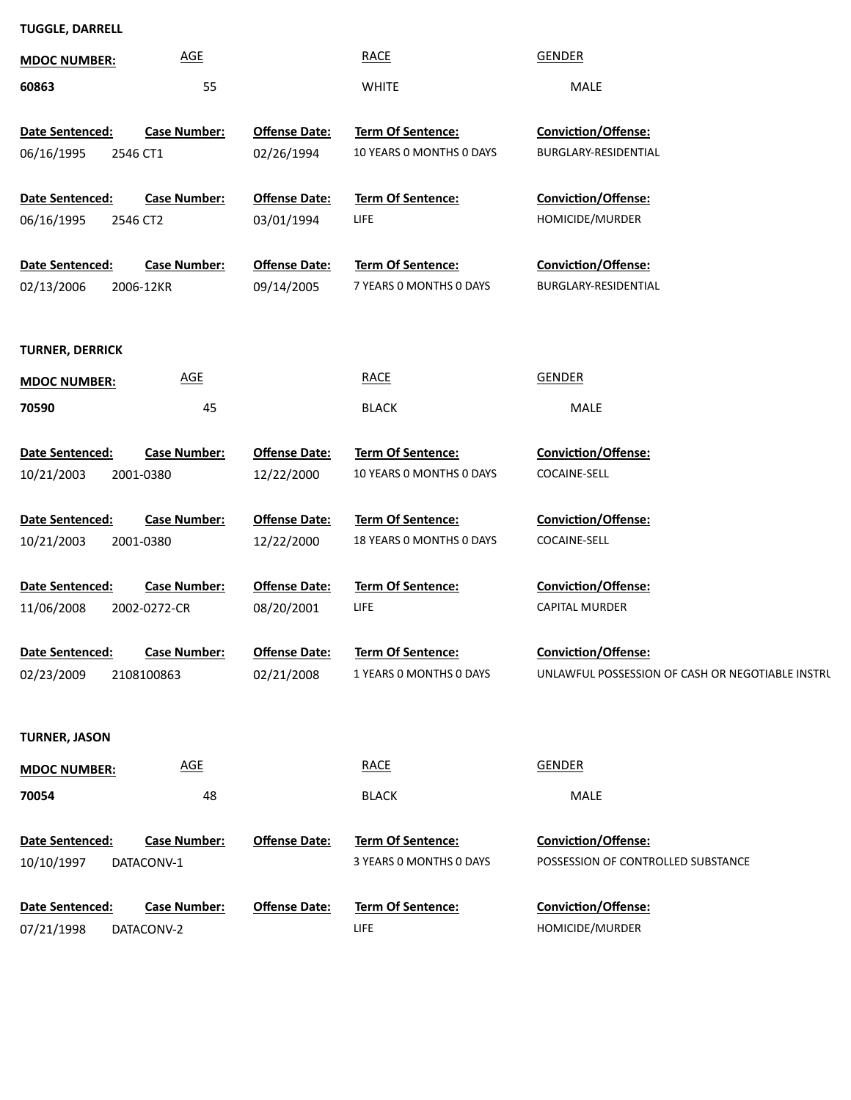## **TUGGLE, DARRELL**

| ייטשיב, פרוווגבי       |                     |                      |                          |                                                  |
|------------------------|---------------------|----------------------|--------------------------|--------------------------------------------------|
| <b>MDOC NUMBER:</b>    | <b>AGE</b>          |                      | <b>RACE</b>              | <b>GENDER</b>                                    |
| 60863                  | 55                  |                      | <b>WHITE</b>             | MALE                                             |
| Date Sentenced:        | <b>Case Number:</b> | <b>Offense Date:</b> | <b>Term Of Sentence:</b> | <b>Conviction/Offense:</b>                       |
| 06/16/1995             | 2546 CT1            | 02/26/1994           | 10 YEARS 0 MONTHS 0 DAYS | BURGLARY-RESIDENTIAL                             |
|                        |                     |                      |                          |                                                  |
| Date Sentenced:        | <b>Case Number:</b> | <b>Offense Date:</b> | Term Of Sentence:        | <b>Conviction/Offense:</b>                       |
| 06/16/1995             | 2546 CT2            | 03/01/1994           | LIFE                     | HOMICIDE/MURDER                                  |
| Date Sentenced:        | <b>Case Number:</b> | <b>Offense Date:</b> | Term Of Sentence:        | Conviction/Offense:                              |
| 02/13/2006             | 2006-12KR           | 09/14/2005           | 7 YEARS 0 MONTHS 0 DAYS  | BURGLARY-RESIDENTIAL                             |
|                        |                     |                      |                          |                                                  |
| <b>TURNER, DERRICK</b> |                     |                      |                          |                                                  |
| <b>MDOC NUMBER:</b>    | <b>AGE</b>          |                      | <b>RACE</b>              | GENDER                                           |
| 70590                  | 45                  |                      | <b>BLACK</b>             | MALE                                             |
|                        |                     |                      |                          |                                                  |
| Date Sentenced:        | <b>Case Number:</b> | <b>Offense Date:</b> | Term Of Sentence:        | Conviction/Offense:                              |
| 10/21/2003             | 2001-0380           | 12/22/2000           | 10 YEARS O MONTHS O DAYS | COCAINE-SELL                                     |
| Date Sentenced:        | <b>Case Number:</b> | <b>Offense Date:</b> | Term Of Sentence:        | Conviction/Offense:                              |
| 10/21/2003             | 2001-0380           | 12/22/2000           | 18 YEARS O MONTHS O DAYS | COCAINE-SELL                                     |
|                        |                     |                      |                          |                                                  |
| Date Sentenced:        | <b>Case Number:</b> | <b>Offense Date:</b> | Term Of Sentence:        | Conviction/Offense:                              |
| 11/06/2008             | 2002-0272-CR        | 08/20/2001           | LIFE                     | <b>CAPITAL MURDER</b>                            |
| Date Sentenced:        | <b>Case Number:</b> | <b>Offense Date:</b> | Term Of Sentence:        | Conviction/Offense:                              |
| 02/23/2009             | 2108100863          | 02/21/2008           | 1 YEARS 0 MONTHS 0 DAYS  | UNLAWFUL POSSESSION OF CASH OR NEGOTIABLE INSTRU |
|                        |                     |                      |                          |                                                  |
| <b>TURNER, JASON</b>   |                     |                      |                          |                                                  |
| <b>MDOC NUMBER:</b>    | AGE                 |                      | <b>RACE</b>              | <b>GENDER</b>                                    |
| 70054                  | 48                  |                      | <b>BLACK</b>             | MALE                                             |
|                        |                     |                      |                          |                                                  |
| Date Sentenced:        | <b>Case Number:</b> | <b>Offense Date:</b> | Term Of Sentence:        | <b>Conviction/Offense:</b>                       |
| 10/10/1997             | DATACONV-1          |                      | 3 YEARS 0 MONTHS 0 DAYS  | POSSESSION OF CONTROLLED SUBSTANCE               |
| Date Sentenced:        | <b>Case Number:</b> | <b>Offense Date:</b> | Term Of Sentence:        | Conviction/Offense:                              |
| 07/21/1998             | DATACONV-2          |                      | <b>LIFE</b>              | HOMICIDE/MURDER                                  |
|                        |                     |                      |                          |                                                  |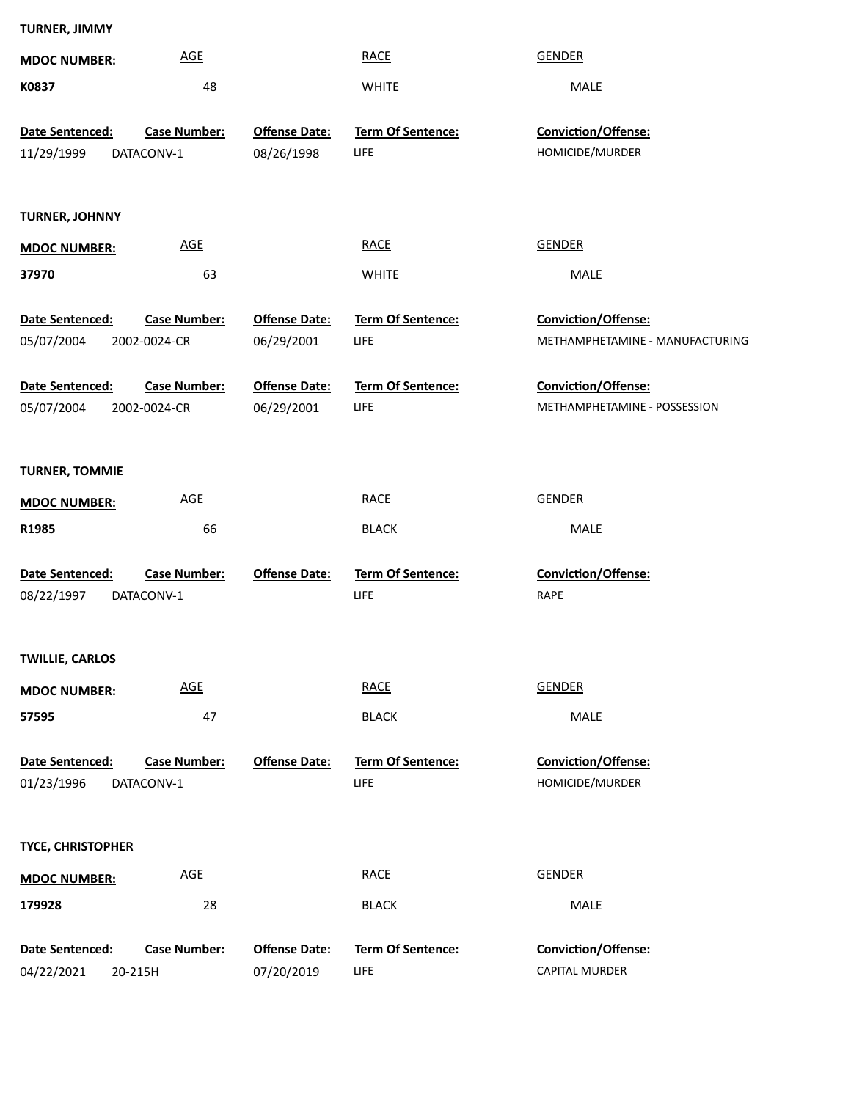| <b>TURNER, JIMMY</b>          |                            |                      |                           |                                 |
|-------------------------------|----------------------------|----------------------|---------------------------|---------------------------------|
| <b>MDOC NUMBER:</b>           | <b>AGE</b>                 |                      | <b>RACE</b>               | <b>GENDER</b>                   |
| K0837                         | 48                         |                      | <b>WHITE</b>              | MALE                            |
|                               |                            |                      |                           |                                 |
| Date Sentenced:               | <b>Case Number:</b>        | <b>Offense Date:</b> | Term Of Sentence:         | Conviction/Offense:             |
| 11/29/1999                    | DATACONV-1                 | 08/26/1998           | LIFE                      | HOMICIDE/MURDER                 |
|                               |                            |                      |                           |                                 |
| <b>TURNER, JOHNNY</b>         |                            |                      |                           |                                 |
| <b>MDOC NUMBER:</b>           | <b>AGE</b>                 |                      | <b>RACE</b>               | <b>GENDER</b>                   |
| 37970                         | 63                         |                      | <b>WHITE</b>              | MALE                            |
| Date Sentenced:               | <b>Case Number:</b>        | <b>Offense Date:</b> | Term Of Sentence:         | Conviction/Offense:             |
| 05/07/2004                    | 2002-0024-CR               | 06/29/2001           | LIFE                      | METHAMPHETAMINE - MANUFACTURING |
|                               |                            |                      |                           |                                 |
| Date Sentenced:               | <b>Case Number:</b>        | <b>Offense Date:</b> | Term Of Sentence:         | Conviction/Offense:             |
| 05/07/2004                    | 2002-0024-CR               | 06/29/2001           | LIFE                      | METHAMPHETAMINE - POSSESSION    |
|                               |                            |                      |                           |                                 |
| <b>TURNER, TOMMIE</b>         |                            |                      |                           |                                 |
| <b>MDOC NUMBER:</b>           | <b>AGE</b>                 |                      | <b>RACE</b>               | <b>GENDER</b>                   |
| R1985                         | 66                         |                      | <b>BLACK</b>              | MALE                            |
|                               |                            |                      |                           |                                 |
| Date Sentenced:               | <b>Case Number:</b>        | <b>Offense Date:</b> | Term Of Sentence:<br>LIFE | Conviction/Offense:<br>RAPE     |
| 08/22/1997                    | DATACONV-1                 |                      |                           |                                 |
|                               |                            |                      |                           |                                 |
| <b>TWILLIE, CARLOS</b>        |                            |                      |                           |                                 |
| <b>MDOC NUMBER:</b>           | $\underline{\mathsf{AGE}}$ |                      | <b>RACE</b>               | <b>GENDER</b>                   |
| 57595                         | 47                         |                      | <b>BLACK</b>              | MALE                            |
| Date Sentenced:               | <b>Case Number:</b>        | <b>Offense Date:</b> | Term Of Sentence:         | Conviction/Offense:             |
| 01/23/1996                    | DATACONV-1                 |                      | <b>LIFE</b>               | HOMICIDE/MURDER                 |
|                               |                            |                      |                           |                                 |
| <b>TYCE, CHRISTOPHER</b>      |                            |                      |                           |                                 |
|                               | $\underline{\mathsf{AGE}}$ |                      | <b>RACE</b>               | <b>GENDER</b>                   |
| <b>MDOC NUMBER:</b><br>179928 | 28                         |                      | <b>BLACK</b>              | MALE                            |
|                               |                            |                      |                           |                                 |
| Date Sentenced:               | <b>Case Number:</b>        | <b>Offense Date:</b> | Term Of Sentence:         | Conviction/Offense:             |
| 04/22/2021<br>20-215H         |                            | 07/20/2019           | LIFE                      | CAPITAL MURDER                  |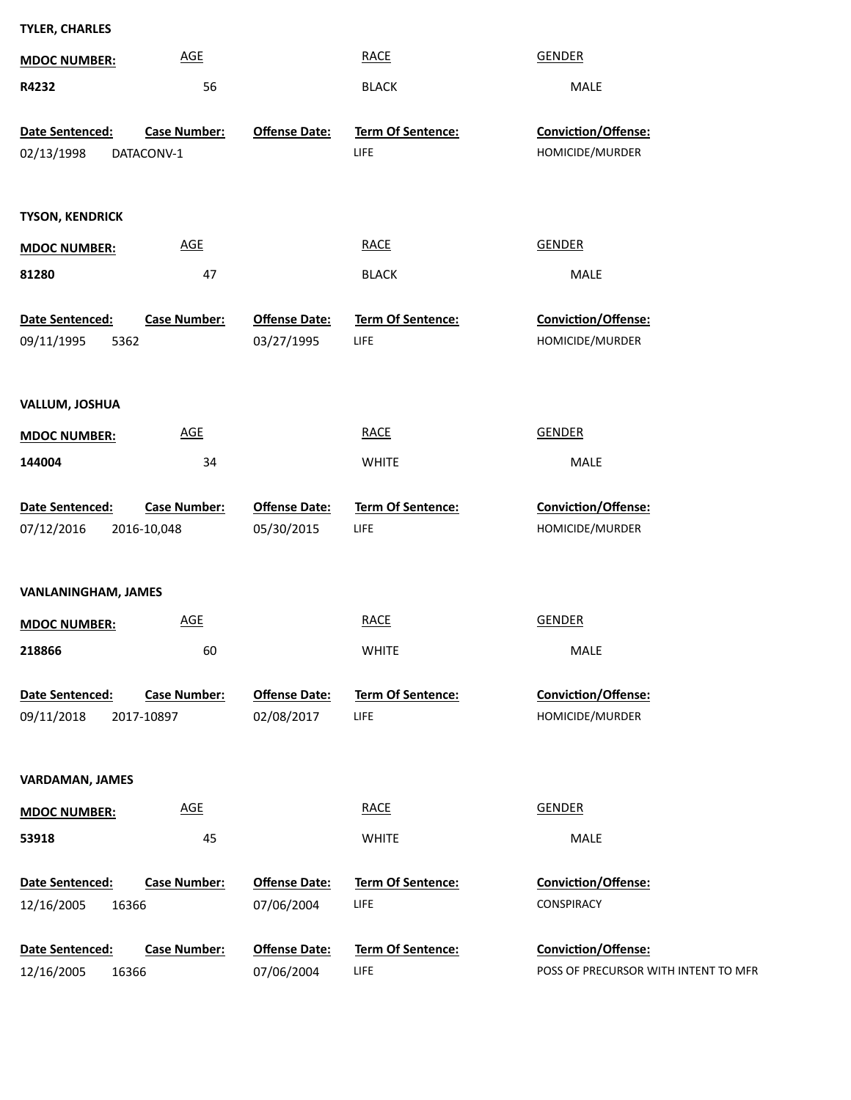| <b>TYLER, CHARLES</b>                             |                                    |                           |                                                                    |
|---------------------------------------------------|------------------------------------|---------------------------|--------------------------------------------------------------------|
| <b>AGE</b><br><b>MDOC NUMBER:</b>                 |                                    | <b>RACE</b>               | <b>GENDER</b>                                                      |
| R4232                                             | 56                                 | <b>BLACK</b>              | MALE                                                               |
|                                                   |                                    |                           |                                                                    |
| <b>Case Number:</b><br>Date Sentenced:            | <b>Offense Date:</b>               | Term Of Sentence:<br>LIFE | Conviction/Offense:<br>HOMICIDE/MURDER                             |
| 02/13/1998<br>DATACONV-1                          |                                    |                           |                                                                    |
|                                                   |                                    |                           |                                                                    |
| <b>TYSON, KENDRICK</b>                            |                                    |                           |                                                                    |
| $\underline{\mathsf{AGE}}$<br><b>MDOC NUMBER:</b> |                                    | <b>RACE</b>               | <b>GENDER</b>                                                      |
| 81280                                             | 47                                 | <b>BLACK</b>              | MALE                                                               |
| Date Sentenced:<br><b>Case Number:</b>            | <b>Offense Date:</b>               | Term Of Sentence:         | Conviction/Offense:                                                |
| 09/11/1995<br>5362                                | 03/27/1995                         | LIFE                      | HOMICIDE/MURDER                                                    |
|                                                   |                                    |                           |                                                                    |
|                                                   |                                    |                           |                                                                    |
| <b>VALLUM, JOSHUA</b>                             |                                    |                           |                                                                    |
| <b>AGE</b><br><b>MDOC NUMBER:</b>                 |                                    | <b>RACE</b>               | <b>GENDER</b>                                                      |
| 144004                                            | 34                                 | <b>WHITE</b>              | MALE                                                               |
| Date Sentenced:<br><b>Case Number:</b>            | <b>Offense Date:</b>               | Term Of Sentence:         | <b>Conviction/Offense:</b>                                         |
| 07/12/2016<br>2016-10,048                         | 05/30/2015                         | LIFE                      | HOMICIDE/MURDER                                                    |
|                                                   |                                    |                           |                                                                    |
|                                                   |                                    |                           |                                                                    |
| <b>VANLANINGHAM, JAMES</b>                        |                                    |                           |                                                                    |
| <b>AGE</b><br><b>MDOC NUMBER:</b>                 |                                    | <b>RACE</b>               | <b>GENDER</b>                                                      |
| 218866                                            | 60                                 | <b>WHITE</b>              | MALE                                                               |
| Date Sentenced:<br><b>Case Number:</b>            | <b>Offense Date:</b>               | <b>Term Of Sentence:</b>  | Conviction/Offense:                                                |
| 09/11/2018<br>2017-10897                          | 02/08/2017                         | LIFE                      | HOMICIDE/MURDER                                                    |
|                                                   |                                    |                           |                                                                    |
| <b>VARDAMAN, JAMES</b>                            |                                    |                           |                                                                    |
| <b>AGE</b><br><b>MDOC NUMBER:</b>                 |                                    | <b>RACE</b>               | <b>GENDER</b>                                                      |
| 53918                                             | 45                                 | <b>WHITE</b>              | MALE                                                               |
|                                                   |                                    |                           |                                                                    |
| Date Sentenced:<br><b>Case Number:</b>            | <b>Offense Date:</b>               | Term Of Sentence:         | <b>Conviction/Offense:</b>                                         |
| 12/16/2005<br>16366                               | 07/06/2004                         | LIFE                      | CONSPIRACY                                                         |
| Date Sentenced:<br><b>Case Number:</b>            |                                    |                           |                                                                    |
|                                                   |                                    |                           |                                                                    |
| 12/16/2005<br>16366                               | <b>Offense Date:</b><br>07/06/2004 | Term Of Sentence:<br>LIFE | <b>Conviction/Offense:</b><br>POSS OF PRECURSOR WITH INTENT TO MFR |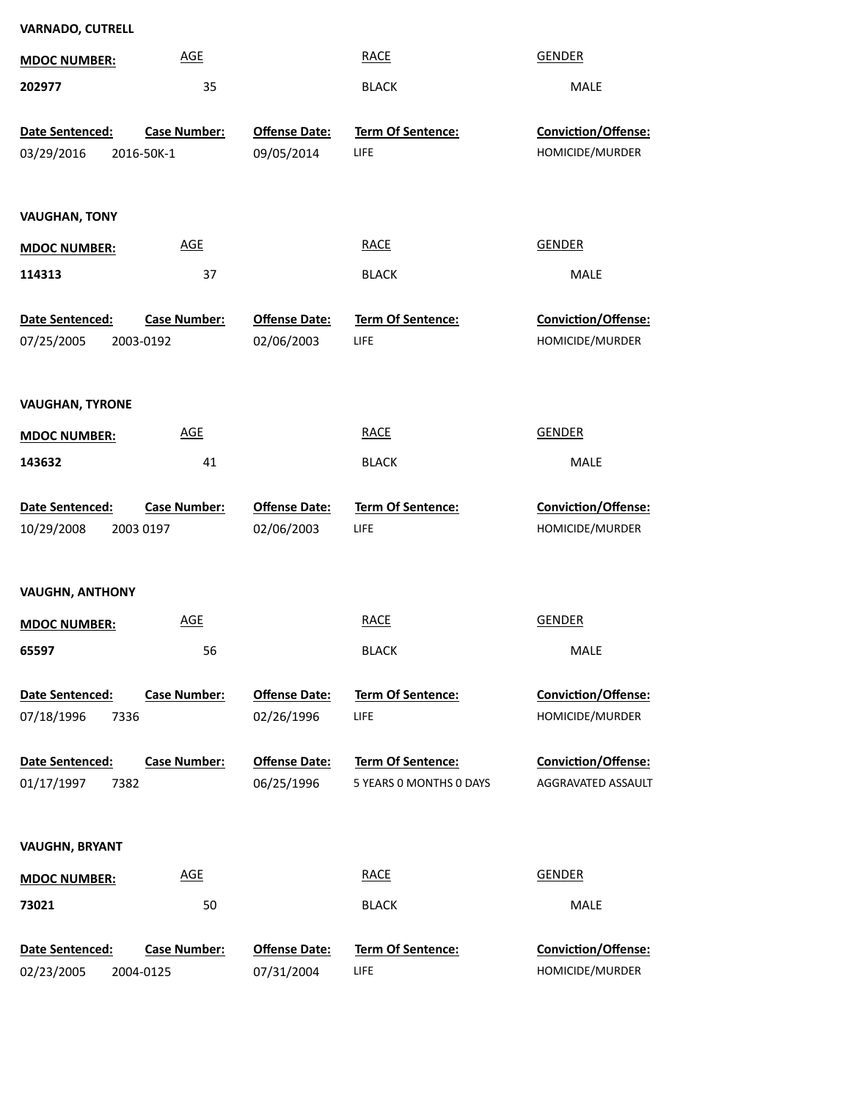| <b>VARNADO, CUTRELL</b> |                     |                      |                         |                     |
|-------------------------|---------------------|----------------------|-------------------------|---------------------|
| <b>MDOC NUMBER:</b>     | <b>AGE</b>          |                      | <b>RACE</b>             | <b>GENDER</b>       |
| 202977                  | 35                  |                      | <b>BLACK</b>            | MALE                |
| Date Sentenced:         | <b>Case Number:</b> | <b>Offense Date:</b> | Term Of Sentence:       | Conviction/Offense: |
| 03/29/2016              | 2016-50K-1          | 09/05/2014           | LIFE                    | HOMICIDE/MURDER     |
|                         |                     |                      |                         |                     |
| <b>VAUGHAN, TONY</b>    |                     |                      |                         |                     |
| <b>MDOC NUMBER:</b>     | <b>AGE</b>          |                      | <b>RACE</b>             | <b>GENDER</b>       |
| 114313                  | 37                  |                      | <b>BLACK</b>            | MALE                |
| Date Sentenced:         | <b>Case Number:</b> | <b>Offense Date:</b> | Term Of Sentence:       | Conviction/Offense: |
| 07/25/2005              | 2003-0192           | 02/06/2003           | LIFE                    | HOMICIDE/MURDER     |
|                         |                     |                      |                         |                     |
| <b>VAUGHAN, TYRONE</b>  |                     |                      |                         |                     |
| <b>MDOC NUMBER:</b>     | <b>AGE</b>          |                      | <b>RACE</b>             | <b>GENDER</b>       |
| 143632                  | 41                  |                      | <b>BLACK</b>            | MALE                |
|                         |                     |                      |                         |                     |
| Date Sentenced:         | <b>Case Number:</b> | <b>Offense Date:</b> | Term Of Sentence:       | Conviction/Offense: |
| 10/29/2008              | 2003 0197           | 02/06/2003           | LIFE                    | HOMICIDE/MURDER     |
|                         |                     |                      |                         |                     |
| <b>VAUGHN, ANTHONY</b>  |                     |                      |                         |                     |
| <b>MDOC NUMBER:</b>     | <b>AGE</b>          |                      | <b>RACE</b>             | <b>GENDER</b>       |
| 65597                   | 56                  |                      | <b>BLACK</b>            | MALE                |
| Date Sentenced:         | <b>Case Number:</b> | <b>Offense Date:</b> | Term Of Sentence:       | Conviction/Offense: |
| 07/18/1996<br>7336      |                     | 02/26/1996           | LIFE                    | HOMICIDE/MURDER     |
| Date Sentenced:         | <b>Case Number:</b> | <b>Offense Date:</b> | Term Of Sentence:       | Conviction/Offense: |
| 01/17/1997<br>7382      |                     | 06/25/1996           | 5 YEARS 0 MONTHS 0 DAYS | AGGRAVATED ASSAULT  |
|                         |                     |                      |                         |                     |
| <b>VAUGHN, BRYANT</b>   |                     |                      |                         |                     |
| <b>MDOC NUMBER:</b>     | <b>AGE</b>          |                      | <b>RACE</b>             | <b>GENDER</b>       |
| 73021                   | 50                  |                      | <b>BLACK</b>            | MALE                |
| Date Sentenced:         | Case Number:        | <b>Offense Date:</b> | Term Of Sentence:       | Conviction/Offense: |
| 02/23/2005              | 2004-0125           | 07/31/2004           | LIFE                    | HOMICIDE/MURDER     |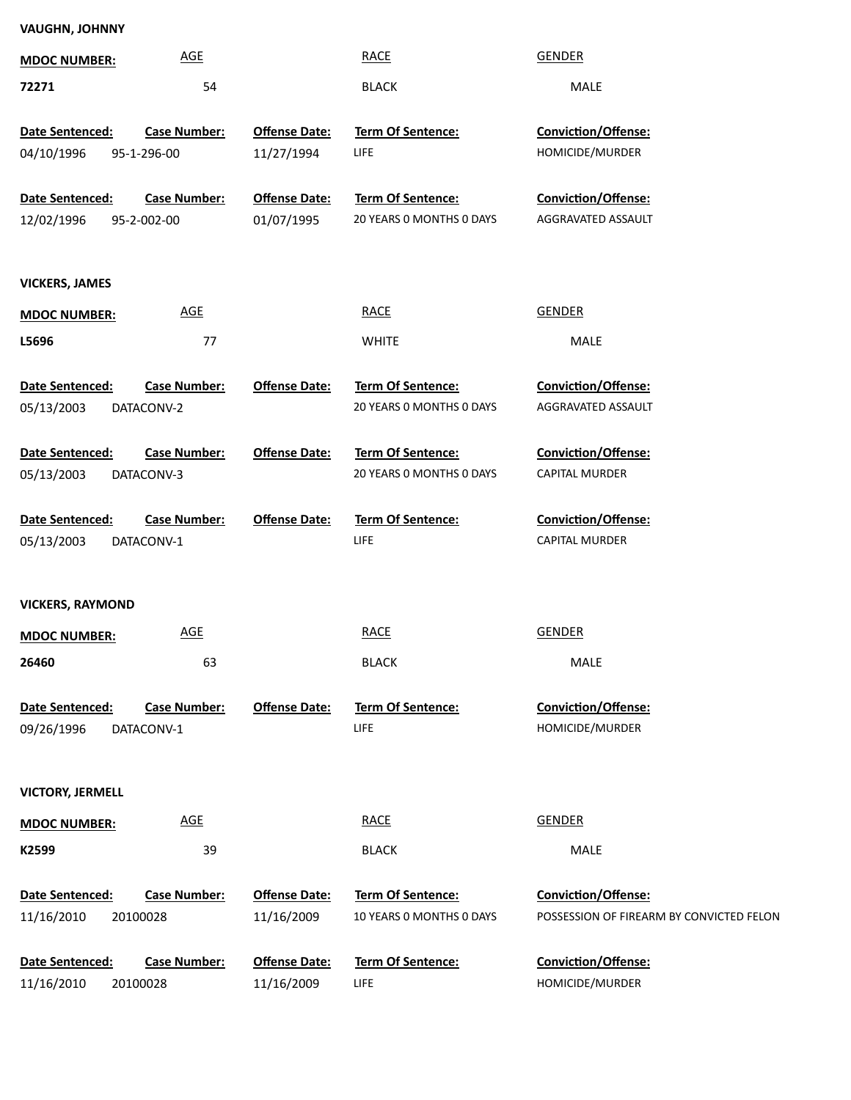| <b>VAUGHN, JOHNNY</b>   |                            |                      |                          |                                          |
|-------------------------|----------------------------|----------------------|--------------------------|------------------------------------------|
| <b>MDOC NUMBER:</b>     | <b>AGE</b>                 |                      | <b>RACE</b>              | <b>GENDER</b>                            |
| 72271                   | 54                         |                      | <b>BLACK</b>             | MALE                                     |
| Date Sentenced:         | <b>Case Number:</b>        | <b>Offense Date:</b> | Term Of Sentence:        | Conviction/Offense:                      |
| 04/10/1996              | 95-1-296-00                | 11/27/1994           | <b>LIFE</b>              | HOMICIDE/MURDER                          |
| Date Sentenced:         | <b>Case Number:</b>        | <b>Offense Date:</b> | Term Of Sentence:        | Conviction/Offense:                      |
| 12/02/1996              | 95-2-002-00                | 01/07/1995           | 20 YEARS 0 MONTHS 0 DAYS | AGGRAVATED ASSAULT                       |
|                         |                            |                      |                          |                                          |
| <b>VICKERS, JAMES</b>   |                            |                      |                          |                                          |
| <b>MDOC NUMBER:</b>     | <b>AGE</b>                 |                      | <b>RACE</b>              | <b>GENDER</b>                            |
| L5696                   | $77$                       |                      | <b>WHITE</b>             | MALE                                     |
| Date Sentenced:         | <b>Case Number:</b>        | <b>Offense Date:</b> | Term Of Sentence:        | Conviction/Offense:                      |
| 05/13/2003              | DATACONV-2                 |                      | 20 YEARS 0 MONTHS 0 DAYS | AGGRAVATED ASSAULT                       |
| Date Sentenced:         | <b>Case Number:</b>        | <b>Offense Date:</b> | Term Of Sentence:        | Conviction/Offense:                      |
| 05/13/2003              | DATACONV-3                 |                      | 20 YEARS 0 MONTHS 0 DAYS | <b>CAPITAL MURDER</b>                    |
| Date Sentenced:         | <b>Case Number:</b>        | <b>Offense Date:</b> | Term Of Sentence:        | Conviction/Offense:                      |
| 05/13/2003              | DATACONV-1                 |                      | <b>LIFE</b>              | <b>CAPITAL MURDER</b>                    |
|                         |                            |                      |                          |                                          |
| <b>VICKERS, RAYMOND</b> |                            |                      | <b>RACE</b>              |                                          |
| <b>MDOC NUMBER:</b>     | <b>AGE</b>                 |                      |                          | <b>GENDER</b>                            |
| 26460                   | 63                         |                      | <b>BLACK</b>             | MALE                                     |
| Date Sentenced:         | <b>Case Number:</b>        | <b>Offense Date:</b> | <b>Term Of Sentence:</b> | Conviction/Offense:                      |
| 09/26/1996              | DATACONV-1                 |                      | <b>LIFE</b>              | HOMICIDE/MURDER                          |
| <b>VICTORY, JERMELL</b> |                            |                      |                          |                                          |
|                         | $\underline{\mathsf{AGE}}$ |                      | <b>RACE</b>              | <b>GENDER</b>                            |
| <b>MDOC NUMBER:</b>     |                            |                      |                          |                                          |
| K2599                   | 39                         |                      | <b>BLACK</b>             | MALE                                     |
| Date Sentenced:         | <b>Case Number:</b>        | <b>Offense Date:</b> | Term Of Sentence:        | Conviction/Offense:                      |
| 11/16/2010              | 20100028                   | 11/16/2009           | 10 YEARS 0 MONTHS 0 DAYS | POSSESSION OF FIREARM BY CONVICTED FELON |
| Date Sentenced:         | <b>Case Number:</b>        | <b>Offense Date:</b> | Term Of Sentence:        | Conviction/Offense:                      |
| 11/16/2010              | 20100028                   | 11/16/2009           | LIFE                     | HOMICIDE/MURDER                          |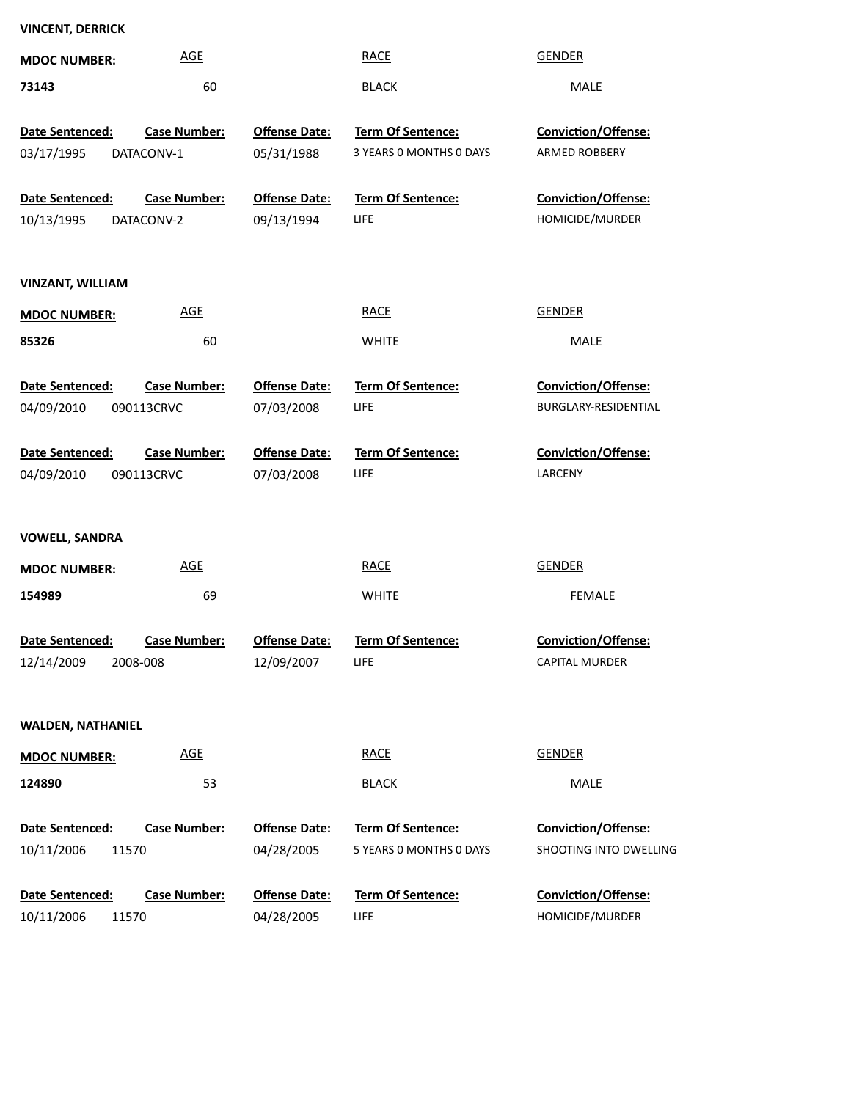| <b>VINCENT, DERRICK</b>                |                      |                                              |                        |
|----------------------------------------|----------------------|----------------------------------------------|------------------------|
| <b>AGE</b><br><b>MDOC NUMBER:</b>      |                      | <b>RACE</b>                                  | <b>GENDER</b>          |
| 73143<br>60                            |                      | <b>BLACK</b>                                 | MALE                   |
| <b>Case Number:</b>                    | <b>Offense Date:</b> |                                              | Conviction/Offense:    |
| Date Sentenced:                        |                      | Term Of Sentence:<br>3 YEARS 0 MONTHS 0 DAYS | ARMED ROBBERY          |
| 03/17/1995<br>DATACONV-1               | 05/31/1988           |                                              |                        |
| <b>Case Number:</b><br>Date Sentenced: | <b>Offense Date:</b> | Term Of Sentence:                            | Conviction/Offense:    |
| 10/13/1995<br>DATACONV-2               | 09/13/1994           | <b>LIFE</b>                                  | HOMICIDE/MURDER        |
|                                        |                      |                                              |                        |
| <b>VINZANT, WILLIAM</b>                |                      |                                              |                        |
| <b>AGE</b><br><b>MDOC NUMBER:</b>      |                      | <b>RACE</b>                                  | <b>GENDER</b>          |
| 85326<br>60                            |                      | <b>WHITE</b>                                 | MALE                   |
| Date Sentenced:<br><b>Case Number:</b> | <b>Offense Date:</b> | Term Of Sentence:                            | Conviction/Offense:    |
| 04/09/2010<br>090113CRVC               | 07/03/2008           | LIFE                                         | BURGLARY-RESIDENTIAL   |
|                                        |                      |                                              |                        |
| Date Sentenced:<br><b>Case Number:</b> | <b>Offense Date:</b> | <b>Term Of Sentence:</b>                     | Conviction/Offense:    |
| 04/09/2010<br>090113CRVC               | 07/03/2008           | LIFE                                         | LARCENY                |
|                                        |                      |                                              |                        |
| <b>VOWELL, SANDRA</b>                  |                      |                                              |                        |
| <b>AGE</b><br><b>MDOC NUMBER:</b>      |                      | <b>RACE</b>                                  | <b>GENDER</b>          |
| 154989<br>69                           |                      | <b>WHITE</b>                                 | <b>FEMALE</b>          |
|                                        |                      |                                              |                        |
| Date Sentenced:<br><b>Case Number:</b> | <b>Offense Date:</b> | Term Of Sentence:                            | Conviction/Offense:    |
| 12/14/2009<br>2008-008                 | 12/09/2007           | LIFE                                         | <b>CAPITAL MURDER</b>  |
|                                        |                      |                                              |                        |
| <b>WALDEN, NATHANIEL</b>               |                      |                                              |                        |
| AGE<br><b>MDOC NUMBER:</b>             |                      | <b>RACE</b>                                  | <b>GENDER</b>          |
| 124890<br>53                           |                      | <b>BLACK</b>                                 | MALE                   |
| Date Sentenced:<br><b>Case Number:</b> | <b>Offense Date:</b> | Term Of Sentence:                            | Conviction/Offense:    |
| 10/11/2006<br>11570                    | 04/28/2005           | 5 YEARS 0 MONTHS 0 DAYS                      | SHOOTING INTO DWELLING |
|                                        |                      |                                              |                        |
| <b>Case Number:</b><br>Date Sentenced: | <b>Offense Date:</b> | Term Of Sentence:                            | Conviction/Offense:    |
| 10/11/2006<br>11570                    | 04/28/2005           | LIFE                                         | HOMICIDE/MURDER        |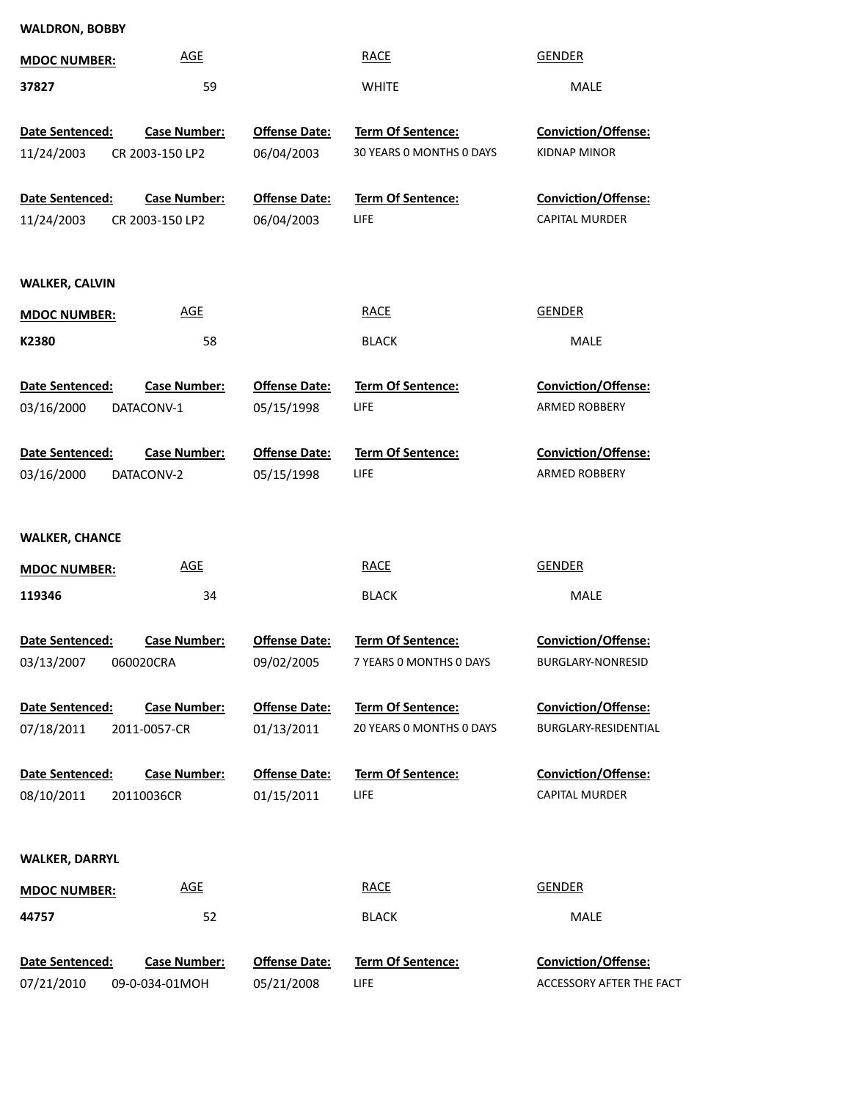| <b>WALDRON, BOBBY</b> |                     |                      |                          |                          |
|-----------------------|---------------------|----------------------|--------------------------|--------------------------|
| <b>MDOC NUMBER:</b>   | <b>AGE</b>          |                      | <b>RACE</b>              | <b>GENDER</b>            |
| 37827                 | 59                  |                      | <b>WHITE</b>             | MALE                     |
| Date Sentenced:       | <b>Case Number:</b> | <b>Offense Date:</b> | Term Of Sentence:        | Conviction/Offense:      |
| 11/24/2003            | CR 2003-150 LP2     | 06/04/2003           | 30 YEARS 0 MONTHS 0 DAYS | <b>KIDNAP MINOR</b>      |
| Date Sentenced:       | Case Number:        | <b>Offense Date:</b> | <b>Term Of Sentence:</b> | Conviction/Offense:      |
| 11/24/2003            | CR 2003-150 LP2     | 06/04/2003           | <b>LIFE</b>              | CAPITAL MURDER           |
|                       |                     |                      |                          |                          |
| <b>WALKER, CALVIN</b> |                     |                      |                          |                          |
| <b>MDOC NUMBER:</b>   | <b>AGE</b>          |                      | <b>RACE</b>              | <b>GENDER</b>            |
| K2380                 | 58                  |                      | <b>BLACK</b>             | MALE                     |
| Date Sentenced:       | <b>Case Number:</b> | <b>Offense Date:</b> | Term Of Sentence:        | Conviction/Offense:      |
| 03/16/2000            | DATACONV-1          | 05/15/1998           | <b>LIFE</b>              | ARMED ROBBERY            |
| Date Sentenced:       | <b>Case Number:</b> | <b>Offense Date:</b> | <b>Term Of Sentence:</b> | Conviction/Offense:      |
| 03/16/2000            | DATACONV-2          | 05/15/1998           | <b>LIFE</b>              | ARMED ROBBERY            |
|                       |                     |                      |                          |                          |
| <b>WALKER, CHANCE</b> | <b>AGE</b>          |                      | <b>RACE</b>              | <b>GENDER</b>            |
| <b>MDOC NUMBER:</b>   |                     |                      |                          |                          |
| 119346                | 34                  |                      | <b>BLACK</b>             | <b>MALE</b>              |
| Date Sentenced:       | Case Number:        | <b>Offense Date:</b> | Term Of Sentence:        | Conviction/Offense:      |
| 03/13/2007            | 060020CRA           | 09/02/2005           | 7 YEARS 0 MONTHS 0 DAYS  | BURGLARY-NONRESID        |
| Date Sentenced:       | <b>Case Number:</b> | <b>Offense Date:</b> | Term Of Sentence:        | Conviction/Offense:      |
| 07/18/2011            | 2011-0057-CR        | 01/13/2011           | 20 YEARS 0 MONTHS 0 DAYS | BURGLARY-RESIDENTIAL     |
| Date Sentenced:       | <b>Case Number:</b> | <b>Offense Date:</b> | Term Of Sentence:        | Conviction/Offense:      |
| 08/10/2011            | 20110036CR          | 01/15/2011           | <b>LIFE</b>              | <b>CAPITAL MURDER</b>    |
|                       |                     |                      |                          |                          |
| <b>WALKER, DARRYL</b> |                     |                      |                          |                          |
| <b>MDOC NUMBER:</b>   | <b>AGE</b>          |                      | <b>RACE</b>              | <b>GENDER</b>            |
| 44757                 | 52                  |                      | <b>BLACK</b>             | MALE                     |
| Date Sentenced:       | <b>Case Number:</b> | <b>Offense Date:</b> | Term Of Sentence:        | Conviction/Offense:      |
| 07/21/2010            | 09-0-034-01MOH      | 05/21/2008           | <b>LIFE</b>              | ACCESSORY AFTER THE FACT |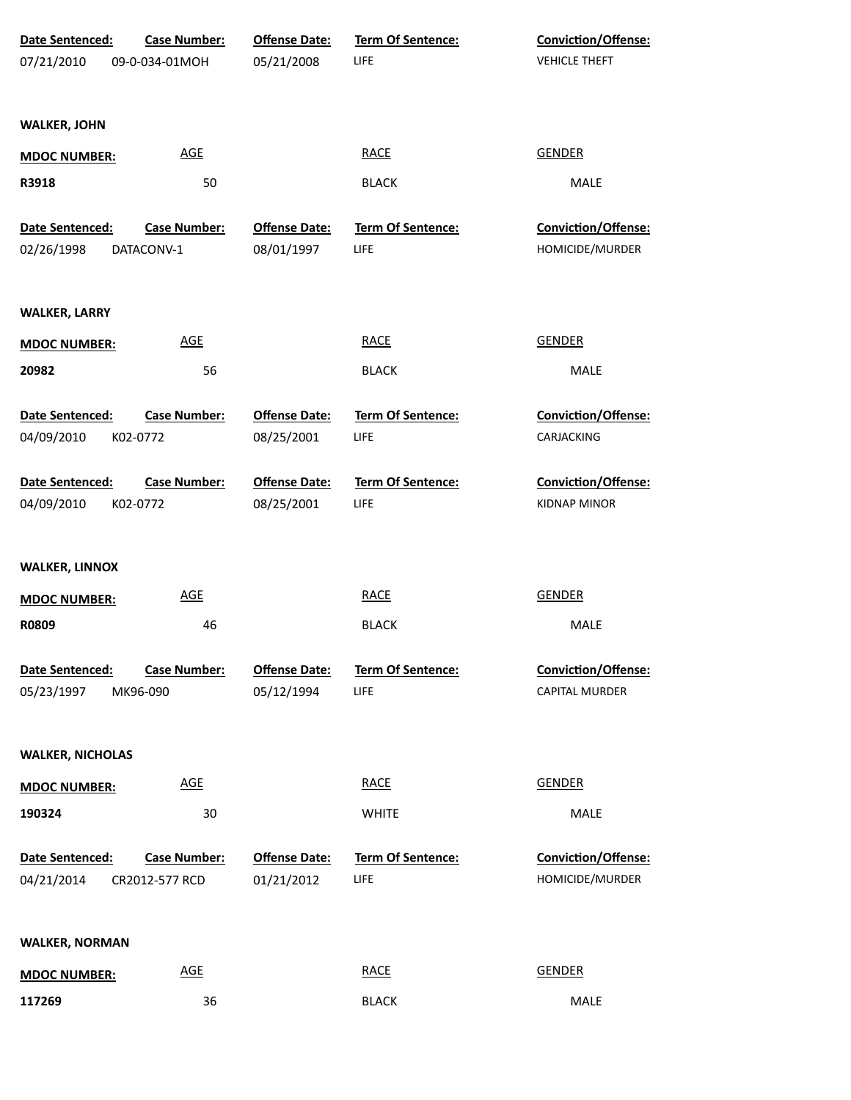| <b>Date Sentenced:</b><br>07/21/2010 | <b>Case Number:</b><br>09-0-034-01MOH | <b>Offense Date:</b><br>05/21/2008 | <b>Term Of Sentence:</b><br>LIFE | <b>Conviction/Offense:</b><br><b>VEHICLE THEFT</b> |
|--------------------------------------|---------------------------------------|------------------------------------|----------------------------------|----------------------------------------------------|
| <b>WALKER, JOHN</b>                  |                                       |                                    |                                  |                                                    |
|                                      |                                       |                                    |                                  |                                                    |
| <b>MDOC NUMBER:</b>                  | AGE                                   |                                    | <b>RACE</b>                      | <b>GENDER</b>                                      |
| R3918                                | 50                                    |                                    | <b>BLACK</b>                     | MALE                                               |
| Date Sentenced:                      | <b>Case Number:</b>                   | <b>Offense Date:</b>               | Term Of Sentence:                | Conviction/Offense:                                |
| 02/26/1998                           | DATACONV-1                            | 08/01/1997                         | LIFE                             | HOMICIDE/MURDER                                    |
| <b>WALKER, LARRY</b>                 |                                       |                                    |                                  |                                                    |
| <b>MDOC NUMBER:</b>                  | <b>AGE</b>                            |                                    | <b>RACE</b>                      | <b>GENDER</b>                                      |
| 20982                                | 56                                    |                                    | <b>BLACK</b>                     | MALE                                               |
| Date Sentenced:<br>04/09/2010        | <b>Case Number:</b><br>K02-0772       | <b>Offense Date:</b><br>08/25/2001 | Term Of Sentence:<br>LIFE        | <b>Conviction/Offense:</b><br>CARJACKING           |
| Date Sentenced:<br>04/09/2010        | <b>Case Number:</b><br>K02-0772       | <b>Offense Date:</b><br>08/25/2001 | <b>Term Of Sentence:</b><br>LIFE | <b>Conviction/Offense:</b><br><b>KIDNAP MINOR</b>  |
| <b>WALKER, LINNOX</b>                |                                       |                                    |                                  |                                                    |
| <b>MDOC NUMBER:</b>                  | <b>AGE</b>                            |                                    | <b>RACE</b>                      | <b>GENDER</b>                                      |
| R0809                                | 46                                    |                                    | <b>BLACK</b>                     | MALE                                               |
| Date Sentenced:                      | <b>Case Number:</b>                   | <b>Offense Date:</b>               | <b>Term Of Sentence:</b>         | <b>Conviction/Offense:</b>                         |
| 05/23/1997                           | MK96-090                              | 05/12/1994                         | LIFE                             | <b>CAPITAL MURDER</b>                              |
| <b>WALKER, NICHOLAS</b>              |                                       |                                    |                                  |                                                    |
| <b>MDOC NUMBER:</b>                  | <b>AGE</b>                            |                                    | <b>RACE</b>                      | GENDER                                             |
| 190324                               | 30                                    |                                    | <b>WHITE</b>                     | MALE                                               |
| Date Sentenced:<br>04/21/2014        | <b>Case Number:</b><br>CR2012-577 RCD | <b>Offense Date:</b><br>01/21/2012 | Term Of Sentence:<br>LIFE        | Conviction/Offense:<br>HOMICIDE/MURDER             |
| <b>WALKER, NORMAN</b>                |                                       |                                    |                                  |                                                    |
| <b>MDOC NUMBER:</b>                  | <b>AGE</b>                            |                                    | <b>RACE</b>                      | <b>GENDER</b>                                      |
| 117269                               | 36                                    |                                    | <b>BLACK</b>                     | MALE                                               |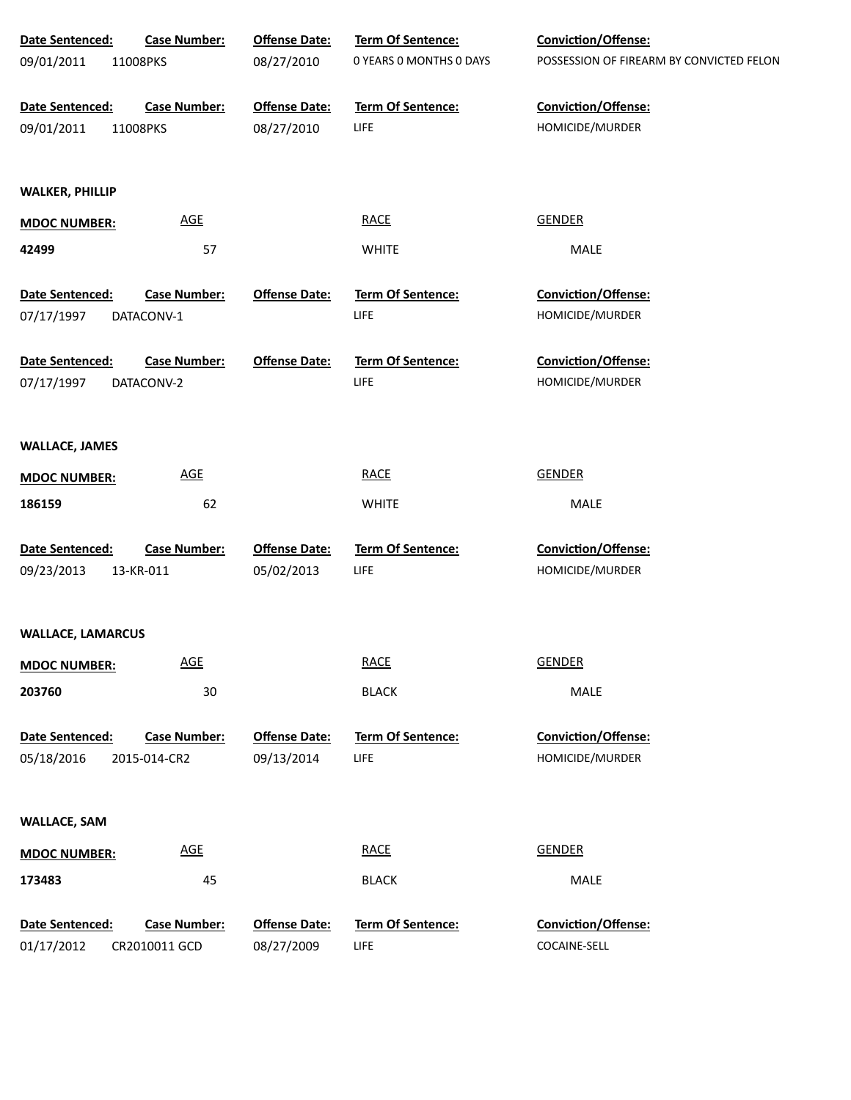| Date Sentenced:          | <b>Case Number:</b>        | <b>Offense Date:</b> | Term Of Sentence:        | Conviction/Offense:                      |
|--------------------------|----------------------------|----------------------|--------------------------|------------------------------------------|
| 09/01/2011               | 11008PKS                   | 08/27/2010           | 0 YEARS O MONTHS O DAYS  | POSSESSION OF FIREARM BY CONVICTED FELON |
| Date Sentenced:          | <b>Case Number:</b>        | <b>Offense Date:</b> | <b>Term Of Sentence:</b> | Conviction/Offense:                      |
| 09/01/2011               | 11008PKS                   | 08/27/2010           | LIFE                     | HOMICIDE/MURDER                          |
| <b>WALKER, PHILLIP</b>   |                            |                      |                          |                                          |
| <b>MDOC NUMBER:</b>      | <b>AGE</b>                 |                      | <b>RACE</b>              | <b>GENDER</b>                            |
| 42499                    | 57                         |                      | <b>WHITE</b>             | MALE                                     |
| Date Sentenced:          | <b>Case Number:</b>        | <b>Offense Date:</b> | <b>Term Of Sentence:</b> | <b>Conviction/Offense:</b>               |
| 07/17/1997               | DATACONV-1                 |                      | LIFE                     | HOMICIDE/MURDER                          |
| Date Sentenced:          | <b>Case Number:</b>        | <b>Offense Date:</b> | <b>Term Of Sentence:</b> | <b>Conviction/Offense:</b>               |
| 07/17/1997               | DATACONV-2                 |                      | LIFE                     | HOMICIDE/MURDER                          |
| <b>WALLACE, JAMES</b>    |                            |                      |                          |                                          |
|                          | $\underline{\mathsf{AGE}}$ |                      | <b>RACE</b>              | <b>GENDER</b>                            |
| <b>MDOC NUMBER:</b>      |                            |                      |                          |                                          |
| 186159                   | 62                         |                      | <b>WHITE</b>             | MALE                                     |
| Date Sentenced:          | <b>Case Number:</b>        | <b>Offense Date:</b> | Term Of Sentence:        | Conviction/Offense:                      |
| 09/23/2013               | 13-KR-011                  | 05/02/2013           | LIFE                     | HOMICIDE/MURDER                          |
| <b>WALLACE, LAMARCUS</b> |                            |                      |                          |                                          |
| <b>MDOC NUMBER:</b>      | <b>AGE</b>                 |                      | <b>RACE</b>              | <b>GENDER</b>                            |
| 203760                   | 30                         |                      | <b>BLACK</b>             | MALE                                     |
| Date Sentenced:          | <b>Case Number:</b>        | <b>Offense Date:</b> | <b>Term Of Sentence:</b> | Conviction/Offense:                      |
| 05/18/2016               | 2015-014-CR2               | 09/13/2014           | LIFE                     | HOMICIDE/MURDER                          |
| <b>WALLACE, SAM</b>      |                            |                      |                          |                                          |
| <b>MDOC NUMBER:</b>      | $\underline{\mathsf{AGE}}$ |                      | <b>RACE</b>              | <b>GENDER</b>                            |
| 173483                   | 45                         |                      | <b>BLACK</b>             | MALE                                     |
| Date Sentenced:          | Case Number:               | <b>Offense Date:</b> | Term Of Sentence:        | Conviction/Offense:                      |
| 01/17/2012               | CR2010011 GCD              | 08/27/2009           | <b>LIFE</b>              | COCAINE-SELL                             |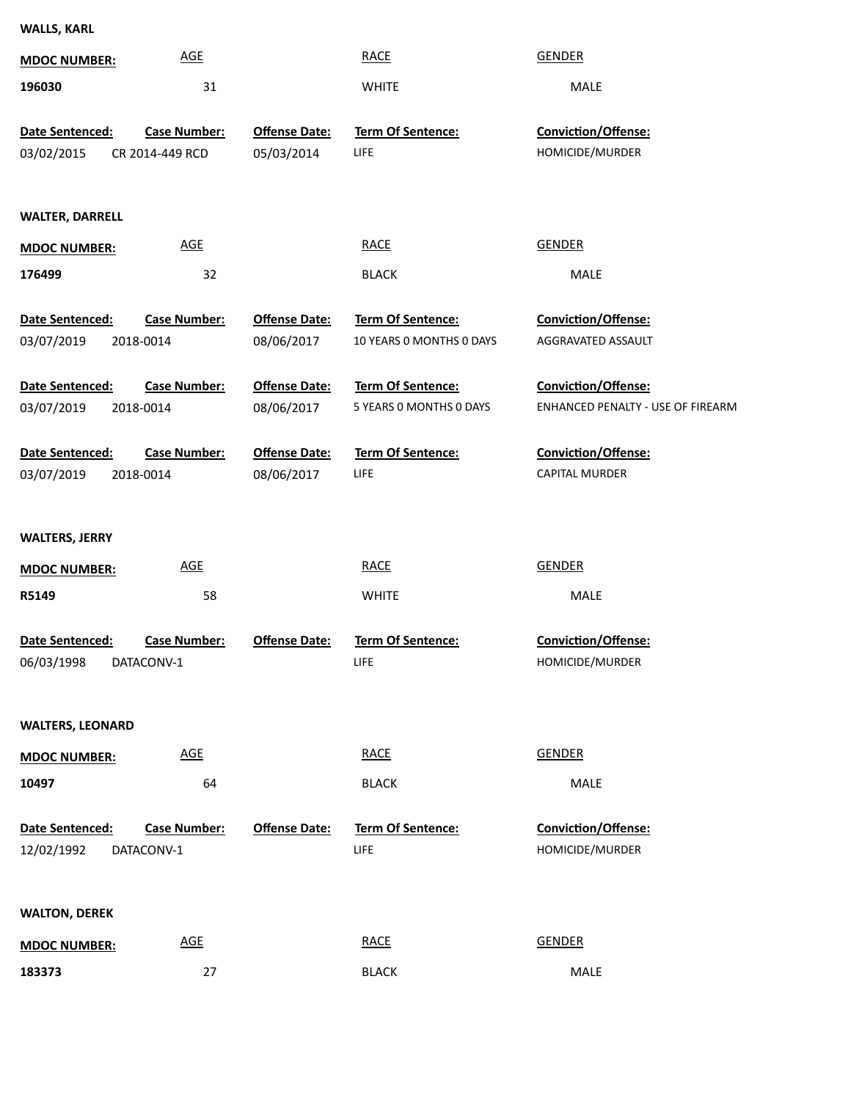**WALLS, KARL**

| <b>MDOC NUMBER:</b>           | <b>AGE</b>                             |                                    | <b>RACE</b>                                   | <b>GENDER</b>                                                   |
|-------------------------------|----------------------------------------|------------------------------------|-----------------------------------------------|-----------------------------------------------------------------|
| 196030                        | 31                                     |                                    | <b>WHITE</b>                                  | MALE                                                            |
| Date Sentenced:<br>03/02/2015 | <b>Case Number:</b><br>CR 2014-449 RCD | <b>Offense Date:</b><br>05/03/2014 | Term Of Sentence:<br>LIFE                     | Conviction/Offense:<br>HOMICIDE/MURDER                          |
| <b>WALTER, DARRELL</b>        |                                        |                                    |                                               |                                                                 |
| <b>MDOC NUMBER:</b>           | <b>AGE</b>                             |                                    | <b>RACE</b>                                   | <b>GENDER</b>                                                   |
| 176499                        | 32                                     |                                    | <b>BLACK</b>                                  | MALE                                                            |
| Date Sentenced:<br>03/07/2019 | <b>Case Number:</b><br>2018-0014       | <b>Offense Date:</b><br>08/06/2017 | Term Of Sentence:<br>10 YEARS 0 MONTHS 0 DAYS | Conviction/Offense:<br>AGGRAVATED ASSAULT                       |
| Date Sentenced:<br>03/07/2019 | <b>Case Number:</b><br>2018-0014       | <b>Offense Date:</b><br>08/06/2017 | Term Of Sentence:<br>5 YEARS 0 MONTHS 0 DAYS  | <b>Conviction/Offense:</b><br>ENHANCED PENALTY - USE OF FIREARM |
| Date Sentenced:               | <b>Case Number:</b>                    | <b>Offense Date:</b><br>08/06/2017 | Term Of Sentence:<br>LIFE                     | Conviction/Offense:<br><b>CAPITAL MURDER</b>                    |
| 03/07/2019                    | 2018-0014                              |                                    |                                               |                                                                 |
| <b>WALTERS, JERRY</b>         |                                        |                                    |                                               |                                                                 |
| <b>MDOC NUMBER:</b>           | <b>AGE</b>                             |                                    | <b>RACE</b>                                   | <b>GENDER</b>                                                   |
| R5149                         | 58                                     |                                    | <b>WHITE</b>                                  | MALE                                                            |
| Date Sentenced:<br>06/03/1998 | <b>Case Number:</b><br>DATACONV-1      | <b>Offense Date:</b>               | <b>Term Of Sentence:</b><br><b>LIFE</b>       | Conviction/Offense:<br>HOMICIDE/MURDER                          |
| <b>WALTERS, LEONARD</b>       |                                        |                                    |                                               |                                                                 |
| <b>MDOC NUMBER:</b>           | $\underline{\mathsf{AGE}}$             |                                    | <b>RACE</b>                                   | <b>GENDER</b>                                                   |
| 10497                         | 64                                     |                                    | <b>BLACK</b>                                  | MALE                                                            |
| Date Sentenced:<br>12/02/1992 | <b>Case Number:</b><br>DATACONV-1      | <b>Offense Date:</b>               | <b>Term Of Sentence:</b><br>LIFE              | <b>Conviction/Offense:</b><br>HOMICIDE/MURDER                   |
| <b>WALTON, DEREK</b>          |                                        |                                    |                                               |                                                                 |
| <b>MDOC NUMBER:</b>           | <b>AGE</b>                             |                                    | <b>RACE</b>                                   | <b>GENDER</b>                                                   |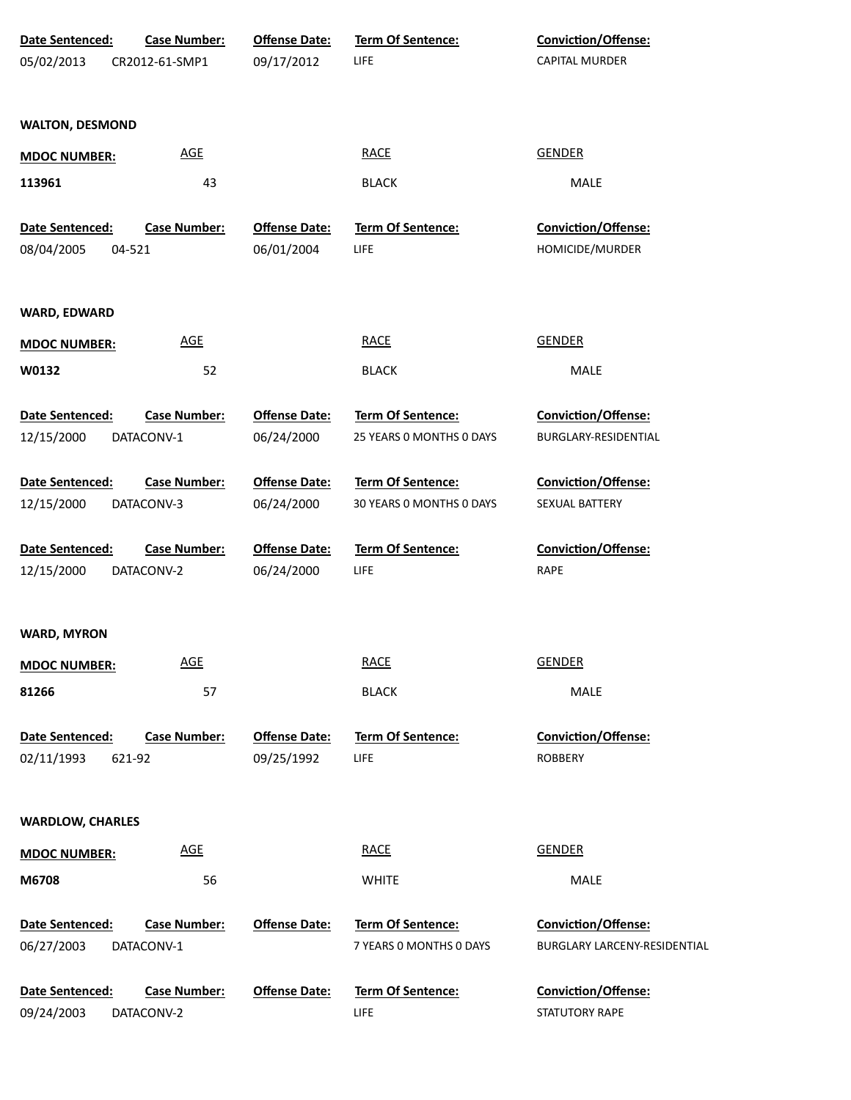| <b>Date Sentenced:</b>  | <b>Case Number:</b> | <b>Offense Date:</b> | <b>Term Of Sentence:</b> | <b>Conviction/Offense:</b>   |
|-------------------------|---------------------|----------------------|--------------------------|------------------------------|
| 05/02/2013              | CR2012-61-SMP1      | 09/17/2012           | LIFE                     | <b>CAPITAL MURDER</b>        |
| <b>WALTON, DESMOND</b>  |                     |                      |                          |                              |
| <b>MDOC NUMBER:</b>     | <b>AGE</b>          |                      | <b>RACE</b>              | <b>GENDER</b>                |
| 113961                  | 43                  |                      | <b>BLACK</b>             | MALE                         |
| Date Sentenced:         | <b>Case Number:</b> | <b>Offense Date:</b> | Term Of Sentence:        | <b>Conviction/Offense:</b>   |
| 08/04/2005              | 04-521              | 06/01/2004           | LIFE                     | HOMICIDE/MURDER              |
| <b>WARD, EDWARD</b>     |                     |                      |                          |                              |
| <b>MDOC NUMBER:</b>     | <b>AGE</b>          |                      | <b>RACE</b>              | <b>GENDER</b>                |
| W0132                   | 52                  |                      | <b>BLACK</b>             | MALE                         |
| <b>Date Sentenced:</b>  | <b>Case Number:</b> | <b>Offense Date:</b> | <b>Term Of Sentence:</b> | Conviction/Offense:          |
| 12/15/2000              | DATACONV-1          | 06/24/2000           | 25 YEARS 0 MONTHS 0 DAYS | BURGLARY-RESIDENTIAL         |
| Date Sentenced:         | <b>Case Number:</b> | <b>Offense Date:</b> | Term Of Sentence:        | <b>Conviction/Offense:</b>   |
| 12/15/2000              | DATACONV-3          | 06/24/2000           | 30 YEARS 0 MONTHS 0 DAYS | SEXUAL BATTERY               |
| Date Sentenced:         | <b>Case Number:</b> | <b>Offense Date:</b> | Term Of Sentence:        | Conviction/Offense:          |
| 12/15/2000              | DATACONV-2          | 06/24/2000           | LIFE                     | RAPE                         |
| <b>WARD, MYRON</b>      |                     |                      |                          |                              |
| <b>MDOC NUMBER:</b>     | <b>AGE</b>          |                      | <b>RACE</b>              | <b>GENDER</b>                |
| 81266                   | 57                  |                      | <b>BLACK</b>             | MALE                         |
| Date Sentenced:         | <b>Case Number:</b> | <b>Offense Date:</b> | Term Of Sentence:        | <b>Conviction/Offense:</b>   |
| 02/11/1993              | 621-92              | 09/25/1992           | LIFE                     | <b>ROBBERY</b>               |
| <b>WARDLOW, CHARLES</b> |                     |                      |                          |                              |
| <b>MDOC NUMBER:</b>     | <b>AGE</b>          |                      | <b>RACE</b>              | <b>GENDER</b>                |
| M6708                   | 56                  |                      | <b>WHITE</b>             | MALE                         |
| Date Sentenced:         | <b>Case Number:</b> | <b>Offense Date:</b> | Term Of Sentence:        | <b>Conviction/Offense:</b>   |
| 06/27/2003              | DATACONV-1          |                      | 7 YEARS 0 MONTHS 0 DAYS  | BURGLARY LARCENY-RESIDENTIAL |
| Date Sentenced:         | <b>Case Number:</b> | <b>Offense Date:</b> | Term Of Sentence:        | Conviction/Offense:          |
| 09/24/2003              | DATACONV-2          |                      | LIFE                     | STATUTORY RAPE               |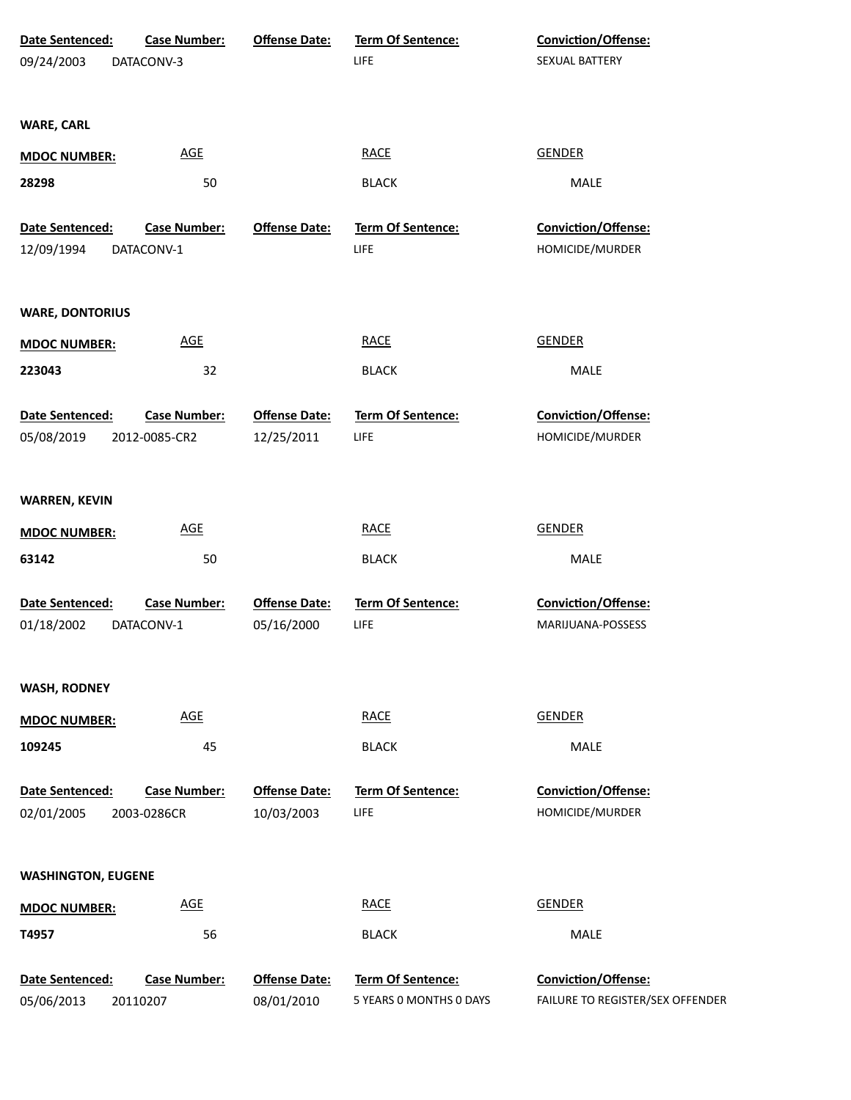| Date Sentenced:           | <b>Case Number:</b> | <b>Offense Date:</b> | Term Of Sentence:        | Conviction/Offense:              |
|---------------------------|---------------------|----------------------|--------------------------|----------------------------------|
| 09/24/2003                | DATACONV-3          |                      | LIFE                     | SEXUAL BATTERY                   |
| <b>WARE, CARL</b>         |                     |                      |                          |                                  |
| <b>MDOC NUMBER:</b>       | <b>AGE</b>          |                      | <b>RACE</b>              | <b>GENDER</b>                    |
| 28298                     | 50                  |                      | <b>BLACK</b>             | MALE                             |
|                           |                     |                      |                          |                                  |
| Date Sentenced:           | <b>Case Number:</b> | <b>Offense Date:</b> | Term Of Sentence:        | Conviction/Offense:              |
| 12/09/1994                | DATACONV-1          |                      | LIFE                     | HOMICIDE/MURDER                  |
| <b>WARE, DONTORIUS</b>    |                     |                      |                          |                                  |
| <b>MDOC NUMBER:</b>       | <b>AGE</b>          |                      | <b>RACE</b>              | <b>GENDER</b>                    |
| 223043                    | 32                  |                      | <b>BLACK</b>             | <b>MALE</b>                      |
| Date Sentenced:           | <b>Case Number:</b> | <b>Offense Date:</b> | Term Of Sentence:        | Conviction/Offense:              |
| 05/08/2019                | 2012-0085-CR2       | 12/25/2011           | <b>LIFE</b>              | HOMICIDE/MURDER                  |
| <b>WARREN, KEVIN</b>      |                     |                      |                          |                                  |
| <b>MDOC NUMBER:</b>       | <b>AGE</b>          |                      | <b>RACE</b>              | <b>GENDER</b>                    |
| 63142                     | 50                  |                      | <b>BLACK</b>             | <b>MALE</b>                      |
| Date Sentenced:           | <b>Case Number:</b> | <b>Offense Date:</b> | <b>Term Of Sentence:</b> | Conviction/Offense:              |
| 01/18/2002                | DATACONV-1          | 05/16/2000           | <b>LIFE</b>              | MARIJUANA-POSSESS                |
| <b>WASH, RODNEY</b>       |                     |                      |                          |                                  |
| <b>MDOC NUMBER:</b>       | <b>AGE</b>          |                      | RACE                     | <b>GENDER</b>                    |
| 109245                    | 45                  |                      | <b>BLACK</b>             | <b>MALE</b>                      |
| <b>Date Sentenced:</b>    | <b>Case Number:</b> | <b>Offense Date:</b> | <b>Term Of Sentence:</b> | <b>Conviction/Offense:</b>       |
| 02/01/2005                | 2003-0286CR         | 10/03/2003           | LIFE                     | HOMICIDE/MURDER                  |
| <b>WASHINGTON, EUGENE</b> |                     |                      |                          |                                  |
| <b>MDOC NUMBER:</b>       | <b>AGE</b>          |                      | <b>RACE</b>              | <b>GENDER</b>                    |
| T4957                     | 56                  |                      | <b>BLACK</b>             | <b>MALE</b>                      |
| Date Sentenced:           | <b>Case Number:</b> | <b>Offense Date:</b> | Term Of Sentence:        | Conviction/Offense:              |
| 05/06/2013                | 20110207            | 08/01/2010           | 5 YEARS 0 MONTHS 0 DAYS  | FAILURE TO REGISTER/SEX OFFENDER |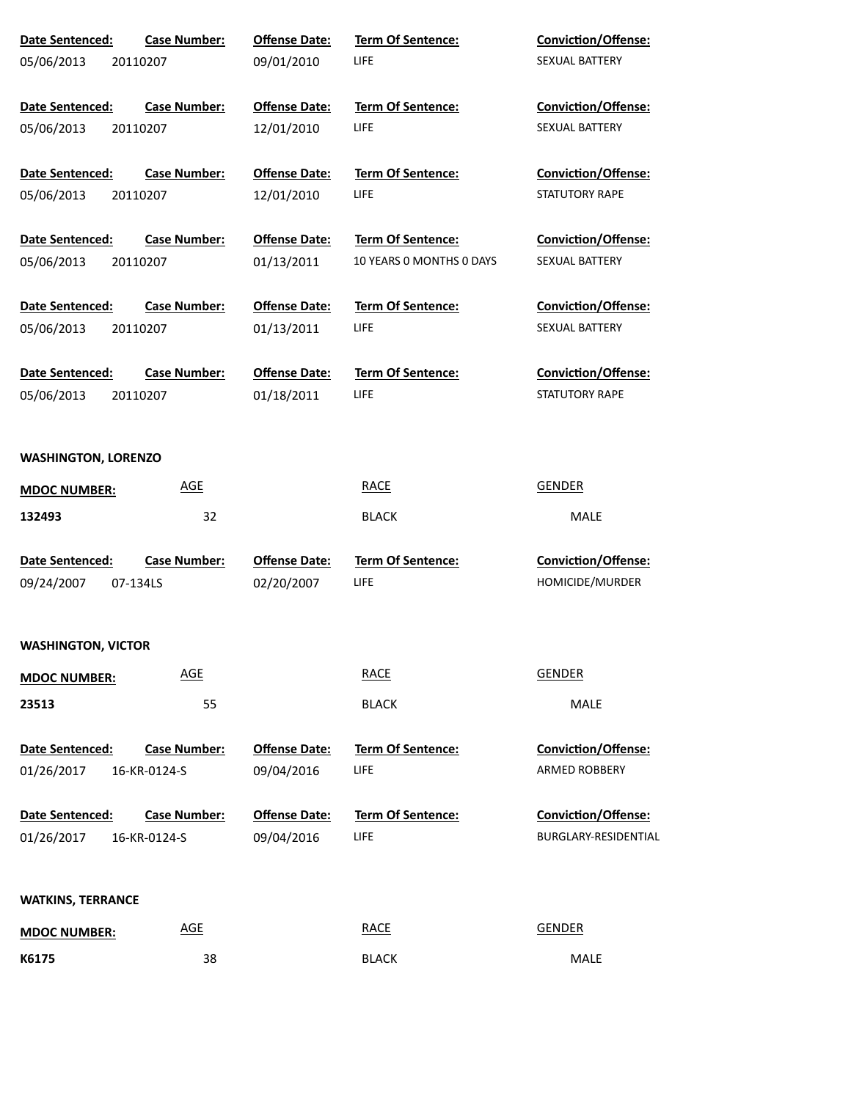| <b>Date Sentenced:</b>            | <b>Case Number:</b>        | <b>Offense Date:</b> | <b>Term Of Sentence:</b> | <b>Conviction/Offense:</b> |  |  |  |
|-----------------------------------|----------------------------|----------------------|--------------------------|----------------------------|--|--|--|
| 05/06/2013                        | 20110207                   | 09/01/2010           | LIFE                     | SEXUAL BATTERY             |  |  |  |
|                                   |                            |                      |                          |                            |  |  |  |
| Date Sentenced:                   | <b>Case Number:</b>        | <b>Offense Date:</b> | <b>Term Of Sentence:</b> | <b>Conviction/Offense:</b> |  |  |  |
| 05/06/2013                        | 20110207                   | 12/01/2010           | <b>LIFE</b>              | SEXUAL BATTERY             |  |  |  |
| Date Sentenced:                   | <b>Case Number:</b>        | <b>Offense Date:</b> | <b>Term Of Sentence:</b> | <b>Conviction/Offense:</b> |  |  |  |
| 05/06/2013                        | 20110207                   | 12/01/2010           | <b>LIFE</b>              | STATUTORY RAPE             |  |  |  |
| Date Sentenced:                   | <b>Case Number:</b>        | <b>Offense Date:</b> | <b>Term Of Sentence:</b> | <b>Conviction/Offense:</b> |  |  |  |
| 05/06/2013                        | 20110207                   | 01/13/2011           | 10 YEARS 0 MONTHS 0 DAYS | SEXUAL BATTERY             |  |  |  |
| Date Sentenced:                   | <b>Case Number:</b>        | <b>Offense Date:</b> | <b>Term Of Sentence:</b> | <b>Conviction/Offense:</b> |  |  |  |
| 05/06/2013                        | 20110207                   | 01/13/2011           | LIFE                     | SEXUAL BATTERY             |  |  |  |
| Date Sentenced:                   | <b>Case Number:</b>        | <b>Offense Date:</b> | <b>Term Of Sentence:</b> | <b>Conviction/Offense:</b> |  |  |  |
| 05/06/2013                        | 20110207                   | 01/18/2011           | <b>LIFE</b>              | STATUTORY RAPE             |  |  |  |
|                                   |                            |                      |                          |                            |  |  |  |
| <b>WASHINGTON, LORENZO</b>        |                            |                      |                          |                            |  |  |  |
| <b>AGE</b><br><b>MDOC NUMBER:</b> |                            |                      | <b>RACE</b>              | <b>GENDER</b>              |  |  |  |
| 132493                            | 32                         |                      | <b>BLACK</b>             | MALE                       |  |  |  |
| Date Sentenced:                   | <b>Case Number:</b>        | <b>Offense Date:</b> | Term Of Sentence:        | Conviction/Offense:        |  |  |  |
| 09/24/2007                        | 07-134LS                   | 02/20/2007           | LIFE                     | HOMICIDE/MURDER            |  |  |  |
| <b>WASHINGTON, VICTOR</b>         |                            |                      |                          |                            |  |  |  |
| <b>MDOC NUMBER:</b>               | <b>AGE</b>                 |                      | <b>RACE</b>              | <b>GENDER</b>              |  |  |  |
| 23513                             | 55                         |                      | <b>BLACK</b>             | MALE                       |  |  |  |
| Date Sentenced:                   | <b>Case Number:</b>        | <b>Offense Date:</b> | <b>Term Of Sentence:</b> | <b>Conviction/Offense:</b> |  |  |  |
| 01/26/2017                        | 16-KR-0124-S               | 09/04/2016           | <b>LIFE</b>              | ARMED ROBBERY              |  |  |  |
| Date Sentenced:                   | <b>Case Number:</b>        | <b>Offense Date:</b> | <b>Term Of Sentence:</b> | <b>Conviction/Offense:</b> |  |  |  |
| 01/26/2017                        | 16-KR-0124-S               | 09/04/2016           | <b>LIFE</b>              | BURGLARY-RESIDENTIAL       |  |  |  |
|                                   |                            |                      |                          |                            |  |  |  |
| <b>WATKINS, TERRANCE</b>          |                            |                      |                          |                            |  |  |  |
| <b>MDOC NUMBER:</b>               | $\underline{\mathsf{AGE}}$ |                      | <b>RACE</b>              | <b>GENDER</b>              |  |  |  |
| K6175                             | 38                         |                      | <b>BLACK</b>             | MALE                       |  |  |  |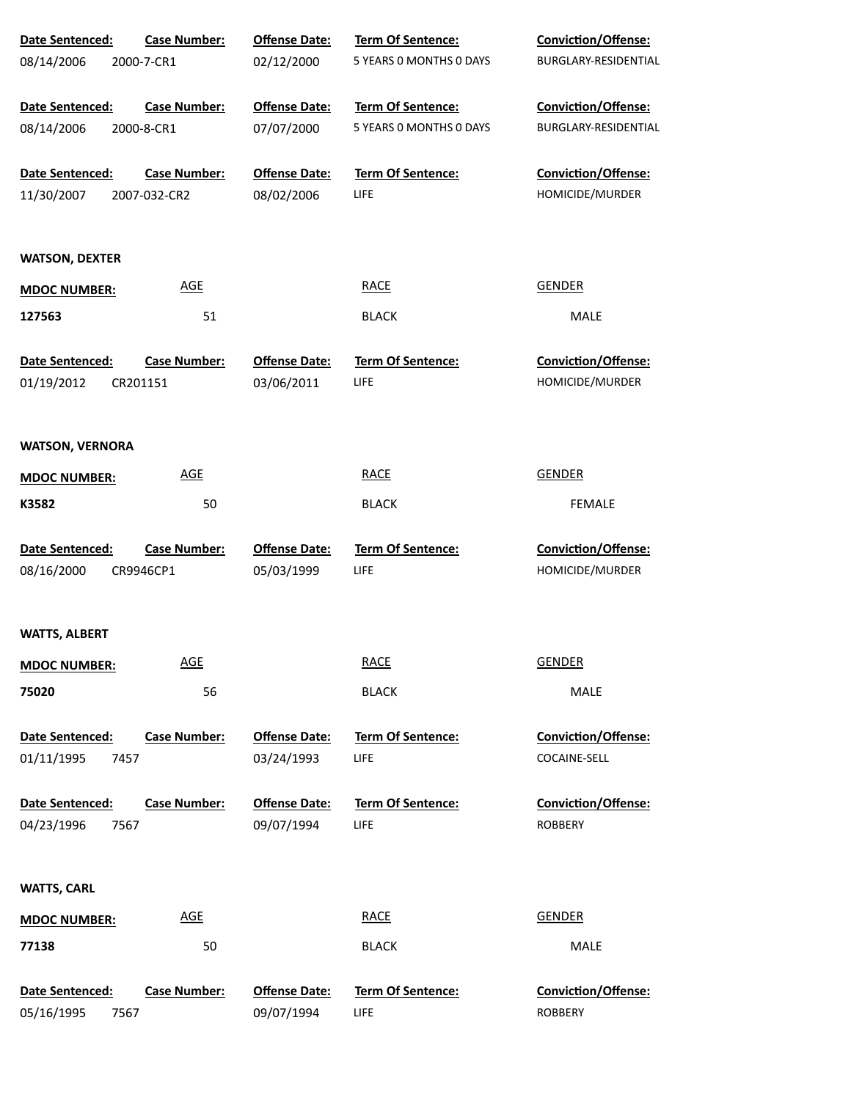| Date Sentenced:        | <b>Case Number:</b> | <b>Offense Date:</b> | Term Of Sentence:        | Conviction/Offense:        |
|------------------------|---------------------|----------------------|--------------------------|----------------------------|
| 08/14/2006             | 2000-7-CR1          | 02/12/2000           | 5 YEARS O MONTHS O DAYS  | BURGLARY-RESIDENTIAL       |
| Date Sentenced:        | <b>Case Number:</b> | <b>Offense Date:</b> | Term Of Sentence:        | Conviction/Offense:        |
| 08/14/2006             | 2000-8-CR1          | 07/07/2000           | 5 YEARS 0 MONTHS 0 DAYS  | BURGLARY-RESIDENTIAL       |
| Date Sentenced:        | <b>Case Number:</b> | <b>Offense Date:</b> | Term Of Sentence:        | Conviction/Offense:        |
| 11/30/2007             | 2007-032-CR2        | 08/02/2006           | LIFE                     | HOMICIDE/MURDER            |
| <b>WATSON, DEXTER</b>  |                     |                      |                          |                            |
| <b>MDOC NUMBER:</b>    | <b>AGE</b>          |                      | <b>RACE</b>              | <b>GENDER</b>              |
| 127563                 | 51                  |                      | <b>BLACK</b>             | MALE                       |
| <b>Date Sentenced:</b> | <b>Case Number:</b> | <b>Offense Date:</b> | Term Of Sentence:        | Conviction/Offense:        |
| 01/19/2012             | CR201151            | 03/06/2011           | LIFE                     | HOMICIDE/MURDER            |
| <b>WATSON, VERNORA</b> |                     |                      |                          |                            |
| <b>MDOC NUMBER:</b>    | <b>AGE</b>          |                      | <b>RACE</b>              | <b>GENDER</b>              |
| K3582                  | 50                  |                      | <b>BLACK</b>             | <b>FEMALE</b>              |
| Date Sentenced:        | <b>Case Number:</b> | <b>Offense Date:</b> | Term Of Sentence:        | Conviction/Offense:        |
| 08/16/2000             | CR9946CP1           | 05/03/1999           | LIFE                     | HOMICIDE/MURDER            |
| <b>WATTS, ALBERT</b>   |                     |                      |                          |                            |
| <b>MDOC NUMBER:</b>    | <b>AGE</b>          |                      | <b>RACE</b>              | <b>GENDER</b>              |
| 75020                  | 56                  |                      | <b>BLACK</b>             | MALE                       |
| <b>Date Sentenced:</b> | <b>Case Number:</b> | <b>Offense Date:</b> | <b>Term Of Sentence:</b> | <b>Conviction/Offense:</b> |
| 01/11/1995<br>7457     |                     | 03/24/1993           | LIFE                     | COCAINE-SELL               |
| Date Sentenced:        | <b>Case Number:</b> | <b>Offense Date:</b> | <b>Term Of Sentence:</b> | <b>Conviction/Offense:</b> |
| 04/23/1996<br>7567     |                     | 09/07/1994           | LIFE                     | <b>ROBBERY</b>             |
| <b>WATTS, CARL</b>     |                     |                      |                          |                            |
| <b>MDOC NUMBER:</b>    | <b>AGE</b>          |                      | <b>RACE</b>              | <b>GENDER</b>              |
| 77138                  | 50                  |                      | <b>BLACK</b>             | MALE                       |
| Date Sentenced:        | <b>Case Number:</b> | <b>Offense Date:</b> | Term Of Sentence:        | Conviction/Offense:        |
| 05/16/1995<br>7567     |                     | 09/07/1994           | LIFE                     | <b>ROBBERY</b>             |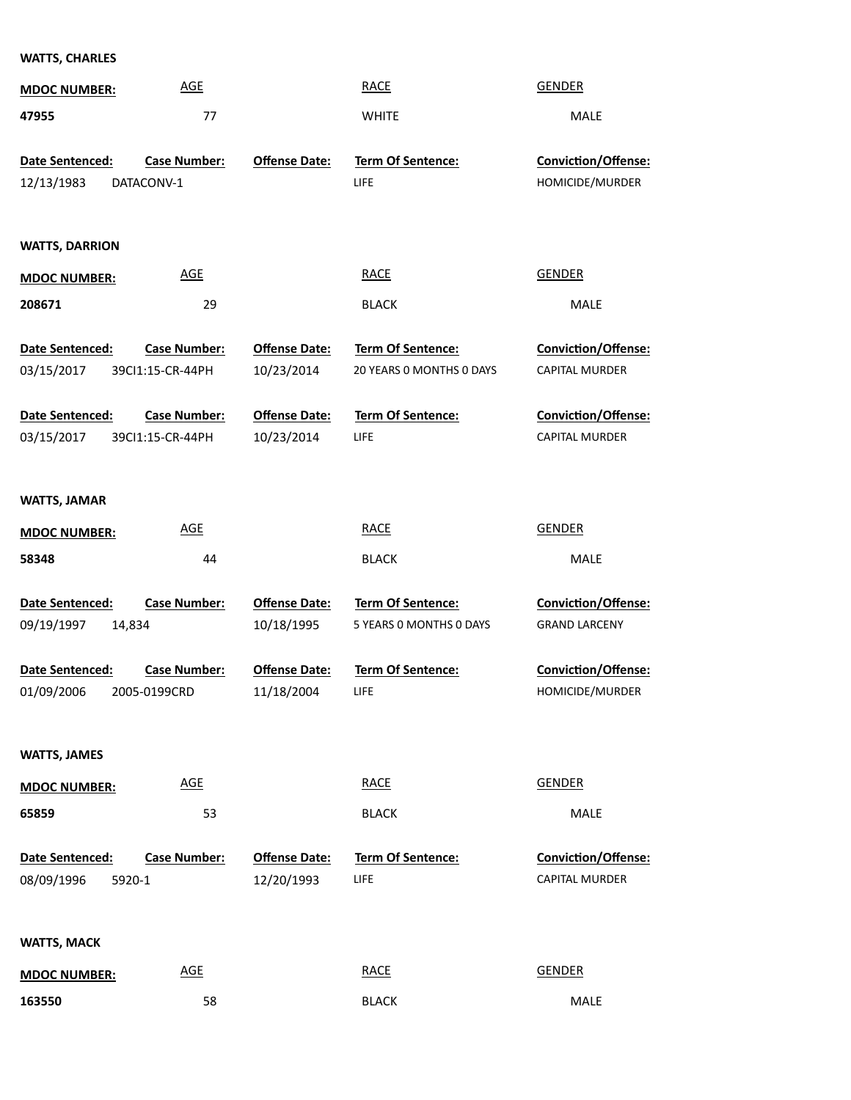## **WATTS, CHARLES**

| <b>MDOC NUMBER:</b>           | <b>AGE</b>                              |                                    | <b>RACE</b>                      | <b>GENDER</b>                                 |
|-------------------------------|-----------------------------------------|------------------------------------|----------------------------------|-----------------------------------------------|
| 47955                         | 77                                      |                                    | <b>WHITE</b>                     | <b>MALE</b>                                   |
|                               |                                         |                                    |                                  |                                               |
| Date Sentenced:               | <b>Case Number:</b>                     | <b>Offense Date:</b>               | <b>Term Of Sentence:</b>         | Conviction/Offense:                           |
| 12/13/1983                    | DATACONV-1                              |                                    | LIFE                             | HOMICIDE/MURDER                               |
|                               |                                         |                                    |                                  |                                               |
| <b>WATTS, DARRION</b>         |                                         |                                    |                                  |                                               |
| <b>MDOC NUMBER:</b>           | <b>AGE</b>                              |                                    | <b>RACE</b>                      | <b>GENDER</b>                                 |
| 208671                        | 29                                      |                                    | <b>BLACK</b>                     | MALE                                          |
|                               |                                         |                                    |                                  |                                               |
| Date Sentenced:               | <b>Case Number:</b>                     | <b>Offense Date:</b>               | Term Of Sentence:                | Conviction/Offense:                           |
| 03/15/2017                    | 39Cl1:15-CR-44PH                        | 10/23/2014                         | 20 YEARS 0 MONTHS 0 DAYS         | <b>CAPITAL MURDER</b>                         |
|                               |                                         | <b>Offense Date:</b>               |                                  |                                               |
| Date Sentenced:<br>03/15/2017 | <b>Case Number:</b><br>39Cl1:15-CR-44PH | 10/23/2014                         | Term Of Sentence:<br>LIFE.       | Conviction/Offense:<br><b>CAPITAL MURDER</b>  |
|                               |                                         |                                    |                                  |                                               |
|                               |                                         |                                    |                                  |                                               |
| <b>WATTS, JAMAR</b>           |                                         |                                    |                                  |                                               |
| <b>MDOC NUMBER:</b>           | <b>AGE</b>                              |                                    | <b>RACE</b>                      | <b>GENDER</b>                                 |
|                               |                                         |                                    |                                  |                                               |
| 58348                         | 44                                      |                                    | <b>BLACK</b>                     | MALE                                          |
|                               |                                         |                                    |                                  |                                               |
| <b>Date Sentenced:</b>        | <b>Case Number:</b>                     | <b>Offense Date:</b>               | <b>Term Of Sentence:</b>         | <b>Conviction/Offense:</b>                    |
| 09/19/1997<br>14,834          |                                         | 10/18/1995                         | 5 YEARS 0 MONTHS 0 DAYS          | <b>GRAND LARCENY</b>                          |
|                               |                                         |                                    |                                  |                                               |
| Date Sentenced:<br>01/09/2006 | <b>Case Number:</b><br>2005-0199CRD     | <b>Offense Date:</b><br>11/18/2004 | <b>Term Of Sentence:</b><br>LIFE | <b>Conviction/Offense:</b><br>HOMICIDE/MURDER |
|                               |                                         |                                    |                                  |                                               |
|                               |                                         |                                    |                                  |                                               |
| <b>WATTS, JAMES</b>           |                                         |                                    |                                  |                                               |
| <b>MDOC NUMBER:</b>           | <b>AGE</b>                              |                                    | <b>RACE</b>                      | <b>GENDER</b>                                 |
| 65859                         | 53                                      |                                    | <b>BLACK</b>                     | MALE                                          |
|                               |                                         |                                    |                                  |                                               |
| Date Sentenced:               | <b>Case Number:</b>                     | <b>Offense Date:</b>               | <b>Term Of Sentence:</b>         | <b>Conviction/Offense:</b>                    |
| 08/09/1996<br>5920-1          |                                         | 12/20/1993                         | LIFE.                            | <b>CAPITAL MURDER</b>                         |
|                               |                                         |                                    |                                  |                                               |
| <b>WATTS, MACK</b>            |                                         |                                    |                                  |                                               |
| <b>MDOC NUMBER:</b>           | <b>AGE</b>                              |                                    | <b>RACE</b>                      | <b>GENDER</b>                                 |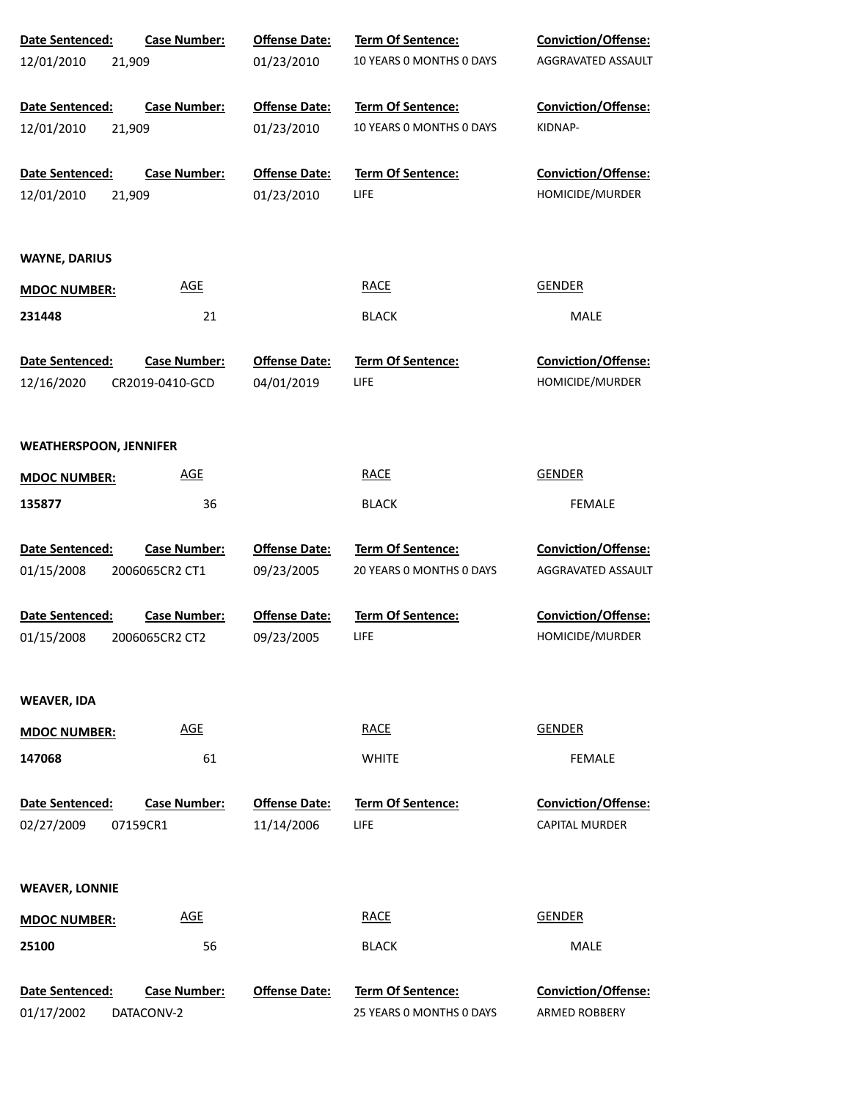| Date Sentenced:               | <b>Case Number:</b> | <b>Offense Date:</b> | <b>Term Of Sentence:</b> | Conviction/Offense:        |  |
|-------------------------------|---------------------|----------------------|--------------------------|----------------------------|--|
| 12/01/2010                    | 21,909              | 01/23/2010           | 10 YEARS 0 MONTHS 0 DAYS | AGGRAVATED ASSAULT         |  |
| Date Sentenced:               | <b>Case Number:</b> | <b>Offense Date:</b> | <b>Term Of Sentence:</b> | <b>Conviction/Offense:</b> |  |
| 12/01/2010                    | 21,909              | 01/23/2010           | 10 YEARS 0 MONTHS 0 DAYS | KIDNAP-                    |  |
| Date Sentenced:               | <b>Case Number:</b> | <b>Offense Date:</b> | Term Of Sentence:        | Conviction/Offense:        |  |
| 12/01/2010                    | 21,909              | 01/23/2010           | LIFE                     | HOMICIDE/MURDER            |  |
| <b>WAYNE, DARIUS</b>          |                     |                      |                          |                            |  |
| <b>MDOC NUMBER:</b>           | <b>AGE</b>          |                      | <b>RACE</b>              | <b>GENDER</b>              |  |
| 231448                        | 21                  |                      | <b>BLACK</b>             | MALE                       |  |
| Date Sentenced:               | <b>Case Number:</b> | <b>Offense Date:</b> | <b>Term Of Sentence:</b> | <b>Conviction/Offense:</b> |  |
| 12/16/2020                    | CR2019-0410-GCD     | 04/01/2019           | LIFE                     | HOMICIDE/MURDER            |  |
| <b>WEATHERSPOON, JENNIFER</b> |                     |                      |                          |                            |  |
| <b>MDOC NUMBER:</b>           | <b>AGE</b>          |                      | <b>RACE</b>              | <b>GENDER</b>              |  |
| 135877                        | 36                  |                      | <b>BLACK</b>             | <b>FEMALE</b>              |  |
| Date Sentenced:               | <b>Case Number:</b> | <b>Offense Date:</b> | Term Of Sentence:        | Conviction/Offense:        |  |
| 01/15/2008                    | 2006065CR2 CT1      | 09/23/2005           | 20 YEARS O MONTHS O DAYS | AGGRAVATED ASSAULT         |  |
| Date Sentenced:               | <b>Case Number:</b> | <b>Offense Date:</b> | <b>Term Of Sentence:</b> | Conviction/Offense:        |  |
| 01/15/2008                    | 2006065CR2 CT2      | 09/23/2005           | LIFE                     | HOMICIDE/MURDER            |  |
| WEAVER, IDA                   |                     |                      |                          |                            |  |
| <b>MDOC NUMBER:</b>           | <b>AGE</b>          |                      | <b>RACE</b>              | <b>GENDER</b>              |  |
| 147068                        | 61                  |                      | <b>WHITE</b>             | <b>FEMALE</b>              |  |
| Date Sentenced:               | <b>Case Number:</b> | <b>Offense Date:</b> | <b>Term Of Sentence:</b> | <b>Conviction/Offense:</b> |  |
| 02/27/2009                    | 07159CR1            | 11/14/2006           | LIFE                     | <b>CAPITAL MURDER</b>      |  |
| <b>WEAVER, LONNIE</b>         |                     |                      |                          |                            |  |
| <b>MDOC NUMBER:</b>           | <b>AGE</b>          |                      | <b>RACE</b>              | <b>GENDER</b>              |  |
| 25100                         | 56                  |                      | <b>BLACK</b>             | <b>MALE</b>                |  |
| Date Sentenced:               | <b>Case Number:</b> | <b>Offense Date:</b> | Term Of Sentence:        | <b>Conviction/Offense:</b> |  |
| 01/17/2002                    | DATACONV-2          |                      | 25 YEARS 0 MONTHS 0 DAYS | ARMED ROBBERY              |  |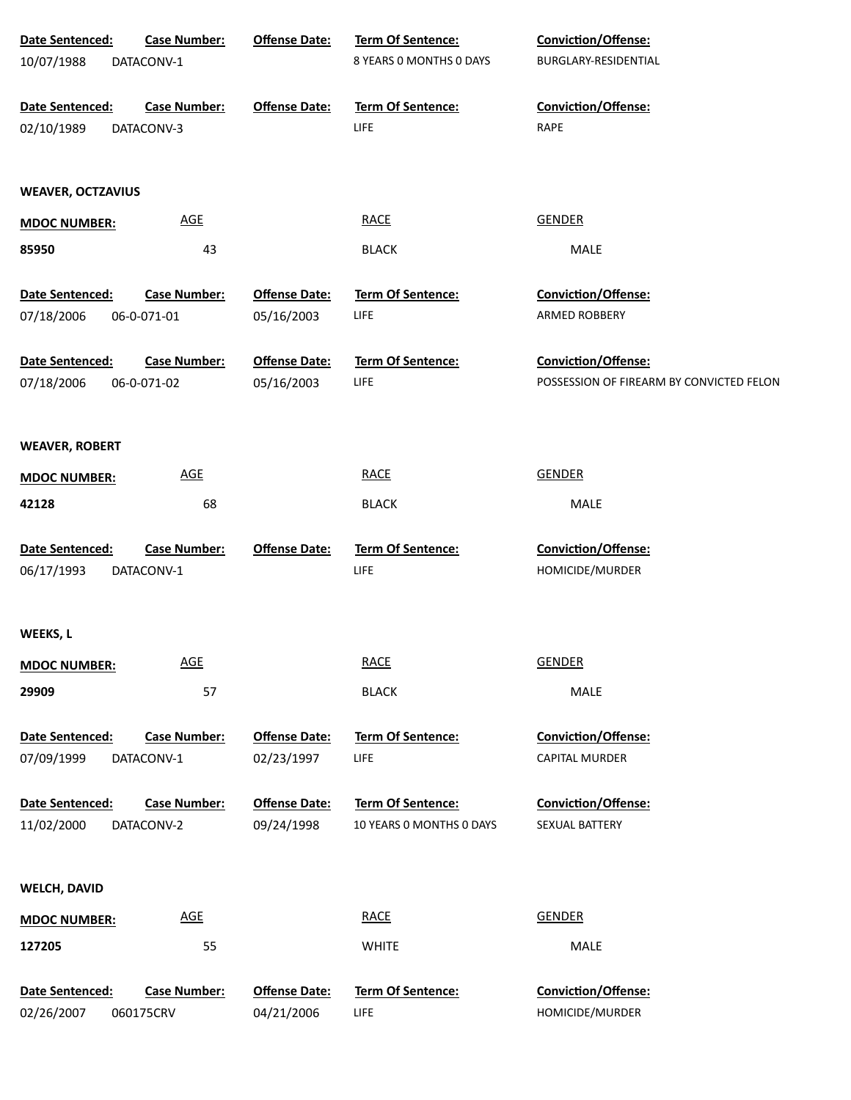| Date Sentenced:<br><b>Case Number:</b>                             | <b>Offense Date:</b>               | Term Of Sentence:                             | Conviction/Offense:                                 |
|--------------------------------------------------------------------|------------------------------------|-----------------------------------------------|-----------------------------------------------------|
| 10/07/1988<br>DATACONV-1                                           |                                    | 8 YEARS 0 MONTHS 0 DAYS                       | BURGLARY-RESIDENTIAL                                |
| Date Sentenced:<br><b>Case Number:</b>                             | <b>Offense Date:</b>               | Term Of Sentence:                             | Conviction/Offense:                                 |
| 02/10/1989<br>DATACONV-3                                           |                                    | LIFE                                          | RAPE                                                |
| <b>WEAVER, OCTZAVIUS</b>                                           |                                    |                                               |                                                     |
| <b>AGE</b><br><b>MDOC NUMBER:</b>                                  |                                    | <b>RACE</b>                                   | GENDER                                              |
| 43<br>85950                                                        |                                    | <b>BLACK</b>                                  | MALE                                                |
| Date Sentenced:<br><b>Case Number:</b>                             | <b>Offense Date:</b>               | Term Of Sentence:                             | <b>Conviction/Offense:</b>                          |
| 07/18/2006<br>06-0-071-01                                          | 05/16/2003                         | LIFE                                          | <b>ARMED ROBBERY</b>                                |
| Date Sentenced:<br><b>Case Number:</b>                             | <b>Offense Date:</b>               | <b>Term Of Sentence:</b>                      | <b>Conviction/Offense:</b>                          |
| 07/18/2006<br>06-0-071-02                                          | 05/16/2003                         | LIFE                                          | POSSESSION OF FIREARM BY CONVICTED FELON            |
| <b>WEAVER, ROBERT</b>                                              |                                    |                                               |                                                     |
| AGE<br><b>MDOC NUMBER:</b>                                         |                                    | <b>RACE</b>                                   | <b>GENDER</b>                                       |
| 68<br>42128                                                        |                                    | <b>BLACK</b>                                  | MALE                                                |
| Date Sentenced:<br><b>Case Number:</b><br>06/17/1993<br>DATACONV-1 | <b>Offense Date:</b>               | Term Of Sentence:<br>LIFE                     | Conviction/Offense:<br>HOMICIDE/MURDER              |
| WEEKS, L                                                           |                                    |                                               |                                                     |
| <b>AGE</b><br><b>MDOC NUMBER:</b>                                  |                                    | <b>RACE</b>                                   | <b>GENDER</b>                                       |
| 29909<br>57                                                        |                                    | <b>BLACK</b>                                  | MALE                                                |
| <b>Case Number:</b><br>Date Sentenced:<br>07/09/1999<br>DATACONV-1 | <b>Offense Date:</b><br>02/23/1997 | <b>Term Of Sentence:</b><br>LIFE              | <b>Conviction/Offense:</b><br><b>CAPITAL MURDER</b> |
| <b>Case Number:</b><br>Date Sentenced:<br>11/02/2000<br>DATACONV-2 | <b>Offense Date:</b><br>09/24/1998 | Term Of Sentence:<br>10 YEARS O MONTHS O DAYS | <b>Conviction/Offense:</b><br>SEXUAL BATTERY        |
| <b>WELCH, DAVID</b>                                                |                                    |                                               |                                                     |
| AGE<br><b>MDOC NUMBER:</b>                                         |                                    | <b>RACE</b>                                   | <b>GENDER</b>                                       |
| 55<br>127205                                                       |                                    | <b>WHITE</b>                                  | MALE                                                |
| <b>Case Number:</b><br>Date Sentenced:<br>02/26/2007<br>060175CRV  | <b>Offense Date:</b><br>04/21/2006 | Term Of Sentence:<br><b>LIFE</b>              | Conviction/Offense:<br>HOMICIDE/MURDER              |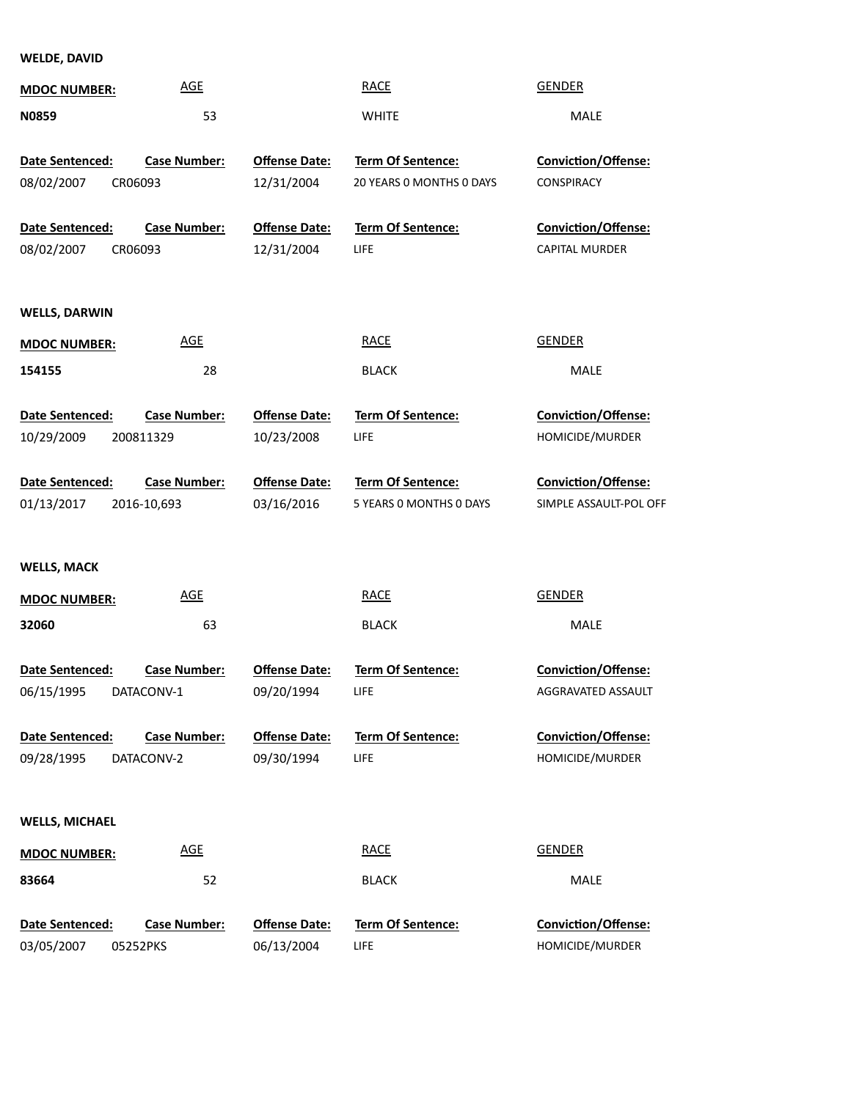**WELDE, DAVID**

| <b>MDOC NUMBER:</b>           | <b>AGE</b>                         |                                    | <b>RACE</b>                                          | <b>GENDER</b>                                        |
|-------------------------------|------------------------------------|------------------------------------|------------------------------------------------------|------------------------------------------------------|
| N0859                         | 53                                 |                                    | <b>WHITE</b>                                         | MALE                                                 |
| Date Sentenced:<br>08/02/2007 | <b>Case Number:</b><br>CR06093     | <b>Offense Date:</b><br>12/31/2004 | <b>Term Of Sentence:</b><br>20 YEARS 0 MONTHS 0 DAYS | <b>Conviction/Offense:</b><br>CONSPIRACY             |
| Date Sentenced:<br>08/02/2007 | <b>Case Number:</b><br>CR06093     | <b>Offense Date:</b><br>12/31/2004 | Term Of Sentence:<br><b>LIFE</b>                     | Conviction/Offense:<br>CAPITAL MURDER                |
| <b>WELLS, DARWIN</b>          |                                    |                                    |                                                      |                                                      |
| <b>MDOC NUMBER:</b>           | <b>AGE</b>                         |                                    | <b>RACE</b>                                          | <b>GENDER</b>                                        |
| 154155                        | 28                                 |                                    | <b>BLACK</b>                                         | MALE                                                 |
| Date Sentenced:<br>10/29/2009 | <b>Case Number:</b><br>200811329   | <b>Offense Date:</b><br>10/23/2008 | <b>Term Of Sentence:</b><br>LIFE                     | <b>Conviction/Offense:</b><br>HOMICIDE/MURDER        |
| Date Sentenced:<br>01/13/2017 | <b>Case Number:</b><br>2016-10,693 | <b>Offense Date:</b><br>03/16/2016 | Term Of Sentence:<br>5 YEARS 0 MONTHS 0 DAYS         | <b>Conviction/Offense:</b><br>SIMPLE ASSAULT-POL OFF |
| <b>WELLS, MACK</b>            |                                    |                                    |                                                      |                                                      |
| <b>MDOC NUMBER:</b>           | <b>AGE</b>                         |                                    | <b>RACE</b>                                          | <b>GENDER</b>                                        |
| 32060                         | 63                                 |                                    | <b>BLACK</b>                                         | MALE                                                 |
| Date Sentenced:<br>06/15/1995 | <b>Case Number:</b><br>DATACONV-1  | <b>Offense Date:</b><br>09/20/1994 | <b>Term Of Sentence:</b><br><b>LIFE</b>              | Conviction/Offense:<br>AGGRAVATED ASSAULT            |
| Date Sentenced:<br>09/28/1995 | <b>Case Number:</b><br>DATACONV-2  | <b>Offense Date:</b><br>09/30/1994 | <b>Term Of Sentence:</b><br><b>LIFE</b>              | <b>Conviction/Offense:</b><br>HOMICIDE/MURDER        |
| <b>WELLS, MICHAEL</b>         |                                    |                                    |                                                      |                                                      |
| <b>MDOC NUMBER:</b>           | <b>AGE</b>                         |                                    | <b>RACE</b>                                          | <b>GENDER</b>                                        |
| 83664                         | 52                                 |                                    | <b>BLACK</b>                                         | MALE                                                 |
| Date Sentenced:<br>03/05/2007 | <b>Case Number:</b><br>05252PKS    | <b>Offense Date:</b><br>06/13/2004 | Term Of Sentence:<br>LIFE                            | Conviction/Offense:<br>HOMICIDE/MURDER               |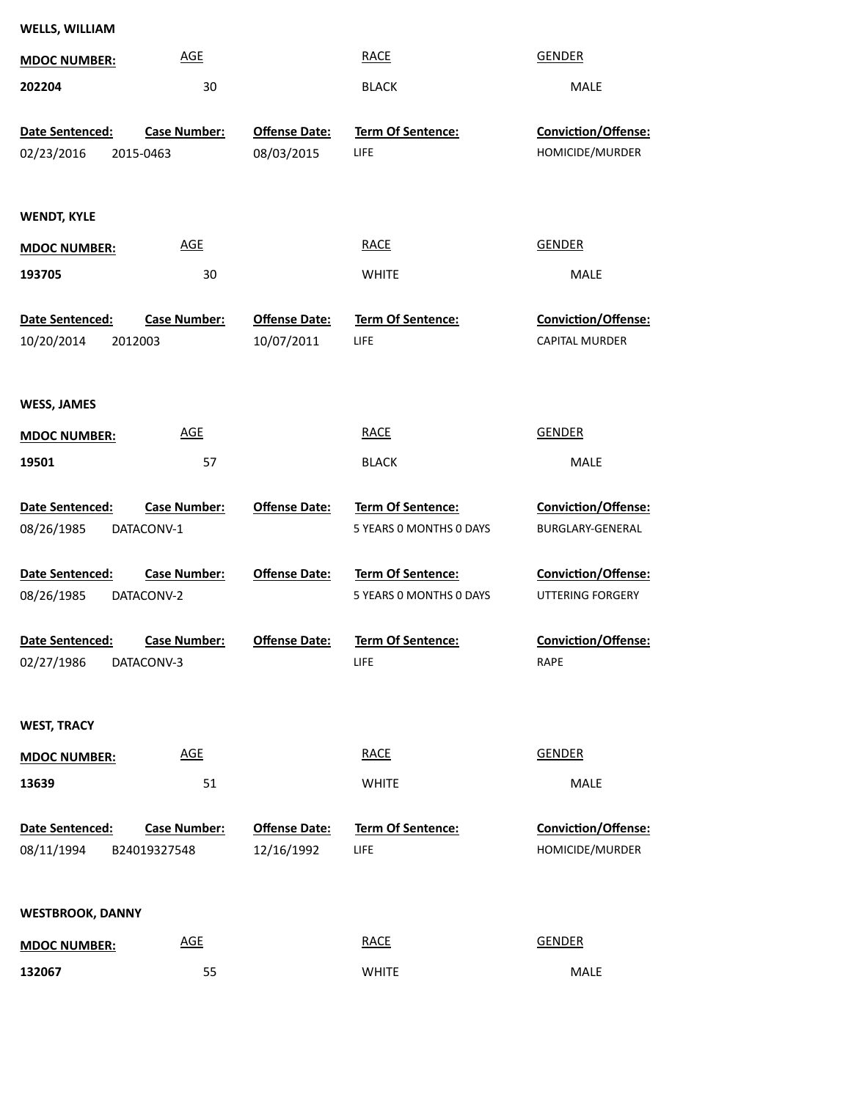| <b>WELLS, WILLIAM</b>   |                     |                      |                         |                            |
|-------------------------|---------------------|----------------------|-------------------------|----------------------------|
| <b>MDOC NUMBER:</b>     | <b>AGE</b>          |                      | <b>RACE</b>             | <b>GENDER</b>              |
| 202204                  | 30                  |                      | <b>BLACK</b>            | MALE                       |
|                         |                     |                      |                         |                            |
| Date Sentenced:         | <b>Case Number:</b> | <b>Offense Date:</b> | Term Of Sentence:       | Conviction/Offense:        |
| 02/23/2016              | 2015-0463           | 08/03/2015           | <b>LIFE</b>             | HOMICIDE/MURDER            |
| <b>WENDT, KYLE</b>      |                     |                      |                         |                            |
| <b>MDOC NUMBER:</b>     | <b>AGE</b>          |                      | <b>RACE</b>             | <b>GENDER</b>              |
| 193705                  | 30                  |                      | <b>WHITE</b>            | MALE                       |
| Date Sentenced:         | <b>Case Number:</b> | <b>Offense Date:</b> | Term Of Sentence:       | Conviction/Offense:        |
| 10/20/2014<br>2012003   |                     | 10/07/2011           | LIFE                    | <b>CAPITAL MURDER</b>      |
|                         |                     |                      |                         |                            |
| <b>WESS, JAMES</b>      |                     |                      |                         |                            |
| <b>MDOC NUMBER:</b>     | <b>AGE</b>          |                      | <b>RACE</b>             | <b>GENDER</b>              |
| 19501                   | 57                  |                      | <b>BLACK</b>            | MALE                       |
| Date Sentenced:         | <b>Case Number:</b> | <b>Offense Date:</b> | Term Of Sentence:       | <b>Conviction/Offense:</b> |
| 08/26/1985              | DATACONV-1          |                      | 5 YEARS O MONTHS O DAYS | BURGLARY-GENERAL           |
|                         |                     |                      |                         |                            |
| <b>Date Sentenced:</b>  | <b>Case Number:</b> | <b>Offense Date:</b> | Term Of Sentence:       | Conviction/Offense:        |
| 08/26/1985              | DATACONV-2          |                      | 5 YEARS O MONTHS O DAYS | <b>UTTERING FORGERY</b>    |
| Date Sentenced:         | <b>Case Number:</b> | <b>Offense Date:</b> | Term Of Sentence:       | Conviction/Offense:        |
| 02/27/1986              | DATACONV-3          |                      | LIFE                    | RAPE                       |
|                         |                     |                      |                         |                            |
| <b>WEST, TRACY</b>      |                     |                      |                         |                            |
| <b>MDOC NUMBER:</b>     | <b>AGE</b>          |                      | <b>RACE</b>             | <b>GENDER</b>              |
| 13639                   | 51                  |                      | <b>WHITE</b>            | MALE                       |
|                         |                     |                      |                         |                            |
| Date Sentenced:         | Case Number:        | <b>Offense Date:</b> | Term Of Sentence:       | Conviction/Offense:        |
| 08/11/1994              | B24019327548        | 12/16/1992           | LIFE                    | HOMICIDE/MURDER            |
|                         |                     |                      |                         |                            |
| <b>WESTBROOK, DANNY</b> |                     |                      |                         |                            |
| <b>MDOC NUMBER:</b>     | <b>AGE</b>          |                      | <b>RACE</b>             | <b>GENDER</b>              |
| 132067                  | 55                  |                      | <b>WHITE</b>            | MALE                       |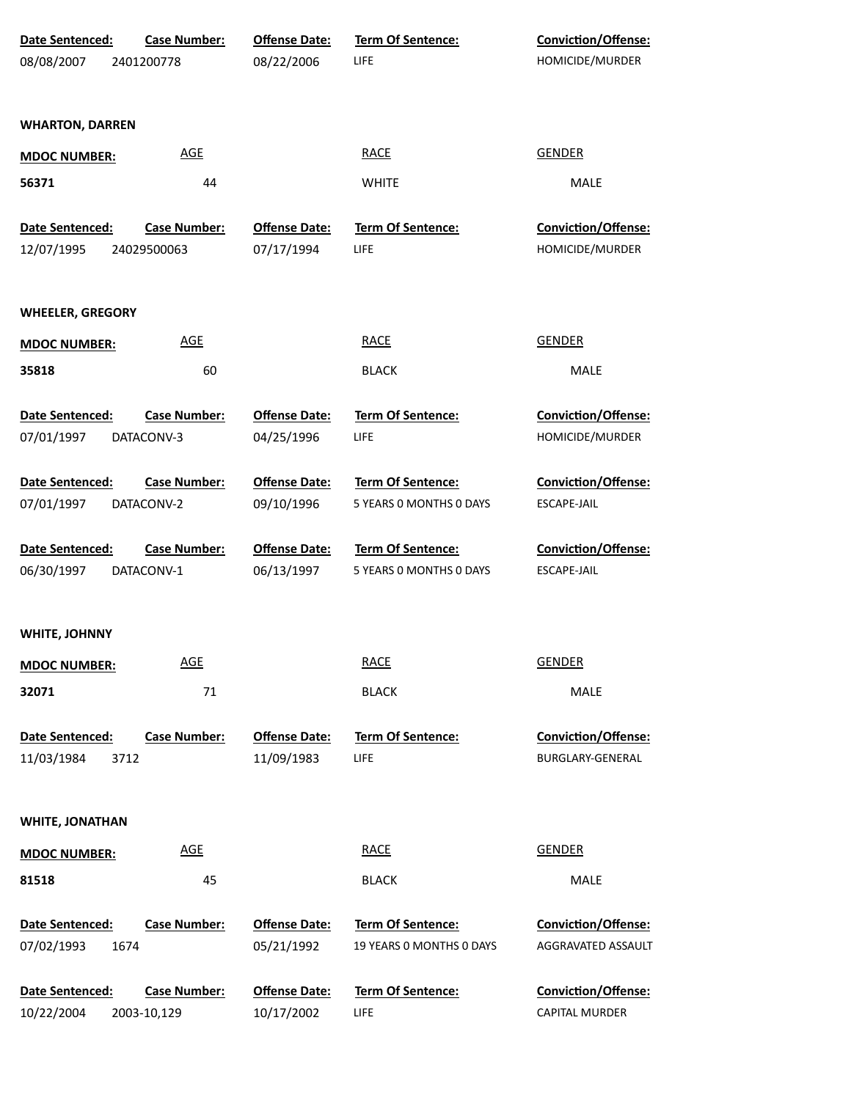| Date Sentenced:              | <b>Case Number:</b> | <b>Offense Date:</b> | <b>Term Of Sentence:</b> | <b>Conviction/Offense:</b> |  |
|------------------------------|---------------------|----------------------|--------------------------|----------------------------|--|
| 08/08/2007                   | 2401200778          | 08/22/2006           | LIFE                     | HOMICIDE/MURDER            |  |
|                              |                     |                      |                          |                            |  |
| <b>WHARTON, DARREN</b>       |                     |                      |                          |                            |  |
| <b>MDOC NUMBER:</b>          | <b>AGE</b>          |                      | <b>RACE</b>              | <b>GENDER</b>              |  |
| 56371                        | 44                  |                      | <b>WHITE</b>             | <b>MALE</b>                |  |
| Date Sentenced:              | <b>Case Number:</b> | <b>Offense Date:</b> | Term Of Sentence:        | Conviction/Offense:        |  |
| 12/07/1995                   | 24029500063         | 07/17/1994           | LIFE                     | HOMICIDE/MURDER            |  |
| <b>WHEELER, GREGORY</b>      |                     |                      |                          |                            |  |
| <b>MDOC NUMBER:</b>          | <b>AGE</b>          |                      | <b>RACE</b>              | <b>GENDER</b>              |  |
| 35818                        | 60                  |                      | <b>BLACK</b>             | MALE                       |  |
| Date Sentenced:              | <b>Case Number:</b> | <b>Offense Date:</b> | <b>Term Of Sentence:</b> | <b>Conviction/Offense:</b> |  |
| 07/01/1997                   | DATACONV-3          | 04/25/1996           | LIFE                     | HOMICIDE/MURDER            |  |
| Date Sentenced:              | <b>Case Number:</b> | <b>Offense Date:</b> | <b>Term Of Sentence:</b> | <b>Conviction/Offense:</b> |  |
| 07/01/1997                   | DATACONV-2          | 09/10/1996           | 5 YEARS 0 MONTHS 0 DAYS  | ESCAPE-JAIL                |  |
|                              |                     |                      |                          |                            |  |
| Date Sentenced:              | <b>Case Number:</b> | <b>Offense Date:</b> | Term Of Sentence:        | <b>Conviction/Offense:</b> |  |
| 06/30/1997                   | DATACONV-1          | 06/13/1997           | 5 YEARS O MONTHS O DAYS  | ESCAPE-JAIL                |  |
| WHITE, JOHNNY                |                     |                      |                          |                            |  |
|                              | <b>AGE</b>          |                      | <b>RACE</b>              | <b>GENDER</b>              |  |
| <b>MDOC NUMBER:</b><br>32071 | 71                  |                      | <b>BLACK</b>             | MALE                       |  |
| <b>Date Sentenced:</b>       | <b>Case Number:</b> | <b>Offense Date:</b> | <b>Term Of Sentence:</b> | Conviction/Offense:        |  |
| 11/03/1984<br>3712           |                     | 11/09/1983           | LIFE                     | BURGLARY-GENERAL           |  |
| WHITE, JONATHAN              |                     |                      |                          |                            |  |
|                              | <b>AGE</b>          |                      | <b>RACE</b>              | <b>GENDER</b>              |  |
| <b>MDOC NUMBER:</b><br>81518 | 45                  |                      | <b>BLACK</b>             | MALE                       |  |
| Date Sentenced:              | <b>Case Number:</b> | <b>Offense Date:</b> | Term Of Sentence:        | Conviction/Offense:        |  |
| 07/02/1993<br>1674           |                     | 05/21/1992           | 19 YEARS O MONTHS O DAYS | AGGRAVATED ASSAULT         |  |
| Date Sentenced:              | <b>Case Number:</b> | <b>Offense Date:</b> | <b>Term Of Sentence:</b> | Conviction/Offense:        |  |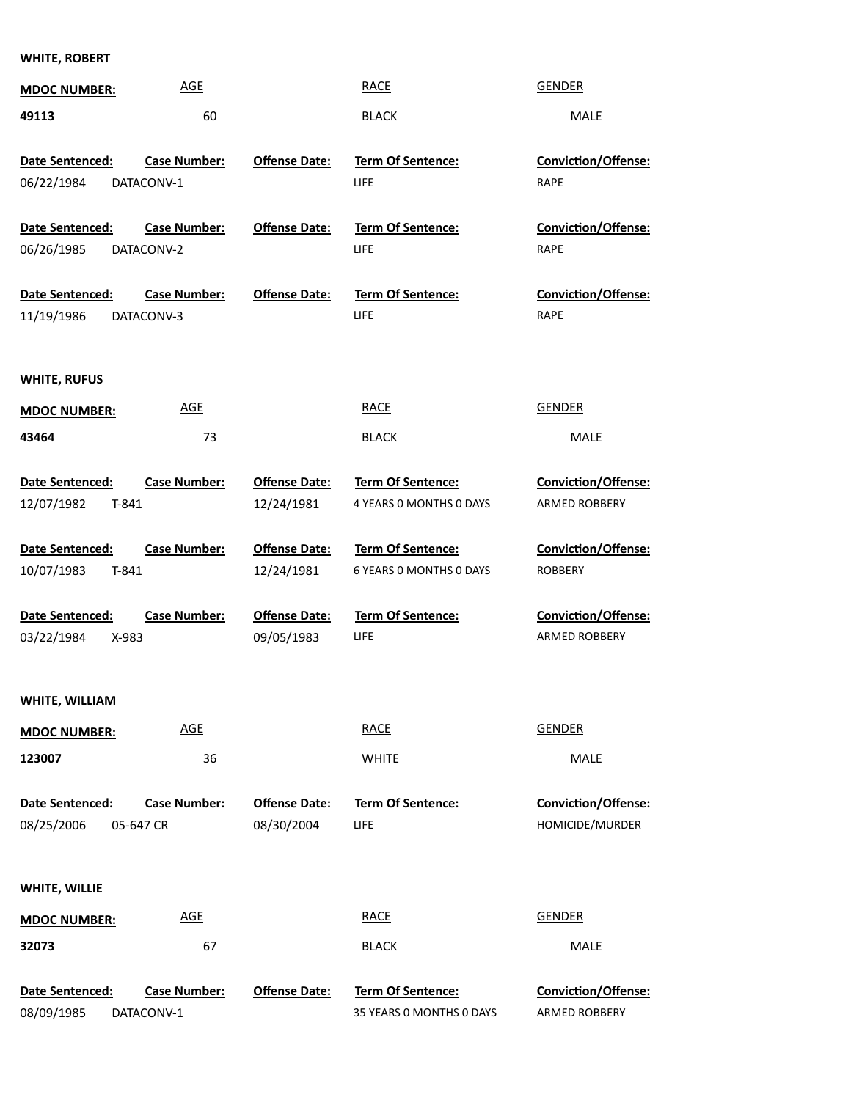## **WHITE, ROBERT**

| <b>MDOC NUMBER:</b>    | <b>AGE</b>          |                      | <b>RACE</b>              | <b>GENDER</b>              |
|------------------------|---------------------|----------------------|--------------------------|----------------------------|
| 49113                  | 60                  |                      | <b>BLACK</b>             | <b>MALE</b>                |
|                        |                     |                      |                          |                            |
| Date Sentenced:        | <b>Case Number:</b> | <b>Offense Date:</b> | <b>Term Of Sentence:</b> | <b>Conviction/Offense:</b> |
| 06/22/1984             | DATACONV-1          |                      | LIFE                     | <b>RAPE</b>                |
|                        |                     |                      |                          |                            |
| Date Sentenced:        | <b>Case Number:</b> | <b>Offense Date:</b> | <b>Term Of Sentence:</b> | Conviction/Offense:        |
| 06/26/1985             | DATACONV-2          |                      | LIFE                     | <b>RAPE</b>                |
| Date Sentenced:        | <b>Case Number:</b> | <b>Offense Date:</b> | Term Of Sentence:        | Conviction/Offense:        |
| 11/19/1986             | DATACONV-3          |                      | LIFE                     | RAPE                       |
|                        |                     |                      |                          |                            |
|                        |                     |                      |                          |                            |
| <b>WHITE, RUFUS</b>    |                     |                      |                          |                            |
| <b>MDOC NUMBER:</b>    | <b>AGE</b>          |                      | <b>RACE</b>              | <b>GENDER</b>              |
| 43464                  | 73                  |                      | <b>BLACK</b>             | MALE                       |
|                        |                     |                      |                          |                            |
| Date Sentenced:        | <b>Case Number:</b> | <b>Offense Date:</b> | <b>Term Of Sentence:</b> | <b>Conviction/Offense:</b> |
| 12/07/1982<br>T-841    |                     | 12/24/1981           | 4 YEARS 0 MONTHS 0 DAYS  | ARMED ROBBERY              |
|                        |                     |                      |                          |                            |
| Date Sentenced:        | <b>Case Number:</b> | <b>Offense Date:</b> | <b>Term Of Sentence:</b> | <b>Conviction/Offense:</b> |
| 10/07/1983<br>T-841    |                     | 12/24/1981           | 6 YEARS 0 MONTHS 0 DAYS  | <b>ROBBERY</b>             |
|                        |                     |                      |                          |                            |
| <b>Date Sentenced:</b> | <b>Case Number:</b> | <b>Offense Date:</b> | <b>Term Of Sentence:</b> | <b>Conviction/Offense:</b> |
| 03/22/1984<br>X-983    |                     | 09/05/1983           | LIFE                     | <b>ARMED ROBBERY</b>       |
|                        |                     |                      |                          |                            |
| WHITE, WILLIAM         |                     |                      |                          |                            |
| <b>MDOC NUMBER:</b>    | <b>AGE</b>          |                      | <b>RACE</b>              | <b>GENDER</b>              |
| 123007                 | 36                  |                      | <b>WHITE</b>             | MALE                       |
|                        |                     |                      |                          |                            |
| Date Sentenced:        | <b>Case Number:</b> | <b>Offense Date:</b> | <b>Term Of Sentence:</b> | Conviction/Offense:        |
| 08/25/2006             | 05-647 CR           | 08/30/2004           | <b>LIFE</b>              | HOMICIDE/MURDER            |
|                        |                     |                      |                          |                            |
|                        |                     |                      |                          |                            |
| WHITE, WILLIE          |                     |                      |                          |                            |
| <b>MDOC NUMBER:</b>    | <b>AGE</b>          |                      | <b>RACE</b>              | <b>GENDER</b>              |
| 32073                  | 67                  |                      | <b>BLACK</b>             | MALE                       |
|                        |                     |                      |                          |                            |
| Date Sentenced:        | <b>Case Number:</b> | <b>Offense Date:</b> | Term Of Sentence:        | Conviction/Offense:        |
| 08/09/1985             | DATACONV-1          |                      | 35 YEARS 0 MONTHS 0 DAYS | ARMED ROBBERY              |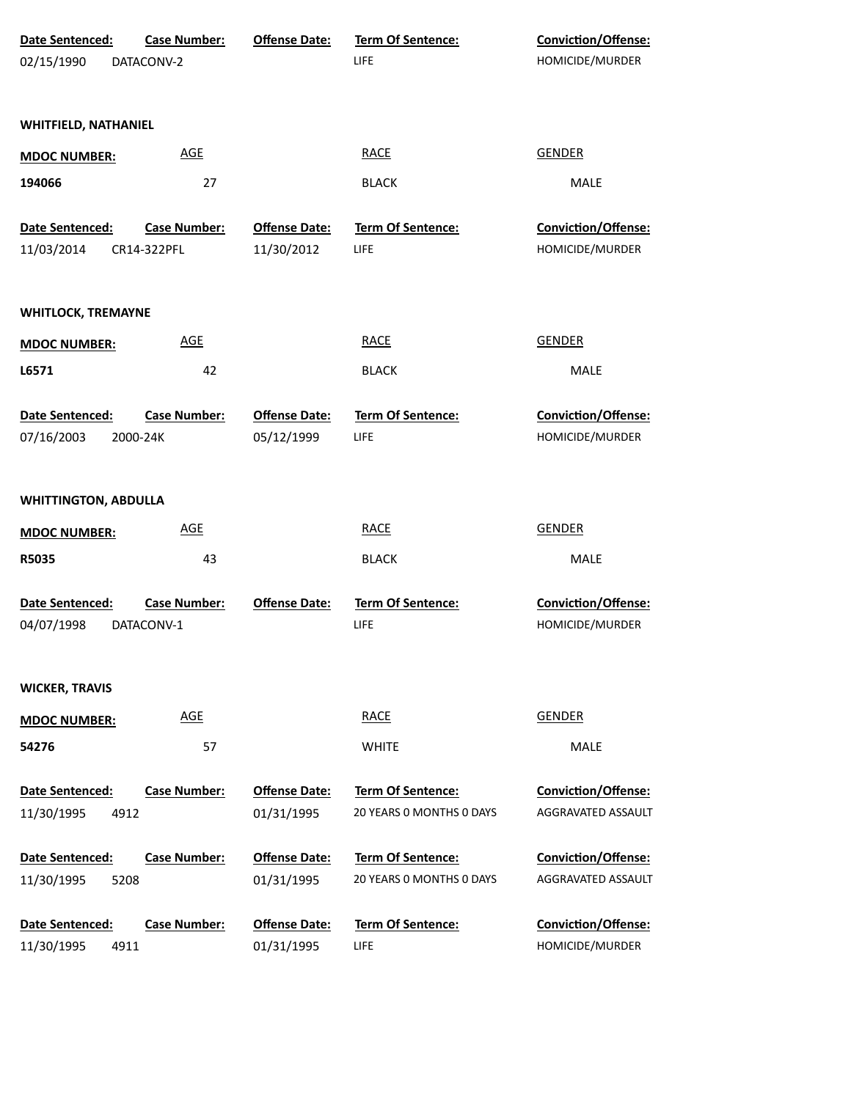| Date Sentenced:                       | <b>Case Number:</b> | <b>Offense Date:</b>               | Term Of Sentence:                       | Conviction/Offense:                           |
|---------------------------------------|---------------------|------------------------------------|-----------------------------------------|-----------------------------------------------|
| 02/15/1990                            | DATACONV-2          |                                    | <b>LIFE</b>                             | HOMICIDE/MURDER                               |
|                                       |                     |                                    |                                         |                                               |
| <b>WHITFIELD, NATHANIEL</b>           |                     |                                    |                                         |                                               |
|                                       |                     |                                    |                                         |                                               |
| <b>MDOC NUMBER:</b>                   | <b>AGE</b>          |                                    | <b>RACE</b>                             | <b>GENDER</b>                                 |
| 194066                                | 27                  |                                    | <b>BLACK</b>                            | MALE                                          |
|                                       |                     |                                    |                                         |                                               |
| <b>Date Sentenced:</b>                | <b>Case Number:</b> | <b>Offense Date:</b>               | Term Of Sentence:<br><b>LIFE</b>        | Conviction/Offense:<br>HOMICIDE/MURDER        |
| 11/03/2014                            | CR14-322PFL         | 11/30/2012                         |                                         |                                               |
|                                       |                     |                                    |                                         |                                               |
| <b>WHITLOCK, TREMAYNE</b>             |                     |                                    |                                         |                                               |
| <b>MDOC NUMBER:</b>                   | <b>AGE</b>          |                                    | <b>RACE</b>                             | <b>GENDER</b>                                 |
| L6571                                 | 42                  |                                    | <b>BLACK</b>                            | MALE                                          |
|                                       |                     |                                    |                                         |                                               |
| Date Sentenced:                       | <b>Case Number:</b> | <b>Offense Date:</b>               | Term Of Sentence:                       | Conviction/Offense:                           |
| 07/16/2003                            | 2000-24K            | 05/12/1999                         | LIFE                                    | HOMICIDE/MURDER                               |
|                                       |                     |                                    |                                         |                                               |
|                                       |                     |                                    |                                         |                                               |
| <b>WHITTINGTON, ABDULLA</b>           |                     |                                    |                                         |                                               |
| <b>MDOC NUMBER:</b>                   | <b>AGE</b>          |                                    | <b>RACE</b>                             | <b>GENDER</b>                                 |
| R5035                                 | 43                  |                                    | <b>BLACK</b>                            | MALE                                          |
|                                       |                     |                                    |                                         |                                               |
| Date Sentenced:                       | <b>Case Number:</b> | <b>Offense Date:</b>               | Term Of Sentence:                       | Conviction/Offense:                           |
| 04/07/1998                            | DATACONV-1          |                                    | LIFE                                    | HOMICIDE/MURDER                               |
|                                       |                     |                                    |                                         |                                               |
| <b>WICKER, TRAVIS</b>                 |                     |                                    |                                         |                                               |
| <b>MDOC NUMBER:</b>                   | <b>AGE</b>          |                                    | <b>RACE</b>                             | <b>GENDER</b>                                 |
| 54276                                 | 57                  |                                    | <b>WHITE</b>                            | MALE                                          |
|                                       |                     |                                    |                                         |                                               |
| <b>Date Sentenced:</b>                | <b>Case Number:</b> | <b>Offense Date:</b>               | <b>Term Of Sentence:</b>                | <b>Conviction/Offense:</b>                    |
| 4912<br>11/30/1995                    |                     | 01/31/1995                         | 20 YEARS O MONTHS O DAYS                | AGGRAVATED ASSAULT                            |
|                                       |                     |                                    |                                         |                                               |
| Date Sentenced:                       | <b>Case Number:</b> | <b>Offense Date:</b>               | <b>Term Of Sentence:</b>                | <b>Conviction/Offense:</b>                    |
| 5208<br>11/30/1995                    |                     | 01/31/1995                         | 20 YEARS 0 MONTHS 0 DAYS                | AGGRAVATED ASSAULT                            |
|                                       |                     |                                    |                                         |                                               |
| Date Sentenced:<br>4911<br>11/30/1995 | <b>Case Number:</b> | <b>Offense Date:</b><br>01/31/1995 | <b>Term Of Sentence:</b><br><b>LIFE</b> | <b>Conviction/Offense:</b><br>HOMICIDE/MURDER |
|                                       |                     |                                    |                                         |                                               |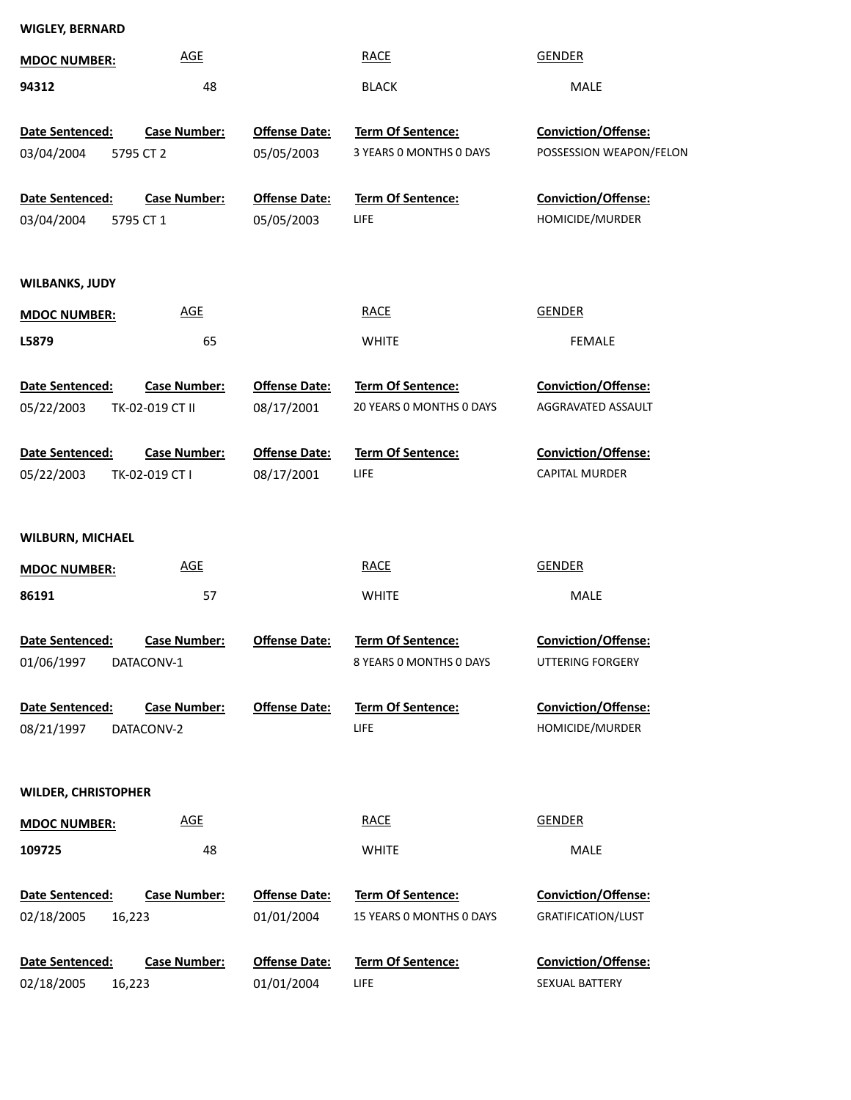| <b>WIGLEY, BERNARD</b>     |                     |                      |                          |                            |
|----------------------------|---------------------|----------------------|--------------------------|----------------------------|
| <b>MDOC NUMBER:</b>        | <b>AGE</b>          |                      | <b>RACE</b>              | <b>GENDER</b>              |
| 94312                      | 48                  |                      | <b>BLACK</b>             | MALE                       |
|                            |                     |                      |                          |                            |
| Date Sentenced:            | <b>Case Number:</b> | <b>Offense Date:</b> | Term Of Sentence:        | Conviction/Offense:        |
| 03/04/2004                 | 5795 CT 2           | 05/05/2003           | 3 YEARS O MONTHS O DAYS  | POSSESSION WEAPON/FELON    |
| Date Sentenced:            | <b>Case Number:</b> | <b>Offense Date:</b> | Term Of Sentence:        | Conviction/Offense:        |
| 03/04/2004                 | 5795 CT 1           | 05/05/2003           | LIFE.                    | HOMICIDE/MURDER            |
|                            |                     |                      |                          |                            |
| <b>WILBANKS, JUDY</b>      |                     |                      |                          |                            |
| <b>MDOC NUMBER:</b>        | <b>AGE</b>          |                      | <b>RACE</b>              | <b>GENDER</b>              |
| L5879                      | 65                  |                      | <b>WHITE</b>             | FEMALE                     |
|                            |                     |                      |                          |                            |
| Date Sentenced:            | <b>Case Number:</b> | <b>Offense Date:</b> | Term Of Sentence:        | Conviction/Offense:        |
| 05/22/2003                 | TK-02-019 CT II     | 08/17/2001           | 20 YEARS 0 MONTHS 0 DAYS | AGGRAVATED ASSAULT         |
|                            |                     |                      |                          |                            |
| Date Sentenced:            | <b>Case Number:</b> | <b>Offense Date:</b> | Term Of Sentence:        | Conviction/Offense:        |
| 05/22/2003                 | TK-02-019 CT I      | 08/17/2001           | <b>LIFE</b>              | <b>CAPITAL MURDER</b>      |
|                            |                     |                      |                          |                            |
| <b>WILBURN, MICHAEL</b>    |                     |                      |                          |                            |
| <b>MDOC NUMBER:</b>        | <b>AGE</b>          |                      | <b>RACE</b>              | <b>GENDER</b>              |
| 86191                      | 57                  |                      | <b>WHITE</b>             | MALE                       |
|                            |                     |                      |                          |                            |
| Date Sentenced:            | <b>Case Number:</b> | <b>Offense Date:</b> | Term Of Sentence:        | Conviction/Offense:        |
| 01/06/1997                 | DATACONV-1          |                      | 8 YEARS 0 MONTHS 0 DAYS  | UTTERING FORGERY           |
|                            |                     |                      |                          |                            |
| Date Sentenced:            | <b>Case Number:</b> | <b>Offense Date:</b> | <b>Term Of Sentence:</b> | <b>Conviction/Offense:</b> |
| 08/21/1997                 | DATACONV-2          |                      | <b>LIFE</b>              | HOMICIDE/MURDER            |
|                            |                     |                      |                          |                            |
| <b>WILDER, CHRISTOPHER</b> |                     |                      |                          |                            |
| <b>MDOC NUMBER:</b>        | <b>AGE</b>          |                      | <b>RACE</b>              | <b>GENDER</b>              |
|                            |                     |                      |                          |                            |
| 109725                     | 48                  |                      | <b>WHITE</b>             | MALE                       |
| Date Sentenced:            | <b>Case Number:</b> | <b>Offense Date:</b> | Term Of Sentence:        | Conviction/Offense:        |
| 02/18/2005<br>16,223       |                     | 01/01/2004           | 15 YEARS 0 MONTHS 0 DAYS | <b>GRATIFICATION/LUST</b>  |
|                            |                     |                      |                          |                            |
| Date Sentenced:            | <b>Case Number:</b> | <b>Offense Date:</b> | Term Of Sentence:        | Conviction/Offense:        |
| 02/18/2005<br>16,223       |                     | 01/01/2004           | LIFE                     | SEXUAL BATTERY             |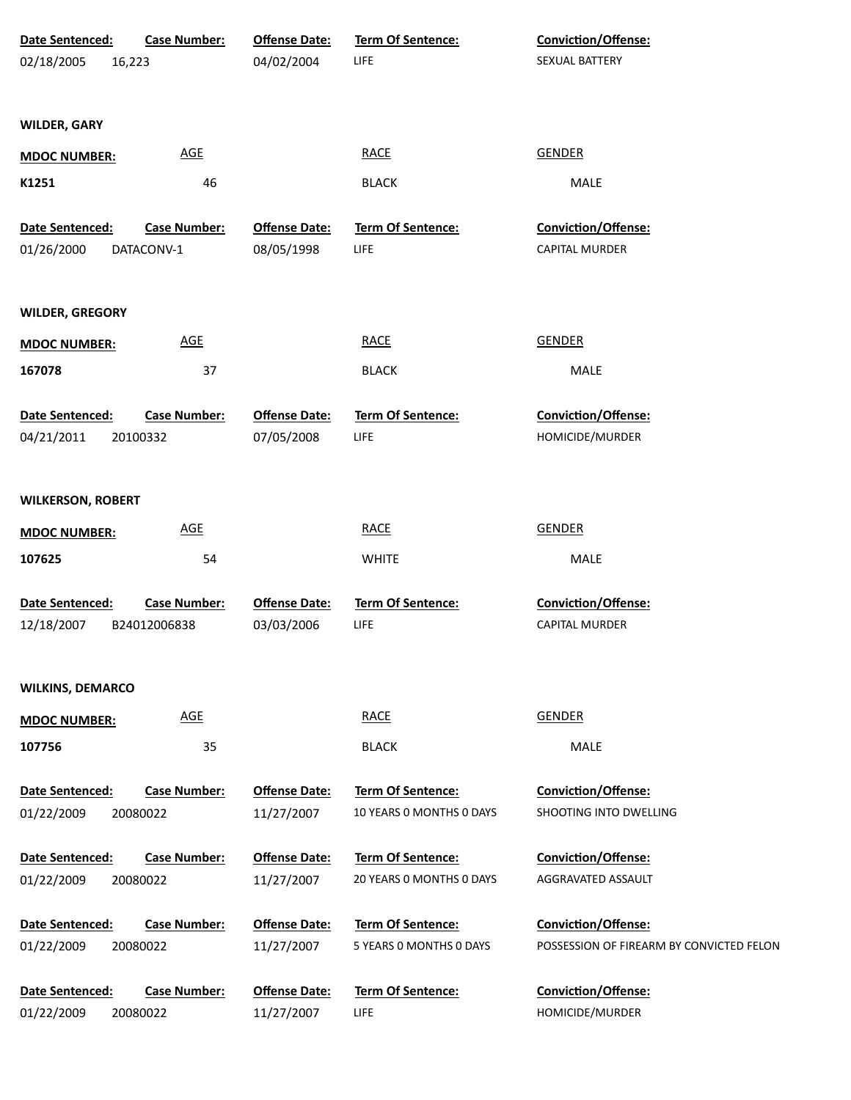| <b>Date Sentenced:</b><br><b>Case Number:</b><br>02/18/2005<br>16,223 | <b>Offense Date:</b><br>04/02/2004 | <b>Term Of Sentence:</b><br><b>LIFE</b> | Conviction/Offense:<br>SEXUAL BATTERY    |
|-----------------------------------------------------------------------|------------------------------------|-----------------------------------------|------------------------------------------|
| <b>WILDER, GARY</b>                                                   |                                    |                                         |                                          |
| <b>AGE</b><br><b>MDOC NUMBER:</b>                                     |                                    | <b>RACE</b>                             | <b>GENDER</b>                            |
| 46<br>K1251                                                           |                                    | <b>BLACK</b>                            | MALE                                     |
| Date Sentenced:<br><b>Case Number:</b>                                | <b>Offense Date:</b>               | <b>Term Of Sentence:</b>                | Conviction/Offense:                      |
| 01/26/2000<br>DATACONV-1                                              | 08/05/1998                         | LIFE                                    | CAPITAL MURDER                           |
| <b>WILDER, GREGORY</b>                                                |                                    |                                         |                                          |
| <b>AGE</b><br><b>MDOC NUMBER:</b>                                     |                                    | <b>RACE</b>                             | <b>GENDER</b>                            |
| 167078<br>37                                                          |                                    | <b>BLACK</b>                            | MALE                                     |
| <b>Case Number:</b><br>Date Sentenced:                                | <b>Offense Date:</b>               | Term Of Sentence:                       | Conviction/Offense:                      |
| 04/21/2011<br>20100332                                                | 07/05/2008                         | LIFE                                    | HOMICIDE/MURDER                          |
| <b>WILKERSON, ROBERT</b>                                              |                                    |                                         |                                          |
| <b>AGE</b><br><b>MDOC NUMBER:</b>                                     |                                    | <b>RACE</b>                             | <b>GENDER</b>                            |
| 107625                                                                | 54                                 | <b>WHITE</b>                            | MALE                                     |
| Date Sentenced:<br><b>Case Number:</b>                                | <b>Offense Date:</b>               | <b>Term Of Sentence:</b>                | Conviction/Offense:                      |
| 12/18/2007<br>B24012006838                                            | 03/03/2006                         | LIFE                                    | <b>CAPITAL MURDER</b>                    |
| <b>WILKINS, DEMARCO</b>                                               |                                    |                                         |                                          |
| <b>AGE</b><br><b>MDOC NUMBER:</b>                                     |                                    | <b>RACE</b>                             | <b>GENDER</b>                            |
| 35<br>107756                                                          |                                    | <b>BLACK</b>                            | MALE                                     |
| Date Sentenced:<br><b>Case Number:</b>                                | <b>Offense Date:</b>               | Term Of Sentence:                       | Conviction/Offense:                      |
| 01/22/2009<br>20080022                                                | 11/27/2007                         | 10 YEARS 0 MONTHS 0 DAYS                | SHOOTING INTO DWELLING                   |
| Date Sentenced:<br><b>Case Number:</b>                                | <b>Offense Date:</b>               | Term Of Sentence:                       | <b>Conviction/Offense:</b>               |
| 01/22/2009<br>20080022                                                | 11/27/2007                         | 20 YEARS 0 MONTHS 0 DAYS                | AGGRAVATED ASSAULT                       |
| Date Sentenced:<br><b>Case Number:</b>                                | <b>Offense Date:</b>               | Term Of Sentence:                       | <b>Conviction/Offense:</b>               |
| 01/22/2009<br>20080022                                                | 11/27/2007                         | 5 YEARS 0 MONTHS 0 DAYS                 | POSSESSION OF FIREARM BY CONVICTED FELON |
| Date Sentenced:<br><b>Case Number:</b>                                | <b>Offense Date:</b>               | Term Of Sentence:                       | Conviction/Offense:                      |
| 01/22/2009<br>20080022                                                | 11/27/2007                         | <b>LIFE</b>                             | HOMICIDE/MURDER                          |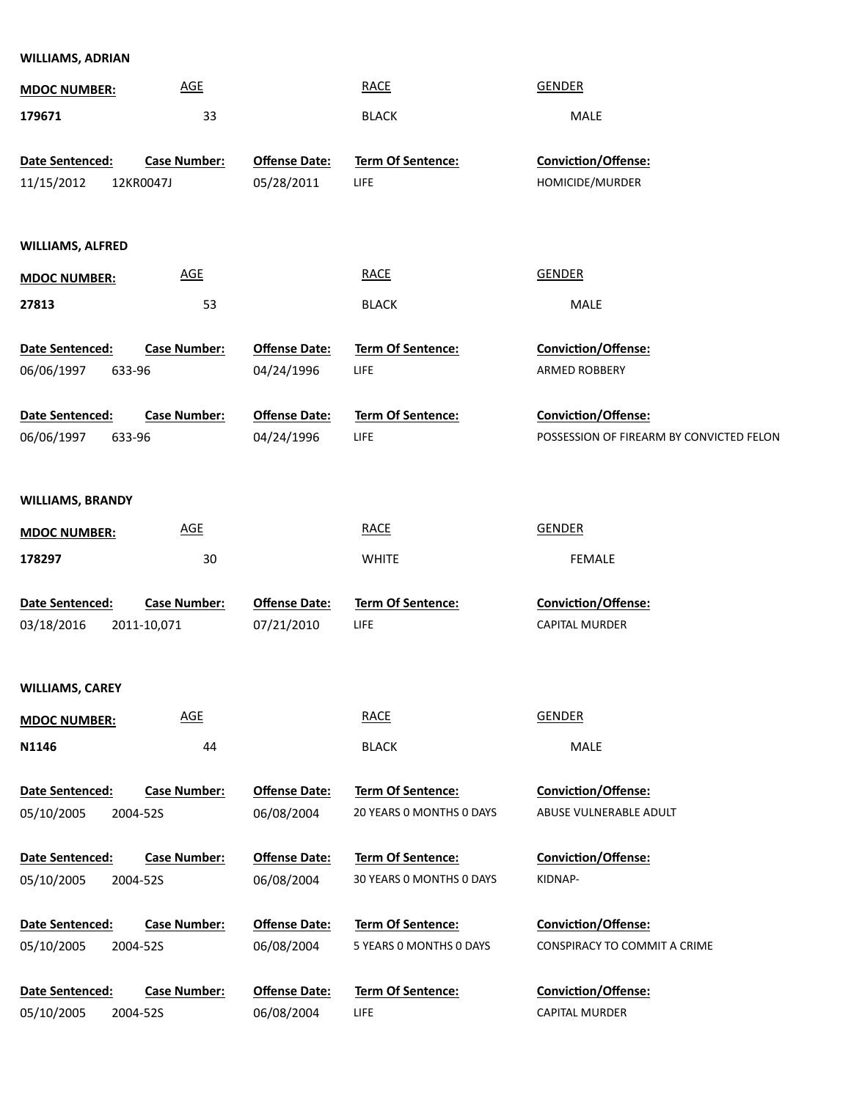| <b>WILLIAMS, ADRIAN</b> |                     |                      |                          |                                          |
|-------------------------|---------------------|----------------------|--------------------------|------------------------------------------|
| <b>MDOC NUMBER:</b>     | AGE                 |                      | <b>RACE</b>              | <b>GENDER</b>                            |
| 179671                  | 33                  |                      | <b>BLACK</b>             | MALE                                     |
|                         |                     |                      |                          |                                          |
| Date Sentenced:         | <b>Case Number:</b> | <b>Offense Date:</b> | Term Of Sentence:        | Conviction/Offense:                      |
| 11/15/2012              | 12KR0047J           | 05/28/2011           | LIFE                     | HOMICIDE/MURDER                          |
|                         |                     |                      |                          |                                          |
| <b>WILLIAMS, ALFRED</b> |                     |                      |                          |                                          |
| <b>MDOC NUMBER:</b>     | <b>AGE</b>          |                      | <b>RACE</b>              | <b>GENDER</b>                            |
| 27813                   | 53                  |                      | <b>BLACK</b>             | MALE                                     |
|                         |                     |                      |                          |                                          |
| Date Sentenced:         | <b>Case Number:</b> | <b>Offense Date:</b> | <b>Term Of Sentence:</b> | <b>Conviction/Offense:</b>               |
| 06/06/1997              | 633-96              | 04/24/1996           | LIFE                     | ARMED ROBBERY                            |
| Date Sentenced:         | <b>Case Number:</b> | <b>Offense Date:</b> | <b>Term Of Sentence:</b> | <b>Conviction/Offense:</b>               |
| 06/06/1997              | 633-96              | 04/24/1996           | LIFE                     | POSSESSION OF FIREARM BY CONVICTED FELON |
|                         |                     |                      |                          |                                          |
| <b>WILLIAMS, BRANDY</b> |                     |                      |                          |                                          |
|                         | AGE                 |                      | <b>RACE</b>              | <b>GENDER</b>                            |
| <b>MDOC NUMBER:</b>     |                     |                      |                          |                                          |
| 178297                  | 30                  |                      | <b>WHITE</b>             | FEMALE                                   |
| Date Sentenced:         | <b>Case Number:</b> | <b>Offense Date:</b> | Term Of Sentence:        | Conviction/Offense:                      |
| 03/18/2016              | 2011-10,071         | 07/21/2010           | <b>LIFE</b>              | CAPITAL MURDER                           |
|                         |                     |                      |                          |                                          |
| <b>WILLIAMS, CAREY</b>  |                     |                      |                          |                                          |
| <b>MDOC NUMBER:</b>     | <b>AGE</b>          |                      | <b>RACE</b>              | <b>GENDER</b>                            |
| N1146                   | 44                  |                      | <b>BLACK</b>             | MALE                                     |
|                         |                     |                      |                          |                                          |
| Date Sentenced:         | <b>Case Number:</b> | <b>Offense Date:</b> | Term Of Sentence:        | Conviction/Offense:                      |
| 05/10/2005              | 2004-52S            | 06/08/2004           | 20 YEARS 0 MONTHS 0 DAYS | ABUSE VULNERABLE ADULT                   |
| Date Sentenced:         | <b>Case Number:</b> | <b>Offense Date:</b> | Term Of Sentence:        | <b>Conviction/Offense:</b>               |
| 05/10/2005              | 2004-52S            | 06/08/2004           | 30 YEARS O MONTHS O DAYS | KIDNAP-                                  |
|                         |                     |                      |                          |                                          |
| Date Sentenced:         | <b>Case Number:</b> | <b>Offense Date:</b> | Term Of Sentence:        | <b>Conviction/Offense:</b>               |
| 05/10/2005              | 2004-52S            | 06/08/2004           | 5 YEARS 0 MONTHS 0 DAYS  | CONSPIRACY TO COMMIT A CRIME             |
| Date Sentenced:         | <b>Case Number:</b> | <b>Offense Date:</b> | Term Of Sentence:        | Conviction/Offense:                      |
| 05/10/2005              | 2004-52S            | 06/08/2004           | <b>LIFE</b>              | <b>CAPITAL MURDER</b>                    |
|                         |                     |                      |                          |                                          |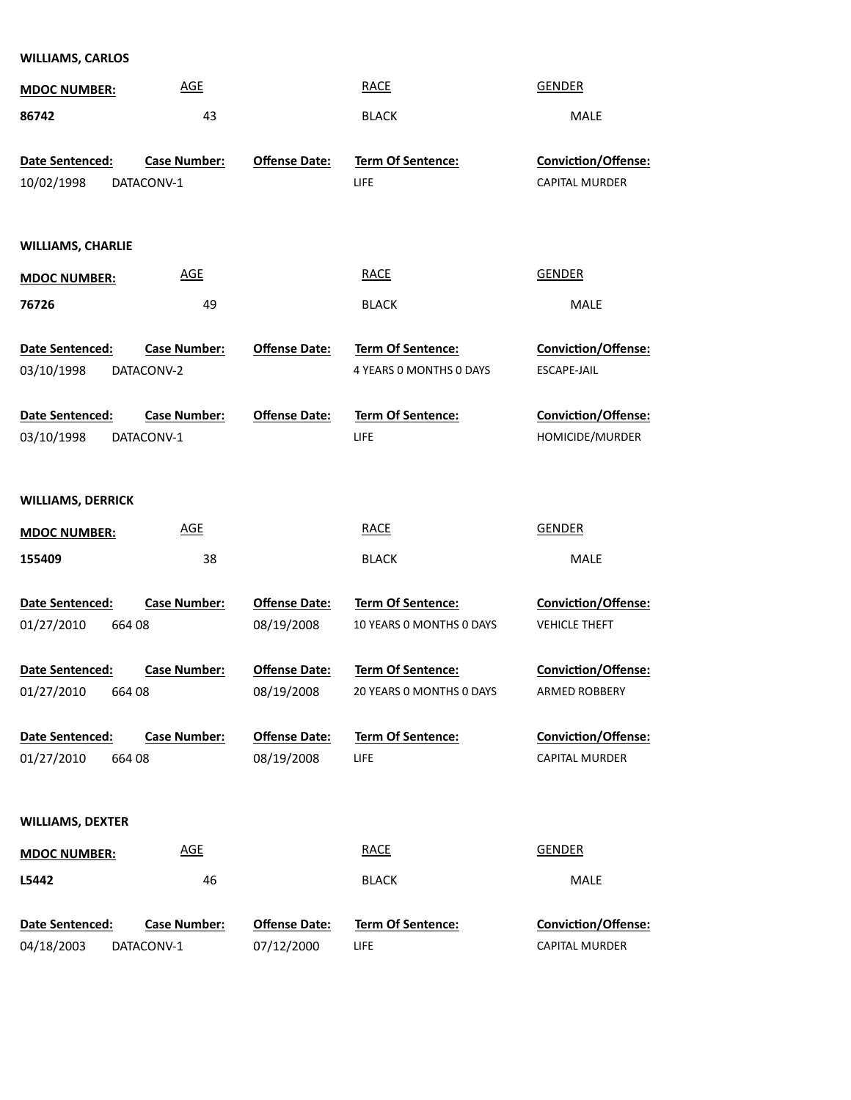| <b>WILLIAMS, CARLOS</b>                |                                   |                                    |                                                      |                                                    |
|----------------------------------------|-----------------------------------|------------------------------------|------------------------------------------------------|----------------------------------------------------|
| <b>MDOC NUMBER:</b>                    | <b>AGE</b>                        |                                    | <b>RACE</b>                                          | <b>GENDER</b>                                      |
| 86742                                  | 43                                |                                    | <b>BLACK</b>                                         | MALE                                               |
| Date Sentenced:<br>10/02/1998          | <b>Case Number:</b><br>DATACONV-1 | <b>Offense Date:</b>               | <b>Term Of Sentence:</b><br><b>LIFE</b>              | <b>Conviction/Offense:</b><br>CAPITAL MURDER       |
| <b>WILLIAMS, CHARLIE</b>               |                                   |                                    |                                                      |                                                    |
| <b>MDOC NUMBER:</b>                    | <b>AGE</b>                        |                                    | <b>RACE</b>                                          | <b>GENDER</b>                                      |
| 76726                                  | 49                                |                                    | <b>BLACK</b>                                         | MALE                                               |
| Date Sentenced:<br>03/10/1998          | <b>Case Number:</b><br>DATACONV-2 | <b>Offense Date:</b>               | Term Of Sentence:<br>4 YEARS O MONTHS O DAYS         | <b>Conviction/Offense:</b><br>ESCAPE-JAIL          |
| Date Sentenced:<br>03/10/1998          | <b>Case Number:</b><br>DATACONV-1 | <b>Offense Date:</b>               | <b>Term Of Sentence:</b><br><b>LIFE</b>              | Conviction/Offense:<br>HOMICIDE/MURDER             |
| <b>WILLIAMS, DERRICK</b>               |                                   |                                    |                                                      |                                                    |
| <b>MDOC NUMBER:</b>                    | <b>AGE</b>                        |                                    | <b>RACE</b>                                          | <b>GENDER</b>                                      |
| 155409                                 | 38                                |                                    | <b>BLACK</b>                                         | MALE                                               |
| Date Sentenced:<br>01/27/2010<br>66408 | <b>Case Number:</b>               | <b>Offense Date:</b><br>08/19/2008 | <b>Term Of Sentence:</b><br>10 YEARS 0 MONTHS 0 DAYS | <b>Conviction/Offense:</b><br><b>VEHICLE THEFT</b> |
| Date Sentenced:<br>01/27/2010<br>66408 | <u>Case Number:</u>               | <b>Offense Date:</b><br>08/19/2008 | Term Of Sentence:<br>20 YEARS 0 MONTHS 0 DAYS        | <b>Conviction/Offense:</b><br><b>ARMED ROBBERY</b> |
| Date Sentenced:<br>01/27/2010<br>66408 | <b>Case Number:</b>               | <b>Offense Date:</b><br>08/19/2008 | <b>Term Of Sentence:</b><br><b>LIFE</b>              | Conviction/Offense:<br>CAPITAL MURDER              |
| <b>WILLIAMS, DEXTER</b>                |                                   |                                    |                                                      |                                                    |
| <b>MDOC NUMBER:</b>                    | <b>AGE</b>                        |                                    | <b>RACE</b>                                          | <b>GENDER</b>                                      |
|                                        |                                   |                                    |                                                      |                                                    |

**Date Sentenced:** LIFE **Term Of Sentence:** 07/12/2000 **Ofense Date:** DATACONV-1 **Case Number:** 04/18/2003

CAPITAL MURDER **Conviction/Offense:**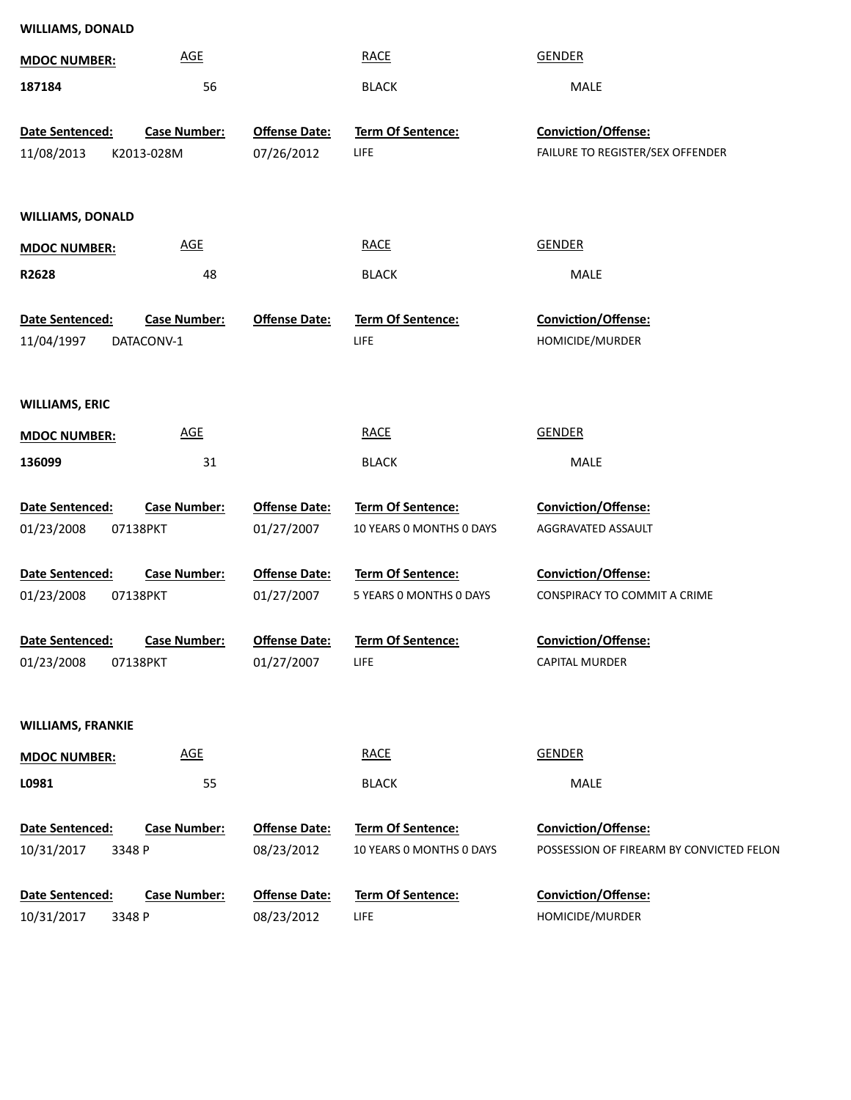| <b>WILLIAMS, DONALD</b>  |                            |                      |                                  |                                          |
|--------------------------|----------------------------|----------------------|----------------------------------|------------------------------------------|
| <b>MDOC NUMBER:</b>      | <b>AGE</b>                 |                      | <b>RACE</b>                      | <b>GENDER</b>                            |
| 187184                   | 56                         |                      | <b>BLACK</b>                     | MALE                                     |
| Date Sentenced:          | <b>Case Number:</b>        | <b>Offense Date:</b> | Term Of Sentence:                | Conviction/Offense:                      |
| 11/08/2013               | K2013-028M                 | 07/26/2012           | LIFE                             | FAILURE TO REGISTER/SEX OFFENDER         |
|                          |                            |                      |                                  |                                          |
| <b>WILLIAMS, DONALD</b>  |                            |                      |                                  |                                          |
|                          | $\underline{\mathsf{AGE}}$ |                      | <b>RACE</b>                      | <b>GENDER</b>                            |
| <b>MDOC NUMBER:</b>      |                            |                      |                                  |                                          |
| R2628                    | 48                         |                      | <b>BLACK</b>                     | MALE                                     |
| Date Sentenced:          | <b>Case Number:</b>        | <b>Offense Date:</b> | Term Of Sentence:                | Conviction/Offense:                      |
| 11/04/1997               | DATACONV-1                 |                      | <b>LIFE</b>                      | HOMICIDE/MURDER                          |
|                          |                            |                      |                                  |                                          |
| <b>WILLIAMS, ERIC</b>    |                            |                      |                                  |                                          |
| <b>MDOC NUMBER:</b>      | <b>AGE</b>                 |                      | <b>RACE</b>                      | <b>GENDER</b>                            |
| 136099                   | 31                         |                      | <b>BLACK</b>                     | MALE                                     |
|                          |                            |                      |                                  |                                          |
| Date Sentenced:          | <b>Case Number:</b>        | <b>Offense Date:</b> | <b>Term Of Sentence:</b>         | <b>Conviction/Offense:</b>               |
| 01/23/2008               | 07138PKT                   | 01/27/2007           | 10 YEARS O MONTHS O DAYS         | AGGRAVATED ASSAULT                       |
| Date Sentenced:          | <b>Case Number:</b>        | <b>Offense Date:</b> | <b>Term Of Sentence:</b>         | <b>Conviction/Offense:</b>               |
| 01/23/2008               | 07138PKT                   | 01/27/2007           | 5 YEARS 0 MONTHS 0 DAYS          | CONSPIRACY TO COMMIT A CRIME             |
| Date Sentenced:          | Case Number:               | <b>Offense Date:</b> | Term Of Sentence:                | Conviction/Offense:                      |
| 01/23/2008               | 07138PKT                   | 01/27/2007           | <b>LIFE</b>                      | <b>CAPITAL MURDER</b>                    |
|                          |                            |                      |                                  |                                          |
| <b>WILLIAMS, FRANKIE</b> |                            |                      |                                  |                                          |
|                          |                            |                      |                                  |                                          |
| <b>MDOC NUMBER:</b>      | $\underline{\mathsf{AGE}}$ |                      | <b>RACE</b>                      | <b>GENDER</b>                            |
| L0981                    | 55                         |                      | <b>BLACK</b>                     | MALE                                     |
| Date Sentenced:          | <b>Case Number:</b>        | <b>Offense Date:</b> | Term Of Sentence:                | Conviction/Offense:                      |
| 10/31/2017<br>3348 P     |                            | 08/23/2012           | 10 YEARS 0 MONTHS 0 DAYS         | POSSESSION OF FIREARM BY CONVICTED FELON |
|                          |                            |                      |                                  |                                          |
| Date Sentenced:          | Case Number:               | <b>Offense Date:</b> | Term Of Sentence:<br><b>LIFE</b> | Conviction/Offense:<br>HOMICIDE/MURDER   |
| 10/31/2017<br>3348 P     |                            | 08/23/2012           |                                  |                                          |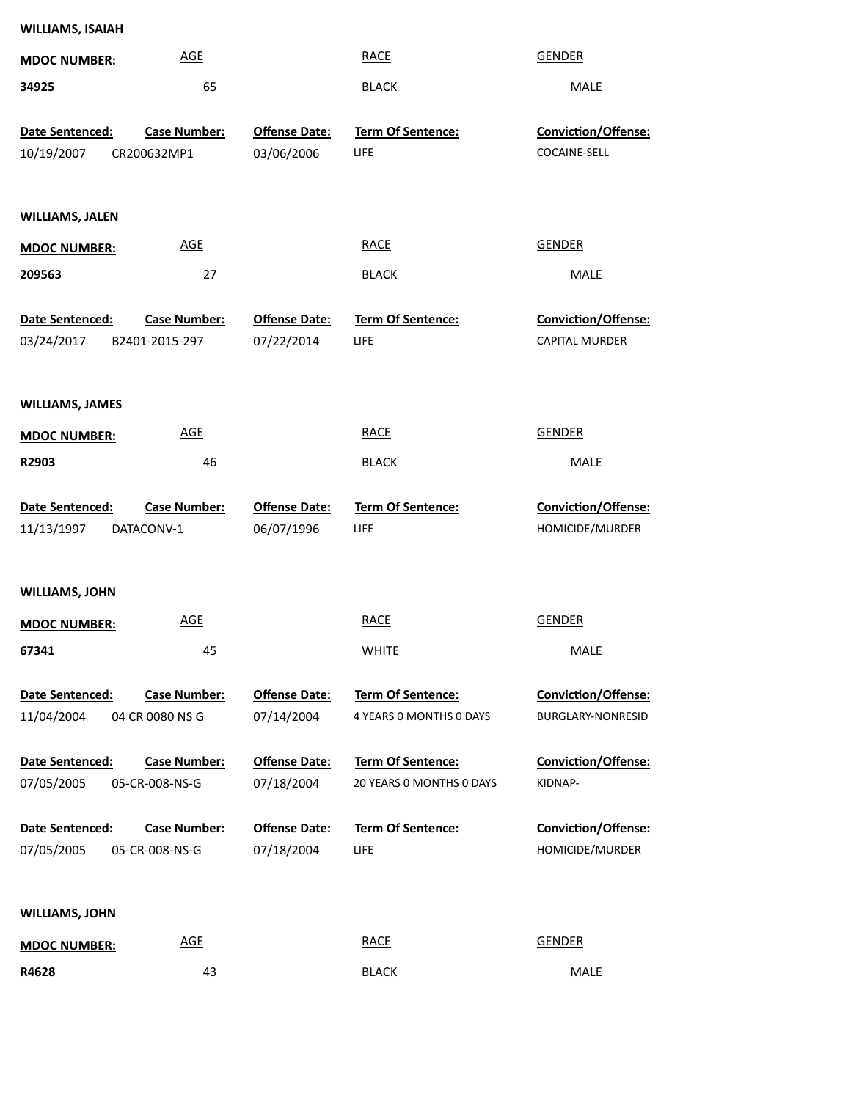| <b>WILLIAMS, ISAIAH</b>       |                                        |                                    |                                               |                                          |
|-------------------------------|----------------------------------------|------------------------------------|-----------------------------------------------|------------------------------------------|
| <b>MDOC NUMBER:</b>           | <b>AGE</b>                             |                                    | <b>RACE</b>                                   | <b>GENDER</b>                            |
| 34925                         | 65                                     |                                    | <b>BLACK</b>                                  | MALE                                     |
| Date Sentenced:<br>10/19/2007 | <b>Case Number:</b><br>CR200632MP1     | <b>Offense Date:</b><br>03/06/2006 | Term Of Sentence:<br>LIFE                     | Conviction/Offense:<br>COCAINE-SELL      |
| <b>WILLIAMS, JALEN</b>        |                                        |                                    |                                               |                                          |
| <b>MDOC NUMBER:</b>           | <b>AGE</b>                             |                                    | <b>RACE</b>                                   | <b>GENDER</b>                            |
| 209563                        | 27                                     |                                    | <b>BLACK</b>                                  | MALE                                     |
| Date Sentenced:<br>03/24/2017 | <b>Case Number:</b><br>B2401-2015-297  | <b>Offense Date:</b><br>07/22/2014 | Term Of Sentence:<br>LIFE                     | Conviction/Offense:<br>CAPITAL MURDER    |
| <b>WILLIAMS, JAMES</b>        |                                        |                                    |                                               |                                          |
| <b>MDOC NUMBER:</b>           | <b>AGE</b>                             |                                    | <b>RACE</b>                                   | <b>GENDER</b>                            |
| R2903                         | 46                                     |                                    | <b>BLACK</b>                                  | MALE                                     |
| Date Sentenced:<br>11/13/1997 | <b>Case Number:</b><br>DATACONV-1      | <b>Offense Date:</b><br>06/07/1996 | Term Of Sentence:<br>LIFE                     | Conviction/Offense:<br>HOMICIDE/MURDER   |
| <b>WILLIAMS, JOHN</b>         |                                        |                                    |                                               |                                          |
| <b>MDOC NUMBER:</b>           | <b>AGE</b>                             |                                    | <b>RACE</b>                                   | <b>GENDER</b>                            |
| 67341                         | 45                                     |                                    | <b>WHITE</b>                                  | MALE                                     |
| Date Sentenced:<br>11/04/2004 | <b>Case Number:</b><br>04 CR 0080 NS G | <b>Offense Date:</b><br>07/14/2004 | Term Of Sentence:<br>4 YEARS O MONTHS O DAYS  | Conviction/Offense:<br>BURGLARY-NONRESID |
| Date Sentenced:<br>07/05/2005 | <b>Case Number:</b><br>05-CR-008-NS-G  | <b>Offense Date:</b><br>07/18/2004 | Term Of Sentence:<br>20 YEARS 0 MONTHS 0 DAYS | <b>Conviction/Offense:</b><br>KIDNAP-    |
| Date Sentenced:<br>07/05/2005 | <b>Case Number:</b><br>05-CR-008-NS-G  | <b>Offense Date:</b><br>07/18/2004 | Term Of Sentence:<br><b>LIFE</b>              | Conviction/Offense:<br>HOMICIDE/MURDER   |
| <b>WILLIAMS, JOHN</b>         |                                        |                                    |                                               |                                          |
| <b>MDOC NUMBER:</b>           | AGE                                    |                                    | <b>RACE</b>                                   | <b>GENDER</b>                            |
| R4628                         | 43                                     |                                    | <b>BLACK</b>                                  | MALE                                     |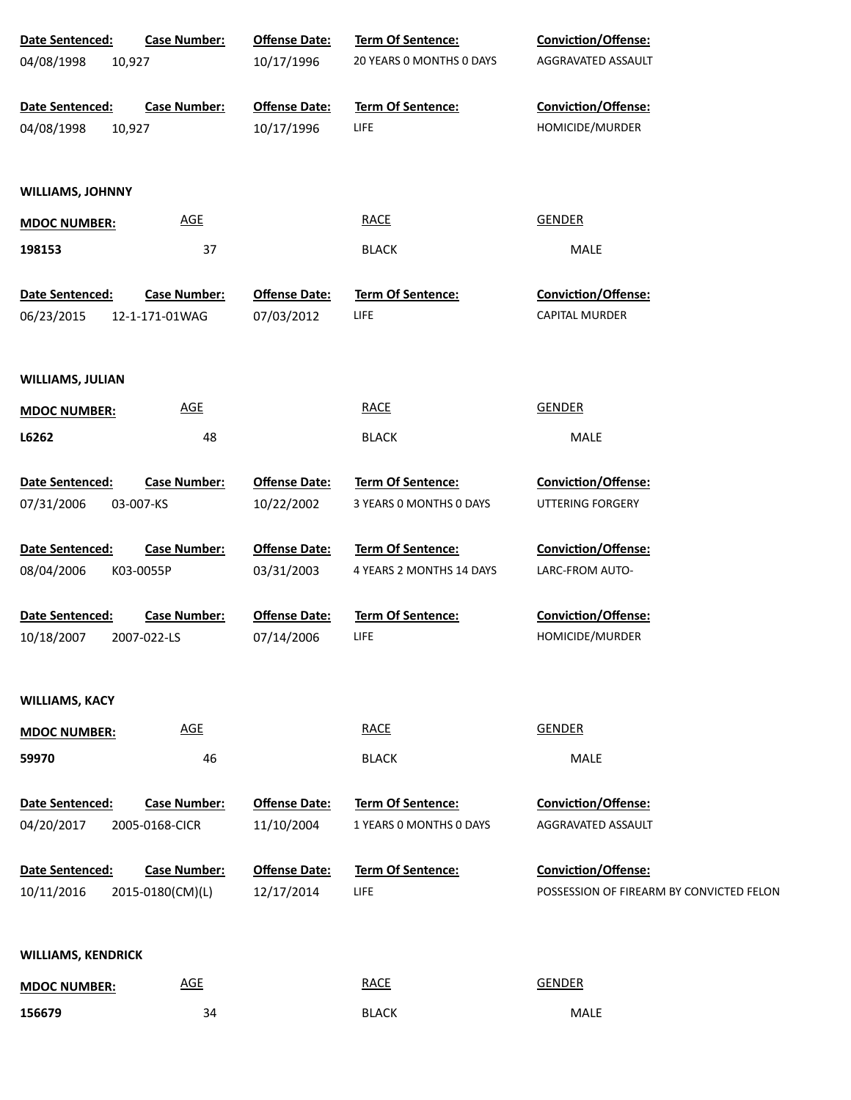| Date Sentenced:               | <b>Case Number:</b>                   | <b>Offense Date:</b>               | Term Of Sentence:         | <b>Conviction/Offense:</b>                   |
|-------------------------------|---------------------------------------|------------------------------------|---------------------------|----------------------------------------------|
| 04/08/1998                    | 10,927                                | 10/17/1996                         | 20 YEARS 0 MONTHS 0 DAYS  | AGGRAVATED ASSAULT                           |
|                               |                                       |                                    |                           |                                              |
| Date Sentenced:               | <b>Case Number:</b>                   | <b>Offense Date:</b>               | Term Of Sentence:         | Conviction/Offense:                          |
| 04/08/1998                    | 10,927                                | 10/17/1996                         | <b>LIFE</b>               | HOMICIDE/MURDER                              |
|                               |                                       |                                    |                           |                                              |
| <b>WILLIAMS, JOHNNY</b>       |                                       |                                    |                           |                                              |
| <b>MDOC NUMBER:</b>           | <b>AGE</b>                            |                                    | <b>RACE</b>               | <b>GENDER</b>                                |
| 198153                        | 37                                    |                                    | <b>BLACK</b>              | MALE                                         |
|                               |                                       |                                    |                           |                                              |
| Date Sentenced:<br>06/23/2015 | <b>Case Number:</b><br>12-1-171-01WAG | <b>Offense Date:</b><br>07/03/2012 | Term Of Sentence:<br>LIFE | Conviction/Offense:<br><b>CAPITAL MURDER</b> |
|                               |                                       |                                    |                           |                                              |
|                               |                                       |                                    |                           |                                              |
| <b>WILLIAMS, JULIAN</b>       |                                       |                                    |                           |                                              |
| <b>MDOC NUMBER:</b>           | <b>AGE</b>                            |                                    | <b>RACE</b>               | <b>GENDER</b>                                |
| L6262                         | 48                                    |                                    | <b>BLACK</b>              | MALE                                         |
|                               |                                       |                                    |                           |                                              |
| Date Sentenced:               | <b>Case Number:</b>                   | <b>Offense Date:</b>               | Term Of Sentence:         | Conviction/Offense:                          |
| 07/31/2006                    | 03-007-KS                             | 10/22/2002                         | 3 YEARS 0 MONTHS 0 DAYS   | UTTERING FORGERY                             |
| Date Sentenced:               | <b>Case Number:</b>                   | <b>Offense Date:</b>               | Term Of Sentence:         | Conviction/Offense:                          |
| 08/04/2006                    | K03-0055P                             | 03/31/2003                         | 4 YEARS 2 MONTHS 14 DAYS  | LARC-FROM AUTO-                              |
|                               |                                       |                                    |                           |                                              |
| Date Sentenced:               | <b>Case Number:</b>                   | <b>Offense Date:</b>               | Term Of Sentence:         | Conviction/Offense:                          |
| 10/18/2007                    | 2007-022-LS                           | 07/14/2006                         | LIFE                      | HOMICIDE/MURDER                              |
|                               |                                       |                                    |                           |                                              |
| <b>WILLIAMS, KACY</b>         |                                       |                                    |                           |                                              |
| <b>MDOC NUMBER:</b>           | <b>AGE</b>                            |                                    | <b>RACE</b>               | <b>GENDER</b>                                |
| 59970                         | 46                                    |                                    | <b>BLACK</b>              | MALE                                         |
|                               |                                       |                                    |                           |                                              |
| Date Sentenced:               | <b>Case Number:</b>                   | <b>Offense Date:</b>               | Term Of Sentence:         | Conviction/Offense:                          |
| 04/20/2017                    | 2005-0168-CICR                        | 11/10/2004                         | 1 YEARS O MONTHS O DAYS   | AGGRAVATED ASSAULT                           |
|                               |                                       |                                    |                           |                                              |
| Date Sentenced:               | <b>Case Number:</b>                   | <b>Offense Date:</b>               | <b>Term Of Sentence:</b>  | Conviction/Offense:                          |
| 10/11/2016                    | 2015-0180(CM)(L)                      | 12/17/2014                         | LIFE                      | POSSESSION OF FIREARM BY CONVICTED FELON     |
|                               |                                       |                                    |                           |                                              |
| <b>WILLIAMS, KENDRICK</b>     |                                       |                                    |                           |                                              |
| <b>MDOC NUMBER:</b>           | <b>AGE</b>                            |                                    | <b>RACE</b>               | <b>GENDER</b>                                |
| 156679                        | 34                                    |                                    | <b>BLACK</b>              | MALE                                         |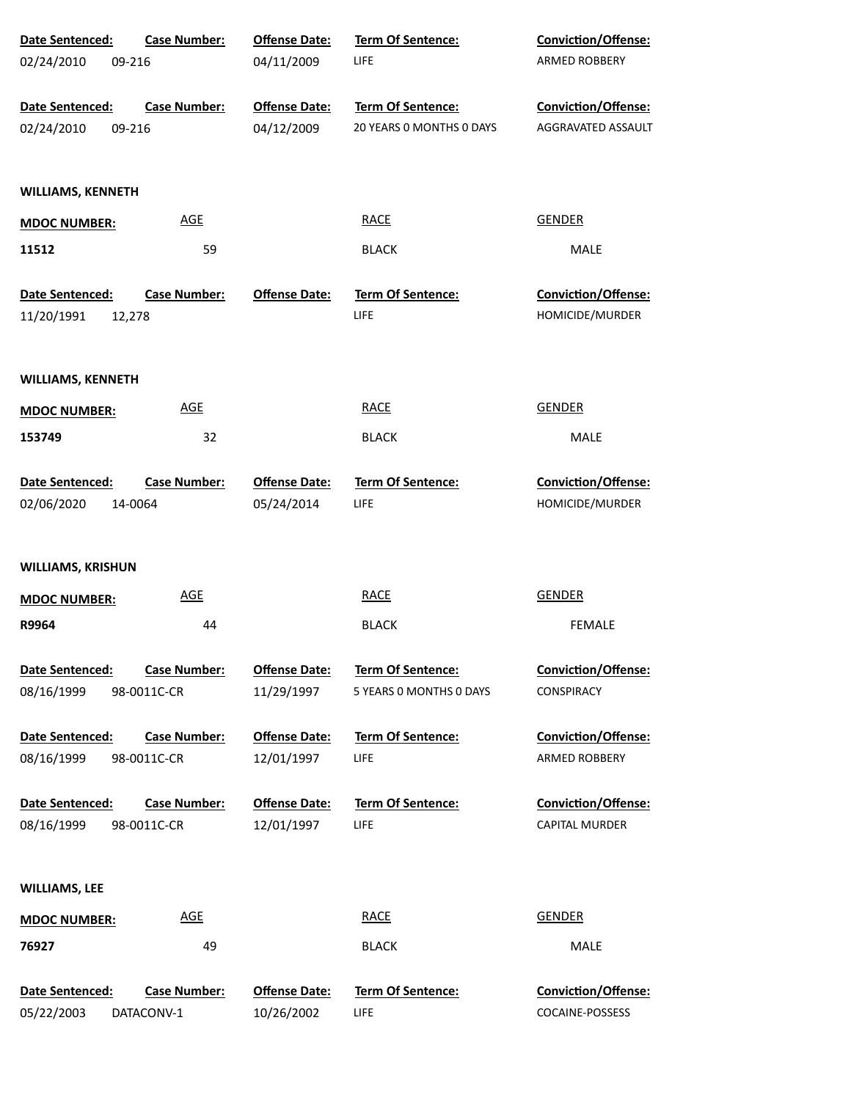| Date Sentenced:                         | <b>Case Number:</b>                | <b>Offense Date:</b>               | Term Of Sentence:                                   | Conviction/Offense:                           |
|-----------------------------------------|------------------------------------|------------------------------------|-----------------------------------------------------|-----------------------------------------------|
| 02/24/2010<br>09-216                    |                                    | 04/11/2009                         | <b>LIFE</b>                                         | ARMED ROBBERY                                 |
| Date Sentenced:                         | <b>Case Number:</b>                | <b>Offense Date:</b>               | Term Of Sentence:                                   | Conviction/Offense:                           |
| 02/24/2010<br>09-216                    |                                    | 04/12/2009                         | 20 YEARS 0 MONTHS 0 DAYS                            | AGGRAVATED ASSAULT                            |
| <b>WILLIAMS, KENNETH</b>                |                                    |                                    |                                                     |                                               |
| <b>MDOC NUMBER:</b>                     | <b>AGE</b>                         |                                    | <b>RACE</b>                                         | <b>GENDER</b>                                 |
| 11512                                   | 59                                 |                                    | <b>BLACK</b>                                        | MALE                                          |
| Date Sentenced:<br>11/20/1991<br>12,278 | <b>Case Number:</b>                | <b>Offense Date:</b>               | Term Of Sentence:<br>LIFE                           | <b>Conviction/Offense:</b><br>HOMICIDE/MURDER |
| <b>WILLIAMS, KENNETH</b>                |                                    |                                    |                                                     |                                               |
| <b>MDOC NUMBER:</b>                     | <b>AGE</b>                         |                                    | <b>RACE</b>                                         | <b>GENDER</b>                                 |
| 153749                                  | 32                                 |                                    | <b>BLACK</b>                                        | MALE                                          |
| Date Sentenced:                         | <b>Case Number:</b>                | <b>Offense Date:</b>               | Term Of Sentence:                                   | Conviction/Offense:                           |
| 02/06/2020<br>14-0064                   |                                    | 05/24/2014                         | LIFE                                                | HOMICIDE/MURDER                               |
| <b>WILLIAMS, KRISHUN</b>                |                                    |                                    |                                                     |                                               |
| <b>MDOC NUMBER:</b>                     | <b>AGE</b>                         |                                    | <b>RACE</b>                                         | <b>GENDER</b>                                 |
| R9964                                   | 44                                 |                                    | <b>BLACK</b>                                        | <b>FEMALE</b>                                 |
| Date Sentenced:<br>08/16/1999           | <b>Case Number:</b><br>98-0011C-CR | <b>Offense Date:</b><br>11/29/1997 | <b>Term Of Sentence:</b><br>5 YEARS 0 MONTHS 0 DAYS | <b>Conviction/Offense:</b><br>CONSPIRACY      |
| Date Sentenced:                         | <b>Case Number:</b>                | <b>Offense Date:</b>               | <b>Term Of Sentence:</b>                            | <b>Conviction/Offense:</b>                    |
| 08/16/1999                              | 98-0011C-CR                        | 12/01/1997                         | LIFE                                                | ARMED ROBBERY                                 |
| Date Sentenced:                         | <b>Case Number:</b>                | <b>Offense Date:</b>               | <b>Term Of Sentence:</b>                            | <b>Conviction/Offense:</b>                    |
| 08/16/1999                              | 98-0011C-CR                        | 12/01/1997                         | LIFE                                                | <b>CAPITAL MURDER</b>                         |
| <b>WILLIAMS, LEE</b>                    |                                    |                                    |                                                     |                                               |
| <b>MDOC NUMBER:</b>                     | <b>AGE</b>                         |                                    | <b>RACE</b>                                         | <b>GENDER</b>                                 |
| 76927                                   | 49                                 |                                    | <b>BLACK</b>                                        | MALE                                          |
| Date Sentenced:                         | <b>Case Number:</b>                | <b>Offense Date:</b>               | Term Of Sentence:                                   | Conviction/Offense:                           |
| 05/22/2003                              | DATACONV-1                         | 10/26/2002                         | LIFE                                                | COCAINE-POSSESS                               |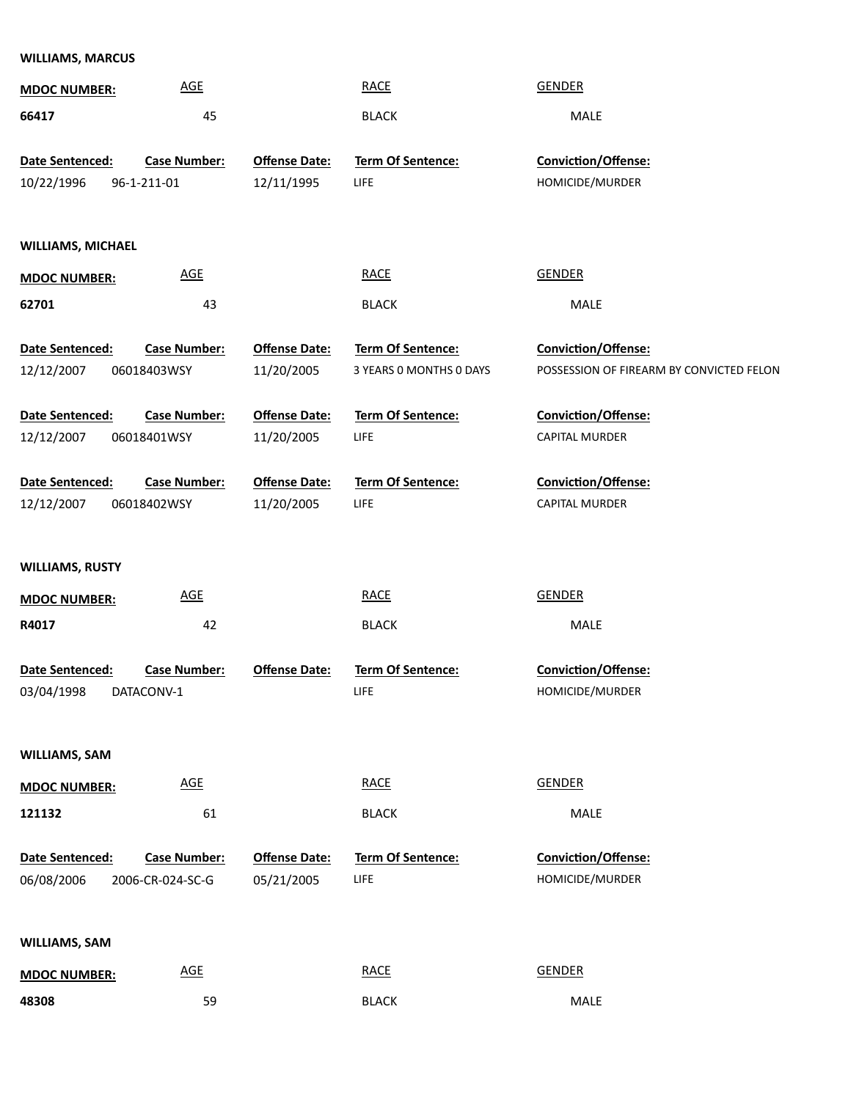| <b>WILLIAMS, MARCUS</b>  |                            |                      |                         |                                          |
|--------------------------|----------------------------|----------------------|-------------------------|------------------------------------------|
| <b>MDOC NUMBER:</b>      | <b>AGE</b>                 |                      | <b>RACE</b>             | <b>GENDER</b>                            |
| 66417                    | 45                         |                      | <b>BLACK</b>            | MALE                                     |
| Date Sentenced:          | <b>Case Number:</b>        | <b>Offense Date:</b> | Term Of Sentence:       | Conviction/Offense:                      |
|                          |                            |                      |                         |                                          |
| 10/22/1996               | 96-1-211-01                | 12/11/1995           | LIFE                    | HOMICIDE/MURDER                          |
|                          |                            |                      |                         |                                          |
| <b>WILLIAMS, MICHAEL</b> |                            |                      |                         |                                          |
| <b>MDOC NUMBER:</b>      | $\underline{\mathsf{AGE}}$ |                      | <b>RACE</b>             | <b>GENDER</b>                            |
| 62701                    | 43                         |                      | <b>BLACK</b>            | MALE                                     |
| Date Sentenced:          | <b>Case Number:</b>        | <b>Offense Date:</b> | Term Of Sentence:       | Conviction/Offense:                      |
| 12/12/2007               | 06018403WSY                | 11/20/2005           | 3 YEARS O MONTHS O DAYS | POSSESSION OF FIREARM BY CONVICTED FELON |
|                          |                            |                      |                         |                                          |
| Date Sentenced:          | <b>Case Number:</b>        | <b>Offense Date:</b> | Term Of Sentence:       | Conviction/Offense:                      |
| 12/12/2007               | 06018401WSY                | 11/20/2005           | LIFE                    | <b>CAPITAL MURDER</b>                    |
| Date Sentenced:          | <b>Case Number:</b>        | <b>Offense Date:</b> | Term Of Sentence:       | Conviction/Offense:                      |
| 12/12/2007               | 06018402WSY                | 11/20/2005           | LIFE                    | <b>CAPITAL MURDER</b>                    |
| <b>WILLIAMS, RUSTY</b>   |                            |                      |                         |                                          |
| <b>MDOC NUMBER:</b>      | <b>AGE</b>                 |                      | <b>RACE</b>             | <b>GENDER</b>                            |
| R4017                    | 42                         |                      | <b>BLACK</b>            | MALE                                     |
|                          |                            |                      |                         |                                          |
| Date Sentenced:          | Case Number:               | <b>Offense Date:</b> | Term Of Sentence:       | Conviction/Offense:                      |
| 03/04/1998               | DATACONV-1                 |                      | LIFE                    | HOMICIDE/MURDER                          |
|                          |                            |                      |                         |                                          |
| WILLIAMS, SAM            |                            |                      |                         |                                          |
| <b>MDOC NUMBER:</b>      | $\underline{\mathsf{AGE}}$ |                      | <b>RACE</b>             | <b>GENDER</b>                            |
| 121132                   | 61                         |                      | <b>BLACK</b>            | MALE                                     |
| Date Sentenced:          | <b>Case Number:</b>        | <b>Offense Date:</b> | Term Of Sentence:       | Conviction/Offense:                      |
|                          |                            |                      | LIFE                    | HOMICIDE/MURDER                          |
| 06/08/2006               | 2006-CR-024-SC-G           | 05/21/2005           |                         |                                          |
|                          |                            |                      |                         |                                          |
| <b>WILLIAMS, SAM</b>     |                            |                      |                         |                                          |
| <b>MDOC NUMBER:</b>      | $\underline{\mathsf{AGE}}$ |                      | <b>RACE</b>             | <b>GENDER</b>                            |
| 48308                    | 59                         |                      | <b>BLACK</b>            | MALE                                     |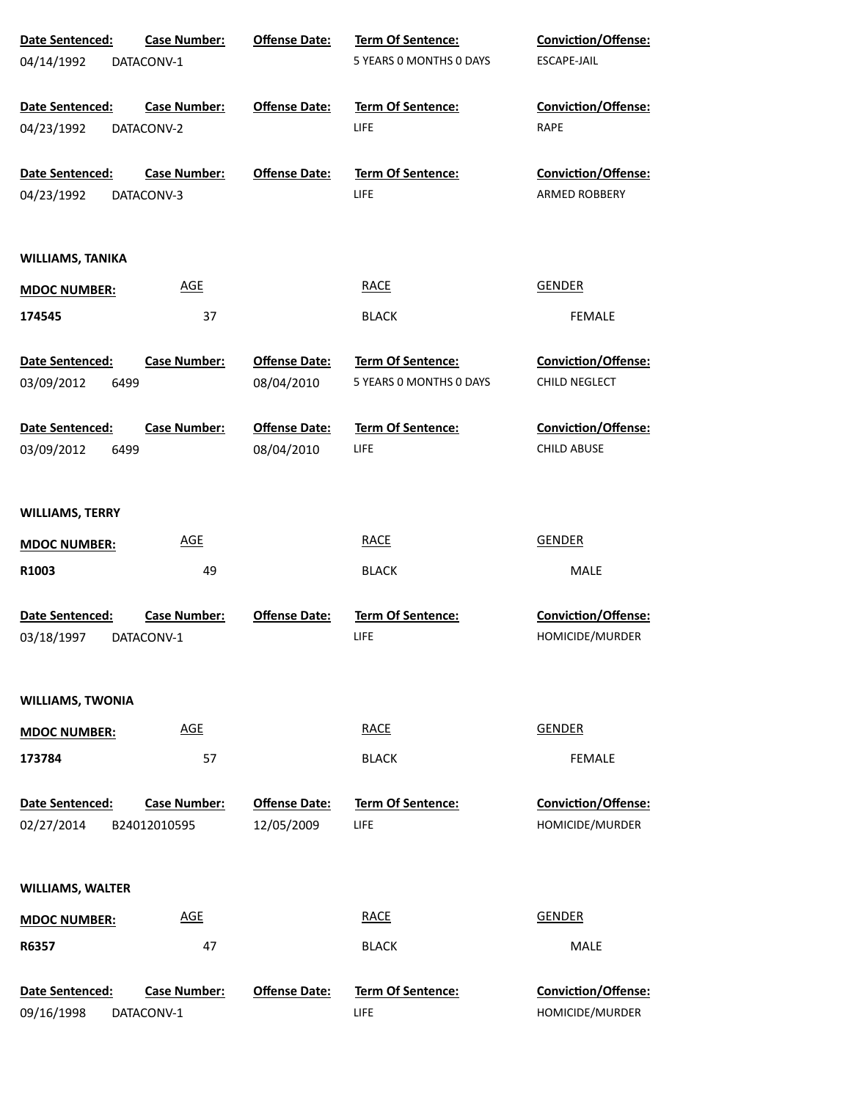| Date Sentenced:               | <b>Case Number:</b>               | <b>Offense Date:</b> | Term Of Sentence:         | <b>Conviction/Offense:</b>             |
|-------------------------------|-----------------------------------|----------------------|---------------------------|----------------------------------------|
| 04/14/1992                    | DATACONV-1                        |                      | 5 YEARS O MONTHS O DAYS   | ESCAPE-JAIL                            |
| Date Sentenced:               | <b>Case Number:</b>               | <b>Offense Date:</b> | Term Of Sentence:         | Conviction/Offense:                    |
| 04/23/1992                    | DATACONV-2                        |                      | LIFE                      | RAPE                                   |
| Date Sentenced:               | <b>Case Number:</b>               | <b>Offense Date:</b> | <b>Term Of Sentence:</b>  | <b>Conviction/Offense:</b>             |
| 04/23/1992                    | DATACONV-3                        |                      | LIFE                      | ARMED ROBBERY                          |
| WILLIAMS, TANIKA              |                                   |                      |                           |                                        |
| <b>MDOC NUMBER:</b>           | <b>AGE</b>                        |                      | <b>RACE</b>               | <b>GENDER</b>                          |
| 174545                        | 37                                |                      | <b>BLACK</b>              | <b>FEMALE</b>                          |
| Date Sentenced:               | <b>Case Number:</b>               | <b>Offense Date:</b> | Term Of Sentence:         | <b>Conviction/Offense:</b>             |
| 03/09/2012<br>6499            |                                   | 08/04/2010           | 5 YEARS 0 MONTHS 0 DAYS   | <b>CHILD NEGLECT</b>                   |
| <b>Date Sentenced:</b>        | <b>Case Number:</b>               | <b>Offense Date:</b> | <b>Term Of Sentence:</b>  | <b>Conviction/Offense:</b>             |
| 03/09/2012<br>6499            |                                   | 08/04/2010           | LIFE                      | <b>CHILD ABUSE</b>                     |
| <b>WILLIAMS, TERRY</b>        |                                   |                      |                           |                                        |
| <b>MDOC NUMBER:</b>           | <b>AGE</b>                        |                      | <b>RACE</b>               | <b>GENDER</b>                          |
| R1003                         | 49                                |                      | <b>BLACK</b>              | MALE                                   |
| Date Sentenced:<br>03/18/1997 | <b>Case Number:</b><br>DATACONV-1 | <b>Offense Date:</b> | Term Of Sentence:<br>LIFE | Conviction/Offense:<br>HOMICIDE/MURDER |
|                               |                                   |                      |                           |                                        |
| <b>WILLIAMS, TWONIA</b>       |                                   |                      |                           |                                        |
| <b>MDOC NUMBER:</b>           | <b>AGE</b>                        |                      | <b>RACE</b>               | <b>GENDER</b>                          |
| 173784                        | 57                                |                      | <b>BLACK</b>              | <b>FEMALE</b>                          |
| Date Sentenced:               | <b>Case Number:</b>               | <b>Offense Date:</b> | <b>Term Of Sentence:</b>  | Conviction/Offense:                    |
| 02/27/2014                    | B24012010595                      | 12/05/2009           | LIFE                      | HOMICIDE/MURDER                        |
| <b>WILLIAMS, WALTER</b>       |                                   |                      |                           |                                        |
| <b>MDOC NUMBER:</b>           | <b>AGE</b>                        |                      | <b>RACE</b>               | <b>GENDER</b>                          |
| R6357                         | 47                                |                      | <b>BLACK</b>              | MALE                                   |
| Date Sentenced:               | <b>Case Number:</b>               | <b>Offense Date:</b> | Term Of Sentence:         | Conviction/Offense:                    |
| 09/16/1998                    | DATACONV-1                        |                      | LIFE                      | HOMICIDE/MURDER                        |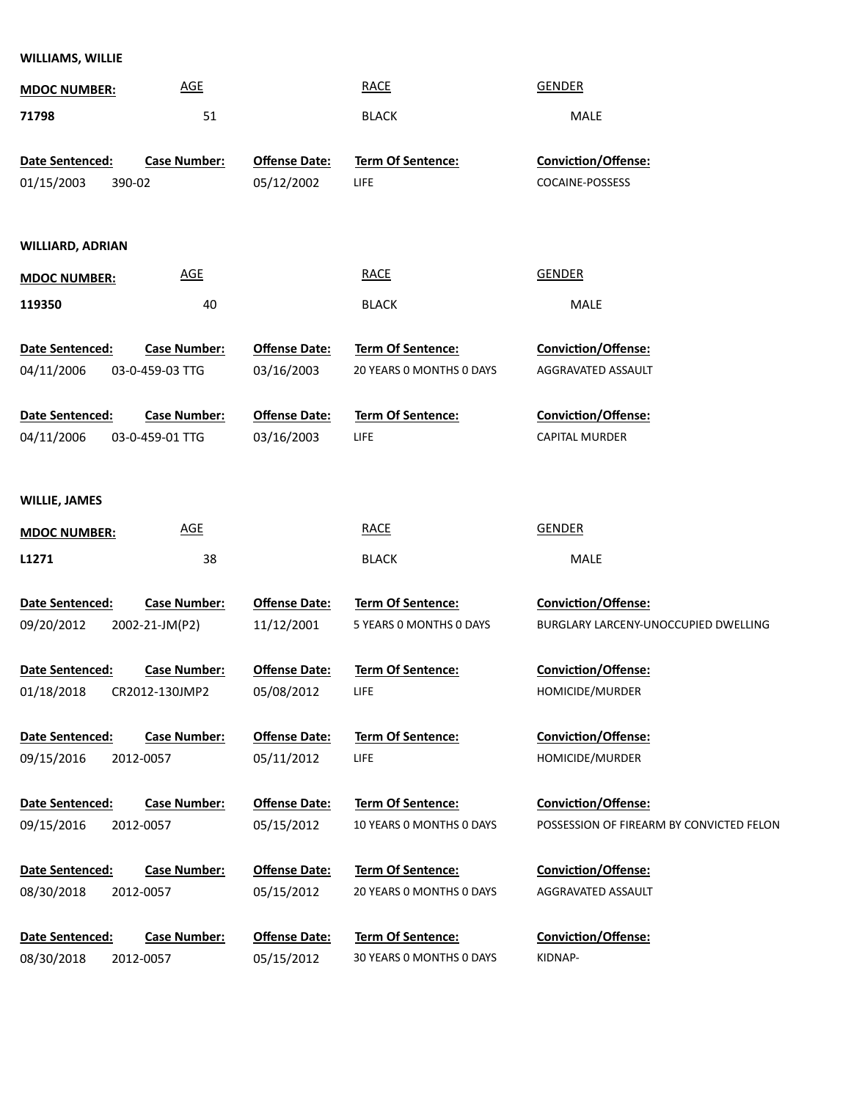## **WILLIAMS, WILLIE**

| <b>MDOC NUMBER:</b>    | <b>AGE</b>          |                      | <b>RACE</b>              | <b>GENDER</b>                            |
|------------------------|---------------------|----------------------|--------------------------|------------------------------------------|
| 71798                  | 51                  |                      | <b>BLACK</b>             | <b>MALE</b>                              |
|                        |                     |                      |                          |                                          |
| <b>Date Sentenced:</b> | <b>Case Number:</b> | <b>Offense Date:</b> | Term Of Sentence:        | Conviction/Offense:                      |
| 01/15/2003             | 390-02              | 05/12/2002           | <b>LIFE</b>              | COCAINE-POSSESS                          |
|                        |                     |                      |                          |                                          |
|                        |                     |                      |                          |                                          |
| WILLIARD, ADRIAN       |                     |                      |                          |                                          |
| <b>MDOC NUMBER:</b>    | <b>AGE</b>          |                      | <b>RACE</b>              | <b>GENDER</b>                            |
| 119350                 | 40                  |                      | <b>BLACK</b>             | MALE                                     |
|                        |                     |                      |                          |                                          |
| Date Sentenced:        | <b>Case Number:</b> | <b>Offense Date:</b> | Term Of Sentence:        | Conviction/Offense:                      |
| 04/11/2006             | 03-0-459-03 TTG     | 03/16/2003           | 20 YEARS 0 MONTHS 0 DAYS | AGGRAVATED ASSAULT                       |
|                        |                     |                      |                          |                                          |
| Date Sentenced:        | <b>Case Number:</b> | <b>Offense Date:</b> | Term Of Sentence:        | Conviction/Offense:                      |
| 04/11/2006             | 03-0-459-01 TTG     | 03/16/2003           | LIFE.                    | <b>CAPITAL MURDER</b>                    |
|                        |                     |                      |                          |                                          |
| <b>WILLIE, JAMES</b>   |                     |                      |                          |                                          |
| <b>MDOC NUMBER:</b>    | <b>AGE</b>          |                      | <b>RACE</b>              | <b>GENDER</b>                            |
| L1271                  | 38                  |                      | <b>BLACK</b>             | MALE                                     |
|                        |                     |                      |                          |                                          |
| <b>Date Sentenced:</b> | <b>Case Number:</b> | <b>Offense Date:</b> | Term Of Sentence:        | <b>Conviction/Offense:</b>               |
| 09/20/2012             | 2002-21-JM(P2)      | 11/12/2001           | 5 YEARS 0 MONTHS 0 DAYS  | BURGLARY LARCENY-UNOCCUPIED DWELLING     |
|                        |                     |                      |                          |                                          |
| Date Sentenced:        | <b>Case Number:</b> | <b>Offense Date:</b> | Term Of Sentence:        | Conviction/Offense:                      |
| 01/18/2018             | CR2012-130JMP2      | 05/08/2012           | LIFE.                    | HOMICIDE/MURDER                          |
|                        |                     |                      |                          |                                          |
| <b>Date Sentenced:</b> | <b>Case Number:</b> | <b>Offense Date:</b> | <b>Term Of Sentence:</b> | <b>Conviction/Offense:</b>               |
| 09/15/2016             | 2012-0057           | 05/11/2012           | <b>LIFE</b>              | HOMICIDE/MURDER                          |
| Date Sentenced:        | <b>Case Number:</b> | <b>Offense Date:</b> | <b>Term Of Sentence:</b> | <b>Conviction/Offense:</b>               |
| 09/15/2016             | 2012-0057           | 05/15/2012           | 10 YEARS 0 MONTHS 0 DAYS | POSSESSION OF FIREARM BY CONVICTED FELON |
|                        |                     |                      |                          |                                          |
| <b>Date Sentenced:</b> | <b>Case Number:</b> | <b>Offense Date:</b> | <b>Term Of Sentence:</b> | <b>Conviction/Offense:</b>               |
| 08/30/2018             | 2012-0057           | 05/15/2012           | 20 YEARS 0 MONTHS 0 DAYS | AGGRAVATED ASSAULT                       |
|                        |                     |                      |                          |                                          |
| Date Sentenced:        | <b>Case Number:</b> | <b>Offense Date:</b> | Term Of Sentence:        | <b>Conviction/Offense:</b>               |
| 08/30/2018             | 2012-0057           | 05/15/2012           | 30 YEARS 0 MONTHS 0 DAYS | KIDNAP-                                  |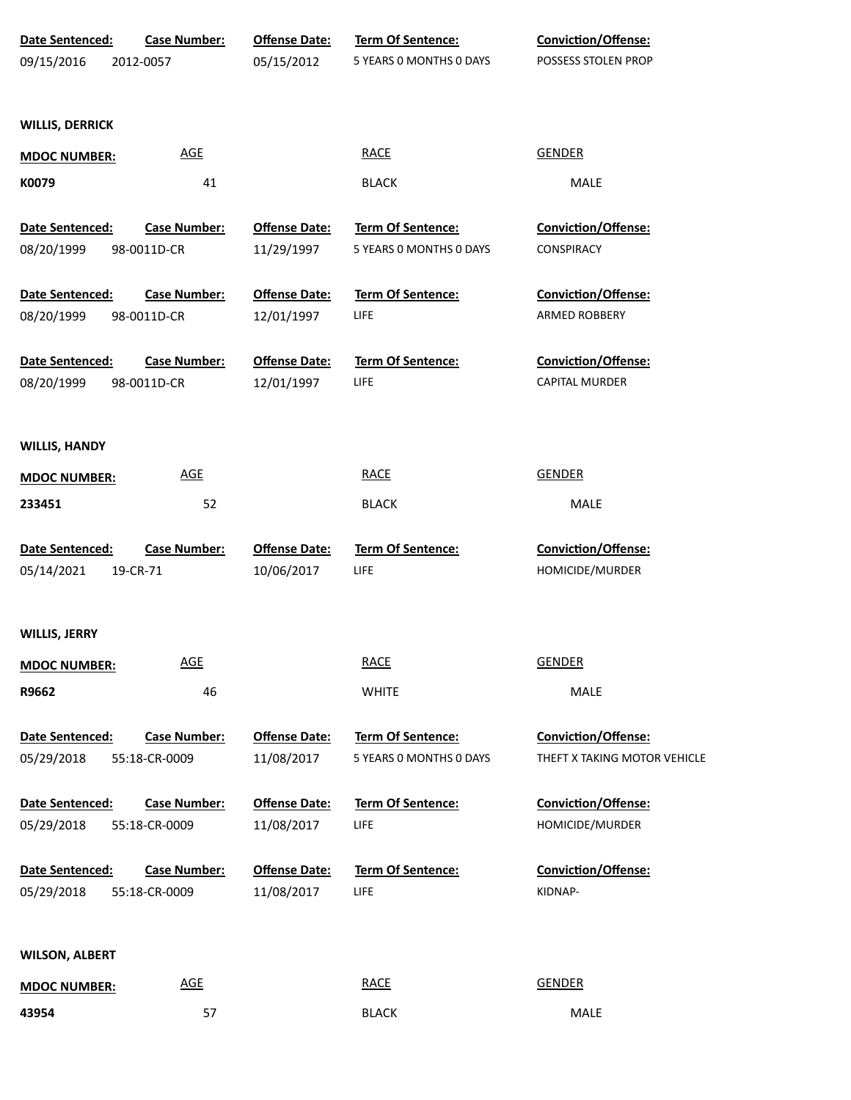| Date Sentenced:<br>09/15/2016 | <b>Case Number:</b><br>2012-0057 | <b>Offense Date:</b><br>05/15/2012 | <b>Term Of Sentence:</b><br>5 YEARS 0 MONTHS 0 DAYS | <b>Conviction/Offense:</b><br>POSSESS STOLEN PROP |
|-------------------------------|----------------------------------|------------------------------------|-----------------------------------------------------|---------------------------------------------------|
|                               |                                  |                                    |                                                     |                                                   |
| <b>WILLIS, DERRICK</b>        |                                  |                                    |                                                     |                                                   |
| <b>MDOC NUMBER:</b>           | <b>AGE</b>                       |                                    | <b>RACE</b>                                         | <b>GENDER</b>                                     |
| K0079                         | 41                               |                                    | <b>BLACK</b>                                        | MALE                                              |
| Date Sentenced:               | <b>Case Number:</b>              | <b>Offense Date:</b>               | <b>Term Of Sentence:</b>                            | <b>Conviction/Offense:</b>                        |
| 08/20/1999                    | 98-0011D-CR                      | 11/29/1997                         | 5 YEARS 0 MONTHS 0 DAYS                             | CONSPIRACY                                        |
| Date Sentenced:               | <b>Case Number:</b>              | <b>Offense Date:</b>               | <b>Term Of Sentence:</b>                            | <b>Conviction/Offense:</b>                        |
| 08/20/1999                    | 98-0011D-CR                      | 12/01/1997                         | <b>LIFE</b>                                         | ARMED ROBBERY                                     |
| Date Sentenced:               | <b>Case Number:</b>              | <b>Offense Date:</b>               | <b>Term Of Sentence:</b>                            | <b>Conviction/Offense:</b>                        |
| 08/20/1999                    | 98-0011D-CR                      | 12/01/1997                         | <b>LIFE</b>                                         | <b>CAPITAL MURDER</b>                             |
|                               |                                  |                                    |                                                     |                                                   |
| <b>WILLIS, HANDY</b>          |                                  |                                    |                                                     |                                                   |
| <b>MDOC NUMBER:</b>           | <b>AGE</b>                       |                                    | <b>RACE</b>                                         | <b>GENDER</b>                                     |
| 233451                        | 52                               |                                    | <b>BLACK</b>                                        | MALE                                              |
| Date Sentenced:               | <b>Case Number:</b>              | <b>Offense Date:</b>               | Term Of Sentence:                                   | Conviction/Offense:                               |
| 05/14/2021                    | 19-CR-71                         | 10/06/2017                         | <b>LIFE</b>                                         | HOMICIDE/MURDER                                   |
|                               |                                  |                                    |                                                     |                                                   |
| WILLIS, JERRY                 |                                  |                                    |                                                     |                                                   |
| <b>MDOC NUMBER:</b>           | <b>AGE</b>                       |                                    | <b>RACE</b>                                         | <b>GENDER</b>                                     |
| R9662                         | 46                               |                                    | <b>WHITE</b>                                        | MALE                                              |
| Date Sentenced:               | <b>Case Number:</b>              | <b>Offense Date:</b>               | Term Of Sentence:                                   | Conviction/Offense:                               |
| 05/29/2018                    | 55:18-CR-0009                    | 11/08/2017                         | 5 YEARS 0 MONTHS 0 DAYS                             | THEFT X TAKING MOTOR VEHICLE                      |
| Date Sentenced:               | <b>Case Number:</b>              | <b>Offense Date:</b>               | Term Of Sentence:                                   | Conviction/Offense:                               |
| 05/29/2018                    | 55:18-CR-0009                    | 11/08/2017                         | <b>LIFE</b>                                         | HOMICIDE/MURDER                                   |
| Date Sentenced:               | <b>Case Number:</b>              | <b>Offense Date:</b>               | Term Of Sentence:                                   | Conviction/Offense:                               |
| 05/29/2018                    | 55:18-CR-0009                    | 11/08/2017                         | <b>LIFE</b>                                         | KIDNAP-                                           |
|                               |                                  |                                    |                                                     |                                                   |
| <b>WILSON, ALBERT</b>         |                                  |                                    |                                                     |                                                   |
| <b>MDOC NUMBER:</b>           | <b>AGE</b>                       |                                    | <b>RACE</b>                                         | <b>GENDER</b>                                     |
| 43954                         | 57                               |                                    | <b>BLACK</b>                                        | MALE                                              |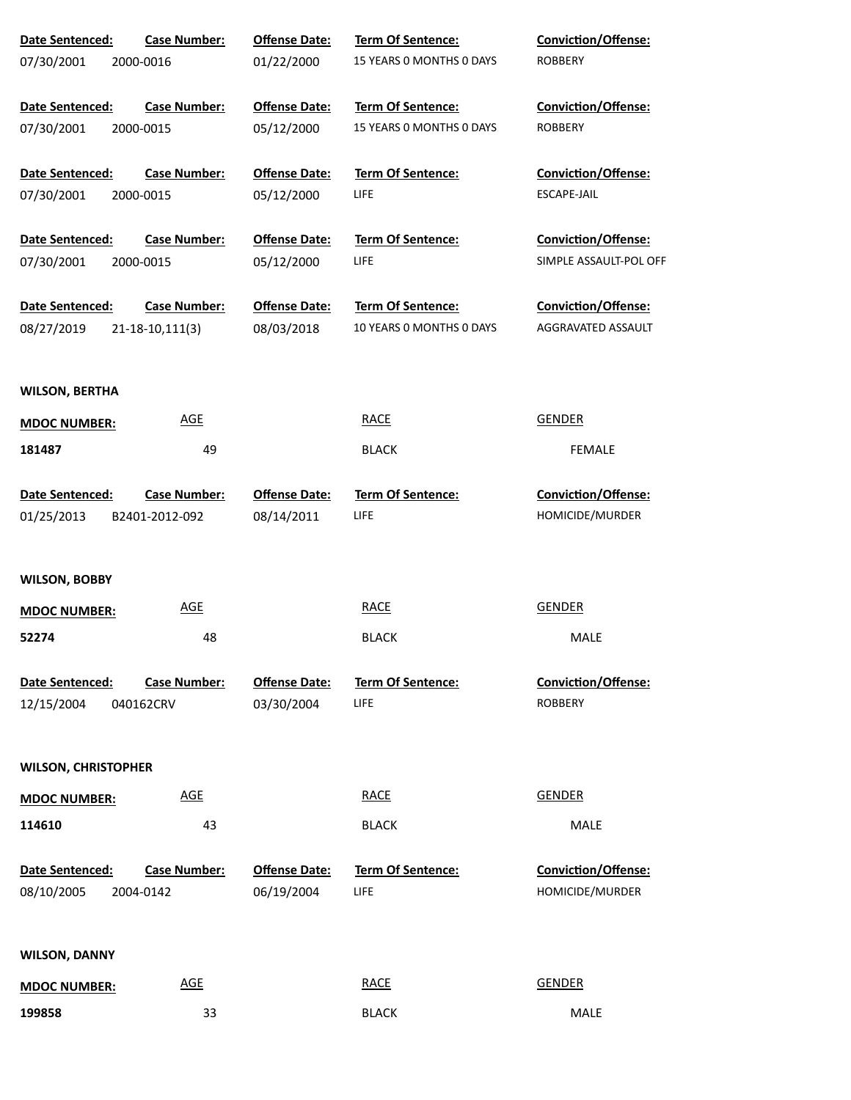| Date Sentenced:            | <b>Case Number:</b> | <b>Offense Date:</b> | <b>Term Of Sentence:</b> | <b>Conviction/Offense:</b> |
|----------------------------|---------------------|----------------------|--------------------------|----------------------------|
| 07/30/2001                 | 2000-0016           | 01/22/2000           | 15 YEARS 0 MONTHS 0 DAYS | <b>ROBBERY</b>             |
| Date Sentenced:            | <b>Case Number:</b> | <b>Offense Date:</b> | Term Of Sentence:        | <b>Conviction/Offense:</b> |
| 07/30/2001                 | 2000-0015           | 05/12/2000           | 15 YEARS 0 MONTHS 0 DAYS | <b>ROBBERY</b>             |
| Date Sentenced:            | <b>Case Number:</b> | <b>Offense Date:</b> | <b>Term Of Sentence:</b> | <b>Conviction/Offense:</b> |
| 07/30/2001                 | 2000-0015           | 05/12/2000           | LIFE                     | ESCAPE-JAIL                |
| Date Sentenced:            | <b>Case Number:</b> | <b>Offense Date:</b> | Term Of Sentence:        | <b>Conviction/Offense:</b> |
| 07/30/2001                 | 2000-0015           | 05/12/2000           | LIFE                     | SIMPLE ASSAULT-POL OFF     |
| Date Sentenced:            | <b>Case Number:</b> | <b>Offense Date:</b> | <b>Term Of Sentence:</b> | <b>Conviction/Offense:</b> |
| 08/27/2019                 | 21-18-10,111(3)     | 08/03/2018           | 10 YEARS 0 MONTHS 0 DAYS | AGGRAVATED ASSAULT         |
| <b>WILSON, BERTHA</b>      |                     |                      |                          |                            |
| <b>MDOC NUMBER:</b>        | <b>AGE</b>          |                      | <b>RACE</b>              | <b>GENDER</b>              |
| 181487                     | 49                  |                      | <b>BLACK</b>             | <b>FEMALE</b>              |
| Date Sentenced:            | <b>Case Number:</b> | <b>Offense Date:</b> | Term Of Sentence:        | Conviction/Offense:        |
| 01/25/2013                 | B2401-2012-092      | 08/14/2011           | LIFE                     | HOMICIDE/MURDER            |
| <b>WILSON, BOBBY</b>       |                     |                      |                          |                            |
| <b>MDOC NUMBER:</b>        | <b>AGE</b>          |                      | <b>RACE</b>              | <b>GENDER</b>              |
| 52274                      | 48                  |                      | <b>BLACK</b>             | MALE                       |
| Date Sentenced:            | <b>Case Number:</b> | <b>Offense Date:</b> | <b>Term Of Sentence:</b> | <b>Conviction/Offense:</b> |
| 12/15/2004                 | 040162CRV           | 03/30/2004           | LIFE                     | <b>ROBBERY</b>             |
| <b>WILSON, CHRISTOPHER</b> |                     |                      |                          |                            |
| <b>MDOC NUMBER:</b>        | <b>AGE</b>          |                      | <b>RACE</b>              | <b>GENDER</b>              |
| 114610                     | 43                  |                      | <b>BLACK</b>             | MALE                       |
| Date Sentenced:            | <b>Case Number:</b> | <b>Offense Date:</b> | Term Of Sentence:        | <b>Conviction/Offense:</b> |
| 08/10/2005                 | 2004-0142           | 06/19/2004           | LIFE                     | HOMICIDE/MURDER            |
|                            |                     |                      |                          |                            |
| <b>WILSON, DANNY</b>       |                     |                      |                          |                            |
| <b>MDOC NUMBER:</b>        | <b>AGE</b>          |                      | <b>RACE</b>              | <b>GENDER</b>              |
| 199858                     | 33                  |                      | <b>BLACK</b>             | MALE                       |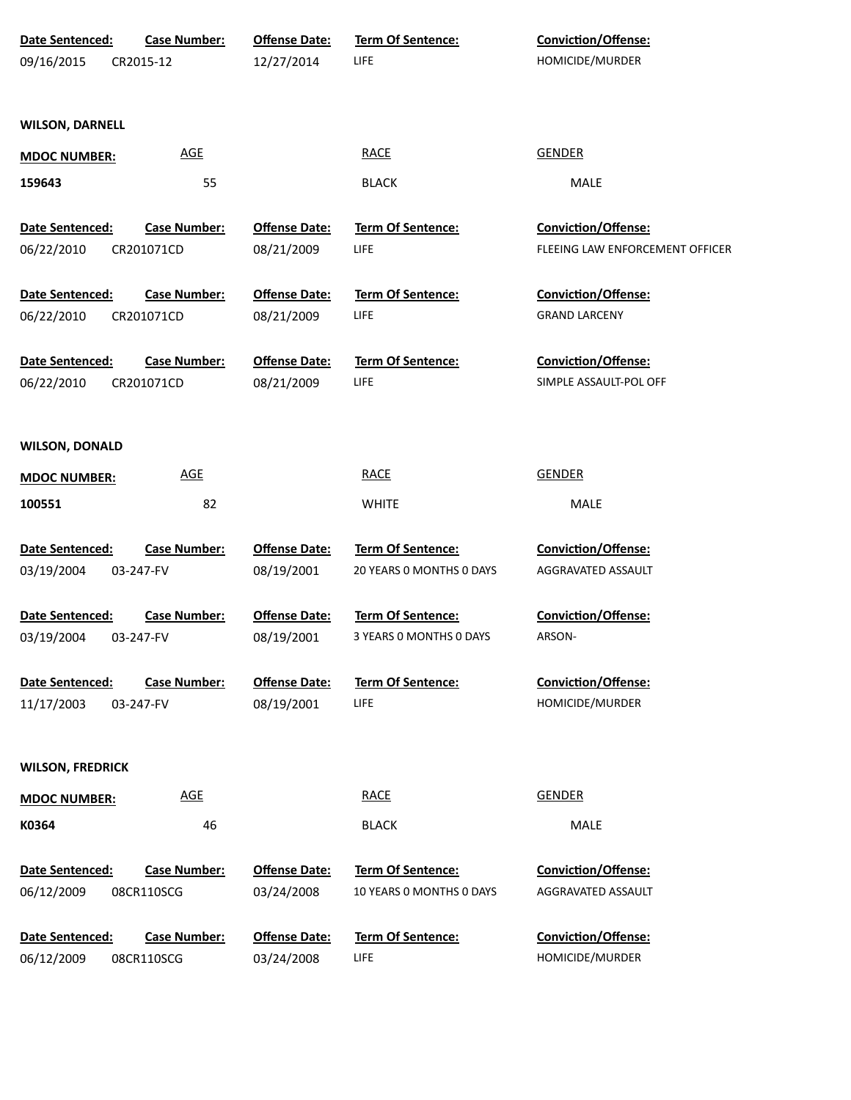| Date Sentenced:         | <b>Case Number:</b> | <b>Offense Date:</b> | Term Of Sentence:        | <b>Conviction/Offense:</b>      |
|-------------------------|---------------------|----------------------|--------------------------|---------------------------------|
| 09/16/2015              | CR2015-12           | 12/27/2014           | LIFE                     | HOMICIDE/MURDER                 |
|                         |                     |                      |                          |                                 |
|                         |                     |                      |                          |                                 |
| <b>WILSON, DARNELL</b>  |                     |                      |                          |                                 |
| <b>MDOC NUMBER:</b>     | <b>AGE</b>          |                      | <b>RACE</b>              | <b>GENDER</b>                   |
| 159643                  | 55                  |                      | <b>BLACK</b>             | MALE                            |
|                         |                     |                      |                          |                                 |
| Date Sentenced:         | <b>Case Number:</b> | <b>Offense Date:</b> | <b>Term Of Sentence:</b> | Conviction/Offense:             |
| 06/22/2010              | CR201071CD          | 08/21/2009           | <b>LIFE</b>              | FLEEING LAW ENFORCEMENT OFFICER |
|                         |                     |                      |                          |                                 |
| Date Sentenced:         | <b>Case Number:</b> | <b>Offense Date:</b> | <b>Term Of Sentence:</b> | Conviction/Offense:             |
| 06/22/2010              | CR201071CD          | 08/21/2009           | LIFE                     | <b>GRAND LARCENY</b>            |
|                         |                     |                      |                          |                                 |
| Date Sentenced:         | <b>Case Number:</b> | <b>Offense Date:</b> | Term Of Sentence:        | Conviction/Offense:             |
| 06/22/2010              | CR201071CD          | 08/21/2009           | LIFE                     | SIMPLE ASSAULT-POL OFF          |
|                         |                     |                      |                          |                                 |
| <b>WILSON, DONALD</b>   |                     |                      |                          |                                 |
|                         |                     |                      |                          |                                 |
| <b>MDOC NUMBER:</b>     | <b>AGE</b>          |                      | <b>RACE</b>              | <b>GENDER</b>                   |
| 100551                  | 82                  |                      | <b>WHITE</b>             | MALE                            |
|                         |                     |                      |                          |                                 |
| Date Sentenced:         | <b>Case Number:</b> | <b>Offense Date:</b> | <b>Term Of Sentence:</b> | Conviction/Offense:             |
| 03/19/2004              | 03-247-FV           | 08/19/2001           | 20 YEARS 0 MONTHS 0 DAYS | AGGRAVATED ASSAULT              |
| Date Sentenced:         | <b>Case Number:</b> | <b>Offense Date:</b> | Term Of Sentence:        | Conviction/Offense:             |
| 03/19/2004              | 03-247-FV           | 08/19/2001           | 3 YEARS 0 MONTHS 0 DAYS  | ARSON-                          |
|                         |                     |                      |                          |                                 |
| <b>Date Sentenced:</b>  | <b>Case Number:</b> | <b>Offense Date:</b> | <b>Term Of Sentence:</b> | <b>Conviction/Offense:</b>      |
| 11/17/2003              | 03-247-FV           | 08/19/2001           | <b>LIFE</b>              | HOMICIDE/MURDER                 |
|                         |                     |                      |                          |                                 |
|                         |                     |                      |                          |                                 |
| <b>WILSON, FREDRICK</b> |                     |                      |                          |                                 |
| <b>MDOC NUMBER:</b>     | <b>AGE</b>          |                      | <b>RACE</b>              | <b>GENDER</b>                   |
| K0364                   | 46                  |                      | <b>BLACK</b>             | MALE                            |
|                         |                     |                      |                          |                                 |
| Date Sentenced:         | <b>Case Number:</b> | <b>Offense Date:</b> | Term Of Sentence:        | <b>Conviction/Offense:</b>      |
| 06/12/2009              | 08CR110SCG          | 03/24/2008           | 10 YEARS O MONTHS O DAYS | AGGRAVATED ASSAULT              |
|                         |                     |                      |                          |                                 |
| Date Sentenced:         | <b>Case Number:</b> | <b>Offense Date:</b> | <b>Term Of Sentence:</b> | <b>Conviction/Offense:</b>      |
| 06/12/2009              | 08CR110SCG          | 03/24/2008           | <b>LIFE</b>              | HOMICIDE/MURDER                 |
|                         |                     |                      |                          |                                 |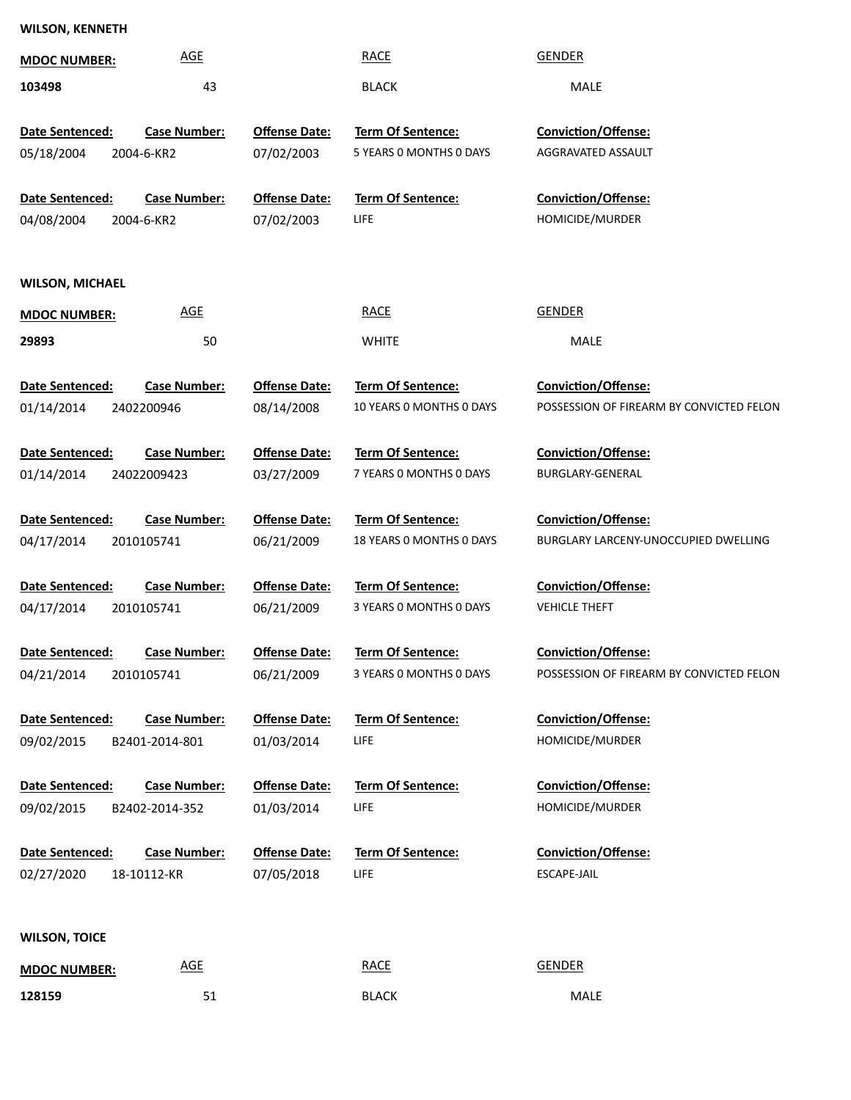## **WILSON, KENNETH**

| <b>MDOC NUMBER:</b>    | <b>AGE</b>                        |                      | <b>RACE</b>              | <b>GENDER</b>                            |
|------------------------|-----------------------------------|----------------------|--------------------------|------------------------------------------|
| 103498                 | 43                                |                      | <b>BLACK</b>             | MALE                                     |
|                        |                                   |                      |                          |                                          |
| <b>Date Sentenced:</b> | <b>Case Number:</b>               | <b>Offense Date:</b> | Term Of Sentence:        | Conviction/Offense:                      |
| 05/18/2004             | 2004-6-KR2                        | 07/02/2003           | 5 YEARS 0 MONTHS 0 DAYS  | AGGRAVATED ASSAULT                       |
| Date Sentenced:        |                                   | <b>Offense Date:</b> | <b>Term Of Sentence:</b> | Conviction/Offense:                      |
| 04/08/2004             | <b>Case Number:</b><br>2004-6-KR2 | 07/02/2003           | LIFE                     | HOMICIDE/MURDER                          |
|                        |                                   |                      |                          |                                          |
|                        |                                   |                      |                          |                                          |
| <b>WILSON, MICHAEL</b> |                                   |                      |                          |                                          |
| <b>MDOC NUMBER:</b>    | <b>AGE</b>                        |                      | <b>RACE</b>              | <b>GENDER</b>                            |
| 29893                  | 50                                |                      | <b>WHITE</b>             | MALE                                     |
|                        |                                   |                      |                          |                                          |
| Date Sentenced:        | <b>Case Number:</b>               | <b>Offense Date:</b> | Term Of Sentence:        | <b>Conviction/Offense:</b>               |
| 01/14/2014             | 2402200946                        | 08/14/2008           | 10 YEARS 0 MONTHS 0 DAYS | POSSESSION OF FIREARM BY CONVICTED FELON |
| Date Sentenced:        | <b>Case Number:</b>               | <b>Offense Date:</b> | <b>Term Of Sentence:</b> | <b>Conviction/Offense:</b>               |
| 01/14/2014             | 24022009423                       | 03/27/2009           | 7 YEARS O MONTHS O DAYS  | BURGLARY-GENERAL                         |
|                        |                                   |                      |                          |                                          |
| Date Sentenced:        | <b>Case Number:</b>               | <b>Offense Date:</b> | <b>Term Of Sentence:</b> | <b>Conviction/Offense:</b>               |
| 04/17/2014             | 2010105741                        | 06/21/2009           | 18 YEARS O MONTHS O DAYS | BURGLARY LARCENY-UNOCCUPIED DWELLING     |
|                        |                                   |                      |                          |                                          |
| Date Sentenced:        | <b>Case Number:</b>               | <b>Offense Date:</b> | <b>Term Of Sentence:</b> | <b>Conviction/Offense:</b>               |
| 04/17/2014             | 2010105741                        | 06/21/2009           | 3 YEARS 0 MONTHS 0 DAYS  | <b>VEHICLE THEFT</b>                     |
| Date Sentenced:        | <b>Case Number:</b>               | <b>Offense Date:</b> | Term Of Sentence:        | <b>Conviction/Offense:</b>               |
| 04/21/2014             | 2010105741                        | 06/21/2009           | 3 YEARS 0 MONTHS 0 DAYS  | POSSESSION OF FIREARM BY CONVICTED FELON |
|                        |                                   |                      |                          |                                          |
| Date Sentenced:        | <b>Case Number:</b>               | <b>Offense Date:</b> | <b>Term Of Sentence:</b> | <b>Conviction/Offense:</b>               |
| 09/02/2015             | B2401-2014-801                    | 01/03/2014           | <b>LIFE</b>              | HOMICIDE/MURDER                          |
|                        |                                   |                      |                          |                                          |
| Date Sentenced:        | <b>Case Number:</b>               | <b>Offense Date:</b> | <b>Term Of Sentence:</b> | <b>Conviction/Offense:</b>               |
| 09/02/2015             | B2402-2014-352                    | 01/03/2014           | <b>LIFE</b>              | HOMICIDE/MURDER                          |
| Date Sentenced:        | <b>Case Number:</b>               | <b>Offense Date:</b> | <b>Term Of Sentence:</b> | Conviction/Offense:                      |
| 02/27/2020             | 18-10112-KR                       | 07/05/2018           | <b>LIFE</b>              | ESCAPE-JAIL                              |
|                        |                                   |                      |                          |                                          |
|                        |                                   |                      |                          |                                          |
| <b>WILSON, TOICE</b>   |                                   |                      |                          |                                          |
| <b>MDOC NUMBER:</b>    | <b>AGE</b>                        |                      | <b>RACE</b>              | <b>GENDER</b>                            |
| 128159                 | 51                                |                      | <b>BLACK</b>             | MALE                                     |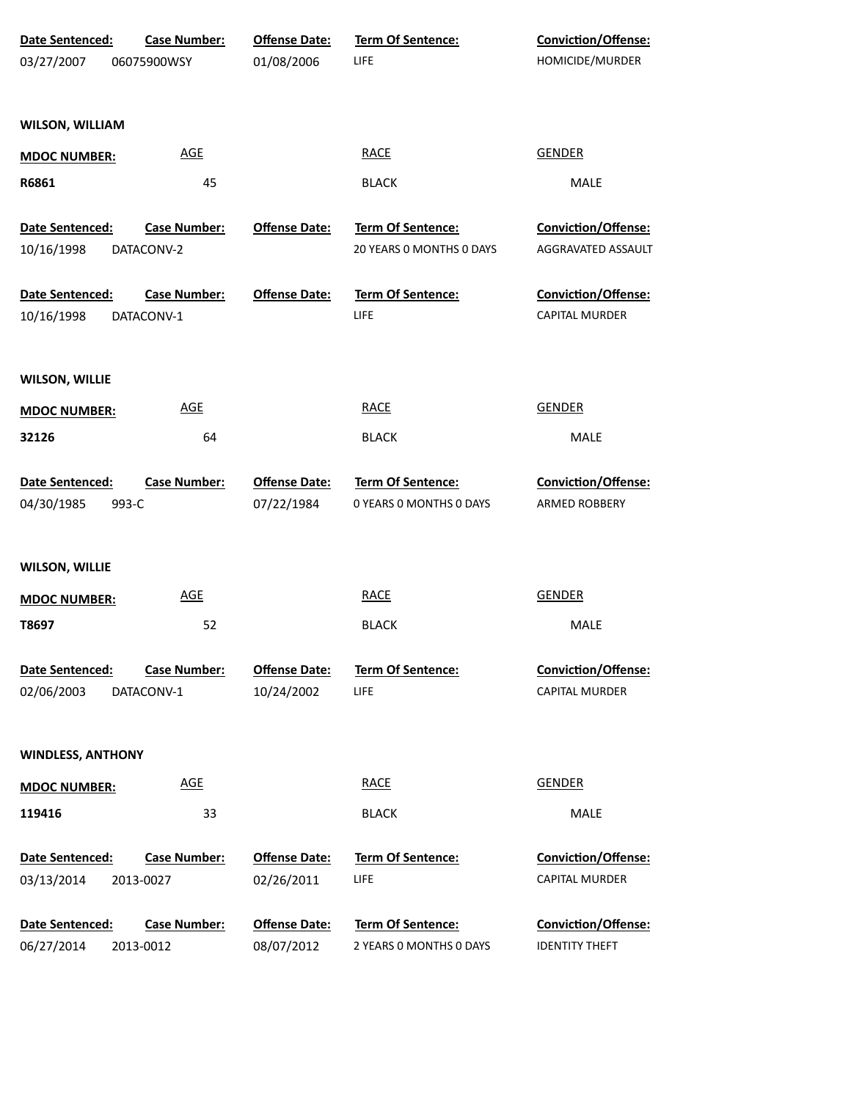| Date Sentenced:          | <b>Case Number:</b>        | <b>Offense Date:</b> | <b>Term Of Sentence:</b> | <b>Conviction/Offense:</b> |
|--------------------------|----------------------------|----------------------|--------------------------|----------------------------|
| 03/27/2007               | 06075900WSY                | 01/08/2006           | LIFE                     | HOMICIDE/MURDER            |
|                          |                            |                      |                          |                            |
| <b>WILSON, WILLIAM</b>   |                            |                      |                          |                            |
| <b>MDOC NUMBER:</b>      | $\underline{\mathsf{AGE}}$ |                      | <b>RACE</b>              | <b>GENDER</b>              |
| R6861                    | 45                         |                      | <b>BLACK</b>             | MALE                       |
| Date Sentenced:          | <b>Case Number:</b>        | <b>Offense Date:</b> | Term Of Sentence:        | Conviction/Offense:        |
| 10/16/1998               | DATACONV-2                 |                      | 20 YEARS 0 MONTHS 0 DAYS | AGGRAVATED ASSAULT         |
| Date Sentenced:          | <b>Case Number:</b>        | <b>Offense Date:</b> | Term Of Sentence:        | Conviction/Offense:        |
| 10/16/1998               | DATACONV-1                 |                      | LIFE                     | CAPITAL MURDER             |
| <b>WILSON, WILLIE</b>    |                            |                      |                          |                            |
| <b>MDOC NUMBER:</b>      | <b>AGE</b>                 |                      | <b>RACE</b>              | <b>GENDER</b>              |
| 32126                    | 64                         |                      | <b>BLACK</b>             | MALE                       |
| Date Sentenced:          | <b>Case Number:</b>        | <b>Offense Date:</b> | Term Of Sentence:        | <b>Conviction/Offense:</b> |
| 04/30/1985<br>993-C      |                            | 07/22/1984           | 0 YEARS O MONTHS O DAYS  | ARMED ROBBERY              |
| <b>WILSON, WILLIE</b>    |                            |                      |                          |                            |
| <b>MDOC NUMBER:</b>      | <b>AGE</b>                 |                      | <b>RACE</b>              | GENDER                     |
| T8697                    | 52                         |                      | <b>BLACK</b>             | MALE                       |
| <b>Date Sentenced:</b>   | <b>Case Number:</b>        | <b>Offense Date:</b> | <b>Term Of Sentence:</b> | Conviction/Offense:        |
| 02/06/2003               | DATACONV-1                 | 10/24/2002           | LIFE                     | CAPITAL MURDER             |
| <b>WINDLESS, ANTHONY</b> |                            |                      |                          |                            |
| <b>MDOC NUMBER:</b>      | <b>AGE</b>                 |                      | <b>RACE</b>              | <b>GENDER</b>              |
| 119416                   | 33                         |                      | <b>BLACK</b>             | MALE                       |
| Date Sentenced:          | <b>Case Number:</b>        | <b>Offense Date:</b> | Term Of Sentence:        | Conviction/Offense:        |
| 03/13/2014               | 2013-0027                  | 02/26/2011           | LIFE                     | CAPITAL MURDER             |
| Date Sentenced:          | <b>Case Number:</b>        | <b>Offense Date:</b> | Term Of Sentence:        | Conviction/Offense:        |
| 06/27/2014               | 2013-0012                  | 08/07/2012           | 2 YEARS 0 MONTHS 0 DAYS  | <b>IDENTITY THEFT</b>      |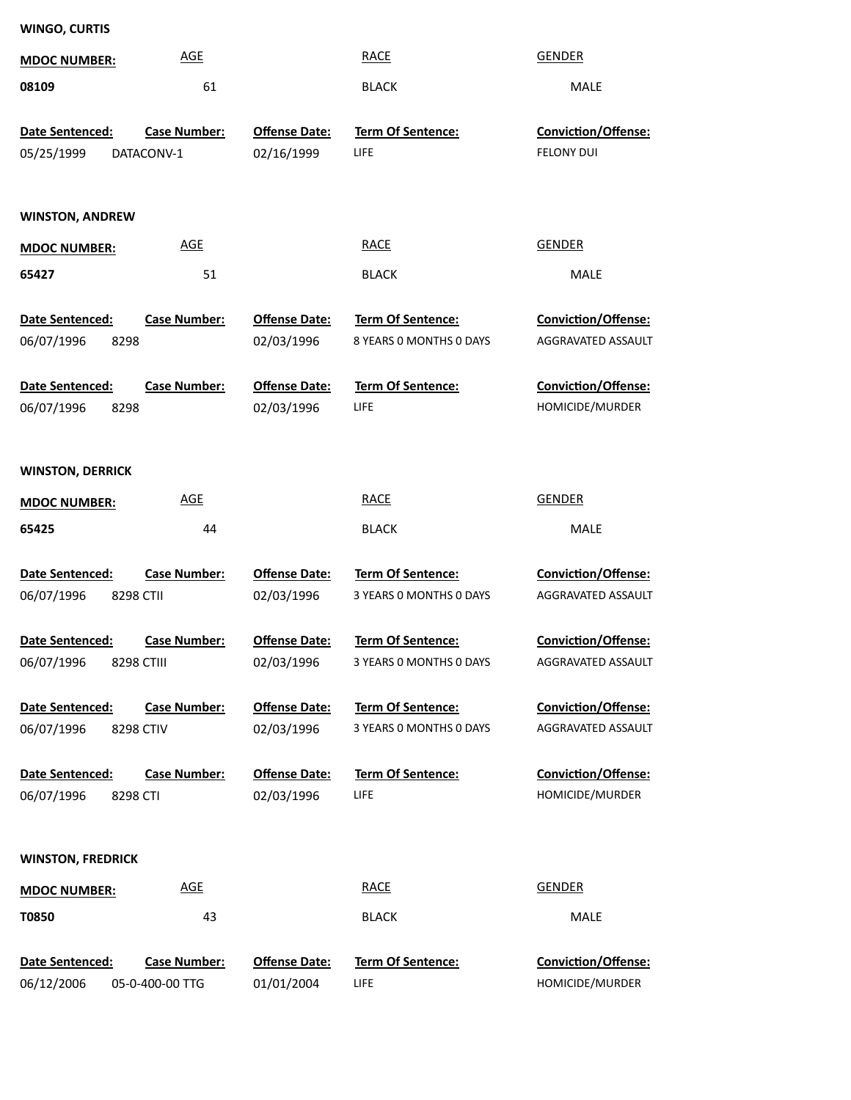| <b>WINGO, CURTIS</b>     |                     |                      |                          |                            |
|--------------------------|---------------------|----------------------|--------------------------|----------------------------|
| <b>MDOC NUMBER:</b>      | <b>AGE</b>          |                      | <b>RACE</b>              | <b>GENDER</b>              |
| 08109                    | 61                  |                      | <b>BLACK</b>             | MALE                       |
|                          |                     |                      |                          |                            |
| Date Sentenced:          | <b>Case Number:</b> | <b>Offense Date:</b> | <b>Term Of Sentence:</b> | <b>Conviction/Offense:</b> |
| 05/25/1999               | DATACONV-1          | 02/16/1999           | LIFE                     | <b>FELONY DUI</b>          |
|                          |                     |                      |                          |                            |
| <b>WINSTON, ANDREW</b>   |                     |                      |                          |                            |
|                          | <b>AGE</b>          |                      | <b>RACE</b>              | <b>GENDER</b>              |
| <b>MDOC NUMBER:</b>      |                     |                      |                          |                            |
| 65427                    | 51                  |                      | <b>BLACK</b>             | MALE                       |
| Date Sentenced:          | <b>Case Number:</b> | <b>Offense Date:</b> | Term Of Sentence:        | Conviction/Offense:        |
| 06/07/1996<br>8298       |                     | 02/03/1996           | 8 YEARS 0 MONTHS 0 DAYS  | AGGRAVATED ASSAULT         |
|                          |                     |                      |                          |                            |
| Date Sentenced:          | <b>Case Number:</b> | <b>Offense Date:</b> | Term Of Sentence:        | Conviction/Offense:        |
| 06/07/1996<br>8298       |                     | 02/03/1996           | LIFE                     | HOMICIDE/MURDER            |
|                          |                     |                      |                          |                            |
| <b>WINSTON, DERRICK</b>  |                     |                      |                          |                            |
| <b>MDOC NUMBER:</b>      | <b>AGE</b>          |                      | <b>RACE</b>              | <b>GENDER</b>              |
| 65425                    | 44                  |                      | <b>BLACK</b>             | MALE                       |
|                          |                     |                      |                          |                            |
| Date Sentenced:          | <b>Case Number:</b> | <b>Offense Date:</b> | Term Of Sentence:        | Conviction/Offense:        |
| 06/07/1996<br>8298 CTII  |                     | 02/03/1996           | 3 YEARS 0 MONTHS 0 DAYS  | AGGRAVATED ASSAULT         |
|                          |                     |                      |                          |                            |
| Date Sentenced:          | <b>Case Number:</b> | <b>Offense Date:</b> | Term Of Sentence:        | Conviction/Offense:        |
| 06/07/1996               | 8298 CTIII          | 02/03/1996           | 3 YEARS O MONTHS O DAYS  | AGGRAVATED ASSAULT         |
| Date Sentenced:          | <b>Case Number:</b> | <b>Offense Date:</b> | Term Of Sentence:        | Conviction/Offense:        |
| 06/07/1996               | 8298 CTIV           | 02/03/1996           | 3 YEARS 0 MONTHS 0 DAYS  | AGGRAVATED ASSAULT         |
|                          |                     |                      |                          |                            |
| Date Sentenced:          | <b>Case Number:</b> | <b>Offense Date:</b> | <b>Term Of Sentence:</b> | Conviction/Offense:        |
| 06/07/1996<br>8298 CTI   |                     | 02/03/1996           | <b>LIFE</b>              | HOMICIDE/MURDER            |
|                          |                     |                      |                          |                            |
| <b>WINSTON, FREDRICK</b> |                     |                      |                          |                            |
| <b>MDOC NUMBER:</b>      | <b>AGE</b>          |                      | <b>RACE</b>              | <b>GENDER</b>              |
|                          |                     |                      |                          |                            |
| <b>T0850</b>             | 43                  |                      | <b>BLACK</b>             | MALE                       |
| Date Sentenced:          | <b>Case Number:</b> | <b>Offense Date:</b> | Term Of Sentence:        | Conviction/Offense:        |
| 06/12/2006               | 05-0-400-00 TTG     | 01/01/2004           | LIFE                     | HOMICIDE/MURDER            |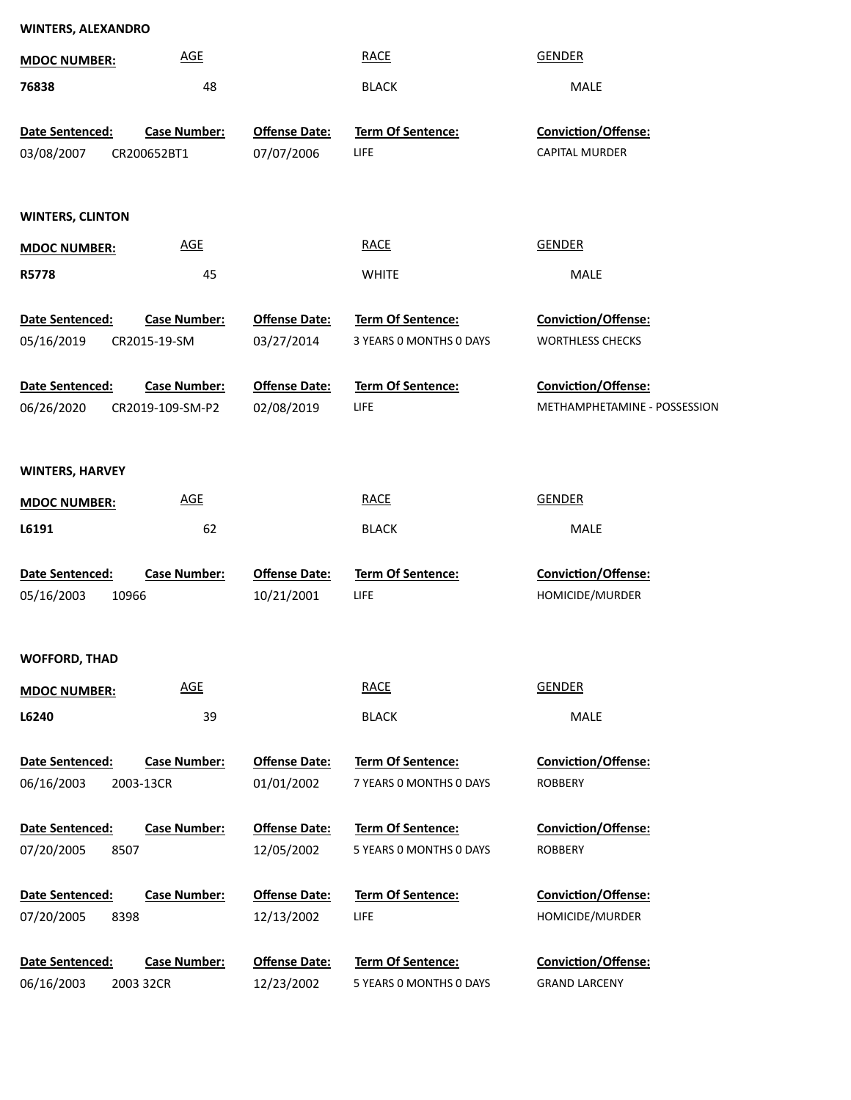| <b>WINTERS, ALEXANDRO</b> |                            |                      |                                              |                                |
|---------------------------|----------------------------|----------------------|----------------------------------------------|--------------------------------|
| <b>MDOC NUMBER:</b>       | <b>AGE</b>                 |                      | <b>RACE</b>                                  | <b>GENDER</b>                  |
| 76838                     | 48                         |                      | <b>BLACK</b>                                 | <b>MALE</b>                    |
|                           |                            |                      |                                              |                                |
| Date Sentenced:           | <b>Case Number:</b>        | <b>Offense Date:</b> | Term Of Sentence:                            | Conviction/Offense:            |
| 03/08/2007                | CR200652BT1                | 07/07/2006           | LIFE                                         | CAPITAL MURDER                 |
|                           |                            |                      |                                              |                                |
| <b>WINTERS, CLINTON</b>   |                            |                      |                                              |                                |
| <b>MDOC NUMBER:</b>       | <b>AGE</b>                 |                      | <b>RACE</b>                                  | <b>GENDER</b>                  |
| R5778                     | 45                         |                      | <b>WHITE</b>                                 | MALE                           |
|                           |                            |                      |                                              |                                |
| Date Sentenced:           | <b>Case Number:</b>        | <b>Offense Date:</b> | Term Of Sentence:                            | Conviction/Offense:            |
| 05/16/2019                | CR2015-19-SM               | 03/27/2014           | 3 YEARS O MONTHS O DAYS                      | <b>WORTHLESS CHECKS</b>        |
| Date Sentenced:           | <b>Case Number:</b>        | <b>Offense Date:</b> | Term Of Sentence:                            | <b>Conviction/Offense:</b>     |
| 06/26/2020                | CR2019-109-SM-P2           | 02/08/2019           | LIFE                                         | METHAMPHETAMINE - POSSESSION   |
|                           |                            |                      |                                              |                                |
| <b>WINTERS, HARVEY</b>    |                            |                      |                                              |                                |
| <b>MDOC NUMBER:</b>       | <b>AGE</b>                 |                      | <b>RACE</b>                                  | <b>GENDER</b>                  |
| L6191                     | 62                         |                      | <b>BLACK</b>                                 | MALE                           |
|                           |                            |                      |                                              |                                |
| Date Sentenced:           | <b>Case Number:</b>        | <b>Offense Date:</b> | Term Of Sentence:                            | Conviction/Offense:            |
| 05/16/2003<br>10966       |                            | 10/21/2001           | LIFE                                         | HOMICIDE/MURDER                |
|                           |                            |                      |                                              |                                |
| <b>WOFFORD, THAD</b>      |                            |                      |                                              |                                |
| <b>MDOC NUMBER:</b>       | $\underline{\mathsf{AGE}}$ |                      | <b>RACE</b>                                  | <b>GENDER</b>                  |
| L6240                     | 39                         |                      | <b>BLACK</b>                                 | MALE                           |
|                           |                            |                      |                                              |                                |
| Date Sentenced:           | <b>Case Number:</b>        | <b>Offense Date:</b> | Term Of Sentence:<br>7 YEARS O MONTHS O DAYS | Conviction/Offense:<br>ROBBERY |
| 06/16/2003                | 2003-13CR                  | 01/01/2002           |                                              |                                |
| Date Sentenced:           | <b>Case Number:</b>        | <b>Offense Date:</b> | Term Of Sentence:                            | <b>Conviction/Offense:</b>     |
| 07/20/2005<br>8507        |                            | 12/05/2002           | 5 YEARS O MONTHS O DAYS                      | ROBBERY                        |
| Date Sentenced:           | <b>Case Number:</b>        | <b>Offense Date:</b> | Term Of Sentence:                            | Conviction/Offense:            |
| 07/20/2005<br>8398        |                            | 12/13/2002           | LIFE                                         | HOMICIDE/MURDER                |
|                           |                            |                      |                                              |                                |
| Date Sentenced:           | <b>Case Number:</b>        | <b>Offense Date:</b> | Term Of Sentence:                            | Conviction/Offense:            |
| 06/16/2003                | 2003 32CR                  | 12/23/2002           | 5 YEARS 0 MONTHS 0 DAYS                      | <b>GRAND LARCENY</b>           |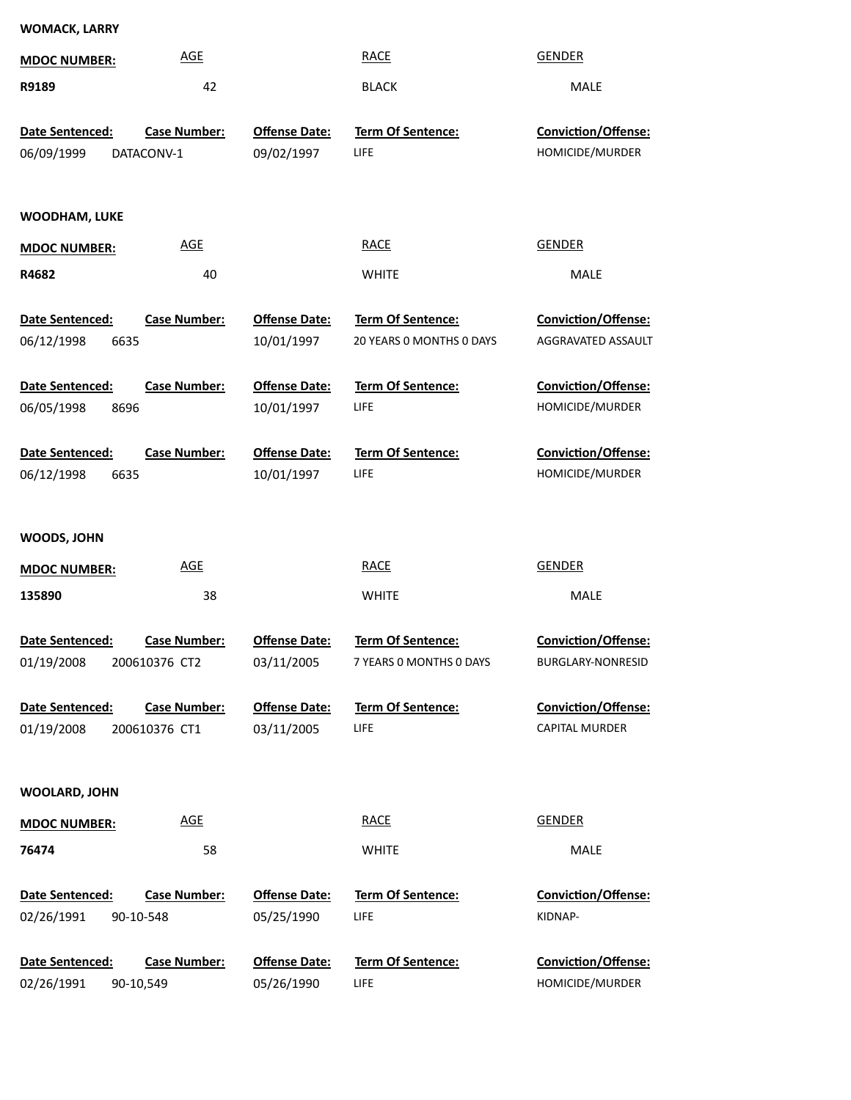| <b>WOMACK, LARRY</b>                         |                                  |                                    |                                                      |                                                  |
|----------------------------------------------|----------------------------------|------------------------------------|------------------------------------------------------|--------------------------------------------------|
| <b>MDOC NUMBER:</b>                          | <b>AGE</b>                       |                                    | <b>RACE</b>                                          | <b>GENDER</b>                                    |
| R9189                                        | 42                               |                                    | <b>BLACK</b>                                         | MALE                                             |
| Date Sentenced:                              | <b>Case Number:</b>              | <b>Offense Date:</b>               | Term Of Sentence:                                    | Conviction/Offense:                              |
| 06/09/1999                                   | DATACONV-1                       | 09/02/1997                         | LIFE                                                 | HOMICIDE/MURDER                                  |
| <b>WOODHAM, LUKE</b>                         |                                  |                                    |                                                      |                                                  |
| <b>MDOC NUMBER:</b>                          | <b>AGE</b>                       |                                    | <b>RACE</b>                                          | <b>GENDER</b>                                    |
| R4682                                        | 40                               |                                    | <b>WHITE</b>                                         | MALE                                             |
| <b>Date Sentenced:</b><br>06/12/1998<br>6635 | <b>Case Number:</b>              | <b>Offense Date:</b><br>10/01/1997 | <b>Term Of Sentence:</b><br>20 YEARS 0 MONTHS 0 DAYS | <b>Conviction/Offense:</b><br>AGGRAVATED ASSAULT |
| Date Sentenced:                              | <b>Case Number:</b>              | <b>Offense Date:</b>               | <b>Term Of Sentence:</b>                             | <b>Conviction/Offense:</b>                       |
| 06/05/1998<br>8696                           |                                  | 10/01/1997                         | LIFE                                                 | HOMICIDE/MURDER                                  |
| Date Sentenced:                              | <b>Case Number:</b>              | <b>Offense Date:</b>               | Term Of Sentence:                                    | <b>Conviction/Offense:</b>                       |
| 06/12/1998<br>6635                           |                                  | 10/01/1997                         | LIFE                                                 | HOMICIDE/MURDER                                  |
| WOODS, JOHN                                  |                                  |                                    |                                                      |                                                  |
| <b>MDOC NUMBER:</b>                          | <b>AGE</b>                       |                                    | <b>RACE</b>                                          | GENDER                                           |
| 135890                                       | 38                               |                                    | <b>WHITE</b>                                         | MALE                                             |
| Date Sentenced:                              | <b>Case Number:</b>              | <b>Offense Date:</b>               | Term Of Sentence:                                    | Conviction/Offense:                              |
| 01/19/2008                                   | 200610376 CT2                    | 03/11/2005                         | 7 YEARS O MONTHS O DAYS                              | BURGLARY-NONRESID                                |
| Date Sentenced:                              | <b>Case Number:</b>              | <b>Offense Date:</b>               | Term Of Sentence:                                    | <b>Conviction/Offense:</b>                       |
| 01/19/2008                                   | 200610376 CT1                    | 03/11/2005                         | <b>LIFE</b>                                          | CAPITAL MURDER                                   |
| WOOLARD, JOHN                                |                                  |                                    |                                                      |                                                  |
| <b>MDOC NUMBER:</b>                          | <b>AGE</b>                       |                                    | <b>RACE</b>                                          | <b>GENDER</b>                                    |
| 76474                                        | 58                               |                                    | <b>WHITE</b>                                         | MALE                                             |
| Date Sentenced:<br>02/26/1991                | <b>Case Number:</b><br>90-10-548 | <b>Offense Date:</b><br>05/25/1990 | <b>Term Of Sentence:</b><br>LIFE                     | <b>Conviction/Offense:</b><br>KIDNAP-            |
| Date Sentenced:                              | <b>Case Number:</b>              | <b>Offense Date:</b>               | <b>Term Of Sentence:</b>                             | Conviction/Offense:                              |
| 02/26/1991                                   | 90-10,549                        | 05/26/1990                         | LIFE                                                 | HOMICIDE/MURDER                                  |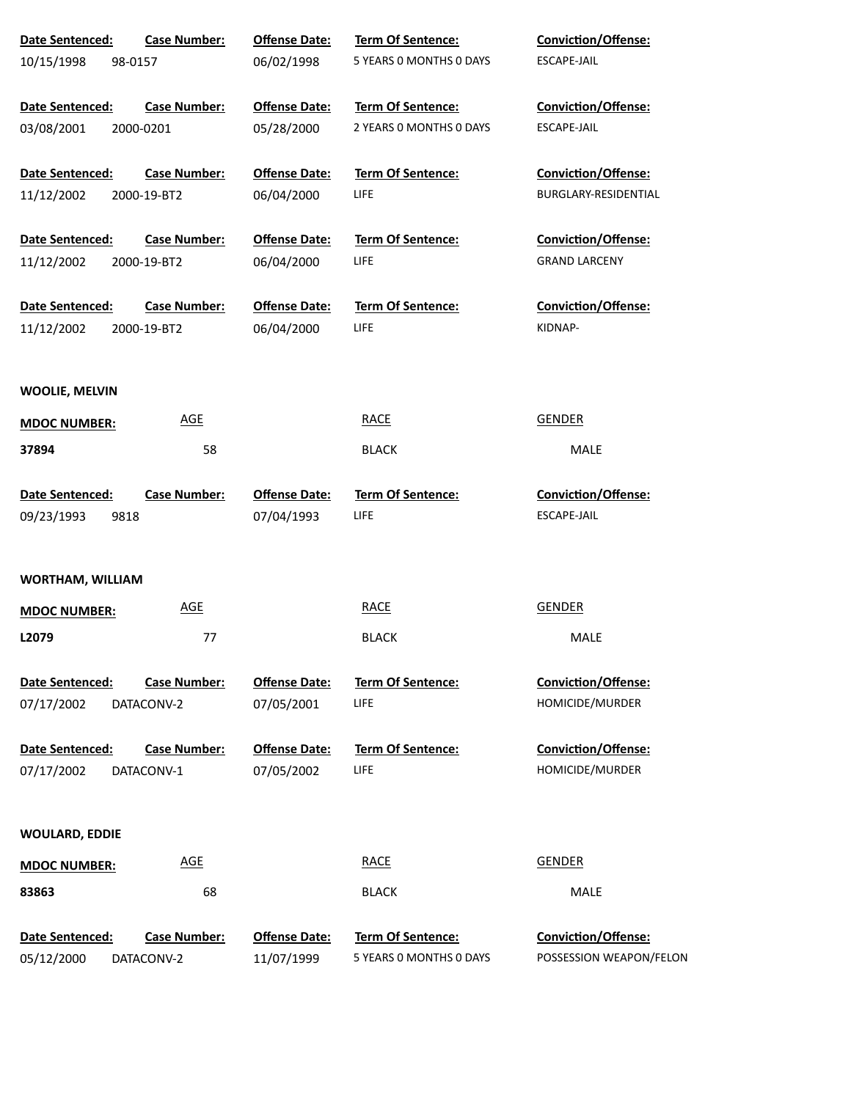| <b>Date Sentenced:</b>  | <b>Case Number:</b> | <b>Offense Date:</b> | <b>Term Of Sentence:</b> | <b>Conviction/Offense:</b> |
|-------------------------|---------------------|----------------------|--------------------------|----------------------------|
| 10/15/1998<br>98-0157   |                     | 06/02/1998           | 5 YEARS 0 MONTHS 0 DAYS  | ESCAPE-JAIL                |
| Date Sentenced:         | <b>Case Number:</b> | <b>Offense Date:</b> | <b>Term Of Sentence:</b> | <b>Conviction/Offense:</b> |
| 03/08/2001              | 2000-0201           | 05/28/2000           | 2 YEARS O MONTHS O DAYS  | ESCAPE-JAIL                |
| <b>Date Sentenced:</b>  | <b>Case Number:</b> | <b>Offense Date:</b> | <b>Term Of Sentence:</b> | <b>Conviction/Offense:</b> |
| 11/12/2002              | 2000-19-BT2         | 06/04/2000           | LIFE                     | BURGLARY-RESIDENTIAL       |
| Date Sentenced:         | <b>Case Number:</b> | <b>Offense Date:</b> | <b>Term Of Sentence:</b> | <b>Conviction/Offense:</b> |
| 11/12/2002              | 2000-19-BT2         | 06/04/2000           | LIFE                     | <b>GRAND LARCENY</b>       |
| Date Sentenced:         | <b>Case Number:</b> | <b>Offense Date:</b> | <b>Term Of Sentence:</b> | <b>Conviction/Offense:</b> |
| 11/12/2002              | 2000-19-BT2         | 06/04/2000           | <b>LIFE</b>              | KIDNAP-                    |
| <b>WOOLIE, MELVIN</b>   |                     |                      |                          |                            |
| <b>MDOC NUMBER:</b>     | <u>AGE</u>          |                      | <b>RACE</b>              | <b>GENDER</b>              |
| 37894                   | 58                  |                      | <b>BLACK</b>             | MALE                       |
| Date Sentenced:         | <b>Case Number:</b> | <b>Offense Date:</b> | Term Of Sentence:        | <b>Conviction/Offense:</b> |
| 09/23/1993<br>9818      |                     | 07/04/1993           | <b>LIFE</b>              | ESCAPE-JAIL                |
| <b>WORTHAM, WILLIAM</b> |                     |                      |                          |                            |
| <b>MDOC NUMBER:</b>     | <u>AGE</u>          |                      | <b>RACE</b>              | <b>GENDER</b>              |
| L2079                   | 77                  |                      | <b>BLACK</b>             | MALE                       |
| Date Sentenced:         | <b>Case Number:</b> | <b>Offense Date:</b> | <b>Term Of Sentence:</b> | <b>Conviction/Offense:</b> |
| 07/17/2002              | DATACONV-2          | 07/05/2001           | <b>LIFE</b>              | HOMICIDE/MURDER            |
| Date Sentenced:         | <b>Case Number:</b> | <b>Offense Date:</b> | <b>Term Of Sentence:</b> | <b>Conviction/Offense:</b> |
| 07/17/2002              | DATACONV-1          | 07/05/2002           | <b>LIFE</b>              | HOMICIDE/MURDER            |
| <b>WOULARD, EDDIE</b>   |                     |                      |                          |                            |
| <b>MDOC NUMBER:</b>     | <b>AGE</b>          |                      | <b>RACE</b>              | <b>GENDER</b>              |
| 83863                   | 68                  |                      | <b>BLACK</b>             | MALE                       |
| Date Sentenced:         | <b>Case Number:</b> | <b>Offense Date:</b> | <b>Term Of Sentence:</b> | <b>Conviction/Offense:</b> |
| 05/12/2000              | DATACONV-2          | 11/07/1999           | 5 YEARS 0 MONTHS 0 DAYS  | POSSESSION WEAPON/FELON    |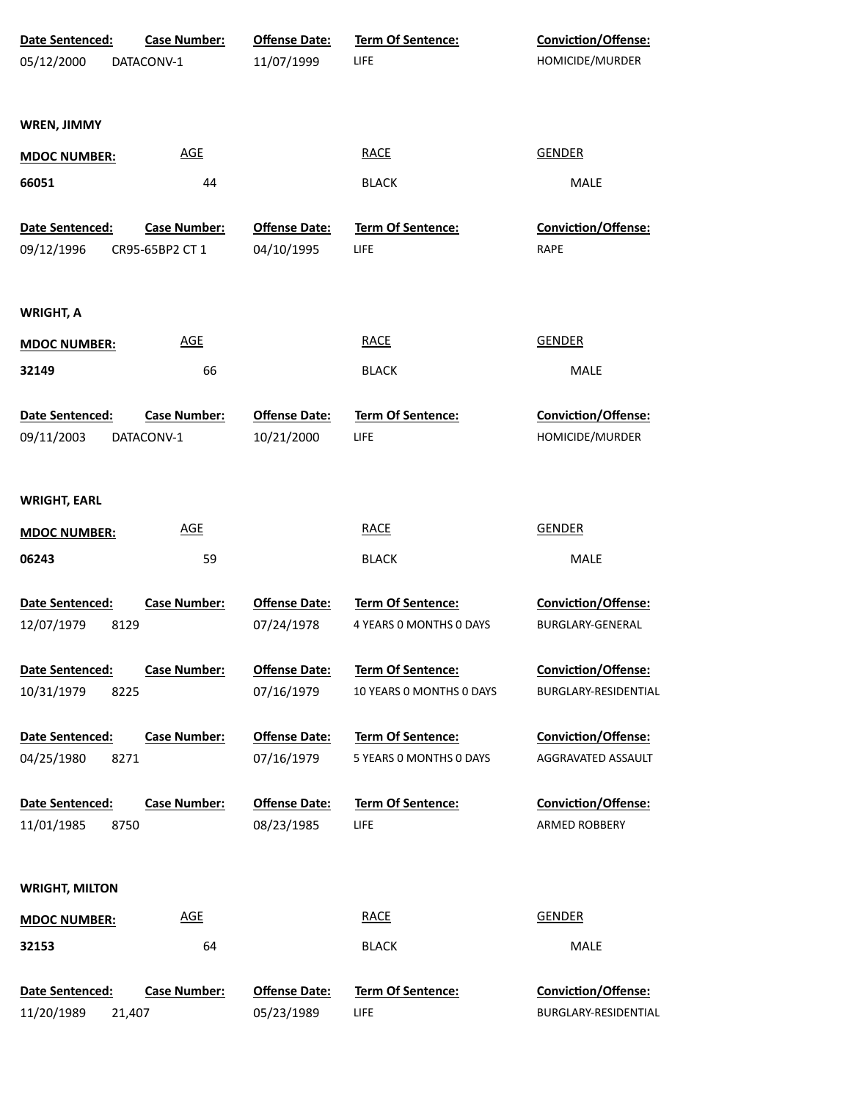| <b>Date Sentenced:</b>                  | <b>Case Number:</b>               | <b>Offense Date:</b>               | <b>Term Of Sentence:</b>                             | Conviction/Offense:                                |
|-----------------------------------------|-----------------------------------|------------------------------------|------------------------------------------------------|----------------------------------------------------|
| 05/12/2000                              | DATACONV-1                        | 11/07/1999                         | LIFE                                                 | HOMICIDE/MURDER                                    |
|                                         |                                   |                                    |                                                      |                                                    |
| <b>WREN, JIMMY</b>                      |                                   |                                    |                                                      |                                                    |
| <b>MDOC NUMBER:</b>                     | <b>AGE</b>                        |                                    | <b>RACE</b>                                          | <b>GENDER</b>                                      |
| 66051                                   | 44                                |                                    | <b>BLACK</b>                                         | MALE                                               |
| Date Sentenced:                         | <b>Case Number:</b>               | <b>Offense Date:</b>               | <b>Term Of Sentence:</b>                             | <b>Conviction/Offense:</b>                         |
| 09/12/1996                              | CR95-65BP2 CT 1                   | 04/10/1995                         | LIFE                                                 | RAPE                                               |
| <b>WRIGHT, A</b>                        |                                   |                                    |                                                      |                                                    |
| <b>MDOC NUMBER:</b>                     | <b>AGE</b>                        |                                    | <b>RACE</b>                                          | <b>GENDER</b>                                      |
| 32149                                   | 66                                |                                    | <b>BLACK</b>                                         | <b>MALE</b>                                        |
| <b>Date Sentenced:</b><br>09/11/2003    | <b>Case Number:</b><br>DATACONV-1 | <b>Offense Date:</b><br>10/21/2000 | <b>Term Of Sentence:</b><br>LIFE                     | Conviction/Offense:<br>HOMICIDE/MURDER             |
| <b>WRIGHT, EARL</b>                     |                                   |                                    |                                                      |                                                    |
| <b>MDOC NUMBER:</b>                     | <b>AGE</b>                        |                                    | <b>RACE</b>                                          | <b>GENDER</b>                                      |
| 06243                                   | 59                                |                                    | <b>BLACK</b>                                         | MALE                                               |
| Date Sentenced:                         | <b>Case Number:</b>               | <b>Offense Date:</b>               | Term Of Sentence:                                    | Conviction/Offense:                                |
| 12/07/1979<br>8129                      |                                   | 07/24/1978                         | 4 YEARS 0 MONTHS 0 DAYS                              | BURGLARY-GENERAL                                   |
| Date Sentenced:<br>10/31/1979<br>8225   | <b>Case Number:</b>               | <b>Offense Date:</b><br>07/16/1979 | <b>Term Of Sentence:</b><br>10 YEARS 0 MONTHS 0 DAYS | <b>Conviction/Offense:</b><br>BURGLARY-RESIDENTIAL |
| Date Sentenced:<br>8271<br>04/25/1980   | <b>Case Number:</b>               | <b>Offense Date:</b><br>07/16/1979 | Term Of Sentence:<br>5 YEARS 0 MONTHS 0 DAYS         | Conviction/Offense:<br>AGGRAVATED ASSAULT          |
| Date Sentenced:<br>11/01/1985<br>8750   | <b>Case Number:</b>               | <b>Offense Date:</b><br>08/23/1985 | <b>Term Of Sentence:</b><br>LIFE                     | Conviction/Offense:<br>ARMED ROBBERY               |
| <b>WRIGHT, MILTON</b>                   |                                   |                                    |                                                      |                                                    |
| <b>MDOC NUMBER:</b>                     | <b>AGE</b>                        |                                    | <b>RACE</b>                                          | <b>GENDER</b>                                      |
| 32153                                   | 64                                |                                    | <b>BLACK</b>                                         | MALE                                               |
| Date Sentenced:<br>11/20/1989<br>21,407 | <b>Case Number:</b>               | <b>Offense Date:</b><br>05/23/1989 | Term Of Sentence:<br>LIFE                            | Conviction/Offense:<br>BURGLARY-RESIDENTIAL        |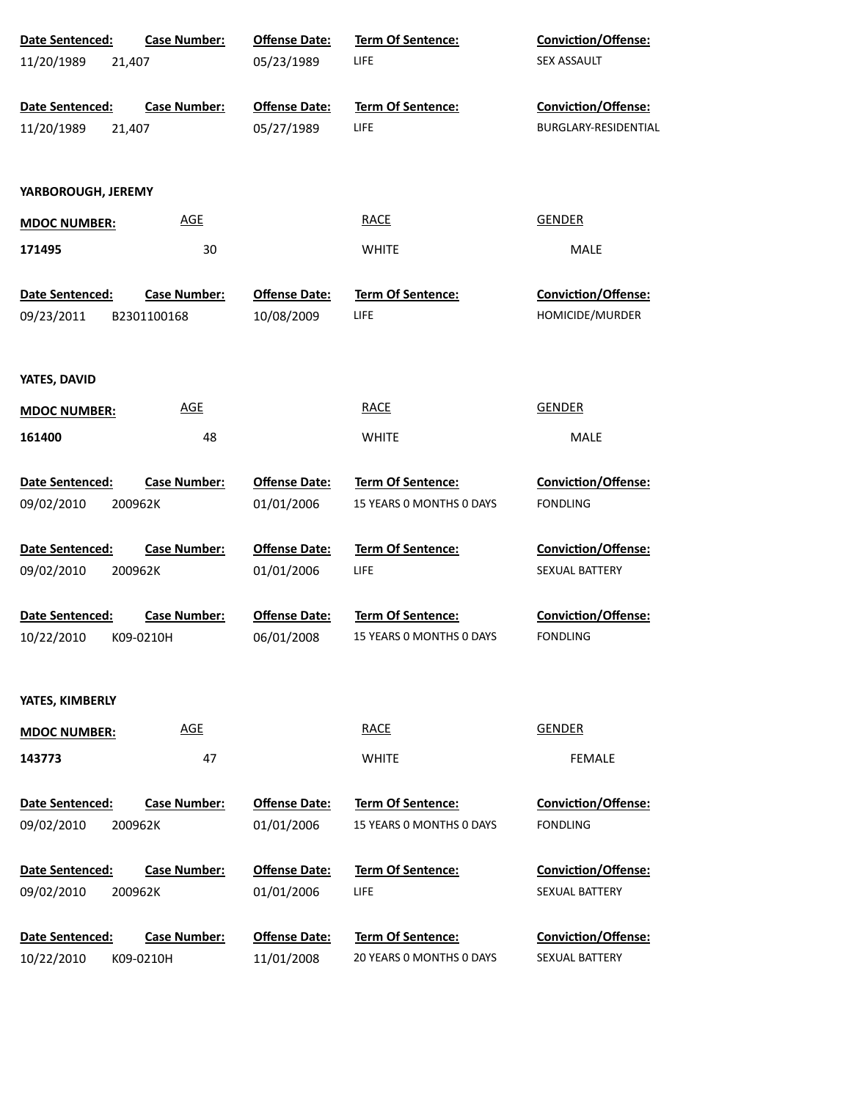| Date Sentenced:        | <b>Case Number:</b> | <b>Offense Date:</b> | Term Of Sentence:        | Conviction/Offense:        |
|------------------------|---------------------|----------------------|--------------------------|----------------------------|
| 21,407<br>11/20/1989   |                     | 05/23/1989           | LIFE                     | SEX ASSAULT                |
|                        |                     |                      |                          |                            |
| Date Sentenced:        | <b>Case Number:</b> | <b>Offense Date:</b> | Term Of Sentence:        | Conviction/Offense:        |
| 21,407<br>11/20/1989   |                     | 05/27/1989           | LIFE                     | BURGLARY-RESIDENTIAL       |
|                        |                     |                      |                          |                            |
| YARBOROUGH, JEREMY     |                     |                      |                          |                            |
| <b>MDOC NUMBER:</b>    | <b>AGE</b>          |                      | <b>RACE</b>              | <b>GENDER</b>              |
| 171495                 | 30                  |                      | <b>WHITE</b>             | MALE                       |
|                        |                     |                      |                          |                            |
| Date Sentenced:        | <b>Case Number:</b> | <b>Offense Date:</b> | Term Of Sentence:        | Conviction/Offense:        |
| 09/23/2011             | B2301100168         | 10/08/2009           | <b>LIFE</b>              | HOMICIDE/MURDER            |
|                        |                     |                      |                          |                            |
|                        |                     |                      |                          |                            |
| YATES, DAVID           |                     |                      |                          |                            |
| <b>MDOC NUMBER:</b>    | <b>AGE</b>          |                      | <b>RACE</b>              | <b>GENDER</b>              |
| 161400                 | 48                  |                      | <b>WHITE</b>             | <b>MALE</b>                |
|                        |                     |                      |                          |                            |
| Date Sentenced:        | <b>Case Number:</b> | <b>Offense Date:</b> | Term Of Sentence:        | <b>Conviction/Offense:</b> |
| 09/02/2010<br>200962K  |                     | 01/01/2006           | 15 YEARS 0 MONTHS 0 DAYS | <b>FONDLING</b>            |
|                        |                     |                      |                          |                            |
| Date Sentenced:        | <b>Case Number:</b> | <b>Offense Date:</b> | Term Of Sentence:        | <b>Conviction/Offense:</b> |
| 09/02/2010<br>200962K  |                     | 01/01/2006           | LIFE                     | SEXUAL BATTERY             |
|                        |                     |                      |                          |                            |
| Date Sentenced:        | <b>Case Number:</b> | <b>Offense Date:</b> | Term Of Sentence:        | <b>Conviction/Offense:</b> |
| 10/22/2010             | K09-0210H           | 06/01/2008           | 15 YEARS O MONTHS O DAYS | <b>FONDLING</b>            |
|                        |                     |                      |                          |                            |
| YATES, KIMBERLY        |                     |                      |                          |                            |
| <b>MDOC NUMBER:</b>    | <b>AGE</b>          |                      | <b>RACE</b>              | <b>GENDER</b>              |
| 143773                 | 47                  |                      | <b>WHITE</b>             | <b>FEMALE</b>              |
|                        |                     |                      |                          |                            |
| <b>Date Sentenced:</b> | <b>Case Number:</b> | <b>Offense Date:</b> | <b>Term Of Sentence:</b> | <b>Conviction/Offense:</b> |
| 09/02/2010<br>200962K  |                     | 01/01/2006           | 15 YEARS 0 MONTHS 0 DAYS | <b>FONDLING</b>            |
|                        |                     |                      |                          |                            |
| Date Sentenced:        | <b>Case Number:</b> | <b>Offense Date:</b> | <b>Term Of Sentence:</b> | <b>Conviction/Offense:</b> |
| 09/02/2010<br>200962K  |                     | 01/01/2006           | LIFE                     | <b>SEXUAL BATTERY</b>      |
|                        |                     |                      |                          |                            |
| Date Sentenced:        | <b>Case Number:</b> | <b>Offense Date:</b> | Term Of Sentence:        | <b>Conviction/Offense:</b> |
| 10/22/2010             | K09-0210H           | 11/01/2008           | 20 YEARS 0 MONTHS 0 DAYS | SEXUAL BATTERY             |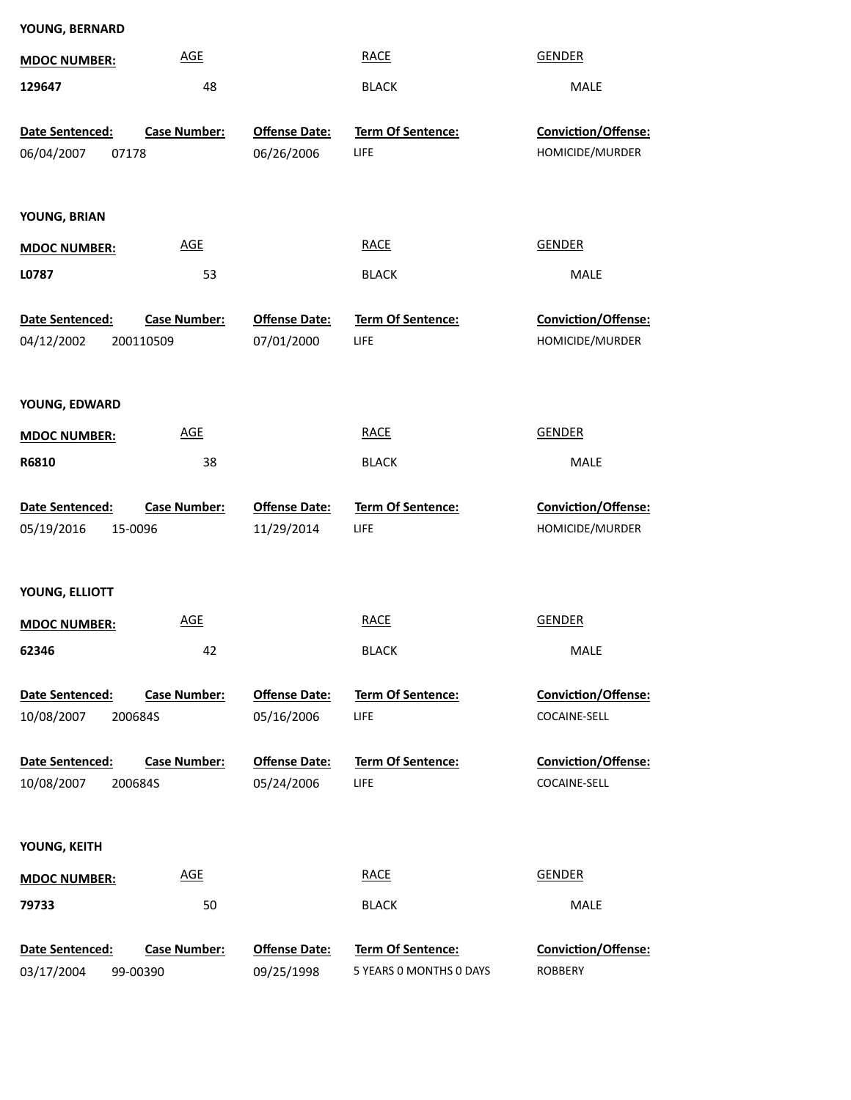| <b>MDOC NUMBER:</b>                      | <b>AGE</b>          |                                    | <b>RACE</b>                      | <b>GENDER</b>                          |  |
|------------------------------------------|---------------------|------------------------------------|----------------------------------|----------------------------------------|--|
| 129647                                   | 48                  |                                    | <b>BLACK</b>                     | MALE                                   |  |
|                                          |                     |                                    |                                  |                                        |  |
| Date Sentenced:                          | <b>Case Number:</b> | <b>Offense Date:</b><br>06/26/2006 | Term Of Sentence:<br><b>LIFE</b> | Conviction/Offense:<br>HOMICIDE/MURDER |  |
| 06/04/2007<br>07178                      |                     |                                    |                                  |                                        |  |
| YOUNG, BRIAN                             |                     |                                    |                                  |                                        |  |
|                                          | <b>AGE</b>          |                                    | <b>RACE</b>                      | <b>GENDER</b>                          |  |
| <b>MDOC NUMBER:</b>                      |                     |                                    |                                  |                                        |  |
| L0787                                    | 53                  |                                    | <b>BLACK</b>                     | MALE                                   |  |
| Date Sentenced:                          | <b>Case Number:</b> | <b>Offense Date:</b>               | Term Of Sentence:                | Conviction/Offense:                    |  |
| 04/12/2002                               | 200110509           | 07/01/2000                         | LIFE                             | HOMICIDE/MURDER                        |  |
|                                          |                     |                                    |                                  |                                        |  |
| YOUNG, EDWARD                            |                     |                                    |                                  |                                        |  |
| <b>MDOC NUMBER:</b>                      | <b>AGE</b>          |                                    | <b>RACE</b>                      | <b>GENDER</b>                          |  |
| R6810                                    | 38                  |                                    | <b>BLACK</b>                     | MALE                                   |  |
|                                          |                     |                                    |                                  |                                        |  |
| Date Sentenced:                          | <b>Case Number:</b> | <b>Offense Date:</b>               | Term Of Sentence:                | Conviction/Offense:                    |  |
| 05/19/2016<br>15-0096                    |                     | 11/29/2014                         | LIFE                             | HOMICIDE/MURDER                        |  |
|                                          |                     |                                    |                                  |                                        |  |
| YOUNG, ELLIOTT                           |                     |                                    |                                  |                                        |  |
|                                          |                     |                                    |                                  |                                        |  |
| <b>MDOC NUMBER:</b>                      | <b>AGE</b>          |                                    | <b>RACE</b>                      | <b>GENDER</b>                          |  |
| 62346                                    | 42                  |                                    | <b>BLACK</b>                     | <b>MALE</b>                            |  |
|                                          |                     |                                    |                                  |                                        |  |
| Date Sentenced:<br>10/08/2007<br>200684S | <b>Case Number:</b> | <b>Offense Date:</b><br>05/16/2006 | Term Of Sentence:<br>LIFE        | Conviction/Offense:<br>COCAINE-SELL    |  |
|                                          |                     |                                    |                                  |                                        |  |
| Date Sentenced:                          | <b>Case Number:</b> | <b>Offense Date:</b>               | <b>Term Of Sentence:</b>         | Conviction/Offense:                    |  |
| 10/08/2007<br>200684S                    |                     | 05/24/2006                         | LIFE                             | COCAINE-SELL                           |  |
|                                          |                     |                                    |                                  |                                        |  |
| YOUNG, KEITH                             |                     |                                    |                                  |                                        |  |
| <b>MDOC NUMBER:</b>                      | <b>AGE</b>          |                                    | <b>RACE</b>                      | <b>GENDER</b>                          |  |
| 79733                                    | 50                  |                                    | <b>BLACK</b>                     | MALE                                   |  |
| Date Sentenced:                          | Case Number:        | <b>Offense Date:</b>               | <b>Term Of Sentence:</b>         | Conviction/Offense:                    |  |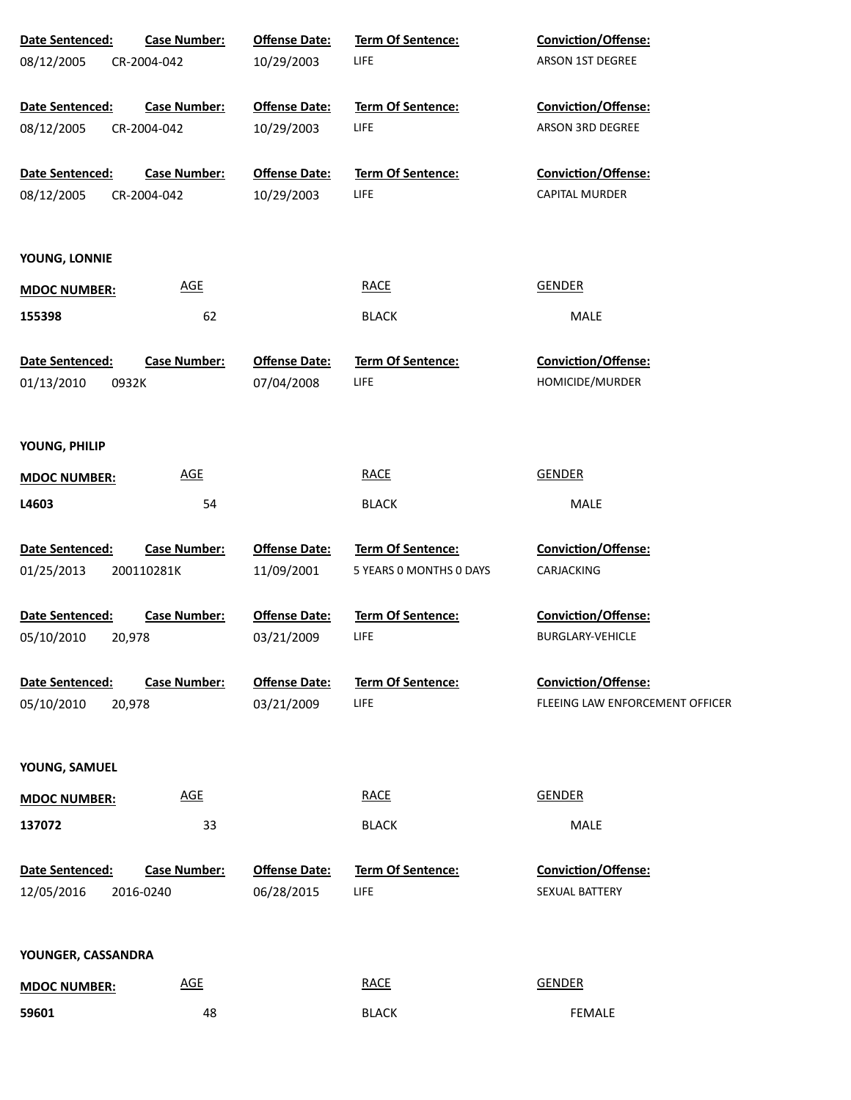| Date Sentenced:        | <b>Case Number:</b> | <b>Offense Date:</b>               | <b>Term Of Sentence:</b>  | <b>Conviction/Offense:</b>             |
|------------------------|---------------------|------------------------------------|---------------------------|----------------------------------------|
| 08/12/2005             | CR-2004-042         | 10/29/2003                         | LIFE                      | ARSON 1ST DEGREE                       |
|                        |                     |                                    |                           |                                        |
| Date Sentenced:        | <b>Case Number:</b> | <b>Offense Date:</b>               | Term Of Sentence:         | <b>Conviction/Offense:</b>             |
| 08/12/2005             | CR-2004-042         | 10/29/2003                         | LIFE                      | ARSON 3RD DEGREE                       |
|                        |                     |                                    |                           |                                        |
| Date Sentenced:        | <b>Case Number:</b> | <b>Offense Date:</b>               | Term Of Sentence:         | Conviction/Offense:                    |
| 08/12/2005             | CR-2004-042         | 10/29/2003                         | LIFE                      | CAPITAL MURDER                         |
| YOUNG, LONNIE          |                     |                                    |                           |                                        |
| <b>MDOC NUMBER:</b>    | <b>AGE</b>          |                                    | <b>RACE</b>               | <b>GENDER</b>                          |
| 155398                 | 62                  |                                    | <b>BLACK</b>              | MALE                                   |
|                        |                     |                                    |                           |                                        |
| Date Sentenced:        | <b>Case Number:</b> | <b>Offense Date:</b><br>07/04/2008 | Term Of Sentence:<br>LIFE | Conviction/Offense:<br>HOMICIDE/MURDER |
| 01/13/2010             | 0932K               |                                    |                           |                                        |
| YOUNG, PHILIP          |                     |                                    |                           |                                        |
| <b>MDOC NUMBER:</b>    | <b>AGE</b>          |                                    | <b>RACE</b>               | <b>GENDER</b>                          |
| L4603                  | 54                  |                                    | <b>BLACK</b>              | MALE                                   |
|                        |                     |                                    |                           |                                        |
| Date Sentenced:        | <b>Case Number:</b> | <b>Offense Date:</b>               | Term Of Sentence:         | Conviction/Offense:                    |
| 01/25/2013             | 200110281K          | 11/09/2001                         | 5 YEARS 0 MONTHS 0 DAYS   | CARJACKING                             |
|                        |                     |                                    |                           |                                        |
| Date Sentenced:        | <b>Case Number:</b> | <b>Offense Date:</b>               | Term Of Sentence:         | Conviction/Offense:                    |
| 05/10/2010             | 20,978              | 03/21/2009                         | LIFE                      | <b>BURGLARY-VEHICLE</b>                |
| <b>Date Sentenced:</b> | <b>Case Number:</b> | <b>Offense Date:</b>               | <b>Term Of Sentence:</b>  | <b>Conviction/Offense:</b>             |
| 05/10/2010             | 20,978              | 03/21/2009                         | LIFE                      | FLEEING LAW ENFORCEMENT OFFICER        |
|                        |                     |                                    |                           |                                        |
| YOUNG, SAMUEL          |                     |                                    |                           |                                        |
| <b>MDOC NUMBER:</b>    | <b>AGE</b>          |                                    | <b>RACE</b>               | <b>GENDER</b>                          |
| 137072                 | 33                  |                                    | <b>BLACK</b>              | MALE                                   |
|                        |                     |                                    |                           |                                        |
| Date Sentenced:        | <b>Case Number:</b> | <b>Offense Date:</b>               | <b>Term Of Sentence:</b>  | <b>Conviction/Offense:</b>             |
| 12/05/2016             | 2016-0240           | 06/28/2015                         | LIFE                      | SEXUAL BATTERY                         |
|                        |                     |                                    |                           |                                        |
| YOUNGER, CASSANDRA     |                     |                                    |                           |                                        |
| <b>MDOC NUMBER:</b>    | <b>AGE</b>          |                                    | <b>RACE</b>               | <b>GENDER</b>                          |
| 59601                  | 48                  |                                    | <b>BLACK</b>              | FEMALE                                 |